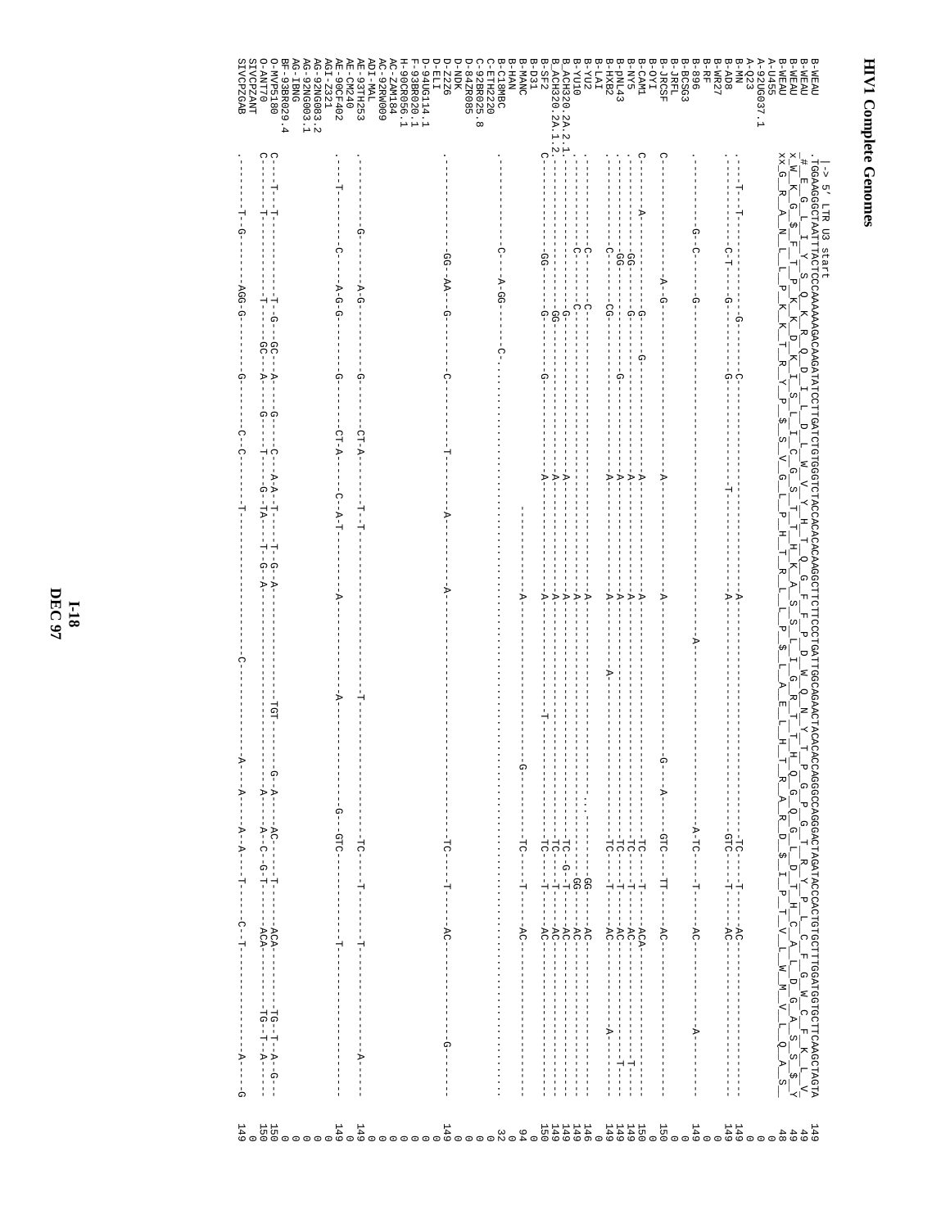| ဂု<br>ႁ<br>Þ<br>Þ<br>$\sum_{i=1}^{n}$<br>$\frac{1}{2}$<br>⊅<br>⊅<br>$\overline{A}$<br>$\overline{A}$<br>ъ<br>ъ<br>⊅<br>ፓ<br>CΩ<br>C<br>⊢<br>т<br>л<br>$\frac{1}{\sqrt{2}}$<br>H<br>Η<br>$\mathbf{r}$<br>L.<br>J.<br>J.<br>$-6 -$<br>л<br>$\frac{p}{10} - \frac{p}{6} - \frac{p}{6}$<br>ဂု<br>ţ<br>ţ.<br>$\mathsf I$<br>J.<br>$\blacksquare$<br>$\mathbf{I}$<br>п<br>I.<br>$\overline{1}$<br>i.<br>₩<br>J.<br>J.<br>$\mathbf{I}$<br>$\frac{1}{1}$<br>J.<br>H.<br>$\mathbf{I}$<br>п<br>т.<br>$\mathbf{I}$<br>$\mathbb{I}$<br>$\mathbb{I}$<br>$\mathbb{I}$<br>I.<br>H.<br>ע ע<br>$\mathbb I$<br>I.<br>$\mathbf{I}$<br>I<br>$\mathbf I$<br>$\mathbb I$<br>А<br>$\frac{1}{2} \frac{1}{\sqrt{1-x}} = \frac{R}{\sqrt{1-x}}$<br>Ъ<br>$\frac{1}{2}$<br>I.<br>ţ<br>$\frac{1}{4}$<br>$\frac{1}{1}$<br>ł,<br>п<br>$\frac{1}{1}$<br>ł<br>I.<br>-0110--010-<br>Ţ<br>J.<br>₩<br>$- - \frac{R}{A}C - - - - - - - T -$<br>J.<br>$\overline{\phantom{a}}$<br>I.<br>ţ<br>$\mathbf{I}$<br>J.<br>$\mathbf{I}$<br>$\blacksquare$<br>$\mathbf{I}$<br>I.<br>$-1 - 1 - 1 - 1 - 1 - 1 - 1$<br>т<br>J<br>$-1 - 7C - 1$<br>т.<br>$---GTC--- -$<br>I.<br>$A-TC$<br>$\mathbf I$<br>$\mathbb I$<br>þ<br>$-LC---$<br>$-1 - 2 - -9 - -1 -$<br>$-LC---$<br>ă<br>GTC<br>−⊾<br>$\frac{1}{1}$<br>$\frac{1}{1}$<br>$-LC---$<br>$-LC$<br>Ï<br>٠m<br>$---000 -$<br>Ţ<br>$- - - 00 - -$<br>J.<br>J.<br>I.<br>$\mathbf{I}$<br>т<br>$\mathbb{I}$<br>$\frac{1}{4}$<br>$\frac{1}{2}$<br>$\begin{array}{c} \begin{array}{c} \vdots \\ \vdots \\ \vdots \end{array} \end{array}$<br>$\mathsf I$<br>$\mathbb{I}$<br>I.<br>$\mathsf I$<br>I.<br> <br> -<br>$\frac{1}{1}$<br>å<br>녑<br>$\frac{1}{1}$<br>青土<br>부<br>Å<br>ם.<br>'<br>I.<br>Ţ<br>$\mathbf I$<br>⊭ן<br> <br> <br>Τ.<br>$\overline{\phantom{a}}$<br>п<br>л<br>$\blacksquare$<br>Ţ<br>$\overline{\phantom{a}}$<br>$\frac{1}{1}$<br>$\frac{1}{1}$<br>ł,<br>$\frac{1}{1}$<br>J.<br>J.<br>$\mathbf{I}$<br>$\blacksquare$<br>J.<br>$- - 2C - -$<br>Η<br>J.<br>$\mathbf{I}$<br>J.<br>J.<br>J.<br>$\overline{1}$<br>т<br>л.<br>$\overline{1}$<br>т<br>т.<br>-1<br>$---AC$ .<br>$- - \Delta C - - -$<br>$--AC--$<br>$---AC---$<br>$- - \Delta C - - -$<br>$---AC---------$<br>$---AC---------$<br>---ACA--<br>---ACA--<br>$\mathbb I$<br>$\begin{aligned} &\qquad \qquad --\Delta\text{CA} &\qquad \qquad -\text{-} \\ &\qquad \qquad --\Delta\text{C} &\qquad \qquad -\text{-} \end{aligned}$<br>$- - \text{AC} - -$<br>L<br>п<br>л<br>L.<br>L.<br>⊲<br>AC.<br>ÄC.<br>Ř<br>Ř<br>т<br>$\overline{1}$<br>$\mathsf I$<br>I,<br>Ъ<br>н<br>부<br>ł<br>Ŧ<br>F<br>л<br>$\blacksquare$<br>$\overline{\phantom{a}}$<br>J.<br>$\mathbf{I}$<br>r<br>$\frac{1}{1}$<br>$\mathsf I$<br>Ţ<br>่≍<br>$\frac{1}{1}$<br>$\mathbf{I}$<br>ţ<br>T.<br>$\overline{\phantom{a}}$<br>$\mathbf{I}$<br>$\overline{\phantom{a}}$<br>$\overline{\phantom{a}}$<br>$\overline{\phantom{a}}$<br>$\blacksquare$<br>л<br>$\mathbf{I}$<br>$\mathbf{I}$<br>J.<br>т<br>$\mathbf{I}$<br>$\overline{1}$<br>¦z<br>$\frac{1}{9}$<br>$\mathbb{I}$<br>$\mathbb{I}$<br>I.<br>I.<br>J. | n n<br>å<br>÷<br>부<br>Ω<br>8<br>සි<br>٢<br>ဂှ<br>G.<br>÷<br>ှ<br>$A - A$<br>ဂှ<br>ΗÄ<br>년 | A-G-G<br>7-10<br>A<br>Ġ<br>$_{\rm T-A}$ | $A-G$<br>Ω<br>CT-A-<br>۲<br>!<br>å | 6G | A-GG. | eg-<br>ှု<br>Þ | $-55 -$<br>$\mathbb{F}$ | J.<br>J.<br>$\frac{1}{1}$<br>$\mathbb{Y}$ | ن<br>ن<br>ף<br>ن<br>خ<br>ှ | م-<br>-<br>т<br>ĊG-<br>÷<br>⊦ | $-55-$<br>$\overline{r}$ | ĠĠ-<br>$\frac{1}{1}$<br>$-\Delta -$ | ု<br>∩<br>$\overline{P}$<br>Ġ<br>ω<br>$A -$<br>⊅ | Ġ | C-T<br>Ģ<br>Ω | Ω<br>∩ | X<br>s<br>G<br>Ω<br>ŋ<br>U<br>U<br>S<br>Ω<br>Ω<br>SΩ |
|--------------------------------------------------------------------------------------------------------------------------------------------------------------------------------------------------------------------------------------------------------------------------------------------------------------------------------------------------------------------------------------------------------------------------------------------------------------------------------------------------------------------------------------------------------------------------------------------------------------------------------------------------------------------------------------------------------------------------------------------------------------------------------------------------------------------------------------------------------------------------------------------------------------------------------------------------------------------------------------------------------------------------------------------------------------------------------------------------------------------------------------------------------------------------------------------------------------------------------------------------------------------------------------------------------------------------------------------------------------------------------------------------------------------------------------------------------------------------------------------------------------------------------------------------------------------------------------------------------------------------------------------------------------------------------------------------------------------------------------------------------------------------------------------------------------------------------------------------------------------------------------------------------------------------------------------------------------------------------------------------------------------------------------------------------------------------------------------------------------------------------------------------------------------------------------------------------------------------------------------------------------------------------------------------------------------------------------------------------------------------------------------------------------------------------------------------------------------------------------------------------------------------------------------------------------------------------------------------------------------------------------------------------------------------------------------------------------------------------------------------------------------------------------------------------------------------------------------------------------------------------------------------------------------------------------------------------------------------------------------------------------------------------------------|-------------------------------------------------------------------------------------------|-----------------------------------------|------------------------------------|----|-------|----------------|-------------------------|-------------------------------------------|----------------------------|-------------------------------|--------------------------|-------------------------------------|--------------------------------------------------|---|---------------|--------|------------------------------------------------------|
|                                                                                                                                                                                                                                                                                                                                                                                                                                                                                                                                                                                                                                                                                                                                                                                                                                                                                                                                                                                                                                                                                                                                                                                                                                                                                                                                                                                                                                                                                                                                                                                                                                                                                                                                                                                                                                                                                                                                                                                                                                                                                                                                                                                                                                                                                                                                                                                                                                                                                                                                                                                                                                                                                                                                                                                                                                                                                                                                                                                                                                            |                                                                                           |                                         |                                    |    |       |                |                         |                                           |                            |                               |                          |                                     |                                                  |   |               |        |                                                      |
|                                                                                                                                                                                                                                                                                                                                                                                                                                                                                                                                                                                                                                                                                                                                                                                                                                                                                                                                                                                                                                                                                                                                                                                                                                                                                                                                                                                                                                                                                                                                                                                                                                                                                                                                                                                                                                                                                                                                                                                                                                                                                                                                                                                                                                                                                                                                                                                                                                                                                                                                                                                                                                                                                                                                                                                                                                                                                                                                                                                                                                            |                                                                                           |                                         |                                    |    |       |                |                         |                                           |                            |                               |                          |                                     |                                                  |   |               |        |                                                      |
| I.                                                                                                                                                                                                                                                                                                                                                                                                                                                                                                                                                                                                                                                                                                                                                                                                                                                                                                                                                                                                                                                                                                                                                                                                                                                                                                                                                                                                                                                                                                                                                                                                                                                                                                                                                                                                                                                                                                                                                                                                                                                                                                                                                                                                                                                                                                                                                                                                                                                                                                                                                                                                                                                                                                                                                                                                                                                                                                                                                                                                                                         |                                                                                           |                                         |                                    |    |       |                |                         |                                           |                            | ţ                             |                          |                                     |                                                  |   |               |        |                                                      |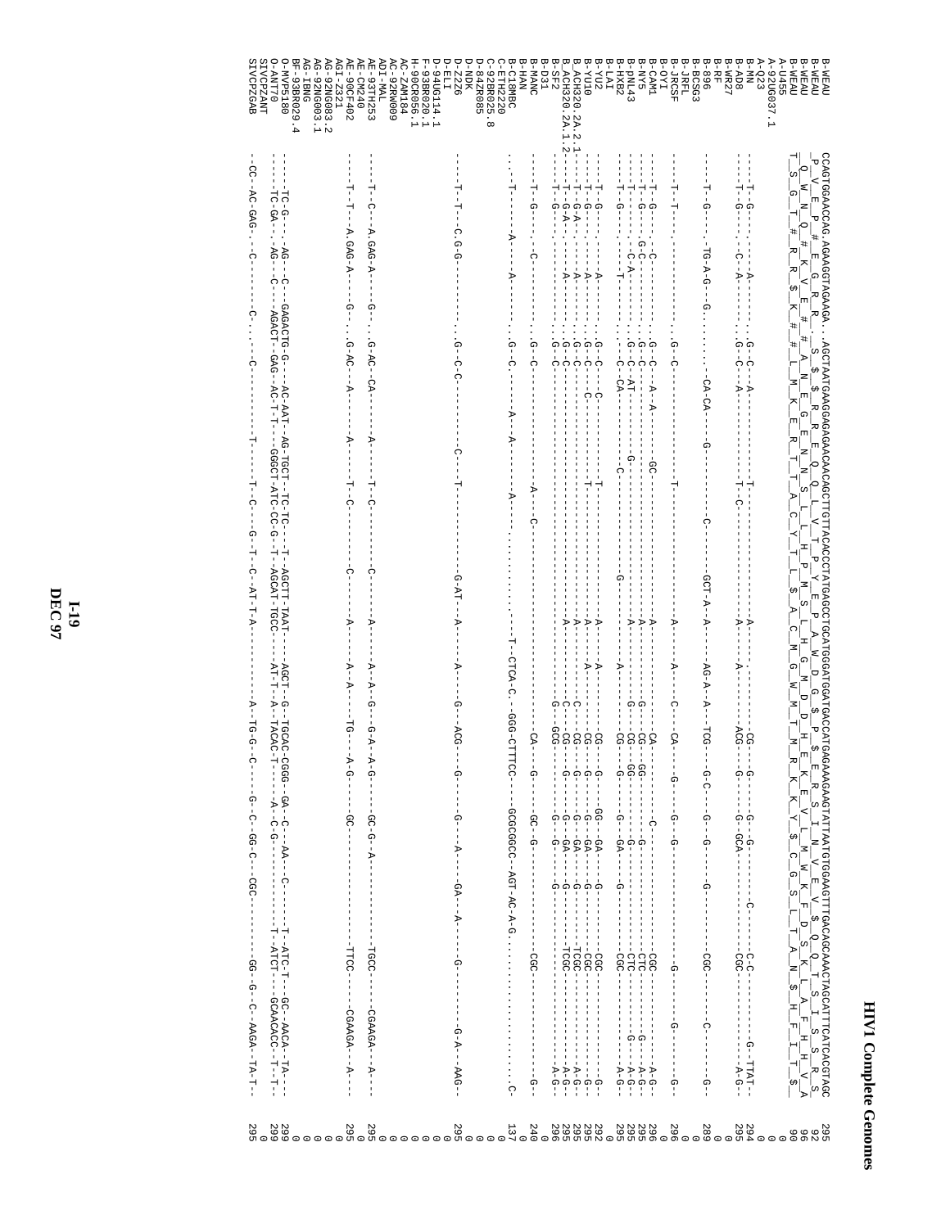| <b>SIVCPZGAB</b>                                   | <b>07TYA-0</b><br>08T55T80<br>BF-93BR029.4<br>SIVCPZANT            | <b>AG-IBNG</b><br>AG-92NG083.2<br>AG-92NG003.1<br><b>AGI-Z321</b> | AE-90CF402                         | AE-93TH253<br>TVM-IOV<br><b>AE-CM240</b>         | AC-92RN009<br><b>AC-ZAM184</b><br>F-93BR020.1<br>H-90CR056.1<br>0-940G114.1<br>LIE-C                                                                                                                                                                                                                                                                                                                                                                                            | $-CDK$<br>$-22Z6$                            | C-ETH2220<br><b>B-C18MBC</b><br>D-84ZR085<br>$-92BRO25.8$       | NAH-8<br>B-MANC                        | $B-D31$<br>$B-SF2$ | ACH320.                              | <b>ACH320</b>                             | $0T\Omega X - B$       | $B-X122$<br>$B-TAT$                            | $B-HXB2$                        | B-pNL43                                            | $B-MZ$<br>B-CAM1                                          | B-OYI<br>B-JRCSF                    | <b>B-BCSG3</b><br>$B - 896$<br>B-JRFL<br>B-RF | $B - AD$ 8<br>$B - WR$ <sub>27</sub><br>$M-8$      | B-WEAU<br><b>B-WEAU</b><br>B-WEAU<br>$A - Q$ 23<br>A-92UG037.1<br><b>B-WEAU</b><br>$A-U455$       |
|----------------------------------------------------|--------------------------------------------------------------------|-------------------------------------------------------------------|------------------------------------|--------------------------------------------------|---------------------------------------------------------------------------------------------------------------------------------------------------------------------------------------------------------------------------------------------------------------------------------------------------------------------------------------------------------------------------------------------------------------------------------------------------------------------------------|----------------------------------------------|-----------------------------------------------------------------|----------------------------------------|--------------------|--------------------------------------|-------------------------------------------|------------------------|------------------------------------------------|---------------------------------|----------------------------------------------------|-----------------------------------------------------------|-------------------------------------|-----------------------------------------------|----------------------------------------------------|---------------------------------------------------------------------------------------------------|
| ဒို<br><b>AC-GAG-</b><br>ή                         | TC-GA-<br>TC-G-<br>H<br>- AG.<br>$AG-$                             |                                                                   | A.GAG-A                            | ۲<br>ا<br>ု<br>$A. GAG - A -$                    |                                                                                                                                                                                                                                                                                                                                                                                                                                                                                 | ∩<br>G<br>۔<br>م                             |                                                                 | $\frac{1}{1}$<br>ဂု<br>$\dot{\vec{Q}}$ |                    | $T--G-R--$                           | --1-1-0-2-                                |                        | $-1 - 1 - 1 - 1$                               | -- 5-- 5--                      | $-1$ $-1$<br>$-5 - 2 -$                            | $-1 - 1 - 0 - -1$<br>۲<br>!<br>ဂု<br>G-C--                | ーー                                  | けー<br>ဂု<br>$-LG-R-G--$                       | トーー<br>$\frac{1}{2}$<br>ဂု<br>Ω<br>$-C--A--$       | Н<br>¦ <del>ی</del><br>0,<br>$\omega$<br>$\frac{1}{4}$<br>Z<br>ရ<br>œ<br>ŋ                        |
|                                                    | $\Omega$<br>ု<br>-GAGACTG-G-                                       |                                                                   | Ģ                                  | ဂှ                                               |                                                                                                                                                                                                                                                                                                                                                                                                                                                                                 |                                              |                                                                 |                                        |                    | $-\Delta -$<br>.<br>ဂ                | $-$ – $\mathrm{A}$ – $-$                  | $- -A - -$             | $-$ – $\mathrm{A}$ – $-$                       |                                 |                                                    | $\therefore$<br>$G-1$                                     |                                     | ດ<br>.                                        | $A -$                                              | G<br>Þ                                                                                            |
|                                                    | AGACT--GAG-<br>AC-T-T<br>AC-AAT--                                  |                                                                   | $-5C-$<br>A-                       | $G-AC$ --<br>CA-                                 |                                                                                                                                                                                                                                                                                                                                                                                                                                                                                 | ω                                            | ဂု<br>∩                                                         | $C = -C -$                             | -0--0-             | $\frac{1}{\Omega}$                   | .<br>- פ-<br>$C -$                        |                        |                                                | -C--CA-                         | $-5 - 0 - -21 -$                                   | Ċ<br>$C -$<br>$-4$<br>A-                                  | .<br>- P<br> <br>Ö                  | $-CA-CA-$                                     | $G -$<br>Ģ<br>ု<br>Ω<br>$\overline{Y}$<br>A-       | Ω<br>ø<br>Ω                                                                                       |
| م<br>ا<br>ဂု                                       | AG-TGCT--<br>-GGGCT-ATC-CC-G--AGCAT-TGCC<br>TC-TC--                |                                                                   | ۲<br>!<br>Q                        | ن<br>ا<br>Q                                      |                                                                                                                                                                                                                                                                                                                                                                                                                                                                                 | ∩                                            |                                                                 | $\overline{r}$<br>ဂု                   |                    |                                      |                                           |                        |                                                | Ģ                               | ဂု                                                 | GC-                                                       |                                     | ဂု<br>Ġ                                       | ーーー<br>C                                           | F<br>Þ<br>Ħ<br>z<br>$\overline{\phantom{a}}$<br>z<br>H<br>_<br>מ<br>$\Omega$                      |
| ۲L<br>$\frac{1}{2}$<br>$A$ T-T-A                   |                                                                    |                                                                   | Q                                  | ∩<br>٢                                           |                                                                                                                                                                                                                                                                                                                                                                                                                                                                                 | ဂု                                           |                                                                 |                                        |                    | ⋗                                    | $\cdot$ – A – $\cdot$                     | $-A-$<br>$-\Delta -$   | $-\Delta -$                                    | ⊅                               | $-\Delta -$                                        | $\overline{Y}$<br>Þ                                       | $\mathbb{F}$<br>⊅                   | $GCT - A - -$<br>$\mathbb{F}$                 | $A -$<br>⊅                                         | Đ<br>ᡃ<br>œ<br>י<br>מ'<br>U<br>¦ဂ                                                                 |
| -0-51<br>$\frac{1}{2}$<br>$\overline{\phantom{a}}$ | <b>AT-TA</b><br>AGCT---<br>⊅<br>ဂု<br><b>TACAC</b><br><b>TGCAC</b> |                                                                   | $\mathbb{F}$<br>⊅<br>ដុ<br>$-A-G-$ | $A - -$<br>÷<br>∽<br>ဂု<br>$-5 - p -$<br>$A-G--$ |                                                                                                                                                                                                                                                                                                                                                                                                                                                                                 | ACG<br>ှ<br>ဂ                                | CTCA-C<br>-GGG-CTT<br>$-20L$                                    | $-CA -$<br>ှု                          | Ω<br>$-GCG -$      | Ω<br>$-50-$<br>$\frac{1}{\Omega}$    | ∩<br>-00-<br>$-$ --0 $-$                  | -00-<br>$-\frac{1}{2}$ | $\overline{A}$<br>$-50-$<br>$- - 0 - -$        | $-50-$<br>$\frac{1}{\Omega}$    | Ω<br>-00-<br>$-90-$                                | Ω<br>$-52-$<br>CA-<br>$-55 -$                             | ှ<br>$-CA$ -                        | $AG-A--$<br>$A - -$<br>-rcg-<br>---0---       | ⊅<br>ACG-<br>$-6-$<br>$-6 -$                       | ω<br>U<br>¦ဂ<br>ŀū<br>σ<br>Đ<br>Ξ<br>!<br>∽<br>ē<br>₩<br>þ                                        |
| G--C--GG-C---CGC-                                  |                                                                    |                                                                   | $-35 -$                            | $-6C - D - P -$                                  |                                                                                                                                                                                                                                                                                                                                                                                                                                                                                 | ဂူ<br>J.<br>$\overline{A}$                   | --GCGCGGCC--AGT-AC-A-G                                          | $-GC - -G - -$<br>п                    | $-9 - -9 - -$<br>Ť | $---C3---C30------C3------C---C---T$ |                                           | $---G---GA---F$<br>ţ   | $\frac{1}{1}$<br>$GG---GA---$<br>$\frac{1}{1}$ | $\frac{1}{1}$<br>$-6 - -6A - -$ | ł<br>J,<br>$\mathbf{I}$                            | ţ<br>$-1 - 1$<br>$-6 - -$                                 | <u>ဂ</u><br>----<br>$\Gamma$<br>ပုံ | ဂု<br>$\frac{1}{1}$<br>$\frac{1}{1}$          | I<br>$G - GCA - -$<br>$-1$<br>$\frac{1}{1}$        | RGAAAGAAGTATTAATGTGGAAGTTTGACAGCAAACTAGCATTTCATCACGTAGC<br>ø<br>ι<br>Ω<br>⊲<br>z<br>p,<br>z<br>ှု |
|                                                    | T<br>т.<br>$-1 - 2 - 2 - 1 - 1 - 1$                                |                                                                   |                                    |                                                  |                                                                                                                                                                                                                                                                                                                                                                                                                                                                                 | $-6A-$<br>$\overline{1}$<br>$\sum_{i=1}^{n}$ |                                                                 | $\frac{1}{1}$                          | နဲ့                |                                      | $\frac{1}{1}$ $\frac{1}{1}$ $\frac{1}{1}$ |                        | $\mathsf I$<br>$\mathbf{I}$                    |                                 | ł                                                  |                                                           |                                     | ှု                                            | т<br>ı<br>I.<br>$\mathsf I$<br>$\frac{1}{2}$<br>I, | ω,<br>'n<br>F<br>'n,<br>۳<br>ا<br>ما<br>፞ፇ                                                        |
|                                                    |                                                                    |                                                                   | -rrcc--                            | TGCC--                                           |                                                                                                                                                                                                                                                                                                                                                                                                                                                                                 | ပုံ                                          |                                                                 | $-CCC - -$                             |                    | $-LOGC--$                            | J                                         | $---CGC---$            | $-0.000 -$                                     | $---CGC---$                     | $---CLC---$<br>Ţ<br>$\frac{1}{1}$<br>$\frac{1}{4}$ | $-$ crc- $-$<br>$-CCC$<br>$\frac{1}{1}$                   | $\frac{1}{\Omega}$<br>$\frac{1}{1}$ | $-CCC$ --<br>ł                                | $-C-C$<br>$-CGC-$                                  | þ<br>Ή<br>įω<br>CΩ<br>F<br>'n<br>'n                                                               |
|                                                    | --GCAACACC---T--<br>$\mathsf I$<br>$\mathbb I$                     |                                                                   | $-CGAAGA---A---$                   | $-CGAAGA---A---$<br>$\mathsf I$<br>I.            |                                                                                                                                                                                                                                                                                                                                                                                                                                                                                 | $G-A$ --<br>-PAG-                            | $\cdots \cdots c-$                                              | $\mathsf I$<br>$\frac{1}{1}$           | $- -p - q - -$     | $- - \Delta - G - -$                 | $- -D - C - -$                            |                        | $-1 - 0 - 1$                                   | $- -p - q - -$                  | $-9 - -$<br>$- -D - D - - -$                       | $\frac{1}{2}$<br>$\Gamma$<br>$- - D - G - -$<br>$-9-9-4-$ | $\Gamma$<br>$\frac{1}{1}$           | Ģ<br>$\mathbf{I}$<br>ှု                       | ł<br>$-12L2L1 - -12L1$<br>$- -p - q - -$           | ŗω.<br>E<br>$\omega$<br>E<br>۲<br>ķΩ<br>ŗω,<br>।<br>  ज्                                          |
| <b>G62</b>                                         |                                                                    |                                                                   |                                    |                                                  | $\begin{array}{ccccc} \text{\tiny{N\tiny{N}}}& & & \text{\tiny{N\tiny{N}}}&\\ \text{\tiny{W\tiny{N}}}& & & \text{\tiny{W\tiny{N}}}&\\ \text{\tiny{W\tiny{N}}}& & & \text{\tiny{W\tiny{N}}}&\\ \text{\tiny{W\tiny{N}}}& & & \text{\tiny{W\tiny{N}}}&\\ \text{\tiny{W\tiny{N}}}& & & \text{\tiny{W\tiny{N}}}&\\ \text{\tiny{W\tiny{N}}}& & & \text{\tiny{W\tiny{N}}}&\\ \text{\tiny{W\tiny{N}}}& & & \text{\tiny{W\tiny{N}}}&\\ \text{\tiny{W\tiny{N}}}& & & \text{\tiny{W\tiny{$ |                                              | $\begin{array}{c} \mathbb{N} \\ \Psi \\ \mathbb{V} \end{array}$ |                                        |                    |                                      |                                           |                        |                                                |                                 |                                                    |                                                           |                                     |                                               |                                                    |                                                                                                   |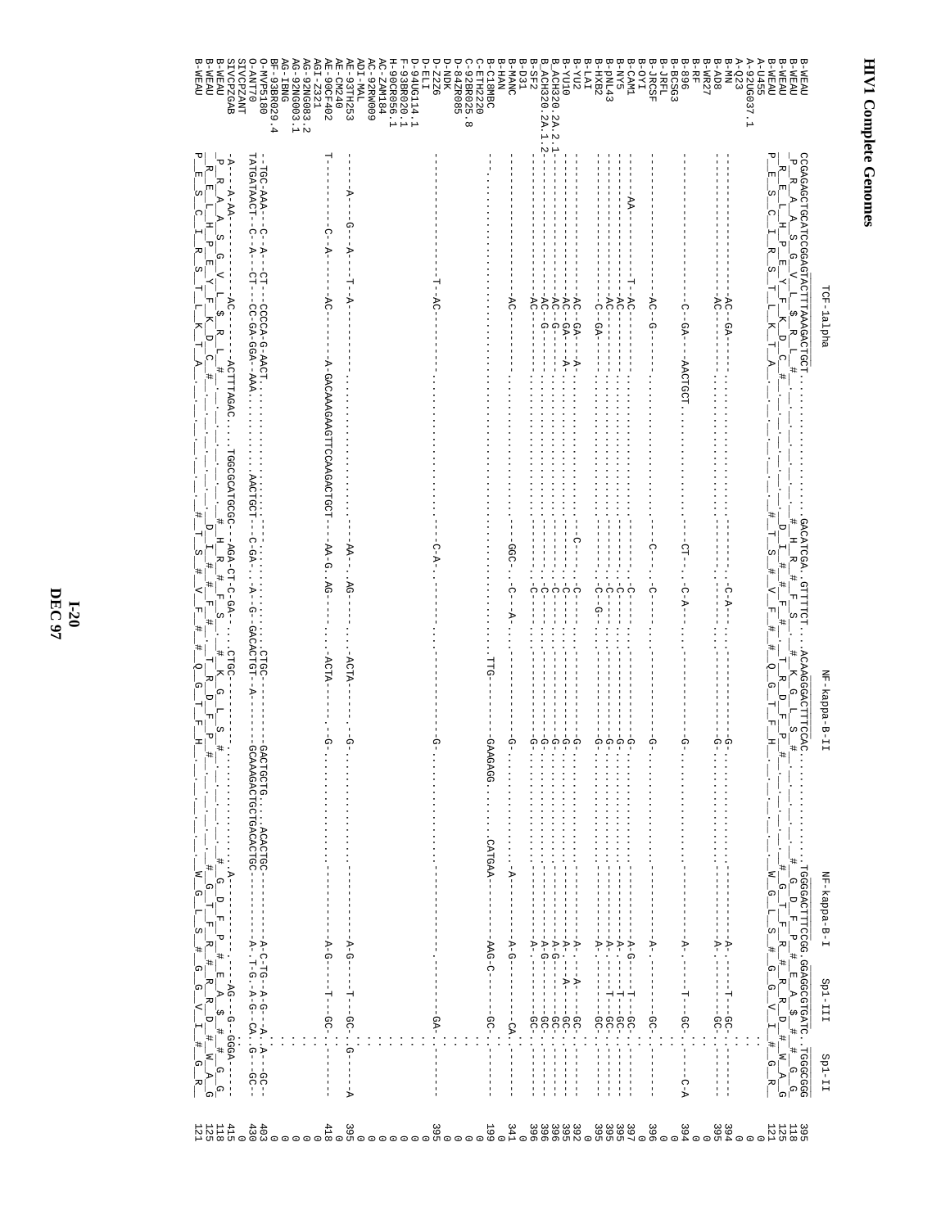| ⋕<br>≲<br> <br>מ'ָ                                                          | ∀<br>⊣<br>먹<br>피<br> <br>ღ<br>ᡃ<br>₩<br>⋕<br>ັດ<br>চা<br>ヵ<br>$-56-$<br>ъ<br>ਸ਼<br>٠m<br>$-6 - - 000A -$<br>p<br>₩<br>$\pm$                                                                                                                                                                                                                                                                                                                                                                                                           | $\pm$<br>#<br>Ъ<br>ົດ<br>ω<br> <br>വ                                                                                                                                                                                                                                                                                                                                                                                                                                                                                          | CTGC<br>#<br>ດ<br>먹<br>ŗΩ<br>ᡃᠣ<br>♯                                        | -AGA-CT-C-GA-<br>IJ<br>'n                       | TGGCGCATGCGC-<br>≖          | RC<br>-ACTTTAGAC.<br>: ا<br>#                    | $\frac{1}{2}$<br>ᡃᠣ<br>PA-AA<br>m<br>τ<br>ଋ<br>団                                   |
|-----------------------------------------------------------------------------|---------------------------------------------------------------------------------------------------------------------------------------------------------------------------------------------------------------------------------------------------------------------------------------------------------------------------------------------------------------------------------------------------------------------------------------------------------------------------------------------------------------------------------------|-------------------------------------------------------------------------------------------------------------------------------------------------------------------------------------------------------------------------------------------------------------------------------------------------------------------------------------------------------------------------------------------------------------------------------------------------------------------------------------------------------------------------------|-----------------------------------------------------------------------------|-------------------------------------------------|-----------------------------|--------------------------------------------------|------------------------------------------------------------------------------------|
| $-1$<br>$\mathbb{A}^-$                                                      | $\blacksquare$<br>$\blacksquare$<br>$\blacksquare$<br>$\blacksquare$<br>$A - .T - G - A - G - - CA$ .<br>$A-C-TG--$<br>$A-G--$<br>$\ddot{\cdot}$                                                                                                                                                                                                                                                                                                                                                                                      | GCAAAGACTGCTGACACTGC<br>ACTGCTGACACTGC--<br>Ť<br>л<br>$\mathbf{I}$<br>л                                                                                                                                                                                                                                                                                                                                                                                                                                                       | GACACTGT--<br>CTGC-<br>⊅<br>⋒                                               | $-C-GA-$<br>ω                                   | AACTGCT-                    | CT-<br>CT-<br>-CC-GA-GGA--AAA<br>CCCCA-G-AACT    | TATGATAACT--<br>$-TGC-AAA-$<br>$C -$<br>i<br>!                                     |
|                                                                             | $A-G-$<br>$\mathbf{I}$<br>부<br>$-35-$                                                                                                                                                                                                                                                                                                                                                                                                                                                                                                 |                                                                                                                                                                                                                                                                                                                                                                                                                                                                                                                               | ACTA<br>Ω                                                                   | $-AA-G.$<br>AG                                  | A-GACAAAGAAGTTCCAAGACTGCT-- | R                                                | н                                                                                  |
| Ω<br>Ť                                                                      | $-5 - 6 -$<br>т<br>I.<br>부<br>$-50 -$<br>$\vdots$                                                                                                                                                                                                                                                                                                                                                                                                                                                                                     |                                                                                                                                                                                                                                                                                                                                                                                                                                                                                                                               | <b>ACTA.</b><br>ω                                                           | RG                                              |                             | Ą<br>⊳                                           | Ģ                                                                                  |
|                                                                             | $\cdot$                                                                                                                                                                                                                                                                                                                                                                                                                                                                                                                               |                                                                                                                                                                                                                                                                                                                                                                                                                                                                                                                               |                                                                             |                                                 |                             |                                                  |                                                                                    |
|                                                                             | $\cdot$                                                                                                                                                                                                                                                                                                                                                                                                                                                                                                                               |                                                                                                                                                                                                                                                                                                                                                                                                                                                                                                                               |                                                                             |                                                 |                             |                                                  |                                                                                    |
|                                                                             | $-6A-$                                                                                                                                                                                                                                                                                                                                                                                                                                                                                                                                |                                                                                                                                                                                                                                                                                                                                                                                                                                                                                                                               |                                                                             | ∩                                               |                             |                                                  |                                                                                    |
| $\mathbf{I}$                                                                | AAG-C<br>-90-                                                                                                                                                                                                                                                                                                                                                                                                                                                                                                                         | AGAGG.<br>$\ddot{\phantom{a}}$<br>$\ddot{\phantom{a}}$<br>$\ddot{\phantom{0}}$<br>-ATGAA-                                                                                                                                                                                                                                                                                                                                                                                                                                     | ᇽ<br>P                                                                      |                                                 |                             |                                                  |                                                                                    |
|                                                                             | $A-G$<br>$-CA$ .                                                                                                                                                                                                                                                                                                                                                                                                                                                                                                                      | $-\Delta -$                                                                                                                                                                                                                                                                                                                                                                                                                                                                                                                   | Ģ                                                                           | -ggc-'<br>$\frac{1}{2}$<br>÷.                   |                             | AC-                                              |                                                                                    |
| J.                                                                          | $\overline{P}$<br>$-90-$                                                                                                                                                                                                                                                                                                                                                                                                                                                                                                              | $\mathbf{I}$                                                                                                                                                                                                                                                                                                                                                                                                                                                                                                                  | ဂှ                                                                          | Ö                                               |                             | AC.                                              |                                                                                    |
| $\mathbb I$<br>$\mathsf I$<br>$\mathbf I$                                   | $\frac{1}{1}$<br>ł<br>$-5-6-$<br>$-A-G--$<br>$\mathbf I$<br>$\blacksquare$<br>$\blacksquare$<br>л<br>$\mathbf{I}$<br>л<br>$\mathbf I$<br>$-C-C - \cdots$<br>$-50 -$<br>$\vdots$                                                                                                                                                                                                                                                                                                                                                       | $\frac{1}{2}$ $\frac{1}{2}$ $\frac{1}{2}$ $\frac{1}{2}$ $\frac{1}{2}$ $\frac{1}{2}$ $\frac{1}{2}$ $\frac{1}{2}$ $\frac{1}{2}$ $\frac{1}{2}$ $\frac{1}{2}$ $\frac{1}{2}$ $\frac{1}{2}$ $\frac{1}{2}$ $\frac{1}{2}$ $\frac{1}{2}$ $\frac{1}{2}$ $\frac{1}{2}$ $\frac{1}{2}$ $\frac{1}{2}$ $\frac{1}{2}$ $\frac{1}{2}$<br>$\vdots$<br>$\blacksquare$<br>$\blacksquare$                                                                                                                                                           | $\frac{1}{\Omega}$<br>ဂ္                                                    | ှ                                               |                             | $AC-$<br>ΆĊ<br>ဂု<br>ဂု                          |                                                                                    |
| $\mathbf{I}$<br>$\mathbf I$<br>$\mathbf I$<br>$\mathbf I$                   | $\mathbf{I}$<br>J.<br>Ť<br>ł<br>$\overline{P}$<br>$A-$ . -<br>$\mathsf I$<br>$\frac{1}{1}$<br>$\frac{1}{1}$<br>$\sum_{i=1}^{n}$<br>$\ddot{\vec{r}}$<br>$\frac{1}{1}$<br>Ţ<br>$\mathbf{I}$<br>$\mathbb I$<br>$-90 -$<br>$-90 -$                                                                                                                                                                                                                                                                                                        | .<br>$\vdots$<br>$\vdots$<br>$\mathbf{I}$<br>$\mathbf{I}$<br>$\mathbf{I}$                                                                                                                                                                                                                                                                                                                                                                                                                                                     | $\frac{1}{\Omega}$<br>ဂု                                                    | $\begin{array}{c} 1 \\ 0 \\ 1 \end{array}$<br>ှ |                             | $AC--CA---$<br>$AC--CA-$<br>$-$ A $-$ .<br>$-4-$ |                                                                                    |
| $\mathbf I$                                                                 | $\frac{1}{1}$<br>$\overline{Y}$<br>$\mathbf{I}$<br>$\mathbf{I}$<br>$\mathbf{I}$<br>$\mathbf{I}$<br>$\mathbf{I}$<br>$-GC - . -$                                                                                                                                                                                                                                                                                                                                                                                                        | $\mathbf{I}$                                                                                                                                                                                                                                                                                                                                                                                                                                                                                                                  | ဂှ                                                                          | $\overline{C}$<br>ငှ                            |                             | $\frac{1}{2}$<br>-VD                             |                                                                                    |
| $\mathbb{I}$<br>J.                                                          | $\blacksquare$<br>л<br>ł<br>$\ddot{\mathbf{r}}$ .<br>$\mathbf{I}$<br>J.<br>ŧ<br>Ť<br>$-ccc-$                                                                                                                                                                                                                                                                                                                                                                                                                                          | $\vdots$<br>$\frac{1}{2}$ $\frac{1}{2}$ $\frac{1}{2}$ $\frac{1}{2}$ $\frac{1}{2}$ $\frac{1}{2}$ $\frac{1}{2}$ $\frac{1}{2}$ $\frac{1}{2}$ $\frac{1}{2}$ $\frac{1}{2}$ $\frac{1}{2}$ $\frac{1}{2}$ $\frac{1}{2}$ $\frac{1}{2}$ $\frac{1}{2}$ $\frac{1}{2}$ $\frac{1}{2}$ $\frac{1}{2}$ $\frac{1}{2}$ $\frac{1}{2}$ $\frac{1}{2}$<br>$\vdots$<br>$\vdots$<br>$\vdots$<br>$\mathbf{I}$                                                                                                                                           | ဂု                                                                          | ှ                                               |                             | AC                                               |                                                                                    |
| $\mathbb{I}$<br>$\mathbb I$<br>$\mathbf I$                                  | $\overline{1}$<br>$\mathbf{I}$<br>$\mathbf{I}$<br>$\mathbf{I}$<br>$-4-1$<br>$-A-G-$<br>$\mathbf I$<br>$\mathbf{I}$<br>$\overline{1}$<br>$\mathbf{I}$<br>ţ<br>$\mathbf{I}$<br>$\mathbb I$<br>۲Ļ<br>۲Ļ<br>$-ccc-$<br>$-cc$ - $-c$<br>$\cdot$                                                                                                                                                                                                                                                                                            | $\vdots$<br>$\overline{1}$                                                                                                                                                                                                                                                                                                                                                                                                                                                                                                    | ဂှ<br>ဂု                                                                    | ှ<br>∩                                          |                             | 부<br>$AC-$<br>RC                                 | ₿                                                                                  |
|                                                                             | $\blacksquare$<br>$\blacksquare$<br>$\frac{1}{2}$<br>$-GC-$<br>$\ddot{\cdot}$                                                                                                                                                                                                                                                                                                                                                                                                                                                         |                                                                                                                                                                                                                                                                                                                                                                                                                                                                                                                               | ဂ္                                                                          | ∩<br>∩                                          |                             | ð                                                |                                                                                    |
| $\mathbb I$<br>$\mathbf{I}$                                                 | $\frac{1}{2}$<br>л<br>л.<br>$\mathbb{I}$<br>부<br>$-90-$<br>:                                                                                                                                                                                                                                                                                                                                                                                                                                                                          |                                                                                                                                                                                                                                                                                                                                                                                                                                                                                                                               | Ω                                                                           | CT-<br>$C - A -$                                |                             | ှ<br>$-62 -$<br>AACTGCT.                         |                                                                                    |
| $\mathsf I$<br>$\overline{1}$<br>$\overline{\phantom{a}}$<br>$\blacksquare$ | J.<br>$\overline{\phantom{a}}$<br>$\blacksquare$<br>$\overline{1}$<br>$\overline{1}$<br>$\overline{A}$<br>$\overline{P}$<br>$\cdot$<br>$\mathbf{I}$<br>л<br>1<br>$\overline{1}$<br>$-1$<br>$\overline{\phantom{a}}$<br>$-C-C - \cdots$<br>$6c-1$                                                                                                                                                                                                                                                                                      | $\vdots$<br>$\frac{1}{2}$ : $\frac{1}{2}$ : $\frac{1}{2}$ : $\frac{1}{2}$<br>$\vdots$<br>$\cdot$<br>$\vdots$<br>$\cdot$<br>$\bullet$<br>$\frac{1}{2}$ $\frac{1}{2}$ $\frac{1}{2}$ $\frac{1}{2}$ $\frac{1}{2}$ $\frac{1}{2}$ $\frac{1}{2}$ $\frac{1}{2}$ $\frac{1}{2}$ $\frac{1}{2}$ $\frac{1}{2}$ $\frac{1}{2}$ $\frac{1}{2}$ $\frac{1}{2}$ $\frac{1}{2}$ $\frac{1}{2}$ $\frac{1}{2}$ $\frac{1}{2}$ $\frac{1}{2}$ $\frac{1}{2}$ $\frac{1}{2}$ $\frac{1}{2}$<br>$\cdot$<br>$\mathbf{I}$<br>$\blacksquare$<br>1<br>$\mathbf{I}$ | ω<br>ဂ္                                                                     | $C - A -$                                       |                             | AC-<br>$AC-$<br>- VD                             |                                                                                    |
| ≒<br>₩<br>≾                                                                 | $\begin{tabular}{lllll} \bf \textit{TPGGG} & \tt \it \textit{GFGGGCTGATC} \\ \bf \it \textit{TGGG} & \tt \it \textit{GFGGCTGATC} \\ \bf \it \textit{TGGG} & \tt \it \textit{GFGGCTGATC} \\ \bf \it \textit{GGGCTGATC} & \tt \it \textit{GF} \\ \bf \it \textit{GGGCTG} & \tt \it \textit{GF} \\ \bf \it \textit{GG} & \tt \it \textit{GF} \\ \bf \it \textit{GG} & \tt \it \textit{GF} \\ \bf \it \textit{GG} & \$<br>H<br>F<br>'n<br>ŗω.<br>R<br>$\pm$<br>#<br>ຸດ<br>.<br>Þξ<br>ັດ<br>ਸ਼<br>⊲<br>ď<br>$\textcolor{blue}{\textbf{+}}$ | $\textcolor{black}{\textcolor{black}{\textbf{+}}}$<br>≋<br>'က<br>ِ`Ω                                                                                                                                                                                                                                                                                                                                                                                                                                                          | <b>ACAAGGGACTTTCCAC</b><br>ຸດ<br>ヮ<br>F<br>피<br>피<br>ŗΩ<br>Д<br>E<br>⋕<br># | m<br><b>GTTTTCT</b><br>ŋ<br>IJ<br>먹<br>CΩ       |                             | rg<br>╘<br>٠m<br>₩<br>U<br>jF<br>Q<br>$\pm$<br># | ₩<br>CCGAGAGCTGCATCCGGAGTACTTTAAAGACTGCT.<br>ᡃᠣ<br>E<br>囝<br>m<br>д<br>Ω<br>Ħ<br>m |
| <b>TGGGCGGG</b>                                                             |                                                                                                                                                                                                                                                                                                                                                                                                                                                                                                                                       |                                                                                                                                                                                                                                                                                                                                                                                                                                                                                                                               |                                                                             | GACATCGA.                                       |                             |                                                  |                                                                                    |
| II-IdS                                                                      | NF-kappa-B-I<br>III-IdS                                                                                                                                                                                                                                                                                                                                                                                                                                                                                                               |                                                                                                                                                                                                                                                                                                                                                                                                                                                                                                                               | NF-kappa-B-II                                                               |                                                 |                             | TCF-1alpha                                       |                                                                                    |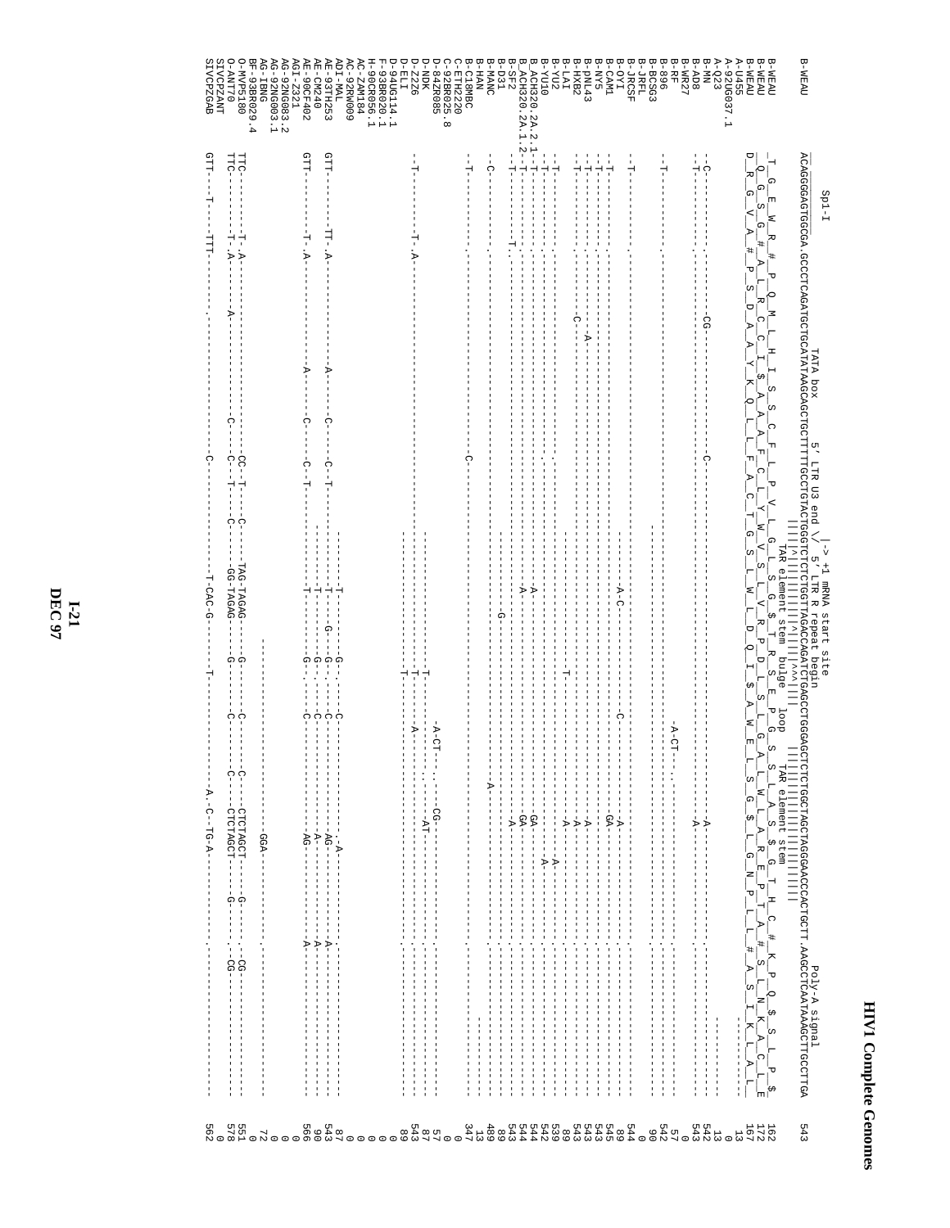| $2 - T -$<br> <br>ד<br>ד<br>CTT-<br><b>TTC</b><br>CTT-<br>TTC-<br>$\frac{1}{1}$<br>ı<br>∀<br>л<br>$\overline{\phantom{a}}$<br>÷<br>넊<br>부<br>÷<br>부<br>님<br>Ļ<br>л<br>å<br>부<br>ဂုံ<br>Ġ<br>€<br>년<br>O<br>₩<br>Ω<br>ഹ<br>団<br>റ<br>녀<br>보<br>년<br>j.<br>;<br>ъ<br>ᡃ<br>Δ<br>m<br>∀<br>ъ<br>∩<br>င္ပင္<br>⊅<br>Ω<br>m<br>Ю<br>CΟ<br>Ò<br>Ω<br>∩<br>∩<br>피<br>먹<br>ှ<br>피<br>cc-<br>n<br>Ω<br>ု<br>ု<br>л<br>Q<br>부<br>Δ<br>∩<br>Ω<br>Ω<br>൧<br>Ω<br>TAR<br>$\rightarrow$<br>m<br>TAG-TAGAG-<br>-GG-TAGAG<br>CΩ<br>lement<br>부<br>⊅<br>부<br>부<br>⋗<br>$\mathbb{F}$<br>Σ<br>ົດ<br>റ<br>start<br>Wτ<br>Ģ<br>stem<br>$\overline{\phantom{a}}$<br>ဂု<br>∀<br>Ч<br>Ю<br>$\overline{\phantom{a}}$<br>ှ<br>bulge<br>ω<br>ω<br>ဂု<br>ဂု<br>Ω<br>$\checkmark$<br>ŗω<br>н<br>н<br>WΣ<br>ø<br>ω<br>اہ<br>صور<br>ام<br>$\mathbf{I}$<br>Q<br>Q<br>ΩO<br>C<br>G<br>G<br>Σ<br>$A-CT$<br>$A-CT$<br>$\mathbb{F}$<br>ഹ<br>'n<br>ŗω<br>$\overline{1}$<br>I<br>$\mathbf{I}$<br>$\mathbf I$<br>$\mathsf I$<br>I<br>$\mathbf I$<br>ኈ<br>Ţ<br>$\frac{1}{1}$<br>$\mathsf I$<br>$\mathbf I$<br>F<br>$\overline{\phantom{a}}$<br>- 2<br>- 2<br>- 2<br>$\mathbf{I}$<br>$\mathbf{I}$<br>$\mathbf{I}$<br>т<br>ł<br>-1<br>$\blacksquare$<br>$\overline{1}$<br>л<br>п<br>л<br>л<br>$\overline{1}$<br>$\blacksquare$<br>т.<br>п<br>ΩO<br>$\mathbb{I}$<br>$\vdots$<br>$\mathbb{I}$<br>$\mathsf I$<br>$\ddot{\phantom{0}}$<br>$\mathbb I$<br>$\vdots$<br>$\mathbf I$<br>J.<br>$\mathsf I$<br>1<br>⊢<br>$\mathbf{I}$<br>$\ddot{\phantom{0}}$<br>$\overline{\phantom{a}}$<br>J.<br>$\mathbf I$<br>$\overline{1}$<br>$\mathsf I$<br>$\mathsf I$<br>$\mathsf I$<br>ŗΩ.<br>$\mathsf I$<br>J<br>J.<br>J.<br>$\mathbf{I}$<br>J.<br>$\mathbf{I}$<br>$\frac{1}{2}$<br>$\blacksquare$<br>$\frac{1}{1}$<br>$\blacksquare$<br>J.<br>л<br>$\mathbf{I}$<br>-1<br>J,<br>A-<br>$\mathbf{I}$<br>$\mathbf{I}$<br>J.<br>$\mathbf{I}$<br>$\blacksquare$<br>$\mathbf{I}$<br>$\overline{1}$<br>J.<br>J.<br>$\overline{1}$<br>$\blacksquare$<br>$\mathbf{I}$<br>$\blacksquare$<br>$\mathsf I$<br>$\blacksquare$<br>L.<br>$\blacksquare$<br>л<br>element<br>Ξ<br>$\mathbf{I}$<br>$\blacksquare$<br>$\mathbf{I}$<br>- 11<br>$\mathbf{I}$<br>л<br>$\mathbf{I}$<br>л<br>-1<br>$\blacksquare$<br>л<br>H.<br>т.<br>л.<br>-1<br>$\overline{1}$<br>п<br>$\overline{1}$<br>л<br>1<br>$\overline{1}$<br>п<br>$\mathbf{I}$<br>L.<br>$---GA---$<br>ັດ<br>$\mathbf I$<br>$\mathbf I$<br>$\mathsf I$<br>I.<br>1<br>I.<br>$\mathsf I$<br>$\mathbf I$<br>J.<br>$\overline{\phantom{a}}$<br>$\mathsf I$<br>-1<br>$\blacksquare$<br>$\blacksquare$<br>$\mathbf{I}$<br>$\mathbf{I}$<br>$-00 -$<br>л<br>$\blacksquare$<br>L.<br>$\mathbf{I}$<br>$- - GA - -$<br>$\mathbf{I}$<br>$\blacksquare$<br>Ť<br>$\blacksquare$<br>$\mathbf{I}$<br>$\mathbf{I}$<br>$\frac{1}{2}$<br>$\blacksquare$<br>$\blacksquare$<br>$\blacksquare$<br>$\mathbf{I}$<br>L.<br>- 11<br>ב<br>л<br>-CTCTAGCT--<br>-CTCTAGCT--<br>$\begin{array}{c} \begin{array}{c} \cdot \end{array} & \cdot \end{array} \begin{array}{c} \cdot \end{array} \begin{array}{c} \cdot \end{array}$ $\begin{array}{c} \Delta \end{array}$<br>$\mathsf I$<br>$\mathbf{I}$<br>$\blacksquare$<br>$\mathbf{I}$<br>L.<br>$\mathbf{I}$<br>$\mathbf{I}$<br>L.<br>$\blacksquare$<br>ь<br>H.<br>$\mathbf{I}$<br>-1<br>л<br>$\mathbf{I}$<br>$\overline{1}$<br>$\mathbf{I}$<br>$-55-$<br>j<br>$\mathbb T$<br>$\mathbb{I}$<br>$\mathbb{I}$<br>$\mathbb I$<br>$\mathbf I$<br>$\mathbb{L}$<br>$\mathbb I$<br>$\mathbb I$<br>$\mathsf I$<br>٠m<br>J,<br>$\overline{\phantom{a}}$<br>т<br>$\ddot{\vec{r}}$<br>ω<br>Ţ<br>$---A---$<br>$---DG---$<br>$-14$<br>$\mathsf I$<br>$\mathbf{I}$<br>ъ<br>$\mathbb T$<br>$\blacksquare$<br>$\mathbf I$<br>$\mathsf I$<br>R<br>$\overline{\phantom{a}}$<br>$-GGA - -$<br>$- - - - - - -$<br>Ĩ.<br>Ŧ<br>$\blacksquare$<br>$\blacksquare$<br>L.<br>$\blacksquare$<br>$\blacksquare$<br>Ĩ,<br>ŧ<br>$\overline{\phantom{a}}$<br>$\blacksquare$<br>$\mathbf{I}$<br>$\blacksquare$<br>ŧ<br>$\frac{1}{1}$<br>.e<br>п<br>л<br>RG<br>⊢<br>$\mathbf{I}$<br>т.<br>$\blacksquare$<br>$\blacksquare$<br>$\frac{1}{2}$<br>$\overline{1}$<br>$\overline{1}$<br>$\mathbf{I}$<br>H.<br>$\mathbf{I}$<br>л<br>$\blacksquare$<br>stem<br>Stem<br>$\mathbf I$<br>J.<br>$\mathsf I$<br>$\mathbb I$<br>$\mathbf I$<br>$\mathbf I$<br>$\mathbf I$<br>$\mathbf I$<br>ਂਸ਼<br>$\blacksquare$<br>$\blacksquare$<br>$\blacksquare$<br>L.<br>$\mathbf{I}$<br>$\mathbf{I}$<br>$\mathbf{I}$<br>$\frac{1}{1}$<br>$\mathbb{V}^{-}$<br>ł<br>Ţ<br>$\mathbf{I}$<br>$\mathbf{I}$<br>$\frac{1}{1}$<br>$\blacksquare$<br>$\blacksquare$<br>$\blacksquare$<br>$\frac{1}{1}$<br>$\blacksquare$<br>$\mathbf{I}$<br>$\blacksquare$<br>$\blacksquare$<br>-1<br>л<br>ຸດ<br>.<br>$\mathbf{I}$<br>J.<br>J.<br>$\frac{1}{4}$<br>1<br>$\frac{1}{1}$<br>$\blacksquare$<br>$\mathbf{I}$<br>$\frac{1}{1}$<br>L.<br>$\mathbf{I}$<br>т<br>$\mathbf{I}$<br>-1<br>$\overline{1}$<br>т<br>$\mathbf{I}$<br>т.<br>$\mathbf{I}$<br>$\blacksquare$<br>$\mathbb I$<br>$\mathbb{I}$<br>$\mathbb{I}$<br>$-\mathbf{A}$<br>$\mathsf I$<br>$\mathbf{I}$<br>$\mathbf{I}$<br>1<br>$\mathbf{I}$<br>$\mathbf{I}$<br>$\mathbf{I}$<br>$\frac{1}{2}$<br>$\mathbf{I}$<br>$\overline{\phantom{a}}$<br>J.<br>$\mathsf I$<br>I<br>I.<br>$\mathbf{I}$<br>$\mathbb I$<br>$\mathbf I$<br>$\mathsf I$<br>$\begin{array}{c} \hline \end{array}$<br>$\mathsf I$<br>Ħ<br>$\mathbf{I}$<br>I.<br>$\mathbf{I}$<br>J,<br>k<br>ţ<br>$\frac{1}{1}$<br>$\mathbf{I}$<br>$\blacksquare$<br>$\mathbf{I}$<br>$\blacksquare$<br>J.<br>$\mathbf{I}$<br>J.<br>$\overline{1}$<br>$\blacksquare$<br>$\overline{1}$<br>L.<br>L.<br>$\mathbf{I}$<br>$\mathbf{I}$<br>$\blacksquare$<br>$\blacksquare$<br>$\mathbf{I}$<br>$\mathsf I$<br>$\blacksquare$<br>$\mathbf{I}$<br>$\mathbf{I}$<br>$\blacksquare$<br>$\mathbf{I}$<br>$\mathbf{I}$<br>л<br>Η<br>$\mathbf{I}$<br>$\mathbf{I}$<br>$\overline{1}$<br>$\overline{1}$<br>$\mathbf{I}$<br>$\blacksquare$<br>$\blacksquare$<br>$\mathbf{I}$<br>$\blacksquare$<br>$\mathbf{I}$<br>$\mathbf{I}$<br>$\mathbf{I}$<br>1<br>H.<br>$\mathbf{I}$<br>л<br>л<br>$\overline{1}$<br>H.<br>H.<br>т<br>Ţ<br>$\begin{array}{c} \rule{0pt}{2.5ex} \rule{0pt}{2.5ex} \rule{0pt}{2.5ex} \rule{0pt}{2.5ex} \rule{0pt}{2.5ex} \rule{0pt}{2.5ex} \rule{0pt}{2.5ex} \rule{0pt}{2.5ex} \rule{0pt}{2.5ex} \rule{0pt}{2.5ex} \rule{0pt}{2.5ex} \rule{0pt}{2.5ex} \rule{0pt}{2.5ex} \rule{0pt}{2.5ex} \rule{0pt}{2.5ex} \rule{0pt}{2.5ex} \rule{0pt}{2.5ex} \rule{0pt}{2.5ex} \rule{0pt}{2.5ex} \rule{0$<br>Ή.<br>'ত<br>$\frac{1}{4}$<br>ှု ဂုံ<br>L.<br>$\mathbf{I}$<br>Ţ<br>Ţ<br>J.<br>$\blacksquare$<br>$\blacksquare$<br>$\overline{1}$<br>L.<br>л<br>$\blacksquare$<br>Ţ<br>$\overline{1}$<br>J.<br>J.<br>$\overline{1}$<br>$\blacksquare$<br>$\mathbf{I}$<br>$\mathbf{I}$<br>$\frac{1}{4}$<br>$\mathbf{I}$<br>$\mathbf{I}$<br>л<br>л<br>п<br>$\blacksquare$<br>Έ<br>$\mathbf{I}$<br>$\blacksquare$<br>$\mathbf{I}$<br>$\blacksquare$<br>L.<br>$\blacksquare$<br>H.<br>$\mathbf{I}$<br>л<br>$\overline{1}$<br>л<br>л<br>$\mathbf{I}$<br>$\mathbf{I}$<br>л<br>1<br>$\overline{1}$<br>$\mathbf{I}$<br>$\mathsf I$<br>Η<br>I.<br>$\mathbb{I}$<br>$\mathsf I$<br>L<br>$\mathbb I$<br>$\overline{1}$<br>$\mathbb I$<br>$\mathbf I$<br>$\mathbf I$<br>$\mathbf I$<br>$\mathbf I$<br>$\mathsf I$<br>F<br>$\mathbf{I}$<br>'n<br>л<br>$\blacksquare$<br>$\frac{1}{1}$<br>$\frac{1}{1}$<br>J.<br>$\mathbf{I}$<br>ł<br>$\mathbf{I}$<br>п<br>J.<br>$\frac{1}{1}$<br>ł<br>L.<br>$\mathbf{I}$<br>$\mathbf{I}$<br>л<br>$\blacksquare$<br>î.<br>$\mathbf I$<br>ъ<br>т<br>т<br>J,<br>1<br>$\mathsf I$<br>$\frac{1}{4}$<br>$-4-1$<br>I.<br>Ţ<br>$\begin{array}{c} \hline \end{array}$<br>$\,$ I<br>I<br>$\begin{array}{c} \hline \end{array}$<br>$\frac{1}{4}$<br>$\mathbf I$<br>$\mathbf I$<br>$\frac{1}{1}$<br>$\,$ I<br>F<br>$\overline{\phantom{a}}$<br>I<br>J,<br>J.<br>J,<br>I<br>⋕<br>$\mathbf{I}$<br>$\blacksquare$<br>$\mathbf{I}$<br>$\blacksquare$<br>J.<br>I.<br>$\blacksquare$<br>$\blacksquare$<br>л<br>$\blacksquare$<br>- 11<br>$\mathbf{I}$<br>$\mathbf{I}$<br>$\blacksquare$<br>$\frac{1}{1}$<br>$\overline{\phantom{a}}$<br>- 1<br>J.<br>$\overline{\phantom{a}}$<br>$\blacksquare$<br>$\blacksquare$<br>$\blacksquare$<br>$\blacksquare$<br>$\mathbf{I}$<br>J.<br>-1<br>-1<br>$\overline{A}$<br>А<br>÷<br>$\bullet$<br>$\cdot$<br>$\bullet$<br>$\cdot$<br>$\cdot$<br>$\cdot$<br>$\bullet$<br>$\cdot$<br>$\cdot$<br>⋕<br>$\cdot$<br>$\bullet$<br>۰<br>$\cdot$<br>٠<br>$\mathbf I$<br>$\,$ I<br>$\mathbb{I}$<br>'n<br>$\mathbb{I}$<br>f,<br>$\mathbb{I}$<br>$\mathbf I$<br>$\overline{1}$<br>Ï<br>Ï<br>$\overline{1}$<br>$\mathbf{I}$<br>$\mathbf I$<br>$\mathbb{I}$<br>$\mathbf I$<br>₩<br>$\overline{1}$<br>$\frac{1}{9}$ $\frac{1}{9}$<br>J.<br>$\mathbf I$<br>$\mathsf I$<br>Ţ<br>J<br>$\overline{\phantom{a}}$<br>'nΩ<br>$\blacksquare$<br>$\blacksquare$<br>$\mathbf{I}$<br>H.<br>$\mathbf{I}$<br>л<br>$\overline{1}$<br>л<br>$\mathbf{I}$<br>т.<br>п<br>$\overline{1}$<br>f,<br>$\mathbb{I}$<br>ኳ<br>J.<br>$\mathbf I$<br>$\overline{1}$<br>$\mathbf{I}$<br>$\mathbb I$<br>$\mathbf{I}$<br>J.<br>$\mathsf I$<br>$\mathsf I$<br>Ψ<br>$\blacksquare$<br>J.<br>л<br>$\mathbf{I}$<br>$\mathbf{I}$<br>$\mathbf{I}$<br>J.<br>$\blacksquare$<br>$\mathbf{I}$<br>л<br>$\overline{\phantom{a}}$<br>T<br>L.<br>$\mathbf{I}$<br>٣<br>л<br>īΩ<br>J.<br>$\mathbf{I}$<br>$\mathbf{I}$<br>л<br>$\mathbf{I}$<br>$\mathbf{I}$<br>л<br>л<br>$\overline{1}$<br>т.<br>ю<br>$\mathbf I$<br>$\mathbf I$<br>$\mathsf I$<br>I.<br>z<br>$\mathbf{I}$<br>$\mathbf{I}$<br>J.<br>J.<br>$\overline{1}$<br>$\mathbf{I}$<br>L.<br>$\mathbf{I}$<br>л<br>$\mathbf{I}$<br>$\mathbf{I}$<br>л<br>л<br>$\mathbf{I}$<br>л<br>л<br>$\mathbf{I}$<br>L.<br>$\mathbf I$<br>$\mathbf I$<br>$\mathsf I$<br>$\mathbb I$<br>wτ<br>J.<br>$\mathbf{I}$<br>$\mathbf I$<br>$\mathbf{I}$<br>$\mathbf I$<br>$\mathbf I$<br>$\mathbf I$<br>$\mathsf I$<br>$\mathsf I$<br>$\mathbf{I}$<br>$\overline{\phantom{a}}$<br>$\mathbf{I}$<br>$\blacksquare$<br>J.<br>J.<br>$\overline{\phantom{a}}$<br>J.<br>J.<br>$\overline{1}$<br>J.<br>$\mathbf{I}$<br>$\mathbf{I}$<br>$\overline{1}$<br>Ţ<br>$\mathbf{I}$<br>ŧ<br>$\mathbf{I}$<br>л<br>л<br>$\blacksquare$<br>$\blacksquare$<br>п<br>$\blacksquare$<br>מ'<br>$\mathbb I$<br>$\mathbf{I}$<br>J.<br>J.<br>J.<br>1<br>$\mathbf{I}$<br>л<br>п<br>$\mathbf{I}$<br>л<br>$\overline{1}$<br>$\blacksquare$<br>л<br>-1<br>-1<br>$\overline{1}$<br>$\mathbf{I}$<br>л<br>1<br>$\overline{1}$<br>л<br>$\overline{1}$<br>-1<br>$\mathbf I$<br>$\mathbb{I}$<br>$\mathbf I$<br>$\mathbb{I}$<br>$\mathsf I$<br>$\mathbb{I}$<br>$\mathbf I$<br>$\mathbf I$<br>I<br>$\overline{\phantom{a}}$<br>$\mathbf I$<br>$\overline{1}$<br>$\mathbf I$<br>$\mathbf{I}$<br>$\,$ $\,$<br>ı<br>л<br>$\mathbf{I}$<br>$\overline{1}$<br>п<br>J.<br>$\overline{\phantom{a}}$<br>л<br>л<br>$\mathbf{I}$<br>$\mathbf{I}$<br>J.<br>$\frac{1}{1}$<br>$\overline{\phantom{a}}$<br>$\mathbf{I}$<br>I.<br>Ť<br>$\overline{\phantom{a}}$<br>ı<br>п<br>п<br>Ή<br>$\frac{1}{4}$<br>J.<br>$\overline{\phantom{a}}$<br>$\frac{1}{1}$<br>$\mathbf{I}$<br>л<br>п<br>$\mathbf{I}$<br>л<br>$\mathbf{I}$<br>$\blacksquare$<br>л<br>т<br>$\overline{1}$<br>H.<br>т.<br>H.<br>-1<br>$\overline{1}$<br>$\overline{1}$<br>1<br>л<br>$\overline{1}$<br>$\blacksquare$<br>т.<br>л<br>ш<br>Ï<br>$\overline{1}$<br>$\overline{1}$<br>$\mathbb I$<br>$\mathbb{I}$<br>J.<br>$\mathbf I$<br>Ï<br>$\mathbf I$<br>J.<br>J.<br>$\overline{1}$<br>$\overline{1}$<br>1<br>Q<br>J.<br>$\overline{\phantom{a}}$<br>J.<br>Ţ<br>$\mathsf I$<br>I.<br>ъ<br>J,<br>$\mathbf{I}$<br>$\overline{\phantom{a}}$<br>J<br>$\overline{\phantom{a}}$<br>٣<br>J.<br>$\mathbf{I}$<br>$\blacksquare$<br>$\mathbf{I}$<br>J.<br>$\blacksquare$<br>$\mathbf{I}$<br>$\blacksquare$<br>I<br>J.<br>$\overline{\phantom{a}}$<br>J.<br>J.<br>J.<br>$\overline{\phantom{a}}$<br>$\mathbf{I}$<br>$\mathbf{I}$<br>I<br>J.<br>$\overline{\phantom{a}}$<br>J.<br>$\mathbf{I}$<br>$\overline{\phantom{a}}$<br>T<br>T<br>$\overline{\phantom{a}}$<br>л<br>п<br>л<br>$\mathbf{I}$<br>л<br>$\mathbf{I}$<br>п<br>л<br>$\mathbf{I}$<br>-1<br>$\mathbf{I}$<br>л<br>п<br>$\overline{1}$<br>H.<br>л<br>$\overline{1}$<br>л<br>I<br>л<br>п<br>$\overline{1}$<br>$\mathbf{I}$<br>$\overline{1}$<br>т.<br>-1 |                    | $A. -C - TG - A$ | J. |      | T-CAC-G                                 |  |  | GTT-<br>-111 |
|---------------------------------------------------------------------------------------------------------------------------------------------------------------------------------------------------------------------------------------------------------------------------------------------------------------------------------------------------------------------------------------------------------------------------------------------------------------------------------------------------------------------------------------------------------------------------------------------------------------------------------------------------------------------------------------------------------------------------------------------------------------------------------------------------------------------------------------------------------------------------------------------------------------------------------------------------------------------------------------------------------------------------------------------------------------------------------------------------------------------------------------------------------------------------------------------------------------------------------------------------------------------------------------------------------------------------------------------------------------------------------------------------------------------------------------------------------------------------------------------------------------------------------------------------------------------------------------------------------------------------------------------------------------------------------------------------------------------------------------------------------------------------------------------------------------------------------------------------------------------------------------------------------------------------------------------------------------------------------------------------------------------------------------------------------------------------------------------------------------------------------------------------------------------------------------------------------------------------------------------------------------------------------------------------------------------------------------------------------------------------------------------------------------------------------------------------------------------------------------------------------------------------------------------------------------------------------------------------------------------------------------------------------------------------------------------------------------------------------------------------------------------------------------------------------------------------------------------------------------------------------------------------------------------------------------------------------------------------------------------------------------------------------------------------------------------------------------------------------------------------------------------------------------------------------------------------------------------------------------------------------------------------------------------------------------------------------------------------------------------------------------------------------------------------------------------------------------------------------------------------------------------------------------------------------------------------------------------------------------------------------------------------------------------------------------------------------------------------------------------------------------------------------------------------------------------------------------------------------------------------------------------------------------------------------------------------------------------------------------------------------------------------------------------------------------------------------------------------------------------------------------------------------------------------------------------------------------------------------------------------------------------------------------------------------------------------------------------------------------------------------------------------------------------------------------------------------------------------------------------------------------------------------------------------------------------------------------------------------------------------------------------------------------------------------------------------------------------------------------------------------------------------------------------------------------------------------------------------------------------------------------------------------------------------------------------------------------------------------------------------------------------------------------------------------------------------------------------------------------------------------------------------------------------------------------------------------------------------------------------------------------------------------------------------------------------------------------------------------------------------------------------------------------------------------------------------------------------------------------------------------------------------------------------------------------------------------------------------------------------------------------------------------------------------------------------------------------------------------------------------------------------------------------------------------------------------------------------------------------------------------------------------------------------------------------------------------------------------------------------------------------------------------------------------------------------------------------------------------------------------------------------------------------------------------------------------------------------------------------------------------------------------------------------------------------------------------------------------------------------------------------------------------------------------------------------------------------------------------------------------------------------------------------------------------------------------------------------------------------------------------------------------------------------------------------------------------------------------------------------------------------------------------------------------------------------------------------------------------------------------------------------------------------------------------------------------------------------------------------------------------------------------------------------------------------------------------------------------------------------------------------------------------------------------------------------------------------------------------------------------------------------------------------------------------------------------------------------------------------------------------------------------------------------------------------------------------------------------------------------------------------------------------------------------------------------------------------------------------------------------------------------------------------------------------------------------------------------------------------------------------------------------------------------------------------------------------------------------------------------------------------------------------------------------------------------------------------------------------------------------------------------------------------------------------------------------------------------------------------------------------------------------------------------------------------------------------------------------------------------------------------------------------------------------------------------------------------------------------------------------------------------------------------------------------------------------------------------------------------------------------------------------------------------------------------------------------------------------------------------------------------------------------------------------------------------------------------------------------------------------------------------------------------------------------------------------------------------------------------------------------------------------------------------------------------------------------------------------------------------------------------------------------------------------------------------------------------------------------------------------------------------------------------------------------------------------------------------------------------------------------------------------------------------------------------------------------------------------------------------------------------------------------------------------------------------------------------------------------------------------------------------------------------------------------------------------------------------------------------------------------------------------------------------------------------------------------------------------------------------------------------------------------------------------------------------------------------------------------------------------------------------------------------------------------------------------------------------------------------------------------------------------------------------------------------------------------------------------------------------------------------------------------------------------------------------------------------------------------------------------------------------------------------------------------------------------------------------------------------------------------------------------------------------------------------------------------------------------------------------------------------------------------------------------------------------------------------------------------------------------------------------------------------------------------------------------------------------------------------------------------------------------------------------------------------------------------------------------------------------------------------------------------------------------------------------------------------------------------------------------------------------------------------------------------------------------------------------------------------------------------------------------------------------------------------------------------------------------------------------------------------------------------------------------------------------------------------------------------------------------------------------------------------------------------------------------------------------------------------------------------------------------------------------------------------------------------------------------------------------------------------------------------------------------------------------------------------------------------------------------------------------------------------------------------------------------------------------------------------------------------------------------------------------------------------------------------------------------------------------------------------------------------------------------------------------------------------------------------------------------------------------------------------------------------------------------------------------------------------------------------------------------------------------------------|--------------------|------------------|----|------|-----------------------------------------|--|--|--------------|
| $\frac{1}{1}$<br>$\frac{1}{1}$<br>I.<br>Ε                                                                                                                                                                                                                                                                                                                                                                                                                                                                                                                                                                                                                                                                                                                                                                                                                                                                                                                                                                                                                                                                                                                                                                                                                                                                                                                                                                                                                                                                                                                                                                                                                                                                                                                                                                                                                                                                                                                                                                                                                                                                                                                                                                                                                                                                                                                                                                                                                                                                                                                                                                                                                                                                                                                                                                                                                                                                                                                                                                                                                                                                                                                                                                                                                                                                                                                                                                                                                                                                                                                                                                                                                                                                                                                                                                                                                                                                                                                                                                                                                                                                                                                                                                                                                                                                                                                                                                                                                                                                                                                                                                                                                                                                                                                                                                                                                                                                                                                                                                                                                                                                                                                                                                                                                                                                                                                                                                                                                                                                                                                                                                                                                                                                                                                                                                                                                                                                                                                                                                                                                                                                                                                                                                                                                                                                                                                                                                                                                                                                                                                                                                                                                                                                                                                                                                                                                                                                                                                                                                                                                                                                                                                                                                                                                                                                                                                                                                                                                                                                                                                                                                                                                                                                                                                                                                                                                                                                                                                                                                                                                                                                                                                                                                                                                                                                                                                                                                                                                                                                                                                                                                                                                                                                                                                                                                                                                                                                                                                                                                                                                                                                                                                                                                                                                                                                                                                                                                                                                                                                                                                                                                                                                                                                                                                                                                                                                                                                                                                                                                                                                                                                                                                                                                                                                                                                                                                                                                                                                                                                                                                                                                                                                                                                                                                                                                                                                                                                                                                                                                                                                                                                                                                                                                                                                                                                                                                                                                                                                                                                                                                                                                                                                                                                                                                                                                                                                                                                                                                                                                                                                                                                                                                                                                                                                                                               |                    |                  |    |      |                                         |  |  |              |
|                                                                                                                                                                                                                                                                                                                                                                                                                                                                                                                                                                                                                                                                                                                                                                                                                                                                                                                                                                                                                                                                                                                                                                                                                                                                                                                                                                                                                                                                                                                                                                                                                                                                                                                                                                                                                                                                                                                                                                                                                                                                                                                                                                                                                                                                                                                                                                                                                                                                                                                                                                                                                                                                                                                                                                                                                                                                                                                                                                                                                                                                                                                                                                                                                                                                                                                                                                                                                                                                                                                                                                                                                                                                                                                                                                                                                                                                                                                                                                                                                                                                                                                                                                                                                                                                                                                                                                                                                                                                                                                                                                                                                                                                                                                                                                                                                                                                                                                                                                                                                                                                                                                                                                                                                                                                                                                                                                                                                                                                                                                                                                                                                                                                                                                                                                                                                                                                                                                                                                                                                                                                                                                                                                                                                                                                                                                                                                                                                                                                                                                                                                                                                                                                                                                                                                                                                                                                                                                                                                                                                                                                                                                                                                                                                                                                                                                                                                                                                                                                                                                                                                                                                                                                                                                                                                                                                                                                                                                                                                                                                                                                                                                                                                                                                                                                                                                                                                                                                                                                                                                                                                                                                                                                                                                                                                                                                                                                                                                                                                                                                                                                                                                                                                                                                                                                                                                                                                                                                                                                                                                                                                                                                                                                                                                                                                                                                                                                                                                                                                                                                                                                                                                                                                                                                                                                                                                                                                                                                                                                                                                                                                                                                                                                                                                                                                                                                                                                                                                                                                                                                                                                                                                                                                                                                                                                                                                                                                                                                                                                                                                                                                                                                                                                                                                                                                                                                                                                                                                                                                                                                                                                                                                                                                                                                                                                                                         |                    |                  |    |      |                                         |  |  |              |
|                                                                                                                                                                                                                                                                                                                                                                                                                                                                                                                                                                                                                                                                                                                                                                                                                                                                                                                                                                                                                                                                                                                                                                                                                                                                                                                                                                                                                                                                                                                                                                                                                                                                                                                                                                                                                                                                                                                                                                                                                                                                                                                                                                                                                                                                                                                                                                                                                                                                                                                                                                                                                                                                                                                                                                                                                                                                                                                                                                                                                                                                                                                                                                                                                                                                                                                                                                                                                                                                                                                                                                                                                                                                                                                                                                                                                                                                                                                                                                                                                                                                                                                                                                                                                                                                                                                                                                                                                                                                                                                                                                                                                                                                                                                                                                                                                                                                                                                                                                                                                                                                                                                                                                                                                                                                                                                                                                                                                                                                                                                                                                                                                                                                                                                                                                                                                                                                                                                                                                                                                                                                                                                                                                                                                                                                                                                                                                                                                                                                                                                                                                                                                                                                                                                                                                                                                                                                                                                                                                                                                                                                                                                                                                                                                                                                                                                                                                                                                                                                                                                                                                                                                                                                                                                                                                                                                                                                                                                                                                                                                                                                                                                                                                                                                                                                                                                                                                                                                                                                                                                                                                                                                                                                                                                                                                                                                                                                                                                                                                                                                                                                                                                                                                                                                                                                                                                                                                                                                                                                                                                                                                                                                                                                                                                                                                                                                                                                                                                                                                                                                                                                                                                                                                                                                                                                                                                                                                                                                                                                                                                                                                                                                                                                                                                                                                                                                                                                                                                                                                                                                                                                                                                                                                                                                                                                                                                                                                                                                                                                                                                                                                                                                                                                                                                                                                                                                                                                                                                                                                                                                                                                                                                                                                                                                                                                                                         | $\frac{1}{1}$<br>Ţ |                  |    |      |                                         |  |  |              |
|                                                                                                                                                                                                                                                                                                                                                                                                                                                                                                                                                                                                                                                                                                                                                                                                                                                                                                                                                                                                                                                                                                                                                                                                                                                                                                                                                                                                                                                                                                                                                                                                                                                                                                                                                                                                                                                                                                                                                                                                                                                                                                                                                                                                                                                                                                                                                                                                                                                                                                                                                                                                                                                                                                                                                                                                                                                                                                                                                                                                                                                                                                                                                                                                                                                                                                                                                                                                                                                                                                                                                                                                                                                                                                                                                                                                                                                                                                                                                                                                                                                                                                                                                                                                                                                                                                                                                                                                                                                                                                                                                                                                                                                                                                                                                                                                                                                                                                                                                                                                                                                                                                                                                                                                                                                                                                                                                                                                                                                                                                                                                                                                                                                                                                                                                                                                                                                                                                                                                                                                                                                                                                                                                                                                                                                                                                                                                                                                                                                                                                                                                                                                                                                                                                                                                                                                                                                                                                                                                                                                                                                                                                                                                                                                                                                                                                                                                                                                                                                                                                                                                                                                                                                                                                                                                                                                                                                                                                                                                                                                                                                                                                                                                                                                                                                                                                                                                                                                                                                                                                                                                                                                                                                                                                                                                                                                                                                                                                                                                                                                                                                                                                                                                                                                                                                                                                                                                                                                                                                                                                                                                                                                                                                                                                                                                                                                                                                                                                                                                                                                                                                                                                                                                                                                                                                                                                                                                                                                                                                                                                                                                                                                                                                                                                                                                                                                                                                                                                                                                                                                                                                                                                                                                                                                                                                                                                                                                                                                                                                                                                                                                                                                                                                                                                                                                                                                                                                                                                                                                                                                                                                                                                                                                                                                                                                                                                         |                    |                  |    |      |                                         |  |  |              |
|                                                                                                                                                                                                                                                                                                                                                                                                                                                                                                                                                                                                                                                                                                                                                                                                                                                                                                                                                                                                                                                                                                                                                                                                                                                                                                                                                                                                                                                                                                                                                                                                                                                                                                                                                                                                                                                                                                                                                                                                                                                                                                                                                                                                                                                                                                                                                                                                                                                                                                                                                                                                                                                                                                                                                                                                                                                                                                                                                                                                                                                                                                                                                                                                                                                                                                                                                                                                                                                                                                                                                                                                                                                                                                                                                                                                                                                                                                                                                                                                                                                                                                                                                                                                                                                                                                                                                                                                                                                                                                                                                                                                                                                                                                                                                                                                                                                                                                                                                                                                                                                                                                                                                                                                                                                                                                                                                                                                                                                                                                                                                                                                                                                                                                                                                                                                                                                                                                                                                                                                                                                                                                                                                                                                                                                                                                                                                                                                                                                                                                                                                                                                                                                                                                                                                                                                                                                                                                                                                                                                                                                                                                                                                                                                                                                                                                                                                                                                                                                                                                                                                                                                                                                                                                                                                                                                                                                                                                                                                                                                                                                                                                                                                                                                                                                                                                                                                                                                                                                                                                                                                                                                                                                                                                                                                                                                                                                                                                                                                                                                                                                                                                                                                                                                                                                                                                                                                                                                                                                                                                                                                                                                                                                                                                                                                                                                                                                                                                                                                                                                                                                                                                                                                                                                                                                                                                                                                                                                                                                                                                                                                                                                                                                                                                                                                                                                                                                                                                                                                                                                                                                                                                                                                                                                                                                                                                                                                                                                                                                                                                                                                                                                                                                                                                                                                                                                                                                                                                                                                                                                                                                                                                                                                                                                                                                                                                         |                    |                  |    |      |                                         |  |  |              |
|                                                                                                                                                                                                                                                                                                                                                                                                                                                                                                                                                                                                                                                                                                                                                                                                                                                                                                                                                                                                                                                                                                                                                                                                                                                                                                                                                                                                                                                                                                                                                                                                                                                                                                                                                                                                                                                                                                                                                                                                                                                                                                                                                                                                                                                                                                                                                                                                                                                                                                                                                                                                                                                                                                                                                                                                                                                                                                                                                                                                                                                                                                                                                                                                                                                                                                                                                                                                                                                                                                                                                                                                                                                                                                                                                                                                                                                                                                                                                                                                                                                                                                                                                                                                                                                                                                                                                                                                                                                                                                                                                                                                                                                                                                                                                                                                                                                                                                                                                                                                                                                                                                                                                                                                                                                                                                                                                                                                                                                                                                                                                                                                                                                                                                                                                                                                                                                                                                                                                                                                                                                                                                                                                                                                                                                                                                                                                                                                                                                                                                                                                                                                                                                                                                                                                                                                                                                                                                                                                                                                                                                                                                                                                                                                                                                                                                                                                                                                                                                                                                                                                                                                                                                                                                                                                                                                                                                                                                                                                                                                                                                                                                                                                                                                                                                                                                                                                                                                                                                                                                                                                                                                                                                                                                                                                                                                                                                                                                                                                                                                                                                                                                                                                                                                                                                                                                                                                                                                                                                                                                                                                                                                                                                                                                                                                                                                                                                                                                                                                                                                                                                                                                                                                                                                                                                                                                                                                                                                                                                                                                                                                                                                                                                                                                                                                                                                                                                                                                                                                                                                                                                                                                                                                                                                                                                                                                                                                                                                                                                                                                                                                                                                                                                                                                                                                                                                                                                                                                                                                                                                                                                                                                                                                                                                                                                                                                         |                    |                  |    |      |                                         |  |  |              |
|                                                                                                                                                                                                                                                                                                                                                                                                                                                                                                                                                                                                                                                                                                                                                                                                                                                                                                                                                                                                                                                                                                                                                                                                                                                                                                                                                                                                                                                                                                                                                                                                                                                                                                                                                                                                                                                                                                                                                                                                                                                                                                                                                                                                                                                                                                                                                                                                                                                                                                                                                                                                                                                                                                                                                                                                                                                                                                                                                                                                                                                                                                                                                                                                                                                                                                                                                                                                                                                                                                                                                                                                                                                                                                                                                                                                                                                                                                                                                                                                                                                                                                                                                                                                                                                                                                                                                                                                                                                                                                                                                                                                                                                                                                                                                                                                                                                                                                                                                                                                                                                                                                                                                                                                                                                                                                                                                                                                                                                                                                                                                                                                                                                                                                                                                                                                                                                                                                                                                                                                                                                                                                                                                                                                                                                                                                                                                                                                                                                                                                                                                                                                                                                                                                                                                                                                                                                                                                                                                                                                                                                                                                                                                                                                                                                                                                                                                                                                                                                                                                                                                                                                                                                                                                                                                                                                                                                                                                                                                                                                                                                                                                                                                                                                                                                                                                                                                                                                                                                                                                                                                                                                                                                                                                                                                                                                                                                                                                                                                                                                                                                                                                                                                                                                                                                                                                                                                                                                                                                                                                                                                                                                                                                                                                                                                                                                                                                                                                                                                                                                                                                                                                                                                                                                                                                                                                                                                                                                                                                                                                                                                                                                                                                                                                                                                                                                                                                                                                                                                                                                                                                                                                                                                                                                                                                                                                                                                                                                                                                                                                                                                                                                                                                                                                                                                                                                                                                                                                                                                                                                                                                                                                                                                                                                                                                                                                         |                    |                  |    |      |                                         |  |  |              |
|                                                                                                                                                                                                                                                                                                                                                                                                                                                                                                                                                                                                                                                                                                                                                                                                                                                                                                                                                                                                                                                                                                                                                                                                                                                                                                                                                                                                                                                                                                                                                                                                                                                                                                                                                                                                                                                                                                                                                                                                                                                                                                                                                                                                                                                                                                                                                                                                                                                                                                                                                                                                                                                                                                                                                                                                                                                                                                                                                                                                                                                                                                                                                                                                                                                                                                                                                                                                                                                                                                                                                                                                                                                                                                                                                                                                                                                                                                                                                                                                                                                                                                                                                                                                                                                                                                                                                                                                                                                                                                                                                                                                                                                                                                                                                                                                                                                                                                                                                                                                                                                                                                                                                                                                                                                                                                                                                                                                                                                                                                                                                                                                                                                                                                                                                                                                                                                                                                                                                                                                                                                                                                                                                                                                                                                                                                                                                                                                                                                                                                                                                                                                                                                                                                                                                                                                                                                                                                                                                                                                                                                                                                                                                                                                                                                                                                                                                                                                                                                                                                                                                                                                                                                                                                                                                                                                                                                                                                                                                                                                                                                                                                                                                                                                                                                                                                                                                                                                                                                                                                                                                                                                                                                                                                                                                                                                                                                                                                                                                                                                                                                                                                                                                                                                                                                                                                                                                                                                                                                                                                                                                                                                                                                                                                                                                                                                                                                                                                                                                                                                                                                                                                                                                                                                                                                                                                                                                                                                                                                                                                                                                                                                                                                                                                                                                                                                                                                                                                                                                                                                                                                                                                                                                                                                                                                                                                                                                                                                                                                                                                                                                                                                                                                                                                                                                                                                                                                                                                                                                                                                                                                                                                                                                                                                                                                                                                         |                    |                  |    |      |                                         |  |  |              |
|                                                                                                                                                                                                                                                                                                                                                                                                                                                                                                                                                                                                                                                                                                                                                                                                                                                                                                                                                                                                                                                                                                                                                                                                                                                                                                                                                                                                                                                                                                                                                                                                                                                                                                                                                                                                                                                                                                                                                                                                                                                                                                                                                                                                                                                                                                                                                                                                                                                                                                                                                                                                                                                                                                                                                                                                                                                                                                                                                                                                                                                                                                                                                                                                                                                                                                                                                                                                                                                                                                                                                                                                                                                                                                                                                                                                                                                                                                                                                                                                                                                                                                                                                                                                                                                                                                                                                                                                                                                                                                                                                                                                                                                                                                                                                                                                                                                                                                                                                                                                                                                                                                                                                                                                                                                                                                                                                                                                                                                                                                                                                                                                                                                                                                                                                                                                                                                                                                                                                                                                                                                                                                                                                                                                                                                                                                                                                                                                                                                                                                                                                                                                                                                                                                                                                                                                                                                                                                                                                                                                                                                                                                                                                                                                                                                                                                                                                                                                                                                                                                                                                                                                                                                                                                                                                                                                                                                                                                                                                                                                                                                                                                                                                                                                                                                                                                                                                                                                                                                                                                                                                                                                                                                                                                                                                                                                                                                                                                                                                                                                                                                                                                                                                                                                                                                                                                                                                                                                                                                                                                                                                                                                                                                                                                                                                                                                                                                                                                                                                                                                                                                                                                                                                                                                                                                                                                                                                                                                                                                                                                                                                                                                                                                                                                                                                                                                                                                                                                                                                                                                                                                                                                                                                                                                                                                                                                                                                                                                                                                                                                                                                                                                                                                                                                                                                                                                                                                                                                                                                                                                                                                                                                                                                                                                                                                                                                         |                    |                  |    |      |                                         |  |  |              |
|                                                                                                                                                                                                                                                                                                                                                                                                                                                                                                                                                                                                                                                                                                                                                                                                                                                                                                                                                                                                                                                                                                                                                                                                                                                                                                                                                                                                                                                                                                                                                                                                                                                                                                                                                                                                                                                                                                                                                                                                                                                                                                                                                                                                                                                                                                                                                                                                                                                                                                                                                                                                                                                                                                                                                                                                                                                                                                                                                                                                                                                                                                                                                                                                                                                                                                                                                                                                                                                                                                                                                                                                                                                                                                                                                                                                                                                                                                                                                                                                                                                                                                                                                                                                                                                                                                                                                                                                                                                                                                                                                                                                                                                                                                                                                                                                                                                                                                                                                                                                                                                                                                                                                                                                                                                                                                                                                                                                                                                                                                                                                                                                                                                                                                                                                                                                                                                                                                                                                                                                                                                                                                                                                                                                                                                                                                                                                                                                                                                                                                                                                                                                                                                                                                                                                                                                                                                                                                                                                                                                                                                                                                                                                                                                                                                                                                                                                                                                                                                                                                                                                                                                                                                                                                                                                                                                                                                                                                                                                                                                                                                                                                                                                                                                                                                                                                                                                                                                                                                                                                                                                                                                                                                                                                                                                                                                                                                                                                                                                                                                                                                                                                                                                                                                                                                                                                                                                                                                                                                                                                                                                                                                                                                                                                                                                                                                                                                                                                                                                                                                                                                                                                                                                                                                                                                                                                                                                                                                                                                                                                                                                                                                                                                                                                                                                                                                                                                                                                                                                                                                                                                                                                                                                                                                                                                                                                                                                                                                                                                                                                                                                                                                                                                                                                                                                                                                                                                                                                                                                                                                                                                                                                                                                                                                                                                                                                         |                    |                  |    |      |                                         |  |  |              |
|                                                                                                                                                                                                                                                                                                                                                                                                                                                                                                                                                                                                                                                                                                                                                                                                                                                                                                                                                                                                                                                                                                                                                                                                                                                                                                                                                                                                                                                                                                                                                                                                                                                                                                                                                                                                                                                                                                                                                                                                                                                                                                                                                                                                                                                                                                                                                                                                                                                                                                                                                                                                                                                                                                                                                                                                                                                                                                                                                                                                                                                                                                                                                                                                                                                                                                                                                                                                                                                                                                                                                                                                                                                                                                                                                                                                                                                                                                                                                                                                                                                                                                                                                                                                                                                                                                                                                                                                                                                                                                                                                                                                                                                                                                                                                                                                                                                                                                                                                                                                                                                                                                                                                                                                                                                                                                                                                                                                                                                                                                                                                                                                                                                                                                                                                                                                                                                                                                                                                                                                                                                                                                                                                                                                                                                                                                                                                                                                                                                                                                                                                                                                                                                                                                                                                                                                                                                                                                                                                                                                                                                                                                                                                                                                                                                                                                                                                                                                                                                                                                                                                                                                                                                                                                                                                                                                                                                                                                                                                                                                                                                                                                                                                                                                                                                                                                                                                                                                                                                                                                                                                                                                                                                                                                                                                                                                                                                                                                                                                                                                                                                                                                                                                                                                                                                                                                                                                                                                                                                                                                                                                                                                                                                                                                                                                                                                                                                                                                                                                                                                                                                                                                                                                                                                                                                                                                                                                                                                                                                                                                                                                                                                                                                                                                                                                                                                                                                                                                                                                                                                                                                                                                                                                                                                                                                                                                                                                                                                                                                                                                                                                                                                                                                                                                                                                                                                                                                                                                                                                                                                                                                                                                                                                                                                                                                                                                         |                    |                  |    |      |                                         |  |  |              |
|                                                                                                                                                                                                                                                                                                                                                                                                                                                                                                                                                                                                                                                                                                                                                                                                                                                                                                                                                                                                                                                                                                                                                                                                                                                                                                                                                                                                                                                                                                                                                                                                                                                                                                                                                                                                                                                                                                                                                                                                                                                                                                                                                                                                                                                                                                                                                                                                                                                                                                                                                                                                                                                                                                                                                                                                                                                                                                                                                                                                                                                                                                                                                                                                                                                                                                                                                                                                                                                                                                                                                                                                                                                                                                                                                                                                                                                                                                                                                                                                                                                                                                                                                                                                                                                                                                                                                                                                                                                                                                                                                                                                                                                                                                                                                                                                                                                                                                                                                                                                                                                                                                                                                                                                                                                                                                                                                                                                                                                                                                                                                                                                                                                                                                                                                                                                                                                                                                                                                                                                                                                                                                                                                                                                                                                                                                                                                                                                                                                                                                                                                                                                                                                                                                                                                                                                                                                                                                                                                                                                                                                                                                                                                                                                                                                                                                                                                                                                                                                                                                                                                                                                                                                                                                                                                                                                                                                                                                                                                                                                                                                                                                                                                                                                                                                                                                                                                                                                                                                                                                                                                                                                                                                                                                                                                                                                                                                                                                                                                                                                                                                                                                                                                                                                                                                                                                                                                                                                                                                                                                                                                                                                                                                                                                                                                                                                                                                                                                                                                                                                                                                                                                                                                                                                                                                                                                                                                                                                                                                                                                                                                                                                                                                                                                                                                                                                                                                                                                                                                                                                                                                                                                                                                                                                                                                                                                                                                                                                                                                                                                                                                                                                                                                                                                                                                                                                                                                                                                                                                                                                                                                                                                                                                                                                                                                                                                         |                    |                  |    |      |                                         |  |  |              |
|                                                                                                                                                                                                                                                                                                                                                                                                                                                                                                                                                                                                                                                                                                                                                                                                                                                                                                                                                                                                                                                                                                                                                                                                                                                                                                                                                                                                                                                                                                                                                                                                                                                                                                                                                                                                                                                                                                                                                                                                                                                                                                                                                                                                                                                                                                                                                                                                                                                                                                                                                                                                                                                                                                                                                                                                                                                                                                                                                                                                                                                                                                                                                                                                                                                                                                                                                                                                                                                                                                                                                                                                                                                                                                                                                                                                                                                                                                                                                                                                                                                                                                                                                                                                                                                                                                                                                                                                                                                                                                                                                                                                                                                                                                                                                                                                                                                                                                                                                                                                                                                                                                                                                                                                                                                                                                                                                                                                                                                                                                                                                                                                                                                                                                                                                                                                                                                                                                                                                                                                                                                                                                                                                                                                                                                                                                                                                                                                                                                                                                                                                                                                                                                                                                                                                                                                                                                                                                                                                                                                                                                                                                                                                                                                                                                                                                                                                                                                                                                                                                                                                                                                                                                                                                                                                                                                                                                                                                                                                                                                                                                                                                                                                                                                                                                                                                                                                                                                                                                                                                                                                                                                                                                                                                                                                                                                                                                                                                                                                                                                                                                                                                                                                                                                                                                                                                                                                                                                                                                                                                                                                                                                                                                                                                                                                                                                                                                                                                                                                                                                                                                                                                                                                                                                                                                                                                                                                                                                                                                                                                                                                                                                                                                                                                                                                                                                                                                                                                                                                                                                                                                                                                                                                                                                                                                                                                                                                                                                                                                                                                                                                                                                                                                                                                                                                                                                                                                                                                                                                                                                                                                                                                                                                                                                                                                                                                         |                    |                  |    |      |                                         |  |  |              |
|                                                                                                                                                                                                                                                                                                                                                                                                                                                                                                                                                                                                                                                                                                                                                                                                                                                                                                                                                                                                                                                                                                                                                                                                                                                                                                                                                                                                                                                                                                                                                                                                                                                                                                                                                                                                                                                                                                                                                                                                                                                                                                                                                                                                                                                                                                                                                                                                                                                                                                                                                                                                                                                                                                                                                                                                                                                                                                                                                                                                                                                                                                                                                                                                                                                                                                                                                                                                                                                                                                                                                                                                                                                                                                                                                                                                                                                                                                                                                                                                                                                                                                                                                                                                                                                                                                                                                                                                                                                                                                                                                                                                                                                                                                                                                                                                                                                                                                                                                                                                                                                                                                                                                                                                                                                                                                                                                                                                                                                                                                                                                                                                                                                                                                                                                                                                                                                                                                                                                                                                                                                                                                                                                                                                                                                                                                                                                                                                                                                                                                                                                                                                                                                                                                                                                                                                                                                                                                                                                                                                                                                                                                                                                                                                                                                                                                                                                                                                                                                                                                                                                                                                                                                                                                                                                                                                                                                                                                                                                                                                                                                                                                                                                                                                                                                                                                                                                                                                                                                                                                                                                                                                                                                                                                                                                                                                                                                                                                                                                                                                                                                                                                                                                                                                                                                                                                                                                                                                                                                                                                                                                                                                                                                                                                                                                                                                                                                                                                                                                                                                                                                                                                                                                                                                                                                                                                                                                                                                                                                                                                                                                                                                                                                                                                                                                                                                                                                                                                                                                                                                                                                                                                                                                                                                                                                                                                                                                                                                                                                                                                                                                                                                                                                                                                                                                                                                                                                                                                                                                                                                                                                                                                                                                                                                                                                                                                         |                    |                  |    |      |                                         |  |  |              |
|                                                                                                                                                                                                                                                                                                                                                                                                                                                                                                                                                                                                                                                                                                                                                                                                                                                                                                                                                                                                                                                                                                                                                                                                                                                                                                                                                                                                                                                                                                                                                                                                                                                                                                                                                                                                                                                                                                                                                                                                                                                                                                                                                                                                                                                                                                                                                                                                                                                                                                                                                                                                                                                                                                                                                                                                                                                                                                                                                                                                                                                                                                                                                                                                                                                                                                                                                                                                                                                                                                                                                                                                                                                                                                                                                                                                                                                                                                                                                                                                                                                                                                                                                                                                                                                                                                                                                                                                                                                                                                                                                                                                                                                                                                                                                                                                                                                                                                                                                                                                                                                                                                                                                                                                                                                                                                                                                                                                                                                                                                                                                                                                                                                                                                                                                                                                                                                                                                                                                                                                                                                                                                                                                                                                                                                                                                                                                                                                                                                                                                                                                                                                                                                                                                                                                                                                                                                                                                                                                                                                                                                                                                                                                                                                                                                                                                                                                                                                                                                                                                                                                                                                                                                                                                                                                                                                                                                                                                                                                                                                                                                                                                                                                                                                                                                                                                                                                                                                                                                                                                                                                                                                                                                                                                                                                                                                                                                                                                                                                                                                                                                                                                                                                                                                                                                                                                                                                                                                                                                                                                                                                                                                                                                                                                                                                                                                                                                                                                                                                                                                                                                                                                                                                                                                                                                                                                                                                                                                                                                                                                                                                                                                                                                                                                                                                                                                                                                                                                                                                                                                                                                                                                                                                                                                                                                                                                                                                                                                                                                                                                                                                                                                                                                                                                                                                                                                                                                                                                                                                                                                                                                                                                                                                                                                                                                                                                         |                    |                  |    |      |                                         |  |  |              |
|                                                                                                                                                                                                                                                                                                                                                                                                                                                                                                                                                                                                                                                                                                                                                                                                                                                                                                                                                                                                                                                                                                                                                                                                                                                                                                                                                                                                                                                                                                                                                                                                                                                                                                                                                                                                                                                                                                                                                                                                                                                                                                                                                                                                                                                                                                                                                                                                                                                                                                                                                                                                                                                                                                                                                                                                                                                                                                                                                                                                                                                                                                                                                                                                                                                                                                                                                                                                                                                                                                                                                                                                                                                                                                                                                                                                                                                                                                                                                                                                                                                                                                                                                                                                                                                                                                                                                                                                                                                                                                                                                                                                                                                                                                                                                                                                                                                                                                                                                                                                                                                                                                                                                                                                                                                                                                                                                                                                                                                                                                                                                                                                                                                                                                                                                                                                                                                                                                                                                                                                                                                                                                                                                                                                                                                                                                                                                                                                                                                                                                                                                                                                                                                                                                                                                                                                                                                                                                                                                                                                                                                                                                                                                                                                                                                                                                                                                                                                                                                                                                                                                                                                                                                                                                                                                                                                                                                                                                                                                                                                                                                                                                                                                                                                                                                                                                                                                                                                                                                                                                                                                                                                                                                                                                                                                                                                                                                                                                                                                                                                                                                                                                                                                                                                                                                                                                                                                                                                                                                                                                                                                                                                                                                                                                                                                                                                                                                                                                                                                                                                                                                                                                                                                                                                                                                                                                                                                                                                                                                                                                                                                                                                                                                                                                                                                                                                                                                                                                                                                                                                                                                                                                                                                                                                                                                                                                                                                                                                                                                                                                                                                                                                                                                                                                                                                                                                                                                                                                                                                                                                                                                                                                                                                                                                                                                                                                         |                    |                  |    |      |                                         |  |  |              |
|                                                                                                                                                                                                                                                                                                                                                                                                                                                                                                                                                                                                                                                                                                                                                                                                                                                                                                                                                                                                                                                                                                                                                                                                                                                                                                                                                                                                                                                                                                                                                                                                                                                                                                                                                                                                                                                                                                                                                                                                                                                                                                                                                                                                                                                                                                                                                                                                                                                                                                                                                                                                                                                                                                                                                                                                                                                                                                                                                                                                                                                                                                                                                                                                                                                                                                                                                                                                                                                                                                                                                                                                                                                                                                                                                                                                                                                                                                                                                                                                                                                                                                                                                                                                                                                                                                                                                                                                                                                                                                                                                                                                                                                                                                                                                                                                                                                                                                                                                                                                                                                                                                                                                                                                                                                                                                                                                                                                                                                                                                                                                                                                                                                                                                                                                                                                                                                                                                                                                                                                                                                                                                                                                                                                                                                                                                                                                                                                                                                                                                                                                                                                                                                                                                                                                                                                                                                                                                                                                                                                                                                                                                                                                                                                                                                                                                                                                                                                                                                                                                                                                                                                                                                                                                                                                                                                                                                                                                                                                                                                                                                                                                                                                                                                                                                                                                                                                                                                                                                                                                                                                                                                                                                                                                                                                                                                                                                                                                                                                                                                                                                                                                                                                                                                                                                                                                                                                                                                                                                                                                                                                                                                                                                                                                                                                                                                                                                                                                                                                                                                                                                                                                                                                                                                                                                                                                                                                                                                                                                                                                                                                                                                                                                                                                                                                                                                                                                                                                                                                                                                                                                                                                                                                                                                                                                                                                                                                                                                                                                                                                                                                                                                                                                                                                                                                                                                                                                                                                                                                                                                                                                                                                                                                                                                                                                                                                         |                    |                  |    |      |                                         |  |  |              |
|                                                                                                                                                                                                                                                                                                                                                                                                                                                                                                                                                                                                                                                                                                                                                                                                                                                                                                                                                                                                                                                                                                                                                                                                                                                                                                                                                                                                                                                                                                                                                                                                                                                                                                                                                                                                                                                                                                                                                                                                                                                                                                                                                                                                                                                                                                                                                                                                                                                                                                                                                                                                                                                                                                                                                                                                                                                                                                                                                                                                                                                                                                                                                                                                                                                                                                                                                                                                                                                                                                                                                                                                                                                                                                                                                                                                                                                                                                                                                                                                                                                                                                                                                                                                                                                                                                                                                                                                                                                                                                                                                                                                                                                                                                                                                                                                                                                                                                                                                                                                                                                                                                                                                                                                                                                                                                                                                                                                                                                                                                                                                                                                                                                                                                                                                                                                                                                                                                                                                                                                                                                                                                                                                                                                                                                                                                                                                                                                                                                                                                                                                                                                                                                                                                                                                                                                                                                                                                                                                                                                                                                                                                                                                                                                                                                                                                                                                                                                                                                                                                                                                                                                                                                                                                                                                                                                                                                                                                                                                                                                                                                                                                                                                                                                                                                                                                                                                                                                                                                                                                                                                                                                                                                                                                                                                                                                                                                                                                                                                                                                                                                                                                                                                                                                                                                                                                                                                                                                                                                                                                                                                                                                                                                                                                                                                                                                                                                                                                                                                                                                                                                                                                                                                                                                                                                                                                                                                                                                                                                                                                                                                                                                                                                                                                                                                                                                                                                                                                                                                                                                                                                                                                                                                                                                                                                                                                                                                                                                                                                                                                                                                                                                                                                                                                                                                                                                                                                                                                                                                                                                                                                                                                                                                                                                                                                                                                         |                    |                  |    |      |                                         |  |  |              |
|                                                                                                                                                                                                                                                                                                                                                                                                                                                                                                                                                                                                                                                                                                                                                                                                                                                                                                                                                                                                                                                                                                                                                                                                                                                                                                                                                                                                                                                                                                                                                                                                                                                                                                                                                                                                                                                                                                                                                                                                                                                                                                                                                                                                                                                                                                                                                                                                                                                                                                                                                                                                                                                                                                                                                                                                                                                                                                                                                                                                                                                                                                                                                                                                                                                                                                                                                                                                                                                                                                                                                                                                                                                                                                                                                                                                                                                                                                                                                                                                                                                                                                                                                                                                                                                                                                                                                                                                                                                                                                                                                                                                                                                                                                                                                                                                                                                                                                                                                                                                                                                                                                                                                                                                                                                                                                                                                                                                                                                                                                                                                                                                                                                                                                                                                                                                                                                                                                                                                                                                                                                                                                                                                                                                                                                                                                                                                                                                                                                                                                                                                                                                                                                                                                                                                                                                                                                                                                                                                                                                                                                                                                                                                                                                                                                                                                                                                                                                                                                                                                                                                                                                                                                                                                                                                                                                                                                                                                                                                                                                                                                                                                                                                                                                                                                                                                                                                                                                                                                                                                                                                                                                                                                                                                                                                                                                                                                                                                                                                                                                                                                                                                                                                                                                                                                                                                                                                                                                                                                                                                                                                                                                                                                                                                                                                                                                                                                                                                                                                                                                                                                                                                                                                                                                                                                                                                                                                                                                                                                                                                                                                                                                                                                                                                                                                                                                                                                                                                                                                                                                                                                                                                                                                                                                                                                                                                                                                                                                                                                                                                                                                                                                                                                                                                                                                                                                                                                                                                                                                                                                                                                                                                                                                                                                                                                                                                         |                    |                  |    |      |                                         |  |  |              |
|                                                                                                                                                                                                                                                                                                                                                                                                                                                                                                                                                                                                                                                                                                                                                                                                                                                                                                                                                                                                                                                                                                                                                                                                                                                                                                                                                                                                                                                                                                                                                                                                                                                                                                                                                                                                                                                                                                                                                                                                                                                                                                                                                                                                                                                                                                                                                                                                                                                                                                                                                                                                                                                                                                                                                                                                                                                                                                                                                                                                                                                                                                                                                                                                                                                                                                                                                                                                                                                                                                                                                                                                                                                                                                                                                                                                                                                                                                                                                                                                                                                                                                                                                                                                                                                                                                                                                                                                                                                                                                                                                                                                                                                                                                                                                                                                                                                                                                                                                                                                                                                                                                                                                                                                                                                                                                                                                                                                                                                                                                                                                                                                                                                                                                                                                                                                                                                                                                                                                                                                                                                                                                                                                                                                                                                                                                                                                                                                                                                                                                                                                                                                                                                                                                                                                                                                                                                                                                                                                                                                                                                                                                                                                                                                                                                                                                                                                                                                                                                                                                                                                                                                                                                                                                                                                                                                                                                                                                                                                                                                                                                                                                                                                                                                                                                                                                                                                                                                                                                                                                                                                                                                                                                                                                                                                                                                                                                                                                                                                                                                                                                                                                                                                                                                                                                                                                                                                                                                                                                                                                                                                                                                                                                                                                                                                                                                                                                                                                                                                                                                                                                                                                                                                                                                                                                                                                                                                                                                                                                                                                                                                                                                                                                                                                                                                                                                                                                                                                                                                                                                                                                                                                                                                                                                                                                                                                                                                                                                                                                                                                                                                                                                                                                                                                                                                                                                                                                                                                                                                                                                                                                                                                                                                                                                                                                                                                         |                    |                  |    |      |                                         |  |  |              |
|                                                                                                                                                                                                                                                                                                                                                                                                                                                                                                                                                                                                                                                                                                                                                                                                                                                                                                                                                                                                                                                                                                                                                                                                                                                                                                                                                                                                                                                                                                                                                                                                                                                                                                                                                                                                                                                                                                                                                                                                                                                                                                                                                                                                                                                                                                                                                                                                                                                                                                                                                                                                                                                                                                                                                                                                                                                                                                                                                                                                                                                                                                                                                                                                                                                                                                                                                                                                                                                                                                                                                                                                                                                                                                                                                                                                                                                                                                                                                                                                                                                                                                                                                                                                                                                                                                                                                                                                                                                                                                                                                                                                                                                                                                                                                                                                                                                                                                                                                                                                                                                                                                                                                                                                                                                                                                                                                                                                                                                                                                                                                                                                                                                                                                                                                                                                                                                                                                                                                                                                                                                                                                                                                                                                                                                                                                                                                                                                                                                                                                                                                                                                                                                                                                                                                                                                                                                                                                                                                                                                                                                                                                                                                                                                                                                                                                                                                                                                                                                                                                                                                                                                                                                                                                                                                                                                                                                                                                                                                                                                                                                                                                                                                                                                                                                                                                                                                                                                                                                                                                                                                                                                                                                                                                                                                                                                                                                                                                                                                                                                                                                                                                                                                                                                                                                                                                                                                                                                                                                                                                                                                                                                                                                                                                                                                                                                                                                                                                                                                                                                                                                                                                                                                                                                                                                                                                                                                                                                                                                                                                                                                                                                                                                                                                                                                                                                                                                                                                                                                                                                                                                                                                                                                                                                                                                                                                                                                                                                                                                                                                                                                                                                                                                                                                                                                                                                                                                                                                                                                                                                                                                                                                                                                                                                                                                                                                         |                    |                  |    |      |                                         |  |  |              |
|                                                                                                                                                                                                                                                                                                                                                                                                                                                                                                                                                                                                                                                                                                                                                                                                                                                                                                                                                                                                                                                                                                                                                                                                                                                                                                                                                                                                                                                                                                                                                                                                                                                                                                                                                                                                                                                                                                                                                                                                                                                                                                                                                                                                                                                                                                                                                                                                                                                                                                                                                                                                                                                                                                                                                                                                                                                                                                                                                                                                                                                                                                                                                                                                                                                                                                                                                                                                                                                                                                                                                                                                                                                                                                                                                                                                                                                                                                                                                                                                                                                                                                                                                                                                                                                                                                                                                                                                                                                                                                                                                                                                                                                                                                                                                                                                                                                                                                                                                                                                                                                                                                                                                                                                                                                                                                                                                                                                                                                                                                                                                                                                                                                                                                                                                                                                                                                                                                                                                                                                                                                                                                                                                                                                                                                                                                                                                                                                                                                                                                                                                                                                                                                                                                                                                                                                                                                                                                                                                                                                                                                                                                                                                                                                                                                                                                                                                                                                                                                                                                                                                                                                                                                                                                                                                                                                                                                                                                                                                                                                                                                                                                                                                                                                                                                                                                                                                                                                                                                                                                                                                                                                                                                                                                                                                                                                                                                                                                                                                                                                                                                                                                                                                                                                                                                                                                                                                                                                                                                                                                                                                                                                                                                                                                                                                                                                                                                                                                                                                                                                                                                                                                                                                                                                                                                                                                                                                                                                                                                                                                                                                                                                                                                                                                                                                                                                                                                                                                                                                                                                                                                                                                                                                                                                                                                                                                                                                                                                                                                                                                                                                                                                                                                                                                                                                                                                                                                                                                                                                                                                                                                                                                                                                                                                                                                                                                         |                    |                  |    | site | $\frac{1}{V}$<br>$\overline{L}$<br>mRNA |  |  | $I-IdS$      |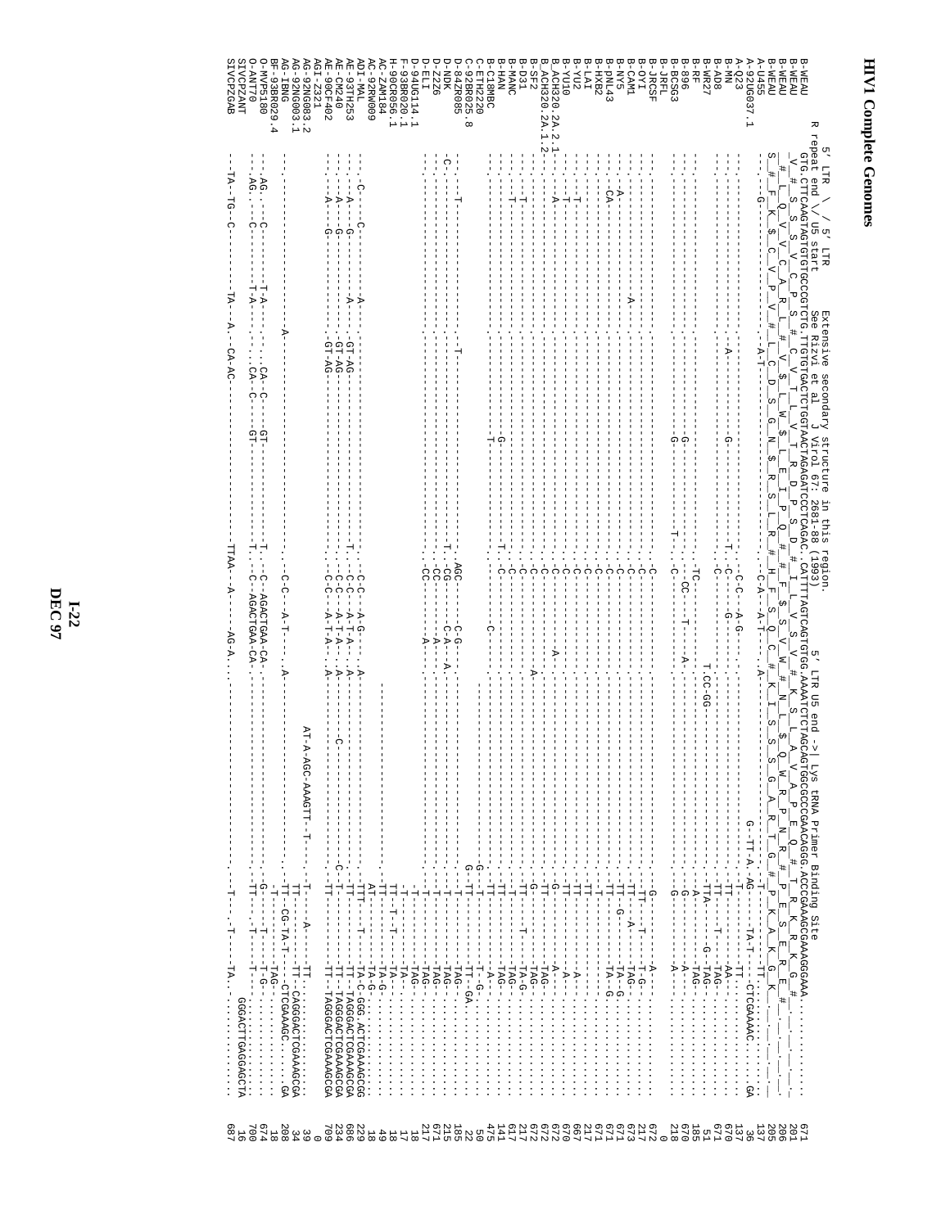| $-1 - 1 -$<br>$-LLI-$<br>$-6 - -$<br>-- 11-<br>$-11-$<br>Ė<br>Ť<br>$\mathsf I$<br>$\texttt{CG-TA-T----CTCGAAAGC} \dots \dots \texttt{GA}$<br>$-1$ - $-1$<br>$-1$ $-1$ $-1$ $-1$<br>$\frac{1}{1}$<br>$- - \Delta - - -$<br>J<br>$\frac{1}{1}$<br>ţ<br>Ţ<br>$\begin{array}{c} \end{array}$<br>$\begin{array}{c} \rule{0.2cm}{0.15mm} \rule{0.2cm}{0.15mm} \rule{0.2cm}{0.15mm} \rule{0.2cm}{0.15mm} \rule{0.2cm}{0.15mm} \rule{0.2cm}{0.15mm} \rule{0.2cm}{0.15mm} \rule{0.2cm}{0.15mm} \rule{0.2cm}{0.15mm} \rule{0.2cm}{0.15mm} \rule{0.2cm}{0.15mm} \rule{0.2cm}{0.15mm} \rule{0.2cm}{0.15mm} \rule{0.2cm}{0.15mm} \rule{0.2cm}{0.15mm} \rule{$<br>$\frac{1}{1}$<br>--TT--CAGGGACTCGAAAGCGA<br>GGGACTTGAGGAGCTA<br>.<br>$\vdots$<br>$\vdots$<br>$\vdots$ |                                                                                                                                                                                                                                                                                                                                                                                                                              |                                              |                             |                      |
|-----------------------------------------------------------------------------------------------------------------------------------------------------------------------------------------------------------------------------------------------------------------------------------------------------------------------------------------------------------------------------------------------------------------------------------------------------------------------------------------------------------------------------------------------------------------------------------------------------------------------------------------------------------------------------------------------------------------------------------------------------------|------------------------------------------------------------------------------------------------------------------------------------------------------------------------------------------------------------------------------------------------------------------------------------------------------------------------------------------------------------------------------------------------------------------------------|----------------------------------------------|-----------------------------|----------------------|
|                                                                                                                                                                                                                                                                                                                                                                                                                                                                                                                                                                                                                                                                                                                                                           |                                                                                                                                                                                                                                                                                                                                                                                                                              | ۳.<br>د آ<br>AGACTGAA-CA-                    | $C-A-$<br>Ω<br>엽            | AG.<br>C<br>Т-A.     |
|                                                                                                                                                                                                                                                                                                                                                                                                                                                                                                                                                                                                                                                                                                                                                           |                                                                                                                                                                                                                                                                                                                                                                                                                              | C--<br>AGACTGAA-CA-                          | .CA-<br>$\overline{O}$<br>영 | PA<br>C<br>$T - A$ . |
|                                                                                                                                                                                                                                                                                                                                                                                                                                                                                                                                                                                                                                                                                                                                                           |                                                                                                                                                                                                                                                                                                                                                                                                                              |                                              |                             |                      |
|                                                                                                                                                                                                                                                                                                                                                                                                                                                                                                                                                                                                                                                                                                                                                           | ъ                                                                                                                                                                                                                                                                                                                                                                                                                            | C-C-<br>- マーユーマー                             |                             |                      |
|                                                                                                                                                                                                                                                                                                                                                                                                                                                                                                                                                                                                                                                                                                                                                           | AT-R<br>AGC-AAAGTT-T-T-<br>$\mathsf I$                                                                                                                                                                                                                                                                                                                                                                                       |                                              |                             |                      |
| --TT--TAGGGACTCGAAAGCGA                                                                                                                                                                                                                                                                                                                                                                                                                                                                                                                                                                                                                                                                                                                                   | ⊅<br>$\frac{1}{4}$<br>$\frac{1}{1}$<br>$\frac{1}{1}$<br>Ť<br>$\mathbb{I}$                                                                                                                                                                                                                                                                                                                                                    | ċ<br>U<br>$-5 - 7 - 7 -$                     | $-54 - 20$                  | $\mathbb{F}$         |
| $\begin{array}{c} \begin{array}{c} \begin{array}{c} \begin{array}{c} \begin{array}{c} \end{array} \\ \end{array} \\ \begin{array}{c} \end{array} \\ \begin{array}{c} \end{array} \\ \end{array} \end{array} \end{array}$<br>$\mathbb{I}$<br>I.<br>--TT--TAGGGACTCGAAAGCGA                                                                                                                                                                                                                                                                                                                                                                                                                                                                                 | ှ<br>ł<br>ţ<br>ţ<br>$-1$<br>$-1$<br>$-1$<br>$-1$<br>$-1$<br>$-1$                                                                                                                                                                                                                                                                                                                                                             | C-C<br>$A - T - A -$                         | $-CL-NC-$                   | ř                    |
| $--\blacksquare\blacksquare\blacksquare\blacksquare\blacksquare-$<br>--TT--TAGGGACTCGAAAGCGA                                                                                                                                                                                                                                                                                                                                                                                                                                                                                                                                                                                                                                                              | Þ                                                                                                                                                                                                                                                                                                                                                                                                                            | ċ-ċ<br>$A - T - A -$                         | -GT-AG                      | A-<br>Ω<br>Þ         |
| $-1.75 \pm 0.000$<br>$\frac{1}{1}$<br>---TA-G-<br>---TA-C-GGG.ACTCGAAAGCGG                                                                                                                                                                                                                                                                                                                                                                                                                                                                                                                                                                                                                                                                                | ⊅                                                                                                                                                                                                                                                                                                                                                                                                                            | Ċ-Ċ<br>$A-G-$                                |                             | Ω<br>C               |
| $AT - -$<br>J.<br>H.<br>I.<br>J.<br>$\mathbb{I}$                                                                                                                                                                                                                                                                                                                                                                                                                                                                                                                                                                                                                                                                                                          |                                                                                                                                                                                                                                                                                                                                                                                                                              |                                              |                             |                      |
| $-11 -$<br>-<br>154-6-11:<br>11.                                                                                                                                                                                                                                                                                                                                                                                                                                                                                                                                                                                                                                                                                                                          |                                                                                                                                                                                                                                                                                                                                                                                                                              |                                              |                             |                      |
|                                                                                                                                                                                                                                                                                                                                                                                                                                                                                                                                                                                                                                                                                                                                                           |                                                                                                                                                                                                                                                                                                                                                                                                                              |                                              |                             |                      |
| $\mathsf I$                                                                                                                                                                                                                                                                                                                                                                                                                                                                                                                                                                                                                                                                                                                                               |                                                                                                                                                                                                                                                                                                                                                                                                                              |                                              |                             |                      |
| $-1 -$<br>$\begin{array}{c} \end{array}$<br>$\overline{1}$<br>J.<br>$\overline{\phantom{a}}$<br>$\overline{\phantom{a}}$<br>$\overline{\phantom{a}}$<br>$\mathbf{I}$<br>$\begin{array}{c} \hline \end{array}$                                                                                                                                                                                                                                                                                                                                                                                                                                                                                                                                             |                                                                                                                                                                                                                                                                                                                                                                                                                              |                                              |                             |                      |
| $\mathsf I$<br>į<br>÷<br> <br>$\frac{1}{1}$<br>$\mathbf{I}$                                                                                                                                                                                                                                                                                                                                                                                                                                                                                                                                                                                                                                                                                               | $\mathbf I$                                                                                                                                                                                                                                                                                                                                                                                                                  | do-<br>က်<br>ъ                               |                             |                      |
| $\frac{1}{1} + \frac{1}{1} + \frac{1}{1} + \frac{1}{1} + \frac{1}{1} + \frac{1}{1} + \frac{1}{1} + \frac{1}{1} + \frac{1}{1} + \frac{1}{1} + \frac{1}{1} + \frac{1}{1} + \frac{1}{1} + \frac{1}{1} + \frac{1}{1} + \frac{1}{1} + \frac{1}{1} + \frac{1}{1} + \frac{1}{1} + \frac{1}{1} + \frac{1}{1} + \frac{1}{1} + \frac{1}{1} + \frac{1}{1} + \frac{1}{1} + \frac{1}{1} + \frac{1}{1} + \frac{1$                                                                                                                                                                                                                                                                                                                                                       | $\mathbf{I}$                                                                                                                                                                                                                                                                                                                                                                                                                 | -co<br>$C - A -$                             |                             | ှ                    |
| $-1$<br>$-1$<br>$-1$<br>$-1$<br>$-1$                                                                                                                                                                                                                                                                                                                                                                                                                                                                                                                                                                                                                                                                                                                      |                                                                                                                                                                                                                                                                                                                                                                                                                              | <b>AGC</b><br>C-G                            |                             |                      |
| $\frac{1}{1}$                                                                                                                                                                                                                                                                                                                                                                                                                                                                                                                                                                                                                                                                                                                                             |                                                                                                                                                                                                                                                                                                                                                                                                                              |                                              |                             |                      |
| <b>Q--------</b><br>$-1 + 1 - 0 + 0 + $<br>$-1 + 0 - 0 + $<br>$-1 + 0 - $                                                                                                                                                                                                                                                                                                                                                                                                                                                                                                                                                                                                                                                                                 |                                                                                                                                                                                                                                                                                                                                                                                                                              |                                              |                             |                      |
| $-1 - 1 - 1 - 1 - 1 - 1 - 1 - 1$<br>Ţ.                                                                                                                                                                                                                                                                                                                                                                                                                                                                                                                                                                                                                                                                                                                    | $\overline{\phantom{a}}$                                                                                                                                                                                                                                                                                                                                                                                                     | Ω                                            | н                           |                      |
|                                                                                                                                                                                                                                                                                                                                                                                                                                                                                                                                                                                                                                                                                                                                                           |                                                                                                                                                                                                                                                                                                                                                                                                                              |                                              | Ģ                           |                      |
| $- - - - - - - - - - - -$<br>$\begin{bmatrix} 1 \\ 1 \\ 1 \\ 1 \end{bmatrix}$                                                                                                                                                                                                                                                                                                                                                                                                                                                                                                                                                                                                                                                                             |                                                                                                                                                                                                                                                                                                                                                                                                                              |                                              |                             |                      |
|                                                                                                                                                                                                                                                                                                                                                                                                                                                                                                                                                                                                                                                                                                                                                           |                                                                                                                                                                                                                                                                                                                                                                                                                              |                                              |                             |                      |
|                                                                                                                                                                                                                                                                                                                                                                                                                                                                                                                                                                                                                                                                                                                                                           |                                                                                                                                                                                                                                                                                                                                                                                                                              | റ                                            |                             |                      |
| $-LL =$<br>$\mathsf I$<br>$\blacksquare$<br>$\mathsf I$<br>$\mathsf I$                                                                                                                                                                                                                                                                                                                                                                                                                                                                                                                                                                                                                                                                                    | $\mathsf I$                                                                                                                                                                                                                                                                                                                                                                                                                  | ∩                                            |                             |                      |
| $\frac{1}{1}$<br>$\begin{bmatrix} 1 \\ 1 \\ 1 \\ 1 \end{bmatrix}$                                                                                                                                                                                                                                                                                                                                                                                                                                                                                                                                                                                                                                                                                         | $- - - - - - - - - - - -$                                                                                                                                                                                                                                                                                                                                                                                                    | C                                            |                             |                      |
| $- - \Delta - -$                                                                                                                                                                                                                                                                                                                                                                                                                                                                                                                                                                                                                                                                                                                                          | $\begin{array}{c} \begin{array}{c} \begin{array}{c} \begin{array}{c} \end{array} \\ \begin{array}{c} \end{array} \\ \begin{array}{c} \end{array} \end{array} \end{array}$                                                                                                                                                                                                                                                    | റ                                            |                             | $\mathbf{I}$         |
|                                                                                                                                                                                                                                                                                                                                                                                                                                                                                                                                                                                                                                                                                                                                                           |                                                                                                                                                                                                                                                                                                                                                                                                                              | ή                                            |                             | ţ<br>부               |
|                                                                                                                                                                                                                                                                                                                                                                                                                                                                                                                                                                                                                                                                                                                                                           |                                                                                                                                                                                                                                                                                                                                                                                                                              | ή                                            |                             |                      |
| $-1 - 1 - 1 - 1$<br>$\begin{bmatrix} 1 \\ 1 \\ 1 \\ 1 \end{bmatrix}$<br>$\frac{1}{1}$<br>$\begin{array}{c} 1 \  \  \, 1 \\ 1 \  \  \, 1 \\ 1 \  \  \, 1 \\ 1 \  \  \, 1 \end{array}$                                                                                                                                                                                                                                                                                                                                                                                                                                                                                                                                                                      | Ĵ                                                                                                                                                                                                                                                                                                                                                                                                                            | ά                                            |                             |                      |
|                                                                                                                                                                                                                                                                                                                                                                                                                                                                                                                                                                                                                                                                                                                                                           |                                                                                                                                                                                                                                                                                                                                                                                                                              | Ò                                            |                             | $-5A-$               |
|                                                                                                                                                                                                                                                                                                                                                                                                                                                                                                                                                                                                                                                                                                                                                           |                                                                                                                                                                                                                                                                                                                                                                                                                              |                                              |                             | $\overline{A}$       |
|                                                                                                                                                                                                                                                                                                                                                                                                                                                                                                                                                                                                                                                                                                                                                           |                                                                                                                                                                                                                                                                                                                                                                                                                              |                                              |                             |                      |
|                                                                                                                                                                                                                                                                                                                                                                                                                                                                                                                                                                                                                                                                                                                                                           | ł<br>ł                                                                                                                                                                                                                                                                                                                                                                                                                       | Ω                                            |                             | $A - -$              |
| $---L L 1--$<br>$\frac{1}{1}$                                                                                                                                                                                                                                                                                                                                                                                                                                                                                                                                                                                                                                                                                                                             |                                                                                                                                                                                                                                                                                                                                                                                                                              | ∩                                            |                             |                      |
| $-1 - 0 - 1$<br>$\frac{1}{1}$                                                                                                                                                                                                                                                                                                                                                                                                                                                                                                                                                                                                                                                                                                                             |                                                                                                                                                                                                                                                                                                                                                                                                                              |                                              |                             |                      |
| Ť<br>$\frac{1}{1}$<br>$\mathsf I$                                                                                                                                                                                                                                                                                                                                                                                                                                                                                                                                                                                                                                                                                                                         |                                                                                                                                                                                                                                                                                                                                                                                                                              | Q                                            | Ω                           |                      |
|                                                                                                                                                                                                                                                                                                                                                                                                                                                                                                                                                                                                                                                                                                                                                           |                                                                                                                                                                                                                                                                                                                                                                                                                              | $-5C-$                                       | ω                           |                      |
| $- - - - - - - - - -$<br>$\mathbf{I}$<br>$\mathbf{I}$                                                                                                                                                                                                                                                                                                                                                                                                                                                                                                                                                                                                                                                                                                     |                                                                                                                                                                                                                                                                                                                                                                                                                              | -rc-                                         |                             |                      |
| п                                                                                                                                                                                                                                                                                                                                                                                                                                                                                                                                                                                                                                                                                                                                                         | -99-20                                                                                                                                                                                                                                                                                                                                                                                                                       |                                              |                             |                      |
| $\mathbf{I}$                                                                                                                                                                                                                                                                                                                                                                                                                                                                                                                                                                                                                                                                                                                                              |                                                                                                                                                                                                                                                                                                                                                                                                                              | ن<br>ب                                       |                             |                      |
|                                                                                                                                                                                                                                                                                                                                                                                                                                                                                                                                                                                                                                                                                                                                                           | $\frac{1}{1}$<br>$\frac{1}{1}$                                                                                                                                                                                                                                                                                                                                                                                               | $\frac{1}{2}$<br>$\frac{1}{1}$<br><u>ဂုံ</u> | $\frac{1}{2}$<br>ဂ္         |                      |
|                                                                                                                                                                                                                                                                                                                                                                                                                                                                                                                                                                                                                                                                                                                                                           |                                                                                                                                                                                                                                                                                                                                                                                                                              | $- - C - C - - - A - G$<br>J,                |                             |                      |
| $\mathbf{I}$<br>--TA-T-----CTCGAAACCA<br>л<br>$\,$ I<br>$\frac{1}{4}$<br>H <sub>1</sub>                                                                                                                                                                                                                                                                                                                                                                                                                                                                                                                                                                                                                                                                   | $G--TT--A. -AG----\\$<br>$\frac{1}{2} + \frac{1}{2} + \frac{1}{2} + \frac{1}{2} + \frac{1}{2} + \frac{1}{2} + \frac{1}{2} + \frac{1}{2} + \frac{1}{2} + \frac{1}{2} + \frac{1}{2} + \frac{1}{2} + \frac{1}{2} + \frac{1}{2} + \frac{1}{2} + \frac{1}{2} + \frac{1}{2} + \frac{1}{2} + \frac{1}{2} + \frac{1}{2} + \frac{1}{2} + \frac{1}{2} + \frac{1}{2} + \frac{1}{2} + \frac{1}{2} + \frac{1}{2} + \frac{1}{2} + \frac{1$ |                                              |                             |                      |
| j#<br><del>יט</del><br>×<br>'≖<br>$\frac{1}{1}$<br>Ά<br>ຸດ<br>.<br>ļ.                                                                                                                                                                                                                                                                                                                                                                                                                                                                                                                                                                                                                                                                                     | Ω<br>w<br>ຸດ<br>⊅<br>⊣<br>ຸດ<br>.                                                                                                                                                                                                                                                                                                                                                                                            | Ξ<br>C-A-<br>ᅿ<br>$A-T-$                     | ∩<br>m                      | ŋ<br>ℸ               |
| ¦o<br>'n<br>ωļ<br>ø<br>ਸ਼<br>'n,<br>₩                                                                                                                                                                                                                                                                                                                                                                                                                                                                                                                                                                                                                                                                                                                     | ⊻<br>ਸ਼<br>٣J<br>z<br>¦¤<br>"                                                                                                                                                                                                                                                                                                                                                                                                |                                              | ω<br>₫                      | Ω                    |
| ÷                                                                                                                                                                                                                                                                                                                                                                                                                                                                                                                                                                                                                                                                                                                                                         |                                                                                                                                                                                                                                                                                                                                                                                                                              |                                              |                             |                      |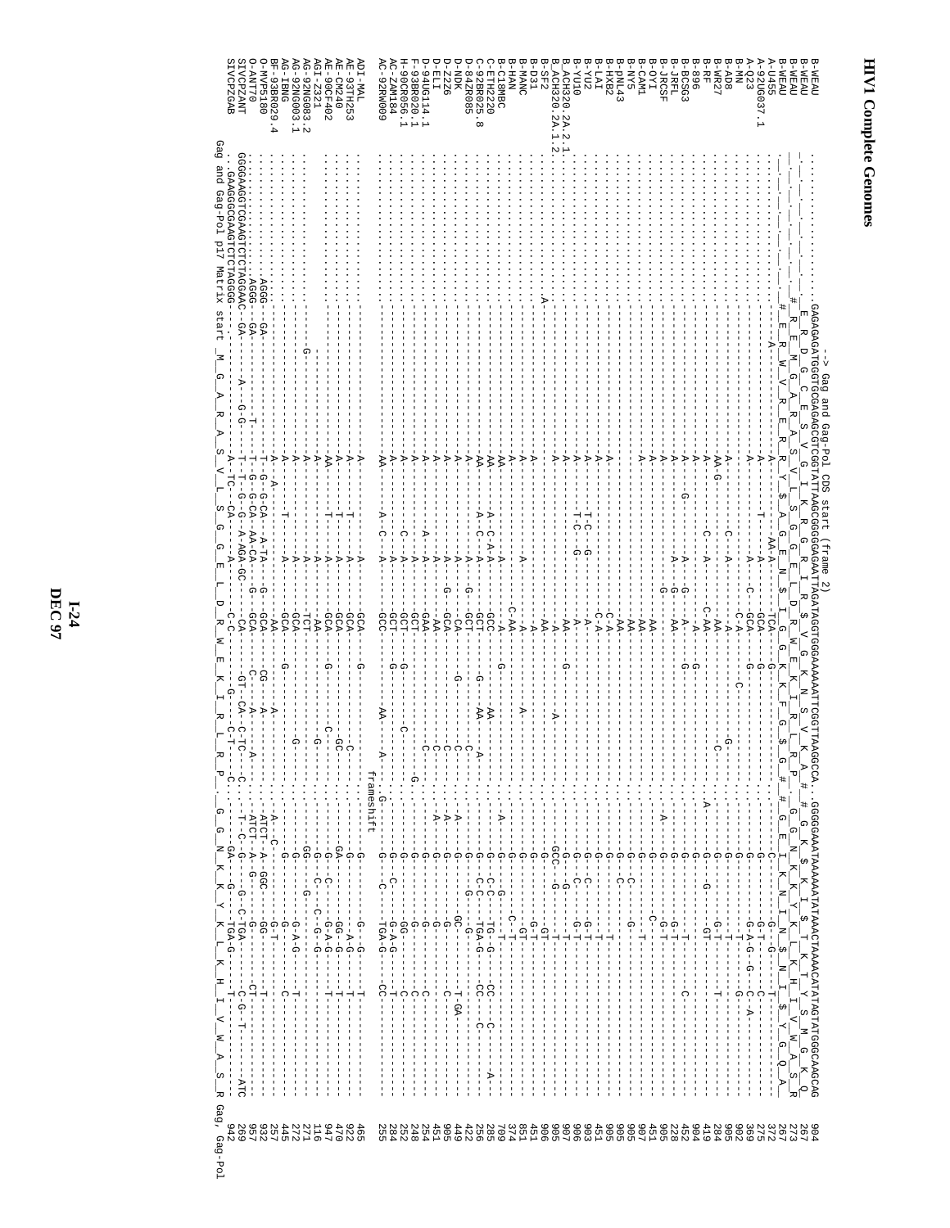|                                                                                                  | п<br>I<br>ı<br>÷<br>Ļ<br>T<br>부<br>п<br>т                                                                                                            | $\overline{C}$<br>$\overline{C}$<br>J.<br>I,<br>I.<br>I<br>$-1 - 9 - 0 - 0$<br>$\mathbf{I}$<br>L<br>1<br>$\mathbf{I}$<br>I<br>$G-A-G$<br>$G = -G$<br>$- -A-G$<br>т<br>п<br>I                                                                                 | $\vdots$<br>$\ddot{\cdot}$<br>$\vdots$<br>$\vdots$<br>$--GA$ .<br>ŧ<br>$\frac{1}{1}$<br>$\mathsf I$<br>Ω<br>Ω<br>Ω<br>Ť,<br>Ţ<br>Ţ<br>I.<br>п<br>J.<br>$\mathbf{I}$                                                                                                                   | ò<br>ଦ<br>ł                                           | GCA-<br>$-AA$                                       | GCA<br>GCA                                  | ۲<br>ا                       | Þ<br>Ъ<br>А                                          |   | <b>AGI-Z321</b><br><b>AE-CM240</b><br>AE-90CF402<br>AE-93TH253     |
|--------------------------------------------------------------------------------------------------|------------------------------------------------------------------------------------------------------------------------------------------------------|--------------------------------------------------------------------------------------------------------------------------------------------------------------------------------------------------------------------------------------------------------------|---------------------------------------------------------------------------------------------------------------------------------------------------------------------------------------------------------------------------------------------------------------------------------------|-------------------------------------------------------|-----------------------------------------------------|---------------------------------------------|------------------------------|------------------------------------------------------|---|--------------------------------------------------------------------|
|                                                                                                  | Ţ<br>ł<br>$\mathbf{I}$<br>$\mathbb{I}$<br>$-1 -$<br>Ω<br>부<br>Ö<br>$\frac{1}{1}$<br>$\blacksquare$<br>$\blacksquare$<br>$\mathbf{I}$<br>$\mathbf{I}$ | $-1 - C - 1$<br>$\frac{1}{1}$<br>$\mathbf{I}$<br>J.<br>$\mathsf I$<br>$- - - - - - - - - - -$<br>$---TGA-G$<br>$-1 - 5$<br>Ω<br>ŧ                                                                                                                            | frameshift<br>$- - - - - - - - - -$<br>$\vdots$<br>$\vdots$<br>$\mathbf{I}$<br>$\mathbb I$<br>$\blacksquare$<br>$\frac{1}{1}$<br>$\blacksquare$<br>$\frac{1}{1}$<br>$\mathbf{I}$<br>$\mathbf I$<br>$\mathbb I$<br>Ω<br>Ω<br>Ω<br>$\overline{\phantom{a}}$<br>÷<br>ŧ<br>$\overline{1}$ | $  \vee$<br>$\frac{1}{1}$<br>$\overline{\phantom{a}}$ | $-6C_A -$<br>ω<br>G.                                | GCT<br>ccc                                  | ⋗<br>Ω<br>$\frac{1}{1}$      | ъ<br>R                                               |   | TVM-ICV<br><b>AC-ZAM184</b><br><b>AC-92RN009</b>                   |
| 9 4 0 1 0 1 0 1 0<br>O D D 4 0 0 0 D<br>D 4 4 0 0 4 D                                            | $\mathbf{I}$<br>I.<br>т<br>$\mathbf I$<br>$\mathsf I$<br>ှ<br>ှ<br>Ω<br>ł,<br>$\mathbf{I}$<br>L<br>$\mathbf{I}$<br>т                                 | $\mathbf{I}$<br>-1<br>$\mathbf{I}$<br>т<br>$\mathbf{I}$<br>$\mathbf{I}$<br>T<br>$-99 - -$<br>$-6 - -$<br>$\mathbf{I}$<br>$\mathbf{I}$<br>$\mathbf{I}$<br>J.                                                                                                  | f<br>$\vdots$<br>$\vdots$<br>$\mathbf I$<br>$\mathbf{I}$<br>$\mathbf{I}$<br>л.<br>$\mathbf{I}$<br>$\mathbf{I}$<br>$\mathbf I$<br>л.<br>$\mathbf{I}$<br>т<br>$\mathbf{I}$<br>Ω<br>Ω<br>Ω<br>$\frac{1}{1}$<br>Ţ<br>Ţ<br>$\mathbf{I}$<br>I.                                              | $\vdots$ $\vdots$<br>ľ                                | -<br>100-<br>Ω                                      | <b>GAA</b><br>GCT                           | Ω<br>⊅                       | ኴ<br>Þ<br>ゼ                                          |   | F-93BR020.1<br>H-90CR056.1<br>940G114.1                            |
|                                                                                                  | I.<br>л<br>т.<br>I,<br>T<br>ţ.<br>$C -$<br>$T - GA - -$<br>t<br>I.<br>f,                                                                             | п<br>л<br>$\blacksquare$<br>I<br>$-6 -$<br>1<br>$-6 -$<br>-<br>-- 79<br>1<br>п<br>T<br>т                                                                                                                                                                     | $\vdots$<br>J.<br>Ţ<br>$A -$<br>$A -$<br>$A -$<br>ţ<br>Ω<br>Ω<br>∩<br>$\overline{\phantom{a}}$<br>ł<br>Ţ<br>$\mathbf{I}$                                                                                                                                                              |                                                       | $-6C-A$<br>$W -$<br>S                               | ⊅<br>ဂု                                     |                              | А<br>А<br>А                                          |   | $-2226$<br>$TTTB -$<br>-NDK                                        |
| --9--<br>J.<br>п<br>т                                                                            | ė<br>$\mathsf I$<br>Ω<br>i<br>Si<br>ְה<br>י<br>ł<br>J.<br>I<br>ł<br>$\frac{1}{1}$<br>$\frac{1}{1}$<br>J.<br>л<br>ن<br>أ<br>C<br>$\frac{1}{1}$        | J.<br>C-C<br>C-C<br>Ť<br>J.<br>ဂု<br>Ω<br>$\mathsf I$<br>$\mathsf I$<br>j,<br>I.<br>J.<br>$\overline{1}$<br>$\blacksquare$<br>$- - - - - - - - -$<br>$--TCGA-G--$<br>$--DG--G----$<br>п<br>$-1 - 1 - 1 - 1$<br>J.<br>л                                       | $A - -$<br>п<br>ţ<br>$\overline{1}$<br>Ω<br>Ω<br>Ω<br>ଋ<br>1<br>Ţ<br>$\mathbf{I}$<br>Ť<br>$\mathbf{I}$<br>$\blacksquare$<br>л                                                                                                                                                         | AA-<br>$A$ --                                         | ⊅<br>⋒                                              | ∀−<br>⊅<br>ဂု<br>-ccr<br>-GCT<br>-၁၁၁–<br>J | ₽<br>∩<br>$C - A - A$        | PA.<br>$\frac{1}{2}$<br>AA.<br>AA.                   |   | -ETH2220<br>$-$ C18MBC<br>84ZR085<br>92BR025<br>$\frac{1}{\infty}$ |
| L<br>т<br>9 4 8 9 7 7 8 9 4 4<br>O 5 5 7 7 9 8 5 7 4 4<br>C 4 4 9 5 6 9 7 9                      | J.<br>п<br>$\mathbf{I}$<br>Ţ<br>$\mathbf{I}$<br>$\frac{1}{1}$<br>т                                                                                   | $\frac{1}{1}$<br>I<br>п<br>$\mathbf{I}$<br>$\overline{1}$<br>$\frac{1}{1}$<br>$\blacksquare$<br>L<br>--1----<br>$-1 - 0 - 1$<br>$-5 - 7 -$<br>$-1.5 -$<br>J.<br>$\mathbf{I}$<br>J.<br>т<br>п<br>$\mathbf{I}$                                                 | ţ<br>ţ<br>$\begin{array}{c} \hline \end{array}$<br>$\mathsf I$<br>Ω<br>Ω<br>Ω<br>$\frac{1}{2}$<br>$\frac{1}{1}$<br>$\frac{1}{1}$<br>$\frac{1}{1}$                                                                                                                                     | ⊳                                                     | - AA - 2<br>$- - A$<br>-AA-<br>$\overline{v}$       |                                             |                              | ÷<br>⊢<br>А<br>⊅                                     |   | NVH-<br>-MANC<br>$-D31$<br>$-5F2$                                  |
| 999<br>999<br>999                                                                                | L.                                                                                                                                                   | $-6-$<br>ن<br>--<br>$\frac{1}{1}$<br>$\mathbb I$<br>J.<br>л<br>J.<br>$\blacksquare$<br>$\mathbf{I}$<br>--1--<br>$\frac{1}{1}$<br>$L = -$<br>$\mathbf{I}$<br>$\blacksquare$<br>J.<br>$\overline{1}$                                                           | $-GC-$<br>$\mathbb I$<br>$\mathsf I$<br>$\frac{1}{\sqrt{2}}$<br>Ω<br>$\frac{1}{1}$                                                                                                                                                                                                    |                                                       | $-M -$<br>$\overline{v}$<br>∀−<br>ଢ଼                |                                             | ۲<br>دا                      | ъ<br>Þ<br>Þ                                          |   | ACH320<br><b>ACH320</b><br>0TDX                                    |
| I                                                                                                | J.                                                                                                                                                   | $\overline{1}$<br>Ω<br>$\frac{1}{1}$<br>$\overline{C}$<br>Ι.<br>$\overline{\phantom{a}}$<br>$\mathsf I$<br>$\mathbf I$<br>J.<br>1<br>$\mathbf{I}$<br>л<br>$\mathsf I$<br>G-T-<br>$\frac{1}{2}$<br>$\frac{1}{1}$<br>Ť<br>$\overline{1}$<br>J.<br>$\mathbf{I}$ | ł<br>Ω<br>Ω<br>Ω<br>Ω<br>$\mathbf{I}$<br>$\frac{1}{1}$<br>Ţ<br>Ţ<br>$\mathbf{I}$<br>J.<br>$\mathbf{I}$<br>$\mathbb{I}$<br>$\mathbf{I}$                                                                                                                                                |                                                       | C-A-<br>-AA-                                        | Ω<br>C-A<br>$-4-$                           | ۲<br>ה                       | Ď                                                    |   | -HXB2<br>LAI-<br>$Z\Omega X$ -<br>-pNL43                           |
|                                                                                                  |                                                                                                                                                      | c--<br>л<br>$-6 -$<br>1<br>ף<br> <br>니<br>구<br>п<br>L                                                                                                                                                                                                        | $\mathbb{I}$<br>$\mathsf I$<br>Ω<br>Ω<br>Ω<br>ŧ<br>т<br>$\mathbf{I}$<br>I.                                                                                                                                                                                                            |                                                       | $AA-$<br>$AA-$<br>₽                                 |                                             |                              |                                                      |   | S <sub>TM</sub><br>-CAM1<br>IXO-                                   |
| J<br>л<br>I                                                                                      | C--                                                                                                                                                  | I<br>$\mathbf{I}$<br>л<br>л<br>$-5 - 7 -$<br>$\mathbf I$<br>$-1 - 5$<br>$\frac{1}{1}$<br>л                                                                                                                                                                   | $-4-$<br>J.<br>$\mathbf{I}$<br>Ω<br>Ω<br>Ω<br>$\mathsf I$<br>$\frac{1}{1}$                                                                                                                                                                                                            |                                                       | $W -$<br>$A -$<br>Ω                                 | ۳<br>٢<br>ဂု<br>ဂု<br>Ω                     | Ω                            | ኳ<br>ъ<br>⊅                                          |   | -BCSG3<br>-JRCSF<br>-JRFL                                          |
| I<br>9 2 49 4 2 9 4 9 9 9 9 9 4 9<br>0 8 10 5 2 0 5 0 0 0 0 5 0<br>5 4 9 4 2 8 5 1 7 5 5 5 1 1 3 | J.<br>$\mathbf{I}$<br>$\mathbf{I}$<br>$\mathbf{I}$<br>I<br>۲<br>ا<br>$\mathbf{I}$<br>ှ<br>т                                                          | I,<br>I<br>$\frac{1}{1}$<br>ł<br>$\mathbf{I}$<br>J.<br>$\mathbf{I}$<br>л<br>$-1$ - $-1$<br>$-1.5-$<br>$-1$ $-1$<br>$\frac{1}{1}$<br>$\mathbf{I}$<br>J.<br>т<br>1<br>$\mathbf{I}$<br>т                                                                        | Ĩ<br>$\begin{array}{c} \end{array}$<br>п<br>ţ<br>ţ<br>$\mathbb{I}$<br>Ω<br>Ω<br>Ω<br>Ω<br>⋒<br>$\frac{1}{1}$<br>Ť<br>$\frac{1}{1}$<br>$\frac{1}{1}$<br>Ţ                                                                                                                              |                                                       | -AA-3<br>$C - A -$<br>-AA-<br>$-\nabla -$<br>Ω<br>∩ | ⊅<br>۲                                      | م<br>!<br>Ω<br>$\frac{1}{1}$ | $\frac{1}{2}$<br>$AA-G-$<br>ゼ<br>$\overline{A}$      |   | i−RF<br>$-MR27$<br>$\overline{M}$<br>$968 -$<br>$8-40-8$           |
| J.<br>ъ<br>Ю<br>J.<br>C<br>⊅<br>л<br>ੌਨ                                                          | z<br>J.<br>Ξ<br>$\mathbf I$<br>ှ<br> <br>Ö<br>ł<br>٠U<br>$A -$<br>J.<br>л<br>Z,<br>л<br>່ດ                                                           | $\blacksquare$<br>п<br>z<br>л<br>G-A-G--G--<br>--⊥--<br>--<br>ဂု<br>z<br>Ω<br>-M-<br>л                                                                                                                                                                       | $\vdots$<br>Ω<br>ຸດ<br>Ω<br>E<br>z<br>Ω<br>Ω<br>Ţ.<br>ł                                                                                                                                                                                                                               | 'n<br>ດ<br>ᡃ<br>$\frac{1}{4}$<br>'#                   | $-6C-A$<br>GCA-<br>Ω<br>ပြ<br>団<br>ω<br>c           | A-<br>⊅                                     | Ω<br>Ω<br>ଇ                  | Ω<br>–<br>ד<br>ד<br>CC.<br>$\overline{P}$<br>⊅<br>ਸ਼ | E | -WEAU<br>-9200037<br>-WEAU<br>$-0.455$<br>.023                     |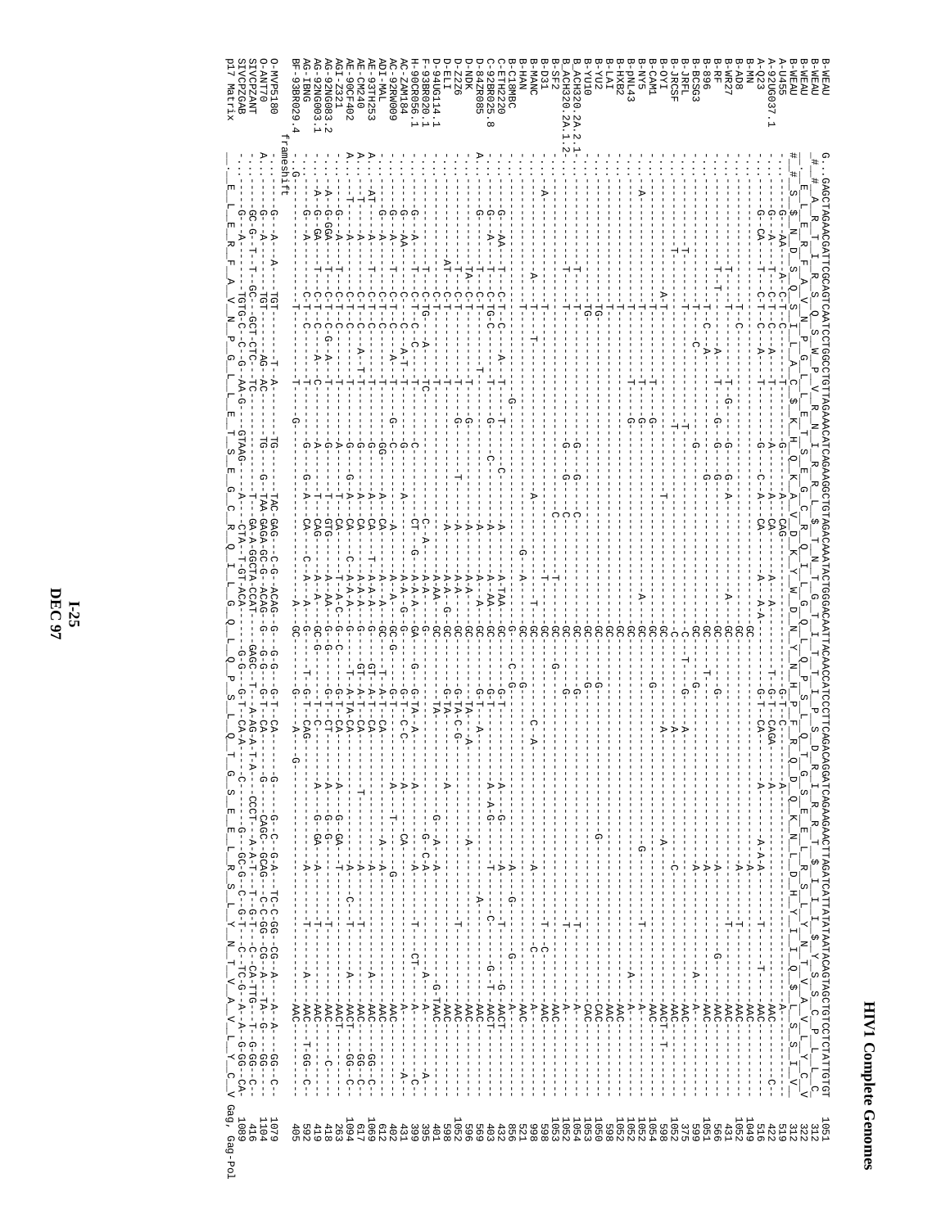| -MVP5180<br>$-AMTT70$<br>LNAZAOVI<br><b>VCPZGAB</b><br>Matrix                                                                                                                                                                                                                             | F-93BR029                 | $-92NGO03$                                                                                                                            | ہٰ<br><b>2NG083</b>                                                        | GI-Z321                                          | $-90$ CF402                      | -CM240                       | $-93TH1253$     |                                                             | <b>48 LMAZ-</b><br><b>2RW009</b>                                                                                                                          | 90CR056                                               | 3BR020.                        | 940G114       |                 | 9ZZZ                                                             |               | 4ZR085                                                                                                   | 2BR025      | ETH2220 | C18MBC | HAN                                             | -MANC         | D31 | <b>SF2</b>                                          | <b>ACH32</b>                                     | <b>ACH32</b>                                                                | $Z\Omega X$ -<br>OTOX. |              | -HXB2<br>IAI.                                                                                           | PNL43                                                                                                                                      | $S\Lambda N$ – | -CAM1                                                  | IXO-                     | -JRCSF | <b>JRFL</b> | <b>BCSG3</b>                                                                                                                                      | $-896$ | – RF                | $-MR27$ | $-$ AD8<br>Ż                                                                                                                                                      | .023                                            | 920003                            | 5550-                                                       | <b>NEAU</b>                                                  | <b>NEAU</b>                                                                   | NEAU<br>NEAU                                                                                         |  |
|-------------------------------------------------------------------------------------------------------------------------------------------------------------------------------------------------------------------------------------------------------------------------------------------|---------------------------|---------------------------------------------------------------------------------------------------------------------------------------|----------------------------------------------------------------------------|--------------------------------------------------|----------------------------------|------------------------------|-----------------|-------------------------------------------------------------|-----------------------------------------------------------------------------------------------------------------------------------------------------------|-------------------------------------------------------|--------------------------------|---------------|-----------------|------------------------------------------------------------------|---------------|----------------------------------------------------------------------------------------------------------|-------------|---------|--------|-------------------------------------------------|---------------|-----|-----------------------------------------------------|--------------------------------------------------|-----------------------------------------------------------------------------|------------------------|--------------|---------------------------------------------------------------------------------------------------------|--------------------------------------------------------------------------------------------------------------------------------------------|----------------|--------------------------------------------------------|--------------------------|--------|-------------|---------------------------------------------------------------------------------------------------------------------------------------------------|--------|---------------------|---------|-------------------------------------------------------------------------------------------------------------------------------------------------------------------|-------------------------------------------------|-----------------------------------|-------------------------------------------------------------|--------------------------------------------------------------|-------------------------------------------------------------------------------|------------------------------------------------------------------------------------------------------|--|
|                                                                                                                                                                                                                                                                                           |                           | ω<br>ĠA                                                                                                                               | G-GGA                                                                      | Ļ.                                               |                                  |                              |                 |                                                             |                                                                                                                                                           |                                                       |                                |               |                 |                                                                  |               |                                                                                                          |             |         |        |                                                 |               |     |                                                     |                                                  |                                                                             |                        |              |                                                                                                         |                                                                                                                                            |                |                                                        |                          |        |             |                                                                                                                                                   |        |                     |         |                                                                                                                                                                   |                                                 |                                   |                                                             |                                                              |                                                                               |                                                                                                      |  |
|                                                                                                                                                                                                                                                                                           |                           |                                                                                                                                       |                                                                            |                                                  |                                  | 昌                            |                 |                                                             |                                                                                                                                                           |                                                       | ن<br>1                         |               |                 |                                                                  |               |                                                                                                          |             |         |        |                                                 |               |     |                                                     |                                                  |                                                                             |                        |              |                                                                                                         |                                                                                                                                            |                |                                                        |                          |        |             |                                                                                                                                                   |        |                     |         |                                                                                                                                                                   |                                                 |                                   |                                                             |                                                              |                                                                               | BAGCTAGAACGATTCGCAGTCAATCCTGGCCTG                                                                    |  |
|                                                                                                                                                                                                                                                                                           |                           |                                                                                                                                       |                                                                            |                                                  | ଢ଼                               |                              | Ģ               |                                                             |                                                                                                                                                           |                                                       |                                |               |                 |                                                                  |               |                                                                                                          |             |         |        |                                                 |               |     |                                                     |                                                  |                                                                             |                        |              |                                                                                                         |                                                                                                                                            | ଇ              | ω                                                      |                          |        |             |                                                                                                                                                   |        |                     |         |                                                                                                                                                                   |                                                 |                                   |                                                             |                                                              |                                                                               |                                                                                                      |  |
| <b>1400-A-00011-0011</b><br><b>ACAG</b>                                                                                                                                                                                                                                                   |                           |                                                                                                                                       |                                                                            | B<br>$-4-C$                                      | CA-<br>$A - A$                   |                              | $A - A$ .       |                                                             | セートート<br>$-4$                                                                                                                                             | A-                                                    |                                | $A - AA -$    | $A$ - $-$       | $\overline{A}$                                                   | $A - A -$     |                                                                                                          | $A - PAP -$ | $-AA-$  |        |                                                 |               |     |                                                     |                                                  |                                                                             |                        |              |                                                                                                         |                                                                                                                                            |                |                                                        |                          |        |             |                                                                                                                                                   |        |                     |         |                                                                                                                                                                   |                                                 |                                   |                                                             |                                                              |                                                                               |                                                                                                      |  |
| AGC<br>$\begin{bmatrix} 1 \\ 1 \\ 1 \end{bmatrix}$                                                                                                                                                                                                                                        |                           |                                                                                                                                       |                                                                            |                                                  |                                  |                              |                 |                                                             |                                                                                                                                                           |                                                       |                                |               |                 | $-LA-$                                                           |               |                                                                                                          |             |         |        |                                                 |               |     |                                                     |                                                  |                                                                             |                        |              |                                                                                                         |                                                                                                                                            |                |                                                        |                          |        |             |                                                                                                                                                   |        |                     |         |                                                                                                                                                                   |                                                 |                                   |                                                             | p                                                            | $\frac{1}{2}$                                                                 | SANCTGGGACAATTACAACCATCCCTTCAG<br>p<br>ہا<br>"                                                       |  |
|                                                                                                                                                                                                                                                                                           | ဂု<br>$\frac{1}{1}$       | $\mathsf I$<br>$\mathsf I$<br>$\mathbf{I}$<br>$\frac{1}{1}$                                                                           | $- - \Delta - -$                                                           |                                                  | $\frac{1}{1}$                    | -- 11 - - - - -<br>--------- | İ<br>---------- | $\frac{1}{1}$                                               | $- -A - -$<br>$- -Y - -$<br>$- - - - - CA - - - - - -$                                                                                                    | $    -$<br>$\begin{array}{c} 1 \\ 1 \\ 1 \end{array}$ | $\begin{array}{c} \end{array}$ | $\frac{1}{1}$ | $\frac{1}{1}$   | $\frac{1}{1}$<br>$\frac{1}{1}$<br>$\frac{1}{2}$<br>$\frac{1}{1}$ | I.            | $\begin{array}{c} \begin{array}{c} \text{1} \\ \text{2} \\ \text{3} \\ \text{4} \end{array} \end{array}$ |             |         |        | $\begin{array}{c} 1 \\ 1 \\ 1 \\ 1 \end{array}$ |               |     | $-1$ $-1$ $-1$ $-1$ $-1$ $-1$ $-1$                  | $\begin{bmatrix} 1 \\ 1 \\ 1 \\ 1 \end{bmatrix}$ |                                                                             |                        |              | $\begin{array}{c} \n\cdot & \cdot \\ \n\cdot & \cdot \\ \n\cdot & \cdot \\ \n\cdot & \cdot \end{array}$ | $\begin{array}{c} \begin{array}{c} \text{1} \\ \text{1} \\ \text{1} \\ \text{1} \\ \text{1} \end{array} \end{array}$<br>Ţ<br>$\frac{1}{4}$ |                | $\begin{array}{c} 1 \\ 1 \\ 1 \end{array}$             | $\mathsf I$<br>Ţ<br>J.   |        |             | ---------                                                                                                                                         |        |                     |         | I<br>$\begin{array}{c} \mathbf{1} \\ \mathbf{1} \\ \mathbf{1} \\ \mathbf{1} \\ \mathbf{1} \\ \mathbf{1} \\ \mathbf{1} \\ \mathbf{1} \end{array}$<br>$\frac{1}{1}$ |                                                 | $      -$                         | $- - - - - - - - -$                                         | ļ,<br> <br> O<br>k<br>$F_{\rm T}$                            | <br>പ<br>ا<br>∾<br>Ļ,<br>¦¤<br>Ļ<br> <br>  <del>지</del><br>$\frac{1}{\infty}$ | ¦≂<br>$R_{\rm T}$<br>$\frac{1}{2}$                                                                   |  |
| $t$ - $t$ - $t$ - $t$ - $t$ - $t$ - $t$ - $t$ - $t$ - $t$ - $t$ - $t$ - $t$ - $t$ - $t$ - $t$ - $t$ - $t$ - $t$ - $t$ - $t$ - $t$ - $t$ - $t$ - $t$ - $t$ - $t$ - $t$ - $t$ - $t$ - $t$ - $t$ - $t$ - $t$ - $t$ - $t$ - $t$ -<br>- 1-A---CCCT---A-A-A-T--C-G-T---C--CA-TTG---T--G-GG--C-- | $\frac{1}{1}$<br>$-ABC--$ |                                                                                                                                       | $\begin{array}{c} \mathbf{I} \\ \mathbf{I} \end{array}$<br>------<br>AAC-- | $\frac{1}{1}$                                    | - - - - - - A - - - - - - コーーコーー |                              |                 | ---------------                                             | -----------                                                                                                                                               |                                                       |                                |               | $\frac{1}{1}$   |                                                                  |               | ------------                                                                                             |             |         |        |                                                 | $\frac{1}{1}$ |     | $\frac{1}{1}$<br>$----\Delta\mathbf{A}\mathbf{C}--$ | $\frac{1}{2}$<br>$---A---$                       | ţ                                                                           |                        |              | ţ<br>--AAC                                                                                              | $---A---A---$                                                                                                                              | $--A--$        | $\begin{array}{c} \n 1 \\  1 \\  1\n \end{array}$<br>ţ | $\frac{1}{1}$            |        |             | ----------------------                                                                                                                            |        |                     |         |                                                                                                                                                                   |                                                 | $\frac{1}{1}$<br>-----<br>BBC---- | $---A--$                                                    | ķ<br>H<br>¦o<br>$\frac{1}{\sqrt{2}}\frac{A}{A} \frac{v}{-L}$ | Ļ<br>$\mathbf{k}^2$<br>k<br>Ļ,                                                | RCAGGATCAGAAGAACTTAGATCATTATATAATACAGTAGCTGTCCTCTATTGTGT<br>ļ.<br>$\frac{1}{2}$<br>$X_2 = S_2 = P_1$ |  |
|                                                                                                                                                                                                                                                                                           | $\frac{1}{4}$             | $\begin{bmatrix} 1 \\ 1 \\ 1 \end{bmatrix}$<br>$\begin{array}{c} \n\cdot & \cdot \\ \n\cdot & \cdot \\ \n\cdot & \cdot \n\end{array}$ | $\mathbf{I}$                                                               | $-12ACT-1$<br>$\frac{1}{1}$                      |                                  |                              |                 | $\begin{array}{c} 1 \\ 1 \\ 1 \end{array}$<br>$\frac{1}{1}$ | $\frac{1}{1}$<br>$\frac{1}{1}$<br>$\begin{array}{c} \begin{array}{c} \text{1} \\ \text{1} \\ \text{1} \\ \text{1} \end{array} \end{array}$<br>$- - - - -$ | ł<br>$-1$ - $-1$ - $-1$                               | $\frac{1}{1}$<br>$- -A - -$    |               | ------AAC------ |                                                                  | $\frac{1}{1}$ |                                                                                                          |             |         |        | $---AAC------$                                  | $-1$          |     |                                                     | $\frac{1}{1}$                                    | $-1$ - $-1$ - $-1$<br>ł<br>$\begin{bmatrix} 1 \\ 1 \\ 1 \\ 1 \end{bmatrix}$ | $-$ -CAC $-$ -         | $-CAC------$ | ----------------<br>Ĭ<br>$\frac{1}{1}$                                                                  | $\frac{1}{1}$                                                                                                                              | $\frac{1}{1}$  | $---AAC------$                                         | - - AACH - - H - - - - - |        |             | $\frac{1}{1}$                                                                                                                                     |        |                     |         |                                                                                                                                                                   | $\begin{array}{c} 1 \\ 1 \\ 1 \end{array}$<br>ţ | $-1$ - $-1$                       | $\begin{array}{c} 1 \\ 1 \\ 1 \end{array}$<br>$\frac{1}{1}$ | <br>م<br>$\frac{1}{2}$<br>$\overline{\mathbf{z}}$            | Ļ<br>Ļ<br>'n<br>$\frac{1}{\varsigma}$                                         | þ<br>$\frac{1}{\alpha}$                                                                              |  |
| 1089<br>1079<br>1104<br>416                                                                                                                                                                                                                                                               | 592<br>405                |                                                                                                                                       |                                                                            | $\begin{array}{c} 269 \\ 419 \\ 419 \end{array}$ | 1094                             | £13                          |                 |                                                             | るとさする<br>そうするのからの<br>そうとうちょう                                                                                                                              |                                                       |                                | $401$         |                 |                                                                  |               |                                                                                                          |             |         |        |                                                 |               |     |                                                     | 10563<br>10553                                   |                                                                             |                        |              |                                                                                                         | 1111<br>1000000<br>110000<br>1000000                                                                                                       |                |                                                        |                          |        |             | 1 1 1 2 2 2<br>0 2 2 2 2 2 2 2 2<br>0 2 2 2 2 2 2 3 2 2 3 2 2 3 2 2 3 2 2 3 2 3 2 3 2 3 2 3 2 3 2 3 2 3 2 3 2 3 2 3 2 3 3 2 3 2 3 3 2 3 2 3 2 3 2 |        | 1052<br>4331<br>566 |         |                                                                                                                                                                   | 4222<br>516<br>1049                             |                                   |                                                             | 3255<br>2359                                                 |                                                                               | 1051<br>1212                                                                                         |  |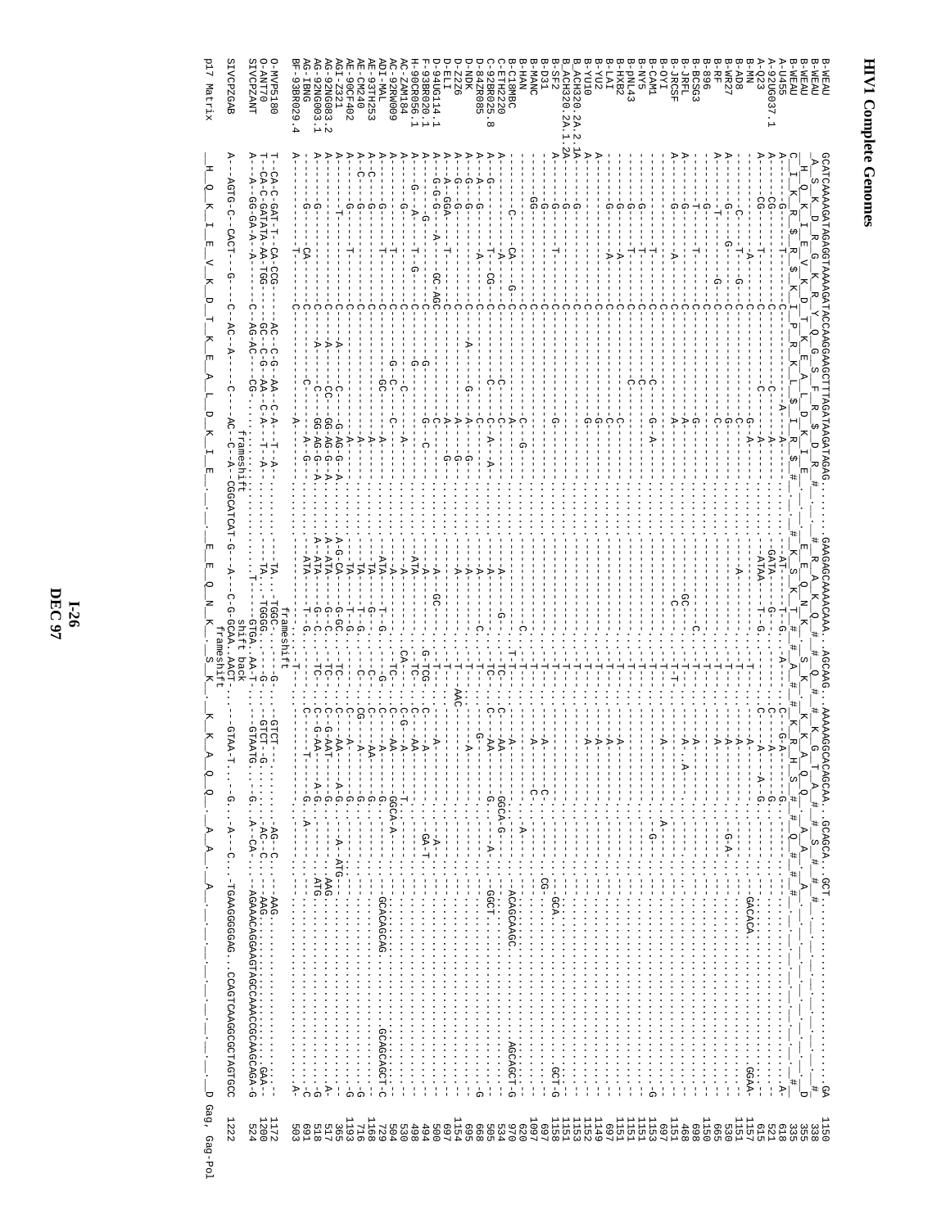| $0 - \text{NML} - 0$<br>-MVP5180<br>IVCPZGAB<br>IVCPZANT<br>Matrix                      | G-92NG083.2<br>G-92NG003.1<br>E-90CF402<br>F-93BR029<br><b>SSTHZSS</b><br>TVM-<br>CM240<br><b>TBNG</b><br><b>LZEZ-</b><br>4<br>$\mathbb N$                                                                                        | 1-92RM009<br>40G114.<br>ÌД<br>4ZR085<br>OCR056.1<br>3BR020.<br>TH2220<br><b>2AM184</b><br>9ZZ.<br>2BR025<br>$\infty$                                                                                                                                                                                                                                                                                       | TVT-<br>-HXB2<br>$Z\Omega$<br><b>MANC</b><br><b>SF2</b><br>ACH32<br>C18MBC<br><b>D31</b><br>$0$ T $\Omega$<br>ACH320<br>Ę                                                                                                    | -BCSG3<br>$\frac{1}{2}$<br>$-MR27$<br>$-$ AD8<br>$-523$<br>$-KIX-$<br>-JRCSF<br>-JRFL<br>$-896$<br>$-920G037$<br>-pNL43<br>CAM1<br>$-0.455$<br>LXO-<br>ż<br><b>NEAU</b><br><b>NEAU</b><br><b>NEAU</b><br><b>NEAU</b>                                                                                                                                                                                                                                                                                                                                                                                                                                                                                                                                                                          |
|-----------------------------------------------------------------------------------------|-----------------------------------------------------------------------------------------------------------------------------------------------------------------------------------------------------------------------------------|------------------------------------------------------------------------------------------------------------------------------------------------------------------------------------------------------------------------------------------------------------------------------------------------------------------------------------------------------------------------------------------------------------|------------------------------------------------------------------------------------------------------------------------------------------------------------------------------------------------------------------------------|-----------------------------------------------------------------------------------------------------------------------------------------------------------------------------------------------------------------------------------------------------------------------------------------------------------------------------------------------------------------------------------------------------------------------------------------------------------------------------------------------------------------------------------------------------------------------------------------------------------------------------------------------------------------------------------------------------------------------------------------------------------------------------------------------|
| リロロートストームコアロアーントーローロ<br>-AGTG-C--CACT<br>CA-C-GAT-T--T-CA-CCG<br>$- A - CGG - GA - A -$ | Ġ<br>∩<br>ဂု                                                                                                                                                                                                                      | $-\Delta$ -<br>$-9-9-9-$<br>$\frac{1}{\Omega}$<br>ុក្<br>$\overline{A}$<br>ဂု<br>-99<br>ω                                                                                                                                                                                                                                                                                                                  |                                                                                                                                                                                                                              |                                                                                                                                                                                                                                                                                                                                                                                                                                                                                                                                                                                                                                                                                                                                                                                               |
| AC-                                                                                     |                                                                                                                                                                                                                                   | CG-<br>97-J9                                                                                                                                                                                                                                                                                                                                                                                               |                                                                                                                                                                                                                              | ှု<br>ဂု                                                                                                                                                                                                                                                                                                                                                                                                                                                                                                                                                                                                                                                                                                                                                                                      |
| ု<br>င္ပြ<br>$AA$ -<br>rames<br>-9-IRATCAT-6-                                           | GG-AG-G<br><b>GG-AG-G</b><br>$G - RG - G$<br>$A-$                                                                                                                                                                                 | ဂု<br>ဂု<br>∩<br>$\overline{A}$<br>ှု<br>ဂု<br>ဂု                                                                                                                                                                                                                                                                                                                                                          | ဂှ                                                                                                                                                                                                                           | CATCAAAAACATAGAGTAAAAAAACAAAGGAAGCTTTAGATAAGATAA<br>∩<br>∩<br>ъ<br>⊅<br>⋗<br>⊅<br>₽                                                                                                                                                                                                                                                                                                                                                                                                                                                                                                                                                                                                                                                                                                           |
| GGC<br>frameshift<br>rameshif                                                           | -- ATA<br>-G-CA<br>ATA.<br>ATA<br>$-17A$<br>ATA<br>-TA<br>ZА                                                                                                                                                                      | ATA<br>$\forall$<br>♪<br>Ρ<br>දි                                                                                                                                                                                                                                                                                                                                                                           |                                                                                                                                                                                                                              | <b><i>AAAGAAAAAAAAA</i></b><br><b>GATA:</b><br>ATAA<br>ω<br>Ω                                                                                                                                                                                                                                                                                                                                                                                                                                                                                                                                                                                                                                                                                                                                 |
| LOVV.<br>back<br>$AA -$                                                                 | $G - AAT - -$<br>⊅                                                                                                                                                                                                                | CA--<br>G-TCG-<br>$-LC -$<br>HC-<br>$AA$ – –<br>$-AA$ -<br>$\frac{5}{1}$                                                                                                                                                                                                                                                                                                                                   |                                                                                                                                                                                                                              | <b>AGCAAG</b><br>$\frac{1}{2}$<br>⊅<br>ຸດ                                                                                                                                                                                                                                                                                                                                                                                                                                                                                                                                                                                                                                                                                                                                                     |
| A-T<br>O<br>Ю                                                                           | $AA$ - --<br>$\frac{1}{1}$<br>$\overline{A}$ – $\overline{A}$<br>$AA$ - $-$<br>$-4-7$<br>ţ<br>$\mathbb{I}$<br>$\begin{array}{c}\n-1 \\ -2 \\ -1\n\end{array}$<br>$\mathbf{I}$<br>$-1$ - $-6$ $\cdots$ - $-$<br>$-1.3 - 0.1 - 0.1$ | $A---$<br>$A$ – $-$<br>A--<br>ł<br>$\mathbb{I}$<br>$\mathbf{I}$<br>$\begin{array}{c} \end{array}$<br>$\begin{array}{c} \begin{array}{c} \text{1}\\ \text{2}\\ \text{3}\\ \text{4}\\ \text{5}\\ \end{array} \end{array}$<br>J<br>$\frac{1}{2}$ : $\frac{1}{2}$ : $\frac{1}{2}$ : $\frac{1}{2}$<br>$\begin{array}{c} \n\cdot & \cdot & \cdot \\ \cdot & \cdot & \cdot \\ \cdot & \cdot & \cdot\n\end{array}$ | $\frac{1}{2}$                                                                                                                                                                                                                | $A$ – $-$<br>A---------G<br>$A - -$<br>Þ<br>Ļ,<br>$H \rightarrow S$<br>j<br>$\frac{1}{1}$<br>io<br>$\begin{array}{c} \begin{array}{c} \text{1} \\ \text{2} \\ \text{3} \\ \text{4} \end{array} \end{array}$<br>l<br>P<br>$\begin{array}{c} \n\cdot & \cdot \\ \cdot & \cdot\n\end{array}$<br>$\cdots$ -d $\cdots$<br>¦o<br>¦#<br>#<br>#                                                                                                                                                                                                                                                                                                                                                                                                                                                       |
| --G-A--A---C-C-TGAAGGGGAGCAAGTCAAGGCGCTAGTGCC<br>⊅                                      | $\overline{\phantom{a}}$<br>$\blacksquare$<br>コード・ディー・エー アー・ディー・ディー・ディー・ディー・ディー・ディー・ディー・ディー・エー<br>$\mathbf{I}$<br>------GCACAGCAGCCAGCAGCT-C                                                                                      | コココ たいしょう 大型 エコ・ビルココ しんしん ディー・ディー・ディー・ディー・ディー・ディー・ディー・ディー<br>オオオレ かんすう オオオオ しんかん オオオ かんかんかん かんかんかん かんかんかんかん かんかんかんかん かんかん<br>オオオオオオ かんか オオオ かんかんかん かんかんかん かんかんかん かんかんかん かんかんかん                                                                                                                                                                                                                             | - The Third of the Committee of the theory of the theory of the theory of the Committee of the Committee of the Committee of the Committee of the Committee of the Committee of the Committee of the Committee of the Commit | オオオオオオ いいい オオオオオ しいいい オオオ いいしょう きょうしょう きょうしょう きょうしょう きょうしょう きょうしょ<br>オオオオオ いいい オオオオオオ いいい オオオ いいしょう きょうしょう きょうしょう きょうしょう きょうしょう きょうしょう<br>ココード・・・AP エーエーエム インコココ ディスク・ディスク ディスク・ディスク・ディスク・ディスク・ディスク<br>$\begin{aligned} \mathcal{L}_{\mathcal{A}}^{\mathcal{A}}(\mathcal{A}) = \mathcal{L}_{\mathcal{A}}^{\mathcal{A}}(\mathcal{A}) = \mathcal{L}_{\mathcal{A}}^{\mathcal{A}}(\mathcal{A}) = \mathcal{L}_{\mathcal{A}}^{\mathcal{A}}(\mathcal{A}) = \mathcal{L}_{\mathcal{A}}^{\mathcal{A}}(\mathcal{A}) = \mathcal{L}_{\mathcal{A}}^{\mathcal{A}}(\mathcal{A}) = \mathcal{L}_{\mathcal{A}}^{\mathcal{A}}(\mathcal{A}) = \mathcal{L}_{\mathcal{A}}^{\mathcal{A}}(\mathcal{A}) = \mathcal{L}_{\$<br>Ъ<br> <br> <br> <br>ю<br>Ь<br>¦#<br>fi<br>fi<br>#<br>#<br>#<br>ኴ<br>₩<br>#<br>ļ<br>ļ.<br>ŀ |
|                                                                                         | л.                                                                                                                                                                                                                                | $\mathbf I$<br>$\mathbf I$                                                                                                                                                                                                                                                                                                                                                                                 |                                                                                                                                                                                                                              | $-1 + 1 + 1 + 1 + 1 + 1 + 1$<br>$\frac{1}{2}$<br>$\ldots$ $A-$<br>$\ddot{\phantom{0}}$<br>#<br>₩<br>Έ                                                                                                                                                                                                                                                                                                                                                                                                                                                                                                                                                                                                                                                                                         |
| D Gag, Gag-Pol<br>1222<br>11700<br>1200<br>524                                          |                                                                                                                                                                                                                                   |                                                                                                                                                                                                                                                                                                                                                                                                            |                                                                                                                                                                                                                              | ם הפעומות השופט מספר המספר המספר המספר המספר המספר המספר המספר המספר המספר המספר המספר המספר המספר המספר המספר<br>המספר המספר המספר המספר המספר המספר המספר המספר המספר המספר המספר המספר המספר המספר המספר המספר המספר הבין היה                                                                                                                                                                                                                                                                                                                                                                                                                                                                                                                                                              |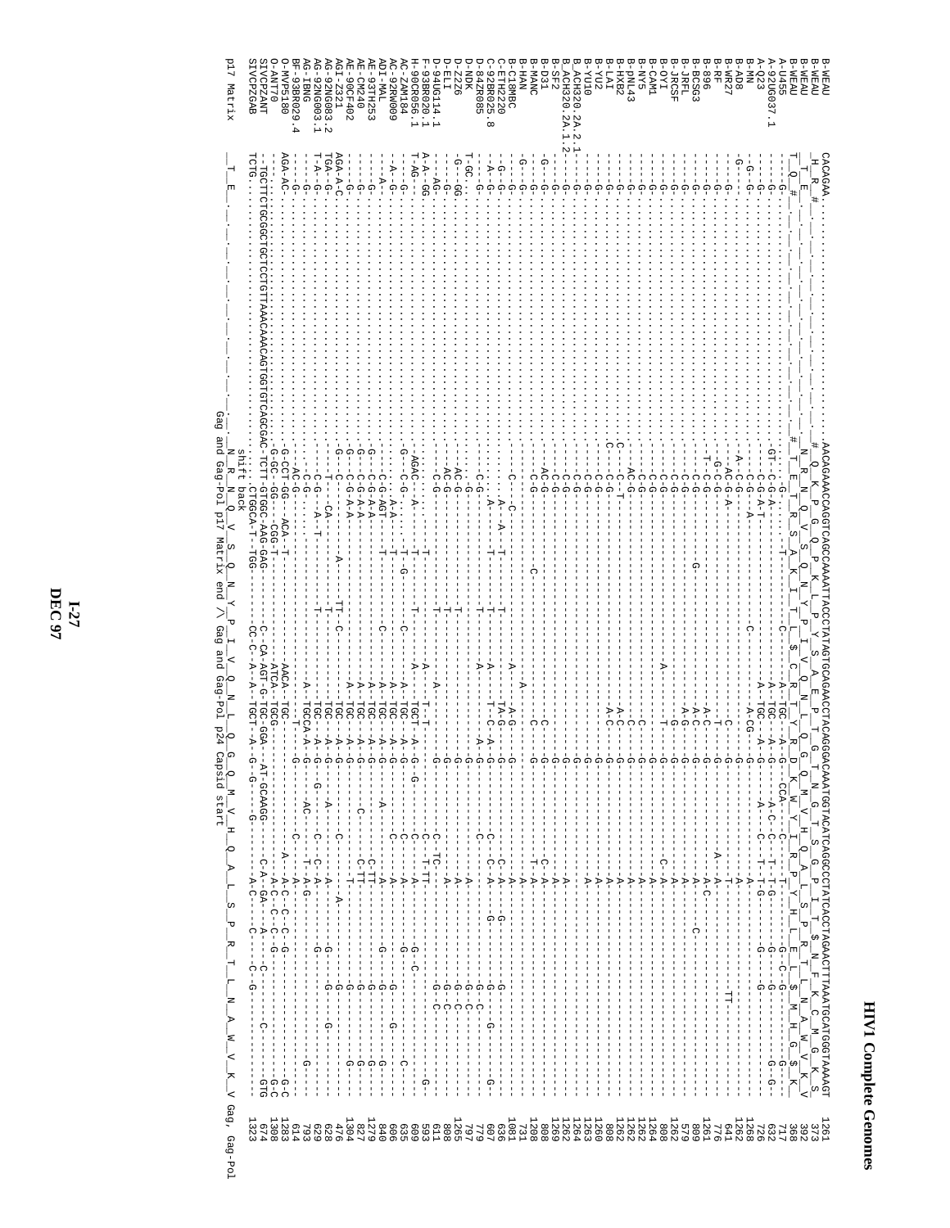| K_V Gag, Gag-Pol | A M                                                                                                                                                   | 'ਸ<br>$\frac{1}{\Lambda}$ $\frac{1}{\Lambda}$ $\frac{\Lambda}{\Lambda}$                                                                                                                                                                                                      | ፞ፇ<br>מט'                                                                                                                                                          | Capsid start<br>k<br>l<br>S<br>Έ<br>ю                                                                                                                                                                                                                                                                                                                                            | ୍ର<br>þ                                                                                                                                                                                     | pu            | ag-Po:<br>watr                                    |                        | Matrix                                |
|------------------|-------------------------------------------------------------------------------------------------------------------------------------------------------|------------------------------------------------------------------------------------------------------------------------------------------------------------------------------------------------------------------------------------------------------------------------------|--------------------------------------------------------------------------------------------------------------------------------------------------------------------|----------------------------------------------------------------------------------------------------------------------------------------------------------------------------------------------------------------------------------------------------------------------------------------------------------------------------------------------------------------------------------|---------------------------------------------------------------------------------------------------------------------------------------------------------------------------------------------|---------------|---------------------------------------------------|------------------------|---------------------------------------|
|                  |                                                                                                                                                       |                                                                                                                                                                                                                                                                              | 'ত                                                                                                                                                                 |                                                                                                                                                                                                                                                                                                                                                                                  |                                                                                                                                                                                             |               | pack                                              |                        |                                       |
|                  | ł                                                                                                                                                     | $-$ -C $-$<br>$-1 - 1 - 0$                                                                                                                                                                                                                                                   | Ţ<br>Y<br>Ò<br>Ţ<br>$\mathbf{I}$                                                                                                                                   | $-8T - 6CRAGG - -$<br>$\mathbf{L}$                                                                                                                                                                                                                                                                                                                                               |                                                                                                                                                                                             |               | CTGGCA-T-<br>TGG                                  | PCTG                   | <b>IVCPZGAB</b>                       |
|                  | $- - - - - - -$<br>$\mathsf I$<br>I.<br>L.<br>I.<br>DID-                                                                                              | I.                                                                                                                                                                                                                                                                           |                                                                                                                                                                    |                                                                                                                                                                                                                                                                                                                                                                                  |                                                                                                                                                                                             | AGT-G         | C-TCTT-GFGGC-AAG-GAG                              | -recrrcm               | INAZADVI                              |
|                  | $\begin{array}{c} \n 1 \\  1 \\  1\n \end{array}$<br>$-----------$                                                                                    | $\sf I$                                                                                                                                                                                                                                                                      |                                                                                                                                                                    | $\begin{bmatrix} 1 \\ 1 \\ 1 \end{bmatrix}$<br>ı<br>-1                                                                                                                                                                                                                                                                                                                           | $\mathbf I$                                                                                                                                                                                 | ATCA          | -99--09--5                                        |                        | <b>ANT70</b>                          |
|                  | $- - - - - - - -$                                                                                                                                     |                                                                                                                                                                                                                                                                              |                                                                                                                                                                    | Ħ<br>$\Gamma = \Gamma$<br>Ţ.<br>$\frac{1}{4}$                                                                                                                                                                                                                                                                                                                                    |                                                                                                                                                                                             | AACA<br>rgc – | CCT-GG-<br>$-ACA--$                               | $-5A-AC-$              | -MVP5180                              |
|                  | $\mathsf I$<br>$\frac{1}{1}$<br>$\mathsf I$<br>$\mathsf I$                                                                                            | $\perp$<br>$\blacksquare$<br>$\blacksquare$<br>$\blacksquare$<br>$\left\{ \begin{array}{c} 1 \\ 1 \end{array} \right\}$                                                                                                                                                      |                                                                                                                                                                    |                                                                                                                                                                                                                                                                                                                                                                                  |                                                                                                                                                                                             |               | ှု                                                | ဂှ                     | $F - 93B R 029$<br>4                  |
|                  |                                                                                                                                                       | $\pm 1$                                                                                                                                                                                                                                                                      |                                                                                                                                                                    |                                                                                                                                                                                                                                                                                                                                                                                  |                                                                                                                                                                                             | TGCCA-        |                                                   | ှု                     |                                       |
|                  | ł                                                                                                                                                     | I.<br>J.<br>$\mathbb{I}$<br>Ţ<br>$\begin{array}{c} 1 & 0 & 0 \\ 1 & 1 & 1 \end{array}$                                                                                                                                                                                       | --------A---<br>--------A---<br>$\mathbf{I}$<br>J.<br>I.                                                                                                           |                                                                                                                                                                                                                                                                                                                                                                                  |                                                                                                                                                                                             |               | ငှ<br>$-4-$                                       | $L-A--G-$              | $G - 92NGOO3.1$                       |
|                  | $\mathsf I$<br>$\frac{1}{4}$<br>$\mathsf I$<br>$\mathbf{I}$<br>ł                                                                                      | $\mathbf{I}$<br>$\mathbf{I}$<br>$\mathbb T$<br>$\mathbf{I}$<br>$-1$<br>$-1$<br>$-1$<br>$-1$<br>$-1$<br>$-1$<br>$-1$<br>$-1$<br>$-1$<br>$-1$<br>$-1$<br>$-1$<br>$-1$<br>$-1$<br>$-1$<br>$-1$<br>$-1$<br>$-1$<br>$-1$<br>$-1$<br>$-1$<br>$-1$<br>$-1$<br>$-1$<br>$-1$<br>2 Q Q | $\frac{1}{1}$                                                                                                                                                      |                                                                                                                                                                                                                                                                                                                                                                                  | $-1$ -0                                                                                                                                                                                     | TGC           |                                                   | $S-A-R-C$<br>-YĐ<br>ပြ | GI-Z321<br>$-92NG083$<br>$\mathbf{v}$ |
|                  | $\vert - \vert$<br>I.                                                                                                                                 | $A - - - - - - - - - -$<br>÷                                                                                                                                                                                                                                                 |                                                                                                                                                                    |                                                                                                                                                                                                                                                                                                                                                                                  | $-1 - 5 - 1$                                                                                                                                                                                | i<br>Rec      | ウートーム                                             | စှ                     | $-90$ CF402                           |
|                  | $-6 - -$<br>$-6 - - - - -$                                                                                                                            | $\frac{1}{1}$<br>Ω                                                                                                                                                                                                                                                           |                                                                                                                                                                    | $\mathbb{I}$<br>$- - - - - - - - - - - - - - - - -$                                                                                                                                                                                                                                                                                                                              | $-1 - 6 - 1$                                                                                                                                                                                | TGC           |                                                   | ငှ                     | $-CM240$                              |
|                  | Ħ<br>$-6-$                                                                                                                                            | $\begin{array}{c}\n-1 \\ -1 \\ -1 \\ -1\n\end{array}$                                                                                                                                                                                                                        |                                                                                                                                                                    |                                                                                                                                                                                                                                                                                                                                                                                  | $A - G -$                                                                                                                                                                                   | -rec          | $A - A - A$                                       | စှ                     | $-93TH253$                            |
|                  | $- - - - - - -$                                                                                                                                       | Ŧ,<br>ŧ                                                                                                                                                                                                                                                                      |                                                                                                                                                                    | $- - \mathtt{A} - - -$                                                                                                                                                                                                                                                                                                                                                           | $-5 - 6$<br>J.                                                                                                                                                                              |               | <b>AGT</b>                                        |                        | $T$ $W$ $N-1$                         |
|                  | $-1 - 5 - 1$<br>$\begin{array}{c} \begin{array}{c} \text{1} \\ \text{2} \\ \text{3} \\ \text{4} \end{array} \\ \end{array}$                           | Ť                                                                                                                                                                                                                                                                            |                                                                                                                                                                    | $\frac{1}{1}$<br>$\frac{1}{1}$                                                                                                                                                                                                                                                                                                                                                   | $-1 - 5 - 1$                                                                                                                                                                                |               |                                                   | $A - G$                | $-92$ RW009                           |
|                  | $\frac{1}{1}$<br>$- - - - - -$                                                                                                                        | $\frac{1}{1}$                                                                                                                                                                                                                                                                | $\frac{1}{1}$                                                                                                                                                      | $\frac{1}{1}$<br>1<br>$\frac{1}{1}$                                                                                                                                                                                                                                                                                                                                              | $-6 - -$                                                                                                                                                                                    |               |                                                   | ငှ                     | <b>18 LMAZ-1</b>                      |
|                  | ł<br>$\mathsf I$<br>$\frac{1}{1}$<br>$\frac{1}{1}$<br>ļ                                                                                               | I.<br>$\mathsf I$                                                                                                                                                                                                                                                            | $\begin{split} -C &---\Gamma^2-\Gamma^2-\cdots\\ -C &--\cdots--A &--\cdots\\ -C &--\cdots--A &--\cdots\\ -C &--\cdots--A &--\cdots\\ \end{split}$<br>$\frac{1}{1}$ | $\mathsf I$<br>$\frac{1}{1}$                                                                                                                                                                                                                                                                                                                                                     | $-1 - 0 - 0 - 0 - 0$                                                                                                                                                                        |               |                                                   | $-56 - -$              | 90CR056                               |
|                  | $\frac{1}{1}$<br>$\frac{1}{1}$<br>$-1$ - $-1$ - $-$ - $-$                                                                                             | $\frac{1}{1}$<br>$\frac{1}{1}$                                                                                                                                                                                                                                               |                                                                                                                                                                    | $\begin{array}{c c} \hline \rule{0pt}{2.5ex} \rule{0pt}{2.5ex} \rule{0pt}{2.5ex} \rule{0pt}{2.5ex} \rule{0pt}{2.5ex} \rule{0pt}{2.5ex} \rule{0pt}{2.5ex} \rule{0pt}{2.5ex} \rule{0pt}{2.5ex} \rule{0pt}{2.5ex} \rule{0pt}{2.5ex} \rule{0pt}{2.5ex} \rule{0pt}{2.5ex} \rule{0pt}{2.5ex} \rule{0pt}{2.5ex} \rule{0pt}{2.5ex} \rule{0pt}{2.5ex} \rule{0pt}{2.5ex} \rule{0pt}{2.5ex$ | $\frac{1}{1}$                                                                                                                                                                               |               |                                                   | $-4-90$                | 93BR020.                              |
|                  | $\mathsf I$                                                                                                                                           |                                                                                                                                                                                                                                                                              | $\frac{1}{1}$<br>$\mathbb{L}$                                                                                                                                      | $\frac{1}{1}$<br>$\frac{1}{1}$<br>$C = -TC = -$                                                                                                                                                                                                                                                                                                                                  |                                                                                                                                                                                             |               | Ω                                                 | AG.                    | 94UG11                                |
|                  | Ţ<br>Ť<br>ţ<br>л                                                                                                                                      |                                                                                                                                                                                                                                                                              |                                                                                                                                                                    | $\frac{1}{1}$                                                                                                                                                                                                                                                                                                                                                                    | $\mathbf{I}$                                                                                                                                                                                |               | AC.                                               | ငှ                     | Ë                                     |
|                  | $\begin{array}{c} \end{array}$<br>$\frac{1}{1}$<br>$\frac{1}{1}$                                                                                      |                                                                                                                                                                                                                                                                              |                                                                                                                                                                    | $\overline{\phantom{a}}$<br>Ħ                                                                                                                                                                                                                                                                                                                                                    | $\begin{array}{c} \dot{\rho} & \dot{\rho} & \dot{\rho} \\ \dot{\rho} & \dot{\rho} & \dot{\rho} \\ \dot{\rho} & \dot{\rho} & \dot{\rho} \\ \dot{\rho} & \dot{\rho} & \dot{\rho} \end{array}$ |               | ႕                                                 | ခ်                     | 2226                                  |
|                  | Ţ<br>$\frac{1}{1}$                                                                                                                                    |                                                                                                                                                                                                                                                                              |                                                                                                                                                                    | $\frac{1}{4}$                                                                                                                                                                                                                                                                                                                                                                    |                                                                                                                                                                                             |               |                                                   | -9C                    | XQK                                   |
|                  | $-1$<br>$-1$<br>$-1$<br>$-1$<br>$\frac{1}{1}$                                                                                                         |                                                                                                                                                                                                                                                                              |                                                                                                                                                                    |                                                                                                                                                                                                                                                                                                                                                                                  | $-9 - 7$<br>L.                                                                                                                                                                              |               |                                                   | စှ                     | 84ZR085                               |
|                  | $-1$ - $-1$ - $-1$ - $-1$<br>$-1$                                                                                                                     |                                                                                                                                                                                                                                                                              |                                                                                                                                                                    |                                                                                                                                                                                                                                                                                                                                                                                  | $\frac{1}{\Omega}$<br>$\frac{1}{1}$                                                                                                                                                         |               |                                                   | ۲                      | 2BR025<br>$\infty$                    |
|                  | I<br>т<br>J.                                                                                                                                          |                                                                                                                                                                                                                                                                              |                                                                                                                                                                    | J.                                                                                                                                                                                                                                                                                                                                                                               |                                                                                                                                                                                             |               |                                                   | ဂု                     | STH2220                               |
|                  | $\overline{\phantom{a}}$                                                                                                                              |                                                                                                                                                                                                                                                                              |                                                                                                                                                                    | $\mathsf I$<br>$\frac{1}{1}$                                                                                                                                                                                                                                                                                                                                                     | $-1$<br>$-1$<br>$-1$<br>$-1$<br>$-1$<br>$-1$                                                                                                                                                |               |                                                   |                        | CHEMB <sub>L</sub>                    |
|                  | Í                                                                                                                                                     |                                                                                                                                                                                                                                                                              | $------------$                                                                                                                                                     | Ť                                                                                                                                                                                                                                                                                                                                                                                | ŧ<br>$\frac{1}{4}$                                                                                                                                                                          |               |                                                   |                        | <b>NVF</b>                            |
|                  | 1                                                                                                                                                     |                                                                                                                                                                                                                                                                              | $- - \Delta - - -$                                                                                                                                                 | $\frac{1}{1}$                                                                                                                                                                                                                                                                                                                                                                    | $\frac{1}{2}$                                                                                                                                                                               |               |                                                   |                        | <b>NANC</b>                           |
|                  |                                                                                                                                                       |                                                                                                                                                                                                                                                                              |                                                                                                                                                                    |                                                                                                                                                                                                                                                                                                                                                                                  | ှုံ ပုံ<br>÷i                                                                                                                                                                               |               |                                                   |                        | D31                                   |
|                  |                                                                                                                                                       |                                                                                                                                                                                                                                                                              |                                                                                                                                                                    | $\begin{array}{r} \rule{2.5cm}{0pt} \rule{0pt}{2.5cm} \rule{2.5cm}{0pt} \rule{0pt}{2.5cm} \rule{2.5cm}{0pt} \rule{2.5cm}{0pt} \rule{2.5cm}{0pt} \rule{2.5cm}{0pt} \rule{2.5cm}{0pt} \rule{2.5cm}{0pt} \rule{2.5cm}{0pt} \rule{2.5cm}{0pt} \rule{2.5cm}{0pt} \rule{2.5cm}{0pt} \rule{2.5cm}{0pt} \rule{2.5cm}{0pt} \rule{2.5cm}{0pt} \rule{2.5cm}{0pt} \rule{2.5cm}{0pt} \rule{2$ | $\frac{1}{1}$<br>I.                                                                                                                                                                         |               | ႕                                                 |                        | <b>SF2</b>                            |
|                  |                                                                                                                                                       |                                                                                                                                                                                                                                                                              |                                                                                                                                                                    |                                                                                                                                                                                                                                                                                                                                                                                  | $-9-$                                                                                                                                                                                       |               | ဂ္ဂ                                               |                        | <b>CEH32</b>                          |
|                  |                                                                                                                                                       |                                                                                                                                                                                                                                                                              |                                                                                                                                                                    |                                                                                                                                                                                                                                                                                                                                                                                  |                                                                                                                                                                                             |               | ႕                                                 |                        | ACH321                                |
|                  |                                                                                                                                                       |                                                                                                                                                                                                                                                                              |                                                                                                                                                                    |                                                                                                                                                                                                                                                                                                                                                                                  | $\begin{array}{c} -1 \\ -1 \\ -1 \\ -1 \end{array}$<br>$\mathbf{I}$                                                                                                                         |               | ဂှ                                                |                        | $0$ T $0X$                            |
|                  |                                                                                                                                                       |                                                                                                                                                                                                                                                                              |                                                                                                                                                                    | $\mathbb{I}$                                                                                                                                                                                                                                                                                                                                                                     | $-1 - 5 - 1$                                                                                                                                                                                |               | ငှ                                                |                        | Z <sub>n</sub>                        |
|                  |                                                                                                                                                       |                                                                                                                                                                                                                                                                              |                                                                                                                                                                    |                                                                                                                                                                                                                                                                                                                                                                                  | $\frac{1}{\mathbf{Q}}$<br>÷                                                                                                                                                                 |               |                                                   |                        | LAI                                   |
|                  |                                                                                                                                                       |                                                                                                                                                                                                                                                                              | $\blacksquare$                                                                                                                                                     |                                                                                                                                                                                                                                                                                                                                                                                  |                                                                                                                                                                                             |               | ႕                                                 |                        | <b>HXB2</b>                           |
|                  | $\frac{1}{1}$                                                                                                                                         | Ł                                                                                                                                                                                                                                                                            | Ť.                                                                                                                                                                 |                                                                                                                                                                                                                                                                                                                                                                                  |                                                                                                                                                                                             |               | ႕                                                 |                        | <b>PNL43</b>                          |
|                  |                                                                                                                                                       |                                                                                                                                                                                                                                                                              |                                                                                                                                                                    |                                                                                                                                                                                                                                                                                                                                                                                  |                                                                                                                                                                                             |               |                                                   |                        |                                       |
|                  |                                                                                                                                                       |                                                                                                                                                                                                                                                                              |                                                                                                                                                                    | $\begin{array}{c} \begin{array}{c} \text{1} \\ \text{1} \\ \text{1} \\ \text{1} \\ \end{array} \end{array}$                                                                                                                                                                                                                                                                      |                                                                                                                                                                                             |               | ဂ္ဂ                                               |                        | <b>SAN</b>                            |
|                  | $\frac{1}{1}$                                                                                                                                         |                                                                                                                                                                                                                                                                              | $\mathsf I$                                                                                                                                                        |                                                                                                                                                                                                                                                                                                                                                                                  | $-1 - 5$                                                                                                                                                                                    |               | ႕<br>႕                                            |                        | CAM1<br>IXO                           |
|                  |                                                                                                                                                       |                                                                                                                                                                                                                                                                              |                                                                                                                                                                    |                                                                                                                                                                                                                                                                                                                                                                                  | $\frac{1}{6}$<br>- i                                                                                                                                                                        |               | ႕                                                 |                        | <b>JRCSF</b>                          |
|                  | $\frac{1}{1}$<br>$\frac{1}{1}$<br>$\frac{1}{1}$                                                                                                       | $\frac{1}{4}$<br>$\mathbb{I}$<br>$\frac{1}{1}$<br>Ţ                                                                                                                                                                                                                          |                                                                                                                                                                    |                                                                                                                                                                                                                                                                                                                                                                                  |                                                                                                                                                                                             | $A-G$         | ႕                                                 |                        | -JRFL                                 |
|                  | Ť                                                                                                                                                     | $\frac{1}{1}$                                                                                                                                                                                                                                                                |                                                                                                                                                                    |                                                                                                                                                                                                                                                                                                                                                                                  |                                                                                                                                                                                             |               | ႕                                                 |                        | BCSG3                                 |
|                  | $\frac{1}{1}$<br>$\frac{1}{1}$<br>$\mathbb{I}$                                                                                                        | Ħ<br>$\mathsf I$<br>Ť                                                                                                                                                                                                                                                        |                                                                                                                                                                    |                                                                                                                                                                                                                                                                                                                                                                                  |                                                                                                                                                                                             |               | ဂှ                                                |                        | 968                                   |
|                  |                                                                                                                                                       | $\frac{1}{1}$<br>$\frac{1}{1}$<br>$\frac{1}{4}$<br>$\mathsf I$<br>$\frac{1}{1}$                                                                                                                                                                                              | $\mathbf{I}$<br>T                                                                                                                                                  |                                                                                                                                                                                                                                                                                                                                                                                  |                                                                                                                                                                                             |               | ဂ္<br>႕                                           |                        | $-$ RF                                |
|                  |                                                                                                                                                       | $\frac{1}{1}$<br>$-1.11 - 1.11 - 1.1$                                                                                                                                                                                                                                        |                                                                                                                                                                    |                                                                                                                                                                                                                                                                                                                                                                                  | $-1 - 2 - 1$                                                                                                                                                                                |               | ⊅                                                 |                        | $-MR27$                               |
|                  | $\mathbf{I}$                                                                                                                                          | Ť.<br>Ť.<br>$\mathbf{I}$                                                                                                                                                                                                                                                     | Ť.                                                                                                                                                                 | J.                                                                                                                                                                                                                                                                                                                                                                               |                                                                                                                                                                                             |               |                                                   |                        |                                       |
|                  | $\frac{1}{1}$<br>$\overline{\phantom{a}}$<br>$\frac{1}{1}$<br>$\frac{1}{1}$<br>$\frac{1}{1}$<br>$\begin{bmatrix} 1 \\ 1 \\ 1 \\ 1 \\ 1 \end{bmatrix}$ | $\frac{1}{4}$<br>$\frac{1}{4}$<br>$\mathsf I$<br>-1<br>$\frac{1}{1}$<br>$\begin{array}{c} 1 \\ 1 \\ 1 \\ 1 \end{array}$<br>$\overline{\phantom{a}}$                                                                                                                          | ----------<br>$\frac{1}{1}$<br>$\begin{array}{c} 1 \\ 1 \\ 1 \end{array}$                                                                                          | Ħ<br>------------<br>$\frac{1}{1}$                                                                                                                                                                                                                                                                                                                                               |                                                                                                                                                                                             |               |                                                   |                        | $-$ AD8<br>ă                          |
|                  | ł<br>$\mathbf I$<br>J,<br>J.<br>$\mathbf I$<br>J                                                                                                      | $\frac{1}{4}$                                                                                                                                                                                                                                                                |                                                                                                                                                                    |                                                                                                                                                                                                                                                                                                                                                                                  |                                                                                                                                                                                             | A-CG-         | -G-A-T                                            | ဂု                     | 023                                   |
|                  | $\mathsf I$<br>$\frac{1}{1}$<br>$\mathsf I$<br>$-9 - -9 -$                                                                                            | $\frac{1}{1}$                                                                                                                                                                                                                                                                |                                                                                                                                                                    |                                                                                                                                                                                                                                                                                                                                                                                  | Ъ<br>l<br><u>ဂ</u><br>-----                                                                                                                                                                 | TGC.          | $-5-7-$                                           | $\frac{1}{\Omega}$     | 9209037                               |
|                  | $- - - 5$                                                                                                                                             | $\frac{1}{1}$                                                                                                                                                                                                                                                                | $\frac{1}{1}$<br>Ĥ                                                                                                                                                 | Q<br>Ω<br>$-4$<br>İ<br>Ω<br>$\frac{1}{1}$                                                                                                                                                                                                                                                                                                                                        | $\frac{1}{2}$                                                                                                                                                                               |               |                                                   | Φ                      | <b>1455</b>                           |
|                  | Έ<br>'ဂ<br>.<br>{\                                                                                                                                    | F<br>Þ<br> <br> -<br>.<br>{\<br> <br> z                                                                                                                                                                                                                                      | ¦ہ<br>'R<br>Þ                                                                                                                                                      | $\overline{\mathbf{z}}$<br> <br> <br>                                                                                                                                                                                                                                                                                                                                            | P,                                                                                                                                                                                          |               |                                                   |                        | WEAU                                  |
|                  | Ъ<br>ξ<br>$\frac{1}{2}$                                                                                                                               | ¦¤<br>ļ,<br>Ļ<br>k                                                                                                                                                                                                                                                           | l<br>P<br>Ъ<br>יט.<br>י<br>¦o                                                                                                                                      | $\frac{1}{\Delta}$<br>Ξ<br>¦o                                                                                                                                                                                                                                                                                                                                                    | Ω<br>¦o                                                                                                                                                                                     |               |                                                   |                        | WEAU                                  |
|                  | h<br>z,<br> <br>ဂု<br>×<br> <br>დ<br>⊲i                                                                                                               | $\approx -\frac{N}{N}$<br>۱.<br>ا                                                                                                                                                                                                                                            | $\frac{1}{P}$<br>H                                                                                                                                                 | k<br>$\frac{1}{2}$<br>H<br>ŗω,                                                                                                                                                                                                                                                                                                                                                   | ່ດ<br>Ļ,                                                                                                                                                                                    |               |                                                   |                        | <b>NEAU</b>                           |
|                  |                                                                                                                                                       | GGACAAATGGTACATCAGGCCCTATCACCTAGAACTTTAAATGCATGGGTAAAGT                                                                                                                                                                                                                      |                                                                                                                                                                    |                                                                                                                                                                                                                                                                                                                                                                                  |                                                                                                                                                                                             |               | RCAGAAACCAGGTCAGCCAAAATTACCCTATAGGCAGAACCTCACAACC | ACAGAA                 | <b>NEAU</b>                           |
|                  |                                                                                                                                                       |                                                                                                                                                                                                                                                                              |                                                                                                                                                                    |                                                                                                                                                                                                                                                                                                                                                                                  |                                                                                                                                                                                             |               |                                                   |                        |                                       |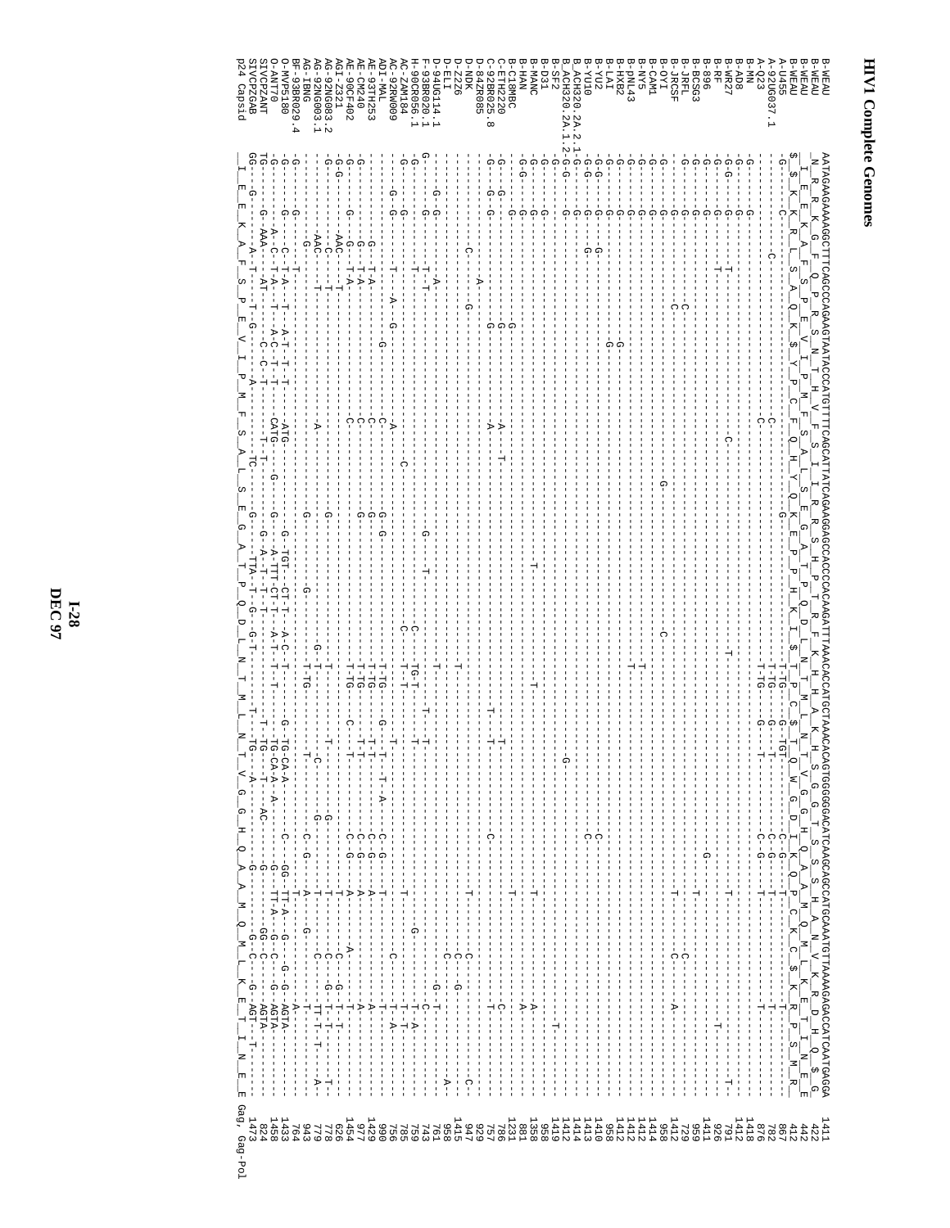| - 1<br>51<br>부<br>$L - T$<br>5<br>1-10<br>51-10<br>۲<br>ا<br>- 1G<br>TG-T<br>Ť<br>$\begin{array}{c} 1 \\ 1 \\ 1 \end{array}$<br>f<br>İ<br>I<br>$\mathsf I$<br>$-1$<br>$-1$<br>$-1$<br>$-1$<br>$\frac{1}{1}$<br>$\frac{1}{1}$<br>I,<br>I<br>ţ<br>$\frac{1}{1}$<br>$\frac{1}{1}$<br>$\frac{1}{1}$<br>$-$ - $       -$<br>$\begin{bmatrix} 1 \\ 1 \\ 1 \\ 1 \end{bmatrix}$<br>$\frac{1}{1}$<br>$\frac{1}{1}$<br>$\frac{1}{1}$<br>$\frac{1}{1}$<br>$\begin{array}{c} 1 \\ 1 \\ 1 \end{array}$<br>Î<br>$\frac{1}{1}$<br>$- - C - - G - -$<br>$\frac{1}{2}$<br>$\frac{1}{2}$<br>$-1$ $-1$ $-1$ $-1$ $-1$ $-1$<br>$\begin{array}{c} 1 \\ 1 \\ 1 \end{array}$<br>$- - - - - - - -$<br>$\frac{1}{1}$<br>$- - - - - -$<br>$\frac{1}{4}$<br>$\begin{array}{c} \begin{array}{c} \text{1} \\ \text{1} \\ \text{1} \\ \text{1} \end{array} \end{array}$<br>$-1$<br>$C = -G = -$<br>$\frac{1}{1}$<br>$\frac{1}{1}$<br>$\begin{array}{c} 1 \\ 1 \\ 1 \end{array}$<br>$\frac{1}{1}$<br>$\frac{1}{1}$<br>$\frac{1}{1}$<br>$\frac{1}{1}$<br>$\frac{1}{4}$<br>ł<br>J<br>$\frac{1}{1}$<br>$\mathsf I$<br>$\mathbb{I}$<br>$\overline{1}$<br>$\overline{1}$<br>$\mathbf{I}$<br>I.<br>$\mathbf I$<br>I,<br>$-1 - 2\Gamma - \cdots$<br>J.<br>J.<br>$\begin{array}{c} \rule{0.2cm}{0.15mm} \rule{0.2cm}{0.15mm} \rule{0.2cm}{0.15mm} \rule{0.2cm}{0.15mm} \rule{0.2cm}{0.15mm} \rule{0.2cm}{0.15mm} \rule{0.2cm}{0.15mm} \rule{0.2cm}{0.15mm} \rule{0.2cm}{0.15mm} \rule{0.2cm}{0.15mm} \rule{0.2cm}{0.15mm} \rule{0.2cm}{0.15mm} \rule{0.2cm}{0.15mm} \rule{0.2cm}{0.15mm} \rule{0.2cm}{0.15mm} \rule{$<br>$\mathbb I$<br>Ţ<br>1<br>$\overline{\phantom{a}}$<br>$\sf I$<br>$-1 - \frac{1}{4} - \frac{1}{4}$<br>$---\mathbf{A}--$<br>ţ<br>$\begin{bmatrix} 1 \\ 1 \\ 1 \\ 1 \end{bmatrix}$<br>$-1$<br>J<br>$\overline{1}$<br>$---T---$<br>$\mathbf{I}$<br>$\frac{1}{1}$<br>I<br>$\begin{array}{c} \n 1 \\  1 \\  1 \\  1\n \end{array}$<br>$---A---$<br>$\begin{array}{c} \begin{array}{c} \text{1} \\ \text{1} \\ \text{1} \\ \text{1} \end{array} \end{array}$<br>$\frac{1}{1}$<br>$\frac{1}{1}$<br>$-4-$<br>$\mathbf{I}$<br>$\mathbf{I}$<br>$\mathbf I$<br>$\frac{1}{1}$<br>$\frac{1}{1}$<br>$\frac{1}{1}$<br>----------------------<br>$\mathbf{I}$<br>$\begin{array}{c} \begin{array}{c} \begin{array}{c} \begin{array}{c} \end{array} \\ \begin{array}{c} \end{array} \\ \begin{array}{c} \end{array} \\ \begin{array}{c} \end{array} \end{array} \end{array} \end{array}$<br>$\frac{1}{1}$<br>$\begin{array}{c} \end{array}$<br>$\begin{array}{c} 1 \\ 1 \\ 1 \end{array}$<br>$-1$ $-1$ $-1$ $-1$ $-1$ $-1$<br>$\frac{1}{2}$<br>$\frac{1}{1}$<br>$\frac{1}{1}$<br>$\frac{1}{2}$<br>$\frac{1}{1}$<br>$\begin{array}{c} 1 \\ 1 \\ 1 \end{array}$<br>$\frac{1}{2}$<br>$\frac{1}{1}$<br>$\frac{1}{1}$<br>$-1$ $-1$ $-1$ $-1$ $-1$ $-1$ $-1$<br>$\frac{1}{1}$<br>$\frac{1}{1}$<br>$\,$ I<br>$\frac{1}{2}$<br>ن<br>--<br>$\blacksquare$<br>$\mathsf I$<br>$- - - - - - - - - -$<br>$\mathsf I$<br>$-1$ $-1$ $-1$ $-1$ $-1$ $-1$ $-1$ $-1$<br>$\mathsf I$<br>$\frac{1}{1}$<br>I<br>$\frac{1}{1}$<br>$\begin{bmatrix} 1 \\ 1 \\ 1 \\ 1 \end{bmatrix}$<br>$\mathbf{I}$<br>п<br>$---$ A $-- --$<br>$\frac{1}{1}$<br>ļ<br>į<br>$\mathbf{I}$<br>- 1 - - 1 - - - - - -<br>--A--T<br>$\mathbf{I}$<br>$\mathbf{I}$<br>$\frac{1}{1}$<br>$\mathbb{I}$<br>$\mathbb I$<br>$\mathsf I$<br>I.<br>$\frac{1}{1}$<br>$\begin{array}{c} \begin{array}{c} \text{1} \\ \text{2} \\ \text{3} \\ \text{4} \end{array} \end{array}$<br>$\mathsf I$<br>$\mathsf I$<br>$\begin{array}{c} \rule{0pt}{2.5ex} \rule{0pt}{2.5ex} \rule{0pt}{2.5ex} \rule{0pt}{2.5ex} \rule{0pt}{2.5ex} \rule{0pt}{2.5ex} \rule{0pt}{2.5ex} \rule{0pt}{2.5ex} \rule{0pt}{2.5ex} \rule{0pt}{2.5ex} \rule{0pt}{2.5ex} \rule{0pt}{2.5ex} \rule{0pt}{2.5ex} \rule{0pt}{2.5ex} \rule{0pt}{2.5ex} \rule{0pt}{2.5ex} \rule{0pt}{2.5ex} \rule{0pt}{2.5ex} \rule{0pt}{2.5ex} \rule{0$<br>$\begin{array}{c} \n 1 \\  1 \\  1 \\  1\n \end{array}$<br>$\begin{array}{c} \begin{array}{c} \begin{array}{c} \begin{array}{c} \begin{array}{c} \end{array} \\ \end{array} \\ \begin{array}{c} \end{array} \end{array} \end{array} \end{array}$<br>$\frac{1}{1}$<br>J.<br>$\frac{1}{1}$<br>$\frac{1}{4}$<br>$\frac{1}{1}$<br>$\begin{bmatrix} 1 \\ 1 \\ 1 \end{bmatrix}$<br>$\overline{1}$<br>$\frac{1}{1}$<br>Ť<br>$\frac{1}{1}$<br>ł | ଋ<br>ଋ<br>ଢ଼<br>∩<br>ု<br>ု<br>Þ<br>Þ<br>⊅<br>ດ<br>⋒<br>ଢ଼ | G-G<br>Φ<br>ଜ<br>ଢ଼<br>ិ--<br>-<br>ជ<br>ှ<br>AAC-<br>$AAC--$<br>$\frac{1}{\Omega}$<br>ω<br>ω<br>ω<br>$-1-Y$<br>-7-A-<br>- A- T<br>부<br>A |
|-------------------------------------------------------------------------------------------------------------------------------------------------------------------------------------------------------------------------------------------------------------------------------------------------------------------------------------------------------------------------------------------------------------------------------------------------------------------------------------------------------------------------------------------------------------------------------------------------------------------------------------------------------------------------------------------------------------------------------------------------------------------------------------------------------------------------------------------------------------------------------------------------------------------------------------------------------------------------------------------------------------------------------------------------------------------------------------------------------------------------------------------------------------------------------------------------------------------------------------------------------------------------------------------------------------------------------------------------------------------------------------------------------------------------------------------------------------------------------------------------------------------------------------------------------------------------------------------------------------------------------------------------------------------------------------------------------------------------------------------------------------------------------------------------------------------------------------------------------------------------------------------------------------------------------------------------------------------------------------------------------------------------------------------------------------------------------------------------------------------------------------------------------------------------------------------------------------------------------------------------------------------------------------------------------------------------------------------------------------------------------------------------------------------------------------------------------------------------------------------------------------------------------------------------------------------------------------------------------------------------------------------------------------------------------------------------------------------------------------------------------------------------------------------------------------------------------------------------------------------------------------------------------------------------------------------------------------------------------------------------------------------------------------------------------------------------------------------------------------------------------------------------------------------------------------------------------------------------------------------------------------------------------------------------------------------------------------------------------------------------------------------------------------------------------------------------------------------------------------------------------------------------------------------------------------------------------------------------------------------------------------------------------------------------------------------------------------------------------------------------------------------------------------------------------------------------------------------------------------------------------------------------------------------------------------------------------------------------------------------------------------------------------------------------------------------------------------------------------------------------------------------------------------------------------------------------------------------------------------------------------------------------------------------------------------------------------------------------|------------------------------------------------------------|------------------------------------------------------------------------------------------------------------------------------------------|
|                                                                                                                                                                                                                                                                                                                                                                                                                                                                                                                                                                                                                                                                                                                                                                                                                                                                                                                                                                                                                                                                                                                                                                                                                                                                                                                                                                                                                                                                                                                                                                                                                                                                                                                                                                                                                                                                                                                                                                                                                                                                                                                                                                                                                                                                                                                                                                                                                                                                                                                                                                                                                                                                                                                                                                                                                                                                                                                                                                                                                                                                                                                                                                                                                                                                                                                                                                                                                                                                                                                                                                                                                                                                                                                                                                                                                                                                                                                                                                                                                                                                                                                                                                                                                                                                                                                                                 |                                                            |                                                                                                                                          |
|                                                                                                                                                                                                                                                                                                                                                                                                                                                                                                                                                                                                                                                                                                                                                                                                                                                                                                                                                                                                                                                                                                                                                                                                                                                                                                                                                                                                                                                                                                                                                                                                                                                                                                                                                                                                                                                                                                                                                                                                                                                                                                                                                                                                                                                                                                                                                                                                                                                                                                                                                                                                                                                                                                                                                                                                                                                                                                                                                                                                                                                                                                                                                                                                                                                                                                                                                                                                                                                                                                                                                                                                                                                                                                                                                                                                                                                                                                                                                                                                                                                                                                                                                                                                                                                                                                                                                 |                                                            |                                                                                                                                          |
|                                                                                                                                                                                                                                                                                                                                                                                                                                                                                                                                                                                                                                                                                                                                                                                                                                                                                                                                                                                                                                                                                                                                                                                                                                                                                                                                                                                                                                                                                                                                                                                                                                                                                                                                                                                                                                                                                                                                                                                                                                                                                                                                                                                                                                                                                                                                                                                                                                                                                                                                                                                                                                                                                                                                                                                                                                                                                                                                                                                                                                                                                                                                                                                                                                                                                                                                                                                                                                                                                                                                                                                                                                                                                                                                                                                                                                                                                                                                                                                                                                                                                                                                                                                                                                                                                                                                                 |                                                            |                                                                                                                                          |
|                                                                                                                                                                                                                                                                                                                                                                                                                                                                                                                                                                                                                                                                                                                                                                                                                                                                                                                                                                                                                                                                                                                                                                                                                                                                                                                                                                                                                                                                                                                                                                                                                                                                                                                                                                                                                                                                                                                                                                                                                                                                                                                                                                                                                                                                                                                                                                                                                                                                                                                                                                                                                                                                                                                                                                                                                                                                                                                                                                                                                                                                                                                                                                                                                                                                                                                                                                                                                                                                                                                                                                                                                                                                                                                                                                                                                                                                                                                                                                                                                                                                                                                                                                                                                                                                                                                                                 |                                                            |                                                                                                                                          |
|                                                                                                                                                                                                                                                                                                                                                                                                                                                                                                                                                                                                                                                                                                                                                                                                                                                                                                                                                                                                                                                                                                                                                                                                                                                                                                                                                                                                                                                                                                                                                                                                                                                                                                                                                                                                                                                                                                                                                                                                                                                                                                                                                                                                                                                                                                                                                                                                                                                                                                                                                                                                                                                                                                                                                                                                                                                                                                                                                                                                                                                                                                                                                                                                                                                                                                                                                                                                                                                                                                                                                                                                                                                                                                                                                                                                                                                                                                                                                                                                                                                                                                                                                                                                                                                                                                                                                 |                                                            |                                                                                                                                          |
|                                                                                                                                                                                                                                                                                                                                                                                                                                                                                                                                                                                                                                                                                                                                                                                                                                                                                                                                                                                                                                                                                                                                                                                                                                                                                                                                                                                                                                                                                                                                                                                                                                                                                                                                                                                                                                                                                                                                                                                                                                                                                                                                                                                                                                                                                                                                                                                                                                                                                                                                                                                                                                                                                                                                                                                                                                                                                                                                                                                                                                                                                                                                                                                                                                                                                                                                                                                                                                                                                                                                                                                                                                                                                                                                                                                                                                                                                                                                                                                                                                                                                                                                                                                                                                                                                                                                                 |                                                            |                                                                                                                                          |
|                                                                                                                                                                                                                                                                                                                                                                                                                                                                                                                                                                                                                                                                                                                                                                                                                                                                                                                                                                                                                                                                                                                                                                                                                                                                                                                                                                                                                                                                                                                                                                                                                                                                                                                                                                                                                                                                                                                                                                                                                                                                                                                                                                                                                                                                                                                                                                                                                                                                                                                                                                                                                                                                                                                                                                                                                                                                                                                                                                                                                                                                                                                                                                                                                                                                                                                                                                                                                                                                                                                                                                                                                                                                                                                                                                                                                                                                                                                                                                                                                                                                                                                                                                                                                                                                                                                                                 |                                                            |                                                                                                                                          |
|                                                                                                                                                                                                                                                                                                                                                                                                                                                                                                                                                                                                                                                                                                                                                                                                                                                                                                                                                                                                                                                                                                                                                                                                                                                                                                                                                                                                                                                                                                                                                                                                                                                                                                                                                                                                                                                                                                                                                                                                                                                                                                                                                                                                                                                                                                                                                                                                                                                                                                                                                                                                                                                                                                                                                                                                                                                                                                                                                                                                                                                                                                                                                                                                                                                                                                                                                                                                                                                                                                                                                                                                                                                                                                                                                                                                                                                                                                                                                                                                                                                                                                                                                                                                                                                                                                                                                 |                                                            |                                                                                                                                          |
|                                                                                                                                                                                                                                                                                                                                                                                                                                                                                                                                                                                                                                                                                                                                                                                                                                                                                                                                                                                                                                                                                                                                                                                                                                                                                                                                                                                                                                                                                                                                                                                                                                                                                                                                                                                                                                                                                                                                                                                                                                                                                                                                                                                                                                                                                                                                                                                                                                                                                                                                                                                                                                                                                                                                                                                                                                                                                                                                                                                                                                                                                                                                                                                                                                                                                                                                                                                                                                                                                                                                                                                                                                                                                                                                                                                                                                                                                                                                                                                                                                                                                                                                                                                                                                                                                                                                                 |                                                            |                                                                                                                                          |
|                                                                                                                                                                                                                                                                                                                                                                                                                                                                                                                                                                                                                                                                                                                                                                                                                                                                                                                                                                                                                                                                                                                                                                                                                                                                                                                                                                                                                                                                                                                                                                                                                                                                                                                                                                                                                                                                                                                                                                                                                                                                                                                                                                                                                                                                                                                                                                                                                                                                                                                                                                                                                                                                                                                                                                                                                                                                                                                                                                                                                                                                                                                                                                                                                                                                                                                                                                                                                                                                                                                                                                                                                                                                                                                                                                                                                                                                                                                                                                                                                                                                                                                                                                                                                                                                                                                                                 |                                                            |                                                                                                                                          |
|                                                                                                                                                                                                                                                                                                                                                                                                                                                                                                                                                                                                                                                                                                                                                                                                                                                                                                                                                                                                                                                                                                                                                                                                                                                                                                                                                                                                                                                                                                                                                                                                                                                                                                                                                                                                                                                                                                                                                                                                                                                                                                                                                                                                                                                                                                                                                                                                                                                                                                                                                                                                                                                                                                                                                                                                                                                                                                                                                                                                                                                                                                                                                                                                                                                                                                                                                                                                                                                                                                                                                                                                                                                                                                                                                                                                                                                                                                                                                                                                                                                                                                                                                                                                                                                                                                                                                 |                                                            | Ω                                                                                                                                        |
|                                                                                                                                                                                                                                                                                                                                                                                                                                                                                                                                                                                                                                                                                                                                                                                                                                                                                                                                                                                                                                                                                                                                                                                                                                                                                                                                                                                                                                                                                                                                                                                                                                                                                                                                                                                                                                                                                                                                                                                                                                                                                                                                                                                                                                                                                                                                                                                                                                                                                                                                                                                                                                                                                                                                                                                                                                                                                                                                                                                                                                                                                                                                                                                                                                                                                                                                                                                                                                                                                                                                                                                                                                                                                                                                                                                                                                                                                                                                                                                                                                                                                                                                                                                                                                                                                                                                                 |                                                            | ဂု<br>Ω                                                                                                                                  |
|                                                                                                                                                                                                                                                                                                                                                                                                                                                                                                                                                                                                                                                                                                                                                                                                                                                                                                                                                                                                                                                                                                                                                                                                                                                                                                                                                                                                                                                                                                                                                                                                                                                                                                                                                                                                                                                                                                                                                                                                                                                                                                                                                                                                                                                                                                                                                                                                                                                                                                                                                                                                                                                                                                                                                                                                                                                                                                                                                                                                                                                                                                                                                                                                                                                                                                                                                                                                                                                                                                                                                                                                                                                                                                                                                                                                                                                                                                                                                                                                                                                                                                                                                                                                                                                                                                                                                 |                                                            |                                                                                                                                          |
|                                                                                                                                                                                                                                                                                                                                                                                                                                                                                                                                                                                                                                                                                                                                                                                                                                                                                                                                                                                                                                                                                                                                                                                                                                                                                                                                                                                                                                                                                                                                                                                                                                                                                                                                                                                                                                                                                                                                                                                                                                                                                                                                                                                                                                                                                                                                                                                                                                                                                                                                                                                                                                                                                                                                                                                                                                                                                                                                                                                                                                                                                                                                                                                                                                                                                                                                                                                                                                                                                                                                                                                                                                                                                                                                                                                                                                                                                                                                                                                                                                                                                                                                                                                                                                                                                                                                                 |                                                            |                                                                                                                                          |
|                                                                                                                                                                                                                                                                                                                                                                                                                                                                                                                                                                                                                                                                                                                                                                                                                                                                                                                                                                                                                                                                                                                                                                                                                                                                                                                                                                                                                                                                                                                                                                                                                                                                                                                                                                                                                                                                                                                                                                                                                                                                                                                                                                                                                                                                                                                                                                                                                                                                                                                                                                                                                                                                                                                                                                                                                                                                                                                                                                                                                                                                                                                                                                                                                                                                                                                                                                                                                                                                                                                                                                                                                                                                                                                                                                                                                                                                                                                                                                                                                                                                                                                                                                                                                                                                                                                                                 |                                                            |                                                                                                                                          |
|                                                                                                                                                                                                                                                                                                                                                                                                                                                                                                                                                                                                                                                                                                                                                                                                                                                                                                                                                                                                                                                                                                                                                                                                                                                                                                                                                                                                                                                                                                                                                                                                                                                                                                                                                                                                                                                                                                                                                                                                                                                                                                                                                                                                                                                                                                                                                                                                                                                                                                                                                                                                                                                                                                                                                                                                                                                                                                                                                                                                                                                                                                                                                                                                                                                                                                                                                                                                                                                                                                                                                                                                                                                                                                                                                                                                                                                                                                                                                                                                                                                                                                                                                                                                                                                                                                                                                 |                                                            |                                                                                                                                          |
|                                                                                                                                                                                                                                                                                                                                                                                                                                                                                                                                                                                                                                                                                                                                                                                                                                                                                                                                                                                                                                                                                                                                                                                                                                                                                                                                                                                                                                                                                                                                                                                                                                                                                                                                                                                                                                                                                                                                                                                                                                                                                                                                                                                                                                                                                                                                                                                                                                                                                                                                                                                                                                                                                                                                                                                                                                                                                                                                                                                                                                                                                                                                                                                                                                                                                                                                                                                                                                                                                                                                                                                                                                                                                                                                                                                                                                                                                                                                                                                                                                                                                                                                                                                                                                                                                                                                                 |                                                            | ဂု                                                                                                                                       |
|                                                                                                                                                                                                                                                                                                                                                                                                                                                                                                                                                                                                                                                                                                                                                                                                                                                                                                                                                                                                                                                                                                                                                                                                                                                                                                                                                                                                                                                                                                                                                                                                                                                                                                                                                                                                                                                                                                                                                                                                                                                                                                                                                                                                                                                                                                                                                                                                                                                                                                                                                                                                                                                                                                                                                                                                                                                                                                                                                                                                                                                                                                                                                                                                                                                                                                                                                                                                                                                                                                                                                                                                                                                                                                                                                                                                                                                                                                                                                                                                                                                                                                                                                                                                                                                                                                                                                 |                                                            | ö<br>Ω                                                                                                                                   |
|                                                                                                                                                                                                                                                                                                                                                                                                                                                                                                                                                                                                                                                                                                                                                                                                                                                                                                                                                                                                                                                                                                                                                                                                                                                                                                                                                                                                                                                                                                                                                                                                                                                                                                                                                                                                                                                                                                                                                                                                                                                                                                                                                                                                                                                                                                                                                                                                                                                                                                                                                                                                                                                                                                                                                                                                                                                                                                                                                                                                                                                                                                                                                                                                                                                                                                                                                                                                                                                                                                                                                                                                                                                                                                                                                                                                                                                                                                                                                                                                                                                                                                                                                                                                                                                                                                                                                 |                                                            | 9-ס--                                                                                                                                    |
|                                                                                                                                                                                                                                                                                                                                                                                                                                                                                                                                                                                                                                                                                                                                                                                                                                                                                                                                                                                                                                                                                                                                                                                                                                                                                                                                                                                                                                                                                                                                                                                                                                                                                                                                                                                                                                                                                                                                                                                                                                                                                                                                                                                                                                                                                                                                                                                                                                                                                                                                                                                                                                                                                                                                                                                                                                                                                                                                                                                                                                                                                                                                                                                                                                                                                                                                                                                                                                                                                                                                                                                                                                                                                                                                                                                                                                                                                                                                                                                                                                                                                                                                                                                                                                                                                                                                                 |                                                            | ω                                                                                                                                        |
|                                                                                                                                                                                                                                                                                                                                                                                                                                                                                                                                                                                                                                                                                                                                                                                                                                                                                                                                                                                                                                                                                                                                                                                                                                                                                                                                                                                                                                                                                                                                                                                                                                                                                                                                                                                                                                                                                                                                                                                                                                                                                                                                                                                                                                                                                                                                                                                                                                                                                                                                                                                                                                                                                                                                                                                                                                                                                                                                                                                                                                                                                                                                                                                                                                                                                                                                                                                                                                                                                                                                                                                                                                                                                                                                                                                                                                                                                                                                                                                                                                                                                                                                                                                                                                                                                                                                                 |                                                            | Ω                                                                                                                                        |
|                                                                                                                                                                                                                                                                                                                                                                                                                                                                                                                                                                                                                                                                                                                                                                                                                                                                                                                                                                                                                                                                                                                                                                                                                                                                                                                                                                                                                                                                                                                                                                                                                                                                                                                                                                                                                                                                                                                                                                                                                                                                                                                                                                                                                                                                                                                                                                                                                                                                                                                                                                                                                                                                                                                                                                                                                                                                                                                                                                                                                                                                                                                                                                                                                                                                                                                                                                                                                                                                                                                                                                                                                                                                                                                                                                                                                                                                                                                                                                                                                                                                                                                                                                                                                                                                                                                                                 |                                                            | ω                                                                                                                                        |
|                                                                                                                                                                                                                                                                                                                                                                                                                                                                                                                                                                                                                                                                                                                                                                                                                                                                                                                                                                                                                                                                                                                                                                                                                                                                                                                                                                                                                                                                                                                                                                                                                                                                                                                                                                                                                                                                                                                                                                                                                                                                                                                                                                                                                                                                                                                                                                                                                                                                                                                                                                                                                                                                                                                                                                                                                                                                                                                                                                                                                                                                                                                                                                                                                                                                                                                                                                                                                                                                                                                                                                                                                                                                                                                                                                                                                                                                                                                                                                                                                                                                                                                                                                                                                                                                                                                                                 |                                                            | Ģ<br>ဂ္ဂ                                                                                                                                 |
|                                                                                                                                                                                                                                                                                                                                                                                                                                                                                                                                                                                                                                                                                                                                                                                                                                                                                                                                                                                                                                                                                                                                                                                                                                                                                                                                                                                                                                                                                                                                                                                                                                                                                                                                                                                                                                                                                                                                                                                                                                                                                                                                                                                                                                                                                                                                                                                                                                                                                                                                                                                                                                                                                                                                                                                                                                                                                                                                                                                                                                                                                                                                                                                                                                                                                                                                                                                                                                                                                                                                                                                                                                                                                                                                                                                                                                                                                                                                                                                                                                                                                                                                                                                                                                                                                                                                                 |                                                            | $\dot{\Omega}$<br>ł                                                                                                                      |
|                                                                                                                                                                                                                                                                                                                                                                                                                                                                                                                                                                                                                                                                                                                                                                                                                                                                                                                                                                                                                                                                                                                                                                                                                                                                                                                                                                                                                                                                                                                                                                                                                                                                                                                                                                                                                                                                                                                                                                                                                                                                                                                                                                                                                                                                                                                                                                                                                                                                                                                                                                                                                                                                                                                                                                                                                                                                                                                                                                                                                                                                                                                                                                                                                                                                                                                                                                                                                                                                                                                                                                                                                                                                                                                                                                                                                                                                                                                                                                                                                                                                                                                                                                                                                                                                                                                                                 |                                                            | $-9 - 0 -$<br>Ġ٩                                                                                                                         |
|                                                                                                                                                                                                                                                                                                                                                                                                                                                                                                                                                                                                                                                                                                                                                                                                                                                                                                                                                                                                                                                                                                                                                                                                                                                                                                                                                                                                                                                                                                                                                                                                                                                                                                                                                                                                                                                                                                                                                                                                                                                                                                                                                                                                                                                                                                                                                                                                                                                                                                                                                                                                                                                                                                                                                                                                                                                                                                                                                                                                                                                                                                                                                                                                                                                                                                                                                                                                                                                                                                                                                                                                                                                                                                                                                                                                                                                                                                                                                                                                                                                                                                                                                                                                                                                                                                                                                 |                                                            | $\Omega$<br>Ω                                                                                                                            |
|                                                                                                                                                                                                                                                                                                                                                                                                                                                                                                                                                                                                                                                                                                                                                                                                                                                                                                                                                                                                                                                                                                                                                                                                                                                                                                                                                                                                                                                                                                                                                                                                                                                                                                                                                                                                                                                                                                                                                                                                                                                                                                                                                                                                                                                                                                                                                                                                                                                                                                                                                                                                                                                                                                                                                                                                                                                                                                                                                                                                                                                                                                                                                                                                                                                                                                                                                                                                                                                                                                                                                                                                                                                                                                                                                                                                                                                                                                                                                                                                                                                                                                                                                                                                                                                                                                                                                 | Ω                                                          | Ω                                                                                                                                        |
|                                                                                                                                                                                                                                                                                                                                                                                                                                                                                                                                                                                                                                                                                                                                                                                                                                                                                                                                                                                                                                                                                                                                                                                                                                                                                                                                                                                                                                                                                                                                                                                                                                                                                                                                                                                                                                                                                                                                                                                                                                                                                                                                                                                                                                                                                                                                                                                                                                                                                                                                                                                                                                                                                                                                                                                                                                                                                                                                                                                                                                                                                                                                                                                                                                                                                                                                                                                                                                                                                                                                                                                                                                                                                                                                                                                                                                                                                                                                                                                                                                                                                                                                                                                                                                                                                                                                                 | Ω                                                          | ⋒                                                                                                                                        |
|                                                                                                                                                                                                                                                                                                                                                                                                                                                                                                                                                                                                                                                                                                                                                                                                                                                                                                                                                                                                                                                                                                                                                                                                                                                                                                                                                                                                                                                                                                                                                                                                                                                                                                                                                                                                                                                                                                                                                                                                                                                                                                                                                                                                                                                                                                                                                                                                                                                                                                                                                                                                                                                                                                                                                                                                                                                                                                                                                                                                                                                                                                                                                                                                                                                                                                                                                                                                                                                                                                                                                                                                                                                                                                                                                                                                                                                                                                                                                                                                                                                                                                                                                                                                                                                                                                                                                 |                                                            | Ω                                                                                                                                        |
|                                                                                                                                                                                                                                                                                                                                                                                                                                                                                                                                                                                                                                                                                                                                                                                                                                                                                                                                                                                                                                                                                                                                                                                                                                                                                                                                                                                                                                                                                                                                                                                                                                                                                                                                                                                                                                                                                                                                                                                                                                                                                                                                                                                                                                                                                                                                                                                                                                                                                                                                                                                                                                                                                                                                                                                                                                                                                                                                                                                                                                                                                                                                                                                                                                                                                                                                                                                                                                                                                                                                                                                                                                                                                                                                                                                                                                                                                                                                                                                                                                                                                                                                                                                                                                                                                                                                                 |                                                            | Ω                                                                                                                                        |
| $\frac{1}{1}$<br>$\frac{1}{1}$<br>$\frac{1}{1}$<br>$\frac{1}{1}$<br>$\frac{1}{1}$<br>$\mathbb{I}$<br>$\frac{1}{1}$<br>$\frac{1}{1}$<br>$\begin{array}{c c} \hline \rule{0pt}{2.5ex} & \rule{0pt}{2.5ex} \\ \rule{0pt}{2.5ex} & \rule{0pt}{2.5ex} \\ \rule{0pt}{2.5ex} & \rule{0pt}{2.5ex} \\ \rule{0pt}{2.5ex} & \rule{0pt}{2.5ex} \\ \rule{0pt}{2.5ex} & \rule{0pt}{2.5ex} \\ \rule{0pt}{2.5ex} & \rule{0pt}{2.5ex} \\ \rule{0pt}{2.5ex} & \rule{0pt}{2.5ex} \\ \rule{0pt}{2.5ex} & \rule{0pt}{2.5ex} \\ \rule{0pt}{2.5ex} & \rule{0$                                                                                                                                                                                                                                                                                                                                                                                                                                                                                                                                                                                                                                                                                                                                                                                                                                                                                                                                                                                                                                                                                                                                                                                                                                                                                                                                                                                                                                                                                                                                                                                                                                                                                                                                                                                                                                                                                                                                                                                                                                                                                                                                                                                                                                                                                                                                                                                                                                                                                                                                                                                                                                                                                                                                                                                                                                                                                                                                                                                                                                                                                                                                                                                                                                                                                                                                                                                                                                                                                                                                                                                                                                                                                                                                                                                                          |                                                            | ⋒                                                                                                                                        |
|                                                                                                                                                                                                                                                                                                                                                                                                                                                                                                                                                                                                                                                                                                                                                                                                                                                                                                                                                                                                                                                                                                                                                                                                                                                                                                                                                                                                                                                                                                                                                                                                                                                                                                                                                                                                                                                                                                                                                                                                                                                                                                                                                                                                                                                                                                                                                                                                                                                                                                                                                                                                                                                                                                                                                                                                                                                                                                                                                                                                                                                                                                                                                                                                                                                                                                                                                                                                                                                                                                                                                                                                                                                                                                                                                                                                                                                                                                                                                                                                                                                                                                                                                                                                                                                                                                                                                 |                                                            | ⋒                                                                                                                                        |
| $\mathbf{I}$<br>$\frac{1}{4}$<br>$\overline{1}$<br>$\mathsf I$<br>$\mathbf{I}$<br>$-1 - 1 -$<br>$\frac{1}{1}$<br>$\mathsf I$<br>$- -C - -$<br>$\mathsf I$<br>Ţ<br>$-1$ - $-1$<br>$\frac{1}{1}$                                                                                                                                                                                                                                                                                                                                                                                                                                                                                                                                                                                                                                                                                                                                                                                                                                                                                                                                                                                                                                                                                                                                                                                                                                                                                                                                                                                                                                                                                                                                                                                                                                                                                                                                                                                                                                                                                                                                                                                                                                                                                                                                                                                                                                                                                                                                                                                                                                                                                                                                                                                                                                                                                                                                                                                                                                                                                                                                                                                                                                                                                                                                                                                                                                                                                                                                                                                                                                                                                                                                                                                                                                                                                                                                                                                                                                                                                                                                                                                                                                                                                                                                                  |                                                            |                                                                                                                                          |
| ţ<br>$\begin{array}{c} \begin{array}{c} \text{1} \\ \text{1} \\ \text{1} \\ \text{1} \end{array} \\ \end{array}$                                                                                                                                                                                                                                                                                                                                                                                                                                                                                                                                                                                                                                                                                                                                                                                                                                                                                                                                                                                                                                                                                                                                                                                                                                                                                                                                                                                                                                                                                                                                                                                                                                                                                                                                                                                                                                                                                                                                                                                                                                                                                                                                                                                                                                                                                                                                                                                                                                                                                                                                                                                                                                                                                                                                                                                                                                                                                                                                                                                                                                                                                                                                                                                                                                                                                                                                                                                                                                                                                                                                                                                                                                                                                                                                                                                                                                                                                                                                                                                                                                                                                                                                                                                                                                |                                                            | Ω                                                                                                                                        |
| $\begin{bmatrix} 1 \\ 1 \\ 1 \\ 1 \end{bmatrix}$<br>$-1 - 1 - 1 - 1 - 1 - 1 - 1$<br>$\frac{1}{1}$<br>$\begin{array}{c} 1 \\ 1 \\ 1 \end{array}$                                                                                                                                                                                                                                                                                                                                                                                                                                                                                                                                                                                                                                                                                                                                                                                                                                                                                                                                                                                                                                                                                                                                                                                                                                                                                                                                                                                                                                                                                                                                                                                                                                                                                                                                                                                                                                                                                                                                                                                                                                                                                                                                                                                                                                                                                                                                                                                                                                                                                                                                                                                                                                                                                                                                                                                                                                                                                                                                                                                                                                                                                                                                                                                                                                                                                                                                                                                                                                                                                                                                                                                                                                                                                                                                                                                                                                                                                                                                                                                                                                                                                                                                                                                                 |                                                            | ω                                                                                                                                        |
| $-6 - -$<br>$\frac{1}{1}$<br>J.<br>$\frac{1}{1}$<br>$\frac{1}{1}$<br>I<br>$\frac{1}{1}$<br>ł                                                                                                                                                                                                                                                                                                                                                                                                                                                                                                                                                                                                                                                                                                                                                                                                                                                                                                                                                                                                                                                                                                                                                                                                                                                                                                                                                                                                                                                                                                                                                                                                                                                                                                                                                                                                                                                                                                                                                                                                                                                                                                                                                                                                                                                                                                                                                                                                                                                                                                                                                                                                                                                                                                                                                                                                                                                                                                                                                                                                                                                                                                                                                                                                                                                                                                                                                                                                                                                                                                                                                                                                                                                                                                                                                                                                                                                                                                                                                                                                                                                                                                                                                                                                                                                    |                                                            | ω<br>Ω                                                                                                                                   |
| $\frac{1}{1}$<br>I<br>I<br>I<br>J<br>$\blacksquare$<br>$-1$ $-1$ $-1$ $-1$ $-1$ $-1$ $-1$                                                                                                                                                                                                                                                                                                                                                                                                                                                                                                                                                                                                                                                                                                                                                                                                                                                                                                                                                                                                                                                                                                                                                                                                                                                                                                                                                                                                                                                                                                                                                                                                                                                                                                                                                                                                                                                                                                                                                                                                                                                                                                                                                                                                                                                                                                                                                                                                                                                                                                                                                                                                                                                                                                                                                                                                                                                                                                                                                                                                                                                                                                                                                                                                                                                                                                                                                                                                                                                                                                                                                                                                                                                                                                                                                                                                                                                                                                                                                                                                                                                                                                                                                                                                                                                       |                                                            | ω<br>Ω                                                                                                                                   |
| $-1$ $-1$ $-1$ $-1$ $-1$ $-1$<br>$\begin{bmatrix} 1 \\ 1 \\ 1 \end{bmatrix}$<br>$-1$                                                                                                                                                                                                                                                                                                                                                                                                                                                                                                                                                                                                                                                                                                                                                                                                                                                                                                                                                                                                                                                                                                                                                                                                                                                                                                                                                                                                                                                                                                                                                                                                                                                                                                                                                                                                                                                                                                                                                                                                                                                                                                                                                                                                                                                                                                                                                                                                                                                                                                                                                                                                                                                                                                                                                                                                                                                                                                                                                                                                                                                                                                                                                                                                                                                                                                                                                                                                                                                                                                                                                                                                                                                                                                                                                                                                                                                                                                                                                                                                                                                                                                                                                                                                                                                            |                                                            | -0-0-                                                                                                                                    |
| л<br>$\frac{1}{1}$<br>I.<br>Ţ<br>п<br>I.<br>Ţ<br>J.<br>$\frac{1}{1}$<br>I<br>ł<br>ţ<br>$\frac{1}{1}$                                                                                                                                                                                                                                                                                                                                                                                                                                                                                                                                                                                                                                                                                                                                                                                                                                                                                                                                                                                                                                                                                                                                                                                                                                                                                                                                                                                                                                                                                                                                                                                                                                                                                                                                                                                                                                                                                                                                                                                                                                                                                                                                                                                                                                                                                                                                                                                                                                                                                                                                                                                                                                                                                                                                                                                                                                                                                                                                                                                                                                                                                                                                                                                                                                                                                                                                                                                                                                                                                                                                                                                                                                                                                                                                                                                                                                                                                                                                                                                                                                                                                                                                                                                                                                            |                                                            | ω                                                                                                                                        |
| I<br>1<br>$\overline{\phantom{a}}$<br>$\frac{1}{1}$<br>I.<br>$\mathbf{I}$<br>I<br>$\mathbf{I}$<br>$\overline{\phantom{a}}$<br>$\frac{1}{1}$<br>I                                                                                                                                                                                                                                                                                                                                                                                                                                                                                                                                                                                                                                                                                                                                                                                                                                                                                                                                                                                                                                                                                                                                                                                                                                                                                                                                                                                                                                                                                                                                                                                                                                                                                                                                                                                                                                                                                                                                                                                                                                                                                                                                                                                                                                                                                                                                                                                                                                                                                                                                                                                                                                                                                                                                                                                                                                                                                                                                                                                                                                                                                                                                                                                                                                                                                                                                                                                                                                                                                                                                                                                                                                                                                                                                                                                                                                                                                                                                                                                                                                                                                                                                                                                                |                                                            | Ω                                                                                                                                        |
| $-10-1$<br>ł,<br>$\mathbb{I}$<br>$\frac{1}{1}$<br>I.<br>$\frac{1}{1}$<br>$\mathbb{I}$<br>ţ                                                                                                                                                                                                                                                                                                                                                                                                                                                                                                                                                                                                                                                                                                                                                                                                                                                                                                                                                                                                                                                                                                                                                                                                                                                                                                                                                                                                                                                                                                                                                                                                                                                                                                                                                                                                                                                                                                                                                                                                                                                                                                                                                                                                                                                                                                                                                                                                                                                                                                                                                                                                                                                                                                                                                                                                                                                                                                                                                                                                                                                                                                                                                                                                                                                                                                                                                                                                                                                                                                                                                                                                                                                                                                                                                                                                                                                                                                                                                                                                                                                                                                                                                                                                                                                      | ု                                                          |                                                                                                                                          |
| 51-10<br>$\frac{1}{1}$<br>$\frac{1}{1}$<br>$- - - - - - - - -$<br>$\frac{1}{1}$<br>$\frac{1}{1}$<br>$\mathbf{I}$<br>ï<br>$\frac{1}{1}$<br>$\sf I$<br>$\mathbf{I}$<br>Ť<br>$\frac{1}{1}$<br>I.<br>$\mathbf{I}$                                                                                                                                                                                                                                                                                                                                                                                                                                                                                                                                                                                                                                                                                                                                                                                                                                                                                                                                                                                                                                                                                                                                                                                                                                                                                                                                                                                                                                                                                                                                                                                                                                                                                                                                                                                                                                                                                                                                                                                                                                                                                                                                                                                                                                                                                                                                                                                                                                                                                                                                                                                                                                                                                                                                                                                                                                                                                                                                                                                                                                                                                                                                                                                                                                                                                                                                                                                                                                                                                                                                                                                                                                                                                                                                                                                                                                                                                                                                                                                                                                                                                                                                   | Ω                                                          |                                                                                                                                          |
| - 1G<br>φ<br>忌<br>$\mathbf{I}$<br>$-1 - 1 -$<br>$\frac{1}{1}$<br>Ė<br>$\blacksquare$                                                                                                                                                                                                                                                                                                                                                                                                                                                                                                                                                                                                                                                                                                                                                                                                                                                                                                                                                                                                                                                                                                                                                                                                                                                                                                                                                                                                                                                                                                                                                                                                                                                                                                                                                                                                                                                                                                                                                                                                                                                                                                                                                                                                                                                                                                                                                                                                                                                                                                                                                                                                                                                                                                                                                                                                                                                                                                                                                                                                                                                                                                                                                                                                                                                                                                                                                                                                                                                                                                                                                                                                                                                                                                                                                                                                                                                                                                                                                                                                                                                                                                                                                                                                                                                            |                                                            |                                                                                                                                          |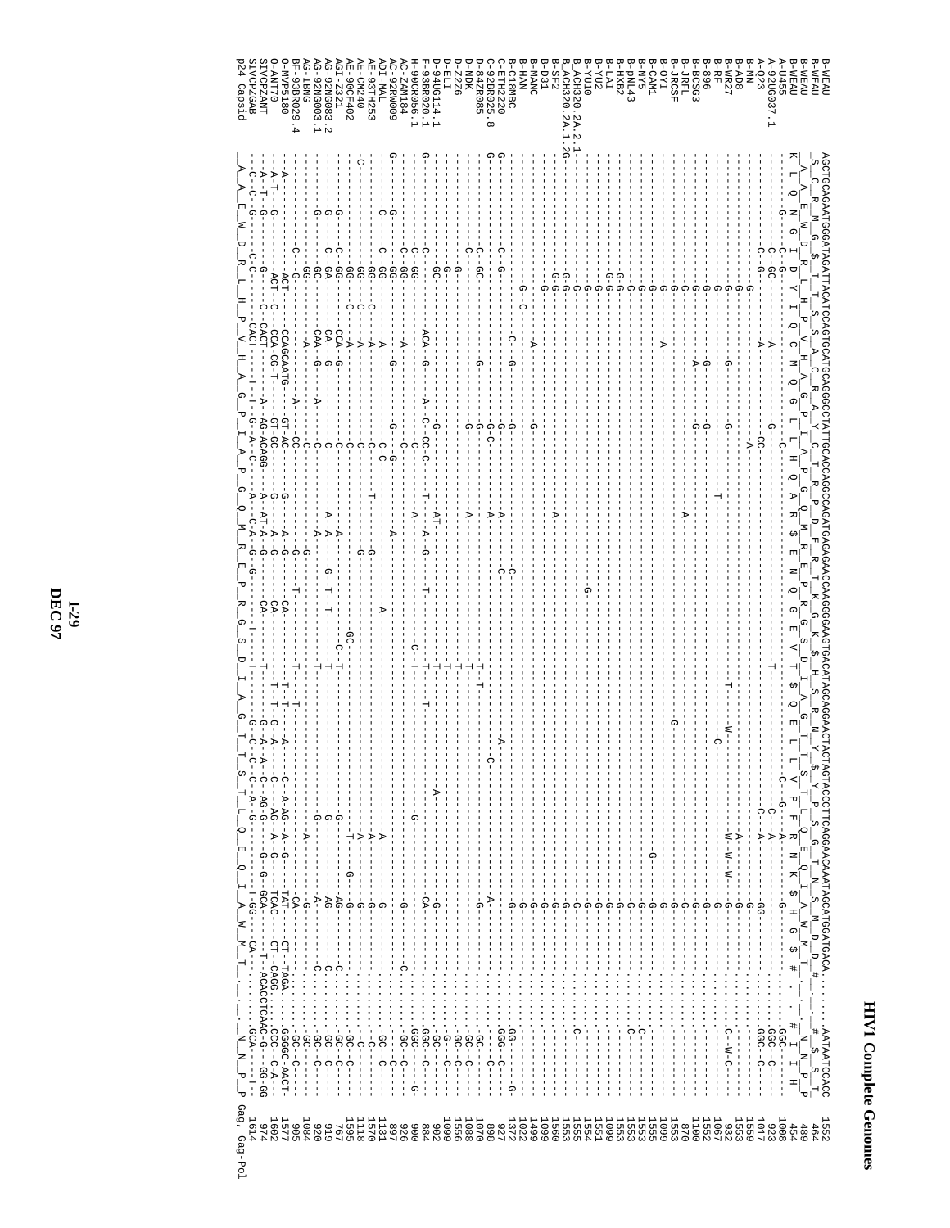| 4-92NG003.1<br>P .62BE029.4<br>$G - 92NCO 83.$<br>?-93BR020.1<br>1-90CR056.1<br>$-940G114.1$<br>-92BR025.8<br>$\mathsf{N}$<br>- 1- 1-<br>Ω<br>⋗<br>$\frac{1}{2}$<br>Ω<br>F<br>団<br>Ġ<br>Ω<br>n<br>G<br>∪<br>-C--GA<br>---96<br>-- GG<br>∩<br>∩<br>Ģ<br>Ģ<br>−−−<br>- - - - - - - -<br>--ac-<br>$\overline{5}$<br>$\frac{1}{2}$<br>$-55-$<br>ှု<br>ခို<br>$-90-$<br>នី<br>ခဲ့<br>နှ<br>င္က်<br>ခှ<br>ω<br>ω<br>ACT-<br>ACT-<br>ဂ္<br>잎<br>ଋ<br>Φ<br>Ω<br>Ω<br>ଢ଼<br>ଜ<br>⋒<br>∩<br>∩<br>U<br>RCT<br>-CCA-CG-1<br>CCAGCAATG-<br>CAA--<br>CA-<br>$CCA$ - $-$<br>$ACA -$<br>$-V -$<br>⊅<br>⊅<br>ဂု<br>ဂု<br>Ω<br>Ą<br>₹<br>ଢ଼<br>д<br>-G--A--G-<br>-ST-AC-<br>CT-GC-<br>AG-ACAGG-<br>C--CC-C<br>ှု<br>ם<br>ה<br>Ω<br>ଇ<br>Ω<br>⋒<br>-cc<br>CC-<br>۴<br>c-c<br>ှု<br>੮<br>63<br>⊅<br>G<br>$AT - A - - G$<br>⊅<br>$C - A -$<br>-A-<br>$-4-$<br>-A--G<br>÷<br>⊢<br>ъ<br>i<br>⊢<br>ှု<br>ငှ<br>ပုံ<br>ပုံ<br>Ġ<br>Ω<br>Ω<br>ငှာ<br>Ω<br>∩<br>≏<br>ġ<br>ġ<br>B<br>፡<br>ଢ଼<br>G<br>ec-<br>H<br>Ħ<br>⊅<br>$-4-7-$<br>$-C = -C = -A - -G - -$<br>ا<br>∞<br>$- - C - - A - A G - - A - - G - -$<br>$- - - - - - - - -$<br>$\begin{bmatrix} 1 \\ 1 \\ 1 \\ 1 \end{bmatrix}$<br>⊲<br>C--AG-G-------G--GCA---<br>Q<br>$------------------$<br>$\frac{1}{2}$<br>$---AG---A---A---B---$<br>$\overline{a}$<br>ှု<br>יט<br>$-1 - 5 -$<br>$-1$ - $-1$<br>ţ<br>$\frac{1}{1}$<br>$\frac{1}{1}$<br>$\frac{1}{1}$<br>$C---A-----$<br>$---A--$<br>먹<br>¦o<br>$        -$<br>$\frac{1}{1}$<br>$- -A - -$<br>$--A--$<br>$--A--$<br>$\frac{1}{1}$<br>$-1 - 2 - 1 - 1 - 1 - 1$<br>$\frac{1}{2}$<br>$\frac{1}{1}$<br>¦স<br>부<br>п<br>-1<br>Į.<br>$\begin{bmatrix} 1 \\ 1 \\ 1 \\ 1 \end{bmatrix}$<br>$\begin{bmatrix} 1 \\ 1 \\ 1 \\ 1 \end{bmatrix}$<br>$\frac{1}{1}$<br>$\frac{1}{1}$<br>$\frac{1}{1}$<br>$\begin{bmatrix} 1 \\ 1 \\ 1 \\ 1 \end{bmatrix}$<br>$\mathsf I$<br>J.<br>$\frac{1}{1}$<br>I.<br>I<br>$\frac{1}{1}$<br>z<br>$\mathbf{I}$<br>$\mathbf{I}$<br>I.<br>$\frac{1}{1}$<br>I.<br>$\mathsf I$<br>I.<br>¦o<br>$---PG---$<br>$\begin{array}{c} \end{array}$<br>k<br>$---A---$<br>$-1 - 4 - 0$<br>---TAT------CT--TAGAGGGC-AACT-<br>---TCAC-----CT--CAGGCCC--C-A---<br>$\overline{\phantom{a}}$<br>$\overline{\phantom{a}}$<br>I.<br>$\mathbf{I}$<br>$--TCAC--$<br>$---A-----$<br>$\frac{1}{1}$<br>$- - - - - - - - - - - - - - - -$<br>$-1 - 9 - - -$<br>$- - - -$<br>$- - 5G - - -$<br>$\frac{1}{1}$<br>$  C-A$ $-$<br>$-CA - -$<br>$- - - - - - -$<br>$- - - - - - -$<br>$- - - - - - -$<br>$\frac{1}{1}$<br>$\frac{1}{1}$<br>m.<br>I<br>$\frac{1}{1}$<br>$\frac{1}{1}$<br>$\frac{1}{\Omega}$<br>$\frac{1}{1}$<br>$\frac{1}{1}$<br>$\frac{1}{\Omega}$<br>$\frac{1}{1}$<br>$-1 - 5 -$<br>ł<br>Ť<br>l<br>P<br>1<br>Φ<br>$\frac{1}{2}$<br>$\frac{1}{2}$<br>နဲ<br>Φ<br>နဲ့<br>$\mu_{\rm C}$<br>Ī<br>$\begin{array}{c} 1 \\ 1 \\ 1 \end{array}$<br>$\frac{1}{1}$<br>İ<br>Ĭ<br>Ť<br>Ţ<br>I<br>$\frac{1}{1}$<br>ł<br>$\frac{1}{1}$<br>$\frac{1}{1}$<br>$\mathsf I$<br>¦≍<br>$\mathbf{I}$<br>$\frac{1}{1}$<br>ŗω.<br>Ť<br>$\frac{1}{4}$<br>ł<br>ŧ<br>$\Omega$<br>$1 + 1 + 1 + 1 + 1 + 1 + 1 + 1 + 1$<br>$\begin{array}{c} \n 1 \\  \vdots \\  1\n \end{array}$<br>×<br>$\vdots$<br>$\frac{1}{2}$ , $\frac{1}{2}$ , $\frac{1}{2}$ , $\frac{1}{2}$ , $\frac{1}{2}$ , $\frac{1}{2}$ , $\frac{1}{2}$ , $\frac{1}{2}$ , $\frac{1}{2}$ , $\frac{1}{2}$<br>$\begin{array}{c} \vdots \\ \vdots \\ \vdots \end{array}$<br>$\frac{1}{2}$<br>$-200 - 1100 - 1$<br>$-1 - 1 - 0$<br>$\cdots \cdots \cdots 1$<br>$-1$ - $-1$ - $N$ - $-1$ - $N$ - $-1$<br>$\cdots$ -dc--c---<br>$\frac{1}{1}$<br>$-999$<br>$-1 - 3 - 39 - 7$<br>$-1 - 1 - 1 - 1$<br>$-1 - 3 - 30 - 7$<br>$-1 - 000 - 1$<br>$- - 36 - - -$<br>$-1 - 2 - 5 - 7 - 7 - 1$<br>$- - - - - - - - - -$<br>----------<br>$- - 3 - - 3 - - -$<br>$- - 3 - - 3 - -$<br>$-9 - -5 - -$<br>$-9 - 9 - 9 - 1$<br>$- -C - -$<br>$\begin{array}{c} \begin{array}{c} \begin{array}{c} \begin{array}{c} \begin{array}{c} \end{array} \\ \end{array} \\ \begin{array}{c} \end{array} \\ \begin{array}{c} \end{array} \\ \end{array} \end{array} \end{array}$<br>$\begin{array}{c} 1 \\ 1 \\ 1 \\ 1 \\ 1 \\ 1 \\ \end{array}$<br>$\begin{bmatrix} 1 \\ 1 \\ 1 \\ 1 \end{bmatrix}$<br>Į<br>$-2-$<br>jн<br>$\frac{1}{2}$<br>$\frac{1}{1}$<br>$\frac{1}{1}$<br>।<br>"<br>$-1$<br>'n,<br>f,<br>$\mathbf{I}$<br>$\mathbf{I}$<br>д<br>1577<br>1084<br>1008<br>919<br>767<br>454<br>506<br>026<br>489 | $\int_{\mathbb{R}}$<br>1614<br>16024<br>2002<br>של של האישים של האישים של האישים של האישים של האישים של האישים של האישים של האישים של האישים של האישים של האיש<br>האישים של האישים של האישים של האישים של האישים של האישים של האישים של האישים של האישים של האישים של האישים של<br><br>A N M M M M<br>O M N M O M<br>O M N M D<br>O M N M M M M<br>1118<br>1595 | Ω<br>z<br>Ω<br>$\omega$<br>Ω<br>Ω<br>Ω<br>ŀω<br>Ţ<br>ุ่ ด<br>'ဂ<br>H<br>k<br> <br>ა<br>$\frac{1}{\mathbb{A}}$<br>U<br>$\ddot{}$<br>$\frac{1}{2}$<br>מ'<br>1552<br>464 |                                                                                                                                                                | $-1 - 1 - -1$ |  |  |  |  |  |
|-------------------------------------------------------------------------------------------------------------------------------------------------------------------------------------------------------------------------------------------------------------------------------------------------------------------------------------------------------------------------------------------------------------------------------------------------------------------------------------------------------------------------------------------------------------------------------------------------------------------------------------------------------------------------------------------------------------------------------------------------------------------------------------------------------------------------------------------------------------------------------------------------------------------------------------------------------------------------------------------------------------------------------------------------------------------------------------------------------------------------------------------------------------------------------------------------------------------------------------------------------------------------------------------------------------------------------------------------------------------------------------------------------------------------------------------------------------------------------------------------------------------------------------------------------------------------------------------------------------------------------------------------------------------------------------------------------------------------------------------------------------------------------------------------------------------------------------------------------------------------------------------------------------------------------------------------------------------------------------------------------------------------------------------------------------------------------------------------------------------------------------------------------------------------------------------------------------------------------------------------------------------------------------------------------------------------------------------------------------------------------------------------------------------------------------------------------------------------------------------------------------------------------------------------------------------------------------------------------------------------------------------------------------------------------------------------------------------------------------------------------------------------------------------------------------------------------------------------------------------------------------------------------------------------------------------------------------------------------------------------------------------------------------------------------------------------------------------------------------------------------------------------------------------------------------------------------------------------------------------------------------------------------------------------------------------------------------------------------------------------------------------------------------------------------------------------------------------------------------------------------------------------------------------------------------------------------------------------------------------------------------------------------------------------------------------------------------------------------------------------------------------------------------------------------------------------------------------------------------------------------------------------------------------------------------------------------------------------------------------------------------------------------------------------------------------------------------------------------------------------------------------------------------------------------------------------------------------------------------------------------------------------------------------------------------------------------------------------------------------------------------------------------|-----------------------------------------------------------------------------------------------------------------------------------------------------------------------------------------------------------------------------------------------------------------------------------------------------------------------------------------------------------------|-----------------------------------------------------------------------------------------------------------------------------------------------------------------------|----------------------------------------------------------------------------------------------------------------------------------------------------------------|---------------|--|--|--|--|--|
|                                                                                                                                                                                                                                                                                                                                                                                                                                                                                                                                                                                                                                                                                                                                                                                                                                                                                                                                                                                                                                                                                                                                                                                                                                                                                                                                                                                                                                                                                                                                                                                                                                                                                                                                                                                                                                                                                                                                                                                                                                                                                                                                                                                                                                                                                                                                                                                                                                                                                                                                                                                                                                                                                                                                                                                                                                                                                                                                                                                                                                                                                                                                                                                                                                                                                                                                                                                                                                                                                                                                                                                                                                                                                                                                                                                                                                                                                                                                                                                                                                                                                                                                                                                                                                                                                                                                                                                                       |                                                                                                                                                                                                                                                                                                                                                                 |                                                                                                                                                                       |                                                                                                                                                                |               |  |  |  |  |  |
|                                                                                                                                                                                                                                                                                                                                                                                                                                                                                                                                                                                                                                                                                                                                                                                                                                                                                                                                                                                                                                                                                                                                                                                                                                                                                                                                                                                                                                                                                                                                                                                                                                                                                                                                                                                                                                                                                                                                                                                                                                                                                                                                                                                                                                                                                                                                                                                                                                                                                                                                                                                                                                                                                                                                                                                                                                                                                                                                                                                                                                                                                                                                                                                                                                                                                                                                                                                                                                                                                                                                                                                                                                                                                                                                                                                                                                                                                                                                                                                                                                                                                                                                                                                                                                                                                                                                                                                                       |                                                                                                                                                                                                                                                                                                                                                                 |                                                                                                                                                                       |                                                                                                                                                                |               |  |  |  |  |  |
|                                                                                                                                                                                                                                                                                                                                                                                                                                                                                                                                                                                                                                                                                                                                                                                                                                                                                                                                                                                                                                                                                                                                                                                                                                                                                                                                                                                                                                                                                                                                                                                                                                                                                                                                                                                                                                                                                                                                                                                                                                                                                                                                                                                                                                                                                                                                                                                                                                                                                                                                                                                                                                                                                                                                                                                                                                                                                                                                                                                                                                                                                                                                                                                                                                                                                                                                                                                                                                                                                                                                                                                                                                                                                                                                                                                                                                                                                                                                                                                                                                                                                                                                                                                                                                                                                                                                                                                                       |                                                                                                                                                                                                                                                                                                                                                                 |                                                                                                                                                                       |                                                                                                                                                                |               |  |  |  |  |  |
|                                                                                                                                                                                                                                                                                                                                                                                                                                                                                                                                                                                                                                                                                                                                                                                                                                                                                                                                                                                                                                                                                                                                                                                                                                                                                                                                                                                                                                                                                                                                                                                                                                                                                                                                                                                                                                                                                                                                                                                                                                                                                                                                                                                                                                                                                                                                                                                                                                                                                                                                                                                                                                                                                                                                                                                                                                                                                                                                                                                                                                                                                                                                                                                                                                                                                                                                                                                                                                                                                                                                                                                                                                                                                                                                                                                                                                                                                                                                                                                                                                                                                                                                                                                                                                                                                                                                                                                                       |                                                                                                                                                                                                                                                                                                                                                                 |                                                                                                                                                                       |                                                                                                                                                                |               |  |  |  |  |  |
|                                                                                                                                                                                                                                                                                                                                                                                                                                                                                                                                                                                                                                                                                                                                                                                                                                                                                                                                                                                                                                                                                                                                                                                                                                                                                                                                                                                                                                                                                                                                                                                                                                                                                                                                                                                                                                                                                                                                                                                                                                                                                                                                                                                                                                                                                                                                                                                                                                                                                                                                                                                                                                                                                                                                                                                                                                                                                                                                                                                                                                                                                                                                                                                                                                                                                                                                                                                                                                                                                                                                                                                                                                                                                                                                                                                                                                                                                                                                                                                                                                                                                                                                                                                                                                                                                                                                                                                                       |                                                                                                                                                                                                                                                                                                                                                                 |                                                                                                                                                                       |                                                                                                                                                                |               |  |  |  |  |  |
|                                                                                                                                                                                                                                                                                                                                                                                                                                                                                                                                                                                                                                                                                                                                                                                                                                                                                                                                                                                                                                                                                                                                                                                                                                                                                                                                                                                                                                                                                                                                                                                                                                                                                                                                                                                                                                                                                                                                                                                                                                                                                                                                                                                                                                                                                                                                                                                                                                                                                                                                                                                                                                                                                                                                                                                                                                                                                                                                                                                                                                                                                                                                                                                                                                                                                                                                                                                                                                                                                                                                                                                                                                                                                                                                                                                                                                                                                                                                                                                                                                                                                                                                                                                                                                                                                                                                                                                                       |                                                                                                                                                                                                                                                                                                                                                                 |                                                                                                                                                                       |                                                                                                                                                                |               |  |  |  |  |  |
|                                                                                                                                                                                                                                                                                                                                                                                                                                                                                                                                                                                                                                                                                                                                                                                                                                                                                                                                                                                                                                                                                                                                                                                                                                                                                                                                                                                                                                                                                                                                                                                                                                                                                                                                                                                                                                                                                                                                                                                                                                                                                                                                                                                                                                                                                                                                                                                                                                                                                                                                                                                                                                                                                                                                                                                                                                                                                                                                                                                                                                                                                                                                                                                                                                                                                                                                                                                                                                                                                                                                                                                                                                                                                                                                                                                                                                                                                                                                                                                                                                                                                                                                                                                                                                                                                                                                                                                                       |                                                                                                                                                                                                                                                                                                                                                                 |                                                                                                                                                                       |                                                                                                                                                                |               |  |  |  |  |  |
|                                                                                                                                                                                                                                                                                                                                                                                                                                                                                                                                                                                                                                                                                                                                                                                                                                                                                                                                                                                                                                                                                                                                                                                                                                                                                                                                                                                                                                                                                                                                                                                                                                                                                                                                                                                                                                                                                                                                                                                                                                                                                                                                                                                                                                                                                                                                                                                                                                                                                                                                                                                                                                                                                                                                                                                                                                                                                                                                                                                                                                                                                                                                                                                                                                                                                                                                                                                                                                                                                                                                                                                                                                                                                                                                                                                                                                                                                                                                                                                                                                                                                                                                                                                                                                                                                                                                                                                                       |                                                                                                                                                                                                                                                                                                                                                                 |                                                                                                                                                                       |                                                                                                                                                                |               |  |  |  |  |  |
|                                                                                                                                                                                                                                                                                                                                                                                                                                                                                                                                                                                                                                                                                                                                                                                                                                                                                                                                                                                                                                                                                                                                                                                                                                                                                                                                                                                                                                                                                                                                                                                                                                                                                                                                                                                                                                                                                                                                                                                                                                                                                                                                                                                                                                                                                                                                                                                                                                                                                                                                                                                                                                                                                                                                                                                                                                                                                                                                                                                                                                                                                                                                                                                                                                                                                                                                                                                                                                                                                                                                                                                                                                                                                                                                                                                                                                                                                                                                                                                                                                                                                                                                                                                                                                                                                                                                                                                                       |                                                                                                                                                                                                                                                                                                                                                                 |                                                                                                                                                                       |                                                                                                                                                                |               |  |  |  |  |  |
|                                                                                                                                                                                                                                                                                                                                                                                                                                                                                                                                                                                                                                                                                                                                                                                                                                                                                                                                                                                                                                                                                                                                                                                                                                                                                                                                                                                                                                                                                                                                                                                                                                                                                                                                                                                                                                                                                                                                                                                                                                                                                                                                                                                                                                                                                                                                                                                                                                                                                                                                                                                                                                                                                                                                                                                                                                                                                                                                                                                                                                                                                                                                                                                                                                                                                                                                                                                                                                                                                                                                                                                                                                                                                                                                                                                                                                                                                                                                                                                                                                                                                                                                                                                                                                                                                                                                                                                                       |                                                                                                                                                                                                                                                                                                                                                                 |                                                                                                                                                                       |                                                                                                                                                                |               |  |  |  |  |  |
|                                                                                                                                                                                                                                                                                                                                                                                                                                                                                                                                                                                                                                                                                                                                                                                                                                                                                                                                                                                                                                                                                                                                                                                                                                                                                                                                                                                                                                                                                                                                                                                                                                                                                                                                                                                                                                                                                                                                                                                                                                                                                                                                                                                                                                                                                                                                                                                                                                                                                                                                                                                                                                                                                                                                                                                                                                                                                                                                                                                                                                                                                                                                                                                                                                                                                                                                                                                                                                                                                                                                                                                                                                                                                                                                                                                                                                                                                                                                                                                                                                                                                                                                                                                                                                                                                                                                                                                                       |                                                                                                                                                                                                                                                                                                                                                                 |                                                                                                                                                                       |                                                                                                                                                                |               |  |  |  |  |  |
|                                                                                                                                                                                                                                                                                                                                                                                                                                                                                                                                                                                                                                                                                                                                                                                                                                                                                                                                                                                                                                                                                                                                                                                                                                                                                                                                                                                                                                                                                                                                                                                                                                                                                                                                                                                                                                                                                                                                                                                                                                                                                                                                                                                                                                                                                                                                                                                                                                                                                                                                                                                                                                                                                                                                                                                                                                                                                                                                                                                                                                                                                                                                                                                                                                                                                                                                                                                                                                                                                                                                                                                                                                                                                                                                                                                                                                                                                                                                                                                                                                                                                                                                                                                                                                                                                                                                                                                                       |                                                                                                                                                                                                                                                                                                                                                                 |                                                                                                                                                                       |                                                                                                                                                                |               |  |  |  |  |  |
|                                                                                                                                                                                                                                                                                                                                                                                                                                                                                                                                                                                                                                                                                                                                                                                                                                                                                                                                                                                                                                                                                                                                                                                                                                                                                                                                                                                                                                                                                                                                                                                                                                                                                                                                                                                                                                                                                                                                                                                                                                                                                                                                                                                                                                                                                                                                                                                                                                                                                                                                                                                                                                                                                                                                                                                                                                                                                                                                                                                                                                                                                                                                                                                                                                                                                                                                                                                                                                                                                                                                                                                                                                                                                                                                                                                                                                                                                                                                                                                                                                                                                                                                                                                                                                                                                                                                                                                                       |                                                                                                                                                                                                                                                                                                                                                                 |                                                                                                                                                                       |                                                                                                                                                                |               |  |  |  |  |  |
|                                                                                                                                                                                                                                                                                                                                                                                                                                                                                                                                                                                                                                                                                                                                                                                                                                                                                                                                                                                                                                                                                                                                                                                                                                                                                                                                                                                                                                                                                                                                                                                                                                                                                                                                                                                                                                                                                                                                                                                                                                                                                                                                                                                                                                                                                                                                                                                                                                                                                                                                                                                                                                                                                                                                                                                                                                                                                                                                                                                                                                                                                                                                                                                                                                                                                                                                                                                                                                                                                                                                                                                                                                                                                                                                                                                                                                                                                                                                                                                                                                                                                                                                                                                                                                                                                                                                                                                                       |                                                                                                                                                                                                                                                                                                                                                                 |                                                                                                                                                                       |                                                                                                                                                                |               |  |  |  |  |  |
|                                                                                                                                                                                                                                                                                                                                                                                                                                                                                                                                                                                                                                                                                                                                                                                                                                                                                                                                                                                                                                                                                                                                                                                                                                                                                                                                                                                                                                                                                                                                                                                                                                                                                                                                                                                                                                                                                                                                                                                                                                                                                                                                                                                                                                                                                                                                                                                                                                                                                                                                                                                                                                                                                                                                                                                                                                                                                                                                                                                                                                                                                                                                                                                                                                                                                                                                                                                                                                                                                                                                                                                                                                                                                                                                                                                                                                                                                                                                                                                                                                                                                                                                                                                                                                                                                                                                                                                                       |                                                                                                                                                                                                                                                                                                                                                                 |                                                                                                                                                                       |                                                                                                                                                                |               |  |  |  |  |  |
|                                                                                                                                                                                                                                                                                                                                                                                                                                                                                                                                                                                                                                                                                                                                                                                                                                                                                                                                                                                                                                                                                                                                                                                                                                                                                                                                                                                                                                                                                                                                                                                                                                                                                                                                                                                                                                                                                                                                                                                                                                                                                                                                                                                                                                                                                                                                                                                                                                                                                                                                                                                                                                                                                                                                                                                                                                                                                                                                                                                                                                                                                                                                                                                                                                                                                                                                                                                                                                                                                                                                                                                                                                                                                                                                                                                                                                                                                                                                                                                                                                                                                                                                                                                                                                                                                                                                                                                                       |                                                                                                                                                                                                                                                                                                                                                                 |                                                                                                                                                                       |                                                                                                                                                                |               |  |  |  |  |  |
|                                                                                                                                                                                                                                                                                                                                                                                                                                                                                                                                                                                                                                                                                                                                                                                                                                                                                                                                                                                                                                                                                                                                                                                                                                                                                                                                                                                                                                                                                                                                                                                                                                                                                                                                                                                                                                                                                                                                                                                                                                                                                                                                                                                                                                                                                                                                                                                                                                                                                                                                                                                                                                                                                                                                                                                                                                                                                                                                                                                                                                                                                                                                                                                                                                                                                                                                                                                                                                                                                                                                                                                                                                                                                                                                                                                                                                                                                                                                                                                                                                                                                                                                                                                                                                                                                                                                                                                                       |                                                                                                                                                                                                                                                                                                                                                                 |                                                                                                                                                                       |                                                                                                                                                                |               |  |  |  |  |  |
|                                                                                                                                                                                                                                                                                                                                                                                                                                                                                                                                                                                                                                                                                                                                                                                                                                                                                                                                                                                                                                                                                                                                                                                                                                                                                                                                                                                                                                                                                                                                                                                                                                                                                                                                                                                                                                                                                                                                                                                                                                                                                                                                                                                                                                                                                                                                                                                                                                                                                                                                                                                                                                                                                                                                                                                                                                                                                                                                                                                                                                                                                                                                                                                                                                                                                                                                                                                                                                                                                                                                                                                                                                                                                                                                                                                                                                                                                                                                                                                                                                                                                                                                                                                                                                                                                                                                                                                                       |                                                                                                                                                                                                                                                                                                                                                                 |                                                                                                                                                                       |                                                                                                                                                                |               |  |  |  |  |  |
|                                                                                                                                                                                                                                                                                                                                                                                                                                                                                                                                                                                                                                                                                                                                                                                                                                                                                                                                                                                                                                                                                                                                                                                                                                                                                                                                                                                                                                                                                                                                                                                                                                                                                                                                                                                                                                                                                                                                                                                                                                                                                                                                                                                                                                                                                                                                                                                                                                                                                                                                                                                                                                                                                                                                                                                                                                                                                                                                                                                                                                                                                                                                                                                                                                                                                                                                                                                                                                                                                                                                                                                                                                                                                                                                                                                                                                                                                                                                                                                                                                                                                                                                                                                                                                                                                                                                                                                                       |                                                                                                                                                                                                                                                                                                                                                                 |                                                                                                                                                                       |                                                                                                                                                                |               |  |  |  |  |  |
|                                                                                                                                                                                                                                                                                                                                                                                                                                                                                                                                                                                                                                                                                                                                                                                                                                                                                                                                                                                                                                                                                                                                                                                                                                                                                                                                                                                                                                                                                                                                                                                                                                                                                                                                                                                                                                                                                                                                                                                                                                                                                                                                                                                                                                                                                                                                                                                                                                                                                                                                                                                                                                                                                                                                                                                                                                                                                                                                                                                                                                                                                                                                                                                                                                                                                                                                                                                                                                                                                                                                                                                                                                                                                                                                                                                                                                                                                                                                                                                                                                                                                                                                                                                                                                                                                                                                                                                                       |                                                                                                                                                                                                                                                                                                                                                                 |                                                                                                                                                                       |                                                                                                                                                                |               |  |  |  |  |  |
|                                                                                                                                                                                                                                                                                                                                                                                                                                                                                                                                                                                                                                                                                                                                                                                                                                                                                                                                                                                                                                                                                                                                                                                                                                                                                                                                                                                                                                                                                                                                                                                                                                                                                                                                                                                                                                                                                                                                                                                                                                                                                                                                                                                                                                                                                                                                                                                                                                                                                                                                                                                                                                                                                                                                                                                                                                                                                                                                                                                                                                                                                                                                                                                                                                                                                                                                                                                                                                                                                                                                                                                                                                                                                                                                                                                                                                                                                                                                                                                                                                                                                                                                                                                                                                                                                                                                                                                                       |                                                                                                                                                                                                                                                                                                                                                                 |                                                                                                                                                                       |                                                                                                                                                                |               |  |  |  |  |  |
|                                                                                                                                                                                                                                                                                                                                                                                                                                                                                                                                                                                                                                                                                                                                                                                                                                                                                                                                                                                                                                                                                                                                                                                                                                                                                                                                                                                                                                                                                                                                                                                                                                                                                                                                                                                                                                                                                                                                                                                                                                                                                                                                                                                                                                                                                                                                                                                                                                                                                                                                                                                                                                                                                                                                                                                                                                                                                                                                                                                                                                                                                                                                                                                                                                                                                                                                                                                                                                                                                                                                                                                                                                                                                                                                                                                                                                                                                                                                                                                                                                                                                                                                                                                                                                                                                                                                                                                                       |                                                                                                                                                                                                                                                                                                                                                                 |                                                                                                                                                                       |                                                                                                                                                                |               |  |  |  |  |  |
|                                                                                                                                                                                                                                                                                                                                                                                                                                                                                                                                                                                                                                                                                                                                                                                                                                                                                                                                                                                                                                                                                                                                                                                                                                                                                                                                                                                                                                                                                                                                                                                                                                                                                                                                                                                                                                                                                                                                                                                                                                                                                                                                                                                                                                                                                                                                                                                                                                                                                                                                                                                                                                                                                                                                                                                                                                                                                                                                                                                                                                                                                                                                                                                                                                                                                                                                                                                                                                                                                                                                                                                                                                                                                                                                                                                                                                                                                                                                                                                                                                                                                                                                                                                                                                                                                                                                                                                                       |                                                                                                                                                                                                                                                                                                                                                                 |                                                                                                                                                                       |                                                                                                                                                                |               |  |  |  |  |  |
|                                                                                                                                                                                                                                                                                                                                                                                                                                                                                                                                                                                                                                                                                                                                                                                                                                                                                                                                                                                                                                                                                                                                                                                                                                                                                                                                                                                                                                                                                                                                                                                                                                                                                                                                                                                                                                                                                                                                                                                                                                                                                                                                                                                                                                                                                                                                                                                                                                                                                                                                                                                                                                                                                                                                                                                                                                                                                                                                                                                                                                                                                                                                                                                                                                                                                                                                                                                                                                                                                                                                                                                                                                                                                                                                                                                                                                                                                                                                                                                                                                                                                                                                                                                                                                                                                                                                                                                                       |                                                                                                                                                                                                                                                                                                                                                                 |                                                                                                                                                                       |                                                                                                                                                                |               |  |  |  |  |  |
|                                                                                                                                                                                                                                                                                                                                                                                                                                                                                                                                                                                                                                                                                                                                                                                                                                                                                                                                                                                                                                                                                                                                                                                                                                                                                                                                                                                                                                                                                                                                                                                                                                                                                                                                                                                                                                                                                                                                                                                                                                                                                                                                                                                                                                                                                                                                                                                                                                                                                                                                                                                                                                                                                                                                                                                                                                                                                                                                                                                                                                                                                                                                                                                                                                                                                                                                                                                                                                                                                                                                                                                                                                                                                                                                                                                                                                                                                                                                                                                                                                                                                                                                                                                                                                                                                                                                                                                                       |                                                                                                                                                                                                                                                                                                                                                                 |                                                                                                                                                                       |                                                                                                                                                                |               |  |  |  |  |  |
|                                                                                                                                                                                                                                                                                                                                                                                                                                                                                                                                                                                                                                                                                                                                                                                                                                                                                                                                                                                                                                                                                                                                                                                                                                                                                                                                                                                                                                                                                                                                                                                                                                                                                                                                                                                                                                                                                                                                                                                                                                                                                                                                                                                                                                                                                                                                                                                                                                                                                                                                                                                                                                                                                                                                                                                                                                                                                                                                                                                                                                                                                                                                                                                                                                                                                                                                                                                                                                                                                                                                                                                                                                                                                                                                                                                                                                                                                                                                                                                                                                                                                                                                                                                                                                                                                                                                                                                                       |                                                                                                                                                                                                                                                                                                                                                                 |                                                                                                                                                                       |                                                                                                                                                                |               |  |  |  |  |  |
|                                                                                                                                                                                                                                                                                                                                                                                                                                                                                                                                                                                                                                                                                                                                                                                                                                                                                                                                                                                                                                                                                                                                                                                                                                                                                                                                                                                                                                                                                                                                                                                                                                                                                                                                                                                                                                                                                                                                                                                                                                                                                                                                                                                                                                                                                                                                                                                                                                                                                                                                                                                                                                                                                                                                                                                                                                                                                                                                                                                                                                                                                                                                                                                                                                                                                                                                                                                                                                                                                                                                                                                                                                                                                                                                                                                                                                                                                                                                                                                                                                                                                                                                                                                                                                                                                                                                                                                                       |                                                                                                                                                                                                                                                                                                                                                                 |                                                                                                                                                                       |                                                                                                                                                                |               |  |  |  |  |  |
|                                                                                                                                                                                                                                                                                                                                                                                                                                                                                                                                                                                                                                                                                                                                                                                                                                                                                                                                                                                                                                                                                                                                                                                                                                                                                                                                                                                                                                                                                                                                                                                                                                                                                                                                                                                                                                                                                                                                                                                                                                                                                                                                                                                                                                                                                                                                                                                                                                                                                                                                                                                                                                                                                                                                                                                                                                                                                                                                                                                                                                                                                                                                                                                                                                                                                                                                                                                                                                                                                                                                                                                                                                                                                                                                                                                                                                                                                                                                                                                                                                                                                                                                                                                                                                                                                                                                                                                                       |                                                                                                                                                                                                                                                                                                                                                                 |                                                                                                                                                                       |                                                                                                                                                                |               |  |  |  |  |  |
|                                                                                                                                                                                                                                                                                                                                                                                                                                                                                                                                                                                                                                                                                                                                                                                                                                                                                                                                                                                                                                                                                                                                                                                                                                                                                                                                                                                                                                                                                                                                                                                                                                                                                                                                                                                                                                                                                                                                                                                                                                                                                                                                                                                                                                                                                                                                                                                                                                                                                                                                                                                                                                                                                                                                                                                                                                                                                                                                                                                                                                                                                                                                                                                                                                                                                                                                                                                                                                                                                                                                                                                                                                                                                                                                                                                                                                                                                                                                                                                                                                                                                                                                                                                                                                                                                                                                                                                                       |                                                                                                                                                                                                                                                                                                                                                                 |                                                                                                                                                                       |                                                                                                                                                                |               |  |  |  |  |  |
|                                                                                                                                                                                                                                                                                                                                                                                                                                                                                                                                                                                                                                                                                                                                                                                                                                                                                                                                                                                                                                                                                                                                                                                                                                                                                                                                                                                                                                                                                                                                                                                                                                                                                                                                                                                                                                                                                                                                                                                                                                                                                                                                                                                                                                                                                                                                                                                                                                                                                                                                                                                                                                                                                                                                                                                                                                                                                                                                                                                                                                                                                                                                                                                                                                                                                                                                                                                                                                                                                                                                                                                                                                                                                                                                                                                                                                                                                                                                                                                                                                                                                                                                                                                                                                                                                                                                                                                                       |                                                                                                                                                                                                                                                                                                                                                                 |                                                                                                                                                                       |                                                                                                                                                                |               |  |  |  |  |  |
|                                                                                                                                                                                                                                                                                                                                                                                                                                                                                                                                                                                                                                                                                                                                                                                                                                                                                                                                                                                                                                                                                                                                                                                                                                                                                                                                                                                                                                                                                                                                                                                                                                                                                                                                                                                                                                                                                                                                                                                                                                                                                                                                                                                                                                                                                                                                                                                                                                                                                                                                                                                                                                                                                                                                                                                                                                                                                                                                                                                                                                                                                                                                                                                                                                                                                                                                                                                                                                                                                                                                                                                                                                                                                                                                                                                                                                                                                                                                                                                                                                                                                                                                                                                                                                                                                                                                                                                                       |                                                                                                                                                                                                                                                                                                                                                                 |                                                                                                                                                                       |                                                                                                                                                                |               |  |  |  |  |  |
|                                                                                                                                                                                                                                                                                                                                                                                                                                                                                                                                                                                                                                                                                                                                                                                                                                                                                                                                                                                                                                                                                                                                                                                                                                                                                                                                                                                                                                                                                                                                                                                                                                                                                                                                                                                                                                                                                                                                                                                                                                                                                                                                                                                                                                                                                                                                                                                                                                                                                                                                                                                                                                                                                                                                                                                                                                                                                                                                                                                                                                                                                                                                                                                                                                                                                                                                                                                                                                                                                                                                                                                                                                                                                                                                                                                                                                                                                                                                                                                                                                                                                                                                                                                                                                                                                                                                                                                                       |                                                                                                                                                                                                                                                                                                                                                                 |                                                                                                                                                                       |                                                                                                                                                                |               |  |  |  |  |  |
|                                                                                                                                                                                                                                                                                                                                                                                                                                                                                                                                                                                                                                                                                                                                                                                                                                                                                                                                                                                                                                                                                                                                                                                                                                                                                                                                                                                                                                                                                                                                                                                                                                                                                                                                                                                                                                                                                                                                                                                                                                                                                                                                                                                                                                                                                                                                                                                                                                                                                                                                                                                                                                                                                                                                                                                                                                                                                                                                                                                                                                                                                                                                                                                                                                                                                                                                                                                                                                                                                                                                                                                                                                                                                                                                                                                                                                                                                                                                                                                                                                                                                                                                                                                                                                                                                                                                                                                                       |                                                                                                                                                                                                                                                                                                                                                                 |                                                                                                                                                                       |                                                                                                                                                                |               |  |  |  |  |  |
|                                                                                                                                                                                                                                                                                                                                                                                                                                                                                                                                                                                                                                                                                                                                                                                                                                                                                                                                                                                                                                                                                                                                                                                                                                                                                                                                                                                                                                                                                                                                                                                                                                                                                                                                                                                                                                                                                                                                                                                                                                                                                                                                                                                                                                                                                                                                                                                                                                                                                                                                                                                                                                                                                                                                                                                                                                                                                                                                                                                                                                                                                                                                                                                                                                                                                                                                                                                                                                                                                                                                                                                                                                                                                                                                                                                                                                                                                                                                                                                                                                                                                                                                                                                                                                                                                                                                                                                                       |                                                                                                                                                                                                                                                                                                                                                                 |                                                                                                                                                                       |                                                                                                                                                                |               |  |  |  |  |  |
|                                                                                                                                                                                                                                                                                                                                                                                                                                                                                                                                                                                                                                                                                                                                                                                                                                                                                                                                                                                                                                                                                                                                                                                                                                                                                                                                                                                                                                                                                                                                                                                                                                                                                                                                                                                                                                                                                                                                                                                                                                                                                                                                                                                                                                                                                                                                                                                                                                                                                                                                                                                                                                                                                                                                                                                                                                                                                                                                                                                                                                                                                                                                                                                                                                                                                                                                                                                                                                                                                                                                                                                                                                                                                                                                                                                                                                                                                                                                                                                                                                                                                                                                                                                                                                                                                                                                                                                                       |                                                                                                                                                                                                                                                                                                                                                                 |                                                                                                                                                                       |                                                                                                                                                                |               |  |  |  |  |  |
|                                                                                                                                                                                                                                                                                                                                                                                                                                                                                                                                                                                                                                                                                                                                                                                                                                                                                                                                                                                                                                                                                                                                                                                                                                                                                                                                                                                                                                                                                                                                                                                                                                                                                                                                                                                                                                                                                                                                                                                                                                                                                                                                                                                                                                                                                                                                                                                                                                                                                                                                                                                                                                                                                                                                                                                                                                                                                                                                                                                                                                                                                                                                                                                                                                                                                                                                                                                                                                                                                                                                                                                                                                                                                                                                                                                                                                                                                                                                                                                                                                                                                                                                                                                                                                                                                                                                                                                                       |                                                                                                                                                                                                                                                                                                                                                                 |                                                                                                                                                                       |                                                                                                                                                                |               |  |  |  |  |  |
|                                                                                                                                                                                                                                                                                                                                                                                                                                                                                                                                                                                                                                                                                                                                                                                                                                                                                                                                                                                                                                                                                                                                                                                                                                                                                                                                                                                                                                                                                                                                                                                                                                                                                                                                                                                                                                                                                                                                                                                                                                                                                                                                                                                                                                                                                                                                                                                                                                                                                                                                                                                                                                                                                                                                                                                                                                                                                                                                                                                                                                                                                                                                                                                                                                                                                                                                                                                                                                                                                                                                                                                                                                                                                                                                                                                                                                                                                                                                                                                                                                                                                                                                                                                                                                                                                                                                                                                                       |                                                                                                                                                                                                                                                                                                                                                                 |                                                                                                                                                                       |                                                                                                                                                                |               |  |  |  |  |  |
|                                                                                                                                                                                                                                                                                                                                                                                                                                                                                                                                                                                                                                                                                                                                                                                                                                                                                                                                                                                                                                                                                                                                                                                                                                                                                                                                                                                                                                                                                                                                                                                                                                                                                                                                                                                                                                                                                                                                                                                                                                                                                                                                                                                                                                                                                                                                                                                                                                                                                                                                                                                                                                                                                                                                                                                                                                                                                                                                                                                                                                                                                                                                                                                                                                                                                                                                                                                                                                                                                                                                                                                                                                                                                                                                                                                                                                                                                                                                                                                                                                                                                                                                                                                                                                                                                                                                                                                                       |                                                                                                                                                                                                                                                                                                                                                                 |                                                                                                                                                                       |                                                                                                                                                                |               |  |  |  |  |  |
|                                                                                                                                                                                                                                                                                                                                                                                                                                                                                                                                                                                                                                                                                                                                                                                                                                                                                                                                                                                                                                                                                                                                                                                                                                                                                                                                                                                                                                                                                                                                                                                                                                                                                                                                                                                                                                                                                                                                                                                                                                                                                                                                                                                                                                                                                                                                                                                                                                                                                                                                                                                                                                                                                                                                                                                                                                                                                                                                                                                                                                                                                                                                                                                                                                                                                                                                                                                                                                                                                                                                                                                                                                                                                                                                                                                                                                                                                                                                                                                                                                                                                                                                                                                                                                                                                                                                                                                                       |                                                                                                                                                                                                                                                                                                                                                                 |                                                                                                                                                                       |                                                                                                                                                                |               |  |  |  |  |  |
|                                                                                                                                                                                                                                                                                                                                                                                                                                                                                                                                                                                                                                                                                                                                                                                                                                                                                                                                                                                                                                                                                                                                                                                                                                                                                                                                                                                                                                                                                                                                                                                                                                                                                                                                                                                                                                                                                                                                                                                                                                                                                                                                                                                                                                                                                                                                                                                                                                                                                                                                                                                                                                                                                                                                                                                                                                                                                                                                                                                                                                                                                                                                                                                                                                                                                                                                                                                                                                                                                                                                                                                                                                                                                                                                                                                                                                                                                                                                                                                                                                                                                                                                                                                                                                                                                                                                                                                                       |                                                                                                                                                                                                                                                                                                                                                                 |                                                                                                                                                                       |                                                                                                                                                                |               |  |  |  |  |  |
|                                                                                                                                                                                                                                                                                                                                                                                                                                                                                                                                                                                                                                                                                                                                                                                                                                                                                                                                                                                                                                                                                                                                                                                                                                                                                                                                                                                                                                                                                                                                                                                                                                                                                                                                                                                                                                                                                                                                                                                                                                                                                                                                                                                                                                                                                                                                                                                                                                                                                                                                                                                                                                                                                                                                                                                                                                                                                                                                                                                                                                                                                                                                                                                                                                                                                                                                                                                                                                                                                                                                                                                                                                                                                                                                                                                                                                                                                                                                                                                                                                                                                                                                                                                                                                                                                                                                                                                                       |                                                                                                                                                                                                                                                                                                                                                                 |                                                                                                                                                                       |                                                                                                                                                                |               |  |  |  |  |  |
|                                                                                                                                                                                                                                                                                                                                                                                                                                                                                                                                                                                                                                                                                                                                                                                                                                                                                                                                                                                                                                                                                                                                                                                                                                                                                                                                                                                                                                                                                                                                                                                                                                                                                                                                                                                                                                                                                                                                                                                                                                                                                                                                                                                                                                                                                                                                                                                                                                                                                                                                                                                                                                                                                                                                                                                                                                                                                                                                                                                                                                                                                                                                                                                                                                                                                                                                                                                                                                                                                                                                                                                                                                                                                                                                                                                                                                                                                                                                                                                                                                                                                                                                                                                                                                                                                                                                                                                                       |                                                                                                                                                                                                                                                                                                                                                                 |                                                                                                                                                                       |                                                                                                                                                                |               |  |  |  |  |  |
|                                                                                                                                                                                                                                                                                                                                                                                                                                                                                                                                                                                                                                                                                                                                                                                                                                                                                                                                                                                                                                                                                                                                                                                                                                                                                                                                                                                                                                                                                                                                                                                                                                                                                                                                                                                                                                                                                                                                                                                                                                                                                                                                                                                                                                                                                                                                                                                                                                                                                                                                                                                                                                                                                                                                                                                                                                                                                                                                                                                                                                                                                                                                                                                                                                                                                                                                                                                                                                                                                                                                                                                                                                                                                                                                                                                                                                                                                                                                                                                                                                                                                                                                                                                                                                                                                                                                                                                                       |                                                                                                                                                                                                                                                                                                                                                                 |                                                                                                                                                                       |                                                                                                                                                                |               |  |  |  |  |  |
|                                                                                                                                                                                                                                                                                                                                                                                                                                                                                                                                                                                                                                                                                                                                                                                                                                                                                                                                                                                                                                                                                                                                                                                                                                                                                                                                                                                                                                                                                                                                                                                                                                                                                                                                                                                                                                                                                                                                                                                                                                                                                                                                                                                                                                                                                                                                                                                                                                                                                                                                                                                                                                                                                                                                                                                                                                                                                                                                                                                                                                                                                                                                                                                                                                                                                                                                                                                                                                                                                                                                                                                                                                                                                                                                                                                                                                                                                                                                                                                                                                                                                                                                                                                                                                                                                                                                                                                                       |                                                                                                                                                                                                                                                                                                                                                                 |                                                                                                                                                                       |                                                                                                                                                                |               |  |  |  |  |  |
|                                                                                                                                                                                                                                                                                                                                                                                                                                                                                                                                                                                                                                                                                                                                                                                                                                                                                                                                                                                                                                                                                                                                                                                                                                                                                                                                                                                                                                                                                                                                                                                                                                                                                                                                                                                                                                                                                                                                                                                                                                                                                                                                                                                                                                                                                                                                                                                                                                                                                                                                                                                                                                                                                                                                                                                                                                                                                                                                                                                                                                                                                                                                                                                                                                                                                                                                                                                                                                                                                                                                                                                                                                                                                                                                                                                                                                                                                                                                                                                                                                                                                                                                                                                                                                                                                                                                                                                                       |                                                                                                                                                                                                                                                                                                                                                                 |                                                                                                                                                                       |                                                                                                                                                                |               |  |  |  |  |  |
|                                                                                                                                                                                                                                                                                                                                                                                                                                                                                                                                                                                                                                                                                                                                                                                                                                                                                                                                                                                                                                                                                                                                                                                                                                                                                                                                                                                                                                                                                                                                                                                                                                                                                                                                                                                                                                                                                                                                                                                                                                                                                                                                                                                                                                                                                                                                                                                                                                                                                                                                                                                                                                                                                                                                                                                                                                                                                                                                                                                                                                                                                                                                                                                                                                                                                                                                                                                                                                                                                                                                                                                                                                                                                                                                                                                                                                                                                                                                                                                                                                                                                                                                                                                                                                                                                                                                                                                                       |                                                                                                                                                                                                                                                                                                                                                                 |                                                                                                                                                                       |                                                                                                                                                                |               |  |  |  |  |  |
|                                                                                                                                                                                                                                                                                                                                                                                                                                                                                                                                                                                                                                                                                                                                                                                                                                                                                                                                                                                                                                                                                                                                                                                                                                                                                                                                                                                                                                                                                                                                                                                                                                                                                                                                                                                                                                                                                                                                                                                                                                                                                                                                                                                                                                                                                                                                                                                                                                                                                                                                                                                                                                                                                                                                                                                                                                                                                                                                                                                                                                                                                                                                                                                                                                                                                                                                                                                                                                                                                                                                                                                                                                                                                                                                                                                                                                                                                                                                                                                                                                                                                                                                                                                                                                                                                                                                                                                                       |                                                                                                                                                                                                                                                                                                                                                                 |                                                                                                                                                                       |                                                                                                                                                                |               |  |  |  |  |  |
|                                                                                                                                                                                                                                                                                                                                                                                                                                                                                                                                                                                                                                                                                                                                                                                                                                                                                                                                                                                                                                                                                                                                                                                                                                                                                                                                                                                                                                                                                                                                                                                                                                                                                                                                                                                                                                                                                                                                                                                                                                                                                                                                                                                                                                                                                                                                                                                                                                                                                                                                                                                                                                                                                                                                                                                                                                                                                                                                                                                                                                                                                                                                                                                                                                                                                                                                                                                                                                                                                                                                                                                                                                                                                                                                                                                                                                                                                                                                                                                                                                                                                                                                                                                                                                                                                                                                                                                                       |                                                                                                                                                                                                                                                                                                                                                                 |                                                                                                                                                                       |                                                                                                                                                                |               |  |  |  |  |  |
|                                                                                                                                                                                                                                                                                                                                                                                                                                                                                                                                                                                                                                                                                                                                                                                                                                                                                                                                                                                                                                                                                                                                                                                                                                                                                                                                                                                                                                                                                                                                                                                                                                                                                                                                                                                                                                                                                                                                                                                                                                                                                                                                                                                                                                                                                                                                                                                                                                                                                                                                                                                                                                                                                                                                                                                                                                                                                                                                                                                                                                                                                                                                                                                                                                                                                                                                                                                                                                                                                                                                                                                                                                                                                                                                                                                                                                                                                                                                                                                                                                                                                                                                                                                                                                                                                                                                                                                                       |                                                                                                                                                                                                                                                                                                                                                                 |                                                                                                                                                                       |                                                                                                                                                                |               |  |  |  |  |  |
|                                                                                                                                                                                                                                                                                                                                                                                                                                                                                                                                                                                                                                                                                                                                                                                                                                                                                                                                                                                                                                                                                                                                                                                                                                                                                                                                                                                                                                                                                                                                                                                                                                                                                                                                                                                                                                                                                                                                                                                                                                                                                                                                                                                                                                                                                                                                                                                                                                                                                                                                                                                                                                                                                                                                                                                                                                                                                                                                                                                                                                                                                                                                                                                                                                                                                                                                                                                                                                                                                                                                                                                                                                                                                                                                                                                                                                                                                                                                                                                                                                                                                                                                                                                                                                                                                                                                                                                                       |                                                                                                                                                                                                                                                                                                                                                                 |                                                                                                                                                                       |                                                                                                                                                                |               |  |  |  |  |  |
|                                                                                                                                                                                                                                                                                                                                                                                                                                                                                                                                                                                                                                                                                                                                                                                                                                                                                                                                                                                                                                                                                                                                                                                                                                                                                                                                                                                                                                                                                                                                                                                                                                                                                                                                                                                                                                                                                                                                                                                                                                                                                                                                                                                                                                                                                                                                                                                                                                                                                                                                                                                                                                                                                                                                                                                                                                                                                                                                                                                                                                                                                                                                                                                                                                                                                                                                                                                                                                                                                                                                                                                                                                                                                                                                                                                                                                                                                                                                                                                                                                                                                                                                                                                                                                                                                                                                                                                                       |                                                                                                                                                                                                                                                                                                                                                                 |                                                                                                                                                                       |                                                                                                                                                                |               |  |  |  |  |  |
|                                                                                                                                                                                                                                                                                                                                                                                                                                                                                                                                                                                                                                                                                                                                                                                                                                                                                                                                                                                                                                                                                                                                                                                                                                                                                                                                                                                                                                                                                                                                                                                                                                                                                                                                                                                                                                                                                                                                                                                                                                                                                                                                                                                                                                                                                                                                                                                                                                                                                                                                                                                                                                                                                                                                                                                                                                                                                                                                                                                                                                                                                                                                                                                                                                                                                                                                                                                                                                                                                                                                                                                                                                                                                                                                                                                                                                                                                                                                                                                                                                                                                                                                                                                                                                                                                                                                                                                                       |                                                                                                                                                                                                                                                                                                                                                                 |                                                                                                                                                                       |                                                                                                                                                                |               |  |  |  |  |  |
|                                                                                                                                                                                                                                                                                                                                                                                                                                                                                                                                                                                                                                                                                                                                                                                                                                                                                                                                                                                                                                                                                                                                                                                                                                                                                                                                                                                                                                                                                                                                                                                                                                                                                                                                                                                                                                                                                                                                                                                                                                                                                                                                                                                                                                                                                                                                                                                                                                                                                                                                                                                                                                                                                                                                                                                                                                                                                                                                                                                                                                                                                                                                                                                                                                                                                                                                                                                                                                                                                                                                                                                                                                                                                                                                                                                                                                                                                                                                                                                                                                                                                                                                                                                                                                                                                                                                                                                                       |                                                                                                                                                                                                                                                                                                                                                                 |                                                                                                                                                                       |                                                                                                                                                                |               |  |  |  |  |  |
|                                                                                                                                                                                                                                                                                                                                                                                                                                                                                                                                                                                                                                                                                                                                                                                                                                                                                                                                                                                                                                                                                                                                                                                                                                                                                                                                                                                                                                                                                                                                                                                                                                                                                                                                                                                                                                                                                                                                                                                                                                                                                                                                                                                                                                                                                                                                                                                                                                                                                                                                                                                                                                                                                                                                                                                                                                                                                                                                                                                                                                                                                                                                                                                                                                                                                                                                                                                                                                                                                                                                                                                                                                                                                                                                                                                                                                                                                                                                                                                                                                                                                                                                                                                                                                                                                                                                                                                                       |                                                                                                                                                                                                                                                                                                                                                                 |                                                                                                                                                                       |                                                                                                                                                                |               |  |  |  |  |  |
|                                                                                                                                                                                                                                                                                                                                                                                                                                                                                                                                                                                                                                                                                                                                                                                                                                                                                                                                                                                                                                                                                                                                                                                                                                                                                                                                                                                                                                                                                                                                                                                                                                                                                                                                                                                                                                                                                                                                                                                                                                                                                                                                                                                                                                                                                                                                                                                                                                                                                                                                                                                                                                                                                                                                                                                                                                                                                                                                                                                                                                                                                                                                                                                                                                                                                                                                                                                                                                                                                                                                                                                                                                                                                                                                                                                                                                                                                                                                                                                                                                                                                                                                                                                                                                                                                                                                                                                                       |                                                                                                                                                                                                                                                                                                                                                                 |                                                                                                                                                                       |                                                                                                                                                                |               |  |  |  |  |  |
|                                                                                                                                                                                                                                                                                                                                                                                                                                                                                                                                                                                                                                                                                                                                                                                                                                                                                                                                                                                                                                                                                                                                                                                                                                                                                                                                                                                                                                                                                                                                                                                                                                                                                                                                                                                                                                                                                                                                                                                                                                                                                                                                                                                                                                                                                                                                                                                                                                                                                                                                                                                                                                                                                                                                                                                                                                                                                                                                                                                                                                                                                                                                                                                                                                                                                                                                                                                                                                                                                                                                                                                                                                                                                                                                                                                                                                                                                                                                                                                                                                                                                                                                                                                                                                                                                                                                                                                                       |                                                                                                                                                                                                                                                                                                                                                                 |                                                                                                                                                                       |                                                                                                                                                                |               |  |  |  |  |  |
|                                                                                                                                                                                                                                                                                                                                                                                                                                                                                                                                                                                                                                                                                                                                                                                                                                                                                                                                                                                                                                                                                                                                                                                                                                                                                                                                                                                                                                                                                                                                                                                                                                                                                                                                                                                                                                                                                                                                                                                                                                                                                                                                                                                                                                                                                                                                                                                                                                                                                                                                                                                                                                                                                                                                                                                                                                                                                                                                                                                                                                                                                                                                                                                                                                                                                                                                                                                                                                                                                                                                                                                                                                                                                                                                                                                                                                                                                                                                                                                                                                                                                                                                                                                                                                                                                                                                                                                                       |                                                                                                                                                                                                                                                                                                                                                                 |                                                                                                                                                                       |                                                                                                                                                                |               |  |  |  |  |  |
|                                                                                                                                                                                                                                                                                                                                                                                                                                                                                                                                                                                                                                                                                                                                                                                                                                                                                                                                                                                                                                                                                                                                                                                                                                                                                                                                                                                                                                                                                                                                                                                                                                                                                                                                                                                                                                                                                                                                                                                                                                                                                                                                                                                                                                                                                                                                                                                                                                                                                                                                                                                                                                                                                                                                                                                                                                                                                                                                                                                                                                                                                                                                                                                                                                                                                                                                                                                                                                                                                                                                                                                                                                                                                                                                                                                                                                                                                                                                                                                                                                                                                                                                                                                                                                                                                                                                                                                                       |                                                                                                                                                                                                                                                                                                                                                                 |                                                                                                                                                                       |                                                                                                                                                                |               |  |  |  |  |  |
|                                                                                                                                                                                                                                                                                                                                                                                                                                                                                                                                                                                                                                                                                                                                                                                                                                                                                                                                                                                                                                                                                                                                                                                                                                                                                                                                                                                                                                                                                                                                                                                                                                                                                                                                                                                                                                                                                                                                                                                                                                                                                                                                                                                                                                                                                                                                                                                                                                                                                                                                                                                                                                                                                                                                                                                                                                                                                                                                                                                                                                                                                                                                                                                                                                                                                                                                                                                                                                                                                                                                                                                                                                                                                                                                                                                                                                                                                                                                                                                                                                                                                                                                                                                                                                                                                                                                                                                                       |                                                                                                                                                                                                                                                                                                                                                                 |                                                                                                                                                                       |                                                                                                                                                                |               |  |  |  |  |  |
|                                                                                                                                                                                                                                                                                                                                                                                                                                                                                                                                                                                                                                                                                                                                                                                                                                                                                                                                                                                                                                                                                                                                                                                                                                                                                                                                                                                                                                                                                                                                                                                                                                                                                                                                                                                                                                                                                                                                                                                                                                                                                                                                                                                                                                                                                                                                                                                                                                                                                                                                                                                                                                                                                                                                                                                                                                                                                                                                                                                                                                                                                                                                                                                                                                                                                                                                                                                                                                                                                                                                                                                                                                                                                                                                                                                                                                                                                                                                                                                                                                                                                                                                                                                                                                                                                                                                                                                                       |                                                                                                                                                                                                                                                                                                                                                                 |                                                                                                                                                                       |                                                                                                                                                                |               |  |  |  |  |  |
|                                                                                                                                                                                                                                                                                                                                                                                                                                                                                                                                                                                                                                                                                                                                                                                                                                                                                                                                                                                                                                                                                                                                                                                                                                                                                                                                                                                                                                                                                                                                                                                                                                                                                                                                                                                                                                                                                                                                                                                                                                                                                                                                                                                                                                                                                                                                                                                                                                                                                                                                                                                                                                                                                                                                                                                                                                                                                                                                                                                                                                                                                                                                                                                                                                                                                                                                                                                                                                                                                                                                                                                                                                                                                                                                                                                                                                                                                                                                                                                                                                                                                                                                                                                                                                                                                                                                                                                                       |                                                                                                                                                                                                                                                                                                                                                                 |                                                                                                                                                                       |                                                                                                                                                                |               |  |  |  |  |  |
|                                                                                                                                                                                                                                                                                                                                                                                                                                                                                                                                                                                                                                                                                                                                                                                                                                                                                                                                                                                                                                                                                                                                                                                                                                                                                                                                                                                                                                                                                                                                                                                                                                                                                                                                                                                                                                                                                                                                                                                                                                                                                                                                                                                                                                                                                                                                                                                                                                                                                                                                                                                                                                                                                                                                                                                                                                                                                                                                                                                                                                                                                                                                                                                                                                                                                                                                                                                                                                                                                                                                                                                                                                                                                                                                                                                                                                                                                                                                                                                                                                                                                                                                                                                                                                                                                                                                                                                                       |                                                                                                                                                                                                                                                                                                                                                                 |                                                                                                                                                                       |                                                                                                                                                                |               |  |  |  |  |  |
|                                                                                                                                                                                                                                                                                                                                                                                                                                                                                                                                                                                                                                                                                                                                                                                                                                                                                                                                                                                                                                                                                                                                                                                                                                                                                                                                                                                                                                                                                                                                                                                                                                                                                                                                                                                                                                                                                                                                                                                                                                                                                                                                                                                                                                                                                                                                                                                                                                                                                                                                                                                                                                                                                                                                                                                                                                                                                                                                                                                                                                                                                                                                                                                                                                                                                                                                                                                                                                                                                                                                                                                                                                                                                                                                                                                                                                                                                                                                                                                                                                                                                                                                                                                                                                                                                                                                                                                                       |                                                                                                                                                                                                                                                                                                                                                                 |                                                                                                                                                                       | RGCTGCAGAATGGGATAGATTACATGCAGTGCATGGGGGCCTATTGCACGAGGCAAGCAGATGAGAACCAAAGGGAAGTGACATAGAAGGAGAACTPA<br>CTAGTACCCTTCAGGAACAATAGCATGGATGACA<br><b>AATAATCCACC</b> |               |  |  |  |  |  |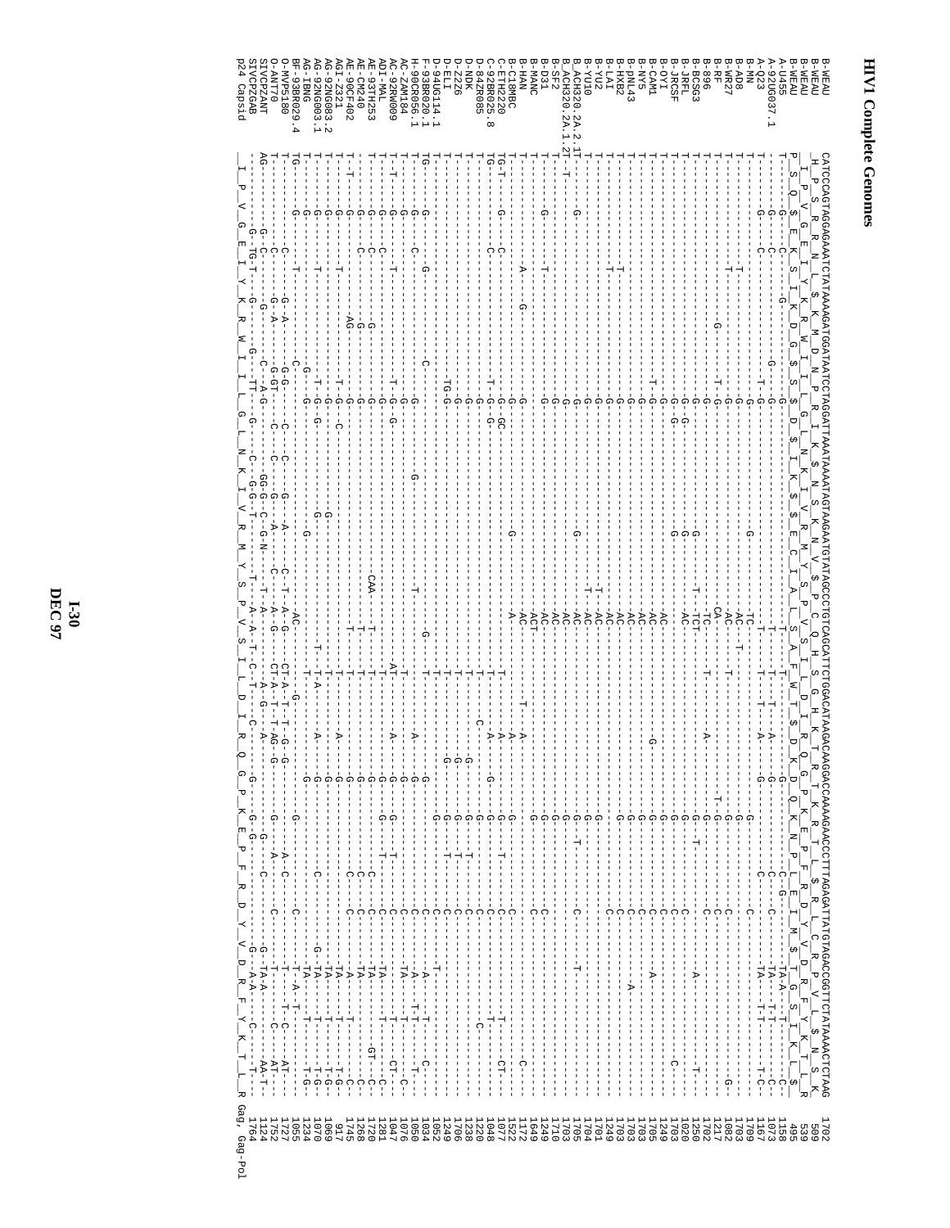| R<br>HCT<br>1 – A –<br>$\mathbb{I}$<br>$\mathbb{I}$<br>$\mathsf I$<br>$\mathbb{I}$<br>$\mathbf{I}$<br>$\blacksquare$<br>п<br>နဲ<br>စုံ စုံ<br>!<br>! !<br>$\frac{1}{\sqrt{2}}$<br>H<br>Ť<br>$\overline{\phantom{a}}$<br>$\blacksquare$<br>Ť<br>Ť<br>Ţ<br>$\blacksquare$<br>$\blacksquare$<br>$\frac{1}{1}$<br>$\begin{array}{c c c} \mathbf{p} & \mathbf{p} & \mathbf{p} & \mathbf{p} \\ \hline \mathbf{p} & \mathbf{p} & \mathbf{p} & \mathbf{p} \\ \hline \mathbf{p} & \mathbf{p} & \mathbf{p} & \mathbf{p} \\ \hline \mathbf{p} & \mathbf{p} & \mathbf{p} & \mathbf{p} \\ \hline \mathbf{p} & \mathbf{p} & \mathbf{p} & \mathbf{p} \\ \hline \mathbf{p} & \mathbf{p} & \mathbf{p} & \mathbf{p} \\ \hline \mathbf{p} & \mathbf{p} & \mathbf{p} & \math$<br>Ť.<br>$\mathbf I$<br>$\mathbb T$<br>$\mathbf I$<br>$\mathbf{I}$<br>$\mathbb{I}$<br>Ω<br>$\Omega$<br>ω<br><u>ດ ດ</u><br>Ω<br><u>ດ ດ</u><br>Ω<br>Ω<br>Ť<br>Ŧ<br>TTT<br>TTT<br>Ŧ<br>Ť<br>Ŧ<br>$\mathbf{I}$<br>$\mathbf{I}$<br>Ť.<br>j<br>$\frac{1}{1}$<br>j<br>$-1 - 9 - 1 - 1$<br>$\frac{1}{1}$<br>$\mathbb{L}$<br>ţ<br>$\frac{1}{1}$<br>Ť.<br>J.<br>$\begin{array}{c} \begin{array}{c} \begin{array}{c} \begin{array}{c} \end{array} \\ \begin{array}{c} \end{array} \\ \begin{array}{c} \end{array} \\ \begin{array}{c} \end{array} \\ \begin{array}{c} \end{array} \\ \begin{array}{c} \end{array} \\ \begin{array}{c} \end{array} \end{array} \end{array}$<br>$\frac{1}{1}$<br>$\mathbf{I}$<br>Ĵ.<br>$\mathbb{L}$<br>$\mathbf{L}$<br>$\mathbf{I}$<br>$\mathbb{I}$<br>$\mathbf I$<br>ł.<br>$-1 - \frac{1}{4} - \frac{1}{4}$<br>$-1 - \frac{1}{2} - \frac{1}{2} - \frac{1}{2}$<br>$\begin{array}{c} -1 \\ -1 \\ -1 \end{array}$<br>Ť.<br>J.<br>ł<br>ł<br>$\mathbf{I}$<br>$-1 - 2 - 1 -$<br>$\blacksquare$<br>$\frac{1}{2}$<br>Ť<br>$\begin{array}{c} 1 \\ 1 \\ 1 \\ 1 \end{array}$<br>$\mathbf{I}$<br>$\mathsf I$<br>$\mathsf I$<br>$\begin{array}{cccc} . & . & . & . \\ . & . & . & . \\ . & . & . & . \\ . & . & . & . \\ . & . & . & . \\ . & . & . & . \end{array}$<br>$- - - -C$<br>$\frac{1}{1}$<br>j.<br>$\frac{1}{1}$<br>$\mathsf I$<br>Ť<br>$\frac{1}{1}$<br>$-{\bf A} -$<br>Ħ<br>÷<br>$\frac{1}{1}$<br>$\mathbf{I}$<br>$\mathbf{I}$<br>$\mathsf I$<br>$\sim 1$<br>$\mathsf I$<br>$\mathsf I$<br>Ċ-<br>C<br>ţ<br>$\mathsf I$<br>$\sf I$<br>$\frac{1}{1}$<br>$\mathsf I$<br>$\mathsf I$<br>Ţ<br>$\begin{array}{c} \begin{array}{c} \text{1} \\ \text{1} \\ \text{1} \end{array} \\ \end{array}$<br>$\mathbf{I}$<br>$\frac{1}{1}$<br>Ŧ<br>$\frac{1}{4}$<br>ł<br>Ŧ<br>I<br>$\blacksquare$<br>$\mathbf{I}$<br>î<br>$\mathsf I$<br>Å<br>I.<br>$\sf I$<br>$\frac{1}{1}$ $\frac{1}{1}$ $\frac{1}{1}$<br>$\begin{array}{c} \end{array}$<br>$\mathsf I$<br>J.<br>I<br>ŧ<br>$\mathsf I$<br>$\frac{1}{4}$<br>-i i<br>÷<br>÷<br>$\frac{1}{4}$<br>$\frac{1}{1}$<br>$\begin{array}{c} \n\cdot & \cdot & \cdot \\ \n\cdot & \cdot & \cdot \\ \n\cdot & \cdot & \cdot \n\end{array}$<br>$\blacksquare$<br>$\blacksquare$<br>$\frac{1}{4}$<br>$\frac{1}{\Omega}$<br>$\frac{1}{4}$<br>$\mathbf{1}$<br>$\blacksquare$<br>annanna<br>C<br>C<br>$\Omega$<br>C<br>$\Omega$<br>C<br>Q<br>TTTT<br>ĦŦ<br>$\frac{1}{4}$<br>Ĩ<br>Ť<br>Ŧ<br>上上上<br>$\frac{1}{1}$<br>ł<br>L.<br>$\Gamma = 1$<br>$--\text{G}--\text{TA}---$<br>$\mathbb{L}$<br>J.<br>事事<br>$\frac{1}{4}$<br>$\frac{1}{1}$<br>$\mathbf{I}$<br>$\mathbf{I}$<br>Ť.<br>Ť.<br>$\mathbf I$<br>$\mathbf{I}$<br>$\frac{1}{1}$<br>$-17A-$<br>$--\Gamma A--$<br>$--\Gamma A--$<br>$--\Gamma A--$<br>$-T\mathrm{A}-$<br>$-1$ $-1$ $-1$ $-1$ $-1$ $-1$<br>$\mathsf I$ | ဂု<br>-<br>9-91-<br>Ö<br>Ω |    |
|--------------------------------------------------------------------------------------------------------------------------------------------------------------------------------------------------------------------------------------------------------------------------------------------------------------------------------------------------------------------------------------------------------------------------------------------------------------------------------------------------------------------------------------------------------------------------------------------------------------------------------------------------------------------------------------------------------------------------------------------------------------------------------------------------------------------------------------------------------------------------------------------------------------------------------------------------------------------------------------------------------------------------------------------------------------------------------------------------------------------------------------------------------------------------------------------------------------------------------------------------------------------------------------------------------------------------------------------------------------------------------------------------------------------------------------------------------------------------------------------------------------------------------------------------------------------------------------------------------------------------------------------------------------------------------------------------------------------------------------------------------------------------------------------------------------------------------------------------------------------------------------------------------------------------------------------------------------------------------------------------------------------------------------------------------------------------------------------------------------------------------------------------------------------------------------------------------------------------------------------------------------------------------------------------------------------------------------------------------------------------------------------------------------------------------------------------------------------------------------------------------------------------------------------------------------------------------------------------------------------------------------------------------------------------------------------------------------------------------------------------------------------------------------------------------------------------------------------------------------------------------------------------------------------------------------------------------------------------------------------------------------------------------------------------------------------------------------------------------------------------------------------------------------------------------------------------------------------------------------------------------------------------------------------------------------------------------------------------------------------------------------------------------------------------------------------------------------------------------------------------------------------------------------------------------------------|----------------------------|----|
|                                                                                                                                                                                                                                                                                                                                                                                                                                                                                                                                                                                                                                                                                                                                                                                                                                                                                                                                                                                                                                                                                                                                                                                                                                                                                                                                                                                                                                                                                                                                                                                                                                                                                                                                                                                                                                                                                                                                                                                                                                                                                                                                                                                                                                                                                                                                                                                                                                                                                                                                                                                                                                                                                                                                                                                                                                                                                                                                                                                                                                                                                                                                                                                                                                                                                                                                                                                                                                                                                                                                                                    | <u>ဂ</u><br>ဂု<br>Ö        |    |
|                                                                                                                                                                                                                                                                                                                                                                                                                                                                                                                                                                                                                                                                                                                                                                                                                                                                                                                                                                                                                                                                                                                                                                                                                                                                                                                                                                                                                                                                                                                                                                                                                                                                                                                                                                                                                                                                                                                                                                                                                                                                                                                                                                                                                                                                                                                                                                                                                                                                                                                                                                                                                                                                                                                                                                                                                                                                                                                                                                                                                                                                                                                                                                                                                                                                                                                                                                                                                                                                                                                                                                    |                            |    |
|                                                                                                                                                                                                                                                                                                                                                                                                                                                                                                                                                                                                                                                                                                                                                                                                                                                                                                                                                                                                                                                                                                                                                                                                                                                                                                                                                                                                                                                                                                                                                                                                                                                                                                                                                                                                                                                                                                                                                                                                                                                                                                                                                                                                                                                                                                                                                                                                                                                                                                                                                                                                                                                                                                                                                                                                                                                                                                                                                                                                                                                                                                                                                                                                                                                                                                                                                                                                                                                                                                                                                                    |                            |    |
|                                                                                                                                                                                                                                                                                                                                                                                                                                                                                                                                                                                                                                                                                                                                                                                                                                                                                                                                                                                                                                                                                                                                                                                                                                                                                                                                                                                                                                                                                                                                                                                                                                                                                                                                                                                                                                                                                                                                                                                                                                                                                                                                                                                                                                                                                                                                                                                                                                                                                                                                                                                                                                                                                                                                                                                                                                                                                                                                                                                                                                                                                                                                                                                                                                                                                                                                                                                                                                                                                                                                                                    |                            |    |
|                                                                                                                                                                                                                                                                                                                                                                                                                                                                                                                                                                                                                                                                                                                                                                                                                                                                                                                                                                                                                                                                                                                                                                                                                                                                                                                                                                                                                                                                                                                                                                                                                                                                                                                                                                                                                                                                                                                                                                                                                                                                                                                                                                                                                                                                                                                                                                                                                                                                                                                                                                                                                                                                                                                                                                                                                                                                                                                                                                                                                                                                                                                                                                                                                                                                                                                                                                                                                                                                                                                                                                    | Ω                          |    |
|                                                                                                                                                                                                                                                                                                                                                                                                                                                                                                                                                                                                                                                                                                                                                                                                                                                                                                                                                                                                                                                                                                                                                                                                                                                                                                                                                                                                                                                                                                                                                                                                                                                                                                                                                                                                                                                                                                                                                                                                                                                                                                                                                                                                                                                                                                                                                                                                                                                                                                                                                                                                                                                                                                                                                                                                                                                                                                                                                                                                                                                                                                                                                                                                                                                                                                                                                                                                                                                                                                                                                                    | ഩ                          |    |
|                                                                                                                                                                                                                                                                                                                                                                                                                                                                                                                                                                                                                                                                                                                                                                                                                                                                                                                                                                                                                                                                                                                                                                                                                                                                                                                                                                                                                                                                                                                                                                                                                                                                                                                                                                                                                                                                                                                                                                                                                                                                                                                                                                                                                                                                                                                                                                                                                                                                                                                                                                                                                                                                                                                                                                                                                                                                                                                                                                                                                                                                                                                                                                                                                                                                                                                                                                                                                                                                                                                                                                    | ⋒                          |    |
|                                                                                                                                                                                                                                                                                                                                                                                                                                                                                                                                                                                                                                                                                                                                                                                                                                                                                                                                                                                                                                                                                                                                                                                                                                                                                                                                                                                                                                                                                                                                                                                                                                                                                                                                                                                                                                                                                                                                                                                                                                                                                                                                                                                                                                                                                                                                                                                                                                                                                                                                                                                                                                                                                                                                                                                                                                                                                                                                                                                                                                                                                                                                                                                                                                                                                                                                                                                                                                                                                                                                                                    | ω                          | GΣ |
|                                                                                                                                                                                                                                                                                                                                                                                                                                                                                                                                                                                                                                                                                                                                                                                                                                                                                                                                                                                                                                                                                                                                                                                                                                                                                                                                                                                                                                                                                                                                                                                                                                                                                                                                                                                                                                                                                                                                                                                                                                                                                                                                                                                                                                                                                                                                                                                                                                                                                                                                                                                                                                                                                                                                                                                                                                                                                                                                                                                                                                                                                                                                                                                                                                                                                                                                                                                                                                                                                                                                                                    |                            |    |
|                                                                                                                                                                                                                                                                                                                                                                                                                                                                                                                                                                                                                                                                                                                                                                                                                                                                                                                                                                                                                                                                                                                                                                                                                                                                                                                                                                                                                                                                                                                                                                                                                                                                                                                                                                                                                                                                                                                                                                                                                                                                                                                                                                                                                                                                                                                                                                                                                                                                                                                                                                                                                                                                                                                                                                                                                                                                                                                                                                                                                                                                                                                                                                                                                                                                                                                                                                                                                                                                                                                                                                    | Ω                          |    |
|                                                                                                                                                                                                                                                                                                                                                                                                                                                                                                                                                                                                                                                                                                                                                                                                                                                                                                                                                                                                                                                                                                                                                                                                                                                                                                                                                                                                                                                                                                                                                                                                                                                                                                                                                                                                                                                                                                                                                                                                                                                                                                                                                                                                                                                                                                                                                                                                                                                                                                                                                                                                                                                                                                                                                                                                                                                                                                                                                                                                                                                                                                                                                                                                                                                                                                                                                                                                                                                                                                                                                                    |                            |    |
|                                                                                                                                                                                                                                                                                                                                                                                                                                                                                                                                                                                                                                                                                                                                                                                                                                                                                                                                                                                                                                                                                                                                                                                                                                                                                                                                                                                                                                                                                                                                                                                                                                                                                                                                                                                                                                                                                                                                                                                                                                                                                                                                                                                                                                                                                                                                                                                                                                                                                                                                                                                                                                                                                                                                                                                                                                                                                                                                                                                                                                                                                                                                                                                                                                                                                                                                                                                                                                                                                                                                                                    |                            |    |
|                                                                                                                                                                                                                                                                                                                                                                                                                                                                                                                                                                                                                                                                                                                                                                                                                                                                                                                                                                                                                                                                                                                                                                                                                                                                                                                                                                                                                                                                                                                                                                                                                                                                                                                                                                                                                                                                                                                                                                                                                                                                                                                                                                                                                                                                                                                                                                                                                                                                                                                                                                                                                                                                                                                                                                                                                                                                                                                                                                                                                                                                                                                                                                                                                                                                                                                                                                                                                                                                                                                                                                    |                            |    |
|                                                                                                                                                                                                                                                                                                                                                                                                                                                                                                                                                                                                                                                                                                                                                                                                                                                                                                                                                                                                                                                                                                                                                                                                                                                                                                                                                                                                                                                                                                                                                                                                                                                                                                                                                                                                                                                                                                                                                                                                                                                                                                                                                                                                                                                                                                                                                                                                                                                                                                                                                                                                                                                                                                                                                                                                                                                                                                                                                                                                                                                                                                                                                                                                                                                                                                                                                                                                                                                                                                                                                                    |                            |    |
|                                                                                                                                                                                                                                                                                                                                                                                                                                                                                                                                                                                                                                                                                                                                                                                                                                                                                                                                                                                                                                                                                                                                                                                                                                                                                                                                                                                                                                                                                                                                                                                                                                                                                                                                                                                                                                                                                                                                                                                                                                                                                                                                                                                                                                                                                                                                                                                                                                                                                                                                                                                                                                                                                                                                                                                                                                                                                                                                                                                                                                                                                                                                                                                                                                                                                                                                                                                                                                                                                                                                                                    |                            |    |
|                                                                                                                                                                                                                                                                                                                                                                                                                                                                                                                                                                                                                                                                                                                                                                                                                                                                                                                                                                                                                                                                                                                                                                                                                                                                                                                                                                                                                                                                                                                                                                                                                                                                                                                                                                                                                                                                                                                                                                                                                                                                                                                                                                                                                                                                                                                                                                                                                                                                                                                                                                                                                                                                                                                                                                                                                                                                                                                                                                                                                                                                                                                                                                                                                                                                                                                                                                                                                                                                                                                                                                    |                            |    |
|                                                                                                                                                                                                                                                                                                                                                                                                                                                                                                                                                                                                                                                                                                                                                                                                                                                                                                                                                                                                                                                                                                                                                                                                                                                                                                                                                                                                                                                                                                                                                                                                                                                                                                                                                                                                                                                                                                                                                                                                                                                                                                                                                                                                                                                                                                                                                                                                                                                                                                                                                                                                                                                                                                                                                                                                                                                                                                                                                                                                                                                                                                                                                                                                                                                                                                                                                                                                                                                                                                                                                                    |                            |    |
|                                                                                                                                                                                                                                                                                                                                                                                                                                                                                                                                                                                                                                                                                                                                                                                                                                                                                                                                                                                                                                                                                                                                                                                                                                                                                                                                                                                                                                                                                                                                                                                                                                                                                                                                                                                                                                                                                                                                                                                                                                                                                                                                                                                                                                                                                                                                                                                                                                                                                                                                                                                                                                                                                                                                                                                                                                                                                                                                                                                                                                                                                                                                                                                                                                                                                                                                                                                                                                                                                                                                                                    |                            |    |
|                                                                                                                                                                                                                                                                                                                                                                                                                                                                                                                                                                                                                                                                                                                                                                                                                                                                                                                                                                                                                                                                                                                                                                                                                                                                                                                                                                                                                                                                                                                                                                                                                                                                                                                                                                                                                                                                                                                                                                                                                                                                                                                                                                                                                                                                                                                                                                                                                                                                                                                                                                                                                                                                                                                                                                                                                                                                                                                                                                                                                                                                                                                                                                                                                                                                                                                                                                                                                                                                                                                                                                    | Ģ                          |    |
|                                                                                                                                                                                                                                                                                                                                                                                                                                                                                                                                                                                                                                                                                                                                                                                                                                                                                                                                                                                                                                                                                                                                                                                                                                                                                                                                                                                                                                                                                                                                                                                                                                                                                                                                                                                                                                                                                                                                                                                                                                                                                                                                                                                                                                                                                                                                                                                                                                                                                                                                                                                                                                                                                                                                                                                                                                                                                                                                                                                                                                                                                                                                                                                                                                                                                                                                                                                                                                                                                                                                                                    | ec-                        |    |
|                                                                                                                                                                                                                                                                                                                                                                                                                                                                                                                                                                                                                                                                                                                                                                                                                                                                                                                                                                                                                                                                                                                                                                                                                                                                                                                                                                                                                                                                                                                                                                                                                                                                                                                                                                                                                                                                                                                                                                                                                                                                                                                                                                                                                                                                                                                                                                                                                                                                                                                                                                                                                                                                                                                                                                                                                                                                                                                                                                                                                                                                                                                                                                                                                                                                                                                                                                                                                                                                                                                                                                    |                            |    |
|                                                                                                                                                                                                                                                                                                                                                                                                                                                                                                                                                                                                                                                                                                                                                                                                                                                                                                                                                                                                                                                                                                                                                                                                                                                                                                                                                                                                                                                                                                                                                                                                                                                                                                                                                                                                                                                                                                                                                                                                                                                                                                                                                                                                                                                                                                                                                                                                                                                                                                                                                                                                                                                                                                                                                                                                                                                                                                                                                                                                                                                                                                                                                                                                                                                                                                                                                                                                                                                                                                                                                                    |                            |    |
|                                                                                                                                                                                                                                                                                                                                                                                                                                                                                                                                                                                                                                                                                                                                                                                                                                                                                                                                                                                                                                                                                                                                                                                                                                                                                                                                                                                                                                                                                                                                                                                                                                                                                                                                                                                                                                                                                                                                                                                                                                                                                                                                                                                                                                                                                                                                                                                                                                                                                                                                                                                                                                                                                                                                                                                                                                                                                                                                                                                                                                                                                                                                                                                                                                                                                                                                                                                                                                                                                                                                                                    |                            |    |
|                                                                                                                                                                                                                                                                                                                                                                                                                                                                                                                                                                                                                                                                                                                                                                                                                                                                                                                                                                                                                                                                                                                                                                                                                                                                                                                                                                                                                                                                                                                                                                                                                                                                                                                                                                                                                                                                                                                                                                                                                                                                                                                                                                                                                                                                                                                                                                                                                                                                                                                                                                                                                                                                                                                                                                                                                                                                                                                                                                                                                                                                                                                                                                                                                                                                                                                                                                                                                                                                                                                                                                    |                            |    |
|                                                                                                                                                                                                                                                                                                                                                                                                                                                                                                                                                                                                                                                                                                                                                                                                                                                                                                                                                                                                                                                                                                                                                                                                                                                                                                                                                                                                                                                                                                                                                                                                                                                                                                                                                                                                                                                                                                                                                                                                                                                                                                                                                                                                                                                                                                                                                                                                                                                                                                                                                                                                                                                                                                                                                                                                                                                                                                                                                                                                                                                                                                                                                                                                                                                                                                                                                                                                                                                                                                                                                                    |                            |    |
|                                                                                                                                                                                                                                                                                                                                                                                                                                                                                                                                                                                                                                                                                                                                                                                                                                                                                                                                                                                                                                                                                                                                                                                                                                                                                                                                                                                                                                                                                                                                                                                                                                                                                                                                                                                                                                                                                                                                                                                                                                                                                                                                                                                                                                                                                                                                                                                                                                                                                                                                                                                                                                                                                                                                                                                                                                                                                                                                                                                                                                                                                                                                                                                                                                                                                                                                                                                                                                                                                                                                                                    |                            |    |
|                                                                                                                                                                                                                                                                                                                                                                                                                                                                                                                                                                                                                                                                                                                                                                                                                                                                                                                                                                                                                                                                                                                                                                                                                                                                                                                                                                                                                                                                                                                                                                                                                                                                                                                                                                                                                                                                                                                                                                                                                                                                                                                                                                                                                                                                                                                                                                                                                                                                                                                                                                                                                                                                                                                                                                                                                                                                                                                                                                                                                                                                                                                                                                                                                                                                                                                                                                                                                                                                                                                                                                    |                            |    |
|                                                                                                                                                                                                                                                                                                                                                                                                                                                                                                                                                                                                                                                                                                                                                                                                                                                                                                                                                                                                                                                                                                                                                                                                                                                                                                                                                                                                                                                                                                                                                                                                                                                                                                                                                                                                                                                                                                                                                                                                                                                                                                                                                                                                                                                                                                                                                                                                                                                                                                                                                                                                                                                                                                                                                                                                                                                                                                                                                                                                                                                                                                                                                                                                                                                                                                                                                                                                                                                                                                                                                                    |                            |    |
|                                                                                                                                                                                                                                                                                                                                                                                                                                                                                                                                                                                                                                                                                                                                                                                                                                                                                                                                                                                                                                                                                                                                                                                                                                                                                                                                                                                                                                                                                                                                                                                                                                                                                                                                                                                                                                                                                                                                                                                                                                                                                                                                                                                                                                                                                                                                                                                                                                                                                                                                                                                                                                                                                                                                                                                                                                                                                                                                                                                                                                                                                                                                                                                                                                                                                                                                                                                                                                                                                                                                                                    |                            |    |
|                                                                                                                                                                                                                                                                                                                                                                                                                                                                                                                                                                                                                                                                                                                                                                                                                                                                                                                                                                                                                                                                                                                                                                                                                                                                                                                                                                                                                                                                                                                                                                                                                                                                                                                                                                                                                                                                                                                                                                                                                                                                                                                                                                                                                                                                                                                                                                                                                                                                                                                                                                                                                                                                                                                                                                                                                                                                                                                                                                                                                                                                                                                                                                                                                                                                                                                                                                                                                                                                                                                                                                    |                            |    |
|                                                                                                                                                                                                                                                                                                                                                                                                                                                                                                                                                                                                                                                                                                                                                                                                                                                                                                                                                                                                                                                                                                                                                                                                                                                                                                                                                                                                                                                                                                                                                                                                                                                                                                                                                                                                                                                                                                                                                                                                                                                                                                                                                                                                                                                                                                                                                                                                                                                                                                                                                                                                                                                                                                                                                                                                                                                                                                                                                                                                                                                                                                                                                                                                                                                                                                                                                                                                                                                                                                                                                                    |                            |    |
|                                                                                                                                                                                                                                                                                                                                                                                                                                                                                                                                                                                                                                                                                                                                                                                                                                                                                                                                                                                                                                                                                                                                                                                                                                                                                                                                                                                                                                                                                                                                                                                                                                                                                                                                                                                                                                                                                                                                                                                                                                                                                                                                                                                                                                                                                                                                                                                                                                                                                                                                                                                                                                                                                                                                                                                                                                                                                                                                                                                                                                                                                                                                                                                                                                                                                                                                                                                                                                                                                                                                                                    |                            |    |
|                                                                                                                                                                                                                                                                                                                                                                                                                                                                                                                                                                                                                                                                                                                                                                                                                                                                                                                                                                                                                                                                                                                                                                                                                                                                                                                                                                                                                                                                                                                                                                                                                                                                                                                                                                                                                                                                                                                                                                                                                                                                                                                                                                                                                                                                                                                                                                                                                                                                                                                                                                                                                                                                                                                                                                                                                                                                                                                                                                                                                                                                                                                                                                                                                                                                                                                                                                                                                                                                                                                                                                    |                            |    |
|                                                                                                                                                                                                                                                                                                                                                                                                                                                                                                                                                                                                                                                                                                                                                                                                                                                                                                                                                                                                                                                                                                                                                                                                                                                                                                                                                                                                                                                                                                                                                                                                                                                                                                                                                                                                                                                                                                                                                                                                                                                                                                                                                                                                                                                                                                                                                                                                                                                                                                                                                                                                                                                                                                                                                                                                                                                                                                                                                                                                                                                                                                                                                                                                                                                                                                                                                                                                                                                                                                                                                                    |                            |    |
|                                                                                                                                                                                                                                                                                                                                                                                                                                                                                                                                                                                                                                                                                                                                                                                                                                                                                                                                                                                                                                                                                                                                                                                                                                                                                                                                                                                                                                                                                                                                                                                                                                                                                                                                                                                                                                                                                                                                                                                                                                                                                                                                                                                                                                                                                                                                                                                                                                                                                                                                                                                                                                                                                                                                                                                                                                                                                                                                                                                                                                                                                                                                                                                                                                                                                                                                                                                                                                                                                                                                                                    |                            |    |
|                                                                                                                                                                                                                                                                                                                                                                                                                                                                                                                                                                                                                                                                                                                                                                                                                                                                                                                                                                                                                                                                                                                                                                                                                                                                                                                                                                                                                                                                                                                                                                                                                                                                                                                                                                                                                                                                                                                                                                                                                                                                                                                                                                                                                                                                                                                                                                                                                                                                                                                                                                                                                                                                                                                                                                                                                                                                                                                                                                                                                                                                                                                                                                                                                                                                                                                                                                                                                                                                                                                                                                    |                            |    |
|                                                                                                                                                                                                                                                                                                                                                                                                                                                                                                                                                                                                                                                                                                                                                                                                                                                                                                                                                                                                                                                                                                                                                                                                                                                                                                                                                                                                                                                                                                                                                                                                                                                                                                                                                                                                                                                                                                                                                                                                                                                                                                                                                                                                                                                                                                                                                                                                                                                                                                                                                                                                                                                                                                                                                                                                                                                                                                                                                                                                                                                                                                                                                                                                                                                                                                                                                                                                                                                                                                                                                                    |                            |    |
|                                                                                                                                                                                                                                                                                                                                                                                                                                                                                                                                                                                                                                                                                                                                                                                                                                                                                                                                                                                                                                                                                                                                                                                                                                                                                                                                                                                                                                                                                                                                                                                                                                                                                                                                                                                                                                                                                                                                                                                                                                                                                                                                                                                                                                                                                                                                                                                                                                                                                                                                                                                                                                                                                                                                                                                                                                                                                                                                                                                                                                                                                                                                                                                                                                                                                                                                                                                                                                                                                                                                                                    |                            |    |
|                                                                                                                                                                                                                                                                                                                                                                                                                                                                                                                                                                                                                                                                                                                                                                                                                                                                                                                                                                                                                                                                                                                                                                                                                                                                                                                                                                                                                                                                                                                                                                                                                                                                                                                                                                                                                                                                                                                                                                                                                                                                                                                                                                                                                                                                                                                                                                                                                                                                                                                                                                                                                                                                                                                                                                                                                                                                                                                                                                                                                                                                                                                                                                                                                                                                                                                                                                                                                                                                                                                                                                    |                            |    |
|                                                                                                                                                                                                                                                                                                                                                                                                                                                                                                                                                                                                                                                                                                                                                                                                                                                                                                                                                                                                                                                                                                                                                                                                                                                                                                                                                                                                                                                                                                                                                                                                                                                                                                                                                                                                                                                                                                                                                                                                                                                                                                                                                                                                                                                                                                                                                                                                                                                                                                                                                                                                                                                                                                                                                                                                                                                                                                                                                                                                                                                                                                                                                                                                                                                                                                                                                                                                                                                                                                                                                                    |                            |    |
|                                                                                                                                                                                                                                                                                                                                                                                                                                                                                                                                                                                                                                                                                                                                                                                                                                                                                                                                                                                                                                                                                                                                                                                                                                                                                                                                                                                                                                                                                                                                                                                                                                                                                                                                                                                                                                                                                                                                                                                                                                                                                                                                                                                                                                                                                                                                                                                                                                                                                                                                                                                                                                                                                                                                                                                                                                                                                                                                                                                                                                                                                                                                                                                                                                                                                                                                                                                                                                                                                                                                                                    |                            |    |
|                                                                                                                                                                                                                                                                                                                                                                                                                                                                                                                                                                                                                                                                                                                                                                                                                                                                                                                                                                                                                                                                                                                                                                                                                                                                                                                                                                                                                                                                                                                                                                                                                                                                                                                                                                                                                                                                                                                                                                                                                                                                                                                                                                                                                                                                                                                                                                                                                                                                                                                                                                                                                                                                                                                                                                                                                                                                                                                                                                                                                                                                                                                                                                                                                                                                                                                                                                                                                                                                                                                                                                    |                            |    |
|                                                                                                                                                                                                                                                                                                                                                                                                                                                                                                                                                                                                                                                                                                                                                                                                                                                                                                                                                                                                                                                                                                                                                                                                                                                                                                                                                                                                                                                                                                                                                                                                                                                                                                                                                                                                                                                                                                                                                                                                                                                                                                                                                                                                                                                                                                                                                                                                                                                                                                                                                                                                                                                                                                                                                                                                                                                                                                                                                                                                                                                                                                                                                                                                                                                                                                                                                                                                                                                                                                                                                                    |                            |    |
| ŧ<br>$\frac{1}{1}$<br>$\frac{1}{4}$<br>ł                                                                                                                                                                                                                                                                                                                                                                                                                                                                                                                                                                                                                                                                                                                                                                                                                                                                                                                                                                                                                                                                                                                                                                                                                                                                                                                                                                                                                                                                                                                                                                                                                                                                                                                                                                                                                                                                                                                                                                                                                                                                                                                                                                                                                                                                                                                                                                                                                                                                                                                                                                                                                                                                                                                                                                                                                                                                                                                                                                                                                                                                                                                                                                                                                                                                                                                                                                                                                                                                                                                           |                            |    |
| $\mathbf{I}$<br>$\frac{1}{1}$                                                                                                                                                                                                                                                                                                                                                                                                                                                                                                                                                                                                                                                                                                                                                                                                                                                                                                                                                                                                                                                                                                                                                                                                                                                                                                                                                                                                                                                                                                                                                                                                                                                                                                                                                                                                                                                                                                                                                                                                                                                                                                                                                                                                                                                                                                                                                                                                                                                                                                                                                                                                                                                                                                                                                                                                                                                                                                                                                                                                                                                                                                                                                                                                                                                                                                                                                                                                                                                                                                                                      |                            |    |
| ŧ<br>$\begin{array}{c}\n-1 \\ -1 \\ -1 \\ -1\n\end{array}$                                                                                                                                                                                                                                                                                                                                                                                                                                                                                                                                                                                                                                                                                                                                                                                                                                                                                                                                                                                                                                                                                                                                                                                                                                                                                                                                                                                                                                                                                                                                                                                                                                                                                                                                                                                                                                                                                                                                                                                                                                                                                                                                                                                                                                                                                                                                                                                                                                                                                                                                                                                                                                                                                                                                                                                                                                                                                                                                                                                                                                                                                                                                                                                                                                                                                                                                                                                                                                                                                                         |                            | ဂု |
|                                                                                                                                                                                                                                                                                                                                                                                                                                                                                                                                                                                                                                                                                                                                                                                                                                                                                                                                                                                                                                                                                                                                                                                                                                                                                                                                                                                                                                                                                                                                                                                                                                                                                                                                                                                                                                                                                                                                                                                                                                                                                                                                                                                                                                                                                                                                                                                                                                                                                                                                                                                                                                                                                                                                                                                                                                                                                                                                                                                                                                                                                                                                                                                                                                                                                                                                                                                                                                                                                                                                                                    |                            |    |
| 'n,<br>ю<br>$\blacksquare$<br>þ<br>F١<br>∩<br>$-6 - -$<br>Þ<br>'n<br>ţ<br>¦≍<br>$\mathsf I$<br>$\mathbb T$<br>¦<br>⊀⁄⊁<br>$\blacksquare$<br>h<br>$-7A - A - -$<br> <br>വ<br>[လ]<br>$\frac{1}{1}$<br>$\frac{1}{1}$                                                                                                                                                                                                                                                                                                                                                                                                                                                                                                                                                                                                                                                                                                                                                                                                                                                                                                                                                                                                                                                                                                                                                                                                                                                                                                                                                                                                                                                                                                                                                                                                                                                                                                                                                                                                                                                                                                                                                                                                                                                                                                                                                                                                                                                                                                                                                                                                                                                                                                                                                                                                                                                                                                                                                                                                                                                                                                                                                                                                                                                                                                                                                                                                                                                                                                                                                  |                            |    |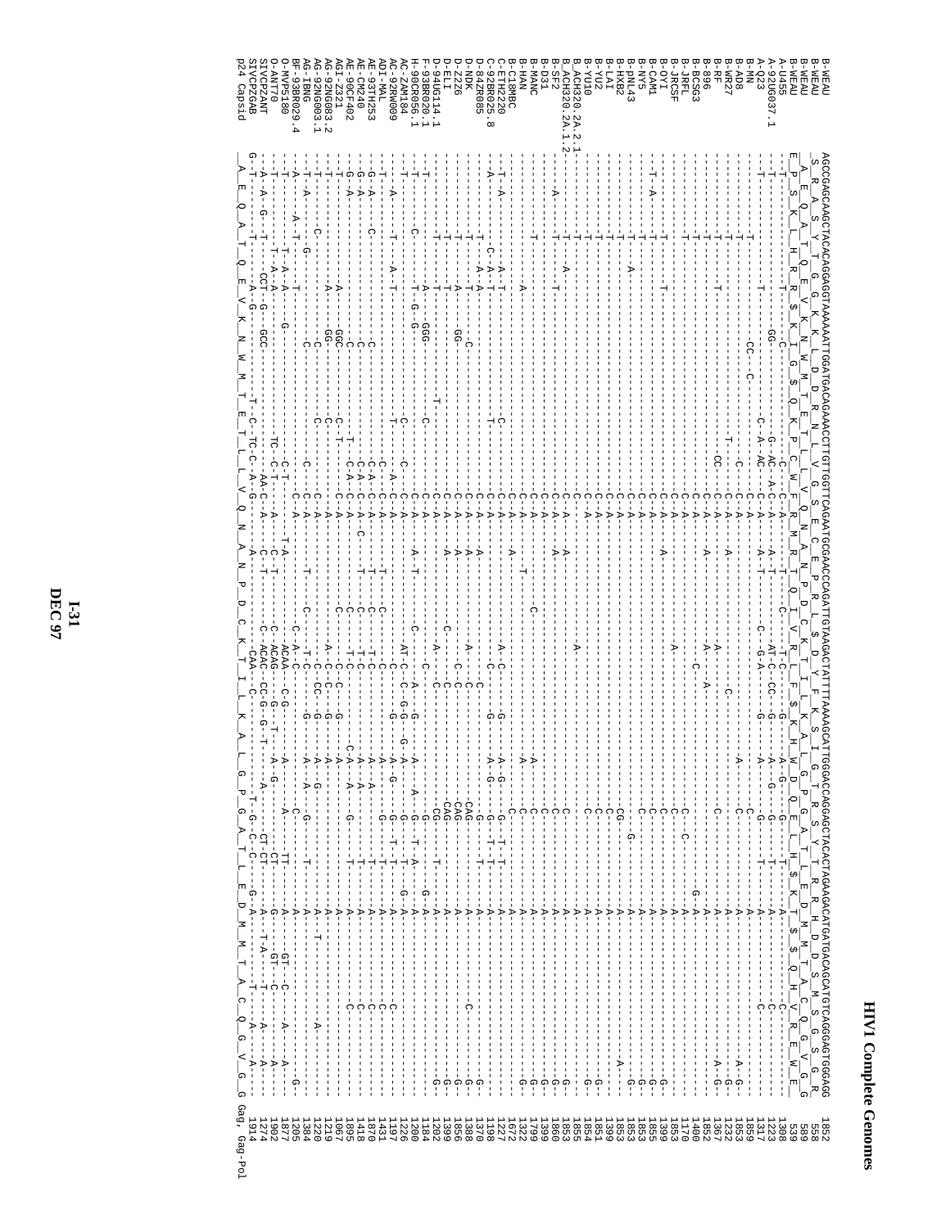| - G - Gag , Gag-Pol              | $2-\sigma$<br>l<br>S                                                                                                       | $\frac{1}{\mathsf{M}}$<br>¦≍<br>٣<br>ץ'<br>∣<br>l<br>Q                                                                                                            | $A_1 = T_1$<br>'n                                                                                                                                                                                                                                                                                                                                                                                          | <del>יט</del><br> <br>റ                                                                                                                                                                                                                                                                                                                                                       | ים<br>ק                                                     |      |         |             |                                                                                           | Capsid                 |
|----------------------------------|----------------------------------------------------------------------------------------------------------------------------|-------------------------------------------------------------------------------------------------------------------------------------------------------------------|------------------------------------------------------------------------------------------------------------------------------------------------------------------------------------------------------------------------------------------------------------------------------------------------------------------------------------------------------------------------------------------------------------|-------------------------------------------------------------------------------------------------------------------------------------------------------------------------------------------------------------------------------------------------------------------------------------------------------------------------------------------------------------------------------|-------------------------------------------------------------|------|---------|-------------|-------------------------------------------------------------------------------------------|------------------------|
| 1914                             | $- - \Delta - - -$<br>$---A---$                                                                                            | $\frac{1}{2}$<br>$\frac{1}{2}$<br>$\frac{1}{1}$<br>$\frac{1}{1}$<br>$-1$                                                                                          | $C - C - C -$<br>$\frac{1}{1}$<br>ှ<br>                                                                                                                                                                                                                                                                                                                                                                    | $\blacksquare$<br>$-1 - 9 - 1$                                                                                                                                                                                                                                                                                                                                                | $\mathbf{I}$<br>$\mathbf{I}$<br>$\mathbf{I}$<br>$\mathsf I$ |      |         |             |                                                                                           | VCPZGAB                |
|                                  | $- - - - - - - -$<br>I<br>$---A---$<br>I                                                                                   | $\frac{1}{4}$<br>$-4$<br>t,<br><b>H-A---------</b>                                                                                                                | $\frac{1}{1}$<br>I                                                                                                                                                                                                                                                                                                                                                                                         | $\mathbf{A}\hspace{-0.01cm} -\hspace{-0.01cm} -\hspace{-0.01cm} -\hspace{-0.01cm} -\hspace{-0.01cm} -\hspace{-0.01cm} -\hspace{-0.01cm} -\hspace{-0.01cm} -\hspace{-0.01cm} -\hspace{-0.01cm} -\hspace{-0.01cm} -\hspace{-0.01cm} -\hspace{-0.01cm} -\hspace{-0.01cm} -\hspace{-0.01cm} -\hspace{-0.01cm} -\hspace{-0.01cm} -\hspace{-0.01cm} -\hspace{-0.01cm} -\hspace{-0.$ | 2<br>t<br>J.                                                |      |         | $AA-C$      | යි                                                                                        | INAZPZANT              |
| 1902<br>1274                     | I<br>L<br>$\mathsf I$<br>$\mathsf I$<br>I<br>$\mathbf{I}$<br>$\sf I$<br>$---+$<br>$\sf I$                                  | $\frac{1}{1}$<br>ω<br>ł<br>I<br>$\sf I$<br>$-1 - 1 - 1 - 1 - 1 - 1$                                                                                               | $--C T----$<br>ł<br>$\sf I$                                                                                                                                                                                                                                                                                                                                                                                | $A--------------$<br>I                                                                                                                                                                                                                                                                                                                                                        | ÷                                                           | ACAG |         | د<br>ج      |                                                                                           | 0LLMV                  |
| $\overline{\phantom{a}}$<br>-877 | $\frac{1}{1}$<br>$\mathbf{A}-----\mathbf{A}----$                                                                           | $\frac{1}{4}$<br>$A -$<br>$\mathbb{I}$<br>I.                                                                                                                      | $\frac{1}{4}$<br>I.                                                                                                                                                                                                                                                                                                                                                                                        |                                                                                                                                                                                                                                                                                                                                                                               | ن<br>ن<br>Ť                                                 |      |         |             |                                                                                           | MVP5180                |
|                                  | I.<br>$\mathbf{I}$<br>$\mathsf I$<br>$\mathsf I$<br>$\frac{1}{1}$<br>T<br>$\frac{1}{1}$<br>$\frac{1}{1}$<br>နဲ<br>၂        | $\frac{1}{1}$<br>Þ<br>T,<br>$\mathbf{I}$<br>I.<br>1<br>$\mathbf{I}$<br>т<br>$\mathbf{I}$<br>$\overline{\phantom{a}}$<br>т                                         | i<br>$\frac{1}{1}$<br>$\mathsf I$<br>$\frac{1}{1}$<br>I.                                                                                                                                                                                                                                                                                                                                                   | J<br>I.<br>т<br>$-5 - 1$<br>I<br>I.                                                                                                                                                                                                                                                                                                                                           | т                                                           |      |         |             |                                                                                           | $-93B R 029$           |
| 1384<br>1205                     | $\frac{1}{1}$<br>$\mathsf I$<br>$\mathsf I$<br>$\frac{1}{1}$<br>$\frac{1}{1}$<br>$\overline{1}$                            | $\frac{1}{1}$<br>Þ<br>T<br>$\mathbf{I}$<br>$\frac{1}{1}$<br>$\blacksquare$                                                                                        | $-1 - 1 -$<br>$\frac{1}{4}$<br>$\mathsf I$                                                                                                                                                                                                                                                                                                                                                                 | $-6 - -$<br>ł                                                                                                                                                                                                                                                                                                                                                                 | $-1$ - $-1$                                                 |      |         |             |                                                                                           | -IBNG                  |
|                                  | $\mathbf{I}$<br>J<br>$A--------$<br>ł<br>$\mathbb I$                                                                       | $\frac{1}{4}$<br>ъ<br>Ŧ<br>$-1 - 1 - 1$                                                                                                                           | Ť<br>ł<br>$\mathbb I$                                                                                                                                                                                                                                                                                                                                                                                      | ł<br>$\mathbb{I}$                                                                                                                                                                                                                                                                                                                                                             | ႙<br>⋒<br>Ť<br>$A--G--$                                     |      |         |             |                                                                                           | $-92MC003.1$           |
| 1067<br>1219<br>1220             | Ţ<br>$\overline{\phantom{a}}$<br>$\mathbf I$<br>$\,$ I<br>$\frac{1}{1}$<br>$\blacksquare$<br>$\frac{1}{1}$<br>$\mathbf{I}$ | $\frac{1}{1}$<br>ъ<br>J,<br>$\mathbf{I}$<br>$\mathbf I$<br>$\overline{\phantom{a}}$<br>$\frac{1}{2}$<br>$\overline{\phantom{a}}$<br>$\blacksquare$                | $\mathsf I$<br>$\blacksquare$<br>$\frac{1}{1}$                                                                                                                                                                                                                                                                                                                                                             | $\mathbf I$<br>$\overline{\phantom{a}}$<br>$\blacksquare$<br>$\frac{1}{1}$                                                                                                                                                                                                                                                                                                    | ု<br>⋒<br>$-1 - 2 - 1$                                      |      |         |             |                                                                                           | -92NG083.<br>N         |
|                                  | Ť<br>J.<br>ţ<br>$\frac{1}{1}$                                                                                              | $\frac{1}{4}$<br>ъ<br>$\mathsf I$<br>$\frac{1}{4}$                                                                                                                | т.<br>Ť<br>ł                                                                                                                                                                                                                                                                                                                                                                                               | Ĵ<br>t<br>J.                                                                                                                                                                                                                                                                                                                                                                  | ု<br>$-Y--$                                                 |      |         |             |                                                                                           |                        |
|                                  | ł                                                                                                                          | $\frac{1}{1}$<br>Ŧ<br>$\mathbb{I}$<br>$\mathbf{I}$<br>$\frac{1}{4}$<br>$\mathbf{I}$<br>-1                                                                         | $\mathsf I$<br>$\mathsf I$<br>$\mathbf{I}$                                                                                                                                                                                                                                                                                                                                                                 | $\frac{1}{4}$<br>ဂု<br>$\mathbf{I}$                                                                                                                                                                                                                                                                                                                                           |                                                             |      |         |             | eec                                                                                       | $1 - Z 321$            |
|                                  | C------                                                                                                                    | ъ<br>л.<br>$\mathsf I$<br>$\mathsf I$<br>$\mathsf I$                                                                                                              | $\mathsf I$<br>н<br>f<br>$\mathsf I$<br>$\frac{1}{1}$<br>$\mathsf I$                                                                                                                                                                                                                                                                                                                                       | İ                                                                                                                                                                                                                                                                                                                                                                             | $-A--A--$                                                   |      |         | Ω           |                                                                                           | $-90$ CF402            |
|                                  | $\begin{array}{c} -1 \\ -1 \end{array}$                                                                                    | $\frac{1}{1}$<br>Þ<br>J,<br>$\,$ I<br>$\overline{\phantom{a}}$<br>$\blacksquare$<br>$\overline{\phantom{a}}$<br>$\frac{1}{2}$                                     | $\frac{1}{1}$<br>Ĥ<br>$\overline{1}$<br>$\frac{1}{1}$                                                                                                                                                                                                                                                                                                                                                      | Ţ<br>$\mathbf{I}$                                                                                                                                                                                                                                                                                                                                                             | $-4-1-7-1$                                                  |      |         |             |                                                                                           | -CM240                 |
|                                  | Ω<br>Ť.                                                                                                                    | $\frac{1}{4}$<br>ъ<br>$\frac{1}{1}$<br>$\frac{1}{1}$                                                                                                              | I.<br>$\frac{1}{1}$<br>ł                                                                                                                                                                                                                                                                                                                                                                                   | J.                                                                                                                                                                                                                                                                                                                                                                            | $- -A - -A - -$                                             |      |         | -- A--      |                                                                                           | -93TH253               |
|                                  | $\bigcap_{i=1}$                                                                                                            | $\frac{1}{1}$<br>Þ<br>Ť<br>$\mathbf I$<br>$\begin{array}{c} 1 \\ 1 \\ 1 \end{array}$<br>$\frac{1}{1}$                                                             | $\frac{1}{1}$<br>$\frac{1}{1}$                                                                                                                                                                                                                                                                                                                                                                             | $\overline{\phantom{a}}$<br>Ĵ<br>$\begin{smallmatrix} 0 & -1 \\ -1 & -1 \end{smallmatrix}$<br>$\frac{1}{1}$                                                                                                                                                                                                                                                                   | $-1$ - $-1$                                                 |      |         | Ω           |                                                                                           |                        |
|                                  | $\Gamma$<br>I,<br>I.                                                                                                       | ŧ<br>А<br>Ţ.<br>L.<br>$\mathbb{I}$<br>I.<br>I.<br>î.<br>$\frac{1}{1}$                                                                                             | $-L--L--$<br>I                                                                                                                                                                                                                                                                                                                                                                                             | $\frac{1}{2}$<br>J.<br>İ                                                                                                                                                                                                                                                                                                                                                      | $-Y--$                                                      |      |         | $-\Delta$ - |                                                                                           | -92RM009               |
|                                  |                                                                                                                            | $G - A$<br>Ŧ<br>1<br>$\frac{1}{1}$<br>$\mathbf I$<br>$\frac{1}{1}$                                                                                                | $\frac{1}{1}$                                                                                                                                                                                                                                                                                                                                                                                              | I.<br>$\frac{1}{\Omega}$                                                                                                                                                                                                                                                                                                                                                      | $       -$                                                  |      |         |             |                                                                                           | <b>18 LMAZ</b>         |
|                                  | $\begin{array}{c} 1 \\ 1 \\ 1 \end{array}$<br>J<br>$\frac{1}{1}$                                                           | $\frac{1}{1}$<br>А<br>Ţ<br>$\mathbf I$<br>$\begin{array}{c} 1 \\ 1 \\ 1 \end{array}$<br>$\frac{1}{1}$                                                             | $\frac{1}{1}$<br>$\begin{array}{c} \rule{0pt}{2.5ex} \rule{0pt}{2.5ex} \rule{0pt}{2.5ex} \rule{0pt}{2.5ex} \rule{0pt}{2.5ex} \rule{0pt}{2.5ex} \rule{0pt}{2.5ex} \rule{0pt}{2.5ex} \rule{0pt}{2.5ex} \rule{0pt}{2.5ex} \rule{0pt}{2.5ex} \rule{0pt}{2.5ex} \rule{0pt}{2.5ex} \rule{0pt}{2.5ex} \rule{0pt}{2.5ex} \rule{0pt}{2.5ex} \rule{0pt}{2.5ex} \rule{0pt}{2.5ex} \rule{0pt}{2.5ex} \rule{0$          | - - A - - - - A - - - G - - - - A -                                                                                                                                                                                                                                                                                                                                           |                                                             |      |         |             |                                                                                           |                        |
|                                  |                                                                                                                            | А<br>L.<br>$\mathsf I$<br>1<br>$\mathbf{I}$<br>$\mathbf{I}$                                                                                                       | $\frac{1}{1}$<br>$\mathsf I$<br>$\frac{1}{1}$<br>ဂှ                                                                                                                                                                                                                                                                                                                                                        | 1<br>т<br>$-6 - -$<br>ł                                                                                                                                                                                                                                                                                                                                                       |                                                             |      |         |             |                                                                                           | -93BR020.<br>-90CR056. |
|                                  | $\mathbf{I}$<br>т<br>$\mathbf I$<br>ı<br>ဂူ                                                                                | $\frac{1}{1}$<br>А<br>$\blacksquare$<br>$\mathbb{I}$<br>$\frac{1}{4}$<br>Ť.                                                                                       | $-1$<br>$\frac{1}{1}$<br>$\mathbf I$                                                                                                                                                                                                                                                                                                                                                                       | $\blacksquare$<br>$\blacksquare$<br>$-0.0 - 1$<br>$\frac{1}{4}$                                                                                                                                                                                                                                                                                                               |                                                             |      |         |             |                                                                                           | 40G11<br>4.            |
|                                  |                                                                                                                            |                                                                                                                                                                   |                                                                                                                                                                                                                                                                                                                                                                                                            |                                                                                                                                                                                                                                                                                                                                                                               |                                                             |      |         |             |                                                                                           |                        |
|                                  | $-9 - -$                                                                                                                   | Ť<br>ъ<br>Ŧ<br>I.<br>$\frac{1}{1}$                                                                                                                                | I<br>$\frac{1}{4}$<br>ł<br>I                                                                                                                                                                                                                                                                                                                                                                               | $- - C A G - - - -$                                                                                                                                                                                                                                                                                                                                                           |                                                             |      |         |             |                                                                                           |                        |
|                                  | $\frac{1}{2}$                                                                                                              | $\frac{1}{1}$<br>А                                                                                                                                                |                                                                                                                                                                                                                                                                                                                                                                                                            | $-CAG--$<br>$\frac{1}{1}$                                                                                                                                                                                                                                                                                                                                                     |                                                             |      |         |             |                                                                                           | 3225                   |
|                                  | $-1 - 1$<br>$\frac{1}{1}$<br>$\begin{array}{c} 1 \\ 1 \\ 1 \end{array}$<br>$-6 - -$                                        | А<br>Ŧ<br>$\mathbb{I}$<br>$\frac{1}{1}$                                                                                                                           | $\frac{1}{1}$<br>İ<br>$\frac{1}{4}$                                                                                                                                                                                                                                                                                                                                                                        | $---CAC---$                                                                                                                                                                                                                                                                                                                                                                   | ţ                                                           |      |         | - - A       |                                                                                           | NDK                    |
|                                  | $\frac{1}{1}$<br>I<br>I.<br>I<br>I.<br>$\mathbf{I}$<br>$\frac{1}{1}$                                                       | $\frac{1}{1}$<br>ъ<br>T.<br>$\mathbf{I}$<br>$\mathsf I$<br>1<br>$\frac{1}{1}$                                                                                     | $-1 - 1 -$<br>$\frac{1}{4}$                                                                                                                                                                                                                                                                                                                                                                                | ţ<br>$-1 - 0 - 0 - 1$                                                                                                                                                                                                                                                                                                                                                         | $\frac{1}{1}$                                               |      |         |             |                                                                                           | 84ZR085                |
|                                  |                                                                                                                            | $\frac{1}{4}$<br>А<br>$\mathbf{I}$<br>$\mathbb T$<br>$\mathsf I$<br>$\blacksquare$<br>$\blacksquare$                                                              | $\frac{1}{1}$                                                                                                                                                                                                                                                                                                                                                                                              |                                                                                                                                                                                                                                                                                                                                                                               |                                                             |      |         |             |                                                                                           | 2BR025<br>$\infty$     |
|                                  | ì<br>$\mathbf{I}$<br>I.<br>î                                                                                               | $\frac{1}{4}$<br>ъ<br>Ţ.<br>$\mathbf{I}$<br>$\frac{1}{1}$                                                                                                         | $\frac{1}{4}$<br>$\mathsf I$                                                                                                                                                                                                                                                                                                                                                                               | $\begin{aligned} &\textbf{A} - - \textbf{G} - - - - - \textbf{G} - - - \textbf{T} - - \textbf{T} - \\ &\textbf{A} - - \textbf{G} - - - - - - \textbf{G} - - - \textbf{T} - - - \textbf{T} - \\ \end{aligned}$                                                                                                                                                                 | Ť                                                           |      |         |             |                                                                                           | <b>ETH2220</b>         |
|                                  | $\mathsf I$                                                                                                                | $\frac{1}{1}$<br>А<br>$\mathsf I$<br>$\mathbf{I}$                                                                                                                 | $\frac{1}{1}$                                                                                                                                                                                                                                                                                                                                                                                              | $\overline{1}$<br>$-1$ - $-1$ - $-1$ - $-1$ - $-1$ - $-1$                                                                                                                                                                                                                                                                                                                     | ţ                                                           |      |         | -- A        |                                                                                           | C18MBC                 |
|                                  | ţ<br>$\mathbb{I}$<br>$\frac{1}{1}$<br>$\frac{1}{1}$<br>ł<br>ဂူ                                                             | $-\nabla$<br>$\begin{bmatrix} 1 \\ 1 \\ 1 \\ 1 \end{bmatrix}$<br>$\frac{1}{1}$                                                                                    | $\begin{array}{c} \mathbf{1} \\ \mathbf{1} \\ \mathbf{1} \\ \mathbf{1} \\ \mathbf{1} \end{array}$<br>$\frac{1}{1}$<br>ŧ                                                                                                                                                                                                                                                                                    | Ţ<br>ţ<br>$\frac{1}{2}$                                                                                                                                                                                                                                                                                                                                                       | $-4$                                                        |      |         |             |                                                                                           | NVH-                   |
|                                  | $-1$ $-1$ $-1$ $-1$ $-1$ $-1$<br>$\frac{1}{1}$<br>ဂု                                                                       | A<br>T,<br>$\mathbf{I}$<br>$\mathbb T$<br>$\frac{1}{1}$<br>$-1$ $-1$ $-1$ $-1$ $-1$ $-1$ $-1$                                                                     | $\frac{1}{1}$<br>$\frac{1}{4}$<br>$\frac{1}{1}$                                                                                                                                                                                                                                                                                                                                                            | $\sf I$<br>$\frac{1}{1}$<br>$\frac{1}{1}$                                                                                                                                                                                                                                                                                                                                     | $-1 - 2 - - -$                                              |      |         |             |                                                                                           | <b>NANC</b>            |
|                                  | $-5 -$                                                                                                                     | $\frac{1}{1}$<br>А<br>$\mathsf I$                                                                                                                                 |                                                                                                                                                                                                                                                                                                                                                                                                            | $\frac{1}{1}$<br>$C_1 - C_2$                                                                                                                                                                                                                                                                                                                                                  |                                                             |      |         |             |                                                                                           | D31                    |
|                                  | $\frac{1}{1}$                                                                                                              | А                                                                                                                                                                 |                                                                                                                                                                                                                                                                                                                                                                                                            |                                                                                                                                                                                                                                                                                                                                                                               | $\frac{1}{1}$                                               |      |         |             |                                                                                           |                        |
|                                  | $-1$                                                                                                                       | Ŧ<br>$\begin{bmatrix} 1 \\ 1 \\ 1 \\ 1 \end{bmatrix}$                                                                                                             | $\begin{array}{c} 1 \\ 1 \\ 1 \end{array}$<br>İ<br>$\frac{1}{4}$                                                                                                                                                                                                                                                                                                                                           | ţ<br>$\begin{array}{c} C_1 - \epsilon \\ C_1 - \epsilon \end{array}$<br>Ţ<br>$\frac{1}{1}$                                                                                                                                                                                                                                                                                    |                                                             |      |         |             |                                                                                           | <b>SF2</b>             |
|                                  | $\frac{1}{1}$                                                                                                              | А<br>Ŧ<br>$\mathbb{L}$<br>$-1$ $-1$ $-1$ $-1$ $-1$                                                                                                                | $\begin{array}{c c} \hline \textbf{1} & \textbf{1} & \textbf{1} & \textbf{1} \\ \hline \textbf{2} & \textbf{1} & \textbf{1} & \textbf{1} & \textbf{1} \\ \hline \textbf{3} & \textbf{1} & \textbf{1} & \textbf{1} & \textbf{1} \\ \hline \textbf{4} & \textbf{1} & \textbf{1} & \textbf{1} & \textbf{1} & \textbf{1} \\ \hline \end{array}$<br>$\begin{array}{c} 1 \\ 1 \\ 1 \end{array}$<br>$\frac{1}{1}$ | $\begin{array}{c} 1 \\ 1 \\ 1 \end{array}$                                                                                                                                                                                                                                                                                                                                    | $\frac{1}{1}$                                               |      |         |             |                                                                                           | ACH320                 |
|                                  | I<br>I<br>I<br>$\frac{1}{1}$                                                                                               | $\frac{1}{4}$<br>А<br>Ţ.<br>$\mathbf{I}$<br>L<br>$\frac{1}{1}$                                                                                                    | J.                                                                                                                                                                                                                                                                                                                                                                                                         | $\frac{1}{1}$<br>ł.<br>I<br>$\frac{1}{1}$                                                                                                                                                                                                                                                                                                                                     |                                                             |      |         |             |                                                                                           | <b>ACH32</b>           |
|                                  | $\frac{1}{1}$<br>$\frac{1}{1}$                                                                                             | $\frac{1}{1}$<br>А<br>Ţ<br>$\begin{bmatrix} 1 \\ 1 \\ 1 \end{bmatrix}$                                                                                            |                                                                                                                                                                                                                                                                                                                                                                                                            | $\frac{1}{1}$<br>$C -$<br>$\begin{array}{c} \end{array}$<br>$\frac{1}{1}$                                                                                                                                                                                                                                                                                                     |                                                             |      |         |             |                                                                                           | $0$ T $\Omega$         |
|                                  | $-1$ $-1$ $-1$ $-1$ $-1$ $-1$<br>$-9 - -$                                                                                  | $\frac{1}{1}$<br>А<br>$\mathsf I$<br>$\begin{array}{c} 1 \\ 1 \\ 1 \end{array}$                                                                                   |                                                                                                                                                                                                                                                                                                                                                                                                            | $\frac{1}{1}$<br>C-----                                                                                                                                                                                                                                                                                                                                                       |                                                             |      |         |             |                                                                                           | $Z\Omega X$ -          |
|                                  | $\begin{bmatrix} 1 & 1 & 1 \\ 1 & 1 & 1 \\ 1 & 1 & 1 \\ 1 & 1 & 1 \end{bmatrix}$<br>$\frac{1}{1}$<br>Ţ                     | А<br>Ŧ<br>$\mathbb{I}$<br>$\begin{array}{c} 1 \\ 1 \\ 1 \\ 1 \end{array}$                                                                                         | ł<br>$\frac{1}{1}$                                                                                                                                                                                                                                                                                                                                                                                         | ţ<br>C---------                                                                                                                                                                                                                                                                                                                                                               | $\frac{1}{1}$                                               |      |         |             |                                                                                           | TVT-                   |
|                                  | $\frac{1}{1}$<br>$- - - - - -$<br>$\mathbf I$                                                                              | $\frac{1}{4}$<br>А<br>Ţ<br>$\mathbf{I}$<br>$\mathsf I$<br>$\begin{array}{c} \n\cdot & \cdot \\ \n\cdot & \cdot \\ \n\cdot & \cdot \n\end{array}$<br>$\frac{1}{1}$ |                                                                                                                                                                                                                                                                                                                                                                                                            | $\frac{1}{2}$<br>CG---------                                                                                                                                                                                                                                                                                                                                                  | $\begin{array}{c} 1 \\ 1 \\ 1 \end{array}$                  |      |         |             |                                                                                           | -HXB2                  |
|                                  | ţ<br>Ţ<br>J.<br>$\frac{1}{1}$<br>$\frac{1}{1}$<br>ှ<br>                                                                    | А<br>Ţ.<br>J.<br>$\mathsf I$<br>$\begin{array}{c} 1 \\ 1 \\ 1 \end{array}$                                                                                        | $-1$ - $-1$<br>I<br>$\frac{1}{1}$<br>Å                                                                                                                                                                                                                                                                                                                                                                     | $\frac{1}{1}$<br>$\mathbf{I}$<br>J.<br>$\mathbb{I}$                                                                                                                                                                                                                                                                                                                           | İ                                                           |      |         |             |                                                                                           | -pNL43                 |
|                                  | I<br>$\frac{1}{1}$<br>$-1$                                                                                                 | $\frac{1}{1}$<br>А<br>Ţ<br>$\sf I$<br>I.                                                                                                                          | I<br>$\frac{1}{1}$                                                                                                                                                                                                                                                                                                                                                                                         | $\frac{1}{1}$<br>$\Gamma$<br>I<br>$\frac{1}{4}$                                                                                                                                                                                                                                                                                                                               |                                                             |      |         |             |                                                                                           | $-KK-$                 |
|                                  | $\begin{array}{c} 1 \\ 1 \\ 1 \end{array}$<br>$-6 -$                                                                       | ъ<br>$\frac{1}{1}$                                                                                                                                                | $\mathbb{I}$<br>$\frac{1}{1}$                                                                                                                                                                                                                                                                                                                                                                              | $-1$ $-1$ $-1$ $-1$ $-1$<br>Ω<br>$\frac{1}{1}$<br>$\frac{1}{1}$                                                                                                                                                                                                                                                                                                               |                                                             |      |         | _<br>∀–     |                                                                                           | -CAM1                  |
|                                  | T<br>I.<br>Ţ<br>$\frac{1}{1}$<br>$\frac{1}{1}$<br><u>ဂု</u><br>                                                            | $\frac{1}{4}$<br>Þ<br>Ĩ<br>$\mathsf I$<br>$\mathsf I$<br>$\frac{1}{4}$                                                                                            | $\mathsf I$<br>$\mathbf{I}$<br>T                                                                                                                                                                                                                                                                                                                                                                           | $\frac{1}{1}$<br>Ω<br>$\frac{1}{1}$<br>ł                                                                                                                                                                                                                                                                                                                                      |                                                             |      |         |             |                                                                                           | TXO-                   |
|                                  | I<br>$\mathbf{I}$                                                                                                          | $\frac{1}{1}$<br>А<br>Ţ.<br>$\mathbf{I}$<br>$\mathsf I$<br>$\mathbf{I}$<br>$\mathbf{I}$                                                                           |                                                                                                                                                                                                                                                                                                                                                                                                            | $\frac{1}{1}$<br>Ω<br>$\frac{1}{1}$<br>$\mathbf{I}$                                                                                                                                                                                                                                                                                                                           |                                                             |      |         |             |                                                                                           | -JRCSF                 |
|                                  | J.                                                                                                                         | ъ<br>Ŧ<br>$\mathsf I$<br>$\mathbf{I}$<br>$\mathbf{I}$                                                                                                             | $\frac{1}{1}$                                                                                                                                                                                                                                                                                                                                                                                              |                                                                                                                                                                                                                                                                                                                                                                               |                                                             |      |         | ।<br>ਅ      |                                                                                           | -JRFL-                 |
|                                  | $\frac{1}{1}$<br>$\begin{array}{c} \end{array}$<br>$\overline{1}$<br>$\begin{array}{c} \hline \end{array}$                 | А<br>Ŧ<br>$\overline{\phantom{a}}$<br>$\begin{array}{c} \end{array}$<br>$\frac{1}{1}$                                                                             | $\,$ I<br>J.<br>$\overline{1}$<br>ဂု                                                                                                                                                                                                                                                                                                                                                                       | $\frac{1}{1}$<br>$\frac{1}{2}$                                                                                                                                                                                                                                                                                                                                                |                                                             |      |         |             |                                                                                           | -BCSG3                 |
|                                  | J.<br>J.<br>$\frac{1}{1}$<br>ł<br>$\mathbf I$                                                                              | А<br>Ŧ<br>$\mathbb{I}$<br>I.<br>J.<br>$\mathbb{I}$                                                                                                                | $\frac{1}{4}$                                                                                                                                                                                                                                                                                                                                                                                              | ł,                                                                                                                                                                                                                                                                                                                                                                            |                                                             |      |         |             |                                                                                           | $-896$                 |
|                                  | T<br>$\mathbf{I}$<br>$--A--$<br>ဂှ                                                                                         | $\frac{1}{1}$<br>А<br>Ŧ<br>$\mathsf I$<br>$\mathsf I$<br>$\mathbf{I}$<br>I.<br>Ť.                                                                                 | $\begin{bmatrix} 1 \\ 1 \\ 1 \end{bmatrix}$                                                                                                                                                                                                                                                                                                                                                                | C--<br>$\mathsf I$                                                                                                                                                                                                                                                                                                                                                            |                                                             |      |         | ь           |                                                                                           | 님<br>먹                 |
|                                  | $\frac{1}{1}$<br>$\blacksquare$<br>$\frac{1}{1}$<br>$\frac{1}{1}$                                                          | Ĵ<br>А<br>Ĩ<br>$\overline{\phantom{a}}$                                                                                                                           |                                                                                                                                                                                                                                                                                                                                                                                                            |                                                                                                                                                                                                                                                                                                                                                                               |                                                             |      |         | ।<br>ਅ      |                                                                                           | $-MR27$                |
|                                  | $\frac{1}{1}$<br>$- - \Delta - - \Delta - - -$                                                                             | $\frac{1}{4}$<br>А<br>Ŧ                                                                                                                                           |                                                                                                                                                                                                                                                                                                                                                                                                            |                                                                                                                                                                                                                                                                                                                                                                               | î.<br>$A---$                                                |      |         |             |                                                                                           | $-ADB$                 |
|                                  | J<br>I<br>$\frac{1}{1}$<br>$\begin{array}{c} 1 \\ 1 \\ 1 \end{array}$                                                      | Þ<br>Ŧ<br>$\mathbf{I}$<br>$\begin{array}{c} 1 \\ 1 \\ 1 \\ 1 \end{array}$<br>$\frac{1}{1}$                                                                        | $\begin{array}{c} 1 \\ 1 \\ 1 \end{array}$<br>$\frac{1}{1}$                                                                                                                                                                                                                                                                                                                                                |                                                                                                                                                                                                                                                                                                                                                                               |                                                             |      |         |             |                                                                                           | 」<br>豆                 |
|                                  | $\frac{1}{1}$<br>İ<br>I.                                                                                                   | ъ<br>Ŧ<br>$\mathbb{I}$<br>$\begin{array}{c} 1 \\ 1 \\ 1 \end{array}$<br>ł                                                                                         | $-1 - 1 - 1 - 1 - 1$<br>$\frac{1}{4}$                                                                                                                                                                                                                                                                                                                                                                      |                                                                                                                                                                                                                                                                                                                                                                               | $-1$ - $-1$                                                 |      | $A - I$ |             |                                                                                           | $-223$                 |
|                                  | İ<br>ł<br>$\mathsf I$                                                                                                      | $\frac{1}{1}$<br>$-4-$<br>$\mathsf I$<br>$\mathbf{I}$                                                                                                             | $\frac{1}{1}$<br>$-1$                                                                                                                                                                                                                                                                                                                                                                                      | $\frac{1}{1}$                                                                                                                                                                                                                                                                                                                                                                 |                                                             |      |         |             |                                                                                           | -9209037               |
|                                  | $\mathbf I$                                                                                                                | ⊅<br>$-1 - 2 - 1$                                                                                                                                                 | $\overline{1}$<br>$\mathbf I$                                                                                                                                                                                                                                                                                                                                                                              | $-2$<br>$\frac{1}{1}$                                                                                                                                                                                                                                                                                                                                                         |                                                             |      |         |             |                                                                                           | -0455                  |
|                                  |                                                                                                                            |                                                                                                                                                                   |                                                                                                                                                                                                                                                                                                                                                                                                            |                                                                                                                                                                                                                                                                                                                                                                               |                                                             |      |         |             |                                                                                           |                        |
|                                  | þ<br>þg<br>ี่≅<br>Þ<br>$\frac{1}{\Omega}$                                                                                  | ļ,<br>¦∽<br>¦<br>$\int$<br>þ<br>$\overline{H}$                                                                                                                    | Έ<br>'n<br>p                                                                                                                                                                                                                                                                                                                                                                                               | þ<br>Þ<br>Þ,                                                                                                                                                                                                                                                                                                                                                                  | i×<br> <br>ď,                                               |      |         |             |                                                                                           | -WEAU                  |
|                                  | ¦o<br>ြု<br>$\frac{1}{4}$<br>$\Omega$                                                                                      | 'n,<br>¦≍<br>¦z<br>'⊳<br>lo.                                                                                                                                      | F<br>œ                                                                                                                                                                                                                                                                                                                                                                                                     | $\overline{\mathbf{f}}$<br> <br>ല<br>ъ                                                                                                                                                                                                                                                                                                                                        | <br>പ്ര                                                     |      |         |             |                                                                                           | <b>NEAU</b>            |
|                                  | <br>დ<br> <br>ല<br>$\frac{1}{\infty}$<br>"ם<br>פ<br>¦¤                                                                     | E<br>¦a<br>ď,<br> <br>დ<br>k                                                                                                                                      | H<br>æ<br>¦7J                                                                                                                                                                                                                                                                                                                                                                                              | д<br>ξ<br>'n                                                                                                                                                                                                                                                                                                                                                                  | ကြ                                                          |      |         |             |                                                                                           | -WEAU                  |
|                                  |                                                                                                                            | <b>TGGGACCAGGAGCTACACTAGAAGACATGATGACAGCATGTCAGGGAGTGGGAGG</b>                                                                                                    |                                                                                                                                                                                                                                                                                                                                                                                                            |                                                                                                                                                                                                                                                                                                                                                                               | TAAAAGCA                                                    |      |         |             | 1GCCGAGCAAGCTACACAGGAGGTAAAAATTGGATGACAGAAACCTTGTTGGTTCAGAATGCGAACCAGATTGTAAGACAATTGTAAGA | -WEAU                  |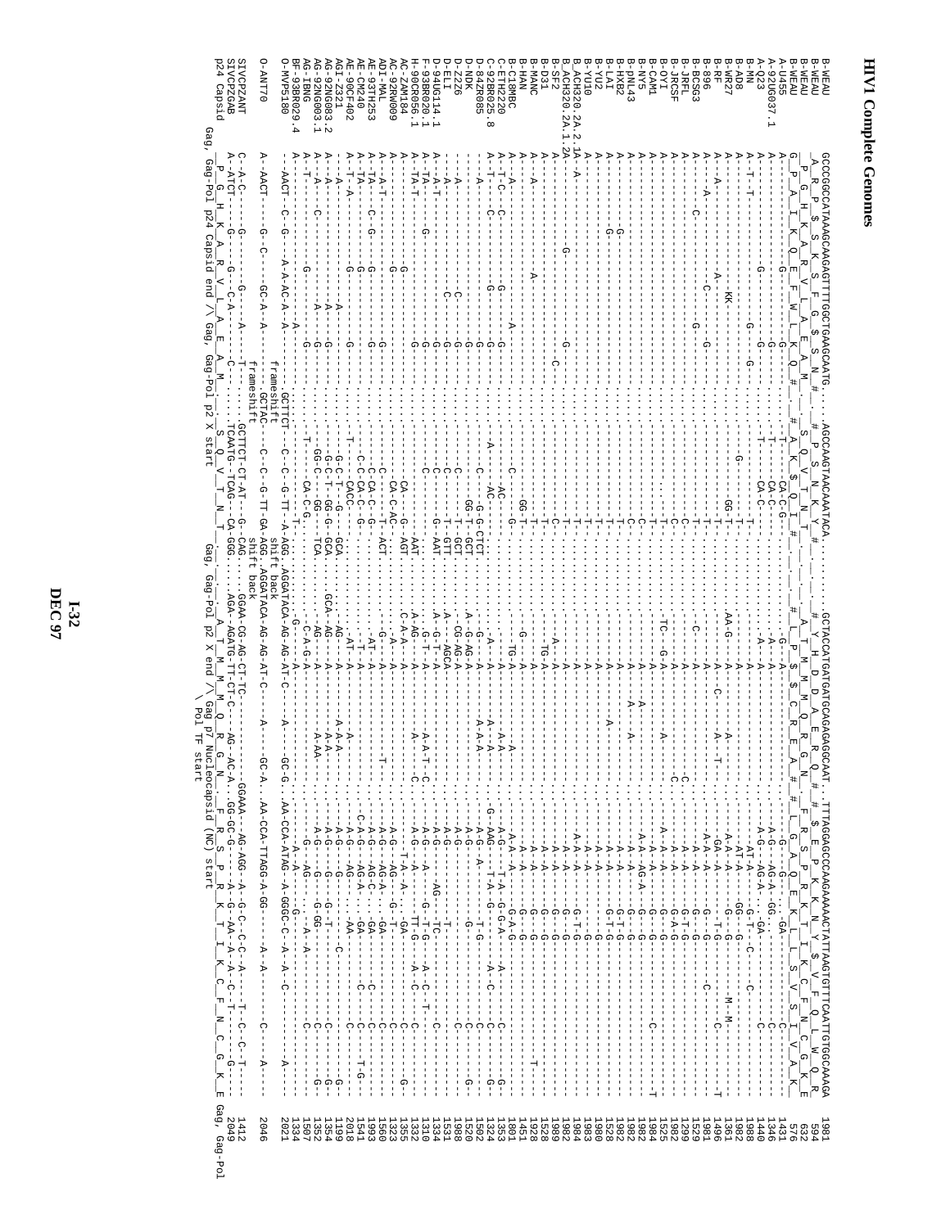| <b>SIVCPZGAB</b><br>IVCPZANT<br>Capsid                                                                                                                                                      | 07TYA-0                                                                                | 08T5B25180                                                                                     | BF-93BR029<br><b>TBNG</b><br>4                                                                                                                                                       | $C - 92NCOO3.1$                                                  | 82NG083<br>N                                                                                                                                              | CZ-Z321                                                                                         | $-90$ CF402                                                                                                                                               | $-CM240$                                                                      | $-93THT253$                                                                   | DI-MAL                                                                                                                           | -92RM009                                                                                                                                                                               | <b>58 INVZ-</b>             | 93BR020.<br>90CR056                                              | 94UG114                                                  | ELI                                                                           | 2226                                                                                                                        | NDK                                                            | 4ZR085                                                                 | 92BR025<br>$^{\circ}$                                  | ETH2220                                                                               | C18MBC                                                                                            | HAN                                                                                  | MANC                                                                             | <b>D31</b>                                                                  | <b>SF2</b>                                           | <b>ACH320</b>                                                                                                              | <b>ACH320</b>                                                  | $0$ T $\Omega$                          | Z <sub>n</sub>                                   | EXB <sub>2</sub><br>LAI                                                                                                                                                                    | -pNL43                                     | $-KI-$                                              | -CAM1                                                                                          | IXO-                                                                                    | <b>JRCSF</b>                                    | -JRFL                                                              | BCSG3                        | $-896$                                                                                                                               | $-MR27$<br>– RF                                                                                                 | <b>AD8</b>                                              | –<br>N™                                                                                                                                                         | .023                                                                                             | 920G037                                                                                                         | <b>1455</b>                  | WEAU                                 | NEAU                                                     | WEAU<br>WEAU                                                               |
|---------------------------------------------------------------------------------------------------------------------------------------------------------------------------------------------|----------------------------------------------------------------------------------------|------------------------------------------------------------------------------------------------|--------------------------------------------------------------------------------------------------------------------------------------------------------------------------------------|------------------------------------------------------------------|-----------------------------------------------------------------------------------------------------------------------------------------------------------|-------------------------------------------------------------------------------------------------|-----------------------------------------------------------------------------------------------------------------------------------------------------------|-------------------------------------------------------------------------------|-------------------------------------------------------------------------------|----------------------------------------------------------------------------------------------------------------------------------|----------------------------------------------------------------------------------------------------------------------------------------------------------------------------------------|-----------------------------|------------------------------------------------------------------|----------------------------------------------------------|-------------------------------------------------------------------------------|-----------------------------------------------------------------------------------------------------------------------------|----------------------------------------------------------------|------------------------------------------------------------------------|--------------------------------------------------------|---------------------------------------------------------------------------------------|---------------------------------------------------------------------------------------------------|--------------------------------------------------------------------------------------|----------------------------------------------------------------------------------|-----------------------------------------------------------------------------|------------------------------------------------------|----------------------------------------------------------------------------------------------------------------------------|----------------------------------------------------------------|-----------------------------------------|--------------------------------------------------|--------------------------------------------------------------------------------------------------------------------------------------------------------------------------------------------|--------------------------------------------|-----------------------------------------------------|------------------------------------------------------------------------------------------------|-----------------------------------------------------------------------------------------|-------------------------------------------------|--------------------------------------------------------------------|------------------------------|--------------------------------------------------------------------------------------------------------------------------------------|-----------------------------------------------------------------------------------------------------------------|---------------------------------------------------------|-----------------------------------------------------------------------------------------------------------------------------------------------------------------|--------------------------------------------------------------------------------------------------|-----------------------------------------------------------------------------------------------------------------|------------------------------|--------------------------------------|----------------------------------------------------------|----------------------------------------------------------------------------|
| Gag,<br>⋗<br>Gag-Pol<br>$-4-C$<br>ᡃ<br>-ATCT<br>ົດ                                                                                                                                          | $A - AACT -$                                                                           | $-AACT-$<br>Ω                                                                                  |                                                                                                                                                                                      |                                                                  |                                                                                                                                                           | $\frac{1}{2}$                                                                                   | 부                                                                                                                                                         | -AA-                                                                          | TA-<br>∩                                                                      | ト<br>ト<br>                                                                                                                       |                                                                                                                                                                                        |                             | TA-<br>TA-                                                       | $L - V$ .                                                | $\frac{1}{2}$                                                                 |                                                                                                                             |                                                                | ኴ                                                                      | C                                                      | ー<br>!<br>Ω                                                                           | ፔ                                                                                                 |                                                                                      | ኔ                                                                                |                                                                             |                                                      |                                                                                                                            |                                                                |                                         |                                                  |                                                                                                                                                                                            |                                            |                                                     |                                                                                                |                                                                                         |                                                 |                                                                    |                              | ⊅                                                                                                                                    |                                                                                                                 |                                                         | 부                                                                                                                                                               |                                                                                                  |                                                                                                                 |                              | π                                    | ⋒                                                        |                                                                            |
| pisae Capsid<br>end<br>م<br>ا                                                                                                                                                               | ဂု<br>$-GC - A - -A -$                                                                 | ဂု<br>$-A - A - AC - A -$                                                                      |                                                                                                                                                                                      | $\overline{r}$                                                   | ∀                                                                                                                                                         |                                                                                                 |                                                                                                                                                           | G)                                                                            | GΣ                                                                            |                                                                                                                                  | ଋ                                                                                                                                                                                      |                             |                                                                  |                                                          | ∩                                                                             |                                                                                                                             |                                                                |                                                                        | Ģ                                                      | ᡗ                                                                                     |                                                                                                   |                                                                                      |                                                                                  |                                                                             |                                                      |                                                                                                                            |                                                                |                                         |                                                  |                                                                                                                                                                                            |                                            |                                                     |                                                                                                |                                                                                         |                                                 |                                                                    |                              | С                                                                                                                                    | -XX-                                                                                                            |                                                         |                                                                                                                                                                 | ⋒                                                                                                |                                                                                                                 | G.                           |                                      |                                                          | BUCCGGCATAAAGCAAGATTTTGGCTGAAGCAATG                                        |
| Gag,<br>Gag-Pol<br>ဂု<br>frameshift<br>$\overline{5}$                                                                                                                                       | trameshift                                                                             | $-V-$<br>⊄                                                                                     |                                                                                                                                                                                      |                                                                  |                                                                                                                                                           |                                                                                                 |                                                                                                                                                           |                                                                               |                                                                               |                                                                                                                                  |                                                                                                                                                                                        |                             |                                                                  |                                                          | Ω                                                                             | ດ                                                                                                                           | Ω                                                              | ⋒                                                                      | Ω                                                      |                                                                                       |                                                                                                   |                                                                                      |                                                                                  |                                                                             |                                                      |                                                                                                                            |                                                                |                                         |                                                  |                                                                                                                                                                                            |                                            |                                                     |                                                                                                |                                                                                         |                                                 |                                                                    |                              | ω                                                                                                                                    |                                                                                                                 |                                                         | ω                                                                                                                                                               | ဂု                                                                                               | $\frac{1}{1}$                                                                                                   | C)                           |                                      |                                                          |                                                                            |
| ×<br>TCAATG-<br>CTTCT-CT-AI<br>Start<br>įО<br>TCAG-                                                                                                                                         | $\frac{1}{2}$                                                                          | <u>ှ</u><br>-9-11-1-2-                                                                         | - 21-C-G                                                                                                                                                                             | GG-C<br>$-55-$                                                   |                                                                                                                                                           | C-T---G-                                                                                        | CACC-                                                                                                                                                     | ှ<br>C-CA-C.                                                                  | Ω                                                                             |                                                                                                                                  | 2A-C-AC                                                                                                                                                                                | CA-                         |                                                                  |                                                          |                                                                               |                                                                                                                             | <u>និ</u>                                                      |                                                                        | $-AC$                                                  | Ř                                                                                     |                                                                                                   | ရှ                                                                                   |                                                                                  |                                                                             |                                                      |                                                                                                                            |                                                                |                                         |                                                  |                                                                                                                                                                                            |                                            |                                                     |                                                                                                |                                                                                         |                                                 |                                                                    |                              |                                                                                                                                      | -99                                                                                                             |                                                         |                                                                                                                                                                 | -2-C-                                                                                            |                                                                                                                 | ု                            |                                      |                                                          | ROCAAGTAACAAATACA                                                          |
| CA-GGG<br>CAG<br>En 1<br>Gag,<br>Gag-Pol<br>back                                                                                                                                            | -GP-45-45-200<br>bacl                                                                  | <b>JAPF</b>                                                                                    |                                                                                                                                                                                      | -TCA                                                             | -GCA                                                                                                                                                      | -GCA                                                                                            |                                                                                                                                                           | ဂု                                                                            | Ģ                                                                             | 년<br>-ACT                                                                                                                        |                                                                                                                                                                                        | Ģ.<br>-AGT<br>PA            |                                                                  | LVV-                                                     | LLD-                                                                          | -GCT                                                                                                                        | 1-001                                                          | -crcr                                                                  |                                                        |                                                                                       |                                                                                                   |                                                                                      |                                                                                  |                                                                             |                                                      |                                                                                                                            |                                                                |                                         |                                                  |                                                                                                                                                                                            |                                            |                                                     |                                                                                                |                                                                                         |                                                 |                                                                    |                              |                                                                                                                                      |                                                                                                                 |                                                         |                                                                                                                                                                 |                                                                                                  |                                                                                                                 | ဂု                           |                                      |                                                          |                                                                            |
| GGAA-CG-AG-C1<br>$AGA -$<br>$\frac{6}{2}$<br><b>AGATG-TT-CT</b><br>end                                                                                                                      | GGATACA-AG-AG-AT-C                                                                     | <b>ACA-AG-AG-AT-C</b>                                                                          | -9-A-G-                                                                                                                                                                              | $AG-$                                                            | $-AC$ .                                                                                                                                                   | AG--                                                                                            | $-17$                                                                                                                                                     | ÷                                                                             | ĀT.                                                                           | ဂု<br>၂                                                                                                                          | $-4-4-$<br>F                                                                                                                                                                           |                             | RG<br>-1-D                                                       | פ-ד                                                      | -AGCA                                                                         | -97-70-                                                                                                                     | $-9 - 9 -$                                                     |                                                                        | F                                                      |                                                                                       | i<br>P                                                                                            |                                                                                      |                                                                                  | են<br>5                                                                     |                                                      |                                                                                                                            |                                                                |                                         |                                                  |                                                                                                                                                                                            |                                            |                                                     |                                                                                                | FC-<br>ှု                                                                               |                                                 |                                                                    | ု                            |                                                                                                                                      | $AA-G$                                                                                                          |                                                         |                                                                                                                                                                 |                                                                                                  | Þ                                                                                                               | q2<br>1                      | Ч                                    |                                                          | GCTACCATGATGATGCAGAGA                                                      |
| Gag p7<br>Po.<br>Ю<br>RG.<br>π<br>ှု<br>start<br>g<br>$\begin{array}{c} \end{array}$                                                                                                        |                                                                                        | J.<br>6-95<br>J<br>$\ddot{\cdot}$                                                              | $\mathsf I$<br>۰                                                                                                                                                                     | $\mathbb{F}$<br>$-5$<br>$\vdots$                                 | ∀-<br>$-1$                                                                                                                                                | $-A-A$<br>י<br>ו                                                                                | ⊅<br>$\frac{1}{1}$                                                                                                                                        |                                                                               | $\begin{bmatrix} 1 \\ 1 \\ 1 \end{bmatrix}$<br>$\mathbf{I}$<br>$\ddot{\cdot}$ | トーー<br>$\frac{1}{2}$                                                                                                             | $\frac{1}{1}$<br>$\frac{1}{1}$<br>$\begin{array}{c} \hline \end{array}$<br>$\vdots$                                                                                                    | ⊅<br>$\frac{1}{1}$          | アーローー<br>Q<br>Ω<br>$\vdots$                                      | $\vdots$                                                 |                                                                               | $\frac{1}{1}$                                                                                                               |                                                                |                                                                        |                                                        | م<br>ا                                                                                |                                                                                                   |                                                                                      |                                                                                  |                                                                             |                                                      |                                                                                                                            |                                                                |                                         | $\vdots$                                         | $\ddot{\cdot}$                                                                                                                                                                             | ⊅<br>T<br>J.<br>$\vdots$                   | ኴ<br>$\vdots$                                       | $\vdots$                                                                                       | $\mathbf{I}$                                                                            | J<br>$\begin{array}{c} \hline \end{array}$<br>Q | ţ<br>Ω<br>$\vdots$                                                 | I<br>I                       | $\frac{1}{1}$<br>J<br>$\frac{1}{2}$                                                                                                  | $\frac{1}{1}$<br>$\frac{1}{1}$<br>J                                                                             | $\vdots$                                                | $\frac{1}{1}$<br>I                                                                                                                                              | $\begin{array}{c} \begin{array}{c} \uparrow \\ \downarrow \\ \downarrow \end{array} \end{array}$ | $\overline{\phantom{a}}$<br>$\begin{array}{c} 1 \\ 1 \\ 2 \end{array}$                                          | $\mathbf{I}$<br>$\cdot$      | 固                                    | $\Omega$<br>z                                            | <b>GCAAT</b><br>ю<br>₩                                                     |
| Nucleocapsid (NC) start<br>$AC - A$ $GG - GC - G -$<br>$-GGAAA---AG-RGG---A---G-C--C---$<br>$\frac{1}{1}$<br>'n,<br>¦≂<br>'n,<br>$\frac{1}{2}$<br>.۳                                        | GC-AAA-CCA-TTAGG-A-GG---                                                               | . $AA-CCA-ATAG--A-GGG-C----$<br>$\ddot{\phantom{0}}$<br>$\mathbf{A}--\mathbf{A}--\mathbf{A}--$ | $\cdot$<br>J.<br>$\blacksquare$<br>J.<br>$\mathsf I$<br>I.<br>$\mathbf{I}$<br>$\mathsf I$<br>$\mathbf{I}$<br>Ť<br>$\Gamma$                                                           | J.<br>$\mathbb{I}$<br>Ť<br>$A-G$<br>Ť                            | $\overline{\phantom{a}}$<br>$\mathsf I$<br>$- -A-G$<br>$\frac{1}{1}$                                                                                      | J.<br>$\mathbf{I}$<br>$-4-6-$<br>Ť<br>$-5$                                                      | $\mathbf{I}$<br>$\mathbb{I}$<br>$-2-6-$<br>ŧ                                                                                                              | $\frac{1}{1}$<br>$C - A - G$<br>$\frac{1}{1}$                                 | $\mathbf{I}$<br>f,<br>$-5 - 4 - 6$<br>ł,                                      | $\overline{\phantom{a}}$<br>$- A - G$ .<br>ł                                                                                     | $\mathbf{I}$<br>$\mathbf{I}$<br>$A-G$                                                                                                                                                  | $\mathbf{I}$<br>$A-G$<br>т  | $\mathbf{I}$<br>$-4-6-$<br>Ť                                     | $- -A-G$<br>$\frac{1}{1}$<br>$\mathbf{I}$                | $- -A - G$<br>ŧ<br>Ţ<br>$\mathbf{I}$<br>л<br>$\mathbf{I}$                     | $-2-6$<br>$\frac{1}{1}$<br>Ţ<br>$\mathbf{I}$<br>$\mathbb{I}$                                                                | $- - \Delta - G - -$<br>$-1$ $-1$ $-1$ $-1$ $-1$ $-1$          | $-4-9$<br>Ť<br>$A -$<br>$\mathsf I$                                    | $-G - PYG - -$<br>$\blacksquare$                       | $\mathbf I$<br>$- -p - q - -$<br>$\mathsf I$<br>$\mathbf{I}$                          | $- - \Delta - \Delta - - \Delta - -$                                                              | т<br>$---A---$<br>$-\Delta$                                                          | $-{\bf A} - -{\bf A} -$                                                          | $--A--$<br>$\overline{Y}$                                                   | $- - \mathbf{A} - - \mathbf{A}$                      | J-<br>Ĩ.<br>ъ                                                                                                              | $A - A - - A$<br>$\mathbf{I}$                                  | ---A---<br>А<br>$\mathbf{I}$            | $- - A - - A$                                    | $- - \Delta - - \Delta - -$<br>⋗<br>$\frac{1}{1}$                                                                                                                                          | $A$ --                                     | ł<br>$A - A - - A G - A - -$                        | $- - A - -$<br>Þ                                                                               | $\vdots$<br>$-A--A--A$<br>т<br>$\mathsf I$                                              | $\vdots$<br>$--A---$<br>Þ                       | $\vdots$<br>J.<br>$- - \mathbf{A} - - \mathbf{A}$<br>$\frac{1}{1}$ | $\vdots$<br>$- -A - -A$<br>I | Í<br>$\mathbf{A} - \mathbf{A} - - \mathbf{A} -$<br>$-GA--A---$                                                                       | $\vdots$<br>$- -P - P - P - P - -$                                                                              | ţ<br>$- - \Delta T - \Delta - -$                        | $\vdots$                                                                                                                                                        | $\frac{1}{1}$<br>$- -A - G - - -A G - A -  - G A - -$                                            | $\frac{1}{1}$<br>--A-G---AG-A--GG --                                                                            | $-5 - -$                     | F<br>ຸດ<br>Ъ<br>Ö                    | 可<br>ゃ<br>'s<br>$\mathbf{\bar{d}}$                       | ₩<br>'nΩ<br>ø<br>י<br>יט                                                   |
| $- -A - -$<br>'ㅈ<br>×<br>$G--A.A--A--$<br>Η<br>$-4-$                                                                                                                                        | $\frac{1}{1}$<br>$\mathbb I$<br>$A$ – $-$<br>$A -$                                     | $A--$<br>$A -$                                                                                 | $-AG---$ -- $A--$<br>$\frac{1}{1}$<br>$\begin{array}{c}\n-1 \\ -1\n\end{array}$<br>$\frac{1}{1}$<br>$A$ – –<br>ł<br>$\mathbf I$<br>T<br>$\mathsf I$                                  | $- - - - - - - - - - - - - - - - - - - - - - - - - -$<br>ţ<br>I. | $\mathsf I$<br>$\mathsf I$<br>$\frac{1}{1}$<br>$\mathsf I$                                                                                                | J.<br>$\mathbb{I}$<br>ţ<br>$\frac{1}{1}$<br>C<br>ł                                              | $-AG-- PA$<br>$\mathsf I$<br>ł<br>$\begin{array}{c} \end{array}$<br>Ţ                                                                                     | $-AG - A -  - GA - - -$<br>$\frac{1}{1}$<br>$\overline{\phantom{a}}$          | $-AC-C- -GA---$<br>ŧ                                                          | $-AG-A--GA--$<br>$\begin{array}{c} \hline \end{array}$<br>J<br>$\begin{array}{c} \hline \end{array}$<br>$\overline{\phantom{a}}$ | $-1 - 2 - 1 - 0 - 0 - 0 - 0 - 0$<br>$T - A - -A - \ldots - GA - -$<br>$\mathbb{I}$<br>$\mathsf I$<br>$\frac{1}{4}$<br>$\,$ I<br>$\overline{\phantom{a}}$                               | $\frac{1}{1}$               | $-{\bf A}-----{\bf G}--{\bf T}-{\bf G}--$<br>J<br>$-4-$<br>$-4-$ | $-96 - -$<br>$---2C---$<br>$\frac{1}{1}$<br>$\mathbf{I}$ | J.<br>J.<br>$\mathbf{I}$<br>$-1 - 1 - 1$<br>$\mathbb{I}$<br>Ţ<br>ł<br>Ţ<br>J. | 1<br>-1<br>$\mathsf I$<br>$\mathsf I$<br>$\mathbf{I}$<br>-1<br>$\frac{1}{1}$<br>$\mathsf I$<br>$\frac{1}{1}$<br>$\mathsf I$ | $    -$<br>$\mathbb I$<br>Ţ<br>J.<br>Ţ<br>$\mathbf{I}$         | $\mathbf{I}$<br>1<br>$\mathbb{I}$<br>-- 1-4-0-1-<br>$\frac{1}{1}$<br>I | $T - A - -C - - - - - -$<br>$\mathsf I$<br>$\,$ I<br>J | $T - A - -$<br>$G-G-A-$<br>$\mathbb{L}$<br>$\mathsf I$<br>J<br>$A -$                  | J.<br>-1<br>$\mathsf I$<br>$-G - A - G$<br>-1<br>$\mathsf I$<br>$\mathbf{I}$<br>ı<br>$\mathbf{I}$ | L.<br>H.<br>$\mathbb{I}$<br>$\mathbb I$<br>$\frac{1}{2}$<br>Ω<br>ł.<br>J.<br>î<br>J. | $\mathbf{I}$<br>Ω<br>L<br>ଋ<br>$\mathbf{I}$<br>$\mathsf I$<br>$\mathbf{I}$<br>J. | $\mathbf{I}$<br>$-1$<br>ଋ<br>$\mathbf{I}$<br>$\mathbf{I}$<br>$\blacksquare$ | л<br>$\mathbf I$<br>Ω<br>ŧ<br>ଋ<br>л.<br>$\mathbb I$ | $\mathbf{I}$<br>$\mathbf{I}$<br>ດ<br>$\mathbf{I}$<br>$\blacksquare$<br>ଋ<br>$\mathbf{I}$<br>$\mathbf{I}$<br>$\blacksquare$ | $\blacksquare$<br>J.<br>$-5 - 5 - 0$<br>л.<br>$\mathbf I$<br>ł | J.<br>т<br>$\frac{1}{1}$<br>ଋ<br>т<br>ł | $\overline{1}$<br>İ<br>ଋ<br>-1<br>$\overline{1}$ | п<br>$\mathbf{I}$<br>J.<br>$\frac{1}{1}$<br>$\mathbf{I}$<br>$\overline{1}$<br>-- 1-0-1-<br>$G - T - G$<br>$\frac{1}{1}$<br>$\frac{1}{1}$<br>$\frac{1}{4}$                                  | I<br>J.<br>$\mathbf{I}$<br>G---G<br>ŧ<br>ł | $-1 - 1$<br>$\mathbf{I}$<br>$\,$ I<br>$\frac{1}{1}$ | $\mathbf{I}$<br>$\mathbf I$<br>ର ର<br>$-1 - 6$<br>$\mathbf{I}$<br>$\mathbf I$<br>$\frac{1}{1}$ | J.<br>-1<br>$\mathbf I$<br>ω<br>$\mathbf{I}$<br>$\,$ I<br>$\frac{1}{1}$<br>$\mathbf{I}$ | $\blacksquare$<br>$G-A-G$<br>1                  | л<br>л<br>$\mathbf I$<br>G-T-G-<br>$\mathbf I$<br>J.               | п                            | J.<br>л<br>п<br>$\mathbb I$<br>ł                                                                                                     | $\mathbf{I}$<br>$\overline{1}$<br>$\overline{1}$<br>$G$ --- $G$ ---<br>- - コーロー<br>- -<br>$\overline{1}$        | $- - - - - - - - - - -$<br>I<br>I                       | $\begin{array}{c} \end{array}$                                                                                                                                  | ţ<br>I<br>I<br>J                                                                                 | J.<br>$\begin{array}{c} \end{array}$<br>$\overline{\phantom{a}}$                                                | $-6 - - - - - - - - - - - -$ | 'n,<br>×<br>F<br>F<br>ŗω.            | ₩<br>×<br>4<br>H<br>'R,                                  | ×<br>z<br>ŀΩ<br>'Z                                                         |
| $A--C--T--$<br>'n,<br>$\mathbf I$<br>$\frac{1}{1}$<br>'n<br>ロートロートローーローー<br>Þ<br>I<br>$\mathbf{I}$<br>$\overline{1}$<br>ŗΩ,<br>$\mathbf{I}$<br>$\overline{1}$<br>ِ ۾<br>$\frac{1}{1}$<br>×. | $\mathbf I$<br>$\mathbf{I}$<br>$\mathbb T$<br>$\frac{1}{2}$<br>J.<br>л.<br>т.<br>$-4-$ | C<br>$\frac{1}{4}$<br>1<br>I.<br>I.<br>J.<br>л<br>$\mathbf{I}$<br>1<br>L.<br>H.<br>J.<br>$A--$ | т<br>$\mathbf{I}$<br>$\mathbf I$<br>J.<br>$\mathbf{I}$<br>$\mathsf I$<br>I.<br>$\mathbf I$<br>$\blacksquare$<br>Ω<br>Ш.<br>$\mathbf{I}$<br>I.<br>$\mathbf{I}$<br>т<br>$\overline{1}$ | ł,<br>H.<br>$\mathbb{I}$<br>ţ<br>↷<br>ŧ<br>т<br>I,<br>t          | $\mathbf{I}$<br>$\mathsf I$<br>$\mathbf{I}$<br>$\mathbb{I}$<br>$\frac{1}{1}$<br>Ω<br>п<br>$\mathbf{I}$<br>$\mathbf{I}$<br>$\blacksquare$<br>$\frac{1}{1}$ | $\begin{array}{c} 1 \\ 1 \\ 1 \end{array}$<br>J.<br>$\mathbb{I}$<br>Ţ<br>J.<br>л<br>I<br>J<br>ţ | $\mathbf{I}$<br>$\mathsf I$<br>$\mathbf{I}$<br>$\mathsf I$<br>$\frac{1}{1}$<br>Ω<br>ţ<br>I.<br>$\mathsf I$<br>$\begin{array}{c} \hline \end{array}$<br>J. | $\frac{1}{1}$<br>C<br>Ŧ<br>$\mathbf I$<br>$\frac{1}{1}$<br>Ω<br>Ť<br>$-9 - 5$ | $C$ ------<br>Ω<br>Ĭ<br>$\mathbf I$<br>J<br>Ţ<br>J.                           | $\blacksquare$<br>$\blacksquare$<br>$\overline{1}$<br>$\overline{1}$<br>↷<br>$\mathbf{I}$<br>$\blacksquare$                      | $\frac{1}{1}$<br>$\overline{\phantom{a}}$<br>$\frac{1}{1}$<br>$\frac{1}{1}$<br>$\begin{array}{c} \hline \end{array}$<br>$\frac{1}{4}$<br>$\Gamma$<br>л<br>$\mathbb{I}$<br>J.<br>п<br>I | $\frac{1}{4}$<br>$- -C - -$ | $\frac{1}{2}$<br>$C - T - T -$<br>$C$ ---<br>п                   | ł<br>$\mathbf I$<br>$\frac{1}{4}$<br>$\Omega$            | л<br>ł<br>$\mathbf{I}$<br>Ţ<br>J.<br>л<br>л                                   | 1<br>$\mathbb{I}$<br>$\frac{1}{1}$<br>$\frac{1}{1}$<br>Ω<br>л.                                                              | J.<br>$\mathbf{I}$<br>$\frac{1}{1}$<br>$\frac{1}{2}$<br>ł<br>ţ | $\frac{1}{1}$<br>ှ                                                     | $A - -C - - -$<br>$\frac{1}{2}$<br>Ť<br>$\overline{1}$ | $\mathbb{I}$<br>ł<br>$\mathbf I$<br>t<br>ţ.<br>$C -$<br>H.<br>$\mathbb{I}$<br>I.<br>I | 1                                                                                                 | H.<br>т<br>f,<br>J.<br>Ţ<br>H.<br>I.<br>I.<br>J.<br>H.                               | د<br>با                                                                          | $\mathbf{I}$<br>$\mathbf{I}$                                                | J.<br>л                                              |                                                                                                                            | ł<br>J.<br>$\mathbf I$<br>п<br>т                               | I<br>I                                  | $\mathbf{I}$<br>$\overline{1}$                   | $\frac{1}{1}$<br>$\frac{1}{1}$<br>$\begin{array}{c} 1 \\ 1 \\ 1 \end{array}$<br>$\frac{1}{1}$<br>ł<br>$\begin{array}{c} \hline \end{array}$<br>I<br>I<br>$\mathbf{I}$<br>ı<br>$\mathbf{I}$ | J,<br>I.<br>$\frac{1}{1}$<br>ł<br>I<br>ı   | J.<br>п                                             | $\begin{array}{c} 1 \\ -1 \end{array}$<br>$\mathbf{I}$<br>I                                    | 1<br>$\overline{1}$<br>ı<br>I.<br>ı<br>J.<br>п                                          |                                                 | J,<br>л<br>I<br>л<br>I<br>л                                        | п                            | п<br>C<br>$\frac{1}{1}$<br>$\begin{array}{c} \end{array}$<br>$\frac{1}{1}$<br>Ţ<br>J.<br>$\frac{1}{1}$<br>ţ<br>л<br>п<br>I<br>I<br>I | $\blacksquare$<br>$- -M - -N - -$<br>$\overline{C}$<br>$\overline{\phantom{a}}$<br>$\mathbf{I}$<br>$\mathbf{I}$ | I<br>I.<br>I<br>I.<br>I<br>$\frac{1}{1}$<br>ł<br>I<br>ı | $-1 - 1$<br>$\begin{array}{c} 1 \\ 1 \\ 1 \end{array}$<br>$\overline{\phantom{a}}$<br>1<br>$\begin{array}{c} \end{array}$<br>J<br>1<br>$\overline{\phantom{a}}$ | $\frac{1}{1}$<br>$\frac{1}{1}$<br>$- - -$ C $- -$<br>I<br>I<br>I<br>I<br>I                       | $\frac{1}{1}$<br>$\frac{1}{1}$<br>$-1$<br>п<br>$\overline{1}$<br>$\begin{array}{c} \end{array}$<br>J<br>1<br>J. | J<br>ှ                       | $\prec$<br>ທ່<br>'nч<br>$\prec$<br>Ъ | 'n<br>$\mathfrak{l}_{\pi_{\!\!1}}$<br>þ<br>'n<br>က်<br>× | TTTAGGAGCCCAAGAAAAACTATTAAGTGTTTCAATTGTGGCAAAGA<br>g<br>ю<br>F<br>¦≍.<br>þ |
| $\begin{array}{c} \hline \end{array}$<br>J<br>п<br>'n<br>$\overline{1}$<br>Gag, Gag-Pol<br>2049<br>141<br>$\mathbbmss{N}$                                                                   | J.<br>л<br>J.<br>2046                                                                  | п<br>$\,$ I<br>L.<br>1334<br>2021                                                              | $\frac{1}{1}$<br>I.                                                                                                                                                                  | $-6 -$<br>1356<br>13507<br>1507                                  | ဂု                                                                                                                                                        | ဂ္                                                                                              | п                                                                                                                                                         |                                                                               | J.                                                                            | $\overline{\phantom{a}}$                                                                                                         | Ť                                                                                                                                                                                      | ဂု                          | J.                                                               | $\frac{1}{1}$                                            |                                                                               | $\mathbf{I}$                                                                                                                | ဂူ                                                             | т                                                                      | $-5 - -$                                               | ဂု                                                                                    |                                                                                                   | J.<br>H.                                                                             | T<br>-1                                                                          |                                                                             | I                                                    |                                                                                                                            |                                                                |                                         | $\overline{1}$                                   | J<br>л                                                                                                                                                                                     | I<br>л                                     | 1                                                   | Ť<br>H                                                                                         | J.<br>1                                                                                 |                                                 | л                                                                  | п                            | I<br>$\mathbf{I}$                                                                                                                    | $\frac{1}{1}$<br>J<br>$\overline{\phantom{a}}$<br>11998<br>1998<br>1999                                         | I<br>J.                                                 | J<br>п                                                                                                                                                          | ł<br>1440                                                                                        | l.<br>1346                                                                                                      | 1431                         |                                      | ΈΠÍ                                                      | ĮΑ<br>1<br>9<br>9 9 9 9 9<br>9 9 9 9<br>9 9 9 9                            |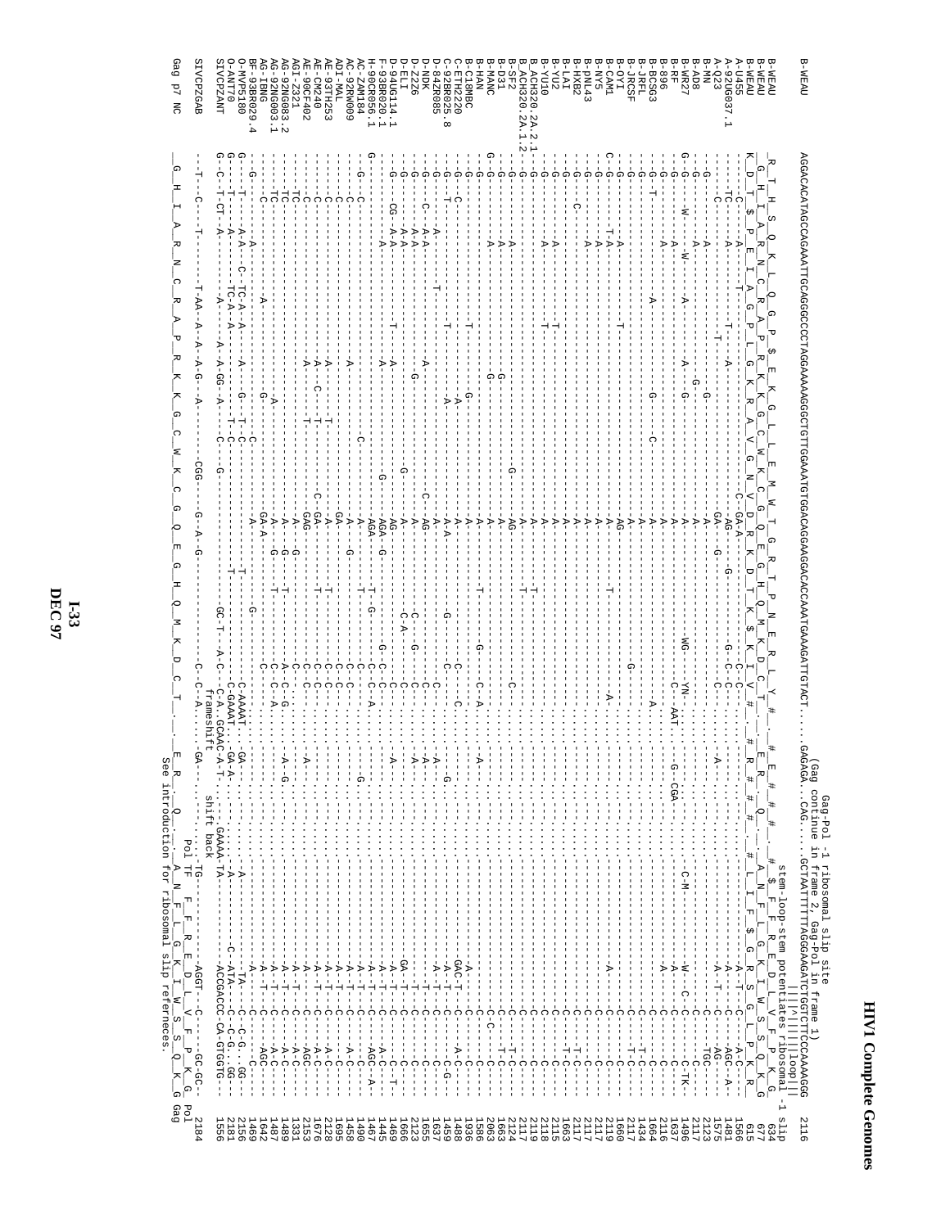| Gag             | introduction for ribosomal slip referneces.<br>Ή<br>Ή<br>ั≍<br>Ö                                                                                    | 'o<br>⋗<br>k                                                                                                                                                                                                                                                                                                                                                                 | Ħ<br>See                | O                                   |                                             |             | ດ                                        |                                                     |                                                                                      | Gag<br>힉                        |
|-----------------|-----------------------------------------------------------------------------------------------------------------------------------------------------|------------------------------------------------------------------------------------------------------------------------------------------------------------------------------------------------------------------------------------------------------------------------------------------------------------------------------------------------------------------------------|-------------------------|-------------------------------------|---------------------------------------------|-------------|------------------------------------------|-----------------------------------------------------|--------------------------------------------------------------------------------------|---------------------------------|
| $_{\text{Iod}}$ | F<br>피<br>Կոյ<br>₩<br>Ω<br>'n<br>×<br>ď<br>⊢<br>₹<br>$\alpha$<br>'n<br>'လ  <br>ᡰᠣ<br>k<br>Ħ<br>ှိဂ<br>'വി                                           | ਸ਼<br>$-501$ Tod<br>--DL-                                                                                                                                                                                                                                                                                                                                                    |                         | ດ<br>Ξ                              | 囝                                           | ∩<br>∩<br>ດ |                                          | z<br>∩                                              |                                                                                      | ă                               |
| <b>218</b><br>4 | AGGT----<br>Ω<br>$\frac{1}{1}$<br>$\frac{1}{1}$<br>GC-GC<br>$\mathbf{I}$<br>$\mathbf{I}$                                                            |                                                                                                                                                                                                                                                                                                                                                                              |                         | G<br>G                              | Φ                                           | CGG-        | $\overline{A}$<br>$A-G-$<br>$\mathbb{Y}$ | $T - AA - T$<br>$-\nabla -$                         | Ĥ<br>Ģ<br>년                                                                          | IVCPZGAB                        |
|                 |                                                                                                                                                     | $\begin{minipage}{0.99\textwidth} \begin{picture}(10,0) \put(0,0){\vector(0,1){1.5}} \put(10,0){\vector(0,1){1.5}} \put(10,0){\vector(0,1){1.5}} \put(10,0){\vector(0,1){1.5}} \put(10,0){\vector(0,1){1.5}} \put(10,0){\vector(0,1){1.5}} \put(10,0){\vector(0,1){1.5}} \put(10,0){\vector(0,1){1.5}} \put(10,0){\vector(0,1){1.5}} \put(10,0){\vector(0,1){1.5}} \put(10,$ | framesh                 |                                     |                                             |             |                                          |                                                     |                                                                                      |                                 |
|                 | J<br>--TA-----C-<br>-ATA-----C-<br>-ACCGACCC-<br>-CA-GTGGTG<br>H                                                                                    |                                                                                                                                                                                                                                                                                                                                                                              | $C-A$                   | $-1 - 1 - 0$<br>$\overline{A}$<br>G |                                             | ု<br>Ω      | $A -$<br>$A-GG--$<br>÷<br>T              | $\frac{1}{2}$                                       | Ω<br>ု<br>コーローー<br>ъ<br>⋗<br>$\begin{array}{c} \hline \end{array}$<br>$\blacksquare$ | <b>SIVCPZANT</b>                |
|                 | Ġ-<br>ł<br>^^<br>   <br>   <br>-c-d. dd---<br>-c-d. dd---                                                                                           |                                                                                                                                                                                                                                                                                                                                                                              | C-AAAA.                 |                                     |                                             | ှ<br>↷      | ⊅<br>$\frac{1}{1}$                       | Q<br>$-LC-R$ -<br>$TC - A -$<br>$\overline{r}$<br>∀ | Ω<br>ဂု<br>부<br>$A - A -$                                                            | 0-ANT70<br>08195780             |
|                 | J<br>$\frac{1}{1}$<br>Ω<br>Ť<br>$\frac{1}{1}$<br>$\frac{1}{1}$<br>$\Gamma$<br>Ţ<br>$\blacksquare$                                                   |                                                                                                                                                                                                                                                                                                                                                                              |                         | ဂု                                  | A-                                          | ∩           | ن<br>ا                                   | $\overline{A}$                                      | ဂု                                                                                   | BF-93BR029.4                    |
|                 | Ĵ.<br>$-1 - 1 - -1 -$<br>C<br>ŧ<br>ŧ<br>$AGC --$<br>ł                                                                                               |                                                                                                                                                                                                                                                                                                                                                                              |                         |                                     | $A - A$<br>t                                |             | $\frac{1}{1}$                            | $\mathbb{F}$                                        | ∩                                                                                    | DNEI-D'                         |
|                 | J<br>$A -$<br>白!<br>!<br>$\overline{\phantom{a}}$                                                                                                   |                                                                                                                                                                                                                                                                                                                                                                              |                         |                                     | $-\Delta -$<br>G                            |             | ⊅                                        |                                                     | 능                                                                                    | $G - 92NGOO3.1$                 |
|                 | $\frac{1}{4}$<br>$-4$<br>۲<br> <br>C<br>ŦŦ<br>$\mathbb I$<br>$- - \frac{A - C - C}{A - C - C}$<br>$\mathbf{I}$                                      |                                                                                                                                                                                                                                                                                                                                                                              |                         | ⊣<br>$\mathbf{I}$                   | $\lambda$ -<br>л.<br>Ω                      |             |                                          |                                                     | ă<br>U,                                                                              | G-92NG083<br>$\frac{1}{\infty}$ |
|                 | $A - I - I - I - I$<br>Ω                                                                                                                            |                                                                                                                                                                                                                                                                                                                                                                              |                         |                                     | $-\Delta -$<br>G                            |             |                                          |                                                     | ă                                                                                    | GI-Z321                         |
|                 | j<br>$A -$<br>ŧ                                                                                                                                     |                                                                                                                                                                                                                                                                                                                                                                              |                         | Ω                                   | GAG                                         |             |                                          |                                                     |                                                                                      | -90CF402                        |
|                 | Ĵ<br>$\mathbf{T}=-\mathbf{A}$<br>Ť<br>C                                                                                                             |                                                                                                                                                                                                                                                                                                                                                                              |                         | н<br>∩<br>J.<br>∩                   |                                             | C--GA-      | $A -$<br>C--<br>i.<br>부                  |                                                     | O<br>u,                                                                              | E-CM240                         |
|                 |                                                                                                                                                     |                                                                                                                                                                                                                                                                                                                                                                              |                         | ∩<br>I<br>Ţ<br>∩                    | $-V-$                                       |             |                                          |                                                     | ∩<br>U,                                                                              | E-93TH253<br>DI-MAL             |
|                 |                                                                                                                                                     |                                                                                                                                                                                                                                                                                                                                                                              |                         | ∩<br>∩<br>Ţ<br>റ                    | $-6A-$<br>$-\Delta -$<br>$\mathbf{I}$<br>ဂှ |             | ⊅                                        |                                                     | ∩<br>∩                                                                               | 2-92RM009                       |
|                 |                                                                                                                                                     |                                                                                                                                                                                                                                                                                                                                                                              |                         |                                     | $\mathbb{F}$                                |             |                                          |                                                     | ଜ                                                                                    | <b>18 LMAZ</b>                  |
|                 | Ĵ<br>$\sum_{i=1}^{n}$                                                                                                                               |                                                                                                                                                                                                                                                                                                                                                                              | ŧ                       | 부<br>ဂု<br>∩<br>Ţ.<br>∩             | $AGA -$                                     |             |                                          |                                                     |                                                                                      | $-90$ CR056.                    |
|                 |                                                                                                                                                     |                                                                                                                                                                                                                                                                                                                                                                              |                         | ⋒<br>$\blacksquare$                 | $-AGA-$<br>ဂူ                               | ဂု          | $\mathbb{Y}$                             |                                                     |                                                                                      | 93BR020.                        |
|                 |                                                                                                                                                     |                                                                                                                                                                                                                                                                                                                                                                              |                         |                                     | $AG-$                                       |             | $A -$                                    |                                                     | ഩ<br>$-50$<br>$-A-A-$                                                                | 9400114.1                       |
|                 |                                                                                                                                                     |                                                                                                                                                                                                                                                                                                                                                                              |                         | $\mathbf{I}$<br>Ω<br>√<br>≯<br>-1   | $-\Delta -$                                 | Ω           |                                          |                                                     | Ω<br>$A - A -$                                                                       | ITE.                            |
|                 |                                                                                                                                                     |                                                                                                                                                                                                                                                                                                                                                                              |                         | ↷                                   | Y                                           |             | ଋ                                        |                                                     | ⋒<br>$\mathbb{Y}_{-}$                                                                | 9ZZZ-                           |
|                 |                                                                                                                                                     |                                                                                                                                                                                                                                                                                                                                                                              |                         | 0                                   | $AG-$                                       | ς-<br>Γ     | $\overline{A}$<br>J.<br>п                |                                                     | ⋒<br>т<br>Ģ<br>J.<br>$A - A$                                                         | -NOK                            |
|                 |                                                                                                                                                     |                                                                                                                                                                                                                                                                                                                                                                              |                         |                                     | $-{\bf V}-$                                 |             |                                          |                                                     | ⋒                                                                                    | $-84ZR085$                      |
|                 |                                                                                                                                                     |                                                                                                                                                                                                                                                                                                                                                                              |                         | ⋒                                   | A-<br>Ъ<br>J.                               |             | $\mathbb{I}$<br>$\overline{A}$           |                                                     | ⋒<br>けー                                                                              | $-92BRO25$<br>$^{\circ}$        |
|                 |                                                                                                                                                     |                                                                                                                                                                                                                                                                                                                                                                              |                         |                                     | A-                                          |             | $\mathbf{I}$<br>$\overline{r}$           |                                                     | ⋒<br>ဂု                                                                              | $-$ ETHZ220                     |
|                 |                                                                                                                                                     |                                                                                                                                                                                                                                                                                                                                                                              |                         | Ω                                   | ۳<br>A-                                     |             | $\mathbf I$<br>ဂု                        |                                                     | ⋒<br>⋒                                                                               | -C18MBC<br>NVH-                 |
|                 |                                                                                                                                                     |                                                                                                                                                                                                                                                                                                                                                                              |                         |                                     | ⋗                                           |             | ဂူ                                       | A-                                                  | $G - G$                                                                              | -MANC                           |
|                 |                                                                                                                                                     |                                                                                                                                                                                                                                                                                                                                                                              |                         |                                     | $\mathbb{Y}_{-}$                            |             | ဂူ                                       | A-                                                  | ⋒<br>$\frac{1}{1}$                                                                   | $ D31$                          |
|                 |                                                                                                                                                     |                                                                                                                                                                                                                                                                                                                                                                              |                         |                                     | 57                                          |             |                                          | A-                                                  | ഹ<br>J.                                                                              | $-5F2$                          |
|                 |                                                                                                                                                     |                                                                                                                                                                                                                                                                                                                                                                              |                         |                                     | স্                                          |             |                                          |                                                     | ଋ                                                                                    | ACH32                           |
|                 |                                                                                                                                                     |                                                                                                                                                                                                                                                                                                                                                                              |                         |                                     | ∀                                           |             |                                          |                                                     | Ģ                                                                                    | ACH320                          |
|                 |                                                                                                                                                     |                                                                                                                                                                                                                                                                                                                                                                              |                         |                                     | ⋗                                           |             |                                          | $\mathbb{F}$                                        | Ω<br>$\blacksquare$                                                                  | $0$ $\text{L}\Omega$            |
|                 |                                                                                                                                                     |                                                                                                                                                                                                                                                                                                                                                                              |                         |                                     | ⋗                                           |             |                                          | $\frac{1}{2}$                                       | ⋒<br>$\frac{1}{1}$                                                                   | $Z\Omega X$ -                   |
|                 |                                                                                                                                                     |                                                                                                                                                                                                                                                                                                                                                                              |                         |                                     | ⊅                                           |             |                                          |                                                     | ⋒                                                                                    | TVT-                            |
|                 |                                                                                                                                                     |                                                                                                                                                                                                                                                                                                                                                                              |                         |                                     | ⋗                                           |             |                                          |                                                     | Ω<br>Q<br>$\blacksquare$                                                             | $Z$ EXE                         |
|                 |                                                                                                                                                     |                                                                                                                                                                                                                                                                                                                                                                              |                         |                                     | স                                           |             |                                          | A-                                                  | ႕<br>Ť                                                                               | 3-pNL43                         |
|                 |                                                                                                                                                     |                                                                                                                                                                                                                                                                                                                                                                              |                         |                                     | ⋗                                           |             |                                          | ۲                                                   | ⋒<br>$\overline{1}$                                                                  | $S XN-$                         |
|                 |                                                                                                                                                     |                                                                                                                                                                                                                                                                                                                                                                              |                         |                                     | $\mathbb{Y}_{-}$                            |             |                                          |                                                     | Ï<br>⋒<br>$-5-7$                                                                     | -CAM1                           |
|                 |                                                                                                                                                     |                                                                                                                                                                                                                                                                                                                                                                              | $\mathbf I$             |                                     | RG                                          |             |                                          | $\overline{r}$                                      | ∩                                                                                    | IXO-                            |
|                 |                                                                                                                                                     |                                                                                                                                                                                                                                                                                                                                                                              |                         |                                     | ₻                                           |             |                                          |                                                     | Ġ                                                                                    | -JRCSF                          |
|                 |                                                                                                                                                     |                                                                                                                                                                                                                                                                                                                                                                              |                         |                                     | ∀                                           |             |                                          |                                                     | $\frac{1}{\Omega}$                                                                   | -JRFL                           |
|                 | $\frac{1}{1}$<br>J<br>÷<br>$\mathbb T$<br>$\mathbb{I}$                                                                                              |                                                                                                                                                                                                                                                                                                                                                                              |                         |                                     | ⋗                                           | ∩           | Φ                                        | $\overline{A}$                                      | $\dot{\vec{\theta}}$<br>けー                                                           | -BCSG3                          |
|                 | $\frac{1}{1}$                                                                                                                                       |                                                                                                                                                                                                                                                                                                                                                                              |                         |                                     | ъ                                           |             |                                          | $\overline{r}$                                      | $\dot{\phi}$                                                                         | $968 -$                         |
|                 | $\frac{1}{1}$                                                                                                                                       |                                                                                                                                                                                                                                                                                                                                                                              | Ċ<br>-<br>- 1<br>N<br>T | នី                                  | স্<br>⋗                                     |             | $\blacksquare$<br>Φ                      | $\overline{r}$<br>z<br>-1<br>⊅                      | $\frac{1}{9}$<br>$\frac{1}{\Omega}$<br>$\frac{1}{2}$<br>$\mathsf I$                  | $B - RF$<br>$B-MR27$            |
|                 | $\mathbf{I}$<br>$\frac{1}{1}$<br>$\mathsf I$<br>$\frac{1}{2}$<br>$\frac{1}{1}$                                                                      |                                                                                                                                                                                                                                                                                                                                                                              |                         |                                     | $\forall$ -                                 |             | Ω                                        | $\dot{P}$                                           | က်                                                                                   | $B - ADB$                       |
|                 | $\mathbb T$<br>$\frac{1}{2}$<br>L.<br>ţ<br>$\mathbb{I}$<br>$\mathsf I$<br>Ť<br>÷<br>$\mathbf I$<br>ţ<br>Q                                           | $\mathsf I$<br>$\frac{1}{2}$<br>$\frac{1}{2}$ : $\frac{1}{2}$ : $\frac{1}{2}$ : $\frac{1}{2}$ : $\frac{1}{2}$ : $\frac{1}{2}$<br>$\frac{1}{1}$                                                                                                                                                                                                                               | ŧ                       |                                     | $-\Delta -$                                 |             | Φ                                        | $\overline{r}$                                      | J,<br>$\mathbf{I}$                                                                   | $BM-8$                          |
|                 | Ť<br>$\frac{1}{1}$<br>$\frac{1}{1}$<br>J<br>$A--T--T--$                                                                                             | $-A------$<br>$\begin{array}{c} \n\cdot & \cdot & \cdot & \cdot \\ \cdot & \cdot & \cdot & \cdot & \cdot \\ \cdot & \cdot & \cdot & \cdot & \cdot\n\end{array}$<br>$\frac{1}{1}$                                                                                                                                                                                             |                         | റ                                   | $-50$<br>ှု                                 |             | I                                        | н                                                   | $\overline{C}$                                                                       | $-023$                          |
|                 | $\frac{1}{1}$<br>$\mathbf I$<br>$\frac{1}{1}$<br>$\overline{\phantom{a}}$<br>$\overline{\phantom{a}}$<br>$\frac{1}{1}$                              | $\begin{array}{c}\n1 \\ 1 \\ 1\n\end{array}$<br>$\begin{array}{c} \frac{1}{2} \\ \frac{1}{2} \\ \frac{1}{2} \end{array}$<br>$\frac{1}{2}$                                                                                                                                                                                                                                    | ဂု<br>$\mathbf I$       | Ω<br>ω<br>$\frac{1}{1}$<br>د آ      | $-50$ <sup>-</sup>                          |             | ⊅                                        | $\frac{1}{2}$<br>7                                  | TC-                                                                                  | $-920C037$                      |
|                 | $\mathbb T$<br>- 11<br>C<br>Ţ<br>$\mathbb{I}$<br>$\begin{array}{c}\n-F-K \to \to \\ -F-C--\end{array}$                                              | - 11<br>$\vdots$<br>$\cdot$<br>$\mathbf{I}$<br>$\mathbf{L}$<br>- 1<br>부뉴                                                                                                                                                                                                                                                                                                     |                         | ဂု<br>∩                             | $GA-$<br>Ъ                                  | ု           |                                          |                                                     | Ω                                                                                    | $-04555$                        |
|                 | 'n<br>-Μ<br><u>်ဂ</u><br>$\begin{array}{c}\n -\frac{1}{2} & -\frac{1}{2} \\  -\frac{1}{2} & -\frac{1}{2} & -\frac{1}{2}\n \end{array}$<br>$-1$ $-1$ | ≒<br>#<br>₩<br>ا ⊯<br>$\mathbb{F}$                                                                                                                                                                                                                                                                                                                                           | 'ম                      | Ć                                   | ੮<br>ᆾ                                      | G.<br>⊲     |                                          | G.<br>ᡃᢏ                                            |                                                                                      | -WEAU                           |
|                 | $\mathbf{r}$<br>Ή<br>.<br>מ<br>k<br>Ъ<br>হ<br>i<br>co<br>ι,<br>$\frac{1}{\circ}$<br>k<br>ن<br>ا ہ                                                   | '∞<br>ю<br>'≖<br>$\mathbf{z}$                                                                                                                                                                                                                                                                                                                                                | E                       | റ<br>∀                              | iO<br>চা                                    | ∩<br>∩<br>ଜ | ⋒                                        |                                                     |                                                                                      | $NERM -$                        |
| $\blacksquare$  | stem-loop-stem potentiates<br>'n<br>'n<br>゙゚゚゚゙゙゙゙゙゙゙゚゙゙゚゙<br>'n,<br>'n,<br>$\prec$<br>rg<br>ribosomal<br>ď<br>×<br>່ດ<br>$\mathsf I$               | ₩<br>≒<br>≒<br>₩<br>'n                                                                                                                                                                                                                                                                                                                                                       | Þ                       | দ্ৰ<br>ᆽ                            | ັດ                                          | Ħ<br>Z      | wν<br>Ħ<br>Ω                             | ົດ<br>Δ                                             | ī۵                                                                                   | -WEAU                           |
|                 | $\frac{1}{2}$<br>loop                                                                                                                               |                                                                                                                                                                                                                                                                                                                                                                              |                         |                                     |                                             |             |                                          |                                                     |                                                                                      |                                 |
| <b>IIZ</b><br>Ō | Gag-Pol -1 ribosomal slip site<br>(Gag continue in frame 2, Gag-Pol in frame 1)<br>GAGAGACAGGCTAATTTTTAGGGAAGATCTTGTTTCTCAAAAGGG                    |                                                                                                                                                                                                                                                                                                                                                                              |                         |                                     |                                             |             |                                          |                                                     |                                                                                      | B-WEAU                          |
|                 |                                                                                                                                                     |                                                                                                                                                                                                                                                                                                                                                                              |                         |                                     |                                             |             |                                          |                                                     |                                                                                      |                                 |
|                 |                                                                                                                                                     |                                                                                                                                                                                                                                                                                                                                                                              |                         |                                     |                                             |             |                                          |                                                     |                                                                                      |                                 |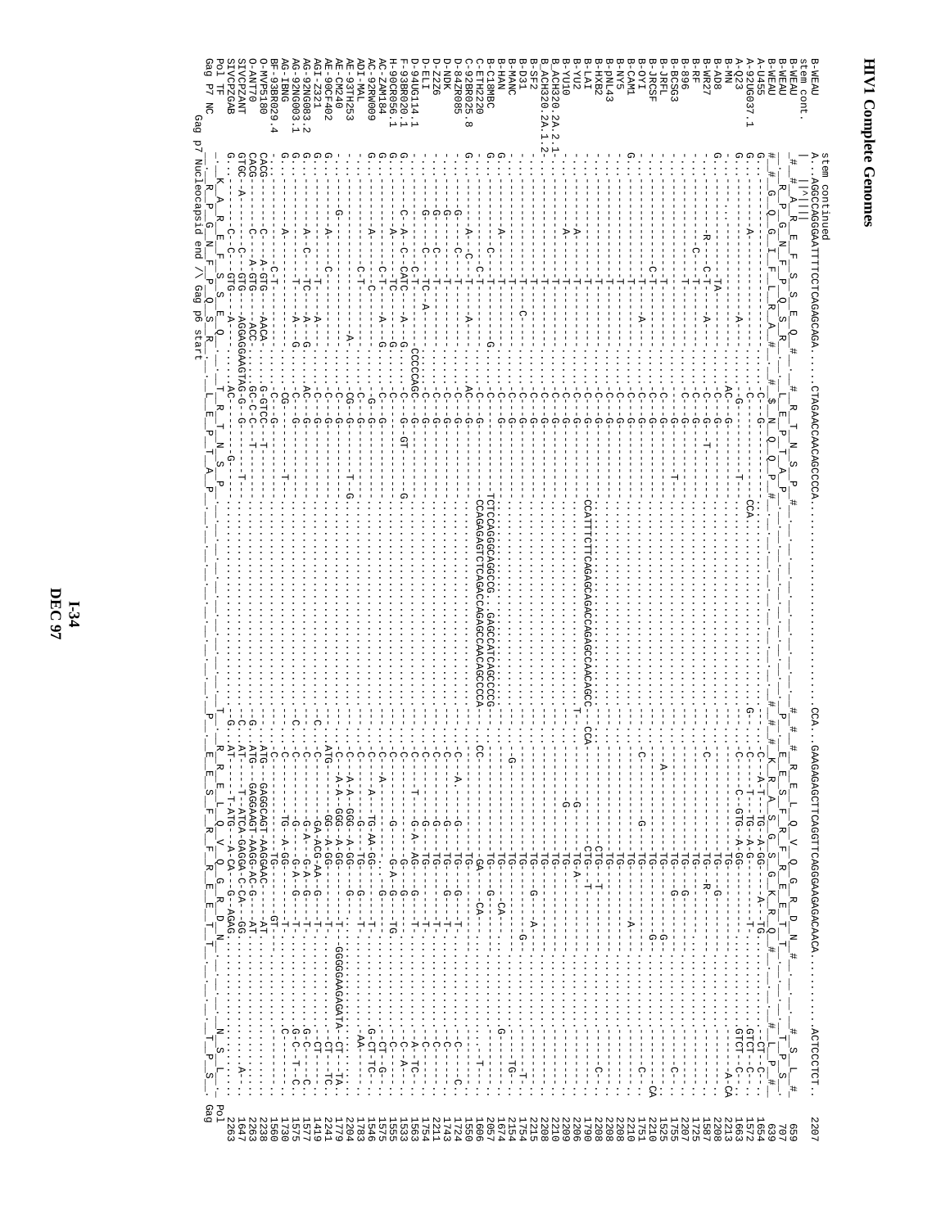| ō<br>äg<br>닙<br>P7 NC                                 | <b>SIVCPZGAB</b>                  | <b>SIVCPZANT</b><br>-DOLE   | $-AMT70$<br>CACG               | -MVP5180<br>-BORC           | PH-93BR029<br>4                                                | <b>C-IBNG</b>                                                                                                                                                                                                                                                                                                                                                                                                   | G-92NG003.1                      | 1G-92NG083.2                                                                                                                                                                                                                                                                                                                                                                   | $CZ - Z321$                        |                                                     | $E - 90$ CF402           | LE-CM240                                                                                                                                                                                    | E-93TH253                                     | TYM-I C                                           | C-92RW009    | C-ZAM184                                                                         |                                                  | )-94UG114.1<br>?-93BR020.1<br>1-90CR056.1                                         |                                           | <b>ELL</b>                                                                                                                                                                                                                                                                                                                                                               | $-2226$                                                                      | -NH                                              |                                                                  | $-84ZRO85$            | $-92BRO25.8$                                            | $-ELHZ2220$                      | -C18MBC                                                                                                                                                                                                                                                                                                                                                     | NVH-                       | -MANC                                          | $-D31$                                                       | $-5F2$                                                                                                                                                                                                                                                                                                                                                                                                                                                                                          | ACH320.                                                     | ACH320.                                                                          | $0$ T $\Omega$ | $Z\Omega X$ -                                                                                                                                                                                                                                                                                                                                                                                                                                         |             | TVT-                                                   | -HXB2                                                                                                                                                                                 | -pNL43                                   | $SAN-8$                                                                                       | -CAM1                          | IXO-                                                                           | -JRCSF                           | -JRFL                      |                                            | -BCSG3                                                                                                                                                                                                                                                                                                                   | $-896$                                  | $-$ RF                                                      | $3 - M R 27$                                              | $-ADB$                                                                             | $\overline{\mathbf{M}}$                                                          | $-523$                   | $-920G037.$                                    | $-0.4555$                          | -WEAU                                                           | -WEAU                      | -WEAU               | tem cont.     | -WEAU                            |                |
|-------------------------------------------------------|-----------------------------------|-----------------------------|--------------------------------|-----------------------------|----------------------------------------------------------------|-----------------------------------------------------------------------------------------------------------------------------------------------------------------------------------------------------------------------------------------------------------------------------------------------------------------------------------------------------------------------------------------------------------------|----------------------------------|--------------------------------------------------------------------------------------------------------------------------------------------------------------------------------------------------------------------------------------------------------------------------------------------------------------------------------------------------------------------------------|------------------------------------|-----------------------------------------------------|--------------------------|---------------------------------------------------------------------------------------------------------------------------------------------------------------------------------------------|-----------------------------------------------|---------------------------------------------------|--------------|----------------------------------------------------------------------------------|--------------------------------------------------|-----------------------------------------------------------------------------------|-------------------------------------------|--------------------------------------------------------------------------------------------------------------------------------------------------------------------------------------------------------------------------------------------------------------------------------------------------------------------------------------------------------------------------|------------------------------------------------------------------------------|--------------------------------------------------|------------------------------------------------------------------|-----------------------|---------------------------------------------------------|----------------------------------|-------------------------------------------------------------------------------------------------------------------------------------------------------------------------------------------------------------------------------------------------------------------------------------------------------------------------------------------------------------|----------------------------|------------------------------------------------|--------------------------------------------------------------|-------------------------------------------------------------------------------------------------------------------------------------------------------------------------------------------------------------------------------------------------------------------------------------------------------------------------------------------------------------------------------------------------------------------------------------------------------------------------------------------------|-------------------------------------------------------------|----------------------------------------------------------------------------------|----------------|-------------------------------------------------------------------------------------------------------------------------------------------------------------------------------------------------------------------------------------------------------------------------------------------------------------------------------------------------------------------------------------------------------------------------------------------------------|-------------|--------------------------------------------------------|---------------------------------------------------------------------------------------------------------------------------------------------------------------------------------------|------------------------------------------|-----------------------------------------------------------------------------------------------|--------------------------------|--------------------------------------------------------------------------------|----------------------------------|----------------------------|--------------------------------------------|--------------------------------------------------------------------------------------------------------------------------------------------------------------------------------------------------------------------------------------------------------------------------------------------------------------------------|-----------------------------------------|-------------------------------------------------------------|-----------------------------------------------------------|------------------------------------------------------------------------------------|----------------------------------------------------------------------------------|--------------------------|------------------------------------------------|------------------------------------|-----------------------------------------------------------------|----------------------------|---------------------|---------------|----------------------------------|----------------|
| ᠇ᡆ<br>⋒<br>IJ                                         |                                   |                             | ∩                              | ∩                           |                                                                | ⊅                                                                                                                                                                                                                                                                                                                                                                                                               |                                  | ٦T<br>ا<br>ု                                                                                                                                                                                                                                                                                                                                                                   |                                    | ⊅<br>ု                                              |                          | ဂှ                                                                                                                                                                                          |                                               |                                                   |              |                                                                                  | ⊅                                                | $C - A -$<br>C--CATC---                                                           |                                           | Ω<br>ף                                                                                                                                                                                                                                                                                                                                                                   | Ω<br>ု                                                                       | ငှ                                               | Ġ<br>ှ                                                           |                       | ⊅<br>C<br>ļ                                             | ု                                | ۲,                                                                                                                                                                                                                                                                                                                                                          |                            |                                                |                                                              |                                                                                                                                                                                                                                                                                                                                                                                                                                                                                                 |                                                             |                                                                                  | ٦T<br>ا        |                                                                                                                                                                                                                                                                                                                                                                                                                                                       |             |                                                        |                                                                                                                                                                                       |                                          |                                                                                               |                                |                                                                                | ဂု                               |                            |                                            |                                                                                                                                                                                                                                                                                                                          |                                         | ∩                                                           | J,                                                        |                                                                                    |                                                                                  |                          | ኔ                                              |                                    | ൧<br>Ö<br>ົດ<br>피                                               | G.                         |                     | $\rightarrow$ | AGGCCAGGGAATTTTCCTCAGAGCAGA      | stem continued |
| m<br>면<br>C.                                          | À                                 | -919-<br>-D-202202AACTAG-G- | $A-GTCG$<br>ACC                | $-A-GTG-$<br>$-{\rm ALC-A}$ | י<br>ה                                                         |                                                                                                                                                                                                                                                                                                                                                                                                                 | ۲<br>ا<br>⊅                      | -PC-<br>Þ                                                                                                                                                                                                                                                                                                                                                                      | Η<br>ъ                             |                                                     |                          |                                                                                                                                                                                             |                                               | C-T                                               | Q            | C-T-<br>$\overline{P}$<br>Ω                                                      | --<br>15<br>Ω                                    | $-A$ -<br>$\Omega$                                                                | ーローロー<br>CCCCAGC                          | -rc-<br>$-A$ -                                                                                                                                                                                                                                                                                                                                                           |                                                                              |                                                  |                                                                  |                       | ኴ                                                       |                                  |                                                                                                                                                                                                                                                                                                                                                             |                            |                                                |                                                              |                                                                                                                                                                                                                                                                                                                                                                                                                                                                                                 |                                                             |                                                                                  |                |                                                                                                                                                                                                                                                                                                                                                                                                                                                       |             |                                                        |                                                                                                                                                                                       |                                          |                                                                                               |                                | ٩                                                                              |                                  |                            |                                            |                                                                                                                                                                                                                                                                                                                          |                                         |                                                             | C-T-<br>Þ                                                 |                                                                                    |                                                                                  | P<br>                    |                                                |                                    | ᆽ                                                               | τ<br>īΟ                    | m<br>ø              |               |                                  |                |
| E<br>z<br>ับว<br>π                                    | RC                                | Ω                           | -sc-c-c                        | -GTCC<br>년                  | ς<br>-<br>റ                                                    | .<br>-00-                                                                                                                                                                                                                                                                                                                                                                                                       | $\frac{1}{2}$<br>ດ               | <b>AC</b><br>⋒                                                                                                                                                                                                                                                                                                                                                                 | Ω<br>Ω                             | $\overline{\phantom{a}}$<br>∩<br>Ω                  |                          | Ω<br>ω                                                                                                                                                                                      | Ω                                             | Ω<br>ଢ଼                                           | ⋒            | Ģ<br>G.                                                                          |                                                  | ∩<br>G.<br>GT-                                                                    |                                           | $\mathfrak l$<br>∩<br>റ                                                                                                                                                                                                                                                                                                                                                  | ∩                                                                            | C                                                |                                                                  |                       | ⋒                                                       |                                  |                                                                                                                                                                                                                                                                                                                                                             |                            |                                                |                                                              |                                                                                                                                                                                                                                                                                                                                                                                                                                                                                                 |                                                             |                                                                                  | c              |                                                                                                                                                                                                                                                                                                                                                                                                                                                       | Ω           | ⋒                                                      | ଢ଼                                                                                                                                                                                    | ⋒                                        | ⋒                                                                                             | ⋒                              | Ω                                                                              | ⋒                                | ດ                          |                                            | ⋒                                                                                                                                                                                                                                                                                                                        | ⋒                                       | ∩<br>ດ                                                      | ∩<br>ဂု<br>부                                              | C<br>Ω                                                                             | AC<br>ଢ଼                                                                         | 년                        |                                                | i<br>$\frac{1}{1}$                 | ₩<br>z<br>Ю<br>Ю<br>ᡃ                                           | Ħ<br>ᡃᢏ                    | .<br>M<br>ᡃ         |               | CTAGAACCAACAGCCCCA               |                |
|                                                       |                                   |                             |                                |                             |                                                                |                                                                                                                                                                                                                                                                                                                                                                                                                 |                                  |                                                                                                                                                                                                                                                                                                                                                                                |                                    |                                                     |                          |                                                                                                                                                                                             |                                               |                                                   |              |                                                                                  |                                                  |                                                                                   |                                           |                                                                                                                                                                                                                                                                                                                                                                          |                                                                              |                                                  |                                                                  |                       |                                                         | CCAGAGAGTCTCAGACCAGAGCCAACAGCCCA |                                                                                                                                                                                                                                                                                                                                                             |                            |                                                |                                                              |                                                                                                                                                                                                                                                                                                                                                                                                                                                                                                 |                                                             |                                                                                  |                |                                                                                                                                                                                                                                                                                                                                                                                                                                                       |             | CCA.                                                   |                                                                                                                                                                                       |                                          |                                                                                               |                                |                                                                                |                                  |                            |                                            |                                                                                                                                                                                                                                                                                                                          |                                         |                                                             |                                                           |                                                                                    |                                                                                  |                          | CCA                                            |                                    |                                                                 | ₩                          |                     |               |                                  |                |
|                                                       |                                   |                             |                                |                             |                                                                |                                                                                                                                                                                                                                                                                                                                                                                                                 |                                  |                                                                                                                                                                                                                                                                                                                                                                                |                                    |                                                     |                          |                                                                                                                                                                                             |                                               |                                                   |              |                                                                                  |                                                  |                                                                                   |                                           |                                                                                                                                                                                                                                                                                                                                                                          |                                                                              |                                                  |                                                                  |                       |                                                         |                                  | GAGCCATCAGCCCCG:                                                                                                                                                                                                                                                                                                                                            |                            |                                                |                                                              |                                                                                                                                                                                                                                                                                                                                                                                                                                                                                                 |                                                             |                                                                                  |                |                                                                                                                                                                                                                                                                                                                                                                                                                                                       |             | TTCTTCAGAGCAGACAGAGCCAACAGCC-                          |                                                                                                                                                                                       |                                          |                                                                                               |                                |                                                                                |                                  |                            |                                            |                                                                                                                                                                                                                                                                                                                          |                                         |                                                             |                                                           |                                                                                    |                                                                                  |                          |                                                |                                    |                                                                 |                            |                     |               | CCA                              |                |
| Ħ<br>'ᆽ<br>Ħ<br>ø<br>ω                                | Ω<br>۲I<br> <br>$\mathbb{I}$      | Ω<br>F<br> -                | ଜ<br>-- 0-- -                  |                             | ن<br>ڊ                                                         | C<br>Ł<br>$\mathbf{I}$<br>Ţ<br>$\frac{1}{1}$                                                                                                                                                                                                                                                                                                                                                                    | $\frac{1}{4}$                    | ↷<br>Ï<br>$\mathbf{I}$<br>$\begin{array}{c} \rule{0.2cm}{0.15mm} \rule{0.2cm}{0.15mm} \rule{0.2cm}{0.15mm} \rule{0.2cm}{0.15mm} \rule{0.2cm}{0.15mm} \rule{0.2cm}{0.15mm} \rule{0.2cm}{0.15mm} \rule{0.2cm}{0.15mm} \rule{0.2cm}{0.15mm} \rule{0.2cm}{0.15mm} \rule{0.2cm}{0.15mm} \rule{0.2cm}{0.15mm} \rule{0.2cm}{0.15mm} \rule{0.2cm}{0.15mm} \rule{0.2cm}{0.15mm} \rule{$ | Q<br>$\frac{1}{2}$<br>J,           | -- 61<br>$\begin{array}{c} 1 \\ 1 \\ 1 \end{array}$ |                          |                                                                                                                                                                                             | ↷                                             | ↷<br>$\frac{1}{1}$                                | റ            | ↷<br>$- - \Delta - - -$                                                          | $\begin{bmatrix} 1 \\ 1 \\ 1 \\ 1 \end{bmatrix}$ | $\frac{1}{1}$                                                                     | $\frac{1}{1}$                             | I<br>$\frac{1}{1}$                                                                                                                                                                                                                                                                                                                                                       | $\frac{1}{1}$<br>$\begin{array}{c} 1 \\ 1 \\ 1 \end{array}$                  | റ                                                | ---A .-----                                                      |                       |                                                         | C-------                         | $\mathsf I$<br>$\begin{array}{c} 1 \\ 1 \\ 1 \end{array}$                                                                                                                                                                                                                                                                                                   |                            |                                                |                                                              | $\frac{1}{1}$                                                                                                                                                                                                                                                                                                                                                                                                                                                                                   | $\blacksquare$<br>$\mathbf{I}$                              | $\begin{bmatrix} 1 & 1 & 1 \\ 1 & 1 & 1 \\ 1 & 1 & 1 \\ 1 & 1 & 1 \end{bmatrix}$ |                |                                                                                                                                                                                                                                                                                                                                                                                                                                                       | ----------- | $\frac{1}{1}$                                          | $\begin{array}{c} \n\downarrow \\ \downarrow \\ \downarrow\n\end{array}$                                                                                                              | $\frac{1}{1}$                            |                                                                                               |                                | C-------                                                                       |                                  | $-4 - - - - - - -$         |                                            |                                                                                                                                                                                                                                                                                                                          |                                         |                                                             | C--<br>ţ<br>I                                             | $\blacksquare$                                                                     |                                                                                  |                          | Ω<br>$\sf I$<br>$\frac{1}{1}$<br>$\frac{1}{1}$ | $C = -1$                           | ¦≂                                                              | Ħ<br>'n<br>מ'              | ヵ<br>'n,            |               |                                  |                |
| F<br>먹<br>ю<br>₩<br>₫<br>Ħ<br>¦o<br>ੌਨ<br> <br>വ<br>E | -T-ATG---A-CA---G                 | --T-ATCA-GAGGA-C-CA---GG    | $-GAGGAAGT-AAGG-ACC-G--GAGGAA$ | 1TG---GAGCAGT-AAGGAAC--     | $\mathbf{I}$<br>$TC---T$<br>$\mathbf{I}$                       | $- -2G - -A - GG - -$<br>п<br>$\mathbf{I}$                                                                                                                                                                                                                                                                                                                                                                      | $\frac{1}{1}$<br>$G------G-R---$ | $\frac{1}{2}$<br>$G - A - - -G - A - -$<br>ω                                                                                                                                                                                                                                                                                                                                   | $- - G A - A C G - A A - - G$      | $\blacksquare$<br>$\overline{\phantom{a}}$          | $-4 - 2 - 9 - 9 - - - -$ | C---A-A--GGG--A-GG--<br>п<br>L.                                                                                                                                                             | $- - - A - A - GGG - - A - GG - -$<br>т.<br>∩ | $\mathbf{I}$<br>$\mathbf I$<br>$\frac{1}{2}$<br>Ω | $\mathbf{I}$ | $\blacksquare$<br>$\mathbf{I}$<br>$\blacksquare$<br>$\vdots$<br>$\mathbf I$<br>ω | į<br>Ω<br>$\frac{1}{2}$<br>$G - A = -$<br>ω      | -1<br>$\mathbf{I}$<br>$\frac{1}{2}$<br>$\frac{1}{\sqrt{2}}$<br>$\frac{1}{1}$<br>ω | $G - A - - A G - -$<br>$\frac{1}{2}$<br>ω | $\mathbf{I}$<br>$\mathbf{I}$<br>ှ<br>$--$ LG<br>Ť<br>-1<br>J.                                                                                                                                                                                                                                                                                                            | $\overline{\phantom{a}}$<br>Ω<br>$\frac{1}{1}$<br>$-100 -$<br>$\blacksquare$ | $\frac{1}{1}$<br>Ω<br>$\frac{1}{1}$<br>$-10 - -$ | ဂု<br>$-10 - -$<br>$\begin{array}{c} -1 \\ -1 \\ -1 \end{array}$ |                       | $-10-$<br>ł<br>J.                                       | $\frac{1}{1}$<br>$-6A -$         | $-101 -$<br>$\mathbf{I}$                                                                                                                                                                                                                                                                                                                                    | î.<br>$-10 - -$<br>ţ<br>J. | $-16-7$<br>$\mathbf{I}$                        | $-10 - -$<br>$\begin{array}{c} 1 \\ 1 \\ 1 \\ 1 \end{array}$ | $-1 - 9 - - - - - - - - -$                                                                                                                                                                                                                                                                                                                                                                                                                                                                      | $-10-$<br>$\blacksquare$<br>$\frac{1}{1}$<br>$\blacksquare$ | $-1 - 1 - 1 - 1 - 1 - 1$                                                         |                |                                                                                                                                                                                                                                                                                                                                                                                                                                                       | п           | $\frac{1}{1}$<br>$\frac{1}{1}$<br>$-1 - 1 - -1 - -1 -$ | $-1 - 1 - -1 - -1 - -$                                                                                                                                                                | J.<br>J.<br>$-1 - 1 - 1 - 1 - 1 - 1 - 1$ | $-10 - -$<br>$\mathbf{I}$<br>$\mathsf I$                                                      | $\frac{1}{1}$<br>$\frac{1}{1}$ | ţ<br>$\Gamma$<br>$-16 - -$<br>$\frac{1}{1}$<br>$\mathbf{I}$                    | ।<br>न<br>ର<br>Ť<br>$\mathbf{I}$ | $-1G$<br>Ť                 | $\blacksquare$                             | $-16 - -$<br>ω                                                                                                                                                                                                                                                                                                           | J.<br>님<br>Ţ<br>į<br>Ω                  | $-16$<br>$\frac{1}{1}$<br>$\mathsf I$                       | $\frac{1}{1}$<br>$-1 - 2G - - -K - -$                     | j<br>$\frac{1}{2}$<br>$- -16 - - - -$                                              | -- DG-<br>$\frac{1}{1}$<br>$\begin{array}{c} \hline \end{array}$                 | C------CHG-4-A-GG------- | T----RG--A-G-----<br>$\mathbf{I}$              | $A - T - -C - A - C - -C - -$<br>Ť | Þ,<br>ับ<br>$\frac{1}{\alpha}$<br>$\frac{1}{\alpha}$<br>ြု<br>Ļ | trj<br>'7J<br>'n<br>₩<br>Þ | 0,<br>'<<br>ю<br>ှု |               | RAGAGAGCTTCAGGTTCAGGGAAGAGACAACA |                |
| ξÞ<br>Ħ<br>'n,<br>H<br>z<br>H<br>ì<br>ļ               | $\frac{1}{1}$<br><b>AGAG</b><br>. | .                           | $-LY$ -                        | $\frac{1}{1}$<br>$-2T$      | -1<br>$\mathbf{I}$<br>$-1.5 -$<br>$\mathbf{I}$<br>$\mathbf{I}$ | л.<br>I.<br>$\frac{1}{2} - \frac{1}{2} - \frac{1}{2} - \frac{1}{2} - \frac{1}{2} - \frac{1}{2} - \frac{1}{2} - \frac{1}{2} - \frac{1}{2} - \frac{1}{2} - \frac{1}{2} - \frac{1}{2} - \frac{1}{2} - \frac{1}{2} - \frac{1}{2} - \frac{1}{2} - \frac{1}{2} - \frac{1}{2} - \frac{1}{2} - \frac{1}{2} - \frac{1}{2} - \frac{1}{2} - \frac{1}{2} - \frac{1}{2} - \frac{1}{2} - \frac{1}{2} - \frac{1}{2} - \frac{1$ | $\Gamma$                         | $\frac{1}{1}$                                                                                                                                                                                                                                                                                                                                                                  | $\frac{1}{1}$                      | $\mathbf{I}$<br>$\mathbf I$                         |                          | л.<br>L<br>$\frac{1}{1}$<br>MATTT-MATT MANAGER (* 1892)<br>1990 – John Harry Holland, francusk francuski filozof (* 1892)<br>1990 – John Harry Holland, francusk francuski filozof (* 1892) | ł.                                            | Ť                                                 | л.           | ŧ                                                                                | ł.                                               | т.                                                                                | Ť                                         | т<br>$\mathsf I$<br>$\frac{1}{2}$<br>$\frac{1}{2}$<br>$\frac{1}{2}$<br>$\frac{1}{2}$<br>$\frac{1}{2}$<br>$\frac{1}{2}$<br>$\frac{1}{2}$<br>$\frac{1}{2}$<br>$\frac{1}{2}$<br>$\frac{1}{2}$<br>$\frac{1}{2}$<br>$\frac{1}{2}$<br>$\frac{1}{2}$<br>$\frac{1}{2}$<br>$\frac{1}{2}$<br>$\frac{1}{2}$<br>$\frac{1}{2}$<br>$\frac{1}{2}$<br>$\frac{1}{2}$<br>$\frac{1}{2}$<br> | $\frac{1}{2}$                                                                |                                                  | エーロー・・・・・・・・・・・・・・・・・                                            | .                     | $\frac{1}{4}$<br>J.<br>ł<br>I<br>$\mathbf I$<br>J.<br>I |                                  | $\Gamma$<br>$\frac{1}{4}$<br>$\frac{1}{1}$<br>$\mathbb{I}$<br>$\frac{1}{2}$ , $\frac{1}{2}$ , $\frac{1}{2}$ , $\frac{1}{2}$ , $\frac{1}{2}$ , $\frac{1}{2}$ , $\frac{1}{2}$ , $\frac{1}{2}$ , $\frac{1}{2}$ , $\frac{1}{2}$ , $\frac{1}{2}$ , $\frac{1}{2}$ , $\frac{1}{2}$ , $\frac{1}{2}$ , $\frac{1}{2}$ , $\frac{1}{2}$ , $\frac{1}{2}$ , $\frac{1}{2}$ |                            | $\mathbf{I}$<br>$\frac{1}{1}$<br>$\frac{1}{1}$ |                                                              | $- - - - - - - - -$                                                                                                                                                                                                                                                                                                                                                                                                                                                                             | $\mathbf{I}$                                                |                                                                                  |                |                                                                                                                                                                                                                                                                                                                                                                                                                                                       |             | $\frac{1}{1}$<br>$\frac{1}{4}$                         | $\begin{array}{c} \begin{array}{c} \begin{array}{c} \begin{array}{c} \end{array} \\ \begin{array}{c} \end{array} \\ \begin{array}{c} \end{array} \end{array} \end{array} \end{array}$ | $\frac{1}{1}$<br>$\frac{1}{1}$           | $\mathbf{I}$<br>$\overline{1}$<br>$\frac{1}{1}$<br>$\mathbf I$<br>$\mathbf{I}$<br>$\mathsf I$ | J.<br>$-1 - 2A - - - -$        | $\mathbf{I}$<br>$\frac{1}{1}$<br>$\frac{1}{4}$<br>$\mathbf{I}$<br>$\perp$<br>. | $\mathbf{I}$<br>$\vdots$         | $-\frac{1}{2}$<br>$\vdots$ | $\mathsf I$<br>$\mathbf{I}$<br>$\mathbf I$ | Ł<br>$\frac{1}{2}$ $\frac{1}{2}$ $\frac{1}{2}$ $\frac{1}{2}$ $\frac{1}{2}$ $\frac{1}{2}$ $\frac{1}{2}$ $\frac{1}{2}$ $\frac{1}{2}$ $\frac{1}{2}$ $\frac{1}{2}$ $\frac{1}{2}$ $\frac{1}{2}$ $\frac{1}{2}$ $\frac{1}{2}$ $\frac{1}{2}$ $\frac{1}{2}$ $\frac{1}{2}$ $\frac{1}{2}$ $\frac{1}{2}$ $\frac{1}{2}$ $\frac{1}{2}$ | ÷<br>J.<br>J.<br>.<br>л.<br>$\mathbb I$ | 1                                                           | I<br>I<br>I<br>J.<br>I,                                   | $\Gamma$<br>$\frac{1}{1}$<br>$\frac{1}{1}$<br>$\,$ I<br>.                          | $\frac{1}{1}$<br>$\frac{1}{4}$<br>$\begin{array}{c} 1 \\ 1 \\ 1 \end{array}$<br> | $\frac{1}{1}$<br>$-1$    | $\mathbf{I}$<br>H-----------                   |                                    | ļ,<br>!o<br>⋕                                                   | 'n<br>Ą<br>۳               | 'ਸ<br>'n,<br>z      |               |                                  |                |
| ับว<br>ᡃᠣ<br>ω                                        | $\frac{1}{2}$                     | $\frac{1}{2}$<br>$-4-$      |                                |                             | I.                                                             | $\cdots \cdots \cdots$<br>л<br>$\mathbf I$<br>J.                                                                                                                                                                                                                                                                                                                                                                |                                  | $-9 - 0 - 0$<br>J                                                                                                                                                                                                                                                                                                                                                              | $- - 42 - -$<br>J<br>$\frac{1}{1}$ |                                                     |                          | GGGGAAGAGATA--CT--TA.                                                                                                                                                                       |                                               |                                                   |              |                                                                                  | ن<br>--<br>ت<br>Ţ<br>$\frac{1}{2}$               | $-1 - 1$<br>$A---$                                                                | $A--TC--$                                 | $\Gamma$<br>$\frac{1}{2}$<br>п                                                                                                                                                                                                                                                                                                                                           | $\frac{1}{2}$<br>$\overline{\phantom{a}}$                                    | $\frac{1}{2}$                                    | $\frac{1}{\alpha}$                                               |                       | $\mathbb{I}$<br>ì<br>$\frac{1}{1}$                      |                                  | $\begin{array}{c} 1 \\ 1 \\ 1 \end{array}$<br>$\begin{array}{c} \hline \end{array}$<br>$\frac{1}{1}$                                                                                                                                                                                                                                                        |                            | .<br>$-16 - 1$                                 | アイ・ディー・ディー・ディー エーエーエー 田上                                     | $\begin{split} \mathcal{L}_{\mathcal{A}} & = \mathcal{L}_{\mathcal{A}} + \mathcal{L}_{\mathcal{A}} + \mathcal{L}_{\mathcal{A}} + \mathcal{L}_{\mathcal{A}} + \mathcal{L}_{\mathcal{A}} + \mathcal{L}_{\mathcal{A}} + \mathcal{L}_{\mathcal{A}} + \mathcal{L}_{\mathcal{A}} + \mathcal{L}_{\mathcal{A}} + \mathcal{L}_{\mathcal{A}} + \mathcal{L}_{\mathcal{A}} + \mathcal{L}_{\mathcal{A}} + \mathcal{L}_{\mathcal{A}} + \mathcal{L}_{\mathcal{A}} + \mathcal{L}_{\mathcal{A}} + \mathcal{L}_{$ |                                                             |                                                                                  |                | $\begin{aligned} \mathcal{L}_{1} & = \mathcal{L}_{2} + \mathcal{L}_{3} + \mathcal{L}_{4} + \mathcal{L}_{5} + \mathcal{L}_{6} + \mathcal{L}_{7} + \mathcal{L}_{8} + \mathcal{L}_{9} + \mathcal{L}_{10} + \mathcal{L}_{11} + \mathcal{L}_{12} + \mathcal{L}_{13} + \mathcal{L}_{14} + \mathcal{L}_{15} + \mathcal{L}_{16} + \mathcal{L}_{17} + \mathcal{L}_{18} + \mathcal{L}_{19} + \mathcal{L}_{10} + \mathcal{L}_{11} + \mathcal{L}_{10} + \mathcal$ |             |                                                        |                                                                                                                                                                                       |                                          |                                                                                               |                                | $-1$<br>$-1$<br>$-1$                                                           | $-CA$                            |                            |                                            |                                                                                                                                                                                                                                                                                                                          | I<br>$\frac{1}{2}$                      | $\begin{array}{c} 1 \\ 1 \\ 1 \end{array}$<br>$\frac{1}{2}$ | $\begin{array}{c} \frac{1}{2} \\ \frac{1}{2} \end{array}$ | $\begin{bmatrix} 1 \\ 1 \\ 1 \\ 1 \end{bmatrix}$<br>$\frac{1}{1}$<br>$\frac{1}{2}$ | $\begin{bmatrix} 1 \\ 1 \\ 1 \\ 1 \end{bmatrix}$<br>$- -A - CA$                  | GTCT--C--                | CTCT--<br>$\frac{1}{2}$ .                      | $-1 - 1 - 1 - 1$<br>$\frac{1}{2}$  | Ή<br>$\mathsf{L}_{\!\!\mathsf{L}}$<br>₩                         | .۳<br>'c۵                  | 's<br>#             |               | Acrecerer                        |                |
| Gag<br>Pol                                            | $\mathop{\mathsf{N}}$<br>36.<br>ω | 1647                        | 15560<br>22383                 |                             |                                                                |                                                                                                                                                                                                                                                                                                                                                                                                                 | 11778<br>11578<br>178            |                                                                                                                                                                                                                                                                                                                                                                                |                                    | 2241<br>1419                                        |                          | -779                                                                                                                                                                                        | 204                                           | 1575<br>1546<br>1783                              |              |                                                                                  |                                                  |                                                                                   |                                           |                                                                                                                                                                                                                                                                                                                                                                          |                                                                              |                                                  |                                                                  | 1550<br>17243<br>1743 |                                                         | 1606                             | 2057                                                                                                                                                                                                                                                                                                                                                        |                            |                                                |                                                              | 221752<br>271554<br>2674                                                                                                                                                                                                                                                                                                                                                                                                                                                                        |                                                             |                                                                                  |                |                                                                                                                                                                                                                                                                                                                                                                                                                                                       |             |                                                        |                                                                                                                                                                                       |                                          |                                                                                               |                                |                                                                                |                                  | 1525<br>2210<br>1751       |                                            |                                                                                                                                                                                                                                                                                                                          |                                         |                                                             |                                                           |                                                                                    | 20202020<br>20202020<br>20202020                                                 | 166.<br>ω                |                                                | 1654<br>1572                       | G<br>39                                                         |                            | 659<br>707          |               | $\sim$<br>2077                   |                |

**L34**<br>DEC 97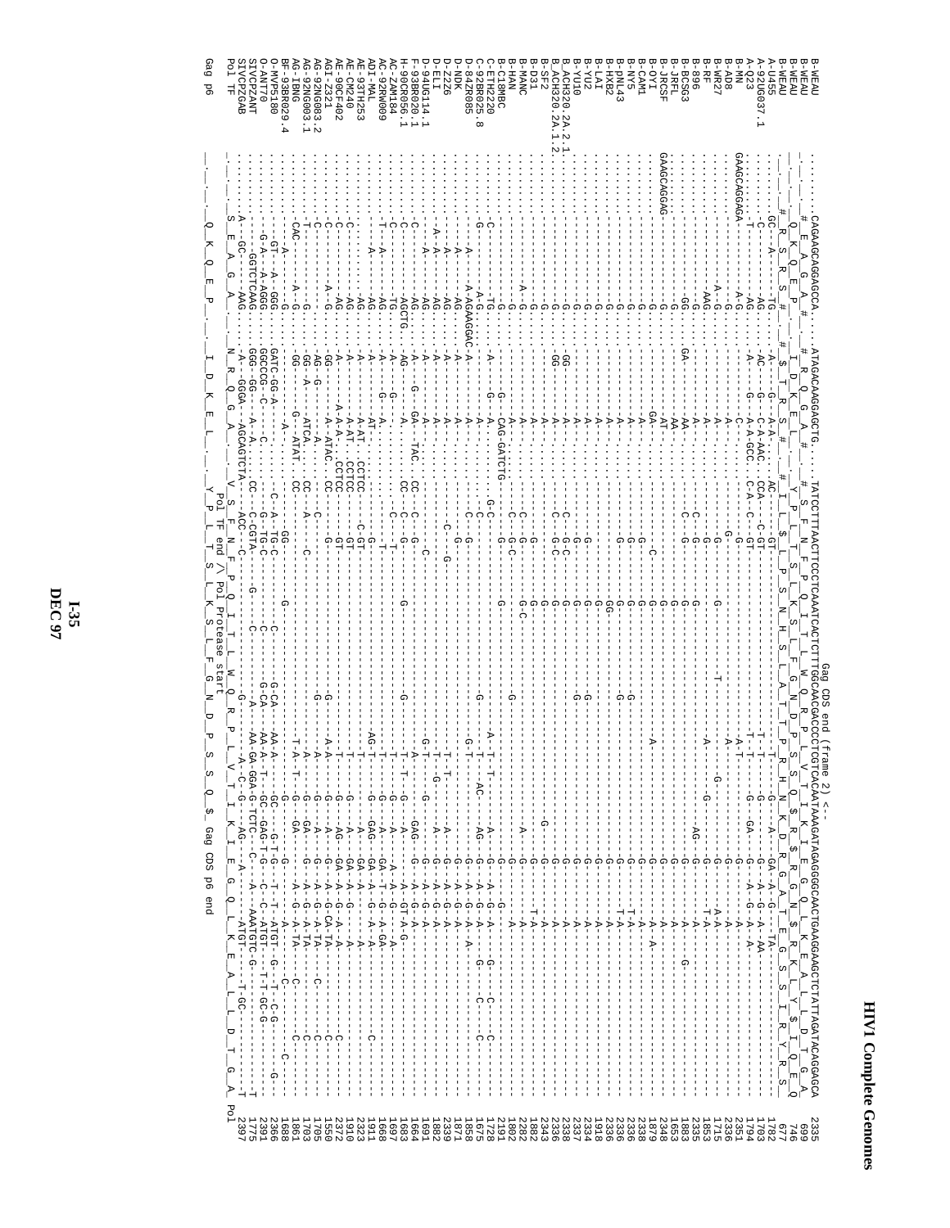| POT<br>붜                             | IVCPZGAB                                                                           | <b>TVCPZANT</b>                                                                                        | $-AMTT70$                                    | -MVP5180                                      | F-93BR029.4                                                                                                                                                                                                          | 3-IBNG                                                                                                                                              | G-92NG003.1                                                                                                                                     | $3 - 92NGO 83.2$                                                                               | GI-Z321                                                     | 1-90CF402                                          | CM240                                                                                                    | E-93TH253                                                       | DI-MAL                                                                        | $-92$ RM <sub>009</sub>                                       | <b>18 LMAZ</b>                                             | 90CR056.                                                     | 3BR020.                                                       | 400114.1                                        |                                                                           |                                                                                                                                                                                                                                                                                             | 2222                                                              | ŘК                             | 34ZR085                                        | 92BR025<br>.<br>∞                                                                          | <b>TH2220</b>                                                                                                                                           | C18MBC               | HAN                          | <b>MANC</b>                               | -D31                                                | SF2                                                                                     | <b>ACH32</b>                                       | ACH320                                                              | OTOX-                                         | $Z\Omega X$ -                                      | LAI-                                  | -HXB2                                     | -pNL43                                                        | $GAN-$                                               | -CAM1                                                                                                     | -JRCSF<br>TXO-                                                                                   | -JRFL                                                                                                  | -BCSG3                                                                                               | $-896$ | .<br>먹                                                         | $-MR$ 27                                                                                                                                       | $-ADB$                                                                                                                                                                                                                      | 」<br>互                                          | $-023$                                                                         | $-920G03$                            | $-0.455$                                                | <b>NEAU</b>                             | -WEAU                                  | <b>NEAU</b>        | -WEAU                                                     |                  |  |
|--------------------------------------|------------------------------------------------------------------------------------|--------------------------------------------------------------------------------------------------------|----------------------------------------------|-----------------------------------------------|----------------------------------------------------------------------------------------------------------------------------------------------------------------------------------------------------------------------|-----------------------------------------------------------------------------------------------------------------------------------------------------|-------------------------------------------------------------------------------------------------------------------------------------------------|------------------------------------------------------------------------------------------------|-------------------------------------------------------------|----------------------------------------------------|----------------------------------------------------------------------------------------------------------|-----------------------------------------------------------------|-------------------------------------------------------------------------------|---------------------------------------------------------------|------------------------------------------------------------|--------------------------------------------------------------|---------------------------------------------------------------|-------------------------------------------------|---------------------------------------------------------------------------|---------------------------------------------------------------------------------------------------------------------------------------------------------------------------------------------------------------------------------------------------------------------------------------------|-------------------------------------------------------------------|--------------------------------|------------------------------------------------|--------------------------------------------------------------------------------------------|---------------------------------------------------------------------------------------------------------------------------------------------------------|----------------------|------------------------------|-------------------------------------------|-----------------------------------------------------|-----------------------------------------------------------------------------------------|----------------------------------------------------|---------------------------------------------------------------------|-----------------------------------------------|----------------------------------------------------|---------------------------------------|-------------------------------------------|---------------------------------------------------------------|------------------------------------------------------|-----------------------------------------------------------------------------------------------------------|--------------------------------------------------------------------------------------------------|--------------------------------------------------------------------------------------------------------|------------------------------------------------------------------------------------------------------|--------|----------------------------------------------------------------|------------------------------------------------------------------------------------------------------------------------------------------------|-----------------------------------------------------------------------------------------------------------------------------------------------------------------------------------------------------------------------------|-------------------------------------------------|--------------------------------------------------------------------------------|--------------------------------------|---------------------------------------------------------|-----------------------------------------|----------------------------------------|--------------------|-----------------------------------------------------------|------------------|--|
|                                      | ကို<br>Ω                                                                           | GCTCTCAAG                                                                                              |                                              | ម៉ា                                           |                                                                                                                                                                                                                      | CAC-                                                                                                                                                |                                                                                                                                                 |                                                                                                |                                                             |                                                    |                                                                                                          |                                                                 |                                                                               |                                                               |                                                            | ှ                                                            |                                                               | $\forall$                                       | $A - -A$                                                                  | - - A                                                                                                                                                                                                                                                                                       |                                                                   | Ρ-                             |                                                |                                                                                            |                                                                                                                                                         |                      |                              |                                           |                                                     |                                                                                         |                                                    |                                                                     |                                               |                                                    |                                       |                                           |                                                               |                                                      |                                                                                                           |                                                                                                  |                                                                                                        |                                                                                                      |        |                                                                |                                                                                                                                                |                                                                                                                                                                                                                             |                                                 |                                                                                |                                      | GC.                                                     |                                         |                                        |                    | <b>ASSARCAGCAGCCA</b>                                     |                  |  |
|                                      | <b>AAG</b>                                                                         |                                                                                                        | <b>A-AGGG</b>                                | -995                                          |                                                                                                                                                                                                                      | $-4-9$                                                                                                                                              |                                                                                                                                                 |                                                                                                | $A - G$                                                     | - AG                                               | $-AA$                                                                                                    | $-10$                                                           | $-AA$                                                                         | $-2G$                                                         |                                                            | -AGCTG                                                       |                                                               | PG.                                             |                                                                           | $-2G$                                                                                                                                                                                                                                                                                       |                                                                   |                                | ネームじム                                          |                                                                                            |                                                                                                                                                         |                      |                              |                                           |                                                     |                                                                                         |                                                    |                                                                     |                                               |                                                    |                                       |                                           |                                                               |                                                      |                                                                                                           |                                                                                                  |                                                                                                        |                                                                                                      |        | <b>AAG</b>                                                     |                                                                                                                                                |                                                                                                                                                                                                                             | $\Delta - \Delta$                               | - AG                                                                           | $-4G$                                |                                                         |                                         |                                        |                    |                                                           |                  |  |
| C<br>Ω                               | GGA-                                                                               | eg-                                                                                                    | GGCCCG--C-                                   | GATC-GG-A-                                    |                                                                                                                                                                                                                      | W.I.V-                                                                                                                                              | -ATCA.                                                                                                                                          |                                                                                                | $-0.0$<br>-A--ATAC                                          |                                                    | A-AT.                                                                                                    |                                                                 |                                                                               |                                                               |                                                            |                                                              | ဂု                                                            |                                                 |                                                                           |                                                                                                                                                                                                                                                                                             |                                                                   |                                |                                                |                                                                                            |                                                                                                                                                         |                      |                              |                                           |                                                     |                                                                                         |                                                    |                                                                     |                                               |                                                    |                                       |                                           |                                                               |                                                      |                                                                                                           |                                                                                                  |                                                                                                        |                                                                                                      |        |                                                                |                                                                                                                                                |                                                                                                                                                                                                                             |                                                 | ユームーじじ                                                                         | -c-A-A                               | $A - A -$                                               | ω.                                      |                                        |                    | <b>ATAGACAAGGAGCTG</b>                                    |                  |  |
| Pol<br>ŢΟ<br>白<br>먹<br>end<br>z<br>吋 | á                                                                                  | C-CGTA-                                                                                                | G--TG-C                                      | C--A--TG-C                                    | $-55-$                                                                                                                                                                                                               |                                                                                                                                                     | cc-<br>$- - - - - - -$                                                                                                                          |                                                                                                | $\cdot$ cc -<br>ဂု                                          | -DOT-                                              | CTCC<br>-<br>-<br>                                                                                       | $-15 - 2$                                                       | $\frac{1}{1}$                                                                 |                                                               |                                                            | ò<br>$\frac{1}{2}$                                           |                                                               |                                                 |                                                                           |                                                                                                                                                                                                                                                                                             |                                                                   |                                | C                                              |                                                                                            |                                                                                                                                                         |                      | ∩                            | ∩<br>ဂု                                   |                                                     |                                                                                         | C<br>G-C                                           | ဂ<br>၁-                                                             |                                               |                                                    |                                       |                                           |                                                               |                                                      |                                                                                                           |                                                                                                  |                                                                                                        | ∩                                                                                                    |        |                                                                |                                                                                                                                                |                                                                                                                                                                                                                             |                                                 | $-1.5-$                                                                        | -44-                                 | GT-                                                     |                                         |                                        |                    | RTCCTTFAACTTCCCTAAATCACTTTTTGGCAACCC                      |                  |  |
| ᡃ<br>Fod<br>с<br>Protease            |                                                                                    | ∩                                                                                                      | Ω                                            |                                               |                                                                                                                                                                                                                      |                                                                                                                                                     |                                                                                                                                                 |                                                                                                |                                                             |                                                    |                                                                                                          |                                                                 |                                                                               |                                                               |                                                            |                                                              |                                                               |                                                 |                                                                           |                                                                                                                                                                                                                                                                                             |                                                                   |                                |                                                |                                                                                            |                                                                                                                                                         |                      |                              |                                           |                                                     | Ω                                                                                       | Ω                                                  | Ω                                                                   | Ω                                             | ଋ                                                  | Φ                                     | සි                                        | Φ                                                             | Ω                                                    | ⋒                                                                                                         |                                                                                                  |                                                                                                        |                                                                                                      |        |                                                                |                                                                                                                                                |                                                                                                                                                                                                                             |                                                 |                                                                                |                                      |                                                         |                                         |                                        |                    |                                                           |                  |  |
| atar<br>Σ<br>C                       | ω<br>$A--$<br>$\prec$                                                              |                                                                                                        | G-CA<br>'n                                   | G-CA<br>'n<br>$A$ --                          | л                                                                                                                                                                                                                    | $-4$                                                                                                                                                | $A$ --<br>$\mathbf I$<br>$\begin{array}{c} \hline \end{array}$                                                                                  | $\ddot{P}$<br>$\mathbf I$<br>J                                                                 | $A -$                                                       | 부<br>л<br>I.                                       | 부                                                                                                        | 부<br>I                                                          | J.<br>$-1$<br>I<br>J                                                          | $-1$<br>$\mathbf{I}$<br>$\mathbf{I}$                          | ۲<br>ا<br>$\mathbf{I}$<br>J                                | $\mathsf I$<br>ローローーローー                                      | $A - -$                                                       | L<br>۲Ì                                         | 부<br>$\overline{1}$<br>ဂု                                                 |                                                                                                                                                                                                                                                                                             | ロー-ロー-----                                                        |                                | J.<br>۲<br>ا<br>I<br>I                         | $\mathbf{I}$<br>I----AC--                                                                  | $\mathbf{I}$<br>۲<br>ا                                                                                                                                  | I,                   |                              |                                           |                                                     |                                                                                         |                                                    |                                                                     |                                               |                                                    |                                       |                                           |                                                               |                                                      |                                                                                                           |                                                                                                  |                                                                                                        | I.                                                                                                   |        | л<br>$\mathbf{I}$                                              | $\frac{1}{1}$                                                                                                                                  | $\mathbf{I}$                                                                                                                                                                                                                | コートー<br>$\mathbf{I}$<br>J                       | $\mathbf{I}$<br>Ė,<br>$\mathbf{I}$<br>$\begin{array}{c} \end{array}$           | $\mathbb{I}$<br>--------             | ۲<br>۲                                                  | ¤,<br>Ē                                 | w<br>CΟ                                | ◁                  |                                                           | Gag CDS<br>Erame |  |
| Η<br>Ή<br>Η<br>Þ                     | C--<br>နဲ<br>×<br>$-BG---$<br>$A$ – $-$<br>'ဂ                                      | GA-GGA-G-TCTC---C--<br>J.                                                                              |                                              | I<br>$-50 -$<br>$-1 - 9 - 0$<br>$\frac{1}{1}$ | J,<br>$\overline{\phantom{a}}$<br><u>န</u><br> -<br>$\begin{array}{c} \begin{array}{c} \text{ } \\ \text{ } \\ \text{ } \\ \text{ } \\ \text{ } \\ \text{ } \\ \text{ } \\ \end{array} \end{array}$<br><u>ဂ်</u><br> | $G - -GB - -$<br>$\frac{1}{4}$<br>$\mathsf I$<br>$\begin{array}{c} \end{array}$<br>$\overline{\phantom{a}}$<br>ъ                                    | $\frac{1}{1}$<br>ဂှ<br>$\mathbb{I}$<br>$-45 -$<br>$\frac{1}{1}$<br>ဂု<br>$\frac{1}{1}$                                                          | $\frac{1}{1}$<br>နဲ<br>$\mathbb{I}$<br>$-4$<br>ł<br><u>ဂ်</u><br> -                            | Ť<br>ငှ<br>$-4-$<br>$\mathbf I$<br>ဂှ<br>$-4 - -$           | Ť<br>ဂှ<br>Ť.<br>I.<br>$-9G -$<br>J.<br>$GA--A--$  | $\mathbf{I}$<br>$\mathbf{I}$<br>မှ<br>$\mathbf{I}$<br>$\mathsf I$<br>$-4-7$<br>$\mathbf{I}$<br>$GA--A--$ | $\overline{1}$<br>$-\Delta -$<br>$\overline{1}$<br>$-45 -$<br>Ъ | $\frac{1}{1}$<br>$G--GAG--$<br>$- - \mathbf{G} \mathbf{A} - - \mathbf{A} - -$ | $-6 -$<br>$\mathbf{I}$<br>$-4$<br>$\overline{1}$<br>$-6A - T$ | ł<br>နဲ<br>$- -A - -$<br>$\frac{1}{1}$<br>$\sum_{i=1}^{n}$ | $- - \Delta - -$<br>J.<br>$\mathbf{I}$<br>L<br>$\frac{1}{1}$ | $\frac{1}{1}$<br>$GAG-$<br>$\mathbf I$<br>ဂု<br>$\frac{1}{1}$ | $\frac{1}{1}$<br>ဂု<br>$\frac{1}{1}$<br>J.<br>Ω | $\overline{1}$<br>$-{\bf V}-$<br>$\blacksquare$<br>$\mathbf{I}$<br>⋒<br>ъ | J.<br>л<br>$---A---$<br>ł<br>ଋ<br>Ť<br>J.<br>А                                                                                                                                                                                                                                              | $\blacksquare$<br>$\blacksquare$<br>$\overline{\phantom{a}}$<br>ഹ | ъ                              | J,<br>л<br>J<br>J.<br>Í<br>Ω<br>ъ              | 1<br>$- - 9G - - -$<br>ଋ<br>$\frac{1}{1}$                                                  | $\blacksquare$<br>$\overline{1}$<br>$\overline{\phantom{a}}$<br>$-2$<br>⋒<br>Ť,<br>$\frac{1}{1}$                                                        | J.<br>т<br>ł<br>Ω    | $\mathbf{I}$<br>I.<br>т<br>⋒ | $-4-$<br>Ť<br>Ω<br>Ť                      | $\mathbf{I}$<br>J.<br>п<br>ഹ<br>T<br>$\mathbf{I}$   | ဂု<br>$\mathbf{I}$<br>$\overline{\phantom{a}}$<br>$\overline{1}$<br>⋒<br>$\overline{1}$ | J<br>л<br>$\frac{1}{1}$<br>⋒<br>Ī<br>I             | $\mathbf{I}$<br>$\blacksquare$<br>f.<br>⋒<br>Ţ<br>$\mathbf I$       | л<br>ł<br>ດ<br>Ţ<br>î.<br>$\mathbf I$         | I<br>$\mathbf{I}$<br>⋒<br>ŧ                        | $\overline{1}$<br>$\blacksquare$<br>ດ | J.<br>л<br>⋒<br>Ţ                         | $\overline{1}$<br>⋒<br>$\blacksquare$                         | $\mathbf{I}$<br>$\mathbf{I}$<br>⋒<br>Ţ<br>Ţ          | J<br>J<br>$\overline{\phantom{a}}$<br>⋒<br>ł<br>ı<br>$\begin{array}{c} \end{array}$                       | J<br>1<br>$\frac{1}{1}$<br>$\frac{1}{1}$<br>⋒<br>⋒<br>Ţ<br>Ť                                     | $\mathbf{I}$<br>$\mathbf{I}$<br>ດ                                                                      | J.<br>т<br>ţ<br>$\frac{1}{1}$<br>$\frac{1}{1}$<br>ଋ<br>Ì.<br>ł<br>$\mathbf{I}$                       | т      | $\frac{1}{2}$<br>ဂှ<br>$AG---$<br>J.<br>H.<br>ţ<br>ດ<br>⋒<br>ł | $\mathsf{I}$<br>I.<br>1<br>$\overline{\phantom{a}}$<br>1<br>$\mathbf{I}$<br>$\mathbf{I}$<br>⋒<br>I<br>$\mathbf{I}$<br>$\overline{\phantom{a}}$ | $\overline{1}$<br>$\blacksquare$<br>$\overline{\phantom{a}}$<br>$\overline{\phantom{a}}$<br>$\overline{\phantom{a}}$<br>$\blacksquare$<br>⋒<br>$\overline{\phantom{a}}$<br>$\overline{1}$<br>$\mathbf{I}$<br>$\overline{1}$ | п<br>л<br>л<br>I<br>J.<br>т<br>ł<br>⋒<br>Ť<br>ł | $\frac{1}{1}$<br>$G--GA--$<br>$\frac{1}{1}$<br><u>ဂ</u><br>                    | <u>န</u><br> -<br>$\frac{1}{1}$<br>Ť | $-6 - -$<br>I<br>$A$ --<br>I<br>$\mathbf{I}$<br>$GA$ -- | k<br>ď.<br>₩<br>'ဂ                      | Ö<br>٠U<br>ੌਨ<br>∙₩<br>₩<br><u>໌</u> ດ | H<br>Ħ<br>Ω        |                                                           | $2)$ < --        |  |
| įО.<br>Ή<br>k<br>Þ<br>۲<br>Þ         | I.<br>т<br>1<br>$-1.01 -$<br>国<br>1<br>$\mathbf{I}$<br>$-1 - 4 - 0$<br>$\mathsf I$ | $-4$<br>-AAATGTC-G-<br>$\mathbf{I}$                                                                    |                                              | せし<br>$-2 - -1 - - - - - - - - - - -$<br>Ω    | Í<br>$\mathbf I$<br>$-1 - 2 - 1 - 1$<br>I<br>л<br>$- -C - -$<br>J,<br>$\frac{1}{4}$<br>I                                                                                                                             | Ĩ,<br>$G--A-TA--D$<br>$\frac{1}{1}$<br>$\Gamma$<br>$\frac{1}{1}$<br>$\mathsf I$<br>J                                                                | $A -$<br>$-F -F -F$<br>$\mathbf{I}$<br>$\mathbf I$<br>$\begin{array}{c} \hline \end{array}$<br>Ţ<br>$\mathbf{I}$<br>$\mathbf{I}$<br>$\mathbf I$ | $A -$<br>$-{\bf A}-{\bf R}-{\bf R}-$<br>J.<br>$\mathbb{I}$<br>I.<br>$\Gamma$<br>J.<br>I.<br>I. | $-GA-TA-$                                                   | <u>ဂု</u><br>$\mathbf{A}--\mathbf{A}-$<br>H.<br>I. | Ω<br>$\frac{1}{1}$<br>$-4-7-$                                                                            | $\overline{\phantom{a}}$<br>$-$ A $ -$                          | $G--A--A--$<br>Í<br>I                                                         | $-69 - 2 - 69 -$<br>$\overline{1}$                            | $A - -$<br>$\frac{1}{2}$<br>$-$ A $-$<br>л<br>I.           | $A--GT-R--G--\\$<br>$\mathbf{I}$<br>$\mathbf{I}$             | $A -$<br>$G - -A - -D$                                        | $A$ – $-$<br>$G - -A - -D$                      | Ţ<br>$G - -A$ .<br>T,<br>$\blacksquare$                                   | $\frac{1}{1}$<br>Ω<br>! — д<br>î,<br>J.<br>I,                                                                                                                                                                                                                                               | T<br>$\blacksquare$                                               | $\frac{1}{\Omega}$<br>$V - -1$ | $-9 - -9$<br>Ī<br>$\frac{1}{2}$<br>ţ<br>л<br>I | $A--G--A$<br>í,<br>т<br>$\mathsf I$<br>$\frac{1}{1}$<br>J.<br>ı<br>$\mathbb{I}$<br>י<br>ה− | $A--G--A$<br>J,<br>$\mathbf{I}$<br>$\mathbf{I}$<br>$\mathsf I$<br>$\frac{1}{1}$<br>$\mathbf{I}$<br>$\overline{1}$<br>$\mathbf{I}$<br>Ω<br>$\frac{1}{1}$ | I.<br>$-1$<br>п<br>т | $V - -$<br>T,                | $\mathbf{I}$<br>$V - -$<br>i.<br>J.<br>J. | $\mathbb{R}-\mathbb{A}$<br>Ĩ.<br>$\mathbf{I}$<br>I. | $-$ – $\Delta$ – $-$<br>$\blacksquare$<br>$\blacksquare$                                | J.<br>$- -A$<br>J,<br>$\frac{1}{1}$<br>$\mathbb I$ | $A - 4$<br>Ī.<br>$\blacksquare$<br>$\blacksquare$<br>$\overline{1}$ | J.<br>J.<br>$-4-$<br>L.<br>J.<br>$\mathbb{I}$ | $\mathbf{I}$<br>т.<br>$- -A$<br>т.<br>$\mathbf{I}$ | $\blacksquare$<br>$-4-$               | J.<br>H.<br>$- -A$<br>T,<br>л<br>H.<br>I. | $\overline{1}$<br>$\mathbb{I}$<br>$T - A -$<br>$\overline{1}$ | J.<br>t<br>$T - A - -$<br>л<br>$\mathbf I$<br>I<br>л | $\overline{\phantom{a}}$<br>H<br>$\blacksquare$<br>$\forall$<br>Ì,<br>J.<br>1<br>$\overline{\phantom{a}}$ | $\overline{\phantom{a}}$<br>п<br>$A - 4$<br>$- -A$<br>Ì<br>Ì,<br>J.<br>$A$ - - -<br>1<br>J.<br>п | $\mathbf{I}$<br>$- -A$<br>$\mathbf{I}$<br>$\mathbf{I}$<br>$\mathbf{I}$<br>$\mathbf{I}$<br>$\mathbf{I}$ | L.<br>$\mathbf{I}$<br>H.<br>$-4-$<br>T,<br>$\mathbf{I}$<br>J.<br>$\mathbb{I}$<br>$\frac{0}{1}$<br>J. | $-4-$  | J.<br>$\mathbb{A}-\mathbb{T}$<br>Ŧ                             | J.<br>$\mathbb{I}$<br>$-\mathbf{A}-\mathbf{A}-$<br>J.<br>т<br>I.                                                                               | $\overline{1}$<br>$\mathbf{I}$<br>$\overline{1}$<br>$--A--$<br>$\overline{\phantom{a}}$<br>$\mathbf I$                                                                                                                      | J<br>J,<br>I<br>$- -A - -$<br>J.<br>$\mathbf I$ | $\mathbf{A}--\mathbf{G}--\mathbf{A}--\mathbf{A}--\mathbf{A}--$<br>$\mathbf{I}$ | $G--A--C--A--A---2-$<br>I,<br>I<br>п | $\mathbf{A}--\mathbf{G}--\mathbf{-T}\mathbf{A}--$<br>п  | ⋗<br>н<br>Þ<br>'ဂ<br>ا<br>∾.<br>מ'<br>י | z<br>'n<br>'ਸ਼<br>×<br>F<br>٠m         | 'o<br>国            | TCGTCACAATAAGATAGAGGGGCAACTGAAGGAAGCTCTATTAGATACAGGGGGGCA |                  |  |
| P.<br>Η<br>ຸດ<br>Ъ<br>Pol            | I.<br>т<br>1<br>ŧ<br>I.<br>н                                                       | $\mathbf{I}$<br>$\mathbf{I}$<br>$\mathbf{I}$<br>$\mathbf{I}$<br>$\mathbf{I}$<br>į<br>闩<br>1775<br>2397 | ŧ<br>J.<br>п<br>I<br>I<br>$\frac{1}{1}$<br>п | Ţ<br>ı<br>п<br>п<br>J<br>$\frac{1}{1}$        | J,<br>л<br>f,<br>C<br>Ï<br>Í<br>J.                                                                                                                                                                                   | $\frac{1}{1}$<br>Ω<br>$\frac{1}{1}$<br>$\overline{\phantom{a}}$<br>$\begin{array}{c} \end{array}$<br>I<br>ı<br>$\begin{array}{c} \end{array}$<br>J. | $\frac{1}{1}$<br>Q<br>$\frac{1}{1}$<br>J<br>$\mathbf{I}$<br>$\overline{1}$<br>1703                                                              | $\frac{1}{4}$<br>C<br>Ť<br>Í<br>L.<br>1705                                                     | $\blacksquare$<br>$\mathbf I$<br>Ω<br>$\frac{1}{1}$<br>1550 | $\mathbf{I}$<br>$\mathbf{I}$<br>Ω<br>Ť<br>I.<br>п  | J.<br>J.<br>1<br>12311<br>12311<br>23112                                                                 |                                                                 | J<br>$\overline{\phantom{a}}$<br>G<br>ł<br>I                                  | 1668                                                          | л<br>469                                                   | 1683                                                         | -664                                                          |                                                 |                                                                           | $\begin{array}{l} 1.876 \\ 0.876 \\ 0.7876 \\ 0.7886 \\ 0.7986 \\ 0.7986 \\ 0.7986 \\ 0.7986 \\ 0.7986 \\ 0.7986 \\ 0.7986 \\ 0.7986 \\ 0.7986 \\ 0.7986 \\ 0.7986 \\ 0.7986 \\ 0.7986 \\ 0.7986 \\ 0.7986 \\ 0.7986 \\ 0.7986 \\ 0.7986 \\ 0.7986 \\ 0.7986 \\ 0.7986 \\ 0.7986 \\ 0.7986$ |                                                                   |                                | I                                              | $\frac{1}{1}$<br>Q<br>$\frac{1}{1}$                                                        | $\mathbf{I}$<br>$\blacksquare$<br>G<br>Ť<br>п<br>1728<br>1675                                                                                           | п<br><b>191</b>      | 1802                         |                                           |                                                     |                                                                                         |                                                    |                                                                     |                                               |                                                    |                                       |                                           |                                                               | J,                                                   |                                                                                                           | 1653<br>2348<br>1879                                                                             | $\mathbf{I}$                                                                                           | 1883                                                                                                 |        |                                                                |                                                                                                                                                |                                                                                                                                                                                                                             | J,<br>л                                         | J<br>J.<br>I                                                                   | 1703                                 | <b>1782</b>                                             | ₩<br>Ē<br>ξÞ<br>ה<br>נט<br>677          | Ю<br>ø<br>Ю                            | p<br>J<br>ຸດ<br>'∞ | N                                                         |                  |  |

**L35<br>DEC 97**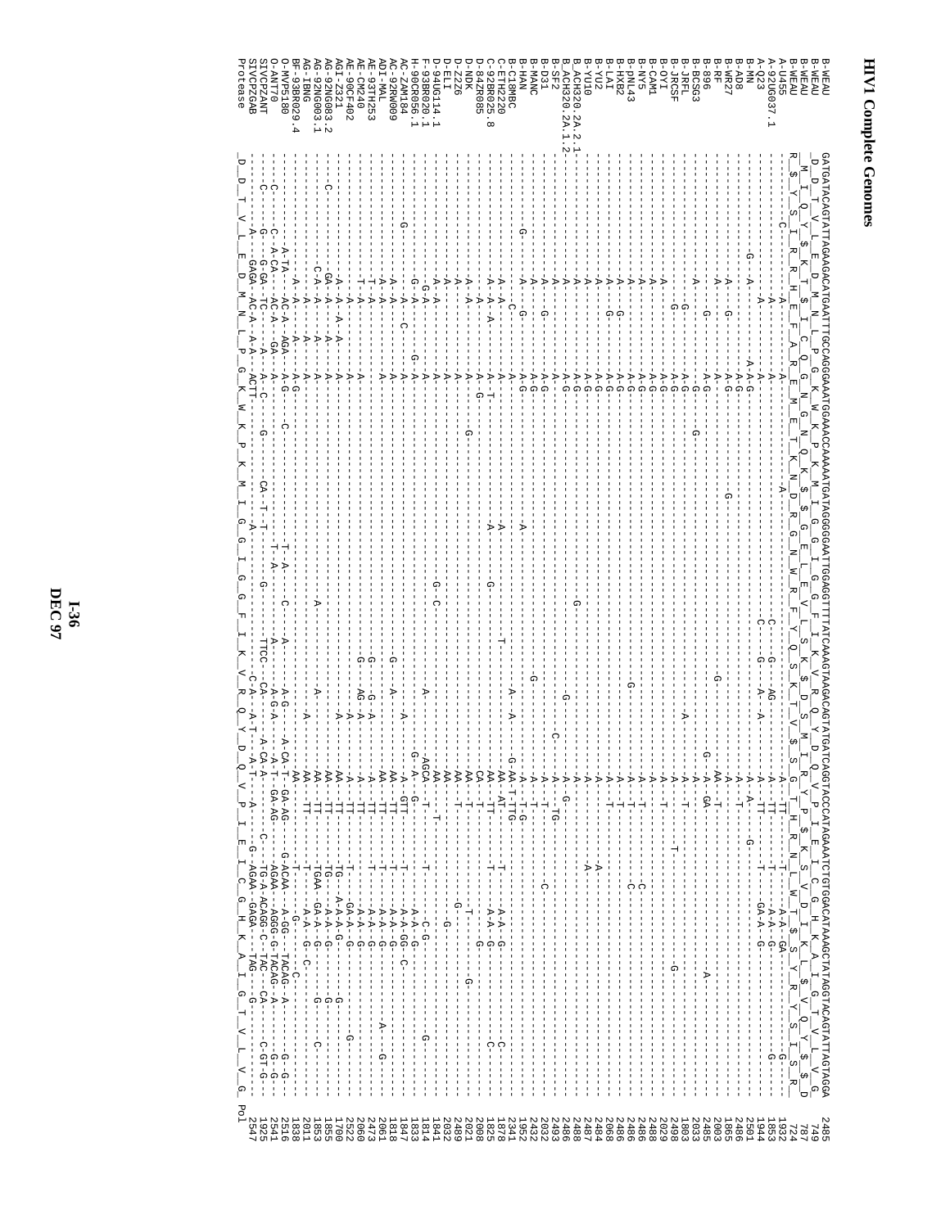| --A--<br>- 79<br>$A - -$<br>9 - A<br>$-1 - 2 - 2$<br>$AC-A$<br>$A -$<br>ኌ<br>A-<br>₽<br>Ģ<br>Ģ<br>ဂု<br>$AGA-$<br>÷<br>⊢<br>⊅<br>⊅<br>$D - A - C$<br>$A-G$<br>$A-G$<br>$A-G$<br>A-G<br>$A-G$<br>$A-G$<br>$\Delta - \Omega$<br>Ω<br>∩<br>Ω<br>ଜ<br>G.<br>G.<br>$BC -$<br>AG.<br>হ<br>$\mathbb{F}$<br>ှု<br>ъ<br>$\begin{array}{cccccccccc} C\mathbf{A} & -\mathbf{T} & -\mathbf{G}\mathbf{A} & -\mathbf{A}\mathbf{G} & -\mathbf{A} & -\mathbf{A}\mathbf{G} & -\mathbf{A}\mathbf{G} & -\mathbf{A}\mathbf{G} & -\mathbf{A}\mathbf{G} & -\mathbf{A}\mathbf{G} & -\mathbf{A}\mathbf{G} & -\mathbf{A}\mathbf{G} & -\mathbf{A}\mathbf{G} & -\mathbf{A}\mathbf{G} & -\mathbf{A}\mathbf{G} & -\mathbf{A}\mathbf{G} & -\mathbf{A}\mathbf{G} & -\mathbf{A$<br>$G = -R -$<br>$-ACCA---T---$<br>$G$ ---A--GA---<br>-- AA--<br>$\frac{1}{1}$<br>J<br>$-1 - 2A - -1TT - -$<br>$-4A-$<br>--- 24 -- 27 -- --<br>9-AA-T-TTG----<br>$-1 - 2 - 1 - 1 - 0 - 0 - 1$<br>$\frac{1}{1}$<br>$- - \Delta A - - -\Gamma - - -$<br>-- 1-1-- 1-1-<br>$-4A-$<br>$-1$<br>--44--<br>ł<br>--CA--<br>-- TT------<br>ł<br>$- -A - -$<br>$---A---$<br>$-1 - 2 - 1 - 1 - 1$<br>$- -A - -A - -$<br>$--A--$<br>$- -A - -$<br>$- -A - -$<br>$--A--$<br>$- - - -$<br>$-11 - -11 -$<br>$AA$ - $-$<br>$AA$ - -<br>$AA$ - - $T$<br>$AA$ - - $T$ - - $AA$<br>$-4-$<br>$-4-4$<br>$-4$<br>$-4 - 4$<br>- 7 - - - - - -<br>$-4-$<br>$-4 - 4$<br>$-4-4$<br>$-4 - 4$<br>$A - -$<br>$A$ --<br>$A -$<br>$A -$<br>$-1 - 9 - -$<br>$\frac{1}{1}$<br>吉吉<br>$-1.1-$<br>-11-<br>$-1.1 -$<br>$-1.1 -$<br>$-1$ $-1$ $-1$ $-1$<br>$\frac{1}{1}$<br>$\frac{1}{1}$<br>$\frac{1}{1}$<br>$\frac{1}{1}$<br>$\frac{1}{1}$<br>$-10 - 1$<br>ဂု<br><br>Í<br>$\frac{1}{1}$<br>$\frac{1}{1}$<br>$\frac{1}{1}$<br>$\frac{1}{1}$<br>$\frac{1}{1}$<br>$\frac{1}{1}$<br>$\frac{1}{1}$<br>$\frac{1}{4}$<br>-HT-<br>$-1.1-$<br>トーー<br>I<br>$\mathbf{I}$<br>$\mathbf{I}$<br>$\mathbf I$<br>I<br>$\mathsf I$<br>$\mathbf{I}$<br>$\mathbf{I}$<br>$\begin{array}{c} \end{array}$<br>I,<br>$\mathbf{I}$<br>$\overline{1}$<br>J.<br>$\overline{\phantom{a}}$<br>п<br>$\frac{1}{1}$<br>$\overline{1}$<br>$\overline{\phantom{a}}$<br>J.<br>J.<br>I<br>$\overline{1}$<br>п<br>$\mathbf{I}$<br>Ţ<br>п<br>J.<br>I<br>$\mathbf{I}$<br>п<br>$\mathbf{I}$<br>J.<br>f,<br>$\overline{\phantom{a}}$<br>J.<br>$\mathbf{I}$<br>I.<br>$\mathbf{I}$<br>J.<br>I<br>$\mathbf{I}$<br>т<br>п<br>1<br>п<br>$\mathbf{I}$<br>л<br>1<br>п<br>$\mathsf I$<br>--G-ACAA---A-GG----IACAG--A--<br>ဂု<br>J.<br>I<br>т<br>п<br>$-1 - 1 - -$<br>$- -  A - - -$<br>$\overline{1}$<br>$\mathbb I$<br>$\overline{\phantom{a}}$<br>$-16 - - -$<br>i<br>T<br>$-{\bf A}---$<br>$\frac{1}{1}$<br>$-10-$<br>$\frac{1}{1}$<br>$1 - - - - -$<br>$TCGAA--GA-A--G--$<br>Ť<br>H<br>T<br>÷<br>F<br>۲<br>ا<br>$\begin{array}{c} 1 \\ 1 \\ 1 \end{array}$<br>$\mathbf{I}$<br>$\overline{\phantom{a}}$<br>J.<br>J.<br>J.<br>۲<br>ا<br>$\mathbf{I}$<br>I,<br>$-5 -$<br>л<br>$\frac{1}{1}$<br>$\frac{1}{1}$<br>I.<br>$\begin{array}{c} \hline \end{array}$<br>ن<br>ا<br>J.<br>J.<br>I<br>$C -$<br>I<br>$\mathbf{I}$<br>I.<br>$\mathbf{I}$<br>J.<br>J.<br>$\mathbf{I}$<br>$\overline{1}$<br>т<br>п<br>$- - - - - - - - - -$<br>$--\mathbb{A}-\mathbb{A}--\mathbb{G}---$<br>$\mathbf{A} - \mathbf{A} - \mathbf{A} - \mathbf{G} - - - -$<br>$-GA - A - -G - - -$<br>$\mathbb{I}$<br>$\mathbf I$<br>$\frac{1}{1}$<br>- 1-1-1-1<br>$\overline{\phantom{a}}$<br>$\mathbf{I}$<br>I<br>I,<br>J<br>$-\Delta-\Delta=-G--$<br>$- - - - - - - - -$<br>$-B - A - A - C - -$<br>$GA - A - -G - -$<br>$-B - A - A - G -$<br>$A - A = -G$<br>$A - A - - G - - -$<br>$A - A - - G - - -$<br>$A - A - - G - - -$<br>$A - A - - GA -$<br>$A - A - GG - C$<br>$-1 - C - C - - - - - -$<br>I<br>$\overline{\phantom{a}}$<br>$\mathbf{A} - \mathbf{A} - - \mathbf{G} - - -$<br>$\begin{array}{c} 1 \\ 1 \\ 1 \end{array}$<br>ļ<br>I<br>I<br>$\frac{1}{1}$<br>$\mathbf{I}$<br>$\frac{1}{1}$<br>I<br>I.<br>$\frac{1}{4}$<br>$\frac{1}{1}$<br>J<br>Ť<br>$\mathbf{I}$<br>J<br>ţ<br>$\frac{1}{1}$<br>1<br>$\mathbb I$<br>Ω<br>$\overline{1}$<br>$\frac{1}{1}$<br>I<br>I<br>Í<br>ł<br>J.<br>$\overline{1}$<br>J.<br>$\frac{1}{1}$<br>J<br>$\begin{array}{c} 1 \\ 1 \\ 1 \end{array}$<br>ţ<br>I<br>I<br>Ţ<br>Ω<br>ţ<br>$\frac{1}{4}$<br>$A - -$<br>$\overline{1}$<br>J.<br>I<br>$\mathbf{I}$<br>I<br>$\frac{1}{1}$<br>$\frac{1}{1}$<br>I<br>J.<br>$\frac{1}{1}$<br>п<br>$\frac{1}{1}$<br>$\mathbf{I}$<br>J.<br>$\overline{1}$<br>J.<br>л<br>$\mathbf{I}$<br>$\mathbf I$<br>$\mathbf{I}$<br>I<br>$-6 -$<br>I,<br>$\frac{1}{1}$<br>$\frac{1}{1}$<br>$-\frac{1}{2}$<br>ţ<br>$\overline{\phantom{a}}$<br>$\begin{array}{c} \end{array}$<br>I<br>ł<br>$\frac{1}{1}$<br>$\blacksquare$<br>п<br>J.<br>J.<br>$\frac{1}{1}$<br>I<br>I<br>$\ddot{\mathbf{A}}$<br>J.<br>$\frac{1}{4}$<br>$\frac{1}{1}$<br>I<br>$\frac{1}{4}$<br>$\mathbf{I}$<br>$\overline{1}$<br>$\frac{1}{1}$<br>ţ<br>л<br>I.<br>$\mathbf{I}$<br>$\overline{1}$<br>I<br>$\frac{1}{2}$<br>$\frac{1}{4}$<br>ဂု<br>$\frac{1}{1}$<br>$\frac{1}{1}$<br>I<br>ဂု<br>$\frac{1}{2}$<br>$\sum_{i=1}^{n}$<br>$\begin{array}{c} 1 \\ 1 \\ 1 \end{array}$<br>$\frac{1}{1}$<br>$\frac{1}{1}$<br>$\frac{1}{1}$<br>$\mathbf{I}$<br>$\mathbf{I}$<br>$\mathbf{I}$<br>ı<br>I<br>л<br>1<br>л |                                                                                                      |
|---------------------------------------------------------------------------------------------------------------------------------------------------------------------------------------------------------------------------------------------------------------------------------------------------------------------------------------------------------------------------------------------------------------------------------------------------------------------------------------------------------------------------------------------------------------------------------------------------------------------------------------------------------------------------------------------------------------------------------------------------------------------------------------------------------------------------------------------------------------------------------------------------------------------------------------------------------------------------------------------------------------------------------------------------------------------------------------------------------------------------------------------------------------------------------------------------------------------------------------------------------------------------------------------------------------------------------------------------------------------------------------------------------------------------------------------------------------------------------------------------------------------------------------------------------------------------------------------------------------------------------------------------------------------------------------------------------------------------------------------------------------------------------------------------------------------------------------------------------------------------------------------------------------------------------------------------------------------------------------------------------------------------------------------------------------------------------------------------------------------------------------------------------------------------------------------------------------------------------------------------------------------------------------------------------------------------------------------------------------------------------------------------------------------------------------------------------------------------------------------------------------------------------------------------------------------------------------------------------------------------------------------------------------------------------------------------------------------------------------------------------------------------------------------------------------------------------------------------------------------------------------------------------------------------------------------------------------------------------------------------------------------------------------------------------------------------------------------------------------------------------------------------------------------------------------------------------------------------------------------------------------------------------------------------------------------------------------------------------------------------------------------------------------------------------------------------------------------------------------------------------------------------------------------------------------------------------------------------------------------------------------------------------------------------------------------------------------------------------------------------------------------------------------------------------------------------------------------------------------------------------------------------------------------------------------------------------------------------------------------------------------------------------------------------------------------------------------------------------------------------------------------------------------------------------------------------------------------------------------------------------------------------------------------------------------------------------------------------------------------------------------------------------------------------------------------------------------------------------------------------------------------------------------------------------------------------------------------------------------------------------------------------------------------------------------------------------------------------------------------------------------------------------------------------------------------------------------------------------------------------------------------------------------------------------------------------------------------------------------------------------------------------------------------------------------------------------------------------------------------------------------------------------------------------------------------------------------------------------------------------------------|------------------------------------------------------------------------------------------------------|
|                                                                                                                                                                                                                                                                                                                                                                                                                                                                                                                                                                                                                                                                                                                                                                                                                                                                                                                                                                                                                                                                                                                                                                                                                                                                                                                                                                                                                                                                                                                                                                                                                                                                                                                                                                                                                                                                                                                                                                                                                                                                                                                                                                                                                                                                                                                                                                                                                                                                                                                                                                                                                                                                                                                                                                                                                                                                                                                                                                                                                                                                                                                                                                                                                                                                                                                                                                                                                                                                                                                                                                                                                                                                                                                                                                                                                                                                                                                                                                                                                                                                                                                                                                                                                                                                                                                                                                                                                                                                                                                                                                                                                                                                                                                                                                                                                                                                                                                                                                                                                                                                                                                                                                                                                                                               |                                                                                                      |
|                                                                                                                                                                                                                                                                                                                                                                                                                                                                                                                                                                                                                                                                                                                                                                                                                                                                                                                                                                                                                                                                                                                                                                                                                                                                                                                                                                                                                                                                                                                                                                                                                                                                                                                                                                                                                                                                                                                                                                                                                                                                                                                                                                                                                                                                                                                                                                                                                                                                                                                                                                                                                                                                                                                                                                                                                                                                                                                                                                                                                                                                                                                                                                                                                                                                                                                                                                                                                                                                                                                                                                                                                                                                                                                                                                                                                                                                                                                                                                                                                                                                                                                                                                                                                                                                                                                                                                                                                                                                                                                                                                                                                                                                                                                                                                                                                                                                                                                                                                                                                                                                                                                                                                                                                                                               |                                                                                                      |
|                                                                                                                                                                                                                                                                                                                                                                                                                                                                                                                                                                                                                                                                                                                                                                                                                                                                                                                                                                                                                                                                                                                                                                                                                                                                                                                                                                                                                                                                                                                                                                                                                                                                                                                                                                                                                                                                                                                                                                                                                                                                                                                                                                                                                                                                                                                                                                                                                                                                                                                                                                                                                                                                                                                                                                                                                                                                                                                                                                                                                                                                                                                                                                                                                                                                                                                                                                                                                                                                                                                                                                                                                                                                                                                                                                                                                                                                                                                                                                                                                                                                                                                                                                                                                                                                                                                                                                                                                                                                                                                                                                                                                                                                                                                                                                                                                                                                                                                                                                                                                                                                                                                                                                                                                                                               |                                                                                                      |
|                                                                                                                                                                                                                                                                                                                                                                                                                                                                                                                                                                                                                                                                                                                                                                                                                                                                                                                                                                                                                                                                                                                                                                                                                                                                                                                                                                                                                                                                                                                                                                                                                                                                                                                                                                                                                                                                                                                                                                                                                                                                                                                                                                                                                                                                                                                                                                                                                                                                                                                                                                                                                                                                                                                                                                                                                                                                                                                                                                                                                                                                                                                                                                                                                                                                                                                                                                                                                                                                                                                                                                                                                                                                                                                                                                                                                                                                                                                                                                                                                                                                                                                                                                                                                                                                                                                                                                                                                                                                                                                                                                                                                                                                                                                                                                                                                                                                                                                                                                                                                                                                                                                                                                                                                                                               |                                                                                                      |
|                                                                                                                                                                                                                                                                                                                                                                                                                                                                                                                                                                                                                                                                                                                                                                                                                                                                                                                                                                                                                                                                                                                                                                                                                                                                                                                                                                                                                                                                                                                                                                                                                                                                                                                                                                                                                                                                                                                                                                                                                                                                                                                                                                                                                                                                                                                                                                                                                                                                                                                                                                                                                                                                                                                                                                                                                                                                                                                                                                                                                                                                                                                                                                                                                                                                                                                                                                                                                                                                                                                                                                                                                                                                                                                                                                                                                                                                                                                                                                                                                                                                                                                                                                                                                                                                                                                                                                                                                                                                                                                                                                                                                                                                                                                                                                                                                                                                                                                                                                                                                                                                                                                                                                                                                                                               |                                                                                                      |
|                                                                                                                                                                                                                                                                                                                                                                                                                                                                                                                                                                                                                                                                                                                                                                                                                                                                                                                                                                                                                                                                                                                                                                                                                                                                                                                                                                                                                                                                                                                                                                                                                                                                                                                                                                                                                                                                                                                                                                                                                                                                                                                                                                                                                                                                                                                                                                                                                                                                                                                                                                                                                                                                                                                                                                                                                                                                                                                                                                                                                                                                                                                                                                                                                                                                                                                                                                                                                                                                                                                                                                                                                                                                                                                                                                                                                                                                                                                                                                                                                                                                                                                                                                                                                                                                                                                                                                                                                                                                                                                                                                                                                                                                                                                                                                                                                                                                                                                                                                                                                                                                                                                                                                                                                                                               |                                                                                                      |
|                                                                                                                                                                                                                                                                                                                                                                                                                                                                                                                                                                                                                                                                                                                                                                                                                                                                                                                                                                                                                                                                                                                                                                                                                                                                                                                                                                                                                                                                                                                                                                                                                                                                                                                                                                                                                                                                                                                                                                                                                                                                                                                                                                                                                                                                                                                                                                                                                                                                                                                                                                                                                                                                                                                                                                                                                                                                                                                                                                                                                                                                                                                                                                                                                                                                                                                                                                                                                                                                                                                                                                                                                                                                                                                                                                                                                                                                                                                                                                                                                                                                                                                                                                                                                                                                                                                                                                                                                                                                                                                                                                                                                                                                                                                                                                                                                                                                                                                                                                                                                                                                                                                                                                                                                                                               |                                                                                                      |
|                                                                                                                                                                                                                                                                                                                                                                                                                                                                                                                                                                                                                                                                                                                                                                                                                                                                                                                                                                                                                                                                                                                                                                                                                                                                                                                                                                                                                                                                                                                                                                                                                                                                                                                                                                                                                                                                                                                                                                                                                                                                                                                                                                                                                                                                                                                                                                                                                                                                                                                                                                                                                                                                                                                                                                                                                                                                                                                                                                                                                                                                                                                                                                                                                                                                                                                                                                                                                                                                                                                                                                                                                                                                                                                                                                                                                                                                                                                                                                                                                                                                                                                                                                                                                                                                                                                                                                                                                                                                                                                                                                                                                                                                                                                                                                                                                                                                                                                                                                                                                                                                                                                                                                                                                                                               |                                                                                                      |
|                                                                                                                                                                                                                                                                                                                                                                                                                                                                                                                                                                                                                                                                                                                                                                                                                                                                                                                                                                                                                                                                                                                                                                                                                                                                                                                                                                                                                                                                                                                                                                                                                                                                                                                                                                                                                                                                                                                                                                                                                                                                                                                                                                                                                                                                                                                                                                                                                                                                                                                                                                                                                                                                                                                                                                                                                                                                                                                                                                                                                                                                                                                                                                                                                                                                                                                                                                                                                                                                                                                                                                                                                                                                                                                                                                                                                                                                                                                                                                                                                                                                                                                                                                                                                                                                                                                                                                                                                                                                                                                                                                                                                                                                                                                                                                                                                                                                                                                                                                                                                                                                                                                                                                                                                                                               |                                                                                                      |
|                                                                                                                                                                                                                                                                                                                                                                                                                                                                                                                                                                                                                                                                                                                                                                                                                                                                                                                                                                                                                                                                                                                                                                                                                                                                                                                                                                                                                                                                                                                                                                                                                                                                                                                                                                                                                                                                                                                                                                                                                                                                                                                                                                                                                                                                                                                                                                                                                                                                                                                                                                                                                                                                                                                                                                                                                                                                                                                                                                                                                                                                                                                                                                                                                                                                                                                                                                                                                                                                                                                                                                                                                                                                                                                                                                                                                                                                                                                                                                                                                                                                                                                                                                                                                                                                                                                                                                                                                                                                                                                                                                                                                                                                                                                                                                                                                                                                                                                                                                                                                                                                                                                                                                                                                                                               |                                                                                                      |
|                                                                                                                                                                                                                                                                                                                                                                                                                                                                                                                                                                                                                                                                                                                                                                                                                                                                                                                                                                                                                                                                                                                                                                                                                                                                                                                                                                                                                                                                                                                                                                                                                                                                                                                                                                                                                                                                                                                                                                                                                                                                                                                                                                                                                                                                                                                                                                                                                                                                                                                                                                                                                                                                                                                                                                                                                                                                                                                                                                                                                                                                                                                                                                                                                                                                                                                                                                                                                                                                                                                                                                                                                                                                                                                                                                                                                                                                                                                                                                                                                                                                                                                                                                                                                                                                                                                                                                                                                                                                                                                                                                                                                                                                                                                                                                                                                                                                                                                                                                                                                                                                                                                                                                                                                                                               |                                                                                                      |
|                                                                                                                                                                                                                                                                                                                                                                                                                                                                                                                                                                                                                                                                                                                                                                                                                                                                                                                                                                                                                                                                                                                                                                                                                                                                                                                                                                                                                                                                                                                                                                                                                                                                                                                                                                                                                                                                                                                                                                                                                                                                                                                                                                                                                                                                                                                                                                                                                                                                                                                                                                                                                                                                                                                                                                                                                                                                                                                                                                                                                                                                                                                                                                                                                                                                                                                                                                                                                                                                                                                                                                                                                                                                                                                                                                                                                                                                                                                                                                                                                                                                                                                                                                                                                                                                                                                                                                                                                                                                                                                                                                                                                                                                                                                                                                                                                                                                                                                                                                                                                                                                                                                                                                                                                                                               |                                                                                                      |
|                                                                                                                                                                                                                                                                                                                                                                                                                                                                                                                                                                                                                                                                                                                                                                                                                                                                                                                                                                                                                                                                                                                                                                                                                                                                                                                                                                                                                                                                                                                                                                                                                                                                                                                                                                                                                                                                                                                                                                                                                                                                                                                                                                                                                                                                                                                                                                                                                                                                                                                                                                                                                                                                                                                                                                                                                                                                                                                                                                                                                                                                                                                                                                                                                                                                                                                                                                                                                                                                                                                                                                                                                                                                                                                                                                                                                                                                                                                                                                                                                                                                                                                                                                                                                                                                                                                                                                                                                                                                                                                                                                                                                                                                                                                                                                                                                                                                                                                                                                                                                                                                                                                                                                                                                                                               |                                                                                                      |
|                                                                                                                                                                                                                                                                                                                                                                                                                                                                                                                                                                                                                                                                                                                                                                                                                                                                                                                                                                                                                                                                                                                                                                                                                                                                                                                                                                                                                                                                                                                                                                                                                                                                                                                                                                                                                                                                                                                                                                                                                                                                                                                                                                                                                                                                                                                                                                                                                                                                                                                                                                                                                                                                                                                                                                                                                                                                                                                                                                                                                                                                                                                                                                                                                                                                                                                                                                                                                                                                                                                                                                                                                                                                                                                                                                                                                                                                                                                                                                                                                                                                                                                                                                                                                                                                                                                                                                                                                                                                                                                                                                                                                                                                                                                                                                                                                                                                                                                                                                                                                                                                                                                                                                                                                                                               |                                                                                                      |
|                                                                                                                                                                                                                                                                                                                                                                                                                                                                                                                                                                                                                                                                                                                                                                                                                                                                                                                                                                                                                                                                                                                                                                                                                                                                                                                                                                                                                                                                                                                                                                                                                                                                                                                                                                                                                                                                                                                                                                                                                                                                                                                                                                                                                                                                                                                                                                                                                                                                                                                                                                                                                                                                                                                                                                                                                                                                                                                                                                                                                                                                                                                                                                                                                                                                                                                                                                                                                                                                                                                                                                                                                                                                                                                                                                                                                                                                                                                                                                                                                                                                                                                                                                                                                                                                                                                                                                                                                                                                                                                                                                                                                                                                                                                                                                                                                                                                                                                                                                                                                                                                                                                                                                                                                                                               |                                                                                                      |
|                                                                                                                                                                                                                                                                                                                                                                                                                                                                                                                                                                                                                                                                                                                                                                                                                                                                                                                                                                                                                                                                                                                                                                                                                                                                                                                                                                                                                                                                                                                                                                                                                                                                                                                                                                                                                                                                                                                                                                                                                                                                                                                                                                                                                                                                                                                                                                                                                                                                                                                                                                                                                                                                                                                                                                                                                                                                                                                                                                                                                                                                                                                                                                                                                                                                                                                                                                                                                                                                                                                                                                                                                                                                                                                                                                                                                                                                                                                                                                                                                                                                                                                                                                                                                                                                                                                                                                                                                                                                                                                                                                                                                                                                                                                                                                                                                                                                                                                                                                                                                                                                                                                                                                                                                                                               |                                                                                                      |
|                                                                                                                                                                                                                                                                                                                                                                                                                                                                                                                                                                                                                                                                                                                                                                                                                                                                                                                                                                                                                                                                                                                                                                                                                                                                                                                                                                                                                                                                                                                                                                                                                                                                                                                                                                                                                                                                                                                                                                                                                                                                                                                                                                                                                                                                                                                                                                                                                                                                                                                                                                                                                                                                                                                                                                                                                                                                                                                                                                                                                                                                                                                                                                                                                                                                                                                                                                                                                                                                                                                                                                                                                                                                                                                                                                                                                                                                                                                                                                                                                                                                                                                                                                                                                                                                                                                                                                                                                                                                                                                                                                                                                                                                                                                                                                                                                                                                                                                                                                                                                                                                                                                                                                                                                                                               |                                                                                                      |
|                                                                                                                                                                                                                                                                                                                                                                                                                                                                                                                                                                                                                                                                                                                                                                                                                                                                                                                                                                                                                                                                                                                                                                                                                                                                                                                                                                                                                                                                                                                                                                                                                                                                                                                                                                                                                                                                                                                                                                                                                                                                                                                                                                                                                                                                                                                                                                                                                                                                                                                                                                                                                                                                                                                                                                                                                                                                                                                                                                                                                                                                                                                                                                                                                                                                                                                                                                                                                                                                                                                                                                                                                                                                                                                                                                                                                                                                                                                                                                                                                                                                                                                                                                                                                                                                                                                                                                                                                                                                                                                                                                                                                                                                                                                                                                                                                                                                                                                                                                                                                                                                                                                                                                                                                                                               |                                                                                                      |
|                                                                                                                                                                                                                                                                                                                                                                                                                                                                                                                                                                                                                                                                                                                                                                                                                                                                                                                                                                                                                                                                                                                                                                                                                                                                                                                                                                                                                                                                                                                                                                                                                                                                                                                                                                                                                                                                                                                                                                                                                                                                                                                                                                                                                                                                                                                                                                                                                                                                                                                                                                                                                                                                                                                                                                                                                                                                                                                                                                                                                                                                                                                                                                                                                                                                                                                                                                                                                                                                                                                                                                                                                                                                                                                                                                                                                                                                                                                                                                                                                                                                                                                                                                                                                                                                                                                                                                                                                                                                                                                                                                                                                                                                                                                                                                                                                                                                                                                                                                                                                                                                                                                                                                                                                                                               |                                                                                                      |
|                                                                                                                                                                                                                                                                                                                                                                                                                                                                                                                                                                                                                                                                                                                                                                                                                                                                                                                                                                                                                                                                                                                                                                                                                                                                                                                                                                                                                                                                                                                                                                                                                                                                                                                                                                                                                                                                                                                                                                                                                                                                                                                                                                                                                                                                                                                                                                                                                                                                                                                                                                                                                                                                                                                                                                                                                                                                                                                                                                                                                                                                                                                                                                                                                                                                                                                                                                                                                                                                                                                                                                                                                                                                                                                                                                                                                                                                                                                                                                                                                                                                                                                                                                                                                                                                                                                                                                                                                                                                                                                                                                                                                                                                                                                                                                                                                                                                                                                                                                                                                                                                                                                                                                                                                                                               |                                                                                                      |
|                                                                                                                                                                                                                                                                                                                                                                                                                                                                                                                                                                                                                                                                                                                                                                                                                                                                                                                                                                                                                                                                                                                                                                                                                                                                                                                                                                                                                                                                                                                                                                                                                                                                                                                                                                                                                                                                                                                                                                                                                                                                                                                                                                                                                                                                                                                                                                                                                                                                                                                                                                                                                                                                                                                                                                                                                                                                                                                                                                                                                                                                                                                                                                                                                                                                                                                                                                                                                                                                                                                                                                                                                                                                                                                                                                                                                                                                                                                                                                                                                                                                                                                                                                                                                                                                                                                                                                                                                                                                                                                                                                                                                                                                                                                                                                                                                                                                                                                                                                                                                                                                                                                                                                                                                                                               |                                                                                                      |
|                                                                                                                                                                                                                                                                                                                                                                                                                                                                                                                                                                                                                                                                                                                                                                                                                                                                                                                                                                                                                                                                                                                                                                                                                                                                                                                                                                                                                                                                                                                                                                                                                                                                                                                                                                                                                                                                                                                                                                                                                                                                                                                                                                                                                                                                                                                                                                                                                                                                                                                                                                                                                                                                                                                                                                                                                                                                                                                                                                                                                                                                                                                                                                                                                                                                                                                                                                                                                                                                                                                                                                                                                                                                                                                                                                                                                                                                                                                                                                                                                                                                                                                                                                                                                                                                                                                                                                                                                                                                                                                                                                                                                                                                                                                                                                                                                                                                                                                                                                                                                                                                                                                                                                                                                                                               |                                                                                                      |
|                                                                                                                                                                                                                                                                                                                                                                                                                                                                                                                                                                                                                                                                                                                                                                                                                                                                                                                                                                                                                                                                                                                                                                                                                                                                                                                                                                                                                                                                                                                                                                                                                                                                                                                                                                                                                                                                                                                                                                                                                                                                                                                                                                                                                                                                                                                                                                                                                                                                                                                                                                                                                                                                                                                                                                                                                                                                                                                                                                                                                                                                                                                                                                                                                                                                                                                                                                                                                                                                                                                                                                                                                                                                                                                                                                                                                                                                                                                                                                                                                                                                                                                                                                                                                                                                                                                                                                                                                                                                                                                                                                                                                                                                                                                                                                                                                                                                                                                                                                                                                                                                                                                                                                                                                                                               |                                                                                                      |
|                                                                                                                                                                                                                                                                                                                                                                                                                                                                                                                                                                                                                                                                                                                                                                                                                                                                                                                                                                                                                                                                                                                                                                                                                                                                                                                                                                                                                                                                                                                                                                                                                                                                                                                                                                                                                                                                                                                                                                                                                                                                                                                                                                                                                                                                                                                                                                                                                                                                                                                                                                                                                                                                                                                                                                                                                                                                                                                                                                                                                                                                                                                                                                                                                                                                                                                                                                                                                                                                                                                                                                                                                                                                                                                                                                                                                                                                                                                                                                                                                                                                                                                                                                                                                                                                                                                                                                                                                                                                                                                                                                                                                                                                                                                                                                                                                                                                                                                                                                                                                                                                                                                                                                                                                                                               |                                                                                                      |
|                                                                                                                                                                                                                                                                                                                                                                                                                                                                                                                                                                                                                                                                                                                                                                                                                                                                                                                                                                                                                                                                                                                                                                                                                                                                                                                                                                                                                                                                                                                                                                                                                                                                                                                                                                                                                                                                                                                                                                                                                                                                                                                                                                                                                                                                                                                                                                                                                                                                                                                                                                                                                                                                                                                                                                                                                                                                                                                                                                                                                                                                                                                                                                                                                                                                                                                                                                                                                                                                                                                                                                                                                                                                                                                                                                                                                                                                                                                                                                                                                                                                                                                                                                                                                                                                                                                                                                                                                                                                                                                                                                                                                                                                                                                                                                                                                                                                                                                                                                                                                                                                                                                                                                                                                                                               |                                                                                                      |
|                                                                                                                                                                                                                                                                                                                                                                                                                                                                                                                                                                                                                                                                                                                                                                                                                                                                                                                                                                                                                                                                                                                                                                                                                                                                                                                                                                                                                                                                                                                                                                                                                                                                                                                                                                                                                                                                                                                                                                                                                                                                                                                                                                                                                                                                                                                                                                                                                                                                                                                                                                                                                                                                                                                                                                                                                                                                                                                                                                                                                                                                                                                                                                                                                                                                                                                                                                                                                                                                                                                                                                                                                                                                                                                                                                                                                                                                                                                                                                                                                                                                                                                                                                                                                                                                                                                                                                                                                                                                                                                                                                                                                                                                                                                                                                                                                                                                                                                                                                                                                                                                                                                                                                                                                                                               |                                                                                                      |
|                                                                                                                                                                                                                                                                                                                                                                                                                                                                                                                                                                                                                                                                                                                                                                                                                                                                                                                                                                                                                                                                                                                                                                                                                                                                                                                                                                                                                                                                                                                                                                                                                                                                                                                                                                                                                                                                                                                                                                                                                                                                                                                                                                                                                                                                                                                                                                                                                                                                                                                                                                                                                                                                                                                                                                                                                                                                                                                                                                                                                                                                                                                                                                                                                                                                                                                                                                                                                                                                                                                                                                                                                                                                                                                                                                                                                                                                                                                                                                                                                                                                                                                                                                                                                                                                                                                                                                                                                                                                                                                                                                                                                                                                                                                                                                                                                                                                                                                                                                                                                                                                                                                                                                                                                                                               |                                                                                                      |
|                                                                                                                                                                                                                                                                                                                                                                                                                                                                                                                                                                                                                                                                                                                                                                                                                                                                                                                                                                                                                                                                                                                                                                                                                                                                                                                                                                                                                                                                                                                                                                                                                                                                                                                                                                                                                                                                                                                                                                                                                                                                                                                                                                                                                                                                                                                                                                                                                                                                                                                                                                                                                                                                                                                                                                                                                                                                                                                                                                                                                                                                                                                                                                                                                                                                                                                                                                                                                                                                                                                                                                                                                                                                                                                                                                                                                                                                                                                                                                                                                                                                                                                                                                                                                                                                                                                                                                                                                                                                                                                                                                                                                                                                                                                                                                                                                                                                                                                                                                                                                                                                                                                                                                                                                                                               |                                                                                                      |
|                                                                                                                                                                                                                                                                                                                                                                                                                                                                                                                                                                                                                                                                                                                                                                                                                                                                                                                                                                                                                                                                                                                                                                                                                                                                                                                                                                                                                                                                                                                                                                                                                                                                                                                                                                                                                                                                                                                                                                                                                                                                                                                                                                                                                                                                                                                                                                                                                                                                                                                                                                                                                                                                                                                                                                                                                                                                                                                                                                                                                                                                                                                                                                                                                                                                                                                                                                                                                                                                                                                                                                                                                                                                                                                                                                                                                                                                                                                                                                                                                                                                                                                                                                                                                                                                                                                                                                                                                                                                                                                                                                                                                                                                                                                                                                                                                                                                                                                                                                                                                                                                                                                                                                                                                                                               |                                                                                                      |
|                                                                                                                                                                                                                                                                                                                                                                                                                                                                                                                                                                                                                                                                                                                                                                                                                                                                                                                                                                                                                                                                                                                                                                                                                                                                                                                                                                                                                                                                                                                                                                                                                                                                                                                                                                                                                                                                                                                                                                                                                                                                                                                                                                                                                                                                                                                                                                                                                                                                                                                                                                                                                                                                                                                                                                                                                                                                                                                                                                                                                                                                                                                                                                                                                                                                                                                                                                                                                                                                                                                                                                                                                                                                                                                                                                                                                                                                                                                                                                                                                                                                                                                                                                                                                                                                                                                                                                                                                                                                                                                                                                                                                                                                                                                                                                                                                                                                                                                                                                                                                                                                                                                                                                                                                                                               |                                                                                                      |
|                                                                                                                                                                                                                                                                                                                                                                                                                                                                                                                                                                                                                                                                                                                                                                                                                                                                                                                                                                                                                                                                                                                                                                                                                                                                                                                                                                                                                                                                                                                                                                                                                                                                                                                                                                                                                                                                                                                                                                                                                                                                                                                                                                                                                                                                                                                                                                                                                                                                                                                                                                                                                                                                                                                                                                                                                                                                                                                                                                                                                                                                                                                                                                                                                                                                                                                                                                                                                                                                                                                                                                                                                                                                                                                                                                                                                                                                                                                                                                                                                                                                                                                                                                                                                                                                                                                                                                                                                                                                                                                                                                                                                                                                                                                                                                                                                                                                                                                                                                                                                                                                                                                                                                                                                                                               |                                                                                                      |
|                                                                                                                                                                                                                                                                                                                                                                                                                                                                                                                                                                                                                                                                                                                                                                                                                                                                                                                                                                                                                                                                                                                                                                                                                                                                                                                                                                                                                                                                                                                                                                                                                                                                                                                                                                                                                                                                                                                                                                                                                                                                                                                                                                                                                                                                                                                                                                                                                                                                                                                                                                                                                                                                                                                                                                                                                                                                                                                                                                                                                                                                                                                                                                                                                                                                                                                                                                                                                                                                                                                                                                                                                                                                                                                                                                                                                                                                                                                                                                                                                                                                                                                                                                                                                                                                                                                                                                                                                                                                                                                                                                                                                                                                                                                                                                                                                                                                                                                                                                                                                                                                                                                                                                                                                                                               |                                                                                                      |
|                                                                                                                                                                                                                                                                                                                                                                                                                                                                                                                                                                                                                                                                                                                                                                                                                                                                                                                                                                                                                                                                                                                                                                                                                                                                                                                                                                                                                                                                                                                                                                                                                                                                                                                                                                                                                                                                                                                                                                                                                                                                                                                                                                                                                                                                                                                                                                                                                                                                                                                                                                                                                                                                                                                                                                                                                                                                                                                                                                                                                                                                                                                                                                                                                                                                                                                                                                                                                                                                                                                                                                                                                                                                                                                                                                                                                                                                                                                                                                                                                                                                                                                                                                                                                                                                                                                                                                                                                                                                                                                                                                                                                                                                                                                                                                                                                                                                                                                                                                                                                                                                                                                                                                                                                                                               |                                                                                                      |
|                                                                                                                                                                                                                                                                                                                                                                                                                                                                                                                                                                                                                                                                                                                                                                                                                                                                                                                                                                                                                                                                                                                                                                                                                                                                                                                                                                                                                                                                                                                                                                                                                                                                                                                                                                                                                                                                                                                                                                                                                                                                                                                                                                                                                                                                                                                                                                                                                                                                                                                                                                                                                                                                                                                                                                                                                                                                                                                                                                                                                                                                                                                                                                                                                                                                                                                                                                                                                                                                                                                                                                                                                                                                                                                                                                                                                                                                                                                                                                                                                                                                                                                                                                                                                                                                                                                                                                                                                                                                                                                                                                                                                                                                                                                                                                                                                                                                                                                                                                                                                                                                                                                                                                                                                                                               |                                                                                                      |
|                                                                                                                                                                                                                                                                                                                                                                                                                                                                                                                                                                                                                                                                                                                                                                                                                                                                                                                                                                                                                                                                                                                                                                                                                                                                                                                                                                                                                                                                                                                                                                                                                                                                                                                                                                                                                                                                                                                                                                                                                                                                                                                                                                                                                                                                                                                                                                                                                                                                                                                                                                                                                                                                                                                                                                                                                                                                                                                                                                                                                                                                                                                                                                                                                                                                                                                                                                                                                                                                                                                                                                                                                                                                                                                                                                                                                                                                                                                                                                                                                                                                                                                                                                                                                                                                                                                                                                                                                                                                                                                                                                                                                                                                                                                                                                                                                                                                                                                                                                                                                                                                                                                                                                                                                                                               |                                                                                                      |
|                                                                                                                                                                                                                                                                                                                                                                                                                                                                                                                                                                                                                                                                                                                                                                                                                                                                                                                                                                                                                                                                                                                                                                                                                                                                                                                                                                                                                                                                                                                                                                                                                                                                                                                                                                                                                                                                                                                                                                                                                                                                                                                                                                                                                                                                                                                                                                                                                                                                                                                                                                                                                                                                                                                                                                                                                                                                                                                                                                                                                                                                                                                                                                                                                                                                                                                                                                                                                                                                                                                                                                                                                                                                                                                                                                                                                                                                                                                                                                                                                                                                                                                                                                                                                                                                                                                                                                                                                                                                                                                                                                                                                                                                                                                                                                                                                                                                                                                                                                                                                                                                                                                                                                                                                                                               |                                                                                                      |
|                                                                                                                                                                                                                                                                                                                                                                                                                                                                                                                                                                                                                                                                                                                                                                                                                                                                                                                                                                                                                                                                                                                                                                                                                                                                                                                                                                                                                                                                                                                                                                                                                                                                                                                                                                                                                                                                                                                                                                                                                                                                                                                                                                                                                                                                                                                                                                                                                                                                                                                                                                                                                                                                                                                                                                                                                                                                                                                                                                                                                                                                                                                                                                                                                                                                                                                                                                                                                                                                                                                                                                                                                                                                                                                                                                                                                                                                                                                                                                                                                                                                                                                                                                                                                                                                                                                                                                                                                                                                                                                                                                                                                                                                                                                                                                                                                                                                                                                                                                                                                                                                                                                                                                                                                                                               |                                                                                                      |
|                                                                                                                                                                                                                                                                                                                                                                                                                                                                                                                                                                                                                                                                                                                                                                                                                                                                                                                                                                                                                                                                                                                                                                                                                                                                                                                                                                                                                                                                                                                                                                                                                                                                                                                                                                                                                                                                                                                                                                                                                                                                                                                                                                                                                                                                                                                                                                                                                                                                                                                                                                                                                                                                                                                                                                                                                                                                                                                                                                                                                                                                                                                                                                                                                                                                                                                                                                                                                                                                                                                                                                                                                                                                                                                                                                                                                                                                                                                                                                                                                                                                                                                                                                                                                                                                                                                                                                                                                                                                                                                                                                                                                                                                                                                                                                                                                                                                                                                                                                                                                                                                                                                                                                                                                                                               |                                                                                                      |
|                                                                                                                                                                                                                                                                                                                                                                                                                                                                                                                                                                                                                                                                                                                                                                                                                                                                                                                                                                                                                                                                                                                                                                                                                                                                                                                                                                                                                                                                                                                                                                                                                                                                                                                                                                                                                                                                                                                                                                                                                                                                                                                                                                                                                                                                                                                                                                                                                                                                                                                                                                                                                                                                                                                                                                                                                                                                                                                                                                                                                                                                                                                                                                                                                                                                                                                                                                                                                                                                                                                                                                                                                                                                                                                                                                                                                                                                                                                                                                                                                                                                                                                                                                                                                                                                                                                                                                                                                                                                                                                                                                                                                                                                                                                                                                                                                                                                                                                                                                                                                                                                                                                                                                                                                                                               |                                                                                                      |
|                                                                                                                                                                                                                                                                                                                                                                                                                                                                                                                                                                                                                                                                                                                                                                                                                                                                                                                                                                                                                                                                                                                                                                                                                                                                                                                                                                                                                                                                                                                                                                                                                                                                                                                                                                                                                                                                                                                                                                                                                                                                                                                                                                                                                                                                                                                                                                                                                                                                                                                                                                                                                                                                                                                                                                                                                                                                                                                                                                                                                                                                                                                                                                                                                                                                                                                                                                                                                                                                                                                                                                                                                                                                                                                                                                                                                                                                                                                                                                                                                                                                                                                                                                                                                                                                                                                                                                                                                                                                                                                                                                                                                                                                                                                                                                                                                                                                                                                                                                                                                                                                                                                                                                                                                                                               |                                                                                                      |
|                                                                                                                                                                                                                                                                                                                                                                                                                                                                                                                                                                                                                                                                                                                                                                                                                                                                                                                                                                                                                                                                                                                                                                                                                                                                                                                                                                                                                                                                                                                                                                                                                                                                                                                                                                                                                                                                                                                                                                                                                                                                                                                                                                                                                                                                                                                                                                                                                                                                                                                                                                                                                                                                                                                                                                                                                                                                                                                                                                                                                                                                                                                                                                                                                                                                                                                                                                                                                                                                                                                                                                                                                                                                                                                                                                                                                                                                                                                                                                                                                                                                                                                                                                                                                                                                                                                                                                                                                                                                                                                                                                                                                                                                                                                                                                                                                                                                                                                                                                                                                                                                                                                                                                                                                                                               |                                                                                                      |
|                                                                                                                                                                                                                                                                                                                                                                                                                                                                                                                                                                                                                                                                                                                                                                                                                                                                                                                                                                                                                                                                                                                                                                                                                                                                                                                                                                                                                                                                                                                                                                                                                                                                                                                                                                                                                                                                                                                                                                                                                                                                                                                                                                                                                                                                                                                                                                                                                                                                                                                                                                                                                                                                                                                                                                                                                                                                                                                                                                                                                                                                                                                                                                                                                                                                                                                                                                                                                                                                                                                                                                                                                                                                                                                                                                                                                                                                                                                                                                                                                                                                                                                                                                                                                                                                                                                                                                                                                                                                                                                                                                                                                                                                                                                                                                                                                                                                                                                                                                                                                                                                                                                                                                                                                                                               |                                                                                                      |
|                                                                                                                                                                                                                                                                                                                                                                                                                                                                                                                                                                                                                                                                                                                                                                                                                                                                                                                                                                                                                                                                                                                                                                                                                                                                                                                                                                                                                                                                                                                                                                                                                                                                                                                                                                                                                                                                                                                                                                                                                                                                                                                                                                                                                                                                                                                                                                                                                                                                                                                                                                                                                                                                                                                                                                                                                                                                                                                                                                                                                                                                                                                                                                                                                                                                                                                                                                                                                                                                                                                                                                                                                                                                                                                                                                                                                                                                                                                                                                                                                                                                                                                                                                                                                                                                                                                                                                                                                                                                                                                                                                                                                                                                                                                                                                                                                                                                                                                                                                                                                                                                                                                                                                                                                                                               |                                                                                                      |
|                                                                                                                                                                                                                                                                                                                                                                                                                                                                                                                                                                                                                                                                                                                                                                                                                                                                                                                                                                                                                                                                                                                                                                                                                                                                                                                                                                                                                                                                                                                                                                                                                                                                                                                                                                                                                                                                                                                                                                                                                                                                                                                                                                                                                                                                                                                                                                                                                                                                                                                                                                                                                                                                                                                                                                                                                                                                                                                                                                                                                                                                                                                                                                                                                                                                                                                                                                                                                                                                                                                                                                                                                                                                                                                                                                                                                                                                                                                                                                                                                                                                                                                                                                                                                                                                                                                                                                                                                                                                                                                                                                                                                                                                                                                                                                                                                                                                                                                                                                                                                                                                                                                                                                                                                                                               |                                                                                                      |
|                                                                                                                                                                                                                                                                                                                                                                                                                                                                                                                                                                                                                                                                                                                                                                                                                                                                                                                                                                                                                                                                                                                                                                                                                                                                                                                                                                                                                                                                                                                                                                                                                                                                                                                                                                                                                                                                                                                                                                                                                                                                                                                                                                                                                                                                                                                                                                                                                                                                                                                                                                                                                                                                                                                                                                                                                                                                                                                                                                                                                                                                                                                                                                                                                                                                                                                                                                                                                                                                                                                                                                                                                                                                                                                                                                                                                                                                                                                                                                                                                                                                                                                                                                                                                                                                                                                                                                                                                                                                                                                                                                                                                                                                                                                                                                                                                                                                                                                                                                                                                                                                                                                                                                                                                                                               |                                                                                                      |
|                                                                                                                                                                                                                                                                                                                                                                                                                                                                                                                                                                                                                                                                                                                                                                                                                                                                                                                                                                                                                                                                                                                                                                                                                                                                                                                                                                                                                                                                                                                                                                                                                                                                                                                                                                                                                                                                                                                                                                                                                                                                                                                                                                                                                                                                                                                                                                                                                                                                                                                                                                                                                                                                                                                                                                                                                                                                                                                                                                                                                                                                                                                                                                                                                                                                                                                                                                                                                                                                                                                                                                                                                                                                                                                                                                                                                                                                                                                                                                                                                                                                                                                                                                                                                                                                                                                                                                                                                                                                                                                                                                                                                                                                                                                                                                                                                                                                                                                                                                                                                                                                                                                                                                                                                                                               |                                                                                                      |
|                                                                                                                                                                                                                                                                                                                                                                                                                                                                                                                                                                                                                                                                                                                                                                                                                                                                                                                                                                                                                                                                                                                                                                                                                                                                                                                                                                                                                                                                                                                                                                                                                                                                                                                                                                                                                                                                                                                                                                                                                                                                                                                                                                                                                                                                                                                                                                                                                                                                                                                                                                                                                                                                                                                                                                                                                                                                                                                                                                                                                                                                                                                                                                                                                                                                                                                                                                                                                                                                                                                                                                                                                                                                                                                                                                                                                                                                                                                                                                                                                                                                                                                                                                                                                                                                                                                                                                                                                                                                                                                                                                                                                                                                                                                                                                                                                                                                                                                                                                                                                                                                                                                                                                                                                                                               |                                                                                                      |
|                                                                                                                                                                                                                                                                                                                                                                                                                                                                                                                                                                                                                                                                                                                                                                                                                                                                                                                                                                                                                                                                                                                                                                                                                                                                                                                                                                                                                                                                                                                                                                                                                                                                                                                                                                                                                                                                                                                                                                                                                                                                                                                                                                                                                                                                                                                                                                                                                                                                                                                                                                                                                                                                                                                                                                                                                                                                                                                                                                                                                                                                                                                                                                                                                                                                                                                                                                                                                                                                                                                                                                                                                                                                                                                                                                                                                                                                                                                                                                                                                                                                                                                                                                                                                                                                                                                                                                                                                                                                                                                                                                                                                                                                                                                                                                                                                                                                                                                                                                                                                                                                                                                                                                                                                                                               |                                                                                                      |
|                                                                                                                                                                                                                                                                                                                                                                                                                                                                                                                                                                                                                                                                                                                                                                                                                                                                                                                                                                                                                                                                                                                                                                                                                                                                                                                                                                                                                                                                                                                                                                                                                                                                                                                                                                                                                                                                                                                                                                                                                                                                                                                                                                                                                                                                                                                                                                                                                                                                                                                                                                                                                                                                                                                                                                                                                                                                                                                                                                                                                                                                                                                                                                                                                                                                                                                                                                                                                                                                                                                                                                                                                                                                                                                                                                                                                                                                                                                                                                                                                                                                                                                                                                                                                                                                                                                                                                                                                                                                                                                                                                                                                                                                                                                                                                                                                                                                                                                                                                                                                                                                                                                                                                                                                                                               |                                                                                                      |
|                                                                                                                                                                                                                                                                                                                                                                                                                                                                                                                                                                                                                                                                                                                                                                                                                                                                                                                                                                                                                                                                                                                                                                                                                                                                                                                                                                                                                                                                                                                                                                                                                                                                                                                                                                                                                                                                                                                                                                                                                                                                                                                                                                                                                                                                                                                                                                                                                                                                                                                                                                                                                                                                                                                                                                                                                                                                                                                                                                                                                                                                                                                                                                                                                                                                                                                                                                                                                                                                                                                                                                                                                                                                                                                                                                                                                                                                                                                                                                                                                                                                                                                                                                                                                                                                                                                                                                                                                                                                                                                                                                                                                                                                                                                                                                                                                                                                                                                                                                                                                                                                                                                                                                                                                                                               |                                                                                                      |
| 囝<br>n<br>⋒<br>z<br>ଜ<br>国<br>₩<br>⊢<br>d<br>∢                                                                                                                                                                                                                                                                                                                                                                                                                                                                                                                                                                                                                                                                                                                                                                                                                                                                                                                                                                                                                                                                                                                                                                                                                                                                                                                                                                                                                                                                                                                                                                                                                                                                                                                                                                                                                                                                                                                                                                                                                                                                                                                                                                                                                                                                                                                                                                                                                                                                                                                                                                                                                                                                                                                                                                                                                                                                                                                                                                                                                                                                                                                                                                                                                                                                                                                                                                                                                                                                                                                                                                                                                                                                                                                                                                                                                                                                                                                                                                                                                                                                                                                                                                                                                                                                                                                                                                                                                                                                                                                                                                                                                                                                                                                                                                                                                                                                                                                                                                                                                                                                                                                                                                                                                |                                                                                                      |
| Ħ<br>Ξ<br>Ξ<br>Ħ<br>J<br>G<br>Ω<br>0<br>ω<br>w<br>ю<br>ω<br>₹<br>қ<br>ᡃ<br>ם.<br>י<br>Ξ<br>wν<br>₩<br>ø<br>z<br>īω.<br>C)<br>₫<br>z<br>ရှ<br>σ<br>Η<br>Ξ<br>₩<br>×<br>C<br>⊅<br>'nΩ<br>ᆽ<br>(ဂ<br>ų<br>O<br>$\prec$<br>ζO.<br>$\mathbb{H}^1$<br>٠m                                                                                                                                                                                                                                                                                                                                                                                                                                                                                                                                                                                                                                                                                                                                                                                                                                                                                                                                                                                                                                                                                                                                                                                                                                                                                                                                                                                                                                                                                                                                                                                                                                                                                                                                                                                                                                                                                                                                                                                                                                                                                                                                                                                                                                                                                                                                                                                                                                                                                                                                                                                                                                                                                                                                                                                                                                                                                                                                                                                                                                                                                                                                                                                                                                                                                                                                                                                                                                                                                                                                                                                                                                                                                                                                                                                                                                                                                                                                                                                                                                                                                                                                                                                                                                                                                                                                                                                                                                                                                                                                                                                                                                                                                                                                                                                                                                                                                                                                                                                                            | 3ATGATACAGTATTAGAGACATGAATTTGCCAGGGAAATGGAAACCAAAATGATAGGGGGAATTGGGGGTTTTATCAAAGTAGAGAGATAGAGAGTATGA |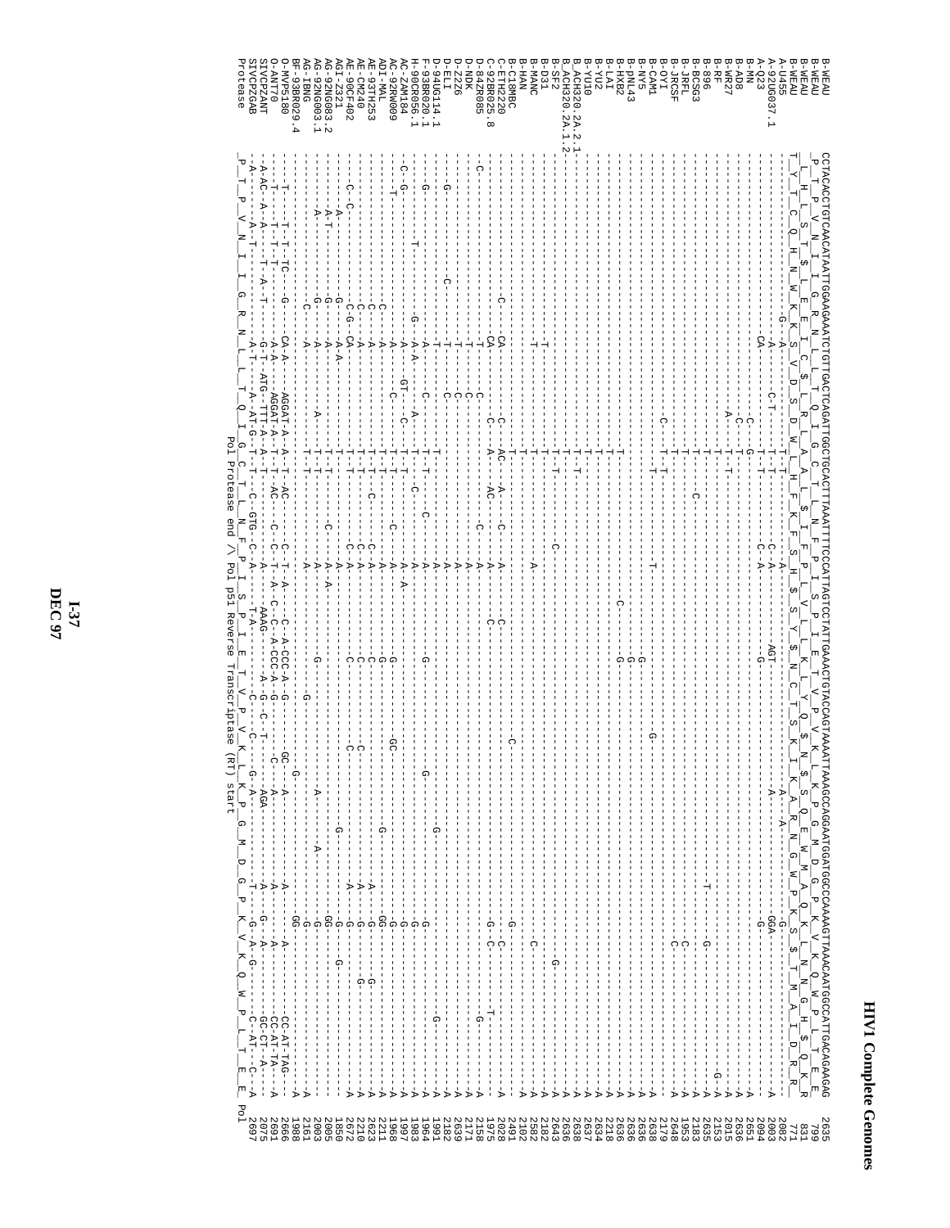| Pol                                                                                                                                                                                                                              | ี่≍<br>$\mathbb{P}^1$<br>$C = -TT - -C$<br>F<br>ļ,<br>Þ<br>$\mathsf I$<br>며<br> <br>А | İΩ.<br>ည<br>부<br><del>יט</del><br>$\frac{1}{2}$<br>⊲<br>$\sum_{i=1}^{n}$<br>'<br>ှု<br>þ | $-9 - -9 -$<br>יט <sup>ן</sup><br>ຸດ<br>s    |                  |           |                          |                                   | AT-G                             | Þ                                                                                                       | rotease<br><b>IVCPZGAB</b> |
|----------------------------------------------------------------------------------------------------------------------------------------------------------------------------------------------------------------------------------|---------------------------------------------------------------------------------------|------------------------------------------------------------------------------------------|----------------------------------------------|------------------|-----------|--------------------------|-----------------------------------|----------------------------------|---------------------------------------------------------------------------------------------------------|----------------------------|
|                                                                                                                                                                                                                                  | $-90-07-0$<br>$\begin{array}{c} 1 \\ 1 \\ 1 \end{array}$<br>I                         | $\mathbf{I}$<br>$-V -$<br>$\frac{1}{1}$<br>$-1$<br>$A---$<br>J                           | $\frac{1}{1}$<br>$AGA -$<br>I                | Ω<br>I<br>I      |           |                          |                                   | ់<br>មុ<br>$A T G - T T T T - A$ | $A - AC$                                                                                                | IVCPZANT                   |
|                                                                                                                                                                                                                                  | $-00-14T-17A-$<br>$\mathbf{I}$<br>ъ                                                   | $-\Delta$ -<br>J<br>$\sum_{i=1}^{n}$                                                     | J<br>$A -$                                   | ⋒<br>$\Gamma$    | CCC-A     |                          |                                   | $AGGAT - A -$                    |                                                                                                         | $-$ ANT 70                 |
|                                                                                                                                                                                                                                  | $- - - - - - - - - - - -$<br>$\mathbb I$                                              | ÷<br>$\frac{1}{1}$<br>ļ<br>$-4-$<br>I                                                    | $-4$                                         | Ω<br>$- - - - -$ | A-CCC-A-- |                          | $AGGAT - A - -A - -$<br>$T = -AC$ | A-AS                             |                                                                                                         | <b>MVP5180</b>             |
| אפשר המשפח המספר האפשר המספר המספר המספר המספר המספר המספר המספר המספר המספר המספר המספר המספר המספר המספר המס<br>המספר המספר המספר המספר המספר המספר המספר המספר המספר המספר המספר המספר המספר המספר המספר המספר המספר המספר המ | I<br>1<br>Ï<br>1<br>$\overline{\phantom{a}}$<br>ъ                                     | I<br>$\mathbf{I}$<br>යි<br>-<br>I                                                        | ဂု<br> <br>I                                 | ı                |           |                          |                                   |                                  |                                                                                                         | P-93BR029<br>4             |
|                                                                                                                                                                                                                                  | Þ                                                                                     | $\overline{1}$<br>ပ္ပ်                                                                   | $\overline{1}$                               |                  |           |                          |                                   |                                  |                                                                                                         | -TBNG                      |
|                                                                                                                                                                                                                                  | ı                                                                                     | $\overline{Y}$<br>J.<br>J,<br>$\frac{1}{1}$<br>л                                         | J,<br>⊅<br>ł<br>ł                            | J.               |           |                          |                                   | ♭                                | A<br>ဂု<br>ゼ                                                                                            | $-92NGO03.1$               |
|                                                                                                                                                                                                                                  |                                                                                       | $\blacksquare$<br>-66-                                                                   |                                              |                  |           |                          |                                   | ∀−                               | $\mathbb{F}$<br>ဂု                                                                                      | $G - 92MC083.2$            |
|                                                                                                                                                                                                                                  | л<br>$\mathbb I$                                                                      | л<br>J,<br>$\frac{1}{\Omega}$<br>ţ<br>--0--                                              | ł<br>Ω<br>ł                                  |                  |           |                          |                                   |                                  | ÷<br>P<br>ဂု                                                                                            | GI-Z321                    |
|                                                                                                                                                                                                                                  | $\frac{1}{1}$<br>ゼ                                                                    | $\overline{A}$<br>$\frac{1}{1}$<br>Ω<br>т.<br>I.<br>ı<br>1<br>I<br>J<br>$\overline{1}$   |                                              |                  |           |                          |                                   |                                  | ု<br>င-<br>ဝ-<br>CA-                                                                                    | $-90$ CF402                |
|                                                                                                                                                                                                                                  | ဂူ<br>ъ                                                                               | $-\Delta -$<br>$\overline{1}$<br>$\dot{\mathsf{p}}$<br>$\overline{\phantom{a}}$          |                                              |                  |           |                          |                                   |                                  | Q<br>Þ                                                                                                  | E-CM240                    |
|                                                                                                                                                                                                                                  | $-1 - 1 - 1$<br>J<br>ъ                                                                | $-V -$<br>$- - -$                                                                        |                                              |                  | ∩         | ٢                        |                                   |                                  | Q<br>⊅                                                                                                  | E-93TH253                  |
|                                                                                                                                                                                                                                  | $\frac{1}{1}$<br>ъ                                                                    | $\frac{1}{1}$<br><u>යි</u><br>$\overline{1}$                                             | ⋒                                            |                  |           |                          |                                   |                                  |                                                                                                         | DI-MAL                     |
|                                                                                                                                                                                                                                  | J<br>ъ                                                                                | Ţ<br>$\frac{1}{\Omega}$<br>ł                                                             | ł                                            |                  | Ω         | ٢                        |                                   |                                  | ⊅                                                                                                       | C-92RM009                  |
|                                                                                                                                                                                                                                  | J<br>ゼ                                                                                | I<br>J<br>$\mathbf{I}$<br><u>ဂုံ</u><br> <br>I                                           | J<br>$\overline{1}$                          |                  |           | $A -$                    |                                   |                                  | ဂု<br>⋗                                                                                                 | <b>C-ZAM184</b>            |
|                                                                                                                                                                                                                                  | ļ.<br>ъ                                                                               | ပြ                                                                                       | $\overline{1}$                               | $\blacksquare$   |           |                          |                                   |                                  | Ω                                                                                                       | -90CR056.                  |
|                                                                                                                                                                                                                                  | Ť<br>ゼ                                                                                | Ω                                                                                        | ဂု                                           |                  |           | ۲                        |                                   | á                                | Ω                                                                                                       | 93BR020.1                  |
|                                                                                                                                                                                                                                  | $\frac{1}{1}$<br>ļ.<br>Þ                                                              |                                                                                          | $\mathbf{I}$<br>$\overline{1}$<br><u>ဂုံ</u> |                  |           | ٣                        |                                   |                                  |                                                                                                         | 94UGI14.                   |
|                                                                                                                                                                                                                                  | J<br>л<br>J,<br>J<br>ъ                                                                |                                                                                          |                                              |                  |           | ⊅                        |                                   | Q                                | ⋒                                                                                                       | İH                         |
|                                                                                                                                                                                                                                  | J<br>J.<br>$\overline{\phantom{a}}$<br>Ť<br>ゼ                                         |                                                                                          |                                              |                  |           |                          |                                   | റ                                |                                                                                                         | 9ZZZ                       |
|                                                                                                                                                                                                                                  | $\frac{1}{1}$<br>J<br>ъ                                                               |                                                                                          |                                              |                  |           |                          |                                   | ά                                |                                                                                                         | -NDK                       |
|                                                                                                                                                                                                                                  | $-6 -$<br>J<br>ゼ                                                                      |                                                                                          |                                              |                  |           |                          |                                   |                                  |                                                                                                         |                            |
|                                                                                                                                                                                                                                  | $\frac{1}{1}$<br>J<br>$\mathbf{I}$                                                    |                                                                                          |                                              |                  |           |                          |                                   |                                  |                                                                                                         | $-84ZRO85$<br>92BR025      |
|                                                                                                                                                                                                                                  | $\frac{1}{1}$                                                                         | $-6 -$<br>Q<br>$\frac{1}{1}$                                                             |                                              |                  |           |                          |                                   |                                  |                                                                                                         | $\frac{1}{\infty}$         |
|                                                                                                                                                                                                                                  | J,<br>$- - A$                                                                         | $\mathbf{I}$<br>$\frac{1}{1}$<br>C<br>ł                                                  |                                              |                  |           |                          | ð                                 |                                  |                                                                                                         | ETH2220                    |
|                                                                                                                                                                                                                                  | $\frac{1}{1}$                                                                         | န<br> <br>I                                                                              |                                              |                  |           |                          |                                   |                                  |                                                                                                         | -C18MBC                    |
|                                                                                                                                                                                                                                  | J<br>ъ                                                                                |                                                                                          |                                              |                  |           |                          |                                   |                                  |                                                                                                         | NVH-                       |
|                                                                                                                                                                                                                                  | J<br>ъ                                                                                | ı<br>$\overline{\phantom{a}}$<br>ך<br>--                                                 |                                              |                  |           |                          |                                   |                                  |                                                                                                         | -MANC                      |
|                                                                                                                                                                                                                                  | ļ.<br>⋗                                                                               | $\begin{array}{c} \hline \end{array}$<br>$\overline{1}$                                  |                                              |                  |           |                          |                                   |                                  |                                                                                                         | $-D31$                     |
|                                                                                                                                                                                                                                  | J<br>ъ                                                                                | I,<br>$\mathbb{I}$<br>ငှ<br>Ì<br>п                                                       |                                              |                  |           |                          |                                   |                                  |                                                                                                         | $-5F2$                     |
|                                                                                                                                                                                                                                  | J<br>Þ                                                                                |                                                                                          |                                              |                  |           |                          |                                   |                                  |                                                                                                         | ACH320                     |
|                                                                                                                                                                                                                                  | J<br>ъ                                                                                |                                                                                          |                                              |                  |           |                          |                                   |                                  |                                                                                                         | ACH320                     |
|                                                                                                                                                                                                                                  | J<br>ゼ                                                                                |                                                                                          |                                              |                  |           |                          |                                   |                                  |                                                                                                         | OTOJ-                      |
|                                                                                                                                                                                                                                  | $\frac{1}{1}$<br>ъ                                                                    |                                                                                          |                                              |                  |           |                          |                                   |                                  |                                                                                                         | $Z\Omega X -$              |
|                                                                                                                                                                                                                                  | J<br>ъ                                                                                |                                                                                          |                                              |                  |           |                          |                                   |                                  |                                                                                                         | $T \nabla T -$             |
|                                                                                                                                                                                                                                  | ļ.<br>Þ                                                                               |                                                                                          |                                              |                  |           |                          |                                   |                                  |                                                                                                         | -HXB2                      |
|                                                                                                                                                                                                                                  | ł<br>ъ                                                                                |                                                                                          |                                              |                  | Ω         |                          |                                   |                                  |                                                                                                         | -pNL43                     |
|                                                                                                                                                                                                                                  | J<br>ъ                                                                                |                                                                                          |                                              |                  | Ω         |                          |                                   |                                  |                                                                                                         | $SAN$ -                    |
|                                                                                                                                                                                                                                  | ļ.<br>⊅                                                                               |                                                                                          |                                              |                  |           |                          |                                   |                                  |                                                                                                         | -CAM1                      |
|                                                                                                                                                                                                                                  | т<br>$\mathsf I$                                                                      |                                                                                          |                                              |                  |           |                          |                                   |                                  |                                                                                                         | $LXO-$                     |
|                                                                                                                                                                                                                                  | J<br>Þ                                                                                | $\overline{1}$<br>G<br>J                                                                 |                                              |                  |           |                          |                                   |                                  |                                                                                                         | -JRCSF                     |
|                                                                                                                                                                                                                                  | $\frac{1}{1}$<br>⊅                                                                    | I,<br>I.<br>Ω                                                                            |                                              |                  |           |                          |                                   |                                  |                                                                                                         | -JRFL                      |
|                                                                                                                                                                                                                                  | ł<br>ゼ                                                                                |                                                                                          |                                              |                  |           |                          |                                   |                                  |                                                                                                         | -BCSG3                     |
|                                                                                                                                                                                                                                  | I<br>J<br>ゼ                                                                           | н<br>ť<br>I,<br>I                                                                        |                                              |                  |           |                          |                                   |                                  |                                                                                                         | $-896$                     |
|                                                                                                                                                                                                                                  | $\frac{1}{1}$<br>ъ                                                                    |                                                                                          |                                              |                  |           |                          |                                   |                                  |                                                                                                         |                            |
|                                                                                                                                                                                                                                  |                                                                                       |                                                                                          |                                              |                  |           |                          |                                   |                                  |                                                                                                         | 님<br>먹                     |
|                                                                                                                                                                                                                                  | ļ.<br>Þ                                                                               |                                                                                          |                                              |                  |           |                          |                                   |                                  |                                                                                                         | $S - ADB$<br>$S - WR$ 27   |
|                                                                                                                                                                                                                                  | J<br>ъ                                                                                |                                                                                          |                                              |                  |           |                          |                                   |                                  |                                                                                                         |                            |
|                                                                                                                                                                                                                                  | J<br>Þ                                                                                |                                                                                          | $\frac{1}{1}$                                |                  |           |                          |                                   |                                  |                                                                                                         | 」<br>互                     |
|                                                                                                                                                                                                                                  | I<br>I<br>L<br>Ĭ.<br>т<br>I.                                                          | Ĭ.<br>I<br>I<br>$\frac{1}{1}$<br>I<br>I,<br>ı                                            | л                                            | ı                | ှု        | ף<br>י<br>$\overline{r}$ | $\frac{1}{1}$                     |                                  | $-CA -$                                                                                                 | $-523$                     |
|                                                                                                                                                                                                                                  | ъ                                                                                     | $-66A-$                                                                                  | ⊅                                            |                  | AGT-      | $\mathbb{A}$             |                                   |                                  |                                                                                                         | $-920G037$                 |
|                                                                                                                                                                                                                                  |                                                                                       | Ω<br>$\overline{1}$                                                                      | ኌ                                            |                  |           |                          |                                   |                                  | ⊅                                                                                                       | $-13455$                   |
|                                                                                                                                                                                                                                  | 3<br>母<br>ᆽ<br>ᆽ                                                                      | ົດ<br>z<br>ᡃ<br>'n<br>-0                                                                 | π<br>z                                       |                  |           |                          |                                   |                                  |                                                                                                         | -WEAU                      |
|                                                                                                                                                                                                                                  | z<br>Ξ<br>Ω<br>Ξ<br>F<br>ω<br>д<br>O<br>'n<br>ਂਸ਼                                     | ε<br>ō,<br>⋜<br>ъ<br>O<br>z<br>ю                                                         | īω.<br>0<br>ູ່ດ<br>囝                         | įω               |           |                          |                                   |                                  |                                                                                                         | <b>NEAU</b><br>-WEAU       |
|                                                                                                                                                                                                                                  | 'ত<br>'n                                                                              | (ဂ<br>.۳<br>⋞                                                                            | ᡃ<br>z                                       |                  |           | ŋ<br>ᡃ                   |                                   |                                  | J<br>Ω                                                                                                  |                            |
|                                                                                                                                                                                                                                  |                                                                                       | ATTAAAGCCAGGAATGGATGGCCCAAAAGTTAAACAATGGCCATTGACAGAAGAG                                  |                                              |                  |           |                          |                                   |                                  | CURCACCUGTGRACAIRAITTGGRAGARATCTGTTGACTCAGATTGGCTGCACTTTRAATTTTCCCATTRGTCCTATTTGRAATTGTGCACTGTACCAGTAAR | -WEAU                      |

Pol Protease end // Pol p51 Reverse Transcriptase (RT) start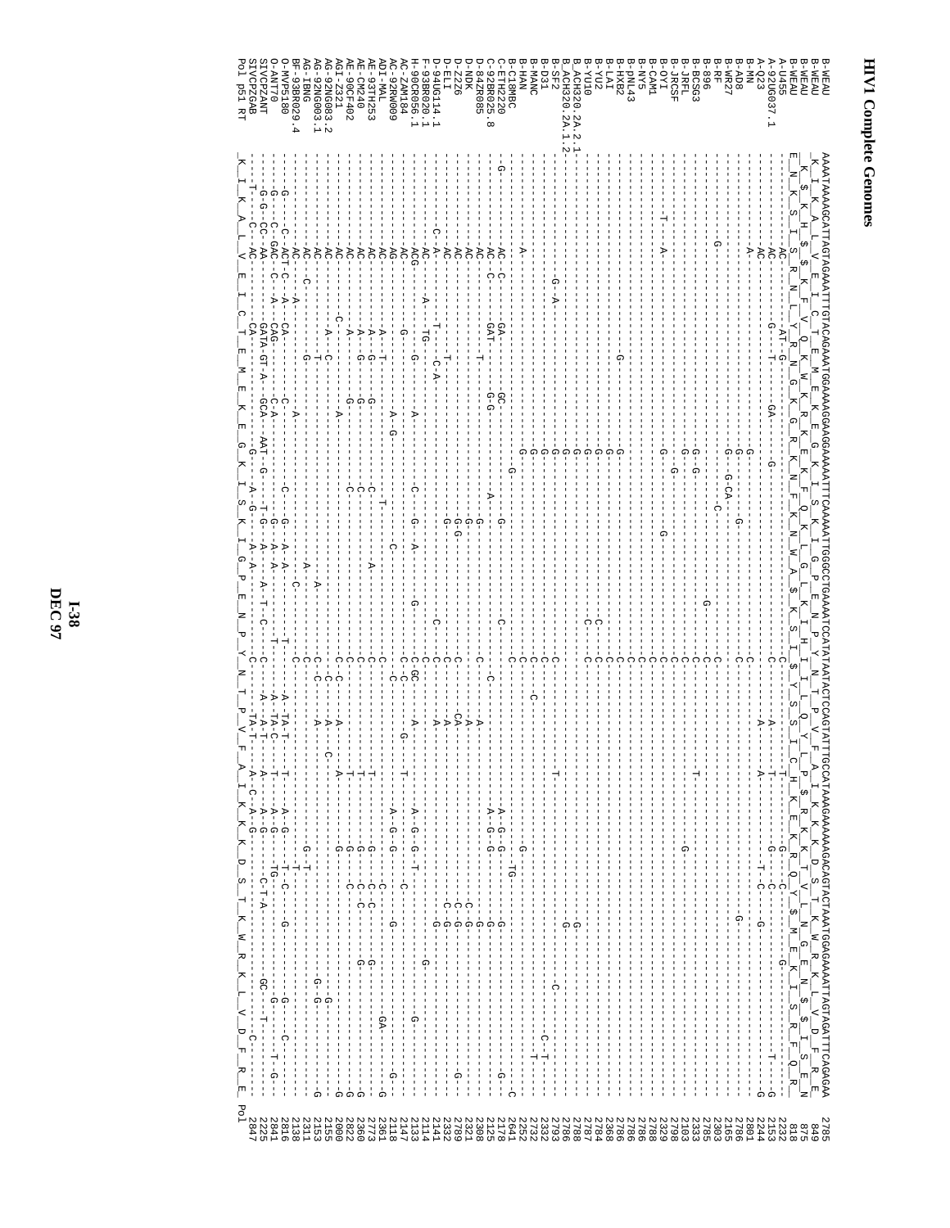| ∩<br>Ω<br>G<br>Ω<br>G<br>L.<br>∩<br>$\mathbf{I}$<br>I<br>ł<br>ŧ<br>т<br>л<br>ł<br>ŧ<br>ŧ<br>$\frac{1}{1}$<br>H.<br>$\frac{1}{1}$<br>$\mathbf{I}$<br>л<br>$\overline{1}$<br>$\mathbf I$<br>Q<br>C<br>C<br>Ω<br>Ţ<br>Ţ<br>J.<br>I<br>I<br>J.<br>$\mathbf{I}$<br>Ţ<br>$\mathbf{I}$<br>I<br>$\mathbf{I}$<br>$\blacksquare$<br>л<br>л<br>л<br>I<br>$\mathbf{I}$<br>Ω<br>Ω<br>Ω<br>Ω<br>Ω<br>Ţ<br>J.<br>J<br>$\mathbf{I}$<br>I.<br>$\mathbf{I}$<br>$\overline{\phantom{a}}$<br>I.<br>T<br>п<br>J.<br>J.<br>$\mathbf{I}$<br>$\mathbf{I}$<br>$\mathbf{I}$<br>л<br>1<br>J,<br>I<br>I<br>J,<br>J.<br>I<br>J.<br>$\frac{1}{1}$<br>$\mathbf{I}$<br>ဂူ<br>Ġ<br>Ω<br>J,<br>ı<br>т<br>I<br>$\mathbf{I}$<br>I<br>J.<br>$\frac{1}{1}$<br>I,<br>I<br>I<br>$\overline{1}$<br>$\mathbf{I}$<br>J.<br>$\overline{1}$<br>L<br>л<br>I.<br>I<br>နဲ့<br>$\frac{1}{\Omega}$<br>$\frac{1}{\Omega}$<br>ဂု<br>п<br>л<br>т<br>I<br>I<br>т<br>I<br>$\Gamma$<br>J.<br>J,<br>J,<br>$C_A -$<br>I<br>ı<br>п<br>J.<br>л<br>л<br>J,<br>J.<br>J,<br>I<br>C<br>л<br>I<br>$\mathbf{I}$<br>I<br>ı<br>ш<br>н<br>J,<br>I<br>$\mathbf{I}$<br>J.<br>I.<br>л<br>J,<br>ı<br>1<br>п<br>ı<br>ဂု<br>ဂှ<br>I<br>I<br>$\mathbf{I}$<br>ဂှ<br>I<br>ı<br>J,<br>J<br>ł<br>I<br>I<br>I | ှ<br>ł<br>I<br>Ļ<br>ł<br>$-\frac{1}{2}$<br>Н<br>н<br>闩<br>н<br>н<br>I<br>Ľ<br>$\overline{\phantom{a}}$<br>$\blacksquare$<br>J<br>$\mathbf{I}$<br>I<br>п<br>л<br>$\mathbf{I}$<br>$A$ – $-$<br>$-4$<br>$A - -G - -$<br>$A -$<br>т<br>J<br>$\mathbf{I}$<br>ဂ္<br>ဂု<br>ှ<br>л<br>$\mathbf{I}$<br>J,<br>ı<br>J.<br>п<br>$\overline{1}$<br>j.<br>$\mathbf{I}$<br>ဂူ<br>$-1$<br>$-1$<br>⋒<br>ဂု<br>ω<br>ဂ္<br>л<br>л<br>$\mathbf{I}$<br>$\mathbf I$<br>Ì<br>J.<br>1<br>-1<br>I<br>I,<br>$\frac{1}{2}$<br>$\frac{1}{1}$<br>TG-<br>부<br>۲<br>ا<br>J.<br>п<br>п<br>п<br>л<br>л<br>т<br>л<br>H.<br>ı | -90-2<br>ဂု<br>ု<br>⊄ | Ģ.     | ⊅<br>CAG.<br>C-A<br>∩ | Ω<br>$-GAC$<br>Q     |
|------------------------------------------------------------------------------------------------------------------------------------------------------------------------------------------------------------------------------------------------------------------------------------------------------------------------------------------------------------------------------------------------------------------------------------------------------------------------------------------------------------------------------------------------------------------------------------------------------------------------------------------------------------------------------------------------------------------------------------------------------------------------------------------------------------------------------------------------------------------------------------------------------------------------------------------------------------------------------------------------------------------------------------------------------------------------------------------------------------------------------------------------------------------------------------------------------------------------------|--------------------------------------------------------------------------------------------------------------------------------------------------------------------------------------------------------------------------------------------------------------------------------------------------------------------------------------------------------------------------------------------------------------------------------------------------------------------------------------------------------------------------------------------------------------------------------------------|-----------------------|--------|-----------------------|----------------------|
|                                                                                                                                                                                                                                                                                                                                                                                                                                                                                                                                                                                                                                                                                                                                                                                                                                                                                                                                                                                                                                                                                                                                                                                                                              |                                                                                                                                                                                                                                                                                                                                                                                                                                                                                                                                                                                            |                       |        |                       | Ω<br>C--ACT-C        |
|                                                                                                                                                                                                                                                                                                                                                                                                                                                                                                                                                                                                                                                                                                                                                                                                                                                                                                                                                                                                                                                                                                                                                                                                                              |                                                                                                                                                                                                                                                                                                                                                                                                                                                                                                                                                                                            |                       |        |                       | Ř                    |
|                                                                                                                                                                                                                                                                                                                                                                                                                                                                                                                                                                                                                                                                                                                                                                                                                                                                                                                                                                                                                                                                                                                                                                                                                              |                                                                                                                                                                                                                                                                                                                                                                                                                                                                                                                                                                                            |                       |        |                       | Š<br>ė               |
|                                                                                                                                                                                                                                                                                                                                                                                                                                                                                                                                                                                                                                                                                                                                                                                                                                                                                                                                                                                                                                                                                                                                                                                                                              |                                                                                                                                                                                                                                                                                                                                                                                                                                                                                                                                                                                            |                       |        |                       | R                    |
|                                                                                                                                                                                                                                                                                                                                                                                                                                                                                                                                                                                                                                                                                                                                                                                                                                                                                                                                                                                                                                                                                                                                                                                                                              |                                                                                                                                                                                                                                                                                                                                                                                                                                                                                                                                                                                            |                       |        |                       | ð                    |
|                                                                                                                                                                                                                                                                                                                                                                                                                                                                                                                                                                                                                                                                                                                                                                                                                                                                                                                                                                                                                                                                                                                                                                                                                              |                                                                                                                                                                                                                                                                                                                                                                                                                                                                                                                                                                                            |                       |        | $\overline{v}$<br>Ω   | R<br>R               |
|                                                                                                                                                                                                                                                                                                                                                                                                                                                                                                                                                                                                                                                                                                                                                                                                                                                                                                                                                                                                                                                                                                                                                                                                                              |                                                                                                                                                                                                                                                                                                                                                                                                                                                                                                                                                                                            |                       |        | ά<br>Ω                | Ż                    |
|                                                                                                                                                                                                                                                                                                                                                                                                                                                                                                                                                                                                                                                                                                                                                                                                                                                                                                                                                                                                                                                                                                                                                                                                                              |                                                                                                                                                                                                                                                                                                                                                                                                                                                                                                                                                                                            |                       |        | $-4$<br>ဂု            | Š                    |
|                                                                                                                                                                                                                                                                                                                                                                                                                                                                                                                                                                                                                                                                                                                                                                                                                                                                                                                                                                                                                                                                                                                                                                                                                              |                                                                                                                                                                                                                                                                                                                                                                                                                                                                                                                                                                                            |                       |        | Þ                     | Ř                    |
|                                                                                                                                                                                                                                                                                                                                                                                                                                                                                                                                                                                                                                                                                                                                                                                                                                                                                                                                                                                                                                                                                                                                                                                                                              |                                                                                                                                                                                                                                                                                                                                                                                                                                                                                                                                                                                            |                       |        | A-                    | á                    |
|                                                                                                                                                                                                                                                                                                                                                                                                                                                                                                                                                                                                                                                                                                                                                                                                                                                                                                                                                                                                                                                                                                                                                                                                                              |                                                                                                                                                                                                                                                                                                                                                                                                                                                                                                                                                                                            |                       |        | Ω                     | Š                    |
|                                                                                                                                                                                                                                                                                                                                                                                                                                                                                                                                                                                                                                                                                                                                                                                                                                                                                                                                                                                                                                                                                                                                                                                                                              |                                                                                                                                                                                                                                                                                                                                                                                                                                                                                                                                                                                            |                       | ႁ<br>ኴ | ဂု<br>A-              | ACG-                 |
|                                                                                                                                                                                                                                                                                                                                                                                                                                                                                                                                                                                                                                                                                                                                                                                                                                                                                                                                                                                                                                                                                                                                                                                                                              |                                                                                                                                                                                                                                                                                                                                                                                                                                                                                                                                                                                            |                       |        | ှ                     | $\frac{1}{2}$<br>RC. |
|                                                                                                                                                                                                                                                                                                                                                                                                                                                                                                                                                                                                                                                                                                                                                                                                                                                                                                                                                                                                                                                                                                                                                                                                                              |                                                                                                                                                                                                                                                                                                                                                                                                                                                                                                                                                                                            | →<br>≯                |        |                       | $-AC$ .              |
|                                                                                                                                                                                                                                                                                                                                                                                                                                                                                                                                                                                                                                                                                                                                                                                                                                                                                                                                                                                                                                                                                                                                                                                                                              |                                                                                                                                                                                                                                                                                                                                                                                                                                                                                                                                                                                            |                       |        |                       | Ř                    |
| L<br>I<br>G<br>Ţ<br>Ω<br>Ţ<br>п<br>ı<br>ì                                                                                                                                                                                                                                                                                                                                                                                                                                                                                                                                                                                                                                                                                                                                                                                                                                                                                                                                                                                                                                                                                                                                                                                    | I<br>ı<br>ı                                                                                                                                                                                                                                                                                                                                                                                                                                                                                                                                                                                | ♭                     |        |                       | $-AC$                |
| J.<br>т<br>Ω<br>$\mathbf{I}$<br>п<br>ı<br>ı<br>J                                                                                                                                                                                                                                                                                                                                                                                                                                                                                                                                                                                                                                                                                                                                                                                                                                                                                                                                                                                                                                                                                                                                                                             |                                                                                                                                                                                                                                                                                                                                                                                                                                                                                                                                                                                            |                       | Ģ      |                       | Š                    |
| $\overline{1}$<br>$\overline{1}$<br>Ω<br>$\blacksquare$                                                                                                                                                                                                                                                                                                                                                                                                                                                                                                                                                                                                                                                                                                                                                                                                                                                                                                                                                                                                                                                                                                                                                                      | $-\frac{1}{2}$<br>ω<br>$\frac{1}{1}$<br>ω<br>$\mathbf{I}$                                                                                                                                                                                                                                                                                                                                                                                                                                                                                                                                  |                       |        |                       | R                    |
| I<br>I<br>J<br>I<br>J.<br>Ω<br>I<br>п<br>I<br>I<br>$-6 -$                                                                                                                                                                                                                                                                                                                                                                                                                                                                                                                                                                                                                                                                                                                                                                                                                                                                                                                                                                                                                                                                                                                                                                    | I<br>$\ddot{z}$<br>ှ<br>ဂု<br>I<br>I<br>$\frac{1}{1}$                                                                                                                                                                                                                                                                                                                                                                                                                                                                                                                                      |                       |        | සි                    | AC.                  |
| ı<br>I.<br>I<br>т<br>ı<br>I<br>п<br>ı                                                                                                                                                                                                                                                                                                                                                                                                                                                                                                                                                                                                                                                                                                                                                                                                                                                                                                                                                                                                                                                                                                                                                                                        | т<br>ı<br><b>TG--</b>                                                                                                                                                                                                                                                                                                                                                                                                                                                                                                                                                                      |                       |        |                       |                      |
| J.<br>ı<br>$\overline{\phantom{a}}$<br>л<br>J,<br>J.<br>л<br>ı                                                                                                                                                                                                                                                                                                                                                                                                                                                                                                                                                                                                                                                                                                                                                                                                                                                                                                                                                                                                                                                                                                                                                               | J.<br>ဂု<br>п<br>п<br>$\mathbf I$<br>$\mathbf{I}$<br>п<br>л.<br>1                                                                                                                                                                                                                                                                                                                                                                                                                                                                                                                          |                       |        |                       |                      |
| I<br>$\mathbf{I}$<br>$\mathbf{I}$<br>т<br>$C -$<br>Ý<br>けー<br>$\mathbf{I}$<br>J                                                                                                                                                                                                                                                                                                                                                                                                                                                                                                                                                                                                                                                                                                                                                                                                                                                                                                                                                                                                                                                                                                                                              | $\mathbf{I}$<br>I                                                                                                                                                                                                                                                                                                                                                                                                                                                                                                                                                                          |                       | ⋒      |                       |                      |
| л<br>د.<br>أ                                                                                                                                                                                                                                                                                                                                                                                                                                                                                                                                                                                                                                                                                                                                                                                                                                                                                                                                                                                                                                                                                                                                                                                                                 | 부                                                                                                                                                                                                                                                                                                                                                                                                                                                                                                                                                                                          |                       | ⋒      |                       | ⋒                    |
| Ω<br>$\overline{\phantom{a}}$<br>$\mathbf{I}$                                                                                                                                                                                                                                                                                                                                                                                                                                                                                                                                                                                                                                                                                                                                                                                                                                                                                                                                                                                                                                                                                                                                                                                |                                                                                                                                                                                                                                                                                                                                                                                                                                                                                                                                                                                            |                       | ດ      |                       |                      |
| л<br>I<br>л<br>Ω<br>J.<br>л<br>J,<br>I<br>I<br>л                                                                                                                                                                                                                                                                                                                                                                                                                                                                                                                                                                                                                                                                                                                                                                                                                                                                                                                                                                                                                                                                                                                                                                             | л<br>л                                                                                                                                                                                                                                                                                                                                                                                                                                                                                                                                                                                     |                       | Ω      |                       |                      |
|                                                                                                                                                                                                                                                                                                                                                                                                                                                                                                                                                                                                                                                                                                                                                                                                                                                                                                                                                                                                                                                                                                                                                                                                                              |                                                                                                                                                                                                                                                                                                                                                                                                                                                                                                                                                                                            |                       | ⋒      |                       |                      |
|                                                                                                                                                                                                                                                                                                                                                                                                                                                                                                                                                                                                                                                                                                                                                                                                                                                                                                                                                                                                                                                                                                                                                                                                                              |                                                                                                                                                                                                                                                                                                                                                                                                                                                                                                                                                                                            |                       | ଜ      |                       |                      |
| J<br>ı                                                                                                                                                                                                                                                                                                                                                                                                                                                                                                                                                                                                                                                                                                                                                                                                                                                                                                                                                                                                                                                                                                                                                                                                                       |                                                                                                                                                                                                                                                                                                                                                                                                                                                                                                                                                                                            |                       | Ω      |                       |                      |
|                                                                                                                                                                                                                                                                                                                                                                                                                                                                                                                                                                                                                                                                                                                                                                                                                                                                                                                                                                                                                                                                                                                                                                                                                              |                                                                                                                                                                                                                                                                                                                                                                                                                                                                                                                                                                                            |                       |        |                       |                      |
|                                                                                                                                                                                                                                                                                                                                                                                                                                                                                                                                                                                                                                                                                                                                                                                                                                                                                                                                                                                                                                                                                                                                                                                                                              |                                                                                                                                                                                                                                                                                                                                                                                                                                                                                                                                                                                            |                       |        |                       |                      |
|                                                                                                                                                                                                                                                                                                                                                                                                                                                                                                                                                                                                                                                                                                                                                                                                                                                                                                                                                                                                                                                                                                                                                                                                                              |                                                                                                                                                                                                                                                                                                                                                                                                                                                                                                                                                                                            |                       |        |                       |                      |
|                                                                                                                                                                                                                                                                                                                                                                                                                                                                                                                                                                                                                                                                                                                                                                                                                                                                                                                                                                                                                                                                                                                                                                                                                              |                                                                                                                                                                                                                                                                                                                                                                                                                                                                                                                                                                                            |                       |        |                       |                      |
|                                                                                                                                                                                                                                                                                                                                                                                                                                                                                                                                                                                                                                                                                                                                                                                                                                                                                                                                                                                                                                                                                                                                                                                                                              |                                                                                                                                                                                                                                                                                                                                                                                                                                                                                                                                                                                            |                       |        |                       |                      |
|                                                                                                                                                                                                                                                                                                                                                                                                                                                                                                                                                                                                                                                                                                                                                                                                                                                                                                                                                                                                                                                                                                                                                                                                                              |                                                                                                                                                                                                                                                                                                                                                                                                                                                                                                                                                                                            |                       |        |                       |                      |
|                                                                                                                                                                                                                                                                                                                                                                                                                                                                                                                                                                                                                                                                                                                                                                                                                                                                                                                                                                                                                                                                                                                                                                                                                              | ဂု                                                                                                                                                                                                                                                                                                                                                                                                                                                                                                                                                                                         |                       |        |                       |                      |
|                                                                                                                                                                                                                                                                                                                                                                                                                                                                                                                                                                                                                                                                                                                                                                                                                                                                                                                                                                                                                                                                                                                                                                                                                              | 년                                                                                                                                                                                                                                                                                                                                                                                                                                                                                                                                                                                          |                       |        |                       |                      |
| ı<br>ı                                                                                                                                                                                                                                                                                                                                                                                                                                                                                                                                                                                                                                                                                                                                                                                                                                                                                                                                                                                                                                                                                                                                                                                                                       | J.<br>I<br>ı                                                                                                                                                                                                                                                                                                                                                                                                                                                                                                                                                                               |                       |        |                       |                      |
|                                                                                                                                                                                                                                                                                                                                                                                                                                                                                                                                                                                                                                                                                                                                                                                                                                                                                                                                                                                                                                                                                                                                                                                                                              |                                                                                                                                                                                                                                                                                                                                                                                                                                                                                                                                                                                            |                       |        |                       |                      |
|                                                                                                                                                                                                                                                                                                                                                                                                                                                                                                                                                                                                                                                                                                                                                                                                                                                                                                                                                                                                                                                                                                                                                                                                                              |                                                                                                                                                                                                                                                                                                                                                                                                                                                                                                                                                                                            |                       | G-CA   |                       |                      |
| I<br>J.<br>л<br>I<br>$\frac{1}{1}$<br>л<br>J,<br>I<br>I<br>л<br>ш                                                                                                                                                                                                                                                                                                                                                                                                                                                                                                                                                                                                                                                                                                                                                                                                                                                                                                                                                                                                                                                                                                                                                            | J,<br>I<br>J.<br>л<br>л<br>J,<br>J<br>J.<br>л                                                                                                                                                                                                                                                                                                                                                                                                                                                                                                                                              |                       |        |                       |                      |
|                                                                                                                                                                                                                                                                                                                                                                                                                                                                                                                                                                                                                                                                                                                                                                                                                                                                                                                                                                                                                                                                                                                                                                                                                              |                                                                                                                                                                                                                                                                                                                                                                                                                                                                                                                                                                                            |                       |        |                       |                      |
| Ω<br>$\frac{1}{4}$<br>I<br>t<br>л<br>Ġ<br>Ţ<br>т<br>I,<br>I<br>I<br>ı<br>I<br>I<br>ı<br>J<br>ı<br>I,<br>I<br>I<br>$\frac{1}{1}$                                                                                                                                                                                                                                                                                                                                                                                                                                                                                                                                                                                                                                                                                                                                                                                                                                                                                                                                                                                                                                                                                              | --9--<br>I.<br>л<br>ı<br>ı<br>ı<br>п<br>л<br>$\mathbf I$<br>Ţ<br>۲<br>!                                                                                                                                                                                                                                                                                                                                                                                                                                                                                                                    |                       |        |                       | $AC -$               |
| I.<br>Ω<br>1<br>п<br>ı<br>п<br>ш<br>ı<br>I<br>п<br>ı<br>$\mathsf I$<br>ن<br>ا<br>I                                                                                                                                                                                                                                                                                                                                                                                                                                                                                                                                                                                                                                                                                                                                                                                                                                                                                                                                                                                                                                                                                                                                           | ŧ<br>부<br>J.<br>п<br>H<br>п<br>J.<br>п<br>п<br>ဂု<br>I<br>J<br>ı                                                                                                                                                                                                                                                                                                                                                                                                                                                                                                                           |                       | ဂု     | ႁ<br>CA-              | $-30-$               |
| Ω<br>$\mathbf{I}$<br>G)                                                                                                                                                                                                                                                                                                                                                                                                                                                                                                                                                                                                                                                                                                                                                                                                                                                                                                                                                                                                                                                                                                                                                                                                      | $\mathbf{I}$<br>н<br>$\blacksquare$<br>ω<br>$\mathbf{I}$<br>$\blacksquare$                                                                                                                                                                                                                                                                                                                                                                                                                                                                                                                 |                       |        |                       | R                    |
| ĐΔ<br>z<br>Ħ<br>C۵<br>피<br>Ю<br>ヵ                                                                                                                                                                                                                                                                                                                                                                                                                                                                                                                                                                                                                                                                                                                                                                                                                                                                                                                                                                                                                                                                                                                                                                                            | ∩<br>Ξ<br>固<br>ヵ<br>Ю                                                                                                                                                                                                                                                                                                                                                                                                                                                                                                                                                                      |                       |        |                       |                      |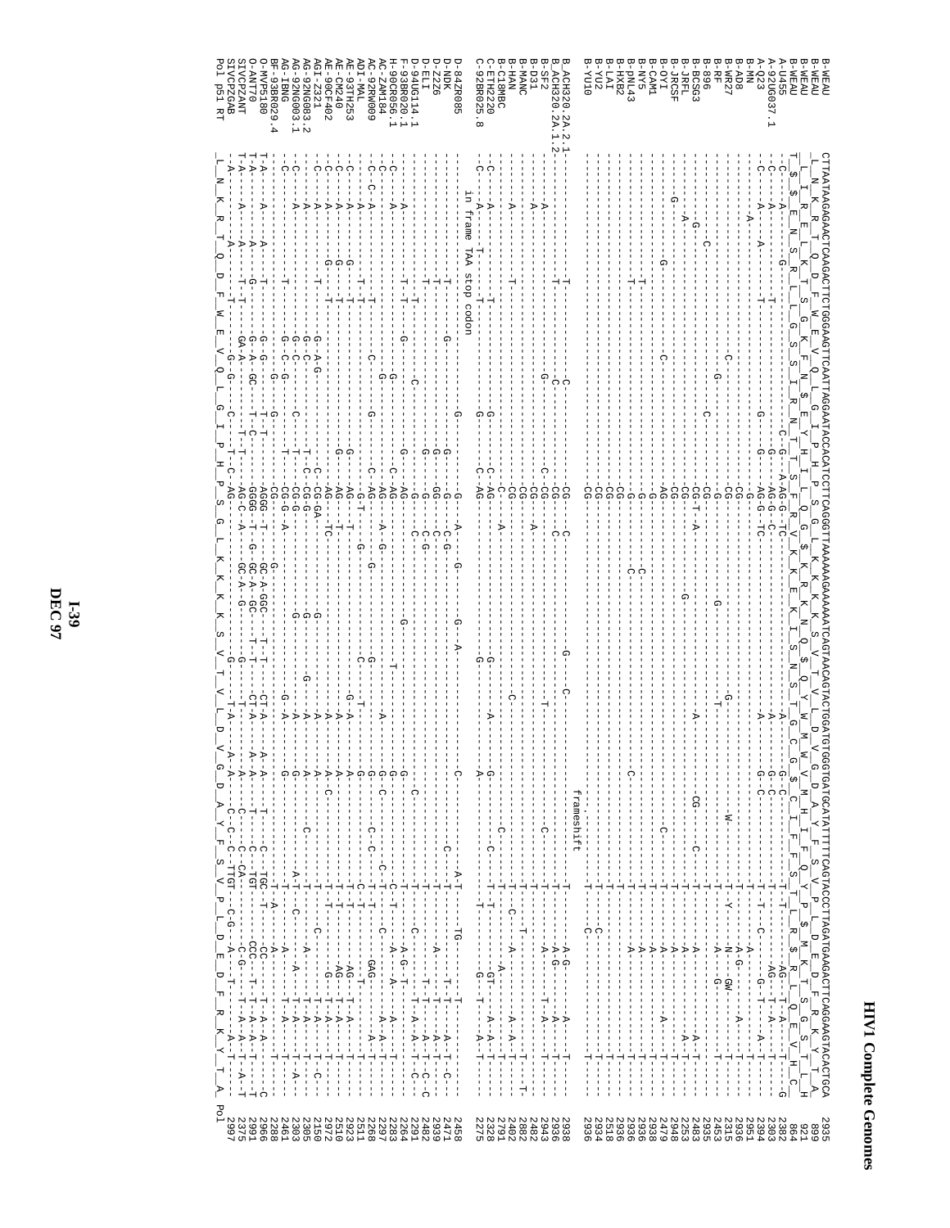|                                                                                                                                            | Ř                                                    | $-\nabla -$<br>⋗                                                                                                                                                                                                                                                                                                                                                           | স্                                                                                                                   | $-\Delta -$<br>Ω                                                                                                                                                                                                                            | $\mathbf{F}$<br>₹                                                              | $-5 - 1$<br>⊅                                                     |                                                                                                                                                                                                                                          | ٢                                                                                                 | ٢                             |                                         |                                                                                                                                                                             |                                                                                                |                                                                                                                                                                                                       | Ë<br>Erame                                                                                                                                       | ∩<br>ゼ                                                                                                                                                                    | $-\Delta -$                                                                                                                                           | $-\mathbf{A}-$                                                                                                                                                                                                                                                                                                                                       |                                                                                                         | $-\Delta -$                                                | ⊄                                                   |                                          |                                       |                                                        |             |                                                                                                                                                                                                                          |                                                                                   |                            |                                                                                  |                                          | ଢ଼                               |                                    |                                         |                                                                                                                                                              |                                           |                                      |                                                                                                                                                                          | $-4-$                                                            | A-                                               |                                                                                        |
|--------------------------------------------------------------------------------------------------------------------------------------------|------------------------------------------------------|----------------------------------------------------------------------------------------------------------------------------------------------------------------------------------------------------------------------------------------------------------------------------------------------------------------------------------------------------------------------------|----------------------------------------------------------------------------------------------------------------------|---------------------------------------------------------------------------------------------------------------------------------------------------------------------------------------------------------------------------------------------|--------------------------------------------------------------------------------|-------------------------------------------------------------------|------------------------------------------------------------------------------------------------------------------------------------------------------------------------------------------------------------------------------------------|---------------------------------------------------------------------------------------------------|-------------------------------|-----------------------------------------|-----------------------------------------------------------------------------------------------------------------------------------------------------------------------------|------------------------------------------------------------------------------------------------|-------------------------------------------------------------------------------------------------------------------------------------------------------------------------------------------------------|--------------------------------------------------------------------------------------------------------------------------------------------------|---------------------------------------------------------------------------------------------------------------------------------------------------------------------------|-------------------------------------------------------------------------------------------------------------------------------------------------------|------------------------------------------------------------------------------------------------------------------------------------------------------------------------------------------------------------------------------------------------------------------------------------------------------------------------------------------------------|---------------------------------------------------------------------------------------------------------|------------------------------------------------------------|-----------------------------------------------------|------------------------------------------|---------------------------------------|--------------------------------------------------------|-------------|--------------------------------------------------------------------------------------------------------------------------------------------------------------------------------------------------------------------------|-----------------------------------------------------------------------------------|----------------------------|----------------------------------------------------------------------------------|------------------------------------------|----------------------------------|------------------------------------|-----------------------------------------|--------------------------------------------------------------------------------------------------------------------------------------------------------------|-------------------------------------------|--------------------------------------|--------------------------------------------------------------------------------------------------------------------------------------------------------------------------|------------------------------------------------------------------|--------------------------------------------------|----------------------------------------------------------------------------------------|
|                                                                                                                                            |                                                      | ဂု                                                                                                                                                                                                                                                                                                                                                                         |                                                                                                                      |                                                                                                                                                                                                                                             |                                                                                |                                                                   |                                                                                                                                                                                                                                          |                                                                                                   |                               |                                         |                                                                                                                                                                             |                                                                                                |                                                                                                                                                                                                       |                                                                                                                                                  |                                                                                                                                                                           |                                                                                                                                                       |                                                                                                                                                                                                                                                                                                                                                      |                                                                                                         |                                                            |                                                     |                                          |                                       |                                                        |             |                                                                                                                                                                                                                          |                                                                                   |                            |                                                                                  |                                          |                                  |                                    |                                         |                                                                                                                                                              |                                           |                                      |                                                                                                                                                                          | 부                                                                |                                                  |                                                                                        |
| $\frac{1}{2}$<br>ဂူ<br>۲<br>ا                                                                                                              | ł                                                    |                                                                                                                                                                                                                                                                                                                                                                            |                                                                                                                      |                                                                                                                                                                                                                                             |                                                                                |                                                                   | ဂု                                                                                                                                                                                                                                       |                                                                                                   |                               |                                         |                                                                                                                                                                             |                                                                                                |                                                                                                                                                                                                       |                                                                                                                                                  |                                                                                                                                                                           |                                                                                                                                                       |                                                                                                                                                                                                                                                                                                                                                      |                                                                                                         |                                                            |                                                     |                                          |                                       |                                                        |             |                                                                                                                                                                                                                          |                                                                                   |                            |                                                                                  |                                          |                                  |                                    |                                         |                                                                                                                                                              |                                           |                                      |                                                                                                                                                                          |                                                                  |                                                  |                                                                                        |
| င္ပင္<br>AGGG---                                                                                                                           |                                                      | CG-G.                                                                                                                                                                                                                                                                                                                                                                      | $AG-$                                                                                                                | ှု<br>$-502$                                                                                                                                                                                                                                |                                                                                |                                                                   | $-AA$                                                                                                                                                                                                                                    | -C--AG                                                                                            |                               |                                         |                                                                                                                                                                             |                                                                                                |                                                                                                                                                                                                       |                                                                                                                                                  |                                                                                                                                                                           |                                                                                                                                                       |                                                                                                                                                                                                                                                                                                                                                      | a<br>Q                                                                                                  |                                                            | -cg                                                 |                                          |                                       |                                                        |             |                                                                                                                                                                                                                          |                                                                                   |                            |                                                                                  |                                          | ႕                                |                                    |                                         |                                                                                                                                                              |                                           |                                      |                                                                                                                                                                          | $AC-G$                                                           |                                                  |                                                                                        |
| 부<br>GC-A-GGC-                                                                                                                             |                                                      | ⋒                                                                                                                                                                                                                                                                                                                                                                          | FC-                                                                                                                  |                                                                                                                                                                                                                                             |                                                                                |                                                                   | $\frac{1}{2}$<br>Ω                                                                                                                                                                                                                       |                                                                                                   |                               |                                         |                                                                                                                                                                             |                                                                                                |                                                                                                                                                                                                       |                                                                                                                                                  |                                                                                                                                                                           |                                                                                                                                                       |                                                                                                                                                                                                                                                                                                                                                      |                                                                                                         |                                                            |                                                     |                                          |                                       |                                                        |             |                                                                                                                                                                                                                          |                                                                                   |                            |                                                                                  |                                          |                                  |                                    |                                         |                                                                                                                                                              |                                           |                                      |                                                                                                                                                                          |                                                                  |                                                  | 5                                                                                      |
|                                                                                                                                            |                                                      |                                                                                                                                                                                                                                                                                                                                                                            |                                                                                                                      |                                                                                                                                                                                                                                             |                                                                                |                                                                   |                                                                                                                                                                                                                                          |                                                                                                   |                               |                                         |                                                                                                                                                                             |                                                                                                |                                                                                                                                                                                                       |                                                                                                                                                  |                                                                                                                                                                           |                                                                                                                                                       |                                                                                                                                                                                                                                                                                                                                                      |                                                                                                         |                                                            |                                                     |                                          |                                       |                                                        |             |                                                                                                                                                                                                                          |                                                                                   |                            |                                                                                  |                                          |                                  |                                    |                                         |                                                                                                                                                              |                                           |                                      |                                                                                                                                                                          |                                                                  |                                                  |                                                                                        |
| $-A--A-$<br>$\overline{\phantom{a}}$<br>-1                                                                                                 | J.                                                   | ÷.<br>п<br>$\overline{Y}$                                                                                                                                                                                                                                                                                                                                                  | А<br>$\overline{Y}$                                                                                                  | $-V -$                                                                                                                                                                                                                                      |                                                                                | u,                                                                | ኴ<br>$\blacksquare$<br>ω                                                                                                                                                                                                                 | Ω<br>т                                                                                            | J.                            |                                         |                                                                                                                                                                             |                                                                                                |                                                                                                                                                                                                       |                                                                                                                                                  |                                                                                                                                                                           |                                                                                                                                                       |                                                                                                                                                                                                                                                                                                                                                      |                                                                                                         |                                                            |                                                     |                                          |                                       |                                                        |             |                                                                                                                                                                                                                          |                                                                                   |                            |                                                                                  |                                          |                                  |                                    |                                         |                                                                                                                                                              | J.                                        | л                                    | ı                                                                                                                                                                        | ⊅<br>f,                                                          |                                                  | $\frac{1}{2}$                                                                          |
| J.<br>л<br>J.<br>Ţ<br>÷<br>ا<br>$\mathbf{I}$<br>-1<br>$\overline{1}$<br>ŧ<br>ı                                                             | $\mathbf{I}$<br>л<br>-1<br>$\overline{1}$<br>í<br>J. | $\blacksquare$<br>$\blacksquare$<br>$\blacksquare$<br>$\overline{1}$<br>Ω<br>$\frac{1}{1}$                                                                                                                                                                                                                                                                                 | $\frac{1}{1}$<br>$\overline{1}$<br>$\mathbf{I}$                                                                      | J.                                                                                                                                                                                                                                          |                                                                                | J.<br>л                                                           | Ω<br>$\overline{1}$                                                                                                                                                                                                                      | J.<br>т                                                                                           | J.                            |                                         |                                                                                                                                                                             |                                                                                                |                                                                                                                                                                                                       |                                                                                                                                                  |                                                                                                                                                                           | ı<br>J,<br>I<br>I                                                                                                                                     |                                                                                                                                                                                                                                                                                                                                                      |                                                                                                         | п<br>п                                                     | J<br>Ţ<br>п                                         | л<br>л<br>J.                             | rameshi<br>Ξt.                        | I.<br>ı.<br>I.                                         |             |                                                                                                                                                                                                                          |                                                                                   |                            |                                                                                  | Ω                                        |                                  |                                    |                                         |                                                                                                                                                              | $\mathbf{I}$                              | п<br>л                               | п<br>I.<br>п                                                                                                                                                             | J.<br>л<br>I                                                     | ن<br>ڊ<br>п<br>п                                 | Ω                                                                                      |
| $\mathbf{I}$<br>$\mathbb{I}$<br>$\frac{1}{2}$<br>$\overline{A}$<br>H<br> <br>$\mathsf I$<br>J.<br>$\frac{1}{4}$<br>$\mathbb{I}$            | $\frac{1}{1}$<br>J<br>$\mathsf I$                    | $\mathbf{I}$<br>$\frac{1}{1}$<br>$\overline{\phantom{a}}$<br>$\overline{1}$                                                                                                                                                                                                                                                                                                | $\frac{1}{1}$<br>부<br>$\frac{1}{1}$<br>$\mathbf I$                                                                   | J.<br>I<br>$\mathbf{I}$<br>$\mathbf{I}$                                                                                                                                                                                                     | I.<br>т                                                                        | $\mathbb I$<br>J.                                                 | $\overline{1}$<br>$C = -T = -1$<br>$\overline{1}$<br>$\frac{1}{1}$<br>$\Omega$                                                                                                                                                           | л<br>т<br>$\mathbb I$<br>$\mathbf{I}$<br>C<br>$\frac{1}{1}$<br>J.<br>$\mathbf{I}$<br>$\mathbb{I}$ | I,<br>I.<br>т<br>ı<br>т<br>J. |                                         | ı                                                                                                                                                                           |                                                                                                |                                                                                                                                                                                                       |                                                                                                                                                  |                                                                                                                                                                           | ı<br>I<br>I<br>л<br>Ï<br>ı<br>л                                                                                                                       | 1<br>J.<br>п<br>Ï<br>$\overline{1}$                                                                                                                                                                                                                                                                                                                  | ŧ<br>п<br>л<br>I                                                                                        | ŧ<br>J.<br>п<br>1<br>$\begin{array}{c} \hline \end{array}$ | $\mathbf{I}$<br>$\blacksquare$<br>п<br>$\mathbf{I}$ | л<br>т<br>J.<br>L.<br>т<br>п<br>H.<br>J. |                                       | т<br>L<br>ł                                            |             |                                                                                                                                                                                                                          |                                                                                   |                            | 부                                                                                | 부                                        |                                  |                                    |                                         | J.                                                                                                                                                           |                                           | J.<br>J.<br>т<br>ı<br>л              | $\mathsf I$<br>I<br>т<br>L                                                                                                                                               | J                                                                | Ť.<br>È.<br>$\frac{1}{1}$<br>п<br>$\blacksquare$ | ۲<br>ا<br>н                                                                            |
| $-CC -$<br>$\mathbf{I}$<br>$\mathbb{I}$<br>$\mathsf I$<br>ţ<br>$\mathsf I$<br>$\frac{1}{1}$<br>$\frac{1}{1}$<br>$\mathsf I$<br>$\mathsf I$ |                                                      | $-4$<br>$\blacksquare$<br>$\mathsf I$<br>$\begin{array}{c} \hline \end{array}$<br>ŧ                                                                                                                                                                                                                                                                                        | $\blacksquare$<br>$\blacksquare$<br>$\overline{1}$<br>$\frac{1}{1}$                                                  | J.                                                                                                                                                                                                                                          |                                                                                | J.<br>л<br>H.<br>J.                                               | $\overline{\phantom{a}}$<br>$\overline{\phantom{a}}$<br>$\blacksquare$<br>$\blacksquare$<br>$\overline{1}$                                                                                                                               | $-5$<br>J<br>$-4$                                                                                 | J.<br>ŧ<br>I.<br>$\mathbf{I}$ |                                         |                                                                                                                                                                             |                                                                                                |                                                                                                                                                                                                       |                                                                                                                                                  |                                                                                                                                                                           | J<br>$\overline{\phantom{a}}$<br>J.<br>I<br>ı<br>J.                                                                                                   | $\overline{\phantom{a}}$<br>J<br>J.<br>п<br>$\begin{array}{c} \hline \end{array}$                                                                                                                                                                                                                                                                    | J.<br>I<br>J.<br>J.<br>J.<br>л<br>I                                                                     | $\overline{\phantom{a}}$<br>-1<br>J.<br>J.                 | $\overline{1}$<br>$\mathbf{I}$<br>$\mathbf{I}$      | $\mathbf{I}$<br>f,<br>п<br>л<br>J.       |                                       | $\mathbf{I}$                                           |             |                                                                                                                                                                                                                          |                                                                                   |                            | $\blacksquare$<br>$\frac{1}{2}$<br>$\blacksquare$                                | $\overline{A}$                           | $\blacksquare$<br>$\blacksquare$ |                                    |                                         | J.<br>H<br>л                                                                                                                                                 | $\overline{\phantom{a}}$                  | $\mathbf{I}$<br>$\frac{1}{1}$<br>ţ   | $\mathbf{I}$<br>I.<br>$\mathbb{I}$<br>$\begin{array}{c} \end{array}$<br>$\mathbf{I}$<br>1<br>I.                                                                          | J.<br>п<br>I<br>$\blacksquare$<br>$\mathbf{I}$<br>$\overline{1}$ | $\mathbf{I}$<br>-1<br>ŧ                          | $-56-$<br>$\frac{1}{1}$<br>۲I<br>T                                                     |
|                                                                                                                                            | --9--9--<br>$CT - A -$<br>$---A---$<br>$\mathbf{I}$  | $C_1 - C_2$<br>C--G-<br>C<br>-02-0<br>j<br>$\overline{r}$<br>$G - -A$ .<br>$-\Delta$ -<br>л<br>J.<br>$\dot{\mathsf{p}}$<br>I<br>$\begin{array}{c} \hline \end{array}$<br>J.<br>л<br>J.<br>J.<br>$\mathbf{I}$<br>I<br>I<br>J.<br>$\mathsf I$<br>J.<br>$\mathbf I$<br>$\begin{bmatrix} 1 \\ 1 \\ 1 \\ 1 \end{bmatrix}$<br>Ť<br>$A$ - - -<br>$-5$<br>$\mathbb{I}$<br>I<br>十日十 | ဂု<br>Ω<br>G<br>-00-0<br>ω<br>$\frac{1}{1}$<br>$\dot{\mathsf{p}}$<br>$A-T$ -D<br>$\frac{1}{1}$<br>$\frac{1}{1}$<br>Ť | မှ<br>၂<br>$A-G-$<br>$-C = -CG - GA -$<br>ω<br>$-4-$<br>$-V -$<br>$\mathbb I$<br>$\mathbf I$<br>л<br>л<br>л<br>л<br>J.<br>$-1 - 1 -$<br>$\mathbb I$<br>$\frac{1}{4}$<br>C<br>Ï<br>J.<br>$\mathbf I$<br>$\frac{1}{1}$<br>J.<br>$\frac{1}{1}$ | ز<br>ڊ<br>$-V -$<br>$\mathbf I$<br>Ω<br>$-1 - 2 - 1 - 1 - 1$<br>$-1 - 1 - - 9$ | $-AC$<br>А<br>$\sum_{i=1}^{n}$<br>- コーコー<br>$-499 - -1 - -1 - -1$ | Ŕ<br>Դ<br>-1-<br>G<br>$\blacksquare$<br>Ö<br>J.<br>$\begin{array}{c} \hline \end{array}$<br>$\overline{1}$<br>$-1 - 2$<br>$\mathbb{I}$<br>$\mathbf I$<br>$\overline{\phantom{a}}$<br>$\frac{1}{1}$<br>$\mathbf I$<br>$\blacksquare$<br>л | -C--AG<br>ω<br>C--<br>م-<br>-<br>$GAG - -$                                                        | $\frac{1}{4}$<br>Ť            | Ω<br>$-AA$<br>ω<br>부<br>$A-G$<br>부<br>1 | ှ<br>Ω<br>ł<br>$\overline{1}$<br>$\mathbf{I}$<br>$\mathbf{I}$<br>$\mathbf I$<br>$\frac{1}{1}$<br>$\mathbf{I}$<br>$\mathbf I$<br>$\frac{1}{4}$<br>C<br>$\mathsf I$<br>ţ<br>Ì | ଇ<br>ု<br>$\frac{1}{1}$<br>L<br>п<br>п<br>п<br>I<br>$\mathbf{I}$<br>-1<br>J.<br>т<br>I<br>ローロー | Ω<br>ု<br>п<br>$\mathbf{I}$<br>ı<br>$\mathbf{I}$<br>$\frac{1}{1}$<br>$\mathbf{I}$<br>$\mathbf I$<br>I<br>$\blacksquare$<br>$\mathbf I$<br>$- -A - -$<br>$\mathbf{I}$<br>$\mathsf I$<br>$-1 - 1 - 1 -$ | ဂု<br>Ω<br>ု<br>Ω<br>I<br>т<br>п<br>L<br>C<br>ł<br>I,<br>$-1$<br>п<br>I.<br>I<br>п<br>$\mathbf{I}$<br>I<br>ł<br>I<br>L<br>$\mathbf{I}$<br>ロー・ローー | TAA stop codon<br>Ω<br>ဂု<br>↷<br>ъ<br>.<br>ٻ<br>$\overline{\phantom{a}}$<br>-1<br>-1<br>$\overline{1}$<br>55<br>Ţ<br>п<br>J.<br>п<br>J.<br>н<br>$\overline{\phantom{a}}$ | ငှ<br>$C = -7G$<br>Ω<br>ý.<br>'n<br>J.<br>Ĥ<br>1<br>$\overline{1}$<br>$\overline{\phantom{a}}$<br>1<br>п<br>ဂူ<br>Ļ.<br>Ţ<br>$\overline{\phantom{a}}$ | 년<br>Ω<br>C--AG<br>⋒<br>ኔ<br>$\frac{1}{\Omega}$<br>$\frac{1}{1}$<br>G<br>$\mathbf{I}$<br>$\overline{1}$<br>$\mathbf{I}$<br>$\begin{array}{c} \hline \end{array}$<br>$\frac{1}{1}$<br>$\mathbf{I}$<br>$\overline{\phantom{a}}$<br>$\overline{1}$<br>$\overline{\phantom{a}}$<br>$-1 - 1 - 1 - 1 - 1$<br>$\mathbf{I}$<br>$\overline{\phantom{a}}$<br>л | $\overline{C}$<br>ъ<br>∩<br>Ĥ<br>$\begin{array}{c} \end{array}$<br>$\ddot{\mathbf{A}}$<br>$\frac{1}{1}$ | d<br>Q<br>ŧ<br>C<br>$\frac{1}{1}$<br>$-4$<br>л             | J                                                   | C<br>Ė<br>$-4-$<br>ڹ<br>ا                | Ω<br>∩<br>∩<br>Ĥ<br>t<br>$-A-G-$<br>Ť | ◠<br>◠<br>н<br>$\blacksquare$<br>$A-G$<br>$\mathbf{I}$ | å<br>C<br>L | $\mathbf{I}$<br>j<br>$\blacksquare$<br>$\mathbf{I}$<br>부<br>$\blacksquare$<br>$\blacksquare$<br>$\overline{1}$<br>$\frac{1}{1}$<br>$\Omega$<br>Ţ<br>$\blacksquare$<br>$\blacksquare$<br>$\blacksquare$<br>$\blacksquare$ | ង<br>ឯ<br>ŧ<br>л<br>л<br>J.<br>J.<br>$\mathbf I$<br>J.<br>J.<br>л<br>л<br>л<br>J. | С<br>ଜ<br>부<br>п<br>п<br>п | ດ<br>Ω<br>$\overline{C}$<br>÷<br>л<br>$\blacksquare$<br>$\frac{1}{2}$<br>L.<br>л | ∩<br>부<br>$\overline{A}$<br>$\mathbf{I}$ |                                  | 부<br>$\frac{1}{2}$<br>$\mathbf{I}$ | β<br>Ĥ<br>л<br>т<br>$\overline{Y}$<br>л | -25-T-<br>CG-<br>-1<br>т<br>л.<br>G<br>T<br>т<br>1<br>I.<br>$\frac{1}{1}$<br>J.<br>т<br>$\mathbf{I}$<br>$\overline{Y}$<br>$\mathbf{I}$<br>т<br>-1<br>J.<br>т | ∩<br>л<br>п<br>Ĥ<br>л<br>т<br>л<br>п<br>л | Ģ.<br>Ť,<br>부<br>$\frac{1}{2}$<br>ဂု | នួ<br>₹<br>$\mathbf{I}$<br>۲<br>ا<br>$\overline{K}$<br>Ż<br> <br>$\mathbf{I}$<br>$\mathbf I$<br>$-MD$<br>$\blacksquare$<br>÷<br>$\overline{\phantom{a}}$<br>$\mathbf{I}$ | 부<br>$A-G$<br>$\mathbf{I}$                                       | Ţ<br>$A$ --                                      | -9--9--9<br>--10-<br>$-6 - -$<br><u>ဂ်</u><br> <br>C--<br>C<br>$AG---T---T$<br>--1---- |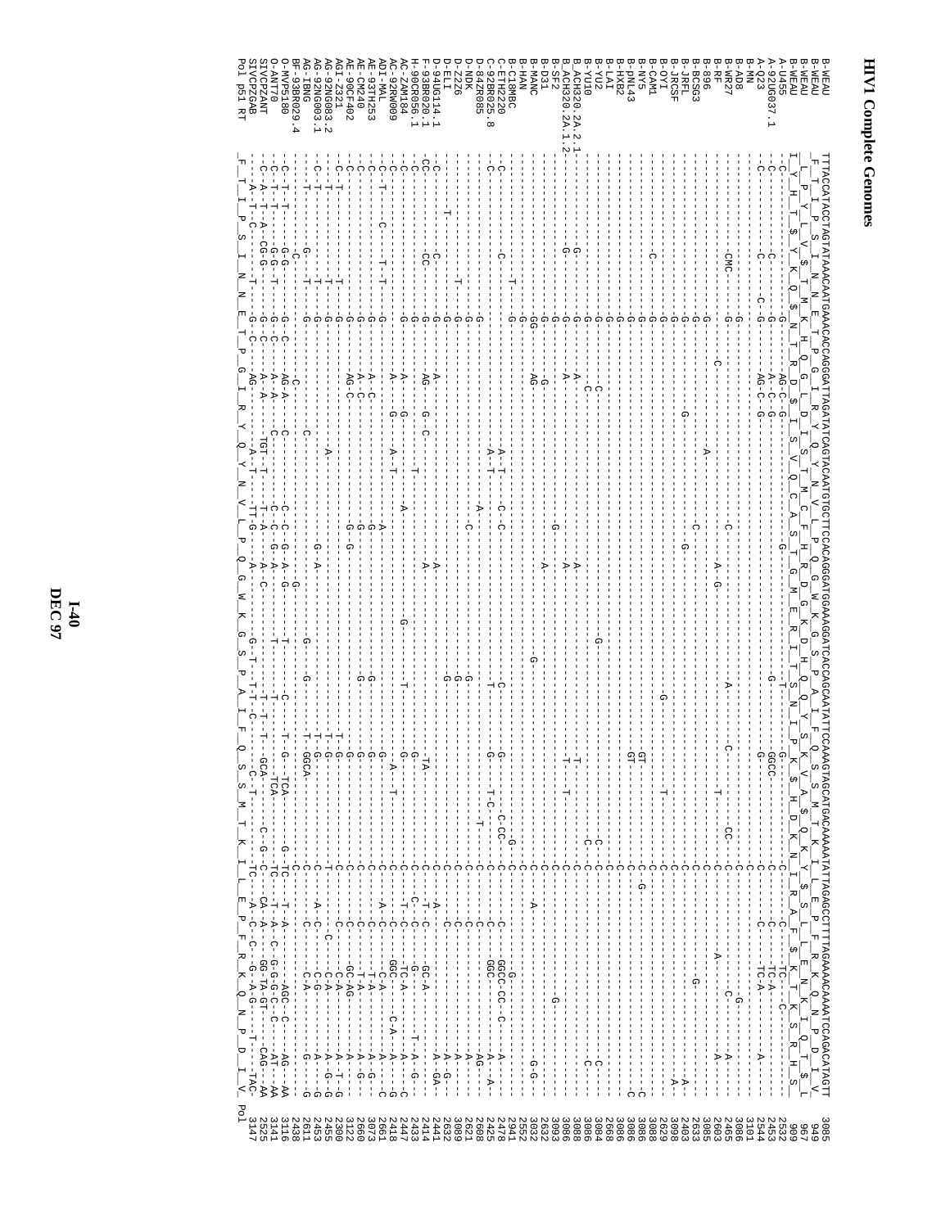| - 4--<br><b>AG-A</b><br>$A - -A$<br>$\frac{1}{\sqrt{2}}$<br>$A - C$<br>$AG-$<br>Ř<br>٩I<br>$AG-C--$<br>AG-C--G<br>Ω<br>7-DA<br>∓<br> <br>$\frac{1}{\Omega}$<br>∪<br>$\frac{1}{\Omega}$<br>Ω<br>ò<br>Q<br>TGT-<br>$-4-$<br>ė<br>CΩ<br>ှ<br>∩<br>11-G<br>ŋ<br>Ω<br>ω<br>ω<br>ଢ଼<br>m<br>မှ-<br>ဂု<br>၂<br>$\ddot{P}$<br>$\frac{1}{2}$<br>$\mathbb{F}$<br>Ω<br>∩<br>⋒<br>Ģ<br>$G---TCA---$<br>$GCA - -$<br>$C = -1$<br>ဂှ<br>$-1$<br>မှ်<br>၂<br>ှ<br> <br>$\frac{1}{2}$<br><u>ဂု</u><br>ှ<br> <br>÷<br>T<br>$-1 - 10$<br>요<br>--<br>$CCC$ --<br>ှ<br>ဂု<br>မှ<br>-<br><u>ဂ</u><br>-----<br><u>ဂ</u><br>$-LA-$<br>$GCA-----$<br>$\frac{1}{1}$<br>$-V -$<br>٦.<br>----<br>TCA--<br>'n<br>$-1 - 1 - -1$<br>I<br>₹<br>J<br>л<br>т<br>$\mathsf I$<br>$\overline{\phantom{a}}$<br>ı<br>۰ι<br>.<br>מ<br>$\frac{1}{1}$<br>I<br>ーーーー<br>$\mathbf I$<br>Ţ<br>$\frac{1}{1}$<br>コーローーーーーー<br>$\begin{array}{c} 1 \\ 1 \\ 1 \end{array}$<br>ъ<br>I<br>ļ<br>۲<br>ا<br>I<br>Ť<br>I<br>I<br>I<br>п<br>л<br>ı<br>Ξ<br>¦≍<br>f,<br>$\frac{1}{1}$<br>I<br>J.<br>J<br>٠U<br>ı<br>Í<br>c-cc----<br>∀<br>1<br>ţ<br>т<br>$\frac{1}{1}$<br>л<br>$\frac{1}{1}$<br>Η<br>$\overline{1}$<br>I<br>L<br>$\frac{1}{2}$<br>i<br>$\frac{1}{1}$<br>$- - - 2 - -$<br>$\frac{1}{1}$<br>$\frac{1}{1}$<br>$\overline{1}$<br>cc---<br>$\frac{1}{1}$<br>Ю<br>$\frac{1}{2}$<br>$\frac{1}{\Omega}$<br>$\overline{1}$<br>$\frac{1}{1}$<br>ł<br>ł<br>$\mathbf{I}$<br>I<br>I<br>×<br>$\mathbf{I}$<br>ı<br>G--C----CA--A------GG-TA-GT--<br>$\sf I$<br>---rc---<br>$\frac{1}{1}$<br>$\frac{1}{1}$<br>$\begin{array}{c} \rule{0pt}{2.5ex} \rule{0pt}{2.5ex} \rule{0pt}{2.5ex} \rule{0pt}{2.5ex} \rule{0pt}{2.5ex} \rule{0pt}{2.5ex} \rule{0pt}{2.5ex} \rule{0pt}{2.5ex} \rule{0pt}{2.5ex} \rule{0pt}{2.5ex} \rule{0pt}{2.5ex} \rule{0pt}{2.5ex} \rule{0pt}{2.5ex} \rule{0pt}{2.5ex} \rule{0pt}{2.5ex} \rule{0pt}{2.5ex} \rule{0pt}{2.5ex} \rule{0pt}{2.5ex} \rule{0pt}{2.5ex} \rule{0$<br>$\frac{1}{1}$<br>$\frac{1}{1}$<br>ł<br>$\mathbf{I}$<br>$\frac{1}{1}$<br>J<br>$---DC---$<br>$\frac{1}{1}$<br>$\frac{1}{1}$<br>$\frac{1}{1}$<br>J<br>$\frac{1}{1}$<br>$\frac{1}{1}$<br>$\frac{1}{1}$<br>$\mathbf{I}$<br>I<br>J<br>J.<br>J.<br>I<br>ł<br>$\frac{1}{1}$<br>$\frac{1}{1}$<br>I<br>I<br>Ť<br>I<br>z<br>1<br>$\mathbf{I}$<br>$\mathbf{I}$<br>л<br>J.<br>$\mathbf{I}$<br>$\mathbf{I}$<br>J.<br>I<br>$\mathbf{I}$<br>п<br>J.<br>I.<br>$\mathbf{I}$<br>л<br>$\mathbf{I}$<br>П<br>Қ<br>TC-----A--C---C----B------<br>ن<br>---<br>↷<br>∩<br>∩<br>∩<br>↷<br>∩<br>∩<br>∩<br>↷<br>∩<br>റ<br>∩<br>∩<br>∩<br>∩<br>റ<br>∩<br>∩<br>∩<br>∩<br>∩<br>∩<br>∩<br>C<br>∩<br>∩<br>∩<br>∩<br>∩<br>O<br>( )<br>O<br>( )<br>Ï<br>I<br>$\frac{1}{1}$<br>$\frac{1}{1}$<br>$\begin{array}{c} 1 \\ 1 \\ 1 \end{array}$<br>$-1$ $-1$ $-1$ $-1$ $-1$ $-1$ $-1$<br>$-1$ $-1$ $-1$ $-1$ $-1$ $-1$ $-1$<br>$\frac{1}{1}$<br>$\begin{array}{c} 1 \\ 1 \\ 1 \end{array}$<br>$\begin{array}{c} 1 \\ 1 \\ 1 \\ 1 \end{array}$<br>$\frac{1}{1}$<br>$\frac{1}{1}$<br>$\frac{1}{1}$<br>$\frac{1}{1}$<br>$\begin{array}{c} 1 \\ 1 \\ 1 \end{array}$<br>I.<br>I<br>$\frac{1}{1}$<br>T<br>I<br>I<br>$\begin{bmatrix} 1 \\ 1 \\ 1 \end{bmatrix}$<br>t<br>$\frac{1}{1}$<br>I<br>I<br>$\frac{1}{1}$<br>I<br>$\frac{1}{1}$<br>I<br>L<br>ł<br>I<br>F<br>$\overline{1}$<br>п<br>$\mathbf{I}$<br>T.<br>п<br>$\mathbf{I}$<br>П<br>L<br>$- - \Delta - - -$<br>ဂှ<br>ω<br>$\mathbf I$<br>ı<br>ı<br>$\begin{array}{c} 1 \\ 1 \\ 1 \\ 1 \end{array}$<br>$-1 - 2 - 4 - 7$<br>$-4$ $-1$ $-4$<br>I<br>$\frac{1}{1}$<br>$-1 - 1 - 0$<br>$\frac{1}{1}$<br>$\frac{1}{1}$<br>$\frac{1}{1}$<br>I<br>$\mathbf{I}$<br>$\begin{array}{c} \end{array}$<br>$\mathbf{I}$<br>I<br>₩<br>দ্ৰ<br>$\begin{array}{c} \rule{0.2cm}{0.15mm} \rule{0.2cm}{0.15mm} \rule{0.2cm}{0.15mm} \rule{0.2cm}{0.15mm} \rule{0.2cm}{0.15mm} \rule{0.2cm}{0.15mm} \rule{0.2cm}{0.15mm} \rule{0.2cm}{0.15mm} \rule{0.2cm}{0.15mm} \rule{0.2cm}{0.15mm} \rule{0.2cm}{0.15mm} \rule{0.2cm}{0.15mm} \rule{0.2cm}{0.15mm} \rule{0.2cm}{0.15mm} \rule{0.2cm}{0.15mm} \rule{$<br>$\overline{\phantom{a}}$<br>$\frac{1}{1}$<br>п<br>$\begin{bmatrix} 1 \\ 1 \\ 1 \end{bmatrix}$<br>$\frac{1}{3}$<br>ţ<br>I<br>J.<br>.<br>ທ<br>$-5$<br>$A - -$<br>$A - -C - - - -$<br>$\frac{1}{1}$<br>$\mathbf{I}$<br>1<br>ł | 08TS3M-0<br>$-AMTT70$<br>IVCPZGAB<br>IVCPZANT<br>P51 RT<br>م-<br>-<br>ှ<br>CG-G.<br>ဂု<br>ဂ<br>ငှ<br>ဝ<br>Ö | BF-93BR029.<br>G-IBNG<br>G-92NG003.1<br>4<br>ဂု | <b>SGI-Z321</b><br>G-92NG083.2 | AE-90CF402<br>E-CM240 | <b>LAM-Id</b><br>E-93TH253 | C-92RW009 | C-ZAM184 | F-93BR020.1<br>H-90CR056.1 | 9400114 | 84ZR085 | -92BR025<br>$\frac{1}{\infty}$ | -C18MBC<br>ETH2220 |  | ACH320 | <b>ACH320</b> |  | -pNL43 |  | -JRFL<br>-JRCSF | -BCSG3 |  | Ò<br>∩ | $-920G037.$<br>ଢ଼ |
|----------------------------------------------------------------------------------------------------------------------------------------------------------------------------------------------------------------------------------------------------------------------------------------------------------------------------------------------------------------------------------------------------------------------------------------------------------------------------------------------------------------------------------------------------------------------------------------------------------------------------------------------------------------------------------------------------------------------------------------------------------------------------------------------------------------------------------------------------------------------------------------------------------------------------------------------------------------------------------------------------------------------------------------------------------------------------------------------------------------------------------------------------------------------------------------------------------------------------------------------------------------------------------------------------------------------------------------------------------------------------------------------------------------------------------------------------------------------------------------------------------------------------------------------------------------------------------------------------------------------------------------------------------------------------------------------------------------------------------------------------------------------------------------------------------------------------------------------------------------------------------------------------------------------------------------------------------------------------------------------------------------------------------------------------------------------------------------------------------------------------------------------------------------------------------------------------------------------------------------------------------------------------------------------------------------------------------------------------------------------------------------------------------------------------------------------------------------------------------------------------------------------------------------------------------------------------------------------------------------------------------------------------------------------------------------------------------------------------------------------------------------------------------------------------------------------------------------------------------------------------------------------------------------------------------------------------------------------------------------------------------------------------------------------------------------------------------------------------------------------------------------------------------------------------------------------------------------------------------------------------------------------------------------------------------------------------------------------------------------------------------------------------------------------------------------------------------------------------------------------------------------------------------------------------------------------------------------------------------------------------------------------------------------------------------------------------------------------------------------------------------------------------------------------------------------------------------------------------------------------------------------------------------------------------------------------------------------------------------------------------------------------------------------------------------------------------------------------------------------------------------------------------------------------------------------------------------------------------------------------------------------|-------------------------------------------------------------------------------------------------------------|-------------------------------------------------|--------------------------------|-----------------------|----------------------------|-----------|----------|----------------------------|---------|---------|--------------------------------|--------------------|--|--------|---------------|--|--------|--|-----------------|--------|--|--------|-------------------|
|                                                                                                                                                                                                                                                                                                                                                                                                                                                                                                                                                                                                                                                                                                                                                                                                                                                                                                                                                                                                                                                                                                                                                                                                                                                                                                                                                                                                                                                                                                                                                                                                                                                                                                                                                                                                                                                                                                                                                                                                                                                                                                                                                                                                                                                                                                                                                                                                                                                                                                                                                                                                                                                                                                                                                                                                                                                                                                                                                                                                                                                                                                                                                                                                                                                                                                                                                                                                                                                                                                                                                                                                                                                                                                                                                                                                                                                                                                                                                                                                                                                                                                                                                                                                                                                                |                                                                                                             |                                                 |                                |                       |                            |           |          |                            |         |         |                                |                    |  |        |               |  |        |  |                 |        |  |        |                   |
|                                                                                                                                                                                                                                                                                                                                                                                                                                                                                                                                                                                                                                                                                                                                                                                                                                                                                                                                                                                                                                                                                                                                                                                                                                                                                                                                                                                                                                                                                                                                                                                                                                                                                                                                                                                                                                                                                                                                                                                                                                                                                                                                                                                                                                                                                                                                                                                                                                                                                                                                                                                                                                                                                                                                                                                                                                                                                                                                                                                                                                                                                                                                                                                                                                                                                                                                                                                                                                                                                                                                                                                                                                                                                                                                                                                                                                                                                                                                                                                                                                                                                                                                                                                                                                                                |                                                                                                             |                                                 |                                |                       |                            |           |          |                            |         |         |                                |                    |  |        |               |  |        |  |                 |        |  |        |                   |
|                                                                                                                                                                                                                                                                                                                                                                                                                                                                                                                                                                                                                                                                                                                                                                                                                                                                                                                                                                                                                                                                                                                                                                                                                                                                                                                                                                                                                                                                                                                                                                                                                                                                                                                                                                                                                                                                                                                                                                                                                                                                                                                                                                                                                                                                                                                                                                                                                                                                                                                                                                                                                                                                                                                                                                                                                                                                                                                                                                                                                                                                                                                                                                                                                                                                                                                                                                                                                                                                                                                                                                                                                                                                                                                                                                                                                                                                                                                                                                                                                                                                                                                                                                                                                                                                |                                                                                                             |                                                 |                                |                       |                            |           |          |                            |         |         |                                |                    |  |        |               |  |        |  |                 |        |  |        |                   |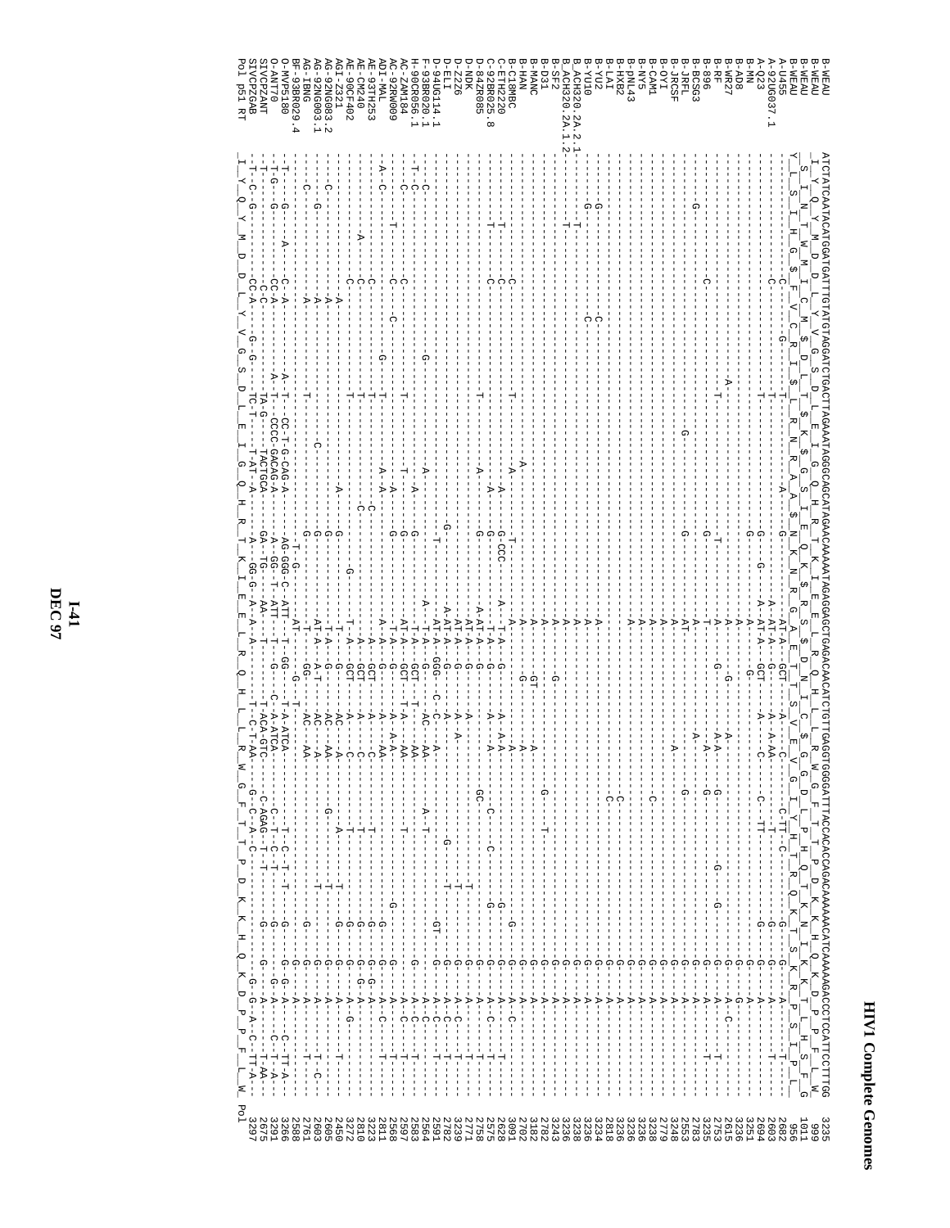| п<br>I.<br>ł<br>$T - AA -$<br>т<br>1                                                                    | I<br>1<br>ŧ<br>$\overline{Y}$<br>I.<br>I<br>I.                               | т<br>L<br>I<br>Ω<br>Ì,<br>п<br>т<br>I,<br>ဂူ                              | л<br>C-AGAG--T-<br>부<br>т<br>п                                                                                   | ှ<br>       |                                                    |                   | <b>TACTGCA</b> |     |    |
|---------------------------------------------------------------------------------------------------------|------------------------------------------------------------------------------|---------------------------------------------------------------------------|------------------------------------------------------------------------------------------------------------------|-------------|----------------------------------------------------|-------------------|----------------|-----|----|
| I.<br>$\mathbf{I}$<br>-C--TT-A---<br>-C--TT-A---                                                        | $\mathsf I$<br>ω<br>$\mathbf{I}$<br>⊅<br>т<br>I.                             | ш<br>Ω<br>Ť<br>J.<br>-1                                                   | $\frac{C}{1}$<br>Ť<br>Ω<br>$\frac{1}{1}$<br>Ė<br>1<br>J.                                                         |             |                                                    |                   | C-GACAG-A      |     | Ω  |
| J.<br>$\overline{\phantom{a}}$                                                                          | f,<br>ω<br>ł<br>⋗<br>J.<br>Ï<br>I                                            | Ţ<br>л<br>I<br>I<br>п<br>ଋ<br>j<br>J.<br>л<br>Ï<br>ဂှ                     | л<br>I<br>I<br>۲<br>ا<br>G<br>ŧ<br>부<br>I<br>н                                                                   | ATCA        |                                                    | AG-995-94<br>ATT- | -G-CAG-A       |     | Ģ  |
| п<br>п<br>п<br>1<br>1<br>$\begin{array}{c} \end{array}$<br>I.<br>1<br>J.                                | I<br>I.<br>т<br>⊅<br>т                                                       | п<br>т<br>I<br>I.<br>п<br>ဂူ                                              | п<br>J.<br>п<br>J.                                                                                               |             |                                                    |                   |                |     |    |
| $\blacksquare$<br>$\overline{1}$<br>$\overline{1}$<br>$\frac{1}{2}$<br>$\overline{1}$<br>$\blacksquare$ | 1<br>$\blacksquare$<br>$\blacksquare$<br>⊅<br>$\mathbf{I}$                   | ດ<br>I<br>$\overline{1}$<br>$\overline{1}$<br>ଋ                           | $\mathbf{I}$<br>$\mathbf{I}$<br>п<br>$\blacksquare$                                                              |             |                                                    |                   |                |     |    |
| J.<br>л<br>л<br>J.<br>$-1 - 1 - 1$                                                                      | J.<br>л<br>⋗<br>H.<br>л                                                      | $\mathbf I$<br>л<br>т<br>J.<br>J<br>л<br>л<br>ဂှ                          | л<br>J,<br>J.<br>л<br>н                                                                                          |             | $-4$                                               |                   |                |     |    |
| $\overline{1}$<br>$\overline{1}$<br>$\blacksquare$                                                      | $\overline{1}$<br>⋗                                                          | Ω                                                                         | ငှ<br>$\overline{1}$<br>로                                                                                        | ъ           | ှု                                                 |                   |                |     |    |
| J.<br>л<br>÷<br>J.<br>л                                                                                 | п<br>л<br>A-<br>I<br>I                                                       | $\mathbf I$<br>л<br>J,<br>I<br>л<br><u>ດ ດ</u><br>j<br>J.<br>л<br>I<br>ဂှ | л<br>J,<br>I<br>⋗<br>ł<br>J.<br>л<br>I<br>I<br>л<br>Ĥ                                                            |             | ှု                                                 |                   |                |     |    |
| $\mathbf{I}$<br>л<br>J.                                                                                 | J.<br>п<br>$\overline{r}$<br>$\mathsf I$<br>Ω                                | J.<br>j.<br>$\mathbf{I}$<br>۾.                                            | J.<br>$\overline{\phantom{a}}$<br>Ĥ<br>$\mathbf{I}$                                                              | 0           | -<br>00-                                           |                   |                |     |    |
| $\mathbf{I}$<br>$\mathbf{I}$                                                                            | $\overline{1}$<br><u>ဂ</u><br>⋗<br>'n<br>J                                   | ଋ<br>Ť<br>$\overline{1}$<br>ဂှ                                            | L<br>부                                                                                                           | ( )         | -901-                                              |                   |                | ( ) |    |
| л<br>т<br>т<br>f,<br>I<br>$\overline{1}$                                                                | I,<br>$\Gamma$<br>$\overline{1}$<br>A-<br>I.<br>I                            | л<br>т<br>J<br>п<br>Ω<br>⋒<br>j.<br>п<br>т<br>ဂှ                          | L<br>I,<br>부                                                                                                     | C           | $-0.5 -$                                           |                   |                |     |    |
| $\blacksquare$<br>$\mathbf{I}$<br>л<br>I<br>J.<br>부<br>÷.<br>л                                          | $\mathbf{I}$<br>л<br>-11<br>⋗<br>A-<br>$\mathbf{I}$<br>$\mathsf I$<br>Q<br>I | л<br>Φ                                                                    | J.<br>I                                                                                                          |             |                                                    |                   |                |     |    |
| п                                                                                                       | п<br>$A$ – –<br>I.                                                           | Ω<br>Ì,<br>٠<br>ဂု                                                        | ı                                                                                                                |             |                                                    |                   |                |     |    |
| I.<br>т<br>$\mathbf{I}$<br>$\frac{1}{2}$<br>ن<br>ب                                                      | $A = -C$<br>G                                                                |                                                                           | H<br>I.                                                                                                          |             | AT-A<br>-8<br>17                                   |                   |                |     |    |
| I<br>ı<br>т<br>т<br>ı<br>L<br>I.<br>$\mathsf I$<br>I<br>$\mathbf{I}$<br>J.                              | $\mathbf{I}$<br>$A$ – –<br>Ω                                                 | т<br>I<br>$\frac{1}{2}$                                                   | $\overline{A}$<br>$\mathbf{I}$<br>부<br>L<br>т<br>I                                                               |             |                                                    |                   |                |     |    |
| I<br>$\mathbf{I}$<br>ı<br>$\frac{1}{1}$<br>$\mathbf{I}$                                                 | т<br>$\mathbf{I}$<br>$-4-$<br>G                                              | т<br>$\mathbf{I}$<br>ن<br>با<br>ب<br>$\overline{1}$<br>$\mathbf{I}$<br>ଋ  | п<br>$\mathbf{I}$                                                                                                |             | -999-                                              |                   |                |     |    |
| I<br>I<br>$\frac{1}{1}$<br>л                                                                            | п<br>л<br>$A$ – – $A$<br>C                                                   | I,<br>I<br>I,<br>I<br>I<br>л<br>I<br>ဂှ                                   | л<br>I<br>л<br>L<br>J<br>႕<br>I<br>I,<br>I<br>$\frac{1}{1}$                                                      |             | $-1$ $-1$ $-1$<br>ပ္ပ်                             |                   |                |     |    |
| J.<br>1<br>1<br>$\frac{1}{1}$<br>J.                                                                     | A-<br>1<br>G                                                                 | Ω                                                                         | л<br>Ė                                                                                                           |             |                                                    |                   |                |     |    |
| п<br>л<br>ڹ<br>+<br>л                                                                                   | A-<br>I                                                                      | л<br>л<br>I<br>п<br>л<br>л<br>ဂှ                                          | л<br>J,<br>J.<br>л<br>ш<br>л<br>л<br>л<br>л<br>부                                                                 |             | $-1 - 7 -$                                         |                   |                |     |    |
| п<br>$\frac{1}{1}$<br>п                                                                                 | A-<br>J.                                                                     | J.<br>J<br>J.<br>۾.                                                       | -<br>00-<br>$\mathsf I$<br>I                                                                                     |             | $\mathbf{A}-\mathbf{A}\mathbf{T}-\mathbf{A}-$<br>႕ |                   |                |     |    |
| $\overline{1}$<br>$\blacksquare$                                                                        | $\mathbf{I}$<br>$A$ – –                                                      | $\blacksquare$<br>Ť<br>$\blacksquare$<br>п<br>∩                           | $\mathbf{I}$<br>$\blacksquare$<br>$\overline{1}$<br>$\blacksquare$<br>$\overline{\phantom{a}}$<br>$\blacksquare$ |             |                                                    |                   |                |     |    |
| J.<br>л<br>부<br>ı                                                                                       | л<br>$\overline{A}$<br>$\mathbf{I}$<br>Q<br>I                                | I<br>Ω<br>J.<br>I<br>J.<br>л                                              | ı<br>л<br>J.<br>J,<br>∩<br>л<br>∩<br>ı<br>л                                                                      |             |                                                    |                   |                |     |    |
| J.<br>۲<br>ا                                                                                            |                                                                              | J.<br>Ω<br>Ť,<br>Ť.<br>ဂှ                                                 | I,                                                                                                               |             |                                                    | 3-ເວ              |                |     |    |
| I.                                                                                                      | п<br>⊅<br>$\mathbf{I}$<br>$\mathsf I$<br>Q                                   | ı<br>л<br>Ω<br>Ť<br>J.<br>1<br>မှ မှ                                      |                                                                                                                  |             |                                                    |                   | ኳ              |     |    |
| ı                                                                                                       | п<br>л<br>A-<br>I                                                            | ı<br>ı<br>I<br>ı                                                          |                                                                                                                  |             |                                                    |                   |                |     |    |
|                                                                                                         | ⋗                                                                            | ۾.                                                                        |                                                                                                                  |             |                                                    |                   |                |     |    |
|                                                                                                         | ⋗                                                                            | ⋒                                                                         | J<br>$\Gamma$<br>I<br>J<br>J<br>부                                                                                |             |                                                    |                   |                |     |    |
|                                                                                                         | ⋗                                                                            | ဂှ                                                                        |                                                                                                                  |             |                                                    |                   |                |     |    |
|                                                                                                         | Þ                                                                            | ଋ                                                                         |                                                                                                                  |             |                                                    |                   |                |     |    |
|                                                                                                         | I<br>л<br>⋗                                                                  | ဂှ                                                                        |                                                                                                                  |             |                                                    |                   |                |     |    |
|                                                                                                         | Þ                                                                            | Ġ                                                                         |                                                                                                                  |             |                                                    |                   |                |     | ဂု |
|                                                                                                         | ⋗                                                                            | ဂှ                                                                        |                                                                                                                  |             |                                                    |                   |                |     | Ģ  |
|                                                                                                         | п<br>л<br>⋗                                                                  | ဂ္                                                                        | $\frac{1}{1}$<br>خ<br>ڊ<br>I<br>I                                                                                |             |                                                    |                   |                |     |    |
|                                                                                                         | ⋗                                                                            | Ω                                                                         | J<br>$\overline{\phantom{a}}$<br><u>ှ</u>                                                                        |             |                                                    |                   |                |     |    |
|                                                                                                         | ı<br>л<br>⋗<br>п                                                             | ဂှ                                                                        | ı<br>ı<br>I<br>I                                                                                                 |             |                                                    |                   |                |     |    |
|                                                                                                         | ע                                                                            | ഹ                                                                         | л<br>л                                                                                                           |             |                                                    |                   |                |     |    |
|                                                                                                         | של                                                                           | ଋ                                                                         | $\blacksquare$<br>ု<br>I                                                                                         |             |                                                    |                   |                |     |    |
|                                                                                                         | ⋗                                                                            |                                                                           | п                                                                                                                |             |                                                    |                   |                |     |    |
|                                                                                                         | ⋗                                                                            | Ω<br>⋒                                                                    |                                                                                                                  |             |                                                    |                   |                |     |    |
|                                                                                                         |                                                                              |                                                                           |                                                                                                                  |             |                                                    |                   |                |     |    |
| л<br>Ï<br>I                                                                                             | п<br>л<br>⋗                                                                  | ဂှ                                                                        | J.<br>$\Gamma$<br>л<br>ı                                                                                         |             |                                                    |                   |                |     |    |
| п                                                                                                       | ı<br>п<br>п<br>⋗                                                             | ⋒                                                                         | т                                                                                                                |             |                                                    |                   |                |     |    |
| ı<br>л<br>$\frac{1}{1}$<br>I<br>ı                                                                       | л<br>A-<br>I                                                                 | I<br>ဂှ                                                                   | $\frac{1}{\Omega}$<br>п                                                                                          |             |                                                    |                   |                |     |    |
| $\frac{1}{1}$                                                                                           | Þ<br>т                                                                       | т<br>Ω<br>⋒                                                               | ω<br>L<br>Ω<br>I.                                                                                                |             |                                                    |                   |                |     |    |
| I<br>I<br>I                                                                                             | I<br>⋗<br>Ì<br>G                                                             | ∩                                                                         |                                                                                                                  |             |                                                    |                   |                |     |    |
|                                                                                                         | Ω                                                                            | Ģ                                                                         |                                                                                                                  |             |                                                    |                   |                |     |    |
| п<br>п<br>I<br>I<br>п                                                                                   | Ì<br>ъ<br>п<br>I                                                             | ଋ                                                                         | п<br>п                                                                                                           |             |                                                    |                   |                |     |    |
| п<br>л<br>л<br>л<br>I<br>I<br>I<br>I                                                                    | п<br>л<br>⋗<br>п<br>I<br>I                                                   | л<br>ш<br>I<br>п<br>ଋ<br>Ì<br>п<br>л<br>I<br>ဂှ                           | I<br>J.<br>$\Gamma$<br>I,<br>니<br>--<br>I<br>л<br>I<br>л<br>л<br>п                                               | C<br>ł<br>I |                                                    |                   |                |     |    |
| л<br>$\frac{1}{1}$                                                                                      | ⊅                                                                            | Ω<br>Ġ                                                                    | ı<br>Ļ<br>T                                                                                                      | A-          | $AT - A -$                                         |                   |                |     |    |
| $\mathbf{I}$<br>$\mathbf{I}$<br>부                                                                       | ⋗<br>$\overline{1}$                                                          | ∩<br>ω                                                                    | ဂု<br>11<br>--<br>G<br>$\mathbf{I}$                                                                              | ∩∣<br>J     |                                                    |                   |                |     |    |
| C<br>ᡃ<br>t                                                                                             | ヵ<br>ึ                                                                       | Η<br>Ω                                                                    | റ<br>∢<br>ェ<br>F<br>ᆽ<br>Ю                                                                                       | ⋞           |                                                    |                   |                |     |    |
| Ξ<br>CΩ<br>먹<br>່ດ                                                                                      |                                                                              | ≍<br>z<br>н                                                               | ヮ<br>⊢<br>ᡃᠣ<br>Ξ<br>O<br>H                                                                                      | ଇ<br>ଜ      |                                                    |                   |                |     |    |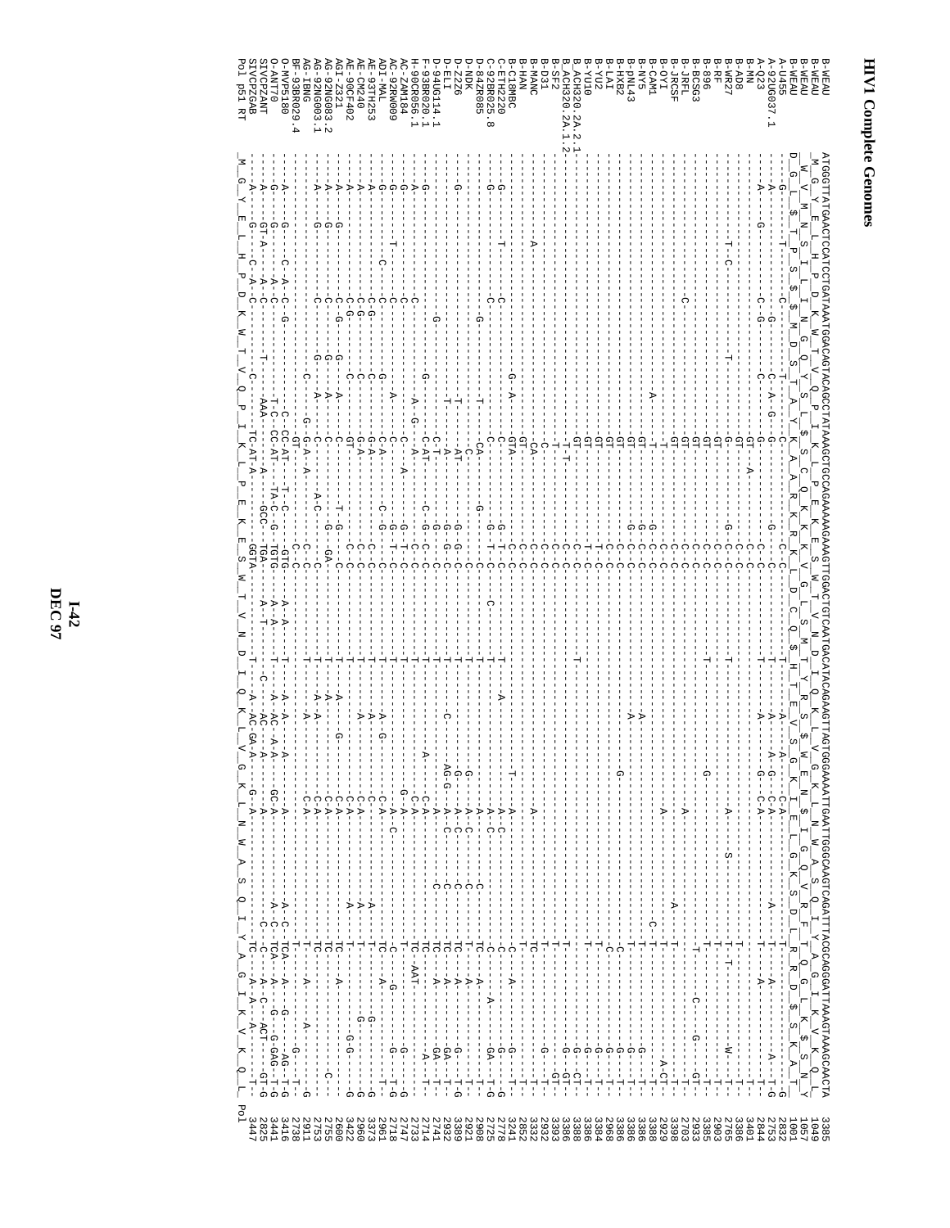| $A - -$<br>$A - -$<br>⊅<br>Ï<br>$-2G-G---$<br>1<br>ဂု<br>Ω<br>$-1$<br>ဂု<br>けー<br>$\frac{1}{1}$<br>$\mathsf I$<br>I<br>$\blacksquare$<br>I<br>$\overline{1}$<br>Ť<br>$\mathbf{I}$<br>I<br>I<br>I<br>ł<br>J.<br>л<br>п<br>ı<br>п<br>$\overline{\phantom{a}}$<br>J.<br>L<br>J<br>п<br>ı<br>$\mathbf{I}$<br>ı<br>$\mathbf{I}$<br>I<br>$\mathbf{I}$<br>$\mathbb I$<br>$\mathsf I$<br>$\mathbf I$<br>$\overline{\phantom{a}}$<br>$\mathbb I$<br>I<br>I<br>I,<br>GC-<br>$\overline{\phantom{a}}$<br>I.<br>I<br>I<br>J<br>J,<br>L<br>ဂု<br>J,<br>$\frac{1}{4}$<br>$C-A$<br>$C - A$<br>$C - A$<br>$C - A$<br>$C - A$<br>خ<br>ڊ<br>$C - A$<br>ł<br>ဂု<br>ဂု<br>$\frac{1}{1}$<br>$\frac{1}{1}$<br>ှ<br>$\frac{1}{1}$<br>ł<br>ł<br>$\overline{1}$<br>п<br>А<br>Ъ<br>А<br>$A - C -$<br>$\overline{P}$<br>А<br>А<br>$-4-$<br>$\sum_{i=1}^{n}$<br>$\overline{r}$<br>ъ<br>$A -$<br>$A -$<br>$A -$<br>$A -$<br>$A - -$<br>I.<br>ゼ<br>$A -$<br>Ţ<br>I.<br>٦,<br>Ī.<br>T<br>Ī,<br>$\blacksquare$<br>п<br>J.<br>L<br>$\mathbf{I}$<br>л<br>J.<br>$\blacksquare$<br>J.<br>$\overline{1}$<br>п<br>I<br>п<br>C<br>J.<br>Ω<br>ု<br>I.<br>п<br>т<br>л<br>1<br>$\mathbf{I}$<br>L<br>$\mathbf{I}$<br>т<br>$\mathbf{I}$<br>$\mathbf{I}$<br>т<br>1<br>റ<br>1<br>∩<br>п<br>л<br>1<br>ï<br>ï<br>I,<br>I.<br>п<br>J.<br>п<br>ı<br>J<br>ţ<br>ł<br>ı<br>1<br>J.<br>Ω<br>Ω<br>ن<br>ا<br>Ω<br>G<br>$\frac{1}{1}$<br>--A--<br>$\mathbf{I}$<br>т<br>т<br>Ĺ<br>$\overline{\phantom{a}}$<br>J,<br>ı<br>ı<br>$-5$<br>$A -$<br>I<br>$\overline{A}$<br>$\overline{A}$<br>$\mathbb{A}$<br>$\overline{\phantom{a}}$<br>I<br>I.<br>I<br>I<br>$\blacksquare$<br>ı<br>I<br>$-1 - 1 -$<br>ı<br>ı<br>п<br>ı<br>$C$ --TCA--<br>$\text{C}\text{--}\text{T}\text{C}\text{A}\text{--}\text{--}\text{A}\text{--}$<br>$-1$ $-1$ $-1$ $-1$<br>$-LC$ --<br>$-1-C$<br>$-1$ $-1$ $-1$ $-1$<br>J<br>$-1 - 1 - 1 - 1$<br>--rc--<br>ţ<br>$---LC---$<br>$---DC---$<br>$\frac{1}{2} - \frac{1}{2} - \frac{1}{2} - \frac{1}{2}$<br>$-LC--$<br>J.<br>I<br>$\frac{1}{2} - \frac{1}{2} - \frac{1}{2} - \frac{1}{2}$<br>$\mathbf{I}$<br>$\mathsf I$<br>$\frac{1}{1}$<br>I<br>$\frac{1}{1}$<br>$\frac{1}{1}$<br>$-1 - 1 - 1 - 1$<br>п<br>$-TC-$<br>$-LC--$<br>$-1-C$<br>--rc<br>$-LC$ -<br>$\frac{1}{1}$<br>ţ<br>$\frac{1}{1}$<br>$\frac{1}{1}$<br>$\frac{1}{1}$<br>キャー<br>$\frac{1}{4}$<br>$\frac{1}{1}$<br>$\frac{1}{1}$<br>п<br>$\frac{1}{1}$<br>ŧ<br>ı<br>$\mathsf I$<br>$\overline{1}$<br>C--<br>Ω<br>C<br>G<br>J<br>C<br>C<br>I<br>$-1$<br>ł<br>$\frac{1}{1}$<br>Ţ<br>Ï<br>Ŧ<br>$\blacksquare$<br>ł<br>ł<br>ł<br>$\frac{1}{1}$<br>$\blacksquare$<br>ł<br>$\overline{\phantom{a}}$<br>$\mathsf I$<br>I<br>$\frac{1}{1}$<br>$---A---$<br>$\frac{1}{1}$<br><b>AAT-</b><br>$\begin{array}{c} \end{array}$<br>$-4-$<br>$-$ – $\mathrm{A}$ – $-$<br>$---A---$<br>$-$ – $\mathrm{A}$ – $-$<br>$\frac{1}{1}$<br>$\begin{array}{c} \end{array}$<br>$--A--$<br>I<br>$\begin{array}{c} \end{array}$<br>$-4$<br>$\overline{1}$<br>$\begin{array}{c} \hline \end{array}$<br>$\mathsf I$<br>$\frac{1}{1}$<br>t<br>I<br>$\mathbf{I}$<br>$\blacksquare$<br>$\mathbf{I}$<br>$\mathbf{I}$<br>ł<br>ţ<br>$\mathbf{I}$<br>п<br>I,<br>J.<br>I<br>$\mathbf{I}$<br>J.<br>J.<br>$\frac{1}{2}$<br>$\frac{1}{2}$<br>$\sum_{i=1}^{n}$<br>$\mathbf{I}$<br>$\mathbf{I}$<br>I.<br>$\overline{\phantom{a}}$<br>п<br>I<br>л<br>$\mathbf{I}$<br>т<br>$\mathbf{I}$<br>$\overline{1}$<br>$\blacksquare$<br>ı<br>п<br>$\mathbf{I}$<br>ဂှ<br>$\mathbb I$<br>$\overline{\phantom{a}}$<br>$\overline{\phantom{a}}$<br>L<br>I<br>J<br>ţ<br>$-V -$<br>I<br>1<br>$-1 - 5 - 1$<br>$\mathbf{I}$<br>$\overline{1}$<br>$\mathsf I$<br>I.<br>I,<br>I<br>I<br>$\mathbf{I}$<br>$\mathbf{I}$<br>п<br>т<br>$\Gamma$<br>$\overline{\phantom{a}}$<br>$\frac{1}{1}$<br>I<br>$\mathsf I$<br>t<br>$\overline{1}$<br>I<br>$\frac{1}{2}$<br>$\frac{1}{1}$<br>I<br>J.<br>$\mathbf{I}$<br><u>ဂ</u><br>I<br>ţ<br>I<br>$\blacksquare$<br>$\frac{1}{2}$<br>J.<br>I.<br>J.<br>$\frac{1}{1}$<br>1<br>$\mathbf{I}$<br>п<br>т<br>I<br>$\mathsf I$<br>$\overline{\phantom{a}}$<br>I.<br>$\mathsf I$<br>$\mathbf{I}$<br>I.<br>----AG--T-G<br>----AG--T-G<br>$\frac{1}{4}$<br>$\frac{1}{1}$<br>G-G--<br>$\frac{1}{4}$<br>ဂု<br>ţ<br>$\frac{1}{1}$<br>$- -1 - -1 - -1 - -$<br>ł<br>ł<br>I<br>$\mathbf{I}$<br>I,<br>I.<br>$\mathbf{I}$<br>$\blacksquare$<br>1<br>$\mathbf{I}$<br>$\mathbf{I}$<br>$-\frac{1}{2}$<br>л<br>$\blacksquare$<br>т<br>л<br>ı<br>$\blacksquare$<br>ł<br>ł<br>ŧ<br>$\mathbb{I}$<br>I.<br>$\mathsf I$<br>$\mathsf I$<br>$\mathbb{I}$<br>ဂှ<br>$GA---T---$<br>$\mathsf I$<br>$GA$ --<br>$\frac{1}{2}$<br>ဂှ<br>$\mathbb{I}$<br>$\mathsf I$<br><u>ဂ်</u><br> <br>Ω<br>Ω<br>Ω<br>ဂု<br>ှ<br> <br>$\mathbf I$<br>$\mathbf{I}$<br><u>ဂ</u><br>$\mathsf I$<br>I.<br>$\frac{1}{2}$<br>Ω<br>Ω<br>$\overline{\phantom{a}}$<br>$\blacksquare$<br>$\mathsf I$<br>I<br>Ţ<br>$A---A$<br>I<br>$\mathsf I$<br>I<br>$\frac{1}{1}$<br>Ï<br>Ţ<br>Ţ<br>Ï<br>$\frac{1}{1}$<br>ţ<br>I<br>I<br>$\overline{1}$<br>$A - CT -$<br>I<br>I<br>J.<br>$\mathbf{I}$<br>J.<br>$\blacksquare$<br>J.<br>T<br>I<br>J.<br>ŧ<br>$\frac{1}{1}$<br>$\blacksquare$<br>I<br>J.<br>$\blacksquare$<br>п<br>$\blacksquare$<br>I.<br>$D-L--$<br>$-1 - 0$<br>$\frac{1}{1}$<br>ı<br>I.<br>$\overline{\phantom{a}}$<br>ا<br>با<br>$-1$ $-1$<br>$\frac{1}{1}$<br>$\frac{1}{1}$<br>i<br>H<br>л<br>$\mathbf{I}$<br>1<br>т<br>$\frac{1}{1}$<br>п<br>ì<br>ا<br>با<br>ا<br>با<br>I<br>÷<br>$-5$<br><u>ှ</u><br>$\mathbf I$<br>トーー<br>トーー<br>- 19<br>-<br>요<br>--<br><sub>ਰ</sub> ਹ− | ⊅<br>リストアー<br>G-A<br>∩<br>엽<br>G-A.<br>C-A.<br>GTA<br>م<br>ب<br>a<br>A<br>-AT<br>B<br>⋒<br>ດ | ଋ<br>41<br>∩<br>Ω<br>C-G-<br>Ω<br>∩<br>ှု<br>Ω<br>G<br>Ω<br>Q<br>C |
|------------------------------------------------------------------------------------------------------------------------------------------------------------------------------------------------------------------------------------------------------------------------------------------------------------------------------------------------------------------------------------------------------------------------------------------------------------------------------------------------------------------------------------------------------------------------------------------------------------------------------------------------------------------------------------------------------------------------------------------------------------------------------------------------------------------------------------------------------------------------------------------------------------------------------------------------------------------------------------------------------------------------------------------------------------------------------------------------------------------------------------------------------------------------------------------------------------------------------------------------------------------------------------------------------------------------------------------------------------------------------------------------------------------------------------------------------------------------------------------------------------------------------------------------------------------------------------------------------------------------------------------------------------------------------------------------------------------------------------------------------------------------------------------------------------------------------------------------------------------------------------------------------------------------------------------------------------------------------------------------------------------------------------------------------------------------------------------------------------------------------------------------------------------------------------------------------------------------------------------------------------------------------------------------------------------------------------------------------------------------------------------------------------------------------------------------------------------------------------------------------------------------------------------------------------------------------------------------------------------------------------------------------------------------------------------------------------------------------------------------------------------------------------------------------------------------------------------------------------------------------------------------------------------------------------------------------------------------------------------------------------------------------------------------------------------------------------------------------------------------------------------------------------------------------------------------------------------------------------------------------------------------------------------------------------------------------------------------------------------------------------------------------------------------------------------------------------------------------------------------------------------------------------------------------------------------------------------------------------------------------------------------------------------------------------------------------------------------------------------------------------------------------------------------------------------------------------------------------------------------------------------------------------------------------------------------------------------------------------------------------------------------------------------------------------------------------------------------------------------------------------------------------------------------------------------------------------------------------------------------------------------------------------------------------------------------------------------------------------------------------------------------------------------------------------------------------------------------------------------------------------------------------------------------------------------------------------------------------------------------------------------------------------------------------------------------------------------------------------------------------------------------------------------------------------------------------------------------------------------------------------------------------------------------------------------------------------------------------------------------------------------------------------------------------------------------------------------------------------------------------------------------------------------------------------------------------------------------------------------------------------------------------------------------------------------------------------------------------------------------------------------------------------------------------------------------------------------------------------------------------------|----------------------------------------------------------------------------------------------|--------------------------------------------------------------------|
|                                                                                                                                                                                                                                                                                                                                                                                                                                                                                                                                                                                                                                                                                                                                                                                                                                                                                                                                                                                                                                                                                                                                                                                                                                                                                                                                                                                                                                                                                                                                                                                                                                                                                                                                                                                                                                                                                                                                                                                                                                                                                                                                                                                                                                                                                                                                                                                                                                                                                                                                                                                                                                                                                                                                                                                                                                                                                                                                                                                                                                                                                                                                                                                                                                                                                                                                                                                                                                                                                                                                                                                                                                                                                                                                                                                                                                                                                                                                                                                                                                                                                                                                                                                                                                                                                                                                                                                                                                                                                                                                                                                                                                                                                                                                                                                                                                                                                                                                                                                                                                                                                                                                                                                                                                                                                                                                                                                                                                                                                                            |                                                                                              |                                                                    |
|                                                                                                                                                                                                                                                                                                                                                                                                                                                                                                                                                                                                                                                                                                                                                                                                                                                                                                                                                                                                                                                                                                                                                                                                                                                                                                                                                                                                                                                                                                                                                                                                                                                                                                                                                                                                                                                                                                                                                                                                                                                                                                                                                                                                                                                                                                                                                                                                                                                                                                                                                                                                                                                                                                                                                                                                                                                                                                                                                                                                                                                                                                                                                                                                                                                                                                                                                                                                                                                                                                                                                                                                                                                                                                                                                                                                                                                                                                                                                                                                                                                                                                                                                                                                                                                                                                                                                                                                                                                                                                                                                                                                                                                                                                                                                                                                                                                                                                                                                                                                                                                                                                                                                                                                                                                                                                                                                                                                                                                                                                            |                                                                                              |                                                                    |
|                                                                                                                                                                                                                                                                                                                                                                                                                                                                                                                                                                                                                                                                                                                                                                                                                                                                                                                                                                                                                                                                                                                                                                                                                                                                                                                                                                                                                                                                                                                                                                                                                                                                                                                                                                                                                                                                                                                                                                                                                                                                                                                                                                                                                                                                                                                                                                                                                                                                                                                                                                                                                                                                                                                                                                                                                                                                                                                                                                                                                                                                                                                                                                                                                                                                                                                                                                                                                                                                                                                                                                                                                                                                                                                                                                                                                                                                                                                                                                                                                                                                                                                                                                                                                                                                                                                                                                                                                                                                                                                                                                                                                                                                                                                                                                                                                                                                                                                                                                                                                                                                                                                                                                                                                                                                                                                                                                                                                                                                                                            |                                                                                              |                                                                    |
|                                                                                                                                                                                                                                                                                                                                                                                                                                                                                                                                                                                                                                                                                                                                                                                                                                                                                                                                                                                                                                                                                                                                                                                                                                                                                                                                                                                                                                                                                                                                                                                                                                                                                                                                                                                                                                                                                                                                                                                                                                                                                                                                                                                                                                                                                                                                                                                                                                                                                                                                                                                                                                                                                                                                                                                                                                                                                                                                                                                                                                                                                                                                                                                                                                                                                                                                                                                                                                                                                                                                                                                                                                                                                                                                                                                                                                                                                                                                                                                                                                                                                                                                                                                                                                                                                                                                                                                                                                                                                                                                                                                                                                                                                                                                                                                                                                                                                                                                                                                                                                                                                                                                                                                                                                                                                                                                                                                                                                                                                                            |                                                                                              |                                                                    |
|                                                                                                                                                                                                                                                                                                                                                                                                                                                                                                                                                                                                                                                                                                                                                                                                                                                                                                                                                                                                                                                                                                                                                                                                                                                                                                                                                                                                                                                                                                                                                                                                                                                                                                                                                                                                                                                                                                                                                                                                                                                                                                                                                                                                                                                                                                                                                                                                                                                                                                                                                                                                                                                                                                                                                                                                                                                                                                                                                                                                                                                                                                                                                                                                                                                                                                                                                                                                                                                                                                                                                                                                                                                                                                                                                                                                                                                                                                                                                                                                                                                                                                                                                                                                                                                                                                                                                                                                                                                                                                                                                                                                                                                                                                                                                                                                                                                                                                                                                                                                                                                                                                                                                                                                                                                                                                                                                                                                                                                                                                            |                                                                                              |                                                                    |
|                                                                                                                                                                                                                                                                                                                                                                                                                                                                                                                                                                                                                                                                                                                                                                                                                                                                                                                                                                                                                                                                                                                                                                                                                                                                                                                                                                                                                                                                                                                                                                                                                                                                                                                                                                                                                                                                                                                                                                                                                                                                                                                                                                                                                                                                                                                                                                                                                                                                                                                                                                                                                                                                                                                                                                                                                                                                                                                                                                                                                                                                                                                                                                                                                                                                                                                                                                                                                                                                                                                                                                                                                                                                                                                                                                                                                                                                                                                                                                                                                                                                                                                                                                                                                                                                                                                                                                                                                                                                                                                                                                                                                                                                                                                                                                                                                                                                                                                                                                                                                                                                                                                                                                                                                                                                                                                                                                                                                                                                                                            |                                                                                              |                                                                    |
|                                                                                                                                                                                                                                                                                                                                                                                                                                                                                                                                                                                                                                                                                                                                                                                                                                                                                                                                                                                                                                                                                                                                                                                                                                                                                                                                                                                                                                                                                                                                                                                                                                                                                                                                                                                                                                                                                                                                                                                                                                                                                                                                                                                                                                                                                                                                                                                                                                                                                                                                                                                                                                                                                                                                                                                                                                                                                                                                                                                                                                                                                                                                                                                                                                                                                                                                                                                                                                                                                                                                                                                                                                                                                                                                                                                                                                                                                                                                                                                                                                                                                                                                                                                                                                                                                                                                                                                                                                                                                                                                                                                                                                                                                                                                                                                                                                                                                                                                                                                                                                                                                                                                                                                                                                                                                                                                                                                                                                                                                                            |                                                                                              |                                                                    |
|                                                                                                                                                                                                                                                                                                                                                                                                                                                                                                                                                                                                                                                                                                                                                                                                                                                                                                                                                                                                                                                                                                                                                                                                                                                                                                                                                                                                                                                                                                                                                                                                                                                                                                                                                                                                                                                                                                                                                                                                                                                                                                                                                                                                                                                                                                                                                                                                                                                                                                                                                                                                                                                                                                                                                                                                                                                                                                                                                                                                                                                                                                                                                                                                                                                                                                                                                                                                                                                                                                                                                                                                                                                                                                                                                                                                                                                                                                                                                                                                                                                                                                                                                                                                                                                                                                                                                                                                                                                                                                                                                                                                                                                                                                                                                                                                                                                                                                                                                                                                                                                                                                                                                                                                                                                                                                                                                                                                                                                                                                            |                                                                                              |                                                                    |
|                                                                                                                                                                                                                                                                                                                                                                                                                                                                                                                                                                                                                                                                                                                                                                                                                                                                                                                                                                                                                                                                                                                                                                                                                                                                                                                                                                                                                                                                                                                                                                                                                                                                                                                                                                                                                                                                                                                                                                                                                                                                                                                                                                                                                                                                                                                                                                                                                                                                                                                                                                                                                                                                                                                                                                                                                                                                                                                                                                                                                                                                                                                                                                                                                                                                                                                                                                                                                                                                                                                                                                                                                                                                                                                                                                                                                                                                                                                                                                                                                                                                                                                                                                                                                                                                                                                                                                                                                                                                                                                                                                                                                                                                                                                                                                                                                                                                                                                                                                                                                                                                                                                                                                                                                                                                                                                                                                                                                                                                                                            |                                                                                              |                                                                    |
|                                                                                                                                                                                                                                                                                                                                                                                                                                                                                                                                                                                                                                                                                                                                                                                                                                                                                                                                                                                                                                                                                                                                                                                                                                                                                                                                                                                                                                                                                                                                                                                                                                                                                                                                                                                                                                                                                                                                                                                                                                                                                                                                                                                                                                                                                                                                                                                                                                                                                                                                                                                                                                                                                                                                                                                                                                                                                                                                                                                                                                                                                                                                                                                                                                                                                                                                                                                                                                                                                                                                                                                                                                                                                                                                                                                                                                                                                                                                                                                                                                                                                                                                                                                                                                                                                                                                                                                                                                                                                                                                                                                                                                                                                                                                                                                                                                                                                                                                                                                                                                                                                                                                                                                                                                                                                                                                                                                                                                                                                                            |                                                                                              |                                                                    |
|                                                                                                                                                                                                                                                                                                                                                                                                                                                                                                                                                                                                                                                                                                                                                                                                                                                                                                                                                                                                                                                                                                                                                                                                                                                                                                                                                                                                                                                                                                                                                                                                                                                                                                                                                                                                                                                                                                                                                                                                                                                                                                                                                                                                                                                                                                                                                                                                                                                                                                                                                                                                                                                                                                                                                                                                                                                                                                                                                                                                                                                                                                                                                                                                                                                                                                                                                                                                                                                                                                                                                                                                                                                                                                                                                                                                                                                                                                                                                                                                                                                                                                                                                                                                                                                                                                                                                                                                                                                                                                                                                                                                                                                                                                                                                                                                                                                                                                                                                                                                                                                                                                                                                                                                                                                                                                                                                                                                                                                                                                            |                                                                                              |                                                                    |
|                                                                                                                                                                                                                                                                                                                                                                                                                                                                                                                                                                                                                                                                                                                                                                                                                                                                                                                                                                                                                                                                                                                                                                                                                                                                                                                                                                                                                                                                                                                                                                                                                                                                                                                                                                                                                                                                                                                                                                                                                                                                                                                                                                                                                                                                                                                                                                                                                                                                                                                                                                                                                                                                                                                                                                                                                                                                                                                                                                                                                                                                                                                                                                                                                                                                                                                                                                                                                                                                                                                                                                                                                                                                                                                                                                                                                                                                                                                                                                                                                                                                                                                                                                                                                                                                                                                                                                                                                                                                                                                                                                                                                                                                                                                                                                                                                                                                                                                                                                                                                                                                                                                                                                                                                                                                                                                                                                                                                                                                                                            |                                                                                              |                                                                    |
|                                                                                                                                                                                                                                                                                                                                                                                                                                                                                                                                                                                                                                                                                                                                                                                                                                                                                                                                                                                                                                                                                                                                                                                                                                                                                                                                                                                                                                                                                                                                                                                                                                                                                                                                                                                                                                                                                                                                                                                                                                                                                                                                                                                                                                                                                                                                                                                                                                                                                                                                                                                                                                                                                                                                                                                                                                                                                                                                                                                                                                                                                                                                                                                                                                                                                                                                                                                                                                                                                                                                                                                                                                                                                                                                                                                                                                                                                                                                                                                                                                                                                                                                                                                                                                                                                                                                                                                                                                                                                                                                                                                                                                                                                                                                                                                                                                                                                                                                                                                                                                                                                                                                                                                                                                                                                                                                                                                                                                                                                                            |                                                                                              |                                                                    |
|                                                                                                                                                                                                                                                                                                                                                                                                                                                                                                                                                                                                                                                                                                                                                                                                                                                                                                                                                                                                                                                                                                                                                                                                                                                                                                                                                                                                                                                                                                                                                                                                                                                                                                                                                                                                                                                                                                                                                                                                                                                                                                                                                                                                                                                                                                                                                                                                                                                                                                                                                                                                                                                                                                                                                                                                                                                                                                                                                                                                                                                                                                                                                                                                                                                                                                                                                                                                                                                                                                                                                                                                                                                                                                                                                                                                                                                                                                                                                                                                                                                                                                                                                                                                                                                                                                                                                                                                                                                                                                                                                                                                                                                                                                                                                                                                                                                                                                                                                                                                                                                                                                                                                                                                                                                                                                                                                                                                                                                                                                            |                                                                                              |                                                                    |
|                                                                                                                                                                                                                                                                                                                                                                                                                                                                                                                                                                                                                                                                                                                                                                                                                                                                                                                                                                                                                                                                                                                                                                                                                                                                                                                                                                                                                                                                                                                                                                                                                                                                                                                                                                                                                                                                                                                                                                                                                                                                                                                                                                                                                                                                                                                                                                                                                                                                                                                                                                                                                                                                                                                                                                                                                                                                                                                                                                                                                                                                                                                                                                                                                                                                                                                                                                                                                                                                                                                                                                                                                                                                                                                                                                                                                                                                                                                                                                                                                                                                                                                                                                                                                                                                                                                                                                                                                                                                                                                                                                                                                                                                                                                                                                                                                                                                                                                                                                                                                                                                                                                                                                                                                                                                                                                                                                                                                                                                                                            |                                                                                              |                                                                    |
|                                                                                                                                                                                                                                                                                                                                                                                                                                                                                                                                                                                                                                                                                                                                                                                                                                                                                                                                                                                                                                                                                                                                                                                                                                                                                                                                                                                                                                                                                                                                                                                                                                                                                                                                                                                                                                                                                                                                                                                                                                                                                                                                                                                                                                                                                                                                                                                                                                                                                                                                                                                                                                                                                                                                                                                                                                                                                                                                                                                                                                                                                                                                                                                                                                                                                                                                                                                                                                                                                                                                                                                                                                                                                                                                                                                                                                                                                                                                                                                                                                                                                                                                                                                                                                                                                                                                                                                                                                                                                                                                                                                                                                                                                                                                                                                                                                                                                                                                                                                                                                                                                                                                                                                                                                                                                                                                                                                                                                                                                                            |                                                                                              |                                                                    |
|                                                                                                                                                                                                                                                                                                                                                                                                                                                                                                                                                                                                                                                                                                                                                                                                                                                                                                                                                                                                                                                                                                                                                                                                                                                                                                                                                                                                                                                                                                                                                                                                                                                                                                                                                                                                                                                                                                                                                                                                                                                                                                                                                                                                                                                                                                                                                                                                                                                                                                                                                                                                                                                                                                                                                                                                                                                                                                                                                                                                                                                                                                                                                                                                                                                                                                                                                                                                                                                                                                                                                                                                                                                                                                                                                                                                                                                                                                                                                                                                                                                                                                                                                                                                                                                                                                                                                                                                                                                                                                                                                                                                                                                                                                                                                                                                                                                                                                                                                                                                                                                                                                                                                                                                                                                                                                                                                                                                                                                                                                            |                                                                                              |                                                                    |
|                                                                                                                                                                                                                                                                                                                                                                                                                                                                                                                                                                                                                                                                                                                                                                                                                                                                                                                                                                                                                                                                                                                                                                                                                                                                                                                                                                                                                                                                                                                                                                                                                                                                                                                                                                                                                                                                                                                                                                                                                                                                                                                                                                                                                                                                                                                                                                                                                                                                                                                                                                                                                                                                                                                                                                                                                                                                                                                                                                                                                                                                                                                                                                                                                                                                                                                                                                                                                                                                                                                                                                                                                                                                                                                                                                                                                                                                                                                                                                                                                                                                                                                                                                                                                                                                                                                                                                                                                                                                                                                                                                                                                                                                                                                                                                                                                                                                                                                                                                                                                                                                                                                                                                                                                                                                                                                                                                                                                                                                                                            |                                                                                              |                                                                    |
|                                                                                                                                                                                                                                                                                                                                                                                                                                                                                                                                                                                                                                                                                                                                                                                                                                                                                                                                                                                                                                                                                                                                                                                                                                                                                                                                                                                                                                                                                                                                                                                                                                                                                                                                                                                                                                                                                                                                                                                                                                                                                                                                                                                                                                                                                                                                                                                                                                                                                                                                                                                                                                                                                                                                                                                                                                                                                                                                                                                                                                                                                                                                                                                                                                                                                                                                                                                                                                                                                                                                                                                                                                                                                                                                                                                                                                                                                                                                                                                                                                                                                                                                                                                                                                                                                                                                                                                                                                                                                                                                                                                                                                                                                                                                                                                                                                                                                                                                                                                                                                                                                                                                                                                                                                                                                                                                                                                                                                                                                                            |                                                                                              |                                                                    |
|                                                                                                                                                                                                                                                                                                                                                                                                                                                                                                                                                                                                                                                                                                                                                                                                                                                                                                                                                                                                                                                                                                                                                                                                                                                                                                                                                                                                                                                                                                                                                                                                                                                                                                                                                                                                                                                                                                                                                                                                                                                                                                                                                                                                                                                                                                                                                                                                                                                                                                                                                                                                                                                                                                                                                                                                                                                                                                                                                                                                                                                                                                                                                                                                                                                                                                                                                                                                                                                                                                                                                                                                                                                                                                                                                                                                                                                                                                                                                                                                                                                                                                                                                                                                                                                                                                                                                                                                                                                                                                                                                                                                                                                                                                                                                                                                                                                                                                                                                                                                                                                                                                                                                                                                                                                                                                                                                                                                                                                                                                            |                                                                                              |                                                                    |
|                                                                                                                                                                                                                                                                                                                                                                                                                                                                                                                                                                                                                                                                                                                                                                                                                                                                                                                                                                                                                                                                                                                                                                                                                                                                                                                                                                                                                                                                                                                                                                                                                                                                                                                                                                                                                                                                                                                                                                                                                                                                                                                                                                                                                                                                                                                                                                                                                                                                                                                                                                                                                                                                                                                                                                                                                                                                                                                                                                                                                                                                                                                                                                                                                                                                                                                                                                                                                                                                                                                                                                                                                                                                                                                                                                                                                                                                                                                                                                                                                                                                                                                                                                                                                                                                                                                                                                                                                                                                                                                                                                                                                                                                                                                                                                                                                                                                                                                                                                                                                                                                                                                                                                                                                                                                                                                                                                                                                                                                                                            |                                                                                              |                                                                    |
|                                                                                                                                                                                                                                                                                                                                                                                                                                                                                                                                                                                                                                                                                                                                                                                                                                                                                                                                                                                                                                                                                                                                                                                                                                                                                                                                                                                                                                                                                                                                                                                                                                                                                                                                                                                                                                                                                                                                                                                                                                                                                                                                                                                                                                                                                                                                                                                                                                                                                                                                                                                                                                                                                                                                                                                                                                                                                                                                                                                                                                                                                                                                                                                                                                                                                                                                                                                                                                                                                                                                                                                                                                                                                                                                                                                                                                                                                                                                                                                                                                                                                                                                                                                                                                                                                                                                                                                                                                                                                                                                                                                                                                                                                                                                                                                                                                                                                                                                                                                                                                                                                                                                                                                                                                                                                                                                                                                                                                                                                                            |                                                                                              |                                                                    |
|                                                                                                                                                                                                                                                                                                                                                                                                                                                                                                                                                                                                                                                                                                                                                                                                                                                                                                                                                                                                                                                                                                                                                                                                                                                                                                                                                                                                                                                                                                                                                                                                                                                                                                                                                                                                                                                                                                                                                                                                                                                                                                                                                                                                                                                                                                                                                                                                                                                                                                                                                                                                                                                                                                                                                                                                                                                                                                                                                                                                                                                                                                                                                                                                                                                                                                                                                                                                                                                                                                                                                                                                                                                                                                                                                                                                                                                                                                                                                                                                                                                                                                                                                                                                                                                                                                                                                                                                                                                                                                                                                                                                                                                                                                                                                                                                                                                                                                                                                                                                                                                                                                                                                                                                                                                                                                                                                                                                                                                                                                            |                                                                                              |                                                                    |
|                                                                                                                                                                                                                                                                                                                                                                                                                                                                                                                                                                                                                                                                                                                                                                                                                                                                                                                                                                                                                                                                                                                                                                                                                                                                                                                                                                                                                                                                                                                                                                                                                                                                                                                                                                                                                                                                                                                                                                                                                                                                                                                                                                                                                                                                                                                                                                                                                                                                                                                                                                                                                                                                                                                                                                                                                                                                                                                                                                                                                                                                                                                                                                                                                                                                                                                                                                                                                                                                                                                                                                                                                                                                                                                                                                                                                                                                                                                                                                                                                                                                                                                                                                                                                                                                                                                                                                                                                                                                                                                                                                                                                                                                                                                                                                                                                                                                                                                                                                                                                                                                                                                                                                                                                                                                                                                                                                                                                                                                                                            |                                                                                              |                                                                    |
|                                                                                                                                                                                                                                                                                                                                                                                                                                                                                                                                                                                                                                                                                                                                                                                                                                                                                                                                                                                                                                                                                                                                                                                                                                                                                                                                                                                                                                                                                                                                                                                                                                                                                                                                                                                                                                                                                                                                                                                                                                                                                                                                                                                                                                                                                                                                                                                                                                                                                                                                                                                                                                                                                                                                                                                                                                                                                                                                                                                                                                                                                                                                                                                                                                                                                                                                                                                                                                                                                                                                                                                                                                                                                                                                                                                                                                                                                                                                                                                                                                                                                                                                                                                                                                                                                                                                                                                                                                                                                                                                                                                                                                                                                                                                                                                                                                                                                                                                                                                                                                                                                                                                                                                                                                                                                                                                                                                                                                                                                                            |                                                                                              |                                                                    |
|                                                                                                                                                                                                                                                                                                                                                                                                                                                                                                                                                                                                                                                                                                                                                                                                                                                                                                                                                                                                                                                                                                                                                                                                                                                                                                                                                                                                                                                                                                                                                                                                                                                                                                                                                                                                                                                                                                                                                                                                                                                                                                                                                                                                                                                                                                                                                                                                                                                                                                                                                                                                                                                                                                                                                                                                                                                                                                                                                                                                                                                                                                                                                                                                                                                                                                                                                                                                                                                                                                                                                                                                                                                                                                                                                                                                                                                                                                                                                                                                                                                                                                                                                                                                                                                                                                                                                                                                                                                                                                                                                                                                                                                                                                                                                                                                                                                                                                                                                                                                                                                                                                                                                                                                                                                                                                                                                                                                                                                                                                            |                                                                                              |                                                                    |
|                                                                                                                                                                                                                                                                                                                                                                                                                                                                                                                                                                                                                                                                                                                                                                                                                                                                                                                                                                                                                                                                                                                                                                                                                                                                                                                                                                                                                                                                                                                                                                                                                                                                                                                                                                                                                                                                                                                                                                                                                                                                                                                                                                                                                                                                                                                                                                                                                                                                                                                                                                                                                                                                                                                                                                                                                                                                                                                                                                                                                                                                                                                                                                                                                                                                                                                                                                                                                                                                                                                                                                                                                                                                                                                                                                                                                                                                                                                                                                                                                                                                                                                                                                                                                                                                                                                                                                                                                                                                                                                                                                                                                                                                                                                                                                                                                                                                                                                                                                                                                                                                                                                                                                                                                                                                                                                                                                                                                                                                                                            |                                                                                              |                                                                    |
|                                                                                                                                                                                                                                                                                                                                                                                                                                                                                                                                                                                                                                                                                                                                                                                                                                                                                                                                                                                                                                                                                                                                                                                                                                                                                                                                                                                                                                                                                                                                                                                                                                                                                                                                                                                                                                                                                                                                                                                                                                                                                                                                                                                                                                                                                                                                                                                                                                                                                                                                                                                                                                                                                                                                                                                                                                                                                                                                                                                                                                                                                                                                                                                                                                                                                                                                                                                                                                                                                                                                                                                                                                                                                                                                                                                                                                                                                                                                                                                                                                                                                                                                                                                                                                                                                                                                                                                                                                                                                                                                                                                                                                                                                                                                                                                                                                                                                                                                                                                                                                                                                                                                                                                                                                                                                                                                                                                                                                                                                                            |                                                                                              |                                                                    |
|                                                                                                                                                                                                                                                                                                                                                                                                                                                                                                                                                                                                                                                                                                                                                                                                                                                                                                                                                                                                                                                                                                                                                                                                                                                                                                                                                                                                                                                                                                                                                                                                                                                                                                                                                                                                                                                                                                                                                                                                                                                                                                                                                                                                                                                                                                                                                                                                                                                                                                                                                                                                                                                                                                                                                                                                                                                                                                                                                                                                                                                                                                                                                                                                                                                                                                                                                                                                                                                                                                                                                                                                                                                                                                                                                                                                                                                                                                                                                                                                                                                                                                                                                                                                                                                                                                                                                                                                                                                                                                                                                                                                                                                                                                                                                                                                                                                                                                                                                                                                                                                                                                                                                                                                                                                                                                                                                                                                                                                                                                            |                                                                                              |                                                                    |
|                                                                                                                                                                                                                                                                                                                                                                                                                                                                                                                                                                                                                                                                                                                                                                                                                                                                                                                                                                                                                                                                                                                                                                                                                                                                                                                                                                                                                                                                                                                                                                                                                                                                                                                                                                                                                                                                                                                                                                                                                                                                                                                                                                                                                                                                                                                                                                                                                                                                                                                                                                                                                                                                                                                                                                                                                                                                                                                                                                                                                                                                                                                                                                                                                                                                                                                                                                                                                                                                                                                                                                                                                                                                                                                                                                                                                                                                                                                                                                                                                                                                                                                                                                                                                                                                                                                                                                                                                                                                                                                                                                                                                                                                                                                                                                                                                                                                                                                                                                                                                                                                                                                                                                                                                                                                                                                                                                                                                                                                                                            |                                                                                              |                                                                    |
|                                                                                                                                                                                                                                                                                                                                                                                                                                                                                                                                                                                                                                                                                                                                                                                                                                                                                                                                                                                                                                                                                                                                                                                                                                                                                                                                                                                                                                                                                                                                                                                                                                                                                                                                                                                                                                                                                                                                                                                                                                                                                                                                                                                                                                                                                                                                                                                                                                                                                                                                                                                                                                                                                                                                                                                                                                                                                                                                                                                                                                                                                                                                                                                                                                                                                                                                                                                                                                                                                                                                                                                                                                                                                                                                                                                                                                                                                                                                                                                                                                                                                                                                                                                                                                                                                                                                                                                                                                                                                                                                                                                                                                                                                                                                                                                                                                                                                                                                                                                                                                                                                                                                                                                                                                                                                                                                                                                                                                                                                                            |                                                                                              |                                                                    |
|                                                                                                                                                                                                                                                                                                                                                                                                                                                                                                                                                                                                                                                                                                                                                                                                                                                                                                                                                                                                                                                                                                                                                                                                                                                                                                                                                                                                                                                                                                                                                                                                                                                                                                                                                                                                                                                                                                                                                                                                                                                                                                                                                                                                                                                                                                                                                                                                                                                                                                                                                                                                                                                                                                                                                                                                                                                                                                                                                                                                                                                                                                                                                                                                                                                                                                                                                                                                                                                                                                                                                                                                                                                                                                                                                                                                                                                                                                                                                                                                                                                                                                                                                                                                                                                                                                                                                                                                                                                                                                                                                                                                                                                                                                                                                                                                                                                                                                                                                                                                                                                                                                                                                                                                                                                                                                                                                                                                                                                                                                            |                                                                                              |                                                                    |
|                                                                                                                                                                                                                                                                                                                                                                                                                                                                                                                                                                                                                                                                                                                                                                                                                                                                                                                                                                                                                                                                                                                                                                                                                                                                                                                                                                                                                                                                                                                                                                                                                                                                                                                                                                                                                                                                                                                                                                                                                                                                                                                                                                                                                                                                                                                                                                                                                                                                                                                                                                                                                                                                                                                                                                                                                                                                                                                                                                                                                                                                                                                                                                                                                                                                                                                                                                                                                                                                                                                                                                                                                                                                                                                                                                                                                                                                                                                                                                                                                                                                                                                                                                                                                                                                                                                                                                                                                                                                                                                                                                                                                                                                                                                                                                                                                                                                                                                                                                                                                                                                                                                                                                                                                                                                                                                                                                                                                                                                                                            |                                                                                              |                                                                    |
|                                                                                                                                                                                                                                                                                                                                                                                                                                                                                                                                                                                                                                                                                                                                                                                                                                                                                                                                                                                                                                                                                                                                                                                                                                                                                                                                                                                                                                                                                                                                                                                                                                                                                                                                                                                                                                                                                                                                                                                                                                                                                                                                                                                                                                                                                                                                                                                                                                                                                                                                                                                                                                                                                                                                                                                                                                                                                                                                                                                                                                                                                                                                                                                                                                                                                                                                                                                                                                                                                                                                                                                                                                                                                                                                                                                                                                                                                                                                                                                                                                                                                                                                                                                                                                                                                                                                                                                                                                                                                                                                                                                                                                                                                                                                                                                                                                                                                                                                                                                                                                                                                                                                                                                                                                                                                                                                                                                                                                                                                                            |                                                                                              |                                                                    |
|                                                                                                                                                                                                                                                                                                                                                                                                                                                                                                                                                                                                                                                                                                                                                                                                                                                                                                                                                                                                                                                                                                                                                                                                                                                                                                                                                                                                                                                                                                                                                                                                                                                                                                                                                                                                                                                                                                                                                                                                                                                                                                                                                                                                                                                                                                                                                                                                                                                                                                                                                                                                                                                                                                                                                                                                                                                                                                                                                                                                                                                                                                                                                                                                                                                                                                                                                                                                                                                                                                                                                                                                                                                                                                                                                                                                                                                                                                                                                                                                                                                                                                                                                                                                                                                                                                                                                                                                                                                                                                                                                                                                                                                                                                                                                                                                                                                                                                                                                                                                                                                                                                                                                                                                                                                                                                                                                                                                                                                                                                            | GT.                                                                                          |                                                                    |
|                                                                                                                                                                                                                                                                                                                                                                                                                                                                                                                                                                                                                                                                                                                                                                                                                                                                                                                                                                                                                                                                                                                                                                                                                                                                                                                                                                                                                                                                                                                                                                                                                                                                                                                                                                                                                                                                                                                                                                                                                                                                                                                                                                                                                                                                                                                                                                                                                                                                                                                                                                                                                                                                                                                                                                                                                                                                                                                                                                                                                                                                                                                                                                                                                                                                                                                                                                                                                                                                                                                                                                                                                                                                                                                                                                                                                                                                                                                                                                                                                                                                                                                                                                                                                                                                                                                                                                                                                                                                                                                                                                                                                                                                                                                                                                                                                                                                                                                                                                                                                                                                                                                                                                                                                                                                                                                                                                                                                                                                                                            |                                                                                              |                                                                    |
|                                                                                                                                                                                                                                                                                                                                                                                                                                                                                                                                                                                                                                                                                                                                                                                                                                                                                                                                                                                                                                                                                                                                                                                                                                                                                                                                                                                                                                                                                                                                                                                                                                                                                                                                                                                                                                                                                                                                                                                                                                                                                                                                                                                                                                                                                                                                                                                                                                                                                                                                                                                                                                                                                                                                                                                                                                                                                                                                                                                                                                                                                                                                                                                                                                                                                                                                                                                                                                                                                                                                                                                                                                                                                                                                                                                                                                                                                                                                                                                                                                                                                                                                                                                                                                                                                                                                                                                                                                                                                                                                                                                                                                                                                                                                                                                                                                                                                                                                                                                                                                                                                                                                                                                                                                                                                                                                                                                                                                                                                                            |                                                                                              |                                                                    |
|                                                                                                                                                                                                                                                                                                                                                                                                                                                                                                                                                                                                                                                                                                                                                                                                                                                                                                                                                                                                                                                                                                                                                                                                                                                                                                                                                                                                                                                                                                                                                                                                                                                                                                                                                                                                                                                                                                                                                                                                                                                                                                                                                                                                                                                                                                                                                                                                                                                                                                                                                                                                                                                                                                                                                                                                                                                                                                                                                                                                                                                                                                                                                                                                                                                                                                                                                                                                                                                                                                                                                                                                                                                                                                                                                                                                                                                                                                                                                                                                                                                                                                                                                                                                                                                                                                                                                                                                                                                                                                                                                                                                                                                                                                                                                                                                                                                                                                                                                                                                                                                                                                                                                                                                                                                                                                                                                                                                                                                                                                            |                                                                                              |                                                                    |
|                                                                                                                                                                                                                                                                                                                                                                                                                                                                                                                                                                                                                                                                                                                                                                                                                                                                                                                                                                                                                                                                                                                                                                                                                                                                                                                                                                                                                                                                                                                                                                                                                                                                                                                                                                                                                                                                                                                                                                                                                                                                                                                                                                                                                                                                                                                                                                                                                                                                                                                                                                                                                                                                                                                                                                                                                                                                                                                                                                                                                                                                                                                                                                                                                                                                                                                                                                                                                                                                                                                                                                                                                                                                                                                                                                                                                                                                                                                                                                                                                                                                                                                                                                                                                                                                                                                                                                                                                                                                                                                                                                                                                                                                                                                                                                                                                                                                                                                                                                                                                                                                                                                                                                                                                                                                                                                                                                                                                                                                                                            |                                                                                              |                                                                    |
|                                                                                                                                                                                                                                                                                                                                                                                                                                                                                                                                                                                                                                                                                                                                                                                                                                                                                                                                                                                                                                                                                                                                                                                                                                                                                                                                                                                                                                                                                                                                                                                                                                                                                                                                                                                                                                                                                                                                                                                                                                                                                                                                                                                                                                                                                                                                                                                                                                                                                                                                                                                                                                                                                                                                                                                                                                                                                                                                                                                                                                                                                                                                                                                                                                                                                                                                                                                                                                                                                                                                                                                                                                                                                                                                                                                                                                                                                                                                                                                                                                                                                                                                                                                                                                                                                                                                                                                                                                                                                                                                                                                                                                                                                                                                                                                                                                                                                                                                                                                                                                                                                                                                                                                                                                                                                                                                                                                                                                                                                                            |                                                                                              |                                                                    |
|                                                                                                                                                                                                                                                                                                                                                                                                                                                                                                                                                                                                                                                                                                                                                                                                                                                                                                                                                                                                                                                                                                                                                                                                                                                                                                                                                                                                                                                                                                                                                                                                                                                                                                                                                                                                                                                                                                                                                                                                                                                                                                                                                                                                                                                                                                                                                                                                                                                                                                                                                                                                                                                                                                                                                                                                                                                                                                                                                                                                                                                                                                                                                                                                                                                                                                                                                                                                                                                                                                                                                                                                                                                                                                                                                                                                                                                                                                                                                                                                                                                                                                                                                                                                                                                                                                                                                                                                                                                                                                                                                                                                                                                                                                                                                                                                                                                                                                                                                                                                                                                                                                                                                                                                                                                                                                                                                                                                                                                                                                            |                                                                                              |                                                                    |
|                                                                                                                                                                                                                                                                                                                                                                                                                                                                                                                                                                                                                                                                                                                                                                                                                                                                                                                                                                                                                                                                                                                                                                                                                                                                                                                                                                                                                                                                                                                                                                                                                                                                                                                                                                                                                                                                                                                                                                                                                                                                                                                                                                                                                                                                                                                                                                                                                                                                                                                                                                                                                                                                                                                                                                                                                                                                                                                                                                                                                                                                                                                                                                                                                                                                                                                                                                                                                                                                                                                                                                                                                                                                                                                                                                                                                                                                                                                                                                                                                                                                                                                                                                                                                                                                                                                                                                                                                                                                                                                                                                                                                                                                                                                                                                                                                                                                                                                                                                                                                                                                                                                                                                                                                                                                                                                                                                                                                                                                                                            |                                                                                              |                                                                    |
|                                                                                                                                                                                                                                                                                                                                                                                                                                                                                                                                                                                                                                                                                                                                                                                                                                                                                                                                                                                                                                                                                                                                                                                                                                                                                                                                                                                                                                                                                                                                                                                                                                                                                                                                                                                                                                                                                                                                                                                                                                                                                                                                                                                                                                                                                                                                                                                                                                                                                                                                                                                                                                                                                                                                                                                                                                                                                                                                                                                                                                                                                                                                                                                                                                                                                                                                                                                                                                                                                                                                                                                                                                                                                                                                                                                                                                                                                                                                                                                                                                                                                                                                                                                                                                                                                                                                                                                                                                                                                                                                                                                                                                                                                                                                                                                                                                                                                                                                                                                                                                                                                                                                                                                                                                                                                                                                                                                                                                                                                                            |                                                                                              |                                                                    |
|                                                                                                                                                                                                                                                                                                                                                                                                                                                                                                                                                                                                                                                                                                                                                                                                                                                                                                                                                                                                                                                                                                                                                                                                                                                                                                                                                                                                                                                                                                                                                                                                                                                                                                                                                                                                                                                                                                                                                                                                                                                                                                                                                                                                                                                                                                                                                                                                                                                                                                                                                                                                                                                                                                                                                                                                                                                                                                                                                                                                                                                                                                                                                                                                                                                                                                                                                                                                                                                                                                                                                                                                                                                                                                                                                                                                                                                                                                                                                                                                                                                                                                                                                                                                                                                                                                                                                                                                                                                                                                                                                                                                                                                                                                                                                                                                                                                                                                                                                                                                                                                                                                                                                                                                                                                                                                                                                                                                                                                                                                            |                                                                                              |                                                                    |
|                                                                                                                                                                                                                                                                                                                                                                                                                                                                                                                                                                                                                                                                                                                                                                                                                                                                                                                                                                                                                                                                                                                                                                                                                                                                                                                                                                                                                                                                                                                                                                                                                                                                                                                                                                                                                                                                                                                                                                                                                                                                                                                                                                                                                                                                                                                                                                                                                                                                                                                                                                                                                                                                                                                                                                                                                                                                                                                                                                                                                                                                                                                                                                                                                                                                                                                                                                                                                                                                                                                                                                                                                                                                                                                                                                                                                                                                                                                                                                                                                                                                                                                                                                                                                                                                                                                                                                                                                                                                                                                                                                                                                                                                                                                                                                                                                                                                                                                                                                                                                                                                                                                                                                                                                                                                                                                                                                                                                                                                                                            |                                                                                              |                                                                    |
|                                                                                                                                                                                                                                                                                                                                                                                                                                                                                                                                                                                                                                                                                                                                                                                                                                                                                                                                                                                                                                                                                                                                                                                                                                                                                                                                                                                                                                                                                                                                                                                                                                                                                                                                                                                                                                                                                                                                                                                                                                                                                                                                                                                                                                                                                                                                                                                                                                                                                                                                                                                                                                                                                                                                                                                                                                                                                                                                                                                                                                                                                                                                                                                                                                                                                                                                                                                                                                                                                                                                                                                                                                                                                                                                                                                                                                                                                                                                                                                                                                                                                                                                                                                                                                                                                                                                                                                                                                                                                                                                                                                                                                                                                                                                                                                                                                                                                                                                                                                                                                                                                                                                                                                                                                                                                                                                                                                                                                                                                                            | GΤ-                                                                                          |                                                                    |
| п<br>п<br>부<br>ł<br>I<br>I<br>ı                                                                                                                                                                                                                                                                                                                                                                                                                                                                                                                                                                                                                                                                                                                                                                                                                                                                                                                                                                                                                                                                                                                                                                                                                                                                                                                                                                                                                                                                                                                                                                                                                                                                                                                                                                                                                                                                                                                                                                                                                                                                                                                                                                                                                                                                                                                                                                                                                                                                                                                                                                                                                                                                                                                                                                                                                                                                                                                                                                                                                                                                                                                                                                                                                                                                                                                                                                                                                                                                                                                                                                                                                                                                                                                                                                                                                                                                                                                                                                                                                                                                                                                                                                                                                                                                                                                                                                                                                                                                                                                                                                                                                                                                                                                                                                                                                                                                                                                                                                                                                                                                                                                                                                                                                                                                                                                                                                                                                                                                            | Ģ                                                                                            |                                                                    |
| $\overline{1}$<br>$\mathbf{I}$<br>ъ<br>J,<br>S<br>$\mathbf{I}$<br>$-1$<br>$-1 -$                                                                                                                                                                                                                                                                                                                                                                                                                                                                                                                                                                                                                                                                                                                                                                                                                                                                                                                                                                                                                                                                                                                                                                                                                                                                                                                                                                                                                                                                                                                                                                                                                                                                                                                                                                                                                                                                                                                                                                                                                                                                                                                                                                                                                                                                                                                                                                                                                                                                                                                                                                                                                                                                                                                                                                                                                                                                                                                                                                                                                                                                                                                                                                                                                                                                                                                                                                                                                                                                                                                                                                                                                                                                                                                                                                                                                                                                                                                                                                                                                                                                                                                                                                                                                                                                                                                                                                                                                                                                                                                                                                                                                                                                                                                                                                                                                                                                                                                                                                                                                                                                                                                                                                                                                                                                                                                                                                                                                           |                                                                                              |                                                                    |
| I<br>t<br>л<br>л<br>$\mathbf I$<br>I<br>п<br>ı<br>I<br>Ţ<br>л<br>I<br>ł<br>$\frac{1}{1}$<br>$-1$ $-1$                                                                                                                                                                                                                                                                                                                                                                                                                                                                                                                                                                                                                                                                                                                                                                                                                                                                                                                                                                                                                                                                                                                                                                                                                                                                                                                                                                                                                                                                                                                                                                                                                                                                                                                                                                                                                                                                                                                                                                                                                                                                                                                                                                                                                                                                                                                                                                                                                                                                                                                                                                                                                                                                                                                                                                                                                                                                                                                                                                                                                                                                                                                                                                                                                                                                                                                                                                                                                                                                                                                                                                                                                                                                                                                                                                                                                                                                                                                                                                                                                                                                                                                                                                                                                                                                                                                                                                                                                                                                                                                                                                                                                                                                                                                                                                                                                                                                                                                                                                                                                                                                                                                                                                                                                                                                                                                                                                                                      | 엽                                                                                            |                                                                    |
| ı<br>I<br>п<br>п<br>I<br>I<br>1<br>$\overline{1}$<br>I<br>J.<br>J.<br>1<br>$\overline{\phantom{a}}$<br>I<br>I<br>ŧ                                                                                                                                                                                                                                                                                                                                                                                                                                                                                                                                                                                                                                                                                                                                                                                                                                                                                                                                                                                                                                                                                                                                                                                                                                                                                                                                                                                                                                                                                                                                                                                                                                                                                                                                                                                                                                                                                                                                                                                                                                                                                                                                                                                                                                                                                                                                                                                                                                                                                                                                                                                                                                                                                                                                                                                                                                                                                                                                                                                                                                                                                                                                                                                                                                                                                                                                                                                                                                                                                                                                                                                                                                                                                                                                                                                                                                                                                                                                                                                                                                                                                                                                                                                                                                                                                                                                                                                                                                                                                                                                                                                                                                                                                                                                                                                                                                                                                                                                                                                                                                                                                                                                                                                                                                                                                                                                                                                         |                                                                                              |                                                                    |
|                                                                                                                                                                                                                                                                                                                                                                                                                                                                                                                                                                                                                                                                                                                                                                                                                                                                                                                                                                                                                                                                                                                                                                                                                                                                                                                                                                                                                                                                                                                                                                                                                                                                                                                                                                                                                                                                                                                                                                                                                                                                                                                                                                                                                                                                                                                                                                                                                                                                                                                                                                                                                                                                                                                                                                                                                                                                                                                                                                                                                                                                                                                                                                                                                                                                                                                                                                                                                                                                                                                                                                                                                                                                                                                                                                                                                                                                                                                                                                                                                                                                                                                                                                                                                                                                                                                                                                                                                                                                                                                                                                                                                                                                                                                                                                                                                                                                                                                                                                                                                                                                                                                                                                                                                                                                                                                                                                                                                                                                                                            |                                                                                              |                                                                    |
| ţ<br>$\frac{1}{2}$<br>$C-A$ -<br>п<br>J.<br>п<br>т<br>п<br>т<br>$\mathbf I$<br>$\mathbf I$<br>п<br>$-1 - 1 - 1 - 1$<br>$--A--$<br>т<br>I,<br>л<br>$\mathbf{I}$<br>I<br>$\frac{1}{1}$                                                                                                                                                                                                                                                                                                                                                                                                                                                                                                                                                                                                                                                                                                                                                                                                                                                                                                                                                                                                                                                                                                                                                                                                                                                                                                                                                                                                                                                                                                                                                                                                                                                                                                                                                                                                                                                                                                                                                                                                                                                                                                                                                                                                                                                                                                                                                                                                                                                                                                                                                                                                                                                                                                                                                                                                                                                                                                                                                                                                                                                                                                                                                                                                                                                                                                                                                                                                                                                                                                                                                                                                                                                                                                                                                                                                                                                                                                                                                                                                                                                                                                                                                                                                                                                                                                                                                                                                                                                                                                                                                                                                                                                                                                                                                                                                                                                                                                                                                                                                                                                                                                                                                                                                                                                                                                                       |                                                                                              |                                                                    |
| $A$ – –<br>$\begin{matrix} 0 \\ -1 \end{matrix}$<br>$C-A$ -<br>I.<br>$A - -$<br>$-1 - 1 - 1 - 1$<br>$-4 - -$<br>$\overline{\phantom{a}}$<br>$A$ ---T-                                                                                                                                                                                                                                                                                                                                                                                                                                                                                                                                                                                                                                                                                                                                                                                                                                                                                                                                                                                                                                                                                                                                                                                                                                                                                                                                                                                                                                                                                                                                                                                                                                                                                                                                                                                                                                                                                                                                                                                                                                                                                                                                                                                                                                                                                                                                                                                                                                                                                                                                                                                                                                                                                                                                                                                                                                                                                                                                                                                                                                                                                                                                                                                                                                                                                                                                                                                                                                                                                                                                                                                                                                                                                                                                                                                                                                                                                                                                                                                                                                                                                                                                                                                                                                                                                                                                                                                                                                                                                                                                                                                                                                                                                                                                                                                                                                                                                                                                                                                                                                                                                                                                                                                                                                                                                                                                                      | ω                                                                                            |                                                                    |
| $A - -$<br>$\blacksquare$<br>$\mathbf{I}$<br>ု<br>Þ<br>Ï<br>년                                                                                                                                                                                                                                                                                                                                                                                                                                                                                                                                                                                                                                                                                                                                                                                                                                                                                                                                                                                                                                                                                                                                                                                                                                                                                                                                                                                                                                                                                                                                                                                                                                                                                                                                                                                                                                                                                                                                                                                                                                                                                                                                                                                                                                                                                                                                                                                                                                                                                                                                                                                                                                                                                                                                                                                                                                                                                                                                                                                                                                                                                                                                                                                                                                                                                                                                                                                                                                                                                                                                                                                                                                                                                                                                                                                                                                                                                                                                                                                                                                                                                                                                                                                                                                                                                                                                                                                                                                                                                                                                                                                                                                                                                                                                                                                                                                                                                                                                                                                                                                                                                                                                                                                                                                                                                                                                                                                                                                              |                                                                                              |                                                                    |
| Ω<br>国<br>ଋ<br>īω<br>ō<br>ᆽ<br>ੌਨ<br>ō,<br>٠m<br>w<br>₻                                                                                                                                                                                                                                                                                                                                                                                                                                                                                                                                                                                                                                                                                                                                                                                                                                                                                                                                                                                                                                                                                                                                                                                                                                                                                                                                                                                                                                                                                                                                                                                                                                                                                                                                                                                                                                                                                                                                                                                                                                                                                                                                                                                                                                                                                                                                                                                                                                                                                                                                                                                                                                                                                                                                                                                                                                                                                                                                                                                                                                                                                                                                                                                                                                                                                                                                                                                                                                                                                                                                                                                                                                                                                                                                                                                                                                                                                                                                                                                                                                                                                                                                                                                                                                                                                                                                                                                                                                                                                                                                                                                                                                                                                                                                                                                                                                                                                                                                                                                                                                                                                                                                                                                                                                                                                                                                                                                                                                                    |                                                                                              |                                                                    |
| ≲<br>ø<br>z<br>wν<br>Ω<br>O<br>⊲<br>₩<br>피<br>Ю<br>ົດ<br>۲<br>٠m<br>īω.<br>z<br>н                                                                                                                                                                                                                                                                                                                                                                                                                                                                                                                                                                                                                                                                                                                                                                                                                                                                                                                                                                                                                                                                                                                                                                                                                                                                                                                                                                                                                                                                                                                                                                                                                                                                                                                                                                                                                                                                                                                                                                                                                                                                                                                                                                                                                                                                                                                                                                                                                                                                                                                                                                                                                                                                                                                                                                                                                                                                                                                                                                                                                                                                                                                                                                                                                                                                                                                                                                                                                                                                                                                                                                                                                                                                                                                                                                                                                                                                                                                                                                                                                                                                                                                                                                                                                                                                                                                                                                                                                                                                                                                                                                                                                                                                                                                                                                                                                                                                                                                                                                                                                                                                                                                                                                                                                                                                                                                                                                                                                          |                                                                                              |                                                                    |
|                                                                                                                                                                                                                                                                                                                                                                                                                                                                                                                                                                                                                                                                                                                                                                                                                                                                                                                                                                                                                                                                                                                                                                                                                                                                                                                                                                                                                                                                                                                                                                                                                                                                                                                                                                                                                                                                                                                                                                                                                                                                                                                                                                                                                                                                                                                                                                                                                                                                                                                                                                                                                                                                                                                                                                                                                                                                                                                                                                                                                                                                                                                                                                                                                                                                                                                                                                                                                                                                                                                                                                                                                                                                                                                                                                                                                                                                                                                                                                                                                                                                                                                                                                                                                                                                                                                                                                                                                                                                                                                                                                                                                                                                                                                                                                                                                                                                                                                                                                                                                                                                                                                                                                                                                                                                                                                                                                                                                                                                                                            |                                                                                              |                                                                    |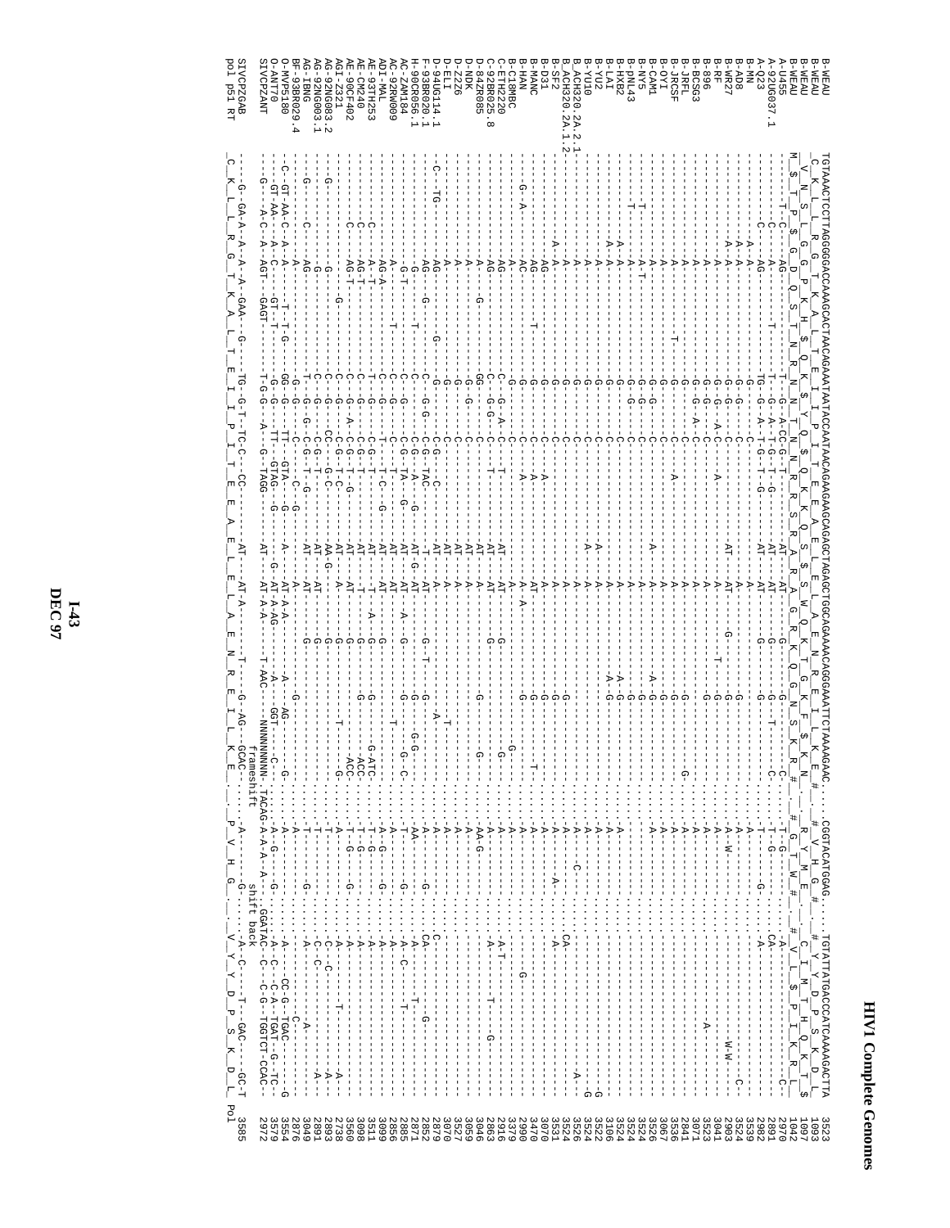| Pol                                    | ຸດ<br>¦.<br>⊲<br>Ŕ<br>Ō<br>.<br>۳<br>ŗω.<br>×<br>٦J.<br>F                                                                                                                                                                                                                                                                                                                                                                 | 'n<br>ם י<br>$\prec$<br>E,                                                                             |            |               |                                                                                                 |        |                                       | RT                                  |
|----------------------------------------|---------------------------------------------------------------------------------------------------------------------------------------------------------------------------------------------------------------------------------------------------------------------------------------------------------------------------------------------------------------------------------------------------------------------------|--------------------------------------------------------------------------------------------------------|------------|---------------|-------------------------------------------------------------------------------------------------|--------|---------------------------------------|-------------------------------------|
| 3585                                   | $-G -A-$<br>shift back<br>$\overline{Q}$<br>$\overline{\phantom{a}}$<br>1<br>$\begin{array}{c} \hline \end{array}$<br>$\frac{1}{1}$<br>J.<br>J.<br>-CAC-<br>$\begin{array}{c} \end{array}$<br>$\overline{\phantom{a}}$<br>П<br>$\mathsf I$<br>$-50 - 1$                                                                                                                                                                   | 42<br>Erameshift<br>$CAC--$<br>$\overline{1}$<br>$\ddot{\mathbf{r}}$<br>I<br>п<br>П                    |            |               |                                                                                                 |        |                                       | <b>IVCPZGAB</b>                     |
| 2 Q                                    | $A---$<br>$\cdot$ GGATAC--C<br>Ť<br>J,<br>∩<br>$-5-7$<br>TGGTCT-CCAC--                                                                                                                                                                                                                                                                                                                                                    | VNNNN- .TACAG-A-A-A--                                                                                  | -AAC       | $AT-AC-AC$    | —<br>ក្<br>႕<br>TAGG                                                                            | GAGT   | -A-C<br>AGT                           | IVCPZANT                            |
| 357<br>297                             | $-G- \ldots \ldots -A--$<br>$\begin{bmatrix} 1 & 1 & 1 \\ 1 & 1 & 1 \\ 1 & 1 & 1 \\ 1 & 1 & 1 \\ 1 & 1 & 1 \\ 1 & 1 & 1 \\ 1 & 1 & 1 \\ 1 & 1 & 1 \\ 1 & 1 & 1 \\ 1 & 1 & 1 \\ 1 & 1 & 1 \\ 1 & 1 & 1 \\ 1 & 1 & 1 \\ 1 & 1 & 1 \\ 1 & 1 & 1 & 1 \\ 1 & 1 & 1 & 1 \\ 1 & 1 & 1 & 1 \\ 1 & 1 & 1 & 1 \\ 1 & 1 & 1 & 1 \\ 1 & 1 & 1 & 1 \\ 1 & 1 & 1 & 1 \\ 1 & $<br>Ω<br>$\frac{1}{1}$<br>$C - A = -T G A T = -G = -T C =$ | $-C---. \ldots. -3--$<br>$\vdots$<br>$\cdot$<br>$\bullet$<br>$-1$<br>$\mathsf I$                       | <b>GGI</b> | $A$ T-A-AS    | GTAG-                                                                                           |        | <b>GT-AA</b>                          | $0LLMV$ -                           |
|                                        | л<br>т<br>$\mathsf I$<br>$\vdots$<br>$\mathbb{I}$<br>$\overline{1}$<br>$-4-$<br>I<br>$- - C C - G - - T G A C - -$<br>I<br>I<br>I<br>Ţ<br>I.<br>J.<br>$\mathbf{I}$<br>$\frac{1}{1}$<br>္ဂ်<br>$\mathbf{I}$<br>$\begin{array}{c} \hline \end{array}$                                                                                                                                                                       | $\vdots$<br>I.<br>$-{\bf p}$ —<br>$-4-$<br>J.<br>I<br>ı                                                | AG-        | $-AT-FA-RA$   | 9--99<br>님<br>-<br>$GTA -$<br>ပြ                                                                |        | GT-AA-C<br>-<br>4<br>$\rightarrow -4$ | F-93BR029<br><b>MVP5180</b>         |
|                                        | $\frac{1}{2}$<br>$\overline{1}$<br>Ъ<br>$\frac{1}{1}$<br>I<br>$\mathbf{I}$<br>$-1$ - $-1$<br>$-4-$<br>$\frac{1}{1}$<br>$\overline{1}$<br>т<br>$\mathbf{I}$<br>I<br>J<br>т<br>$\blacksquare$<br>J                                                                                                                                                                                                                          | J<br>$\frac{1}{1}$<br>$\frac{1}{1}$                                                                    |            |               | Ω<br>-- Ω<br>$-1$<br>$\frac{1}{1}$<br>-- 1                                                      |        |                                       | -TBNG                               |
|                                        | $\mathbf I$<br>$\vdots$<br>$\mathbb I$<br>$C = -C = -$<br>I,<br>п<br>L<br>$A -$                                                                                                                                                                                                                                                                                                                                           | $\frac{1}{1}$<br>$\frac{1}{1}$                                                                         |            | $2T -$<br>-AT | ႕<br>ပုံ                                                                                        |        |                                       | $-92MC003.1$                        |
|                                        | $\vdots$<br>$\mathbf I$<br>Ģ<br>$\overline{1}$<br>ė<br>$\blacksquare$<br>$A - -$                                                                                                                                                                                                                                                                                                                                          | $\overline{1}$<br>$\blacksquare$<br>부                                                                  |            | $BA-G$        | Ω                                                                                               |        |                                       | $-92NCO83$<br>$\mathbb{N}$          |
|                                        | I<br>I.<br>$\vdots$<br>$\overline{Y}$<br>Ï<br>I<br>л<br>$\begin{array}{c} 1 \\ 1 \\ 1 \end{array}$<br>I<br>ł<br>--A--                                                                                                                                                                                                                                                                                                     | I<br>$-5-$<br>$-4-1$                                                                                   |            | -AT-          | Ω<br>-0--1--0-                                                                                  |        |                                       | $1 - 2321$                          |
|                                        | $\frac{1}{1}$<br>$\vdots$<br>$\mathsf I$<br>$\overline{A}$<br>J.<br>п                                                                                                                                                                                                                                                                                                                                                     | $\mathbf{I}$<br>$-ACC -$<br>$\frac{1}{1}$<br>ဂူ<br>I                                                   |            | $-AT$ -       | ငှ<br>$A -$<br>C<br>ပုံ<br>ہ<br>- - ہ                                                           | $AG-T$ |                                       | $-90CFA02$                          |
| ${}^{\circ}$                           | $\mathbf I$<br>f<br>$\mathsf I$<br>$\mathbb{A}$                                                                                                                                                                                                                                                                                                                                                                           | $-ACC-$ .<br>$-1 - 6 - -1$                                                                             |            | Ż,            | Ω<br>ក់                                                                                         |        | $L-5V$                                | -CM240                              |
| 22222222222<br>2020202020<br>Н         | I<br>I,<br>$\mathbf{I}$<br>$\vdots$<br>$-4$<br>ţ                                                                                                                                                                                                                                                                                                                                                                          | 3-ATC-<br>$-1 - 9 - -1 - 1$<br>п<br>I,                                                                 |            | -TA-          | ဂ္ဂ်<br>$\frac{1}{1}$                                                                           | $A--T$ |                                       | $-93TH253$                          |
| 6                                      | ှု<br>f<br>$\mathbf I$<br>Ъ<br>Ï<br>$\mathbf{I}$                                                                                                                                                                                                                                                                                                                                                                          | $\overline{1}$<br>$\blacksquare$<br>$\cdot$<br>$\cdot$<br>$-A - G - -$<br>$\mathbf{I}$<br>$\mathbf{I}$ |            | $-LH$ .       | ဂ္ဂ်<br>보                                                                                       |        | <b>AG-A</b>                           | TWM-                                |
| G                                      | л<br>$\mathsf I$<br>$\vdots$<br>$\mathbb I$<br>$-4-$<br>п<br>I                                                                                                                                                                                                                                                                                                                                                            | п<br>ļ<br>$-4$<br>п<br>L                                                                               |            |               |                                                                                                 |        |                                       | -92RM009                            |
| UП                                     | $\frac{1}{1}$<br>$-\Delta -$<br>$\mathbf{I}$<br>J<br>1<br>년                                                                                                                                                                                                                                                                                                                                                               | -9--0-<br>$\vdots$<br>$\frac{1}{1}$                                                                    |            | $-15$<br>⊅    | G<br>ှ<br>-TA-                                                                                  |        |                                       | <b>P8INVZ</b>                       |
| $\overline{\phantom{a}}$               | $\mathbf{I}$<br>$\mathsf I$<br>Ъ<br>I<br>I<br>۲<br>ا<br>1<br>Ï                                                                                                                                                                                                                                                                                                                                                            | $\frac{1}{1}$<br>$\mathbf{I}$<br>$\vdots$<br>$-AA$ -                                                   |            | $AT-G$        | $-\Delta -$                                                                                     |        |                                       | 90CR056.                            |
| $\mathbb N$                            | $\vdots$<br>CA-<br>$\begin{array}{c} \end{array}$<br>ဂု<br>$\overline{1}$<br>I<br>ı                                                                                                                                                                                                                                                                                                                                       | п<br>I<br>$-\Delta - -$                                                                                |            |               | ှ<br>- ၁-<br>TAC-                                                                               |        |                                       | 3BR020.                             |
| $\circ$                                | $\vdots$<br>C                                                                                                                                                                                                                                                                                                                                                                                                             | $-\Delta -$                                                                                            |            | $-LA$         |                                                                                                 |        |                                       | 40C114.                             |
| $\circ$                                | J,<br>л<br>л<br>J,                                                                                                                                                                                                                                                                                                                                                                                                        | J.<br>$\forall$<br>Ţ                                                                                   |            | Š             |                                                                                                 |        |                                       |                                     |
| 3236<br>2020<br>2020<br>$\overline{a}$ | ı                                                                                                                                                                                                                                                                                                                                                                                                                         | I<br>$-4-7-$                                                                                           |            | Ż             |                                                                                                 |        |                                       | 3225                                |
| O                                      | л<br>л<br>Ï<br>J<br>I                                                                                                                                                                                                                                                                                                                                                                                                     | $\frac{1}{1}$<br>J,<br>$-4-$                                                                           |            | -RT-          | <br> -<br>                                                                                      |        |                                       | Я                                   |
| Ō                                      |                                                                                                                                                                                                                                                                                                                                                                                                                           | $\frac{1}{1}$<br>I.<br>$-AA-G$<br>ļ                                                                    |            |               |                                                                                                 |        |                                       | 4ZR085                              |
| ω                                      | $\mathbf I$<br>$\sum_{i=1}^{n}$<br>$\mathbf{I}$<br>$\blacksquare$<br>Ą<br>けー<br>$\mathbf{I}$<br>$\mathbf{I}$<br>ဂှ                                                                                                                                                                                                                                                                                                        | $-4-7$                                                                                                 |            | Ż,            | $-5-5-$                                                                                         |        |                                       | <b>2BR025</b><br>$\frac{1}{\infty}$ |
| 22024<br>2804<br>G                     | $\mathsf I$<br>$R - T - T - T$<br>$\mathbb{I}$<br>Ţ<br>ł<br>I<br>J,<br>л<br>$\mathbf I$<br>I<br>J.<br>î<br>I<br>л                                                                                                                                                                                                                                                                                                         | $\frac{1}{1}$<br>t<br>$-\Delta -$<br>$\mathbf{I}$<br>п                                                 |            |               | -9-<br>ע-<br>년                                                                                  |        |                                       | ETH2220                             |
|                                        |                                                                                                                                                                                                                                                                                                                                                                                                                           | $\forall$                                                                                              |            |               |                                                                                                 |        |                                       | C18MBC                              |
|                                        | J<br>J.<br>л<br>$\frac{1}{1}$                                                                                                                                                                                                                                                                                                                                                                                             | J<br>л<br>J,<br>$\overline{A}$<br>ł                                                                    |            |               | Þ                                                                                               |        | ଢ଼<br>Ř                               |                                     |
|                                        |                                                                                                                                                                                                                                                                                                                                                                                                                           | ーーーー<br>$\ddot{\cdot}$<br>$\frac{1}{\mathcal{V}}$<br>I                                                 |            |               | ৳                                                                                               |        |                                       | HAIN<br><b>NANC</b>                 |
|                                        | $\frac{1}{1}$<br>$\overline{1}$<br>J<br>J<br>J                                                                                                                                                                                                                                                                                                                                                                            | $\frac{1}{1}$<br>$\forall$ –<br>Ì<br>$\overline{1}$                                                    |            |               |                                                                                                 |        |                                       | <b>D31</b>                          |
|                                        | --A--<br>$-4 - -$                                                                                                                                                                                                                                                                                                                                                                                                         | t<br>$\overline{Y}$<br>п                                                                               |            |               |                                                                                                 |        |                                       | SF2                                 |
|                                        | $C-A--$                                                                                                                                                                                                                                                                                                                                                                                                                   | $\vdots$<br>$\forall$ –<br>$\blacksquare$<br>J                                                         |            |               |                                                                                                 |        |                                       | <b>ACH32</b>                        |
|                                        | ı<br>$\mathbf{I}$<br>Í<br>I<br>I<br>ì<br>$A - -$                                                                                                                                                                                                                                                                                                                                                                          | í<br>$\frac{1}{\mathcal{V}}$<br>I<br>$-1$                                                              |            |               |                                                                                                 |        |                                       | ACH320                              |
|                                        | $\overline{\phantom{a}}$                                                                                                                                                                                                                                                                                                                                                                                                  | $\overline{A}$                                                                                         |            | ⊅             |                                                                                                 |        |                                       | OTOX-                               |
| $\mathsf{N}$                           | $\mathbf{I}$<br>ω<br>Ω                                                                                                                                                                                                                                                                                                                                                                                                    | $\overline{v}$<br>т                                                                                    |            |               |                                                                                                 |        |                                       | $Z\Omega\overline{\Lambda}$         |
|                                        | ı                                                                                                                                                                                                                                                                                                                                                                                                                         | ì<br>$\frac{1}{\mathcal{V}}$<br>I<br>I<br>J                                                            |            |               |                                                                                                 |        |                                       | IAI.                                |
| c                                      |                                                                                                                                                                                                                                                                                                                                                                                                                           | $\frac{1}{1}$<br>$\overline{A}$<br>$\mathbf{I}$                                                        |            |               |                                                                                                 |        |                                       | -HXB2                               |
|                                        |                                                                                                                                                                                                                                                                                                                                                                                                                           |                                                                                                        |            |               |                                                                                                 |        |                                       | <b>PNL43</b>                        |
|                                        |                                                                                                                                                                                                                                                                                                                                                                                                                           | $\frac{1}{1}$<br>$\ddot{\cdot}$                                                                        |            |               | ပုံ                                                                                             |        |                                       | $SAN-$                              |
| G                                      |                                                                                                                                                                                                                                                                                                                                                                                                                           | I<br>$\vdots$<br>$\ddot{\phantom{0}}$<br>$\frac{1}{\mathcal{V}}$                                       |            |               | Ω                                                                                               |        |                                       | -CAM1                               |
|                                        |                                                                                                                                                                                                                                                                                                                                                                                                                           | $\frac{1}{1}$<br>$\vdots$<br>$\forall$ –<br>Ï                                                          |            |               |                                                                                                 |        |                                       | IXO                                 |
| G                                      |                                                                                                                                                                                                                                                                                                                                                                                                                           | $\mathbf{I}$<br>$-\Delta$ -<br>$\mathbf{I}$                                                            |            |               |                                                                                                 |        |                                       | -JRCSF                              |
|                                        | I<br>Ï<br>I<br>I                                                                                                                                                                                                                                                                                                                                                                                                          | $\frac{1}{2}$<br>$\frac{1}{2}$<br>$\frac{1}{1}$                                                        |            |               |                                                                                                 |        |                                       | -JRFL                               |
|                                        |                                                                                                                                                                                                                                                                                                                                                                                                                           | $\frac{1}{1}$<br>$\vdots$<br>$-A-$<br>I.                                                               |            |               |                                                                                                 |        |                                       | BCSG3                               |
|                                        | $-4-$<br>J,                                                                                                                                                                                                                                                                                                                                                                                                               | $\frac{1}{1}$<br>$\ddot{\cdot}$<br>$-{\bf p}$ —                                                        |            |               | Ω                                                                                               |        |                                       | $-896$                              |
|                                        | ı<br>ı                                                                                                                                                                                                                                                                                                                                                                                                                    | I<br>I<br>$\bar{A}$<br>$\frac{1}{1}$<br>I                                                              |            |               | <u>ဂ</u>                                                                                        |        |                                       | –<br>RF                             |
|                                        | $-M-M -$<br>I<br>J                                                                                                                                                                                                                                                                                                                                                                                                        | I<br>$\vdots$<br>$-4 - M - -K -$                                                                       |            |               |                                                                                                 |        | $-7$                                  | $-MR27$                             |
|                                        | п<br>т<br>I,<br>$\frac{1}{2}$                                                                                                                                                                                                                                                                                                                                                                                             | п<br>I<br>$-$ – $\Delta$ – $-$<br>I<br>I.                                                              |            |               |                                                                                                 |        | $A - -A$                              | $-2D8$                              |
|                                        |                                                                                                                                                                                                                                                                                                                                                                                                                           | $\mathbf{I}$<br>$-4-4$<br>л                                                                            |            |               |                                                                                                 |        |                                       | ă                                   |
| 2892<br>2982<br>2983                   | ှု<br>$\vdots$<br>$\ldots -A--$<br>I<br>ı<br>ı<br>I                                                                                                                                                                                                                                                                                                                                                                       | ı<br>I<br>$\frac{1}{4}$<br>. 1411<br>$\frac{1}{1}$<br>I                                                |            | ΗŚ,           | Ω                                                                                               |        | ikG                                   | .023                                |
|                                        | п<br>J<br>$C-A-$<br>I<br>п<br>I.<br>1<br>п                                                                                                                                                                                                                                                                                                                                                                                | ı<br>$\mathfrak l$<br>$\frac{1}{2}$<br>$-1 - 0 - -1$<br>1<br>I                                         |            | AT-           | 보<br>Ω                                                                                          |        |                                       | 920503.                             |
| 10970<br>1042<br>2970                  | $\overline{1}$<br>$\overline{A}$<br>ှ                                                                                                                                                                                                                                                                                                                                                                                     | $\frac{1}{2}$<br>$\frac{1}{1}$<br>ဂူ<br>$\mathbf{I}$                                                   |            |               |                                                                                                 |        |                                       | GS50                                |
|                                        | ₩<br>ヰ<br>⊲<br>ᡃᠣ<br>۳                                                                                                                                                                                                                                                                                                                                                                                                    | $\pm$<br>Ω,<br>Η<br>z,                                                                                 |            |               |                                                                                                 |        |                                       | -WEAU<br><b>NEAU</b>                |
|                                        | 'ဂ<br>ø<br>$\pm$<br>₩<br>Ω<br>z<br>ď.<br>E<br>¦o<br>Ξ<br>.<br>מ<br>$\circ$<br>'n,<br>E<br>F<br>٠m                                                                                                                                                                                                                                                                                                                         | Ħ<br>z<br>$\pm$<br>$\pm$<br>≺<br>Ē<br>z                                                                |            |               |                                                                                                 |        |                                       | <b>NEAU</b>                         |
| 3522<br>$\omega$ $\omega$              | TGTATTATGACCCATCAAAAGACTTA<br>∢<br>∢                                                                                                                                                                                                                                                                                                                                                                                      | <b>AGAAC</b><br>CGGTACATGGAG<br>⊲                                                                      |            |               | TGTAAACTCTTAGGGGACCAAAGCACTAACAGAAATATACCAATAACAAAAGAAGAAGCAGAGCTAGAGCTGGAGAGAAAAAGAGGAAATTCTAA |        |                                       | NEAU                                |
|                                        |                                                                                                                                                                                                                                                                                                                                                                                                                           |                                                                                                        |            |               |                                                                                                 |        |                                       |                                     |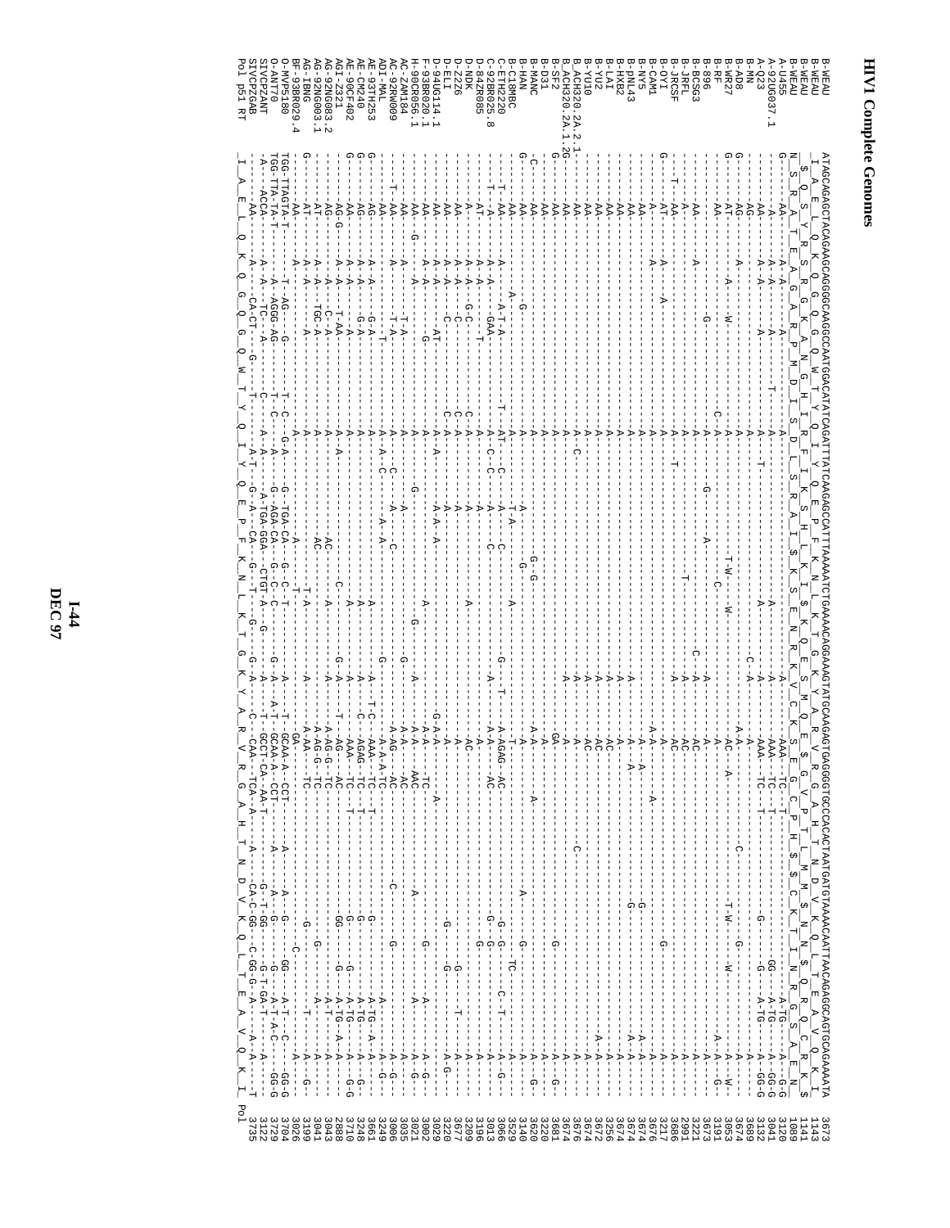| ⊅<br><b>TGC-A</b><br>$C$ ––A<br>1-AA<br>$-0.00 -$<br>$G-A$<br>G-A<br>ユーヤー<br>$\Delta-\Delta$<br>$- -A$<br>G-A<br>TGA-CA-<br>Ř<br>$\mathtt{A}-\mathtt{A}--\mathtt{CCT}----$<br>$-1 - 2C - 1$<br>----AC----<br>A---TC<br>$20 - 1 - 1 - 1 - 1 - 1 - 1$<br>$A--T--T--T--T--$<br>$A - A - TCC - - -$<br>$AG--AC---$<br>ł<br>$\frac{1}{1}$<br>$A--T--T--T--T$<br>A------------<br>J.<br>$\mathbf{I}$<br>1<br>÷<br>÷<br>$-1-C$ - - - - -<br>$- - 2C - - - -$<br>$-AACC---$<br>$\begin{array}{c} 1 \\ 1 \\ 1 \end{array}$<br>$---AC---$<br>$-4$<br>$- - 2C - - -$<br>$\frac{1}{1}$<br>$-LC---$<br>$\frac{1}{1}$<br>$\begin{array}{c} \end{array}$<br>$\frac{1}{1}$<br>$\lambda$<br>I<br>$\frac{1}{1}$<br>$\blacksquare$<br>$\frac{1}{1}$<br>$\overline{1}$<br>J<br>I<br>$\frac{1}{1}$<br>I<br>I<br>$\blacksquare$<br>I<br>$\mathbf{I}$<br>$\mathbf{I}$<br>I.<br>I<br>Ĵ<br>I<br>$\begin{array}{c} \hline \end{array}$<br>$\frac{1}{1}$<br>I<br>$-1$ $-1$ $-1$ $-1$ $-1$<br>$-\nabla$<br>ł<br>$\frac{1}{1}$<br>$\frac{1}{1}$<br>$\overline{1}$<br>İ<br>$-4$ – $-1$<br>$\begin{array}{c} \rule{0pt}{2.5ex} \rule{0pt}{2.5ex} \rule{0pt}{2.5ex} \rule{0pt}{2.5ex} \rule{0pt}{2.5ex} \rule{0pt}{2.5ex} \rule{0pt}{2.5ex} \rule{0pt}{2.5ex} \rule{0pt}{2.5ex} \rule{0pt}{2.5ex} \rule{0pt}{2.5ex} \rule{0pt}{2.5ex} \rule{0pt}{2.5ex} \rule{0pt}{2.5ex} \rule{0pt}{2.5ex} \rule{0pt}{2.5ex} \rule{0pt}{2.5ex} \rule{0pt}{2.5ex} \rule{0pt}{2.5ex} \rule{0$<br>$\frac{1}{1}$<br>$\frac{1}{1}$<br>J<br>I<br>ţ<br>$A---$<br>$\frac{1}{1}$<br>$\mathbf{I}$<br>$\frac{1}{1}$<br>I<br>$\frac{1}{1}$<br>$\blacksquare$<br>J.<br>$\begin{array}{c} \end{array}$<br>$\mathsf I$<br>$\begin{array}{c} \rule{0pt}{2.5ex} \rule{0pt}{2.5ex} \rule{0pt}{2.5ex} \rule{0pt}{2.5ex} \rule{0pt}{2.5ex} \rule{0pt}{2.5ex} \rule{0pt}{2.5ex} \rule{0pt}{2.5ex} \rule{0pt}{2.5ex} \rule{0pt}{2.5ex} \rule{0pt}{2.5ex} \rule{0pt}{2.5ex} \rule{0pt}{2.5ex} \rule{0pt}{2.5ex} \rule{0pt}{2.5ex} \rule{0pt}{2.5ex} \rule{0pt}{2.5ex} \rule{0pt}{2.5ex} \rule{0pt}{2.5ex} \rule{0$<br>$\mathbb I$<br>$\overline{1}$<br>$\mathsf I$<br>$\mathbf{I}$<br>$\mathsf I$<br>I<br>Ţ<br>I<br>I<br>ţ<br>$\frac{1}{1}$<br>$\overline{\phantom{a}}$<br>$\mathbf{I}$<br>$\frac{1}{4}$<br>$\mathbf{I}$<br>I.<br>$\mathbf{I}$<br>J<br>$\frac{1}{1}$<br>$\frac{1}{1}$<br>ł<br>$\frac{1}{1}$<br>$\mathbf{I}$<br>$\mathbf{I}$<br>I.<br>т<br>$\mathbf{I}$<br>I.<br>$- - - - - - -$<br>$\frac{1}{1}$<br>$\begin{array}{c} 1 \\ 1 \\ 1 \end{array}$<br>$\frac{1}{1}$<br>$-1 - 1$<br>J,<br>т<br>$\overline{1}$<br>$C - -$<br>I,<br>$\frac{1}{1}$<br>$\begin{array}{c} 1 \\ 1 \\ 1 \end{array}$<br>I<br>$\frac{1}{1}$<br>$-$ - $-$ - $-$ - $-$ - $-$ - $-$ - $-$ - $-$ - $-$ - $-$ - $-$ - $-$ - $-$ - $-$ - $-$ - $-$ - $-$ - $-$ - $-$ - $-$ - $-$ - $-$ - $-$ - $-$ - $-$ - $-$ - $-$ - $-$ - $-$ - $-$ - $-$ - $-$ - $-$ - $-$ - $-$ - $-$ - $-$ -<br>$\frac{1}{1}$<br>$\frac{1}{4}$<br>I<br>I.<br>$- -$ - $-$ - $-$ - $-$ - $-$ - $-$ - $-$ - $-$ - $-$ - $-$ - $-$ - $-$ - $-$ - $-$ - $-$ - $-$ - $-$ - $-$ - $-$ - $-$ - $-$ - $-$ - $-$ - $-$ - $-$ - $-$ - $-$ - $-$ - $-$ - $-$ - $-$ - $-$ - $-$ - $-$ - $-$ - $-$ - $-$<br>-----------<br>$\begin{array}{c} 1 \\ 1 \\ 1 \\ 1 \\ 1 \end{array}$<br>$\mathsf I$<br>--A---G-----GG-----A-T--C----GG---<br>$\begin{array}{c} 1 \\ 1 \\ 1 \end{array}$<br>$-1$ $-1$ $-1$ $-1$ $-1$ $-1$ $-1$<br>$-1$ - $-1$<br>ł<br>$\frac{1}{1}$<br>$-1$ $-1$ $-1$ $-1$ $-1$ $-1$<br>$\begin{array}{c} 1 \\ 1 \\ 1 \\ 1 \end{array}$<br>$-6 - -$<br>$\begin{bmatrix} 1 \\ 1 \\ 1 \end{bmatrix}$<br>$\overline{\phantom{a}}$<br>$\frac{1}{1}$<br>$\frac{1}{1}$<br>$-1$ $-1$ $-1$ $-1$ $-1$ $-1$<br>$\frac{1}{1}$<br>$\frac{1}{1}$<br>$-1 - 5 - 1$<br>$\overline{\phantom{a}}$<br>$\frac{1}{1}$<br>$\frac{1}{1}$<br>$\frac{1}{1}$<br>I<br>$\frac{1}{1}$<br>1<br>$\frac{1}{1}$<br>Ť<br>$\frac{1}{1}$<br>I<br>ţ<br>$\frac{1}{1}$<br>$\frac{1}{1}$<br>$\frac{1}{1}$<br>$\frac{1}{1}$<br>$\frac{1}{1}$<br>$\mathbf{I}$<br>$\overline{\phantom{a}}$<br>$\frac{1}{1}$<br>$\frac{1}{1}$<br>$\frac{1}{1}$<br>$\frac{1}{1}$<br>ì<br>ì<br>1<br>$\mathbf{I}$<br>G----------------<br>$\begin{array}{c c} \hline \textbf{1} & \textbf{1} & \textbf{1} & \textbf{1} \\ \hline \textbf{2} & \textbf{1} & \textbf{1} & \textbf{1} & \textbf{1} \\ \hline \textbf{3} & \textbf{1} & \textbf{1} & \textbf{1} & \textbf{1} \\ \hline \textbf{4} & \textbf{1} & \textbf{1} & \textbf{1} & \textbf{1} & \textbf{1} \\ \hline \end{array}$<br>$\begin{array}{c} \hline \end{array}$<br>Ω<br>$G----D$<br>G--------<br>$\frac{1}{1}$<br>$-1$ $-1$ $-1$ $-1$ $-1$ $-1$<br>$\frac{1}{1}$<br>$\mathsf I$<br>$\overline{1}$<br>$\frac{1}{4}$<br>$\frac{1}{1}$<br>$-1$ $-1$ $-1$ $-1$ $-1$ $-1$<br>$\mathsf I$<br>$\mathsf I$<br>ţ<br>$\frac{1}{1}$<br>$\blacksquare$<br>$\frac{1}{1}$<br>J.<br>I<br>J.<br>I<br>$-99-$<br>$\overline{1}$<br>$\begin{array}{c} 1 \\ 1 \\ 1 \end{array}$<br>$-1$<br>$\mathsf I$<br>$\frac{1}{2}$<br>$\frac{1}{1}$<br>Í<br>T<br>$\frac{1}{1}$<br>$\overline{\phantom{a}}$<br>$\mathbf{I}$<br>$\mathbf{I}$<br>-------<br>п<br>$\mathbb{I}$<br>$\begin{bmatrix} 1 \\ 1 \\ 1 \end{bmatrix}$<br>$\frac{1}{1}$<br>$\mathbf I$<br>$-1$ $-1$ $-1$ $-1$ $-1$ $-1$<br>$-1 - 2 - 1 - - -$<br>$- - \mathbf{A} - \mathbf{T} \mathbf{G} - - - - -$<br>$        -$<br>$---+--$<br>$\mathsf I$<br>$\begin{array}{c} \rule{0pt}{2.5ex} \rule{0pt}{2.5ex} \rule{0pt}{2.5ex} \rule{0pt}{2.5ex} \rule{0pt}{2.5ex} \rule{0pt}{2.5ex} \rule{0pt}{2.5ex} \rule{0pt}{2.5ex} \rule{0pt}{2.5ex} \rule{0pt}{2.5ex} \rule{0pt}{2.5ex} \rule{0pt}{2.5ex} \rule{0pt}{2.5ex} \rule{0pt}{2.5ex} \rule{0pt}{2.5ex} \rule{0pt}{2.5ex} \rule{0pt}{2.5ex} \rule{0pt}{2.5ex} \rule{0pt}{2.5ex} \rule{0$<br>$\mathsf I$<br>J<br>ł<br>$-7 - 7 - 7$<br>$-1 - \frac{1}{4} - \frac{1}{1} - \frac{1}{1}$<br>$\overline{1}$<br>$\frac{1}{1}$<br>$\frac{1}{1}$<br>I<br>$\overline{\phantom{a}}$<br>$\begin{array}{c} 1 \\ 1 \\ 1 \\ 1 \end{array}$<br>I.<br>$\mathsf I$<br>$\begin{array}{c} 1 \\ 1 \\ 1 \\ 1 \end{array}$<br>I<br>ţ<br>$---A--A---$<br>$\frac{1}{1}$<br>j<br>Ť<br>$\mathbf{I}$<br>$\frac{1}{1}$<br>$\frac{1}{1}$<br>$\blacksquare$<br>j<br>$\begin{array}{c} 1 \\ 1 \\ 1 \end{array}$<br>$\mathbf{I}$<br>$\frac{1}{2}$<br>j<br>$-{\bf A}--{\bf A}-$<br>$----P$<br>$\begin{array}{c} 1 \\ 1 \\ 1 \end{array}$<br>$----P$<br>j.<br>J<br>ł<br>$\overline{1}$<br>$\overline{1}$<br>$A------$<br>$\overline{\phantom{a}}$<br>$\mathsf I$ |                                                                 |  | GG-TTAGTA-<br>ATA-AR |
|-------------------------------------------------------------------------------------------------------------------------------------------------------------------------------------------------------------------------------------------------------------------------------------------------------------------------------------------------------------------------------------------------------------------------------------------------------------------------------------------------------------------------------------------------------------------------------------------------------------------------------------------------------------------------------------------------------------------------------------------------------------------------------------------------------------------------------------------------------------------------------------------------------------------------------------------------------------------------------------------------------------------------------------------------------------------------------------------------------------------------------------------------------------------------------------------------------------------------------------------------------------------------------------------------------------------------------------------------------------------------------------------------------------------------------------------------------------------------------------------------------------------------------------------------------------------------------------------------------------------------------------------------------------------------------------------------------------------------------------------------------------------------------------------------------------------------------------------------------------------------------------------------------------------------------------------------------------------------------------------------------------------------------------------------------------------------------------------------------------------------------------------------------------------------------------------------------------------------------------------------------------------------------------------------------------------------------------------------------------------------------------------------------------------------------------------------------------------------------------------------------------------------------------------------------------------------------------------------------------------------------------------------------------------------------------------------------------------------------------------------------------------------------------------------------------------------------------------------------------------------------------------------------------------------------------------------------------------------------------------------------------------------------------------------------------------------------------------------------------------------------------------------------------------------------------------------------------------------------------------------------------------------------------------------------------------------------------------------------------------------------------------------------------------------------------------------------------------------------------------------------------------------------------------------------------------------------------------------------------------------------------------------------------------------------------------------------------------------------------------------------------------------------------------------------------------------------------------------------------------------------------------------------------------------------------------------------------------------------------------------------------------------------------------------------------------------------------------------------------------------------------------------------------------------------------------------------------------------------------------------------------------------------------------------------------------------------------------------------------------------------------------------------------------------------------------------------------------------------------------------------------------------------------------------------------------------------------------------------------------------------------------------------------------------------------------------------------------------------------------------------------------------------------------------------------------------------------------------------------------------------------------------------------------------------------------------------------------------------------------------------------------------------------------------------------------------------------------------------------------------------------------------------------------------------------------------------------------------------------------------------------------------------------------------------------------------------------------------------------------------------------------------------------------------------------------------------------------------------------------------------------------------------------------------------------------------------------------------------------------------------------------------------------------------------------------------------------------------------------------------------------------------------------------------------------------------------------------------------------------------------------------------------------------------------------------------------------------------------------------------------------------------------------------------------------------------------------------------------------------------------------------------------------------------------------------------------------------------------------------------------------------------------------------------------------------------------------------------------------------------------------------------------------------------------------------------------------------------------------|-----------------------------------------------------------------|--|----------------------|
| $----\mathbf{A}-\mathbf{T}\mathbf{G}--\mathbf{A}------$<br>$- - \mathbf{A} - \mathbf{T} \mathbf{G} - - \mathbf{A} - - \mathbf{A} - - -$<br>$- - - - - - - - - - - - - - - - - -$<br>-----------<br>$- \Delta - - \Delta - - \Delta - \Delta -$<br>$---D---A---G---$<br>$- - - - - - - - - - -$<br>$---D---A---$<br>-------<br>$- - - - - - - - - - -$<br>$------------$<br>$- - - - - - - - - - -$<br>$------------$<br>$- - - - - - - - -$<br>$---P - P - C ---$<br>$- \Delta - - \Delta - - \Delta -$<br>$- - - - - - - - - - -$<br>$---A---$<br>$---D---A---G---$<br>$---+----$<br>$---A---$<br>$-5 - 9 - -6 -$<br>$A - -G - -$<br>$A -$<br>$A - -G - -$<br>$A$ --<br>$A------$<br>$A------$<br>$\overline{A}$<br>$A---$<br>$\mathsf I$<br>İ<br>$\mathsf I$<br>$\mathsf I$<br>$\overline{\phantom{a}}$                                                                                                                                                                                                                                                                                                                                                                                                                                                                                                                                                                                                                                                                                                                                                                                                                                                                                                                                                                                                                                                                                                                                                                                                                                                                                                                                                                                                                                                                                                                                                                                                                                                                                                                                                                                                                                                                                                                                                                                                                                                                                                                                                                                                                                                                                                                                                                                                                                                                                                                                                                                                                                                                                                                                                                                                                                                                                                                                                                                                                                                                                                                                                                                                                                                                                                                                                                                                                                                                                                                                                                                                                                                                                                                                                                                                                                                                                                                                                                                                                                                                                                                                                                                                                                                                                                                                                                                                                                                                                                                                                                                                                                                                                                                                                                                                                                                                                                                                                                                                                                                                                                                                                                                                                                                                                                                                                                                                                                                                                                                                                                                                                                                                           |                                                                 |  | - AA                 |
|                                                                                                                                                                                                                                                                                                                                                                                                                                                                                                                                                                                                                                                                                                                                                                                                                                                                                                                                                                                                                                                                                                                                                                                                                                                                                                                                                                                                                                                                                                                                                                                                                                                                                                                                                                                                                                                                                                                                                                                                                                                                                                                                                                                                                                                                                                                                                                                                                                                                                                                                                                                                                                                                                                                                                                                                                                                                                                                                                                                                                                                                                                                                                                                                                                                                                                                                                                                                                                                                                                                                                                                                                                                                                                                                                                                                                                                                                                                                                                                                                                                                                                                                                                                                                                                                                                                                                                                                                                                                                                                                                                                                                                                                                                                                                                                                                                                                                                                                                                                                                                                                                                                                                                                                                                                                                                                                                                                                                                                                                                                                                                                                                                                                                                                                                                                                                                                                                                                                                                                                                                                                                                                                                                                                                                                                                                                                                                                                                                                                                     |                                                                 |  |                      |
|                                                                                                                                                                                                                                                                                                                                                                                                                                                                                                                                                                                                                                                                                                                                                                                                                                                                                                                                                                                                                                                                                                                                                                                                                                                                                                                                                                                                                                                                                                                                                                                                                                                                                                                                                                                                                                                                                                                                                                                                                                                                                                                                                                                                                                                                                                                                                                                                                                                                                                                                                                                                                                                                                                                                                                                                                                                                                                                                                                                                                                                                                                                                                                                                                                                                                                                                                                                                                                                                                                                                                                                                                                                                                                                                                                                                                                                                                                                                                                                                                                                                                                                                                                                                                                                                                                                                                                                                                                                                                                                                                                                                                                                                                                                                                                                                                                                                                                                                                                                                                                                                                                                                                                                                                                                                                                                                                                                                                                                                                                                                                                                                                                                                                                                                                                                                                                                                                                                                                                                                                                                                                                                                                                                                                                                                                                                                                                                                                                                                                     |                                                                 |  |                      |
|                                                                                                                                                                                                                                                                                                                                                                                                                                                                                                                                                                                                                                                                                                                                                                                                                                                                                                                                                                                                                                                                                                                                                                                                                                                                                                                                                                                                                                                                                                                                                                                                                                                                                                                                                                                                                                                                                                                                                                                                                                                                                                                                                                                                                                                                                                                                                                                                                                                                                                                                                                                                                                                                                                                                                                                                                                                                                                                                                                                                                                                                                                                                                                                                                                                                                                                                                                                                                                                                                                                                                                                                                                                                                                                                                                                                                                                                                                                                                                                                                                                                                                                                                                                                                                                                                                                                                                                                                                                                                                                                                                                                                                                                                                                                                                                                                                                                                                                                                                                                                                                                                                                                                                                                                                                                                                                                                                                                                                                                                                                                                                                                                                                                                                                                                                                                                                                                                                                                                                                                                                                                                                                                                                                                                                                                                                                                                                                                                                                                                     |                                                                 |  |                      |
|                                                                                                                                                                                                                                                                                                                                                                                                                                                                                                                                                                                                                                                                                                                                                                                                                                                                                                                                                                                                                                                                                                                                                                                                                                                                                                                                                                                                                                                                                                                                                                                                                                                                                                                                                                                                                                                                                                                                                                                                                                                                                                                                                                                                                                                                                                                                                                                                                                                                                                                                                                                                                                                                                                                                                                                                                                                                                                                                                                                                                                                                                                                                                                                                                                                                                                                                                                                                                                                                                                                                                                                                                                                                                                                                                                                                                                                                                                                                                                                                                                                                                                                                                                                                                                                                                                                                                                                                                                                                                                                                                                                                                                                                                                                                                                                                                                                                                                                                                                                                                                                                                                                                                                                                                                                                                                                                                                                                                                                                                                                                                                                                                                                                                                                                                                                                                                                                                                                                                                                                                                                                                                                                                                                                                                                                                                                                                                                                                                                                                     |                                                                 |  | -76                  |
|                                                                                                                                                                                                                                                                                                                                                                                                                                                                                                                                                                                                                                                                                                                                                                                                                                                                                                                                                                                                                                                                                                                                                                                                                                                                                                                                                                                                                                                                                                                                                                                                                                                                                                                                                                                                                                                                                                                                                                                                                                                                                                                                                                                                                                                                                                                                                                                                                                                                                                                                                                                                                                                                                                                                                                                                                                                                                                                                                                                                                                                                                                                                                                                                                                                                                                                                                                                                                                                                                                                                                                                                                                                                                                                                                                                                                                                                                                                                                                                                                                                                                                                                                                                                                                                                                                                                                                                                                                                                                                                                                                                                                                                                                                                                                                                                                                                                                                                                                                                                                                                                                                                                                                                                                                                                                                                                                                                                                                                                                                                                                                                                                                                                                                                                                                                                                                                                                                                                                                                                                                                                                                                                                                                                                                                                                                                                                                                                                                                                                     |                                                                 |  |                      |
|                                                                                                                                                                                                                                                                                                                                                                                                                                                                                                                                                                                                                                                                                                                                                                                                                                                                                                                                                                                                                                                                                                                                                                                                                                                                                                                                                                                                                                                                                                                                                                                                                                                                                                                                                                                                                                                                                                                                                                                                                                                                                                                                                                                                                                                                                                                                                                                                                                                                                                                                                                                                                                                                                                                                                                                                                                                                                                                                                                                                                                                                                                                                                                                                                                                                                                                                                                                                                                                                                                                                                                                                                                                                                                                                                                                                                                                                                                                                                                                                                                                                                                                                                                                                                                                                                                                                                                                                                                                                                                                                                                                                                                                                                                                                                                                                                                                                                                                                                                                                                                                                                                                                                                                                                                                                                                                                                                                                                                                                                                                                                                                                                                                                                                                                                                                                                                                                                                                                                                                                                                                                                                                                                                                                                                                                                                                                                                                                                                                                                     |                                                                 |  | $-AC$                |
|                                                                                                                                                                                                                                                                                                                                                                                                                                                                                                                                                                                                                                                                                                                                                                                                                                                                                                                                                                                                                                                                                                                                                                                                                                                                                                                                                                                                                                                                                                                                                                                                                                                                                                                                                                                                                                                                                                                                                                                                                                                                                                                                                                                                                                                                                                                                                                                                                                                                                                                                                                                                                                                                                                                                                                                                                                                                                                                                                                                                                                                                                                                                                                                                                                                                                                                                                                                                                                                                                                                                                                                                                                                                                                                                                                                                                                                                                                                                                                                                                                                                                                                                                                                                                                                                                                                                                                                                                                                                                                                                                                                                                                                                                                                                                                                                                                                                                                                                                                                                                                                                                                                                                                                                                                                                                                                                                                                                                                                                                                                                                                                                                                                                                                                                                                                                                                                                                                                                                                                                                                                                                                                                                                                                                                                                                                                                                                                                                                                                                     |                                                                 |  |                      |
|                                                                                                                                                                                                                                                                                                                                                                                                                                                                                                                                                                                                                                                                                                                                                                                                                                                                                                                                                                                                                                                                                                                                                                                                                                                                                                                                                                                                                                                                                                                                                                                                                                                                                                                                                                                                                                                                                                                                                                                                                                                                                                                                                                                                                                                                                                                                                                                                                                                                                                                                                                                                                                                                                                                                                                                                                                                                                                                                                                                                                                                                                                                                                                                                                                                                                                                                                                                                                                                                                                                                                                                                                                                                                                                                                                                                                                                                                                                                                                                                                                                                                                                                                                                                                                                                                                                                                                                                                                                                                                                                                                                                                                                                                                                                                                                                                                                                                                                                                                                                                                                                                                                                                                                                                                                                                                                                                                                                                                                                                                                                                                                                                                                                                                                                                                                                                                                                                                                                                                                                                                                                                                                                                                                                                                                                                                                                                                                                                                                                                     |                                                                 |  |                      |
|                                                                                                                                                                                                                                                                                                                                                                                                                                                                                                                                                                                                                                                                                                                                                                                                                                                                                                                                                                                                                                                                                                                                                                                                                                                                                                                                                                                                                                                                                                                                                                                                                                                                                                                                                                                                                                                                                                                                                                                                                                                                                                                                                                                                                                                                                                                                                                                                                                                                                                                                                                                                                                                                                                                                                                                                                                                                                                                                                                                                                                                                                                                                                                                                                                                                                                                                                                                                                                                                                                                                                                                                                                                                                                                                                                                                                                                                                                                                                                                                                                                                                                                                                                                                                                                                                                                                                                                                                                                                                                                                                                                                                                                                                                                                                                                                                                                                                                                                                                                                                                                                                                                                                                                                                                                                                                                                                                                                                                                                                                                                                                                                                                                                                                                                                                                                                                                                                                                                                                                                                                                                                                                                                                                                                                                                                                                                                                                                                                                                                     |                                                                 |  |                      |
|                                                                                                                                                                                                                                                                                                                                                                                                                                                                                                                                                                                                                                                                                                                                                                                                                                                                                                                                                                                                                                                                                                                                                                                                                                                                                                                                                                                                                                                                                                                                                                                                                                                                                                                                                                                                                                                                                                                                                                                                                                                                                                                                                                                                                                                                                                                                                                                                                                                                                                                                                                                                                                                                                                                                                                                                                                                                                                                                                                                                                                                                                                                                                                                                                                                                                                                                                                                                                                                                                                                                                                                                                                                                                                                                                                                                                                                                                                                                                                                                                                                                                                                                                                                                                                                                                                                                                                                                                                                                                                                                                                                                                                                                                                                                                                                                                                                                                                                                                                                                                                                                                                                                                                                                                                                                                                                                                                                                                                                                                                                                                                                                                                                                                                                                                                                                                                                                                                                                                                                                                                                                                                                                                                                                                                                                                                                                                                                                                                                                                     |                                                                 |  |                      |
|                                                                                                                                                                                                                                                                                                                                                                                                                                                                                                                                                                                                                                                                                                                                                                                                                                                                                                                                                                                                                                                                                                                                                                                                                                                                                                                                                                                                                                                                                                                                                                                                                                                                                                                                                                                                                                                                                                                                                                                                                                                                                                                                                                                                                                                                                                                                                                                                                                                                                                                                                                                                                                                                                                                                                                                                                                                                                                                                                                                                                                                                                                                                                                                                                                                                                                                                                                                                                                                                                                                                                                                                                                                                                                                                                                                                                                                                                                                                                                                                                                                                                                                                                                                                                                                                                                                                                                                                                                                                                                                                                                                                                                                                                                                                                                                                                                                                                                                                                                                                                                                                                                                                                                                                                                                                                                                                                                                                                                                                                                                                                                                                                                                                                                                                                                                                                                                                                                                                                                                                                                                                                                                                                                                                                                                                                                                                                                                                                                                                                     |                                                                 |  |                      |
|                                                                                                                                                                                                                                                                                                                                                                                                                                                                                                                                                                                                                                                                                                                                                                                                                                                                                                                                                                                                                                                                                                                                                                                                                                                                                                                                                                                                                                                                                                                                                                                                                                                                                                                                                                                                                                                                                                                                                                                                                                                                                                                                                                                                                                                                                                                                                                                                                                                                                                                                                                                                                                                                                                                                                                                                                                                                                                                                                                                                                                                                                                                                                                                                                                                                                                                                                                                                                                                                                                                                                                                                                                                                                                                                                                                                                                                                                                                                                                                                                                                                                                                                                                                                                                                                                                                                                                                                                                                                                                                                                                                                                                                                                                                                                                                                                                                                                                                                                                                                                                                                                                                                                                                                                                                                                                                                                                                                                                                                                                                                                                                                                                                                                                                                                                                                                                                                                                                                                                                                                                                                                                                                                                                                                                                                                                                                                                                                                                                                                     |                                                                 |  |                      |
|                                                                                                                                                                                                                                                                                                                                                                                                                                                                                                                                                                                                                                                                                                                                                                                                                                                                                                                                                                                                                                                                                                                                                                                                                                                                                                                                                                                                                                                                                                                                                                                                                                                                                                                                                                                                                                                                                                                                                                                                                                                                                                                                                                                                                                                                                                                                                                                                                                                                                                                                                                                                                                                                                                                                                                                                                                                                                                                                                                                                                                                                                                                                                                                                                                                                                                                                                                                                                                                                                                                                                                                                                                                                                                                                                                                                                                                                                                                                                                                                                                                                                                                                                                                                                                                                                                                                                                                                                                                                                                                                                                                                                                                                                                                                                                                                                                                                                                                                                                                                                                                                                                                                                                                                                                                                                                                                                                                                                                                                                                                                                                                                                                                                                                                                                                                                                                                                                                                                                                                                                                                                                                                                                                                                                                                                                                                                                                                                                                                                                     |                                                                 |  |                      |
|                                                                                                                                                                                                                                                                                                                                                                                                                                                                                                                                                                                                                                                                                                                                                                                                                                                                                                                                                                                                                                                                                                                                                                                                                                                                                                                                                                                                                                                                                                                                                                                                                                                                                                                                                                                                                                                                                                                                                                                                                                                                                                                                                                                                                                                                                                                                                                                                                                                                                                                                                                                                                                                                                                                                                                                                                                                                                                                                                                                                                                                                                                                                                                                                                                                                                                                                                                                                                                                                                                                                                                                                                                                                                                                                                                                                                                                                                                                                                                                                                                                                                                                                                                                                                                                                                                                                                                                                                                                                                                                                                                                                                                                                                                                                                                                                                                                                                                                                                                                                                                                                                                                                                                                                                                                                                                                                                                                                                                                                                                                                                                                                                                                                                                                                                                                                                                                                                                                                                                                                                                                                                                                                                                                                                                                                                                                                                                                                                                                                                     |                                                                 |  |                      |
|                                                                                                                                                                                                                                                                                                                                                                                                                                                                                                                                                                                                                                                                                                                                                                                                                                                                                                                                                                                                                                                                                                                                                                                                                                                                                                                                                                                                                                                                                                                                                                                                                                                                                                                                                                                                                                                                                                                                                                                                                                                                                                                                                                                                                                                                                                                                                                                                                                                                                                                                                                                                                                                                                                                                                                                                                                                                                                                                                                                                                                                                                                                                                                                                                                                                                                                                                                                                                                                                                                                                                                                                                                                                                                                                                                                                                                                                                                                                                                                                                                                                                                                                                                                                                                                                                                                                                                                                                                                                                                                                                                                                                                                                                                                                                                                                                                                                                                                                                                                                                                                                                                                                                                                                                                                                                                                                                                                                                                                                                                                                                                                                                                                                                                                                                                                                                                                                                                                                                                                                                                                                                                                                                                                                                                                                                                                                                                                                                                                                                     |                                                                 |  |                      |
|                                                                                                                                                                                                                                                                                                                                                                                                                                                                                                                                                                                                                                                                                                                                                                                                                                                                                                                                                                                                                                                                                                                                                                                                                                                                                                                                                                                                                                                                                                                                                                                                                                                                                                                                                                                                                                                                                                                                                                                                                                                                                                                                                                                                                                                                                                                                                                                                                                                                                                                                                                                                                                                                                                                                                                                                                                                                                                                                                                                                                                                                                                                                                                                                                                                                                                                                                                                                                                                                                                                                                                                                                                                                                                                                                                                                                                                                                                                                                                                                                                                                                                                                                                                                                                                                                                                                                                                                                                                                                                                                                                                                                                                                                                                                                                                                                                                                                                                                                                                                                                                                                                                                                                                                                                                                                                                                                                                                                                                                                                                                                                                                                                                                                                                                                                                                                                                                                                                                                                                                                                                                                                                                                                                                                                                                                                                                                                                                                                                                                     |                                                                 |  |                      |
|                                                                                                                                                                                                                                                                                                                                                                                                                                                                                                                                                                                                                                                                                                                                                                                                                                                                                                                                                                                                                                                                                                                                                                                                                                                                                                                                                                                                                                                                                                                                                                                                                                                                                                                                                                                                                                                                                                                                                                                                                                                                                                                                                                                                                                                                                                                                                                                                                                                                                                                                                                                                                                                                                                                                                                                                                                                                                                                                                                                                                                                                                                                                                                                                                                                                                                                                                                                                                                                                                                                                                                                                                                                                                                                                                                                                                                                                                                                                                                                                                                                                                                                                                                                                                                                                                                                                                                                                                                                                                                                                                                                                                                                                                                                                                                                                                                                                                                                                                                                                                                                                                                                                                                                                                                                                                                                                                                                                                                                                                                                                                                                                                                                                                                                                                                                                                                                                                                                                                                                                                                                                                                                                                                                                                                                                                                                                                                                                                                                                                     |                                                                 |  |                      |
|                                                                                                                                                                                                                                                                                                                                                                                                                                                                                                                                                                                                                                                                                                                                                                                                                                                                                                                                                                                                                                                                                                                                                                                                                                                                                                                                                                                                                                                                                                                                                                                                                                                                                                                                                                                                                                                                                                                                                                                                                                                                                                                                                                                                                                                                                                                                                                                                                                                                                                                                                                                                                                                                                                                                                                                                                                                                                                                                                                                                                                                                                                                                                                                                                                                                                                                                                                                                                                                                                                                                                                                                                                                                                                                                                                                                                                                                                                                                                                                                                                                                                                                                                                                                                                                                                                                                                                                                                                                                                                                                                                                                                                                                                                                                                                                                                                                                                                                                                                                                                                                                                                                                                                                                                                                                                                                                                                                                                                                                                                                                                                                                                                                                                                                                                                                                                                                                                                                                                                                                                                                                                                                                                                                                                                                                                                                                                                                                                                                                                     |                                                                 |  |                      |
|                                                                                                                                                                                                                                                                                                                                                                                                                                                                                                                                                                                                                                                                                                                                                                                                                                                                                                                                                                                                                                                                                                                                                                                                                                                                                                                                                                                                                                                                                                                                                                                                                                                                                                                                                                                                                                                                                                                                                                                                                                                                                                                                                                                                                                                                                                                                                                                                                                                                                                                                                                                                                                                                                                                                                                                                                                                                                                                                                                                                                                                                                                                                                                                                                                                                                                                                                                                                                                                                                                                                                                                                                                                                                                                                                                                                                                                                                                                                                                                                                                                                                                                                                                                                                                                                                                                                                                                                                                                                                                                                                                                                                                                                                                                                                                                                                                                                                                                                                                                                                                                                                                                                                                                                                                                                                                                                                                                                                                                                                                                                                                                                                                                                                                                                                                                                                                                                                                                                                                                                                                                                                                                                                                                                                                                                                                                                                                                                                                                                                     |                                                                 |  |                      |
|                                                                                                                                                                                                                                                                                                                                                                                                                                                                                                                                                                                                                                                                                                                                                                                                                                                                                                                                                                                                                                                                                                                                                                                                                                                                                                                                                                                                                                                                                                                                                                                                                                                                                                                                                                                                                                                                                                                                                                                                                                                                                                                                                                                                                                                                                                                                                                                                                                                                                                                                                                                                                                                                                                                                                                                                                                                                                                                                                                                                                                                                                                                                                                                                                                                                                                                                                                                                                                                                                                                                                                                                                                                                                                                                                                                                                                                                                                                                                                                                                                                                                                                                                                                                                                                                                                                                                                                                                                                                                                                                                                                                                                                                                                                                                                                                                                                                                                                                                                                                                                                                                                                                                                                                                                                                                                                                                                                                                                                                                                                                                                                                                                                                                                                                                                                                                                                                                                                                                                                                                                                                                                                                                                                                                                                                                                                                                                                                                                                                                     |                                                                 |  |                      |
|                                                                                                                                                                                                                                                                                                                                                                                                                                                                                                                                                                                                                                                                                                                                                                                                                                                                                                                                                                                                                                                                                                                                                                                                                                                                                                                                                                                                                                                                                                                                                                                                                                                                                                                                                                                                                                                                                                                                                                                                                                                                                                                                                                                                                                                                                                                                                                                                                                                                                                                                                                                                                                                                                                                                                                                                                                                                                                                                                                                                                                                                                                                                                                                                                                                                                                                                                                                                                                                                                                                                                                                                                                                                                                                                                                                                                                                                                                                                                                                                                                                                                                                                                                                                                                                                                                                                                                                                                                                                                                                                                                                                                                                                                                                                                                                                                                                                                                                                                                                                                                                                                                                                                                                                                                                                                                                                                                                                                                                                                                                                                                                                                                                                                                                                                                                                                                                                                                                                                                                                                                                                                                                                                                                                                                                                                                                                                                                                                                                                                     |                                                                 |  |                      |
|                                                                                                                                                                                                                                                                                                                                                                                                                                                                                                                                                                                                                                                                                                                                                                                                                                                                                                                                                                                                                                                                                                                                                                                                                                                                                                                                                                                                                                                                                                                                                                                                                                                                                                                                                                                                                                                                                                                                                                                                                                                                                                                                                                                                                                                                                                                                                                                                                                                                                                                                                                                                                                                                                                                                                                                                                                                                                                                                                                                                                                                                                                                                                                                                                                                                                                                                                                                                                                                                                                                                                                                                                                                                                                                                                                                                                                                                                                                                                                                                                                                                                                                                                                                                                                                                                                                                                                                                                                                                                                                                                                                                                                                                                                                                                                                                                                                                                                                                                                                                                                                                                                                                                                                                                                                                                                                                                                                                                                                                                                                                                                                                                                                                                                                                                                                                                                                                                                                                                                                                                                                                                                                                                                                                                                                                                                                                                                                                                                                                                     |                                                                 |  |                      |
|                                                                                                                                                                                                                                                                                                                                                                                                                                                                                                                                                                                                                                                                                                                                                                                                                                                                                                                                                                                                                                                                                                                                                                                                                                                                                                                                                                                                                                                                                                                                                                                                                                                                                                                                                                                                                                                                                                                                                                                                                                                                                                                                                                                                                                                                                                                                                                                                                                                                                                                                                                                                                                                                                                                                                                                                                                                                                                                                                                                                                                                                                                                                                                                                                                                                                                                                                                                                                                                                                                                                                                                                                                                                                                                                                                                                                                                                                                                                                                                                                                                                                                                                                                                                                                                                                                                                                                                                                                                                                                                                                                                                                                                                                                                                                                                                                                                                                                                                                                                                                                                                                                                                                                                                                                                                                                                                                                                                                                                                                                                                                                                                                                                                                                                                                                                                                                                                                                                                                                                                                                                                                                                                                                                                                                                                                                                                                                                                                                                                                     |                                                                 |  |                      |
|                                                                                                                                                                                                                                                                                                                                                                                                                                                                                                                                                                                                                                                                                                                                                                                                                                                                                                                                                                                                                                                                                                                                                                                                                                                                                                                                                                                                                                                                                                                                                                                                                                                                                                                                                                                                                                                                                                                                                                                                                                                                                                                                                                                                                                                                                                                                                                                                                                                                                                                                                                                                                                                                                                                                                                                                                                                                                                                                                                                                                                                                                                                                                                                                                                                                                                                                                                                                                                                                                                                                                                                                                                                                                                                                                                                                                                                                                                                                                                                                                                                                                                                                                                                                                                                                                                                                                                                                                                                                                                                                                                                                                                                                                                                                                                                                                                                                                                                                                                                                                                                                                                                                                                                                                                                                                                                                                                                                                                                                                                                                                                                                                                                                                                                                                                                                                                                                                                                                                                                                                                                                                                                                                                                                                                                                                                                                                                                                                                                                                     |                                                                 |  |                      |
|                                                                                                                                                                                                                                                                                                                                                                                                                                                                                                                                                                                                                                                                                                                                                                                                                                                                                                                                                                                                                                                                                                                                                                                                                                                                                                                                                                                                                                                                                                                                                                                                                                                                                                                                                                                                                                                                                                                                                                                                                                                                                                                                                                                                                                                                                                                                                                                                                                                                                                                                                                                                                                                                                                                                                                                                                                                                                                                                                                                                                                                                                                                                                                                                                                                                                                                                                                                                                                                                                                                                                                                                                                                                                                                                                                                                                                                                                                                                                                                                                                                                                                                                                                                                                                                                                                                                                                                                                                                                                                                                                                                                                                                                                                                                                                                                                                                                                                                                                                                                                                                                                                                                                                                                                                                                                                                                                                                                                                                                                                                                                                                                                                                                                                                                                                                                                                                                                                                                                                                                                                                                                                                                                                                                                                                                                                                                                                                                                                                                                     |                                                                 |  |                      |
|                                                                                                                                                                                                                                                                                                                                                                                                                                                                                                                                                                                                                                                                                                                                                                                                                                                                                                                                                                                                                                                                                                                                                                                                                                                                                                                                                                                                                                                                                                                                                                                                                                                                                                                                                                                                                                                                                                                                                                                                                                                                                                                                                                                                                                                                                                                                                                                                                                                                                                                                                                                                                                                                                                                                                                                                                                                                                                                                                                                                                                                                                                                                                                                                                                                                                                                                                                                                                                                                                                                                                                                                                                                                                                                                                                                                                                                                                                                                                                                                                                                                                                                                                                                                                                                                                                                                                                                                                                                                                                                                                                                                                                                                                                                                                                                                                                                                                                                                                                                                                                                                                                                                                                                                                                                                                                                                                                                                                                                                                                                                                                                                                                                                                                                                                                                                                                                                                                                                                                                                                                                                                                                                                                                                                                                                                                                                                                                                                                                                                     |                                                                 |  |                      |
|                                                                                                                                                                                                                                                                                                                                                                                                                                                                                                                                                                                                                                                                                                                                                                                                                                                                                                                                                                                                                                                                                                                                                                                                                                                                                                                                                                                                                                                                                                                                                                                                                                                                                                                                                                                                                                                                                                                                                                                                                                                                                                                                                                                                                                                                                                                                                                                                                                                                                                                                                                                                                                                                                                                                                                                                                                                                                                                                                                                                                                                                                                                                                                                                                                                                                                                                                                                                                                                                                                                                                                                                                                                                                                                                                                                                                                                                                                                                                                                                                                                                                                                                                                                                                                                                                                                                                                                                                                                                                                                                                                                                                                                                                                                                                                                                                                                                                                                                                                                                                                                                                                                                                                                                                                                                                                                                                                                                                                                                                                                                                                                                                                                                                                                                                                                                                                                                                                                                                                                                                                                                                                                                                                                                                                                                                                                                                                                                                                                                                     |                                                                 |  |                      |
|                                                                                                                                                                                                                                                                                                                                                                                                                                                                                                                                                                                                                                                                                                                                                                                                                                                                                                                                                                                                                                                                                                                                                                                                                                                                                                                                                                                                                                                                                                                                                                                                                                                                                                                                                                                                                                                                                                                                                                                                                                                                                                                                                                                                                                                                                                                                                                                                                                                                                                                                                                                                                                                                                                                                                                                                                                                                                                                                                                                                                                                                                                                                                                                                                                                                                                                                                                                                                                                                                                                                                                                                                                                                                                                                                                                                                                                                                                                                                                                                                                                                                                                                                                                                                                                                                                                                                                                                                                                                                                                                                                                                                                                                                                                                                                                                                                                                                                                                                                                                                                                                                                                                                                                                                                                                                                                                                                                                                                                                                                                                                                                                                                                                                                                                                                                                                                                                                                                                                                                                                                                                                                                                                                                                                                                                                                                                                                                                                                                                                     |                                                                 |  |                      |
|                                                                                                                                                                                                                                                                                                                                                                                                                                                                                                                                                                                                                                                                                                                                                                                                                                                                                                                                                                                                                                                                                                                                                                                                                                                                                                                                                                                                                                                                                                                                                                                                                                                                                                                                                                                                                                                                                                                                                                                                                                                                                                                                                                                                                                                                                                                                                                                                                                                                                                                                                                                                                                                                                                                                                                                                                                                                                                                                                                                                                                                                                                                                                                                                                                                                                                                                                                                                                                                                                                                                                                                                                                                                                                                                                                                                                                                                                                                                                                                                                                                                                                                                                                                                                                                                                                                                                                                                                                                                                                                                                                                                                                                                                                                                                                                                                                                                                                                                                                                                                                                                                                                                                                                                                                                                                                                                                                                                                                                                                                                                                                                                                                                                                                                                                                                                                                                                                                                                                                                                                                                                                                                                                                                                                                                                                                                                                                                                                                                                                     |                                                                 |  |                      |
|                                                                                                                                                                                                                                                                                                                                                                                                                                                                                                                                                                                                                                                                                                                                                                                                                                                                                                                                                                                                                                                                                                                                                                                                                                                                                                                                                                                                                                                                                                                                                                                                                                                                                                                                                                                                                                                                                                                                                                                                                                                                                                                                                                                                                                                                                                                                                                                                                                                                                                                                                                                                                                                                                                                                                                                                                                                                                                                                                                                                                                                                                                                                                                                                                                                                                                                                                                                                                                                                                                                                                                                                                                                                                                                                                                                                                                                                                                                                                                                                                                                                                                                                                                                                                                                                                                                                                                                                                                                                                                                                                                                                                                                                                                                                                                                                                                                                                                                                                                                                                                                                                                                                                                                                                                                                                                                                                                                                                                                                                                                                                                                                                                                                                                                                                                                                                                                                                                                                                                                                                                                                                                                                                                                                                                                                                                                                                                                                                                                                                     |                                                                 |  |                      |
|                                                                                                                                                                                                                                                                                                                                                                                                                                                                                                                                                                                                                                                                                                                                                                                                                                                                                                                                                                                                                                                                                                                                                                                                                                                                                                                                                                                                                                                                                                                                                                                                                                                                                                                                                                                                                                                                                                                                                                                                                                                                                                                                                                                                                                                                                                                                                                                                                                                                                                                                                                                                                                                                                                                                                                                                                                                                                                                                                                                                                                                                                                                                                                                                                                                                                                                                                                                                                                                                                                                                                                                                                                                                                                                                                                                                                                                                                                                                                                                                                                                                                                                                                                                                                                                                                                                                                                                                                                                                                                                                                                                                                                                                                                                                                                                                                                                                                                                                                                                                                                                                                                                                                                                                                                                                                                                                                                                                                                                                                                                                                                                                                                                                                                                                                                                                                                                                                                                                                                                                                                                                                                                                                                                                                                                                                                                                                                                                                                                                                     |                                                                 |  | ₿                    |
|                                                                                                                                                                                                                                                                                                                                                                                                                                                                                                                                                                                                                                                                                                                                                                                                                                                                                                                                                                                                                                                                                                                                                                                                                                                                                                                                                                                                                                                                                                                                                                                                                                                                                                                                                                                                                                                                                                                                                                                                                                                                                                                                                                                                                                                                                                                                                                                                                                                                                                                                                                                                                                                                                                                                                                                                                                                                                                                                                                                                                                                                                                                                                                                                                                                                                                                                                                                                                                                                                                                                                                                                                                                                                                                                                                                                                                                                                                                                                                                                                                                                                                                                                                                                                                                                                                                                                                                                                                                                                                                                                                                                                                                                                                                                                                                                                                                                                                                                                                                                                                                                                                                                                                                                                                                                                                                                                                                                                                                                                                                                                                                                                                                                                                                                                                                                                                                                                                                                                                                                                                                                                                                                                                                                                                                                                                                                                                                                                                                                                     |                                                                 |  |                      |
|                                                                                                                                                                                                                                                                                                                                                                                                                                                                                                                                                                                                                                                                                                                                                                                                                                                                                                                                                                                                                                                                                                                                                                                                                                                                                                                                                                                                                                                                                                                                                                                                                                                                                                                                                                                                                                                                                                                                                                                                                                                                                                                                                                                                                                                                                                                                                                                                                                                                                                                                                                                                                                                                                                                                                                                                                                                                                                                                                                                                                                                                                                                                                                                                                                                                                                                                                                                                                                                                                                                                                                                                                                                                                                                                                                                                                                                                                                                                                                                                                                                                                                                                                                                                                                                                                                                                                                                                                                                                                                                                                                                                                                                                                                                                                                                                                                                                                                                                                                                                                                                                                                                                                                                                                                                                                                                                                                                                                                                                                                                                                                                                                                                                                                                                                                                                                                                                                                                                                                                                                                                                                                                                                                                                                                                                                                                                                                                                                                                                                     |                                                                 |  |                      |
|                                                                                                                                                                                                                                                                                                                                                                                                                                                                                                                                                                                                                                                                                                                                                                                                                                                                                                                                                                                                                                                                                                                                                                                                                                                                                                                                                                                                                                                                                                                                                                                                                                                                                                                                                                                                                                                                                                                                                                                                                                                                                                                                                                                                                                                                                                                                                                                                                                                                                                                                                                                                                                                                                                                                                                                                                                                                                                                                                                                                                                                                                                                                                                                                                                                                                                                                                                                                                                                                                                                                                                                                                                                                                                                                                                                                                                                                                                                                                                                                                                                                                                                                                                                                                                                                                                                                                                                                                                                                                                                                                                                                                                                                                                                                                                                                                                                                                                                                                                                                                                                                                                                                                                                                                                                                                                                                                                                                                                                                                                                                                                                                                                                                                                                                                                                                                                                                                                                                                                                                                                                                                                                                                                                                                                                                                                                                                                                                                                                                                     |                                                                 |  | PAA                  |
|                                                                                                                                                                                                                                                                                                                                                                                                                                                                                                                                                                                                                                                                                                                                                                                                                                                                                                                                                                                                                                                                                                                                                                                                                                                                                                                                                                                                                                                                                                                                                                                                                                                                                                                                                                                                                                                                                                                                                                                                                                                                                                                                                                                                                                                                                                                                                                                                                                                                                                                                                                                                                                                                                                                                                                                                                                                                                                                                                                                                                                                                                                                                                                                                                                                                                                                                                                                                                                                                                                                                                                                                                                                                                                                                                                                                                                                                                                                                                                                                                                                                                                                                                                                                                                                                                                                                                                                                                                                                                                                                                                                                                                                                                                                                                                                                                                                                                                                                                                                                                                                                                                                                                                                                                                                                                                                                                                                                                                                                                                                                                                                                                                                                                                                                                                                                                                                                                                                                                                                                                                                                                                                                                                                                                                                                                                                                                                                                                                                                                     |                                                                 |  | ∀-                   |
|                                                                                                                                                                                                                                                                                                                                                                                                                                                                                                                                                                                                                                                                                                                                                                                                                                                                                                                                                                                                                                                                                                                                                                                                                                                                                                                                                                                                                                                                                                                                                                                                                                                                                                                                                                                                                                                                                                                                                                                                                                                                                                                                                                                                                                                                                                                                                                                                                                                                                                                                                                                                                                                                                                                                                                                                                                                                                                                                                                                                                                                                                                                                                                                                                                                                                                                                                                                                                                                                                                                                                                                                                                                                                                                                                                                                                                                                                                                                                                                                                                                                                                                                                                                                                                                                                                                                                                                                                                                                                                                                                                                                                                                                                                                                                                                                                                                                                                                                                                                                                                                                                                                                                                                                                                                                                                                                                                                                                                                                                                                                                                                                                                                                                                                                                                                                                                                                                                                                                                                                                                                                                                                                                                                                                                                                                                                                                                                                                                                                                     |                                                                 |  |                      |
|                                                                                                                                                                                                                                                                                                                                                                                                                                                                                                                                                                                                                                                                                                                                                                                                                                                                                                                                                                                                                                                                                                                                                                                                                                                                                                                                                                                                                                                                                                                                                                                                                                                                                                                                                                                                                                                                                                                                                                                                                                                                                                                                                                                                                                                                                                                                                                                                                                                                                                                                                                                                                                                                                                                                                                                                                                                                                                                                                                                                                                                                                                                                                                                                                                                                                                                                                                                                                                                                                                                                                                                                                                                                                                                                                                                                                                                                                                                                                                                                                                                                                                                                                                                                                                                                                                                                                                                                                                                                                                                                                                                                                                                                                                                                                                                                                                                                                                                                                                                                                                                                                                                                                                                                                                                                                                                                                                                                                                                                                                                                                                                                                                                                                                                                                                                                                                                                                                                                                                                                                                                                                                                                                                                                                                                                                                                                                                                                                                                                                     |                                                                 |  |                      |
|                                                                                                                                                                                                                                                                                                                                                                                                                                                                                                                                                                                                                                                                                                                                                                                                                                                                                                                                                                                                                                                                                                                                                                                                                                                                                                                                                                                                                                                                                                                                                                                                                                                                                                                                                                                                                                                                                                                                                                                                                                                                                                                                                                                                                                                                                                                                                                                                                                                                                                                                                                                                                                                                                                                                                                                                                                                                                                                                                                                                                                                                                                                                                                                                                                                                                                                                                                                                                                                                                                                                                                                                                                                                                                                                                                                                                                                                                                                                                                                                                                                                                                                                                                                                                                                                                                                                                                                                                                                                                                                                                                                                                                                                                                                                                                                                                                                                                                                                                                                                                                                                                                                                                                                                                                                                                                                                                                                                                                                                                                                                                                                                                                                                                                                                                                                                                                                                                                                                                                                                                                                                                                                                                                                                                                                                                                                                                                                                                                                                                     |                                                                 |  |                      |
|                                                                                                                                                                                                                                                                                                                                                                                                                                                                                                                                                                                                                                                                                                                                                                                                                                                                                                                                                                                                                                                                                                                                                                                                                                                                                                                                                                                                                                                                                                                                                                                                                                                                                                                                                                                                                                                                                                                                                                                                                                                                                                                                                                                                                                                                                                                                                                                                                                                                                                                                                                                                                                                                                                                                                                                                                                                                                                                                                                                                                                                                                                                                                                                                                                                                                                                                                                                                                                                                                                                                                                                                                                                                                                                                                                                                                                                                                                                                                                                                                                                                                                                                                                                                                                                                                                                                                                                                                                                                                                                                                                                                                                                                                                                                                                                                                                                                                                                                                                                                                                                                                                                                                                                                                                                                                                                                                                                                                                                                                                                                                                                                                                                                                                                                                                                                                                                                                                                                                                                                                                                                                                                                                                                                                                                                                                                                                                                                                                                                                     |                                                                 |  | $\mathbb{F}^+$       |
|                                                                                                                                                                                                                                                                                                                                                                                                                                                                                                                                                                                                                                                                                                                                                                                                                                                                                                                                                                                                                                                                                                                                                                                                                                                                                                                                                                                                                                                                                                                                                                                                                                                                                                                                                                                                                                                                                                                                                                                                                                                                                                                                                                                                                                                                                                                                                                                                                                                                                                                                                                                                                                                                                                                                                                                                                                                                                                                                                                                                                                                                                                                                                                                                                                                                                                                                                                                                                                                                                                                                                                                                                                                                                                                                                                                                                                                                                                                                                                                                                                                                                                                                                                                                                                                                                                                                                                                                                                                                                                                                                                                                                                                                                                                                                                                                                                                                                                                                                                                                                                                                                                                                                                                                                                                                                                                                                                                                                                                                                                                                                                                                                                                                                                                                                                                                                                                                                                                                                                                                                                                                                                                                                                                                                                                                                                                                                                                                                                                                                     |                                                                 |  |                      |
|                                                                                                                                                                                                                                                                                                                                                                                                                                                                                                                                                                                                                                                                                                                                                                                                                                                                                                                                                                                                                                                                                                                                                                                                                                                                                                                                                                                                                                                                                                                                                                                                                                                                                                                                                                                                                                                                                                                                                                                                                                                                                                                                                                                                                                                                                                                                                                                                                                                                                                                                                                                                                                                                                                                                                                                                                                                                                                                                                                                                                                                                                                                                                                                                                                                                                                                                                                                                                                                                                                                                                                                                                                                                                                                                                                                                                                                                                                                                                                                                                                                                                                                                                                                                                                                                                                                                                                                                                                                                                                                                                                                                                                                                                                                                                                                                                                                                                                                                                                                                                                                                                                                                                                                                                                                                                                                                                                                                                                                                                                                                                                                                                                                                                                                                                                                                                                                                                                                                                                                                                                                                                                                                                                                                                                                                                                                                                                                                                                                                                     |                                                                 |  | $-AC$                |
|                                                                                                                                                                                                                                                                                                                                                                                                                                                                                                                                                                                                                                                                                                                                                                                                                                                                                                                                                                                                                                                                                                                                                                                                                                                                                                                                                                                                                                                                                                                                                                                                                                                                                                                                                                                                                                                                                                                                                                                                                                                                                                                                                                                                                                                                                                                                                                                                                                                                                                                                                                                                                                                                                                                                                                                                                                                                                                                                                                                                                                                                                                                                                                                                                                                                                                                                                                                                                                                                                                                                                                                                                                                                                                                                                                                                                                                                                                                                                                                                                                                                                                                                                                                                                                                                                                                                                                                                                                                                                                                                                                                                                                                                                                                                                                                                                                                                                                                                                                                                                                                                                                                                                                                                                                                                                                                                                                                                                                                                                                                                                                                                                                                                                                                                                                                                                                                                                                                                                                                                                                                                                                                                                                                                                                                                                                                                                                                                                                                                                     |                                                                 |  | AG                   |
|                                                                                                                                                                                                                                                                                                                                                                                                                                                                                                                                                                                                                                                                                                                                                                                                                                                                                                                                                                                                                                                                                                                                                                                                                                                                                                                                                                                                                                                                                                                                                                                                                                                                                                                                                                                                                                                                                                                                                                                                                                                                                                                                                                                                                                                                                                                                                                                                                                                                                                                                                                                                                                                                                                                                                                                                                                                                                                                                                                                                                                                                                                                                                                                                                                                                                                                                                                                                                                                                                                                                                                                                                                                                                                                                                                                                                                                                                                                                                                                                                                                                                                                                                                                                                                                                                                                                                                                                                                                                                                                                                                                                                                                                                                                                                                                                                                                                                                                                                                                                                                                                                                                                                                                                                                                                                                                                                                                                                                                                                                                                                                                                                                                                                                                                                                                                                                                                                                                                                                                                                                                                                                                                                                                                                                                                                                                                                                                                                                                                                     |                                                                 |  |                      |
|                                                                                                                                                                                                                                                                                                                                                                                                                                                                                                                                                                                                                                                                                                                                                                                                                                                                                                                                                                                                                                                                                                                                                                                                                                                                                                                                                                                                                                                                                                                                                                                                                                                                                                                                                                                                                                                                                                                                                                                                                                                                                                                                                                                                                                                                                                                                                                                                                                                                                                                                                                                                                                                                                                                                                                                                                                                                                                                                                                                                                                                                                                                                                                                                                                                                                                                                                                                                                                                                                                                                                                                                                                                                                                                                                                                                                                                                                                                                                                                                                                                                                                                                                                                                                                                                                                                                                                                                                                                                                                                                                                                                                                                                                                                                                                                                                                                                                                                                                                                                                                                                                                                                                                                                                                                                                                                                                                                                                                                                                                                                                                                                                                                                                                                                                                                                                                                                                                                                                                                                                                                                                                                                                                                                                                                                                                                                                                                                                                                                                     |                                                                 |  |                      |
|                                                                                                                                                                                                                                                                                                                                                                                                                                                                                                                                                                                                                                                                                                                                                                                                                                                                                                                                                                                                                                                                                                                                                                                                                                                                                                                                                                                                                                                                                                                                                                                                                                                                                                                                                                                                                                                                                                                                                                                                                                                                                                                                                                                                                                                                                                                                                                                                                                                                                                                                                                                                                                                                                                                                                                                                                                                                                                                                                                                                                                                                                                                                                                                                                                                                                                                                                                                                                                                                                                                                                                                                                                                                                                                                                                                                                                                                                                                                                                                                                                                                                                                                                                                                                                                                                                                                                                                                                                                                                                                                                                                                                                                                                                                                                                                                                                                                                                                                                                                                                                                                                                                                                                                                                                                                                                                                                                                                                                                                                                                                                                                                                                                                                                                                                                                                                                                                                                                                                                                                                                                                                                                                                                                                                                                                                                                                                                                                                                                                                     | $A---TC-$<br>$\frac{1}{1}$<br>보<br>$-4-TC$<br>J<br>$A - -G - G$ |  |                      |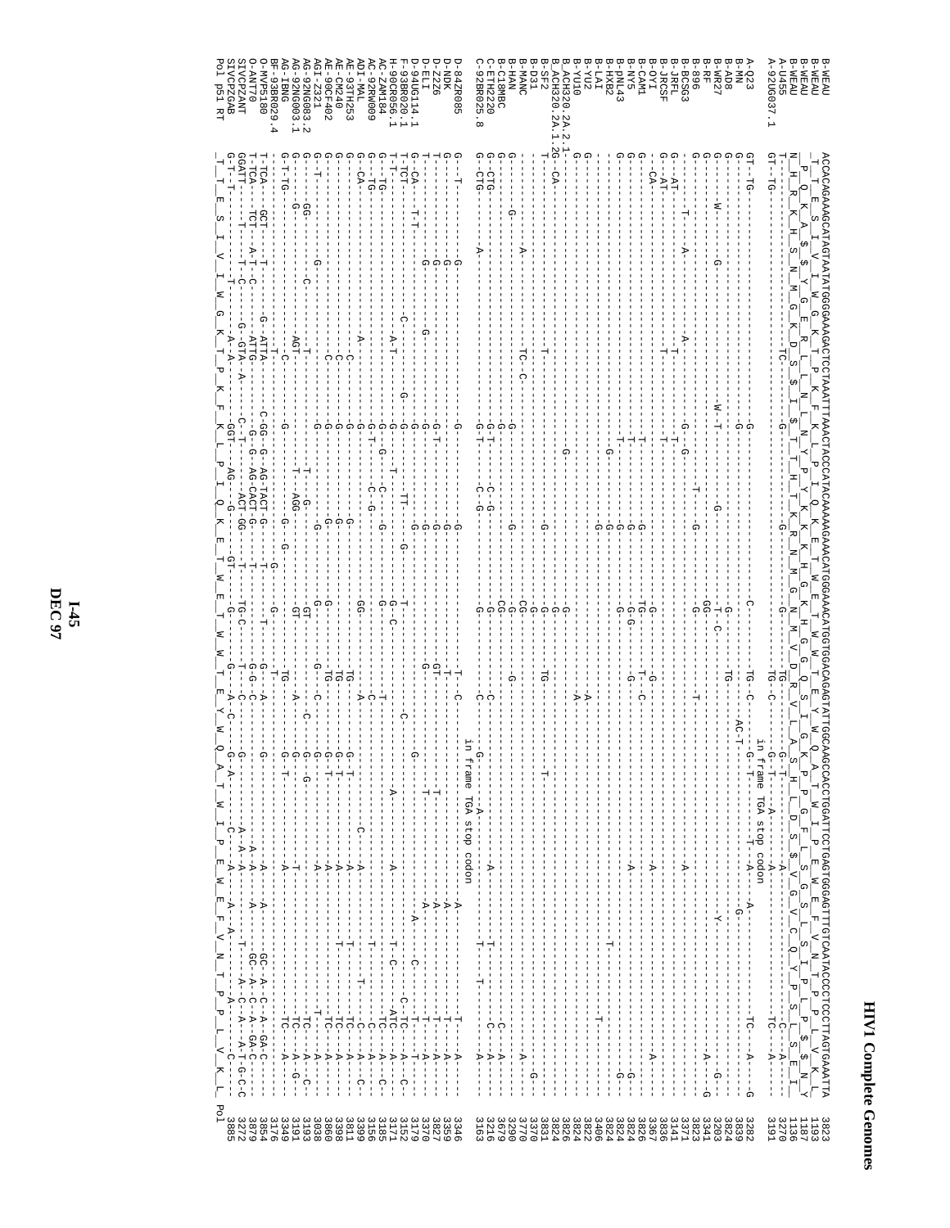| ଢ଼<br>ω<br>AGT-<br>$\frac{1}{2}$<br>Ω<br>Ω<br>AG-TACT-G<br>AGG-<br>GΣ<br>Ġ<br>Ğ<br>တို့<br>$\frac{1}{\Omega}$<br>ဂ္ဂ်<br>Ę<br>$\frac{1}{\Omega}$<br>ģ<br>ດ່<br>ပ္ပံ<br>Ġ<br>Ġ<br>Ġ<br>н<br>Ω<br>د<br>⊢<br>휴<br>유<br>년<br>٦Ļ<br>ă<br>TG-<br>$2 - -21$<br>ă<br>늡<br>44<br>ړ<br>ا<br>$\frac{42}{1}$<br>42<br>44<br>ц.<br>42<br>42<br>42<br>42<br>frame TGA stop codon<br>Ţ<br>Ţ<br>frame TGA stop<br>$\frac{1}{1}$<br>$\frac{1}{1}$<br>f,<br>ŧ<br>ł<br>ł<br>$\frac{1}{1}$<br>I<br>$\frac{1}{1}$<br>ŧ<br>$-1 -$<br>$\frac{1}{1}$<br>ω,<br>$\frac{1}{1}$<br>Ý<br>부<br>$\frac{1}{1}$<br>Ţ<br>$-1$<br>$-1$<br>۲L<br>-<br>$\frac{1}{1}$<br>$\frac{1}{1}$<br>$\mathsf I$<br>$\begin{array}{c} \end{array}$<br>부<br>ł<br>۲L<br>-<br>I<br>t<br>I<br>I<br>ŧ<br>$-1 - 1 -$<br>$\overline{\phantom{a}}$<br>J<br>J<br>$\mathbf{I}$<br>$\overline{\phantom{a}}$<br>I<br>J.<br>E<br>J.<br>I<br>л<br>$\overline{1}$<br>$\mathbf{I}$<br>$\mathbf{I}$<br>$\mathbf{I}$<br>$-1$<br>۲<br>ا<br>$\mathbf{I}$<br>J.<br>1<br>I<br>J<br>J,<br>1<br>ı<br>л<br>F<br>$\frac{1}{1}$<br>$\mathbf{I}$<br>$\mathsf I$<br>$\sum_{i=1}^{n}$<br>А<br>J<br>1<br>I<br>T<br>σ<br>J.<br>$\overline{\phantom{a}}$<br>J.<br>ှ<br>-1<br>$\overline{1}$<br>п<br>п<br>$\mathbf{I}$<br>$\overline{1}$<br>ŗΩ.<br>J.<br>$\overline{\phantom{a}}$<br>۲<br>ا<br>л<br>J.<br>ı<br>л<br>$\overline{1}$<br>$\overline{1}$<br>п<br>п<br>codon<br>$\mathsf I$<br>$\mathsf I$<br>$---+$<br>I<br>I<br>$\mathbf{I}$<br>$\mathbf I$<br>I<br>Ï<br>٠m<br>$--A--$<br>1<br>ı<br>$\mathbf{I}$<br>$\mathbf{I}$<br>J<br>I<br>$-4$<br>با<br>ا<br>$-4$<br>$\overline{1}$<br>$-4-$<br>$-\Delta -$<br>$-4-$<br>$\mathbf{I}$<br>J<br>$\mathbf{I}$<br>$\lambda$ -<br>$A -$<br>$\overline{A}$<br>$-4$<br>$\lambda$ -<br>$A - -$<br>$\overline{\phantom{a}}$<br>I<br>$A$ – –<br>J.<br>ì<br>J.<br>$A - -$<br>$\blacksquare$<br>J.<br>п<br>₹<br>$\mathbf{I}$<br>$\mathbf{I}$<br>1<br>$\blacksquare$<br>п<br>$\mathbf{I}$<br>ţ<br>$\frac{1}{1}$<br>J.<br>$\blacksquare$<br>J.<br>I<br>J.<br>J.<br>п<br>J<br>$\blacksquare$<br>J.<br>I<br>J.<br>п<br>J.<br>J.<br>$\mathbf{I}$<br>'က<br>л<br>т<br>J<br>л<br>ı<br>ı<br>$\mathbf{I}$<br>л<br>п<br>л<br>1<br>I.<br>$\overline{1}$<br>$\overline{1}$<br>$\overline{1}$<br>I<br>J<br>$\overline{P}$<br>$A$ – $-$<br>$A -$<br>Ţ<br>$A - -$<br>Þ<br>$\begin{array}{c} \hline \end{array}$<br>$\frac{1}{1}$<br>ţ<br>ъ<br>⋞<br>$-\mathbf{V}$ -<br>T,<br>ω<br>J.<br>$\overline{\phantom{a}}$<br>J<br>J,<br>I<br>$\mathbf{I}$<br>л<br>$-5$<br>I,<br>ı<br>$\frac{1}{1}$<br>л<br>л<br>ł<br>п<br>$\overline{1}$<br>t<br>$-1 - 1 - 1 - 1$<br>$\frac{1}{1}$<br>I<br>J<br>$\mathbf{I}$<br>J.<br>$\mathbf{I}$<br>$-1 - 1 - 1 - 1$<br>I<br>I<br>$\frac{1}{1}$<br>J.<br>Ω<br>ì<br>л<br>ı<br>ı<br>л<br>J.<br>$\frac{1}{1}$<br>$\overline{1}$<br>$\mathbf{I}$<br>$\frac{1}{1}$<br>п<br>л<br>ì<br>ı<br>$\frac{1}{1}$<br>L<br>I<br>J<br>ı<br>т<br>I<br>$\mathbf I$<br>۲<br>۱<br>-<br>T<br>$\overline{1}$<br>I<br>J.<br>$-GC--A--C---$<br>$-1 - 1$<br>Ö<br>ł<br>í<br>ł<br>I<br>I<br>$\begin{array}{c} \hline \end{array}$<br>J<br>t<br>キート<br>$\mathsf I$<br>J.<br>I<br>I<br>I<br>J<br>$\mathbf{I}$<br>I<br>۲<br>F<br>ı<br>I<br>$\frac{1}{1}$<br>I<br>т<br>п<br>л<br>л<br>I.<br>ึ<br>J.<br>I<br>J<br>ı<br>п<br>$\begin{array}{c} \rule{0pt}{2.5ex} \rule{0pt}{2.5ex} \rule{0pt}{2.5ex} \rule{0pt}{2.5ex} \rule{0pt}{2.5ex} \rule{0pt}{2.5ex} \rule{0pt}{2.5ex} \rule{0pt}{2.5ex} \rule{0pt}{2.5ex} \rule{0pt}{2.5ex} \rule{0pt}{2.5ex} \rule{0pt}{2.5ex} \rule{0pt}{2.5ex} \rule{0pt}{2.5ex} \rule{0pt}{2.5ex} \rule{0pt}{2.5ex} \rule{0pt}{2.5ex} \rule{0pt}{2.5ex} \rule{0pt}{2.5ex} \rule{0$<br>$-C$ - $TC$ - -<br>$\overline{1}$<br>L<br>I<br>т<br>п<br>$\overline{1}$<br>л<br>$\mathsf I$<br>ω.<br>$---TC-$<br>$\frac{1}{1}$<br>$-L-C$<br>$-LC-$<br>$\frac{1}{\Omega}$<br>I<br>$-1 -$<br>$-1C$ -<br>$-2c-$<br>$-LC-$<br>$\mathbf{I}$<br>$\mathbf{I}$<br>$-LC-$<br>I<br>1<br>$\frac{1}{2}$<br>$\begin{array}{c} \end{array}$<br>부<br>$\frac{1}{1}$<br>$\frac{1}{2}$<br>$-LC-----$<br>$\begin{array}{c} \hline \end{array}$<br>$A--\text{GA}-\text{C}---$<br>$\frac{1}{2}$<br>J.<br>۲<br>ا<br>۲<br>ا<br>J.<br>J.<br>I<br>Ť<br>I<br>I<br>TC-<br>F<br>т<br>1<br>л<br>1<br>I<br>л<br>п<br>$\blacksquare$<br>1<br>л<br>$\overline{\phantom{a}}$<br>I<br>т<br>I<br>Ωj<br>J<br>I.<br>$\frac{1}{1}$<br>т<br>$\frac{1}{1}$<br>J<br>$\mathbf{I}$<br>ı<br>л<br>J.<br>J<br>п<br>ı<br>ł<br>1<br>ı<br>п<br>$\blacksquare$<br>$\mathbf{I}$<br>1<br>л<br>1<br>$\overline{1}$<br>$\overline{1}$<br>$\mathbf{I}$<br>$\overline{1}$<br>$\overline{1}$<br>I<br>$\overline{1}$<br>I<br>$\mathbf{I}$<br>I<br>I<br>J<br>$\overline{1}$<br>J<br>I<br>$A---$<br>$A -$<br>$\mathbb{A}$<br>$A -$<br>⊅<br>$\overline{A}$<br>$\mathbb{A}$<br>$A -$<br>부<br>$\mathbb{A}$<br>$\overline{A}$<br>$\overline{A}$<br>$\mathbb{A}$<br>$A -$<br>$A -$<br>$A - -$<br>$A -$<br>$A - -$<br>$A - -$<br>$\overline{A}$<br>A-<br>I<br>I<br>I<br>$\frac{1}{1}$<br>J<br>Ţ<br>Ħ<br>J.<br>I<br>I<br>$\begin{array}{c} \hline \end{array}$<br>I,<br>J<br>J<br>$\frac{1}{2}$<br>$\frac{1}{1}$<br>J<br>I<br>J.<br>$\mathbf{I}$<br>$\mathbf I$<br>I.<br>I,<br>$\mathbf{I}$<br>ı<br>ı<br>ı<br>$\mathbf{I}$<br>т<br>л<br>ı<br>л<br>ı<br>т<br>п<br>$\mathbf{I}$<br>$\mathbf{I}$<br>$\mathbf I$<br>$\overline{\phantom{a}}$<br>L<br>J,<br>$\mathbf{I}$<br>J<br>J,<br>t<br>I. | ¦o<br>'n<br>ပြ<br>'n<br>F<br>ا<br>∾.<br>ပြ<br> <br>ა<br>F<br>י<br>מ'<br>.٣<br>F<br>¦ь<br>ŗΩ.<br>'n, |   |              |
|----------------------------------------------------------------------------------------------------------------------------------------------------------------------------------------------------------------------------------------------------------------------------------------------------------------------------------------------------------------------------------------------------------------------------------------------------------------------------------------------------------------------------------------------------------------------------------------------------------------------------------------------------------------------------------------------------------------------------------------------------------------------------------------------------------------------------------------------------------------------------------------------------------------------------------------------------------------------------------------------------------------------------------------------------------------------------------------------------------------------------------------------------------------------------------------------------------------------------------------------------------------------------------------------------------------------------------------------------------------------------------------------------------------------------------------------------------------------------------------------------------------------------------------------------------------------------------------------------------------------------------------------------------------------------------------------------------------------------------------------------------------------------------------------------------------------------------------------------------------------------------------------------------------------------------------------------------------------------------------------------------------------------------------------------------------------------------------------------------------------------------------------------------------------------------------------------------------------------------------------------------------------------------------------------------------------------------------------------------------------------------------------------------------------------------------------------------------------------------------------------------------------------------------------------------------------------------------------------------------------------------------------------------------------------------------------------------------------------------------------------------------------------------------------------------------------------------------------------------------------------------------------------------------------------------------------------------------------------------------------------------------------------------------------------------------------------------------------------------------------------------------------------------------------------------------------------------------------------------------------------------------------------------------------------------------------------------------------------------------------------------------------------------------------------------------------------------------------------------------------------------------------------------------------------------------------------------------------------------------------------------------------------------------------------------------------------------------------------------------------------------------------------------------------------------------------------------------------------------------------------------------------------------------------------------------------------------------------------------------------------------------------------------------------------------------------------------------------------------------------------------------------------------------------------------------------------------------------------------------------------------------------------------------------------------------------------------------------------------------------------------------------------------------------------------------------------------------------------------------------------------------------------------------------------------------------------------------------------------------------------------------------------------------------------------------------------------------------------------------------------------------------------------------------------------------------------------------------------------------------------------------------------------------------------------------------------------------------------------------------------------------------------------------------------------------------------------------------------------------------------------------------------------------------------------------------------------------------------------------------------------------------------------------------------------------------------------------------------------------|-----------------------------------------------------------------------------------------------------|---|--------------|
|                                                                                                                                                                                                                                                                                                                                                                                                                                                                                                                                                                                                                                                                                                                                                                                                                                                                                                                                                                                                                                                                                                                                                                                                                                                                                                                                                                                                                                                                                                                                                                                                                                                                                                                                                                                                                                                                                                                                                                                                                                                                                                                                                                                                                                                                                                                                                                                                                                                                                                                                                                                                                                                                                                                                                                                                                                                                                                                                                                                                                                                                                                                                                                                                                                                                                                                                                                                                                                                                                                                                                                                                                                                                                                                                                                                                                                                                                                                                                                                                                                                                                                                                                                                                                                                                                                                                                                                                                                                                                                                                                                                                                                                                                                                                                                                                                                                                                                                                                                                                                                                                                                                                                                                                                                                                                                                                                                |                                                                                                     |   | TCA-<br>ATTA |
| $-$ - - $C$ - - - - $R$ - - - -<br>--7------<br>$A - G -$<br>$A$ ---C-<br>$A-----$<br>$\frac{1}{1}$<br>ł<br>Í<br>ဂှ<br>နဲ<br>ဂု<br>İ<br>Ť<br>$\frac{1}{2}$<br>$\frac{1}{1}$<br>$\frac{1}{1}$<br>ł<br>ł<br>ှ<br>I,<br>J<br>J.<br>I<br>I<br>Ω<br>I<br>I<br>I<br>I<br>I<br>$\mathbf{I}$<br>$\blacksquare$<br>$\overline{1}$<br>л<br>J<br>$\mathbf{I}$<br>I.                                                                                                                                                                                                                                                                                                                                                                                                                                                                                                                                                                                                                                                                                                                                                                                                                                                                                                                                                                                                                                                                                                                                                                                                                                                                                                                                                                                                                                                                                                                                                                                                                                                                                                                                                                                                                                                                                                                                                                                                                                                                                                                                                                                                                                                                                                                                                                                                                                                                                                                                                                                                                                                                                                                                                                                                                                                                                                                                                                                                                                                                                                                                                                                                                                                                                                                                                                                                                                                                                                                                                                                                                                                                                                                                                                                                                                                                                                                                                                                                                                                                                                                                                                                                                                                                                                                                                                                                                                                                                                                                                                                                                                                                                                                                                                                                                                                                                                                                                                                                       |                                                                                                     |   |              |
|                                                                                                                                                                                                                                                                                                                                                                                                                                                                                                                                                                                                                                                                                                                                                                                                                                                                                                                                                                                                                                                                                                                                                                                                                                                                                                                                                                                                                                                                                                                                                                                                                                                                                                                                                                                                                                                                                                                                                                                                                                                                                                                                                                                                                                                                                                                                                                                                                                                                                                                                                                                                                                                                                                                                                                                                                                                                                                                                                                                                                                                                                                                                                                                                                                                                                                                                                                                                                                                                                                                                                                                                                                                                                                                                                                                                                                                                                                                                                                                                                                                                                                                                                                                                                                                                                                                                                                                                                                                                                                                                                                                                                                                                                                                                                                                                                                                                                                                                                                                                                                                                                                                                                                                                                                                                                                                                                                |                                                                                                     |   | -- 1<br>5    |
|                                                                                                                                                                                                                                                                                                                                                                                                                                                                                                                                                                                                                                                                                                                                                                                                                                                                                                                                                                                                                                                                                                                                                                                                                                                                                                                                                                                                                                                                                                                                                                                                                                                                                                                                                                                                                                                                                                                                                                                                                                                                                                                                                                                                                                                                                                                                                                                                                                                                                                                                                                                                                                                                                                                                                                                                                                                                                                                                                                                                                                                                                                                                                                                                                                                                                                                                                                                                                                                                                                                                                                                                                                                                                                                                                                                                                                                                                                                                                                                                                                                                                                                                                                                                                                                                                                                                                                                                                                                                                                                                                                                                                                                                                                                                                                                                                                                                                                                                                                                                                                                                                                                                                                                                                                                                                                                                                                |                                                                                                     |   |              |
|                                                                                                                                                                                                                                                                                                                                                                                                                                                                                                                                                                                                                                                                                                                                                                                                                                                                                                                                                                                                                                                                                                                                                                                                                                                                                                                                                                                                                                                                                                                                                                                                                                                                                                                                                                                                                                                                                                                                                                                                                                                                                                                                                                                                                                                                                                                                                                                                                                                                                                                                                                                                                                                                                                                                                                                                                                                                                                                                                                                                                                                                                                                                                                                                                                                                                                                                                                                                                                                                                                                                                                                                                                                                                                                                                                                                                                                                                                                                                                                                                                                                                                                                                                                                                                                                                                                                                                                                                                                                                                                                                                                                                                                                                                                                                                                                                                                                                                                                                                                                                                                                                                                                                                                                                                                                                                                                                                |                                                                                                     |   |              |
|                                                                                                                                                                                                                                                                                                                                                                                                                                                                                                                                                                                                                                                                                                                                                                                                                                                                                                                                                                                                                                                                                                                                                                                                                                                                                                                                                                                                                                                                                                                                                                                                                                                                                                                                                                                                                                                                                                                                                                                                                                                                                                                                                                                                                                                                                                                                                                                                                                                                                                                                                                                                                                                                                                                                                                                                                                                                                                                                                                                                                                                                                                                                                                                                                                                                                                                                                                                                                                                                                                                                                                                                                                                                                                                                                                                                                                                                                                                                                                                                                                                                                                                                                                                                                                                                                                                                                                                                                                                                                                                                                                                                                                                                                                                                                                                                                                                                                                                                                                                                                                                                                                                                                                                                                                                                                                                                                                |                                                                                                     |   |              |
|                                                                                                                                                                                                                                                                                                                                                                                                                                                                                                                                                                                                                                                                                                                                                                                                                                                                                                                                                                                                                                                                                                                                                                                                                                                                                                                                                                                                                                                                                                                                                                                                                                                                                                                                                                                                                                                                                                                                                                                                                                                                                                                                                                                                                                                                                                                                                                                                                                                                                                                                                                                                                                                                                                                                                                                                                                                                                                                                                                                                                                                                                                                                                                                                                                                                                                                                                                                                                                                                                                                                                                                                                                                                                                                                                                                                                                                                                                                                                                                                                                                                                                                                                                                                                                                                                                                                                                                                                                                                                                                                                                                                                                                                                                                                                                                                                                                                                                                                                                                                                                                                                                                                                                                                                                                                                                                                                                |                                                                                                     |   |              |
|                                                                                                                                                                                                                                                                                                                                                                                                                                                                                                                                                                                                                                                                                                                                                                                                                                                                                                                                                                                                                                                                                                                                                                                                                                                                                                                                                                                                                                                                                                                                                                                                                                                                                                                                                                                                                                                                                                                                                                                                                                                                                                                                                                                                                                                                                                                                                                                                                                                                                                                                                                                                                                                                                                                                                                                                                                                                                                                                                                                                                                                                                                                                                                                                                                                                                                                                                                                                                                                                                                                                                                                                                                                                                                                                                                                                                                                                                                                                                                                                                                                                                                                                                                                                                                                                                                                                                                                                                                                                                                                                                                                                                                                                                                                                                                                                                                                                                                                                                                                                                                                                                                                                                                                                                                                                                                                                                                |                                                                                                     |   |              |
|                                                                                                                                                                                                                                                                                                                                                                                                                                                                                                                                                                                                                                                                                                                                                                                                                                                                                                                                                                                                                                                                                                                                                                                                                                                                                                                                                                                                                                                                                                                                                                                                                                                                                                                                                                                                                                                                                                                                                                                                                                                                                                                                                                                                                                                                                                                                                                                                                                                                                                                                                                                                                                                                                                                                                                                                                                                                                                                                                                                                                                                                                                                                                                                                                                                                                                                                                                                                                                                                                                                                                                                                                                                                                                                                                                                                                                                                                                                                                                                                                                                                                                                                                                                                                                                                                                                                                                                                                                                                                                                                                                                                                                                                                                                                                                                                                                                                                                                                                                                                                                                                                                                                                                                                                                                                                                                                                                |                                                                                                     |   | -GA-         |
|                                                                                                                                                                                                                                                                                                                                                                                                                                                                                                                                                                                                                                                                                                                                                                                                                                                                                                                                                                                                                                                                                                                                                                                                                                                                                                                                                                                                                                                                                                                                                                                                                                                                                                                                                                                                                                                                                                                                                                                                                                                                                                                                                                                                                                                                                                                                                                                                                                                                                                                                                                                                                                                                                                                                                                                                                                                                                                                                                                                                                                                                                                                                                                                                                                                                                                                                                                                                                                                                                                                                                                                                                                                                                                                                                                                                                                                                                                                                                                                                                                                                                                                                                                                                                                                                                                                                                                                                                                                                                                                                                                                                                                                                                                                                                                                                                                                                                                                                                                                                                                                                                                                                                                                                                                                                                                                                                                |                                                                                                     |   | - 1G         |
|                                                                                                                                                                                                                                                                                                                                                                                                                                                                                                                                                                                                                                                                                                                                                                                                                                                                                                                                                                                                                                                                                                                                                                                                                                                                                                                                                                                                                                                                                                                                                                                                                                                                                                                                                                                                                                                                                                                                                                                                                                                                                                                                                                                                                                                                                                                                                                                                                                                                                                                                                                                                                                                                                                                                                                                                                                                                                                                                                                                                                                                                                                                                                                                                                                                                                                                                                                                                                                                                                                                                                                                                                                                                                                                                                                                                                                                                                                                                                                                                                                                                                                                                                                                                                                                                                                                                                                                                                                                                                                                                                                                                                                                                                                                                                                                                                                                                                                                                                                                                                                                                                                                                                                                                                                                                                                                                                                |                                                                                                     |   | -TG          |
|                                                                                                                                                                                                                                                                                                                                                                                                                                                                                                                                                                                                                                                                                                                                                                                                                                                                                                                                                                                                                                                                                                                                                                                                                                                                                                                                                                                                                                                                                                                                                                                                                                                                                                                                                                                                                                                                                                                                                                                                                                                                                                                                                                                                                                                                                                                                                                                                                                                                                                                                                                                                                                                                                                                                                                                                                                                                                                                                                                                                                                                                                                                                                                                                                                                                                                                                                                                                                                                                                                                                                                                                                                                                                                                                                                                                                                                                                                                                                                                                                                                                                                                                                                                                                                                                                                                                                                                                                                                                                                                                                                                                                                                                                                                                                                                                                                                                                                                                                                                                                                                                                                                                                                                                                                                                                                                                                                |                                                                                                     |   | ī            |
|                                                                                                                                                                                                                                                                                                                                                                                                                                                                                                                                                                                                                                                                                                                                                                                                                                                                                                                                                                                                                                                                                                                                                                                                                                                                                                                                                                                                                                                                                                                                                                                                                                                                                                                                                                                                                                                                                                                                                                                                                                                                                                                                                                                                                                                                                                                                                                                                                                                                                                                                                                                                                                                                                                                                                                                                                                                                                                                                                                                                                                                                                                                                                                                                                                                                                                                                                                                                                                                                                                                                                                                                                                                                                                                                                                                                                                                                                                                                                                                                                                                                                                                                                                                                                                                                                                                                                                                                                                                                                                                                                                                                                                                                                                                                                                                                                                                                                                                                                                                                                                                                                                                                                                                                                                                                                                                                                                |                                                                                                     |   | TCT-         |
|                                                                                                                                                                                                                                                                                                                                                                                                                                                                                                                                                                                                                                                                                                                                                                                                                                                                                                                                                                                                                                                                                                                                                                                                                                                                                                                                                                                                                                                                                                                                                                                                                                                                                                                                                                                                                                                                                                                                                                                                                                                                                                                                                                                                                                                                                                                                                                                                                                                                                                                                                                                                                                                                                                                                                                                                                                                                                                                                                                                                                                                                                                                                                                                                                                                                                                                                                                                                                                                                                                                                                                                                                                                                                                                                                                                                                                                                                                                                                                                                                                                                                                                                                                                                                                                                                                                                                                                                                                                                                                                                                                                                                                                                                                                                                                                                                                                                                                                                                                                                                                                                                                                                                                                                                                                                                                                                                                |                                                                                                     |   |              |
|                                                                                                                                                                                                                                                                                                                                                                                                                                                                                                                                                                                                                                                                                                                                                                                                                                                                                                                                                                                                                                                                                                                                                                                                                                                                                                                                                                                                                                                                                                                                                                                                                                                                                                                                                                                                                                                                                                                                                                                                                                                                                                                                                                                                                                                                                                                                                                                                                                                                                                                                                                                                                                                                                                                                                                                                                                                                                                                                                                                                                                                                                                                                                                                                                                                                                                                                                                                                                                                                                                                                                                                                                                                                                                                                                                                                                                                                                                                                                                                                                                                                                                                                                                                                                                                                                                                                                                                                                                                                                                                                                                                                                                                                                                                                                                                                                                                                                                                                                                                                                                                                                                                                                                                                                                                                                                                                                                |                                                                                                     |   | -AJ-         |
|                                                                                                                                                                                                                                                                                                                                                                                                                                                                                                                                                                                                                                                                                                                                                                                                                                                                                                                                                                                                                                                                                                                                                                                                                                                                                                                                                                                                                                                                                                                                                                                                                                                                                                                                                                                                                                                                                                                                                                                                                                                                                                                                                                                                                                                                                                                                                                                                                                                                                                                                                                                                                                                                                                                                                                                                                                                                                                                                                                                                                                                                                                                                                                                                                                                                                                                                                                                                                                                                                                                                                                                                                                                                                                                                                                                                                                                                                                                                                                                                                                                                                                                                                                                                                                                                                                                                                                                                                                                                                                                                                                                                                                                                                                                                                                                                                                                                                                                                                                                                                                                                                                                                                                                                                                                                                                                                                                |                                                                                                     |   |              |
|                                                                                                                                                                                                                                                                                                                                                                                                                                                                                                                                                                                                                                                                                                                                                                                                                                                                                                                                                                                                                                                                                                                                                                                                                                                                                                                                                                                                                                                                                                                                                                                                                                                                                                                                                                                                                                                                                                                                                                                                                                                                                                                                                                                                                                                                                                                                                                                                                                                                                                                                                                                                                                                                                                                                                                                                                                                                                                                                                                                                                                                                                                                                                                                                                                                                                                                                                                                                                                                                                                                                                                                                                                                                                                                                                                                                                                                                                                                                                                                                                                                                                                                                                                                                                                                                                                                                                                                                                                                                                                                                                                                                                                                                                                                                                                                                                                                                                                                                                                                                                                                                                                                                                                                                                                                                                                                                                                |                                                                                                     |   |              |
|                                                                                                                                                                                                                                                                                                                                                                                                                                                                                                                                                                                                                                                                                                                                                                                                                                                                                                                                                                                                                                                                                                                                                                                                                                                                                                                                                                                                                                                                                                                                                                                                                                                                                                                                                                                                                                                                                                                                                                                                                                                                                                                                                                                                                                                                                                                                                                                                                                                                                                                                                                                                                                                                                                                                                                                                                                                                                                                                                                                                                                                                                                                                                                                                                                                                                                                                                                                                                                                                                                                                                                                                                                                                                                                                                                                                                                                                                                                                                                                                                                                                                                                                                                                                                                                                                                                                                                                                                                                                                                                                                                                                                                                                                                                                                                                                                                                                                                                                                                                                                                                                                                                                                                                                                                                                                                                                                                |                                                                                                     |   |              |
|                                                                                                                                                                                                                                                                                                                                                                                                                                                                                                                                                                                                                                                                                                                                                                                                                                                                                                                                                                                                                                                                                                                                                                                                                                                                                                                                                                                                                                                                                                                                                                                                                                                                                                                                                                                                                                                                                                                                                                                                                                                                                                                                                                                                                                                                                                                                                                                                                                                                                                                                                                                                                                                                                                                                                                                                                                                                                                                                                                                                                                                                                                                                                                                                                                                                                                                                                                                                                                                                                                                                                                                                                                                                                                                                                                                                                                                                                                                                                                                                                                                                                                                                                                                                                                                                                                                                                                                                                                                                                                                                                                                                                                                                                                                                                                                                                                                                                                                                                                                                                                                                                                                                                                                                                                                                                                                                                                |                                                                                                     |   | é            |
|                                                                                                                                                                                                                                                                                                                                                                                                                                                                                                                                                                                                                                                                                                                                                                                                                                                                                                                                                                                                                                                                                                                                                                                                                                                                                                                                                                                                                                                                                                                                                                                                                                                                                                                                                                                                                                                                                                                                                                                                                                                                                                                                                                                                                                                                                                                                                                                                                                                                                                                                                                                                                                                                                                                                                                                                                                                                                                                                                                                                                                                                                                                                                                                                                                                                                                                                                                                                                                                                                                                                                                                                                                                                                                                                                                                                                                                                                                                                                                                                                                                                                                                                                                                                                                                                                                                                                                                                                                                                                                                                                                                                                                                                                                                                                                                                                                                                                                                                                                                                                                                                                                                                                                                                                                                                                                                                                                |                                                                                                     |   | -CTG         |
|                                                                                                                                                                                                                                                                                                                                                                                                                                                                                                                                                                                                                                                                                                                                                                                                                                                                                                                                                                                                                                                                                                                                                                                                                                                                                                                                                                                                                                                                                                                                                                                                                                                                                                                                                                                                                                                                                                                                                                                                                                                                                                                                                                                                                                                                                                                                                                                                                                                                                                                                                                                                                                                                                                                                                                                                                                                                                                                                                                                                                                                                                                                                                                                                                                                                                                                                                                                                                                                                                                                                                                                                                                                                                                                                                                                                                                                                                                                                                                                                                                                                                                                                                                                                                                                                                                                                                                                                                                                                                                                                                                                                                                                                                                                                                                                                                                                                                                                                                                                                                                                                                                                                                                                                                                                                                                                                                                |                                                                                                     |   | -CTG-        |
|                                                                                                                                                                                                                                                                                                                                                                                                                                                                                                                                                                                                                                                                                                                                                                                                                                                                                                                                                                                                                                                                                                                                                                                                                                                                                                                                                                                                                                                                                                                                                                                                                                                                                                                                                                                                                                                                                                                                                                                                                                                                                                                                                                                                                                                                                                                                                                                                                                                                                                                                                                                                                                                                                                                                                                                                                                                                                                                                                                                                                                                                                                                                                                                                                                                                                                                                                                                                                                                                                                                                                                                                                                                                                                                                                                                                                                                                                                                                                                                                                                                                                                                                                                                                                                                                                                                                                                                                                                                                                                                                                                                                                                                                                                                                                                                                                                                                                                                                                                                                                                                                                                                                                                                                                                                                                                                                                                |                                                                                                     |   |              |
|                                                                                                                                                                                                                                                                                                                                                                                                                                                                                                                                                                                                                                                                                                                                                                                                                                                                                                                                                                                                                                                                                                                                                                                                                                                                                                                                                                                                                                                                                                                                                                                                                                                                                                                                                                                                                                                                                                                                                                                                                                                                                                                                                                                                                                                                                                                                                                                                                                                                                                                                                                                                                                                                                                                                                                                                                                                                                                                                                                                                                                                                                                                                                                                                                                                                                                                                                                                                                                                                                                                                                                                                                                                                                                                                                                                                                                                                                                                                                                                                                                                                                                                                                                                                                                                                                                                                                                                                                                                                                                                                                                                                                                                                                                                                                                                                                                                                                                                                                                                                                                                                                                                                                                                                                                                                                                                                                                |                                                                                                     |   |              |
|                                                                                                                                                                                                                                                                                                                                                                                                                                                                                                                                                                                                                                                                                                                                                                                                                                                                                                                                                                                                                                                                                                                                                                                                                                                                                                                                                                                                                                                                                                                                                                                                                                                                                                                                                                                                                                                                                                                                                                                                                                                                                                                                                                                                                                                                                                                                                                                                                                                                                                                                                                                                                                                                                                                                                                                                                                                                                                                                                                                                                                                                                                                                                                                                                                                                                                                                                                                                                                                                                                                                                                                                                                                                                                                                                                                                                                                                                                                                                                                                                                                                                                                                                                                                                                                                                                                                                                                                                                                                                                                                                                                                                                                                                                                                                                                                                                                                                                                                                                                                                                                                                                                                                                                                                                                                                                                                                                |                                                                                                     |   |              |
|                                                                                                                                                                                                                                                                                                                                                                                                                                                                                                                                                                                                                                                                                                                                                                                                                                                                                                                                                                                                                                                                                                                                                                                                                                                                                                                                                                                                                                                                                                                                                                                                                                                                                                                                                                                                                                                                                                                                                                                                                                                                                                                                                                                                                                                                                                                                                                                                                                                                                                                                                                                                                                                                                                                                                                                                                                                                                                                                                                                                                                                                                                                                                                                                                                                                                                                                                                                                                                                                                                                                                                                                                                                                                                                                                                                                                                                                                                                                                                                                                                                                                                                                                                                                                                                                                                                                                                                                                                                                                                                                                                                                                                                                                                                                                                                                                                                                                                                                                                                                                                                                                                                                                                                                                                                                                                                                                                |                                                                                                     |   |              |
|                                                                                                                                                                                                                                                                                                                                                                                                                                                                                                                                                                                                                                                                                                                                                                                                                                                                                                                                                                                                                                                                                                                                                                                                                                                                                                                                                                                                                                                                                                                                                                                                                                                                                                                                                                                                                                                                                                                                                                                                                                                                                                                                                                                                                                                                                                                                                                                                                                                                                                                                                                                                                                                                                                                                                                                                                                                                                                                                                                                                                                                                                                                                                                                                                                                                                                                                                                                                                                                                                                                                                                                                                                                                                                                                                                                                                                                                                                                                                                                                                                                                                                                                                                                                                                                                                                                                                                                                                                                                                                                                                                                                                                                                                                                                                                                                                                                                                                                                                                                                                                                                                                                                                                                                                                                                                                                                                                |                                                                                                     |   |              |
|                                                                                                                                                                                                                                                                                                                                                                                                                                                                                                                                                                                                                                                                                                                                                                                                                                                                                                                                                                                                                                                                                                                                                                                                                                                                                                                                                                                                                                                                                                                                                                                                                                                                                                                                                                                                                                                                                                                                                                                                                                                                                                                                                                                                                                                                                                                                                                                                                                                                                                                                                                                                                                                                                                                                                                                                                                                                                                                                                                                                                                                                                                                                                                                                                                                                                                                                                                                                                                                                                                                                                                                                                                                                                                                                                                                                                                                                                                                                                                                                                                                                                                                                                                                                                                                                                                                                                                                                                                                                                                                                                                                                                                                                                                                                                                                                                                                                                                                                                                                                                                                                                                                                                                                                                                                                                                                                                                |                                                                                                     |   |              |
|                                                                                                                                                                                                                                                                                                                                                                                                                                                                                                                                                                                                                                                                                                                                                                                                                                                                                                                                                                                                                                                                                                                                                                                                                                                                                                                                                                                                                                                                                                                                                                                                                                                                                                                                                                                                                                                                                                                                                                                                                                                                                                                                                                                                                                                                                                                                                                                                                                                                                                                                                                                                                                                                                                                                                                                                                                                                                                                                                                                                                                                                                                                                                                                                                                                                                                                                                                                                                                                                                                                                                                                                                                                                                                                                                                                                                                                                                                                                                                                                                                                                                                                                                                                                                                                                                                                                                                                                                                                                                                                                                                                                                                                                                                                                                                                                                                                                                                                                                                                                                                                                                                                                                                                                                                                                                                                                                                |                                                                                                     |   | CA           |
|                                                                                                                                                                                                                                                                                                                                                                                                                                                                                                                                                                                                                                                                                                                                                                                                                                                                                                                                                                                                                                                                                                                                                                                                                                                                                                                                                                                                                                                                                                                                                                                                                                                                                                                                                                                                                                                                                                                                                                                                                                                                                                                                                                                                                                                                                                                                                                                                                                                                                                                                                                                                                                                                                                                                                                                                                                                                                                                                                                                                                                                                                                                                                                                                                                                                                                                                                                                                                                                                                                                                                                                                                                                                                                                                                                                                                                                                                                                                                                                                                                                                                                                                                                                                                                                                                                                                                                                                                                                                                                                                                                                                                                                                                                                                                                                                                                                                                                                                                                                                                                                                                                                                                                                                                                                                                                                                                                |                                                                                                     |   |              |
|                                                                                                                                                                                                                                                                                                                                                                                                                                                                                                                                                                                                                                                                                                                                                                                                                                                                                                                                                                                                                                                                                                                                                                                                                                                                                                                                                                                                                                                                                                                                                                                                                                                                                                                                                                                                                                                                                                                                                                                                                                                                                                                                                                                                                                                                                                                                                                                                                                                                                                                                                                                                                                                                                                                                                                                                                                                                                                                                                                                                                                                                                                                                                                                                                                                                                                                                                                                                                                                                                                                                                                                                                                                                                                                                                                                                                                                                                                                                                                                                                                                                                                                                                                                                                                                                                                                                                                                                                                                                                                                                                                                                                                                                                                                                                                                                                                                                                                                                                                                                                                                                                                                                                                                                                                                                                                                                                                |                                                                                                     |   |              |
|                                                                                                                                                                                                                                                                                                                                                                                                                                                                                                                                                                                                                                                                                                                                                                                                                                                                                                                                                                                                                                                                                                                                                                                                                                                                                                                                                                                                                                                                                                                                                                                                                                                                                                                                                                                                                                                                                                                                                                                                                                                                                                                                                                                                                                                                                                                                                                                                                                                                                                                                                                                                                                                                                                                                                                                                                                                                                                                                                                                                                                                                                                                                                                                                                                                                                                                                                                                                                                                                                                                                                                                                                                                                                                                                                                                                                                                                                                                                                                                                                                                                                                                                                                                                                                                                                                                                                                                                                                                                                                                                                                                                                                                                                                                                                                                                                                                                                                                                                                                                                                                                                                                                                                                                                                                                                                                                                                |                                                                                                     |   |              |
|                                                                                                                                                                                                                                                                                                                                                                                                                                                                                                                                                                                                                                                                                                                                                                                                                                                                                                                                                                                                                                                                                                                                                                                                                                                                                                                                                                                                                                                                                                                                                                                                                                                                                                                                                                                                                                                                                                                                                                                                                                                                                                                                                                                                                                                                                                                                                                                                                                                                                                                                                                                                                                                                                                                                                                                                                                                                                                                                                                                                                                                                                                                                                                                                                                                                                                                                                                                                                                                                                                                                                                                                                                                                                                                                                                                                                                                                                                                                                                                                                                                                                                                                                                                                                                                                                                                                                                                                                                                                                                                                                                                                                                                                                                                                                                                                                                                                                                                                                                                                                                                                                                                                                                                                                                                                                                                                                                |                                                                                                     |   |              |
|                                                                                                                                                                                                                                                                                                                                                                                                                                                                                                                                                                                                                                                                                                                                                                                                                                                                                                                                                                                                                                                                                                                                                                                                                                                                                                                                                                                                                                                                                                                                                                                                                                                                                                                                                                                                                                                                                                                                                                                                                                                                                                                                                                                                                                                                                                                                                                                                                                                                                                                                                                                                                                                                                                                                                                                                                                                                                                                                                                                                                                                                                                                                                                                                                                                                                                                                                                                                                                                                                                                                                                                                                                                                                                                                                                                                                                                                                                                                                                                                                                                                                                                                                                                                                                                                                                                                                                                                                                                                                                                                                                                                                                                                                                                                                                                                                                                                                                                                                                                                                                                                                                                                                                                                                                                                                                                                                                |                                                                                                     |   |              |
|                                                                                                                                                                                                                                                                                                                                                                                                                                                                                                                                                                                                                                                                                                                                                                                                                                                                                                                                                                                                                                                                                                                                                                                                                                                                                                                                                                                                                                                                                                                                                                                                                                                                                                                                                                                                                                                                                                                                                                                                                                                                                                                                                                                                                                                                                                                                                                                                                                                                                                                                                                                                                                                                                                                                                                                                                                                                                                                                                                                                                                                                                                                                                                                                                                                                                                                                                                                                                                                                                                                                                                                                                                                                                                                                                                                                                                                                                                                                                                                                                                                                                                                                                                                                                                                                                                                                                                                                                                                                                                                                                                                                                                                                                                                                                                                                                                                                                                                                                                                                                                                                                                                                                                                                                                                                                                                                                                |                                                                                                     |   |              |
|                                                                                                                                                                                                                                                                                                                                                                                                                                                                                                                                                                                                                                                                                                                                                                                                                                                                                                                                                                                                                                                                                                                                                                                                                                                                                                                                                                                                                                                                                                                                                                                                                                                                                                                                                                                                                                                                                                                                                                                                                                                                                                                                                                                                                                                                                                                                                                                                                                                                                                                                                                                                                                                                                                                                                                                                                                                                                                                                                                                                                                                                                                                                                                                                                                                                                                                                                                                                                                                                                                                                                                                                                                                                                                                                                                                                                                                                                                                                                                                                                                                                                                                                                                                                                                                                                                                                                                                                                                                                                                                                                                                                                                                                                                                                                                                                                                                                                                                                                                                                                                                                                                                                                                                                                                                                                                                                                                |                                                                                                     |   |              |
|                                                                                                                                                                                                                                                                                                                                                                                                                                                                                                                                                                                                                                                                                                                                                                                                                                                                                                                                                                                                                                                                                                                                                                                                                                                                                                                                                                                                                                                                                                                                                                                                                                                                                                                                                                                                                                                                                                                                                                                                                                                                                                                                                                                                                                                                                                                                                                                                                                                                                                                                                                                                                                                                                                                                                                                                                                                                                                                                                                                                                                                                                                                                                                                                                                                                                                                                                                                                                                                                                                                                                                                                                                                                                                                                                                                                                                                                                                                                                                                                                                                                                                                                                                                                                                                                                                                                                                                                                                                                                                                                                                                                                                                                                                                                                                                                                                                                                                                                                                                                                                                                                                                                                                                                                                                                                                                                                                |                                                                                                     |   |              |
|                                                                                                                                                                                                                                                                                                                                                                                                                                                                                                                                                                                                                                                                                                                                                                                                                                                                                                                                                                                                                                                                                                                                                                                                                                                                                                                                                                                                                                                                                                                                                                                                                                                                                                                                                                                                                                                                                                                                                                                                                                                                                                                                                                                                                                                                                                                                                                                                                                                                                                                                                                                                                                                                                                                                                                                                                                                                                                                                                                                                                                                                                                                                                                                                                                                                                                                                                                                                                                                                                                                                                                                                                                                                                                                                                                                                                                                                                                                                                                                                                                                                                                                                                                                                                                                                                                                                                                                                                                                                                                                                                                                                                                                                                                                                                                                                                                                                                                                                                                                                                                                                                                                                                                                                                                                                                                                                                                |                                                                                                     |   | $C-A$ -      |
|                                                                                                                                                                                                                                                                                                                                                                                                                                                                                                                                                                                                                                                                                                                                                                                                                                                                                                                                                                                                                                                                                                                                                                                                                                                                                                                                                                                                                                                                                                                                                                                                                                                                                                                                                                                                                                                                                                                                                                                                                                                                                                                                                                                                                                                                                                                                                                                                                                                                                                                                                                                                                                                                                                                                                                                                                                                                                                                                                                                                                                                                                                                                                                                                                                                                                                                                                                                                                                                                                                                                                                                                                                                                                                                                                                                                                                                                                                                                                                                                                                                                                                                                                                                                                                                                                                                                                                                                                                                                                                                                                                                                                                                                                                                                                                                                                                                                                                                                                                                                                                                                                                                                                                                                                                                                                                                                                                |                                                                                                     |   |              |
|                                                                                                                                                                                                                                                                                                                                                                                                                                                                                                                                                                                                                                                                                                                                                                                                                                                                                                                                                                                                                                                                                                                                                                                                                                                                                                                                                                                                                                                                                                                                                                                                                                                                                                                                                                                                                                                                                                                                                                                                                                                                                                                                                                                                                                                                                                                                                                                                                                                                                                                                                                                                                                                                                                                                                                                                                                                                                                                                                                                                                                                                                                                                                                                                                                                                                                                                                                                                                                                                                                                                                                                                                                                                                                                                                                                                                                                                                                                                                                                                                                                                                                                                                                                                                                                                                                                                                                                                                                                                                                                                                                                                                                                                                                                                                                                                                                                                                                                                                                                                                                                                                                                                                                                                                                                                                                                                                                |                                                                                                     |   | $-27$        |
|                                                                                                                                                                                                                                                                                                                                                                                                                                                                                                                                                                                                                                                                                                                                                                                                                                                                                                                                                                                                                                                                                                                                                                                                                                                                                                                                                                                                                                                                                                                                                                                                                                                                                                                                                                                                                                                                                                                                                                                                                                                                                                                                                                                                                                                                                                                                                                                                                                                                                                                                                                                                                                                                                                                                                                                                                                                                                                                                                                                                                                                                                                                                                                                                                                                                                                                                                                                                                                                                                                                                                                                                                                                                                                                                                                                                                                                                                                                                                                                                                                                                                                                                                                                                                                                                                                                                                                                                                                                                                                                                                                                                                                                                                                                                                                                                                                                                                                                                                                                                                                                                                                                                                                                                                                                                                                                                                                |                                                                                                     |   | $-41$        |
|                                                                                                                                                                                                                                                                                                                                                                                                                                                                                                                                                                                                                                                                                                                                                                                                                                                                                                                                                                                                                                                                                                                                                                                                                                                                                                                                                                                                                                                                                                                                                                                                                                                                                                                                                                                                                                                                                                                                                                                                                                                                                                                                                                                                                                                                                                                                                                                                                                                                                                                                                                                                                                                                                                                                                                                                                                                                                                                                                                                                                                                                                                                                                                                                                                                                                                                                                                                                                                                                                                                                                                                                                                                                                                                                                                                                                                                                                                                                                                                                                                                                                                                                                                                                                                                                                                                                                                                                                                                                                                                                                                                                                                                                                                                                                                                                                                                                                                                                                                                                                                                                                                                                                                                                                                                                                                                                                                |                                                                                                     |   |              |
|                                                                                                                                                                                                                                                                                                                                                                                                                                                                                                                                                                                                                                                                                                                                                                                                                                                                                                                                                                                                                                                                                                                                                                                                                                                                                                                                                                                                                                                                                                                                                                                                                                                                                                                                                                                                                                                                                                                                                                                                                                                                                                                                                                                                                                                                                                                                                                                                                                                                                                                                                                                                                                                                                                                                                                                                                                                                                                                                                                                                                                                                                                                                                                                                                                                                                                                                                                                                                                                                                                                                                                                                                                                                                                                                                                                                                                                                                                                                                                                                                                                                                                                                                                                                                                                                                                                                                                                                                                                                                                                                                                                                                                                                                                                                                                                                                                                                                                                                                                                                                                                                                                                                                                                                                                                                                                                                                                |                                                                                                     |   |              |
|                                                                                                                                                                                                                                                                                                                                                                                                                                                                                                                                                                                                                                                                                                                                                                                                                                                                                                                                                                                                                                                                                                                                                                                                                                                                                                                                                                                                                                                                                                                                                                                                                                                                                                                                                                                                                                                                                                                                                                                                                                                                                                                                                                                                                                                                                                                                                                                                                                                                                                                                                                                                                                                                                                                                                                                                                                                                                                                                                                                                                                                                                                                                                                                                                                                                                                                                                                                                                                                                                                                                                                                                                                                                                                                                                                                                                                                                                                                                                                                                                                                                                                                                                                                                                                                                                                                                                                                                                                                                                                                                                                                                                                                                                                                                                                                                                                                                                                                                                                                                                                                                                                                                                                                                                                                                                                                                                                |                                                                                                     |   |              |
|                                                                                                                                                                                                                                                                                                                                                                                                                                                                                                                                                                                                                                                                                                                                                                                                                                                                                                                                                                                                                                                                                                                                                                                                                                                                                                                                                                                                                                                                                                                                                                                                                                                                                                                                                                                                                                                                                                                                                                                                                                                                                                                                                                                                                                                                                                                                                                                                                                                                                                                                                                                                                                                                                                                                                                                                                                                                                                                                                                                                                                                                                                                                                                                                                                                                                                                                                                                                                                                                                                                                                                                                                                                                                                                                                                                                                                                                                                                                                                                                                                                                                                                                                                                                                                                                                                                                                                                                                                                                                                                                                                                                                                                                                                                                                                                                                                                                                                                                                                                                                                                                                                                                                                                                                                                                                                                                                                |                                                                                                     |   |              |
|                                                                                                                                                                                                                                                                                                                                                                                                                                                                                                                                                                                                                                                                                                                                                                                                                                                                                                                                                                                                                                                                                                                                                                                                                                                                                                                                                                                                                                                                                                                                                                                                                                                                                                                                                                                                                                                                                                                                                                                                                                                                                                                                                                                                                                                                                                                                                                                                                                                                                                                                                                                                                                                                                                                                                                                                                                                                                                                                                                                                                                                                                                                                                                                                                                                                                                                                                                                                                                                                                                                                                                                                                                                                                                                                                                                                                                                                                                                                                                                                                                                                                                                                                                                                                                                                                                                                                                                                                                                                                                                                                                                                                                                                                                                                                                                                                                                                                                                                                                                                                                                                                                                                                                                                                                                                                                                                                                |                                                                                                     |   |              |
|                                                                                                                                                                                                                                                                                                                                                                                                                                                                                                                                                                                                                                                                                                                                                                                                                                                                                                                                                                                                                                                                                                                                                                                                                                                                                                                                                                                                                                                                                                                                                                                                                                                                                                                                                                                                                                                                                                                                                                                                                                                                                                                                                                                                                                                                                                                                                                                                                                                                                                                                                                                                                                                                                                                                                                                                                                                                                                                                                                                                                                                                                                                                                                                                                                                                                                                                                                                                                                                                                                                                                                                                                                                                                                                                                                                                                                                                                                                                                                                                                                                                                                                                                                                                                                                                                                                                                                                                                                                                                                                                                                                                                                                                                                                                                                                                                                                                                                                                                                                                                                                                                                                                                                                                                                                                                                                                                                |                                                                                                     |   |              |
|                                                                                                                                                                                                                                                                                                                                                                                                                                                                                                                                                                                                                                                                                                                                                                                                                                                                                                                                                                                                                                                                                                                                                                                                                                                                                                                                                                                                                                                                                                                                                                                                                                                                                                                                                                                                                                                                                                                                                                                                                                                                                                                                                                                                                                                                                                                                                                                                                                                                                                                                                                                                                                                                                                                                                                                                                                                                                                                                                                                                                                                                                                                                                                                                                                                                                                                                                                                                                                                                                                                                                                                                                                                                                                                                                                                                                                                                                                                                                                                                                                                                                                                                                                                                                                                                                                                                                                                                                                                                                                                                                                                                                                                                                                                                                                                                                                                                                                                                                                                                                                                                                                                                                                                                                                                                                                                                                                |                                                                                                     |   | -DI---IE     |
|                                                                                                                                                                                                                                                                                                                                                                                                                                                                                                                                                                                                                                                                                                                                                                                                                                                                                                                                                                                                                                                                                                                                                                                                                                                                                                                                                                                                                                                                                                                                                                                                                                                                                                                                                                                                                                                                                                                                                                                                                                                                                                                                                                                                                                                                                                                                                                                                                                                                                                                                                                                                                                                                                                                                                                                                                                                                                                                                                                                                                                                                                                                                                                                                                                                                                                                                                                                                                                                                                                                                                                                                                                                                                                                                                                                                                                                                                                                                                                                                                                                                                                                                                                                                                                                                                                                                                                                                                                                                                                                                                                                                                                                                                                                                                                                                                                                                                                                                                                                                                                                                                                                                                                                                                                                                                                                                                                |                                                                                                     |   |              |
|                                                                                                                                                                                                                                                                                                                                                                                                                                                                                                                                                                                                                                                                                                                                                                                                                                                                                                                                                                                                                                                                                                                                                                                                                                                                                                                                                                                                                                                                                                                                                                                                                                                                                                                                                                                                                                                                                                                                                                                                                                                                                                                                                                                                                                                                                                                                                                                                                                                                                                                                                                                                                                                                                                                                                                                                                                                                                                                                                                                                                                                                                                                                                                                                                                                                                                                                                                                                                                                                                                                                                                                                                                                                                                                                                                                                                                                                                                                                                                                                                                                                                                                                                                                                                                                                                                                                                                                                                                                                                                                                                                                                                                                                                                                                                                                                                                                                                                                                                                                                                                                                                                                                                                                                                                                                                                                                                                |                                                                                                     |   | -DI---IE     |
|                                                                                                                                                                                                                                                                                                                                                                                                                                                                                                                                                                                                                                                                                                                                                                                                                                                                                                                                                                                                                                                                                                                                                                                                                                                                                                                                                                                                                                                                                                                                                                                                                                                                                                                                                                                                                                                                                                                                                                                                                                                                                                                                                                                                                                                                                                                                                                                                                                                                                                                                                                                                                                                                                                                                                                                                                                                                                                                                                                                                                                                                                                                                                                                                                                                                                                                                                                                                                                                                                                                                                                                                                                                                                                                                                                                                                                                                                                                                                                                                                                                                                                                                                                                                                                                                                                                                                                                                                                                                                                                                                                                                                                                                                                                                                                                                                                                                                                                                                                                                                                                                                                                                                                                                                                                                                                                                                                |                                                                                                     |   |              |
|                                                                                                                                                                                                                                                                                                                                                                                                                                                                                                                                                                                                                                                                                                                                                                                                                                                                                                                                                                                                                                                                                                                                                                                                                                                                                                                                                                                                                                                                                                                                                                                                                                                                                                                                                                                                                                                                                                                                                                                                                                                                                                                                                                                                                                                                                                                                                                                                                                                                                                                                                                                                                                                                                                                                                                                                                                                                                                                                                                                                                                                                                                                                                                                                                                                                                                                                                                                                                                                                                                                                                                                                                                                                                                                                                                                                                                                                                                                                                                                                                                                                                                                                                                                                                                                                                                                                                                                                                                                                                                                                                                                                                                                                                                                                                                                                                                                                                                                                                                                                                                                                                                                                                                                                                                                                                                                                                                |                                                                                                     |   |              |
|                                                                                                                                                                                                                                                                                                                                                                                                                                                                                                                                                                                                                                                                                                                                                                                                                                                                                                                                                                                                                                                                                                                                                                                                                                                                                                                                                                                                                                                                                                                                                                                                                                                                                                                                                                                                                                                                                                                                                                                                                                                                                                                                                                                                                                                                                                                                                                                                                                                                                                                                                                                                                                                                                                                                                                                                                                                                                                                                                                                                                                                                                                                                                                                                                                                                                                                                                                                                                                                                                                                                                                                                                                                                                                                                                                                                                                                                                                                                                                                                                                                                                                                                                                                                                                                                                                                                                                                                                                                                                                                                                                                                                                                                                                                                                                                                                                                                                                                                                                                                                                                                                                                                                                                                                                                                                                                                                                |                                                                                                     | k |              |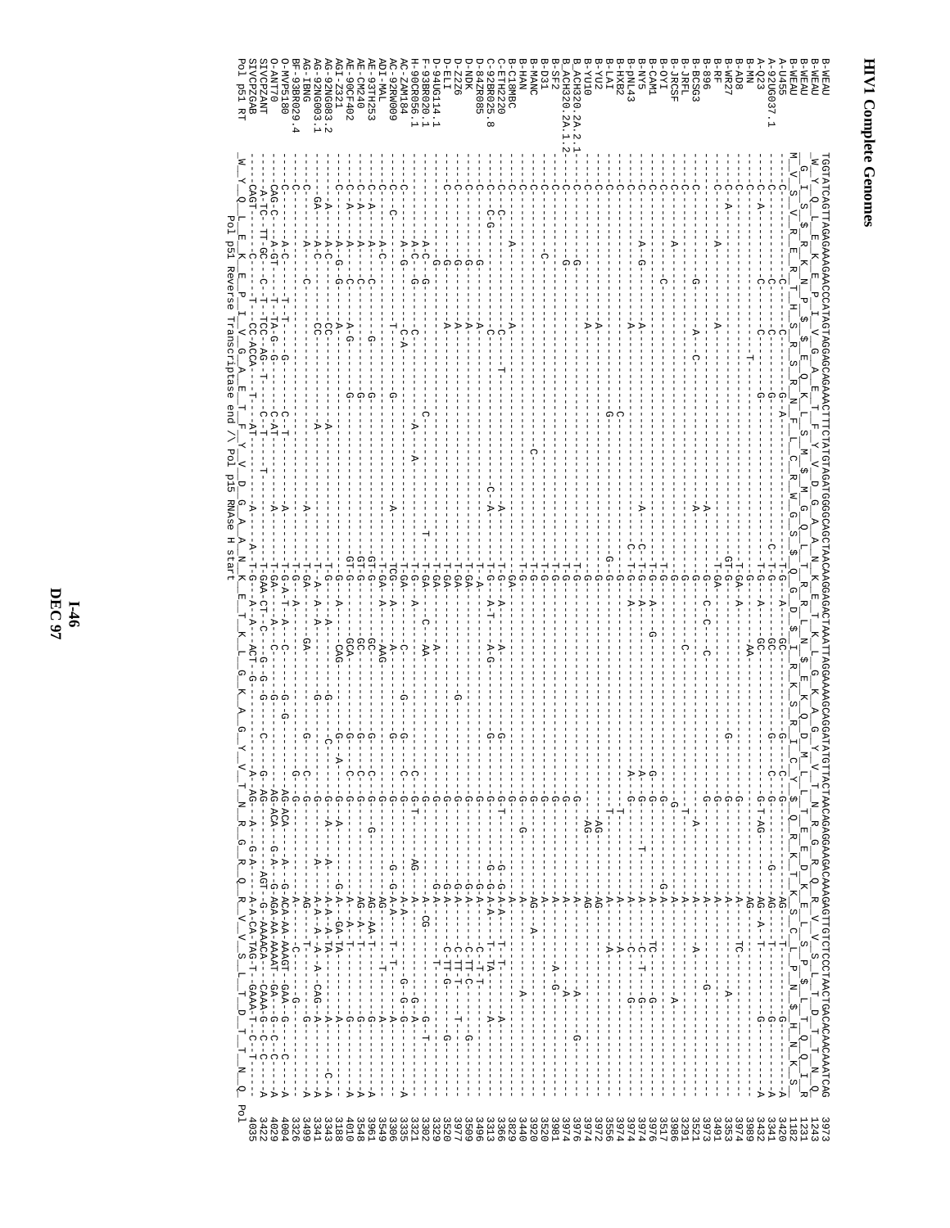| $\mathbb{F}$<br>٢<br>ó<br>כ-<br>ש<br>LCG-<br>-- G<br>-- G<br>$\frac{1}{2}$<br>-ca<br>ec-<br>ß<br>Ř<br>÷<br>P<br>CAG<br>$-7 - - - - -$<br>$\frac{1}{2}$<br>$-C---C------$<br>$\frac{1}{1}$<br>$-2 - -2 - -$<br><u>ရ</u><br> <br>$A---G-----$<br>$G - AG - - - -$<br>$\frac{1}{1}$<br>$\Gamma$<br>C--<br>$C$ ---G-T---<br>$A---G------$<br>$G - -G - -$<br>I<br>--AG-ACA---G-A---G-A---G-AGA-AA-AAAAT--GA---G--<br>$-1$ -0- $-1$<br>$\frac{1}{2}$<br>$\frac{1}{1}$<br>$-1$ - $-1$ - $-1$ - $-1$ - $-1$<br>$-6 -$<br>$-1 - 5 - 1$<br>$-1$ – $-0$<br>$-1$ -0-<br>$-6 -$<br>$-6$<br>$\frac{1}{2}$<br>$-5 -$<br>$-6 - -$<br>$-\frac{1}{2}$<br>$\frac{1}{1}$<br>$-1 - 1 - -$<br>I<br>$-1 - 1 - 1 -$<br>$\frac{1}{1}$<br>$\mathbf{I}$<br>Ţ<br>$\frac{1}{1}$<br>$\frac{1}{1}$<br>J.<br>ı<br>I.<br>$\overline{\phantom{a}}$<br>J.<br>J.<br>ဂှ<br>ဂုံ<br>$\frac{1}{2}$<br>$-1$<br>$C = -1$<br>ဂု<br>$\Omega$<br>ဂု<br>$\Gamma$<br><u>ဂု</u><br>------<br>$\frac{1}{1}$<br>ဂု<br>ဂု<br>$\frac{1}{1}$<br>$---AC - -$<br>$\frac{1}{1}$<br>J.<br>î<br>÷<br>$\overline{1}$<br>$-6 - -$<br>I<br>J.<br>$\overline{\phantom{a}}$<br>J.<br>$-6 - - -$<br>п<br>$\mathsf I$<br>$\mathbf{I}$<br>$A---$<br>$A---$<br>$\mathsf I$<br>$\mathbb{I}$<br>$\mathbf I$<br>$\overline{1}$<br>$\mathsf I$<br>$\overline{1}$<br>$-96-$<br>$\overline{1}$<br>$\overline{1}$<br>$-1$<br>$\mathbb{I}$<br>$\overline{1}$<br>$\overline{1}$<br>$\mathbf I$<br>I<br>I.<br>$\begin{array}{c} \hline \end{array}$<br>I<br>$\frac{1}{1}$<br>$\mathbf I$<br>$\frac{1}{1}$<br>$\overline{\phantom{a}}$<br>$\mathsf I$<br>$\overline{1}$<br>İ<br>$\mathbf I$<br>$\begin{array}{c} \hline \end{array}$<br>$\begin{array}{c} \hline \end{array}$<br>$\frac{1}{1}$<br>$\frac{1}{1}$<br>İ<br>$\frac{1}{4}$<br>$\frac{1}{1}$<br>I<br>ł<br>I.<br>J.<br>$\overline{\phantom{a}}$<br>-- 1-1-1-1-1<br>$\blacksquare$<br>$\frac{1}{1}$<br>J.<br>$\overline{\phantom{a}}$<br>J.<br>$\overline{\phantom{a}}$<br>$\frac{1}{1}$<br>I,<br>J.<br>$\blacksquare$<br>-----AGT--G--AAAACA----CAAA-G--<br>$\overline{\phantom{a}}$<br>$\begin{array}{c} \rule{0.2cm}{0.15mm} \rule{0.2cm}{0.15mm} \rule{0.2cm}{0.15mm} \rule{0.2cm}{0.15mm} \rule{0.2cm}{0.15mm} \rule{0.2cm}{0.15mm} \rule{0.2cm}{0.15mm} \rule{0.2cm}{0.15mm} \rule{0.2cm}{0.15mm} \rule{0.2cm}{0.15mm} \rule{0.2cm}{0.15mm} \rule{0.2cm}{0.15mm} \rule{0.2cm}{0.15mm} \rule{0.2cm}{0.15mm} \rule{0.2cm}{0.15mm} \rule{$<br>ł<br>$- - P - -$<br>I.<br>I<br>I,<br>$\begin{array}{c} \hline \end{array}$<br>$\mathbf{I}$<br>I<br>Ţ<br>$\frac{1}{1}$<br>I<br>$\mathbf I$<br>$\frac{1}{1}$<br>$- - \mathbf{G} - - \mathbf{G} - \mathbf{A} - \mathbf{A} -$<br>$\frac{1}{2}$<br>I<br>I.<br>$\mathbf{I}$<br>I<br>J.<br>$\frac{1}{1}$<br>$A------$<br>$AG---$ -<br>$\frac{1}{1}$<br>J.<br>I<br>J.<br>J.<br>$\frac{1}{1}$<br>ł,<br>Ť<br>ı<br>0--0-A-A-A-A----<br>$G--G--A--A--$<br>$G$ ----<br>$- -\mathbf{G} - \mathbf{A} - -$<br>$- - \mathbf{G} - \mathbf{A} - -$<br>$- - \mathbf{G} - \mathbf{A} - -$<br>$- - B - A - -$<br>$---A--$<br>Ţ<br>$- - G - A - - G A - T A - - -$<br>$- - \mathbf{G} - \mathbf{A} - -$<br>$\frac{1}{1}$<br>$---A--$<br>$-G - A -$<br>$---A---$<br>J<br>J.<br>j<br>$---A-G--T-----T--$<br>$---+----$<br>$---AC -$<br>$---\Delta--$<br>$---+----$<br>$---AG-$<br>j<br>$---A---$<br>j.<br>$\frac{1}{1}$<br>$\frac{1}{1}$<br>$\frac{1}{1}$<br>j<br>i<br>j<br>j<br>$-4-1$<br>$- - \Delta G - - \Delta - - T - -$<br>$\frac{1}{1}$<br>$-1$ - $-1$ - $-1$ - $-1$<br>$-1 - 1 - 1 - 1 - 1 - 1 - 1$<br>$-4-$<br>$\overline{\phantom{a}}$<br>$-4-4-1$<br>$-AG---$<br>$\mathbf{I}$<br>$\mathbf{A}-\mathbf{A}--% \begin{pmatrix} \mathbf{A} & \mathbf{A} & \mathbf{A} & \mathbf{A} & \mathbf{A} & \mathbf{A} & \mathbf{A} \\ \mathbf{A} & \mathbf{A} & \mathbf{A} & \mathbf{A} & \mathbf{A} & \mathbf{A} & \mathbf{A} \\ \mathbf{A} & \mathbf{A} & \mathbf{A} & \mathbf{A} & \mathbf{A} & \mathbf{A} & \mathbf{A} \\ \mathbf{A} & \mathbf{A} & \mathbf{A} & \mathbf{A} & \mathbf{A} & \mathbf{A} & \mathbf{A} \\ \mathbf{$<br>A-A--A-TA--A--<br>$-56$<br>$A - A - -$<br>$A-----$<br>$\overline{Y}$<br>$\overline{Y}$<br>$\overline{Y}$<br>$\mathbb{A}$<br>$\overline{A}$<br>$\lambda$ -<br>$A -$<br>$AG---$<br>$A G--A--T------$<br>$AG------$<br>$A$ – –<br>$\mathbb{A}^{-}$<br>$A$ – –<br>$\mathbb{I}$<br>$\mathbf{I}$<br>င္ပ<br>- -<br>$\mathbf{I}$<br>I<br>$\frac{1}{1}$<br>$-1$<br>$-1$<br>$-1$<br>$-1$<br>$\frac{1}{1}$<br>ł<br>I<br>$\frac{1}{1}$<br>$\frac{1}{1}$<br>t<br>T<br>$\mathbf{I}$<br>$\overline{\phantom{a}}$<br>I.<br>$\mathbf{I}$<br>$\blacksquare$<br>J.<br>$\frac{1}{1}$<br>$\overline{1}$<br>1<br>-1<br>л<br>л<br>$\frac{1}{1}$<br>$\mathsf I$<br>$A - -A - -$<br>$\mathsf I$<br>j<br>$\mathsf I$<br>I.<br>$\mathsf I$<br>į<br>I.<br>I.<br>$\mathbb{I}$<br>$\mathsf I$<br>$\mathbb{I}$<br>I.<br>$\overline{\phantom{a}}$<br>$\mathsf I$<br>$\mathbf I$<br>$\mathbf I$<br>I.<br>$- - - - - - - -$<br>$\mathsf I$<br>$\overline{\phantom{a}}$<br>I<br>$\frac{1}{1}$<br>I<br>$-1$ $-1$ $-1$ $-1$ $-1$ $-1$<br>$\begin{bmatrix} 1 \\ 1 \\ 1 \\ 1 \end{bmatrix}$<br>I<br>$\frac{1}{4}$<br>$\frac{1}{4}$<br>$- -C - -$<br>$\frac{1}{2}$<br>$\mathsf I$<br>$-LC$ --<br>$\begin{bmatrix} 1 \\ 1 \\ 1 \\ 1 \end{bmatrix}$<br>$\mathsf I$<br>$\begin{array}{c} 1 \\ 1 \\ 1 \end{array}$<br>$\mathsf I$<br>$-1 - 1 - 1$<br>$\frac{1}{1}$<br>$\frac{1}{4}$<br>$-1$<br>Ţ<br>$\frac{1}{1}$<br>J.<br>$-1$ $-1$ $-1$ $-1$ $-1$ $-1$<br>$\blacksquare$<br>$\frac{1}{1}$<br>$-5C -$<br>$\frac{1}{4}$<br>$\frac{1}{4}$<br>$-\Delta$<br>$-4-$<br>$\frac{1}{1}$<br>$A---$<br>$-1 - 1 - 1 - -1 -$<br>$\overline{1}$<br>ţ<br>$C-TT-C=-----$<br>$C - T T - T - T - T - T$<br>$C-I-T-T-0$<br>$C -$<br>I.<br>$\overline{\phantom{a}}$<br>$\begin{array}{c} 1 \\ 1 \\ 1 \end{array}$<br>$\mathbb{I}$<br>$\mathsf I$<br>$\mathbb{I}$<br>$\blacksquare$<br>$\frac{1}{2}$<br>T<br>$\mathbf{I}$<br>I<br>$\frac{1}{1}$<br>ł<br>$\overline{\phantom{a}}$<br>$\blacksquare$<br>J.<br>$\mathbf{I}$<br>$\overline{\phantom{a}}$<br>$\overline{\phantom{a}}$<br>$-1$ – – – $\Box$<br>$\mathsf I$<br>$A--$<br>$A - G - - - - - -$<br>$\mathsf I$<br>$\mathbf{I}$<br>$-$ -G $-$ G $-$<br>J.<br>$\overline{\phantom{a}}$<br>J.<br>$\overline{\phantom{a}}$<br>$\mathbf{I}$<br>-1<br>I<br>$\overline{1}$<br>л<br>ı<br>$\mathbf{I}$<br>$\overline{1}$<br>$\mathbb{I}$<br>$\mathsf I$<br>$\begin{array}{c} \end{array}$<br>$\begin{array}{c} \rule{0.2cm}{0.15mm} \rule{0.2cm}{0.15mm} \rule{0.2cm}{0.15mm} \rule{0.2cm}{0.15mm} \rule{0.2cm}{0.15mm} \rule{0.2cm}{0.15mm} \rule{0.2cm}{0.15mm} \rule{0.2cm}{0.15mm} \rule{0.2cm}{0.15mm} \rule{0.2cm}{0.15mm} \rule{0.2cm}{0.15mm} \rule{0.2cm}{0.15mm} \rule{0.2cm}{0.15mm} \rule{0.2cm}{0.15mm} \rule{0.2cm}{0.15mm} \rule{$<br>Ţ<br>$\frac{1}{1}$<br>$\frac{1}{1}$<br>$\mathsf I$<br>$\mathsf I$<br>I<br>$- - - - - - - - -$<br>$\frac{1}{1}$<br>$\mathsf I$<br>$--A---$<br>$\frac{1}{1}$<br>$\begin{array}{c} 1 \\ 1 \\ 1 \end{array}$<br>t<br>$- - - - - -$<br>$-6 - -$<br>$CAG -$<br>$\begin{array}{c} 1 \\ 1 \\ 1 \\ 1 \end{array}$<br>ţ<br>$\frac{1}{1}$<br>$\frac{1}{4}$<br>$\frac{1}{1}$<br>$\frac{1}{1}$<br>$\mathbf{I}$<br>ţ<br>$\Gamma$<br>$\frac{1}{4}$<br>$\frac{1}{1}$<br>I.<br>$\mathbf{I}$<br>ł<br>$\frac{1}{1}$<br>$\blacksquare$<br>$\mathsf I$<br>$\mathbf{I}$<br>$\frac{1}{1}$<br>J<br>$\mathbf{I}$<br>J<br>J<br>ţ<br>$\overline{\phantom{a}}$<br>$\blacksquare$<br>$\mathbf{I}$<br>$\blacksquare$<br>J.<br>$\mathbf{I}$<br>$\frac{1}{1}$<br>Ţ<br>ှ<br> <br>$\begin{bmatrix} 1 \\ 1 \\ 1 \end{bmatrix}$<br>Ω<br>Ω<br>Þ<br>$\frac{1}{1}$<br>$\frac{1}{4}$<br>$\frac{1}{4}$<br>$-1$ $-1$ $-1$ $-1$ $-1$ $-1$<br>$\frac{1}{4}$<br>$\mathbf{I}$<br>Ŧ<br>Ŧ<br>$\frac{1}{1}$<br>$\frac{1}{1}$<br>$\frac{1}{1}$<br>$\frac{1}{1}$<br>$\overline{\phantom{a}}$<br>J.<br>$\frac{1}{1}$<br>Ť<br>$\mathbf{I}$<br>$\mathbf{I}$<br>Ť<br>$\blacksquare$<br>Ť<br>$\frac{1}{1}$<br>J.<br>J.<br>J.<br>$\overline{\phantom{a}}$<br>ŧ<br>f.<br>J.<br>$\blacksquare$<br>J.<br>$\overline{\phantom{a}}$<br>$\overline{1}$<br>т.<br>$\mathbf{I}$<br>л<br>Ω<br>А<br>ъ<br>А<br>$A-----$<br>$\mathbb{I}$<br>$\mathsf I$<br>$A---$<br>$A-----$<br>I.<br>$\mathbb{I}$<br>I.<br>$\mathbf{I}$<br>$\overline{1}$<br>$\overline{1}$<br>$C = -1$<br>ω<br>Ω<br>∩<br>$\frac{1}{2}$<br>$A - -$<br>ъ<br>$\Gamma$<br>$\Gamma$<br>$\mathbf I$<br>$\mathbf{I}$<br>$\mathbf I$<br>$\overline{\phantom{a}}$<br>$\mathbf{I}$<br>İ<br>$\frac{1}{1}$<br>Ĩ<br>ļ<br>Ŧ<br>Ť.<br>i.<br>$\begin{array}{c} \hline \end{array}$<br>$-1$ -0<br>$\sf I$<br>I<br>J<br>Ţ<br>$\begin{array}{c} \end{array}$<br>$\overline{\phantom{a}}$<br>$\overline{\phantom{a}}$<br>Ţ<br>$\overline{1}$<br>$\frac{1}{1}$<br>$\frac{1}{2}$<br>$\begin{array}{c} 1 \\ 1 \\ 1 \end{array}$<br>I.<br>I<br>J,<br>$\mathbf{I}$<br>J<br>Ţ<br>$\mathbf{I}$<br>$\begin{bmatrix} 1 \\ 1 \\ 1 \end{bmatrix}$<br>J.<br>$\mathbf{I}$<br>I<br>$\overline{\phantom{a}}$<br>J.<br>J.<br>÷<br> <br>$\Gamma$<br>J.<br>$\mathbf{I}$<br>$C = -C = -$<br>$\mathbf{I}$<br>J.<br>I<br>$\frac{1}{1}$<br>I<br>J,<br>$\mathbf{I}$<br>J.<br>$\overline{\phantom{a}}$<br>1<br>$\overline{1}$<br>J.<br>J.<br>J.<br>J.<br>л<br>$\overline{\phantom{a}}$<br>J.<br>I<br>I<br>I<br>J.<br>$\Omega$ |   |
|--------------------------------------------------------------------------------------------------------------------------------------------------------------------------------------------------------------------------------------------------------------------------------------------------------------------------------------------------------------------------------------------------------------------------------------------------------------------------------------------------------------------------------------------------------------------------------------------------------------------------------------------------------------------------------------------------------------------------------------------------------------------------------------------------------------------------------------------------------------------------------------------------------------------------------------------------------------------------------------------------------------------------------------------------------------------------------------------------------------------------------------------------------------------------------------------------------------------------------------------------------------------------------------------------------------------------------------------------------------------------------------------------------------------------------------------------------------------------------------------------------------------------------------------------------------------------------------------------------------------------------------------------------------------------------------------------------------------------------------------------------------------------------------------------------------------------------------------------------------------------------------------------------------------------------------------------------------------------------------------------------------------------------------------------------------------------------------------------------------------------------------------------------------------------------------------------------------------------------------------------------------------------------------------------------------------------------------------------------------------------------------------------------------------------------------------------------------------------------------------------------------------------------------------------------------------------------------------------------------------------------------------------------------------------------------------------------------------------------------------------------------------------------------------------------------------------------------------------------------------------------------------------------------------------------------------------------------------------------------------------------------------------------------------------------------------------------------------------------------------------------------------------------------------------------------------------------------------------------------------------------------------------------------------------------------------------------------------------------------------------------------------------------------------------------------------------------------------------------------------------------------------------------------------------------------------------------------------------------------------------------------------------------------------------------------------------------------------------------------------------------------------------------------------------------------------------------------------------------------------------------------------------------------------------------------------------------------------------------------------------------------------------------------------------------------------------------------------------------------------------------------------------------------------------------------------------------------------------------------------------------------------------------------------------------------------------------------------------------------------------------------------------------------------------------------------------------------------------------------------------------------------------------------------------------------------------------------------------------------------------------------------------------------------------------------------------------------------------------------------------------------------------------------------------------------------------------------------------------------------------------------------------------------------------------------------------------------------------------------------------------------------------------------------------------------------------------------------------------------------------------------------------------------------------------------------------------------------------------------------------------------------------------------------------------------------------------------------------------------------------------------------------------------------------------------------------------------------------------------------------------------------------------------------------------------------------------------------------------------------------------------------------------------------------------------------------------------------------------------------------------------------------------------------------------------------------------------------------------------------------------------------------------------------------------------------------------------------------------------------------------------------------------------------------------------------------------------------------------------------------------------------------------------------------------------------------------------------------------------------------------------------------------------------------------------------------------------------------------------------------------------------------------------------------------------------------------------------------------------------------------------------------------------------------------------------------------------------------------------------------------------------------------------------------------------------------------------------------------------------------------------------------------------------------------------------------------------------------------------------------------------------------------------------------------------------------------------------------------------------------------------------------------------------------------------------------------------------------------------------------------------------------------------------------------------------------------------------------------------------------------------------------------------------------------------------------------------------------------------------------------------------------------------------------------------------------------------------------------------------------------------------------------------------------------------------------------------------------------------------------------------------------------------------------------------------------------------------------------------------------------------------------------------------------------------------------------------------------------------------------------------------------------------------------------------------------------------------------------------------------------------------------------------------------------------------------------------------------------------------------------------------------------------------------------------------------------------------------------------------------------------------------------------------------------------------------------------------------------------------------------------------------------------------------------------------------------------------------------------------------------------------------------------------------------------------------------------------------------------------------------------------------------------------------------------------------------------------------------------------------------------------------------------------------------------------------------------------------------------------------------------------------------------------------------------------------------------------------------------------------------------------------------------------------------------------------------------------------------------------------------------------------------------------------------------------------------------------------------------------------------|---|
| 1                                                                                                                                                                                                                                                                                                                                                                                                                                                                                                                                                                                                                                                                                                                                                                                                                                                                                                                                                                                                                                                                                                                                                                                                                                                                                                                                                                                                                                                                                                                                                                                                                                                                                                                                                                                                                                                                                                                                                                                                                                                                                                                                                                                                                                                                                                                                                                                                                                                                                                                                                                                                                                                                                                                                                                                                                                                                                                                                                                                                                                                                                                                                                                                                                                                                                                                                                                                                                                                                                                                                                                                                                                                                                                                                                                                                                                                                                                                                                                                                                                                                                                                                                                                                                                                                                                                                                                                                                                                                                                                                                                                                                                                                                                                                                                                                                                                                                                                                                                                                                                                                                                                                                                                                                                                                                                                                                                                                                                                                                                                                                                                                                                                                                                                                                                                                                                                                                                                                                                                                                                                                                                                                                                                                                                                                                                                                                                                                                                                                                                                                                                                                                                                                                                                                                                                                                                                                                                                                                                                                                                                                                                                                                                                                                                                                                                                                                                                                                                                                                                                                                                                                                                                                                                                                                                                                                                                                                                                                                                                                                                                                                                                                                                                                                                                                                                                                                                                                                                                                                                                                                                                                                                                                                                                                                                                                                                                                                                                                                                                                                                                                                                                                                                                                                                                      |   |
| $-1$ -0 $-1$<br>$\mathbf{I}$<br>J.<br>т<br>ı                                                                                                                                                                                                                                                                                                                                                                                                                                                                                                                                                                                                                                                                                                                                                                                                                                                                                                                                                                                                                                                                                                                                                                                                                                                                                                                                                                                                                                                                                                                                                                                                                                                                                                                                                                                                                                                                                                                                                                                                                                                                                                                                                                                                                                                                                                                                                                                                                                                                                                                                                                                                                                                                                                                                                                                                                                                                                                                                                                                                                                                                                                                                                                                                                                                                                                                                                                                                                                                                                                                                                                                                                                                                                                                                                                                                                                                                                                                                                                                                                                                                                                                                                                                                                                                                                                                                                                                                                                                                                                                                                                                                                                                                                                                                                                                                                                                                                                                                                                                                                                                                                                                                                                                                                                                                                                                                                                                                                                                                                                                                                                                                                                                                                                                                                                                                                                                                                                                                                                                                                                                                                                                                                                                                                                                                                                                                                                                                                                                                                                                                                                                                                                                                                                                                                                                                                                                                                                                                                                                                                                                                                                                                                                                                                                                                                                                                                                                                                                                                                                                                                                                                                                                                                                                                                                                                                                                                                                                                                                                                                                                                                                                                                                                                                                                                                                                                                                                                                                                                                                                                                                                                                                                                                                                                                                                                                                                                                                                                                                                                                                                                                                                                                                                                           |   |
|                                                                                                                                                                                                                                                                                                                                                                                                                                                                                                                                                                                                                                                                                                                                                                                                                                                                                                                                                                                                                                                                                                                                                                                                                                                                                                                                                                                                                                                                                                                                                                                                                                                                                                                                                                                                                                                                                                                                                                                                                                                                                                                                                                                                                                                                                                                                                                                                                                                                                                                                                                                                                                                                                                                                                                                                                                                                                                                                                                                                                                                                                                                                                                                                                                                                                                                                                                                                                                                                                                                                                                                                                                                                                                                                                                                                                                                                                                                                                                                                                                                                                                                                                                                                                                                                                                                                                                                                                                                                                                                                                                                                                                                                                                                                                                                                                                                                                                                                                                                                                                                                                                                                                                                                                                                                                                                                                                                                                                                                                                                                                                                                                                                                                                                                                                                                                                                                                                                                                                                                                                                                                                                                                                                                                                                                                                                                                                                                                                                                                                                                                                                                                                                                                                                                                                                                                                                                                                                                                                                                                                                                                                                                                                                                                                                                                                                                                                                                                                                                                                                                                                                                                                                                                                                                                                                                                                                                                                                                                                                                                                                                                                                                                                                                                                                                                                                                                                                                                                                                                                                                                                                                                                                                                                                                                                                                                                                                                                                                                                                                                                                                                                                                                                                                                                                        |   |
|                                                                                                                                                                                                                                                                                                                                                                                                                                                                                                                                                                                                                                                                                                                                                                                                                                                                                                                                                                                                                                                                                                                                                                                                                                                                                                                                                                                                                                                                                                                                                                                                                                                                                                                                                                                                                                                                                                                                                                                                                                                                                                                                                                                                                                                                                                                                                                                                                                                                                                                                                                                                                                                                                                                                                                                                                                                                                                                                                                                                                                                                                                                                                                                                                                                                                                                                                                                                                                                                                                                                                                                                                                                                                                                                                                                                                                                                                                                                                                                                                                                                                                                                                                                                                                                                                                                                                                                                                                                                                                                                                                                                                                                                                                                                                                                                                                                                                                                                                                                                                                                                                                                                                                                                                                                                                                                                                                                                                                                                                                                                                                                                                                                                                                                                                                                                                                                                                                                                                                                                                                                                                                                                                                                                                                                                                                                                                                                                                                                                                                                                                                                                                                                                                                                                                                                                                                                                                                                                                                                                                                                                                                                                                                                                                                                                                                                                                                                                                                                                                                                                                                                                                                                                                                                                                                                                                                                                                                                                                                                                                                                                                                                                                                                                                                                                                                                                                                                                                                                                                                                                                                                                                                                                                                                                                                                                                                                                                                                                                                                                                                                                                                                                                                                                                                                        |   |
|                                                                                                                                                                                                                                                                                                                                                                                                                                                                                                                                                                                                                                                                                                                                                                                                                                                                                                                                                                                                                                                                                                                                                                                                                                                                                                                                                                                                                                                                                                                                                                                                                                                                                                                                                                                                                                                                                                                                                                                                                                                                                                                                                                                                                                                                                                                                                                                                                                                                                                                                                                                                                                                                                                                                                                                                                                                                                                                                                                                                                                                                                                                                                                                                                                                                                                                                                                                                                                                                                                                                                                                                                                                                                                                                                                                                                                                                                                                                                                                                                                                                                                                                                                                                                                                                                                                                                                                                                                                                                                                                                                                                                                                                                                                                                                                                                                                                                                                                                                                                                                                                                                                                                                                                                                                                                                                                                                                                                                                                                                                                                                                                                                                                                                                                                                                                                                                                                                                                                                                                                                                                                                                                                                                                                                                                                                                                                                                                                                                                                                                                                                                                                                                                                                                                                                                                                                                                                                                                                                                                                                                                                                                                                                                                                                                                                                                                                                                                                                                                                                                                                                                                                                                                                                                                                                                                                                                                                                                                                                                                                                                                                                                                                                                                                                                                                                                                                                                                                                                                                                                                                                                                                                                                                                                                                                                                                                                                                                                                                                                                                                                                                                                                                                                                                                                        |   |
|                                                                                                                                                                                                                                                                                                                                                                                                                                                                                                                                                                                                                                                                                                                                                                                                                                                                                                                                                                                                                                                                                                                                                                                                                                                                                                                                                                                                                                                                                                                                                                                                                                                                                                                                                                                                                                                                                                                                                                                                                                                                                                                                                                                                                                                                                                                                                                                                                                                                                                                                                                                                                                                                                                                                                                                                                                                                                                                                                                                                                                                                                                                                                                                                                                                                                                                                                                                                                                                                                                                                                                                                                                                                                                                                                                                                                                                                                                                                                                                                                                                                                                                                                                                                                                                                                                                                                                                                                                                                                                                                                                                                                                                                                                                                                                                                                                                                                                                                                                                                                                                                                                                                                                                                                                                                                                                                                                                                                                                                                                                                                                                                                                                                                                                                                                                                                                                                                                                                                                                                                                                                                                                                                                                                                                                                                                                                                                                                                                                                                                                                                                                                                                                                                                                                                                                                                                                                                                                                                                                                                                                                                                                                                                                                                                                                                                                                                                                                                                                                                                                                                                                                                                                                                                                                                                                                                                                                                                                                                                                                                                                                                                                                                                                                                                                                                                                                                                                                                                                                                                                                                                                                                                                                                                                                                                                                                                                                                                                                                                                                                                                                                                                                                                                                                                                        |   |
|                                                                                                                                                                                                                                                                                                                                                                                                                                                                                                                                                                                                                                                                                                                                                                                                                                                                                                                                                                                                                                                                                                                                                                                                                                                                                                                                                                                                                                                                                                                                                                                                                                                                                                                                                                                                                                                                                                                                                                                                                                                                                                                                                                                                                                                                                                                                                                                                                                                                                                                                                                                                                                                                                                                                                                                                                                                                                                                                                                                                                                                                                                                                                                                                                                                                                                                                                                                                                                                                                                                                                                                                                                                                                                                                                                                                                                                                                                                                                                                                                                                                                                                                                                                                                                                                                                                                                                                                                                                                                                                                                                                                                                                                                                                                                                                                                                                                                                                                                                                                                                                                                                                                                                                                                                                                                                                                                                                                                                                                                                                                                                                                                                                                                                                                                                                                                                                                                                                                                                                                                                                                                                                                                                                                                                                                                                                                                                                                                                                                                                                                                                                                                                                                                                                                                                                                                                                                                                                                                                                                                                                                                                                                                                                                                                                                                                                                                                                                                                                                                                                                                                                                                                                                                                                                                                                                                                                                                                                                                                                                                                                                                                                                                                                                                                                                                                                                                                                                                                                                                                                                                                                                                                                                                                                                                                                                                                                                                                                                                                                                                                                                                                                                                                                                                                                        |   |
|                                                                                                                                                                                                                                                                                                                                                                                                                                                                                                                                                                                                                                                                                                                                                                                                                                                                                                                                                                                                                                                                                                                                                                                                                                                                                                                                                                                                                                                                                                                                                                                                                                                                                                                                                                                                                                                                                                                                                                                                                                                                                                                                                                                                                                                                                                                                                                                                                                                                                                                                                                                                                                                                                                                                                                                                                                                                                                                                                                                                                                                                                                                                                                                                                                                                                                                                                                                                                                                                                                                                                                                                                                                                                                                                                                                                                                                                                                                                                                                                                                                                                                                                                                                                                                                                                                                                                                                                                                                                                                                                                                                                                                                                                                                                                                                                                                                                                                                                                                                                                                                                                                                                                                                                                                                                                                                                                                                                                                                                                                                                                                                                                                                                                                                                                                                                                                                                                                                                                                                                                                                                                                                                                                                                                                                                                                                                                                                                                                                                                                                                                                                                                                                                                                                                                                                                                                                                                                                                                                                                                                                                                                                                                                                                                                                                                                                                                                                                                                                                                                                                                                                                                                                                                                                                                                                                                                                                                                                                                                                                                                                                                                                                                                                                                                                                                                                                                                                                                                                                                                                                                                                                                                                                                                                                                                                                                                                                                                                                                                                                                                                                                                                                                                                                                                                        |   |
|                                                                                                                                                                                                                                                                                                                                                                                                                                                                                                                                                                                                                                                                                                                                                                                                                                                                                                                                                                                                                                                                                                                                                                                                                                                                                                                                                                                                                                                                                                                                                                                                                                                                                                                                                                                                                                                                                                                                                                                                                                                                                                                                                                                                                                                                                                                                                                                                                                                                                                                                                                                                                                                                                                                                                                                                                                                                                                                                                                                                                                                                                                                                                                                                                                                                                                                                                                                                                                                                                                                                                                                                                                                                                                                                                                                                                                                                                                                                                                                                                                                                                                                                                                                                                                                                                                                                                                                                                                                                                                                                                                                                                                                                                                                                                                                                                                                                                                                                                                                                                                                                                                                                                                                                                                                                                                                                                                                                                                                                                                                                                                                                                                                                                                                                                                                                                                                                                                                                                                                                                                                                                                                                                                                                                                                                                                                                                                                                                                                                                                                                                                                                                                                                                                                                                                                                                                                                                                                                                                                                                                                                                                                                                                                                                                                                                                                                                                                                                                                                                                                                                                                                                                                                                                                                                                                                                                                                                                                                                                                                                                                                                                                                                                                                                                                                                                                                                                                                                                                                                                                                                                                                                                                                                                                                                                                                                                                                                                                                                                                                                                                                                                                                                                                                                                                        |   |
|                                                                                                                                                                                                                                                                                                                                                                                                                                                                                                                                                                                                                                                                                                                                                                                                                                                                                                                                                                                                                                                                                                                                                                                                                                                                                                                                                                                                                                                                                                                                                                                                                                                                                                                                                                                                                                                                                                                                                                                                                                                                                                                                                                                                                                                                                                                                                                                                                                                                                                                                                                                                                                                                                                                                                                                                                                                                                                                                                                                                                                                                                                                                                                                                                                                                                                                                                                                                                                                                                                                                                                                                                                                                                                                                                                                                                                                                                                                                                                                                                                                                                                                                                                                                                                                                                                                                                                                                                                                                                                                                                                                                                                                                                                                                                                                                                                                                                                                                                                                                                                                                                                                                                                                                                                                                                                                                                                                                                                                                                                                                                                                                                                                                                                                                                                                                                                                                                                                                                                                                                                                                                                                                                                                                                                                                                                                                                                                                                                                                                                                                                                                                                                                                                                                                                                                                                                                                                                                                                                                                                                                                                                                                                                                                                                                                                                                                                                                                                                                                                                                                                                                                                                                                                                                                                                                                                                                                                                                                                                                                                                                                                                                                                                                                                                                                                                                                                                                                                                                                                                                                                                                                                                                                                                                                                                                                                                                                                                                                                                                                                                                                                                                                                                                                                                                        |   |
|                                                                                                                                                                                                                                                                                                                                                                                                                                                                                                                                                                                                                                                                                                                                                                                                                                                                                                                                                                                                                                                                                                                                                                                                                                                                                                                                                                                                                                                                                                                                                                                                                                                                                                                                                                                                                                                                                                                                                                                                                                                                                                                                                                                                                                                                                                                                                                                                                                                                                                                                                                                                                                                                                                                                                                                                                                                                                                                                                                                                                                                                                                                                                                                                                                                                                                                                                                                                                                                                                                                                                                                                                                                                                                                                                                                                                                                                                                                                                                                                                                                                                                                                                                                                                                                                                                                                                                                                                                                                                                                                                                                                                                                                                                                                                                                                                                                                                                                                                                                                                                                                                                                                                                                                                                                                                                                                                                                                                                                                                                                                                                                                                                                                                                                                                                                                                                                                                                                                                                                                                                                                                                                                                                                                                                                                                                                                                                                                                                                                                                                                                                                                                                                                                                                                                                                                                                                                                                                                                                                                                                                                                                                                                                                                                                                                                                                                                                                                                                                                                                                                                                                                                                                                                                                                                                                                                                                                                                                                                                                                                                                                                                                                                                                                                                                                                                                                                                                                                                                                                                                                                                                                                                                                                                                                                                                                                                                                                                                                                                                                                                                                                                                                                                                                                                                        |   |
|                                                                                                                                                                                                                                                                                                                                                                                                                                                                                                                                                                                                                                                                                                                                                                                                                                                                                                                                                                                                                                                                                                                                                                                                                                                                                                                                                                                                                                                                                                                                                                                                                                                                                                                                                                                                                                                                                                                                                                                                                                                                                                                                                                                                                                                                                                                                                                                                                                                                                                                                                                                                                                                                                                                                                                                                                                                                                                                                                                                                                                                                                                                                                                                                                                                                                                                                                                                                                                                                                                                                                                                                                                                                                                                                                                                                                                                                                                                                                                                                                                                                                                                                                                                                                                                                                                                                                                                                                                                                                                                                                                                                                                                                                                                                                                                                                                                                                                                                                                                                                                                                                                                                                                                                                                                                                                                                                                                                                                                                                                                                                                                                                                                                                                                                                                                                                                                                                                                                                                                                                                                                                                                                                                                                                                                                                                                                                                                                                                                                                                                                                                                                                                                                                                                                                                                                                                                                                                                                                                                                                                                                                                                                                                                                                                                                                                                                                                                                                                                                                                                                                                                                                                                                                                                                                                                                                                                                                                                                                                                                                                                                                                                                                                                                                                                                                                                                                                                                                                                                                                                                                                                                                                                                                                                                                                                                                                                                                                                                                                                                                                                                                                                                                                                                                                                        |   |
|                                                                                                                                                                                                                                                                                                                                                                                                                                                                                                                                                                                                                                                                                                                                                                                                                                                                                                                                                                                                                                                                                                                                                                                                                                                                                                                                                                                                                                                                                                                                                                                                                                                                                                                                                                                                                                                                                                                                                                                                                                                                                                                                                                                                                                                                                                                                                                                                                                                                                                                                                                                                                                                                                                                                                                                                                                                                                                                                                                                                                                                                                                                                                                                                                                                                                                                                                                                                                                                                                                                                                                                                                                                                                                                                                                                                                                                                                                                                                                                                                                                                                                                                                                                                                                                                                                                                                                                                                                                                                                                                                                                                                                                                                                                                                                                                                                                                                                                                                                                                                                                                                                                                                                                                                                                                                                                                                                                                                                                                                                                                                                                                                                                                                                                                                                                                                                                                                                                                                                                                                                                                                                                                                                                                                                                                                                                                                                                                                                                                                                                                                                                                                                                                                                                                                                                                                                                                                                                                                                                                                                                                                                                                                                                                                                                                                                                                                                                                                                                                                                                                                                                                                                                                                                                                                                                                                                                                                                                                                                                                                                                                                                                                                                                                                                                                                                                                                                                                                                                                                                                                                                                                                                                                                                                                                                                                                                                                                                                                                                                                                                                                                                                                                                                                                                                        |   |
|                                                                                                                                                                                                                                                                                                                                                                                                                                                                                                                                                                                                                                                                                                                                                                                                                                                                                                                                                                                                                                                                                                                                                                                                                                                                                                                                                                                                                                                                                                                                                                                                                                                                                                                                                                                                                                                                                                                                                                                                                                                                                                                                                                                                                                                                                                                                                                                                                                                                                                                                                                                                                                                                                                                                                                                                                                                                                                                                                                                                                                                                                                                                                                                                                                                                                                                                                                                                                                                                                                                                                                                                                                                                                                                                                                                                                                                                                                                                                                                                                                                                                                                                                                                                                                                                                                                                                                                                                                                                                                                                                                                                                                                                                                                                                                                                                                                                                                                                                                                                                                                                                                                                                                                                                                                                                                                                                                                                                                                                                                                                                                                                                                                                                                                                                                                                                                                                                                                                                                                                                                                                                                                                                                                                                                                                                                                                                                                                                                                                                                                                                                                                                                                                                                                                                                                                                                                                                                                                                                                                                                                                                                                                                                                                                                                                                                                                                                                                                                                                                                                                                                                                                                                                                                                                                                                                                                                                                                                                                                                                                                                                                                                                                                                                                                                                                                                                                                                                                                                                                                                                                                                                                                                                                                                                                                                                                                                                                                                                                                                                                                                                                                                                                                                                                                                        |   |
|                                                                                                                                                                                                                                                                                                                                                                                                                                                                                                                                                                                                                                                                                                                                                                                                                                                                                                                                                                                                                                                                                                                                                                                                                                                                                                                                                                                                                                                                                                                                                                                                                                                                                                                                                                                                                                                                                                                                                                                                                                                                                                                                                                                                                                                                                                                                                                                                                                                                                                                                                                                                                                                                                                                                                                                                                                                                                                                                                                                                                                                                                                                                                                                                                                                                                                                                                                                                                                                                                                                                                                                                                                                                                                                                                                                                                                                                                                                                                                                                                                                                                                                                                                                                                                                                                                                                                                                                                                                                                                                                                                                                                                                                                                                                                                                                                                                                                                                                                                                                                                                                                                                                                                                                                                                                                                                                                                                                                                                                                                                                                                                                                                                                                                                                                                                                                                                                                                                                                                                                                                                                                                                                                                                                                                                                                                                                                                                                                                                                                                                                                                                                                                                                                                                                                                                                                                                                                                                                                                                                                                                                                                                                                                                                                                                                                                                                                                                                                                                                                                                                                                                                                                                                                                                                                                                                                                                                                                                                                                                                                                                                                                                                                                                                                                                                                                                                                                                                                                                                                                                                                                                                                                                                                                                                                                                                                                                                                                                                                                                                                                                                                                                                                                                                                                                        |   |
|                                                                                                                                                                                                                                                                                                                                                                                                                                                                                                                                                                                                                                                                                                                                                                                                                                                                                                                                                                                                                                                                                                                                                                                                                                                                                                                                                                                                                                                                                                                                                                                                                                                                                                                                                                                                                                                                                                                                                                                                                                                                                                                                                                                                                                                                                                                                                                                                                                                                                                                                                                                                                                                                                                                                                                                                                                                                                                                                                                                                                                                                                                                                                                                                                                                                                                                                                                                                                                                                                                                                                                                                                                                                                                                                                                                                                                                                                                                                                                                                                                                                                                                                                                                                                                                                                                                                                                                                                                                                                                                                                                                                                                                                                                                                                                                                                                                                                                                                                                                                                                                                                                                                                                                                                                                                                                                                                                                                                                                                                                                                                                                                                                                                                                                                                                                                                                                                                                                                                                                                                                                                                                                                                                                                                                                                                                                                                                                                                                                                                                                                                                                                                                                                                                                                                                                                                                                                                                                                                                                                                                                                                                                                                                                                                                                                                                                                                                                                                                                                                                                                                                                                                                                                                                                                                                                                                                                                                                                                                                                                                                                                                                                                                                                                                                                                                                                                                                                                                                                                                                                                                                                                                                                                                                                                                                                                                                                                                                                                                                                                                                                                                                                                                                                                                                                        |   |
|                                                                                                                                                                                                                                                                                                                                                                                                                                                                                                                                                                                                                                                                                                                                                                                                                                                                                                                                                                                                                                                                                                                                                                                                                                                                                                                                                                                                                                                                                                                                                                                                                                                                                                                                                                                                                                                                                                                                                                                                                                                                                                                                                                                                                                                                                                                                                                                                                                                                                                                                                                                                                                                                                                                                                                                                                                                                                                                                                                                                                                                                                                                                                                                                                                                                                                                                                                                                                                                                                                                                                                                                                                                                                                                                                                                                                                                                                                                                                                                                                                                                                                                                                                                                                                                                                                                                                                                                                                                                                                                                                                                                                                                                                                                                                                                                                                                                                                                                                                                                                                                                                                                                                                                                                                                                                                                                                                                                                                                                                                                                                                                                                                                                                                                                                                                                                                                                                                                                                                                                                                                                                                                                                                                                                                                                                                                                                                                                                                                                                                                                                                                                                                                                                                                                                                                                                                                                                                                                                                                                                                                                                                                                                                                                                                                                                                                                                                                                                                                                                                                                                                                                                                                                                                                                                                                                                                                                                                                                                                                                                                                                                                                                                                                                                                                                                                                                                                                                                                                                                                                                                                                                                                                                                                                                                                                                                                                                                                                                                                                                                                                                                                                                                                                                                                                        | ଋ |
|                                                                                                                                                                                                                                                                                                                                                                                                                                                                                                                                                                                                                                                                                                                                                                                                                                                                                                                                                                                                                                                                                                                                                                                                                                                                                                                                                                                                                                                                                                                                                                                                                                                                                                                                                                                                                                                                                                                                                                                                                                                                                                                                                                                                                                                                                                                                                                                                                                                                                                                                                                                                                                                                                                                                                                                                                                                                                                                                                                                                                                                                                                                                                                                                                                                                                                                                                                                                                                                                                                                                                                                                                                                                                                                                                                                                                                                                                                                                                                                                                                                                                                                                                                                                                                                                                                                                                                                                                                                                                                                                                                                                                                                                                                                                                                                                                                                                                                                                                                                                                                                                                                                                                                                                                                                                                                                                                                                                                                                                                                                                                                                                                                                                                                                                                                                                                                                                                                                                                                                                                                                                                                                                                                                                                                                                                                                                                                                                                                                                                                                                                                                                                                                                                                                                                                                                                                                                                                                                                                                                                                                                                                                                                                                                                                                                                                                                                                                                                                                                                                                                                                                                                                                                                                                                                                                                                                                                                                                                                                                                                                                                                                                                                                                                                                                                                                                                                                                                                                                                                                                                                                                                                                                                                                                                                                                                                                                                                                                                                                                                                                                                                                                                                                                                                                                        |   |
|                                                                                                                                                                                                                                                                                                                                                                                                                                                                                                                                                                                                                                                                                                                                                                                                                                                                                                                                                                                                                                                                                                                                                                                                                                                                                                                                                                                                                                                                                                                                                                                                                                                                                                                                                                                                                                                                                                                                                                                                                                                                                                                                                                                                                                                                                                                                                                                                                                                                                                                                                                                                                                                                                                                                                                                                                                                                                                                                                                                                                                                                                                                                                                                                                                                                                                                                                                                                                                                                                                                                                                                                                                                                                                                                                                                                                                                                                                                                                                                                                                                                                                                                                                                                                                                                                                                                                                                                                                                                                                                                                                                                                                                                                                                                                                                                                                                                                                                                                                                                                                                                                                                                                                                                                                                                                                                                                                                                                                                                                                                                                                                                                                                                                                                                                                                                                                                                                                                                                                                                                                                                                                                                                                                                                                                                                                                                                                                                                                                                                                                                                                                                                                                                                                                                                                                                                                                                                                                                                                                                                                                                                                                                                                                                                                                                                                                                                                                                                                                                                                                                                                                                                                                                                                                                                                                                                                                                                                                                                                                                                                                                                                                                                                                                                                                                                                                                                                                                                                                                                                                                                                                                                                                                                                                                                                                                                                                                                                                                                                                                                                                                                                                                                                                                                                                        |   |
|                                                                                                                                                                                                                                                                                                                                                                                                                                                                                                                                                                                                                                                                                                                                                                                                                                                                                                                                                                                                                                                                                                                                                                                                                                                                                                                                                                                                                                                                                                                                                                                                                                                                                                                                                                                                                                                                                                                                                                                                                                                                                                                                                                                                                                                                                                                                                                                                                                                                                                                                                                                                                                                                                                                                                                                                                                                                                                                                                                                                                                                                                                                                                                                                                                                                                                                                                                                                                                                                                                                                                                                                                                                                                                                                                                                                                                                                                                                                                                                                                                                                                                                                                                                                                                                                                                                                                                                                                                                                                                                                                                                                                                                                                                                                                                                                                                                                                                                                                                                                                                                                                                                                                                                                                                                                                                                                                                                                                                                                                                                                                                                                                                                                                                                                                                                                                                                                                                                                                                                                                                                                                                                                                                                                                                                                                                                                                                                                                                                                                                                                                                                                                                                                                                                                                                                                                                                                                                                                                                                                                                                                                                                                                                                                                                                                                                                                                                                                                                                                                                                                                                                                                                                                                                                                                                                                                                                                                                                                                                                                                                                                                                                                                                                                                                                                                                                                                                                                                                                                                                                                                                                                                                                                                                                                                                                                                                                                                                                                                                                                                                                                                                                                                                                                                                                        | C |
|                                                                                                                                                                                                                                                                                                                                                                                                                                                                                                                                                                                                                                                                                                                                                                                                                                                                                                                                                                                                                                                                                                                                                                                                                                                                                                                                                                                                                                                                                                                                                                                                                                                                                                                                                                                                                                                                                                                                                                                                                                                                                                                                                                                                                                                                                                                                                                                                                                                                                                                                                                                                                                                                                                                                                                                                                                                                                                                                                                                                                                                                                                                                                                                                                                                                                                                                                                                                                                                                                                                                                                                                                                                                                                                                                                                                                                                                                                                                                                                                                                                                                                                                                                                                                                                                                                                                                                                                                                                                                                                                                                                                                                                                                                                                                                                                                                                                                                                                                                                                                                                                                                                                                                                                                                                                                                                                                                                                                                                                                                                                                                                                                                                                                                                                                                                                                                                                                                                                                                                                                                                                                                                                                                                                                                                                                                                                                                                                                                                                                                                                                                                                                                                                                                                                                                                                                                                                                                                                                                                                                                                                                                                                                                                                                                                                                                                                                                                                                                                                                                                                                                                                                                                                                                                                                                                                                                                                                                                                                                                                                                                                                                                                                                                                                                                                                                                                                                                                                                                                                                                                                                                                                                                                                                                                                                                                                                                                                                                                                                                                                                                                                                                                                                                                                                                        |   |
|                                                                                                                                                                                                                                                                                                                                                                                                                                                                                                                                                                                                                                                                                                                                                                                                                                                                                                                                                                                                                                                                                                                                                                                                                                                                                                                                                                                                                                                                                                                                                                                                                                                                                                                                                                                                                                                                                                                                                                                                                                                                                                                                                                                                                                                                                                                                                                                                                                                                                                                                                                                                                                                                                                                                                                                                                                                                                                                                                                                                                                                                                                                                                                                                                                                                                                                                                                                                                                                                                                                                                                                                                                                                                                                                                                                                                                                                                                                                                                                                                                                                                                                                                                                                                                                                                                                                                                                                                                                                                                                                                                                                                                                                                                                                                                                                                                                                                                                                                                                                                                                                                                                                                                                                                                                                                                                                                                                                                                                                                                                                                                                                                                                                                                                                                                                                                                                                                                                                                                                                                                                                                                                                                                                                                                                                                                                                                                                                                                                                                                                                                                                                                                                                                                                                                                                                                                                                                                                                                                                                                                                                                                                                                                                                                                                                                                                                                                                                                                                                                                                                                                                                                                                                                                                                                                                                                                                                                                                                                                                                                                                                                                                                                                                                                                                                                                                                                                                                                                                                                                                                                                                                                                                                                                                                                                                                                                                                                                                                                                                                                                                                                                                                                                                                                                                        |   |
|                                                                                                                                                                                                                                                                                                                                                                                                                                                                                                                                                                                                                                                                                                                                                                                                                                                                                                                                                                                                                                                                                                                                                                                                                                                                                                                                                                                                                                                                                                                                                                                                                                                                                                                                                                                                                                                                                                                                                                                                                                                                                                                                                                                                                                                                                                                                                                                                                                                                                                                                                                                                                                                                                                                                                                                                                                                                                                                                                                                                                                                                                                                                                                                                                                                                                                                                                                                                                                                                                                                                                                                                                                                                                                                                                                                                                                                                                                                                                                                                                                                                                                                                                                                                                                                                                                                                                                                                                                                                                                                                                                                                                                                                                                                                                                                                                                                                                                                                                                                                                                                                                                                                                                                                                                                                                                                                                                                                                                                                                                                                                                                                                                                                                                                                                                                                                                                                                                                                                                                                                                                                                                                                                                                                                                                                                                                                                                                                                                                                                                                                                                                                                                                                                                                                                                                                                                                                                                                                                                                                                                                                                                                                                                                                                                                                                                                                                                                                                                                                                                                                                                                                                                                                                                                                                                                                                                                                                                                                                                                                                                                                                                                                                                                                                                                                                                                                                                                                                                                                                                                                                                                                                                                                                                                                                                                                                                                                                                                                                                                                                                                                                                                                                                                                                                                        |   |
|                                                                                                                                                                                                                                                                                                                                                                                                                                                                                                                                                                                                                                                                                                                                                                                                                                                                                                                                                                                                                                                                                                                                                                                                                                                                                                                                                                                                                                                                                                                                                                                                                                                                                                                                                                                                                                                                                                                                                                                                                                                                                                                                                                                                                                                                                                                                                                                                                                                                                                                                                                                                                                                                                                                                                                                                                                                                                                                                                                                                                                                                                                                                                                                                                                                                                                                                                                                                                                                                                                                                                                                                                                                                                                                                                                                                                                                                                                                                                                                                                                                                                                                                                                                                                                                                                                                                                                                                                                                                                                                                                                                                                                                                                                                                                                                                                                                                                                                                                                                                                                                                                                                                                                                                                                                                                                                                                                                                                                                                                                                                                                                                                                                                                                                                                                                                                                                                                                                                                                                                                                                                                                                                                                                                                                                                                                                                                                                                                                                                                                                                                                                                                                                                                                                                                                                                                                                                                                                                                                                                                                                                                                                                                                                                                                                                                                                                                                                                                                                                                                                                                                                                                                                                                                                                                                                                                                                                                                                                                                                                                                                                                                                                                                                                                                                                                                                                                                                                                                                                                                                                                                                                                                                                                                                                                                                                                                                                                                                                                                                                                                                                                                                                                                                                                                                        |   |
|                                                                                                                                                                                                                                                                                                                                                                                                                                                                                                                                                                                                                                                                                                                                                                                                                                                                                                                                                                                                                                                                                                                                                                                                                                                                                                                                                                                                                                                                                                                                                                                                                                                                                                                                                                                                                                                                                                                                                                                                                                                                                                                                                                                                                                                                                                                                                                                                                                                                                                                                                                                                                                                                                                                                                                                                                                                                                                                                                                                                                                                                                                                                                                                                                                                                                                                                                                                                                                                                                                                                                                                                                                                                                                                                                                                                                                                                                                                                                                                                                                                                                                                                                                                                                                                                                                                                                                                                                                                                                                                                                                                                                                                                                                                                                                                                                                                                                                                                                                                                                                                                                                                                                                                                                                                                                                                                                                                                                                                                                                                                                                                                                                                                                                                                                                                                                                                                                                                                                                                                                                                                                                                                                                                                                                                                                                                                                                                                                                                                                                                                                                                                                                                                                                                                                                                                                                                                                                                                                                                                                                                                                                                                                                                                                                                                                                                                                                                                                                                                                                                                                                                                                                                                                                                                                                                                                                                                                                                                                                                                                                                                                                                                                                                                                                                                                                                                                                                                                                                                                                                                                                                                                                                                                                                                                                                                                                                                                                                                                                                                                                                                                                                                                                                                                                                        |   |
|                                                                                                                                                                                                                                                                                                                                                                                                                                                                                                                                                                                                                                                                                                                                                                                                                                                                                                                                                                                                                                                                                                                                                                                                                                                                                                                                                                                                                                                                                                                                                                                                                                                                                                                                                                                                                                                                                                                                                                                                                                                                                                                                                                                                                                                                                                                                                                                                                                                                                                                                                                                                                                                                                                                                                                                                                                                                                                                                                                                                                                                                                                                                                                                                                                                                                                                                                                                                                                                                                                                                                                                                                                                                                                                                                                                                                                                                                                                                                                                                                                                                                                                                                                                                                                                                                                                                                                                                                                                                                                                                                                                                                                                                                                                                                                                                                                                                                                                                                                                                                                                                                                                                                                                                                                                                                                                                                                                                                                                                                                                                                                                                                                                                                                                                                                                                                                                                                                                                                                                                                                                                                                                                                                                                                                                                                                                                                                                                                                                                                                                                                                                                                                                                                                                                                                                                                                                                                                                                                                                                                                                                                                                                                                                                                                                                                                                                                                                                                                                                                                                                                                                                                                                                                                                                                                                                                                                                                                                                                                                                                                                                                                                                                                                                                                                                                                                                                                                                                                                                                                                                                                                                                                                                                                                                                                                                                                                                                                                                                                                                                                                                                                                                                                                                                                                        |   |
|                                                                                                                                                                                                                                                                                                                                                                                                                                                                                                                                                                                                                                                                                                                                                                                                                                                                                                                                                                                                                                                                                                                                                                                                                                                                                                                                                                                                                                                                                                                                                                                                                                                                                                                                                                                                                                                                                                                                                                                                                                                                                                                                                                                                                                                                                                                                                                                                                                                                                                                                                                                                                                                                                                                                                                                                                                                                                                                                                                                                                                                                                                                                                                                                                                                                                                                                                                                                                                                                                                                                                                                                                                                                                                                                                                                                                                                                                                                                                                                                                                                                                                                                                                                                                                                                                                                                                                                                                                                                                                                                                                                                                                                                                                                                                                                                                                                                                                                                                                                                                                                                                                                                                                                                                                                                                                                                                                                                                                                                                                                                                                                                                                                                                                                                                                                                                                                                                                                                                                                                                                                                                                                                                                                                                                                                                                                                                                                                                                                                                                                                                                                                                                                                                                                                                                                                                                                                                                                                                                                                                                                                                                                                                                                                                                                                                                                                                                                                                                                                                                                                                                                                                                                                                                                                                                                                                                                                                                                                                                                                                                                                                                                                                                                                                                                                                                                                                                                                                                                                                                                                                                                                                                                                                                                                                                                                                                                                                                                                                                                                                                                                                                                                                                                                                                                        |   |
|                                                                                                                                                                                                                                                                                                                                                                                                                                                                                                                                                                                                                                                                                                                                                                                                                                                                                                                                                                                                                                                                                                                                                                                                                                                                                                                                                                                                                                                                                                                                                                                                                                                                                                                                                                                                                                                                                                                                                                                                                                                                                                                                                                                                                                                                                                                                                                                                                                                                                                                                                                                                                                                                                                                                                                                                                                                                                                                                                                                                                                                                                                                                                                                                                                                                                                                                                                                                                                                                                                                                                                                                                                                                                                                                                                                                                                                                                                                                                                                                                                                                                                                                                                                                                                                                                                                                                                                                                                                                                                                                                                                                                                                                                                                                                                                                                                                                                                                                                                                                                                                                                                                                                                                                                                                                                                                                                                                                                                                                                                                                                                                                                                                                                                                                                                                                                                                                                                                                                                                                                                                                                                                                                                                                                                                                                                                                                                                                                                                                                                                                                                                                                                                                                                                                                                                                                                                                                                                                                                                                                                                                                                                                                                                                                                                                                                                                                                                                                                                                                                                                                                                                                                                                                                                                                                                                                                                                                                                                                                                                                                                                                                                                                                                                                                                                                                                                                                                                                                                                                                                                                                                                                                                                                                                                                                                                                                                                                                                                                                                                                                                                                                                                                                                                                                                        |   |
|                                                                                                                                                                                                                                                                                                                                                                                                                                                                                                                                                                                                                                                                                                                                                                                                                                                                                                                                                                                                                                                                                                                                                                                                                                                                                                                                                                                                                                                                                                                                                                                                                                                                                                                                                                                                                                                                                                                                                                                                                                                                                                                                                                                                                                                                                                                                                                                                                                                                                                                                                                                                                                                                                                                                                                                                                                                                                                                                                                                                                                                                                                                                                                                                                                                                                                                                                                                                                                                                                                                                                                                                                                                                                                                                                                                                                                                                                                                                                                                                                                                                                                                                                                                                                                                                                                                                                                                                                                                                                                                                                                                                                                                                                                                                                                                                                                                                                                                                                                                                                                                                                                                                                                                                                                                                                                                                                                                                                                                                                                                                                                                                                                                                                                                                                                                                                                                                                                                                                                                                                                                                                                                                                                                                                                                                                                                                                                                                                                                                                                                                                                                                                                                                                                                                                                                                                                                                                                                                                                                                                                                                                                                                                                                                                                                                                                                                                                                                                                                                                                                                                                                                                                                                                                                                                                                                                                                                                                                                                                                                                                                                                                                                                                                                                                                                                                                                                                                                                                                                                                                                                                                                                                                                                                                                                                                                                                                                                                                                                                                                                                                                                                                                                                                                                                                        |   |
|                                                                                                                                                                                                                                                                                                                                                                                                                                                                                                                                                                                                                                                                                                                                                                                                                                                                                                                                                                                                                                                                                                                                                                                                                                                                                                                                                                                                                                                                                                                                                                                                                                                                                                                                                                                                                                                                                                                                                                                                                                                                                                                                                                                                                                                                                                                                                                                                                                                                                                                                                                                                                                                                                                                                                                                                                                                                                                                                                                                                                                                                                                                                                                                                                                                                                                                                                                                                                                                                                                                                                                                                                                                                                                                                                                                                                                                                                                                                                                                                                                                                                                                                                                                                                                                                                                                                                                                                                                                                                                                                                                                                                                                                                                                                                                                                                                                                                                                                                                                                                                                                                                                                                                                                                                                                                                                                                                                                                                                                                                                                                                                                                                                                                                                                                                                                                                                                                                                                                                                                                                                                                                                                                                                                                                                                                                                                                                                                                                                                                                                                                                                                                                                                                                                                                                                                                                                                                                                                                                                                                                                                                                                                                                                                                                                                                                                                                                                                                                                                                                                                                                                                                                                                                                                                                                                                                                                                                                                                                                                                                                                                                                                                                                                                                                                                                                                                                                                                                                                                                                                                                                                                                                                                                                                                                                                                                                                                                                                                                                                                                                                                                                                                                                                                                                                        |   |
|                                                                                                                                                                                                                                                                                                                                                                                                                                                                                                                                                                                                                                                                                                                                                                                                                                                                                                                                                                                                                                                                                                                                                                                                                                                                                                                                                                                                                                                                                                                                                                                                                                                                                                                                                                                                                                                                                                                                                                                                                                                                                                                                                                                                                                                                                                                                                                                                                                                                                                                                                                                                                                                                                                                                                                                                                                                                                                                                                                                                                                                                                                                                                                                                                                                                                                                                                                                                                                                                                                                                                                                                                                                                                                                                                                                                                                                                                                                                                                                                                                                                                                                                                                                                                                                                                                                                                                                                                                                                                                                                                                                                                                                                                                                                                                                                                                                                                                                                                                                                                                                                                                                                                                                                                                                                                                                                                                                                                                                                                                                                                                                                                                                                                                                                                                                                                                                                                                                                                                                                                                                                                                                                                                                                                                                                                                                                                                                                                                                                                                                                                                                                                                                                                                                                                                                                                                                                                                                                                                                                                                                                                                                                                                                                                                                                                                                                                                                                                                                                                                                                                                                                                                                                                                                                                                                                                                                                                                                                                                                                                                                                                                                                                                                                                                                                                                                                                                                                                                                                                                                                                                                                                                                                                                                                                                                                                                                                                                                                                                                                                                                                                                                                                                                                                                                        |   |
|                                                                                                                                                                                                                                                                                                                                                                                                                                                                                                                                                                                                                                                                                                                                                                                                                                                                                                                                                                                                                                                                                                                                                                                                                                                                                                                                                                                                                                                                                                                                                                                                                                                                                                                                                                                                                                                                                                                                                                                                                                                                                                                                                                                                                                                                                                                                                                                                                                                                                                                                                                                                                                                                                                                                                                                                                                                                                                                                                                                                                                                                                                                                                                                                                                                                                                                                                                                                                                                                                                                                                                                                                                                                                                                                                                                                                                                                                                                                                                                                                                                                                                                                                                                                                                                                                                                                                                                                                                                                                                                                                                                                                                                                                                                                                                                                                                                                                                                                                                                                                                                                                                                                                                                                                                                                                                                                                                                                                                                                                                                                                                                                                                                                                                                                                                                                                                                                                                                                                                                                                                                                                                                                                                                                                                                                                                                                                                                                                                                                                                                                                                                                                                                                                                                                                                                                                                                                                                                                                                                                                                                                                                                                                                                                                                                                                                                                                                                                                                                                                                                                                                                                                                                                                                                                                                                                                                                                                                                                                                                                                                                                                                                                                                                                                                                                                                                                                                                                                                                                                                                                                                                                                                                                                                                                                                                                                                                                                                                                                                                                                                                                                                                                                                                                                                                        |   |
|                                                                                                                                                                                                                                                                                                                                                                                                                                                                                                                                                                                                                                                                                                                                                                                                                                                                                                                                                                                                                                                                                                                                                                                                                                                                                                                                                                                                                                                                                                                                                                                                                                                                                                                                                                                                                                                                                                                                                                                                                                                                                                                                                                                                                                                                                                                                                                                                                                                                                                                                                                                                                                                                                                                                                                                                                                                                                                                                                                                                                                                                                                                                                                                                                                                                                                                                                                                                                                                                                                                                                                                                                                                                                                                                                                                                                                                                                                                                                                                                                                                                                                                                                                                                                                                                                                                                                                                                                                                                                                                                                                                                                                                                                                                                                                                                                                                                                                                                                                                                                                                                                                                                                                                                                                                                                                                                                                                                                                                                                                                                                                                                                                                                                                                                                                                                                                                                                                                                                                                                                                                                                                                                                                                                                                                                                                                                                                                                                                                                                                                                                                                                                                                                                                                                                                                                                                                                                                                                                                                                                                                                                                                                                                                                                                                                                                                                                                                                                                                                                                                                                                                                                                                                                                                                                                                                                                                                                                                                                                                                                                                                                                                                                                                                                                                                                                                                                                                                                                                                                                                                                                                                                                                                                                                                                                                                                                                                                                                                                                                                                                                                                                                                                                                                                                                        |   |
|                                                                                                                                                                                                                                                                                                                                                                                                                                                                                                                                                                                                                                                                                                                                                                                                                                                                                                                                                                                                                                                                                                                                                                                                                                                                                                                                                                                                                                                                                                                                                                                                                                                                                                                                                                                                                                                                                                                                                                                                                                                                                                                                                                                                                                                                                                                                                                                                                                                                                                                                                                                                                                                                                                                                                                                                                                                                                                                                                                                                                                                                                                                                                                                                                                                                                                                                                                                                                                                                                                                                                                                                                                                                                                                                                                                                                                                                                                                                                                                                                                                                                                                                                                                                                                                                                                                                                                                                                                                                                                                                                                                                                                                                                                                                                                                                                                                                                                                                                                                                                                                                                                                                                                                                                                                                                                                                                                                                                                                                                                                                                                                                                                                                                                                                                                                                                                                                                                                                                                                                                                                                                                                                                                                                                                                                                                                                                                                                                                                                                                                                                                                                                                                                                                                                                                                                                                                                                                                                                                                                                                                                                                                                                                                                                                                                                                                                                                                                                                                                                                                                                                                                                                                                                                                                                                                                                                                                                                                                                                                                                                                                                                                                                                                                                                                                                                                                                                                                                                                                                                                                                                                                                                                                                                                                                                                                                                                                                                                                                                                                                                                                                                                                                                                                                                                        |   |
|                                                                                                                                                                                                                                                                                                                                                                                                                                                                                                                                                                                                                                                                                                                                                                                                                                                                                                                                                                                                                                                                                                                                                                                                                                                                                                                                                                                                                                                                                                                                                                                                                                                                                                                                                                                                                                                                                                                                                                                                                                                                                                                                                                                                                                                                                                                                                                                                                                                                                                                                                                                                                                                                                                                                                                                                                                                                                                                                                                                                                                                                                                                                                                                                                                                                                                                                                                                                                                                                                                                                                                                                                                                                                                                                                                                                                                                                                                                                                                                                                                                                                                                                                                                                                                                                                                                                                                                                                                                                                                                                                                                                                                                                                                                                                                                                                                                                                                                                                                                                                                                                                                                                                                                                                                                                                                                                                                                                                                                                                                                                                                                                                                                                                                                                                                                                                                                                                                                                                                                                                                                                                                                                                                                                                                                                                                                                                                                                                                                                                                                                                                                                                                                                                                                                                                                                                                                                                                                                                                                                                                                                                                                                                                                                                                                                                                                                                                                                                                                                                                                                                                                                                                                                                                                                                                                                                                                                                                                                                                                                                                                                                                                                                                                                                                                                                                                                                                                                                                                                                                                                                                                                                                                                                                                                                                                                                                                                                                                                                                                                                                                                                                                                                                                                                                                        |   |
|                                                                                                                                                                                                                                                                                                                                                                                                                                                                                                                                                                                                                                                                                                                                                                                                                                                                                                                                                                                                                                                                                                                                                                                                                                                                                                                                                                                                                                                                                                                                                                                                                                                                                                                                                                                                                                                                                                                                                                                                                                                                                                                                                                                                                                                                                                                                                                                                                                                                                                                                                                                                                                                                                                                                                                                                                                                                                                                                                                                                                                                                                                                                                                                                                                                                                                                                                                                                                                                                                                                                                                                                                                                                                                                                                                                                                                                                                                                                                                                                                                                                                                                                                                                                                                                                                                                                                                                                                                                                                                                                                                                                                                                                                                                                                                                                                                                                                                                                                                                                                                                                                                                                                                                                                                                                                                                                                                                                                                                                                                                                                                                                                                                                                                                                                                                                                                                                                                                                                                                                                                                                                                                                                                                                                                                                                                                                                                                                                                                                                                                                                                                                                                                                                                                                                                                                                                                                                                                                                                                                                                                                                                                                                                                                                                                                                                                                                                                                                                                                                                                                                                                                                                                                                                                                                                                                                                                                                                                                                                                                                                                                                                                                                                                                                                                                                                                                                                                                                                                                                                                                                                                                                                                                                                                                                                                                                                                                                                                                                                                                                                                                                                                                                                                                                                                        |   |
| ì                                                                                                                                                                                                                                                                                                                                                                                                                                                                                                                                                                                                                                                                                                                                                                                                                                                                                                                                                                                                                                                                                                                                                                                                                                                                                                                                                                                                                                                                                                                                                                                                                                                                                                                                                                                                                                                                                                                                                                                                                                                                                                                                                                                                                                                                                                                                                                                                                                                                                                                                                                                                                                                                                                                                                                                                                                                                                                                                                                                                                                                                                                                                                                                                                                                                                                                                                                                                                                                                                                                                                                                                                                                                                                                                                                                                                                                                                                                                                                                                                                                                                                                                                                                                                                                                                                                                                                                                                                                                                                                                                                                                                                                                                                                                                                                                                                                                                                                                                                                                                                                                                                                                                                                                                                                                                                                                                                                                                                                                                                                                                                                                                                                                                                                                                                                                                                                                                                                                                                                                                                                                                                                                                                                                                                                                                                                                                                                                                                                                                                                                                                                                                                                                                                                                                                                                                                                                                                                                                                                                                                                                                                                                                                                                                                                                                                                                                                                                                                                                                                                                                                                                                                                                                                                                                                                                                                                                                                                                                                                                                                                                                                                                                                                                                                                                                                                                                                                                                                                                                                                                                                                                                                                                                                                                                                                                                                                                                                                                                                                                                                                                                                                                                                                                                                                      |   |
|                                                                                                                                                                                                                                                                                                                                                                                                                                                                                                                                                                                                                                                                                                                                                                                                                                                                                                                                                                                                                                                                                                                                                                                                                                                                                                                                                                                                                                                                                                                                                                                                                                                                                                                                                                                                                                                                                                                                                                                                                                                                                                                                                                                                                                                                                                                                                                                                                                                                                                                                                                                                                                                                                                                                                                                                                                                                                                                                                                                                                                                                                                                                                                                                                                                                                                                                                                                                                                                                                                                                                                                                                                                                                                                                                                                                                                                                                                                                                                                                                                                                                                                                                                                                                                                                                                                                                                                                                                                                                                                                                                                                                                                                                                                                                                                                                                                                                                                                                                                                                                                                                                                                                                                                                                                                                                                                                                                                                                                                                                                                                                                                                                                                                                                                                                                                                                                                                                                                                                                                                                                                                                                                                                                                                                                                                                                                                                                                                                                                                                                                                                                                                                                                                                                                                                                                                                                                                                                                                                                                                                                                                                                                                                                                                                                                                                                                                                                                                                                                                                                                                                                                                                                                                                                                                                                                                                                                                                                                                                                                                                                                                                                                                                                                                                                                                                                                                                                                                                                                                                                                                                                                                                                                                                                                                                                                                                                                                                                                                                                                                                                                                                                                                                                                                                                        |   |
|                                                                                                                                                                                                                                                                                                                                                                                                                                                                                                                                                                                                                                                                                                                                                                                                                                                                                                                                                                                                                                                                                                                                                                                                                                                                                                                                                                                                                                                                                                                                                                                                                                                                                                                                                                                                                                                                                                                                                                                                                                                                                                                                                                                                                                                                                                                                                                                                                                                                                                                                                                                                                                                                                                                                                                                                                                                                                                                                                                                                                                                                                                                                                                                                                                                                                                                                                                                                                                                                                                                                                                                                                                                                                                                                                                                                                                                                                                                                                                                                                                                                                                                                                                                                                                                                                                                                                                                                                                                                                                                                                                                                                                                                                                                                                                                                                                                                                                                                                                                                                                                                                                                                                                                                                                                                                                                                                                                                                                                                                                                                                                                                                                                                                                                                                                                                                                                                                                                                                                                                                                                                                                                                                                                                                                                                                                                                                                                                                                                                                                                                                                                                                                                                                                                                                                                                                                                                                                                                                                                                                                                                                                                                                                                                                                                                                                                                                                                                                                                                                                                                                                                                                                                                                                                                                                                                                                                                                                                                                                                                                                                                                                                                                                                                                                                                                                                                                                                                                                                                                                                                                                                                                                                                                                                                                                                                                                                                                                                                                                                                                                                                                                                                                                                                                                                        |   |
|                                                                                                                                                                                                                                                                                                                                                                                                                                                                                                                                                                                                                                                                                                                                                                                                                                                                                                                                                                                                                                                                                                                                                                                                                                                                                                                                                                                                                                                                                                                                                                                                                                                                                                                                                                                                                                                                                                                                                                                                                                                                                                                                                                                                                                                                                                                                                                                                                                                                                                                                                                                                                                                                                                                                                                                                                                                                                                                                                                                                                                                                                                                                                                                                                                                                                                                                                                                                                                                                                                                                                                                                                                                                                                                                                                                                                                                                                                                                                                                                                                                                                                                                                                                                                                                                                                                                                                                                                                                                                                                                                                                                                                                                                                                                                                                                                                                                                                                                                                                                                                                                                                                                                                                                                                                                                                                                                                                                                                                                                                                                                                                                                                                                                                                                                                                                                                                                                                                                                                                                                                                                                                                                                                                                                                                                                                                                                                                                                                                                                                                                                                                                                                                                                                                                                                                                                                                                                                                                                                                                                                                                                                                                                                                                                                                                                                                                                                                                                                                                                                                                                                                                                                                                                                                                                                                                                                                                                                                                                                                                                                                                                                                                                                                                                                                                                                                                                                                                                                                                                                                                                                                                                                                                                                                                                                                                                                                                                                                                                                                                                                                                                                                                                                                                                                                        |   |
|                                                                                                                                                                                                                                                                                                                                                                                                                                                                                                                                                                                                                                                                                                                                                                                                                                                                                                                                                                                                                                                                                                                                                                                                                                                                                                                                                                                                                                                                                                                                                                                                                                                                                                                                                                                                                                                                                                                                                                                                                                                                                                                                                                                                                                                                                                                                                                                                                                                                                                                                                                                                                                                                                                                                                                                                                                                                                                                                                                                                                                                                                                                                                                                                                                                                                                                                                                                                                                                                                                                                                                                                                                                                                                                                                                                                                                                                                                                                                                                                                                                                                                                                                                                                                                                                                                                                                                                                                                                                                                                                                                                                                                                                                                                                                                                                                                                                                                                                                                                                                                                                                                                                                                                                                                                                                                                                                                                                                                                                                                                                                                                                                                                                                                                                                                                                                                                                                                                                                                                                                                                                                                                                                                                                                                                                                                                                                                                                                                                                                                                                                                                                                                                                                                                                                                                                                                                                                                                                                                                                                                                                                                                                                                                                                                                                                                                                                                                                                                                                                                                                                                                                                                                                                                                                                                                                                                                                                                                                                                                                                                                                                                                                                                                                                                                                                                                                                                                                                                                                                                                                                                                                                                                                                                                                                                                                                                                                                                                                                                                                                                                                                                                                                                                                                                                        |   |
|                                                                                                                                                                                                                                                                                                                                                                                                                                                                                                                                                                                                                                                                                                                                                                                                                                                                                                                                                                                                                                                                                                                                                                                                                                                                                                                                                                                                                                                                                                                                                                                                                                                                                                                                                                                                                                                                                                                                                                                                                                                                                                                                                                                                                                                                                                                                                                                                                                                                                                                                                                                                                                                                                                                                                                                                                                                                                                                                                                                                                                                                                                                                                                                                                                                                                                                                                                                                                                                                                                                                                                                                                                                                                                                                                                                                                                                                                                                                                                                                                                                                                                                                                                                                                                                                                                                                                                                                                                                                                                                                                                                                                                                                                                                                                                                                                                                                                                                                                                                                                                                                                                                                                                                                                                                                                                                                                                                                                                                                                                                                                                                                                                                                                                                                                                                                                                                                                                                                                                                                                                                                                                                                                                                                                                                                                                                                                                                                                                                                                                                                                                                                                                                                                                                                                                                                                                                                                                                                                                                                                                                                                                                                                                                                                                                                                                                                                                                                                                                                                                                                                                                                                                                                                                                                                                                                                                                                                                                                                                                                                                                                                                                                                                                                                                                                                                                                                                                                                                                                                                                                                                                                                                                                                                                                                                                                                                                                                                                                                                                                                                                                                                                                                                                                                                                        |   |
|                                                                                                                                                                                                                                                                                                                                                                                                                                                                                                                                                                                                                                                                                                                                                                                                                                                                                                                                                                                                                                                                                                                                                                                                                                                                                                                                                                                                                                                                                                                                                                                                                                                                                                                                                                                                                                                                                                                                                                                                                                                                                                                                                                                                                                                                                                                                                                                                                                                                                                                                                                                                                                                                                                                                                                                                                                                                                                                                                                                                                                                                                                                                                                                                                                                                                                                                                                                                                                                                                                                                                                                                                                                                                                                                                                                                                                                                                                                                                                                                                                                                                                                                                                                                                                                                                                                                                                                                                                                                                                                                                                                                                                                                                                                                                                                                                                                                                                                                                                                                                                                                                                                                                                                                                                                                                                                                                                                                                                                                                                                                                                                                                                                                                                                                                                                                                                                                                                                                                                                                                                                                                                                                                                                                                                                                                                                                                                                                                                                                                                                                                                                                                                                                                                                                                                                                                                                                                                                                                                                                                                                                                                                                                                                                                                                                                                                                                                                                                                                                                                                                                                                                                                                                                                                                                                                                                                                                                                                                                                                                                                                                                                                                                                                                                                                                                                                                                                                                                                                                                                                                                                                                                                                                                                                                                                                                                                                                                                                                                                                                                                                                                                                                                                                                                                                        |   |
| $\frac{1}{1}$                                                                                                                                                                                                                                                                                                                                                                                                                                                                                                                                                                                                                                                                                                                                                                                                                                                                                                                                                                                                                                                                                                                                                                                                                                                                                                                                                                                                                                                                                                                                                                                                                                                                                                                                                                                                                                                                                                                                                                                                                                                                                                                                                                                                                                                                                                                                                                                                                                                                                                                                                                                                                                                                                                                                                                                                                                                                                                                                                                                                                                                                                                                                                                                                                                                                                                                                                                                                                                                                                                                                                                                                                                                                                                                                                                                                                                                                                                                                                                                                                                                                                                                                                                                                                                                                                                                                                                                                                                                                                                                                                                                                                                                                                                                                                                                                                                                                                                                                                                                                                                                                                                                                                                                                                                                                                                                                                                                                                                                                                                                                                                                                                                                                                                                                                                                                                                                                                                                                                                                                                                                                                                                                                                                                                                                                                                                                                                                                                                                                                                                                                                                                                                                                                                                                                                                                                                                                                                                                                                                                                                                                                                                                                                                                                                                                                                                                                                                                                                                                                                                                                                                                                                                                                                                                                                                                                                                                                                                                                                                                                                                                                                                                                                                                                                                                                                                                                                                                                                                                                                                                                                                                                                                                                                                                                                                                                                                                                                                                                                                                                                                                                                                                                                                                                                          |   |
|                                                                                                                                                                                                                                                                                                                                                                                                                                                                                                                                                                                                                                                                                                                                                                                                                                                                                                                                                                                                                                                                                                                                                                                                                                                                                                                                                                                                                                                                                                                                                                                                                                                                                                                                                                                                                                                                                                                                                                                                                                                                                                                                                                                                                                                                                                                                                                                                                                                                                                                                                                                                                                                                                                                                                                                                                                                                                                                                                                                                                                                                                                                                                                                                                                                                                                                                                                                                                                                                                                                                                                                                                                                                                                                                                                                                                                                                                                                                                                                                                                                                                                                                                                                                                                                                                                                                                                                                                                                                                                                                                                                                                                                                                                                                                                                                                                                                                                                                                                                                                                                                                                                                                                                                                                                                                                                                                                                                                                                                                                                                                                                                                                                                                                                                                                                                                                                                                                                                                                                                                                                                                                                                                                                                                                                                                                                                                                                                                                                                                                                                                                                                                                                                                                                                                                                                                                                                                                                                                                                                                                                                                                                                                                                                                                                                                                                                                                                                                                                                                                                                                                                                                                                                                                                                                                                                                                                                                                                                                                                                                                                                                                                                                                                                                                                                                                                                                                                                                                                                                                                                                                                                                                                                                                                                                                                                                                                                                                                                                                                                                                                                                                                                                                                                                                                        |   |
|                                                                                                                                                                                                                                                                                                                                                                                                                                                                                                                                                                                                                                                                                                                                                                                                                                                                                                                                                                                                                                                                                                                                                                                                                                                                                                                                                                                                                                                                                                                                                                                                                                                                                                                                                                                                                                                                                                                                                                                                                                                                                                                                                                                                                                                                                                                                                                                                                                                                                                                                                                                                                                                                                                                                                                                                                                                                                                                                                                                                                                                                                                                                                                                                                                                                                                                                                                                                                                                                                                                                                                                                                                                                                                                                                                                                                                                                                                                                                                                                                                                                                                                                                                                                                                                                                                                                                                                                                                                                                                                                                                                                                                                                                                                                                                                                                                                                                                                                                                                                                                                                                                                                                                                                                                                                                                                                                                                                                                                                                                                                                                                                                                                                                                                                                                                                                                                                                                                                                                                                                                                                                                                                                                                                                                                                                                                                                                                                                                                                                                                                                                                                                                                                                                                                                                                                                                                                                                                                                                                                                                                                                                                                                                                                                                                                                                                                                                                                                                                                                                                                                                                                                                                                                                                                                                                                                                                                                                                                                                                                                                                                                                                                                                                                                                                                                                                                                                                                                                                                                                                                                                                                                                                                                                                                                                                                                                                                                                                                                                                                                                                                                                                                                                                                                                                        | ٢ |
|                                                                                                                                                                                                                                                                                                                                                                                                                                                                                                                                                                                                                                                                                                                                                                                                                                                                                                                                                                                                                                                                                                                                                                                                                                                                                                                                                                                                                                                                                                                                                                                                                                                                                                                                                                                                                                                                                                                                                                                                                                                                                                                                                                                                                                                                                                                                                                                                                                                                                                                                                                                                                                                                                                                                                                                                                                                                                                                                                                                                                                                                                                                                                                                                                                                                                                                                                                                                                                                                                                                                                                                                                                                                                                                                                                                                                                                                                                                                                                                                                                                                                                                                                                                                                                                                                                                                                                                                                                                                                                                                                                                                                                                                                                                                                                                                                                                                                                                                                                                                                                                                                                                                                                                                                                                                                                                                                                                                                                                                                                                                                                                                                                                                                                                                                                                                                                                                                                                                                                                                                                                                                                                                                                                                                                                                                                                                                                                                                                                                                                                                                                                                                                                                                                                                                                                                                                                                                                                                                                                                                                                                                                                                                                                                                                                                                                                                                                                                                                                                                                                                                                                                                                                                                                                                                                                                                                                                                                                                                                                                                                                                                                                                                                                                                                                                                                                                                                                                                                                                                                                                                                                                                                                                                                                                                                                                                                                                                                                                                                                                                                                                                                                                                                                                                                                        |   |
| $\Omega$<br>$\frac{1}{\Omega}$<br>$AG-$<br>ţ<br>년<br>⋒                                                                                                                                                                                                                                                                                                                                                                                                                                                                                                                                                                                                                                                                                                                                                                                                                                                                                                                                                                                                                                                                                                                                                                                                                                                                                                                                                                                                                                                                                                                                                                                                                                                                                                                                                                                                                                                                                                                                                                                                                                                                                                                                                                                                                                                                                                                                                                                                                                                                                                                                                                                                                                                                                                                                                                                                                                                                                                                                                                                                                                                                                                                                                                                                                                                                                                                                                                                                                                                                                                                                                                                                                                                                                                                                                                                                                                                                                                                                                                                                                                                                                                                                                                                                                                                                                                                                                                                                                                                                                                                                                                                                                                                                                                                                                                                                                                                                                                                                                                                                                                                                                                                                                                                                                                                                                                                                                                                                                                                                                                                                                                                                                                                                                                                                                                                                                                                                                                                                                                                                                                                                                                                                                                                                                                                                                                                                                                                                                                                                                                                                                                                                                                                                                                                                                                                                                                                                                                                                                                                                                                                                                                                                                                                                                                                                                                                                                                                                                                                                                                                                                                                                                                                                                                                                                                                                                                                                                                                                                                                                                                                                                                                                                                                                                                                                                                                                                                                                                                                                                                                                                                                                                                                                                                                                                                                                                                                                                                                                                                                                                                                                                                                                                                                                 |   |
| Q<br>к<br>ŗω<br>Ю<br>₩<br>H<br>ŗω,<br>'n<br>Η<br>יט<br>z<br>٩D.<br>Ξ<br>z                                                                                                                                                                                                                                                                                                                                                                                                                                                                                                                                                                                                                                                                                                                                                                                                                                                                                                                                                                                                                                                                                                                                                                                                                                                                                                                                                                                                                                                                                                                                                                                                                                                                                                                                                                                                                                                                                                                                                                                                                                                                                                                                                                                                                                                                                                                                                                                                                                                                                                                                                                                                                                                                                                                                                                                                                                                                                                                                                                                                                                                                                                                                                                                                                                                                                                                                                                                                                                                                                                                                                                                                                                                                                                                                                                                                                                                                                                                                                                                                                                                                                                                                                                                                                                                                                                                                                                                                                                                                                                                                                                                                                                                                                                                                                                                                                                                                                                                                                                                                                                                                                                                                                                                                                                                                                                                                                                                                                                                                                                                                                                                                                                                                                                                                                                                                                                                                                                                                                                                                                                                                                                                                                                                                                                                                                                                                                                                                                                                                                                                                                                                                                                                                                                                                                                                                                                                                                                                                                                                                                                                                                                                                                                                                                                                                                                                                                                                                                                                                                                                                                                                                                                                                                                                                                                                                                                                                                                                                                                                                                                                                                                                                                                                                                                                                                                                                                                                                                                                                                                                                                                                                                                                                                                                                                                                                                                                                                                                                                                                                                                                                                                                                                                              |   |

**L-46**<br>DEC 97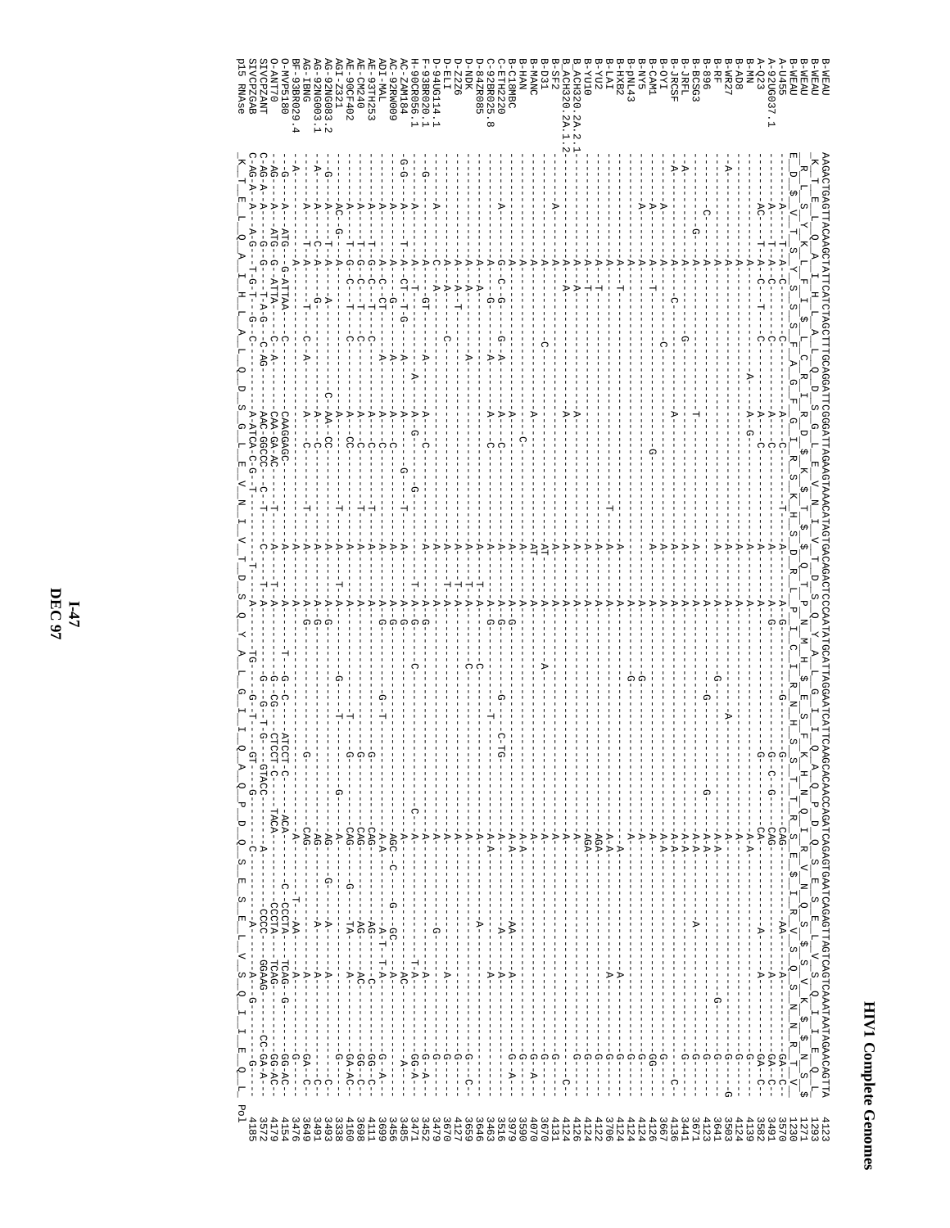| IVCPZGAB<br>RNAse                                                          | IVCPZANT                            | $-AMT70$                 | MVP5180                                        | $F - 93B R 029$         | -IBNG                                                                                                                                       |                                                                   | 3-92NG083.2<br>3-92NG003.1                                     | $C2 - Z321$                                                                        | -90CF402                                     | 0 P Z M.                                   | $-93TH253$                             | $TVM-$                                                                                                                                                | $-92$ RMO09                            | <b>18 INVZ-</b>       | 90CR056.                                    | 3BR020.            | <b>SAUGI1</b>                |                | 9ZZZ           |                        | Яqк                      | 84ZR085                                   | 92BR025<br>$\infty$         | ETH2220                  | C18MBC                          | NAH.                                                 | <b>MANC</b>      | <b>D31</b>                                                          | SF2                                | <b>ACH32</b>             | <b>ACH32</b>             | OTOX-            | $Z\Omega X$ -                      | LAI-           | $-EXH-$                         | -pNL43        | $S XN =$           | $-$ CAM1                                               | LXO-                     | -JRCSF                                             | -JRFL                                                     |           | -BCSG3      | $-896$                                       | ż                                   | $-MR27$                                    | $-ADB$        | $\overline{a}$                      | $-233$                                               | -92003               | SS <sub>50</sub>                                  | <b>NEAU</b>                             | WEAU                          | <b>NEAU</b><br><b>NEAU</b>                                                                   |
|----------------------------------------------------------------------------|-------------------------------------|--------------------------|------------------------------------------------|-------------------------|---------------------------------------------------------------------------------------------------------------------------------------------|-------------------------------------------------------------------|----------------------------------------------------------------|------------------------------------------------------------------------------------|----------------------------------------------|--------------------------------------------|----------------------------------------|-------------------------------------------------------------------------------------------------------------------------------------------------------|----------------------------------------|-----------------------|---------------------------------------------|--------------------|------------------------------|----------------|----------------|------------------------|--------------------------|-------------------------------------------|-----------------------------|--------------------------|---------------------------------|------------------------------------------------------|------------------|---------------------------------------------------------------------|------------------------------------|--------------------------|--------------------------|------------------|------------------------------------|----------------|---------------------------------|---------------|--------------------|--------------------------------------------------------|--------------------------|----------------------------------------------------|-----------------------------------------------------------|-----------|-------------|----------------------------------------------|-------------------------------------|--------------------------------------------|---------------|-------------------------------------|------------------------------------------------------|----------------------|---------------------------------------------------|-----------------------------------------|-------------------------------|----------------------------------------------------------------------------------------------|
| $-AG-FA-$                                                                  | $-AC - A -$                         | -26.<br>ATG.             | နှ<br>ATG.                                     | ₫                       |                                                                                                                                             | C                                                                 | ♭                                                              | $-AC$                                                                              | ⊳                                            |                                            | ÷                                      | כל                                                                                                                                                    |                                        | ဂ<br>ဂ                |                                             | Ω                  |                              |                |                |                        |                          |                                           |                             |                          |                                 |                                                      |                  |                                                                     |                                    |                          |                          |                  |                                    |                |                                 |               |                    | $-\Delta -$                                            | ÷A-                      |                                                    |                                                           |           |             |                                              |                                     |                                            |               |                                     |                                                      |                      |                                                   |                                         |                               |                                                                                              |
|                                                                            |                                     |                          | -ATTAA-                                        |                         |                                                                                                                                             | Ω                                                                 |                                                                |                                                                                    |                                              | ↷                                          |                                        | $-12 -$<br>A-                                                                                                                                         | နှ                                     | -1--1-                |                                             | Ġ                  |                              | $\overline{r}$ |                |                        |                          |                                           |                             | Ω                        |                                 |                                                      |                  |                                                                     |                                    |                          |                          |                  |                                    |                |                                 |               |                    |                                                        |                          |                                                    |                                                           |           |             |                                              |                                     |                                            |               |                                     |                                                      |                      |                                                   |                                         |                               | RGACTGAGTTACAAGCTATTCATCTAGCTTTGCAGGA                                                        |
|                                                                            | AAC-GGCCC-                          | CAA-GA-AC                | CAAGGAGC                                       |                         |                                                                                                                                             |                                                                   | ġ<br>S                                                         | Ъ                                                                                  | ъ<br>$\overline{c}$                          | ⋗<br>$\dot{\Omega}$                        | ⋗<br>Ω                                 | ₻<br>↷                                                                                                                                                | ⋗                                      |                       | ⋗                                           |                    |                              |                |                |                        |                          |                                           |                             |                          |                                 |                                                      |                  |                                                                     |                                    |                          |                          |                  |                                    |                |                                 |               |                    |                                                        |                          |                                                    |                                                           |           |             |                                              |                                     |                                            |               |                                     | ု                                                    | റ                    |                                                   |                                         |                               |                                                                                              |
|                                                                            |                                     |                          |                                                |                         |                                                                                                                                             |                                                                   |                                                                |                                                                                    |                                              |                                            |                                        |                                                                                                                                                       |                                        |                       |                                             |                    |                              |                |                |                        |                          |                                           |                             |                          |                                 |                                                      |                  |                                                                     |                                    |                          |                          |                  |                                    |                |                                 |               |                    |                                                        |                          |                                                    |                                                           |           |             |                                              |                                     |                                            |               |                                     |                                                      |                      |                                                   |                                         |                               |                                                                                              |
|                                                                            |                                     |                          |                                                |                         |                                                                                                                                             |                                                                   |                                                                |                                                                                    |                                              |                                            |                                        |                                                                                                                                                       |                                        |                       | ဂ္                                          |                    |                              |                |                |                        |                          |                                           |                             |                          |                                 |                                                      |                  |                                                                     |                                    |                          |                          |                  |                                    |                |                                 |               |                    |                                                        |                          |                                                    |                                                           |           |             |                                              |                                     |                                            |               |                                     |                                                      |                      |                                                   |                                         |                               | LTCGGGATTAGAAGTAAACATAGTGACAGACTCCCAATATGCATTAGGAATCATTC                                     |
| $GT---G---$<br>Þ<br>þ<br>'ს<br>1<br>p                                      | $-GTRCC---$<br>ì<br>I               |                          | CCT-C-------ACA--                              | $\frac{1}{1}$<br>I<br>п | $-1$<br>J<br>$\mathbf{I}$                                                                                                                   | J.                                                                |                                                                | $-\frac{1}{2}$                                                                     | ဂူ<br>J                                      | $-6$                                       | $\frac{1}{1}$                          |                                                                                                                                                       |                                        |                       | $\frac{1}{1}$                               |                    |                              |                |                |                        |                          |                                           |                             | -- 51                    |                                 |                                                      |                  |                                                                     |                                    |                          |                          |                  |                                    |                |                                 |               |                    |                                                        |                          |                                                    |                                                           | I         |             | I<br>$-6 - -$                                |                                     |                                            |               | $\frac{1}{1}$<br>Í<br>$\frac{1}{1}$ | $-1$<br>$\frac{1}{1}$<br>I                           | $-9 - 0 - -9 - -9 -$ | $\Gamma$<br>$\begin{array}{c} \hline \end{array}$ | C<br>∃<br>$\overline{\phantom{a}}$<br>₩ | Ξ<br>z<br>ю                   | O<br>IJ<br>U                                                                                 |
| $- - - - -$<br>$2 - 5$<br>Þ<br>ิง<br>I<br>$---+----$<br>¦¤<br>þ            | $- -A - -$<br>$- - \text{CCCC} - -$ | I<br>$\frac{1}{1}$<br>п  | J.<br>J.<br>$\mathbb{I}$<br>ł                  | $---A---$<br>J<br>I     | $-CAG - -$<br>j<br>$\mathbf{I}$<br>$\begin{array}{c} 1 \\ 1 \\ 1 \end{array}$<br>$\mathbf{I}$<br>$\begin{array}{c} 1 \\ 1 \\ 1 \end{array}$ | $-100 -$<br>f,<br>J.<br>л<br>J.<br>т<br>$\mathbb I$<br>$- -A - -$ | $-56 - -$<br>$\overline{\phantom{a}}$<br>ဂု<br> <br>$- -A - -$ | $---A---$<br>п<br>i<br>$\frac{1}{1}$<br>$\begin{array}{c} 1 \\ 1 \\ 1 \end{array}$ | CAG-                                         | $CAG -$<br>J<br>$\frac{1}{1}$<br>$-56 - -$ | CAG----<br>I<br>$-56-$                 | $-A - A - -$<br>$\begin{array}{c} \hline \end{array}$<br>$\frac{1}{1}$                                                                                | $-AGC--C--$<br>$- - - - - - - - - - -$ | $A^{--}$<br>Í<br>I    | $\overline{r}$                              | A-<br>$\mathbf{I}$ | A-<br>ဂု<br>၂                | $\frac{1}{2}$  | $\overline{Y}$ |                        | $A--$<br>ţ               | ř<br>J.<br>$\mathbf{I}$<br>$-\frac{1}{2}$ | $-A - A -$<br>$\frac{1}{1}$ | $A -$<br>J.<br>$---A---$ | $A - A - -$<br>--дд--           | $-A-A$<br>$\begin{array}{c} 1 \\ 1 \\ 1 \end{array}$ | $A -$<br>I       | $\mathbb{F}$<br>$\mathbf{I}$                                        | $\frac{1}{2}$                      | $\overline{A}$           | $A$ --                   | $AGA - -$        | $AGA -$                            | $A - A - -$    | $-4 - -$                        | $A -$         | $A -$<br>I         | $A -$                                                  | $A - A$ .                | $A - A - -$                                        | $A - A - -$<br>$\begin{array}{c} 1 \\ 1 \\ 1 \end{array}$ | $- - - -$ | $A - A - -$ | $-A-A$<br>п<br>$-1$ $-1$ $-1$ $-1$ $-1$ $-1$ | $\mathbf{A} - \mathbf{A} - -$       | $\mathbb{A}-$                              | $-4$          | $A - A - -$<br>I<br>$\overline{1}$  | CA----<br>п<br>-- A -- -                             | $-CCAC - -$          | $CAG -$<br>$AA$ - --                              | ŗω.<br>ø<br>'n<br>₩<br>$\prec$          | ₩<br>ю<br>ŗω,                 | AGOACAAACOAGATAAGAGTGAATCAGAGTTAGTCAGTCAAATAATAAACAGAACAGTTA<br>O<br>CΩ<br>Ħ<br>ัช<br>ø<br>E |
| $\prec$<br>$\frac{1}{1}$<br>ŗω.<br>$A = -G -$<br>jО<br>jн,<br>$\mathbf{I}$ | $-GGMAG -$<br>т<br>ı<br>I,<br>т     | -- CCCTA-----TCAG--<br>I | C--CCCTA----TCAG--<br><u>ဂ</u><br>I<br>п<br>J. | $---+----$<br>I<br>I    | ļ.<br>$A - -$<br>$\mathbf{I}$<br>I<br>$\mathbf{I}$                                                                                          | т<br>J<br>$A -$<br>$\mathbb I$<br>J.                              | J<br>$A -$<br>$\overline{1}$                                   | I.                                                                                 | $\overline{\phantom{a}}$<br>ł<br>$A -$<br>J. | $\overline{1}$<br>$---AC---$               | $\mathbf{I}$<br>I<br>$- - -C - -$<br>ł | $\n  D - D - D - D - D - D - D - D - D - D - D - D - D - D - D - D - D - D - D - D - D - D - D - D - D - D - D - D - D - D - D - <$<br>$\blacksquare$ | $--\Delta----$<br>л                    | $---AC---$<br>I<br>J. | $\blacksquare$<br>$-L-R-$<br>$\blacksquare$ | H<br>$A -$         | $\frac{1}{1}$                | ÷<br>P         |                |                        | J.<br>$\mathbb{I}$<br>J. | J.                                        | $A - -$                     | $A -$                    | $\frac{1}{1}$<br>$\overline{A}$ | $\frac{1}{1}$<br>I                                   |                  |                                                                     |                                    |                          |                          |                  | $\mathbf{I}$                       | $\overline{A}$ | ł<br>$A -$                      |               |                    |                                                        |                          |                                                    |                                                           | I         |             | п                                            | ဂု                                  |                                            |               |                                     | $\frac{1}{1}$<br>$A - -$<br>I<br>т                   | $\overline{A}$       | $\frac{1}{1}$<br>⊅                                | .<br>מ<br>ю<br>่ัง<br>z<br>z            | ¦<br>∙o<br>m<br>⊲<br>į∿<br>ŗω | ₫<br>ŗω<br>O                                                                                 |
| þ<br>¦o<br> <br>F<br>$\mathbf{I}$<br>Pol                                   | $CC-GA-{\bf A}--$                   | $-96 - AC -$             | $-96 - 96 -$                                   | $-1$ - $-1$ - $-1$      | $-GA - C -$                                                                                                                                 | $\mathsf I$<br>$-1$                                               | $\overline{1}$<br>$\frac{1}{1}$<br>ن<br>ا                      | J.<br>$C = -1$<br>I                                                                | $-GA-AC-$                                    | $-99 - -0 -$                               | $-99$ -                                | $-9 - -Y$                                                                                                                                             | I<br>$\frac{1}{1}$                     | $- - - - - -$         | $-GG - A - -$                               | $G = -R -$         | $\mathbf{I}$<br><u>ရ</u><br> | $-1$           | ı<br>I         | ှု                     | <u>ဂ</u><br>--<br>Ģ      |                                           | $\overline{1}$              | $\mathbb I$              | $G - A - -$                     | J.<br>$G$ -----                                      | <u>ဂု</u><br>A-- | <u>ဂုံ</u><br>$\begin{array}{c} \hline \end{array}$<br>$\mathbf{I}$ | $\frac{1}{\Omega}$<br>п<br>J.<br>ł | $\overline{1}$<br>م<br>ا | <u>ှ</u><br> <br>т<br>J. | J<br>ှ<br> <br>п | $\frac{1}{\Omega}$<br>$\mathbf{I}$ | ဂှ<br>J.       | $\frac{1}{1}$<br>$\overline{1}$ | $\frac{1}{1}$ | $\frac{1}{1}$<br>ı | $\overline{\phantom{a}}$<br><u>ର୍କ</u><br>$\mathbf{I}$ | $\frac{1}{\Omega}$<br>J. | $\mathbf{I}$<br>$\frac{1}{1}$<br>G<br>$\mathbf{I}$ | $\frac{1}{2}$<br>п<br>п                                   | Ω<br>I    |             | ţ<br>ω<br>Ţ<br>п                             | $\mathbf{I}$<br>Ω<br>$\overline{1}$ | $\blacksquare$<br>Ω<br>Ì<br>$\overline{1}$ | J.<br>ဂှ<br>п | 1<br>؋<br>ا<br>J.<br>I              | л<br>$GA-C-$                                         | $-GA - -C -$         | $GA - C -$                                        | ξĀ<br>۳<br>k                            | z<br>י<br>מ'<br>٠U            | F<br>ю<br>F                                                                                  |
|                                                                            | 3572<br>4185                        | 4179                     | 4154                                           |                         | 36499                                                                                                                                       |                                                                   | 3493<br>3491                                                   | 3338                                                                               | 4160                                         | 3698                                       |                                        | 3699<br>4111                                                                                                                                          |                                        | 34855                 |                                             | 3452<br>3471       | 347<br>ق                     |                |                | 36559<br>41270<br>3670 |                          | 34653                                     |                             | 351<br>ത                 | 3979                            | 3590                                                 | 4070             | 3670                                                                | 4131                               | 4124                     | 412<br>ത                 | 4124             | 412.<br>$\mathsf{N}$               |                | 41244                           |               |                    | 41126<br>41124<br>4124                                 | 3667                     | 4136                                               | 3441                                                      |           | 4123        |                                              | 3503<br>3641                        |                                            | 4124          |                                     | $\begin{array}{c} 3491 \\ 35839 \\ 4129 \end{array}$ |                      | 12271<br>1230<br>3570                             |                                         |                               | 41233                                                                                        |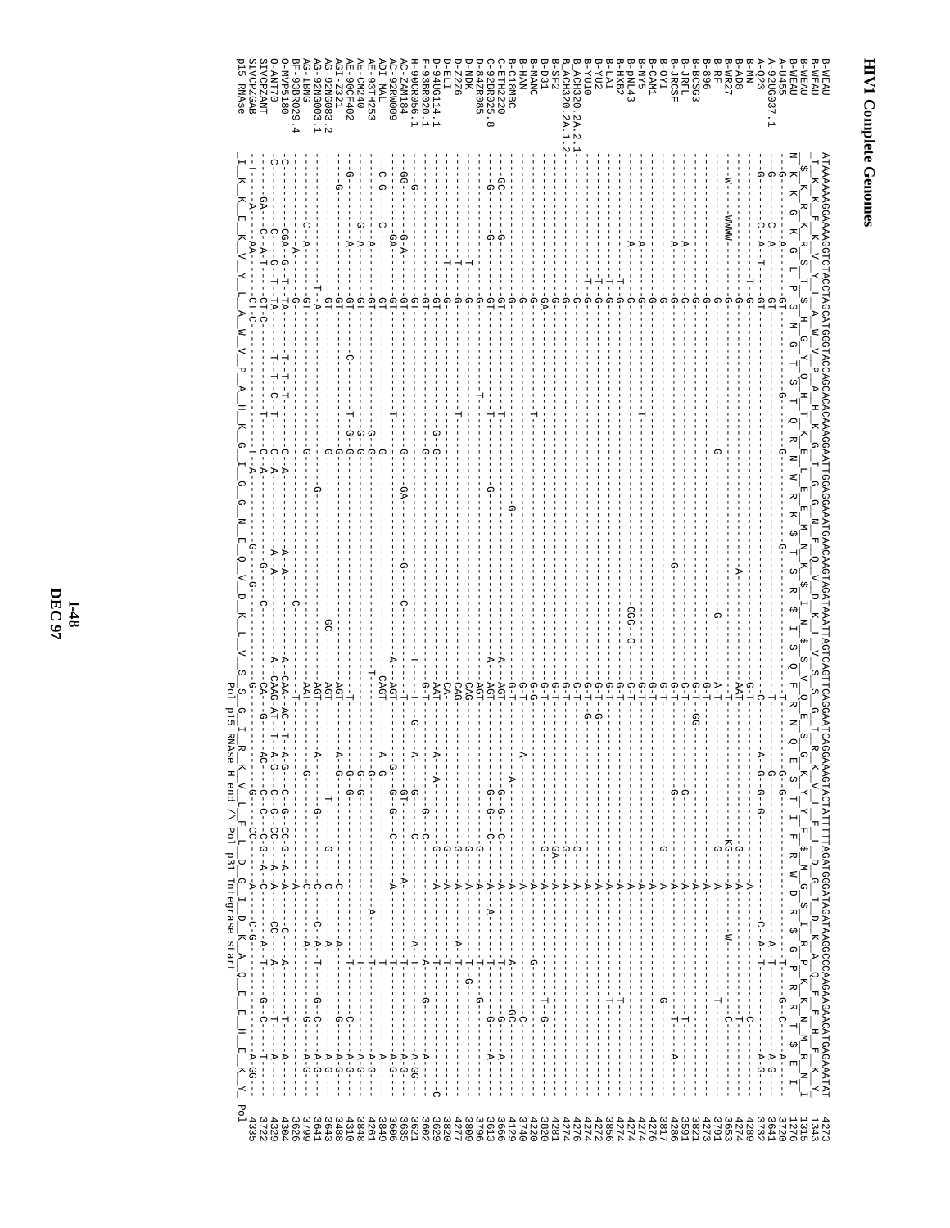| റ<br>$\frac{1}{1}$<br>ဂ္ဂ်<br>Ω<br>Ω<br>ဂ္ဂ်<br>ឹ<br>C<br>G<br>ດ<br>Ω<br>J-<br>Þ<br>∀−<br>-999<br>نم<br>م<br>Ģ<br>۴<br>٣<br>CAAG-AT-<br>CAA--<br>-AGT<br>-RGT-<br>-CAG<br>-AGT<br>-AGT<br>-AAT<br>-AGT<br>CAGI<br>-AGT<br>់<br>មុ<br>-AGT<br>CAG<br>់<br>ម<br>CA-<br>م<br>با<br>ن<br>ج<br><b>PAT</b><br>$C-A-$<br>TAA.<br>G-G<br>G-T<br>م<br>ب<br>ローコ<br>ဂု<br>႕<br>ဂ<br>႕<br>AC-<br>Ω<br>ଜ<br><u>ငှ</u><br>Φ<br>$AC--$<br>$A-G---C--$<br>$A-G--C--$<br>$-4-$<br>$A - -$<br>$  \theta$<br>$-\frac{1}{2}$<br>$A - G - G - G - G -$<br>ţ<br>ţ<br>ှု<br>$\frac{1}{1}$<br>$\frac{1}{2}$<br>J<br>1<br>$\blacksquare$<br>J.<br>$-4-$<br>J.<br><u>န</u><br>$G = -G =$<br>ဂု<br>ဂူ<br>$\overline{1}$<br>$\mathbb I$<br>I<br>$\mathbf{I}$<br>နဲ့<br>$\frac{1}{2}$<br>$\overline{1}$<br>$- -C - -$<br>I<br>J<br>⊅<br>ţ<br>ţ<br>J<br>$-$ - $-$ 0- $-$<br>$\frac{1}{1}$<br>$\blacksquare$<br>$-9 - 0 - 0 - 0$<br>$-1.5-$<br>J<br>$\frac{1}{1}$<br>J<br>t<br>I<br>နှ<br>J.<br>$-1$<br>$-1 - 0 - 0 - 0$<br>$\Gamma$<br>ı<br>ဂ္<br>ှ<br>л<br>л<br>$\blacksquare$<br>П<br>ţ<br>$-1$<br>$\frac{1}{1}$<br>J.<br>$\frac{1}{2}$<br>J<br>$\mathbf{I}$<br>J.<br>$\frac{1}{1}$<br>$\blacksquare$<br>л<br>J.<br>п<br>$C_1 -$<br>$\overline{\phantom{a}}$<br>$- - - 5$<br>c----c-G<br>ဂု<br>л<br>п<br>л<br>$\mathbf{I}$<br>$\mathbf I$<br>I<br>I<br>ı<br>ı<br>$\begin{array}{c} \end{array}$<br>$\overline{1}$<br>I<br>$\frac{1}{2}$<br>$\overline{1}$<br>I<br>.<br>CC---<br>cc-a.<br>$\begin{array}{c} \end{array}$<br>$\frac{1}{2}$<br>$\frac{1}{1}$<br>$\blacksquare$<br>$\frac{1}{2}$<br>$\mathbf{I}$<br>$\blacksquare$<br>I<br>I<br>п<br>$\Gamma$<br>$\Omega$<br>ု<br>$\frac{1}{1}$<br>ı<br>$-KG$ -<br>л<br>п<br>Ţ<br>$\Gamma$<br>J.<br>Ţ<br>л<br>I<br>Ω<br>Ω<br>Ω<br>ω<br>ω<br>I<br>J<br>Ω<br>$GA -$<br>$\Gamma$<br><u>ဂ</u><br>ω<br>J.<br>ω<br>ω<br>I<br>Ĵ<br>$\frac{1}{1}$<br>$\frac{1}{1}$<br>$\overline{1}$<br>$\frac{1}{1}$<br>J<br>1<br>л<br>п<br>$\blacksquare$<br>$\mathbf{I}$<br>т<br>-1<br>л.<br>H<br>т<br>п<br>т<br>$\frac{1}{1}$<br>л<br>I<br>л<br>п<br>т<br>л<br>ш<br>$\overline{1}$<br>Ï<br>f,<br>$\overline{1}$<br>л<br>$A -$<br>$A -$<br>$A -$<br>J.<br>$\mathbf{I}$<br>J.<br>$\frac{1}{1}$<br>J.<br>J.<br>J.<br>$\overline{\phantom{a}}$<br>$\blacksquare$<br>J<br>ł<br>I,<br>$\mathbb{I}$<br>J<br>л<br>$\overline{\phantom{a}}$<br>ł<br>$\mathbf{I}$<br>÷.<br>J.<br>J.<br>J.<br>$\overline{1}$<br>$\forall$<br>J.<br>J.<br>J.<br>$\overline{1}$<br>1<br>$\mathbf{I}$<br>$\frac{1}{2}$<br>$\blacksquare$<br>1<br>л<br>♭<br>Þ<br>Α<br>₫<br>C<br>ъ<br>ъ<br>ъ<br>Ω<br>Þ<br>ъ<br>$\overline{P}$<br>$\frac{1}{2}$<br>⊅<br>$\frac{1}{2}$<br>$\frac{1}{2}$<br>ኳ<br>ъ<br>ъ<br>⊅<br>ъ<br>Þ<br>$\frac{1}{2}$<br>$\frac{1}{\sqrt{2}}$<br>ኳ<br>⊅<br>ъ<br>⊅<br>Þ<br>⊅<br>ъ<br>$\frac{1}{2}$<br>ъ<br>ኳ<br>∩<br>Ω<br>G<br>Ţ,<br>T<br>$\frac{1}{1}$<br>$\mathsf I$<br>Ţ<br>Ť<br>Ť<br>ŧ<br>J.<br>$\blacksquare$<br>$\blacksquare$<br>J.<br>I.<br>t<br>T<br>I,<br>$\blacksquare$<br>J.<br>$\mathbf{I}$<br>$\overline{\phantom{a}}$<br>J.<br>I.<br>$\mathbf{I}$<br>J.<br>J.<br>J.<br>J.<br>J<br>т<br>1<br>л<br>л<br>$\mathbf{I}$<br>л<br>п<br>$\overline{1}$<br>$\mathbf{I}$<br>I,<br>I,<br>I.<br>I.<br>ı<br>I,<br>I,<br>J.<br>п<br>J<br>I<br>ı<br>I<br>$A - -$<br>$A - -$<br>$\mathbf{I}$<br>$-$ -C---<br>л<br>п<br>-00-<br>Ò<br>C<br>J.<br>т<br>1<br>$\mathbf{I}$<br>ı<br>H<br>I.<br>$\frac{1}{1}$<br>$\frac{1}{1}$<br>$\frac{1}{1}$<br>ł<br>ţ<br>$\begin{array}{c} \hline \end{array}$<br>Ţ<br>$\frac{1}{1}$<br>I<br>$\blacksquare$<br>$-1$<br>J.<br>J.<br>I<br>J.<br>I<br>$A - T - T$<br>$-\mathbf{L}--\mathbf{A}$<br>$\overline{Y}$<br>$\overline{P}$<br>$\overline{A}$<br>$\mathbf{A}--\mathbf{T}--$<br>$\overline{r}$<br>J.<br>$A - -$<br>$\frac{1}{1}$<br>т<br>п<br>л<br>п<br>$\mathbf{I}$<br>л<br>I<br>$\mathbb{I}$<br>$\mathsf I$<br>$-4-7-$<br>I<br>J.<br>J,<br>I<br>J<br>J<br>$-V -$<br>$\mathbf{I}$<br>I<br>÷<br>⊢<br>Ĥ<br>J.<br>н<br>н<br>н<br>부<br>부<br>$\overline{A}$<br>п<br>$\mathbf{I}$<br>$\mathbf{I}$<br>н<br>부<br>H<br>부<br>н<br>부<br>부<br>부<br>ဂု<br>$\overline{1}$<br>f<br>$\mathbf{I}$<br>I.<br>$\overline{1}$<br>$\overline{1}$<br>$\overline{1}$<br>ť<br>$\overline{1}$<br>I<br>I<br>Ţ<br>$\overline{\phantom{a}}$<br>I<br>$\overline{\phantom{a}}$<br>$-1$<br>J.<br>J.<br>$\mathbf{I}$<br>$\overline{1}$<br>J.<br>J.<br>J,<br>J.<br>$\blacksquare$<br>$\blacksquare$<br>I<br>I<br>I<br>I<br>I.<br>I<br>J<br>J.<br>п<br>$\mathbf{I}$<br>$-6-$<br>п<br>J.<br>I<br>т<br>т<br>л<br>$\mathbf{I}$<br>л<br>1<br>$\frac{1}{1}$<br>$\mathbf{I}$<br>т<br>$\frac{1}{1}$<br>$\frac{1}{1}$<br>$\mathbf{I}$<br>$-1 - G$<br>ှု<br>÷<br>1<br>ı<br>ı<br>ω<br>I<br>ဂှ<br>$\mathbf{I}$<br>I<br>$\mathbf{I}$<br>$\overline{1}$<br>J.<br>$\blacksquare$<br>I<br>J.<br>J.<br>$\mathbf{I}$<br>J.<br>$-90 - -$<br>ţ<br>L<br>J.<br>I<br>J.<br>л<br>$\blacksquare$<br>I<br>п<br>부<br>J.<br>$\frac{1}{2}$<br>-1<br>L<br>т<br>$\mathbf{I}$<br>$\mathbf{I}$<br>л<br>п<br>H.<br>H<br>$\mathbf{I}$<br>п<br>ı<br>л<br>л<br>J<br>л<br>п<br>л<br>1<br>$\mathsf I$<br>I.<br>$\mathbf{I}$<br>I<br>$\overline{1}$<br>$\mathbf I$<br>I<br>$\mathbf I$<br>L<br>I<br>I,<br>ı<br>ш<br>Ý<br>н<br>C<br>Ĥ<br>Ω<br>C<br>$\frac{1}{2}$<br>G<br>Ω<br>Ω<br>C<br>년<br>ーー<br>Q<br>G<br>I<br>I<br>T<br>$\begin{array}{c} \hline \end{array}$<br>ł<br>J<br>$\mathbf{I}$<br>J.<br>J<br>I<br>J.<br>п<br>п<br>$\blacksquare$<br>$\blacksquare$<br>$\mathbf{I}$<br>I<br>$\overline{1}$<br>$\blacksquare$<br>J.<br>-1<br>1<br>$\mathbf{I}$<br>$\mathbf{I}$<br>1<br>л<br>ı<br>1<br>п<br>I<br>I<br>I<br>I,<br>J.<br>I<br>ł<br>ł<br>J<br>I<br>$\overline{1}$<br>$\frac{1}{1}$<br>J.<br>$\overline{1}$<br>$\blacksquare$<br>$\frac{1}{1}$<br>-1<br>1<br>1<br>ı<br>ı<br>I<br>ì<br>ı<br>I<br>1<br>$\overline{1}$<br>$\overline{Y}$<br>$-1$<br>I.<br>I<br>$\overline{1}$ | $C--D--D--$                |
|-----------------------------------------------------------------------------------------------------------------------------------------------------------------------------------------------------------------------------------------------------------------------------------------------------------------------------------------------------------------------------------------------------------------------------------------------------------------------------------------------------------------------------------------------------------------------------------------------------------------------------------------------------------------------------------------------------------------------------------------------------------------------------------------------------------------------------------------------------------------------------------------------------------------------------------------------------------------------------------------------------------------------------------------------------------------------------------------------------------------------------------------------------------------------------------------------------------------------------------------------------------------------------------------------------------------------------------------------------------------------------------------------------------------------------------------------------------------------------------------------------------------------------------------------------------------------------------------------------------------------------------------------------------------------------------------------------------------------------------------------------------------------------------------------------------------------------------------------------------------------------------------------------------------------------------------------------------------------------------------------------------------------------------------------------------------------------------------------------------------------------------------------------------------------------------------------------------------------------------------------------------------------------------------------------------------------------------------------------------------------------------------------------------------------------------------------------------------------------------------------------------------------------------------------------------------------------------------------------------------------------------------------------------------------------------------------------------------------------------------------------------------------------------------------------------------------------------------------------------------------------------------------------------------------------------------------------------------------------------------------------------------------------------------------------------------------------------------------------------------------------------------------------------------------------------------------------------------------------------------------------------------------------------------------------------------------------------------------------------------------------------------------------------------------------------------------------------------------------------------------------------------------------------------------------------------------------------------------------------------------------------------------------------------------------------------------------------------------------------------------------------------------------------------------------------------------------------------------------------------------------------------------------------------------------------------------------------------------------------------------------------------------------------------------------------------------------------------------------------------------------------------------------------------------------------------------------------------------------------------------------------------------------------------------------------------------------------------------------------------------------------------------------------------------------------------------------------------------------------------------------------------------------------------------------------------------------------------------------------------------------------------------------------------------------------------------------------------------------------------------------------------------------------------------------------------------------------------------------------------------------------------------------------------------------------------------------------------------------------------------------------------------------------------------------------------------------------------------------------------------------------------------------------------------------------------------------------------------------------------------------------------------------------------------------------------------------------------------------------------------------------------------------------------------------------------------------------------------------------------------------------------------------------------------------------------------------------------------------------------------------------------------------------------------------------------------------------------------------------------------------------------------------------------------------------------|----------------------------|
| $-4-G$<br>$A-G$<br>$A-G$<br>$A-G$<br>$A-G$                                                                                                                                                                                                                                                                                                                                                                                                                                                                                                                                                                                                                                                                                                                                                                                                                                                                                                                                                                                                                                                                                                                                                                                                                                                                                                                                                                                                                                                                                                                                                                                                                                                                                                                                                                                                                                                                                                                                                                                                                                                                                                                                                                                                                                                                                                                                                                                                                                                                                                                                                                                                                                                                                                                                                                                                                                                                                                                                                                                                                                                                                                                                                                                                                                                                                                                                                                                                                                                                                                                                                                                                                                                                                                                                                                                                                                                                                                                                                                                                                                                                                                                                                                                                                                                                                                                                                                                                                                                                                                                                                                                                                                                                                                                                                                                                                                                                                                                                                                                                                                                                                                                                                                                                                                                                                                                                                                                                                                                                                                                                                                                                                                                                                                                                                                      | CGA<br>ω<br>ω<br>۲<br>ا    |
|                                                                                                                                                                                                                                                                                                                                                                                                                                                                                                                                                                                                                                                                                                                                                                                                                                                                                                                                                                                                                                                                                                                                                                                                                                                                                                                                                                                                                                                                                                                                                                                                                                                                                                                                                                                                                                                                                                                                                                                                                                                                                                                                                                                                                                                                                                                                                                                                                                                                                                                                                                                                                                                                                                                                                                                                                                                                                                                                                                                                                                                                                                                                                                                                                                                                                                                                                                                                                                                                                                                                                                                                                                                                                                                                                                                                                                                                                                                                                                                                                                                                                                                                                                                                                                                                                                                                                                                                                                                                                                                                                                                                                                                                                                                                                                                                                                                                                                                                                                                                                                                                                                                                                                                                                                                                                                                                                                                                                                                                                                                                                                                                                                                                                                                                                                                                                 |                            |
|                                                                                                                                                                                                                                                                                                                                                                                                                                                                                                                                                                                                                                                                                                                                                                                                                                                                                                                                                                                                                                                                                                                                                                                                                                                                                                                                                                                                                                                                                                                                                                                                                                                                                                                                                                                                                                                                                                                                                                                                                                                                                                                                                                                                                                                                                                                                                                                                                                                                                                                                                                                                                                                                                                                                                                                                                                                                                                                                                                                                                                                                                                                                                                                                                                                                                                                                                                                                                                                                                                                                                                                                                                                                                                                                                                                                                                                                                                                                                                                                                                                                                                                                                                                                                                                                                                                                                                                                                                                                                                                                                                                                                                                                                                                                                                                                                                                                                                                                                                                                                                                                                                                                                                                                                                                                                                                                                                                                                                                                                                                                                                                                                                                                                                                                                                                                                 |                            |
|                                                                                                                                                                                                                                                                                                                                                                                                                                                                                                                                                                                                                                                                                                                                                                                                                                                                                                                                                                                                                                                                                                                                                                                                                                                                                                                                                                                                                                                                                                                                                                                                                                                                                                                                                                                                                                                                                                                                                                                                                                                                                                                                                                                                                                                                                                                                                                                                                                                                                                                                                                                                                                                                                                                                                                                                                                                                                                                                                                                                                                                                                                                                                                                                                                                                                                                                                                                                                                                                                                                                                                                                                                                                                                                                                                                                                                                                                                                                                                                                                                                                                                                                                                                                                                                                                                                                                                                                                                                                                                                                                                                                                                                                                                                                                                                                                                                                                                                                                                                                                                                                                                                                                                                                                                                                                                                                                                                                                                                                                                                                                                                                                                                                                                                                                                                                                 |                            |
|                                                                                                                                                                                                                                                                                                                                                                                                                                                                                                                                                                                                                                                                                                                                                                                                                                                                                                                                                                                                                                                                                                                                                                                                                                                                                                                                                                                                                                                                                                                                                                                                                                                                                                                                                                                                                                                                                                                                                                                                                                                                                                                                                                                                                                                                                                                                                                                                                                                                                                                                                                                                                                                                                                                                                                                                                                                                                                                                                                                                                                                                                                                                                                                                                                                                                                                                                                                                                                                                                                                                                                                                                                                                                                                                                                                                                                                                                                                                                                                                                                                                                                                                                                                                                                                                                                                                                                                                                                                                                                                                                                                                                                                                                                                                                                                                                                                                                                                                                                                                                                                                                                                                                                                                                                                                                                                                                                                                                                                                                                                                                                                                                                                                                                                                                                                                                 | G                          |
| $-5 - 7 - 9$<br>$-9 - 9 - 0 - 0 - 0$<br>$-4-$<br>$- -A - -$<br>$-A-G$<br>$- A - G$<br>$-4-7$<br>$A-G-$<br>$\overline{P}$                                                                                                                                                                                                                                                                                                                                                                                                                                                                                                                                                                                                                                                                                                                                                                                                                                                                                                                                                                                                                                                                                                                                                                                                                                                                                                                                                                                                                                                                                                                                                                                                                                                                                                                                                                                                                                                                                                                                                                                                                                                                                                                                                                                                                                                                                                                                                                                                                                                                                                                                                                                                                                                                                                                                                                                                                                                                                                                                                                                                                                                                                                                                                                                                                                                                                                                                                                                                                                                                                                                                                                                                                                                                                                                                                                                                                                                                                                                                                                                                                                                                                                                                                                                                                                                                                                                                                                                                                                                                                                                                                                                                                                                                                                                                                                                                                                                                                                                                                                                                                                                                                                                                                                                                                                                                                                                                                                                                                                                                                                                                                                                                                                                                                        | Ω                          |
|                                                                                                                                                                                                                                                                                                                                                                                                                                                                                                                                                                                                                                                                                                                                                                                                                                                                                                                                                                                                                                                                                                                                                                                                                                                                                                                                                                                                                                                                                                                                                                                                                                                                                                                                                                                                                                                                                                                                                                                                                                                                                                                                                                                                                                                                                                                                                                                                                                                                                                                                                                                                                                                                                                                                                                                                                                                                                                                                                                                                                                                                                                                                                                                                                                                                                                                                                                                                                                                                                                                                                                                                                                                                                                                                                                                                                                                                                                                                                                                                                                                                                                                                                                                                                                                                                                                                                                                                                                                                                                                                                                                                                                                                                                                                                                                                                                                                                                                                                                                                                                                                                                                                                                                                                                                                                                                                                                                                                                                                                                                                                                                                                                                                                                                                                                                                                 | ဂု<br>⋗<br>Ω<br>Η          |
|                                                                                                                                                                                                                                                                                                                                                                                                                                                                                                                                                                                                                                                                                                                                                                                                                                                                                                                                                                                                                                                                                                                                                                                                                                                                                                                                                                                                                                                                                                                                                                                                                                                                                                                                                                                                                                                                                                                                                                                                                                                                                                                                                                                                                                                                                                                                                                                                                                                                                                                                                                                                                                                                                                                                                                                                                                                                                                                                                                                                                                                                                                                                                                                                                                                                                                                                                                                                                                                                                                                                                                                                                                                                                                                                                                                                                                                                                                                                                                                                                                                                                                                                                                                                                                                                                                                                                                                                                                                                                                                                                                                                                                                                                                                                                                                                                                                                                                                                                                                                                                                                                                                                                                                                                                                                                                                                                                                                                                                                                                                                                                                                                                                                                                                                                                                                                 | ⊅<br>G                     |
|                                                                                                                                                                                                                                                                                                                                                                                                                                                                                                                                                                                                                                                                                                                                                                                                                                                                                                                                                                                                                                                                                                                                                                                                                                                                                                                                                                                                                                                                                                                                                                                                                                                                                                                                                                                                                                                                                                                                                                                                                                                                                                                                                                                                                                                                                                                                                                                                                                                                                                                                                                                                                                                                                                                                                                                                                                                                                                                                                                                                                                                                                                                                                                                                                                                                                                                                                                                                                                                                                                                                                                                                                                                                                                                                                                                                                                                                                                                                                                                                                                                                                                                                                                                                                                                                                                                                                                                                                                                                                                                                                                                                                                                                                                                                                                                                                                                                                                                                                                                                                                                                                                                                                                                                                                                                                                                                                                                                                                                                                                                                                                                                                                                                                                                                                                                                                 | Ö<br>႕<br>욥                |
|                                                                                                                                                                                                                                                                                                                                                                                                                                                                                                                                                                                                                                                                                                                                                                                                                                                                                                                                                                                                                                                                                                                                                                                                                                                                                                                                                                                                                                                                                                                                                                                                                                                                                                                                                                                                                                                                                                                                                                                                                                                                                                                                                                                                                                                                                                                                                                                                                                                                                                                                                                                                                                                                                                                                                                                                                                                                                                                                                                                                                                                                                                                                                                                                                                                                                                                                                                                                                                                                                                                                                                                                                                                                                                                                                                                                                                                                                                                                                                                                                                                                                                                                                                                                                                                                                                                                                                                                                                                                                                                                                                                                                                                                                                                                                                                                                                                                                                                                                                                                                                                                                                                                                                                                                                                                                                                                                                                                                                                                                                                                                                                                                                                                                                                                                                                                                 | $C_A -$<br>GI              |
|                                                                                                                                                                                                                                                                                                                                                                                                                                                                                                                                                                                                                                                                                                                                                                                                                                                                                                                                                                                                                                                                                                                                                                                                                                                                                                                                                                                                                                                                                                                                                                                                                                                                                                                                                                                                                                                                                                                                                                                                                                                                                                                                                                                                                                                                                                                                                                                                                                                                                                                                                                                                                                                                                                                                                                                                                                                                                                                                                                                                                                                                                                                                                                                                                                                                                                                                                                                                                                                                                                                                                                                                                                                                                                                                                                                                                                                                                                                                                                                                                                                                                                                                                                                                                                                                                                                                                                                                                                                                                                                                                                                                                                                                                                                                                                                                                                                                                                                                                                                                                                                                                                                                                                                                                                                                                                                                                                                                                                                                                                                                                                                                                                                                                                                                                                                                                 | ရှိ<br>A-2<br>GI           |
|                                                                                                                                                                                                                                                                                                                                                                                                                                                                                                                                                                                                                                                                                                                                                                                                                                                                                                                                                                                                                                                                                                                                                                                                                                                                                                                                                                                                                                                                                                                                                                                                                                                                                                                                                                                                                                                                                                                                                                                                                                                                                                                                                                                                                                                                                                                                                                                                                                                                                                                                                                                                                                                                                                                                                                                                                                                                                                                                                                                                                                                                                                                                                                                                                                                                                                                                                                                                                                                                                                                                                                                                                                                                                                                                                                                                                                                                                                                                                                                                                                                                                                                                                                                                                                                                                                                                                                                                                                                                                                                                                                                                                                                                                                                                                                                                                                                                                                                                                                                                                                                                                                                                                                                                                                                                                                                                                                                                                                                                                                                                                                                                                                                                                                                                                                                                                 | GI                         |
|                                                                                                                                                                                                                                                                                                                                                                                                                                                                                                                                                                                                                                                                                                                                                                                                                                                                                                                                                                                                                                                                                                                                                                                                                                                                                                                                                                                                                                                                                                                                                                                                                                                                                                                                                                                                                                                                                                                                                                                                                                                                                                                                                                                                                                                                                                                                                                                                                                                                                                                                                                                                                                                                                                                                                                                                                                                                                                                                                                                                                                                                                                                                                                                                                                                                                                                                                                                                                                                                                                                                                                                                                                                                                                                                                                                                                                                                                                                                                                                                                                                                                                                                                                                                                                                                                                                                                                                                                                                                                                                                                                                                                                                                                                                                                                                                                                                                                                                                                                                                                                                                                                                                                                                                                                                                                                                                                                                                                                                                                                                                                                                                                                                                                                                                                                                                                 | ₽                          |
|                                                                                                                                                                                                                                                                                                                                                                                                                                                                                                                                                                                                                                                                                                                                                                                                                                                                                                                                                                                                                                                                                                                                                                                                                                                                                                                                                                                                                                                                                                                                                                                                                                                                                                                                                                                                                                                                                                                                                                                                                                                                                                                                                                                                                                                                                                                                                                                                                                                                                                                                                                                                                                                                                                                                                                                                                                                                                                                                                                                                                                                                                                                                                                                                                                                                                                                                                                                                                                                                                                                                                                                                                                                                                                                                                                                                                                                                                                                                                                                                                                                                                                                                                                                                                                                                                                                                                                                                                                                                                                                                                                                                                                                                                                                                                                                                                                                                                                                                                                                                                                                                                                                                                                                                                                                                                                                                                                                                                                                                                                                                                                                                                                                                                                                                                                                                                 |                            |
|                                                                                                                                                                                                                                                                                                                                                                                                                                                                                                                                                                                                                                                                                                                                                                                                                                                                                                                                                                                                                                                                                                                                                                                                                                                                                                                                                                                                                                                                                                                                                                                                                                                                                                                                                                                                                                                                                                                                                                                                                                                                                                                                                                                                                                                                                                                                                                                                                                                                                                                                                                                                                                                                                                                                                                                                                                                                                                                                                                                                                                                                                                                                                                                                                                                                                                                                                                                                                                                                                                                                                                                                                                                                                                                                                                                                                                                                                                                                                                                                                                                                                                                                                                                                                                                                                                                                                                                                                                                                                                                                                                                                                                                                                                                                                                                                                                                                                                                                                                                                                                                                                                                                                                                                                                                                                                                                                                                                                                                                                                                                                                                                                                                                                                                                                                                                                 |                            |
|                                                                                                                                                                                                                                                                                                                                                                                                                                                                                                                                                                                                                                                                                                                                                                                                                                                                                                                                                                                                                                                                                                                                                                                                                                                                                                                                                                                                                                                                                                                                                                                                                                                                                                                                                                                                                                                                                                                                                                                                                                                                                                                                                                                                                                                                                                                                                                                                                                                                                                                                                                                                                                                                                                                                                                                                                                                                                                                                                                                                                                                                                                                                                                                                                                                                                                                                                                                                                                                                                                                                                                                                                                                                                                                                                                                                                                                                                                                                                                                                                                                                                                                                                                                                                                                                                                                                                                                                                                                                                                                                                                                                                                                                                                                                                                                                                                                                                                                                                                                                                                                                                                                                                                                                                                                                                                                                                                                                                                                                                                                                                                                                                                                                                                                                                                                                                 |                            |
|                                                                                                                                                                                                                                                                                                                                                                                                                                                                                                                                                                                                                                                                                                                                                                                                                                                                                                                                                                                                                                                                                                                                                                                                                                                                                                                                                                                                                                                                                                                                                                                                                                                                                                                                                                                                                                                                                                                                                                                                                                                                                                                                                                                                                                                                                                                                                                                                                                                                                                                                                                                                                                                                                                                                                                                                                                                                                                                                                                                                                                                                                                                                                                                                                                                                                                                                                                                                                                                                                                                                                                                                                                                                                                                                                                                                                                                                                                                                                                                                                                                                                                                                                                                                                                                                                                                                                                                                                                                                                                                                                                                                                                                                                                                                                                                                                                                                                                                                                                                                                                                                                                                                                                                                                                                                                                                                                                                                                                                                                                                                                                                                                                                                                                                                                                                                                 |                            |
|                                                                                                                                                                                                                                                                                                                                                                                                                                                                                                                                                                                                                                                                                                                                                                                                                                                                                                                                                                                                                                                                                                                                                                                                                                                                                                                                                                                                                                                                                                                                                                                                                                                                                                                                                                                                                                                                                                                                                                                                                                                                                                                                                                                                                                                                                                                                                                                                                                                                                                                                                                                                                                                                                                                                                                                                                                                                                                                                                                                                                                                                                                                                                                                                                                                                                                                                                                                                                                                                                                                                                                                                                                                                                                                                                                                                                                                                                                                                                                                                                                                                                                                                                                                                                                                                                                                                                                                                                                                                                                                                                                                                                                                                                                                                                                                                                                                                                                                                                                                                                                                                                                                                                                                                                                                                                                                                                                                                                                                                                                                                                                                                                                                                                                                                                                                                                 | ω                          |
|                                                                                                                                                                                                                                                                                                                                                                                                                                                                                                                                                                                                                                                                                                                                                                                                                                                                                                                                                                                                                                                                                                                                                                                                                                                                                                                                                                                                                                                                                                                                                                                                                                                                                                                                                                                                                                                                                                                                                                                                                                                                                                                                                                                                                                                                                                                                                                                                                                                                                                                                                                                                                                                                                                                                                                                                                                                                                                                                                                                                                                                                                                                                                                                                                                                                                                                                                                                                                                                                                                                                                                                                                                                                                                                                                                                                                                                                                                                                                                                                                                                                                                                                                                                                                                                                                                                                                                                                                                                                                                                                                                                                                                                                                                                                                                                                                                                                                                                                                                                                                                                                                                                                                                                                                                                                                                                                                                                                                                                                                                                                                                                                                                                                                                                                                                                                                 | සි                         |
|                                                                                                                                                                                                                                                                                                                                                                                                                                                                                                                                                                                                                                                                                                                                                                                                                                                                                                                                                                                                                                                                                                                                                                                                                                                                                                                                                                                                                                                                                                                                                                                                                                                                                                                                                                                                                                                                                                                                                                                                                                                                                                                                                                                                                                                                                                                                                                                                                                                                                                                                                                                                                                                                                                                                                                                                                                                                                                                                                                                                                                                                                                                                                                                                                                                                                                                                                                                                                                                                                                                                                                                                                                                                                                                                                                                                                                                                                                                                                                                                                                                                                                                                                                                                                                                                                                                                                                                                                                                                                                                                                                                                                                                                                                                                                                                                                                                                                                                                                                                                                                                                                                                                                                                                                                                                                                                                                                                                                                                                                                                                                                                                                                                                                                                                                                                                                 |                            |
|                                                                                                                                                                                                                                                                                                                                                                                                                                                                                                                                                                                                                                                                                                                                                                                                                                                                                                                                                                                                                                                                                                                                                                                                                                                                                                                                                                                                                                                                                                                                                                                                                                                                                                                                                                                                                                                                                                                                                                                                                                                                                                                                                                                                                                                                                                                                                                                                                                                                                                                                                                                                                                                                                                                                                                                                                                                                                                                                                                                                                                                                                                                                                                                                                                                                                                                                                                                                                                                                                                                                                                                                                                                                                                                                                                                                                                                                                                                                                                                                                                                                                                                                                                                                                                                                                                                                                                                                                                                                                                                                                                                                                                                                                                                                                                                                                                                                                                                                                                                                                                                                                                                                                                                                                                                                                                                                                                                                                                                                                                                                                                                                                                                                                                                                                                                                                 |                            |
|                                                                                                                                                                                                                                                                                                                                                                                                                                                                                                                                                                                                                                                                                                                                                                                                                                                                                                                                                                                                                                                                                                                                                                                                                                                                                                                                                                                                                                                                                                                                                                                                                                                                                                                                                                                                                                                                                                                                                                                                                                                                                                                                                                                                                                                                                                                                                                                                                                                                                                                                                                                                                                                                                                                                                                                                                                                                                                                                                                                                                                                                                                                                                                                                                                                                                                                                                                                                                                                                                                                                                                                                                                                                                                                                                                                                                                                                                                                                                                                                                                                                                                                                                                                                                                                                                                                                                                                                                                                                                                                                                                                                                                                                                                                                                                                                                                                                                                                                                                                                                                                                                                                                                                                                                                                                                                                                                                                                                                                                                                                                                                                                                                                                                                                                                                                                                 |                            |
|                                                                                                                                                                                                                                                                                                                                                                                                                                                                                                                                                                                                                                                                                                                                                                                                                                                                                                                                                                                                                                                                                                                                                                                                                                                                                                                                                                                                                                                                                                                                                                                                                                                                                                                                                                                                                                                                                                                                                                                                                                                                                                                                                                                                                                                                                                                                                                                                                                                                                                                                                                                                                                                                                                                                                                                                                                                                                                                                                                                                                                                                                                                                                                                                                                                                                                                                                                                                                                                                                                                                                                                                                                                                                                                                                                                                                                                                                                                                                                                                                                                                                                                                                                                                                                                                                                                                                                                                                                                                                                                                                                                                                                                                                                                                                                                                                                                                                                                                                                                                                                                                                                                                                                                                                                                                                                                                                                                                                                                                                                                                                                                                                                                                                                                                                                                                                 |                            |
|                                                                                                                                                                                                                                                                                                                                                                                                                                                                                                                                                                                                                                                                                                                                                                                                                                                                                                                                                                                                                                                                                                                                                                                                                                                                                                                                                                                                                                                                                                                                                                                                                                                                                                                                                                                                                                                                                                                                                                                                                                                                                                                                                                                                                                                                                                                                                                                                                                                                                                                                                                                                                                                                                                                                                                                                                                                                                                                                                                                                                                                                                                                                                                                                                                                                                                                                                                                                                                                                                                                                                                                                                                                                                                                                                                                                                                                                                                                                                                                                                                                                                                                                                                                                                                                                                                                                                                                                                                                                                                                                                                                                                                                                                                                                                                                                                                                                                                                                                                                                                                                                                                                                                                                                                                                                                                                                                                                                                                                                                                                                                                                                                                                                                                                                                                                                                 |                            |
|                                                                                                                                                                                                                                                                                                                                                                                                                                                                                                                                                                                                                                                                                                                                                                                                                                                                                                                                                                                                                                                                                                                                                                                                                                                                                                                                                                                                                                                                                                                                                                                                                                                                                                                                                                                                                                                                                                                                                                                                                                                                                                                                                                                                                                                                                                                                                                                                                                                                                                                                                                                                                                                                                                                                                                                                                                                                                                                                                                                                                                                                                                                                                                                                                                                                                                                                                                                                                                                                                                                                                                                                                                                                                                                                                                                                                                                                                                                                                                                                                                                                                                                                                                                                                                                                                                                                                                                                                                                                                                                                                                                                                                                                                                                                                                                                                                                                                                                                                                                                                                                                                                                                                                                                                                                                                                                                                                                                                                                                                                                                                                                                                                                                                                                                                                                                                 |                            |
|                                                                                                                                                                                                                                                                                                                                                                                                                                                                                                                                                                                                                                                                                                                                                                                                                                                                                                                                                                                                                                                                                                                                                                                                                                                                                                                                                                                                                                                                                                                                                                                                                                                                                                                                                                                                                                                                                                                                                                                                                                                                                                                                                                                                                                                                                                                                                                                                                                                                                                                                                                                                                                                                                                                                                                                                                                                                                                                                                                                                                                                                                                                                                                                                                                                                                                                                                                                                                                                                                                                                                                                                                                                                                                                                                                                                                                                                                                                                                                                                                                                                                                                                                                                                                                                                                                                                                                                                                                                                                                                                                                                                                                                                                                                                                                                                                                                                                                                                                                                                                                                                                                                                                                                                                                                                                                                                                                                                                                                                                                                                                                                                                                                                                                                                                                                                                 |                            |
|                                                                                                                                                                                                                                                                                                                                                                                                                                                                                                                                                                                                                                                                                                                                                                                                                                                                                                                                                                                                                                                                                                                                                                                                                                                                                                                                                                                                                                                                                                                                                                                                                                                                                                                                                                                                                                                                                                                                                                                                                                                                                                                                                                                                                                                                                                                                                                                                                                                                                                                                                                                                                                                                                                                                                                                                                                                                                                                                                                                                                                                                                                                                                                                                                                                                                                                                                                                                                                                                                                                                                                                                                                                                                                                                                                                                                                                                                                                                                                                                                                                                                                                                                                                                                                                                                                                                                                                                                                                                                                                                                                                                                                                                                                                                                                                                                                                                                                                                                                                                                                                                                                                                                                                                                                                                                                                                                                                                                                                                                                                                                                                                                                                                                                                                                                                                                 |                            |
|                                                                                                                                                                                                                                                                                                                                                                                                                                                                                                                                                                                                                                                                                                                                                                                                                                                                                                                                                                                                                                                                                                                                                                                                                                                                                                                                                                                                                                                                                                                                                                                                                                                                                                                                                                                                                                                                                                                                                                                                                                                                                                                                                                                                                                                                                                                                                                                                                                                                                                                                                                                                                                                                                                                                                                                                                                                                                                                                                                                                                                                                                                                                                                                                                                                                                                                                                                                                                                                                                                                                                                                                                                                                                                                                                                                                                                                                                                                                                                                                                                                                                                                                                                                                                                                                                                                                                                                                                                                                                                                                                                                                                                                                                                                                                                                                                                                                                                                                                                                                                                                                                                                                                                                                                                                                                                                                                                                                                                                                                                                                                                                                                                                                                                                                                                                                                 |                            |
|                                                                                                                                                                                                                                                                                                                                                                                                                                                                                                                                                                                                                                                                                                                                                                                                                                                                                                                                                                                                                                                                                                                                                                                                                                                                                                                                                                                                                                                                                                                                                                                                                                                                                                                                                                                                                                                                                                                                                                                                                                                                                                                                                                                                                                                                                                                                                                                                                                                                                                                                                                                                                                                                                                                                                                                                                                                                                                                                                                                                                                                                                                                                                                                                                                                                                                                                                                                                                                                                                                                                                                                                                                                                                                                                                                                                                                                                                                                                                                                                                                                                                                                                                                                                                                                                                                                                                                                                                                                                                                                                                                                                                                                                                                                                                                                                                                                                                                                                                                                                                                                                                                                                                                                                                                                                                                                                                                                                                                                                                                                                                                                                                                                                                                                                                                                                                 | Н                          |
|                                                                                                                                                                                                                                                                                                                                                                                                                                                                                                                                                                                                                                                                                                                                                                                                                                                                                                                                                                                                                                                                                                                                                                                                                                                                                                                                                                                                                                                                                                                                                                                                                                                                                                                                                                                                                                                                                                                                                                                                                                                                                                                                                                                                                                                                                                                                                                                                                                                                                                                                                                                                                                                                                                                                                                                                                                                                                                                                                                                                                                                                                                                                                                                                                                                                                                                                                                                                                                                                                                                                                                                                                                                                                                                                                                                                                                                                                                                                                                                                                                                                                                                                                                                                                                                                                                                                                                                                                                                                                                                                                                                                                                                                                                                                                                                                                                                                                                                                                                                                                                                                                                                                                                                                                                                                                                                                                                                                                                                                                                                                                                                                                                                                                                                                                                                                                 |                            |
|                                                                                                                                                                                                                                                                                                                                                                                                                                                                                                                                                                                                                                                                                                                                                                                                                                                                                                                                                                                                                                                                                                                                                                                                                                                                                                                                                                                                                                                                                                                                                                                                                                                                                                                                                                                                                                                                                                                                                                                                                                                                                                                                                                                                                                                                                                                                                                                                                                                                                                                                                                                                                                                                                                                                                                                                                                                                                                                                                                                                                                                                                                                                                                                                                                                                                                                                                                                                                                                                                                                                                                                                                                                                                                                                                                                                                                                                                                                                                                                                                                                                                                                                                                                                                                                                                                                                                                                                                                                                                                                                                                                                                                                                                                                                                                                                                                                                                                                                                                                                                                                                                                                                                                                                                                                                                                                                                                                                                                                                                                                                                                                                                                                                                                                                                                                                                 |                            |
| $-\Delta -$                                                                                                                                                                                                                                                                                                                                                                                                                                                                                                                                                                                                                                                                                                                                                                                                                                                                                                                                                                                                                                                                                                                                                                                                                                                                                                                                                                                                                                                                                                                                                                                                                                                                                                                                                                                                                                                                                                                                                                                                                                                                                                                                                                                                                                                                                                                                                                                                                                                                                                                                                                                                                                                                                                                                                                                                                                                                                                                                                                                                                                                                                                                                                                                                                                                                                                                                                                                                                                                                                                                                                                                                                                                                                                                                                                                                                                                                                                                                                                                                                                                                                                                                                                                                                                                                                                                                                                                                                                                                                                                                                                                                                                                                                                                                                                                                                                                                                                                                                                                                                                                                                                                                                                                                                                                                                                                                                                                                                                                                                                                                                                                                                                                                                                                                                                                                     |                            |
|                                                                                                                                                                                                                                                                                                                                                                                                                                                                                                                                                                                                                                                                                                                                                                                                                                                                                                                                                                                                                                                                                                                                                                                                                                                                                                                                                                                                                                                                                                                                                                                                                                                                                                                                                                                                                                                                                                                                                                                                                                                                                                                                                                                                                                                                                                                                                                                                                                                                                                                                                                                                                                                                                                                                                                                                                                                                                                                                                                                                                                                                                                                                                                                                                                                                                                                                                                                                                                                                                                                                                                                                                                                                                                                                                                                                                                                                                                                                                                                                                                                                                                                                                                                                                                                                                                                                                                                                                                                                                                                                                                                                                                                                                                                                                                                                                                                                                                                                                                                                                                                                                                                                                                                                                                                                                                                                                                                                                                                                                                                                                                                                                                                                                                                                                                                                                 |                            |
|                                                                                                                                                                                                                                                                                                                                                                                                                                                                                                                                                                                                                                                                                                                                                                                                                                                                                                                                                                                                                                                                                                                                                                                                                                                                                                                                                                                                                                                                                                                                                                                                                                                                                                                                                                                                                                                                                                                                                                                                                                                                                                                                                                                                                                                                                                                                                                                                                                                                                                                                                                                                                                                                                                                                                                                                                                                                                                                                                                                                                                                                                                                                                                                                                                                                                                                                                                                                                                                                                                                                                                                                                                                                                                                                                                                                                                                                                                                                                                                                                                                                                                                                                                                                                                                                                                                                                                                                                                                                                                                                                                                                                                                                                                                                                                                                                                                                                                                                                                                                                                                                                                                                                                                                                                                                                                                                                                                                                                                                                                                                                                                                                                                                                                                                                                                                                 |                            |
| $- -p - q - -$<br>$- - \Delta - G - -$<br>I                                                                                                                                                                                                                                                                                                                                                                                                                                                                                                                                                                                                                                                                                                                                                                                                                                                                                                                                                                                                                                                                                                                                                                                                                                                                                                                                                                                                                                                                                                                                                                                                                                                                                                                                                                                                                                                                                                                                                                                                                                                                                                                                                                                                                                                                                                                                                                                                                                                                                                                                                                                                                                                                                                                                                                                                                                                                                                                                                                                                                                                                                                                                                                                                                                                                                                                                                                                                                                                                                                                                                                                                                                                                                                                                                                                                                                                                                                                                                                                                                                                                                                                                                                                                                                                                                                                                                                                                                                                                                                                                                                                                                                                                                                                                                                                                                                                                                                                                                                                                                                                                                                                                                                                                                                                                                                                                                                                                                                                                                                                                                                                                                                                                                                                                                                     |                            |
|                                                                                                                                                                                                                                                                                                                                                                                                                                                                                                                                                                                                                                                                                                                                                                                                                                                                                                                                                                                                                                                                                                                                                                                                                                                                                                                                                                                                                                                                                                                                                                                                                                                                                                                                                                                                                                                                                                                                                                                                                                                                                                                                                                                                                                                                                                                                                                                                                                                                                                                                                                                                                                                                                                                                                                                                                                                                                                                                                                                                                                                                                                                                                                                                                                                                                                                                                                                                                                                                                                                                                                                                                                                                                                                                                                                                                                                                                                                                                                                                                                                                                                                                                                                                                                                                                                                                                                                                                                                                                                                                                                                                                                                                                                                                                                                                                                                                                                                                                                                                                                                                                                                                                                                                                                                                                                                                                                                                                                                                                                                                                                                                                                                                                                                                                                                                                 |                            |
|                                                                                                                                                                                                                                                                                                                                                                                                                                                                                                                                                                                                                                                                                                                                                                                                                                                                                                                                                                                                                                                                                                                                                                                                                                                                                                                                                                                                                                                                                                                                                                                                                                                                                                                                                                                                                                                                                                                                                                                                                                                                                                                                                                                                                                                                                                                                                                                                                                                                                                                                                                                                                                                                                                                                                                                                                                                                                                                                                                                                                                                                                                                                                                                                                                                                                                                                                                                                                                                                                                                                                                                                                                                                                                                                                                                                                                                                                                                                                                                                                                                                                                                                                                                                                                                                                                                                                                                                                                                                                                                                                                                                                                                                                                                                                                                                                                                                                                                                                                                                                                                                                                                                                                                                                                                                                                                                                                                                                                                                                                                                                                                                                                                                                                                                                                                                                 |                            |
|                                                                                                                                                                                                                                                                                                                                                                                                                                                                                                                                                                                                                                                                                                                                                                                                                                                                                                                                                                                                                                                                                                                                                                                                                                                                                                                                                                                                                                                                                                                                                                                                                                                                                                                                                                                                                                                                                                                                                                                                                                                                                                                                                                                                                                                                                                                                                                                                                                                                                                                                                                                                                                                                                                                                                                                                                                                                                                                                                                                                                                                                                                                                                                                                                                                                                                                                                                                                                                                                                                                                                                                                                                                                                                                                                                                                                                                                                                                                                                                                                                                                                                                                                                                                                                                                                                                                                                                                                                                                                                                                                                                                                                                                                                                                                                                                                                                                                                                                                                                                                                                                                                                                                                                                                                                                                                                                                                                                                                                                                                                                                                                                                                                                                                                                                                                                                 |                            |
|                                                                                                                                                                                                                                                                                                                                                                                                                                                                                                                                                                                                                                                                                                                                                                                                                                                                                                                                                                                                                                                                                                                                                                                                                                                                                                                                                                                                                                                                                                                                                                                                                                                                                                                                                                                                                                                                                                                                                                                                                                                                                                                                                                                                                                                                                                                                                                                                                                                                                                                                                                                                                                                                                                                                                                                                                                                                                                                                                                                                                                                                                                                                                                                                                                                                                                                                                                                                                                                                                                                                                                                                                                                                                                                                                                                                                                                                                                                                                                                                                                                                                                                                                                                                                                                                                                                                                                                                                                                                                                                                                                                                                                                                                                                                                                                                                                                                                                                                                                                                                                                                                                                                                                                                                                                                                                                                                                                                                                                                                                                                                                                                                                                                                                                                                                                                                 |                            |
|                                                                                                                                                                                                                                                                                                                                                                                                                                                                                                                                                                                                                                                                                                                                                                                                                                                                                                                                                                                                                                                                                                                                                                                                                                                                                                                                                                                                                                                                                                                                                                                                                                                                                                                                                                                                                                                                                                                                                                                                                                                                                                                                                                                                                                                                                                                                                                                                                                                                                                                                                                                                                                                                                                                                                                                                                                                                                                                                                                                                                                                                                                                                                                                                                                                                                                                                                                                                                                                                                                                                                                                                                                                                                                                                                                                                                                                                                                                                                                                                                                                                                                                                                                                                                                                                                                                                                                                                                                                                                                                                                                                                                                                                                                                                                                                                                                                                                                                                                                                                                                                                                                                                                                                                                                                                                                                                                                                                                                                                                                                                                                                                                                                                                                                                                                                                                 |                            |
|                                                                                                                                                                                                                                                                                                                                                                                                                                                                                                                                                                                                                                                                                                                                                                                                                                                                                                                                                                                                                                                                                                                                                                                                                                                                                                                                                                                                                                                                                                                                                                                                                                                                                                                                                                                                                                                                                                                                                                                                                                                                                                                                                                                                                                                                                                                                                                                                                                                                                                                                                                                                                                                                                                                                                                                                                                                                                                                                                                                                                                                                                                                                                                                                                                                                                                                                                                                                                                                                                                                                                                                                                                                                                                                                                                                                                                                                                                                                                                                                                                                                                                                                                                                                                                                                                                                                                                                                                                                                                                                                                                                                                                                                                                                                                                                                                                                                                                                                                                                                                                                                                                                                                                                                                                                                                                                                                                                                                                                                                                                                                                                                                                                                                                                                                                                                                 | - MMMM -                   |
|                                                                                                                                                                                                                                                                                                                                                                                                                                                                                                                                                                                                                                                                                                                                                                                                                                                                                                                                                                                                                                                                                                                                                                                                                                                                                                                                                                                                                                                                                                                                                                                                                                                                                                                                                                                                                                                                                                                                                                                                                                                                                                                                                                                                                                                                                                                                                                                                                                                                                                                                                                                                                                                                                                                                                                                                                                                                                                                                                                                                                                                                                                                                                                                                                                                                                                                                                                                                                                                                                                                                                                                                                                                                                                                                                                                                                                                                                                                                                                                                                                                                                                                                                                                                                                                                                                                                                                                                                                                                                                                                                                                                                                                                                                                                                                                                                                                                                                                                                                                                                                                                                                                                                                                                                                                                                                                                                                                                                                                                                                                                                                                                                                                                                                                                                                                                                 |                            |
|                                                                                                                                                                                                                                                                                                                                                                                                                                                                                                                                                                                                                                                                                                                                                                                                                                                                                                                                                                                                                                                                                                                                                                                                                                                                                                                                                                                                                                                                                                                                                                                                                                                                                                                                                                                                                                                                                                                                                                                                                                                                                                                                                                                                                                                                                                                                                                                                                                                                                                                                                                                                                                                                                                                                                                                                                                                                                                                                                                                                                                                                                                                                                                                                                                                                                                                                                                                                                                                                                                                                                                                                                                                                                                                                                                                                                                                                                                                                                                                                                                                                                                                                                                                                                                                                                                                                                                                                                                                                                                                                                                                                                                                                                                                                                                                                                                                                                                                                                                                                                                                                                                                                                                                                                                                                                                                                                                                                                                                                                                                                                                                                                                                                                                                                                                                                                 |                            |
|                                                                                                                                                                                                                                                                                                                                                                                                                                                                                                                                                                                                                                                                                                                                                                                                                                                                                                                                                                                                                                                                                                                                                                                                                                                                                                                                                                                                                                                                                                                                                                                                                                                                                                                                                                                                                                                                                                                                                                                                                                                                                                                                                                                                                                                                                                                                                                                                                                                                                                                                                                                                                                                                                                                                                                                                                                                                                                                                                                                                                                                                                                                                                                                                                                                                                                                                                                                                                                                                                                                                                                                                                                                                                                                                                                                                                                                                                                                                                                                                                                                                                                                                                                                                                                                                                                                                                                                                                                                                                                                                                                                                                                                                                                                                                                                                                                                                                                                                                                                                                                                                                                                                                                                                                                                                                                                                                                                                                                                                                                                                                                                                                                                                                                                                                                                                                 | ω<br>م<br>ا<br>$-4$<br>G⊤- |
|                                                                                                                                                                                                                                                                                                                                                                                                                                                                                                                                                                                                                                                                                                                                                                                                                                                                                                                                                                                                                                                                                                                                                                                                                                                                                                                                                                                                                                                                                                                                                                                                                                                                                                                                                                                                                                                                                                                                                                                                                                                                                                                                                                                                                                                                                                                                                                                                                                                                                                                                                                                                                                                                                                                                                                                                                                                                                                                                                                                                                                                                                                                                                                                                                                                                                                                                                                                                                                                                                                                                                                                                                                                                                                                                                                                                                                                                                                                                                                                                                                                                                                                                                                                                                                                                                                                                                                                                                                                                                                                                                                                                                                                                                                                                                                                                                                                                                                                                                                                                                                                                                                                                                                                                                                                                                                                                                                                                                                                                                                                                                                                                                                                                                                                                                                                                                 | Ω<br>Ω<br>⊅                |
| F<br>$\overline{1}$<br>$\frac{1}{2}$<br>ζO.<br>ω<br>J.<br>p<br>٠m<br>ຸດ<br>부<br>Ω<br>$\overline{1}$<br>∩<br>$\mathbf{I}$<br>$\mathbf{I}$<br>I<br>Ψ<br>$-\Delta -$<br>E                                                                                                                                                                                                                                                                                                                                                                                                                                                                                                                                                                                                                                                                                                                                                                                                                                                                                                                                                                                                                                                                                                                                                                                                                                                                                                                                                                                                                                                                                                                                                                                                                                                                                                                                                                                                                                                                                                                                                                                                                                                                                                                                                                                                                                                                                                                                                                                                                                                                                                                                                                                                                                                                                                                                                                                                                                                                                                                                                                                                                                                                                                                                                                                                                                                                                                                                                                                                                                                                                                                                                                                                                                                                                                                                                                                                                                                                                                                                                                                                                                                                                                                                                                                                                                                                                                                                                                                                                                                                                                                                                                                                                                                                                                                                                                                                                                                                                                                                                                                                                                                                                                                                                                                                                                                                                                                                                                                                                                                                                                                                                                                                                                          | Ω                          |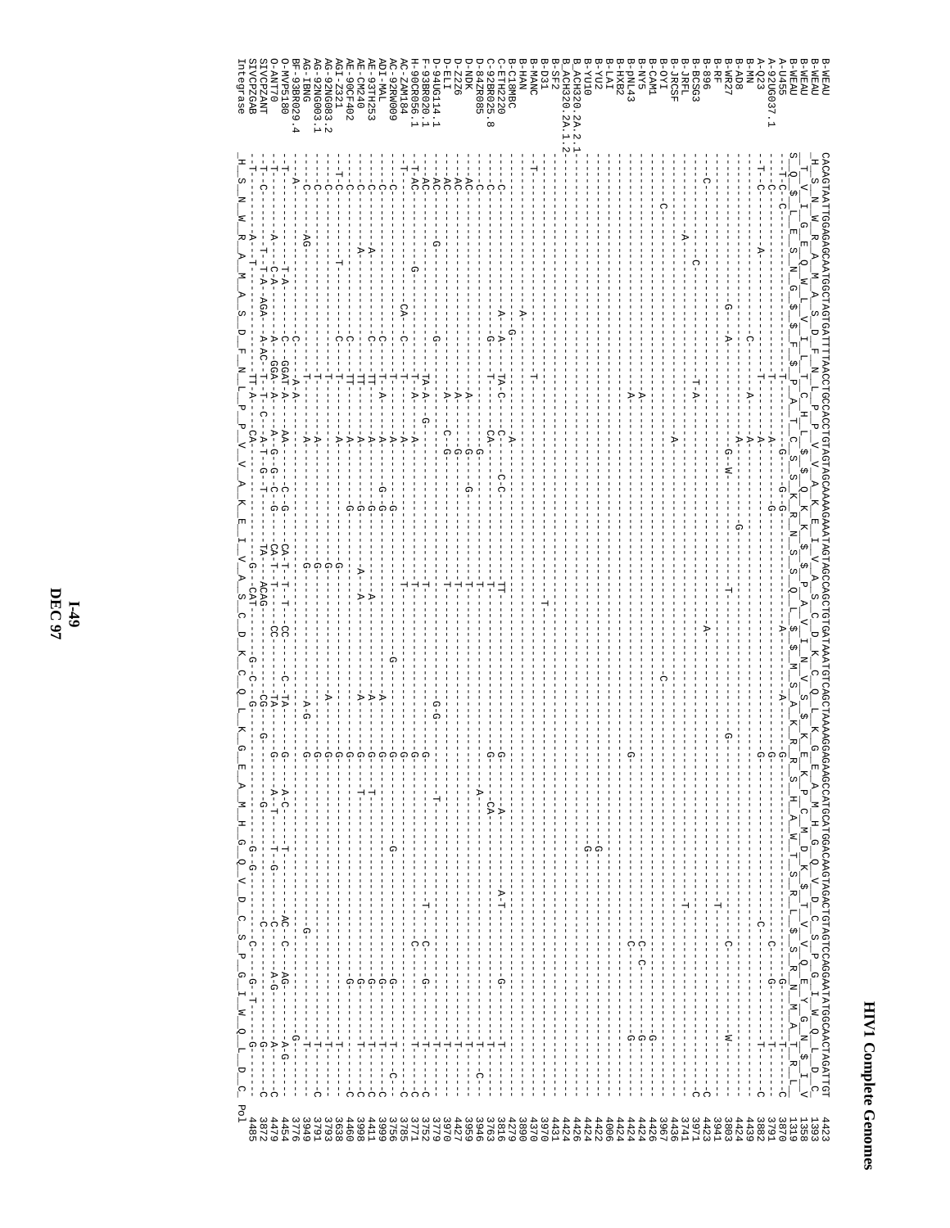| 1-AC<br>トーロ<br>۲<br>ا<br>1-C-<br>I<br>$-AC$<br>$-AC$<br>$-AC$<br>$-AC$<br>Ř<br>∩<br>∩<br>$AG-$<br>$-V -$<br>$\tilde{A}$<br>$T - A - T$<br>$C - A$<br>ローヤ<br>AGA-<br>CA-<br>⊅<br>$A - AC - - T - -$<br>∩<br>G<br>Ω<br>ု<br>∩<br>Ω<br>$-55P -$<br>GAT-A<br>$-\nabla -$<br>$\mathbb{T} A -$<br>۲<br>ا<br>TA-<br>녀<br>t<br>T<br>⊅<br>⊅<br>$\mathbb{A}$<br>부<br>⊅<br>Ω<br>C--<br>AA-<br>CA-<br>ု<br>طّ<br>$A-T-$<br>$A-$<br>ဂှ<br>Ω<br>Ω<br>G.<br>m<br>Ģ<br>ω<br>∩<br>С<br>ဂု<br>н<br>∩<br>ଢ଼<br>ດ<br>Ω<br>Ω<br>⋒<br>ଜ<br>G.<br>G.<br>- CA--ユ--<br>$-5P$<br>TA-<br>ଢ଼<br>Ω<br>Ģ<br>ଢ଼<br>⊅<br>Ļ<br>ار<br>إ<br>ACAG.<br>Ŕ<br>₻<br>⊅<br>Ġ<br>2<br>S<br>ΡA<br>٢<br>ဂု<br>¦<br>ဂု<br> <br>$-1$<br>۹,<br>ï<br>ĩ<br>ł<br>ł<br>Ť.<br>ĵ.<br>j.<br>ì<br>₩<br>$\overline{\phantom{a}}$<br>$\mathbf{I}$<br>J<br>ł<br>ı<br>w<br>$A - C - - -$<br>$-1$<br>$A$ — — —<br>$-6 - -$<br>$A--T--$<br>۲<br>ا<br>$\frac{1}{1}$<br>$\frac{1}{1}$<br>ł<br>$-CA - -$<br>$---+--$<br>I,<br>I<br>$-1 -$<br>I<br>ı<br>けー<br><u>ဂ</u><br>ဂု<br>Ω<br>I<br>J.<br>ဂူ<br>I.<br>နဲ<br>$\frac{1}{1}$<br>C<br>î<br>$\sf I$<br>$---AC---$<br>$-1 -$<br>$\frac{1}{1}$<br>トーー<br>I.<br>I<br>Ļ<br>I<br>I.<br>$- -C - -$<br>$\mathsf I$<br>I<br>I,<br>I.<br>I.<br>⊢<br>$\frac{1}{2}$<br>$\frac{1}{2}$<br>$\frac{1}{1}$<br>ł<br>т<br>1<br>ţ<br>İ<br>$\mathsf I$<br>$\Gamma$<br>I<br>1<br>٠m<br>J<br>$\overline{\phantom{a}}$<br>I<br>$\begin{array}{c} \end{array}$<br>C--<br>ှ<br>I,<br>I.<br>$\frac{1}{1}$<br>$\frac{1}{1}$<br>$\Gamma$<br>$\Gamma$<br>$\frac{1}{1}$<br>م-<br>-<br>c--c--<br>Ω<br>I<br>п<br>$C -$<br>ŗΩ<br>I,<br>$\overline{\phantom{a}}$<br>J.<br>I<br>т.<br>1<br>-1<br>$\mathbf{I}$<br>$\frac{1}{1}$<br>ı<br>л<br>$\mathbf{I}$<br>İ<br>I<br>₩<br>I,<br>L.<br>ţ<br>J.<br>$\mathbf{I}$<br>$\mathbf{I}$<br>$\overline{1}$<br>1<br>I.<br>$A-G$<br>$-AG---$<br>$\mathbb{I}$<br>$\begin{array}{c} \hline \end{array}$<br>$\overline{1}$<br>ဂ္<br>ଋ<br>Ω<br>$- - - - - - -$<br>Ω<br>Ω<br>Ω<br>⋒<br>z<br>I<br>$\blacksquare$<br>J.<br>$\frac{1}{1}$<br>$\mathbf{I}$<br>Ť<br>Ť<br>ŧ<br>I<br>п<br>$\frac{1}{1}$<br>ł<br>Ė<br>п<br>I.<br>Ţ<br>I.<br>$\overline{\phantom{a}}$<br>J.<br>z<br>J.<br>т<br>1<br>I<br>T<br>ţ<br>$-\frac{1}{2}$<br>ъ<br>Ĵ<br>$\frac{1}{1}$<br>$-6 - -$<br>J.<br>$-6 - - -$<br>$\frac{1}{1}$<br>$\frac{1}{1}$<br>$\blacksquare$<br>$\frac{1}{1}$<br>ーーーー<br>$\frac{1}{2}$<br>$\frac{1}{1}$<br>Ļ.<br>Ļ.<br>$-1 - 1 - 1$<br>I<br>T<br>$-1 - 1 - 1$<br>ŧ<br>$\frac{1}{1}$<br>$\frac{1}{2}$<br>$\frac{1}{1}$<br>$-1$<br>님<br>$\Omega$<br>ဂ္ဂ်<br>$\mathbf{I}$<br>I<br>т<br>H<br>$-4-$<br>$A-G--$<br>۲<br>ا<br>È.<br>$\frac{1}{1}$<br>$\frac{1}{1}$<br>$\frac{1}{1}$<br>Ţ<br>f<br>$\begin{array}{c} 1 \\ 1 \\ 1 \end{array}$<br>$\mathbf{I}$<br>$\frac{1}{1}$<br>I.<br>$\overline{1}$<br>L<br>т<br>-1<br>ı<br>$\mathbf{I}$<br>I<br>I.<br>I.<br>I.<br>₩<br>$\mathbf{I}$<br>Ţ<br>Ţ<br>$\frac{1}{1}$<br>$\frac{1}{2}$<br>$\frac{1}{1}$<br>I<br>$\frac{1}{4}$<br>$\frac{1}{1}$<br>I<br>$\overline{1}$<br>$\frac{1}{1}$<br>I<br>I<br>I<br>$\frac{1}{1}$<br>ł<br>I<br>I<br>$\frac{1}{1}$<br>I<br>$\frac{1}{1}$<br>ł<br>Ť.<br>Έ<br>J<br>т<br>-1 | ಾ<br>ω<br>-02<br>円<br>ם.<br>'<br>'n<br>Ξ<br>σ<br>'n<br>Η<br>₫<br>$\prec$<br>ю<br>Þ<br>∢<br>¦ဂ<br>Þ,<br>C--<br>I<br>$\mathbf I$<br>$\mathbf{I}$<br>ΩO<br>Q<br>↷<br>$\blacksquare$<br>$\blacksquare$<br>↷<br>J.<br>↷<br>Ω<br>$\mathbf{I}$<br>↷<br>↷<br>↷<br>↷<br>∩<br>J.<br>↷<br>↷ | $\frac{1}{2}$<br>$\prec$ | Ω<br>m<br>ດ<br>ø<br>ъ<br>z<br>Ξ<br>$\Omega$<br>o,<br>₹<br>U<br>$\circ$<br>.<br>თ<br>יט<br> <br>വ<br>z<br>ļ,<br>Η<br>U<br>Q |
|------------------------------------------------------------------------------------------------------------------------------------------------------------------------------------------------------------------------------------------------------------------------------------------------------------------------------------------------------------------------------------------------------------------------------------------------------------------------------------------------------------------------------------------------------------------------------------------------------------------------------------------------------------------------------------------------------------------------------------------------------------------------------------------------------------------------------------------------------------------------------------------------------------------------------------------------------------------------------------------------------------------------------------------------------------------------------------------------------------------------------------------------------------------------------------------------------------------------------------------------------------------------------------------------------------------------------------------------------------------------------------------------------------------------------------------------------------------------------------------------------------------------------------------------------------------------------------------------------------------------------------------------------------------------------------------------------------------------------------------------------------------------------------------------------------------------------------------------------------------------------------------------------------------------------------------------------------------------------------------------------------------------------------------------------------------------------------------------------------------------------------------------------------------------------------------------------------------------------------------------------------------------------------------------------------------------------------------------------------------------------------------------------------------------------------------------------------------------------------------------------------------------------------------------------------------------------------------------------------------------------------------------------------------------------------------------------------------------------------------------------------------------------------------------------------------------------------------------------------------------------------------------------------------------------------------------------------------------------------------------------------------------------------------------------------------------------------------------------------------------|----------------------------------------------------------------------------------------------------------------------------------------------------------------------------------------------------------------------------------------------------------------------------------|--------------------------|----------------------------------------------------------------------------------------------------------------------------|
|                                                                                                                                                                                                                                                                                                                                                                                                                                                                                                                                                                                                                                                                                                                                                                                                                                                                                                                                                                                                                                                                                                                                                                                                                                                                                                                                                                                                                                                                                                                                                                                                                                                                                                                                                                                                                                                                                                                                                                                                                                                                                                                                                                                                                                                                                                                                                                                                                                                                                                                                                                                                                                                                                                                                                                                                                                                                                                                                                                                                                                                                                                                        |                                                                                                                                                                                                                                                                                  |                          |                                                                                                                            |
|                                                                                                                                                                                                                                                                                                                                                                                                                                                                                                                                                                                                                                                                                                                                                                                                                                                                                                                                                                                                                                                                                                                                                                                                                                                                                                                                                                                                                                                                                                                                                                                                                                                                                                                                                                                                                                                                                                                                                                                                                                                                                                                                                                                                                                                                                                                                                                                                                                                                                                                                                                                                                                                                                                                                                                                                                                                                                                                                                                                                                                                                                                                        |                                                                                                                                                                                                                                                                                  |                          |                                                                                                                            |
|                                                                                                                                                                                                                                                                                                                                                                                                                                                                                                                                                                                                                                                                                                                                                                                                                                                                                                                                                                                                                                                                                                                                                                                                                                                                                                                                                                                                                                                                                                                                                                                                                                                                                                                                                                                                                                                                                                                                                                                                                                                                                                                                                                                                                                                                                                                                                                                                                                                                                                                                                                                                                                                                                                                                                                                                                                                                                                                                                                                                                                                                                                                        |                                                                                                                                                                                                                                                                                  |                          |                                                                                                                            |
|                                                                                                                                                                                                                                                                                                                                                                                                                                                                                                                                                                                                                                                                                                                                                                                                                                                                                                                                                                                                                                                                                                                                                                                                                                                                                                                                                                                                                                                                                                                                                                                                                                                                                                                                                                                                                                                                                                                                                                                                                                                                                                                                                                                                                                                                                                                                                                                                                                                                                                                                                                                                                                                                                                                                                                                                                                                                                                                                                                                                                                                                                                                        |                                                                                                                                                                                                                                                                                  |                          |                                                                                                                            |
|                                                                                                                                                                                                                                                                                                                                                                                                                                                                                                                                                                                                                                                                                                                                                                                                                                                                                                                                                                                                                                                                                                                                                                                                                                                                                                                                                                                                                                                                                                                                                                                                                                                                                                                                                                                                                                                                                                                                                                                                                                                                                                                                                                                                                                                                                                                                                                                                                                                                                                                                                                                                                                                                                                                                                                                                                                                                                                                                                                                                                                                                                                                        |                                                                                                                                                                                                                                                                                  |                          |                                                                                                                            |
|                                                                                                                                                                                                                                                                                                                                                                                                                                                                                                                                                                                                                                                                                                                                                                                                                                                                                                                                                                                                                                                                                                                                                                                                                                                                                                                                                                                                                                                                                                                                                                                                                                                                                                                                                                                                                                                                                                                                                                                                                                                                                                                                                                                                                                                                                                                                                                                                                                                                                                                                                                                                                                                                                                                                                                                                                                                                                                                                                                                                                                                                                                                        |                                                                                                                                                                                                                                                                                  |                          |                                                                                                                            |
|                                                                                                                                                                                                                                                                                                                                                                                                                                                                                                                                                                                                                                                                                                                                                                                                                                                                                                                                                                                                                                                                                                                                                                                                                                                                                                                                                                                                                                                                                                                                                                                                                                                                                                                                                                                                                                                                                                                                                                                                                                                                                                                                                                                                                                                                                                                                                                                                                                                                                                                                                                                                                                                                                                                                                                                                                                                                                                                                                                                                                                                                                                                        |                                                                                                                                                                                                                                                                                  |                          |                                                                                                                            |
|                                                                                                                                                                                                                                                                                                                                                                                                                                                                                                                                                                                                                                                                                                                                                                                                                                                                                                                                                                                                                                                                                                                                                                                                                                                                                                                                                                                                                                                                                                                                                                                                                                                                                                                                                                                                                                                                                                                                                                                                                                                                                                                                                                                                                                                                                                                                                                                                                                                                                                                                                                                                                                                                                                                                                                                                                                                                                                                                                                                                                                                                                                                        |                                                                                                                                                                                                                                                                                  |                          |                                                                                                                            |
|                                                                                                                                                                                                                                                                                                                                                                                                                                                                                                                                                                                                                                                                                                                                                                                                                                                                                                                                                                                                                                                                                                                                                                                                                                                                                                                                                                                                                                                                                                                                                                                                                                                                                                                                                                                                                                                                                                                                                                                                                                                                                                                                                                                                                                                                                                                                                                                                                                                                                                                                                                                                                                                                                                                                                                                                                                                                                                                                                                                                                                                                                                                        |                                                                                                                                                                                                                                                                                  |                          |                                                                                                                            |
|                                                                                                                                                                                                                                                                                                                                                                                                                                                                                                                                                                                                                                                                                                                                                                                                                                                                                                                                                                                                                                                                                                                                                                                                                                                                                                                                                                                                                                                                                                                                                                                                                                                                                                                                                                                                                                                                                                                                                                                                                                                                                                                                                                                                                                                                                                                                                                                                                                                                                                                                                                                                                                                                                                                                                                                                                                                                                                                                                                                                                                                                                                                        |                                                                                                                                                                                                                                                                                  |                          |                                                                                                                            |
|                                                                                                                                                                                                                                                                                                                                                                                                                                                                                                                                                                                                                                                                                                                                                                                                                                                                                                                                                                                                                                                                                                                                                                                                                                                                                                                                                                                                                                                                                                                                                                                                                                                                                                                                                                                                                                                                                                                                                                                                                                                                                                                                                                                                                                                                                                                                                                                                                                                                                                                                                                                                                                                                                                                                                                                                                                                                                                                                                                                                                                                                                                                        |                                                                                                                                                                                                                                                                                  |                          |                                                                                                                            |
|                                                                                                                                                                                                                                                                                                                                                                                                                                                                                                                                                                                                                                                                                                                                                                                                                                                                                                                                                                                                                                                                                                                                                                                                                                                                                                                                                                                                                                                                                                                                                                                                                                                                                                                                                                                                                                                                                                                                                                                                                                                                                                                                                                                                                                                                                                                                                                                                                                                                                                                                                                                                                                                                                                                                                                                                                                                                                                                                                                                                                                                                                                                        |                                                                                                                                                                                                                                                                                  |                          |                                                                                                                            |
|                                                                                                                                                                                                                                                                                                                                                                                                                                                                                                                                                                                                                                                                                                                                                                                                                                                                                                                                                                                                                                                                                                                                                                                                                                                                                                                                                                                                                                                                                                                                                                                                                                                                                                                                                                                                                                                                                                                                                                                                                                                                                                                                                                                                                                                                                                                                                                                                                                                                                                                                                                                                                                                                                                                                                                                                                                                                                                                                                                                                                                                                                                                        |                                                                                                                                                                                                                                                                                  |                          |                                                                                                                            |
|                                                                                                                                                                                                                                                                                                                                                                                                                                                                                                                                                                                                                                                                                                                                                                                                                                                                                                                                                                                                                                                                                                                                                                                                                                                                                                                                                                                                                                                                                                                                                                                                                                                                                                                                                                                                                                                                                                                                                                                                                                                                                                                                                                                                                                                                                                                                                                                                                                                                                                                                                                                                                                                                                                                                                                                                                                                                                                                                                                                                                                                                                                                        |                                                                                                                                                                                                                                                                                  |                          |                                                                                                                            |
|                                                                                                                                                                                                                                                                                                                                                                                                                                                                                                                                                                                                                                                                                                                                                                                                                                                                                                                                                                                                                                                                                                                                                                                                                                                                                                                                                                                                                                                                                                                                                                                                                                                                                                                                                                                                                                                                                                                                                                                                                                                                                                                                                                                                                                                                                                                                                                                                                                                                                                                                                                                                                                                                                                                                                                                                                                                                                                                                                                                                                                                                                                                        |                                                                                                                                                                                                                                                                                  |                          |                                                                                                                            |
|                                                                                                                                                                                                                                                                                                                                                                                                                                                                                                                                                                                                                                                                                                                                                                                                                                                                                                                                                                                                                                                                                                                                                                                                                                                                                                                                                                                                                                                                                                                                                                                                                                                                                                                                                                                                                                                                                                                                                                                                                                                                                                                                                                                                                                                                                                                                                                                                                                                                                                                                                                                                                                                                                                                                                                                                                                                                                                                                                                                                                                                                                                                        |                                                                                                                                                                                                                                                                                  |                          |                                                                                                                            |
|                                                                                                                                                                                                                                                                                                                                                                                                                                                                                                                                                                                                                                                                                                                                                                                                                                                                                                                                                                                                                                                                                                                                                                                                                                                                                                                                                                                                                                                                                                                                                                                                                                                                                                                                                                                                                                                                                                                                                                                                                                                                                                                                                                                                                                                                                                                                                                                                                                                                                                                                                                                                                                                                                                                                                                                                                                                                                                                                                                                                                                                                                                                        |                                                                                                                                                                                                                                                                                  |                          |                                                                                                                            |
|                                                                                                                                                                                                                                                                                                                                                                                                                                                                                                                                                                                                                                                                                                                                                                                                                                                                                                                                                                                                                                                                                                                                                                                                                                                                                                                                                                                                                                                                                                                                                                                                                                                                                                                                                                                                                                                                                                                                                                                                                                                                                                                                                                                                                                                                                                                                                                                                                                                                                                                                                                                                                                                                                                                                                                                                                                                                                                                                                                                                                                                                                                                        |                                                                                                                                                                                                                                                                                  |                          |                                                                                                                            |
|                                                                                                                                                                                                                                                                                                                                                                                                                                                                                                                                                                                                                                                                                                                                                                                                                                                                                                                                                                                                                                                                                                                                                                                                                                                                                                                                                                                                                                                                                                                                                                                                                                                                                                                                                                                                                                                                                                                                                                                                                                                                                                                                                                                                                                                                                                                                                                                                                                                                                                                                                                                                                                                                                                                                                                                                                                                                                                                                                                                                                                                                                                                        |                                                                                                                                                                                                                                                                                  |                          |                                                                                                                            |
|                                                                                                                                                                                                                                                                                                                                                                                                                                                                                                                                                                                                                                                                                                                                                                                                                                                                                                                                                                                                                                                                                                                                                                                                                                                                                                                                                                                                                                                                                                                                                                                                                                                                                                                                                                                                                                                                                                                                                                                                                                                                                                                                                                                                                                                                                                                                                                                                                                                                                                                                                                                                                                                                                                                                                                                                                                                                                                                                                                                                                                                                                                                        |                                                                                                                                                                                                                                                                                  |                          |                                                                                                                            |
|                                                                                                                                                                                                                                                                                                                                                                                                                                                                                                                                                                                                                                                                                                                                                                                                                                                                                                                                                                                                                                                                                                                                                                                                                                                                                                                                                                                                                                                                                                                                                                                                                                                                                                                                                                                                                                                                                                                                                                                                                                                                                                                                                                                                                                                                                                                                                                                                                                                                                                                                                                                                                                                                                                                                                                                                                                                                                                                                                                                                                                                                                                                        |                                                                                                                                                                                                                                                                                  |                          |                                                                                                                            |
|                                                                                                                                                                                                                                                                                                                                                                                                                                                                                                                                                                                                                                                                                                                                                                                                                                                                                                                                                                                                                                                                                                                                                                                                                                                                                                                                                                                                                                                                                                                                                                                                                                                                                                                                                                                                                                                                                                                                                                                                                                                                                                                                                                                                                                                                                                                                                                                                                                                                                                                                                                                                                                                                                                                                                                                                                                                                                                                                                                                                                                                                                                                        |                                                                                                                                                                                                                                                                                  |                          |                                                                                                                            |
|                                                                                                                                                                                                                                                                                                                                                                                                                                                                                                                                                                                                                                                                                                                                                                                                                                                                                                                                                                                                                                                                                                                                                                                                                                                                                                                                                                                                                                                                                                                                                                                                                                                                                                                                                                                                                                                                                                                                                                                                                                                                                                                                                                                                                                                                                                                                                                                                                                                                                                                                                                                                                                                                                                                                                                                                                                                                                                                                                                                                                                                                                                                        |                                                                                                                                                                                                                                                                                  |                          |                                                                                                                            |
|                                                                                                                                                                                                                                                                                                                                                                                                                                                                                                                                                                                                                                                                                                                                                                                                                                                                                                                                                                                                                                                                                                                                                                                                                                                                                                                                                                                                                                                                                                                                                                                                                                                                                                                                                                                                                                                                                                                                                                                                                                                                                                                                                                                                                                                                                                                                                                                                                                                                                                                                                                                                                                                                                                                                                                                                                                                                                                                                                                                                                                                                                                                        |                                                                                                                                                                                                                                                                                  |                          |                                                                                                                            |
|                                                                                                                                                                                                                                                                                                                                                                                                                                                                                                                                                                                                                                                                                                                                                                                                                                                                                                                                                                                                                                                                                                                                                                                                                                                                                                                                                                                                                                                                                                                                                                                                                                                                                                                                                                                                                                                                                                                                                                                                                                                                                                                                                                                                                                                                                                                                                                                                                                                                                                                                                                                                                                                                                                                                                                                                                                                                                                                                                                                                                                                                                                                        |                                                                                                                                                                                                                                                                                  |                          |                                                                                                                            |
|                                                                                                                                                                                                                                                                                                                                                                                                                                                                                                                                                                                                                                                                                                                                                                                                                                                                                                                                                                                                                                                                                                                                                                                                                                                                                                                                                                                                                                                                                                                                                                                                                                                                                                                                                                                                                                                                                                                                                                                                                                                                                                                                                                                                                                                                                                                                                                                                                                                                                                                                                                                                                                                                                                                                                                                                                                                                                                                                                                                                                                                                                                                        |                                                                                                                                                                                                                                                                                  |                          |                                                                                                                            |
|                                                                                                                                                                                                                                                                                                                                                                                                                                                                                                                                                                                                                                                                                                                                                                                                                                                                                                                                                                                                                                                                                                                                                                                                                                                                                                                                                                                                                                                                                                                                                                                                                                                                                                                                                                                                                                                                                                                                                                                                                                                                                                                                                                                                                                                                                                                                                                                                                                                                                                                                                                                                                                                                                                                                                                                                                                                                                                                                                                                                                                                                                                                        |                                                                                                                                                                                                                                                                                  |                          |                                                                                                                            |
|                                                                                                                                                                                                                                                                                                                                                                                                                                                                                                                                                                                                                                                                                                                                                                                                                                                                                                                                                                                                                                                                                                                                                                                                                                                                                                                                                                                                                                                                                                                                                                                                                                                                                                                                                                                                                                                                                                                                                                                                                                                                                                                                                                                                                                                                                                                                                                                                                                                                                                                                                                                                                                                                                                                                                                                                                                                                                                                                                                                                                                                                                                                        |                                                                                                                                                                                                                                                                                  |                          |                                                                                                                            |
|                                                                                                                                                                                                                                                                                                                                                                                                                                                                                                                                                                                                                                                                                                                                                                                                                                                                                                                                                                                                                                                                                                                                                                                                                                                                                                                                                                                                                                                                                                                                                                                                                                                                                                                                                                                                                                                                                                                                                                                                                                                                                                                                                                                                                                                                                                                                                                                                                                                                                                                                                                                                                                                                                                                                                                                                                                                                                                                                                                                                                                                                                                                        |                                                                                                                                                                                                                                                                                  |                          |                                                                                                                            |
|                                                                                                                                                                                                                                                                                                                                                                                                                                                                                                                                                                                                                                                                                                                                                                                                                                                                                                                                                                                                                                                                                                                                                                                                                                                                                                                                                                                                                                                                                                                                                                                                                                                                                                                                                                                                                                                                                                                                                                                                                                                                                                                                                                                                                                                                                                                                                                                                                                                                                                                                                                                                                                                                                                                                                                                                                                                                                                                                                                                                                                                                                                                        |                                                                                                                                                                                                                                                                                  |                          |                                                                                                                            |
|                                                                                                                                                                                                                                                                                                                                                                                                                                                                                                                                                                                                                                                                                                                                                                                                                                                                                                                                                                                                                                                                                                                                                                                                                                                                                                                                                                                                                                                                                                                                                                                                                                                                                                                                                                                                                                                                                                                                                                                                                                                                                                                                                                                                                                                                                                                                                                                                                                                                                                                                                                                                                                                                                                                                                                                                                                                                                                                                                                                                                                                                                                                        |                                                                                                                                                                                                                                                                                  |                          |                                                                                                                            |
|                                                                                                                                                                                                                                                                                                                                                                                                                                                                                                                                                                                                                                                                                                                                                                                                                                                                                                                                                                                                                                                                                                                                                                                                                                                                                                                                                                                                                                                                                                                                                                                                                                                                                                                                                                                                                                                                                                                                                                                                                                                                                                                                                                                                                                                                                                                                                                                                                                                                                                                                                                                                                                                                                                                                                                                                                                                                                                                                                                                                                                                                                                                        |                                                                                                                                                                                                                                                                                  |                          |                                                                                                                            |
|                                                                                                                                                                                                                                                                                                                                                                                                                                                                                                                                                                                                                                                                                                                                                                                                                                                                                                                                                                                                                                                                                                                                                                                                                                                                                                                                                                                                                                                                                                                                                                                                                                                                                                                                                                                                                                                                                                                                                                                                                                                                                                                                                                                                                                                                                                                                                                                                                                                                                                                                                                                                                                                                                                                                                                                                                                                                                                                                                                                                                                                                                                                        |                                                                                                                                                                                                                                                                                  |                          |                                                                                                                            |
|                                                                                                                                                                                                                                                                                                                                                                                                                                                                                                                                                                                                                                                                                                                                                                                                                                                                                                                                                                                                                                                                                                                                                                                                                                                                                                                                                                                                                                                                                                                                                                                                                                                                                                                                                                                                                                                                                                                                                                                                                                                                                                                                                                                                                                                                                                                                                                                                                                                                                                                                                                                                                                                                                                                                                                                                                                                                                                                                                                                                                                                                                                                        |                                                                                                                                                                                                                                                                                  |                          |                                                                                                                            |
|                                                                                                                                                                                                                                                                                                                                                                                                                                                                                                                                                                                                                                                                                                                                                                                                                                                                                                                                                                                                                                                                                                                                                                                                                                                                                                                                                                                                                                                                                                                                                                                                                                                                                                                                                                                                                                                                                                                                                                                                                                                                                                                                                                                                                                                                                                                                                                                                                                                                                                                                                                                                                                                                                                                                                                                                                                                                                                                                                                                                                                                                                                                        |                                                                                                                                                                                                                                                                                  |                          |                                                                                                                            |
|                                                                                                                                                                                                                                                                                                                                                                                                                                                                                                                                                                                                                                                                                                                                                                                                                                                                                                                                                                                                                                                                                                                                                                                                                                                                                                                                                                                                                                                                                                                                                                                                                                                                                                                                                                                                                                                                                                                                                                                                                                                                                                                                                                                                                                                                                                                                                                                                                                                                                                                                                                                                                                                                                                                                                                                                                                                                                                                                                                                                                                                                                                                        |                                                                                                                                                                                                                                                                                  |                          |                                                                                                                            |
|                                                                                                                                                                                                                                                                                                                                                                                                                                                                                                                                                                                                                                                                                                                                                                                                                                                                                                                                                                                                                                                                                                                                                                                                                                                                                                                                                                                                                                                                                                                                                                                                                                                                                                                                                                                                                                                                                                                                                                                                                                                                                                                                                                                                                                                                                                                                                                                                                                                                                                                                                                                                                                                                                                                                                                                                                                                                                                                                                                                                                                                                                                                        |                                                                                                                                                                                                                                                                                  |                          |                                                                                                                            |
|                                                                                                                                                                                                                                                                                                                                                                                                                                                                                                                                                                                                                                                                                                                                                                                                                                                                                                                                                                                                                                                                                                                                                                                                                                                                                                                                                                                                                                                                                                                                                                                                                                                                                                                                                                                                                                                                                                                                                                                                                                                                                                                                                                                                                                                                                                                                                                                                                                                                                                                                                                                                                                                                                                                                                                                                                                                                                                                                                                                                                                                                                                                        |                                                                                                                                                                                                                                                                                  |                          |                                                                                                                            |
|                                                                                                                                                                                                                                                                                                                                                                                                                                                                                                                                                                                                                                                                                                                                                                                                                                                                                                                                                                                                                                                                                                                                                                                                                                                                                                                                                                                                                                                                                                                                                                                                                                                                                                                                                                                                                                                                                                                                                                                                                                                                                                                                                                                                                                                                                                                                                                                                                                                                                                                                                                                                                                                                                                                                                                                                                                                                                                                                                                                                                                                                                                                        |                                                                                                                                                                                                                                                                                  |                          |                                                                                                                            |
|                                                                                                                                                                                                                                                                                                                                                                                                                                                                                                                                                                                                                                                                                                                                                                                                                                                                                                                                                                                                                                                                                                                                                                                                                                                                                                                                                                                                                                                                                                                                                                                                                                                                                                                                                                                                                                                                                                                                                                                                                                                                                                                                                                                                                                                                                                                                                                                                                                                                                                                                                                                                                                                                                                                                                                                                                                                                                                                                                                                                                                                                                                                        |                                                                                                                                                                                                                                                                                  |                          |                                                                                                                            |
|                                                                                                                                                                                                                                                                                                                                                                                                                                                                                                                                                                                                                                                                                                                                                                                                                                                                                                                                                                                                                                                                                                                                                                                                                                                                                                                                                                                                                                                                                                                                                                                                                                                                                                                                                                                                                                                                                                                                                                                                                                                                                                                                                                                                                                                                                                                                                                                                                                                                                                                                                                                                                                                                                                                                                                                                                                                                                                                                                                                                                                                                                                                        |                                                                                                                                                                                                                                                                                  |                          |                                                                                                                            |
|                                                                                                                                                                                                                                                                                                                                                                                                                                                                                                                                                                                                                                                                                                                                                                                                                                                                                                                                                                                                                                                                                                                                                                                                                                                                                                                                                                                                                                                                                                                                                                                                                                                                                                                                                                                                                                                                                                                                                                                                                                                                                                                                                                                                                                                                                                                                                                                                                                                                                                                                                                                                                                                                                                                                                                                                                                                                                                                                                                                                                                                                                                                        |                                                                                                                                                                                                                                                                                  |                          |                                                                                                                            |
|                                                                                                                                                                                                                                                                                                                                                                                                                                                                                                                                                                                                                                                                                                                                                                                                                                                                                                                                                                                                                                                                                                                                                                                                                                                                                                                                                                                                                                                                                                                                                                                                                                                                                                                                                                                                                                                                                                                                                                                                                                                                                                                                                                                                                                                                                                                                                                                                                                                                                                                                                                                                                                                                                                                                                                                                                                                                                                                                                                                                                                                                                                                        |                                                                                                                                                                                                                                                                                  |                          |                                                                                                                            |
|                                                                                                                                                                                                                                                                                                                                                                                                                                                                                                                                                                                                                                                                                                                                                                                                                                                                                                                                                                                                                                                                                                                                                                                                                                                                                                                                                                                                                                                                                                                                                                                                                                                                                                                                                                                                                                                                                                                                                                                                                                                                                                                                                                                                                                                                                                                                                                                                                                                                                                                                                                                                                                                                                                                                                                                                                                                                                                                                                                                                                                                                                                                        |                                                                                                                                                                                                                                                                                  |                          |                                                                                                                            |
|                                                                                                                                                                                                                                                                                                                                                                                                                                                                                                                                                                                                                                                                                                                                                                                                                                                                                                                                                                                                                                                                                                                                                                                                                                                                                                                                                                                                                                                                                                                                                                                                                                                                                                                                                                                                                                                                                                                                                                                                                                                                                                                                                                                                                                                                                                                                                                                                                                                                                                                                                                                                                                                                                                                                                                                                                                                                                                                                                                                                                                                                                                                        |                                                                                                                                                                                                                                                                                  |                          |                                                                                                                            |
|                                                                                                                                                                                                                                                                                                                                                                                                                                                                                                                                                                                                                                                                                                                                                                                                                                                                                                                                                                                                                                                                                                                                                                                                                                                                                                                                                                                                                                                                                                                                                                                                                                                                                                                                                                                                                                                                                                                                                                                                                                                                                                                                                                                                                                                                                                                                                                                                                                                                                                                                                                                                                                                                                                                                                                                                                                                                                                                                                                                                                                                                                                                        |                                                                                                                                                                                                                                                                                  |                          |                                                                                                                            |
|                                                                                                                                                                                                                                                                                                                                                                                                                                                                                                                                                                                                                                                                                                                                                                                                                                                                                                                                                                                                                                                                                                                                                                                                                                                                                                                                                                                                                                                                                                                                                                                                                                                                                                                                                                                                                                                                                                                                                                                                                                                                                                                                                                                                                                                                                                                                                                                                                                                                                                                                                                                                                                                                                                                                                                                                                                                                                                                                                                                                                                                                                                                        |                                                                                                                                                                                                                                                                                  |                          |                                                                                                                            |
|                                                                                                                                                                                                                                                                                                                                                                                                                                                                                                                                                                                                                                                                                                                                                                                                                                                                                                                                                                                                                                                                                                                                                                                                                                                                                                                                                                                                                                                                                                                                                                                                                                                                                                                                                                                                                                                                                                                                                                                                                                                                                                                                                                                                                                                                                                                                                                                                                                                                                                                                                                                                                                                                                                                                                                                                                                                                                                                                                                                                                                                                                                                        |                                                                                                                                                                                                                                                                                  |                          |                                                                                                                            |
|                                                                                                                                                                                                                                                                                                                                                                                                                                                                                                                                                                                                                                                                                                                                                                                                                                                                                                                                                                                                                                                                                                                                                                                                                                                                                                                                                                                                                                                                                                                                                                                                                                                                                                                                                                                                                                                                                                                                                                                                                                                                                                                                                                                                                                                                                                                                                                                                                                                                                                                                                                                                                                                                                                                                                                                                                                                                                                                                                                                                                                                                                                                        |                                                                                                                                                                                                                                                                                  |                          |                                                                                                                            |
|                                                                                                                                                                                                                                                                                                                                                                                                                                                                                                                                                                                                                                                                                                                                                                                                                                                                                                                                                                                                                                                                                                                                                                                                                                                                                                                                                                                                                                                                                                                                                                                                                                                                                                                                                                                                                                                                                                                                                                                                                                                                                                                                                                                                                                                                                                                                                                                                                                                                                                                                                                                                                                                                                                                                                                                                                                                                                                                                                                                                                                                                                                                        |                                                                                                                                                                                                                                                                                  |                          |                                                                                                                            |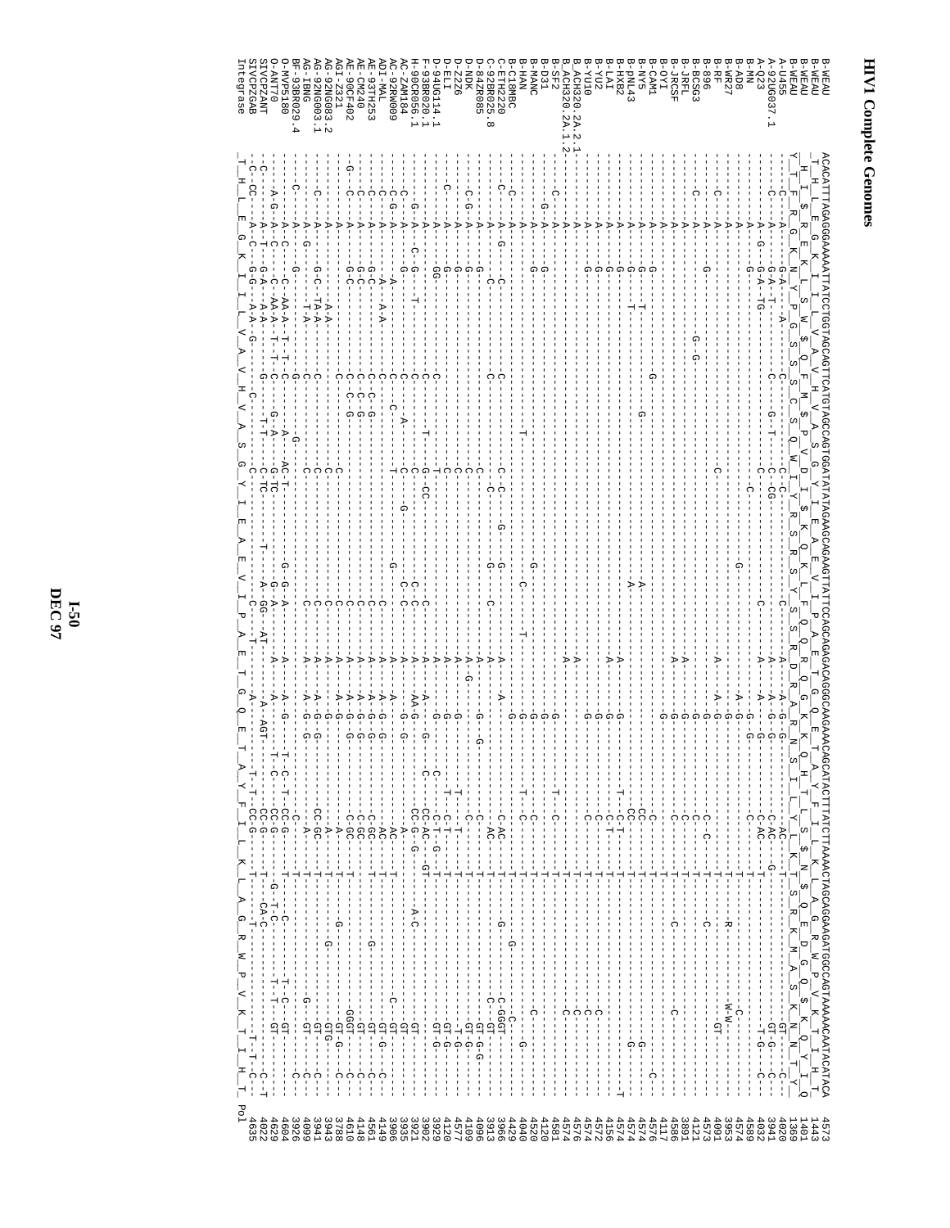| AA-<br>ដ<br>ГA-A<br>∩<br>∩<br>ဂ္ဂ်<br>G.<br>৳<br>÷<br>T<br>$AC-T-$<br>--<br>-- 10<br>∩<br>Ω<br>∩<br>∩<br>c--cg.<br>O<br>--25-<br>q:<br>Ω<br>Ω<br>⋒<br>⋒<br>$- - - - - - - -$<br>۲<br> <br>$\frac{1}{2}$<br>I<br>$C -$<br>$C -$<br>$\mathbf{I}$<br>$\frac{1}{1}$<br>$-1$<br>I.<br>$\mathbf I$<br>$-1$ - $-1$ - $-1$<br>J<br>$-1 - 1 -$<br>ı<br>I<br>I<br>L<br>I<br>$\begin{array}{c} \n 1 \\  1 \\  1\n \end{array}$<br>I<br>J<br>$---CC---$<br>$\begin{bmatrix} 1 \\ 1 \\ 1 \end{bmatrix}$<br><b>B--CC-G</b><br>$-1 - 1 - 1 = -1$<br>$\frac{1}{1}$<br>$\frac{1}{1}$<br>1<br>--CC-AC--<br>$-1 - 2 - 1$<br>$-1 - 1 - 1$<br>$-cc-$<br>$-5 - 3$<br>$-CC - G - -G - -$<br>$\frac{1}{1}$<br>$-$ -C $-$<br>$-90 - 90 - 00$<br>$\begin{array}{c} \end{array}$<br>$\overline{1}$<br>$\frac{1}{2}$<br>$\overline{1}$<br>Ţ<br>J<br>J.<br>$C - GC - -$<br>J<br>ţ<br>c-ac--<br>$C - GC - -$<br>J.<br>$C - T - -$<br>$\frac{1}{1}$<br>$C -$<br>$C - A C - - - - - T$<br>$C -$<br>$C -$<br>C-T--<br>$C -$<br>ローローーーーーローー<br>ローーーーーーーー ローー<br>$C - AC - -$<br>ļ.<br>J<br>1<br>י<br>י<br>--AC---<br>$-BC-$<br>$\mathbf I$<br>$\overline{\phantom{a}}$<br>$A$ --<br>$A -$<br>$A$ – –<br>$AC---T$<br>$A - -$<br>$AC--$<br>$\mathsf I$<br>$\mathbf{I}$<br>$\frac{1}{1}$<br>$\begin{array}{c} \end{array}$<br>ļ<br>$\frac{1}{1}$<br>$\frac{1}{1}$<br>ţ<br>ł<br>$\overline{\phantom{a}}$<br>$\frac{1}{1}$<br>Í<br>$\frac{1}{4}$<br>$\mathbf{I}$<br>$\frac{1}{1}$<br>$\frac{1}{1}$<br>$\overline{1}$<br>I<br>i<br>$\mathbf{I}$<br>ı<br>$\overline{\phantom{a}}$<br>I<br>$\overline{\phantom{a}}$<br>I<br>$\overline{\phantom{a}}$<br>------<br>$L----$<br>$-1$ $-1$ $-1$ $-1$ $-1$<br>------<br>------<br>$-1$ $-1$ $-1$ $-1$ $-1$<br>$\begin{bmatrix} 1 \\ 1 \\ 1 \end{bmatrix}$<br>$-1 - 1 - 1 - 1 - 1$<br>$\frac{1}{1}$<br>$\frac{1}{4}$<br>$\frac{1}{1}$<br>$-1 - 5 - -$<br>$\frac{1}{1}$<br>$-1 - 1 - 1 - 1$<br>$-1$ $-1$ $-1$ $-1$<br>J.<br>$\mathbf{I}$<br>J.<br>J.<br>$\frac{1}{1}$<br>$\frac{1}{1}$<br>I.<br>J.<br>$\frac{1}{2}$<br>I.<br>ţ<br>J<br>i<br>4<br>$-1 - 1 -$<br>$-\frac{1}{2}$<br>$\mathbf{I}$<br>I.<br>$\frac{1}{2}$<br>$-1 -$<br>$\frac{1}{1}$<br>$\frac{1}{1}$<br>$\frac{1}{1}$<br>$\frac{1}{1}$<br>$\frac{1}{2}$<br>$\frac{1}{1}$<br>$\frac{1}{1}$<br>۲<br>ا<br>$\frac{1}{1}$<br>f<br>Ŧ<br>f<br>f<br>$\frac{1}{1}$<br>f<br>f<br>Ŧ<br>Ŧ<br>f<br>$\frac{1}{1}$<br>f<br>f<br>L.<br>ţ<br>ł<br>Ω<br>Ŧ<br>Ţ<br>$\overline{\phantom{a}}$<br>I<br>$\begin{array}{c} \rule{0pt}{2.5ex} \rule{0pt}{2.5ex} \rule{0pt}{2.5ex} \rule{0pt}{2.5ex} \rule{0pt}{2.5ex} \rule{0pt}{2.5ex} \rule{0pt}{2.5ex} \rule{0pt}{2.5ex} \rule{0pt}{2.5ex} \rule{0pt}{2.5ex} \rule{0pt}{2.5ex} \rule{0pt}{2.5ex} \rule{0pt}{2.5ex} \rule{0pt}{2.5ex} \rule{0pt}{2.5ex} \rule{0pt}{2.5ex} \rule{0pt}{2.5ex} \rule{0pt}{2.5ex} \rule{0pt}{2.5ex} \rule{0$<br>$\mathbf I$<br>$\begin{array}{c} \end{array}$<br>I<br>Ţ<br>I,<br>$\begin{array}{c} 1 \\ 1 \\ 1 \\ 1 \end{array}$<br>$\begin{array}{c} \hline \end{array}$<br>I<br>I<br>I<br>I<br>$\frac{1}{1}$<br>$\overline{1}$<br>$\frac{1}{1}$<br>$\overline{\phantom{a}}$<br>J.<br>J<br>П<br>п<br>$\mathbf{I}$<br>п<br>п<br>$-5 - 7$<br>$-{\bf A}-{\bf C}=-$<br>$\frac{1}{2}$<br>$\frac{1}{1}$<br>I,<br>$\frac{1}{1}$<br>I<br>$\mathbf{I}$<br>J<br>J<br>п<br>т<br>$\blacksquare$<br>$\overline{1}$<br>I.<br>C<br>$\begin{array}{c} 1 \\ 1 \\ 1 \end{array}$<br>$-1 - 1 - 1 - 1$<br>$\frac{1}{1}$<br>$\begin{array}{c} 1 \\ 1 \\ 1 \end{array}$<br>$-1 - 1$<br>$\frac{1}{2}$<br>$\overline{\phantom{a}}$<br>I<br>ł<br>$\mathbf{I}$<br>J,<br>$\mathbf{I}$<br>$-6 - -$<br>$\mathbf{I}$<br>$-6 - -$<br>1<br>Ţ<br>$\frac{1}{1}$<br>I<br>$\frac{1}{2}$<br>J.<br>I.<br>л<br>J.<br>$\mathbf{I}$<br>$\blacksquare$<br>I<br>п<br>$-1$ - $-1$ - $-1$ - $-1$ - $-1$ - $-1$<br>$\mathsf I$<br>$-L--C$<br>$\mathsf I$<br>I<br>コーコ<br>$\begin{array}{c} \end{array}$<br>$\mathsf I$<br>$\begin{array}{c} 1 \\ 1 \\ 1 \end{array}$<br>$- - - - - - -$<br>$-1 - 1 - 0 - 1 - 0 - 1$<br>$-1 - 1 - 0 - 1 - 0 - 1 - 1$<br>$- - - - - - - - - - -$<br>$-1$ $-1$ $-1$ $-1$ $-1$ $-1$<br>$-1 - 2 - 1$<br>J.<br>$-1$ $-1$ $-1$ $-1$ $-1$ $-1$ $-1$<br>İ<br>$\frac{1}{1}$<br>$- -C - -$<br>f<br>$\frac{1}{1}$<br>$\frac{1}{1}$<br>$\begin{array}{c} 1 \\ 1 \\ 1 \end{array}$<br>$\begin{array}{c} 1 \\ 1 \\ 1 \end{array}$<br>J<br>J.<br>$\overline{\phantom{a}}$<br>$- - - - - - - - - - - - -$<br>$-0.002 - -$<br>J.<br>I<br>I.<br>$-1 - C - 1$<br>ţ<br>$M - N - - - - -$<br>$\frac{1}{1}$<br>п<br>Í<br>J.<br>J.<br>$\frac{1}{1}$<br>ŧ<br>$\mathbf{I}$<br>$\frac{1}{1}$<br>$-1 - 01 - 1$<br>$\frac{1}{2}$<br>$C = -1$<br>$-1 - 12 - 1$<br>т<br>1<br>$\frac{1}{1}$<br>1<br>т<br>$\mathsf I$<br>$\mathbb{I}$<br>$-9 - 5 - -$<br>$\overline{1}$<br>$-1.5 -$<br>$-9 - 0 - 0 - 0 - 0 -$<br>$\overline{\phantom{a}}$<br>$\begin{array}{c} \hline \end{array}$<br>I<br>$\frac{1}{2}$<br>$\frac{1}{2}$<br>$-1 - 9 - 15$<br>$\frac{1}{2}$<br>$\begin{array}{c} \end{array}$<br>$\frac{1}{2}$<br>$GTC -$<br>$GL-----$<br>I<br>$-5 - 5$<br>$-L-G--$<br>$-1 - 0 - 10$<br>$\frac{1}{1}$<br>I<br>Ţ<br>I<br>$\frac{1}{1}$<br>$\frac{1}{1}$<br>$\frac{1}{1}$<br>$\overline{1}$<br>$\mathbf{I}$<br>J.<br>$\overline{\phantom{a}}$<br>$\frac{1}{1}$<br>I<br>J.<br>Ţ<br>î<br>$\mathbf{I}$<br>J<br>Ω<br>$\frac{1}{1}$<br>ł<br>$\mathbf{I}$<br>$\mathbf{I}$<br>$\overline{\phantom{a}}$<br>$\mathbf{I}$<br>л<br>I.<br>$\mathbf{I}$<br>I.<br>$\overline{1}$<br>L<br>Ť<br>ł<br>$\frac{1}{1}$<br>I<br>$\mathbf{I}$<br>ł<br>$\begin{array}{c} \hline \end{array}$<br>Ţ<br>$\overline{1}$<br>I<br>$\mathbf{I}$<br>J.<br>$\mathbf{I}$<br>$\mathbf{I}$<br>I<br>л<br>$\blacksquare$<br>1<br>$\mathsf I$<br>$\mathsf I$<br>j<br>İ<br>I.<br>$\mathbf{I}$<br>$\mathbf I$<br>$\mathbf I$<br>$\mathbf I$<br>I<br>$\overline{1}$<br>Г<br>I.<br>I<br>J |             |
|----------------------------------------------------------------------------------------------------------------------------------------------------------------------------------------------------------------------------------------------------------------------------------------------------------------------------------------------------------------------------------------------------------------------------------------------------------------------------------------------------------------------------------------------------------------------------------------------------------------------------------------------------------------------------------------------------------------------------------------------------------------------------------------------------------------------------------------------------------------------------------------------------------------------------------------------------------------------------------------------------------------------------------------------------------------------------------------------------------------------------------------------------------------------------------------------------------------------------------------------------------------------------------------------------------------------------------------------------------------------------------------------------------------------------------------------------------------------------------------------------------------------------------------------------------------------------------------------------------------------------------------------------------------------------------------------------------------------------------------------------------------------------------------------------------------------------------------------------------------------------------------------------------------------------------------------------------------------------------------------------------------------------------------------------------------------------------------------------------------------------------------------------------------------------------------------------------------------------------------------------------------------------------------------------------------------------------------------------------------------------------------------------------------------------------------------------------------------------------------------------------------------------------------------------------------------------------------------------------------------------------------------------------------------------------------------------------------------------------------------------------------------------------------------------------------------------------------------------------------------------------------------------------------------------------------------------------------------------------------------------------------------------------------------------------------------------------------------------------------------------------------------------------------------------------------------------------------------------------------------------------------------------------------------------------------------------------------------------------------------------------------------------------------------------------------------------------------------------------------------------------------------------------------------------------------------------------------------------------------------------------------------------------------------------------------------------------------------------------------------------------------------------------------------------------------------------------------------------------------------------------------------------------------------------------------------------------------------------------------------------------------------------------------------------------------------------------------------------------------------------------------------------------------------------------------------------------------------------------------------------------------------------------------------------------------------------------------------------------------------------------------------------------------------------------------------------------------------------------------------------------------------------------------------------------------------------------------------------------------------------------------------------------------------------------------------------------------------------------------------------------------------------------------------------------------------------------------------------------------------------------------------------------------------------------------------------------------------------------------------------------------------------------------------------------------------------------------------------------------------------------------------------------------------------------------------------------------------------------------------------------------------------------------------------------------------------------------------------------------------------------------------------------------------------------------------------------------------------------------------------------------------------------------------------------------------------------------------------------------------------------------------------------------------------------------------------------------------------------------------------------------------------------------------------------------|-------------|
|                                                                                                                                                                                                                                                                                                                                                                                                                                                                                                                                                                                                                                                                                                                                                                                                                                                                                                                                                                                                                                                                                                                                                                                                                                                                                                                                                                                                                                                                                                                                                                                                                                                                                                                                                                                                                                                                                                                                                                                                                                                                                                                                                                                                                                                                                                                                                                                                                                                                                                                                                                                                                                                                                                                                                                                                                                                                                                                                                                                                                                                                                                                                                                                                                                                                                                                                                                                                                                                                                                                                                                                                                                                                                                                                                                                                                                                                                                                                                                                                                                                                                                                                                                                                                                                                                                                                                                                                                                                                                                                                                                                                                                                                                                                                                                                                                                                                                                                                                                                                                                                                                                                                                                                                                                                                                                                                                                                                                                                                                                                                                                                                                                                                                                                                                                                                                |             |
|                                                                                                                                                                                                                                                                                                                                                                                                                                                                                                                                                                                                                                                                                                                                                                                                                                                                                                                                                                                                                                                                                                                                                                                                                                                                                                                                                                                                                                                                                                                                                                                                                                                                                                                                                                                                                                                                                                                                                                                                                                                                                                                                                                                                                                                                                                                                                                                                                                                                                                                                                                                                                                                                                                                                                                                                                                                                                                                                                                                                                                                                                                                                                                                                                                                                                                                                                                                                                                                                                                                                                                                                                                                                                                                                                                                                                                                                                                                                                                                                                                                                                                                                                                                                                                                                                                                                                                                                                                                                                                                                                                                                                                                                                                                                                                                                                                                                                                                                                                                                                                                                                                                                                                                                                                                                                                                                                                                                                                                                                                                                                                                                                                                                                                                                                                                                                |             |
|                                                                                                                                                                                                                                                                                                                                                                                                                                                                                                                                                                                                                                                                                                                                                                                                                                                                                                                                                                                                                                                                                                                                                                                                                                                                                                                                                                                                                                                                                                                                                                                                                                                                                                                                                                                                                                                                                                                                                                                                                                                                                                                                                                                                                                                                                                                                                                                                                                                                                                                                                                                                                                                                                                                                                                                                                                                                                                                                                                                                                                                                                                                                                                                                                                                                                                                                                                                                                                                                                                                                                                                                                                                                                                                                                                                                                                                                                                                                                                                                                                                                                                                                                                                                                                                                                                                                                                                                                                                                                                                                                                                                                                                                                                                                                                                                                                                                                                                                                                                                                                                                                                                                                                                                                                                                                                                                                                                                                                                                                                                                                                                                                                                                                                                                                                                                                |             |
|                                                                                                                                                                                                                                                                                                                                                                                                                                                                                                                                                                                                                                                                                                                                                                                                                                                                                                                                                                                                                                                                                                                                                                                                                                                                                                                                                                                                                                                                                                                                                                                                                                                                                                                                                                                                                                                                                                                                                                                                                                                                                                                                                                                                                                                                                                                                                                                                                                                                                                                                                                                                                                                                                                                                                                                                                                                                                                                                                                                                                                                                                                                                                                                                                                                                                                                                                                                                                                                                                                                                                                                                                                                                                                                                                                                                                                                                                                                                                                                                                                                                                                                                                                                                                                                                                                                                                                                                                                                                                                                                                                                                                                                                                                                                                                                                                                                                                                                                                                                                                                                                                                                                                                                                                                                                                                                                                                                                                                                                                                                                                                                                                                                                                                                                                                                                                |             |
|                                                                                                                                                                                                                                                                                                                                                                                                                                                                                                                                                                                                                                                                                                                                                                                                                                                                                                                                                                                                                                                                                                                                                                                                                                                                                                                                                                                                                                                                                                                                                                                                                                                                                                                                                                                                                                                                                                                                                                                                                                                                                                                                                                                                                                                                                                                                                                                                                                                                                                                                                                                                                                                                                                                                                                                                                                                                                                                                                                                                                                                                                                                                                                                                                                                                                                                                                                                                                                                                                                                                                                                                                                                                                                                                                                                                                                                                                                                                                                                                                                                                                                                                                                                                                                                                                                                                                                                                                                                                                                                                                                                                                                                                                                                                                                                                                                                                                                                                                                                                                                                                                                                                                                                                                                                                                                                                                                                                                                                                                                                                                                                                                                                                                                                                                                                                                |             |
|                                                                                                                                                                                                                                                                                                                                                                                                                                                                                                                                                                                                                                                                                                                                                                                                                                                                                                                                                                                                                                                                                                                                                                                                                                                                                                                                                                                                                                                                                                                                                                                                                                                                                                                                                                                                                                                                                                                                                                                                                                                                                                                                                                                                                                                                                                                                                                                                                                                                                                                                                                                                                                                                                                                                                                                                                                                                                                                                                                                                                                                                                                                                                                                                                                                                                                                                                                                                                                                                                                                                                                                                                                                                                                                                                                                                                                                                                                                                                                                                                                                                                                                                                                                                                                                                                                                                                                                                                                                                                                                                                                                                                                                                                                                                                                                                                                                                                                                                                                                                                                                                                                                                                                                                                                                                                                                                                                                                                                                                                                                                                                                                                                                                                                                                                                                                                |             |
|                                                                                                                                                                                                                                                                                                                                                                                                                                                                                                                                                                                                                                                                                                                                                                                                                                                                                                                                                                                                                                                                                                                                                                                                                                                                                                                                                                                                                                                                                                                                                                                                                                                                                                                                                                                                                                                                                                                                                                                                                                                                                                                                                                                                                                                                                                                                                                                                                                                                                                                                                                                                                                                                                                                                                                                                                                                                                                                                                                                                                                                                                                                                                                                                                                                                                                                                                                                                                                                                                                                                                                                                                                                                                                                                                                                                                                                                                                                                                                                                                                                                                                                                                                                                                                                                                                                                                                                                                                                                                                                                                                                                                                                                                                                                                                                                                                                                                                                                                                                                                                                                                                                                                                                                                                                                                                                                                                                                                                                                                                                                                                                                                                                                                                                                                                                                                |             |
|                                                                                                                                                                                                                                                                                                                                                                                                                                                                                                                                                                                                                                                                                                                                                                                                                                                                                                                                                                                                                                                                                                                                                                                                                                                                                                                                                                                                                                                                                                                                                                                                                                                                                                                                                                                                                                                                                                                                                                                                                                                                                                                                                                                                                                                                                                                                                                                                                                                                                                                                                                                                                                                                                                                                                                                                                                                                                                                                                                                                                                                                                                                                                                                                                                                                                                                                                                                                                                                                                                                                                                                                                                                                                                                                                                                                                                                                                                                                                                                                                                                                                                                                                                                                                                                                                                                                                                                                                                                                                                                                                                                                                                                                                                                                                                                                                                                                                                                                                                                                                                                                                                                                                                                                                                                                                                                                                                                                                                                                                                                                                                                                                                                                                                                                                                                                                |             |
|                                                                                                                                                                                                                                                                                                                                                                                                                                                                                                                                                                                                                                                                                                                                                                                                                                                                                                                                                                                                                                                                                                                                                                                                                                                                                                                                                                                                                                                                                                                                                                                                                                                                                                                                                                                                                                                                                                                                                                                                                                                                                                                                                                                                                                                                                                                                                                                                                                                                                                                                                                                                                                                                                                                                                                                                                                                                                                                                                                                                                                                                                                                                                                                                                                                                                                                                                                                                                                                                                                                                                                                                                                                                                                                                                                                                                                                                                                                                                                                                                                                                                                                                                                                                                                                                                                                                                                                                                                                                                                                                                                                                                                                                                                                                                                                                                                                                                                                                                                                                                                                                                                                                                                                                                                                                                                                                                                                                                                                                                                                                                                                                                                                                                                                                                                                                                |             |
|                                                                                                                                                                                                                                                                                                                                                                                                                                                                                                                                                                                                                                                                                                                                                                                                                                                                                                                                                                                                                                                                                                                                                                                                                                                                                                                                                                                                                                                                                                                                                                                                                                                                                                                                                                                                                                                                                                                                                                                                                                                                                                                                                                                                                                                                                                                                                                                                                                                                                                                                                                                                                                                                                                                                                                                                                                                                                                                                                                                                                                                                                                                                                                                                                                                                                                                                                                                                                                                                                                                                                                                                                                                                                                                                                                                                                                                                                                                                                                                                                                                                                                                                                                                                                                                                                                                                                                                                                                                                                                                                                                                                                                                                                                                                                                                                                                                                                                                                                                                                                                                                                                                                                                                                                                                                                                                                                                                                                                                                                                                                                                                                                                                                                                                                                                                                                |             |
|                                                                                                                                                                                                                                                                                                                                                                                                                                                                                                                                                                                                                                                                                                                                                                                                                                                                                                                                                                                                                                                                                                                                                                                                                                                                                                                                                                                                                                                                                                                                                                                                                                                                                                                                                                                                                                                                                                                                                                                                                                                                                                                                                                                                                                                                                                                                                                                                                                                                                                                                                                                                                                                                                                                                                                                                                                                                                                                                                                                                                                                                                                                                                                                                                                                                                                                                                                                                                                                                                                                                                                                                                                                                                                                                                                                                                                                                                                                                                                                                                                                                                                                                                                                                                                                                                                                                                                                                                                                                                                                                                                                                                                                                                                                                                                                                                                                                                                                                                                                                                                                                                                                                                                                                                                                                                                                                                                                                                                                                                                                                                                                                                                                                                                                                                                                                                | ⊅           |
|                                                                                                                                                                                                                                                                                                                                                                                                                                                                                                                                                                                                                                                                                                                                                                                                                                                                                                                                                                                                                                                                                                                                                                                                                                                                                                                                                                                                                                                                                                                                                                                                                                                                                                                                                                                                                                                                                                                                                                                                                                                                                                                                                                                                                                                                                                                                                                                                                                                                                                                                                                                                                                                                                                                                                                                                                                                                                                                                                                                                                                                                                                                                                                                                                                                                                                                                                                                                                                                                                                                                                                                                                                                                                                                                                                                                                                                                                                                                                                                                                                                                                                                                                                                                                                                                                                                                                                                                                                                                                                                                                                                                                                                                                                                                                                                                                                                                                                                                                                                                                                                                                                                                                                                                                                                                                                                                                                                                                                                                                                                                                                                                                                                                                                                                                                                                                | י<br>-<br>- |
|                                                                                                                                                                                                                                                                                                                                                                                                                                                                                                                                                                                                                                                                                                                                                                                                                                                                                                                                                                                                                                                                                                                                                                                                                                                                                                                                                                                                                                                                                                                                                                                                                                                                                                                                                                                                                                                                                                                                                                                                                                                                                                                                                                                                                                                                                                                                                                                                                                                                                                                                                                                                                                                                                                                                                                                                                                                                                                                                                                                                                                                                                                                                                                                                                                                                                                                                                                                                                                                                                                                                                                                                                                                                                                                                                                                                                                                                                                                                                                                                                                                                                                                                                                                                                                                                                                                                                                                                                                                                                                                                                                                                                                                                                                                                                                                                                                                                                                                                                                                                                                                                                                                                                                                                                                                                                                                                                                                                                                                                                                                                                                                                                                                                                                                                                                                                                |             |
|                                                                                                                                                                                                                                                                                                                                                                                                                                                                                                                                                                                                                                                                                                                                                                                                                                                                                                                                                                                                                                                                                                                                                                                                                                                                                                                                                                                                                                                                                                                                                                                                                                                                                                                                                                                                                                                                                                                                                                                                                                                                                                                                                                                                                                                                                                                                                                                                                                                                                                                                                                                                                                                                                                                                                                                                                                                                                                                                                                                                                                                                                                                                                                                                                                                                                                                                                                                                                                                                                                                                                                                                                                                                                                                                                                                                                                                                                                                                                                                                                                                                                                                                                                                                                                                                                                                                                                                                                                                                                                                                                                                                                                                                                                                                                                                                                                                                                                                                                                                                                                                                                                                                                                                                                                                                                                                                                                                                                                                                                                                                                                                                                                                                                                                                                                                                                | ဂု          |
|                                                                                                                                                                                                                                                                                                                                                                                                                                                                                                                                                                                                                                                                                                                                                                                                                                                                                                                                                                                                                                                                                                                                                                                                                                                                                                                                                                                                                                                                                                                                                                                                                                                                                                                                                                                                                                                                                                                                                                                                                                                                                                                                                                                                                                                                                                                                                                                                                                                                                                                                                                                                                                                                                                                                                                                                                                                                                                                                                                                                                                                                                                                                                                                                                                                                                                                                                                                                                                                                                                                                                                                                                                                                                                                                                                                                                                                                                                                                                                                                                                                                                                                                                                                                                                                                                                                                                                                                                                                                                                                                                                                                                                                                                                                                                                                                                                                                                                                                                                                                                                                                                                                                                                                                                                                                                                                                                                                                                                                                                                                                                                                                                                                                                                                                                                                                                |             |
|                                                                                                                                                                                                                                                                                                                                                                                                                                                                                                                                                                                                                                                                                                                                                                                                                                                                                                                                                                                                                                                                                                                                                                                                                                                                                                                                                                                                                                                                                                                                                                                                                                                                                                                                                                                                                                                                                                                                                                                                                                                                                                                                                                                                                                                                                                                                                                                                                                                                                                                                                                                                                                                                                                                                                                                                                                                                                                                                                                                                                                                                                                                                                                                                                                                                                                                                                                                                                                                                                                                                                                                                                                                                                                                                                                                                                                                                                                                                                                                                                                                                                                                                                                                                                                                                                                                                                                                                                                                                                                                                                                                                                                                                                                                                                                                                                                                                                                                                                                                                                                                                                                                                                                                                                                                                                                                                                                                                                                                                                                                                                                                                                                                                                                                                                                                                                |             |
|                                                                                                                                                                                                                                                                                                                                                                                                                                                                                                                                                                                                                                                                                                                                                                                                                                                                                                                                                                                                                                                                                                                                                                                                                                                                                                                                                                                                                                                                                                                                                                                                                                                                                                                                                                                                                                                                                                                                                                                                                                                                                                                                                                                                                                                                                                                                                                                                                                                                                                                                                                                                                                                                                                                                                                                                                                                                                                                                                                                                                                                                                                                                                                                                                                                                                                                                                                                                                                                                                                                                                                                                                                                                                                                                                                                                                                                                                                                                                                                                                                                                                                                                                                                                                                                                                                                                                                                                                                                                                                                                                                                                                                                                                                                                                                                                                                                                                                                                                                                                                                                                                                                                                                                                                                                                                                                                                                                                                                                                                                                                                                                                                                                                                                                                                                                                                | Ģ           |
|                                                                                                                                                                                                                                                                                                                                                                                                                                                                                                                                                                                                                                                                                                                                                                                                                                                                                                                                                                                                                                                                                                                                                                                                                                                                                                                                                                                                                                                                                                                                                                                                                                                                                                                                                                                                                                                                                                                                                                                                                                                                                                                                                                                                                                                                                                                                                                                                                                                                                                                                                                                                                                                                                                                                                                                                                                                                                                                                                                                                                                                                                                                                                                                                                                                                                                                                                                                                                                                                                                                                                                                                                                                                                                                                                                                                                                                                                                                                                                                                                                                                                                                                                                                                                                                                                                                                                                                                                                                                                                                                                                                                                                                                                                                                                                                                                                                                                                                                                                                                                                                                                                                                                                                                                                                                                                                                                                                                                                                                                                                                                                                                                                                                                                                                                                                                                |             |
|                                                                                                                                                                                                                                                                                                                                                                                                                                                                                                                                                                                                                                                                                                                                                                                                                                                                                                                                                                                                                                                                                                                                                                                                                                                                                                                                                                                                                                                                                                                                                                                                                                                                                                                                                                                                                                                                                                                                                                                                                                                                                                                                                                                                                                                                                                                                                                                                                                                                                                                                                                                                                                                                                                                                                                                                                                                                                                                                                                                                                                                                                                                                                                                                                                                                                                                                                                                                                                                                                                                                                                                                                                                                                                                                                                                                                                                                                                                                                                                                                                                                                                                                                                                                                                                                                                                                                                                                                                                                                                                                                                                                                                                                                                                                                                                                                                                                                                                                                                                                                                                                                                                                                                                                                                                                                                                                                                                                                                                                                                                                                                                                                                                                                                                                                                                                                |             |
|                                                                                                                                                                                                                                                                                                                                                                                                                                                                                                                                                                                                                                                                                                                                                                                                                                                                                                                                                                                                                                                                                                                                                                                                                                                                                                                                                                                                                                                                                                                                                                                                                                                                                                                                                                                                                                                                                                                                                                                                                                                                                                                                                                                                                                                                                                                                                                                                                                                                                                                                                                                                                                                                                                                                                                                                                                                                                                                                                                                                                                                                                                                                                                                                                                                                                                                                                                                                                                                                                                                                                                                                                                                                                                                                                                                                                                                                                                                                                                                                                                                                                                                                                                                                                                                                                                                                                                                                                                                                                                                                                                                                                                                                                                                                                                                                                                                                                                                                                                                                                                                                                                                                                                                                                                                                                                                                                                                                                                                                                                                                                                                                                                                                                                                                                                                                                |             |
|                                                                                                                                                                                                                                                                                                                                                                                                                                                                                                                                                                                                                                                                                                                                                                                                                                                                                                                                                                                                                                                                                                                                                                                                                                                                                                                                                                                                                                                                                                                                                                                                                                                                                                                                                                                                                                                                                                                                                                                                                                                                                                                                                                                                                                                                                                                                                                                                                                                                                                                                                                                                                                                                                                                                                                                                                                                                                                                                                                                                                                                                                                                                                                                                                                                                                                                                                                                                                                                                                                                                                                                                                                                                                                                                                                                                                                                                                                                                                                                                                                                                                                                                                                                                                                                                                                                                                                                                                                                                                                                                                                                                                                                                                                                                                                                                                                                                                                                                                                                                                                                                                                                                                                                                                                                                                                                                                                                                                                                                                                                                                                                                                                                                                                                                                                                                                |             |
|                                                                                                                                                                                                                                                                                                                                                                                                                                                                                                                                                                                                                                                                                                                                                                                                                                                                                                                                                                                                                                                                                                                                                                                                                                                                                                                                                                                                                                                                                                                                                                                                                                                                                                                                                                                                                                                                                                                                                                                                                                                                                                                                                                                                                                                                                                                                                                                                                                                                                                                                                                                                                                                                                                                                                                                                                                                                                                                                                                                                                                                                                                                                                                                                                                                                                                                                                                                                                                                                                                                                                                                                                                                                                                                                                                                                                                                                                                                                                                                                                                                                                                                                                                                                                                                                                                                                                                                                                                                                                                                                                                                                                                                                                                                                                                                                                                                                                                                                                                                                                                                                                                                                                                                                                                                                                                                                                                                                                                                                                                                                                                                                                                                                                                                                                                                                                |             |
|                                                                                                                                                                                                                                                                                                                                                                                                                                                                                                                                                                                                                                                                                                                                                                                                                                                                                                                                                                                                                                                                                                                                                                                                                                                                                                                                                                                                                                                                                                                                                                                                                                                                                                                                                                                                                                                                                                                                                                                                                                                                                                                                                                                                                                                                                                                                                                                                                                                                                                                                                                                                                                                                                                                                                                                                                                                                                                                                                                                                                                                                                                                                                                                                                                                                                                                                                                                                                                                                                                                                                                                                                                                                                                                                                                                                                                                                                                                                                                                                                                                                                                                                                                                                                                                                                                                                                                                                                                                                                                                                                                                                                                                                                                                                                                                                                                                                                                                                                                                                                                                                                                                                                                                                                                                                                                                                                                                                                                                                                                                                                                                                                                                                                                                                                                                                                |             |
|                                                                                                                                                                                                                                                                                                                                                                                                                                                                                                                                                                                                                                                                                                                                                                                                                                                                                                                                                                                                                                                                                                                                                                                                                                                                                                                                                                                                                                                                                                                                                                                                                                                                                                                                                                                                                                                                                                                                                                                                                                                                                                                                                                                                                                                                                                                                                                                                                                                                                                                                                                                                                                                                                                                                                                                                                                                                                                                                                                                                                                                                                                                                                                                                                                                                                                                                                                                                                                                                                                                                                                                                                                                                                                                                                                                                                                                                                                                                                                                                                                                                                                                                                                                                                                                                                                                                                                                                                                                                                                                                                                                                                                                                                                                                                                                                                                                                                                                                                                                                                                                                                                                                                                                                                                                                                                                                                                                                                                                                                                                                                                                                                                                                                                                                                                                                                |             |
|                                                                                                                                                                                                                                                                                                                                                                                                                                                                                                                                                                                                                                                                                                                                                                                                                                                                                                                                                                                                                                                                                                                                                                                                                                                                                                                                                                                                                                                                                                                                                                                                                                                                                                                                                                                                                                                                                                                                                                                                                                                                                                                                                                                                                                                                                                                                                                                                                                                                                                                                                                                                                                                                                                                                                                                                                                                                                                                                                                                                                                                                                                                                                                                                                                                                                                                                                                                                                                                                                                                                                                                                                                                                                                                                                                                                                                                                                                                                                                                                                                                                                                                                                                                                                                                                                                                                                                                                                                                                                                                                                                                                                                                                                                                                                                                                                                                                                                                                                                                                                                                                                                                                                                                                                                                                                                                                                                                                                                                                                                                                                                                                                                                                                                                                                                                                                |             |
|                                                                                                                                                                                                                                                                                                                                                                                                                                                                                                                                                                                                                                                                                                                                                                                                                                                                                                                                                                                                                                                                                                                                                                                                                                                                                                                                                                                                                                                                                                                                                                                                                                                                                                                                                                                                                                                                                                                                                                                                                                                                                                                                                                                                                                                                                                                                                                                                                                                                                                                                                                                                                                                                                                                                                                                                                                                                                                                                                                                                                                                                                                                                                                                                                                                                                                                                                                                                                                                                                                                                                                                                                                                                                                                                                                                                                                                                                                                                                                                                                                                                                                                                                                                                                                                                                                                                                                                                                                                                                                                                                                                                                                                                                                                                                                                                                                                                                                                                                                                                                                                                                                                                                                                                                                                                                                                                                                                                                                                                                                                                                                                                                                                                                                                                                                                                                |             |
|                                                                                                                                                                                                                                                                                                                                                                                                                                                                                                                                                                                                                                                                                                                                                                                                                                                                                                                                                                                                                                                                                                                                                                                                                                                                                                                                                                                                                                                                                                                                                                                                                                                                                                                                                                                                                                                                                                                                                                                                                                                                                                                                                                                                                                                                                                                                                                                                                                                                                                                                                                                                                                                                                                                                                                                                                                                                                                                                                                                                                                                                                                                                                                                                                                                                                                                                                                                                                                                                                                                                                                                                                                                                                                                                                                                                                                                                                                                                                                                                                                                                                                                                                                                                                                                                                                                                                                                                                                                                                                                                                                                                                                                                                                                                                                                                                                                                                                                                                                                                                                                                                                                                                                                                                                                                                                                                                                                                                                                                                                                                                                                                                                                                                                                                                                                                                |             |
|                                                                                                                                                                                                                                                                                                                                                                                                                                                                                                                                                                                                                                                                                                                                                                                                                                                                                                                                                                                                                                                                                                                                                                                                                                                                                                                                                                                                                                                                                                                                                                                                                                                                                                                                                                                                                                                                                                                                                                                                                                                                                                                                                                                                                                                                                                                                                                                                                                                                                                                                                                                                                                                                                                                                                                                                                                                                                                                                                                                                                                                                                                                                                                                                                                                                                                                                                                                                                                                                                                                                                                                                                                                                                                                                                                                                                                                                                                                                                                                                                                                                                                                                                                                                                                                                                                                                                                                                                                                                                                                                                                                                                                                                                                                                                                                                                                                                                                                                                                                                                                                                                                                                                                                                                                                                                                                                                                                                                                                                                                                                                                                                                                                                                                                                                                                                                |             |
|                                                                                                                                                                                                                                                                                                                                                                                                                                                                                                                                                                                                                                                                                                                                                                                                                                                                                                                                                                                                                                                                                                                                                                                                                                                                                                                                                                                                                                                                                                                                                                                                                                                                                                                                                                                                                                                                                                                                                                                                                                                                                                                                                                                                                                                                                                                                                                                                                                                                                                                                                                                                                                                                                                                                                                                                                                                                                                                                                                                                                                                                                                                                                                                                                                                                                                                                                                                                                                                                                                                                                                                                                                                                                                                                                                                                                                                                                                                                                                                                                                                                                                                                                                                                                                                                                                                                                                                                                                                                                                                                                                                                                                                                                                                                                                                                                                                                                                                                                                                                                                                                                                                                                                                                                                                                                                                                                                                                                                                                                                                                                                                                                                                                                                                                                                                                                |             |
|                                                                                                                                                                                                                                                                                                                                                                                                                                                                                                                                                                                                                                                                                                                                                                                                                                                                                                                                                                                                                                                                                                                                                                                                                                                                                                                                                                                                                                                                                                                                                                                                                                                                                                                                                                                                                                                                                                                                                                                                                                                                                                                                                                                                                                                                                                                                                                                                                                                                                                                                                                                                                                                                                                                                                                                                                                                                                                                                                                                                                                                                                                                                                                                                                                                                                                                                                                                                                                                                                                                                                                                                                                                                                                                                                                                                                                                                                                                                                                                                                                                                                                                                                                                                                                                                                                                                                                                                                                                                                                                                                                                                                                                                                                                                                                                                                                                                                                                                                                                                                                                                                                                                                                                                                                                                                                                                                                                                                                                                                                                                                                                                                                                                                                                                                                                                                |             |
|                                                                                                                                                                                                                                                                                                                                                                                                                                                                                                                                                                                                                                                                                                                                                                                                                                                                                                                                                                                                                                                                                                                                                                                                                                                                                                                                                                                                                                                                                                                                                                                                                                                                                                                                                                                                                                                                                                                                                                                                                                                                                                                                                                                                                                                                                                                                                                                                                                                                                                                                                                                                                                                                                                                                                                                                                                                                                                                                                                                                                                                                                                                                                                                                                                                                                                                                                                                                                                                                                                                                                                                                                                                                                                                                                                                                                                                                                                                                                                                                                                                                                                                                                                                                                                                                                                                                                                                                                                                                                                                                                                                                                                                                                                                                                                                                                                                                                                                                                                                                                                                                                                                                                                                                                                                                                                                                                                                                                                                                                                                                                                                                                                                                                                                                                                                                                |             |
|                                                                                                                                                                                                                                                                                                                                                                                                                                                                                                                                                                                                                                                                                                                                                                                                                                                                                                                                                                                                                                                                                                                                                                                                                                                                                                                                                                                                                                                                                                                                                                                                                                                                                                                                                                                                                                                                                                                                                                                                                                                                                                                                                                                                                                                                                                                                                                                                                                                                                                                                                                                                                                                                                                                                                                                                                                                                                                                                                                                                                                                                                                                                                                                                                                                                                                                                                                                                                                                                                                                                                                                                                                                                                                                                                                                                                                                                                                                                                                                                                                                                                                                                                                                                                                                                                                                                                                                                                                                                                                                                                                                                                                                                                                                                                                                                                                                                                                                                                                                                                                                                                                                                                                                                                                                                                                                                                                                                                                                                                                                                                                                                                                                                                                                                                                                                                |             |
|                                                                                                                                                                                                                                                                                                                                                                                                                                                                                                                                                                                                                                                                                                                                                                                                                                                                                                                                                                                                                                                                                                                                                                                                                                                                                                                                                                                                                                                                                                                                                                                                                                                                                                                                                                                                                                                                                                                                                                                                                                                                                                                                                                                                                                                                                                                                                                                                                                                                                                                                                                                                                                                                                                                                                                                                                                                                                                                                                                                                                                                                                                                                                                                                                                                                                                                                                                                                                                                                                                                                                                                                                                                                                                                                                                                                                                                                                                                                                                                                                                                                                                                                                                                                                                                                                                                                                                                                                                                                                                                                                                                                                                                                                                                                                                                                                                                                                                                                                                                                                                                                                                                                                                                                                                                                                                                                                                                                                                                                                                                                                                                                                                                                                                                                                                                                                | Ω           |
|                                                                                                                                                                                                                                                                                                                                                                                                                                                                                                                                                                                                                                                                                                                                                                                                                                                                                                                                                                                                                                                                                                                                                                                                                                                                                                                                                                                                                                                                                                                                                                                                                                                                                                                                                                                                                                                                                                                                                                                                                                                                                                                                                                                                                                                                                                                                                                                                                                                                                                                                                                                                                                                                                                                                                                                                                                                                                                                                                                                                                                                                                                                                                                                                                                                                                                                                                                                                                                                                                                                                                                                                                                                                                                                                                                                                                                                                                                                                                                                                                                                                                                                                                                                                                                                                                                                                                                                                                                                                                                                                                                                                                                                                                                                                                                                                                                                                                                                                                                                                                                                                                                                                                                                                                                                                                                                                                                                                                                                                                                                                                                                                                                                                                                                                                                                                                | Ω           |
|                                                                                                                                                                                                                                                                                                                                                                                                                                                                                                                                                                                                                                                                                                                                                                                                                                                                                                                                                                                                                                                                                                                                                                                                                                                                                                                                                                                                                                                                                                                                                                                                                                                                                                                                                                                                                                                                                                                                                                                                                                                                                                                                                                                                                                                                                                                                                                                                                                                                                                                                                                                                                                                                                                                                                                                                                                                                                                                                                                                                                                                                                                                                                                                                                                                                                                                                                                                                                                                                                                                                                                                                                                                                                                                                                                                                                                                                                                                                                                                                                                                                                                                                                                                                                                                                                                                                                                                                                                                                                                                                                                                                                                                                                                                                                                                                                                                                                                                                                                                                                                                                                                                                                                                                                                                                                                                                                                                                                                                                                                                                                                                                                                                                                                                                                                                                                | Ω           |
|                                                                                                                                                                                                                                                                                                                                                                                                                                                                                                                                                                                                                                                                                                                                                                                                                                                                                                                                                                                                                                                                                                                                                                                                                                                                                                                                                                                                                                                                                                                                                                                                                                                                                                                                                                                                                                                                                                                                                                                                                                                                                                                                                                                                                                                                                                                                                                                                                                                                                                                                                                                                                                                                                                                                                                                                                                                                                                                                                                                                                                                                                                                                                                                                                                                                                                                                                                                                                                                                                                                                                                                                                                                                                                                                                                                                                                                                                                                                                                                                                                                                                                                                                                                                                                                                                                                                                                                                                                                                                                                                                                                                                                                                                                                                                                                                                                                                                                                                                                                                                                                                                                                                                                                                                                                                                                                                                                                                                                                                                                                                                                                                                                                                                                                                                                                                                | Ω           |
|                                                                                                                                                                                                                                                                                                                                                                                                                                                                                                                                                                                                                                                                                                                                                                                                                                                                                                                                                                                                                                                                                                                                                                                                                                                                                                                                                                                                                                                                                                                                                                                                                                                                                                                                                                                                                                                                                                                                                                                                                                                                                                                                                                                                                                                                                                                                                                                                                                                                                                                                                                                                                                                                                                                                                                                                                                                                                                                                                                                                                                                                                                                                                                                                                                                                                                                                                                                                                                                                                                                                                                                                                                                                                                                                                                                                                                                                                                                                                                                                                                                                                                                                                                                                                                                                                                                                                                                                                                                                                                                                                                                                                                                                                                                                                                                                                                                                                                                                                                                                                                                                                                                                                                                                                                                                                                                                                                                                                                                                                                                                                                                                                                                                                                                                                                                                                |             |
|                                                                                                                                                                                                                                                                                                                                                                                                                                                                                                                                                                                                                                                                                                                                                                                                                                                                                                                                                                                                                                                                                                                                                                                                                                                                                                                                                                                                                                                                                                                                                                                                                                                                                                                                                                                                                                                                                                                                                                                                                                                                                                                                                                                                                                                                                                                                                                                                                                                                                                                                                                                                                                                                                                                                                                                                                                                                                                                                                                                                                                                                                                                                                                                                                                                                                                                                                                                                                                                                                                                                                                                                                                                                                                                                                                                                                                                                                                                                                                                                                                                                                                                                                                                                                                                                                                                                                                                                                                                                                                                                                                                                                                                                                                                                                                                                                                                                                                                                                                                                                                                                                                                                                                                                                                                                                                                                                                                                                                                                                                                                                                                                                                                                                                                                                                                                                |             |
|                                                                                                                                                                                                                                                                                                                                                                                                                                                                                                                                                                                                                                                                                                                                                                                                                                                                                                                                                                                                                                                                                                                                                                                                                                                                                                                                                                                                                                                                                                                                                                                                                                                                                                                                                                                                                                                                                                                                                                                                                                                                                                                                                                                                                                                                                                                                                                                                                                                                                                                                                                                                                                                                                                                                                                                                                                                                                                                                                                                                                                                                                                                                                                                                                                                                                                                                                                                                                                                                                                                                                                                                                                                                                                                                                                                                                                                                                                                                                                                                                                                                                                                                                                                                                                                                                                                                                                                                                                                                                                                                                                                                                                                                                                                                                                                                                                                                                                                                                                                                                                                                                                                                                                                                                                                                                                                                                                                                                                                                                                                                                                                                                                                                                                                                                                                                                |             |
|                                                                                                                                                                                                                                                                                                                                                                                                                                                                                                                                                                                                                                                                                                                                                                                                                                                                                                                                                                                                                                                                                                                                                                                                                                                                                                                                                                                                                                                                                                                                                                                                                                                                                                                                                                                                                                                                                                                                                                                                                                                                                                                                                                                                                                                                                                                                                                                                                                                                                                                                                                                                                                                                                                                                                                                                                                                                                                                                                                                                                                                                                                                                                                                                                                                                                                                                                                                                                                                                                                                                                                                                                                                                                                                                                                                                                                                                                                                                                                                                                                                                                                                                                                                                                                                                                                                                                                                                                                                                                                                                                                                                                                                                                                                                                                                                                                                                                                                                                                                                                                                                                                                                                                                                                                                                                                                                                                                                                                                                                                                                                                                                                                                                                                                                                                                                                |             |
|                                                                                                                                                                                                                                                                                                                                                                                                                                                                                                                                                                                                                                                                                                                                                                                                                                                                                                                                                                                                                                                                                                                                                                                                                                                                                                                                                                                                                                                                                                                                                                                                                                                                                                                                                                                                                                                                                                                                                                                                                                                                                                                                                                                                                                                                                                                                                                                                                                                                                                                                                                                                                                                                                                                                                                                                                                                                                                                                                                                                                                                                                                                                                                                                                                                                                                                                                                                                                                                                                                                                                                                                                                                                                                                                                                                                                                                                                                                                                                                                                                                                                                                                                                                                                                                                                                                                                                                                                                                                                                                                                                                                                                                                                                                                                                                                                                                                                                                                                                                                                                                                                                                                                                                                                                                                                                                                                                                                                                                                                                                                                                                                                                                                                                                                                                                                                |             |
|                                                                                                                                                                                                                                                                                                                                                                                                                                                                                                                                                                                                                                                                                                                                                                                                                                                                                                                                                                                                                                                                                                                                                                                                                                                                                                                                                                                                                                                                                                                                                                                                                                                                                                                                                                                                                                                                                                                                                                                                                                                                                                                                                                                                                                                                                                                                                                                                                                                                                                                                                                                                                                                                                                                                                                                                                                                                                                                                                                                                                                                                                                                                                                                                                                                                                                                                                                                                                                                                                                                                                                                                                                                                                                                                                                                                                                                                                                                                                                                                                                                                                                                                                                                                                                                                                                                                                                                                                                                                                                                                                                                                                                                                                                                                                                                                                                                                                                                                                                                                                                                                                                                                                                                                                                                                                                                                                                                                                                                                                                                                                                                                                                                                                                                                                                                                                |             |
| T-G-----C--<br>I<br>$-5 - -$                                                                                                                                                                                                                                                                                                                                                                                                                                                                                                                                                                                                                                                                                                                                                                                                                                                                                                                                                                                                                                                                                                                                                                                                                                                                                                                                                                                                                                                                                                                                                                                                                                                                                                                                                                                                                                                                                                                                                                                                                                                                                                                                                                                                                                                                                                                                                                                                                                                                                                                                                                                                                                                                                                                                                                                                                                                                                                                                                                                                                                                                                                                                                                                                                                                                                                                                                                                                                                                                                                                                                                                                                                                                                                                                                                                                                                                                                                                                                                                                                                                                                                                                                                                                                                                                                                                                                                                                                                                                                                                                                                                                                                                                                                                                                                                                                                                                                                                                                                                                                                                                                                                                                                                                                                                                                                                                                                                                                                                                                                                                                                                                                                                                                                                                                                                   |             |
|                                                                                                                                                                                                                                                                                                                                                                                                                                                                                                                                                                                                                                                                                                                                                                                                                                                                                                                                                                                                                                                                                                                                                                                                                                                                                                                                                                                                                                                                                                                                                                                                                                                                                                                                                                                                                                                                                                                                                                                                                                                                                                                                                                                                                                                                                                                                                                                                                                                                                                                                                                                                                                                                                                                                                                                                                                                                                                                                                                                                                                                                                                                                                                                                                                                                                                                                                                                                                                                                                                                                                                                                                                                                                                                                                                                                                                                                                                                                                                                                                                                                                                                                                                                                                                                                                                                                                                                                                                                                                                                                                                                                                                                                                                                                                                                                                                                                                                                                                                                                                                                                                                                                                                                                                                                                                                                                                                                                                                                                                                                                                                                                                                                                                                                                                                                                                |             |
|                                                                                                                                                                                                                                                                                                                                                                                                                                                                                                                                                                                                                                                                                                                                                                                                                                                                                                                                                                                                                                                                                                                                                                                                                                                                                                                                                                                                                                                                                                                                                                                                                                                                                                                                                                                                                                                                                                                                                                                                                                                                                                                                                                                                                                                                                                                                                                                                                                                                                                                                                                                                                                                                                                                                                                                                                                                                                                                                                                                                                                                                                                                                                                                                                                                                                                                                                                                                                                                                                                                                                                                                                                                                                                                                                                                                                                                                                                                                                                                                                                                                                                                                                                                                                                                                                                                                                                                                                                                                                                                                                                                                                                                                                                                                                                                                                                                                                                                                                                                                                                                                                                                                                                                                                                                                                                                                                                                                                                                                                                                                                                                                                                                                                                                                                                                                                |             |
|                                                                                                                                                                                                                                                                                                                                                                                                                                                                                                                                                                                                                                                                                                                                                                                                                                                                                                                                                                                                                                                                                                                                                                                                                                                                                                                                                                                                                                                                                                                                                                                                                                                                                                                                                                                                                                                                                                                                                                                                                                                                                                                                                                                                                                                                                                                                                                                                                                                                                                                                                                                                                                                                                                                                                                                                                                                                                                                                                                                                                                                                                                                                                                                                                                                                                                                                                                                                                                                                                                                                                                                                                                                                                                                                                                                                                                                                                                                                                                                                                                                                                                                                                                                                                                                                                                                                                                                                                                                                                                                                                                                                                                                                                                                                                                                                                                                                                                                                                                                                                                                                                                                                                                                                                                                                                                                                                                                                                                                                                                                                                                                                                                                                                                                                                                                                                |             |
|                                                                                                                                                                                                                                                                                                                                                                                                                                                                                                                                                                                                                                                                                                                                                                                                                                                                                                                                                                                                                                                                                                                                                                                                                                                                                                                                                                                                                                                                                                                                                                                                                                                                                                                                                                                                                                                                                                                                                                                                                                                                                                                                                                                                                                                                                                                                                                                                                                                                                                                                                                                                                                                                                                                                                                                                                                                                                                                                                                                                                                                                                                                                                                                                                                                                                                                                                                                                                                                                                                                                                                                                                                                                                                                                                                                                                                                                                                                                                                                                                                                                                                                                                                                                                                                                                                                                                                                                                                                                                                                                                                                                                                                                                                                                                                                                                                                                                                                                                                                                                                                                                                                                                                                                                                                                                                                                                                                                                                                                                                                                                                                                                                                                                                                                                                                                                |             |
|                                                                                                                                                                                                                                                                                                                                                                                                                                                                                                                                                                                                                                                                                                                                                                                                                                                                                                                                                                                                                                                                                                                                                                                                                                                                                                                                                                                                                                                                                                                                                                                                                                                                                                                                                                                                                                                                                                                                                                                                                                                                                                                                                                                                                                                                                                                                                                                                                                                                                                                                                                                                                                                                                                                                                                                                                                                                                                                                                                                                                                                                                                                                                                                                                                                                                                                                                                                                                                                                                                                                                                                                                                                                                                                                                                                                                                                                                                                                                                                                                                                                                                                                                                                                                                                                                                                                                                                                                                                                                                                                                                                                                                                                                                                                                                                                                                                                                                                                                                                                                                                                                                                                                                                                                                                                                                                                                                                                                                                                                                                                                                                                                                                                                                                                                                                                                | $3 - A - -$ |
|                                                                                                                                                                                                                                                                                                                                                                                                                                                                                                                                                                                                                                                                                                                                                                                                                                                                                                                                                                                                                                                                                                                                                                                                                                                                                                                                                                                                                                                                                                                                                                                                                                                                                                                                                                                                                                                                                                                                                                                                                                                                                                                                                                                                                                                                                                                                                                                                                                                                                                                                                                                                                                                                                                                                                                                                                                                                                                                                                                                                                                                                                                                                                                                                                                                                                                                                                                                                                                                                                                                                                                                                                                                                                                                                                                                                                                                                                                                                                                                                                                                                                                                                                                                                                                                                                                                                                                                                                                                                                                                                                                                                                                                                                                                                                                                                                                                                                                                                                                                                                                                                                                                                                                                                                                                                                                                                                                                                                                                                                                                                                                                                                                                                                                                                                                                                                | $G - A$     |
| $AC--$<br>$\overline{\phantom{a}}$<br>$\overline{\phantom{a}}$<br>$\mathbf I$<br>闩<br>$\frac{1}{1}$<br>J<br>$\blacksquare$<br>$-10$<br>$\overline{\phantom{a}}$<br>$\blacksquare$                                                                                                                                                                                                                                                                                                                                                                                                                                                                                                                                                                                                                                                                                                                                                                                                                                                                                                                                                                                                                                                                                                                                                                                                                                                                                                                                                                                                                                                                                                                                                                                                                                                                                                                                                                                                                                                                                                                                                                                                                                                                                                                                                                                                                                                                                                                                                                                                                                                                                                                                                                                                                                                                                                                                                                                                                                                                                                                                                                                                                                                                                                                                                                                                                                                                                                                                                                                                                                                                                                                                                                                                                                                                                                                                                                                                                                                                                                                                                                                                                                                                                                                                                                                                                                                                                                                                                                                                                                                                                                                                                                                                                                                                                                                                                                                                                                                                                                                                                                                                                                                                                                                                                                                                                                                                                                                                                                                                                                                                                                                                                                                                                              |             |
| C<br>F<br>н<br>'n<br>ਂਸ਼<br>ъ<br>ï۵<br>z<br>z<br>$\frac{1}{2}$                                                                                                                                                                                                                                                                                                                                                                                                                                                                                                                                                                                                                                                                                                                                                                                                                                                                                                                                                                                                                                                                                                                                                                                                                                                                                                                                                                                                                                                                                                                                                                                                                                                                                                                                                                                                                                                                                                                                                                                                                                                                                                                                                                                                                                                                                                                                                                                                                                                                                                                                                                                                                                                                                                                                                                                                                                                                                                                                                                                                                                                                                                                                                                                                                                                                                                                                                                                                                                                                                                                                                                                                                                                                                                                                                                                                                                                                                                                                                                                                                                                                                                                                                                                                                                                                                                                                                                                                                                                                                                                                                                                                                                                                                                                                                                                                                                                                                                                                                                                                                                                                                                                                                                                                                                                                                                                                                                                                                                                                                                                                                                                                                                                                                                                                                 |             |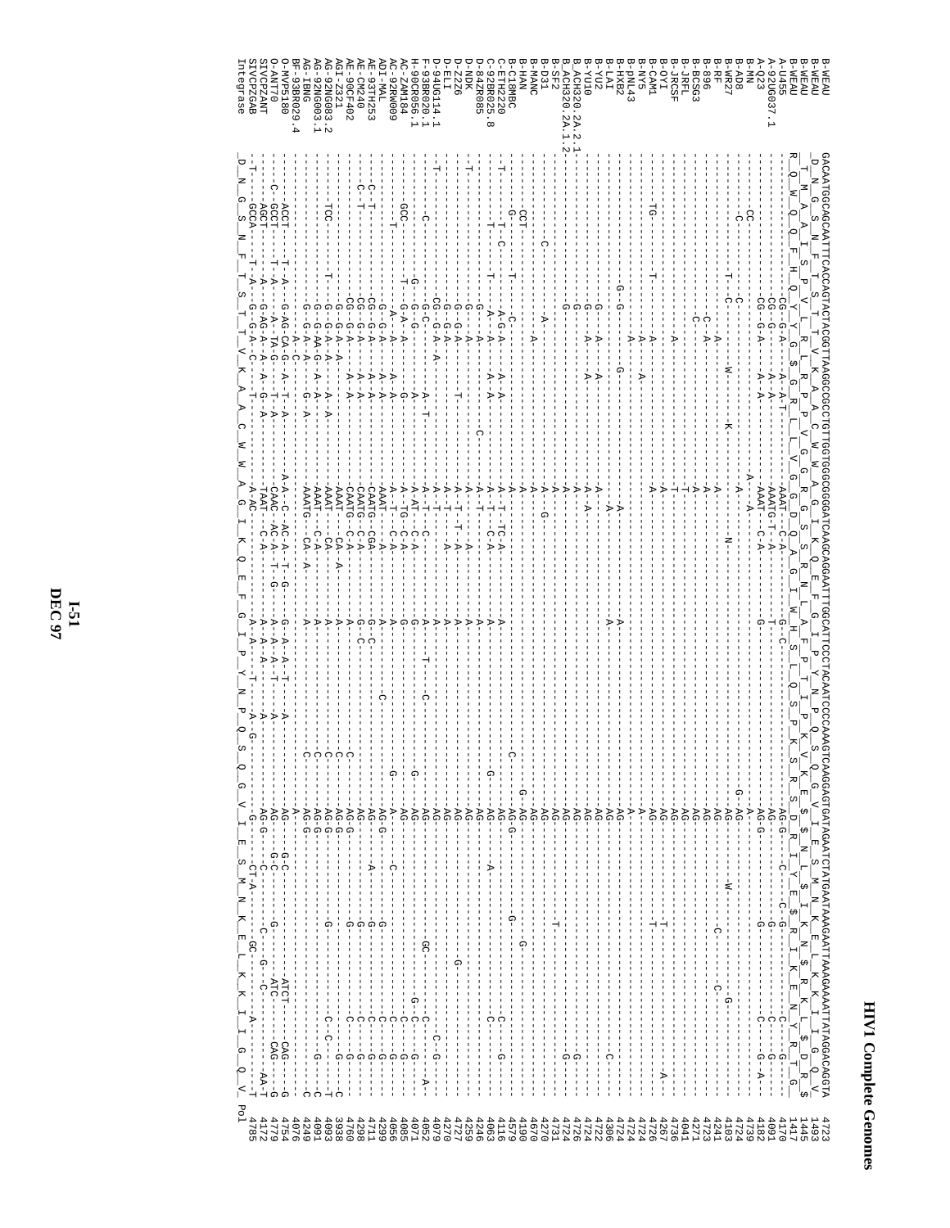| Pol                                                                                              | $K_{\rm}-K_{\rm}-1$<br>ັດ<br>'n<br>$\sum_{i=1}^{n}$           | ×<br> <br>  r<br>F                                                                                                                                                                                                                                                                                                                                                                                | Þ<br>ِ م<br> <br> X<br>  X                      | p<br>ຸດ<br>.<br>$\prec$<br>ŗ                          |                             |                                     |                                                      | itegrase                      |
|--------------------------------------------------------------------------------------------------|---------------------------------------------------------------|---------------------------------------------------------------------------------------------------------------------------------------------------------------------------------------------------------------------------------------------------------------------------------------------------------------------------------------------------------------------------------------------------|-------------------------------------------------|-------------------------------------------------------|-----------------------------|-------------------------------------|------------------------------------------------------|-------------------------------|
|                                                                                                  | $\mathbb{F}$<br>$\blacksquare$<br>H                           | $\blacksquare$<br>$- - - 59$<br>$\overline{\phantom{a}}$<br>$\frac{1}{1}$                                                                                                                                                                                                                                                                                                                         | $\blacksquare$<br>$C$ T-A--                     | ဂု<br>                                                |                             |                                     |                                                      | <b>LVCPZGAB</b>               |
|                                                                                                  | $\mathsf I$<br>ł<br>$T - \overline{M}$                        | $C -$<br>$\frac{1}{2}$<br>$-1 - 2 - 1$                                                                                                                                                                                                                                                                                                                                                            | J.<br>I.<br>ţ<br>$C$ ----                       | $AG-G--$                                              |                             | <b>LAAT</b><br>$C - A$              | <b>AGCT</b><br>$AG - A - -$<br>⊅<br>ক্র<br>ဂ္<br>₹   | TAARZ40VI                     |
|                                                                                                  | J<br>т<br>$\overline{\phantom{a}}$<br>$-CAG-----$<br>$\Omega$ | I<br>J.<br><u>ဂ</u><br> <br>I<br>$\frac{1}{1}$<br>$-ATC--$                                                                                                                                                                                                                                                                                                                                        | ţ<br>ن<br>ج<br>$\frac{1}{1}$<br>I<br>1<br>I     | $\frac{1}{1}$<br>$-AG---$<br>$\overline{\phantom{a}}$ | $A - -$<br>$\overline{A}$   | $-CAAC--AC-A--$<br>ດ                | -accr<br>⊅<br>$A$ --<br>$TA-G$<br>⋗                  | <b>ANT70</b>                  |
|                                                                                                  | ł<br>I.<br>$-CAG---$ --                                       | ł<br>$\mathbb{I}$<br>Ţ<br>ł<br>$- = \texttt{ATCT} -$                                                                                                                                                                                                                                                                                                                                              | Ť<br>$\frac{1}{2}$<br>$\frac{1}{4}$<br>J.<br>J. | $-9G - -$<br>$\mathbf{I}$                             | $\ddot{P}$<br>$\frac{1}{2}$ | A-A--C--AC-A---                     | ACCT.<br>--AG-CA-G--<br>$\frac{1}{2}$<br>부<br>÷<br>⊢ | MVP5180                       |
|                                                                                                  | T<br>-1<br>$\mathbf{I}$                                       | I.                                                                                                                                                                                                                                                                                                                                                                                                | J.                                              | ŧ<br>$-7$<br>п<br>т                                   |                             |                                     |                                                      | F-93BR029<br>4                |
|                                                                                                  | $\mathbf I$<br>Ť<br>C                                         |                                                                                                                                                                                                                                                                                                                                                                                                   | ł.                                              | $\Gamma$<br>$\frac{1}{1}$<br>$AG-G$ .                 |                             | <b>AAATG</b><br>$-CA-$              | $A - D -$                                            | <b>TBNG</b>                   |
|                                                                                                  | Ω<br>I<br>I<br>$\frac{1}{1}$<br>C                             | J.                                                                                                                                                                                                                                                                                                                                                                                                | ţ                                               | $\Gamma$<br>$-5G-6$                                   |                             | <b>AAAT-</b><br>$C - A$ -           | -AA-<br>ဂှ<br>$A -$                                  | G-92NG003.1                   |
|                                                                                                  | $\frac{1}{1}$<br>н                                            | $\overline{\phantom{a}}$<br>Ω<br>Ť                                                                                                                                                                                                                                                                                                                                                                | ł                                               | ς<br>-<br>$-2G-G$                                     |                             | <b>AAAT-</b><br>$-CA$               | đ<br>ဂ္<br>9-P<br>$\frac{1}{1}$<br>⊅                 | $-92MCD083.2$                 |
|                                                                                                  | ţ<br>Ω<br>$\mathbf{I}$<br>◠                                   | $\mathbf{I}$<br>$\mathbf{I}$<br>$\mathbf{I}$                                                                                                                                                                                                                                                                                                                                                      | ł                                               | $-AC-C$                                               |                             | <b>AAAT-</b><br>$-CA -$             | ဂ္<br>⊅                                              | GI-Z321                       |
|                                                                                                  | C--<br>ļ<br>Ω                                                 | $\frac{1}{1}$<br>Ω<br>$\frac{1}{1}$                                                                                                                                                                                                                                                                                                                                                               |                                                 | $---ACG-G---$                                         |                             | CAATG<br>$\frac{1}{1}$<br>$C - A$ . | င်<br>--<br>ኌ                                        | E-90CF402                     |
|                                                                                                  | $\frac{1}{\Omega}$<br>$\frac{1}{1}$<br>$\frac{1}{1}$<br>Ω     | $\frac{1}{1}$<br>Ω<br>Ţ                                                                                                                                                                                                                                                                                                                                                                           |                                                 | $-96 - -$                                             | Ω                           | CAATG<br>$\frac{1}{1}$<br>$C - A$ . | -1--1-<br>င္ပ<br>- -<br>Þ<br>ъ                       | DFZM0-EY                      |
|                                                                                                  | $-1$ - $-1$<br>$\frac{1}{1}$<br>$\frac{1}{2}$                 | $\frac{1}{2}$<br>Ω<br>ł                                                                                                                                                                                                                                                                                                                                                                           | f,<br>$A--$                                     | $-9C - -$<br>$\mathbf{I}$                             | မှ-                         | CAATG<br>$-CGA-$                    | -1--1-<br>25<br>--<br>G-A<br>ъ<br>Ţ                  | E-93TH253                     |
|                                                                                                  | ţ<br>Ω<br>$\frac{1}{1}$<br>$\frac{1}{1}$<br><u>ဂု</u>         |                                                                                                                                                                                                                                                                                                                                                                                                   |                                                 | $- - 2G - G - -$                                      |                             | <b>AAAT-</b><br>$- - \mathbf{A}$ .  | $\frac{0}{1}$<br>ႁ<br>$\overline{A}$<br>⊅            | <b>LAM-IC</b>                 |
|                                                                                                  | $-1$ - $-1$<br>$\frac{1}{1}$<br>$\frac{1}{2}$                 |                                                                                                                                                                                                                                                                                                                                                                                                   | C--<br>$\frac{1}{1}$                            | $-6 -$<br>$- - - - - -$<br>I.                         |                             | - A - - H - - -<br>$C - A$ .        | $A---$<br>$A -$<br>ъ                                 | C-92RW009                     |
|                                                                                                  | $\frac{1}{1}$<br>$\Gamma$<br>$\frac{1}{1}$<br><u>ဂု</u>       | $\mathsf I$                                                                                                                                                                                                                                                                                                                                                                                       |                                                 | $- - 5G - -$                                          | Ω                           | $-10L$<br>$C - A$ .                 | ecc-<br>$G - A - -$<br>Φ                             | C-ZAM184                      |
|                                                                                                  | $-5-$<br>$C -$<br>$\frac{1}{1}$<br>ဂု<br>$\blacksquare$       |                                                                                                                                                                                                                                                                                                                                                                                                   |                                                 | $- - 9G - -$                                          |                             | $A - A T - - -$<br>$C - A$          | Ģ<br><b>ှ</b><br>- - - -                             |                               |
|                                                                                                  | $\mathbf{I}$<br>I.<br>ı<br>$\mathbb{A}$                       | Ť.                                                                                                                                                                                                                                                                                                                                                                                                |                                                 |                                                       |                             | $A--T--T$                           |                                                      | -93BR020.1<br>-90CR056.1      |
|                                                                                                  | $\sf I$<br>ה<br>-<br>т                                        | -ec---                                                                                                                                                                                                                                                                                                                                                                                            |                                                 | $-9G - -$                                             |                             |                                     | ი<br>- ს                                             |                               |
|                                                                                                  | $\mathfrak l$<br>$C -$<br><u>ဂ</u><br>--<br>$\mathbf{I}$      | $\frac{1}{1}$<br>$\begin{array}{c} \rule{0pt}{2.5ex} \rule{0pt}{2.5ex} \rule{0pt}{2.5ex} \rule{0pt}{2.5ex} \rule{0pt}{2.5ex} \rule{0pt}{2.5ex} \rule{0pt}{2.5ex} \rule{0pt}{2.5ex} \rule{0pt}{2.5ex} \rule{0pt}{2.5ex} \rule{0pt}{2.5ex} \rule{0pt}{2.5ex} \rule{0pt}{2.5ex} \rule{0pt}{2.5ex} \rule{0pt}{2.5ex} \rule{0pt}{2.5ex} \rule{0pt}{2.5ex} \rule{0pt}{2.5ex} \rule{0pt}{2.5ex} \rule{0$ |                                                 | $-56 - -$                                             |                             | A--T-                               | ---0-A                                               | PILEDUPE                      |
|                                                                                                  | ì<br>I                                                        | $\frac{1}{1}$<br>I<br>I                                                                                                                                                                                                                                                                                                                                                                           |                                                 | $---AC - -$                                           |                             | A--T-<br>$\frac{1}{\mathcal{V}}$    | $G - -G - A$                                         | Ë                             |
|                                                                                                  |                                                               | $\mathbf{I}$<br>န<br>                                                                                                                                                                                                                                                                                                                                                                             |                                                 | $-96 - -$                                             |                             | -1--4                               | ှု                                                   | 2226                          |
|                                                                                                  |                                                               |                                                                                                                                                                                                                                                                                                                                                                                                   |                                                 | $--pG--$                                              |                             | $\forall$                           | မှ-                                                  | NDK                           |
|                                                                                                  |                                                               |                                                                                                                                                                                                                                                                                                                                                                                                   | L                                               | $-96 - -$                                             |                             | Þ                                   |                                                      | 84ZR085                       |
|                                                                                                  | $\overline{C}$                                                |                                                                                                                                                                                                                                                                                                                                                                                                   | $\overline{1}$<br>$A -$                         | $-6 - -$<br>$--pG--$                                  |                             | $\frac{1}{1}$<br>C-A                | $\ddot{\mathbf{r}}$<br>⊅                             | 32BR025<br>$\frac{1}{\infty}$ |
| 4 4 4 4 4 4 4 4 4 4 4 4<br>1 5 1 1 0 4 0 7 1 7 1 9<br>9 7 1 1 0 4 1 0 7 1 7 7<br>0 9 7 0 9 1 0 9 | $-1$ - $-1$ - $-1$<br>$-6 - - -$                              | $\begin{bmatrix} 1 \\ 1 \\ 1 \\ 1 \end{bmatrix}$                                                                                                                                                                                                                                                                                                                                                  |                                                 | $--pG---$<br>$\mathbf{I}$                             |                             | $V-I-I-I$                           | F<br>$A-G-$<br>⊅                                     | ETH2220                       |
|                                                                                                  |                                                               | $-1 - 9 - 1$<br>$\mathbf{I}$<br>$\begin{array}{c} \end{array}$                                                                                                                                                                                                                                                                                                                                    |                                                 | ה<br>-<br>$-7G-G-1$                                   |                             |                                     | ω                                                    | C18MBC                        |
|                                                                                                  |                                                               | $\frac{1}{1}$<br>$C = -1$                                                                                                                                                                                                                                                                                                                                                                         | ł                                               | $-G--AG---$                                           |                             | ♭                                   | car-                                                 | <b>NAH</b>                    |
|                                                                                                  |                                                               | $\frac{1}{1}$<br>$\overline{\phantom{a}}$                                                                                                                                                                                                                                                                                                                                                         | $\mathbf{I}$                                    | $-5G - -$                                             |                             | Þ                                   |                                                      | <b>NANC</b>                   |
|                                                                                                  |                                                               |                                                                                                                                                                                                                                                                                                                                                                                                   |                                                 |                                                       |                             |                                     |                                                      |                               |
| 4 4 4 4 4 4<br>4 4 7 7 7 9 7<br>4 4 7 7 7 7<br>4 6 7 7 9 0                                       |                                                               |                                                                                                                                                                                                                                                                                                                                                                                                   |                                                 | $-56 - -$                                             |                             |                                     |                                                      | <b>D31</b>                    |
|                                                                                                  | I<br>ı                                                        |                                                                                                                                                                                                                                                                                                                                                                                                   |                                                 | $-9G - -$                                             |                             |                                     |                                                      | SF2                           |
|                                                                                                  | -------------                                                 |                                                                                                                                                                                                                                                                                                                                                                                                   |                                                 | $-56 - -$                                             |                             | 5                                   | Φ                                                    | <b>ACH320</b>                 |
|                                                                                                  | $\begin{bmatrix} 1 \\ 1 \\ 1 \\ 1 \end{bmatrix}$<br>$-5 -$    |                                                                                                                                                                                                                                                                                                                                                                                                   |                                                 | $-9G - -$<br>$\mathbf I$                              |                             |                                     | Ω                                                    | <b>ACH320</b>                 |
|                                                                                                  | ł,<br>I                                                       |                                                                                                                                                                                                                                                                                                                                                                                                   |                                                 | $-4G-$                                                |                             | Þ.                                  | ဂု                                                   | $0$ T $\Omega$                |
|                                                                                                  |                                                               |                                                                                                                                                                                                                                                                                                                                                                                                   |                                                 | $-9C -$<br>П                                          |                             |                                     | ω                                                    | Z <sub>n</sub>                |
|                                                                                                  | $-1 - 1$<br>I                                                 |                                                                                                                                                                                                                                                                                                                                                                                                   |                                                 | $- - \text{AG} - -$                                   |                             | ♭                                   |                                                      | IAI.                          |
|                                                                                                  |                                                               |                                                                                                                                                                                                                                                                                                                                                                                                   |                                                 | $-4G$                                                 |                             |                                     |                                                      | -HXB2                         |
|                                                                                                  | ì                                                             |                                                                                                                                                                                                                                                                                                                                                                                                   |                                                 | $-4-$                                                 |                             |                                     |                                                      | <b>PNL43</b>                  |
|                                                                                                  |                                                               |                                                                                                                                                                                                                                                                                                                                                                                                   |                                                 | $-4 - -$                                              |                             |                                     |                                                      | $SAN=$                        |
|                                                                                                  | ì                                                             | $-1 - 1 - 1 - 1 - 1$                                                                                                                                                                                                                                                                                                                                                                              |                                                 | $-4G$                                                 |                             |                                     | ă                                                    | -CAM1                         |
|                                                                                                  | $-1 - 1 - 1 - 1$                                              | $-1 - 1 - 1 - 1 - 1$                                                                                                                                                                                                                                                                                                                                                                              |                                                 | $-AC$ .                                               |                             |                                     |                                                      | IXO-                          |
|                                                                                                  |                                                               |                                                                                                                                                                                                                                                                                                                                                                                                   |                                                 | $--AG-$                                               |                             |                                     |                                                      | -JRCSF                        |
|                                                                                                  |                                                               |                                                                                                                                                                                                                                                                                                                                                                                                   |                                                 | $-9C - -$                                             |                             |                                     |                                                      | -JRFL                         |
|                                                                                                  |                                                               |                                                                                                                                                                                                                                                                                                                                                                                                   |                                                 | $-4G-$                                                |                             |                                     | ∩                                                    | BCSG3                         |
|                                                                                                  |                                                               | $\mathbf{I}$                                                                                                                                                                                                                                                                                                                                                                                      | л                                               | $---AC - -$<br>$\mathbf I$                            |                             |                                     |                                                      | 968                           |
|                                                                                                  | ך<br>--                                                       | c-<br>I.                                                                                                                                                                                                                                                                                                                                                                                          |                                                 | $-9G - -$                                             |                             |                                     |                                                      | ٦Ė                            |
|                                                                                                  | $\frac{1}{\Omega}$<br>ı                                       |                                                                                                                                                                                                                                                                                                                                                                                                   | $-1$                                            |                                                       |                             |                                     |                                                      |                               |
|                                                                                                  | I<br>I<br>Ţ<br>ţ<br>I                                         | л<br>J.<br>т                                                                                                                                                                                                                                                                                                                                                                                      | п                                               | $G - PG - -$<br>$-56 - -$<br>I,                       |                             |                                     |                                                      | $-MR27$                       |
| 4 1 1 1 1 4 4 4 4 4 4 4<br>2 4 4 4 1 0 1 1 7 7<br>2 4 4 1 7 9 2 8 7 2<br>3 4 4 1 7 0 1 2 9 4     | I<br>J<br>J                                                   | I.<br>1<br>1<br>I.                                                                                                                                                                                                                                                                                                                                                                                |                                                 | J.<br>$-4-$<br>I.                                     |                             | $\frac{1}{2}$                       |                                                      | 80A<br>Š                      |
|                                                                                                  |                                                               |                                                                                                                                                                                                                                                                                                                                                                                                   |                                                 |                                                       |                             |                                     |                                                      |                               |
|                                                                                                  | I.<br>Ţ<br>Ċ-<br>$- -$ G $- -$ A $-$                          | $\mathsf I$<br>$\mathbf I$                                                                                                                                                                                                                                                                                                                                                                        |                                                 | $---AC-G---$                                          |                             | -TAAR-<br>$C - A$                   | င္ပင္<br>G-A                                         | $-923$                        |
|                                                                                                  | $\frac{1}{1}$<br>$\Gamma$<br>$-1$ – $-0$                      | $\frac{1}{\Omega}$<br>I<br>I<br>$\mathsf I$<br>I                                                                                                                                                                                                                                                                                                                                                  | п<br>ı                                          | I.<br>1<br>$\mathbf{I}$<br>$--PGE--$<br>I             |                             | $AATG-T--A$                         | င္ပဉ္<br>ႁ<br>ゼ                                      | 920003                        |
|                                                                                                  | Ω<br>$\mathsf I$<br>$\Gamma$<br>J<br>$\overline{\phantom{a}}$ | $\Omega$<br>Ω<br>$\overline{\phantom{a}}$<br>$\mathbf{I}$                                                                                                                                                                                                                                                                                                                                         | Ω<br>Ť<br>1                                     | $\overline{1}$<br>$\frac{1}{1}$<br>$-9 - 9 - 0 - 0$   |                             | $-17A$<br>$C - A$                   | $CG - -1$<br>ႁ<br>⊅<br>₹                             | <b>1455</b>                   |
|                                                                                                  | z<br>₩<br>Η<br>ကြ                                             | ₩<br>ヵ<br>Ħ                                                                                                                                                                                                                                                                                                                                                                                       | ∢<br>E                                          | m<br>₩<br>ŗΩ<br>σ<br>ᆽ                                |                             | ⋒                                   | ⋒                                                    | NEAU                          |
|                                                                                                  | ĮΩ<br>p<br>₩<br>٠W                                            | z<br>'n<br>₩                                                                                                                                                                                                                                                                                                                                                                                      | z<br>٠U                                         | 'n<br>٠W<br>٠U                                        |                             |                                     |                                                      | WEAU-                         |
|                                                                                                  | ω<br>ю.<br>$\prec$                                            | ø                                                                                                                                                                                                                                                                                                                                                                                                 | Ħ<br>C<br>z<br>z                                | Ö<br>ຸດ<br>₹                                          |                             |                                     |                                                      | WEAU-                         |
|                                                                                                  | <b>FATGAATAAGAATTAAAGAAAATTATAGGACAGGTA</b>                   |                                                                                                                                                                                                                                                                                                                                                                                                   |                                                 | TCAAGGAGTGATAGAAT                                     |                             |                                     |                                                      | WEAU                          |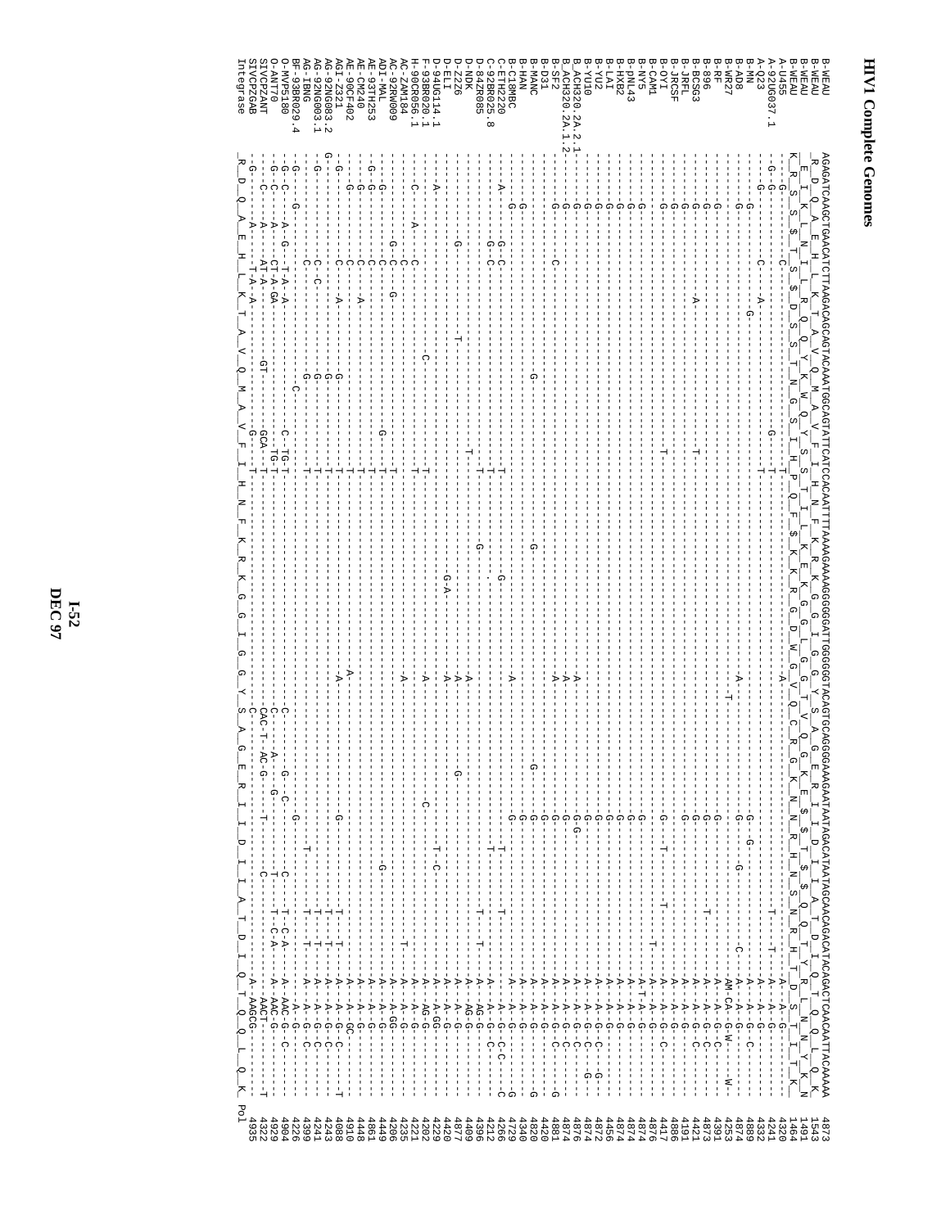| ଋ<br>Ω<br>Ω<br>Ω<br>∩<br>-16<br>님<br>무<br>∩<br>$\mathbf{I}$<br>$\mathbf{I}$<br>ω<br>$C_1 -$<br>ဂု<br>ı<br>-1<br>$\frac{1}{1}$<br>Ĺ<br>$\mathsf I$<br>$\begin{array}{c} \hline \end{array}$<br>$-1$<br>$\Gamma$<br>$\mathbf{I}$<br>J<br>$\mathbf{I}$<br>ŧ<br>t<br>L<br>$\mathbf{I}$<br>ı<br>п<br>п<br>L.<br>J.<br>$\mathbf{I}$<br>$\blacksquare$<br>л<br>J.<br>$\mathbf{I}$<br>п<br>$\mathbf{I}$<br>J.<br>л.<br>1<br>т<br>$\mathbf{I}$<br>п<br>1<br>т<br>т<br>-1<br>į<br>$-6 - -$<br>$\frac{1}{1}$<br>Ω<br>$\mathbf{I}$<br>$\frac{1}{1}$<br>$\frac{1}{2}$<br>Ţ<br>$\mathbf{I}$<br>$\dot{\phi}$<br>$\frac{1}{1}$<br>$\blacksquare$<br>$\mathbf{I}$<br>ł<br>I,<br>J.<br>$\overline{\phantom{a}}$<br>$\mathbf{I}$<br>J.<br>$\mathbf{I}$<br>$\overline{\phantom{a}}$<br>$\mathbf{I}$<br>$\blacksquare$<br>$\overline{1}$<br>$\overline{\phantom{a}}$<br>$\overline{\phantom{a}}$<br>$\mathbf{I}$<br>л<br>$\mathbf{I}$<br>J.<br>$-9 - 0 - 0$<br>ဂု<br>ဂ<br>-<br>$\Gamma$<br>$\Omega$<br>$-1$<br>$\Omega$<br>$\Gamma$<br>$\Omega$<br>$\Gamma$<br>$\Gamma$<br>$\Omega$<br>Φ<br>۾.<br>ω<br>ဂု<br>$\mathbf{I}$<br>ഹ<br>$\blacksquare$<br>ω<br>ଋ<br>$\mathsf I$<br>$\mathsf I$<br>I<br>$\mathbf{I}$<br>ı<br>ł,<br>$\frac{1}{1}$<br>J.<br>$\frac{1}{1}$<br>ı<br>1<br>Ť<br>ı<br>$\mathsf I$<br>$\mathbf I$<br>1<br>I<br>$\mathbf{I}$<br>$\mathbf{I}$<br>ł<br>ł<br>J.<br>J.<br>$\mathbb{I}$<br>I<br>ł<br>$\frac{1}{1}$<br>$\frac{1}{1}$<br>$\frac{1}{1}$<br>$\frac{1}{1}$<br>п<br>$\blacksquare$<br>I<br>ł<br>$\blacksquare$<br>L.<br>$\mathbf{I}$<br>$\blacksquare$<br>ŧ<br>T.<br>п<br>J.<br>ł<br>J.<br>Î.<br>i<br>I.<br>Ť<br>I,<br>$\mathsf I$<br>ဂှ<br>Ţ<br>$-1$<br>I<br>$\begin{bmatrix} 1 \\ 1 \\ 1 \end{bmatrix}$<br>白!<br>!<br>$\sf I$<br>$\mathbf I$<br>$\mathsf I$<br>÷<br>⊢<br>$\mathbb I$<br>$\frac{1}{1}$<br>$\,$ I<br>けー<br>けー<br>$\mathbf{I}$<br>I<br>J<br>Ţ.<br>$\overline{\phantom{a}}$<br>T<br>$\begin{array}{c} 1 \\ 1 \\ 1 \end{array}$<br>L.<br>п<br>J.<br>$\mathbf{I}$<br>J.<br>$\frac{1}{1}$<br>ţ<br>Í<br>$\frac{1}{1}$<br>J.<br>J.<br>$\overline{\phantom{a}}$<br>$\frac{1}{1}$<br>J.<br>$\frac{1}{4}$<br>J.<br>I.<br>t<br>т<br>$\overline{1}$<br>т<br>ł<br>L<br>т<br>$\mathbb{I}$<br><u>ဂ</u><br>$\mathbb{I}$<br>f,<br>$\mathbf{I}$<br>$\mathbb{I}$<br>$\mathbf{I}$<br>$\mathbf{I}$<br>$\overline{1}$<br>$\overline{1}$<br>$\frac{1}{2}$<br>Ť<br>$\Gamma$ -<br>I.<br>Ţ<br>$\begin{array}{c} 1 \\ 1 \\ 1 \end{array}$<br>Ţ<br>$\frac{1}{1}$<br>ł<br>ł<br>$\mathsf I$<br>ł<br>$\frac{1}{1}$<br>$\frac{1}{1}$<br>$\frac{1}{1}$<br>$\mathbf{I}$<br>$\blacksquare$<br>$\frac{1}{4}$<br>ł.<br>$\frac{1}{1}$<br>I<br>$\frac{1}{1}$<br>$\frac{1}{1}$<br>$\frac{1}{4}$<br>Ť.<br>$\mathbf{I}$<br>$\mathbf{I}$<br>п<br>J.<br>۲<br>F<br>Ť<br>Ť<br>Ť<br>I.<br>$\mathbf{I}$<br>÷<br>†<br>$\mathbb{I}$<br>$\mathbb{I}$<br>I,<br>$-1 - 1$<br>۲<br>ا<br>т<br>т.<br>ΩO<br>i<br>H<br>$\mathbf{I}$<br>$\frac{1}{1}$<br>$\mathsf I$<br>I,<br>I.<br>I.<br>$\mathbf{I}$<br>I.<br>$\overline{\mathbf{y}}$<br>$-4 - 4 - 7$<br>Ĺ,<br>$\mathsf I$<br>$\overline{\phantom{a}}$<br>$\begin{array}{c} \hline \end{array}$<br>J<br>Ĥ<br>۲<br>ا<br>$\mathbf{I}$<br>$\mathbf{I}$<br>$\overline{\phantom{a}}$<br>Ť<br>п<br>$\mathbf{I}$<br>J.<br>п<br>$\begin{array}{c} 1 \\ 1 \\ 1 \end{array}$<br>J.<br>$-1$<br>$\mathbf{I}$<br>J.<br>л.<br>т.<br>$\overline{1}$<br>$\mathbf{I}$<br>т<br>п<br>J.<br>ъ<br>ъ<br>$\overline{A}$<br>$\overline{Y}$<br>$\overline{A}$<br>$\overline{A}$<br>$A$ — — —<br>$\overline{Y}$<br>$\overline{A}$<br>$\overline{A}$<br>$\mathbb{A}$<br>$-\nabla$<br>$\overline{H}$<br>$\overline{A}$<br>$\mathbb{A}$<br>$\mathbb{A}$<br>$\overline{A}$<br>$AM-CA-$<br>$A---A$<br>$\overline{A}$<br>$A--A--$<br>$\overline{A}$<br>$\overline{A}$<br>A-<br>$A-T-A$<br>$\overline{A}$<br>$A -$<br>$\overline{r}$<br>$-AACC-G$<br>J<br>1<br>J.<br>J.<br>Ţ<br>J.<br>J<br>$---ACG-G---$<br>$--A--$<br>J<br>$-4 - 4 - 6$<br>$-5G-6$<br>$-4 - -$<br>$- - p - - c - - c - c - -$<br>$- -A - -$<br>--A--<br>--A--<br>--A--<br>--A--<br>--A--<br>AAC-G<br>$-Q-C$<br>$-4-$<br>$-{\bf A}--{\bf G}$<br>$-4-$<br>$-4$<br>$-AC-C$<br>$-4-$<br>$-B--B--C$<br>$-B--G$<br>♭<br>$A = -G$<br>$A$ – –<br>$A = -G$<br>$A - -$<br>$A - -$<br>$A - -G - -$<br>$A-GG$ .<br>$A - G$<br>$A$ --A<br>$A = -G$<br>ъ<br>$A - -$<br>$A$ – –<br>A--GC--<br>$A - G$<br>⋗<br>⋗<br>Ţ<br>Ţ<br>Ţ<br>Ţ<br>Ţ<br>ţ<br>ဂှ<br>Ω<br>$\frac{1}{2}$<br>ဂှ<br>ှ<br> <br>Ω<br>Ω<br>$\begin{array}{cc} \dot{\Omega} & \dot{\Omega} \\ \dot{\Gamma} & \dot{\Gamma} \end{array}$<br>Ω<br>Ω<br>Ω<br>Ω<br>Ω<br>Ω<br>Ω<br>ଜ<br>Ω<br>Ω<br>Ω<br>Ω<br>$-1 - M - D$<br>Ω<br>$G = -C = -$<br>ם-<br>---<br>Ω<br>Ï<br>Ϊ<br>Ο<br>$\frac{1}{1}$<br>$\frac{1}{1}$<br>ł<br>ł.<br>$\frac{1}{1}$<br>ŧ<br>Ť<br>Ì<br>ł<br>$\begin{array}{c} \n 1 \\  1 \\  1 \\  1\n \end{array}$<br>Ť<br>$\frac{1}{1}$<br>$\frac{1}{1}$<br>Ŧ<br>ł<br>$\frac{1}{1}$<br>$\frac{1}{1}$<br>$\frac{1}{1}$<br>$\frac{1}{1}$<br>$-5$<br>$\frac{1}{1}$<br>Ť<br>$\frac{1}{\alpha}$<br>$\frac{1}{2}$<br>$\frac{1}{\Omega}$<br>ţ<br>Ť<br>ŧ<br>C<br>C<br>Ω<br>ن<br>ا<br>Ţ<br>C<br>C<br>$\frac{1}{1}$<br>$\frac{1}{1}$<br>$\frac{1}{4}$<br>Ŧ<br>Ŧ<br>$\overline{1}$<br>$\mathbb I$<br>I.<br>J.<br>ł<br>$\mathbf{I}$<br>Ţ<br>$\frac{1}{1}$<br>ł<br>J.<br>$\mathbf{I}$<br>L.<br>$\blacksquare$<br>L.<br>$\blacksquare$<br>$\mathbf{I}$<br>$\mathbf{I}$<br>$\frac{1}{1}$<br>$\mathbf{I}$<br>$\frac{1}{1}$<br>ŧ<br>$\frac{1}{1}$<br>Ť<br>$\mathbf{I}$<br>$\frac{1}{1}$<br>$\mathbf{I}$<br>$\frac{1}{1}$<br>Ť<br>$\frac{1}{1}$<br>J.<br>Ť.<br>ł<br>$\mathbf{I}$<br>$\mathbf{I}$<br>$\mathbf{I}$<br>$\mathbf{I}$<br>$\frac{1}{1}$<br>$\mathbf{I}$<br>J.<br>H<br>$\mathbf{I}$<br>H.<br>$\blacksquare$<br>H.<br>$\blacksquare$<br>-1<br>л<br>т<br>-1<br>f,<br>$\mathbb{I}$<br>ဂှ<br>$\Gamma$<br>$-M-$<br>ł<br>ł<br>ł<br>$\overline{1}$<br>ł<br>ł<br>ł<br>$\frac{1}{1}$<br>$\frac{1}{1}$<br>ł<br>$\overline{\phantom{a}}$<br>ł<br>ł<br>$\frac{1}{1}$<br>ł<br>ł<br>$\frac{1}{1}$<br>ł | ဂု<br>Ω<br>ဂ္<br><b>CT-A-GA</b><br>$T - A - -A$ |
|-----------------------------------------------------------------------------------------------------------------------------------------------------------------------------------------------------------------------------------------------------------------------------------------------------------------------------------------------------------------------------------------------------------------------------------------------------------------------------------------------------------------------------------------------------------------------------------------------------------------------------------------------------------------------------------------------------------------------------------------------------------------------------------------------------------------------------------------------------------------------------------------------------------------------------------------------------------------------------------------------------------------------------------------------------------------------------------------------------------------------------------------------------------------------------------------------------------------------------------------------------------------------------------------------------------------------------------------------------------------------------------------------------------------------------------------------------------------------------------------------------------------------------------------------------------------------------------------------------------------------------------------------------------------------------------------------------------------------------------------------------------------------------------------------------------------------------------------------------------------------------------------------------------------------------------------------------------------------------------------------------------------------------------------------------------------------------------------------------------------------------------------------------------------------------------------------------------------------------------------------------------------------------------------------------------------------------------------------------------------------------------------------------------------------------------------------------------------------------------------------------------------------------------------------------------------------------------------------------------------------------------------------------------------------------------------------------------------------------------------------------------------------------------------------------------------------------------------------------------------------------------------------------------------------------------------------------------------------------------------------------------------------------------------------------------------------------------------------------------------------------------------------------------------------------------------------------------------------------------------------------------------------------------------------------------------------------------------------------------------------------------------------------------------------------------------------------------------------------------------------------------------------------------------------------------------------------------------------------------------------------------------------------------------------------------------------------------------------------------------------------------------------------------------------------------------------------------------------------------------------------------------------------------------------------------------------------------------------------------------------------------------------------------------------------------------------------------------------------------------------------------------------------------------------------------------------------------------------------------------------------------------------------------------------------------------------------------------------------------------------------------------------------------------------------------------------------------------------------------------------------------------------------------------------------------------------------------------------------------------------------------------------------------------------------------------------------------------------------------------------------------------------------------------------------------------------------------------------------------------------------------------------------------------------------------------------------------------------------------------------------------------------------------------------------------------------------------------------------------------------------------------------------------------------------------------------------------------------------------------------------------------------------------------------------------------------------------------------------------------------------------------------------------------------------------------------------------------------------------------------------------------------------------------------------------------------------------------------------------------------------------------------------------------------------------------------------------------------------------------------------------------------------------------------------------------------------------------------------------------------------------------------------------------------------------------------------------------------|-------------------------------------------------|
|                                                                                                                                                                                                                                                                                                                                                                                                                                                                                                                                                                                                                                                                                                                                                                                                                                                                                                                                                                                                                                                                                                                                                                                                                                                                                                                                                                                                                                                                                                                                                                                                                                                                                                                                                                                                                                                                                                                                                                                                                                                                                                                                                                                                                                                                                                                                                                                                                                                                                                                                                                                                                                                                                                                                                                                                                                                                                                                                                                                                                                                                                                                                                                                                                                                                                                                                                                                                                                                                                                                                                                                                                                                                                                                                                                                                                                                                                                                                                                                                                                                                                                                                                                                                                                                                                                                                                                                                                                                                                                                                                                                                                                                                                                                                                                                                                                                                                                                                                                                                                                                                                                                                                                                                                                                                                                                                                                                                                                                                                                                                                                                                                                                                                                                                                                                                                                                                                                                                                                       |                                                 |
|                                                                                                                                                                                                                                                                                                                                                                                                                                                                                                                                                                                                                                                                                                                                                                                                                                                                                                                                                                                                                                                                                                                                                                                                                                                                                                                                                                                                                                                                                                                                                                                                                                                                                                                                                                                                                                                                                                                                                                                                                                                                                                                                                                                                                                                                                                                                                                                                                                                                                                                                                                                                                                                                                                                                                                                                                                                                                                                                                                                                                                                                                                                                                                                                                                                                                                                                                                                                                                                                                                                                                                                                                                                                                                                                                                                                                                                                                                                                                                                                                                                                                                                                                                                                                                                                                                                                                                                                                                                                                                                                                                                                                                                                                                                                                                                                                                                                                                                                                                                                                                                                                                                                                                                                                                                                                                                                                                                                                                                                                                                                                                                                                                                                                                                                                                                                                                                                                                                                                                       |                                                 |
|                                                                                                                                                                                                                                                                                                                                                                                                                                                                                                                                                                                                                                                                                                                                                                                                                                                                                                                                                                                                                                                                                                                                                                                                                                                                                                                                                                                                                                                                                                                                                                                                                                                                                                                                                                                                                                                                                                                                                                                                                                                                                                                                                                                                                                                                                                                                                                                                                                                                                                                                                                                                                                                                                                                                                                                                                                                                                                                                                                                                                                                                                                                                                                                                                                                                                                                                                                                                                                                                                                                                                                                                                                                                                                                                                                                                                                                                                                                                                                                                                                                                                                                                                                                                                                                                                                                                                                                                                                                                                                                                                                                                                                                                                                                                                                                                                                                                                                                                                                                                                                                                                                                                                                                                                                                                                                                                                                                                                                                                                                                                                                                                                                                                                                                                                                                                                                                                                                                                                                       |                                                 |
|                                                                                                                                                                                                                                                                                                                                                                                                                                                                                                                                                                                                                                                                                                                                                                                                                                                                                                                                                                                                                                                                                                                                                                                                                                                                                                                                                                                                                                                                                                                                                                                                                                                                                                                                                                                                                                                                                                                                                                                                                                                                                                                                                                                                                                                                                                                                                                                                                                                                                                                                                                                                                                                                                                                                                                                                                                                                                                                                                                                                                                                                                                                                                                                                                                                                                                                                                                                                                                                                                                                                                                                                                                                                                                                                                                                                                                                                                                                                                                                                                                                                                                                                                                                                                                                                                                                                                                                                                                                                                                                                                                                                                                                                                                                                                                                                                                                                                                                                                                                                                                                                                                                                                                                                                                                                                                                                                                                                                                                                                                                                                                                                                                                                                                                                                                                                                                                                                                                                                                       | ∩<br>ò                                          |
|                                                                                                                                                                                                                                                                                                                                                                                                                                                                                                                                                                                                                                                                                                                                                                                                                                                                                                                                                                                                                                                                                                                                                                                                                                                                                                                                                                                                                                                                                                                                                                                                                                                                                                                                                                                                                                                                                                                                                                                                                                                                                                                                                                                                                                                                                                                                                                                                                                                                                                                                                                                                                                                                                                                                                                                                                                                                                                                                                                                                                                                                                                                                                                                                                                                                                                                                                                                                                                                                                                                                                                                                                                                                                                                                                                                                                                                                                                                                                                                                                                                                                                                                                                                                                                                                                                                                                                                                                                                                                                                                                                                                                                                                                                                                                                                                                                                                                                                                                                                                                                                                                                                                                                                                                                                                                                                                                                                                                                                                                                                                                                                                                                                                                                                                                                                                                                                                                                                                                                       |                                                 |
|                                                                                                                                                                                                                                                                                                                                                                                                                                                                                                                                                                                                                                                                                                                                                                                                                                                                                                                                                                                                                                                                                                                                                                                                                                                                                                                                                                                                                                                                                                                                                                                                                                                                                                                                                                                                                                                                                                                                                                                                                                                                                                                                                                                                                                                                                                                                                                                                                                                                                                                                                                                                                                                                                                                                                                                                                                                                                                                                                                                                                                                                                                                                                                                                                                                                                                                                                                                                                                                                                                                                                                                                                                                                                                                                                                                                                                                                                                                                                                                                                                                                                                                                                                                                                                                                                                                                                                                                                                                                                                                                                                                                                                                                                                                                                                                                                                                                                                                                                                                                                                                                                                                                                                                                                                                                                                                                                                                                                                                                                                                                                                                                                                                                                                                                                                                                                                                                                                                                                                       | ဂု<br>Þ                                         |
|                                                                                                                                                                                                                                                                                                                                                                                                                                                                                                                                                                                                                                                                                                                                                                                                                                                                                                                                                                                                                                                                                                                                                                                                                                                                                                                                                                                                                                                                                                                                                                                                                                                                                                                                                                                                                                                                                                                                                                                                                                                                                                                                                                                                                                                                                                                                                                                                                                                                                                                                                                                                                                                                                                                                                                                                                                                                                                                                                                                                                                                                                                                                                                                                                                                                                                                                                                                                                                                                                                                                                                                                                                                                                                                                                                                                                                                                                                                                                                                                                                                                                                                                                                                                                                                                                                                                                                                                                                                                                                                                                                                                                                                                                                                                                                                                                                                                                                                                                                                                                                                                                                                                                                                                                                                                                                                                                                                                                                                                                                                                                                                                                                                                                                                                                                                                                                                                                                                                                                       | ଇ                                               |
|                                                                                                                                                                                                                                                                                                                                                                                                                                                                                                                                                                                                                                                                                                                                                                                                                                                                                                                                                                                                                                                                                                                                                                                                                                                                                                                                                                                                                                                                                                                                                                                                                                                                                                                                                                                                                                                                                                                                                                                                                                                                                                                                                                                                                                                                                                                                                                                                                                                                                                                                                                                                                                                                                                                                                                                                                                                                                                                                                                                                                                                                                                                                                                                                                                                                                                                                                                                                                                                                                                                                                                                                                                                                                                                                                                                                                                                                                                                                                                                                                                                                                                                                                                                                                                                                                                                                                                                                                                                                                                                                                                                                                                                                                                                                                                                                                                                                                                                                                                                                                                                                                                                                                                                                                                                                                                                                                                                                                                                                                                                                                                                                                                                                                                                                                                                                                                                                                                                                                                       | ω<br>ኔ                                          |
|                                                                                                                                                                                                                                                                                                                                                                                                                                                                                                                                                                                                                                                                                                                                                                                                                                                                                                                                                                                                                                                                                                                                                                                                                                                                                                                                                                                                                                                                                                                                                                                                                                                                                                                                                                                                                                                                                                                                                                                                                                                                                                                                                                                                                                                                                                                                                                                                                                                                                                                                                                                                                                                                                                                                                                                                                                                                                                                                                                                                                                                                                                                                                                                                                                                                                                                                                                                                                                                                                                                                                                                                                                                                                                                                                                                                                                                                                                                                                                                                                                                                                                                                                                                                                                                                                                                                                                                                                                                                                                                                                                                                                                                                                                                                                                                                                                                                                                                                                                                                                                                                                                                                                                                                                                                                                                                                                                                                                                                                                                                                                                                                                                                                                                                                                                                                                                                                                                                                                                       | င္<br>၁ – ၁                                     |
|                                                                                                                                                                                                                                                                                                                                                                                                                                                                                                                                                                                                                                                                                                                                                                                                                                                                                                                                                                                                                                                                                                                                                                                                                                                                                                                                                                                                                                                                                                                                                                                                                                                                                                                                                                                                                                                                                                                                                                                                                                                                                                                                                                                                                                                                                                                                                                                                                                                                                                                                                                                                                                                                                                                                                                                                                                                                                                                                                                                                                                                                                                                                                                                                                                                                                                                                                                                                                                                                                                                                                                                                                                                                                                                                                                                                                                                                                                                                                                                                                                                                                                                                                                                                                                                                                                                                                                                                                                                                                                                                                                                                                                                                                                                                                                                                                                                                                                                                                                                                                                                                                                                                                                                                                                                                                                                                                                                                                                                                                                                                                                                                                                                                                                                                                                                                                                                                                                                                                                       | ດ                                               |
|                                                                                                                                                                                                                                                                                                                                                                                                                                                                                                                                                                                                                                                                                                                                                                                                                                                                                                                                                                                                                                                                                                                                                                                                                                                                                                                                                                                                                                                                                                                                                                                                                                                                                                                                                                                                                                                                                                                                                                                                                                                                                                                                                                                                                                                                                                                                                                                                                                                                                                                                                                                                                                                                                                                                                                                                                                                                                                                                                                                                                                                                                                                                                                                                                                                                                                                                                                                                                                                                                                                                                                                                                                                                                                                                                                                                                                                                                                                                                                                                                                                                                                                                                                                                                                                                                                                                                                                                                                                                                                                                                                                                                                                                                                                                                                                                                                                                                                                                                                                                                                                                                                                                                                                                                                                                                                                                                                                                                                                                                                                                                                                                                                                                                                                                                                                                                                                                                                                                                                       | ဂု<br>∩<br>Ģ                                    |
|                                                                                                                                                                                                                                                                                                                                                                                                                                                                                                                                                                                                                                                                                                                                                                                                                                                                                                                                                                                                                                                                                                                                                                                                                                                                                                                                                                                                                                                                                                                                                                                                                                                                                                                                                                                                                                                                                                                                                                                                                                                                                                                                                                                                                                                                                                                                                                                                                                                                                                                                                                                                                                                                                                                                                                                                                                                                                                                                                                                                                                                                                                                                                                                                                                                                                                                                                                                                                                                                                                                                                                                                                                                                                                                                                                                                                                                                                                                                                                                                                                                                                                                                                                                                                                                                                                                                                                                                                                                                                                                                                                                                                                                                                                                                                                                                                                                                                                                                                                                                                                                                                                                                                                                                                                                                                                                                                                                                                                                                                                                                                                                                                                                                                                                                                                                                                                                                                                                                                                       |                                                 |
|                                                                                                                                                                                                                                                                                                                                                                                                                                                                                                                                                                                                                                                                                                                                                                                                                                                                                                                                                                                                                                                                                                                                                                                                                                                                                                                                                                                                                                                                                                                                                                                                                                                                                                                                                                                                                                                                                                                                                                                                                                                                                                                                                                                                                                                                                                                                                                                                                                                                                                                                                                                                                                                                                                                                                                                                                                                                                                                                                                                                                                                                                                                                                                                                                                                                                                                                                                                                                                                                                                                                                                                                                                                                                                                                                                                                                                                                                                                                                                                                                                                                                                                                                                                                                                                                                                                                                                                                                                                                                                                                                                                                                                                                                                                                                                                                                                                                                                                                                                                                                                                                                                                                                                                                                                                                                                                                                                                                                                                                                                                                                                                                                                                                                                                                                                                                                                                                                                                                                                       | ∩<br>₻                                          |
|                                                                                                                                                                                                                                                                                                                                                                                                                                                                                                                                                                                                                                                                                                                                                                                                                                                                                                                                                                                                                                                                                                                                                                                                                                                                                                                                                                                                                                                                                                                                                                                                                                                                                                                                                                                                                                                                                                                                                                                                                                                                                                                                                                                                                                                                                                                                                                                                                                                                                                                                                                                                                                                                                                                                                                                                                                                                                                                                                                                                                                                                                                                                                                                                                                                                                                                                                                                                                                                                                                                                                                                                                                                                                                                                                                                                                                                                                                                                                                                                                                                                                                                                                                                                                                                                                                                                                                                                                                                                                                                                                                                                                                                                                                                                                                                                                                                                                                                                                                                                                                                                                                                                                                                                                                                                                                                                                                                                                                                                                                                                                                                                                                                                                                                                                                                                                                                                                                                                                                       |                                                 |
|                                                                                                                                                                                                                                                                                                                                                                                                                                                                                                                                                                                                                                                                                                                                                                                                                                                                                                                                                                                                                                                                                                                                                                                                                                                                                                                                                                                                                                                                                                                                                                                                                                                                                                                                                                                                                                                                                                                                                                                                                                                                                                                                                                                                                                                                                                                                                                                                                                                                                                                                                                                                                                                                                                                                                                                                                                                                                                                                                                                                                                                                                                                                                                                                                                                                                                                                                                                                                                                                                                                                                                                                                                                                                                                                                                                                                                                                                                                                                                                                                                                                                                                                                                                                                                                                                                                                                                                                                                                                                                                                                                                                                                                                                                                                                                                                                                                                                                                                                                                                                                                                                                                                                                                                                                                                                                                                                                                                                                                                                                                                                                                                                                                                                                                                                                                                                                                                                                                                                                       | ኴ                                               |
|                                                                                                                                                                                                                                                                                                                                                                                                                                                                                                                                                                                                                                                                                                                                                                                                                                                                                                                                                                                                                                                                                                                                                                                                                                                                                                                                                                                                                                                                                                                                                                                                                                                                                                                                                                                                                                                                                                                                                                                                                                                                                                                                                                                                                                                                                                                                                                                                                                                                                                                                                                                                                                                                                                                                                                                                                                                                                                                                                                                                                                                                                                                                                                                                                                                                                                                                                                                                                                                                                                                                                                                                                                                                                                                                                                                                                                                                                                                                                                                                                                                                                                                                                                                                                                                                                                                                                                                                                                                                                                                                                                                                                                                                                                                                                                                                                                                                                                                                                                                                                                                                                                                                                                                                                                                                                                                                                                                                                                                                                                                                                                                                                                                                                                                                                                                                                                                                                                                                                                       |                                                 |
|                                                                                                                                                                                                                                                                                                                                                                                                                                                                                                                                                                                                                                                                                                                                                                                                                                                                                                                                                                                                                                                                                                                                                                                                                                                                                                                                                                                                                                                                                                                                                                                                                                                                                                                                                                                                                                                                                                                                                                                                                                                                                                                                                                                                                                                                                                                                                                                                                                                                                                                                                                                                                                                                                                                                                                                                                                                                                                                                                                                                                                                                                                                                                                                                                                                                                                                                                                                                                                                                                                                                                                                                                                                                                                                                                                                                                                                                                                                                                                                                                                                                                                                                                                                                                                                                                                                                                                                                                                                                                                                                                                                                                                                                                                                                                                                                                                                                                                                                                                                                                                                                                                                                                                                                                                                                                                                                                                                                                                                                                                                                                                                                                                                                                                                                                                                                                                                                                                                                                                       |                                                 |
|                                                                                                                                                                                                                                                                                                                                                                                                                                                                                                                                                                                                                                                                                                                                                                                                                                                                                                                                                                                                                                                                                                                                                                                                                                                                                                                                                                                                                                                                                                                                                                                                                                                                                                                                                                                                                                                                                                                                                                                                                                                                                                                                                                                                                                                                                                                                                                                                                                                                                                                                                                                                                                                                                                                                                                                                                                                                                                                                                                                                                                                                                                                                                                                                                                                                                                                                                                                                                                                                                                                                                                                                                                                                                                                                                                                                                                                                                                                                                                                                                                                                                                                                                                                                                                                                                                                                                                                                                                                                                                                                                                                                                                                                                                                                                                                                                                                                                                                                                                                                                                                                                                                                                                                                                                                                                                                                                                                                                                                                                                                                                                                                                                                                                                                                                                                                                                                                                                                                                                       |                                                 |
|                                                                                                                                                                                                                                                                                                                                                                                                                                                                                                                                                                                                                                                                                                                                                                                                                                                                                                                                                                                                                                                                                                                                                                                                                                                                                                                                                                                                                                                                                                                                                                                                                                                                                                                                                                                                                                                                                                                                                                                                                                                                                                                                                                                                                                                                                                                                                                                                                                                                                                                                                                                                                                                                                                                                                                                                                                                                                                                                                                                                                                                                                                                                                                                                                                                                                                                                                                                                                                                                                                                                                                                                                                                                                                                                                                                                                                                                                                                                                                                                                                                                                                                                                                                                                                                                                                                                                                                                                                                                                                                                                                                                                                                                                                                                                                                                                                                                                                                                                                                                                                                                                                                                                                                                                                                                                                                                                                                                                                                                                                                                                                                                                                                                                                                                                                                                                                                                                                                                                                       |                                                 |
|                                                                                                                                                                                                                                                                                                                                                                                                                                                                                                                                                                                                                                                                                                                                                                                                                                                                                                                                                                                                                                                                                                                                                                                                                                                                                                                                                                                                                                                                                                                                                                                                                                                                                                                                                                                                                                                                                                                                                                                                                                                                                                                                                                                                                                                                                                                                                                                                                                                                                                                                                                                                                                                                                                                                                                                                                                                                                                                                                                                                                                                                                                                                                                                                                                                                                                                                                                                                                                                                                                                                                                                                                                                                                                                                                                                                                                                                                                                                                                                                                                                                                                                                                                                                                                                                                                                                                                                                                                                                                                                                                                                                                                                                                                                                                                                                                                                                                                                                                                                                                                                                                                                                                                                                                                                                                                                                                                                                                                                                                                                                                                                                                                                                                                                                                                                                                                                                                                                                                                       | ଢ଼                                              |
|                                                                                                                                                                                                                                                                                                                                                                                                                                                                                                                                                                                                                                                                                                                                                                                                                                                                                                                                                                                                                                                                                                                                                                                                                                                                                                                                                                                                                                                                                                                                                                                                                                                                                                                                                                                                                                                                                                                                                                                                                                                                                                                                                                                                                                                                                                                                                                                                                                                                                                                                                                                                                                                                                                                                                                                                                                                                                                                                                                                                                                                                                                                                                                                                                                                                                                                                                                                                                                                                                                                                                                                                                                                                                                                                                                                                                                                                                                                                                                                                                                                                                                                                                                                                                                                                                                                                                                                                                                                                                                                                                                                                                                                                                                                                                                                                                                                                                                                                                                                                                                                                                                                                                                                                                                                                                                                                                                                                                                                                                                                                                                                                                                                                                                                                                                                                                                                                                                                                                                       | Ω                                               |
|                                                                                                                                                                                                                                                                                                                                                                                                                                                                                                                                                                                                                                                                                                                                                                                                                                                                                                                                                                                                                                                                                                                                                                                                                                                                                                                                                                                                                                                                                                                                                                                                                                                                                                                                                                                                                                                                                                                                                                                                                                                                                                                                                                                                                                                                                                                                                                                                                                                                                                                                                                                                                                                                                                                                                                                                                                                                                                                                                                                                                                                                                                                                                                                                                                                                                                                                                                                                                                                                                                                                                                                                                                                                                                                                                                                                                                                                                                                                                                                                                                                                                                                                                                                                                                                                                                                                                                                                                                                                                                                                                                                                                                                                                                                                                                                                                                                                                                                                                                                                                                                                                                                                                                                                                                                                                                                                                                                                                                                                                                                                                                                                                                                                                                                                                                                                                                                                                                                                                                       |                                                 |
|                                                                                                                                                                                                                                                                                                                                                                                                                                                                                                                                                                                                                                                                                                                                                                                                                                                                                                                                                                                                                                                                                                                                                                                                                                                                                                                                                                                                                                                                                                                                                                                                                                                                                                                                                                                                                                                                                                                                                                                                                                                                                                                                                                                                                                                                                                                                                                                                                                                                                                                                                                                                                                                                                                                                                                                                                                                                                                                                                                                                                                                                                                                                                                                                                                                                                                                                                                                                                                                                                                                                                                                                                                                                                                                                                                                                                                                                                                                                                                                                                                                                                                                                                                                                                                                                                                                                                                                                                                                                                                                                                                                                                                                                                                                                                                                                                                                                                                                                                                                                                                                                                                                                                                                                                                                                                                                                                                                                                                                                                                                                                                                                                                                                                                                                                                                                                                                                                                                                                                       |                                                 |
|                                                                                                                                                                                                                                                                                                                                                                                                                                                                                                                                                                                                                                                                                                                                                                                                                                                                                                                                                                                                                                                                                                                                                                                                                                                                                                                                                                                                                                                                                                                                                                                                                                                                                                                                                                                                                                                                                                                                                                                                                                                                                                                                                                                                                                                                                                                                                                                                                                                                                                                                                                                                                                                                                                                                                                                                                                                                                                                                                                                                                                                                                                                                                                                                                                                                                                                                                                                                                                                                                                                                                                                                                                                                                                                                                                                                                                                                                                                                                                                                                                                                                                                                                                                                                                                                                                                                                                                                                                                                                                                                                                                                                                                                                                                                                                                                                                                                                                                                                                                                                                                                                                                                                                                                                                                                                                                                                                                                                                                                                                                                                                                                                                                                                                                                                                                                                                                                                                                                                                       |                                                 |
|                                                                                                                                                                                                                                                                                                                                                                                                                                                                                                                                                                                                                                                                                                                                                                                                                                                                                                                                                                                                                                                                                                                                                                                                                                                                                                                                                                                                                                                                                                                                                                                                                                                                                                                                                                                                                                                                                                                                                                                                                                                                                                                                                                                                                                                                                                                                                                                                                                                                                                                                                                                                                                                                                                                                                                                                                                                                                                                                                                                                                                                                                                                                                                                                                                                                                                                                                                                                                                                                                                                                                                                                                                                                                                                                                                                                                                                                                                                                                                                                                                                                                                                                                                                                                                                                                                                                                                                                                                                                                                                                                                                                                                                                                                                                                                                                                                                                                                                                                                                                                                                                                                                                                                                                                                                                                                                                                                                                                                                                                                                                                                                                                                                                                                                                                                                                                                                                                                                                                                       |                                                 |
|                                                                                                                                                                                                                                                                                                                                                                                                                                                                                                                                                                                                                                                                                                                                                                                                                                                                                                                                                                                                                                                                                                                                                                                                                                                                                                                                                                                                                                                                                                                                                                                                                                                                                                                                                                                                                                                                                                                                                                                                                                                                                                                                                                                                                                                                                                                                                                                                                                                                                                                                                                                                                                                                                                                                                                                                                                                                                                                                                                                                                                                                                                                                                                                                                                                                                                                                                                                                                                                                                                                                                                                                                                                                                                                                                                                                                                                                                                                                                                                                                                                                                                                                                                                                                                                                                                                                                                                                                                                                                                                                                                                                                                                                                                                                                                                                                                                                                                                                                                                                                                                                                                                                                                                                                                                                                                                                                                                                                                                                                                                                                                                                                                                                                                                                                                                                                                                                                                                                                                       |                                                 |
|                                                                                                                                                                                                                                                                                                                                                                                                                                                                                                                                                                                                                                                                                                                                                                                                                                                                                                                                                                                                                                                                                                                                                                                                                                                                                                                                                                                                                                                                                                                                                                                                                                                                                                                                                                                                                                                                                                                                                                                                                                                                                                                                                                                                                                                                                                                                                                                                                                                                                                                                                                                                                                                                                                                                                                                                                                                                                                                                                                                                                                                                                                                                                                                                                                                                                                                                                                                                                                                                                                                                                                                                                                                                                                                                                                                                                                                                                                                                                                                                                                                                                                                                                                                                                                                                                                                                                                                                                                                                                                                                                                                                                                                                                                                                                                                                                                                                                                                                                                                                                                                                                                                                                                                                                                                                                                                                                                                                                                                                                                                                                                                                                                                                                                                                                                                                                                                                                                                                                                       |                                                 |
|                                                                                                                                                                                                                                                                                                                                                                                                                                                                                                                                                                                                                                                                                                                                                                                                                                                                                                                                                                                                                                                                                                                                                                                                                                                                                                                                                                                                                                                                                                                                                                                                                                                                                                                                                                                                                                                                                                                                                                                                                                                                                                                                                                                                                                                                                                                                                                                                                                                                                                                                                                                                                                                                                                                                                                                                                                                                                                                                                                                                                                                                                                                                                                                                                                                                                                                                                                                                                                                                                                                                                                                                                                                                                                                                                                                                                                                                                                                                                                                                                                                                                                                                                                                                                                                                                                                                                                                                                                                                                                                                                                                                                                                                                                                                                                                                                                                                                                                                                                                                                                                                                                                                                                                                                                                                                                                                                                                                                                                                                                                                                                                                                                                                                                                                                                                                                                                                                                                                                                       | Ω                                               |
|                                                                                                                                                                                                                                                                                                                                                                                                                                                                                                                                                                                                                                                                                                                                                                                                                                                                                                                                                                                                                                                                                                                                                                                                                                                                                                                                                                                                                                                                                                                                                                                                                                                                                                                                                                                                                                                                                                                                                                                                                                                                                                                                                                                                                                                                                                                                                                                                                                                                                                                                                                                                                                                                                                                                                                                                                                                                                                                                                                                                                                                                                                                                                                                                                                                                                                                                                                                                                                                                                                                                                                                                                                                                                                                                                                                                                                                                                                                                                                                                                                                                                                                                                                                                                                                                                                                                                                                                                                                                                                                                                                                                                                                                                                                                                                                                                                                                                                                                                                                                                                                                                                                                                                                                                                                                                                                                                                                                                                                                                                                                                                                                                                                                                                                                                                                                                                                                                                                                                                       |                                                 |
|                                                                                                                                                                                                                                                                                                                                                                                                                                                                                                                                                                                                                                                                                                                                                                                                                                                                                                                                                                                                                                                                                                                                                                                                                                                                                                                                                                                                                                                                                                                                                                                                                                                                                                                                                                                                                                                                                                                                                                                                                                                                                                                                                                                                                                                                                                                                                                                                                                                                                                                                                                                                                                                                                                                                                                                                                                                                                                                                                                                                                                                                                                                                                                                                                                                                                                                                                                                                                                                                                                                                                                                                                                                                                                                                                                                                                                                                                                                                                                                                                                                                                                                                                                                                                                                                                                                                                                                                                                                                                                                                                                                                                                                                                                                                                                                                                                                                                                                                                                                                                                                                                                                                                                                                                                                                                                                                                                                                                                                                                                                                                                                                                                                                                                                                                                                                                                                                                                                                                                       | ଢ଼                                              |
|                                                                                                                                                                                                                                                                                                                                                                                                                                                                                                                                                                                                                                                                                                                                                                                                                                                                                                                                                                                                                                                                                                                                                                                                                                                                                                                                                                                                                                                                                                                                                                                                                                                                                                                                                                                                                                                                                                                                                                                                                                                                                                                                                                                                                                                                                                                                                                                                                                                                                                                                                                                                                                                                                                                                                                                                                                                                                                                                                                                                                                                                                                                                                                                                                                                                                                                                                                                                                                                                                                                                                                                                                                                                                                                                                                                                                                                                                                                                                                                                                                                                                                                                                                                                                                                                                                                                                                                                                                                                                                                                                                                                                                                                                                                                                                                                                                                                                                                                                                                                                                                                                                                                                                                                                                                                                                                                                                                                                                                                                                                                                                                                                                                                                                                                                                                                                                                                                                                                                                       | Ω                                               |
|                                                                                                                                                                                                                                                                                                                                                                                                                                                                                                                                                                                                                                                                                                                                                                                                                                                                                                                                                                                                                                                                                                                                                                                                                                                                                                                                                                                                                                                                                                                                                                                                                                                                                                                                                                                                                                                                                                                                                                                                                                                                                                                                                                                                                                                                                                                                                                                                                                                                                                                                                                                                                                                                                                                                                                                                                                                                                                                                                                                                                                                                                                                                                                                                                                                                                                                                                                                                                                                                                                                                                                                                                                                                                                                                                                                                                                                                                                                                                                                                                                                                                                                                                                                                                                                                                                                                                                                                                                                                                                                                                                                                                                                                                                                                                                                                                                                                                                                                                                                                                                                                                                                                                                                                                                                                                                                                                                                                                                                                                                                                                                                                                                                                                                                                                                                                                                                                                                                                                                       |                                                 |
|                                                                                                                                                                                                                                                                                                                                                                                                                                                                                                                                                                                                                                                                                                                                                                                                                                                                                                                                                                                                                                                                                                                                                                                                                                                                                                                                                                                                                                                                                                                                                                                                                                                                                                                                                                                                                                                                                                                                                                                                                                                                                                                                                                                                                                                                                                                                                                                                                                                                                                                                                                                                                                                                                                                                                                                                                                                                                                                                                                                                                                                                                                                                                                                                                                                                                                                                                                                                                                                                                                                                                                                                                                                                                                                                                                                                                                                                                                                                                                                                                                                                                                                                                                                                                                                                                                                                                                                                                                                                                                                                                                                                                                                                                                                                                                                                                                                                                                                                                                                                                                                                                                                                                                                                                                                                                                                                                                                                                                                                                                                                                                                                                                                                                                                                                                                                                                                                                                                                                                       | Ģ                                               |
|                                                                                                                                                                                                                                                                                                                                                                                                                                                                                                                                                                                                                                                                                                                                                                                                                                                                                                                                                                                                                                                                                                                                                                                                                                                                                                                                                                                                                                                                                                                                                                                                                                                                                                                                                                                                                                                                                                                                                                                                                                                                                                                                                                                                                                                                                                                                                                                                                                                                                                                                                                                                                                                                                                                                                                                                                                                                                                                                                                                                                                                                                                                                                                                                                                                                                                                                                                                                                                                                                                                                                                                                                                                                                                                                                                                                                                                                                                                                                                                                                                                                                                                                                                                                                                                                                                                                                                                                                                                                                                                                                                                                                                                                                                                                                                                                                                                                                                                                                                                                                                                                                                                                                                                                                                                                                                                                                                                                                                                                                                                                                                                                                                                                                                                                                                                                                                                                                                                                                                       |                                                 |
|                                                                                                                                                                                                                                                                                                                                                                                                                                                                                                                                                                                                                                                                                                                                                                                                                                                                                                                                                                                                                                                                                                                                                                                                                                                                                                                                                                                                                                                                                                                                                                                                                                                                                                                                                                                                                                                                                                                                                                                                                                                                                                                                                                                                                                                                                                                                                                                                                                                                                                                                                                                                                                                                                                                                                                                                                                                                                                                                                                                                                                                                                                                                                                                                                                                                                                                                                                                                                                                                                                                                                                                                                                                                                                                                                                                                                                                                                                                                                                                                                                                                                                                                                                                                                                                                                                                                                                                                                                                                                                                                                                                                                                                                                                                                                                                                                                                                                                                                                                                                                                                                                                                                                                                                                                                                                                                                                                                                                                                                                                                                                                                                                                                                                                                                                                                                                                                                                                                                                                       |                                                 |
|                                                                                                                                                                                                                                                                                                                                                                                                                                                                                                                                                                                                                                                                                                                                                                                                                                                                                                                                                                                                                                                                                                                                                                                                                                                                                                                                                                                                                                                                                                                                                                                                                                                                                                                                                                                                                                                                                                                                                                                                                                                                                                                                                                                                                                                                                                                                                                                                                                                                                                                                                                                                                                                                                                                                                                                                                                                                                                                                                                                                                                                                                                                                                                                                                                                                                                                                                                                                                                                                                                                                                                                                                                                                                                                                                                                                                                                                                                                                                                                                                                                                                                                                                                                                                                                                                                                                                                                                                                                                                                                                                                                                                                                                                                                                                                                                                                                                                                                                                                                                                                                                                                                                                                                                                                                                                                                                                                                                                                                                                                                                                                                                                                                                                                                                                                                                                                                                                                                                                                       |                                                 |
|                                                                                                                                                                                                                                                                                                                                                                                                                                                                                                                                                                                                                                                                                                                                                                                                                                                                                                                                                                                                                                                                                                                                                                                                                                                                                                                                                                                                                                                                                                                                                                                                                                                                                                                                                                                                                                                                                                                                                                                                                                                                                                                                                                                                                                                                                                                                                                                                                                                                                                                                                                                                                                                                                                                                                                                                                                                                                                                                                                                                                                                                                                                                                                                                                                                                                                                                                                                                                                                                                                                                                                                                                                                                                                                                                                                                                                                                                                                                                                                                                                                                                                                                                                                                                                                                                                                                                                                                                                                                                                                                                                                                                                                                                                                                                                                                                                                                                                                                                                                                                                                                                                                                                                                                                                                                                                                                                                                                                                                                                                                                                                                                                                                                                                                                                                                                                                                                                                                                                                       |                                                 |
|                                                                                                                                                                                                                                                                                                                                                                                                                                                                                                                                                                                                                                                                                                                                                                                                                                                                                                                                                                                                                                                                                                                                                                                                                                                                                                                                                                                                                                                                                                                                                                                                                                                                                                                                                                                                                                                                                                                                                                                                                                                                                                                                                                                                                                                                                                                                                                                                                                                                                                                                                                                                                                                                                                                                                                                                                                                                                                                                                                                                                                                                                                                                                                                                                                                                                                                                                                                                                                                                                                                                                                                                                                                                                                                                                                                                                                                                                                                                                                                                                                                                                                                                                                                                                                                                                                                                                                                                                                                                                                                                                                                                                                                                                                                                                                                                                                                                                                                                                                                                                                                                                                                                                                                                                                                                                                                                                                                                                                                                                                                                                                                                                                                                                                                                                                                                                                                                                                                                                                       |                                                 |
|                                                                                                                                                                                                                                                                                                                                                                                                                                                                                                                                                                                                                                                                                                                                                                                                                                                                                                                                                                                                                                                                                                                                                                                                                                                                                                                                                                                                                                                                                                                                                                                                                                                                                                                                                                                                                                                                                                                                                                                                                                                                                                                                                                                                                                                                                                                                                                                                                                                                                                                                                                                                                                                                                                                                                                                                                                                                                                                                                                                                                                                                                                                                                                                                                                                                                                                                                                                                                                                                                                                                                                                                                                                                                                                                                                                                                                                                                                                                                                                                                                                                                                                                                                                                                                                                                                                                                                                                                                                                                                                                                                                                                                                                                                                                                                                                                                                                                                                                                                                                                                                                                                                                                                                                                                                                                                                                                                                                                                                                                                                                                                                                                                                                                                                                                                                                                                                                                                                                                                       |                                                 |
|                                                                                                                                                                                                                                                                                                                                                                                                                                                                                                                                                                                                                                                                                                                                                                                                                                                                                                                                                                                                                                                                                                                                                                                                                                                                                                                                                                                                                                                                                                                                                                                                                                                                                                                                                                                                                                                                                                                                                                                                                                                                                                                                                                                                                                                                                                                                                                                                                                                                                                                                                                                                                                                                                                                                                                                                                                                                                                                                                                                                                                                                                                                                                                                                                                                                                                                                                                                                                                                                                                                                                                                                                                                                                                                                                                                                                                                                                                                                                                                                                                                                                                                                                                                                                                                                                                                                                                                                                                                                                                                                                                                                                                                                                                                                                                                                                                                                                                                                                                                                                                                                                                                                                                                                                                                                                                                                                                                                                                                                                                                                                                                                                                                                                                                                                                                                                                                                                                                                                                       | Ģ                                               |
|                                                                                                                                                                                                                                                                                                                                                                                                                                                                                                                                                                                                                                                                                                                                                                                                                                                                                                                                                                                                                                                                                                                                                                                                                                                                                                                                                                                                                                                                                                                                                                                                                                                                                                                                                                                                                                                                                                                                                                                                                                                                                                                                                                                                                                                                                                                                                                                                                                                                                                                                                                                                                                                                                                                                                                                                                                                                                                                                                                                                                                                                                                                                                                                                                                                                                                                                                                                                                                                                                                                                                                                                                                                                                                                                                                                                                                                                                                                                                                                                                                                                                                                                                                                                                                                                                                                                                                                                                                                                                                                                                                                                                                                                                                                                                                                                                                                                                                                                                                                                                                                                                                                                                                                                                                                                                                                                                                                                                                                                                                                                                                                                                                                                                                                                                                                                                                                                                                                                                                       | ଢ଼                                              |
|                                                                                                                                                                                                                                                                                                                                                                                                                                                                                                                                                                                                                                                                                                                                                                                                                                                                                                                                                                                                                                                                                                                                                                                                                                                                                                                                                                                                                                                                                                                                                                                                                                                                                                                                                                                                                                                                                                                                                                                                                                                                                                                                                                                                                                                                                                                                                                                                                                                                                                                                                                                                                                                                                                                                                                                                                                                                                                                                                                                                                                                                                                                                                                                                                                                                                                                                                                                                                                                                                                                                                                                                                                                                                                                                                                                                                                                                                                                                                                                                                                                                                                                                                                                                                                                                                                                                                                                                                                                                                                                                                                                                                                                                                                                                                                                                                                                                                                                                                                                                                                                                                                                                                                                                                                                                                                                                                                                                                                                                                                                                                                                                                                                                                                                                                                                                                                                                                                                                                                       | Ω                                               |
|                                                                                                                                                                                                                                                                                                                                                                                                                                                                                                                                                                                                                                                                                                                                                                                                                                                                                                                                                                                                                                                                                                                                                                                                                                                                                                                                                                                                                                                                                                                                                                                                                                                                                                                                                                                                                                                                                                                                                                                                                                                                                                                                                                                                                                                                                                                                                                                                                                                                                                                                                                                                                                                                                                                                                                                                                                                                                                                                                                                                                                                                                                                                                                                                                                                                                                                                                                                                                                                                                                                                                                                                                                                                                                                                                                                                                                                                                                                                                                                                                                                                                                                                                                                                                                                                                                                                                                                                                                                                                                                                                                                                                                                                                                                                                                                                                                                                                                                                                                                                                                                                                                                                                                                                                                                                                                                                                                                                                                                                                                                                                                                                                                                                                                                                                                                                                                                                                                                                                                       |                                                 |
|                                                                                                                                                                                                                                                                                                                                                                                                                                                                                                                                                                                                                                                                                                                                                                                                                                                                                                                                                                                                                                                                                                                                                                                                                                                                                                                                                                                                                                                                                                                                                                                                                                                                                                                                                                                                                                                                                                                                                                                                                                                                                                                                                                                                                                                                                                                                                                                                                                                                                                                                                                                                                                                                                                                                                                                                                                                                                                                                                                                                                                                                                                                                                                                                                                                                                                                                                                                                                                                                                                                                                                                                                                                                                                                                                                                                                                                                                                                                                                                                                                                                                                                                                                                                                                                                                                                                                                                                                                                                                                                                                                                                                                                                                                                                                                                                                                                                                                                                                                                                                                                                                                                                                                                                                                                                                                                                                                                                                                                                                                                                                                                                                                                                                                                                                                                                                                                                                                                                                                       | Ģ                                               |
|                                                                                                                                                                                                                                                                                                                                                                                                                                                                                                                                                                                                                                                                                                                                                                                                                                                                                                                                                                                                                                                                                                                                                                                                                                                                                                                                                                                                                                                                                                                                                                                                                                                                                                                                                                                                                                                                                                                                                                                                                                                                                                                                                                                                                                                                                                                                                                                                                                                                                                                                                                                                                                                                                                                                                                                                                                                                                                                                                                                                                                                                                                                                                                                                                                                                                                                                                                                                                                                                                                                                                                                                                                                                                                                                                                                                                                                                                                                                                                                                                                                                                                                                                                                                                                                                                                                                                                                                                                                                                                                                                                                                                                                                                                                                                                                                                                                                                                                                                                                                                                                                                                                                                                                                                                                                                                                                                                                                                                                                                                                                                                                                                                                                                                                                                                                                                                                                                                                                                                       | ω                                               |
|                                                                                                                                                                                                                                                                                                                                                                                                                                                                                                                                                                                                                                                                                                                                                                                                                                                                                                                                                                                                                                                                                                                                                                                                                                                                                                                                                                                                                                                                                                                                                                                                                                                                                                                                                                                                                                                                                                                                                                                                                                                                                                                                                                                                                                                                                                                                                                                                                                                                                                                                                                                                                                                                                                                                                                                                                                                                                                                                                                                                                                                                                                                                                                                                                                                                                                                                                                                                                                                                                                                                                                                                                                                                                                                                                                                                                                                                                                                                                                                                                                                                                                                                                                                                                                                                                                                                                                                                                                                                                                                                                                                                                                                                                                                                                                                                                                                                                                                                                                                                                                                                                                                                                                                                                                                                                                                                                                                                                                                                                                                                                                                                                                                                                                                                                                                                                                                                                                                                                                       | $\frac{1}{\Omega}$<br>Ω<br>$\mathbb{A}$         |
|                                                                                                                                                                                                                                                                                                                                                                                                                                                                                                                                                                                                                                                                                                                                                                                                                                                                                                                                                                                                                                                                                                                                                                                                                                                                                                                                                                                                                                                                                                                                                                                                                                                                                                                                                                                                                                                                                                                                                                                                                                                                                                                                                                                                                                                                                                                                                                                                                                                                                                                                                                                                                                                                                                                                                                                                                                                                                                                                                                                                                                                                                                                                                                                                                                                                                                                                                                                                                                                                                                                                                                                                                                                                                                                                                                                                                                                                                                                                                                                                                                                                                                                                                                                                                                                                                                                                                                                                                                                                                                                                                                                                                                                                                                                                                                                                                                                                                                                                                                                                                                                                                                                                                                                                                                                                                                                                                                                                                                                                                                                                                                                                                                                                                                                                                                                                                                                                                                                                                                       | G--G-                                           |
| $A--A--$                                                                                                                                                                                                                                                                                                                                                                                                                                                                                                                                                                                                                                                                                                                                                                                                                                                                                                                                                                                                                                                                                                                                                                                                                                                                                                                                                                                                                                                                                                                                                                                                                                                                                                                                                                                                                                                                                                                                                                                                                                                                                                                                                                                                                                                                                                                                                                                                                                                                                                                                                                                                                                                                                                                                                                                                                                                                                                                                                                                                                                                                                                                                                                                                                                                                                                                                                                                                                                                                                                                                                                                                                                                                                                                                                                                                                                                                                                                                                                                                                                                                                                                                                                                                                                                                                                                                                                                                                                                                                                                                                                                                                                                                                                                                                                                                                                                                                                                                                                                                                                                                                                                                                                                                                                                                                                                                                                                                                                                                                                                                                                                                                                                                                                                                                                                                                                                                                                                                                              | $\frac{1}{\Omega}$                              |
| ₫<br>G.<br>⋒<br>z<br>z<br>'ਸ਼<br>Ξ<br>Η<br>þ<br>ِ (c<br>A                                                                                                                                                                                                                                                                                                                                                                                                                                                                                                                                                                                                                                                                                                                                                                                                                                                                                                                                                                                                                                                                                                                                                                                                                                                                                                                                                                                                                                                                                                                                                                                                                                                                                                                                                                                                                                                                                                                                                                                                                                                                                                                                                                                                                                                                                                                                                                                                                                                                                                                                                                                                                                                                                                                                                                                                                                                                                                                                                                                                                                                                                                                                                                                                                                                                                                                                                                                                                                                                                                                                                                                                                                                                                                                                                                                                                                                                                                                                                                                                                                                                                                                                                                                                                                                                                                                                                                                                                                                                                                                                                                                                                                                                                                                                                                                                                                                                                                                                                                                                                                                                                                                                                                                                                                                                                                                                                                                                                                                                                                                                                                                                                                                                                                                                                                                                                                                                                                             | CΩ                                              |
| m<br>ଢ଼<br>E<br>w<br>WΣ<br>ïΩ<br>Ю<br>ю<br>≺<br>₩<br>Þ,<br>k<br>≺                                                                                                                                                                                                                                                                                                                                                                                                                                                                                                                                                                                                                                                                                                                                                                                                                                                                                                                                                                                                                                                                                                                                                                                                                                                                                                                                                                                                                                                                                                                                                                                                                                                                                                                                                                                                                                                                                                                                                                                                                                                                                                                                                                                                                                                                                                                                                                                                                                                                                                                                                                                                                                                                                                                                                                                                                                                                                                                                                                                                                                                                                                                                                                                                                                                                                                                                                                                                                                                                                                                                                                                                                                                                                                                                                                                                                                                                                                                                                                                                                                                                                                                                                                                                                                                                                                                                                                                                                                                                                                                                                                                                                                                                                                                                                                                                                                                                                                                                                                                                                                                                                                                                                                                                                                                                                                                                                                                                                                                                                                                                                                                                                                                                                                                                                                                                                                                                                                     |                                                 |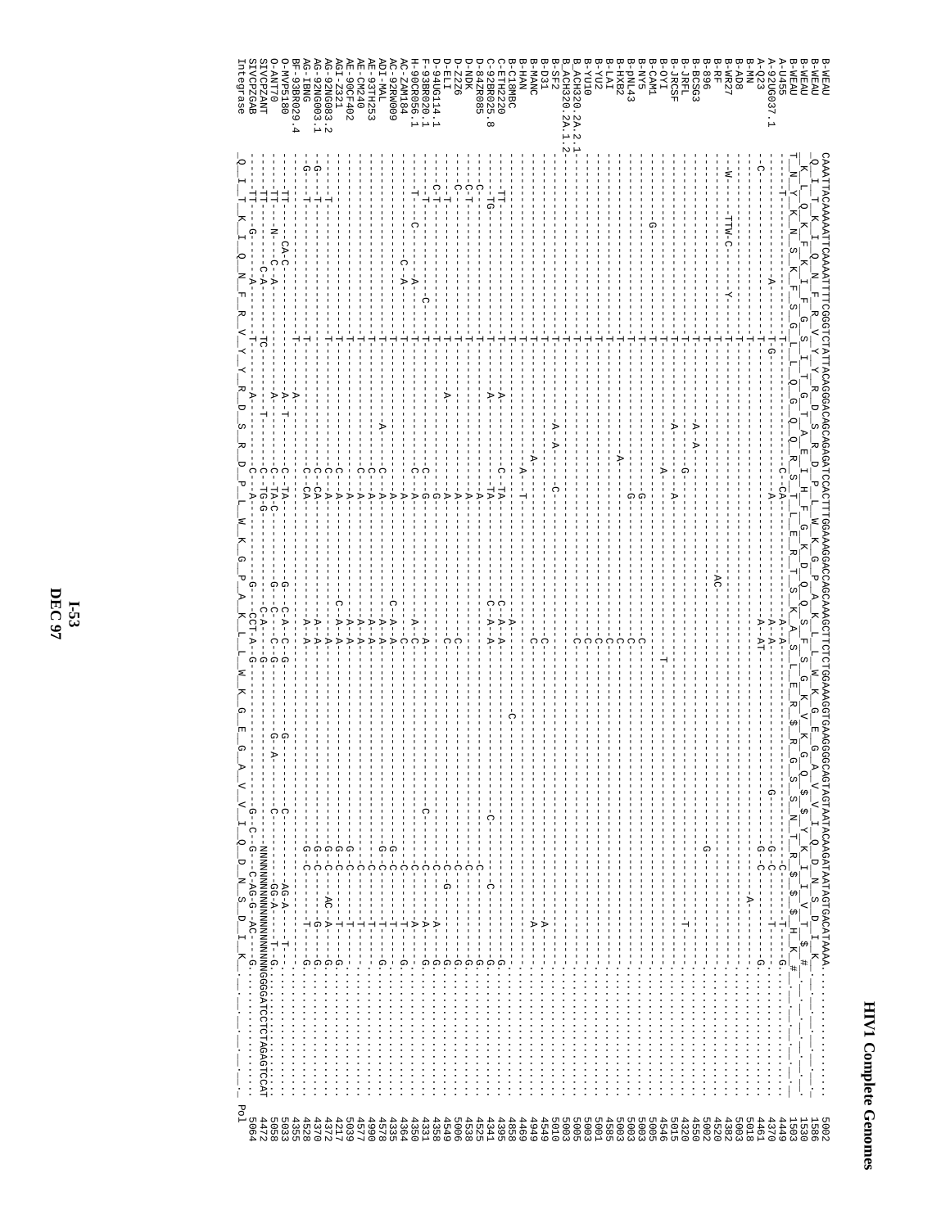| ω<br>Ω<br>ှ<br>$A - -$<br>$\overline{A}$<br>⊅<br>ř<br>C--<br>ኴ<br>∩<br>ု<br>( )<br>( )<br>Ω<br>Ω<br>Ω<br>ଢ଼<br>$A - -$<br>т<br>$\mathbf{I}$<br>J.<br>$\frac{1}{2}$<br>C<br>C<br>$\mathbf I$<br>Ţ<br>T<br>Ŧ<br>د-<br>ا<br>J.<br>п<br>л<br>H.<br>л<br>I.<br>- MNNNNNNNNNNNNNNNNNNNGGGGATCCTCTAGAGTCCAT<br>L<br>$\frac{1}{4}$<br>$\frac{1}{1}$<br>$\frac{1}{1}$<br>Ω<br>ω<br>$\Omega$<br>$\Omega$<br>ဂု<br>L.<br>т<br>$\mathbb{I}$<br>1<br>I,<br>J.<br>I.<br>Ť<br>÷<br>J<br>ı<br>J.<br>$\mathbb I$<br>$\mathbf{I}$<br>$\mathbf I$<br>I<br>I,<br>I<br>I<br>$\mathbf{I}$<br>L.<br>↷<br>G<br>Ω<br>Ω<br>↷<br>Ω<br>↷<br>Ω<br>G<br>Ω<br>Ω<br>Ω<br>Ω<br>Q<br>Ω<br>∩<br>G<br>$\mathbf{I}$<br>$\mathbf{I}$<br>ŧ<br>ŧ<br>ŧ<br>ŧ<br>ŧ<br>$\mathbf{I}$<br>ŧ<br>п<br>ţ<br>ŧ<br>$\frac{1}{1}$<br>ŧ<br>Ť<br>I<br>ŧ<br>ŧ<br>$\frac{1}{1}$<br>$\frac{1}{1}$<br>$-GG - A - - - - - - - G$ .<br>$-{\bf A}{\bf G}-{\bf A}=-$<br>$\frac{1}{1}$<br>п<br>п<br>$\frac{1}{1}$<br>J.<br>I.<br>$\blacksquare$<br>Ω<br>I<br>$\overline{C}$<br>Ť.<br>$\mathbb{I}$<br>$\mathbf{I}$<br>f,<br>$\mathbf{I}$<br>I.<br>I.<br>$\mathbf{I}$<br>ł<br>$\mathbf{I}$<br>т<br>$\overline{1}$<br>1<br>ł<br>ł<br>$\mathbb{I}$<br>RC.<br>$\mathbf{I}$<br>f,<br>$\overline{1}$<br>I<br>J.<br>L<br>$\begin{array}{c} \rule{0pt}{2.5ex} \rule{0pt}{2.5ex} \rule{0pt}{2.5ex} \rule{0pt}{2.5ex} \rule{0pt}{2.5ex} \rule{0pt}{2.5ex} \rule{0pt}{2.5ex} \rule{0pt}{2.5ex} \rule{0pt}{2.5ex} \rule{0pt}{2.5ex} \rule{0pt}{2.5ex} \rule{0pt}{2.5ex} \rule{0pt}{2.5ex} \rule{0pt}{2.5ex} \rule{0pt}{2.5ex} \rule{0pt}{2.5ex} \rule{0pt}{2.5ex} \rule{0pt}{2.5ex} \rule{0pt}{2.5ex} \rule{0$<br>$\frac{1}{\Omega}$<br>$\mathbb I$<br>ı<br>$\frac{1}{1}$<br>J.<br>$\mathbf{I}$<br>J.<br>Ţ<br>$\mathbf{I}$<br>$\blacksquare$<br>t<br>$\mathbf{I}$<br>f,<br>$\mathbf{I}$<br>$\blacksquare$<br>$\frac{1}{1}$<br>п<br>$\frac{1}{1}$<br>I<br>I<br>$--A--$<br>$-4-$<br>J.<br>I<br>ŧ<br>$\frac{1}{1}$<br>$\mathbf{I}$<br>Å<br>å<br>$\mathbf{I}$<br>L<br>I,<br>п<br>ı<br>А<br>н<br>н<br>н<br>Ĥ<br>Þ<br>$\ddot{\mathbf{r}}$<br>I<br>$\frac{1}{1}$<br>Ì<br>白!<br>!<br>i<br>H<br>f<br>$\mathsf I$<br>т<br>$\overline{\phantom{a}}$<br>f,<br>I<br>ł<br>$\frac{1}{1}$<br>$\blacksquare$<br>$\overline{\phantom{a}}$<br>$\blacksquare$<br>$\blacksquare$<br>п<br>J.<br>J.<br>$\overline{1}$<br>L<br>I,<br>J<br>I.<br>I.<br>т<br>п<br>л<br>$\mathsf I$<br>I<br>$\mathbf{I}$<br>$\mathbf I$<br>I<br>I<br>ı<br>I,<br>т<br>т<br>$\overline{\phantom{a}}$<br>$\mathsf I$<br>$\begin{array}{c} \rule{0pt}{2.5ex} \rule{0pt}{2.5ex} \rule{0pt}{2.5ex} \rule{0pt}{2.5ex} \rule{0pt}{2.5ex} \rule{0pt}{2.5ex} \rule{0pt}{2.5ex} \rule{0pt}{2.5ex} \rule{0pt}{2.5ex} \rule{0pt}{2.5ex} \rule{0pt}{2.5ex} \rule{0pt}{2.5ex} \rule{0pt}{2.5ex} \rule{0pt}{2.5ex} \rule{0pt}{2.5ex} \rule{0pt}{2.5ex} \rule{0pt}{2.5ex} \rule{0pt}{2.5ex} \rule{0pt}{2.5ex} \rule{0$<br>$\mathbf{I}$<br>Ţ<br>I<br>$\overline{\phantom{a}}$<br>$\mathbf I$<br>I<br>$\frac{1}{1}$<br>I<br>ţ<br>$\frac{1}{1}$<br>$\overline{1}$<br>$\blacksquare$<br>$\mathbf{I}$<br>İ<br>ł<br>$\blacksquare$<br>$\blacksquare$<br>J.<br>п<br>ł<br>$\mathbf{I}$<br>$\blacksquare$<br>L.<br>$\blacksquare$<br>J.<br>$\overline{1}$<br>ı<br>I<br>$\frac{1}{1}$<br>I<br>I<br>ţ<br>Ġ<br>$\begin{array}{c} \dot{\circ} \; \dot{\circ} \; \dot{\circ} \; \dot{\circ} \; \dot{\circ} \; \dot{\circ} \; \dot{\circ} \; \end{array}$<br>î.<br>$\Omega$<br>Ġ<br>Ġ<br>.<br>.<br>.<br>.<br>.<br>.<br>.<br>.<br>.<br>.<br>Ġ<br>Ω<br>Ω<br>ଋ<br>.<br>.<br>.<br>$\vdots$<br>$\frac{1}{2}$<br>$\vdots$<br>$\frac{1}{2}$ $\frac{1}{2}$ $\frac{1}{2}$ $\frac{1}{2}$ $\frac{1}{2}$ $\frac{1}{2}$ $\frac{1}{2}$ $\frac{1}{2}$ $\frac{1}{2}$ $\frac{1}{2}$ $\frac{1}{2}$ $\frac{1}{2}$ $\frac{1}{2}$ $\frac{1}{2}$ $\frac{1}{2}$ $\frac{1}{2}$ $\frac{1}{2}$ $\frac{1}{2}$ $\frac{1}{2}$ $\frac{1}{2}$ $\frac{1}{2}$ $\frac{1}{2}$<br>.<br>.<br>$\frac{1}{2}$<br><br>.<br>.<br>$\frac{1}{2}$ , $\frac{1}{2}$ , $\frac{1}{2}$ , $\frac{1}{2}$ , $\frac{1}{2}$ , $\frac{1}{2}$<br><br>.<br>.<br>$\vdots$ : $\vdots$ : $\vdots$<br>$\vdots$ : : : : : :<br>$\vdots$<br>$\ddot{\cdot}$<br>$\vdots$<br>.<br><br>$\ddot{\phantom{0}}$<br>$\vdots$<br>.<br>$\vdots$<br>.<br>$\vdots$<br>$\cdot$<br>.<br>$\vdots$<br>$\frac{1}{2}$ : $\frac{1}{2}$ : $\frac{1}{2}$ : $\frac{1}{2}$ : $\frac{1}{2}$ : $\frac{1}{2}$ : $\frac{1}{2}$<br>$\vdots$<br>$\frac{1}{2}$ $\frac{1}{2}$ $\frac{1}{2}$ $\frac{1}{2}$ $\frac{1}{2}$ $\frac{1}{2}$ $\frac{1}{2}$ $\frac{1}{2}$ $\frac{1}{2}$ $\frac{1}{2}$ $\frac{1}{2}$ $\frac{1}{2}$ $\frac{1}{2}$ $\frac{1}{2}$ $\frac{1}{2}$ $\frac{1}{2}$ $\frac{1}{2}$ $\frac{1}{2}$ $\frac{1}{2}$ $\frac{1}{2}$ $\frac{1}{2}$ $\frac{1}{2}$<br>$\frac{1}{2}$ $\frac{1}{2}$ $\frac{1}{2}$ $\frac{1}{2}$ $\frac{1}{2}$ $\frac{1}{2}$ $\frac{1}{2}$ $\frac{1}{2}$ $\frac{1}{2}$ $\frac{1}{2}$ $\frac{1}{2}$ $\frac{1}{2}$ $\frac{1}{2}$ $\frac{1}{2}$ $\frac{1}{2}$ $\frac{1}{2}$ $\frac{1}{2}$ $\frac{1}{2}$ $\frac{1}{2}$ $\frac{1}{2}$ $\frac{1}{2}$ $\frac{1}{2}$<br>$\frac{1}{2}$ $\frac{1}{2}$ $\frac{1}{2}$ $\frac{1}{2}$ $\frac{1}{2}$ $\frac{1}{2}$ $\frac{1}{2}$ $\frac{1}{2}$ $\frac{1}{2}$ $\frac{1}{2}$ $\frac{1}{2}$ $\frac{1}{2}$ $\frac{1}{2}$ $\frac{1}{2}$ $\frac{1}{2}$ $\frac{1}{2}$ $\frac{1}{2}$ $\frac{1}{2}$ $\frac{1}{2}$ $\frac{1}{2}$ $\frac{1}{2}$ $\frac{1}{2}$<br>$\vdots$<br>$\ddot{\cdot}$<br>$\vdots$<br>$\vdots$<br>$\vdots$<br>$\vdots$<br>$\frac{1}{2}$<br>$\vdots$<br>$\vdots$<br>$\vdots$<br>$\vdots$<br>$\vdots$<br>$\vdots$<br>$\vdots$<br>$\vdots$<br>$\vdots$<br>$\vdots$<br>$\vdots$<br>$\vdots$<br>$\vdots$<br>$\vdots$<br>$\vdots$<br>$\vdots$<br>$\vdots$<br>$\vdots$<br>$\vdots$<br>$\cdot$ | ႁ<br>白<br>Ę<br>Ė<br>н<br>н<br>Ω<br>⊅<br>∀−<br>₹<br>C<br>G<br>$C--T.A.$<br>Q<br>↷<br>-1A-C<br>-CA<br>-CA<br>7G-G<br>⊅<br>₻<br>ъ<br>c<br>ኴ<br>ъ |
|-----------------------------------------------------------------------------------------------------------------------------------------------------------------------------------------------------------------------------------------------------------------------------------------------------------------------------------------------------------------------------------------------------------------------------------------------------------------------------------------------------------------------------------------------------------------------------------------------------------------------------------------------------------------------------------------------------------------------------------------------------------------------------------------------------------------------------------------------------------------------------------------------------------------------------------------------------------------------------------------------------------------------------------------------------------------------------------------------------------------------------------------------------------------------------------------------------------------------------------------------------------------------------------------------------------------------------------------------------------------------------------------------------------------------------------------------------------------------------------------------------------------------------------------------------------------------------------------------------------------------------------------------------------------------------------------------------------------------------------------------------------------------------------------------------------------------------------------------------------------------------------------------------------------------------------------------------------------------------------------------------------------------------------------------------------------------------------------------------------------------------------------------------------------------------------------------------------------------------------------------------------------------------------------------------------------------------------------------------------------------------------------------------------------------------------------------------------------------------------------------------------------------------------------------------------------------------------------------------------------------------------------------------------------------------------------------------------------------------------------------------------------------------------------------------------------------------------------------------------------------------------------------------------------------------------------------------------------------------------------------------------------------------------------------------------------------------------------------------------------------------------------------------------------------------------------------------------------------------------------------------------------------------------------------------------------------------------------------------------------------------------------------------------------------------------------------------------------------------------------------------------------------------------------------------------------------------------------------------------------------------------------------------------------------------------------------------------------------------------------------------------------------------------------------------------------------------------------------------------------------------------------------------------------------------------------------------------------------------------------------------------------------------------------------------------------------------------------------------------------------------------------------------------------------------------------------------------------------------------------------------------------------------------------------------------------------------------------------------------------------------------------------------------------------------------------------------------------------------------------------------------------------------------------------------------------------------------------------------------------------------------------------------------------------------------------------------------------------------------------------------------------------------------------------------------------------------------------------------------------------------------------------------------------------------------------------------------------------------------------------------------------------------------------------------------------------------------------------------------------------------------------------------------------------------------------------------------------------------------------------------------------------------------------------------------------------------------------------------------------------------------------------------------------------------------------------------------------------------------------------------------------------------------------------------------------------------------------------------------------------------------------------------------------------------------------------------------|-----------------------------------------------------------------------------------------------------------------------------------------------|
|                                                                                                                                                                                                                                                                                                                                                                                                                                                                                                                                                                                                                                                                                                                                                                                                                                                                                                                                                                                                                                                                                                                                                                                                                                                                                                                                                                                                                                                                                                                                                                                                                                                                                                                                                                                                                                                                                                                                                                                                                                                                                                                                                                                                                                                                                                                                                                                                                                                                                                                                                                                                                                                                                                                                                                                                                                                                                                                                                                                                                                                                                                                                                                                                                                                                                                                                                                                                                                                                                                                                                                                                                                                                                                                                                                                                                                                                                                                                                                                                                                                                                                                                                                                                                                                                                                                                                                                                                                                                                                                                                                                                                                                                                                                                                                                                                                                                                                                                                                                                                                                                                                                                                                                                                                                                                                                                                                                                                                                                                                                                                                                                                                                                                                           |                                                                                                                                               |
|                                                                                                                                                                                                                                                                                                                                                                                                                                                                                                                                                                                                                                                                                                                                                                                                                                                                                                                                                                                                                                                                                                                                                                                                                                                                                                                                                                                                                                                                                                                                                                                                                                                                                                                                                                                                                                                                                                                                                                                                                                                                                                                                                                                                                                                                                                                                                                                                                                                                                                                                                                                                                                                                                                                                                                                                                                                                                                                                                                                                                                                                                                                                                                                                                                                                                                                                                                                                                                                                                                                                                                                                                                                                                                                                                                                                                                                                                                                                                                                                                                                                                                                                                                                                                                                                                                                                                                                                                                                                                                                                                                                                                                                                                                                                                                                                                                                                                                                                                                                                                                                                                                                                                                                                                                                                                                                                                                                                                                                                                                                                                                                                                                                                                                           |                                                                                                                                               |
|                                                                                                                                                                                                                                                                                                                                                                                                                                                                                                                                                                                                                                                                                                                                                                                                                                                                                                                                                                                                                                                                                                                                                                                                                                                                                                                                                                                                                                                                                                                                                                                                                                                                                                                                                                                                                                                                                                                                                                                                                                                                                                                                                                                                                                                                                                                                                                                                                                                                                                                                                                                                                                                                                                                                                                                                                                                                                                                                                                                                                                                                                                                                                                                                                                                                                                                                                                                                                                                                                                                                                                                                                                                                                                                                                                                                                                                                                                                                                                                                                                                                                                                                                                                                                                                                                                                                                                                                                                                                                                                                                                                                                                                                                                                                                                                                                                                                                                                                                                                                                                                                                                                                                                                                                                                                                                                                                                                                                                                                                                                                                                                                                                                                                                           |                                                                                                                                               |
|                                                                                                                                                                                                                                                                                                                                                                                                                                                                                                                                                                                                                                                                                                                                                                                                                                                                                                                                                                                                                                                                                                                                                                                                                                                                                                                                                                                                                                                                                                                                                                                                                                                                                                                                                                                                                                                                                                                                                                                                                                                                                                                                                                                                                                                                                                                                                                                                                                                                                                                                                                                                                                                                                                                                                                                                                                                                                                                                                                                                                                                                                                                                                                                                                                                                                                                                                                                                                                                                                                                                                                                                                                                                                                                                                                                                                                                                                                                                                                                                                                                                                                                                                                                                                                                                                                                                                                                                                                                                                                                                                                                                                                                                                                                                                                                                                                                                                                                                                                                                                                                                                                                                                                                                                                                                                                                                                                                                                                                                                                                                                                                                                                                                                                           |                                                                                                                                               |
|                                                                                                                                                                                                                                                                                                                                                                                                                                                                                                                                                                                                                                                                                                                                                                                                                                                                                                                                                                                                                                                                                                                                                                                                                                                                                                                                                                                                                                                                                                                                                                                                                                                                                                                                                                                                                                                                                                                                                                                                                                                                                                                                                                                                                                                                                                                                                                                                                                                                                                                                                                                                                                                                                                                                                                                                                                                                                                                                                                                                                                                                                                                                                                                                                                                                                                                                                                                                                                                                                                                                                                                                                                                                                                                                                                                                                                                                                                                                                                                                                                                                                                                                                                                                                                                                                                                                                                                                                                                                                                                                                                                                                                                                                                                                                                                                                                                                                                                                                                                                                                                                                                                                                                                                                                                                                                                                                                                                                                                                                                                                                                                                                                                                                                           |                                                                                                                                               |
|                                                                                                                                                                                                                                                                                                                                                                                                                                                                                                                                                                                                                                                                                                                                                                                                                                                                                                                                                                                                                                                                                                                                                                                                                                                                                                                                                                                                                                                                                                                                                                                                                                                                                                                                                                                                                                                                                                                                                                                                                                                                                                                                                                                                                                                                                                                                                                                                                                                                                                                                                                                                                                                                                                                                                                                                                                                                                                                                                                                                                                                                                                                                                                                                                                                                                                                                                                                                                                                                                                                                                                                                                                                                                                                                                                                                                                                                                                                                                                                                                                                                                                                                                                                                                                                                                                                                                                                                                                                                                                                                                                                                                                                                                                                                                                                                                                                                                                                                                                                                                                                                                                                                                                                                                                                                                                                                                                                                                                                                                                                                                                                                                                                                                                           |                                                                                                                                               |
|                                                                                                                                                                                                                                                                                                                                                                                                                                                                                                                                                                                                                                                                                                                                                                                                                                                                                                                                                                                                                                                                                                                                                                                                                                                                                                                                                                                                                                                                                                                                                                                                                                                                                                                                                                                                                                                                                                                                                                                                                                                                                                                                                                                                                                                                                                                                                                                                                                                                                                                                                                                                                                                                                                                                                                                                                                                                                                                                                                                                                                                                                                                                                                                                                                                                                                                                                                                                                                                                                                                                                                                                                                                                                                                                                                                                                                                                                                                                                                                                                                                                                                                                                                                                                                                                                                                                                                                                                                                                                                                                                                                                                                                                                                                                                                                                                                                                                                                                                                                                                                                                                                                                                                                                                                                                                                                                                                                                                                                                                                                                                                                                                                                                                                           |                                                                                                                                               |
|                                                                                                                                                                                                                                                                                                                                                                                                                                                                                                                                                                                                                                                                                                                                                                                                                                                                                                                                                                                                                                                                                                                                                                                                                                                                                                                                                                                                                                                                                                                                                                                                                                                                                                                                                                                                                                                                                                                                                                                                                                                                                                                                                                                                                                                                                                                                                                                                                                                                                                                                                                                                                                                                                                                                                                                                                                                                                                                                                                                                                                                                                                                                                                                                                                                                                                                                                                                                                                                                                                                                                                                                                                                                                                                                                                                                                                                                                                                                                                                                                                                                                                                                                                                                                                                                                                                                                                                                                                                                                                                                                                                                                                                                                                                                                                                                                                                                                                                                                                                                                                                                                                                                                                                                                                                                                                                                                                                                                                                                                                                                                                                                                                                                                                           |                                                                                                                                               |
|                                                                                                                                                                                                                                                                                                                                                                                                                                                                                                                                                                                                                                                                                                                                                                                                                                                                                                                                                                                                                                                                                                                                                                                                                                                                                                                                                                                                                                                                                                                                                                                                                                                                                                                                                                                                                                                                                                                                                                                                                                                                                                                                                                                                                                                                                                                                                                                                                                                                                                                                                                                                                                                                                                                                                                                                                                                                                                                                                                                                                                                                                                                                                                                                                                                                                                                                                                                                                                                                                                                                                                                                                                                                                                                                                                                                                                                                                                                                                                                                                                                                                                                                                                                                                                                                                                                                                                                                                                                                                                                                                                                                                                                                                                                                                                                                                                                                                                                                                                                                                                                                                                                                                                                                                                                                                                                                                                                                                                                                                                                                                                                                                                                                                                           |                                                                                                                                               |
|                                                                                                                                                                                                                                                                                                                                                                                                                                                                                                                                                                                                                                                                                                                                                                                                                                                                                                                                                                                                                                                                                                                                                                                                                                                                                                                                                                                                                                                                                                                                                                                                                                                                                                                                                                                                                                                                                                                                                                                                                                                                                                                                                                                                                                                                                                                                                                                                                                                                                                                                                                                                                                                                                                                                                                                                                                                                                                                                                                                                                                                                                                                                                                                                                                                                                                                                                                                                                                                                                                                                                                                                                                                                                                                                                                                                                                                                                                                                                                                                                                                                                                                                                                                                                                                                                                                                                                                                                                                                                                                                                                                                                                                                                                                                                                                                                                                                                                                                                                                                                                                                                                                                                                                                                                                                                                                                                                                                                                                                                                                                                                                                                                                                                                           |                                                                                                                                               |
|                                                                                                                                                                                                                                                                                                                                                                                                                                                                                                                                                                                                                                                                                                                                                                                                                                                                                                                                                                                                                                                                                                                                                                                                                                                                                                                                                                                                                                                                                                                                                                                                                                                                                                                                                                                                                                                                                                                                                                                                                                                                                                                                                                                                                                                                                                                                                                                                                                                                                                                                                                                                                                                                                                                                                                                                                                                                                                                                                                                                                                                                                                                                                                                                                                                                                                                                                                                                                                                                                                                                                                                                                                                                                                                                                                                                                                                                                                                                                                                                                                                                                                                                                                                                                                                                                                                                                                                                                                                                                                                                                                                                                                                                                                                                                                                                                                                                                                                                                                                                                                                                                                                                                                                                                                                                                                                                                                                                                                                                                                                                                                                                                                                                                                           |                                                                                                                                               |
|                                                                                                                                                                                                                                                                                                                                                                                                                                                                                                                                                                                                                                                                                                                                                                                                                                                                                                                                                                                                                                                                                                                                                                                                                                                                                                                                                                                                                                                                                                                                                                                                                                                                                                                                                                                                                                                                                                                                                                                                                                                                                                                                                                                                                                                                                                                                                                                                                                                                                                                                                                                                                                                                                                                                                                                                                                                                                                                                                                                                                                                                                                                                                                                                                                                                                                                                                                                                                                                                                                                                                                                                                                                                                                                                                                                                                                                                                                                                                                                                                                                                                                                                                                                                                                                                                                                                                                                                                                                                                                                                                                                                                                                                                                                                                                                                                                                                                                                                                                                                                                                                                                                                                                                                                                                                                                                                                                                                                                                                                                                                                                                                                                                                                                           |                                                                                                                                               |
|                                                                                                                                                                                                                                                                                                                                                                                                                                                                                                                                                                                                                                                                                                                                                                                                                                                                                                                                                                                                                                                                                                                                                                                                                                                                                                                                                                                                                                                                                                                                                                                                                                                                                                                                                                                                                                                                                                                                                                                                                                                                                                                                                                                                                                                                                                                                                                                                                                                                                                                                                                                                                                                                                                                                                                                                                                                                                                                                                                                                                                                                                                                                                                                                                                                                                                                                                                                                                                                                                                                                                                                                                                                                                                                                                                                                                                                                                                                                                                                                                                                                                                                                                                                                                                                                                                                                                                                                                                                                                                                                                                                                                                                                                                                                                                                                                                                                                                                                                                                                                                                                                                                                                                                                                                                                                                                                                                                                                                                                                                                                                                                                                                                                                                           | ኌ                                                                                                                                             |
|                                                                                                                                                                                                                                                                                                                                                                                                                                                                                                                                                                                                                                                                                                                                                                                                                                                                                                                                                                                                                                                                                                                                                                                                                                                                                                                                                                                                                                                                                                                                                                                                                                                                                                                                                                                                                                                                                                                                                                                                                                                                                                                                                                                                                                                                                                                                                                                                                                                                                                                                                                                                                                                                                                                                                                                                                                                                                                                                                                                                                                                                                                                                                                                                                                                                                                                                                                                                                                                                                                                                                                                                                                                                                                                                                                                                                                                                                                                                                                                                                                                                                                                                                                                                                                                                                                                                                                                                                                                                                                                                                                                                                                                                                                                                                                                                                                                                                                                                                                                                                                                                                                                                                                                                                                                                                                                                                                                                                                                                                                                                                                                                                                                                                                           | ⊅<br>n<br>כל                                                                                                                                  |
|                                                                                                                                                                                                                                                                                                                                                                                                                                                                                                                                                                                                                                                                                                                                                                                                                                                                                                                                                                                                                                                                                                                                                                                                                                                                                                                                                                                                                                                                                                                                                                                                                                                                                                                                                                                                                                                                                                                                                                                                                                                                                                                                                                                                                                                                                                                                                                                                                                                                                                                                                                                                                                                                                                                                                                                                                                                                                                                                                                                                                                                                                                                                                                                                                                                                                                                                                                                                                                                                                                                                                                                                                                                                                                                                                                                                                                                                                                                                                                                                                                                                                                                                                                                                                                                                                                                                                                                                                                                                                                                                                                                                                                                                                                                                                                                                                                                                                                                                                                                                                                                                                                                                                                                                                                                                                                                                                                                                                                                                                                                                                                                                                                                                                                           | н<br>Ω                                                                                                                                        |
|                                                                                                                                                                                                                                                                                                                                                                                                                                                                                                                                                                                                                                                                                                                                                                                                                                                                                                                                                                                                                                                                                                                                                                                                                                                                                                                                                                                                                                                                                                                                                                                                                                                                                                                                                                                                                                                                                                                                                                                                                                                                                                                                                                                                                                                                                                                                                                                                                                                                                                                                                                                                                                                                                                                                                                                                                                                                                                                                                                                                                                                                                                                                                                                                                                                                                                                                                                                                                                                                                                                                                                                                                                                                                                                                                                                                                                                                                                                                                                                                                                                                                                                                                                                                                                                                                                                                                                                                                                                                                                                                                                                                                                                                                                                                                                                                                                                                                                                                                                                                                                                                                                                                                                                                                                                                                                                                                                                                                                                                                                                                                                                                                                                                                                           | C-T<br>⋒                                                                                                                                      |
|                                                                                                                                                                                                                                                                                                                                                                                                                                                                                                                                                                                                                                                                                                                                                                                                                                                                                                                                                                                                                                                                                                                                                                                                                                                                                                                                                                                                                                                                                                                                                                                                                                                                                                                                                                                                                                                                                                                                                                                                                                                                                                                                                                                                                                                                                                                                                                                                                                                                                                                                                                                                                                                                                                                                                                                                                                                                                                                                                                                                                                                                                                                                                                                                                                                                                                                                                                                                                                                                                                                                                                                                                                                                                                                                                                                                                                                                                                                                                                                                                                                                                                                                                                                                                                                                                                                                                                                                                                                                                                                                                                                                                                                                                                                                                                                                                                                                                                                                                                                                                                                                                                                                                                                                                                                                                                                                                                                                                                                                                                                                                                                                                                                                                                           | Ĥ<br>₻                                                                                                                                        |
|                                                                                                                                                                                                                                                                                                                                                                                                                                                                                                                                                                                                                                                                                                                                                                                                                                                                                                                                                                                                                                                                                                                                                                                                                                                                                                                                                                                                                                                                                                                                                                                                                                                                                                                                                                                                                                                                                                                                                                                                                                                                                                                                                                                                                                                                                                                                                                                                                                                                                                                                                                                                                                                                                                                                                                                                                                                                                                                                                                                                                                                                                                                                                                                                                                                                                                                                                                                                                                                                                                                                                                                                                                                                                                                                                                                                                                                                                                                                                                                                                                                                                                                                                                                                                                                                                                                                                                                                                                                                                                                                                                                                                                                                                                                                                                                                                                                                                                                                                                                                                                                                                                                                                                                                                                                                                                                                                                                                                                                                                                                                                                                                                                                                                                           | C--<br>⊅                                                                                                                                      |
|                                                                                                                                                                                                                                                                                                                                                                                                                                                                                                                                                                                                                                                                                                                                                                                                                                                                                                                                                                                                                                                                                                                                                                                                                                                                                                                                                                                                                                                                                                                                                                                                                                                                                                                                                                                                                                                                                                                                                                                                                                                                                                                                                                                                                                                                                                                                                                                                                                                                                                                                                                                                                                                                                                                                                                                                                                                                                                                                                                                                                                                                                                                                                                                                                                                                                                                                                                                                                                                                                                                                                                                                                                                                                                                                                                                                                                                                                                                                                                                                                                                                                                                                                                                                                                                                                                                                                                                                                                                                                                                                                                                                                                                                                                                                                                                                                                                                                                                                                                                                                                                                                                                                                                                                                                                                                                                                                                                                                                                                                                                                                                                                                                                                                                           | Ċ-r<br>⋗                                                                                                                                      |
|                                                                                                                                                                                                                                                                                                                                                                                                                                                                                                                                                                                                                                                                                                                                                                                                                                                                                                                                                                                                                                                                                                                                                                                                                                                                                                                                                                                                                                                                                                                                                                                                                                                                                                                                                                                                                                                                                                                                                                                                                                                                                                                                                                                                                                                                                                                                                                                                                                                                                                                                                                                                                                                                                                                                                                                                                                                                                                                                                                                                                                                                                                                                                                                                                                                                                                                                                                                                                                                                                                                                                                                                                                                                                                                                                                                                                                                                                                                                                                                                                                                                                                                                                                                                                                                                                                                                                                                                                                                                                                                                                                                                                                                                                                                                                                                                                                                                                                                                                                                                                                                                                                                                                                                                                                                                                                                                                                                                                                                                                                                                                                                                                                                                                                           | Ω<br>⊅                                                                                                                                        |
|                                                                                                                                                                                                                                                                                                                                                                                                                                                                                                                                                                                                                                                                                                                                                                                                                                                                                                                                                                                                                                                                                                                                                                                                                                                                                                                                                                                                                                                                                                                                                                                                                                                                                                                                                                                                                                                                                                                                                                                                                                                                                                                                                                                                                                                                                                                                                                                                                                                                                                                                                                                                                                                                                                                                                                                                                                                                                                                                                                                                                                                                                                                                                                                                                                                                                                                                                                                                                                                                                                                                                                                                                                                                                                                                                                                                                                                                                                                                                                                                                                                                                                                                                                                                                                                                                                                                                                                                                                                                                                                                                                                                                                                                                                                                                                                                                                                                                                                                                                                                                                                                                                                                                                                                                                                                                                                                                                                                                                                                                                                                                                                                                                                                                                           | -TG<br>FA.                                                                                                                                    |
|                                                                                                                                                                                                                                                                                                                                                                                                                                                                                                                                                                                                                                                                                                                                                                                                                                                                                                                                                                                                                                                                                                                                                                                                                                                                                                                                                                                                                                                                                                                                                                                                                                                                                                                                                                                                                                                                                                                                                                                                                                                                                                                                                                                                                                                                                                                                                                                                                                                                                                                                                                                                                                                                                                                                                                                                                                                                                                                                                                                                                                                                                                                                                                                                                                                                                                                                                                                                                                                                                                                                                                                                                                                                                                                                                                                                                                                                                                                                                                                                                                                                                                                                                                                                                                                                                                                                                                                                                                                                                                                                                                                                                                                                                                                                                                                                                                                                                                                                                                                                                                                                                                                                                                                                                                                                                                                                                                                                                                                                                                                                                                                                                                                                                                           | 녀<br>Ω<br>$-{\bf L}{\bf A}-$                                                                                                                  |
|                                                                                                                                                                                                                                                                                                                                                                                                                                                                                                                                                                                                                                                                                                                                                                                                                                                                                                                                                                                                                                                                                                                                                                                                                                                                                                                                                                                                                                                                                                                                                                                                                                                                                                                                                                                                                                                                                                                                                                                                                                                                                                                                                                                                                                                                                                                                                                                                                                                                                                                                                                                                                                                                                                                                                                                                                                                                                                                                                                                                                                                                                                                                                                                                                                                                                                                                                                                                                                                                                                                                                                                                                                                                                                                                                                                                                                                                                                                                                                                                                                                                                                                                                                                                                                                                                                                                                                                                                                                                                                                                                                                                                                                                                                                                                                                                                                                                                                                                                                                                                                                                                                                                                                                                                                                                                                                                                                                                                                                                                                                                                                                                                                                                                                           |                                                                                                                                               |
|                                                                                                                                                                                                                                                                                                                                                                                                                                                                                                                                                                                                                                                                                                                                                                                                                                                                                                                                                                                                                                                                                                                                                                                                                                                                                                                                                                                                                                                                                                                                                                                                                                                                                                                                                                                                                                                                                                                                                                                                                                                                                                                                                                                                                                                                                                                                                                                                                                                                                                                                                                                                                                                                                                                                                                                                                                                                                                                                                                                                                                                                                                                                                                                                                                                                                                                                                                                                                                                                                                                                                                                                                                                                                                                                                                                                                                                                                                                                                                                                                                                                                                                                                                                                                                                                                                                                                                                                                                                                                                                                                                                                                                                                                                                                                                                                                                                                                                                                                                                                                                                                                                                                                                                                                                                                                                                                                                                                                                                                                                                                                                                                                                                                                                           |                                                                                                                                               |
|                                                                                                                                                                                                                                                                                                                                                                                                                                                                                                                                                                                                                                                                                                                                                                                                                                                                                                                                                                                                                                                                                                                                                                                                                                                                                                                                                                                                                                                                                                                                                                                                                                                                                                                                                                                                                                                                                                                                                                                                                                                                                                                                                                                                                                                                                                                                                                                                                                                                                                                                                                                                                                                                                                                                                                                                                                                                                                                                                                                                                                                                                                                                                                                                                                                                                                                                                                                                                                                                                                                                                                                                                                                                                                                                                                                                                                                                                                                                                                                                                                                                                                                                                                                                                                                                                                                                                                                                                                                                                                                                                                                                                                                                                                                                                                                                                                                                                                                                                                                                                                                                                                                                                                                                                                                                                                                                                                                                                                                                                                                                                                                                                                                                                                           |                                                                                                                                               |
|                                                                                                                                                                                                                                                                                                                                                                                                                                                                                                                                                                                                                                                                                                                                                                                                                                                                                                                                                                                                                                                                                                                                                                                                                                                                                                                                                                                                                                                                                                                                                                                                                                                                                                                                                                                                                                                                                                                                                                                                                                                                                                                                                                                                                                                                                                                                                                                                                                                                                                                                                                                                                                                                                                                                                                                                                                                                                                                                                                                                                                                                                                                                                                                                                                                                                                                                                                                                                                                                                                                                                                                                                                                                                                                                                                                                                                                                                                                                                                                                                                                                                                                                                                                                                                                                                                                                                                                                                                                                                                                                                                                                                                                                                                                                                                                                                                                                                                                                                                                                                                                                                                                                                                                                                                                                                                                                                                                                                                                                                                                                                                                                                                                                                                           |                                                                                                                                               |
|                                                                                                                                                                                                                                                                                                                                                                                                                                                                                                                                                                                                                                                                                                                                                                                                                                                                                                                                                                                                                                                                                                                                                                                                                                                                                                                                                                                                                                                                                                                                                                                                                                                                                                                                                                                                                                                                                                                                                                                                                                                                                                                                                                                                                                                                                                                                                                                                                                                                                                                                                                                                                                                                                                                                                                                                                                                                                                                                                                                                                                                                                                                                                                                                                                                                                                                                                                                                                                                                                                                                                                                                                                                                                                                                                                                                                                                                                                                                                                                                                                                                                                                                                                                                                                                                                                                                                                                                                                                                                                                                                                                                                                                                                                                                                                                                                                                                                                                                                                                                                                                                                                                                                                                                                                                                                                                                                                                                                                                                                                                                                                                                                                                                                                           |                                                                                                                                               |
|                                                                                                                                                                                                                                                                                                                                                                                                                                                                                                                                                                                                                                                                                                                                                                                                                                                                                                                                                                                                                                                                                                                                                                                                                                                                                                                                                                                                                                                                                                                                                                                                                                                                                                                                                                                                                                                                                                                                                                                                                                                                                                                                                                                                                                                                                                                                                                                                                                                                                                                                                                                                                                                                                                                                                                                                                                                                                                                                                                                                                                                                                                                                                                                                                                                                                                                                                                                                                                                                                                                                                                                                                                                                                                                                                                                                                                                                                                                                                                                                                                                                                                                                                                                                                                                                                                                                                                                                                                                                                                                                                                                                                                                                                                                                                                                                                                                                                                                                                                                                                                                                                                                                                                                                                                                                                                                                                                                                                                                                                                                                                                                                                                                                                                           |                                                                                                                                               |
|                                                                                                                                                                                                                                                                                                                                                                                                                                                                                                                                                                                                                                                                                                                                                                                                                                                                                                                                                                                                                                                                                                                                                                                                                                                                                                                                                                                                                                                                                                                                                                                                                                                                                                                                                                                                                                                                                                                                                                                                                                                                                                                                                                                                                                                                                                                                                                                                                                                                                                                                                                                                                                                                                                                                                                                                                                                                                                                                                                                                                                                                                                                                                                                                                                                                                                                                                                                                                                                                                                                                                                                                                                                                                                                                                                                                                                                                                                                                                                                                                                                                                                                                                                                                                                                                                                                                                                                                                                                                                                                                                                                                                                                                                                                                                                                                                                                                                                                                                                                                                                                                                                                                                                                                                                                                                                                                                                                                                                                                                                                                                                                                                                                                                                           |                                                                                                                                               |
|                                                                                                                                                                                                                                                                                                                                                                                                                                                                                                                                                                                                                                                                                                                                                                                                                                                                                                                                                                                                                                                                                                                                                                                                                                                                                                                                                                                                                                                                                                                                                                                                                                                                                                                                                                                                                                                                                                                                                                                                                                                                                                                                                                                                                                                                                                                                                                                                                                                                                                                                                                                                                                                                                                                                                                                                                                                                                                                                                                                                                                                                                                                                                                                                                                                                                                                                                                                                                                                                                                                                                                                                                                                                                                                                                                                                                                                                                                                                                                                                                                                                                                                                                                                                                                                                                                                                                                                                                                                                                                                                                                                                                                                                                                                                                                                                                                                                                                                                                                                                                                                                                                                                                                                                                                                                                                                                                                                                                                                                                                                                                                                                                                                                                                           |                                                                                                                                               |
|                                                                                                                                                                                                                                                                                                                                                                                                                                                                                                                                                                                                                                                                                                                                                                                                                                                                                                                                                                                                                                                                                                                                                                                                                                                                                                                                                                                                                                                                                                                                                                                                                                                                                                                                                                                                                                                                                                                                                                                                                                                                                                                                                                                                                                                                                                                                                                                                                                                                                                                                                                                                                                                                                                                                                                                                                                                                                                                                                                                                                                                                                                                                                                                                                                                                                                                                                                                                                                                                                                                                                                                                                                                                                                                                                                                                                                                                                                                                                                                                                                                                                                                                                                                                                                                                                                                                                                                                                                                                                                                                                                                                                                                                                                                                                                                                                                                                                                                                                                                                                                                                                                                                                                                                                                                                                                                                                                                                                                                                                                                                                                                                                                                                                                           |                                                                                                                                               |
|                                                                                                                                                                                                                                                                                                                                                                                                                                                                                                                                                                                                                                                                                                                                                                                                                                                                                                                                                                                                                                                                                                                                                                                                                                                                                                                                                                                                                                                                                                                                                                                                                                                                                                                                                                                                                                                                                                                                                                                                                                                                                                                                                                                                                                                                                                                                                                                                                                                                                                                                                                                                                                                                                                                                                                                                                                                                                                                                                                                                                                                                                                                                                                                                                                                                                                                                                                                                                                                                                                                                                                                                                                                                                                                                                                                                                                                                                                                                                                                                                                                                                                                                                                                                                                                                                                                                                                                                                                                                                                                                                                                                                                                                                                                                                                                                                                                                                                                                                                                                                                                                                                                                                                                                                                                                                                                                                                                                                                                                                                                                                                                                                                                                                                           |                                                                                                                                               |
|                                                                                                                                                                                                                                                                                                                                                                                                                                                                                                                                                                                                                                                                                                                                                                                                                                                                                                                                                                                                                                                                                                                                                                                                                                                                                                                                                                                                                                                                                                                                                                                                                                                                                                                                                                                                                                                                                                                                                                                                                                                                                                                                                                                                                                                                                                                                                                                                                                                                                                                                                                                                                                                                                                                                                                                                                                                                                                                                                                                                                                                                                                                                                                                                                                                                                                                                                                                                                                                                                                                                                                                                                                                                                                                                                                                                                                                                                                                                                                                                                                                                                                                                                                                                                                                                                                                                                                                                                                                                                                                                                                                                                                                                                                                                                                                                                                                                                                                                                                                                                                                                                                                                                                                                                                                                                                                                                                                                                                                                                                                                                                                                                                                                                                           |                                                                                                                                               |
|                                                                                                                                                                                                                                                                                                                                                                                                                                                                                                                                                                                                                                                                                                                                                                                                                                                                                                                                                                                                                                                                                                                                                                                                                                                                                                                                                                                                                                                                                                                                                                                                                                                                                                                                                                                                                                                                                                                                                                                                                                                                                                                                                                                                                                                                                                                                                                                                                                                                                                                                                                                                                                                                                                                                                                                                                                                                                                                                                                                                                                                                                                                                                                                                                                                                                                                                                                                                                                                                                                                                                                                                                                                                                                                                                                                                                                                                                                                                                                                                                                                                                                                                                                                                                                                                                                                                                                                                                                                                                                                                                                                                                                                                                                                                                                                                                                                                                                                                                                                                                                                                                                                                                                                                                                                                                                                                                                                                                                                                                                                                                                                                                                                                                                           |                                                                                                                                               |
|                                                                                                                                                                                                                                                                                                                                                                                                                                                                                                                                                                                                                                                                                                                                                                                                                                                                                                                                                                                                                                                                                                                                                                                                                                                                                                                                                                                                                                                                                                                                                                                                                                                                                                                                                                                                                                                                                                                                                                                                                                                                                                                                                                                                                                                                                                                                                                                                                                                                                                                                                                                                                                                                                                                                                                                                                                                                                                                                                                                                                                                                                                                                                                                                                                                                                                                                                                                                                                                                                                                                                                                                                                                                                                                                                                                                                                                                                                                                                                                                                                                                                                                                                                                                                                                                                                                                                                                                                                                                                                                                                                                                                                                                                                                                                                                                                                                                                                                                                                                                                                                                                                                                                                                                                                                                                                                                                                                                                                                                                                                                                                                                                                                                                                           | ດ                                                                                                                                             |
|                                                                                                                                                                                                                                                                                                                                                                                                                                                                                                                                                                                                                                                                                                                                                                                                                                                                                                                                                                                                                                                                                                                                                                                                                                                                                                                                                                                                                                                                                                                                                                                                                                                                                                                                                                                                                                                                                                                                                                                                                                                                                                                                                                                                                                                                                                                                                                                                                                                                                                                                                                                                                                                                                                                                                                                                                                                                                                                                                                                                                                                                                                                                                                                                                                                                                                                                                                                                                                                                                                                                                                                                                                                                                                                                                                                                                                                                                                                                                                                                                                                                                                                                                                                                                                                                                                                                                                                                                                                                                                                                                                                                                                                                                                                                                                                                                                                                                                                                                                                                                                                                                                                                                                                                                                                                                                                                                                                                                                                                                                                                                                                                                                                                                                           | G.                                                                                                                                            |
|                                                                                                                                                                                                                                                                                                                                                                                                                                                                                                                                                                                                                                                                                                                                                                                                                                                                                                                                                                                                                                                                                                                                                                                                                                                                                                                                                                                                                                                                                                                                                                                                                                                                                                                                                                                                                                                                                                                                                                                                                                                                                                                                                                                                                                                                                                                                                                                                                                                                                                                                                                                                                                                                                                                                                                                                                                                                                                                                                                                                                                                                                                                                                                                                                                                                                                                                                                                                                                                                                                                                                                                                                                                                                                                                                                                                                                                                                                                                                                                                                                                                                                                                                                                                                                                                                                                                                                                                                                                                                                                                                                                                                                                                                                                                                                                                                                                                                                                                                                                                                                                                                                                                                                                                                                                                                                                                                                                                                                                                                                                                                                                                                                                                                                           |                                                                                                                                               |
|                                                                                                                                                                                                                                                                                                                                                                                                                                                                                                                                                                                                                                                                                                                                                                                                                                                                                                                                                                                                                                                                                                                                                                                                                                                                                                                                                                                                                                                                                                                                                                                                                                                                                                                                                                                                                                                                                                                                                                                                                                                                                                                                                                                                                                                                                                                                                                                                                                                                                                                                                                                                                                                                                                                                                                                                                                                                                                                                                                                                                                                                                                                                                                                                                                                                                                                                                                                                                                                                                                                                                                                                                                                                                                                                                                                                                                                                                                                                                                                                                                                                                                                                                                                                                                                                                                                                                                                                                                                                                                                                                                                                                                                                                                                                                                                                                                                                                                                                                                                                                                                                                                                                                                                                                                                                                                                                                                                                                                                                                                                                                                                                                                                                                                           |                                                                                                                                               |
|                                                                                                                                                                                                                                                                                                                                                                                                                                                                                                                                                                                                                                                                                                                                                                                                                                                                                                                                                                                                                                                                                                                                                                                                                                                                                                                                                                                                                                                                                                                                                                                                                                                                                                                                                                                                                                                                                                                                                                                                                                                                                                                                                                                                                                                                                                                                                                                                                                                                                                                                                                                                                                                                                                                                                                                                                                                                                                                                                                                                                                                                                                                                                                                                                                                                                                                                                                                                                                                                                                                                                                                                                                                                                                                                                                                                                                                                                                                                                                                                                                                                                                                                                                                                                                                                                                                                                                                                                                                                                                                                                                                                                                                                                                                                                                                                                                                                                                                                                                                                                                                                                                                                                                                                                                                                                                                                                                                                                                                                                                                                                                                                                                                                                                           |                                                                                                                                               |
|                                                                                                                                                                                                                                                                                                                                                                                                                                                                                                                                                                                                                                                                                                                                                                                                                                                                                                                                                                                                                                                                                                                                                                                                                                                                                                                                                                                                                                                                                                                                                                                                                                                                                                                                                                                                                                                                                                                                                                                                                                                                                                                                                                                                                                                                                                                                                                                                                                                                                                                                                                                                                                                                                                                                                                                                                                                                                                                                                                                                                                                                                                                                                                                                                                                                                                                                                                                                                                                                                                                                                                                                                                                                                                                                                                                                                                                                                                                                                                                                                                                                                                                                                                                                                                                                                                                                                                                                                                                                                                                                                                                                                                                                                                                                                                                                                                                                                                                                                                                                                                                                                                                                                                                                                                                                                                                                                                                                                                                                                                                                                                                                                                                                                                           |                                                                                                                                               |
|                                                                                                                                                                                                                                                                                                                                                                                                                                                                                                                                                                                                                                                                                                                                                                                                                                                                                                                                                                                                                                                                                                                                                                                                                                                                                                                                                                                                                                                                                                                                                                                                                                                                                                                                                                                                                                                                                                                                                                                                                                                                                                                                                                                                                                                                                                                                                                                                                                                                                                                                                                                                                                                                                                                                                                                                                                                                                                                                                                                                                                                                                                                                                                                                                                                                                                                                                                                                                                                                                                                                                                                                                                                                                                                                                                                                                                                                                                                                                                                                                                                                                                                                                                                                                                                                                                                                                                                                                                                                                                                                                                                                                                                                                                                                                                                                                                                                                                                                                                                                                                                                                                                                                                                                                                                                                                                                                                                                                                                                                                                                                                                                                                                                                                           | G.                                                                                                                                            |
|                                                                                                                                                                                                                                                                                                                                                                                                                                                                                                                                                                                                                                                                                                                                                                                                                                                                                                                                                                                                                                                                                                                                                                                                                                                                                                                                                                                                                                                                                                                                                                                                                                                                                                                                                                                                                                                                                                                                                                                                                                                                                                                                                                                                                                                                                                                                                                                                                                                                                                                                                                                                                                                                                                                                                                                                                                                                                                                                                                                                                                                                                                                                                                                                                                                                                                                                                                                                                                                                                                                                                                                                                                                                                                                                                                                                                                                                                                                                                                                                                                                                                                                                                                                                                                                                                                                                                                                                                                                                                                                                                                                                                                                                                                                                                                                                                                                                                                                                                                                                                                                                                                                                                                                                                                                                                                                                                                                                                                                                                                                                                                                                                                                                                                           |                                                                                                                                               |
| Ω<br>L                                                                                                                                                                                                                                                                                                                                                                                                                                                                                                                                                                                                                                                                                                                                                                                                                                                                                                                                                                                                                                                                                                                                                                                                                                                                                                                                                                                                                                                                                                                                                                                                                                                                                                                                                                                                                                                                                                                                                                                                                                                                                                                                                                                                                                                                                                                                                                                                                                                                                                                                                                                                                                                                                                                                                                                                                                                                                                                                                                                                                                                                                                                                                                                                                                                                                                                                                                                                                                                                                                                                                                                                                                                                                                                                                                                                                                                                                                                                                                                                                                                                                                                                                                                                                                                                                                                                                                                                                                                                                                                                                                                                                                                                                                                                                                                                                                                                                                                                                                                                                                                                                                                                                                                                                                                                                                                                                                                                                                                                                                                                                                                                                                                                                                    |                                                                                                                                               |
| R<br>$\vdots$<br>$\vdots$                                                                                                                                                                                                                                                                                                                                                                                                                                                                                                                                                                                                                                                                                                                                                                                                                                                                                                                                                                                                                                                                                                                                                                                                                                                                                                                                                                                                                                                                                                                                                                                                                                                                                                                                                                                                                                                                                                                                                                                                                                                                                                                                                                                                                                                                                                                                                                                                                                                                                                                                                                                                                                                                                                                                                                                                                                                                                                                                                                                                                                                                                                                                                                                                                                                                                                                                                                                                                                                                                                                                                                                                                                                                                                                                                                                                                                                                                                                                                                                                                                                                                                                                                                                                                                                                                                                                                                                                                                                                                                                                                                                                                                                                                                                                                                                                                                                                                                                                                                                                                                                                                                                                                                                                                                                                                                                                                                                                                                                                                                                                                                                                                                                                                 |                                                                                                                                               |
| $\vdots$<br>$\vdots$                                                                                                                                                                                                                                                                                                                                                                                                                                                                                                                                                                                                                                                                                                                                                                                                                                                                                                                                                                                                                                                                                                                                                                                                                                                                                                                                                                                                                                                                                                                                                                                                                                                                                                                                                                                                                                                                                                                                                                                                                                                                                                                                                                                                                                                                                                                                                                                                                                                                                                                                                                                                                                                                                                                                                                                                                                                                                                                                                                                                                                                                                                                                                                                                                                                                                                                                                                                                                                                                                                                                                                                                                                                                                                                                                                                                                                                                                                                                                                                                                                                                                                                                                                                                                                                                                                                                                                                                                                                                                                                                                                                                                                                                                                                                                                                                                                                                                                                                                                                                                                                                                                                                                                                                                                                                                                                                                                                                                                                                                                                                                                                                                                                                                      | D-MLLI                                                                                                                                        |
| I<br>I<br>I<br>I<br>л<br>I<br>Ï<br>I<br>л<br>I<br>I<br>I<br>$\vdots$<br>$\vdots$                                                                                                                                                                                                                                                                                                                                                                                                                                                                                                                                                                                                                                                                                                                                                                                                                                                                                                                                                                                                                                                                                                                                                                                                                                                                                                                                                                                                                                                                                                                                                                                                                                                                                                                                                                                                                                                                                                                                                                                                                                                                                                                                                                                                                                                                                                                                                                                                                                                                                                                                                                                                                                                                                                                                                                                                                                                                                                                                                                                                                                                                                                                                                                                                                                                                                                                                                                                                                                                                                                                                                                                                                                                                                                                                                                                                                                                                                                                                                                                                                                                                                                                                                                                                                                                                                                                                                                                                                                                                                                                                                                                                                                                                                                                                                                                                                                                                                                                                                                                                                                                                                                                                                                                                                                                                                                                                                                                                                                                                                                                                                                                                                          |                                                                                                                                               |
| J.<br>п<br>J<br>I<br>J.<br>п<br>J.<br>$\overline{A}$<br>J.<br>п<br>$\overline{1}$<br>1<br>I<br>I<br>$\ddot{\cdot}$<br>.                                                                                                                                                                                                                                                                                                                                                                                                                                                                                                                                                                                                                                                                                                                                                                                                                                                                                                                                                                                                                                                                                                                                                                                                                                                                                                                                                                                                                                                                                                                                                                                                                                                                                                                                                                                                                                                                                                                                                                                                                                                                                                                                                                                                                                                                                                                                                                                                                                                                                                                                                                                                                                                                                                                                                                                                                                                                                                                                                                                                                                                                                                                                                                                                                                                                                                                                                                                                                                                                                                                                                                                                                                                                                                                                                                                                                                                                                                                                                                                                                                                                                                                                                                                                                                                                                                                                                                                                                                                                                                                                                                                                                                                                                                                                                                                                                                                                                                                                                                                                                                                                                                                                                                                                                                                                                                                                                                                                                                                                                                                                                                                   |                                                                                                                                               |
| Ã<br>J,<br>I<br>л<br>л<br>$\mathbf I$<br>I<br>л<br>f,<br>I<br>л<br>I<br>J.<br><u>ဂ်</u><br> <br>Ω<br>ţ<br>п<br>J.<br>Ï<br>I<br>J.<br>л<br>J.<br>л<br>$\mathbf I$<br>Ţ<br>J.<br>Ġ<br>$\vdots$<br>$\vdots$                                                                                                                                                                                                                                                                                                                                                                                                                                                                                                                                                                                                                                                                                                                                                                                                                                                                                                                                                                                                                                                                                                                                                                                                                                                                                                                                                                                                                                                                                                                                                                                                                                                                                                                                                                                                                                                                                                                                                                                                                                                                                                                                                                                                                                                                                                                                                                                                                                                                                                                                                                                                                                                                                                                                                                                                                                                                                                                                                                                                                                                                                                                                                                                                                                                                                                                                                                                                                                                                                                                                                                                                                                                                                                                                                                                                                                                                                                                                                                                                                                                                                                                                                                                                                                                                                                                                                                                                                                                                                                                                                                                                                                                                                                                                                                                                                                                                                                                                                                                                                                                                                                                                                                                                                                                                                                                                                                                                                                                                                                  |                                                                                                                                               |
| ٢<br>J.<br>$\overline{\phantom{a}}$<br>I<br>$\mathbf{I}$<br>ω<br>ł<br>$\overline{\phantom{a}}$<br>I<br>J.<br>ı<br>$-\frac{1}{2}$<br>Ω<br>Ţ<br>J.<br>т<br>ı<br>I<br>т<br>Ė<br>п<br>J<br>$\frac{1}{1}$<br>$\vdots$<br>$\ddot{\cdot}$<br>$\frac{1}{2}$ $\frac{1}{2}$ $\frac{1}{2}$ $\frac{1}{2}$ $\frac{1}{2}$ $\frac{1}{2}$ $\frac{1}{2}$ $\frac{1}{2}$ $\frac{1}{2}$ $\frac{1}{2}$ $\frac{1}{2}$ $\frac{1}{2}$ $\frac{1}{2}$ $\frac{1}{2}$ $\frac{1}{2}$ $\frac{1}{2}$ $\frac{1}{2}$ $\frac{1}{2}$ $\frac{1}{2}$ $\frac{1}{2}$ $\frac{1}{2}$ $\frac{1}{2}$                                                                                                                                                                                                                                                                                                                                                                                                                                                                                                                                                                                                                                                                                                                                                                                                                                                                                                                                                                                                                                                                                                                                                                                                                                                                                                                                                                                                                                                                                                                                                                                                                                                                                                                                                                                                                                                                                                                                                                                                                                                                                                                                                                                                                                                                                                                                                                                                                                                                                                                                                                                                                                                                                                                                                                                                                                                                                                                                                                                                                                                                                                                                                                                                                                                                                                                                                                                                                                                                                                                                                                                                                                                                                                                                                                                                                                                                                                                                                                                                                                                                                                                                                                                                                                                                                                                                                                                                                                                                                                                                                                                                                                                                                                                                                                                                                                                                                                                                                                                                                                                                                                                                                 |                                                                                                                                               |
| -11<br>Ω<br>$\mathbf{I}$<br>$\blacksquare$<br>Ω<br>$\vdots$<br>$\vdots$                                                                                                                                                                                                                                                                                                                                                                                                                                                                                                                                                                                                                                                                                                                                                                                                                                                                                                                                                                                                                                                                                                                                                                                                                                                                                                                                                                                                                                                                                                                                                                                                                                                                                                                                                                                                                                                                                                                                                                                                                                                                                                                                                                                                                                                                                                                                                                                                                                                                                                                                                                                                                                                                                                                                                                                                                                                                                                                                                                                                                                                                                                                                                                                                                                                                                                                                                                                                                                                                                                                                                                                                                                                                                                                                                                                                                                                                                                                                                                                                                                                                                                                                                                                                                                                                                                                                                                                                                                                                                                                                                                                                                                                                                                                                                                                                                                                                                                                                                                                                                                                                                                                                                                                                                                                                                                                                                                                                                                                                                                                                                                                                                                   |                                                                                                                                               |
| ດ<br>īω<br>ĬΩ.<br>z<br>₩<br>₩<br>٠U.<br>₩<br>Έ<br>Ħ                                                                                                                                                                                                                                                                                                                                                                                                                                                                                                                                                                                                                                                                                                                                                                                                                                                                                                                                                                                                                                                                                                                                                                                                                                                                                                                                                                                                                                                                                                                                                                                                                                                                                                                                                                                                                                                                                                                                                                                                                                                                                                                                                                                                                                                                                                                                                                                                                                                                                                                                                                                                                                                                                                                                                                                                                                                                                                                                                                                                                                                                                                                                                                                                                                                                                                                                                                                                                                                                                                                                                                                                                                                                                                                                                                                                                                                                                                                                                                                                                                                                                                                                                                                                                                                                                                                                                                                                                                                                                                                                                                                                                                                                                                                                                                                                                                                                                                                                                                                                                                                                                                                                                                                                                                                                                                                                                                                                                                                                                                                                                                                                                                                       |                                                                                                                                               |
| Ł                                                                                                                                                                                                                                                                                                                                                                                                                                                                                                                                                                                                                                                                                                                                                                                                                                                                                                                                                                                                                                                                                                                                                                                                                                                                                                                                                                                                                                                                                                                                                                                                                                                                                                                                                                                                                                                                                                                                                                                                                                                                                                                                                                                                                                                                                                                                                                                                                                                                                                                                                                                                                                                                                                                                                                                                                                                                                                                                                                                                                                                                                                                                                                                                                                                                                                                                                                                                                                                                                                                                                                                                                                                                                                                                                                                                                                                                                                                                                                                                                                                                                                                                                                                                                                                                                                                                                                                                                                                                                                                                                                                                                                                                                                                                                                                                                                                                                                                                                                                                                                                                                                                                                                                                                                                                                                                                                                                                                                                                                                                                                                                                                                                                                                         |                                                                                                                                               |
| ଋ<br>O<br>UΣ<br>WΣ<br>⋞<br>٠W                                                                                                                                                                                                                                                                                                                                                                                                                                                                                                                                                                                                                                                                                                                                                                                                                                                                                                                                                                                                                                                                                                                                                                                                                                                                                                                                                                                                                                                                                                                                                                                                                                                                                                                                                                                                                                                                                                                                                                                                                                                                                                                                                                                                                                                                                                                                                                                                                                                                                                                                                                                                                                                                                                                                                                                                                                                                                                                                                                                                                                                                                                                                                                                                                                                                                                                                                                                                                                                                                                                                                                                                                                                                                                                                                                                                                                                                                                                                                                                                                                                                                                                                                                                                                                                                                                                                                                                                                                                                                                                                                                                                                                                                                                                                                                                                                                                                                                                                                                                                                                                                                                                                                                                                                                                                                                                                                                                                                                                                                                                                                                                                                                                                             |                                                                                                                                               |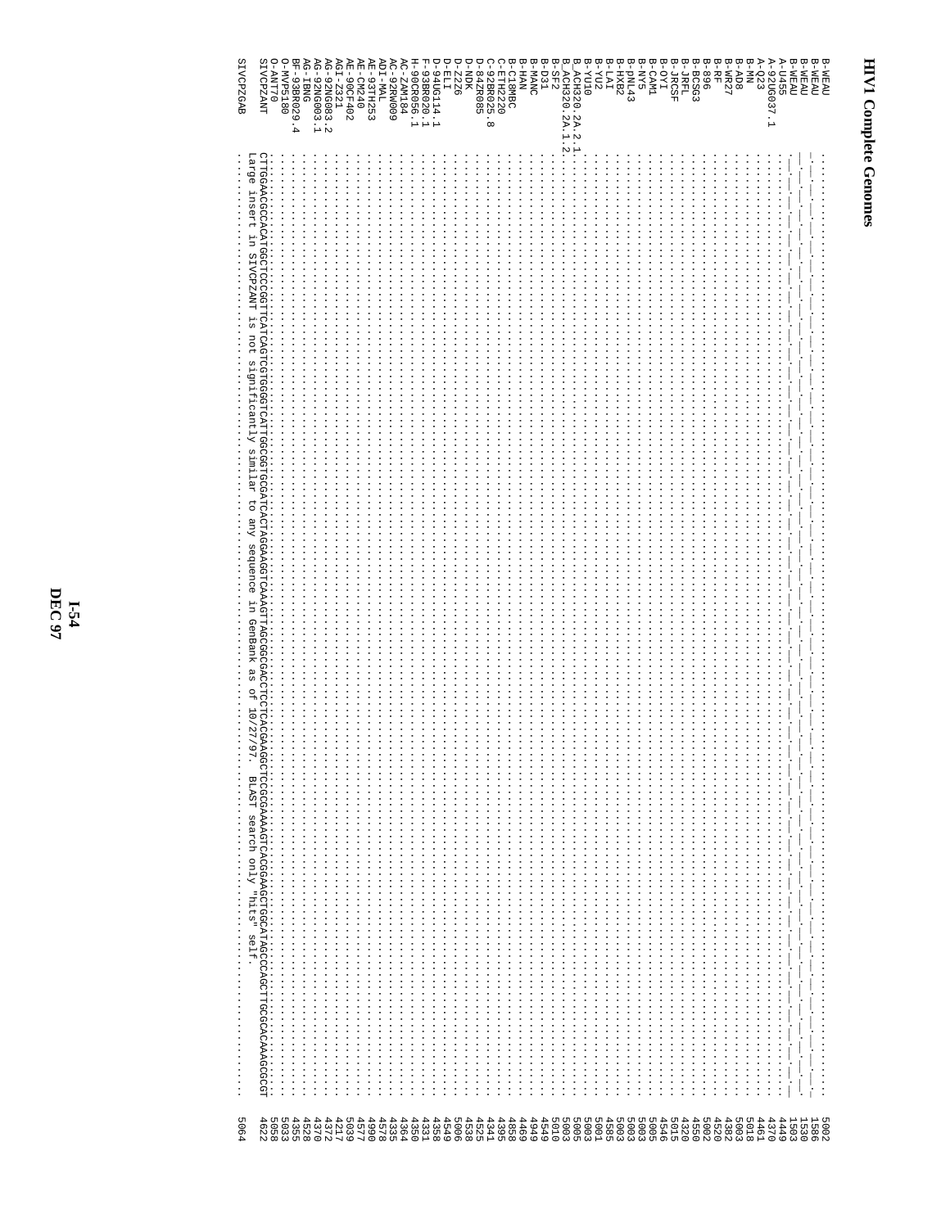| 5064                                          | $\ddot{\phantom{0}}$<br>$\vdots$                                                                                                                                                                                                                                                                                                                                                                                                     | SIVCPZGAB                                 |
|-----------------------------------------------|--------------------------------------------------------------------------------------------------------------------------------------------------------------------------------------------------------------------------------------------------------------------------------------------------------------------------------------------------------------------------------------------------------------------------------------|-------------------------------------------|
|                                               | ратае<br><b>Thsert</b><br>Ë<br>SIVCPZANTZ<br>ŢΩ<br>not<br>significantly<br>similar<br>CO<br>Xue<br>sequence<br>$\overline{u}$<br>GenBank<br>αs<br>$\frac{0}{1}$<br>$-0/27$<br>$\sigma$ ,<br><b>BLAST</b><br>search only "hits"<br>self                                                                                                                                                                                               |                                           |
| $\mathsf{N}$                                  | CTTGGAACCCAARGCTCCCGGTTCATCAGTGGGGGTCATTGGGGTGATCGGGTGAACACTAGGAAGTCAAAGTTAGGGGGGGACCCCTCACGA<br><b>GGCTCCGCAAAAGTCACGGAAGCTGCATAGCCAGCTTGCGCACAAAGCGCGT</b>                                                                                                                                                                                                                                                                         | SIVCPZANT                                 |
| 505<br>462:<br>$\infty$                       | $\cdot$<br>$\vdots$<br>$\cdot$<br>$\vdots$<br>$\cdot$<br>$\cdot$<br>$\cdot$<br>$\cdot$<br>$\cdot$<br>$\cdot$<br>$\cdot$<br>$\cdot$<br>$\cdot$<br>$\cdot$<br>$\cdot$<br>$\vdots$<br>$\cdot$<br>$\cdot$<br>$\cdot$<br>$\vdots$<br>$\bullet$<br>$\vdots$<br>$\cdot$                                                                                                                                                                     | 07TYA-0                                   |
| 503<br>ω                                      | $\vdots$<br>$\frac{1}{2}$ : $\frac{1}{2}$ : $\frac{1}{2}$ : $\frac{1}{2}$ :<br>$\vdots$<br>$\cdot$                                                                                                                                                                                                                                                                                                                                   | 08TSdAW-0                                 |
| 435<br>UЛ                                     | .<br>$\frac{1}{2}$ , $\frac{1}{2}$ , $\frac{1}{2}$ , $\frac{1}{2}$ , $\frac{1}{2}$ , $\frac{1}{2}$ , $\frac{1}{2}$ , $\frac{1}{2}$ , $\frac{1}{2}$<br>.<br>$\ddot{\cdot}$<br>$\cdot$                                                                                                                                                                                                                                                 | BF-93BR029.4                              |
| 452<br>$\infty$                               | $\cdot$                                                                                                                                                                                                                                                                                                                                                                                                                              | AG-IBNG                                   |
|                                               | $\cdot$                                                                                                                                                                                                                                                                                                                                                                                                                              |                                           |
| 44<br>137<br>$\circ$ N                        | $\cdot$                                                                                                                                                                                                                                                                                                                                                                                                                              | AG-92NG083.2<br>AG-92NG003.1              |
| 4<br>$\overline{151}$<br>$\frac{1}{2}$        |                                                                                                                                                                                                                                                                                                                                                                                                                                      | <b>AGI-Z321</b>                           |
| 5039                                          | $\cdot$                                                                                                                                                                                                                                                                                                                                                                                                                              | AE-90CF402                                |
| 1451                                          |                                                                                                                                                                                                                                                                                                                                                                                                                                      | AE-CM240                                  |
| 4                                             | $\cdot$                                                                                                                                                                                                                                                                                                                                                                                                                              |                                           |
| 499<br>4578<br>$\circ$                        | $\ddot{\phantom{0}}$                                                                                                                                                                                                                                                                                                                                                                                                                 | AE-93TH253<br><b>TVM-IOV</b>              |
|                                               |                                                                                                                                                                                                                                                                                                                                                                                                                                      | AC-92RW009                                |
| 4335                                          | $\cdot$                                                                                                                                                                                                                                                                                                                                                                                                                              |                                           |
| 436<br>4350<br>4                              |                                                                                                                                                                                                                                                                                                                                                                                                                                      | <b>AC-ZAM184</b>                          |
| 4331                                          |                                                                                                                                                                                                                                                                                                                                                                                                                                      |                                           |
| 4<br>:35<br>$\infty$                          | .<br>$\ddot{\phantom{0}}$                                                                                                                                                                                                                                                                                                                                                                                                            | D-940G114.1<br>F-93BR020.1<br>H-90CR056.1 |
| 4<br>54<br>O                                  |                                                                                                                                                                                                                                                                                                                                                                                                                                      | $FTT =$                                   |
| 9009                                          | $\bullet$                                                                                                                                                                                                                                                                                                                                                                                                                            | $-22Z6$                                   |
| 4<br>E3<br>$\infty$                           | .                                                                                                                                                                                                                                                                                                                                                                                                                                    | $-$ KDK                                   |
| 4<br>ÜЛ<br>$\mathop{\mathsf{N}}$<br><b>ហា</b> | $\vdots$<br>$\frac{1}{2}$<br>$\ddot{\phantom{0}}$                                                                                                                                                                                                                                                                                                                                                                                    | $-842R085$                                |
| 4341                                          | $\ddot{\phantom{0}}$                                                                                                                                                                                                                                                                                                                                                                                                                 | $-92BRO25.8$                              |
| 439<br>UЛ                                     | $\ddot{\phantom{0}}$                                                                                                                                                                                                                                                                                                                                                                                                                 | $-ELHZZ20$                                |
| 485<br>$\infty$                               | $\vdots$<br>$\frac{1}{2}$<br>$\vdots$                                                                                                                                                                                                                                                                                                                                                                                                | B-C18MBC                                  |
| 446<br>$\circ$                                | ÷<br>$\vdots$<br>$\vdots$<br>$\frac{1}{2}$<br>$\vdots$ $\vdots$ $\vdots$<br>$\frac{1}{2}$ $\frac{1}{2}$ $\frac{1}{2}$ $\frac{1}{2}$ $\frac{1}{2}$ $\frac{1}{2}$ $\frac{1}{2}$ $\frac{1}{2}$ $\frac{1}{2}$ $\frac{1}{2}$ $\frac{1}{2}$ $\frac{1}{2}$ $\frac{1}{2}$ $\frac{1}{2}$ $\frac{1}{2}$ $\frac{1}{2}$ $\frac{1}{2}$ $\frac{1}{2}$ $\frac{1}{2}$ $\frac{1}{2}$ $\frac{1}{2}$ $\frac{1}{2}$<br>$\vdots$<br>$\cdot$               | NAH-E                                     |
| 4949                                          | $\vdots$                                                                                                                                                                                                                                                                                                                                                                                                                             | B-MANC                                    |
| $\overline{a}$<br>654                         | $\vdots$<br>$\vdots$                                                                                                                                                                                                                                                                                                                                                                                                                 | $B-D31$                                   |
| $\circ$                                       | $\frac{1}{2}$ $\frac{1}{2}$ $\frac{1}{2}$ $\frac{1}{2}$ $\frac{1}{2}$ $\frac{1}{2}$ $\frac{1}{2}$ $\frac{1}{2}$ $\frac{1}{2}$ $\frac{1}{2}$ $\frac{1}{2}$ $\frac{1}{2}$ $\frac{1}{2}$ $\frac{1}{2}$ $\frac{1}{2}$ $\frac{1}{2}$ $\frac{1}{2}$ $\frac{1}{2}$ $\frac{1}{2}$ $\frac{1}{2}$ $\frac{1}{2}$ $\frac{1}{2}$<br>$\vdots$<br>$\vdots$                                                                                          | $B-SF2$                                   |
| 5001<br>ω                                     | きょうきょうきょうきょうきょうきょう きょうきょうきょうきょうきょうきょうきょうきょうきょうきょう<br>$\vdots$                                                                                                                                                                                                                                                                                                                                                                        | ACH320.2A.                                |
| 500 <sub>5</sub>                              | N                                                                                                                                                                                                                                                                                                                                                                                                                                    | <b>ACH320.</b><br>2A.                     |
| 5000<br>ω                                     | $\vdots$<br>.<br>.<br>$\cdot$                                                                                                                                                                                                                                                                                                                                                                                                        | $0$ $\text{L}\Omega$                      |
| 005<br>$\overline{\phantom{0}}$               | .<br>$\frac{1}{2}$<br>$\vdots$<br>$\ddot{\phantom{0}}$                                                                                                                                                                                                                                                                                                                                                                               | $B-X122$                                  |
| UЛ                                            |                                                                                                                                                                                                                                                                                                                                                                                                                                      | $B-TATJ$                                  |
| 5000<br>ω                                     | .<br>$\frac{1}{1}$<br>$\frac{1}{2}$ $\frac{1}{2}$ $\frac{1}{2}$ $\frac{1}{2}$ $\frac{1}{2}$ $\frac{1}{2}$ $\frac{1}{2}$ $\frac{1}{2}$ $\frac{1}{2}$ $\frac{1}{2}$ $\frac{1}{2}$ $\frac{1}{2}$ $\frac{1}{2}$ $\frac{1}{2}$ $\frac{1}{2}$ $\frac{1}{2}$ $\frac{1}{2}$ $\frac{1}{2}$ $\frac{1}{2}$ $\frac{1}{2}$ $\frac{1}{2}$ $\frac{1}{2}$<br>$\frac{1}{2}$ : $\frac{1}{2}$ : $\frac{1}{2}$ : $\frac{1}{2}$ :<br>$\ddot{\phantom{0}}$ | B-HXB2                                    |
| $\omega$                                      | $\ddot{\phantom{0}}$                                                                                                                                                                                                                                                                                                                                                                                                                 | B-PNL43                                   |
| 5000<br>$\omega$                              | $\vdots$<br>$\vdots$<br>$\vdots$                                                                                                                                                                                                                                                                                                                                                                                                     | $B-NTS$                                   |
| 005                                           | $\frac{1}{2}$ $\frac{1}{2}$ $\frac{1}{2}$ $\frac{1}{2}$ $\frac{1}{2}$ $\frac{1}{2}$ $\frac{1}{2}$ $\frac{1}{2}$ $\frac{1}{2}$ $\frac{1}{2}$ $\frac{1}{2}$ $\frac{1}{2}$ $\frac{1}{2}$ $\frac{1}{2}$ $\frac{1}{2}$ $\frac{1}{2}$ $\frac{1}{2}$ $\frac{1}{2}$ $\frac{1}{2}$ $\frac{1}{2}$ $\frac{1}{2}$ $\frac{1}{2}$<br>$\vdots$                                                                                                      | B-CAM1                                    |
| $\overline{a}$<br>$-54$<br>பா வ               |                                                                                                                                                                                                                                                                                                                                                                                                                                      | IXO-8                                     |
| <b>LOS</b><br>UΠ                              |                                                                                                                                                                                                                                                                                                                                                                                                                                      | B-JRCSF                                   |
| 432<br>$\circ$                                |                                                                                                                                                                                                                                                                                                                                                                                                                                      | B-JRFL                                    |
| 455<br>$\circ$                                |                                                                                                                                                                                                                                                                                                                                                                                                                                      | -BCSG3                                    |
| 005<br>$\mathsf{N}$                           |                                                                                                                                                                                                                                                                                                                                                                                                                                      | $B - 896$                                 |
| 4520                                          |                                                                                                                                                                                                                                                                                                                                                                                                                                      | B-RF                                      |
| 438<br>$\mathbf{v}$                           |                                                                                                                                                                                                                                                                                                                                                                                                                                      | B-WR27                                    |
|                                               |                                                                                                                                                                                                                                                                                                                                                                                                                                      | $B - ADB$                                 |
| 5005<br>5003                                  | $\vdots$<br>$\cdot$                                                                                                                                                                                                                                                                                                                                                                                                                  | $N-M-8$                                   |
| 4<br>$-96$<br>$\overline{\phantom{0}}$        | $\cdot$                                                                                                                                                                                                                                                                                                                                                                                                                              | $A - Q$ 23                                |
| 4<br>1370                                     | $\vdots$<br>$\vdots$<br>$\vdots$<br>$\cdot$                                                                                                                                                                                                                                                                                                                                                                                          | A-920G037.1                               |
| $\overline{a}$<br>6551                        | $\vdots$<br>$\vdots$<br>$\ddot{\cdot}$<br>$\vdots$<br>$\ddot{\phantom{a}}$                                                                                                                                                                                                                                                                                                                                                           | $A-U455$                                  |
| $rac{1}{2}$<br>$\omega$                       |                                                                                                                                                                                                                                                                                                                                                                                                                                      | <b>B-WEAU</b>                             |
| UП<br>$\omega$<br>$\circ$                     |                                                                                                                                                                                                                                                                                                                                                                                                                                      | <b>B-WEAU</b>                             |
| 000<br>$\sigma$ N                             |                                                                                                                                                                                                                                                                                                                                                                                                                                      | <b>B-WEAU</b>                             |
| <b>ហា</b>                                     | $\vdots$                                                                                                                                                                                                                                                                                                                                                                                                                             | <b>B-WEAU</b>                             |
|                                               |                                                                                                                                                                                                                                                                                                                                                                                                                                      |                                           |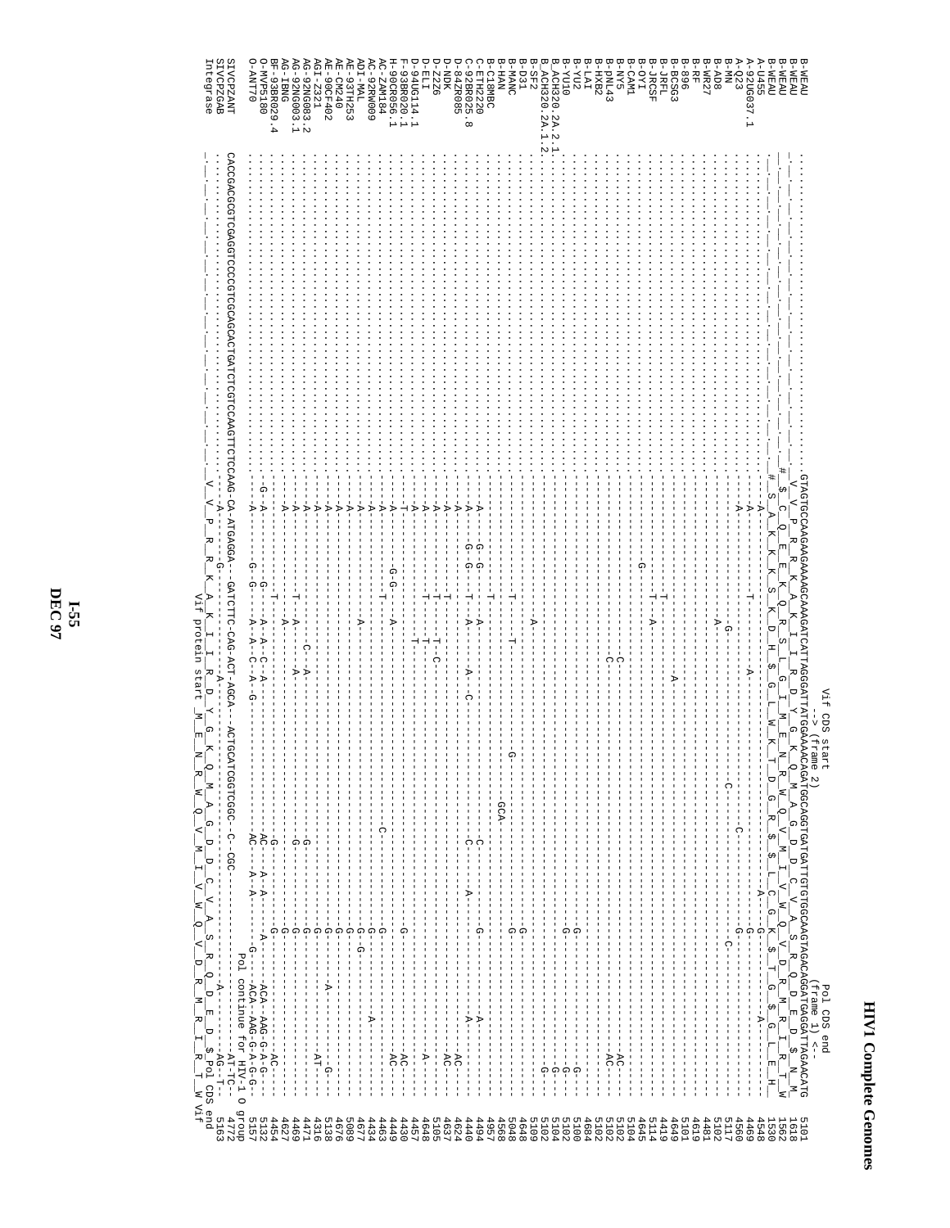| SIVCPZANT<br>SIVCPZGAB<br>08T5dAM-0<br>P. 03BR029.4<br>AG-92NG083.2<br>AG-92NG003.1<br>AE-90CF402<br><b>AGI-Z321</b><br>AE-CM240<br>AE-93TH253<br><b>AC-92RW009</b><br><b>AC-ZAM184</b><br>D-9405114.1<br>F-93BR020.1<br>H-90CR056.1<br>A-92UG037.1<br>3-C18MBC<br>2-ETH2220<br>2-92BR025.8<br>ACH320.2A.<br>ACH320.<br>2A.<br>$\infty$<br>N.<br>CACCGACGCTCGAGGTCCCCTCGCAGCACACTCATCTCGTCCAAGTTCTCCAAG-CA-ATGAGGA--<br>GTAGTGCCAAGAAAAAAGAAAGATTATAGGGATTATGGAAAACAGATGGCAGGTGATGATTGTGCCAGCAAGTAAGAAGAGGGATGAGGATTAGAACAT<br>စှ<br>⊲<br>J<br>m<br>I<br>⊲<br>ь<br>А<br>ъ<br>Þ<br>ъ<br>А<br>Þ<br>ъ<br>А<br>А<br>ъ<br>Ъ<br>ъ<br>H<br>А<br>А<br>ъ<br>А<br>А<br>ъ<br>ъ<br>ъ<br>ኔ<br>ъ<br>∩<br>ᡃ<br>⊃<br>ᆽ<br>$\frac{1}{1}$<br>Ģ<br>団<br>ှု<br>저<br>ດ່<br>ဂှ<br>Ω<br>Н<br>--9-9<br>-GATCTTC-CAG-ACT-AGCA-<br>$\frac{1}{1}$<br>$-1$<br>л<br>÷<br>m<br>ı<br>÷<br>Н<br>Н<br>闩<br>I,<br>н<br>Η<br>н<br>보<br>闩<br>н<br>I<br>부<br>л<br>J,<br>1<br>$A -$<br>$\overline{Y}$<br>⊅<br>ゼ<br>⊅<br>ъ<br>Þ<br>⋗<br>ኌ<br>⊅<br>ኌ<br>J.<br>J.<br>J.<br>Ω<br>੮<br>п<br>- A- - C- - A- -<br>- A- - C- - A- -<br>보<br>부<br>년<br>년<br>m<br>Ω<br>$\overline{1}$<br>$\mathbf{I}$<br>C<br>∩<br>↷<br>ъ<br>⊅<br>A--<br>⊅<br>ᆽ<br>μ<br>⋒<br>ດ<br>σ<br>ပြု<br>Ω<br>Ξ<br>$\frac{1}{V}$<br>z,<br><b>ACTG</b><br>ຸດ<br>S start<br>(frame 2)<br>ø<br>×<br>CATCGGTCGGC--C--CGC--<br>ဂု<br>ю<br>ਸ਼<br>ō<br>$\overline{\phantom{a}}$<br>J.<br>3<br>ဂု<br>ł<br>ı<br>≅<br>Ω<br>$-GCA$<br>J,<br>⋗<br>f,<br>Ю<br>J.<br>ຸດ<br>$\frac{1}{1}$<br>$- - 2C - -$<br>I<br>I<br>J.<br>$\frac{1}{1}$<br>л<br>J<br>م<br>-<br>$AC - -$<br>ဂှ<br>I<br>v.<br>ن<br>ڊ<br>U<br>J.<br>ဂု<br>$-2$<br>Ω<br>I<br>z<br>л<br>л<br>v.<br>$\mathsf I$<br>$-A - -A -$<br>J<br>∀<br>$\blacksquare$<br>J.<br>J.<br>$-4$<br>∩<br>₫<br>J.<br>J.<br>I<br>$\overline{A}$<br>$\overline{r}$<br>$\mathbb{F}$<br>Ω<br>1<br>л<br>J,<br>⋞<br>I<br>I<br>I<br>≲<br>Ω<br>J<br>J.<br>I<br>J.<br>J.<br>л<br>$\mathbf{I}$<br>л<br>J.<br>ł<br>$\mathbf{I}$<br>1<br>$\overline{1}$<br>ł<br>$\mathbf{I}$<br>л<br>$\mathbf{I}$<br>I<br>л<br>л<br>I<br>-<br>- פ<br>ì<br>О<br>ω<br>$\overline{1}$<br>$\overline{1}$<br><u>ဂ</u><br>$C -$<br>ဂု<br>$\Gamma$<br>$C -$<br>Ω<br>$C -$<br>ω<br>$-2$<br><u>ဂ</u><br>ω<br>ဂု<br>J.<br>ω<br>ω<br>ω<br>Ω<br>ဂု<br>ω<br>×<br>п<br>$\ddot{\mathbf{A}}$<br>.<br>دo<br>$\frac{1}{1}$<br>J.<br>ł<br>$\mathbf{I}$<br>$\mathbf{I}$<br>1<br>п<br>п<br>л<br>⊲<br>Q<br>$-1$<br>$-1$<br>$\mathbf{I}$<br>J<br>I<br>Ō.<br>Pol<br>I<br>J.<br>п<br>J.<br>저<br>∀<br>$\mathbf I$<br>⊣<br>o<br>$\frac{1}{1}$<br>-- ACA-- AAG-G-A-G--<br>continue for HIV-1<br>ヵ<br>ł<br>$(\text{frame 1})$ <-<br>ACA--AAG-G-A-G-G--<br>i<br>P<br>Ω<br>Pol CDS end<br>σ<br>z<br>$\overline{1}$<br>1<br>J,<br>$\mathbf{I}$<br>wν<br>F<br>$-4$<br>$\frac{1}{2}$<br>R<br>$\frac{1}{1}$<br>$\lambda$ -<br>I<br>$\overline{1}$<br>J,<br>$\mathbf{I}$<br>t<br>J,<br>J.<br>⊅<br>л<br>ົດ<br>I.<br>J.<br>л<br>т<br>л<br>'n,<br>I<br>J<br>J.<br>J,<br>$- - \text{AC} - -$<br>п<br>ı<br>л<br>I<br>--AC--<br>л<br>л<br>л<br>л<br>I<br>$-AC$ .<br>$-BC$ --<br>$-BC$ --<br>I,<br>٠m<br>I<br>I,<br>J<br>J<br>J<br>I<br>I<br>$AT - -$<br>$AC--$<br>AC-<br>$AT-TC--$<br>I<br>$\overline{1}$<br>$\mathbf I$<br>$A -$<br>I<br>I<br>ヵ<br>I<br>I<br>I<br>$\overline{\phantom{a}}$<br>I<br>I<br>п<br>$\blacksquare$<br>J.<br>I<br>団<br>$\mathbf{I}$<br>л<br>z<br>$\Omega$<br>ł<br>ဂု<br>ဂု<br>ဂု<br>ဂု<br>I<br>ì<br>$\mathbf{I}$<br>I<br>$\mathbf{I}$<br>ı<br>$\mathbf{I}$<br>л<br>I<br>л<br>J,<br>ш<br>F<br>I<br>J<br>I<br>I<br>$\blacksquare$<br>I<br>J.<br>J.<br>耳<br>$\mathbf{I}$<br>п<br>Ξ<br>l,<br>1<br>л<br>$\mathbf{I}$<br>л |  |
|-------------------------------------------------------------------------------------------------------------------------------------------------------------------------------------------------------------------------------------------------------------------------------------------------------------------------------------------------------------------------------------------------------------------------------------------------------------------------------------------------------------------------------------------------------------------------------------------------------------------------------------------------------------------------------------------------------------------------------------------------------------------------------------------------------------------------------------------------------------------------------------------------------------------------------------------------------------------------------------------------------------------------------------------------------------------------------------------------------------------------------------------------------------------------------------------------------------------------------------------------------------------------------------------------------------------------------------------------------------------------------------------------------------------------------------------------------------------------------------------------------------------------------------------------------------------------------------------------------------------------------------------------------------------------------------------------------------------------------------------------------------------------------------------------------------------------------------------------------------------------------------------------------------------------------------------------------------------------------------------------------------------------------------------------------------------------------------------------------------------------------------------------------------------------------------------------------------------------------------------------------------------------------------------------------------------------------------------------------------------------------------------------------------------------------------------------------------------------------------------------------------------------------------------------------------------------------------------------------------------------------------------------------------------------------------------------------------------------------------------------------------------------------------------------------------------------------------------------------------------------------------------------------------------------------------------------------------------------------------------------------------------------------------------------------------------------------------------------------------------------------------------------------------------------------------------------------------------------------------------------------------------------------------------------------------------------------------------------------------------------------------------------------------------------------------------------------------------------------------------------------------------------------------------------------------------------------------------------------------------------|--|
|                                                                                                                                                                                                                                                                                                                                                                                                                                                                                                                                                                                                                                                                                                                                                                                                                                                                                                                                                                                                                                                                                                                                                                                                                                                                                                                                                                                                                                                                                                                                                                                                                                                                                                                                                                                                                                                                                                                                                                                                                                                                                                                                                                                                                                                                                                                                                                                                                                                                                                                                                                                                                                                                                                                                                                                                                                                                                                                                                                                                                                                                                                                                                                                                                                                                                                                                                                                                                                                                                                                                                                                                                         |  |
|                                                                                                                                                                                                                                                                                                                                                                                                                                                                                                                                                                                                                                                                                                                                                                                                                                                                                                                                                                                                                                                                                                                                                                                                                                                                                                                                                                                                                                                                                                                                                                                                                                                                                                                                                                                                                                                                                                                                                                                                                                                                                                                                                                                                                                                                                                                                                                                                                                                                                                                                                                                                                                                                                                                                                                                                                                                                                                                                                                                                                                                                                                                                                                                                                                                                                                                                                                                                                                                                                                                                                                                                                         |  |
|                                                                                                                                                                                                                                                                                                                                                                                                                                                                                                                                                                                                                                                                                                                                                                                                                                                                                                                                                                                                                                                                                                                                                                                                                                                                                                                                                                                                                                                                                                                                                                                                                                                                                                                                                                                                                                                                                                                                                                                                                                                                                                                                                                                                                                                                                                                                                                                                                                                                                                                                                                                                                                                                                                                                                                                                                                                                                                                                                                                                                                                                                                                                                                                                                                                                                                                                                                                                                                                                                                                                                                                                                         |  |
|                                                                                                                                                                                                                                                                                                                                                                                                                                                                                                                                                                                                                                                                                                                                                                                                                                                                                                                                                                                                                                                                                                                                                                                                                                                                                                                                                                                                                                                                                                                                                                                                                                                                                                                                                                                                                                                                                                                                                                                                                                                                                                                                                                                                                                                                                                                                                                                                                                                                                                                                                                                                                                                                                                                                                                                                                                                                                                                                                                                                                                                                                                                                                                                                                                                                                                                                                                                                                                                                                                                                                                                                                         |  |
|                                                                                                                                                                                                                                                                                                                                                                                                                                                                                                                                                                                                                                                                                                                                                                                                                                                                                                                                                                                                                                                                                                                                                                                                                                                                                                                                                                                                                                                                                                                                                                                                                                                                                                                                                                                                                                                                                                                                                                                                                                                                                                                                                                                                                                                                                                                                                                                                                                                                                                                                                                                                                                                                                                                                                                                                                                                                                                                                                                                                                                                                                                                                                                                                                                                                                                                                                                                                                                                                                                                                                                                                                         |  |
|                                                                                                                                                                                                                                                                                                                                                                                                                                                                                                                                                                                                                                                                                                                                                                                                                                                                                                                                                                                                                                                                                                                                                                                                                                                                                                                                                                                                                                                                                                                                                                                                                                                                                                                                                                                                                                                                                                                                                                                                                                                                                                                                                                                                                                                                                                                                                                                                                                                                                                                                                                                                                                                                                                                                                                                                                                                                                                                                                                                                                                                                                                                                                                                                                                                                                                                                                                                                                                                                                                                                                                                                                         |  |
|                                                                                                                                                                                                                                                                                                                                                                                                                                                                                                                                                                                                                                                                                                                                                                                                                                                                                                                                                                                                                                                                                                                                                                                                                                                                                                                                                                                                                                                                                                                                                                                                                                                                                                                                                                                                                                                                                                                                                                                                                                                                                                                                                                                                                                                                                                                                                                                                                                                                                                                                                                                                                                                                                                                                                                                                                                                                                                                                                                                                                                                                                                                                                                                                                                                                                                                                                                                                                                                                                                                                                                                                                         |  |
|                                                                                                                                                                                                                                                                                                                                                                                                                                                                                                                                                                                                                                                                                                                                                                                                                                                                                                                                                                                                                                                                                                                                                                                                                                                                                                                                                                                                                                                                                                                                                                                                                                                                                                                                                                                                                                                                                                                                                                                                                                                                                                                                                                                                                                                                                                                                                                                                                                                                                                                                                                                                                                                                                                                                                                                                                                                                                                                                                                                                                                                                                                                                                                                                                                                                                                                                                                                                                                                                                                                                                                                                                         |  |
|                                                                                                                                                                                                                                                                                                                                                                                                                                                                                                                                                                                                                                                                                                                                                                                                                                                                                                                                                                                                                                                                                                                                                                                                                                                                                                                                                                                                                                                                                                                                                                                                                                                                                                                                                                                                                                                                                                                                                                                                                                                                                                                                                                                                                                                                                                                                                                                                                                                                                                                                                                                                                                                                                                                                                                                                                                                                                                                                                                                                                                                                                                                                                                                                                                                                                                                                                                                                                                                                                                                                                                                                                         |  |
|                                                                                                                                                                                                                                                                                                                                                                                                                                                                                                                                                                                                                                                                                                                                                                                                                                                                                                                                                                                                                                                                                                                                                                                                                                                                                                                                                                                                                                                                                                                                                                                                                                                                                                                                                                                                                                                                                                                                                                                                                                                                                                                                                                                                                                                                                                                                                                                                                                                                                                                                                                                                                                                                                                                                                                                                                                                                                                                                                                                                                                                                                                                                                                                                                                                                                                                                                                                                                                                                                                                                                                                                                         |  |
|                                                                                                                                                                                                                                                                                                                                                                                                                                                                                                                                                                                                                                                                                                                                                                                                                                                                                                                                                                                                                                                                                                                                                                                                                                                                                                                                                                                                                                                                                                                                                                                                                                                                                                                                                                                                                                                                                                                                                                                                                                                                                                                                                                                                                                                                                                                                                                                                                                                                                                                                                                                                                                                                                                                                                                                                                                                                                                                                                                                                                                                                                                                                                                                                                                                                                                                                                                                                                                                                                                                                                                                                                         |  |
|                                                                                                                                                                                                                                                                                                                                                                                                                                                                                                                                                                                                                                                                                                                                                                                                                                                                                                                                                                                                                                                                                                                                                                                                                                                                                                                                                                                                                                                                                                                                                                                                                                                                                                                                                                                                                                                                                                                                                                                                                                                                                                                                                                                                                                                                                                                                                                                                                                                                                                                                                                                                                                                                                                                                                                                                                                                                                                                                                                                                                                                                                                                                                                                                                                                                                                                                                                                                                                                                                                                                                                                                                         |  |
|                                                                                                                                                                                                                                                                                                                                                                                                                                                                                                                                                                                                                                                                                                                                                                                                                                                                                                                                                                                                                                                                                                                                                                                                                                                                                                                                                                                                                                                                                                                                                                                                                                                                                                                                                                                                                                                                                                                                                                                                                                                                                                                                                                                                                                                                                                                                                                                                                                                                                                                                                                                                                                                                                                                                                                                                                                                                                                                                                                                                                                                                                                                                                                                                                                                                                                                                                                                                                                                                                                                                                                                                                         |  |
|                                                                                                                                                                                                                                                                                                                                                                                                                                                                                                                                                                                                                                                                                                                                                                                                                                                                                                                                                                                                                                                                                                                                                                                                                                                                                                                                                                                                                                                                                                                                                                                                                                                                                                                                                                                                                                                                                                                                                                                                                                                                                                                                                                                                                                                                                                                                                                                                                                                                                                                                                                                                                                                                                                                                                                                                                                                                                                                                                                                                                                                                                                                                                                                                                                                                                                                                                                                                                                                                                                                                                                                                                         |  |
|                                                                                                                                                                                                                                                                                                                                                                                                                                                                                                                                                                                                                                                                                                                                                                                                                                                                                                                                                                                                                                                                                                                                                                                                                                                                                                                                                                                                                                                                                                                                                                                                                                                                                                                                                                                                                                                                                                                                                                                                                                                                                                                                                                                                                                                                                                                                                                                                                                                                                                                                                                                                                                                                                                                                                                                                                                                                                                                                                                                                                                                                                                                                                                                                                                                                                                                                                                                                                                                                                                                                                                                                                         |  |
|                                                                                                                                                                                                                                                                                                                                                                                                                                                                                                                                                                                                                                                                                                                                                                                                                                                                                                                                                                                                                                                                                                                                                                                                                                                                                                                                                                                                                                                                                                                                                                                                                                                                                                                                                                                                                                                                                                                                                                                                                                                                                                                                                                                                                                                                                                                                                                                                                                                                                                                                                                                                                                                                                                                                                                                                                                                                                                                                                                                                                                                                                                                                                                                                                                                                                                                                                                                                                                                                                                                                                                                                                         |  |
|                                                                                                                                                                                                                                                                                                                                                                                                                                                                                                                                                                                                                                                                                                                                                                                                                                                                                                                                                                                                                                                                                                                                                                                                                                                                                                                                                                                                                                                                                                                                                                                                                                                                                                                                                                                                                                                                                                                                                                                                                                                                                                                                                                                                                                                                                                                                                                                                                                                                                                                                                                                                                                                                                                                                                                                                                                                                                                                                                                                                                                                                                                                                                                                                                                                                                                                                                                                                                                                                                                                                                                                                                         |  |
|                                                                                                                                                                                                                                                                                                                                                                                                                                                                                                                                                                                                                                                                                                                                                                                                                                                                                                                                                                                                                                                                                                                                                                                                                                                                                                                                                                                                                                                                                                                                                                                                                                                                                                                                                                                                                                                                                                                                                                                                                                                                                                                                                                                                                                                                                                                                                                                                                                                                                                                                                                                                                                                                                                                                                                                                                                                                                                                                                                                                                                                                                                                                                                                                                                                                                                                                                                                                                                                                                                                                                                                                                         |  |
|                                                                                                                                                                                                                                                                                                                                                                                                                                                                                                                                                                                                                                                                                                                                                                                                                                                                                                                                                                                                                                                                                                                                                                                                                                                                                                                                                                                                                                                                                                                                                                                                                                                                                                                                                                                                                                                                                                                                                                                                                                                                                                                                                                                                                                                                                                                                                                                                                                                                                                                                                                                                                                                                                                                                                                                                                                                                                                                                                                                                                                                                                                                                                                                                                                                                                                                                                                                                                                                                                                                                                                                                                         |  |
|                                                                                                                                                                                                                                                                                                                                                                                                                                                                                                                                                                                                                                                                                                                                                                                                                                                                                                                                                                                                                                                                                                                                                                                                                                                                                                                                                                                                                                                                                                                                                                                                                                                                                                                                                                                                                                                                                                                                                                                                                                                                                                                                                                                                                                                                                                                                                                                                                                                                                                                                                                                                                                                                                                                                                                                                                                                                                                                                                                                                                                                                                                                                                                                                                                                                                                                                                                                                                                                                                                                                                                                                                         |  |
|                                                                                                                                                                                                                                                                                                                                                                                                                                                                                                                                                                                                                                                                                                                                                                                                                                                                                                                                                                                                                                                                                                                                                                                                                                                                                                                                                                                                                                                                                                                                                                                                                                                                                                                                                                                                                                                                                                                                                                                                                                                                                                                                                                                                                                                                                                                                                                                                                                                                                                                                                                                                                                                                                                                                                                                                                                                                                                                                                                                                                                                                                                                                                                                                                                                                                                                                                                                                                                                                                                                                                                                                                         |  |
|                                                                                                                                                                                                                                                                                                                                                                                                                                                                                                                                                                                                                                                                                                                                                                                                                                                                                                                                                                                                                                                                                                                                                                                                                                                                                                                                                                                                                                                                                                                                                                                                                                                                                                                                                                                                                                                                                                                                                                                                                                                                                                                                                                                                                                                                                                                                                                                                                                                                                                                                                                                                                                                                                                                                                                                                                                                                                                                                                                                                                                                                                                                                                                                                                                                                                                                                                                                                                                                                                                                                                                                                                         |  |
|                                                                                                                                                                                                                                                                                                                                                                                                                                                                                                                                                                                                                                                                                                                                                                                                                                                                                                                                                                                                                                                                                                                                                                                                                                                                                                                                                                                                                                                                                                                                                                                                                                                                                                                                                                                                                                                                                                                                                                                                                                                                                                                                                                                                                                                                                                                                                                                                                                                                                                                                                                                                                                                                                                                                                                                                                                                                                                                                                                                                                                                                                                                                                                                                                                                                                                                                                                                                                                                                                                                                                                                                                         |  |
|                                                                                                                                                                                                                                                                                                                                                                                                                                                                                                                                                                                                                                                                                                                                                                                                                                                                                                                                                                                                                                                                                                                                                                                                                                                                                                                                                                                                                                                                                                                                                                                                                                                                                                                                                                                                                                                                                                                                                                                                                                                                                                                                                                                                                                                                                                                                                                                                                                                                                                                                                                                                                                                                                                                                                                                                                                                                                                                                                                                                                                                                                                                                                                                                                                                                                                                                                                                                                                                                                                                                                                                                                         |  |
|                                                                                                                                                                                                                                                                                                                                                                                                                                                                                                                                                                                                                                                                                                                                                                                                                                                                                                                                                                                                                                                                                                                                                                                                                                                                                                                                                                                                                                                                                                                                                                                                                                                                                                                                                                                                                                                                                                                                                                                                                                                                                                                                                                                                                                                                                                                                                                                                                                                                                                                                                                                                                                                                                                                                                                                                                                                                                                                                                                                                                                                                                                                                                                                                                                                                                                                                                                                                                                                                                                                                                                                                                         |  |
|                                                                                                                                                                                                                                                                                                                                                                                                                                                                                                                                                                                                                                                                                                                                                                                                                                                                                                                                                                                                                                                                                                                                                                                                                                                                                                                                                                                                                                                                                                                                                                                                                                                                                                                                                                                                                                                                                                                                                                                                                                                                                                                                                                                                                                                                                                                                                                                                                                                                                                                                                                                                                                                                                                                                                                                                                                                                                                                                                                                                                                                                                                                                                                                                                                                                                                                                                                                                                                                                                                                                                                                                                         |  |
|                                                                                                                                                                                                                                                                                                                                                                                                                                                                                                                                                                                                                                                                                                                                                                                                                                                                                                                                                                                                                                                                                                                                                                                                                                                                                                                                                                                                                                                                                                                                                                                                                                                                                                                                                                                                                                                                                                                                                                                                                                                                                                                                                                                                                                                                                                                                                                                                                                                                                                                                                                                                                                                                                                                                                                                                                                                                                                                                                                                                                                                                                                                                                                                                                                                                                                                                                                                                                                                                                                                                                                                                                         |  |
|                                                                                                                                                                                                                                                                                                                                                                                                                                                                                                                                                                                                                                                                                                                                                                                                                                                                                                                                                                                                                                                                                                                                                                                                                                                                                                                                                                                                                                                                                                                                                                                                                                                                                                                                                                                                                                                                                                                                                                                                                                                                                                                                                                                                                                                                                                                                                                                                                                                                                                                                                                                                                                                                                                                                                                                                                                                                                                                                                                                                                                                                                                                                                                                                                                                                                                                                                                                                                                                                                                                                                                                                                         |  |
|                                                                                                                                                                                                                                                                                                                                                                                                                                                                                                                                                                                                                                                                                                                                                                                                                                                                                                                                                                                                                                                                                                                                                                                                                                                                                                                                                                                                                                                                                                                                                                                                                                                                                                                                                                                                                                                                                                                                                                                                                                                                                                                                                                                                                                                                                                                                                                                                                                                                                                                                                                                                                                                                                                                                                                                                                                                                                                                                                                                                                                                                                                                                                                                                                                                                                                                                                                                                                                                                                                                                                                                                                         |  |
|                                                                                                                                                                                                                                                                                                                                                                                                                                                                                                                                                                                                                                                                                                                                                                                                                                                                                                                                                                                                                                                                                                                                                                                                                                                                                                                                                                                                                                                                                                                                                                                                                                                                                                                                                                                                                                                                                                                                                                                                                                                                                                                                                                                                                                                                                                                                                                                                                                                                                                                                                                                                                                                                                                                                                                                                                                                                                                                                                                                                                                                                                                                                                                                                                                                                                                                                                                                                                                                                                                                                                                                                                         |  |
|                                                                                                                                                                                                                                                                                                                                                                                                                                                                                                                                                                                                                                                                                                                                                                                                                                                                                                                                                                                                                                                                                                                                                                                                                                                                                                                                                                                                                                                                                                                                                                                                                                                                                                                                                                                                                                                                                                                                                                                                                                                                                                                                                                                                                                                                                                                                                                                                                                                                                                                                                                                                                                                                                                                                                                                                                                                                                                                                                                                                                                                                                                                                                                                                                                                                                                                                                                                                                                                                                                                                                                                                                         |  |
|                                                                                                                                                                                                                                                                                                                                                                                                                                                                                                                                                                                                                                                                                                                                                                                                                                                                                                                                                                                                                                                                                                                                                                                                                                                                                                                                                                                                                                                                                                                                                                                                                                                                                                                                                                                                                                                                                                                                                                                                                                                                                                                                                                                                                                                                                                                                                                                                                                                                                                                                                                                                                                                                                                                                                                                                                                                                                                                                                                                                                                                                                                                                                                                                                                                                                                                                                                                                                                                                                                                                                                                                                         |  |
|                                                                                                                                                                                                                                                                                                                                                                                                                                                                                                                                                                                                                                                                                                                                                                                                                                                                                                                                                                                                                                                                                                                                                                                                                                                                                                                                                                                                                                                                                                                                                                                                                                                                                                                                                                                                                                                                                                                                                                                                                                                                                                                                                                                                                                                                                                                                                                                                                                                                                                                                                                                                                                                                                                                                                                                                                                                                                                                                                                                                                                                                                                                                                                                                                                                                                                                                                                                                                                                                                                                                                                                                                         |  |
|                                                                                                                                                                                                                                                                                                                                                                                                                                                                                                                                                                                                                                                                                                                                                                                                                                                                                                                                                                                                                                                                                                                                                                                                                                                                                                                                                                                                                                                                                                                                                                                                                                                                                                                                                                                                                                                                                                                                                                                                                                                                                                                                                                                                                                                                                                                                                                                                                                                                                                                                                                                                                                                                                                                                                                                                                                                                                                                                                                                                                                                                                                                                                                                                                                                                                                                                                                                                                                                                                                                                                                                                                         |  |
|                                                                                                                                                                                                                                                                                                                                                                                                                                                                                                                                                                                                                                                                                                                                                                                                                                                                                                                                                                                                                                                                                                                                                                                                                                                                                                                                                                                                                                                                                                                                                                                                                                                                                                                                                                                                                                                                                                                                                                                                                                                                                                                                                                                                                                                                                                                                                                                                                                                                                                                                                                                                                                                                                                                                                                                                                                                                                                                                                                                                                                                                                                                                                                                                                                                                                                                                                                                                                                                                                                                                                                                                                         |  |
|                                                                                                                                                                                                                                                                                                                                                                                                                                                                                                                                                                                                                                                                                                                                                                                                                                                                                                                                                                                                                                                                                                                                                                                                                                                                                                                                                                                                                                                                                                                                                                                                                                                                                                                                                                                                                                                                                                                                                                                                                                                                                                                                                                                                                                                                                                                                                                                                                                                                                                                                                                                                                                                                                                                                                                                                                                                                                                                                                                                                                                                                                                                                                                                                                                                                                                                                                                                                                                                                                                                                                                                                                         |  |
|                                                                                                                                                                                                                                                                                                                                                                                                                                                                                                                                                                                                                                                                                                                                                                                                                                                                                                                                                                                                                                                                                                                                                                                                                                                                                                                                                                                                                                                                                                                                                                                                                                                                                                                                                                                                                                                                                                                                                                                                                                                                                                                                                                                                                                                                                                                                                                                                                                                                                                                                                                                                                                                                                                                                                                                                                                                                                                                                                                                                                                                                                                                                                                                                                                                                                                                                                                                                                                                                                                                                                                                                                         |  |
|                                                                                                                                                                                                                                                                                                                                                                                                                                                                                                                                                                                                                                                                                                                                                                                                                                                                                                                                                                                                                                                                                                                                                                                                                                                                                                                                                                                                                                                                                                                                                                                                                                                                                                                                                                                                                                                                                                                                                                                                                                                                                                                                                                                                                                                                                                                                                                                                                                                                                                                                                                                                                                                                                                                                                                                                                                                                                                                                                                                                                                                                                                                                                                                                                                                                                                                                                                                                                                                                                                                                                                                                                         |  |
|                                                                                                                                                                                                                                                                                                                                                                                                                                                                                                                                                                                                                                                                                                                                                                                                                                                                                                                                                                                                                                                                                                                                                                                                                                                                                                                                                                                                                                                                                                                                                                                                                                                                                                                                                                                                                                                                                                                                                                                                                                                                                                                                                                                                                                                                                                                                                                                                                                                                                                                                                                                                                                                                                                                                                                                                                                                                                                                                                                                                                                                                                                                                                                                                                                                                                                                                                                                                                                                                                                                                                                                                                         |  |
|                                                                                                                                                                                                                                                                                                                                                                                                                                                                                                                                                                                                                                                                                                                                                                                                                                                                                                                                                                                                                                                                                                                                                                                                                                                                                                                                                                                                                                                                                                                                                                                                                                                                                                                                                                                                                                                                                                                                                                                                                                                                                                                                                                                                                                                                                                                                                                                                                                                                                                                                                                                                                                                                                                                                                                                                                                                                                                                                                                                                                                                                                                                                                                                                                                                                                                                                                                                                                                                                                                                                                                                                                         |  |
|                                                                                                                                                                                                                                                                                                                                                                                                                                                                                                                                                                                                                                                                                                                                                                                                                                                                                                                                                                                                                                                                                                                                                                                                                                                                                                                                                                                                                                                                                                                                                                                                                                                                                                                                                                                                                                                                                                                                                                                                                                                                                                                                                                                                                                                                                                                                                                                                                                                                                                                                                                                                                                                                                                                                                                                                                                                                                                                                                                                                                                                                                                                                                                                                                                                                                                                                                                                                                                                                                                                                                                                                                         |  |
|                                                                                                                                                                                                                                                                                                                                                                                                                                                                                                                                                                                                                                                                                                                                                                                                                                                                                                                                                                                                                                                                                                                                                                                                                                                                                                                                                                                                                                                                                                                                                                                                                                                                                                                                                                                                                                                                                                                                                                                                                                                                                                                                                                                                                                                                                                                                                                                                                                                                                                                                                                                                                                                                                                                                                                                                                                                                                                                                                                                                                                                                                                                                                                                                                                                                                                                                                                                                                                                                                                                                                                                                                         |  |
|                                                                                                                                                                                                                                                                                                                                                                                                                                                                                                                                                                                                                                                                                                                                                                                                                                                                                                                                                                                                                                                                                                                                                                                                                                                                                                                                                                                                                                                                                                                                                                                                                                                                                                                                                                                                                                                                                                                                                                                                                                                                                                                                                                                                                                                                                                                                                                                                                                                                                                                                                                                                                                                                                                                                                                                                                                                                                                                                                                                                                                                                                                                                                                                                                                                                                                                                                                                                                                                                                                                                                                                                                         |  |
|                                                                                                                                                                                                                                                                                                                                                                                                                                                                                                                                                                                                                                                                                                                                                                                                                                                                                                                                                                                                                                                                                                                                                                                                                                                                                                                                                                                                                                                                                                                                                                                                                                                                                                                                                                                                                                                                                                                                                                                                                                                                                                                                                                                                                                                                                                                                                                                                                                                                                                                                                                                                                                                                                                                                                                                                                                                                                                                                                                                                                                                                                                                                                                                                                                                                                                                                                                                                                                                                                                                                                                                                                         |  |
|                                                                                                                                                                                                                                                                                                                                                                                                                                                                                                                                                                                                                                                                                                                                                                                                                                                                                                                                                                                                                                                                                                                                                                                                                                                                                                                                                                                                                                                                                                                                                                                                                                                                                                                                                                                                                                                                                                                                                                                                                                                                                                                                                                                                                                                                                                                                                                                                                                                                                                                                                                                                                                                                                                                                                                                                                                                                                                                                                                                                                                                                                                                                                                                                                                                                                                                                                                                                                                                                                                                                                                                                                         |  |
|                                                                                                                                                                                                                                                                                                                                                                                                                                                                                                                                                                                                                                                                                                                                                                                                                                                                                                                                                                                                                                                                                                                                                                                                                                                                                                                                                                                                                                                                                                                                                                                                                                                                                                                                                                                                                                                                                                                                                                                                                                                                                                                                                                                                                                                                                                                                                                                                                                                                                                                                                                                                                                                                                                                                                                                                                                                                                                                                                                                                                                                                                                                                                                                                                                                                                                                                                                                                                                                                                                                                                                                                                         |  |
|                                                                                                                                                                                                                                                                                                                                                                                                                                                                                                                                                                                                                                                                                                                                                                                                                                                                                                                                                                                                                                                                                                                                                                                                                                                                                                                                                                                                                                                                                                                                                                                                                                                                                                                                                                                                                                                                                                                                                                                                                                                                                                                                                                                                                                                                                                                                                                                                                                                                                                                                                                                                                                                                                                                                                                                                                                                                                                                                                                                                                                                                                                                                                                                                                                                                                                                                                                                                                                                                                                                                                                                                                         |  |
|                                                                                                                                                                                                                                                                                                                                                                                                                                                                                                                                                                                                                                                                                                                                                                                                                                                                                                                                                                                                                                                                                                                                                                                                                                                                                                                                                                                                                                                                                                                                                                                                                                                                                                                                                                                                                                                                                                                                                                                                                                                                                                                                                                                                                                                                                                                                                                                                                                                                                                                                                                                                                                                                                                                                                                                                                                                                                                                                                                                                                                                                                                                                                                                                                                                                                                                                                                                                                                                                                                                                                                                                                         |  |
|                                                                                                                                                                                                                                                                                                                                                                                                                                                                                                                                                                                                                                                                                                                                                                                                                                                                                                                                                                                                                                                                                                                                                                                                                                                                                                                                                                                                                                                                                                                                                                                                                                                                                                                                                                                                                                                                                                                                                                                                                                                                                                                                                                                                                                                                                                                                                                                                                                                                                                                                                                                                                                                                                                                                                                                                                                                                                                                                                                                                                                                                                                                                                                                                                                                                                                                                                                                                                                                                                                                                                                                                                         |  |
|                                                                                                                                                                                                                                                                                                                                                                                                                                                                                                                                                                                                                                                                                                                                                                                                                                                                                                                                                                                                                                                                                                                                                                                                                                                                                                                                                                                                                                                                                                                                                                                                                                                                                                                                                                                                                                                                                                                                                                                                                                                                                                                                                                                                                                                                                                                                                                                                                                                                                                                                                                                                                                                                                                                                                                                                                                                                                                                                                                                                                                                                                                                                                                                                                                                                                                                                                                                                                                                                                                                                                                                                                         |  |
|                                                                                                                                                                                                                                                                                                                                                                                                                                                                                                                                                                                                                                                                                                                                                                                                                                                                                                                                                                                                                                                                                                                                                                                                                                                                                                                                                                                                                                                                                                                                                                                                                                                                                                                                                                                                                                                                                                                                                                                                                                                                                                                                                                                                                                                                                                                                                                                                                                                                                                                                                                                                                                                                                                                                                                                                                                                                                                                                                                                                                                                                                                                                                                                                                                                                                                                                                                                                                                                                                                                                                                                                                         |  |
|                                                                                                                                                                                                                                                                                                                                                                                                                                                                                                                                                                                                                                                                                                                                                                                                                                                                                                                                                                                                                                                                                                                                                                                                                                                                                                                                                                                                                                                                                                                                                                                                                                                                                                                                                                                                                                                                                                                                                                                                                                                                                                                                                                                                                                                                                                                                                                                                                                                                                                                                                                                                                                                                                                                                                                                                                                                                                                                                                                                                                                                                                                                                                                                                                                                                                                                                                                                                                                                                                                                                                                                                                         |  |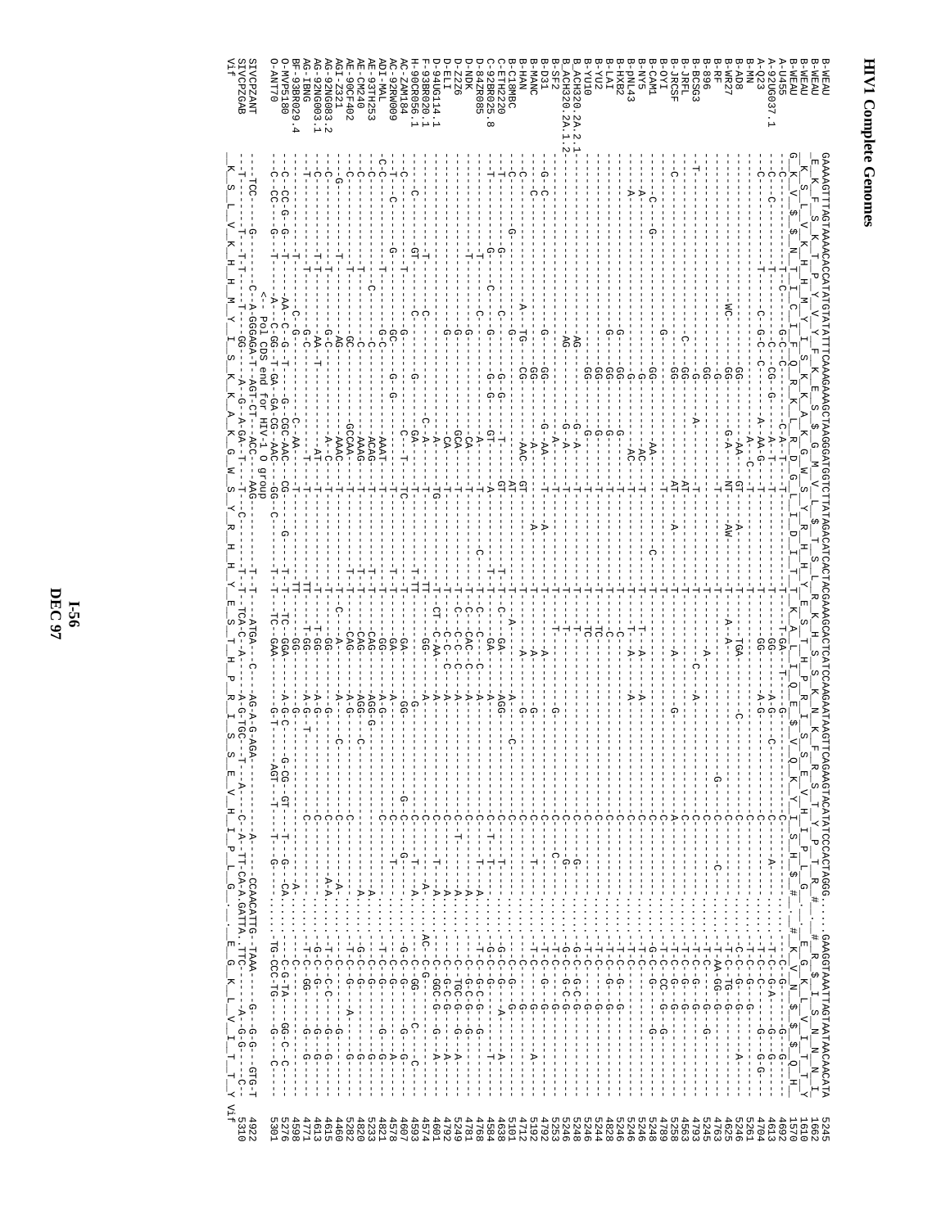| INAZZZVI<br>VCPZGAB                                                                                                                                                                                                                                                                                                                                                                                                                                                                                                          | -MVP5180<br><b>DLLNV</b>                                                                                         | F-93BR029                                                          |                                                                                  | $-92N5003$                                                                                                                                                                                                             | 92NG083                | $1 - 2321$                                                                                 | E-90CF402                             | CM240                                               | -93TH253                                   | $TWM -$                                                      | 92RM009                                                          | <b>18 LMA2</b>                                             | <b>OCRO56</b>                   | <b>SBR02</b>                                                                                                              | 40G114                                                                                                                                                                                                                                                                                                                                                                                                                      |                   | 922                                                    | 힞                                               | 4ZR085         | <b>2BR025</b>                                                                   | TH <sub>2220</sub> | 18MBC                              | EAN               | MANC                                       | <b>D31</b> | <b>SF2</b>         | <b>CH32</b>                         | ACH3          | $0$ T $\Omega$                                                        | $Z\Omega\overline{\Lambda}$ -                   | LAI           | HXB2                                                                 | EFTNd-                                                           | $SAN-$                                                                             | CAM1                               | <b>IXO</b>                                | <b>JRCSF</b>                                                                                           | -JRFL        | $-896$<br>BCSG3                                                 | .<br>직                                               | $-MR27$                                                                      | <b>AD8</b>                                          | ă                                                                                                            | $-0.33$                                                                 | $-920G03$                                                                            | <b>1455</b>                                                                                                           | WEAU                                               | WEAU                                           | <b>IEAU</b>                        | WEAU                                                 |
|------------------------------------------------------------------------------------------------------------------------------------------------------------------------------------------------------------------------------------------------------------------------------------------------------------------------------------------------------------------------------------------------------------------------------------------------------------------------------------------------------------------------------|------------------------------------------------------------------------------------------------------------------|--------------------------------------------------------------------|----------------------------------------------------------------------------------|------------------------------------------------------------------------------------------------------------------------------------------------------------------------------------------------------------------------|------------------------|--------------------------------------------------------------------------------------------|---------------------------------------|-----------------------------------------------------|--------------------------------------------|--------------------------------------------------------------|------------------------------------------------------------------|------------------------------------------------------------|---------------------------------|---------------------------------------------------------------------------------------------------------------------------|-----------------------------------------------------------------------------------------------------------------------------------------------------------------------------------------------------------------------------------------------------------------------------------------------------------------------------------------------------------------------------------------------------------------------------|-------------------|--------------------------------------------------------|-------------------------------------------------|----------------|---------------------------------------------------------------------------------|--------------------|------------------------------------|-------------------|--------------------------------------------|------------|--------------------|-------------------------------------|---------------|-----------------------------------------------------------------------|-------------------------------------------------|---------------|----------------------------------------------------------------------|------------------------------------------------------------------|------------------------------------------------------------------------------------|------------------------------------|-------------------------------------------|--------------------------------------------------------------------------------------------------------|--------------|-----------------------------------------------------------------|------------------------------------------------------|------------------------------------------------------------------------------|-----------------------------------------------------|--------------------------------------------------------------------------------------------------------------|-------------------------------------------------------------------------|--------------------------------------------------------------------------------------|-----------------------------------------------------------------------------------------------------------------------|----------------------------------------------------|------------------------------------------------|------------------------------------|------------------------------------------------------|
|                                                                                                                                                                                                                                                                                                                                                                                                                                                                                                                              | SC                                                                                                               |                                                                    |                                                                                  |                                                                                                                                                                                                                        |                        |                                                                                            |                                       |                                                     |                                            |                                                              |                                                                  |                                                            |                                 |                                                                                                                           |                                                                                                                                                                                                                                                                                                                                                                                                                             |                   |                                                        |                                                 |                |                                                                                 |                    |                                    |                   |                                            |            |                    |                                     |               |                                                                       |                                                 |               |                                                                      |                                                                  |                                                                                    |                                    |                                           |                                                                                                        |              |                                                                 |                                                      |                                                                              |                                                     |                                                                                                              |                                                                         |                                                                                      |                                                                                                                       |                                                    |                                                |                                    | RAAAATTTAGTAAAACACATATG"                             |
|                                                                                                                                                                                                                                                                                                                                                                                                                                                                                                                              |                                                                                                                  |                                                                    |                                                                                  |                                                                                                                                                                                                                        |                        |                                                                                            |                                       |                                                     |                                            |                                                              |                                                                  |                                                            |                                 |                                                                                                                           |                                                                                                                                                                                                                                                                                                                                                                                                                             |                   |                                                        |                                                 |                |                                                                                 |                    |                                    |                   |                                            |            |                    |                                     |               |                                                                       |                                                 |               |                                                                      |                                                                  |                                                                                    |                                    |                                           |                                                                                                        |              |                                                                 |                                                      |                                                                              |                                                     |                                                                                                              |                                                                         |                                                                                      |                                                                                                                       |                                                    |                                                |                                    |                                                      |
|                                                                                                                                                                                                                                                                                                                                                                                                                                                                                                                              |                                                                                                                  |                                                                    |                                                                                  |                                                                                                                                                                                                                        |                        |                                                                                            |                                       |                                                     |                                            |                                                              |                                                                  |                                                            |                                 |                                                                                                                           |                                                                                                                                                                                                                                                                                                                                                                                                                             |                   |                                                        |                                                 |                |                                                                                 |                    |                                    |                   |                                            |            |                    |                                     |               |                                                                       |                                                 |               |                                                                      |                                                                  |                                                                                    |                                    |                                           |                                                                                                        |              |                                                                 |                                                      |                                                                              |                                                     |                                                                                                              |                                                                         |                                                                                      |                                                                                                                       |                                                    |                                                |                                    | TCAAAGAAAGCTAAGGGATGGTCT                             |
|                                                                                                                                                                                                                                                                                                                                                                                                                                                                                                                              | HIV-1<br>dno.tb                                                                                                  |                                                                    |                                                                                  |                                                                                                                                                                                                                        |                        | AAAC                                                                                       | CCAA-                                 | <b>AAAG</b>                                         | ACAG                                       | LAAA                                                         |                                                                  |                                                            |                                 |                                                                                                                           |                                                                                                                                                                                                                                                                                                                                                                                                                             | $-CA-$            |                                                        |                                                 |                |                                                                                 |                    |                                    | $-AAC$            |                                            | ヒーム        | $-4-$              | ဂ<br>၂                              |               |                                                                       |                                                 |               |                                                                      | $-AC$                                                            | $-AC$                                                                              | ₿                                  |                                           |                                                                                                        |              |                                                                 |                                                      |                                                                              |                                                     |                                                                                                              | $D - FV$                                                                |                                                                                      |                                                                                                                       |                                                    |                                                |                                    |                                                      |
|                                                                                                                                                                                                                                                                                                                                                                                                                                                                                                                              |                                                                                                                  |                                                                    |                                                                                  |                                                                                                                                                                                                                        |                        |                                                                                            |                                       |                                                     |                                            |                                                              |                                                                  |                                                            |                                 |                                                                                                                           |                                                                                                                                                                                                                                                                                                                                                                                                                             |                   |                                                        |                                                 |                |                                                                                 |                    |                                    |                   |                                            |            |                    |                                     |               |                                                                       |                                                 |               |                                                                      |                                                                  |                                                                                    |                                    |                                           |                                                                                                        |              |                                                                 |                                                      |                                                                              |                                                     |                                                                                                              |                                                                         |                                                                                      |                                                                                                                       |                                                    |                                                |                                    |                                                      |
|                                                                                                                                                                                                                                                                                                                                                                                                                                                                                                                              | HC-                                                                                                              |                                                                    |                                                                                  | --<br>82                                                                                                                                                                                                               |                        |                                                                                            |                                       |                                                     |                                            |                                                              |                                                                  |                                                            |                                 |                                                                                                                           |                                                                                                                                                                                                                                                                                                                                                                                                                             |                   |                                                        |                                                 |                |                                                                                 |                    |                                    |                   |                                            |            |                    |                                     |               |                                                                       |                                                 |               |                                                                      |                                                                  |                                                                                    |                                    |                                           |                                                                                                        |              |                                                                 |                                                      |                                                                              |                                                     |                                                                                                              |                                                                         |                                                                                      |                                                                                                                       |                                                    |                                                |                                    | RGACATCACTAGGAAAGCACATCATCCAAGAATAAGT                |
|                                                                                                                                                                                                                                                                                                                                                                                                                                                                                                                              |                                                                                                                  |                                                                    |                                                                                  |                                                                                                                                                                                                                        |                        |                                                                                            | $A-G$                                 | RGG                                                 | <b>AGG</b>                                 |                                                              |                                                                  | සි                                                         |                                 |                                                                                                                           |                                                                                                                                                                                                                                                                                                                                                                                                                             |                   |                                                        |                                                 |                |                                                                                 | <b>AGG</b>         |                                    |                   |                                            |            |                    |                                     |               |                                                                       |                                                 |               |                                                                      |                                                                  |                                                                                    |                                    |                                           |                                                                                                        |              |                                                                 |                                                      |                                                                              |                                                     |                                                                                                              |                                                                         | $A-G$                                                                                |                                                                                                                       |                                                    |                                                |                                    |                                                      |
| $- - \nabla$<br>ัต<br>$\frac{1}{1}$<br>Þ<br>$     -$<br>$\blacksquare$<br>$\overline{a}$<br>Þ,<br>Ω<br>Ť                                                                                                                                                                                                                                                                                                                                                                                                                     | $\mathbb{I}$<br>T<br>$C-CG--CT--$<br>$-4GL--L--L--$                                                              | $\frac{1}{1}$<br>I<br>$\mathbf{I}$<br>$\mathsf I$                  | $\overline{\phantom{a}}$<br>$\mathbf{I}$<br>$\overline{1}$<br>$\frac{1}{1}$<br>Q | $\frac{1}{4}$<br>ł<br>C<br>ł                                                                                                                                                                                           | $\mathbf{I}$<br>↷<br>Ť | $\frac{1}{1}$<br>∩<br>Ţ                                                                    | $\mathbf{I}$<br>↷<br>Ŧ                |                                                     |                                            | $\blacksquare$<br>Q                                          | ţ<br>ł<br>↷<br>Ŧ                                                 | $-6 -$<br>↷<br>Ĩ.                                          | Ť<br>C                          | $\frac{1}{1}$<br>Q                                                                                                        | $\mathbf{I}$<br>Q                                                                                                                                                                                                                                                                                                                                                                                                           | $\mathbf{I}$<br>C | ∩                                                      | J.<br>∩<br>ł                                    | т<br>∩<br>Ť    | $\overline{1}$<br>↷<br>Ţ                                                        | ţ<br>ł<br>↷        | $\mathbf{I}$<br>↷<br>$\frac{1}{1}$ | J.<br>↷<br>ł.     | $\mathbf{I}$<br>Q                          | Ť<br>Q     | $\frac{1}{4}$<br>C | $\frac{1}{1}$<br>$\frac{1}{1}$<br>C | I,<br>Ť<br>↷  | $\mathbb{I}$<br>C<br>Ť                                                | Ť.<br>Q                                         | $\frac{1}{1}$ | Ť<br>Q                                                               | $\mathbb{L}$<br>↷<br>Ŧ                                           | $\frac{1}{1}$<br>$\frac{1}{1}$<br>$\frac{1}{1}$<br>റ                               | $\frac{1}{1}$<br>$\mathbb{I}$<br>∩ | I.<br>$\frac{1}{1}$<br>↷<br>$\frac{1}{4}$ | $\mathsf I$<br>$\blacksquare$<br>$\blacksquare$<br>Ť                                                   | Ť<br>C       | $\begin{array}{c} 1 \\ 1 \\ 1 \\ 1 \end{array}$<br>T<br>Ť.<br>ŧ | $\mathbb{I}$<br>Ω<br>∩<br>$\frac{1}{1}$<br>÷         | $\begin{array}{c} 1 \\ 1 \\ 1 \end{array}$<br>$\frac{1}{1}$<br>$\frac{1}{1}$ | $\frac{1}{1}$<br>i<br>∩<br>ł                        | $\mathsf I$<br>-1<br>O<br>÷                                                                                  | ţ<br>$\frac{1}{1}$<br>∩<br>ì.                                           | ŧ<br>Q<br>$\frac{1}{1}$                                                              |                                                                                                                       | Ю<br>'z                                            | 'n,<br>ø<br>$\prec$<br>F                       | 'ਸ<br>י<br>מ<br>Ļ,<br>$\mathbf{K}$ |                                                      |
| ļн<br>$\blacksquare$<br>'⊍<br>$\underline{\phantom{aa}}\begin{array}{cccccccccc} \multicolumn{3}{c}{} & \multicolumn{3}{c}{} & \multicolumn{3}{c}{} & \multicolumn{3}{c}{} & \multicolumn{3}{c}{} & \multicolumn{3}{c}{} & \multicolumn{3}{c}{} & \multicolumn{3}{c}{} & \multicolumn{3}{c}{} & \multicolumn{3}{c}{} & \multicolumn{3}{c}{} & \multicolumn{3}{c}{} & \multicolumn{3}{c}{} & \multicolumn{3}{c}{} & \multicolumn{3}{c}{} & \multicolumn{3}{c}{} & \multicolumn{3}{c}{} & \multicolumn{3}{c}{} & \multicolumn$ |                                                                                                                  |                                                                    |                                                                                  | $\mathbb{I}$<br>$\frac{1}{1}$<br>$\begin{array}{c} \begin{array}{c} \begin{array}{c} \begin{array}{c} \end{array} \\ \begin{array}{c} \end{array} \\ \begin{array}{c} \end{array} \end{array} \end{array} \end{array}$ |                        | п<br>$\frac{1}{2}$                                                                         | $\mathbf{I}$<br>ł<br>$\frac{1}{2}$    | $\blacksquare$<br>Ť<br>$---A$                       | $\frac{1}{4}$<br>-------A<br>$\frac{1}{2}$ | Ì<br>$\frac{1}{1}$<br>$\,$ I<br>$\frac{1}{1}$                | $\mathbf{I}$<br>$-1$ - H $-1$ - $-1$<br>$\mathbf{I}$<br>$\vdots$ | Ť.<br>$-1$ - $-1$ - $-1$<br>$\mathbf{I}$<br>$\ddot{\cdot}$ |                                 |                                                                                                                           |                                                                                                                                                                                                                                                                                                                                                                                                                             |                   | -- 4------<br>$\sf I$<br>$---A$ .                      | J.<br>$\frac{1}{1}$<br>j<br>$\cdot \cdot \cdot$ | $\ddot{\cdot}$ | <b>ローー ローーーー</b><br>$\blacksquare$<br>$\vdots$                                  | J.<br>$\vdots$     | $\vdots$                           | $\mathbb{I}$<br>I | $\frac{1}{1}$<br>$\sf I$<br>$\ddot{\cdot}$ |            | ţ                  |                                     | $\frac{1}{1}$ | ţ<br>$\frac{1}{4}$<br>$\begin{array}{c} 1 \\ 1 \\ 1 \\ 1 \end{array}$ | $\frac{1}{1}$<br>$\frac{1}{1}$<br>$\frac{1}{1}$ |               |                                                                      | $\mathbb{I}$<br>$\begin{bmatrix} 1 \\ 1 \\ 1 \\ 1 \end{bmatrix}$ |                                                                                    |                                    |                                           | $\mathbf{I}$<br>$\frac{1}{1}$<br>$\frac{1}{1}$<br>$\begin{array}{c} 1 \\ 1 \\ 2 \\ 3 \\ 4 \end{array}$ |              | $\frac{1}{1}$<br>ł                                              | Ť.<br>$-1$ $-1$ $-1$ $-1$ $-1$ $-1$ $-1$<br>$\vdots$ | $\frac{1}{1}$<br>$\overline{\phantom{a}}$<br>$\frac{1}{1}$<br>$\vdots$       | $\mathbb{I}$<br>$\frac{1}{1}$<br>I<br>ł<br>$\vdots$ | $\mathbf{I}$<br>$\mathsf I$<br>$\mathbf{I}$<br>$\blacksquare$<br>$\mathsf I$<br>$\mathsf I$<br>$\frac{1}{1}$ | $\mathbb{I}$<br>Ť<br>$\mathbb I$<br>$\frac{1}{1}$                       | Ť<br>$\frac{1}{4}$<br>$A---$<br>1                                                    | Ĵ.<br>$\blacksquare$<br>$\blacksquare$                                                                                | ω,<br>l<br>Fl<br> <br> <br> <br>'#                 | $\mathbf{H}$<br>$\sum_{j=1}^{\ell}p_{j}$<br>ົດ | ¦æ<br>'                            |                                                      |
| A-------CCAACATTG--TAAA----<br>A--TT-CA-A.GATTATTC-----<br>Þ<br>'ဂ<br>k                                                                                                                                                                                                                                                                                                                                                                                                                                                      | $-16-CCC-TC-1-$<br>$\frac{1}{4}$<br>$- -\Delta - \Delta - \Delta - \Delta -$                                     | $\mathbf{I}$<br>$\mathbf{I}$<br>$-1 - C - 1$                       | $\frac{1}{4}$<br>$T - C - -$                                                     | $\vdots$<br>$\frac{1}{4}$                                                                                                                                                                                              | $\frac{1}{1}$          | $\ddot{\phantom{a}}$<br>Ţ<br>J.<br>$\mathbb I$<br>$\frac{1}{\Omega}$<br>T<br>$\frac{1}{1}$ | $\frac{1}{1}$<br>$T-C$ --<br>$\Gamma$ | Ť<br>$-5 - 5 - 5$<br>Ω                              | $\frac{1}{1}$<br>$-1 - 1$                  | $\frac{1}{4}$<br>÷<br>∩<br>Ţ<br><u>ဂု</u>                    | $\frac{1}{1}$<br>$-$ -C $-$<br>$\frac{1}{2}$                     |                                                            | $\ddot{\Sigma}$                 | RC<br>C-G------                                                                                                           | $\ddot{\cdot}$                                                                                                                                                                                                                                                                                                                                                                                                              |                   | $\vdots$                                               | $\vdots$                                        |                | $\vdots$                                                                        |                    |                                    |                   |                                            |            |                    | $\frac{1}{2}$                       |               | $\frac{1}{2}$                                                         |                                                 |               |                                                                      |                                                                  | $-1 - 2 - 4 - 1 - 1$                                                               | $\vdots$<br>$\frac{1}{1}$          | $\frac{1}{1}$                             | $\frac{1}{1}$                                                                                          | $-1 - 1 - C$ |                                                                 |                                                      |                                                                              | $\frac{1}{1}$                                       |                                                                                                              | ţ<br>$T-C--$                                                            | $-5 - 5 - 1$                                                                         | ה<br>ו<br>$\overline{C}$                                                                                              | ×<br>$\overline{\phantom{a}}^{\prime}$<br>k        | ø<br>'ဂ<br>×                                   | ⋕<br>¦₩<br>∣<br>∙∾                 |                                                      |
| $\overline{\phantom{a}}^{\phantom{\dag}}_{\phantom{\dag}}$<br>Э<br>۳<br>Ļ                                                                                                                                                                                                                                                                                                                                                                                                                                                    | $\mathbb I$<br>1<br>$-99 -$<br>L<br>$\frac{1}{2}$<br>ŧ<br>т.<br>Q<br>C<br>ŧ<br>Ť<br>$\mathbf{I}$<br>$\mathbf{I}$ | $\sf I$<br>$\mathbf{I}$<br>-1<br>Ť<br>I.<br>$\mathsf I$<br>I.<br>1 | $- - - - - - -$<br>Ω<br>Ţ<br>$\blacksquare$                                      | $-1 - 5 - 1$<br>Ω<br>ł                                                                                                                                                                                                 | Ω<br>Ť                 | $\frac{1}{1}$<br>$-6 - -$<br>Ť<br>$\mathbb I$<br>J.<br>т                                   | --A---<br>J.<br>ଋ<br>Ŧ<br>т           | Ì.<br>$\frac{1}{1}$<br>$\frac{1}{1}$<br>÷<br>Ω<br>Ť | -------<br>L                               | $\begin{array}{c} 1 \\ 1 \\ 1 \end{array}$<br>$\blacksquare$ | $\frac{1}{1}$<br>п                                               | $- - - - - - -$<br>ဂှ<br>$\mathbf{I}$<br>I.                | $-1 - -1$<br>G<br>$\frac{1}{1}$ | $\mathsf I$<br>$\mathsf I$<br>$\mathbf{I}$<br>$\mathbf{I}$<br>$\mathsf I$<br>$\mathbf{I}$<br>J.<br>$\mathsf I$<br>I<br>J. | $\begin{split} \mathbf{1} & \mathbf{1} \mathbf{1} \mathbf{1} \mathbf{1} \mathbf{1} \mathbf{1} \mathbf{1} \mathbf{1} \mathbf{1} \mathbf{1} \mathbf{1} \mathbf{1} \mathbf{1} \mathbf{1} \mathbf{1} \mathbf{1} \mathbf{1} \mathbf{1} \mathbf{1} \mathbf{1} \mathbf{1} \mathbf{1} \mathbf{1} \mathbf{1} \mathbf{1} \mathbf{1} \mathbf{1} \mathbf{1} \mathbf{1} \mathbf{1} \mathbf{1} \mathbf{1} \mathbf{1} \mathbf{1} \mathbf{$ | л                 |                                                        | ł                                               | т              | $\blacksquare$<br>$\,$ I<br>$\,$ I<br>$\overline{1}$<br>$\frac{1}{1}$<br>۲<br>۱ |                    |                                    |                   |                                            |            |                    |                                     |               |                                                                       |                                                 | $\frac{1}{4}$ | Ĵ<br>Ť<br>$\begin{array}{c} 1 \\ 1 \\ 1 \end{array}$<br>$\mathbf{I}$ | $\frac{1}{1}$<br>ł<br>L<br>$\mathsf I$<br>t                      | $\begin{matrix} 1 & 0 \\ 1 & 1 \end{matrix}$<br>Ì<br>$\mathbf{I}$<br>$\frac{1}{1}$ |                                    |                                           |                                                                                                        |              |                                                                 | $\frac{1}{1}$<br>L<br>$\sf I$<br>$\sf I$<br>L        | $\frac{1}{1}$<br>$\blacksquare$                                              | Ĵ<br>$A-----$                                       | $\frac{1}{4}$<br>$\mathsf I$<br>$\mathbf{I}$<br>$\mathbf{I}$<br>-1                                           | $\frac{1}{2}$<br>J.<br>$\mathsf I$<br>$- - - - - - - - - - -$<br>ţ<br>л | $G - A - -$<br>$\mathsf I$<br>$- - - - - - - - - -$<br>$\frac{1}{1}$<br>$\mathbf{I}$ | $\mathbf I$<br>$\begin{array}{c} \hline \end{array}$<br>$\blacksquare$<br>$-1$<br>ဂှ<br>$\mathsf I$<br>$\blacksquare$ | $\frac{1}{10}$<br>¦02  <br>$\frac{1}{2}$<br>Ö<br>Έ | ¦<<br>þ<br>$\overline{\mathbf{a}}$<br>Κ        | ا<br>co<br>þ<br>!<br>P<br>g        | CCAGAAGTACATATCCCACTAGGGGAAGGTAAATTAGTAATAARACAACATA |
| $\pm$ iv<br>4922                                                                                                                                                                                                                                                                                                                                                                                                                                                                                                             | 4 ש ש<br>52651<br>526<br>561                                                                                     |                                                                    | 4771                                                                             | 4613                                                                                                                                                                                                                   | 4<br>519               | 5282<br>4460                                                                               |                                       | 4<br>8258<br>23920                                  | 4D                                         |                                                              | 4<br>878                                                         | 4574<br>4593<br>4607                                       |                                 |                                                                                                                           | 4601                                                                                                                                                                                                                                                                                                                                                                                                                        |                   | $\begin{array}{c} 4781 \\ 5249 \\ 4792 \\ \end{array}$ |                                                 |                | 4584<br>4768                                                                    | 4638               |                                    |                   |                                            |            |                    |                                     |               |                                                                       |                                                 |               |                                                                      |                                                                  |                                                                                    |                                    |                                           |                                                                                                        |              |                                                                 |                                                      |                                                                              |                                                     |                                                                                                              |                                                                         |                                                                                      | 4                                                                                                                     | $\vdash$                                           | Н                                              | $\mathsf{H}$ or                    |                                                      |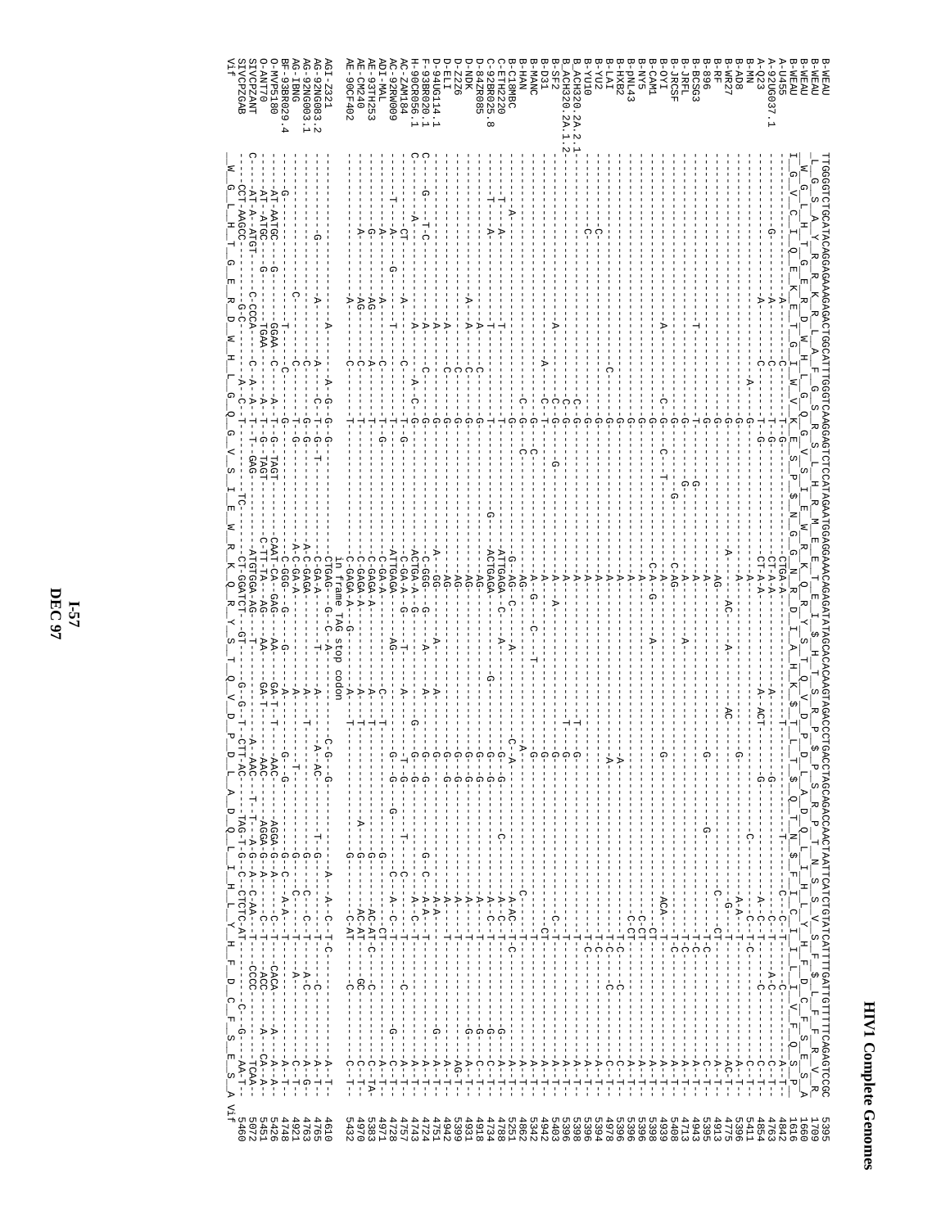| $\mathbf{I}$<br>$\mathsf I$<br>$\mathbb I$<br>$\mathbf{I}$<br>J.<br>J.<br>$\mathbf{I}$<br>$\mathbb{I}$<br>$-4$<br>I.<br>L.<br>$- - \Delta - - \Delta - -$<br>$-1$ $+1$ $-1$<br>$CA - A -$ | $-ACC$<br>Ŧ                                                                                                                                                                 | $\frac{1}{1}$<br>$- - \text{AGGA} - \text{G} - -$<br>$-4-$<br>$\mathbb{I}$<br>$-1 - 1 - 1 - 1 - 1 - 1$                                                                                                                                  | $---PAC---$                                                        | GA-T      | コーユゴーロアーー AG               | <b>TAGT</b> | <b>TGAA</b> | AT--ATGC- |
|-------------------------------------------------------------------------------------------------------------------------------------------------------------------------------------------|-----------------------------------------------------------------------------------------------------------------------------------------------------------------------------|-----------------------------------------------------------------------------------------------------------------------------------------------------------------------------------------------------------------------------------------|--------------------------------------------------------------------|-----------|----------------------------|-------------|-------------|-----------|
|                                                                                                                                                                                           | $\frac{1}{2}$<br>CACA--                                                                                                                                                     | $\begin{array}{c} \end{array}$<br>ł<br>$-AGGA-G$<br>ŧ<br>$A$ - - -<br>$\begin{array}{c} \end{array}$<br>$-1$ $Q - 1$ $H - 1$                                                                                                            | $---PAC---$                                                        |           | <b>AAT-CA--GAG</b>         | ဂု          |             | AT-AATGC- |
|                                                                                                                                                                                           | J.<br>Ţ<br>$\frac{1}{1}$<br>$\mathbb I$                                                                                                                                     | ł<br>I.<br>$\frac{1}{1}$<br>Ω<br>Ŧ<br>C<br>$-1 - 2 - 2 - 4 - 1$                                                                                                                                                                         | $-9 - -9 - -$                                                      |           | -0000-                     |             |             |           |
| ł<br>$\mathsf I$<br>$\mathbf{I}$<br>I.<br>I<br>I<br>ł                                                                                                                                     | L<br>$- - \Delta - -$                                                                                                                                                       | $\frac{1}{4}$<br>$\sf I$<br>$\frac{1}{1}$<br>$\frac{1}{1}$<br>Ω<br>Ť<br>I.<br>$\frac{1}{1}$<br>G                                                                                                                                        | $\frac{1}{1}$                                                      |           | $A - C - GA - P$           |             |             |           |
| Ŧ,<br>$\overline{1}$<br>$\blacksquare$<br>$\frac{1}{1}$<br>$- -p - -q - -$                                                                                                                | ÷<br>∶<br>$\blacksquare$                                                                                                                                                    | $\overline{1}$<br>$\blacksquare$<br>$\blacksquare$<br>$\blacksquare$<br>$\mathbf I$<br>$\frac{1}{1}$<br>Ω<br>$\frac{1}{1}$<br>$\overline{1}$<br>$\frac{1}{1}$<br>Q<br>$- - - - - - -$                                                   | $\blacksquare$<br>$\frac{1}{1}$<br>$\frac{1}{1}$<br>$\overline{1}$ |           | -C-GAGA-                   |             |             |           |
| Ŧ,<br>$\frac{1}{1}$<br>L<br>J.<br>J.<br>$\mathbb{I}$<br>ł<br>$-1 - 2 - 1 - 1 - 1$<br>$A - T -$                                                                                            | ŧ<br>ł<br>$\blacksquare$<br>Ť<br>$\mathsf I$<br>$\mathsf I$                                                                                                                 | L<br>$\mathsf I$<br>Ť<br>$\frac{1}{1}$<br>L.<br>ŧ<br>Ť<br>Ω<br>Ť<br>$\blacksquare$<br>$\blacksquare$<br>$\mathbb{I}$<br>Þ<br>ł<br>Ì<br>$\mathbb{I}$<br>$-1$ $-1$ $-1$ $-1$ $-1$ $-1$ $-1$<br>$A - -$<br>$C - T - C$                     | $-1-C$<br>$C = -C =$                                               |           | $C - GA - A -$<br>--DGAG-- | ္ဂ်         |             |           |
|                                                                                                                                                                                           |                                                                                                                                                                             |                                                                                                                                                                                                                                         |                                                                    | codon     | in frame<br>TAG Stop       |             |             |           |
| --1-1-                                                                                                                                                                                    | I.<br>т<br>$\frac{1}{1}$<br>Q                                                                                                                                               | $\mathbf{I}$<br>$\mathbf{I}$<br>т<br>Ω<br>ł<br>$\frac{1}{1}$<br>$C - AT -$                                                                                                                                                              |                                                                    | Þ         | 2-GAGA-A                   |             |             |           |
| $\mathbf I$<br>$\blacksquare$<br>$\blacksquare$<br>$\frac{1}{1}$<br>$\overline{1}$<br>C--T--                                                                                              | $\frac{1}{1}$<br>$-90 - -$                                                                                                                                                  | $\mathsf I$<br>ł<br>$\frac{1}{1}$<br>$\overline{Y}$<br>$\frac{1}{1}$<br>Ω<br>$\frac{1}{1}$<br>$\mathsf I$<br>$\overline{\phantom{a}}$<br>$\mathbf{I}$<br>$\mathsf I$<br>$\frac{1}{1}$<br>$AC-AT--$                                      | $\frac{1}{4}$<br>Ť<br>$\mathsf I$                                  |           | A-ASASA                    |             |             |           |
| Ω<br>$-TTA-$                                                                                                                                                                              | ŧ<br>$\frac{1}{1}$<br>C                                                                                                                                                     | $\mathbb I$<br>$\frac{1}{4}$<br>$\mathbb{I}$<br>$\frac{1}{2}$<br>Ω<br>ł<br>$\mathbf{I}$<br>$AC-AT-CC$                                                                                                                                   | ł                                                                  | ъ         | $2-5A-B-2$                 |             |             | -PG-      |
| $\mathbf{I}$<br>$\mathbf{I}$<br>A--T-                                                                                                                                                     | $\mathbf{I}$<br>$\blacksquare$<br>$\mathbf{I}$<br>$\mathbf{I}$                                                                                                              | $\mathsf I$<br>$\mathbf{I}$<br>$\mathbf{I}$<br>ଜ<br>Ť<br>$\mathbf{I}$<br>$\mathsf I$<br>$\blacksquare$<br>$-12 - 1$                                                                                                                     | $\overline{1}$                                                     |           | -GA-A-                     |             |             |           |
| Ω<br>ł<br>$-1 - 1 - 1 - 1$                                                                                                                                                                | $\mathbf{I}$<br>Í<br>$\mathbb I$<br>$\mathbf I$                                                                                                                             | ţ<br>$\frac{1}{2}$<br>$\frac{1}{1}$<br>Í<br>C<br>Ţ<br>$A--C--T--T--$                                                                                                                                                                    | $-9 - -9 - -$                                                      |           | <b>ITTGAGA-</b>            |             |             | ٢         |
| Ŧ<br>A--T-                                                                                                                                                                                | $\mathbf{I}$<br>$\mathbf{I}$<br>$\mathsf I$<br>C                                                                                                                            | $\frac{1}{1}$<br>$-1$ $-1$ $-1$ $-1$<br>ŧ<br>C<br>Ŧ<br>$\mathsf I$<br>$\frac{1}{1}$<br>$\mathsf I$<br>$-1 - 1 -$                                                                                                                        | ڹ<br>ا<br>$\Omega$                                                 | H         | $C-GA-AC-$                 |             |             |           |
| $\mathbf{A}=-\mathbf{T}=-$                                                                                                                                                                | $\mathbf{I}$<br>$\blacksquare$<br>$\mathbf{I}$<br>$\mathsf I$                                                                                                               | T<br>$\mathsf I$<br>$\frac{1}{1}$<br>Ť<br>$\blacksquare$<br>$A -$<br>$C - T - T -$                                                                                                                                                      | င်္ဂ<br>ω<br>ł.                                                    |           | $CTCA - A -$               |             | ₽           |           |
| $\rm A--T--$                                                                                                                                                                              | $\mathbf{I}$<br>$\mathbf{I}$<br>$\mathbf{I}$<br>$\mathbf{I}$                                                                                                                | $\mathbf{I}$<br>J.<br>I<br>$\mathbf{I}$<br>$\mathbf{I}$<br>$\mathsf I$<br>-1<br>$\mathsf I$<br>$\Gamma$<br>Q<br>Ţ<br>$\mathbf{A} - \mathbf{A} - -\mathbf{T} - -\mathbf{T}$                                                              | ငှ<br>ļ<br>ଋ<br>л.                                                 | Ė<br>ъ    | -999-2                     |             |             | Ģ         |
| ⋒<br>ł<br>$-7 - 7 -$                                                                                                                                                                      | $\blacksquare$<br>$\overline{\phantom{a}}$<br>$\overline{1}$                                                                                                                | $\overline{\phantom{a}}$<br>$\frac{1}{1}$<br>$\overline{\phantom{a}}$<br>$\mathbf{I}$<br>$\mathbf{I}$<br>$A - A -$<br>$\frac{1}{1}$                                                                                                     | $\dot{\Omega}$<br>$\blacksquare$                                   |           | င္ပ်ာ                      |             |             |           |
| л<br>J.<br>J.<br>J.<br>J.<br>$A - T -$                                                                                                                                                    | f<br>L.<br>L.<br>L.<br>п                                                                                                                                                    | $\mathbb{I}$<br>L.<br>J.<br>î.<br>$\mathbb{I}$<br>H.<br>$\mathbb{I}$<br>ł<br>I.<br>Ţ<br>т<br>$-\Delta$<br>$\mathbf I$<br>ŧ                                                                                                              | ငှ<br>Ţ<br>J.<br>ଋ<br>U.                                           |           | -AG                        |             |             |           |
| $AG-T-$                                                                                                                                                                                   | $\mathbf{I}$                                                                                                                                                                | $A -$<br>ー<br>中                                                                                                                                                                                                                         | ငှ<br>$-1$ - $-1$<br>л.                                            |           | RG                         |             |             |           |
| L.<br>J.<br>H.<br>п<br>Ω<br>ł<br>$\frac{1}{1}$<br>$A - T -$                                                                                                                               | $\mathbf{I}$<br>$\overline{\phantom{a}}$<br>L.<br>$\overline{\phantom{a}}$                                                                                                  | $\frac{1}{4}$<br>J.<br>J.<br>$\overline{\phantom{a}}$<br>J.<br>п<br>I.<br>$\begin{array}{c} \hline \end{array}$<br>л.<br>$\frac{1}{1}$<br>$-5$<br>$-1 - 1 - 1$                                                                          | ှု<br>ŧ<br>$\mathbf{I}$<br>ଋ<br>÷.                                 |           |                            |             |             |           |
| Ω<br>$-2 - 1 - 1 -$                                                                                                                                                                       |                                                                                                                                                                             | $-4-$<br>$\frac{1}{1}$                                                                                                                                                                                                                  | ှု<br>$-9 - -4$                                                    |           |                            |             |             |           |
| $\frac{1}{1}$<br>$\mathbf{I}$<br>$\mathbf{I}$<br>$\mathbf I$<br>Ω<br>$\frac{1}{2}$<br>$\mathbf{A}--\mathbf{T}--$                                                                          | $\mathsf I$<br>$\mathbf{I}$<br>$\mathbb{L}$                                                                                                                                 | $\mathsf I$<br>ļ.<br>$A$ – $-$<br>$C = -T = -1$                                                                                                                                                                                         | $\frac{1}{1}$                                                      |           | <b>ACTGAGA</b>             |             |             |           |
| J.<br>Ω<br>ł                                                                                                                                                                              | A--C--H---------                                                                                                                                                            | ţ<br>$C----$<br>J                                                                                                                                                                                                                       | $-6 - -1$<br>$\Omega$                                              |           | <b>ITTGAGA--</b>           |             |             |           |
| $-1 - 2 - 1 - 1 -$<br>$-7$ - $-1$                                                                                                                                                         | $-1$ $-1$ $-1$ $-1$ $-1$ $-1$<br>$\mathbf{I}$<br>$\mathbf{I}$<br>$\mathsf I$                                                                                                | -1<br>ł<br>$A - A C - - T - C - -$                                                                                                                                                                                                      | ÷<br>$-4-$                                                         |           | G--AG-                     |             |             |           |
| $\frac{1}{4}$<br>ł<br>Ť.<br>J.<br>$-7$ - $-1$                                                                                                                                             | ÷,<br>$\mathbf{I}$<br>$\frac{1}{1}$<br>I.<br>$\mathsf I$<br>I<br>$\sf I$                                                                                                    | $\begin{bmatrix} 1 \\ 1 \\ 1 \end{bmatrix}$<br>$-1$ $-1$ $-1$ $-1$ $-1$ $-1$ $-1$<br>$\frac{1}{1}$<br>ţ<br>I.<br>$C - - -$<br>$\mathsf I$<br>$\mathsf I$<br>$\mathbf{I}$<br>п<br>$\begin{array}{c} \hline \end{array}$<br>$\frac{1}{1}$ | ł<br>ŧ<br>$\frac{1}{1}$<br>ţ<br>I.                                 |           |                            | Ω           |             |           |
| $-\Delta=-\Gamma-$                                                                                                                                                                        | $\blacksquare$<br>$\blacksquare$<br>$\,$ I                                                                                                                                  | $\frac{1}{1}$<br>$\mathsf I$<br>$\blacksquare$<br>$\blacksquare$<br>$\mathbf I$<br>$-12 -$                                                                                                                                              | Ω<br>Ω<br>ŧ                                                        |           |                            |             |             |           |
| Ť<br>J.<br>$-\Delta=-\Gamma-$                                                                                                                                                             | J.<br>$\mathbf{I}$<br>J.<br>L<br>I                                                                                                                                          | ļ.<br>I<br>$\frac{1}{1}$<br>I.<br>J.<br>$C - T - T -$                                                                                                                                                                                   | ှု<br>ł.<br>T.                                                     |           |                            |             |             |           |
| $\overline{\phantom{a}}$<br>J<br>$-L - A - - L -$                                                                                                                                         | $\blacksquare$<br>$\frac{1}{1}$<br>$\mathsf I$<br>$\mathsf I$                                                                                                               | $\frac{1}{1}$<br>$\,$ I<br>$\frac{1}{2}$ .<br>$\frac{1}{1}$                                                                                                                                                                             | ω<br>Ť<br>$\frac{1}{1}$                                            |           |                            |             |             |           |
| $\blacksquare$<br>î<br>$\frac{1}{1}$<br>-- 1- 4 --                                                                                                                                        | J.<br>ł<br>$\mathbf I$<br>Ţ                                                                                                                                                 | $\frac{1}{1}$<br>$\mathbf{I}$<br>J.<br>$-1$ + $-1$ + $-1$                                                                                                                                                                               | $\Gamma$<br>J.<br>ì                                                |           |                            |             |             |           |
| ł<br>$-1 - 2 - 1 - 1 -$                                                                                                                                                                   | $\frac{1}{2}$<br>$\frac{1}{1}$                                                                                                                                              | $\frac{1}{1}$<br>$\frac{1}{1}$<br>$\mathbf{I}$<br>$\mathbf{I}$<br>$-1 - C$                                                                                                                                                              | т<br>I.<br>I.                                                      |           |                            |             |             |           |
| $\mathbf{A}=-\mathbf{T}=-$                                                                                                                                                                | ŧ                                                                                                                                                                           | $\blacksquare$<br>$\mathbf{I}$<br>$-L-C$                                                                                                                                                                                                | $\blacksquare$<br>$\mathbf{I}$                                     |           |                            |             |             |           |
| $\frac{1}{1}$<br>$-1 - 1 - 1 - 1$                                                                                                                                                         | $-1$ -1<br>-1<br>-1<br>-1<br>-1<br>-1<br>-1<br>-1<br>-1<br>-1<br>-1<br>-1<br>-1<br>-1<br>-1<br><br><br><br><br><br><br><br><br><br><br><br><br><br><br><br><br><br><br><br> | I.<br>$\begin{array}{c} 1 \\ 1 \\ 1 \end{array}$                                                                                                                                                                                        | Ť                                                                  |           |                            |             |             |           |
| Ŧ<br>$\mathbf I$<br>$\frac{1}{1}$<br>$-2 - 2 - 1 -$                                                                                                                                       | $-1$                                                                                                                                                                        | $\begin{array}{c} \hline \end{array}$<br>$\overline{\phantom{a}}$<br>$\frac{1}{1}$<br>$\overline{\phantom{a}}$<br>$\overline{1}$                                                                                                        | $-1 - 2 - -$<br>$\overline{1}$                                     |           |                            |             |             |           |
| ł<br>I.<br>$\frac{1}{1}$<br>İ<br>$\frac{1}{4}$<br>$-1 - -1$                                                                                                                               | $\mathbb{I}$                                                                                                                                                                | ł<br>$-1$ $-1$ $-1$ $-1$ $-1$ $-1$ $-1$ $-1$<br>$\frac{1}{1}$<br>$\mathbb{I}$<br>I.<br>$-1$ - $-1$ - $-1$ - $-1$ - $-1$                                                                                                                 | ļ<br>$\frac{1}{1}$<br>$\mathbb{I}$                                 |           |                            |             |             |           |
| ł<br>$\frac{1}{1}$<br>$-L=-K$                                                                                                                                                             | $\mathbf{I}$<br>$\frac{1}{1}$                                                                                                                                               | $\sf I$<br>$\frac{1}{1}$<br>$\frac{1}{1}$<br>$\mathsf I$<br>1<br>$\mathsf I$<br>$\frac{1}{1}$<br>$C-CT$ --                                                                                                                              | $\mathbf{I}$<br>$\mathbf{I}$<br>1                                  |           |                            |             |             |           |
| $\blacksquare$<br>$\mathbf{I}$<br>$\frac{1}{1}$<br>$-1 - 2 - -1 -$                                                                                                                        | $\blacksquare$<br>$\frac{1}{1}$                                                                                                                                             | $\frac{1}{1}$<br>$\frac{1}{1}$<br>$\frac{1}{1}$<br>$\overline{1}$<br>$\overline{\phantom{a}}$<br>$\overline{\phantom{a}}$<br>$-1.2$                                                                                                     | Ţ<br>$\blacksquare$                                                |           |                            |             |             |           |
| $\frac{1}{1}$<br>$-7$ - $-1$                                                                                                                                                              | 1<br>$\mathbf{I}$<br>Ť.                                                                                                                                                     | I<br>$\mathsf I$<br>$\frac{1}{1}$<br>п<br>$ACA---T---$                                                                                                                                                                                  | ှု<br>I<br>J.                                                      |           |                            |             |             |           |
| $\frac{1}{1}$<br>$\frac{1}{1}$<br>$\mathbf{I}$<br>$\mathbf{A}=-\mathbf{T}=-$                                                                                                              | $\frac{1}{1}$<br>$\frac{1}{1}$                                                                                                                                              | $\frac{1}{1}$<br>$\frac{1}{1}$<br>$\begin{array}{c} 1 \\ 1 \\ 1 \end{array}$<br>$\mathbb{I}$<br>$\mathbb{I}$<br>$\mathsf I$<br>Ť<br>$-1 - C$                                                                                            | $\frac{1}{1}$<br>ı<br>$\mathbf I$                                  |           | - AG                       |             |             |           |
| $-1$ - $-1$                                                                                                                                                                               | $\frac{1}{1}$                                                                                                                                                               | $\mathbb I$<br>$\frac{1}{1}$<br>$-1 - C$                                                                                                                                                                                                |                                                                    |           |                            |             |             |           |
| A--T-                                                                                                                                                                                     | $-1 - 1 - 1 - 1 - 1 - 1$                                                                                                                                                    | ł<br>$\mathsf I$<br>$\frac{1}{1}$                                                                                                                                                                                                       |                                                                    |           |                            |             |             |           |
| $\frac{1}{1}$<br>$-1 - 1 - 1 - 1 -$                                                                                                                                                       | $-1 - 1 - 1 - 1 - 1 - 1$                                                                                                                                                    | $- - - - - - - -$<br>J<br>I<br>ţ                                                                                                                                                                                                        | $\frac{1}{1}$<br>$\frac{1}{1}$                                     |           |                            |             |             |           |
| T<br>I.<br>I.<br>$\rm A--T--$                                                                                                                                                             | т<br>I.                                                                                                                                                                     | т<br>I.<br>$\mathbf{I}$<br>$C$ ----<br>$-1.2 -$                                                                                                                                                                                         | т<br>J.                                                            |           |                            |             |             |           |
| $AC-T-$                                                                                                                                                                                   | $\mathbf{I}$                                                                                                                                                                | $-1 - 1 - -1 - -1 -$                                                                                                                                                                                                                    |                                                                    |           | R                          |             |             |           |
| ł<br>J.<br>$-1 - 1 - -1$                                                                                                                                                                  | $\frac{1}{1}$<br>ł<br>$\mathbf I$<br>I                                                                                                                                      | $\mathbf I$<br>J.<br>I,<br>J.<br>J.<br>$\mathbf{I}$<br>$\frac{1}{1}$<br>J.<br>$-2A - A - -1T - -T -$                                                                                                                                    | <u>ဂုံ</u><br>Ţ<br>J.<br>$\mathbf{I}$                              |           | A-                         |             |             |           |
| J.                                                                                                                                                                                        | $\frac{1}{1}$<br>$\mathbf{I}$                                                                                                                                               | I<br>$\mathsf I$<br>G<br>ł<br>I<br>I<br>$\mathsf I$                                                                                                                                                                                     | J.<br>I                                                            |           |                            |             |             |           |
| C--<br>п<br>п<br>J.<br>C--T-                                                                                                                                                              | п<br>I,<br>$\frac{1}{1}$                                                                                                                                                    | ţ<br>п<br>л<br>I.<br>$\frac{1}{1}$<br>I,<br>J.<br>$\mathbb I$<br>- - アー・ロー・ロー                                                                                                                                                           | т<br>İ<br>$\Gamma$                                                 | ÷<br>ACT- | $-4 - 7 - 7 -$             |             |             |           |
| $\begin{array}{c} \hline \end{array}$<br>$\frac{1}{2}$<br>C--T--                                                                                                                          | $\mathbf{I}$<br>$-A-C--$                                                                                                                                                    | $\overline{\phantom{a}}$<br>$-1 - 1 - 1 - 1 - 1$                                                                                                                                                                                        | $\frac{1}{1}$                                                      |           | $C$ T-A-A-                 | ဂှ          |             |           |
| $\blacksquare$<br>$A - T -$                                                                                                                                                               | $\blacksquare$<br>$\overline{1}$<br>$\blacksquare$<br>$\mathbf{I}$<br>C                                                                                                     | $\blacksquare$<br>$\mathbf{I}$<br>۲<br>ا<br>$\mathsf I$<br>$\mathbf{I}$<br>$\mathbf I$<br>$-1 - 1 - 1 - 1 - 1$                                                                                                                          | $\overline{1}$                                                     |           | TGA-                       | ω           |             |           |
| ⊲<br>ŋ<br>Ö<br>'n,<br>ᡃ                                                                                                                                                                   | F                                                                                                                                                                           | Ю<br>z<br>٠m<br>먹<br>$\sim$<br>н                                                                                                                                                                                                        | ÷۷Σ                                                                |           |                            |             |             |           |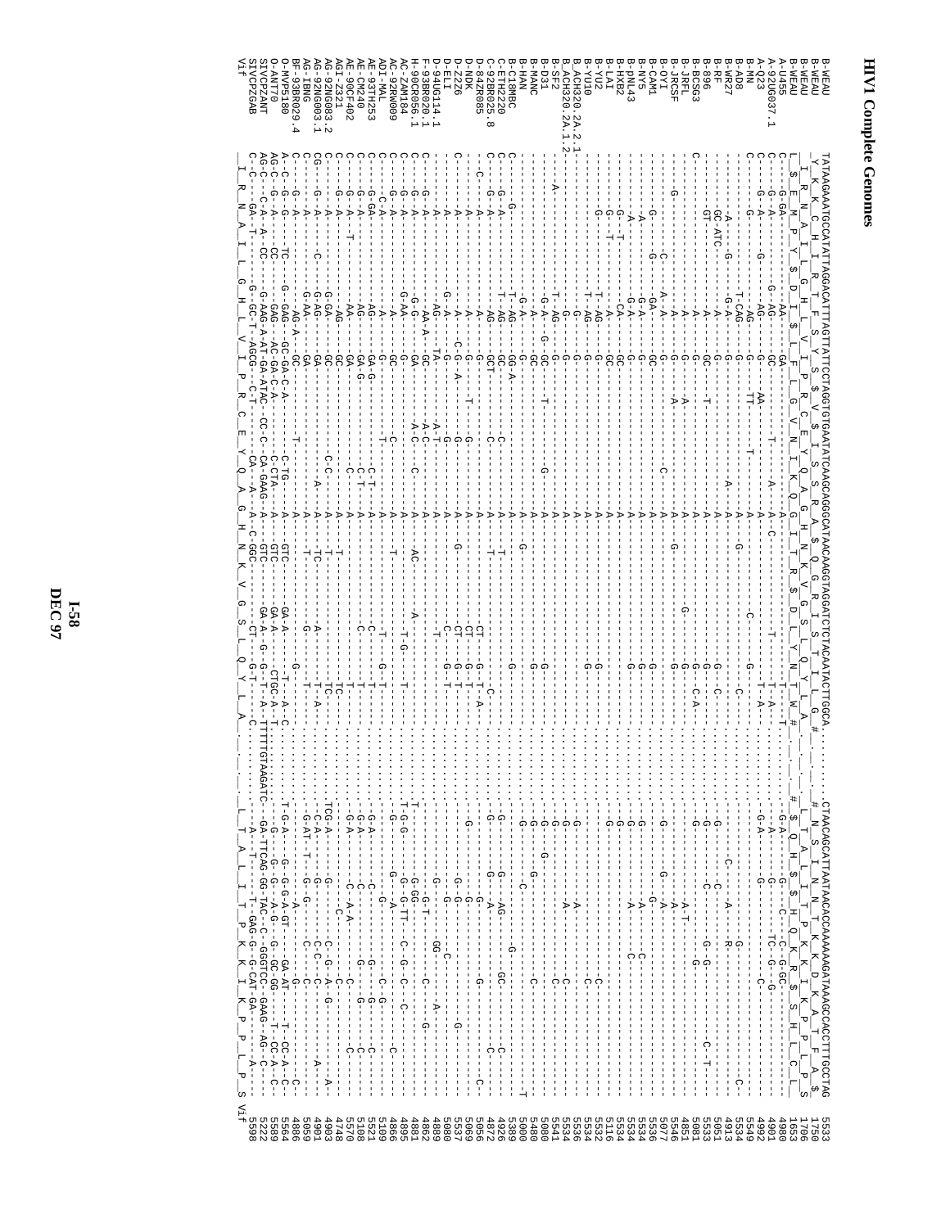|                                | <b>CPZGAB</b>        | VCPZANT                             | <b>ANT70</b>                                  | MVP5180                       | $-93BRO29$                                                                                                                                           | LBNG                                                                               | $-92NC003.1$                                    | $3 - 92NGO 83.2$                                                                                                                                                                                                                                                                                                                                                                                      | 2521                                                      | $-90CFA02$                                                          | $-CM240$                                                 | $-93TH253$                                                    |                                                                                                               | -92RM009      | <b>18 LMAZ-</b> | OCR056.                         | 3BR020.                                                                                                          | 4UGI14.                                                                                                                     |                                                              | 9222                 |                                        | 4ZR085                             | 2BR025<br>$\frac{1}{\infty}$                                             | TH2220                                   |         | 18MBC              |                                                   | VANC                                                                              | Ξ                                                 |                     | <b>CEE32</b>           | CH32                   | CILI) | Z <sub>D</sub>    | LAI           | HXB2    | PNL43                                                     |         | <b>SXN</b>          | CAM1               | IXO                      | <b>JRCSF</b>  | JRFL              | <b>BCSG3</b>                                                                                | 968                                          | RH          | MR27                                                       | 806                                                  | Ň                    | 223                       | 920G03                      | <b>GSFQ-</b>                              | WEAU                        | <b>NEAU</b>   | WEAU               | WEAU                                            |
|--------------------------------|----------------------|-------------------------------------|-----------------------------------------------|-------------------------------|------------------------------------------------------------------------------------------------------------------------------------------------------|------------------------------------------------------------------------------------|-------------------------------------------------|-------------------------------------------------------------------------------------------------------------------------------------------------------------------------------------------------------------------------------------------------------------------------------------------------------------------------------------------------------------------------------------------------------|-----------------------------------------------------------|---------------------------------------------------------------------|----------------------------------------------------------|---------------------------------------------------------------|---------------------------------------------------------------------------------------------------------------|---------------|-----------------|---------------------------------|------------------------------------------------------------------------------------------------------------------|-----------------------------------------------------------------------------------------------------------------------------|--------------------------------------------------------------|----------------------|----------------------------------------|------------------------------------|--------------------------------------------------------------------------|------------------------------------------|---------|--------------------|---------------------------------------------------|-----------------------------------------------------------------------------------|---------------------------------------------------|---------------------|------------------------|------------------------|-------|-------------------|---------------|---------|-----------------------------------------------------------|---------|---------------------|--------------------|--------------------------|---------------|-------------------|---------------------------------------------------------------------------------------------|----------------------------------------------|-------------|------------------------------------------------------------|------------------------------------------------------|----------------------|---------------------------|-----------------------------|-------------------------------------------|-----------------------------|---------------|--------------------|-------------------------------------------------|
|                                | Ġ                    | ن<br>9-ن                            | ں<br>9–0                                      | Ģ<br>ဂု                       | ω                                                                                                                                                    |                                                                                    | Ω                                               |                                                                                                                                                                                                                                                                                                                                                                                                       | ⋒                                                         |                                                                     |                                                          | 9-97                                                          | C-A                                                                                                           | Ω<br>J-       | ω<br>$- -A$     | ω<br>ъ                          | ω<br>⊅                                                                                                           | ኴ                                                                                                                           | כל                                                           | ゼ                    | ৳                                      | ∩                                  | $A - D$                                                                  | $A - D - D$                              |         |                    |                                                   |                                                                                   |                                                   |                     |                        |                        |       |                   | <u>ဂ</u><br>÷ | ဂု      | ÷                                                         |         |                     |                    |                          |               |                   |                                                                                             |                                              | 317-25      |                                                            |                                                      |                      | ω<br>$-$ – $\mathbb{A}$ . | ω<br>$- -A$ .               | G-GA                                      |                             |               |                    |                                                 |
|                                |                      |                                     |                                               |                               |                                                                                                                                                      |                                                                                    | G-AG-                                           | G-GA-                                                                                                                                                                                                                                                                                                                                                                                                 | $-AA$                                                     | AA-                                                                 | ŘG                                                       | AG                                                            | Þ.                                                                                                            | - - A         | 4-AA            | $-9 - 0$                        | <b>AA-A</b>                                                                                                      | $-5G-$                                                                                                                      | $-4-$                                                        | $-\Delta$ -          | $-\Delta$ -                            | $-4-$                              | $-10G$                                                                   | $-4G$                                    |         | - AG               | $G - A -$                                         | $-\Delta$ -                                                                       | $G - A - -$                                       | -- AG.              | ငှ                     | $\frac{1}{1}$          | -- AG | $-100$            | $-4-$         | $-CA -$ |                                                           | G-A-    | G-A.                | $GA -$             | $A - -A$                 | $\frac{1}{2}$ | А                 | А                                                                                           | →<br>>                                       | $\forall$ – | $G - A -$                                                  | -CAG                                                 | $-AA$                |                           | -- AG                       | ₿                                         |                             |               |                    |                                                 |
|                                |                      | A-ATAC                              |                                               |                               |                                                                                                                                                      |                                                                                    |                                                 |                                                                                                                                                                                                                                                                                                                                                                                                       |                                                           |                                                                     |                                                          |                                                               |                                                                                                               |               |                 |                                 |                                                                                                                  |                                                                                                                             |                                                              |                      |                                        |                                    |                                                                          |                                          |         |                    |                                                   |                                                                                   |                                                   |                     |                        |                        |       |                   |               |         |                                                           |         |                     |                    |                          |               |                   |                                                                                             |                                              |             |                                                            |                                                      |                      |                           |                             |                                           |                             | ∪             |                    |                                                 |
|                                |                      | CA-GAAG                             | -CTA-                                         | LG -                          |                                                                                                                                                      |                                                                                    |                                                 |                                                                                                                                                                                                                                                                                                                                                                                                       |                                                           |                                                                     | Ċ,                                                       | いけ                                                            |                                                                                                               |               |                 |                                 | $A - 4$<br>∩                                                                                                     | A-T                                                                                                                         | ⋒                                                            | ഩ                    | ⋒                                      |                                    |                                                                          |                                          |         |                    |                                                   |                                                                                   |                                                   |                     |                        |                        |       |                   |               |         |                                                           |         |                     |                    |                          |               |                   |                                                                                             |                                              |             |                                                            |                                                      |                      |                           |                             |                                           |                             |               |                    |                                                 |
|                                | ວອອ່                 | -erc                                | -GTC                                          | -GTC                          |                                                                                                                                                      |                                                                                    | đ                                               |                                                                                                                                                                                                                                                                                                                                                                                                       |                                                           |                                                                     |                                                          |                                                               |                                                                                                               |               |                 |                                 |                                                                                                                  |                                                                                                                             |                                                              | ဝှ                   |                                        |                                    |                                                                          |                                          |         |                    | စှ                                                |                                                                                   |                                                   |                     |                        |                        |       |                   |               |         |                                                           |         |                     |                    |                          |               |                   |                                                                                             |                                              |             |                                                            | ှု                                                   |                      |                           |                             |                                           |                             |               |                    |                                                 |
|                                |                      | A-A5                                | $GA - A$                                      | $GA - A$                      |                                                                                                                                                      |                                                                                    |                                                 |                                                                                                                                                                                                                                                                                                                                                                                                       |                                                           |                                                                     |                                                          |                                                               |                                                                                                               |               | −<br>Ω          |                                 |                                                                                                                  |                                                                                                                             | Q                                                            | G                    | G                                      |                                    |                                                                          |                                          |         |                    |                                                   |                                                                                   |                                                   |                     |                        |                        |       |                   |               |         |                                                           |         |                     |                    |                          |               |                   |                                                                                             |                                              |             |                                                            |                                                      |                      |                           |                             |                                           |                             |               |                    |                                                 |
|                                |                      |                                     |                                               |                               |                                                                                                                                                      |                                                                                    |                                                 | Ŕ                                                                                                                                                                                                                                                                                                                                                                                                     |                                                           |                                                                     |                                                          |                                                               |                                                                                                               |               |                 |                                 |                                                                                                                  |                                                                                                                             |                                                              |                      | ا<br>با                                |                                    |                                                                          |                                          |         |                    |                                                   |                                                                                   |                                                   |                     |                        |                        |       |                   |               |         |                                                           |         |                     |                    |                          |               |                   |                                                                                             |                                              |             |                                                            |                                                      |                      |                           |                             |                                           |                             |               |                    |                                                 |
| Ħ                              |                      | GTAAGATC--                          | .<br>J.<br>$\overline{1}$<br>Í                | $T - G - A - -$               |                                                                                                                                                      |                                                                                    | --C-A--                                         | $TCG - A - -$                                                                                                                                                                                                                                                                                                                                                                                         | п<br>I<br>J.                                              | $\frac{1}{1}$<br>$G - A$                                            | $\frac{1}{1}$                                            | --G-A--                                                       | $\mathbf{I}$                                                                                                  | $\frac{1}{1}$ | --9-9-1         |                                 |                                                                                                                  |                                                                                                                             |                                                              |                      |                                        |                                    | $\overline{1}$<br>Ω<br>$\overline{\phantom{a}}$                          | ì<br>I                                   | ω       | J.                 | Ω                                                 | ω                                                                                 | ω                                                 | Ω                   | Ω                      | ω                      |       |                   | ω             | ⋒       |                                                           | ω       | ω                   |                    |                          |               |                   | Ω                                                                                           | Ω                                            | ω           |                                                            |                                                      | I                    | $G - A$                   | $\vdots$<br>ı               | $\vdots$                                  | C)                          |               | z                  |                                                 |
| Η<br>ኳ<br>Η                    | $-4$<br>부            |                                     | $\Gamma$<br>$-6 -$<br>ှ<br> <br>              |                               | $\frac{1}{1}$<br>J<br>I<br>ı<br>I<br>I<br>I<br>п<br>J<br>$\begin{array}{c} 1 \\ 1 \\ 1 \end{array}$                                                  | $- -D - D - - -$<br>$-1 - 9 - -9 - -1$                                             | I<br>J,                                         | $\mathbf{I}$<br>п<br>$-6 - -$<br>$\mathbf{I}$<br>$\begin{array}{c} \rule{0.2cm}{0.15mm} \rule{0.2cm}{0.15mm} \rule{0.2cm}{0.15mm} \rule{0.2cm}{0.15mm} \rule{0.2cm}{0.15mm} \rule{0.2cm}{0.15mm} \rule{0.2cm}{0.15mm} \rule{0.2cm}{0.15mm} \rule{0.2cm}{0.15mm} \rule{0.2cm}{0.15mm} \rule{0.2cm}{0.15mm} \rule{0.2cm}{0.15mm} \rule{0.2cm}{0.15mm} \rule{0.2cm}{0.15mm} \rule{0.2cm}{0.15mm} \rule{$ | л<br>п<br>п<br>л<br>J.                                    | ï<br>$\begin{array}{c} \hline \end{array}$<br>ن<br>ا                | $-4-7-$<br>Ω<br>$\frac{1}{1}$                            | I<br>ن<br>ا                                                   | 1<br>$\mathbf I$<br>Ť<br>$-1$                                                                                 | $-G---P-$     |                 | $\overline{1}$<br>$-1 - 56 - -$ | ı<br>$\mathsf I$<br>--0-1-                                                                                       | $\frac{1}{1}$<br>$\mathbf{I}$<br>$\mathbf{I}$                                                                               | j<br>İ<br><u>ဂ</u>                                           | $-9 - 9 - 0 - 0$     | မှ-<br>$\frac{1}{1}$<br>$-6 - -$       | п<br>J.<br>Ţ<br>$\mathbf{I}$<br>ဂူ | $\frac{1}{2}$<br>$\frac{1}{1}$<br>⊅                                      | $-1 - 1 - 1$                             |         | ı<br>J.<br>ı       | I,<br>Ï<br>л<br>$\frac{1}{1}$<br>C--              | ှ<br> <br>1                                                                       | ı<br>I<br>G<br>Ì<br>I<br>J<br>$\overline{1}$<br>I | т                   | ⊅                      | I<br>Ï                 |       |                   | J.<br>I       |         | $\frac{1}{1}$<br>⊅                                        |         | J                   | $\mathbf{I}$<br>ဂူ | J<br>$\overline{C}$<br>J |               | I<br>J<br>ì       | J<br>J                                                                                      | $\overline{C}$                               | I<br>Ω<br>I | Ω<br>$\frac{1}{1}$<br>1<br>⋗                               | I<br>ı<br>ı<br>I<br>i                                |                      | T,<br>л<br>п<br>л<br>ဂု   | $-\Delta -$<br>1<br>ဂု<br>п | $G - A - -$<br>ဂှ                         | ⊃<br>₹Ω<br>-02              | E<br>E        | ุโท<br>z<br>z      |                                                 |
| ם,<br>Ά<br>'×<br>j⊣<br>×<br>'പ | -T-GAG-G--G-CAT-GA-- | -GA-TTCAG-GG-TAC--C--GGGTCC--GAAG-- | $A-G--$<br>$- - 0C - 0C - - 0$<br>$\mathsf I$ | $-GA-RT-$<br>$\mathsf I$<br>ţ | $A - -$<br>$\overline{\phantom{a}}$<br>I<br>п<br>$\overline{\phantom{a}}$<br>$\overline{\phantom{a}}$<br>$\overline{1}$<br>$-6-$<br>п<br>I<br>I<br>п | $\mathbf{I}$<br>$\frac{1}{1}$<br>C<br>$\frac{1}{1}$<br>$-2 -$                      | Í<br>л<br>Í<br>$C - C - - -C -$<br>I<br>J,<br>I | I<br>$\mathbf{I}$<br>J<br>$\mathbf{I}$<br>c--d--<br>$A -$<br>$\frac{1}{\Omega}$<br>$\overline{1}$                                                                                                                                                                                                                                                                                                     | $\frac{1}{2}$<br>п<br>J.<br>I<br>J.<br>$\Omega$<br>т<br>п | $A - A -$<br>I<br>I<br>I<br>$\overline{1}$<br>റ<br>$\mathsf I$<br>I | $\mathbf{I}$<br>ဂှ<br>$\mathbf{I}$<br>$\frac{1}{\Omega}$ | Î<br>ı<br>ı<br>ı<br>$-5$<br>Î<br>$\frac{1}{6}$<br>I<br>I<br>ı | I<br>$\mathbf{I}$<br>ı.<br>$\begin{array}{c} \hline \end{array}$<br>$\overline{1}$<br>ှ<br>ဂူ<br>$\mathbf{I}$ | т<br>л        | I               |                                 | л<br>л<br>J<br>$\overline{\phantom{a}}$<br>J.<br>п<br>ှ<br>п<br>$\begin{array}{c} \hline \end{array}$<br>I<br>ှု | $\overline{1}$<br>$\mathbf{I}$<br>I<br>$-50-$<br>$\mathbf{I}$<br>J<br>$\mathbf{I}$<br>$\mathbf{I}$<br>$Y -$<br>$\mathbf{I}$ | л<br>л<br>İ<br>م<br>-<br>J.<br>л<br>f,<br>J.<br>$\mathbf{I}$ | ှု                   | л<br>J,<br>J<br>J<br>J.<br>I<br>J<br>ı | $\overline{1}$<br>J.<br>ဂု         | J,<br>$\mathbf{I}$<br>$\overline{1}$<br>$\overline{1}$<br>$\blacksquare$ | J.<br>î<br>$\mathbf{I}$<br>Ţ<br>$--00--$ | $AG---$ | J.<br>п<br>J.<br>ı | I,<br>л<br>J.<br>I<br>I<br>I<br>I<br>J<br>п<br>I. | $\mathop{\cap}\limits_{\mathop{\mathop{\scriptstyle\bigcap}\limits_{}}\nolimits}$ | I                                                 | I<br>J.<br>$\Omega$ | $\mathbf{I}$<br>Ω<br>ï | $\mathbb{A}$<br>I<br>л | റ     | ∩<br>$\mathbf{I}$ | J.<br>ı<br>I  |         | J,<br>ı<br>I<br>$\begin{array}{c} \end{array}$            | م-<br>- | $\overline{A}$<br>Ö | $\blacksquare$     | $\overline{A}$<br>п<br>I | $\mathbb{A}$  | $A-T--$<br>ш<br>I | J.<br>п<br>J.<br>H<br>$\overline{\phantom{a}}$<br>$\overline{\phantom{a}}$<br>J.<br>ဂု<br>I | I<br>л<br>I<br>л<br><u>ဂ်</u><br> <br>Ġ<br>Ì | I           | $\blacksquare$<br>$\mathbf{I}$<br>$\frac{1}{1}$<br>ᄷ<br>J, | ı<br>ı<br>I<br>J.<br>Ω<br>Ť<br>ţ<br>ı<br>I<br>I<br>ı | п<br>т               | п<br>п<br>L<br>п<br>ု     | I<br>TC---5---5T            | Ω<br>ł<br>$\overline{1}$<br>C<br>$G-GC -$ | E<br>O<br>≖<br>C)<br>m<br>ᄑ | ď<br>٣        | F<br>$\Box$<br>⊅   | CTAACAGCATTAATAACACCAAAAAAGATAAAGCCACCTTTGCCTAG |
| ď<br>F<br>. ਹ<br>ΩÓ<br>Vif     | $-V -$               | $AG--C--$<br>I<br>л                 | $-1 - 1 - 1 - 1$<br>$A--$<br>Ω<br>-1          | $T--CC-{\bf A}--T$<br>Ω<br>J. | J<br>п<br>J<br>п<br>J<br>I.<br>റ<br>I                                                                                                                | $\mathbf{I}$<br>$\overline{1}$<br>$\mathbf{I}$<br>$\overline{1}$<br>$\overline{1}$ | -- H -- --<br>J,                                | 1<br>$\mathbf{I}$<br>J<br>$\mathbf{I}$<br>$\mathbb{F}$                                                                                                                                                                                                                                                                                                                                                | ш                                                         | 1<br>C<br>$\begin{array}{c} \end{array}$<br>ı                       | $\frac{1}{1}$<br>C<br>$\mathsf I$                        | ı<br>ł<br>C<br>ł                                              | $\mathbf{I}$                                                                                                  | л<br>C<br>I   | I               |                                 |                                                                                                                  | J                                                                                                                           | $\mathbf{I}$                                                 |                      | J.<br>J<br>ı                           | Ω                                  | $\frac{1}{1}$<br>$\frac{1}{2}$                                           | ł<br>ှ                                   |         |                    | л<br>т                                            |                                                                                   |                                                   |                     |                        |                        |       |                   |               |         |                                                           |         |                     |                    | ı                        |               |                   | I<br>п                                                                                      | $\frac{1}{1}$<br>부                           |             |                                                            | ı<br>I<br>ł<br>Ω<br>т                                |                      | п<br>т                    |                             |                                           | ∩                           | ₩<br>ᡃᠣ<br>ัผ | H<br>먹<br>፞ቝ<br>'n |                                                 |
|                                |                      |                                     |                                               |                               |                                                                                                                                                      |                                                                                    |                                                 | 4903                                                                                                                                                                                                                                                                                                                                                                                                  |                                                           | 5570<br>4748                                                        |                                                          |                                                               |                                                                                                               |               |                 |                                 |                                                                                                                  |                                                                                                                             |                                                              | 5080<br>5537<br>5690 |                                        |                                    |                                                                          |                                          |         |                    |                                                   |                                                                                   |                                                   |                     |                        |                        |       |                   |               |         | 5 5 6 7 7 8 7 7 8<br>0 5 6 6 7 7 8 7 8<br>0 7 7 8 7 9 7 8 |         |                     |                    |                          |               |                   | 5 5 5 6 7 7 8<br>0 5 6 9 6 7 4<br>5 7 8 7 9 9                                               |                                              |             |                                                            |                                                      | 5549<br>5534<br>4913 | 4991<br>4992              |                             | 4980                                      | 1706<br>1653                |               | 5533               |                                                 |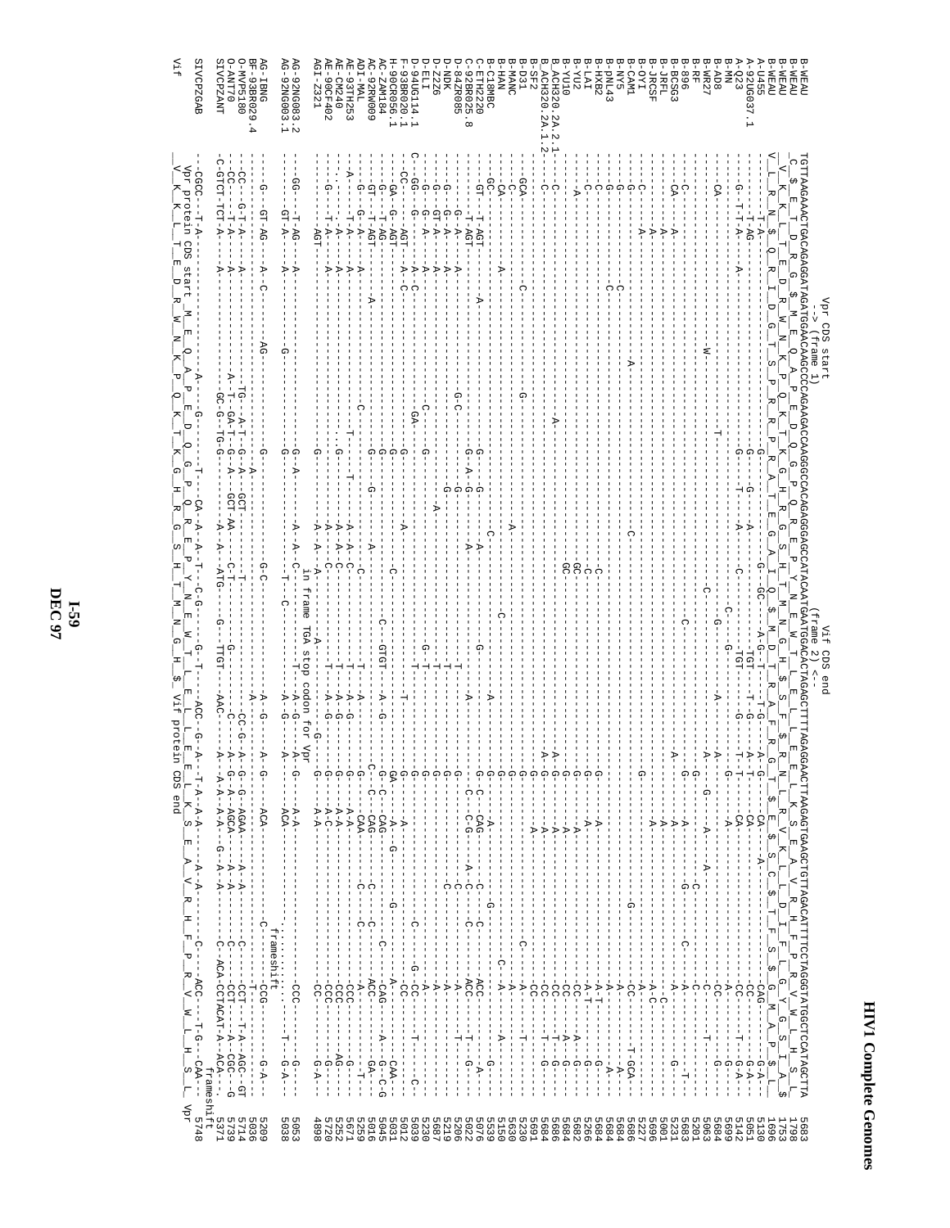#### mes

| E        |
|----------|
|          |
| ì<br>2   |
| ć<br>ž   |
| $-2 - 7$ |

| $-GTCT-TCT-R$<br>-pc-<br>cc-<br>နှ<br>ă<br>ĠC-<br>$G_A -$<br>$-GA - -G - -AGT -$<br>සි<br>$-1.5-$<br>-CA-<br>$\frac{1}{2}$<br>$\Omega$<br>ဂု<br>ω<br>Φ<br>CA-<br>ဂု<br>ω<br>ဂု<br>∩<br>∩<br>G<br>ω<br>ု<br>Ω<br>ဂု<br>$-5-7-7$<br>$-G - H - -$<br>コーローロー<br>ł<br>$-GT-RG-$<br>$-5 - 7 - -1$<br>$-1.5-$<br>ပြု<br>-A-A-<br>Ģ<br>$-7 - 7$<br>$I - AG$ -<br>I-AG-<br>$L - RG -$<br>$-4-$<br>$-4-$<br>F-AGT-<br>$L - AGL -$<br>- A-1<br>$-79F-1$<br>-AGT<br>⋗<br>⋗<br>⊅<br>⋗<br>AGT-<br>$\mathbb{A}$<br>ゼ<br>Ω<br>Ω<br>Ω<br>Ю<br>w<br>ᡃᠣ<br>᠊ᠣ<br>--9-20<br>보<br>$GA-T$<br>PD.<br>$A-$<br>TG-G<br>ώ<br>ဂု<br>Ω<br>ဂု<br>ଋ<br>Ģ<br>റ<br>Ω<br>ၐ<br>Ģ<br>G<br>Þ<br>$\mathbb{Y}$<br>⊅<br>$A - -1$<br>ଜ<br>Ω<br>Ω<br>부<br>ω<br>⋒<br>$GCT-AA-$<br>GCT<br>囨<br>$-A--A--$<br>$-A--A-$<br>$-A$ $  A$ $-$<br>ု<br>$-4-$<br>♭<br>$\overline{r}$<br>トローロー<br>င်္က<br>ن<br>م<br>ġ<br>ု<br>ဂ္<br>∩<br>ATG<br>Q<br>Ξ<br>부<br>Erame<br>႙<br>Ω<br>Ω<br>Ω<br>TGA<br>ဂှ<br>GTGT-<br>TTGT-<br>ဂု<br>ဂု<br>ac <sub>p</sub><br>TGT-<br>rgT-<br>J,<br>н<br>codon<br>$\frac{1}{2}$<br>AAC.<br>$\overline{A}$<br>⊅<br>$A -$<br>⊅<br>$\overline{A}$<br>ု<br>φ<br>ဂု<br>Ω<br>ω<br>C<br>Ģ<br>Ω<br>ω<br>ω<br>Eor<br>Ω<br>$\lambda$<br>$A$ — $A$<br>ਕ<br>$A$ – –<br>$A -$<br>$A$ - $-$<br>Ť<br>ť<br>$\mathbf{I}$<br>$\frac{1}{1}$<br>J.<br>$\mathbf{I}$<br>ł<br>$\frac{1}{1}$<br>Ω.<br>л<br>л.<br>л.<br>$\frac{1}{1}$<br>л<br>Ħ<br>G<br>z<br>ω<br>Ω<br>$\Gamma$<br>۲<br>۱<br>$\Gamma$<br>ဂု<br>Ω<br>Ω<br>ଋ<br>ω<br>ω<br>ω<br>J.<br>ω<br>$GA -$<br>ω<br>Ω<br>ω<br>ω<br>Ω<br>Ω<br>Ω<br>Ω<br>ω<br>ω<br>ଋ<br>ଋ<br>Ω<br>Ω<br>ω<br>Ω<br>Ω<br>ω<br>$-1$<br>ဂု<br>۲<br>ا<br>ဂု<br>$A - A - -$<br>J.<br>Ť<br>Ť<br>$\mathbf{I}$<br>$\frac{1}{1}$<br>т<br>L.<br>-1<br>$\mathbf{I}$<br>т.<br>л<br>÷<br>$\mathbf{I}$<br>л<br>-1<br>л.<br>$\mathbf{I}$<br>л.<br>$\mathbf{I}$<br>ł<br>т<br>$\mathbf{I}$<br>$-6 - -$<br>$\mathbb{I}$<br>f,<br>$A - -$<br><u>ဂ</u><br>C---CAG--<br>$\mathbb{I}$<br>C--<br>$C$ ——<br>م-<br>-<br>$\blacksquare$<br>$\blacksquare$<br>ł<br>$\overline{\phantom{a}}$<br>ł<br>ł<br>J.<br>$\blacksquare$<br>$\mathbf{I}$<br>J.<br>ł<br>$\frac{1}{1}$<br>L.<br>L.<br>J.<br>$\mathbf{I}$<br>J.<br>$\overline{1}$<br>$\mathbf{I}$<br>J.<br>∢0<br>л<br>$\blacksquare$<br>л<br>Ť.<br>Ť.<br>$\mathbb{I}$<br>$\mathbf I$<br>$A - A -$<br>$AGCA---$<br>AGAA<br>A<br>ACA-<br>-ACA-<br>$A - A -$<br>$\frac{A-C}{A-A}$<br>$-A-A$<br>$\mathbf{A} - \mathbf{A} - - -$<br>ţ.<br>$-4-7-$<br>J.<br>$\,$ I<br>$\frac{1}{1}$<br>$\frac{1}{1}$<br>$-CA -$<br>$\sf I$<br>$\,$ I<br>$\frac{1}{1}$<br>C-G--<br>$CAG -$<br>$\frac{1}{1}$<br>$\frac{1}{4}$<br>$-\Delta -$<br>Þ<br>CAA--<br>$CAG -$<br>J.<br>$\blacksquare$<br>I<br>$\mathbf{I}$<br>$\frac{1}{1}$<br>$\frac{1}{1}$<br>$\frac{1}{4}$<br>$\frac{1}{2}$<br>$\frac{1}{1}$<br>-11<br>-11<br>I.<br>$C-A-$<br>$CA-$<br>$\frac{1}{2}$<br>$\frac{1}{2}$<br>$\overline{P}$<br>CΟ<br>$\overline{A}$<br>$\mathbf{I}$<br>ł<br>$\mathbf{I}$<br>$\overline{A}$<br>$A -$<br>$\overline{A}$<br>$\blacksquare$<br>$\mathbf{I}$<br>л<br>л<br>$\tilde{A}$<br>п<br>$\mathbf{I}$<br>$\mathbf I$<br>$-1 - 2$<br>$-4$<br>$-4-$<br>$-4$<br>$\mathbb{I}$<br>$-4$<br>⊲<br>$\mathbf{I}$<br>$\mathbf{I}$<br>$\frac{1}{1}$<br>Ŧ<br>$\mathsf I$<br>$\mathbb{I}$<br>$\frac{1}{1}$<br>$\mathbf I$<br>$\,$ I<br>I<br>J.<br>∙⊽<br>囝<br>$\mathbf{I}$<br>л.<br>T.<br>-1<br>л<br>$\mathbf{I}$<br>п.<br>л<br>п<br>л<br>I<br>$\mathbf I$<br>$\frac{1}{2}$<br>$\mathbb{I}$<br>I.<br>$\mathbb{I}$<br>ှ<br>$\mathbb{I}$<br>$\begin{array}{c} \hline \end{array}$<br>J.<br>$\mathbf I$<br>J.<br>J.<br>Ť.<br>$\,$ I<br>$\mathbf I$<br>$- - \Delta - -$<br>$\begin{array}{c} \end{array}$<br>f,<br>ŗω.<br>$-A--A$<br>$-B$ - $B$ - $C$ - -<br>L.<br>$\overline{1}$<br>I<br>$\overline{1}$<br>I<br>$\overline{\phantom{a}}$<br>$\overline{\phantom{a}}$<br>$\mathbf{I}$<br>$\overline{\phantom{a}}$<br>J.<br>I.<br>J.<br>J.<br>$\overline{A}$<br>$\blacksquare$<br>п<br>$\overline{A}$<br>$\mathbf{A}--\mathbf{A}-$<br>۳<br>$\mathbf{I}$<br>$\overline{1}$<br>J.<br>J.<br>л.<br>H.<br>п<br>$\mathbf{I}$<br>$\overline{1}$<br>л<br>-1<br>İ<br>$\mathbb{I}$<br>'n<br>$\mathsf I$<br>$\mathbf I$<br>$- -C - -$<br>$\mathbf I$<br>$\mathbb{I}$<br>$\mathsf I$<br>$\overline{\phantom{a}}$<br>I,<br>$\blacksquare$<br>I<br>J.<br>$-\Delta$ -<br>$\frac{1}{1}$<br>₫<br>Ģ<br>$C -$<br>$\mathbf{I}$<br>$\frac{1}{1}$<br>c--<br>п<br>J.<br>-1<br>$\mathbf{I}$<br>ု<br>ှ<br>'n,<br>$\mathbb{I}$<br>$\mathsf I$<br>$\mathsf I$<br>$\mathsf I$<br>$\mathbf I$<br>$\mathbf I$<br>$\mathbf I$<br>٠m<br>J.<br>$\overline{\phantom{a}}$<br>$\mathbf{I}$<br>-1<br>Ţ<br>$\mathbf{I}$<br>$\frac{1}{1}$<br>ಸ<br>Ω<br>$-1$<br>σ<br>$\mathbf{I}$<br>$\mathbf{I}$<br>J.<br>I<br>$\blacksquare$<br>J.<br>$\mathbf{I}$<br>1<br>I<br>$\mathbf{I}$<br>$\mathbf{I}$<br>J.<br>$\mathbf{I}$<br>$\mathbf{I}$<br>H.<br>н<br>$\mathbf{I}$<br>Ť<br>$\frac{1}{1}$<br>ł<br>л.<br>$\overline{1}$<br>ł<br>$\overline{1}$<br>1<br>$\mathbf{I}$<br>л<br>H.<br>л<br>$\mathbf{I}$<br>п<br>т<br>Η<br>$\mathbf I$<br>$\mathbf{I}$<br>$\mathbf{I}$<br>$\Gamma$<br>Ω<br>Ω<br>J.<br>Ω<br>J.<br>Ω<br>Ω<br>$\blacksquare$<br>F<br>Ť<br>ŧ<br>$\frac{1}{4}$<br>л.<br>$\mathbf{I}$<br>1<br>$\blacksquare$<br>-1<br>$\frac{1}{1}$<br>л.<br>ŧ<br>т<br>$\mathbf{I}$<br>$\mathbf{I}$<br>ŧ<br>÷<br>$\mathbf{I}$<br>ì<br>п<br>л<br>л.<br>$\overline{1}$<br>$\mathbb{I}$<br>$\overline{1}$<br>먹<br>$\mathbf{I}$<br>$\mathbf{I}$<br>к<br>$\vdots$<br>$\mathbb I$<br><br>:ameshi:<br>ΩO<br>$\,$ I<br>$\overline{C}$<br>ں<br>ا<br>피<br>Ω<br>$\frac{1}{1}$<br>ŗω.<br>J.<br>Ť<br>÷<br>$\overline{1}$<br>$\mathbf{I}$<br>J,<br>J.<br>$\blacksquare$<br>$\frac{1}{2}$<br>J.<br>U<br>I<br>$\mathbf{I}$<br>п<br>л<br>$\overline{1}$<br>1<br>л<br>Þ<br>$-1$<br>C---A--<br>Ţ<br>CA-CCTACAT-A--<br>$\frac{1}{1}$<br>$\mathbf{I}$<br>L.<br>$\frac{1}{1}$<br>ţ<br>$---ACC---$<br>ŧ<br>$\blacksquare$<br>$\mathbf{I}$<br>ţ<br>$\overline{\phantom{a}}$<br>$- - -$ CC- $-$<br>ţ<br>-02<br>î.<br>ਸ਼<br>$\mathbf{I}$<br>$\frac{1}{1}$<br>$\frac{1}{1}$<br>$\mathbf{I}$<br>J<br>$\frac{1}{1}$<br>J<br>J.<br>H<br>т<br>$-CCC -$<br>ŧ<br>J,<br>ł<br>-1<br>$-CC$ --<br>ł<br>-1<br>$\overline{1}$<br>H<br>ł<br>ŧ<br>$\mathsf I$<br>$\mathbf I$<br>$\overline{1}$<br>$\mathfrak{t}$<br>$\vdash$ .<br>ė<br>ACC-<br>$   +$<br>$ACC--$<br>$\mathsf I$<br>$-CC$<br>$\mathbf I$<br>ົດ<br>$CCT = -$<br>$CAG -$<br>C<br>$  \vee$<br>ccr-<br>$-1$<br>cce<br>4<br>$\vdots$<br>ccc<br>œ<br>ccc<br>$A$ --<br>Ω<br>-cc--<br>$A -$<br>$A - -$<br>$A^{--}$<br>ъ<br>$A$ --<br>$A -$<br>$-50-$<br>$-1 - 1 - 1$<br>$P - I - I - I$<br>$A$ – –<br>$A$ --<br>CC--<br>ъ<br>$A-C$<br>$-4$<br>$A -$<br>Ω<br>Q<br>C<br><u>ຸດ</u><br>∩<br>∩<br>Ω<br>Ŧ<br>Ĩ.<br>ה<br>-<br>$\Gamma$<br>م.<br>ا<br>$\frac{1}{2}$<br>ł<br>ł<br>ု<br>م.<br>-<br>57<br>Q<br>$\mathbb{I}$<br>Ξ<br>Ť.<br>$\sf I$<br>$\mathsf I$<br>$\mathbb I$<br>$\mathbb I$<br>$\mathbb I$<br>$\frac{1}{4}$<br>$\mathsf I$<br>$\mathsf I$<br>I,<br>J,<br>J,<br>J<br>Z<br>$\mathbf{I}$<br>$\frac{1}{1}$<br>$\blacksquare$<br>$\mathbf{I}$<br>L.<br>J.<br>$\blacksquare$<br>$\mathbf{I}$<br>п<br>$\mathbf{I}$<br>J.<br>$\overline{1}$<br>$\mathbf{I}$<br>$\mathbf{I}$<br>$\blacksquare$<br>л<br>$\mathbf{I}$<br>$\mathbf{I}$<br>$\blacksquare$<br>$\frac{1}{4}$<br>$\overline{\phantom{a}}$<br>J.<br>$\mathbf{I}$<br>$\frac{1}{1}$<br>$\blacksquare$<br>$\blacksquare$<br>J.<br>л<br>л<br>$\blacksquare$<br>Ω<br>$\mathbb{I}$<br>$\mathbf{I}$<br>$\overline{1}$<br>$\overline{\phantom{a}}$<br>$\overline{\phantom{a}}$<br>J.<br>л<br>1<br>$\overline{1}$<br>л<br>л<br>п<br>л<br>$\mathbb T$<br>$-L-A$<br>$-4-1$<br>$\mathbb{I}$<br>$\mathbf I$<br>$\mathbf{I}$<br>$\mathbf I$<br>J.<br>Ъ<br>$-\Delta -$<br>$-\Delta$ -<br>휴<br>$\frac{1}{1}$<br>$\begin{array}{c} 1 \\ 1 \\ 1 \end{array}$<br>∔<br>!<br>$\frac{1}{1}$<br>휴<br>휴<br>$\frac{1}{1}$<br>Ĥ<br>CΟ<br>$\mathbf{I}$<br>$\mathbf{I}$<br>부<br>$\mathbf{I}$<br>$\overline{r}$<br>л.<br>п<br>$\mathbf{I}$<br>$\overline{1}$<br>$\mathbf{I}$<br>$\mathbf{I}$<br>л.<br>$\overline{1}$<br>Ï<br>$\mathsf I$<br>$\mathbb{I}$<br>$\mathbb{I}$<br>$\mathbb{I}$<br>Ρ.<br>$\mathbf{I}$<br>$\mathbf{I}$<br>$\mathsf I$<br>$\mathbf I$<br>$\overline{1}$<br>I.<br>$-BG-$<br>$\frac{1}{1}$<br>$\mathsf I$<br>$-6 - -$<br>$\frac{1}{1}$<br>$\mathsf I$<br>$\,$ I<br>$\mathbb{I}$<br>$\,$ I<br>$\frac{1}{1}$<br>$\frac{1}{1}$<br>Ξ<br>$- - 0 - -$<br>T-GCA--<br>AGC<br>$ACA---$<br>$-9 - -9 - 0$<br>cac<br>$-5 - 5 - 1$<br>$\overline{\phantom{a}}$<br>Í<br>J.<br>$\blacksquare$<br>$\mathbf{I}$<br>$\overline{\phantom{a}}$<br>$\mathbf{I}$<br>L<br>$\blacksquare$<br>$-6 - -$<br>J.<br>I<br>$\blacksquare$<br>$-GB-$<br>$-5$<br>ł<br>CAA-<br>ဂှ<br>$G - A - -$<br>$G - A -$<br>$\Gamma$<br>ှ<br>$\overline{a}$<br>$\frac{0}{1}$<br>J.<br>ဂု<br>$\Gamma$<br>$C$ ---<br>$\overline{1}$<br>п<br>п<br>$\Gamma$<br>1<br>$\mathbf{I}$<br>п<br>л<br>$G - A - -$<br>$-4-7-$<br>-- A---<br>₩<br>۱<br>۲<br>$-4-$<br>$-4-$<br>$-4$<br>$\frac{1}{1}$<br>$\overline{1}$<br>$\mathbf{I}$<br>$\overline{1}$<br>I<br>÷<br>w<br>$\mathbf{I}$<br>I.<br>ı<br>J.<br>-1<br>-1<br>$\frac{1}{2}$<br>$\mathbf I$<br>I<br>Ţ<br>ъ<br>J.<br>I<br>л<br>$\overline{1}$<br>л<br>п<br>$\mathbf{I}$<br>$\mathbf{I}$<br>ı | $\frac{1}{\mathsf{v}}$<br>$(\text{frame } 1)$<br>ewez<br>$\tilde{z}$<br>$\hat{\mathcal{L}}$<br>GGAACTTAAGAGTGAAGCTGTTAGACATTTTCCTAGGGTATGGCTCCATAGCTTA | AG-92NG083.2<br>AG-92NG003.1<br>90CR056.1<br>$4 \cdot 1$<br>$\frac{1}{\infty}$<br>4 |
|----------------------------------------------------------------------------------------------------------------------------------------------------------------------------------------------------------------------------------------------------------------------------------------------------------------------------------------------------------------------------------------------------------------------------------------------------------------------------------------------------------------------------------------------------------------------------------------------------------------------------------------------------------------------------------------------------------------------------------------------------------------------------------------------------------------------------------------------------------------------------------------------------------------------------------------------------------------------------------------------------------------------------------------------------------------------------------------------------------------------------------------------------------------------------------------------------------------------------------------------------------------------------------------------------------------------------------------------------------------------------------------------------------------------------------------------------------------------------------------------------------------------------------------------------------------------------------------------------------------------------------------------------------------------------------------------------------------------------------------------------------------------------------------------------------------------------------------------------------------------------------------------------------------------------------------------------------------------------------------------------------------------------------------------------------------------------------------------------------------------------------------------------------------------------------------------------------------------------------------------------------------------------------------------------------------------------------------------------------------------------------------------------------------------------------------------------------------------------------------------------------------------------------------------------------------------------------------------------------------------------------------------------------------------------------------------------------------------------------------------------------------------------------------------------------------------------------------------------------------------------------------------------------------------------------------------------------------------------------------------------------------------------------------------------------------------------------------------------------------------------------------------------------------------------------------------------------------------------------------------------------------------------------------------------------------------------------------------------------------------------------------------------------------------------------------------------------------------------------------------------------------------------------------------------------------------------------------------------------------------------------------------------------------------------------------------------------------------------------------------------------------------------------------------------------------------------------------------------------------------------------------------------------------------------------------------------------------------------------------------------------------------------------------------------------------------------------------------------------------------------------------------------------------------------------------------------------------------------------------------------------------------------------------------------------------------------------------------------------------------------------------------------------------------------------------------------------------------------------------------------------------------------------------------------------------------------------------------------------------------------------------------------------------------------------------------------------------------------------------------------------------------------------------------------------------------------------------------------------------------------------------------------------------------------------------------------------------------------------------------------------------------------------------------------------------------------------------------------------------------------------------------------------------------------------------------------------------------------------------------------------------------------------------------------------------------------------------------------------------------------------------------------------------------------------------------------------------------------------------------------------------------------------------------------------------------------------------------------------------------------------------------------------------------------------------------------------------------------------------------------------------------------------------------------------------------------------------------------------------------------------------------------------------------------------------------------------------------------------------------------------------------------------------------------------------------------------------------------------------------------------------------------------------------------------------------------------------------------------------------------------------------------------------------------------------------------------------------------------------------------------------------------------------------------------------------------------------------------------------------------------------------------------------------------------------------------------------------------------------------------------------------------------------------------------------------------------------------------------------------------------------------------------------------------------------------------------------------------------------------------------------------------------------------------------------------------------------------------------------------------------------------------------------------------------------------------------------------------------------------------------------------------------------------------------------------------------------------------------------------------------------------------------------------------------------------------------------------------------------------------------------------------------------------------------------------------------------------------------------------------------------------------------------------------------------------------------------------------------------------------------------------------------------------------------------------------------------------------------------------------------------------------------------------------------------------------------------------------------------------------------------------------------------------------------------------------------------------------------------------------------------------------------------------------------------------------------------------------------------------------------------------------------------------------------------------------------------------------------------------------------------------------------------------------------------------------------------------------------------------------------------------------------------------------------------------------------------------------------------------------------------------------------------------------------------------------------------------------------------------------------------------------------------------------------------------------------------------------------------------------------------------------------------------------------------------------------------------------------------------------------------------------------------------------------------------------------------------------------------------------------------------------------------------------------------------------------------------------------------------------------------------------------------------------------------------------------------------------------------------|--------------------------------------------------------------------------------------------------------------------------------------------------------|-------------------------------------------------------------------------------------|
|                                                                                                                                                                                                                                                                                                                                                                                                                                                                                                                                                                                                                                                                                                                                                                                                                                                                                                                                                                                                                                                                                                                                                                                                                                                                                                                                                                                                                                                                                                                                                                                                                                                                                                                                                                                                                                                                                                                                                                                                                                                                                                                                                                                                                                                                                                                                                                                                                                                                                                                                                                                                                                                                                                                                                                                                                                                                                                                                                                                                                                                                                                                                                                                                                                                                                                                                                                                                                                                                                                                                                                                                                                                                                                                                                                                                                                                                                                                                                                                                                                                                                                                                                                                                                                                                                                                                                                                                                                                                                                                                                                                                                                                                                                                                                                                                                                                                                                                                                                                                                                                                                                                                                                                                                                                                                                                                                                                                                                                                                                                                                                                                                                                                                                                                                                                                                                                                                                                                                                                                                                                                                                                                                                                                                                                                                                                                                                                                                                                                                                                                                                                                                                                                                                                                                                                                                                                                                                                                                                                                                                                                                                                                                                                                                                                                                                                                                                                                                                                                                                                                                                                                                                                                                                                                                                                                                                                                                                                                                                                                                                                                                                                                                                                                                                                                                                                                                                                                                                                                                                                                                                                                                                                                                                                                                                                                                                                                                                                                                                                                                                                                                                                                                                                                                                              |                                                                                                                                                        |                                                                                     |
|                                                                                                                                                                                                                                                                                                                                                                                                                                                                                                                                                                                                                                                                                                                                                                                                                                                                                                                                                                                                                                                                                                                                                                                                                                                                                                                                                                                                                                                                                                                                                                                                                                                                                                                                                                                                                                                                                                                                                                                                                                                                                                                                                                                                                                                                                                                                                                                                                                                                                                                                                                                                                                                                                                                                                                                                                                                                                                                                                                                                                                                                                                                                                                                                                                                                                                                                                                                                                                                                                                                                                                                                                                                                                                                                                                                                                                                                                                                                                                                                                                                                                                                                                                                                                                                                                                                                                                                                                                                                                                                                                                                                                                                                                                                                                                                                                                                                                                                                                                                                                                                                                                                                                                                                                                                                                                                                                                                                                                                                                                                                                                                                                                                                                                                                                                                                                                                                                                                                                                                                                                                                                                                                                                                                                                                                                                                                                                                                                                                                                                                                                                                                                                                                                                                                                                                                                                                                                                                                                                                                                                                                                                                                                                                                                                                                                                                                                                                                                                                                                                                                                                                                                                                                                                                                                                                                                                                                                                                                                                                                                                                                                                                                                                                                                                                                                                                                                                                                                                                                                                                                                                                                                                                                                                                                                                                                                                                                                                                                                                                                                                                                                                                                                                                                                                              |                                                                                                                                                        |                                                                                     |
|                                                                                                                                                                                                                                                                                                                                                                                                                                                                                                                                                                                                                                                                                                                                                                                                                                                                                                                                                                                                                                                                                                                                                                                                                                                                                                                                                                                                                                                                                                                                                                                                                                                                                                                                                                                                                                                                                                                                                                                                                                                                                                                                                                                                                                                                                                                                                                                                                                                                                                                                                                                                                                                                                                                                                                                                                                                                                                                                                                                                                                                                                                                                                                                                                                                                                                                                                                                                                                                                                                                                                                                                                                                                                                                                                                                                                                                                                                                                                                                                                                                                                                                                                                                                                                                                                                                                                                                                                                                                                                                                                                                                                                                                                                                                                                                                                                                                                                                                                                                                                                                                                                                                                                                                                                                                                                                                                                                                                                                                                                                                                                                                                                                                                                                                                                                                                                                                                                                                                                                                                                                                                                                                                                                                                                                                                                                                                                                                                                                                                                                                                                                                                                                                                                                                                                                                                                                                                                                                                                                                                                                                                                                                                                                                                                                                                                                                                                                                                                                                                                                                                                                                                                                                                                                                                                                                                                                                                                                                                                                                                                                                                                                                                                                                                                                                                                                                                                                                                                                                                                                                                                                                                                                                                                                                                                                                                                                                                                                                                                                                                                                                                                                                                                                                                                              |                                                                                                                                                        |                                                                                     |
|                                                                                                                                                                                                                                                                                                                                                                                                                                                                                                                                                                                                                                                                                                                                                                                                                                                                                                                                                                                                                                                                                                                                                                                                                                                                                                                                                                                                                                                                                                                                                                                                                                                                                                                                                                                                                                                                                                                                                                                                                                                                                                                                                                                                                                                                                                                                                                                                                                                                                                                                                                                                                                                                                                                                                                                                                                                                                                                                                                                                                                                                                                                                                                                                                                                                                                                                                                                                                                                                                                                                                                                                                                                                                                                                                                                                                                                                                                                                                                                                                                                                                                                                                                                                                                                                                                                                                                                                                                                                                                                                                                                                                                                                                                                                                                                                                                                                                                                                                                                                                                                                                                                                                                                                                                                                                                                                                                                                                                                                                                                                                                                                                                                                                                                                                                                                                                                                                                                                                                                                                                                                                                                                                                                                                                                                                                                                                                                                                                                                                                                                                                                                                                                                                                                                                                                                                                                                                                                                                                                                                                                                                                                                                                                                                                                                                                                                                                                                                                                                                                                                                                                                                                                                                                                                                                                                                                                                                                                                                                                                                                                                                                                                                                                                                                                                                                                                                                                                                                                                                                                                                                                                                                                                                                                                                                                                                                                                                                                                                                                                                                                                                                                                                                                                                                              |                                                                                                                                                        |                                                                                     |
|                                                                                                                                                                                                                                                                                                                                                                                                                                                                                                                                                                                                                                                                                                                                                                                                                                                                                                                                                                                                                                                                                                                                                                                                                                                                                                                                                                                                                                                                                                                                                                                                                                                                                                                                                                                                                                                                                                                                                                                                                                                                                                                                                                                                                                                                                                                                                                                                                                                                                                                                                                                                                                                                                                                                                                                                                                                                                                                                                                                                                                                                                                                                                                                                                                                                                                                                                                                                                                                                                                                                                                                                                                                                                                                                                                                                                                                                                                                                                                                                                                                                                                                                                                                                                                                                                                                                                                                                                                                                                                                                                                                                                                                                                                                                                                                                                                                                                                                                                                                                                                                                                                                                                                                                                                                                                                                                                                                                                                                                                                                                                                                                                                                                                                                                                                                                                                                                                                                                                                                                                                                                                                                                                                                                                                                                                                                                                                                                                                                                                                                                                                                                                                                                                                                                                                                                                                                                                                                                                                                                                                                                                                                                                                                                                                                                                                                                                                                                                                                                                                                                                                                                                                                                                                                                                                                                                                                                                                                                                                                                                                                                                                                                                                                                                                                                                                                                                                                                                                                                                                                                                                                                                                                                                                                                                                                                                                                                                                                                                                                                                                                                                                                                                                                                                                              |                                                                                                                                                        |                                                                                     |
|                                                                                                                                                                                                                                                                                                                                                                                                                                                                                                                                                                                                                                                                                                                                                                                                                                                                                                                                                                                                                                                                                                                                                                                                                                                                                                                                                                                                                                                                                                                                                                                                                                                                                                                                                                                                                                                                                                                                                                                                                                                                                                                                                                                                                                                                                                                                                                                                                                                                                                                                                                                                                                                                                                                                                                                                                                                                                                                                                                                                                                                                                                                                                                                                                                                                                                                                                                                                                                                                                                                                                                                                                                                                                                                                                                                                                                                                                                                                                                                                                                                                                                                                                                                                                                                                                                                                                                                                                                                                                                                                                                                                                                                                                                                                                                                                                                                                                                                                                                                                                                                                                                                                                                                                                                                                                                                                                                                                                                                                                                                                                                                                                                                                                                                                                                                                                                                                                                                                                                                                                                                                                                                                                                                                                                                                                                                                                                                                                                                                                                                                                                                                                                                                                                                                                                                                                                                                                                                                                                                                                                                                                                                                                                                                                                                                                                                                                                                                                                                                                                                                                                                                                                                                                                                                                                                                                                                                                                                                                                                                                                                                                                                                                                                                                                                                                                                                                                                                                                                                                                                                                                                                                                                                                                                                                                                                                                                                                                                                                                                                                                                                                                                                                                                                                                              |                                                                                                                                                        |                                                                                     |
|                                                                                                                                                                                                                                                                                                                                                                                                                                                                                                                                                                                                                                                                                                                                                                                                                                                                                                                                                                                                                                                                                                                                                                                                                                                                                                                                                                                                                                                                                                                                                                                                                                                                                                                                                                                                                                                                                                                                                                                                                                                                                                                                                                                                                                                                                                                                                                                                                                                                                                                                                                                                                                                                                                                                                                                                                                                                                                                                                                                                                                                                                                                                                                                                                                                                                                                                                                                                                                                                                                                                                                                                                                                                                                                                                                                                                                                                                                                                                                                                                                                                                                                                                                                                                                                                                                                                                                                                                                                                                                                                                                                                                                                                                                                                                                                                                                                                                                                                                                                                                                                                                                                                                                                                                                                                                                                                                                                                                                                                                                                                                                                                                                                                                                                                                                                                                                                                                                                                                                                                                                                                                                                                                                                                                                                                                                                                                                                                                                                                                                                                                                                                                                                                                                                                                                                                                                                                                                                                                                                                                                                                                                                                                                                                                                                                                                                                                                                                                                                                                                                                                                                                                                                                                                                                                                                                                                                                                                                                                                                                                                                                                                                                                                                                                                                                                                                                                                                                                                                                                                                                                                                                                                                                                                                                                                                                                                                                                                                                                                                                                                                                                                                                                                                                                                              |                                                                                                                                                        |                                                                                     |
|                                                                                                                                                                                                                                                                                                                                                                                                                                                                                                                                                                                                                                                                                                                                                                                                                                                                                                                                                                                                                                                                                                                                                                                                                                                                                                                                                                                                                                                                                                                                                                                                                                                                                                                                                                                                                                                                                                                                                                                                                                                                                                                                                                                                                                                                                                                                                                                                                                                                                                                                                                                                                                                                                                                                                                                                                                                                                                                                                                                                                                                                                                                                                                                                                                                                                                                                                                                                                                                                                                                                                                                                                                                                                                                                                                                                                                                                                                                                                                                                                                                                                                                                                                                                                                                                                                                                                                                                                                                                                                                                                                                                                                                                                                                                                                                                                                                                                                                                                                                                                                                                                                                                                                                                                                                                                                                                                                                                                                                                                                                                                                                                                                                                                                                                                                                                                                                                                                                                                                                                                                                                                                                                                                                                                                                                                                                                                                                                                                                                                                                                                                                                                                                                                                                                                                                                                                                                                                                                                                                                                                                                                                                                                                                                                                                                                                                                                                                                                                                                                                                                                                                                                                                                                                                                                                                                                                                                                                                                                                                                                                                                                                                                                                                                                                                                                                                                                                                                                                                                                                                                                                                                                                                                                                                                                                                                                                                                                                                                                                                                                                                                                                                                                                                                                                              |                                                                                                                                                        |                                                                                     |
|                                                                                                                                                                                                                                                                                                                                                                                                                                                                                                                                                                                                                                                                                                                                                                                                                                                                                                                                                                                                                                                                                                                                                                                                                                                                                                                                                                                                                                                                                                                                                                                                                                                                                                                                                                                                                                                                                                                                                                                                                                                                                                                                                                                                                                                                                                                                                                                                                                                                                                                                                                                                                                                                                                                                                                                                                                                                                                                                                                                                                                                                                                                                                                                                                                                                                                                                                                                                                                                                                                                                                                                                                                                                                                                                                                                                                                                                                                                                                                                                                                                                                                                                                                                                                                                                                                                                                                                                                                                                                                                                                                                                                                                                                                                                                                                                                                                                                                                                                                                                                                                                                                                                                                                                                                                                                                                                                                                                                                                                                                                                                                                                                                                                                                                                                                                                                                                                                                                                                                                                                                                                                                                                                                                                                                                                                                                                                                                                                                                                                                                                                                                                                                                                                                                                                                                                                                                                                                                                                                                                                                                                                                                                                                                                                                                                                                                                                                                                                                                                                                                                                                                                                                                                                                                                                                                                                                                                                                                                                                                                                                                                                                                                                                                                                                                                                                                                                                                                                                                                                                                                                                                                                                                                                                                                                                                                                                                                                                                                                                                                                                                                                                                                                                                                                                              |                                                                                                                                                        |                                                                                     |
|                                                                                                                                                                                                                                                                                                                                                                                                                                                                                                                                                                                                                                                                                                                                                                                                                                                                                                                                                                                                                                                                                                                                                                                                                                                                                                                                                                                                                                                                                                                                                                                                                                                                                                                                                                                                                                                                                                                                                                                                                                                                                                                                                                                                                                                                                                                                                                                                                                                                                                                                                                                                                                                                                                                                                                                                                                                                                                                                                                                                                                                                                                                                                                                                                                                                                                                                                                                                                                                                                                                                                                                                                                                                                                                                                                                                                                                                                                                                                                                                                                                                                                                                                                                                                                                                                                                                                                                                                                                                                                                                                                                                                                                                                                                                                                                                                                                                                                                                                                                                                                                                                                                                                                                                                                                                                                                                                                                                                                                                                                                                                                                                                                                                                                                                                                                                                                                                                                                                                                                                                                                                                                                                                                                                                                                                                                                                                                                                                                                                                                                                                                                                                                                                                                                                                                                                                                                                                                                                                                                                                                                                                                                                                                                                                                                                                                                                                                                                                                                                                                                                                                                                                                                                                                                                                                                                                                                                                                                                                                                                                                                                                                                                                                                                                                                                                                                                                                                                                                                                                                                                                                                                                                                                                                                                                                                                                                                                                                                                                                                                                                                                                                                                                                                                                                              |                                                                                                                                                        |                                                                                     |
|                                                                                                                                                                                                                                                                                                                                                                                                                                                                                                                                                                                                                                                                                                                                                                                                                                                                                                                                                                                                                                                                                                                                                                                                                                                                                                                                                                                                                                                                                                                                                                                                                                                                                                                                                                                                                                                                                                                                                                                                                                                                                                                                                                                                                                                                                                                                                                                                                                                                                                                                                                                                                                                                                                                                                                                                                                                                                                                                                                                                                                                                                                                                                                                                                                                                                                                                                                                                                                                                                                                                                                                                                                                                                                                                                                                                                                                                                                                                                                                                                                                                                                                                                                                                                                                                                                                                                                                                                                                                                                                                                                                                                                                                                                                                                                                                                                                                                                                                                                                                                                                                                                                                                                                                                                                                                                                                                                                                                                                                                                                                                                                                                                                                                                                                                                                                                                                                                                                                                                                                                                                                                                                                                                                                                                                                                                                                                                                                                                                                                                                                                                                                                                                                                                                                                                                                                                                                                                                                                                                                                                                                                                                                                                                                                                                                                                                                                                                                                                                                                                                                                                                                                                                                                                                                                                                                                                                                                                                                                                                                                                                                                                                                                                                                                                                                                                                                                                                                                                                                                                                                                                                                                                                                                                                                                                                                                                                                                                                                                                                                                                                                                                                                                                                                                                              |                                                                                                                                                        |                                                                                     |
|                                                                                                                                                                                                                                                                                                                                                                                                                                                                                                                                                                                                                                                                                                                                                                                                                                                                                                                                                                                                                                                                                                                                                                                                                                                                                                                                                                                                                                                                                                                                                                                                                                                                                                                                                                                                                                                                                                                                                                                                                                                                                                                                                                                                                                                                                                                                                                                                                                                                                                                                                                                                                                                                                                                                                                                                                                                                                                                                                                                                                                                                                                                                                                                                                                                                                                                                                                                                                                                                                                                                                                                                                                                                                                                                                                                                                                                                                                                                                                                                                                                                                                                                                                                                                                                                                                                                                                                                                                                                                                                                                                                                                                                                                                                                                                                                                                                                                                                                                                                                                                                                                                                                                                                                                                                                                                                                                                                                                                                                                                                                                                                                                                                                                                                                                                                                                                                                                                                                                                                                                                                                                                                                                                                                                                                                                                                                                                                                                                                                                                                                                                                                                                                                                                                                                                                                                                                                                                                                                                                                                                                                                                                                                                                                                                                                                                                                                                                                                                                                                                                                                                                                                                                                                                                                                                                                                                                                                                                                                                                                                                                                                                                                                                                                                                                                                                                                                                                                                                                                                                                                                                                                                                                                                                                                                                                                                                                                                                                                                                                                                                                                                                                                                                                                                                              |                                                                                                                                                        |                                                                                     |
|                                                                                                                                                                                                                                                                                                                                                                                                                                                                                                                                                                                                                                                                                                                                                                                                                                                                                                                                                                                                                                                                                                                                                                                                                                                                                                                                                                                                                                                                                                                                                                                                                                                                                                                                                                                                                                                                                                                                                                                                                                                                                                                                                                                                                                                                                                                                                                                                                                                                                                                                                                                                                                                                                                                                                                                                                                                                                                                                                                                                                                                                                                                                                                                                                                                                                                                                                                                                                                                                                                                                                                                                                                                                                                                                                                                                                                                                                                                                                                                                                                                                                                                                                                                                                                                                                                                                                                                                                                                                                                                                                                                                                                                                                                                                                                                                                                                                                                                                                                                                                                                                                                                                                                                                                                                                                                                                                                                                                                                                                                                                                                                                                                                                                                                                                                                                                                                                                                                                                                                                                                                                                                                                                                                                                                                                                                                                                                                                                                                                                                                                                                                                                                                                                                                                                                                                                                                                                                                                                                                                                                                                                                                                                                                                                                                                                                                                                                                                                                                                                                                                                                                                                                                                                                                                                                                                                                                                                                                                                                                                                                                                                                                                                                                                                                                                                                                                                                                                                                                                                                                                                                                                                                                                                                                                                                                                                                                                                                                                                                                                                                                                                                                                                                                                                                              |                                                                                                                                                        |                                                                                     |
|                                                                                                                                                                                                                                                                                                                                                                                                                                                                                                                                                                                                                                                                                                                                                                                                                                                                                                                                                                                                                                                                                                                                                                                                                                                                                                                                                                                                                                                                                                                                                                                                                                                                                                                                                                                                                                                                                                                                                                                                                                                                                                                                                                                                                                                                                                                                                                                                                                                                                                                                                                                                                                                                                                                                                                                                                                                                                                                                                                                                                                                                                                                                                                                                                                                                                                                                                                                                                                                                                                                                                                                                                                                                                                                                                                                                                                                                                                                                                                                                                                                                                                                                                                                                                                                                                                                                                                                                                                                                                                                                                                                                                                                                                                                                                                                                                                                                                                                                                                                                                                                                                                                                                                                                                                                                                                                                                                                                                                                                                                                                                                                                                                                                                                                                                                                                                                                                                                                                                                                                                                                                                                                                                                                                                                                                                                                                                                                                                                                                                                                                                                                                                                                                                                                                                                                                                                                                                                                                                                                                                                                                                                                                                                                                                                                                                                                                                                                                                                                                                                                                                                                                                                                                                                                                                                                                                                                                                                                                                                                                                                                                                                                                                                                                                                                                                                                                                                                                                                                                                                                                                                                                                                                                                                                                                                                                                                                                                                                                                                                                                                                                                                                                                                                                                                              |                                                                                                                                                        |                                                                                     |
|                                                                                                                                                                                                                                                                                                                                                                                                                                                                                                                                                                                                                                                                                                                                                                                                                                                                                                                                                                                                                                                                                                                                                                                                                                                                                                                                                                                                                                                                                                                                                                                                                                                                                                                                                                                                                                                                                                                                                                                                                                                                                                                                                                                                                                                                                                                                                                                                                                                                                                                                                                                                                                                                                                                                                                                                                                                                                                                                                                                                                                                                                                                                                                                                                                                                                                                                                                                                                                                                                                                                                                                                                                                                                                                                                                                                                                                                                                                                                                                                                                                                                                                                                                                                                                                                                                                                                                                                                                                                                                                                                                                                                                                                                                                                                                                                                                                                                                                                                                                                                                                                                                                                                                                                                                                                                                                                                                                                                                                                                                                                                                                                                                                                                                                                                                                                                                                                                                                                                                                                                                                                                                                                                                                                                                                                                                                                                                                                                                                                                                                                                                                                                                                                                                                                                                                                                                                                                                                                                                                                                                                                                                                                                                                                                                                                                                                                                                                                                                                                                                                                                                                                                                                                                                                                                                                                                                                                                                                                                                                                                                                                                                                                                                                                                                                                                                                                                                                                                                                                                                                                                                                                                                                                                                                                                                                                                                                                                                                                                                                                                                                                                                                                                                                                                                              |                                                                                                                                                        |                                                                                     |
|                                                                                                                                                                                                                                                                                                                                                                                                                                                                                                                                                                                                                                                                                                                                                                                                                                                                                                                                                                                                                                                                                                                                                                                                                                                                                                                                                                                                                                                                                                                                                                                                                                                                                                                                                                                                                                                                                                                                                                                                                                                                                                                                                                                                                                                                                                                                                                                                                                                                                                                                                                                                                                                                                                                                                                                                                                                                                                                                                                                                                                                                                                                                                                                                                                                                                                                                                                                                                                                                                                                                                                                                                                                                                                                                                                                                                                                                                                                                                                                                                                                                                                                                                                                                                                                                                                                                                                                                                                                                                                                                                                                                                                                                                                                                                                                                                                                                                                                                                                                                                                                                                                                                                                                                                                                                                                                                                                                                                                                                                                                                                                                                                                                                                                                                                                                                                                                                                                                                                                                                                                                                                                                                                                                                                                                                                                                                                                                                                                                                                                                                                                                                                                                                                                                                                                                                                                                                                                                                                                                                                                                                                                                                                                                                                                                                                                                                                                                                                                                                                                                                                                                                                                                                                                                                                                                                                                                                                                                                                                                                                                                                                                                                                                                                                                                                                                                                                                                                                                                                                                                                                                                                                                                                                                                                                                                                                                                                                                                                                                                                                                                                                                                                                                                                                                              |                                                                                                                                                        |                                                                                     |
|                                                                                                                                                                                                                                                                                                                                                                                                                                                                                                                                                                                                                                                                                                                                                                                                                                                                                                                                                                                                                                                                                                                                                                                                                                                                                                                                                                                                                                                                                                                                                                                                                                                                                                                                                                                                                                                                                                                                                                                                                                                                                                                                                                                                                                                                                                                                                                                                                                                                                                                                                                                                                                                                                                                                                                                                                                                                                                                                                                                                                                                                                                                                                                                                                                                                                                                                                                                                                                                                                                                                                                                                                                                                                                                                                                                                                                                                                                                                                                                                                                                                                                                                                                                                                                                                                                                                                                                                                                                                                                                                                                                                                                                                                                                                                                                                                                                                                                                                                                                                                                                                                                                                                                                                                                                                                                                                                                                                                                                                                                                                                                                                                                                                                                                                                                                                                                                                                                                                                                                                                                                                                                                                                                                                                                                                                                                                                                                                                                                                                                                                                                                                                                                                                                                                                                                                                                                                                                                                                                                                                                                                                                                                                                                                                                                                                                                                                                                                                                                                                                                                                                                                                                                                                                                                                                                                                                                                                                                                                                                                                                                                                                                                                                                                                                                                                                                                                                                                                                                                                                                                                                                                                                                                                                                                                                                                                                                                                                                                                                                                                                                                                                                                                                                                                                              |                                                                                                                                                        |                                                                                     |
|                                                                                                                                                                                                                                                                                                                                                                                                                                                                                                                                                                                                                                                                                                                                                                                                                                                                                                                                                                                                                                                                                                                                                                                                                                                                                                                                                                                                                                                                                                                                                                                                                                                                                                                                                                                                                                                                                                                                                                                                                                                                                                                                                                                                                                                                                                                                                                                                                                                                                                                                                                                                                                                                                                                                                                                                                                                                                                                                                                                                                                                                                                                                                                                                                                                                                                                                                                                                                                                                                                                                                                                                                                                                                                                                                                                                                                                                                                                                                                                                                                                                                                                                                                                                                                                                                                                                                                                                                                                                                                                                                                                                                                                                                                                                                                                                                                                                                                                                                                                                                                                                                                                                                                                                                                                                                                                                                                                                                                                                                                                                                                                                                                                                                                                                                                                                                                                                                                                                                                                                                                                                                                                                                                                                                                                                                                                                                                                                                                                                                                                                                                                                                                                                                                                                                                                                                                                                                                                                                                                                                                                                                                                                                                                                                                                                                                                                                                                                                                                                                                                                                                                                                                                                                                                                                                                                                                                                                                                                                                                                                                                                                                                                                                                                                                                                                                                                                                                                                                                                                                                                                                                                                                                                                                                                                                                                                                                                                                                                                                                                                                                                                                                                                                                                                                              |                                                                                                                                                        |                                                                                     |
|                                                                                                                                                                                                                                                                                                                                                                                                                                                                                                                                                                                                                                                                                                                                                                                                                                                                                                                                                                                                                                                                                                                                                                                                                                                                                                                                                                                                                                                                                                                                                                                                                                                                                                                                                                                                                                                                                                                                                                                                                                                                                                                                                                                                                                                                                                                                                                                                                                                                                                                                                                                                                                                                                                                                                                                                                                                                                                                                                                                                                                                                                                                                                                                                                                                                                                                                                                                                                                                                                                                                                                                                                                                                                                                                                                                                                                                                                                                                                                                                                                                                                                                                                                                                                                                                                                                                                                                                                                                                                                                                                                                                                                                                                                                                                                                                                                                                                                                                                                                                                                                                                                                                                                                                                                                                                                                                                                                                                                                                                                                                                                                                                                                                                                                                                                                                                                                                                                                                                                                                                                                                                                                                                                                                                                                                                                                                                                                                                                                                                                                                                                                                                                                                                                                                                                                                                                                                                                                                                                                                                                                                                                                                                                                                                                                                                                                                                                                                                                                                                                                                                                                                                                                                                                                                                                                                                                                                                                                                                                                                                                                                                                                                                                                                                                                                                                                                                                                                                                                                                                                                                                                                                                                                                                                                                                                                                                                                                                                                                                                                                                                                                                                                                                                                                                              |                                                                                                                                                        |                                                                                     |
|                                                                                                                                                                                                                                                                                                                                                                                                                                                                                                                                                                                                                                                                                                                                                                                                                                                                                                                                                                                                                                                                                                                                                                                                                                                                                                                                                                                                                                                                                                                                                                                                                                                                                                                                                                                                                                                                                                                                                                                                                                                                                                                                                                                                                                                                                                                                                                                                                                                                                                                                                                                                                                                                                                                                                                                                                                                                                                                                                                                                                                                                                                                                                                                                                                                                                                                                                                                                                                                                                                                                                                                                                                                                                                                                                                                                                                                                                                                                                                                                                                                                                                                                                                                                                                                                                                                                                                                                                                                                                                                                                                                                                                                                                                                                                                                                                                                                                                                                                                                                                                                                                                                                                                                                                                                                                                                                                                                                                                                                                                                                                                                                                                                                                                                                                                                                                                                                                                                                                                                                                                                                                                                                                                                                                                                                                                                                                                                                                                                                                                                                                                                                                                                                                                                                                                                                                                                                                                                                                                                                                                                                                                                                                                                                                                                                                                                                                                                                                                                                                                                                                                                                                                                                                                                                                                                                                                                                                                                                                                                                                                                                                                                                                                                                                                                                                                                                                                                                                                                                                                                                                                                                                                                                                                                                                                                                                                                                                                                                                                                                                                                                                                                                                                                                                                              |                                                                                                                                                        |                                                                                     |
|                                                                                                                                                                                                                                                                                                                                                                                                                                                                                                                                                                                                                                                                                                                                                                                                                                                                                                                                                                                                                                                                                                                                                                                                                                                                                                                                                                                                                                                                                                                                                                                                                                                                                                                                                                                                                                                                                                                                                                                                                                                                                                                                                                                                                                                                                                                                                                                                                                                                                                                                                                                                                                                                                                                                                                                                                                                                                                                                                                                                                                                                                                                                                                                                                                                                                                                                                                                                                                                                                                                                                                                                                                                                                                                                                                                                                                                                                                                                                                                                                                                                                                                                                                                                                                                                                                                                                                                                                                                                                                                                                                                                                                                                                                                                                                                                                                                                                                                                                                                                                                                                                                                                                                                                                                                                                                                                                                                                                                                                                                                                                                                                                                                                                                                                                                                                                                                                                                                                                                                                                                                                                                                                                                                                                                                                                                                                                                                                                                                                                                                                                                                                                                                                                                                                                                                                                                                                                                                                                                                                                                                                                                                                                                                                                                                                                                                                                                                                                                                                                                                                                                                                                                                                                                                                                                                                                                                                                                                                                                                                                                                                                                                                                                                                                                                                                                                                                                                                                                                                                                                                                                                                                                                                                                                                                                                                                                                                                                                                                                                                                                                                                                                                                                                                                                              |                                                                                                                                                        |                                                                                     |
|                                                                                                                                                                                                                                                                                                                                                                                                                                                                                                                                                                                                                                                                                                                                                                                                                                                                                                                                                                                                                                                                                                                                                                                                                                                                                                                                                                                                                                                                                                                                                                                                                                                                                                                                                                                                                                                                                                                                                                                                                                                                                                                                                                                                                                                                                                                                                                                                                                                                                                                                                                                                                                                                                                                                                                                                                                                                                                                                                                                                                                                                                                                                                                                                                                                                                                                                                                                                                                                                                                                                                                                                                                                                                                                                                                                                                                                                                                                                                                                                                                                                                                                                                                                                                                                                                                                                                                                                                                                                                                                                                                                                                                                                                                                                                                                                                                                                                                                                                                                                                                                                                                                                                                                                                                                                                                                                                                                                                                                                                                                                                                                                                                                                                                                                                                                                                                                                                                                                                                                                                                                                                                                                                                                                                                                                                                                                                                                                                                                                                                                                                                                                                                                                                                                                                                                                                                                                                                                                                                                                                                                                                                                                                                                                                                                                                                                                                                                                                                                                                                                                                                                                                                                                                                                                                                                                                                                                                                                                                                                                                                                                                                                                                                                                                                                                                                                                                                                                                                                                                                                                                                                                                                                                                                                                                                                                                                                                                                                                                                                                                                                                                                                                                                                                                                              |                                                                                                                                                        |                                                                                     |
|                                                                                                                                                                                                                                                                                                                                                                                                                                                                                                                                                                                                                                                                                                                                                                                                                                                                                                                                                                                                                                                                                                                                                                                                                                                                                                                                                                                                                                                                                                                                                                                                                                                                                                                                                                                                                                                                                                                                                                                                                                                                                                                                                                                                                                                                                                                                                                                                                                                                                                                                                                                                                                                                                                                                                                                                                                                                                                                                                                                                                                                                                                                                                                                                                                                                                                                                                                                                                                                                                                                                                                                                                                                                                                                                                                                                                                                                                                                                                                                                                                                                                                                                                                                                                                                                                                                                                                                                                                                                                                                                                                                                                                                                                                                                                                                                                                                                                                                                                                                                                                                                                                                                                                                                                                                                                                                                                                                                                                                                                                                                                                                                                                                                                                                                                                                                                                                                                                                                                                                                                                                                                                                                                                                                                                                                                                                                                                                                                                                                                                                                                                                                                                                                                                                                                                                                                                                                                                                                                                                                                                                                                                                                                                                                                                                                                                                                                                                                                                                                                                                                                                                                                                                                                                                                                                                                                                                                                                                                                                                                                                                                                                                                                                                                                                                                                                                                                                                                                                                                                                                                                                                                                                                                                                                                                                                                                                                                                                                                                                                                                                                                                                                                                                                                                                              |                                                                                                                                                        |                                                                                     |
|                                                                                                                                                                                                                                                                                                                                                                                                                                                                                                                                                                                                                                                                                                                                                                                                                                                                                                                                                                                                                                                                                                                                                                                                                                                                                                                                                                                                                                                                                                                                                                                                                                                                                                                                                                                                                                                                                                                                                                                                                                                                                                                                                                                                                                                                                                                                                                                                                                                                                                                                                                                                                                                                                                                                                                                                                                                                                                                                                                                                                                                                                                                                                                                                                                                                                                                                                                                                                                                                                                                                                                                                                                                                                                                                                                                                                                                                                                                                                                                                                                                                                                                                                                                                                                                                                                                                                                                                                                                                                                                                                                                                                                                                                                                                                                                                                                                                                                                                                                                                                                                                                                                                                                                                                                                                                                                                                                                                                                                                                                                                                                                                                                                                                                                                                                                                                                                                                                                                                                                                                                                                                                                                                                                                                                                                                                                                                                                                                                                                                                                                                                                                                                                                                                                                                                                                                                                                                                                                                                                                                                                                                                                                                                                                                                                                                                                                                                                                                                                                                                                                                                                                                                                                                                                                                                                                                                                                                                                                                                                                                                                                                                                                                                                                                                                                                                                                                                                                                                                                                                                                                                                                                                                                                                                                                                                                                                                                                                                                                                                                                                                                                                                                                                                                                                              |                                                                                                                                                        |                                                                                     |
|                                                                                                                                                                                                                                                                                                                                                                                                                                                                                                                                                                                                                                                                                                                                                                                                                                                                                                                                                                                                                                                                                                                                                                                                                                                                                                                                                                                                                                                                                                                                                                                                                                                                                                                                                                                                                                                                                                                                                                                                                                                                                                                                                                                                                                                                                                                                                                                                                                                                                                                                                                                                                                                                                                                                                                                                                                                                                                                                                                                                                                                                                                                                                                                                                                                                                                                                                                                                                                                                                                                                                                                                                                                                                                                                                                                                                                                                                                                                                                                                                                                                                                                                                                                                                                                                                                                                                                                                                                                                                                                                                                                                                                                                                                                                                                                                                                                                                                                                                                                                                                                                                                                                                                                                                                                                                                                                                                                                                                                                                                                                                                                                                                                                                                                                                                                                                                                                                                                                                                                                                                                                                                                                                                                                                                                                                                                                                                                                                                                                                                                                                                                                                                                                                                                                                                                                                                                                                                                                                                                                                                                                                                                                                                                                                                                                                                                                                                                                                                                                                                                                                                                                                                                                                                                                                                                                                                                                                                                                                                                                                                                                                                                                                                                                                                                                                                                                                                                                                                                                                                                                                                                                                                                                                                                                                                                                                                                                                                                                                                                                                                                                                                                                                                                                                                              |                                                                                                                                                        |                                                                                     |
|                                                                                                                                                                                                                                                                                                                                                                                                                                                                                                                                                                                                                                                                                                                                                                                                                                                                                                                                                                                                                                                                                                                                                                                                                                                                                                                                                                                                                                                                                                                                                                                                                                                                                                                                                                                                                                                                                                                                                                                                                                                                                                                                                                                                                                                                                                                                                                                                                                                                                                                                                                                                                                                                                                                                                                                                                                                                                                                                                                                                                                                                                                                                                                                                                                                                                                                                                                                                                                                                                                                                                                                                                                                                                                                                                                                                                                                                                                                                                                                                                                                                                                                                                                                                                                                                                                                                                                                                                                                                                                                                                                                                                                                                                                                                                                                                                                                                                                                                                                                                                                                                                                                                                                                                                                                                                                                                                                                                                                                                                                                                                                                                                                                                                                                                                                                                                                                                                                                                                                                                                                                                                                                                                                                                                                                                                                                                                                                                                                                                                                                                                                                                                                                                                                                                                                                                                                                                                                                                                                                                                                                                                                                                                                                                                                                                                                                                                                                                                                                                                                                                                                                                                                                                                                                                                                                                                                                                                                                                                                                                                                                                                                                                                                                                                                                                                                                                                                                                                                                                                                                                                                                                                                                                                                                                                                                                                                                                                                                                                                                                                                                                                                                                                                                                                                              |                                                                                                                                                        |                                                                                     |
|                                                                                                                                                                                                                                                                                                                                                                                                                                                                                                                                                                                                                                                                                                                                                                                                                                                                                                                                                                                                                                                                                                                                                                                                                                                                                                                                                                                                                                                                                                                                                                                                                                                                                                                                                                                                                                                                                                                                                                                                                                                                                                                                                                                                                                                                                                                                                                                                                                                                                                                                                                                                                                                                                                                                                                                                                                                                                                                                                                                                                                                                                                                                                                                                                                                                                                                                                                                                                                                                                                                                                                                                                                                                                                                                                                                                                                                                                                                                                                                                                                                                                                                                                                                                                                                                                                                                                                                                                                                                                                                                                                                                                                                                                                                                                                                                                                                                                                                                                                                                                                                                                                                                                                                                                                                                                                                                                                                                                                                                                                                                                                                                                                                                                                                                                                                                                                                                                                                                                                                                                                                                                                                                                                                                                                                                                                                                                                                                                                                                                                                                                                                                                                                                                                                                                                                                                                                                                                                                                                                                                                                                                                                                                                                                                                                                                                                                                                                                                                                                                                                                                                                                                                                                                                                                                                                                                                                                                                                                                                                                                                                                                                                                                                                                                                                                                                                                                                                                                                                                                                                                                                                                                                                                                                                                                                                                                                                                                                                                                                                                                                                                                                                                                                                                                                              |                                                                                                                                                        |                                                                                     |
|                                                                                                                                                                                                                                                                                                                                                                                                                                                                                                                                                                                                                                                                                                                                                                                                                                                                                                                                                                                                                                                                                                                                                                                                                                                                                                                                                                                                                                                                                                                                                                                                                                                                                                                                                                                                                                                                                                                                                                                                                                                                                                                                                                                                                                                                                                                                                                                                                                                                                                                                                                                                                                                                                                                                                                                                                                                                                                                                                                                                                                                                                                                                                                                                                                                                                                                                                                                                                                                                                                                                                                                                                                                                                                                                                                                                                                                                                                                                                                                                                                                                                                                                                                                                                                                                                                                                                                                                                                                                                                                                                                                                                                                                                                                                                                                                                                                                                                                                                                                                                                                                                                                                                                                                                                                                                                                                                                                                                                                                                                                                                                                                                                                                                                                                                                                                                                                                                                                                                                                                                                                                                                                                                                                                                                                                                                                                                                                                                                                                                                                                                                                                                                                                                                                                                                                                                                                                                                                                                                                                                                                                                                                                                                                                                                                                                                                                                                                                                                                                                                                                                                                                                                                                                                                                                                                                                                                                                                                                                                                                                                                                                                                                                                                                                                                                                                                                                                                                                                                                                                                                                                                                                                                                                                                                                                                                                                                                                                                                                                                                                                                                                                                                                                                                                                              |                                                                                                                                                        |                                                                                     |
|                                                                                                                                                                                                                                                                                                                                                                                                                                                                                                                                                                                                                                                                                                                                                                                                                                                                                                                                                                                                                                                                                                                                                                                                                                                                                                                                                                                                                                                                                                                                                                                                                                                                                                                                                                                                                                                                                                                                                                                                                                                                                                                                                                                                                                                                                                                                                                                                                                                                                                                                                                                                                                                                                                                                                                                                                                                                                                                                                                                                                                                                                                                                                                                                                                                                                                                                                                                                                                                                                                                                                                                                                                                                                                                                                                                                                                                                                                                                                                                                                                                                                                                                                                                                                                                                                                                                                                                                                                                                                                                                                                                                                                                                                                                                                                                                                                                                                                                                                                                                                                                                                                                                                                                                                                                                                                                                                                                                                                                                                                                                                                                                                                                                                                                                                                                                                                                                                                                                                                                                                                                                                                                                                                                                                                                                                                                                                                                                                                                                                                                                                                                                                                                                                                                                                                                                                                                                                                                                                                                                                                                                                                                                                                                                                                                                                                                                                                                                                                                                                                                                                                                                                                                                                                                                                                                                                                                                                                                                                                                                                                                                                                                                                                                                                                                                                                                                                                                                                                                                                                                                                                                                                                                                                                                                                                                                                                                                                                                                                                                                                                                                                                                                                                                                                                              |                                                                                                                                                        |                                                                                     |
|                                                                                                                                                                                                                                                                                                                                                                                                                                                                                                                                                                                                                                                                                                                                                                                                                                                                                                                                                                                                                                                                                                                                                                                                                                                                                                                                                                                                                                                                                                                                                                                                                                                                                                                                                                                                                                                                                                                                                                                                                                                                                                                                                                                                                                                                                                                                                                                                                                                                                                                                                                                                                                                                                                                                                                                                                                                                                                                                                                                                                                                                                                                                                                                                                                                                                                                                                                                                                                                                                                                                                                                                                                                                                                                                                                                                                                                                                                                                                                                                                                                                                                                                                                                                                                                                                                                                                                                                                                                                                                                                                                                                                                                                                                                                                                                                                                                                                                                                                                                                                                                                                                                                                                                                                                                                                                                                                                                                                                                                                                                                                                                                                                                                                                                                                                                                                                                                                                                                                                                                                                                                                                                                                                                                                                                                                                                                                                                                                                                                                                                                                                                                                                                                                                                                                                                                                                                                                                                                                                                                                                                                                                                                                                                                                                                                                                                                                                                                                                                                                                                                                                                                                                                                                                                                                                                                                                                                                                                                                                                                                                                                                                                                                                                                                                                                                                                                                                                                                                                                                                                                                                                                                                                                                                                                                                                                                                                                                                                                                                                                                                                                                                                                                                                                                                              |                                                                                                                                                        |                                                                                     |
|                                                                                                                                                                                                                                                                                                                                                                                                                                                                                                                                                                                                                                                                                                                                                                                                                                                                                                                                                                                                                                                                                                                                                                                                                                                                                                                                                                                                                                                                                                                                                                                                                                                                                                                                                                                                                                                                                                                                                                                                                                                                                                                                                                                                                                                                                                                                                                                                                                                                                                                                                                                                                                                                                                                                                                                                                                                                                                                                                                                                                                                                                                                                                                                                                                                                                                                                                                                                                                                                                                                                                                                                                                                                                                                                                                                                                                                                                                                                                                                                                                                                                                                                                                                                                                                                                                                                                                                                                                                                                                                                                                                                                                                                                                                                                                                                                                                                                                                                                                                                                                                                                                                                                                                                                                                                                                                                                                                                                                                                                                                                                                                                                                                                                                                                                                                                                                                                                                                                                                                                                                                                                                                                                                                                                                                                                                                                                                                                                                                                                                                                                                                                                                                                                                                                                                                                                                                                                                                                                                                                                                                                                                                                                                                                                                                                                                                                                                                                                                                                                                                                                                                                                                                                                                                                                                                                                                                                                                                                                                                                                                                                                                                                                                                                                                                                                                                                                                                                                                                                                                                                                                                                                                                                                                                                                                                                                                                                                                                                                                                                                                                                                                                                                                                                                                              |                                                                                                                                                        |                                                                                     |
|                                                                                                                                                                                                                                                                                                                                                                                                                                                                                                                                                                                                                                                                                                                                                                                                                                                                                                                                                                                                                                                                                                                                                                                                                                                                                                                                                                                                                                                                                                                                                                                                                                                                                                                                                                                                                                                                                                                                                                                                                                                                                                                                                                                                                                                                                                                                                                                                                                                                                                                                                                                                                                                                                                                                                                                                                                                                                                                                                                                                                                                                                                                                                                                                                                                                                                                                                                                                                                                                                                                                                                                                                                                                                                                                                                                                                                                                                                                                                                                                                                                                                                                                                                                                                                                                                                                                                                                                                                                                                                                                                                                                                                                                                                                                                                                                                                                                                                                                                                                                                                                                                                                                                                                                                                                                                                                                                                                                                                                                                                                                                                                                                                                                                                                                                                                                                                                                                                                                                                                                                                                                                                                                                                                                                                                                                                                                                                                                                                                                                                                                                                                                                                                                                                                                                                                                                                                                                                                                                                                                                                                                                                                                                                                                                                                                                                                                                                                                                                                                                                                                                                                                                                                                                                                                                                                                                                                                                                                                                                                                                                                                                                                                                                                                                                                                                                                                                                                                                                                                                                                                                                                                                                                                                                                                                                                                                                                                                                                                                                                                                                                                                                                                                                                                                                              |                                                                                                                                                        |                                                                                     |
|                                                                                                                                                                                                                                                                                                                                                                                                                                                                                                                                                                                                                                                                                                                                                                                                                                                                                                                                                                                                                                                                                                                                                                                                                                                                                                                                                                                                                                                                                                                                                                                                                                                                                                                                                                                                                                                                                                                                                                                                                                                                                                                                                                                                                                                                                                                                                                                                                                                                                                                                                                                                                                                                                                                                                                                                                                                                                                                                                                                                                                                                                                                                                                                                                                                                                                                                                                                                                                                                                                                                                                                                                                                                                                                                                                                                                                                                                                                                                                                                                                                                                                                                                                                                                                                                                                                                                                                                                                                                                                                                                                                                                                                                                                                                                                                                                                                                                                                                                                                                                                                                                                                                                                                                                                                                                                                                                                                                                                                                                                                                                                                                                                                                                                                                                                                                                                                                                                                                                                                                                                                                                                                                                                                                                                                                                                                                                                                                                                                                                                                                                                                                                                                                                                                                                                                                                                                                                                                                                                                                                                                                                                                                                                                                                                                                                                                                                                                                                                                                                                                                                                                                                                                                                                                                                                                                                                                                                                                                                                                                                                                                                                                                                                                                                                                                                                                                                                                                                                                                                                                                                                                                                                                                                                                                                                                                                                                                                                                                                                                                                                                                                                                                                                                                                                              |                                                                                                                                                        |                                                                                     |
|                                                                                                                                                                                                                                                                                                                                                                                                                                                                                                                                                                                                                                                                                                                                                                                                                                                                                                                                                                                                                                                                                                                                                                                                                                                                                                                                                                                                                                                                                                                                                                                                                                                                                                                                                                                                                                                                                                                                                                                                                                                                                                                                                                                                                                                                                                                                                                                                                                                                                                                                                                                                                                                                                                                                                                                                                                                                                                                                                                                                                                                                                                                                                                                                                                                                                                                                                                                                                                                                                                                                                                                                                                                                                                                                                                                                                                                                                                                                                                                                                                                                                                                                                                                                                                                                                                                                                                                                                                                                                                                                                                                                                                                                                                                                                                                                                                                                                                                                                                                                                                                                                                                                                                                                                                                                                                                                                                                                                                                                                                                                                                                                                                                                                                                                                                                                                                                                                                                                                                                                                                                                                                                                                                                                                                                                                                                                                                                                                                                                                                                                                                                                                                                                                                                                                                                                                                                                                                                                                                                                                                                                                                                                                                                                                                                                                                                                                                                                                                                                                                                                                                                                                                                                                                                                                                                                                                                                                                                                                                                                                                                                                                                                                                                                                                                                                                                                                                                                                                                                                                                                                                                                                                                                                                                                                                                                                                                                                                                                                                                                                                                                                                                                                                                                                                              |                                                                                                                                                        |                                                                                     |
|                                                                                                                                                                                                                                                                                                                                                                                                                                                                                                                                                                                                                                                                                                                                                                                                                                                                                                                                                                                                                                                                                                                                                                                                                                                                                                                                                                                                                                                                                                                                                                                                                                                                                                                                                                                                                                                                                                                                                                                                                                                                                                                                                                                                                                                                                                                                                                                                                                                                                                                                                                                                                                                                                                                                                                                                                                                                                                                                                                                                                                                                                                                                                                                                                                                                                                                                                                                                                                                                                                                                                                                                                                                                                                                                                                                                                                                                                                                                                                                                                                                                                                                                                                                                                                                                                                                                                                                                                                                                                                                                                                                                                                                                                                                                                                                                                                                                                                                                                                                                                                                                                                                                                                                                                                                                                                                                                                                                                                                                                                                                                                                                                                                                                                                                                                                                                                                                                                                                                                                                                                                                                                                                                                                                                                                                                                                                                                                                                                                                                                                                                                                                                                                                                                                                                                                                                                                                                                                                                                                                                                                                                                                                                                                                                                                                                                                                                                                                                                                                                                                                                                                                                                                                                                                                                                                                                                                                                                                                                                                                                                                                                                                                                                                                                                                                                                                                                                                                                                                                                                                                                                                                                                                                                                                                                                                                                                                                                                                                                                                                                                                                                                                                                                                                                                              |                                                                                                                                                        |                                                                                     |
|                                                                                                                                                                                                                                                                                                                                                                                                                                                                                                                                                                                                                                                                                                                                                                                                                                                                                                                                                                                                                                                                                                                                                                                                                                                                                                                                                                                                                                                                                                                                                                                                                                                                                                                                                                                                                                                                                                                                                                                                                                                                                                                                                                                                                                                                                                                                                                                                                                                                                                                                                                                                                                                                                                                                                                                                                                                                                                                                                                                                                                                                                                                                                                                                                                                                                                                                                                                                                                                                                                                                                                                                                                                                                                                                                                                                                                                                                                                                                                                                                                                                                                                                                                                                                                                                                                                                                                                                                                                                                                                                                                                                                                                                                                                                                                                                                                                                                                                                                                                                                                                                                                                                                                                                                                                                                                                                                                                                                                                                                                                                                                                                                                                                                                                                                                                                                                                                                                                                                                                                                                                                                                                                                                                                                                                                                                                                                                                                                                                                                                                                                                                                                                                                                                                                                                                                                                                                                                                                                                                                                                                                                                                                                                                                                                                                                                                                                                                                                                                                                                                                                                                                                                                                                                                                                                                                                                                                                                                                                                                                                                                                                                                                                                                                                                                                                                                                                                                                                                                                                                                                                                                                                                                                                                                                                                                                                                                                                                                                                                                                                                                                                                                                                                                                                                              |                                                                                                                                                        |                                                                                     |
|                                                                                                                                                                                                                                                                                                                                                                                                                                                                                                                                                                                                                                                                                                                                                                                                                                                                                                                                                                                                                                                                                                                                                                                                                                                                                                                                                                                                                                                                                                                                                                                                                                                                                                                                                                                                                                                                                                                                                                                                                                                                                                                                                                                                                                                                                                                                                                                                                                                                                                                                                                                                                                                                                                                                                                                                                                                                                                                                                                                                                                                                                                                                                                                                                                                                                                                                                                                                                                                                                                                                                                                                                                                                                                                                                                                                                                                                                                                                                                                                                                                                                                                                                                                                                                                                                                                                                                                                                                                                                                                                                                                                                                                                                                                                                                                                                                                                                                                                                                                                                                                                                                                                                                                                                                                                                                                                                                                                                                                                                                                                                                                                                                                                                                                                                                                                                                                                                                                                                                                                                                                                                                                                                                                                                                                                                                                                                                                                                                                                                                                                                                                                                                                                                                                                                                                                                                                                                                                                                                                                                                                                                                                                                                                                                                                                                                                                                                                                                                                                                                                                                                                                                                                                                                                                                                                                                                                                                                                                                                                                                                                                                                                                                                                                                                                                                                                                                                                                                                                                                                                                                                                                                                                                                                                                                                                                                                                                                                                                                                                                                                                                                                                                                                                                                                              |                                                                                                                                                        |                                                                                     |
|                                                                                                                                                                                                                                                                                                                                                                                                                                                                                                                                                                                                                                                                                                                                                                                                                                                                                                                                                                                                                                                                                                                                                                                                                                                                                                                                                                                                                                                                                                                                                                                                                                                                                                                                                                                                                                                                                                                                                                                                                                                                                                                                                                                                                                                                                                                                                                                                                                                                                                                                                                                                                                                                                                                                                                                                                                                                                                                                                                                                                                                                                                                                                                                                                                                                                                                                                                                                                                                                                                                                                                                                                                                                                                                                                                                                                                                                                                                                                                                                                                                                                                                                                                                                                                                                                                                                                                                                                                                                                                                                                                                                                                                                                                                                                                                                                                                                                                                                                                                                                                                                                                                                                                                                                                                                                                                                                                                                                                                                                                                                                                                                                                                                                                                                                                                                                                                                                                                                                                                                                                                                                                                                                                                                                                                                                                                                                                                                                                                                                                                                                                                                                                                                                                                                                                                                                                                                                                                                                                                                                                                                                                                                                                                                                                                                                                                                                                                                                                                                                                                                                                                                                                                                                                                                                                                                                                                                                                                                                                                                                                                                                                                                                                                                                                                                                                                                                                                                                                                                                                                                                                                                                                                                                                                                                                                                                                                                                                                                                                                                                                                                                                                                                                                                                                              |                                                                                                                                                        |                                                                                     |
|                                                                                                                                                                                                                                                                                                                                                                                                                                                                                                                                                                                                                                                                                                                                                                                                                                                                                                                                                                                                                                                                                                                                                                                                                                                                                                                                                                                                                                                                                                                                                                                                                                                                                                                                                                                                                                                                                                                                                                                                                                                                                                                                                                                                                                                                                                                                                                                                                                                                                                                                                                                                                                                                                                                                                                                                                                                                                                                                                                                                                                                                                                                                                                                                                                                                                                                                                                                                                                                                                                                                                                                                                                                                                                                                                                                                                                                                                                                                                                                                                                                                                                                                                                                                                                                                                                                                                                                                                                                                                                                                                                                                                                                                                                                                                                                                                                                                                                                                                                                                                                                                                                                                                                                                                                                                                                                                                                                                                                                                                                                                                                                                                                                                                                                                                                                                                                                                                                                                                                                                                                                                                                                                                                                                                                                                                                                                                                                                                                                                                                                                                                                                                                                                                                                                                                                                                                                                                                                                                                                                                                                                                                                                                                                                                                                                                                                                                                                                                                                                                                                                                                                                                                                                                                                                                                                                                                                                                                                                                                                                                                                                                                                                                                                                                                                                                                                                                                                                                                                                                                                                                                                                                                                                                                                                                                                                                                                                                                                                                                                                                                                                                                                                                                                                                                              |                                                                                                                                                        |                                                                                     |
|                                                                                                                                                                                                                                                                                                                                                                                                                                                                                                                                                                                                                                                                                                                                                                                                                                                                                                                                                                                                                                                                                                                                                                                                                                                                                                                                                                                                                                                                                                                                                                                                                                                                                                                                                                                                                                                                                                                                                                                                                                                                                                                                                                                                                                                                                                                                                                                                                                                                                                                                                                                                                                                                                                                                                                                                                                                                                                                                                                                                                                                                                                                                                                                                                                                                                                                                                                                                                                                                                                                                                                                                                                                                                                                                                                                                                                                                                                                                                                                                                                                                                                                                                                                                                                                                                                                                                                                                                                                                                                                                                                                                                                                                                                                                                                                                                                                                                                                                                                                                                                                                                                                                                                                                                                                                                                                                                                                                                                                                                                                                                                                                                                                                                                                                                                                                                                                                                                                                                                                                                                                                                                                                                                                                                                                                                                                                                                                                                                                                                                                                                                                                                                                                                                                                                                                                                                                                                                                                                                                                                                                                                                                                                                                                                                                                                                                                                                                                                                                                                                                                                                                                                                                                                                                                                                                                                                                                                                                                                                                                                                                                                                                                                                                                                                                                                                                                                                                                                                                                                                                                                                                                                                                                                                                                                                                                                                                                                                                                                                                                                                                                                                                                                                                                                                              |                                                                                                                                                        |                                                                                     |
|                                                                                                                                                                                                                                                                                                                                                                                                                                                                                                                                                                                                                                                                                                                                                                                                                                                                                                                                                                                                                                                                                                                                                                                                                                                                                                                                                                                                                                                                                                                                                                                                                                                                                                                                                                                                                                                                                                                                                                                                                                                                                                                                                                                                                                                                                                                                                                                                                                                                                                                                                                                                                                                                                                                                                                                                                                                                                                                                                                                                                                                                                                                                                                                                                                                                                                                                                                                                                                                                                                                                                                                                                                                                                                                                                                                                                                                                                                                                                                                                                                                                                                                                                                                                                                                                                                                                                                                                                                                                                                                                                                                                                                                                                                                                                                                                                                                                                                                                                                                                                                                                                                                                                                                                                                                                                                                                                                                                                                                                                                                                                                                                                                                                                                                                                                                                                                                                                                                                                                                                                                                                                                                                                                                                                                                                                                                                                                                                                                                                                                                                                                                                                                                                                                                                                                                                                                                                                                                                                                                                                                                                                                                                                                                                                                                                                                                                                                                                                                                                                                                                                                                                                                                                                                                                                                                                                                                                                                                                                                                                                                                                                                                                                                                                                                                                                                                                                                                                                                                                                                                                                                                                                                                                                                                                                                                                                                                                                                                                                                                                                                                                                                                                                                                                                                              |                                                                                                                                                        |                                                                                     |
|                                                                                                                                                                                                                                                                                                                                                                                                                                                                                                                                                                                                                                                                                                                                                                                                                                                                                                                                                                                                                                                                                                                                                                                                                                                                                                                                                                                                                                                                                                                                                                                                                                                                                                                                                                                                                                                                                                                                                                                                                                                                                                                                                                                                                                                                                                                                                                                                                                                                                                                                                                                                                                                                                                                                                                                                                                                                                                                                                                                                                                                                                                                                                                                                                                                                                                                                                                                                                                                                                                                                                                                                                                                                                                                                                                                                                                                                                                                                                                                                                                                                                                                                                                                                                                                                                                                                                                                                                                                                                                                                                                                                                                                                                                                                                                                                                                                                                                                                                                                                                                                                                                                                                                                                                                                                                                                                                                                                                                                                                                                                                                                                                                                                                                                                                                                                                                                                                                                                                                                                                                                                                                                                                                                                                                                                                                                                                                                                                                                                                                                                                                                                                                                                                                                                                                                                                                                                                                                                                                                                                                                                                                                                                                                                                                                                                                                                                                                                                                                                                                                                                                                                                                                                                                                                                                                                                                                                                                                                                                                                                                                                                                                                                                                                                                                                                                                                                                                                                                                                                                                                                                                                                                                                                                                                                                                                                                                                                                                                                                                                                                                                                                                                                                                                                                              |                                                                                                                                                        |                                                                                     |
|                                                                                                                                                                                                                                                                                                                                                                                                                                                                                                                                                                                                                                                                                                                                                                                                                                                                                                                                                                                                                                                                                                                                                                                                                                                                                                                                                                                                                                                                                                                                                                                                                                                                                                                                                                                                                                                                                                                                                                                                                                                                                                                                                                                                                                                                                                                                                                                                                                                                                                                                                                                                                                                                                                                                                                                                                                                                                                                                                                                                                                                                                                                                                                                                                                                                                                                                                                                                                                                                                                                                                                                                                                                                                                                                                                                                                                                                                                                                                                                                                                                                                                                                                                                                                                                                                                                                                                                                                                                                                                                                                                                                                                                                                                                                                                                                                                                                                                                                                                                                                                                                                                                                                                                                                                                                                                                                                                                                                                                                                                                                                                                                                                                                                                                                                                                                                                                                                                                                                                                                                                                                                                                                                                                                                                                                                                                                                                                                                                                                                                                                                                                                                                                                                                                                                                                                                                                                                                                                                                                                                                                                                                                                                                                                                                                                                                                                                                                                                                                                                                                                                                                                                                                                                                                                                                                                                                                                                                                                                                                                                                                                                                                                                                                                                                                                                                                                                                                                                                                                                                                                                                                                                                                                                                                                                                                                                                                                                                                                                                                                                                                                                                                                                                                                                                              |                                                                                                                                                        |                                                                                     |
|                                                                                                                                                                                                                                                                                                                                                                                                                                                                                                                                                                                                                                                                                                                                                                                                                                                                                                                                                                                                                                                                                                                                                                                                                                                                                                                                                                                                                                                                                                                                                                                                                                                                                                                                                                                                                                                                                                                                                                                                                                                                                                                                                                                                                                                                                                                                                                                                                                                                                                                                                                                                                                                                                                                                                                                                                                                                                                                                                                                                                                                                                                                                                                                                                                                                                                                                                                                                                                                                                                                                                                                                                                                                                                                                                                                                                                                                                                                                                                                                                                                                                                                                                                                                                                                                                                                                                                                                                                                                                                                                                                                                                                                                                                                                                                                                                                                                                                                                                                                                                                                                                                                                                                                                                                                                                                                                                                                                                                                                                                                                                                                                                                                                                                                                                                                                                                                                                                                                                                                                                                                                                                                                                                                                                                                                                                                                                                                                                                                                                                                                                                                                                                                                                                                                                                                                                                                                                                                                                                                                                                                                                                                                                                                                                                                                                                                                                                                                                                                                                                                                                                                                                                                                                                                                                                                                                                                                                                                                                                                                                                                                                                                                                                                                                                                                                                                                                                                                                                                                                                                                                                                                                                                                                                                                                                                                                                                                                                                                                                                                                                                                                                                                                                                                                                              |                                                                                                                                                        |                                                                                     |
|                                                                                                                                                                                                                                                                                                                                                                                                                                                                                                                                                                                                                                                                                                                                                                                                                                                                                                                                                                                                                                                                                                                                                                                                                                                                                                                                                                                                                                                                                                                                                                                                                                                                                                                                                                                                                                                                                                                                                                                                                                                                                                                                                                                                                                                                                                                                                                                                                                                                                                                                                                                                                                                                                                                                                                                                                                                                                                                                                                                                                                                                                                                                                                                                                                                                                                                                                                                                                                                                                                                                                                                                                                                                                                                                                                                                                                                                                                                                                                                                                                                                                                                                                                                                                                                                                                                                                                                                                                                                                                                                                                                                                                                                                                                                                                                                                                                                                                                                                                                                                                                                                                                                                                                                                                                                                                                                                                                                                                                                                                                                                                                                                                                                                                                                                                                                                                                                                                                                                                                                                                                                                                                                                                                                                                                                                                                                                                                                                                                                                                                                                                                                                                                                                                                                                                                                                                                                                                                                                                                                                                                                                                                                                                                                                                                                                                                                                                                                                                                                                                                                                                                                                                                                                                                                                                                                                                                                                                                                                                                                                                                                                                                                                                                                                                                                                                                                                                                                                                                                                                                                                                                                                                                                                                                                                                                                                                                                                                                                                                                                                                                                                                                                                                                                                                              |                                                                                                                                                        |                                                                                     |
|                                                                                                                                                                                                                                                                                                                                                                                                                                                                                                                                                                                                                                                                                                                                                                                                                                                                                                                                                                                                                                                                                                                                                                                                                                                                                                                                                                                                                                                                                                                                                                                                                                                                                                                                                                                                                                                                                                                                                                                                                                                                                                                                                                                                                                                                                                                                                                                                                                                                                                                                                                                                                                                                                                                                                                                                                                                                                                                                                                                                                                                                                                                                                                                                                                                                                                                                                                                                                                                                                                                                                                                                                                                                                                                                                                                                                                                                                                                                                                                                                                                                                                                                                                                                                                                                                                                                                                                                                                                                                                                                                                                                                                                                                                                                                                                                                                                                                                                                                                                                                                                                                                                                                                                                                                                                                                                                                                                                                                                                                                                                                                                                                                                                                                                                                                                                                                                                                                                                                                                                                                                                                                                                                                                                                                                                                                                                                                                                                                                                                                                                                                                                                                                                                                                                                                                                                                                                                                                                                                                                                                                                                                                                                                                                                                                                                                                                                                                                                                                                                                                                                                                                                                                                                                                                                                                                                                                                                                                                                                                                                                                                                                                                                                                                                                                                                                                                                                                                                                                                                                                                                                                                                                                                                                                                                                                                                                                                                                                                                                                                                                                                                                                                                                                                                                              |                                                                                                                                                        |                                                                                     |
|                                                                                                                                                                                                                                                                                                                                                                                                                                                                                                                                                                                                                                                                                                                                                                                                                                                                                                                                                                                                                                                                                                                                                                                                                                                                                                                                                                                                                                                                                                                                                                                                                                                                                                                                                                                                                                                                                                                                                                                                                                                                                                                                                                                                                                                                                                                                                                                                                                                                                                                                                                                                                                                                                                                                                                                                                                                                                                                                                                                                                                                                                                                                                                                                                                                                                                                                                                                                                                                                                                                                                                                                                                                                                                                                                                                                                                                                                                                                                                                                                                                                                                                                                                                                                                                                                                                                                                                                                                                                                                                                                                                                                                                                                                                                                                                                                                                                                                                                                                                                                                                                                                                                                                                                                                                                                                                                                                                                                                                                                                                                                                                                                                                                                                                                                                                                                                                                                                                                                                                                                                                                                                                                                                                                                                                                                                                                                                                                                                                                                                                                                                                                                                                                                                                                                                                                                                                                                                                                                                                                                                                                                                                                                                                                                                                                                                                                                                                                                                                                                                                                                                                                                                                                                                                                                                                                                                                                                                                                                                                                                                                                                                                                                                                                                                                                                                                                                                                                                                                                                                                                                                                                                                                                                                                                                                                                                                                                                                                                                                                                                                                                                                                                                                                                                                              |                                                                                                                                                        |                                                                                     |
|                                                                                                                                                                                                                                                                                                                                                                                                                                                                                                                                                                                                                                                                                                                                                                                                                                                                                                                                                                                                                                                                                                                                                                                                                                                                                                                                                                                                                                                                                                                                                                                                                                                                                                                                                                                                                                                                                                                                                                                                                                                                                                                                                                                                                                                                                                                                                                                                                                                                                                                                                                                                                                                                                                                                                                                                                                                                                                                                                                                                                                                                                                                                                                                                                                                                                                                                                                                                                                                                                                                                                                                                                                                                                                                                                                                                                                                                                                                                                                                                                                                                                                                                                                                                                                                                                                                                                                                                                                                                                                                                                                                                                                                                                                                                                                                                                                                                                                                                                                                                                                                                                                                                                                                                                                                                                                                                                                                                                                                                                                                                                                                                                                                                                                                                                                                                                                                                                                                                                                                                                                                                                                                                                                                                                                                                                                                                                                                                                                                                                                                                                                                                                                                                                                                                                                                                                                                                                                                                                                                                                                                                                                                                                                                                                                                                                                                                                                                                                                                                                                                                                                                                                                                                                                                                                                                                                                                                                                                                                                                                                                                                                                                                                                                                                                                                                                                                                                                                                                                                                                                                                                                                                                                                                                                                                                                                                                                                                                                                                                                                                                                                                                                                                                                                                                              |                                                                                                                                                        |                                                                                     |
|                                                                                                                                                                                                                                                                                                                                                                                                                                                                                                                                                                                                                                                                                                                                                                                                                                                                                                                                                                                                                                                                                                                                                                                                                                                                                                                                                                                                                                                                                                                                                                                                                                                                                                                                                                                                                                                                                                                                                                                                                                                                                                                                                                                                                                                                                                                                                                                                                                                                                                                                                                                                                                                                                                                                                                                                                                                                                                                                                                                                                                                                                                                                                                                                                                                                                                                                                                                                                                                                                                                                                                                                                                                                                                                                                                                                                                                                                                                                                                                                                                                                                                                                                                                                                                                                                                                                                                                                                                                                                                                                                                                                                                                                                                                                                                                                                                                                                                                                                                                                                                                                                                                                                                                                                                                                                                                                                                                                                                                                                                                                                                                                                                                                                                                                                                                                                                                                                                                                                                                                                                                                                                                                                                                                                                                                                                                                                                                                                                                                                                                                                                                                                                                                                                                                                                                                                                                                                                                                                                                                                                                                                                                                                                                                                                                                                                                                                                                                                                                                                                                                                                                                                                                                                                                                                                                                                                                                                                                                                                                                                                                                                                                                                                                                                                                                                                                                                                                                                                                                                                                                                                                                                                                                                                                                                                                                                                                                                                                                                                                                                                                                                                                                                                                                                                              |                                                                                                                                                        |                                                                                     |
|                                                                                                                                                                                                                                                                                                                                                                                                                                                                                                                                                                                                                                                                                                                                                                                                                                                                                                                                                                                                                                                                                                                                                                                                                                                                                                                                                                                                                                                                                                                                                                                                                                                                                                                                                                                                                                                                                                                                                                                                                                                                                                                                                                                                                                                                                                                                                                                                                                                                                                                                                                                                                                                                                                                                                                                                                                                                                                                                                                                                                                                                                                                                                                                                                                                                                                                                                                                                                                                                                                                                                                                                                                                                                                                                                                                                                                                                                                                                                                                                                                                                                                                                                                                                                                                                                                                                                                                                                                                                                                                                                                                                                                                                                                                                                                                                                                                                                                                                                                                                                                                                                                                                                                                                                                                                                                                                                                                                                                                                                                                                                                                                                                                                                                                                                                                                                                                                                                                                                                                                                                                                                                                                                                                                                                                                                                                                                                                                                                                                                                                                                                                                                                                                                                                                                                                                                                                                                                                                                                                                                                                                                                                                                                                                                                                                                                                                                                                                                                                                                                                                                                                                                                                                                                                                                                                                                                                                                                                                                                                                                                                                                                                                                                                                                                                                                                                                                                                                                                                                                                                                                                                                                                                                                                                                                                                                                                                                                                                                                                                                                                                                                                                                                                                                                                              |                                                                                                                                                        |                                                                                     |
|                                                                                                                                                                                                                                                                                                                                                                                                                                                                                                                                                                                                                                                                                                                                                                                                                                                                                                                                                                                                                                                                                                                                                                                                                                                                                                                                                                                                                                                                                                                                                                                                                                                                                                                                                                                                                                                                                                                                                                                                                                                                                                                                                                                                                                                                                                                                                                                                                                                                                                                                                                                                                                                                                                                                                                                                                                                                                                                                                                                                                                                                                                                                                                                                                                                                                                                                                                                                                                                                                                                                                                                                                                                                                                                                                                                                                                                                                                                                                                                                                                                                                                                                                                                                                                                                                                                                                                                                                                                                                                                                                                                                                                                                                                                                                                                                                                                                                                                                                                                                                                                                                                                                                                                                                                                                                                                                                                                                                                                                                                                                                                                                                                                                                                                                                                                                                                                                                                                                                                                                                                                                                                                                                                                                                                                                                                                                                                                                                                                                                                                                                                                                                                                                                                                                                                                                                                                                                                                                                                                                                                                                                                                                                                                                                                                                                                                                                                                                                                                                                                                                                                                                                                                                                                                                                                                                                                                                                                                                                                                                                                                                                                                                                                                                                                                                                                                                                                                                                                                                                                                                                                                                                                                                                                                                                                                                                                                                                                                                                                                                                                                                                                                                                                                                                                              |                                                                                                                                                        |                                                                                     |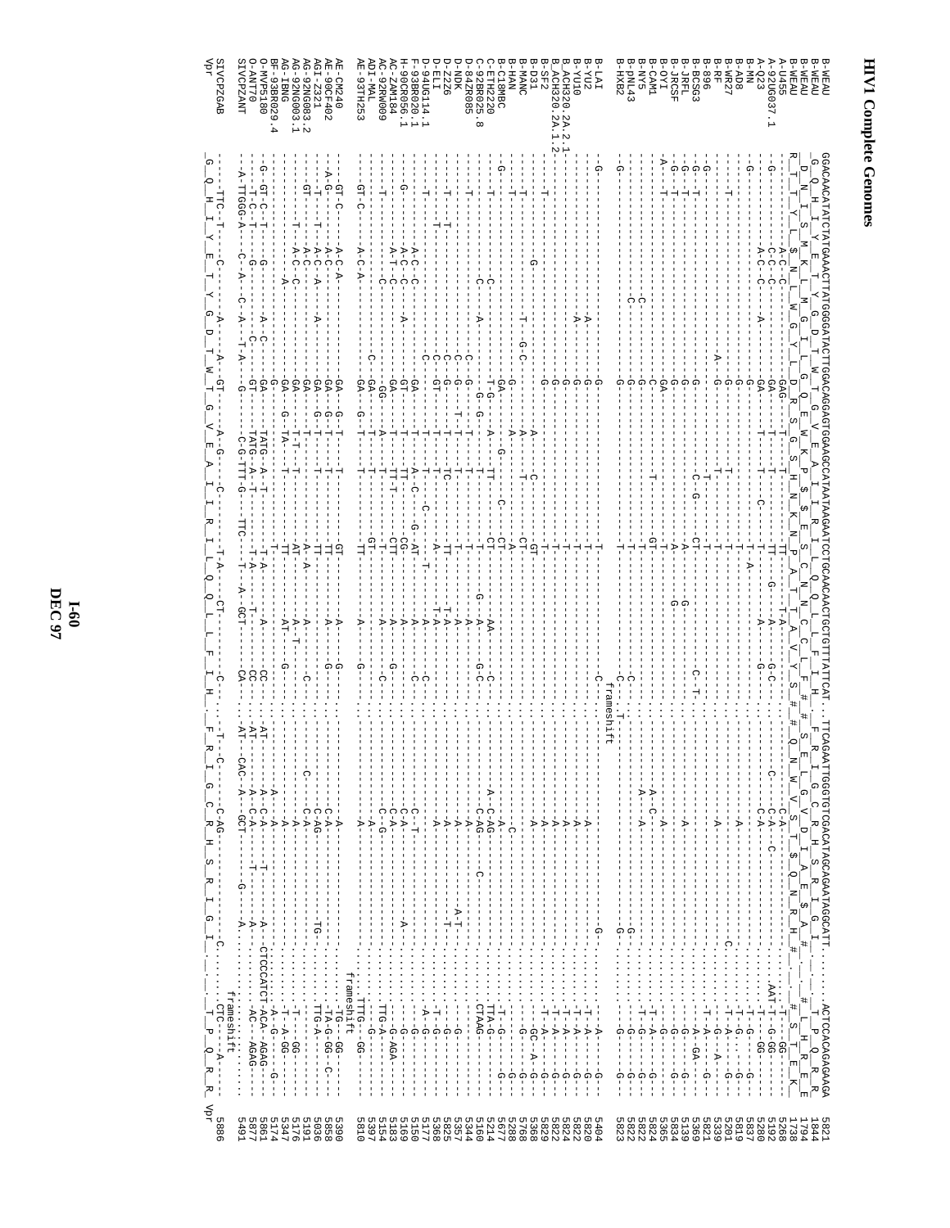| ဂု<br>ω<br>φ<br>ဂု<br>ဂု<br>Ģ<br>Φ<br>A-TTGGG-A<br>$-5-6-$<br>$-1 - 1 - 1 - 1$<br>$-1.5 -$<br>ーロー<br>-41-C<br>ם<br>כד-כ<br>ငှ<br>÷<br>п<br>$\overline{\phantom{a}}$<br>J<br>÷<br>Ĥ<br>Ą<br>--0--<br>Ļ٦<br>H<br>H<br>$A-C$<br>$A-C$<br>$A-C-A-$<br>$A-C--C$<br>$A-C--C$<br>$A-C-A-$<br>$A-T--$<br>$A-C$<br>ς-<br>Ω<br>$A-C$<br>$A-C$<br>A-C<br>Ļ<br>İ<br>$\frac{1}{\Omega}$<br>ω<br>ဂှ<br>$\frac{1}{2}$<br>$-4-$<br>$\frac{1}{1}$<br>$\mathbf I$<br>$\frac{1}{1}$<br>$A -$<br>f,<br>$\frac{1}{\Omega}$<br>Ω<br>Ω<br>∩<br>С<br>∩<br>С<br>$\overline{C}$<br>ှဲ<br>Q<br>$\overline{\mathbf{A}}$<br>⊅<br>⊅<br>ъ<br>ゼ<br>$\mathbb{F}$<br>⋗<br><u>ှ</u><br>∩<br>ローア<br>C<br>Ω<br>Ω<br>$\frac{1}{1}$<br>$-6A-$<br>$-6A-$<br>-91<br>-<br>$GA -$<br>$GA -$<br>$GA -$<br>$GA -$<br>$C_A -$<br>GT-<br><u>ဂ</u><br>Ģ<br>$GA -$<br>믾<br>$GA -$<br>ဂု<br>$GA -$<br>$-59$<br>-79<br>GA-<br>$-55-$<br>Ω<br>Ω<br>ω<br>ω<br>Ω<br>ଋ<br>Ω<br>∩<br>$GA -$<br>Ω<br>Ω<br>Ω<br>Ω<br>⋒<br>ώ<br>ω<br>-DAS-<br>ပုံ<br>-9-1<br>੮<br><u>ဂု</u><br>Ġ<br><u>န</u><br>ဂှ<br>ဂု<br>ଢ଼<br>ဂု<br>ł<br>TATG--A--T<br>$TA$ --<br>H<br>$A -$<br>년<br>TATG--A--T-<br>년<br>$\overline{r}$<br>부<br>H<br>-C-G-TTT-D-C<br>년<br>ဂု<br>÷<br>-11<br>-<br>-ad-<br>÷<br>ڹ<br>ד<br>년<br>H<br>$11 - 11$<br>$A$ – $-$<br>н<br>ဂု<br>∩<br>ငှ<br>л<br>Q<br>гтС--<br>နဲ<br>၂<br>$-1.2 -$<br>-crrr.<br>$-55-$<br>$-12-$<br>」<br>マー<br>-13-<br>Ġ<br>GT-<br>÷<br>G<br>남<br>-11-<br>å<br>$-2T-$<br>$A=-A$<br>白ー<br>-GT.<br>÷<br>÷<br>$-LL-$<br>님<br>-<br>ڹ<br>ד<br>ĠT-<br>$-LA$<br>$\frac{1}{2}$<br>н<br>Þ<br>H<br>보<br>н<br>년<br>۲<br>ا<br>- A – T<br>ーー<br>$T - A -$<br>д<br>÷<br>⊦<br>Ω<br>$A -$<br>-GCT<br>Φ<br>Φ<br>$-4$<br>$\frac{1}{2}$<br>J<br>ъ<br>Þ<br>Þ<br>$AA-$<br>⊅<br>$\overline{r}$<br>AT<br>$\mathbb{A}$<br>⊅<br>⋗<br>ኌ<br>⊅<br>⊅<br>⋗<br>⊅<br>⋗<br>⋗<br>⊅<br>⊅<br>$\mathbf{I}$<br>ှု<br>$-5 - 0$<br>ဂု<br>ଋ<br>ω<br>ω<br>-cc-<br>ဂု<br>ġ<br>-GA-<br>Ö<br>Q<br>Ω<br>ဂု<br>ု<br>frameshift<br>ŘT,<br>-TA-<br>AT<br>Ö<br>$CAC$ --<br>z<br>л<br>ှ<br>٢<br>$\blacksquare$<br>п<br>$\mathbf{I}$<br>л<br>п<br>л<br>л<br>Ξ<br>п<br>$\mathsf I$<br>ъ<br>А<br>$A$ --<br>ъ<br>$A$ --<br>ъ<br>ъ<br>₫<br>$\overline{1}$<br>$\frac{1}{1}$<br>J.<br>I.<br>$\overline{1}$<br>$\frac{1}{1}$<br>$\overline{\phantom{a}}$<br>J.<br>$\overline{1}$<br>J,<br>-GCT<br>$C - A -$<br>$C-A$ -<br>$C-A$ -<br>$C - RG - -$<br>$-C-A$ -<br>$C -$<br>$C-A$ -<br>$C - RG - -$<br>$C-A$ -<br>$C-A$ -<br>$C-A$ -<br>$C-A$ -<br>Ω<br>$C-AGG-$<br>∩<br>÷<br>ł<br>ł<br>$-\Delta -$<br>$\mathbf{I}$<br>$\mathbf{I}$<br>īω<br>$\mathbf{I}$<br>$\frac{1}{1}$<br>$\blacksquare$<br>J.<br>J.<br>$\blacksquare$<br>л<br>$\blacksquare$<br>п<br>J.<br>J.<br>$\blacksquare$<br>J.<br>л<br>I<br>л<br>$\mathbf{I}$<br>$\frac{1}{2}$<br>$\overline{Y}$<br>$\frac{1}{2}$<br>$\mathbb{A}$<br>$\overline{A}$<br>$\overline{r}$<br>$\overline{r}$<br>$A-$<br>$\overline{A}$<br>$\overline{A}$<br>$\overline{A}$<br>$\overline{A}$<br>$A -$<br>$\overline{A}$<br>$\overline{A}$<br>$\overline{A}$<br>⊅<br>$\overline{A}$<br>₻<br>т.<br>л<br>Α-<br>⊅<br>$\overline{1}$<br>ဂူ<br>Q<br>ï<br>J.<br>L<br>$\frac{1}{1}$<br>Ł<br>$\blacksquare$<br>J.<br>л<br>$\mathbf{I}$<br>л<br>л<br>т<br>п<br>п<br>л<br>л<br>л<br>$\overline{1}$<br>ш<br>л<br>f,<br>C<br>-Μ<br>$\blacksquare$<br>÷<br>闩<br>$\overline{1}$<br>↷<br>Ю<br>؋<br>л<br>ı<br>J.<br>J.<br>$\mathbf{I}$<br>п<br>л<br>л<br>п<br>л<br>$A-T$ – $T$<br>л<br>л<br>$\mathbf{I}$<br>л<br>п<br>л<br>л<br>$\mathbf{I}$<br>п<br>л<br>л<br>ᆽ<br>ш<br>$\frac{1}{1}$<br>I,<br>J,<br>$-4-$<br>⊅<br>⊅<br>⋗<br>I<br>J.<br>$\mathbf{I}$<br>TG-<br>I.<br>ဂု<br>ဂု<br>$\Gamma$<br>$\mathbf{I}$<br>л<br>1<br>$\overline{1}$<br>л<br>$\mathbf{I}$<br>1<br>л<br>$\mathbf{I}$<br>п<br>л<br>п<br>л<br>ᄑ<br>-1<br>л<br>$\mathbf I$<br>$\mathsf I$<br>I<br>J.<br>$\blacksquare$<br>$\mathbf{I}$<br>$\blacksquare$<br>J.<br>т<br>$\cdot$<br>$\mathbb I$<br>$\begin{array}{c} \hline \end{array}$<br>$\overline{1}$<br>$\mathbf{I}$<br>∩<br>J.<br>$\bullet$<br>CTCCCATCT-ACA--AGAS--<br>$\vdots$<br>$\vdots$<br>$\vdots$<br>$\vdots$<br>$\cdot$<br>$\bullet$<br>$\cdot$<br>$\cdot$<br>$\cdot$<br>$\bullet$<br>$\cdot$<br>$\bullet$<br>$\cdot$<br>$\bullet$<br>$\cdot$<br>:<br>$\cdot$<br>$\pm$<br>٠<br>$\vdots$<br>$\cdot$<br>$\vdots$<br>$\bullet$<br>$\ddot{\phantom{0}}$<br>$\ddot{\phantom{0}}$<br>$\cdot$<br>$\cdot$<br>$\cdot$<br>$\cdot$<br>rameshif<br>$\ddot{\phantom{0}}$<br>$-1$<br>$-52-7$<br>$\vdots$<br>i<br>J<br>$\vdots$<br>:::::::::<br>frameshif<br>$\frac{1}{1}$<br>$\cdot$<br>TTTG-<br>TTG-A<br>$-BC-$<br>$\frac{1}{1}$<br>TTG-A<br>TTA-<br>$\frac{1}{1}$<br>$\frac{1}{1}$<br>$\frac{1}{2}$<br>$-\mathbb{T} \mathbf{A} - \mathbb{G} - \mathbb{G} \mathbb{G} -$<br>$\frac{1}{2}$<br>$\mathbf I$<br>$-4-$<br>$\mathsf I$<br>CTAAG<br>$\frac{1}{1}$<br>$\overline{\phantom{a}}$<br>$\frac{1}{1}$<br>$\frac{1}{1}$<br>#<br>$\overline{\phantom{a}}$<br>$\frac{1}{2}$<br>J<br>$\frac{1}{2}$<br>$A$ – –<br>۲I<br>T<br>$-1$<br>부<br>부<br>$\blacksquare$<br>J.<br>J.<br>$\blacksquare$<br>Ţ<br>$\begin{array}{c} \hline \end{array}$<br>J,<br>T<br>J.<br>J.<br>۲<br>ا<br>$\frac{1}{1}$<br>$\overline{1}$<br>$\mathbf{I}$<br>I.<br>$\blacksquare$<br>J.<br>J.<br>부<br>$\blacksquare$<br>-1<br>J.<br>$\mathbf{I}$<br>ŧ<br>$\mathbf{I}$<br>J.<br>т<br>л.<br>т<br>л<br>т<br>1<br>$\mathbf{I}$<br>л<br>1<br>$\overline{1}$<br>л<br>1<br>т<br>$\mathbf{I}$<br>$\mathbf{I}$<br>$\mathbf{I}$<br>'n<br>$\overline{1}$<br>$\mathbf I$<br>J<br>Ω<br>$A-GG--$<br>$\mathbb I$<br>$\uparrow$<br>$\mathsf I$<br>Ω<br>Ω<br>Ω<br>Ω<br>Ω<br>Ω<br>Ω<br>Ω<br>Ω<br>ъ<br>ъ<br>Þ<br>ъ<br>ъ<br>Þ<br>Ω<br>ъ<br>ъ<br>Ω<br>Ω<br>Ω<br>Ω<br>I<br>Ω<br>Ω<br>Ω<br>Ω<br>⋗<br>Ω<br>⋒<br>Ω<br>⋗<br>$-ACGAC$ -<br>$\frac{1}{1}$<br>$-99-$<br>ł<br>$-55-$<br>$\blacksquare$<br>Ť<br>п |                                       |               |  |   |  |
|------------------------------------------------------------------------------------------------------------------------------------------------------------------------------------------------------------------------------------------------------------------------------------------------------------------------------------------------------------------------------------------------------------------------------------------------------------------------------------------------------------------------------------------------------------------------------------------------------------------------------------------------------------------------------------------------------------------------------------------------------------------------------------------------------------------------------------------------------------------------------------------------------------------------------------------------------------------------------------------------------------------------------------------------------------------------------------------------------------------------------------------------------------------------------------------------------------------------------------------------------------------------------------------------------------------------------------------------------------------------------------------------------------------------------------------------------------------------------------------------------------------------------------------------------------------------------------------------------------------------------------------------------------------------------------------------------------------------------------------------------------------------------------------------------------------------------------------------------------------------------------------------------------------------------------------------------------------------------------------------------------------------------------------------------------------------------------------------------------------------------------------------------------------------------------------------------------------------------------------------------------------------------------------------------------------------------------------------------------------------------------------------------------------------------------------------------------------------------------------------------------------------------------------------------------------------------------------------------------------------------------------------------------------------------------------------------------------------------------------------------------------------------------------------------------------------------------------------------------------------------------------------------------------------------------------------------------------------------------------------------------------------------------------------------------------------------------------------------------------------------------------------------------------------------------------------------------------------------------------------------------------------------------------------------------------------------------------------------------------------------------------------------------------------------------------------------------------------------------------------------------------------------------------------------------------------------------------------------------------------------------------------------------------------------------------------------------------------------------------------------------------------------------------------------------------------------------------------------------------------------------------------------------------------------------------------------------------------------------------------------------------------------------------------------------------------------------------------------------------------------------------------------------------------------------------------------------------------------------------------------------------------------------------------------------------------------------------------------------------------------------------------------------------------------------------------------------------------------------------------------------------------------------------------------------------------------------------------------------------------------------------------------------------------------------------------------------------------------------------------------------------------------------------------------------------------------------------------------------------------------------------------------------------------------------------------------------------------------------------------------------------------------------------------------------------------------------------------------------------------------------------------------------------------------------------------------------------------------------------------------------------------------------------------------------------------------------------------------------------------------------------------------------------------------------------------------------------------------------------------------------------------------------------------------------------------------------------------------------------------------------------------------------------------------------------------------------------------------------------------------------------------------------------|---------------------------------------|---------------|--|---|--|
|                                                                                                                                                                                                                                                                                                                                                                                                                                                                                                                                                                                                                                                                                                                                                                                                                                                                                                                                                                                                                                                                                                                                                                                                                                                                                                                                                                                                                                                                                                                                                                                                                                                                                                                                                                                                                                                                                                                                                                                                                                                                                                                                                                                                                                                                                                                                                                                                                                                                                                                                                                                                                                                                                                                                                                                                                                                                                                                                                                                                                                                                                                                                                                                                                                                                                                                                                                                                                                                                                                                                                                                                                                                                                                                                                                                                                                                                                                                                                                                                                                                                                                                                                                                                                                                                                                                                                                                                                                                                                                                                                                                                                                                                                                                                                                                                                                                                                                                                                                                                                                                                                                                                                                                                                                                                                                                                                                                                                                                                                                                                                                                                                                                                                                                                                                                          |                                       |               |  |   |  |
|                                                                                                                                                                                                                                                                                                                                                                                                                                                                                                                                                                                                                                                                                                                                                                                                                                                                                                                                                                                                                                                                                                                                                                                                                                                                                                                                                                                                                                                                                                                                                                                                                                                                                                                                                                                                                                                                                                                                                                                                                                                                                                                                                                                                                                                                                                                                                                                                                                                                                                                                                                                                                                                                                                                                                                                                                                                                                                                                                                                                                                                                                                                                                                                                                                                                                                                                                                                                                                                                                                                                                                                                                                                                                                                                                                                                                                                                                                                                                                                                                                                                                                                                                                                                                                                                                                                                                                                                                                                                                                                                                                                                                                                                                                                                                                                                                                                                                                                                                                                                                                                                                                                                                                                                                                                                                                                                                                                                                                                                                                                                                                                                                                                                                                                                                                                          |                                       |               |  |   |  |
|                                                                                                                                                                                                                                                                                                                                                                                                                                                                                                                                                                                                                                                                                                                                                                                                                                                                                                                                                                                                                                                                                                                                                                                                                                                                                                                                                                                                                                                                                                                                                                                                                                                                                                                                                                                                                                                                                                                                                                                                                                                                                                                                                                                                                                                                                                                                                                                                                                                                                                                                                                                                                                                                                                                                                                                                                                                                                                                                                                                                                                                                                                                                                                                                                                                                                                                                                                                                                                                                                                                                                                                                                                                                                                                                                                                                                                                                                                                                                                                                                                                                                                                                                                                                                                                                                                                                                                                                                                                                                                                                                                                                                                                                                                                                                                                                                                                                                                                                                                                                                                                                                                                                                                                                                                                                                                                                                                                                                                                                                                                                                                                                                                                                                                                                                                                          |                                       |               |  |   |  |
|                                                                                                                                                                                                                                                                                                                                                                                                                                                                                                                                                                                                                                                                                                                                                                                                                                                                                                                                                                                                                                                                                                                                                                                                                                                                                                                                                                                                                                                                                                                                                                                                                                                                                                                                                                                                                                                                                                                                                                                                                                                                                                                                                                                                                                                                                                                                                                                                                                                                                                                                                                                                                                                                                                                                                                                                                                                                                                                                                                                                                                                                                                                                                                                                                                                                                                                                                                                                                                                                                                                                                                                                                                                                                                                                                                                                                                                                                                                                                                                                                                                                                                                                                                                                                                                                                                                                                                                                                                                                                                                                                                                                                                                                                                                                                                                                                                                                                                                                                                                                                                                                                                                                                                                                                                                                                                                                                                                                                                                                                                                                                                                                                                                                                                                                                                                          |                                       |               |  |   |  |
|                                                                                                                                                                                                                                                                                                                                                                                                                                                                                                                                                                                                                                                                                                                                                                                                                                                                                                                                                                                                                                                                                                                                                                                                                                                                                                                                                                                                                                                                                                                                                                                                                                                                                                                                                                                                                                                                                                                                                                                                                                                                                                                                                                                                                                                                                                                                                                                                                                                                                                                                                                                                                                                                                                                                                                                                                                                                                                                                                                                                                                                                                                                                                                                                                                                                                                                                                                                                                                                                                                                                                                                                                                                                                                                                                                                                                                                                                                                                                                                                                                                                                                                                                                                                                                                                                                                                                                                                                                                                                                                                                                                                                                                                                                                                                                                                                                                                                                                                                                                                                                                                                                                                                                                                                                                                                                                                                                                                                                                                                                                                                                                                                                                                                                                                                                                          |                                       |               |  |   |  |
|                                                                                                                                                                                                                                                                                                                                                                                                                                                                                                                                                                                                                                                                                                                                                                                                                                                                                                                                                                                                                                                                                                                                                                                                                                                                                                                                                                                                                                                                                                                                                                                                                                                                                                                                                                                                                                                                                                                                                                                                                                                                                                                                                                                                                                                                                                                                                                                                                                                                                                                                                                                                                                                                                                                                                                                                                                                                                                                                                                                                                                                                                                                                                                                                                                                                                                                                                                                                                                                                                                                                                                                                                                                                                                                                                                                                                                                                                                                                                                                                                                                                                                                                                                                                                                                                                                                                                                                                                                                                                                                                                                                                                                                                                                                                                                                                                                                                                                                                                                                                                                                                                                                                                                                                                                                                                                                                                                                                                                                                                                                                                                                                                                                                                                                                                                                          |                                       |               |  |   |  |
|                                                                                                                                                                                                                                                                                                                                                                                                                                                                                                                                                                                                                                                                                                                                                                                                                                                                                                                                                                                                                                                                                                                                                                                                                                                                                                                                                                                                                                                                                                                                                                                                                                                                                                                                                                                                                                                                                                                                                                                                                                                                                                                                                                                                                                                                                                                                                                                                                                                                                                                                                                                                                                                                                                                                                                                                                                                                                                                                                                                                                                                                                                                                                                                                                                                                                                                                                                                                                                                                                                                                                                                                                                                                                                                                                                                                                                                                                                                                                                                                                                                                                                                                                                                                                                                                                                                                                                                                                                                                                                                                                                                                                                                                                                                                                                                                                                                                                                                                                                                                                                                                                                                                                                                                                                                                                                                                                                                                                                                                                                                                                                                                                                                                                                                                                                                          |                                       |               |  |   |  |
|                                                                                                                                                                                                                                                                                                                                                                                                                                                                                                                                                                                                                                                                                                                                                                                                                                                                                                                                                                                                                                                                                                                                                                                                                                                                                                                                                                                                                                                                                                                                                                                                                                                                                                                                                                                                                                                                                                                                                                                                                                                                                                                                                                                                                                                                                                                                                                                                                                                                                                                                                                                                                                                                                                                                                                                                                                                                                                                                                                                                                                                                                                                                                                                                                                                                                                                                                                                                                                                                                                                                                                                                                                                                                                                                                                                                                                                                                                                                                                                                                                                                                                                                                                                                                                                                                                                                                                                                                                                                                                                                                                                                                                                                                                                                                                                                                                                                                                                                                                                                                                                                                                                                                                                                                                                                                                                                                                                                                                                                                                                                                                                                                                                                                                                                                                                          |                                       |               |  |   |  |
|                                                                                                                                                                                                                                                                                                                                                                                                                                                                                                                                                                                                                                                                                                                                                                                                                                                                                                                                                                                                                                                                                                                                                                                                                                                                                                                                                                                                                                                                                                                                                                                                                                                                                                                                                                                                                                                                                                                                                                                                                                                                                                                                                                                                                                                                                                                                                                                                                                                                                                                                                                                                                                                                                                                                                                                                                                                                                                                                                                                                                                                                                                                                                                                                                                                                                                                                                                                                                                                                                                                                                                                                                                                                                                                                                                                                                                                                                                                                                                                                                                                                                                                                                                                                                                                                                                                                                                                                                                                                                                                                                                                                                                                                                                                                                                                                                                                                                                                                                                                                                                                                                                                                                                                                                                                                                                                                                                                                                                                                                                                                                                                                                                                                                                                                                                                          |                                       |               |  |   |  |
|                                                                                                                                                                                                                                                                                                                                                                                                                                                                                                                                                                                                                                                                                                                                                                                                                                                                                                                                                                                                                                                                                                                                                                                                                                                                                                                                                                                                                                                                                                                                                                                                                                                                                                                                                                                                                                                                                                                                                                                                                                                                                                                                                                                                                                                                                                                                                                                                                                                                                                                                                                                                                                                                                                                                                                                                                                                                                                                                                                                                                                                                                                                                                                                                                                                                                                                                                                                                                                                                                                                                                                                                                                                                                                                                                                                                                                                                                                                                                                                                                                                                                                                                                                                                                                                                                                                                                                                                                                                                                                                                                                                                                                                                                                                                                                                                                                                                                                                                                                                                                                                                                                                                                                                                                                                                                                                                                                                                                                                                                                                                                                                                                                                                                                                                                                                          |                                       |               |  |   |  |
|                                                                                                                                                                                                                                                                                                                                                                                                                                                                                                                                                                                                                                                                                                                                                                                                                                                                                                                                                                                                                                                                                                                                                                                                                                                                                                                                                                                                                                                                                                                                                                                                                                                                                                                                                                                                                                                                                                                                                                                                                                                                                                                                                                                                                                                                                                                                                                                                                                                                                                                                                                                                                                                                                                                                                                                                                                                                                                                                                                                                                                                                                                                                                                                                                                                                                                                                                                                                                                                                                                                                                                                                                                                                                                                                                                                                                                                                                                                                                                                                                                                                                                                                                                                                                                                                                                                                                                                                                                                                                                                                                                                                                                                                                                                                                                                                                                                                                                                                                                                                                                                                                                                                                                                                                                                                                                                                                                                                                                                                                                                                                                                                                                                                                                                                                                                          |                                       |               |  |   |  |
|                                                                                                                                                                                                                                                                                                                                                                                                                                                                                                                                                                                                                                                                                                                                                                                                                                                                                                                                                                                                                                                                                                                                                                                                                                                                                                                                                                                                                                                                                                                                                                                                                                                                                                                                                                                                                                                                                                                                                                                                                                                                                                                                                                                                                                                                                                                                                                                                                                                                                                                                                                                                                                                                                                                                                                                                                                                                                                                                                                                                                                                                                                                                                                                                                                                                                                                                                                                                                                                                                                                                                                                                                                                                                                                                                                                                                                                                                                                                                                                                                                                                                                                                                                                                                                                                                                                                                                                                                                                                                                                                                                                                                                                                                                                                                                                                                                                                                                                                                                                                                                                                                                                                                                                                                                                                                                                                                                                                                                                                                                                                                                                                                                                                                                                                                                                          |                                       |               |  |   |  |
| $-AGA-$<br>ŧ                                                                                                                                                                                                                                                                                                                                                                                                                                                                                                                                                                                                                                                                                                                                                                                                                                                                                                                                                                                                                                                                                                                                                                                                                                                                                                                                                                                                                                                                                                                                                                                                                                                                                                                                                                                                                                                                                                                                                                                                                                                                                                                                                                                                                                                                                                                                                                                                                                                                                                                                                                                                                                                                                                                                                                                                                                                                                                                                                                                                                                                                                                                                                                                                                                                                                                                                                                                                                                                                                                                                                                                                                                                                                                                                                                                                                                                                                                                                                                                                                                                                                                                                                                                                                                                                                                                                                                                                                                                                                                                                                                                                                                                                                                                                                                                                                                                                                                                                                                                                                                                                                                                                                                                                                                                                                                                                                                                                                                                                                                                                                                                                                                                                                                                                                                             | $\frac{1}{1}$                         |               |  |   |  |
|                                                                                                                                                                                                                                                                                                                                                                                                                                                                                                                                                                                                                                                                                                                                                                                                                                                                                                                                                                                                                                                                                                                                                                                                                                                                                                                                                                                                                                                                                                                                                                                                                                                                                                                                                                                                                                                                                                                                                                                                                                                                                                                                                                                                                                                                                                                                                                                                                                                                                                                                                                                                                                                                                                                                                                                                                                                                                                                                                                                                                                                                                                                                                                                                                                                                                                                                                                                                                                                                                                                                                                                                                                                                                                                                                                                                                                                                                                                                                                                                                                                                                                                                                                                                                                                                                                                                                                                                                                                                                                                                                                                                                                                                                                                                                                                                                                                                                                                                                                                                                                                                                                                                                                                                                                                                                                                                                                                                                                                                                                                                                                                                                                                                                                                                                                                          |                                       |               |  |   |  |
| $\frac{1}{1}$<br>$\frac{1}{1}$                                                                                                                                                                                                                                                                                                                                                                                                                                                                                                                                                                                                                                                                                                                                                                                                                                                                                                                                                                                                                                                                                                                                                                                                                                                                                                                                                                                                                                                                                                                                                                                                                                                                                                                                                                                                                                                                                                                                                                                                                                                                                                                                                                                                                                                                                                                                                                                                                                                                                                                                                                                                                                                                                                                                                                                                                                                                                                                                                                                                                                                                                                                                                                                                                                                                                                                                                                                                                                                                                                                                                                                                                                                                                                                                                                                                                                                                                                                                                                                                                                                                                                                                                                                                                                                                                                                                                                                                                                                                                                                                                                                                                                                                                                                                                                                                                                                                                                                                                                                                                                                                                                                                                                                                                                                                                                                                                                                                                                                                                                                                                                                                                                                                                                                                                           | ł                                     |               |  |   |  |
|                                                                                                                                                                                                                                                                                                                                                                                                                                                                                                                                                                                                                                                                                                                                                                                                                                                                                                                                                                                                                                                                                                                                                                                                                                                                                                                                                                                                                                                                                                                                                                                                                                                                                                                                                                                                                                                                                                                                                                                                                                                                                                                                                                                                                                                                                                                                                                                                                                                                                                                                                                                                                                                                                                                                                                                                                                                                                                                                                                                                                                                                                                                                                                                                                                                                                                                                                                                                                                                                                                                                                                                                                                                                                                                                                                                                                                                                                                                                                                                                                                                                                                                                                                                                                                                                                                                                                                                                                                                                                                                                                                                                                                                                                                                                                                                                                                                                                                                                                                                                                                                                                                                                                                                                                                                                                                                                                                                                                                                                                                                                                                                                                                                                                                                                                                                          |                                       |               |  |   |  |
| ł<br>$\frac{1}{1}$                                                                                                                                                                                                                                                                                                                                                                                                                                                                                                                                                                                                                                                                                                                                                                                                                                                                                                                                                                                                                                                                                                                                                                                                                                                                                                                                                                                                                                                                                                                                                                                                                                                                                                                                                                                                                                                                                                                                                                                                                                                                                                                                                                                                                                                                                                                                                                                                                                                                                                                                                                                                                                                                                                                                                                                                                                                                                                                                                                                                                                                                                                                                                                                                                                                                                                                                                                                                                                                                                                                                                                                                                                                                                                                                                                                                                                                                                                                                                                                                                                                                                                                                                                                                                                                                                                                                                                                                                                                                                                                                                                                                                                                                                                                                                                                                                                                                                                                                                                                                                                                                                                                                                                                                                                                                                                                                                                                                                                                                                                                                                                                                                                                                                                                                                                       |                                       |               |  |   |  |
|                                                                                                                                                                                                                                                                                                                                                                                                                                                                                                                                                                                                                                                                                                                                                                                                                                                                                                                                                                                                                                                                                                                                                                                                                                                                                                                                                                                                                                                                                                                                                                                                                                                                                                                                                                                                                                                                                                                                                                                                                                                                                                                                                                                                                                                                                                                                                                                                                                                                                                                                                                                                                                                                                                                                                                                                                                                                                                                                                                                                                                                                                                                                                                                                                                                                                                                                                                                                                                                                                                                                                                                                                                                                                                                                                                                                                                                                                                                                                                                                                                                                                                                                                                                                                                                                                                                                                                                                                                                                                                                                                                                                                                                                                                                                                                                                                                                                                                                                                                                                                                                                                                                                                                                                                                                                                                                                                                                                                                                                                                                                                                                                                                                                                                                                                                                          |                                       |               |  |   |  |
|                                                                                                                                                                                                                                                                                                                                                                                                                                                                                                                                                                                                                                                                                                                                                                                                                                                                                                                                                                                                                                                                                                                                                                                                                                                                                                                                                                                                                                                                                                                                                                                                                                                                                                                                                                                                                                                                                                                                                                                                                                                                                                                                                                                                                                                                                                                                                                                                                                                                                                                                                                                                                                                                                                                                                                                                                                                                                                                                                                                                                                                                                                                                                                                                                                                                                                                                                                                                                                                                                                                                                                                                                                                                                                                                                                                                                                                                                                                                                                                                                                                                                                                                                                                                                                                                                                                                                                                                                                                                                                                                                                                                                                                                                                                                                                                                                                                                                                                                                                                                                                                                                                                                                                                                                                                                                                                                                                                                                                                                                                                                                                                                                                                                                                                                                                                          |                                       |               |  |   |  |
|                                                                                                                                                                                                                                                                                                                                                                                                                                                                                                                                                                                                                                                                                                                                                                                                                                                                                                                                                                                                                                                                                                                                                                                                                                                                                                                                                                                                                                                                                                                                                                                                                                                                                                                                                                                                                                                                                                                                                                                                                                                                                                                                                                                                                                                                                                                                                                                                                                                                                                                                                                                                                                                                                                                                                                                                                                                                                                                                                                                                                                                                                                                                                                                                                                                                                                                                                                                                                                                                                                                                                                                                                                                                                                                                                                                                                                                                                                                                                                                                                                                                                                                                                                                                                                                                                                                                                                                                                                                                                                                                                                                                                                                                                                                                                                                                                                                                                                                                                                                                                                                                                                                                                                                                                                                                                                                                                                                                                                                                                                                                                                                                                                                                                                                                                                                          |                                       |               |  |   |  |
| GC---<br>ł<br>$\frac{1}{1}$<br>ł<br>Ť<br>$\overline{\phantom{a}}$<br>ł<br>$\frac{1}{1}$<br>ł<br>ţ<br>ł<br>ł<br>J                                                                                                                                                                                                                                                                                                                                                                                                                                                                                                                                                                                                                                                                                                                                                                                                                                                                                                                                                                                                                                                                                                                                                                                                                                                                                                                                                                                                                                                                                                                                                                                                                                                                                                                                                                                                                                                                                                                                                                                                                                                                                                                                                                                                                                                                                                                                                                                                                                                                                                                                                                                                                                                                                                                                                                                                                                                                                                                                                                                                                                                                                                                                                                                                                                                                                                                                                                                                                                                                                                                                                                                                                                                                                                                                                                                                                                                                                                                                                                                                                                                                                                                                                                                                                                                                                                                                                                                                                                                                                                                                                                                                                                                                                                                                                                                                                                                                                                                                                                                                                                                                                                                                                                                                                                                                                                                                                                                                                                                                                                                                                                                                                                                                         | л                                     |               |  |   |  |
|                                                                                                                                                                                                                                                                                                                                                                                                                                                                                                                                                                                                                                                                                                                                                                                                                                                                                                                                                                                                                                                                                                                                                                                                                                                                                                                                                                                                                                                                                                                                                                                                                                                                                                                                                                                                                                                                                                                                                                                                                                                                                                                                                                                                                                                                                                                                                                                                                                                                                                                                                                                                                                                                                                                                                                                                                                                                                                                                                                                                                                                                                                                                                                                                                                                                                                                                                                                                                                                                                                                                                                                                                                                                                                                                                                                                                                                                                                                                                                                                                                                                                                                                                                                                                                                                                                                                                                                                                                                                                                                                                                                                                                                                                                                                                                                                                                                                                                                                                                                                                                                                                                                                                                                                                                                                                                                                                                                                                                                                                                                                                                                                                                                                                                                                                                                          |                                       |               |  |   |  |
|                                                                                                                                                                                                                                                                                                                                                                                                                                                                                                                                                                                                                                                                                                                                                                                                                                                                                                                                                                                                                                                                                                                                                                                                                                                                                                                                                                                                                                                                                                                                                                                                                                                                                                                                                                                                                                                                                                                                                                                                                                                                                                                                                                                                                                                                                                                                                                                                                                                                                                                                                                                                                                                                                                                                                                                                                                                                                                                                                                                                                                                                                                                                                                                                                                                                                                                                                                                                                                                                                                                                                                                                                                                                                                                                                                                                                                                                                                                                                                                                                                                                                                                                                                                                                                                                                                                                                                                                                                                                                                                                                                                                                                                                                                                                                                                                                                                                                                                                                                                                                                                                                                                                                                                                                                                                                                                                                                                                                                                                                                                                                                                                                                                                                                                                                                                          |                                       |               |  |   |  |
|                                                                                                                                                                                                                                                                                                                                                                                                                                                                                                                                                                                                                                                                                                                                                                                                                                                                                                                                                                                                                                                                                                                                                                                                                                                                                                                                                                                                                                                                                                                                                                                                                                                                                                                                                                                                                                                                                                                                                                                                                                                                                                                                                                                                                                                                                                                                                                                                                                                                                                                                                                                                                                                                                                                                                                                                                                                                                                                                                                                                                                                                                                                                                                                                                                                                                                                                                                                                                                                                                                                                                                                                                                                                                                                                                                                                                                                                                                                                                                                                                                                                                                                                                                                                                                                                                                                                                                                                                                                                                                                                                                                                                                                                                                                                                                                                                                                                                                                                                                                                                                                                                                                                                                                                                                                                                                                                                                                                                                                                                                                                                                                                                                                                                                                                                                                          |                                       |               |  |   |  |
|                                                                                                                                                                                                                                                                                                                                                                                                                                                                                                                                                                                                                                                                                                                                                                                                                                                                                                                                                                                                                                                                                                                                                                                                                                                                                                                                                                                                                                                                                                                                                                                                                                                                                                                                                                                                                                                                                                                                                                                                                                                                                                                                                                                                                                                                                                                                                                                                                                                                                                                                                                                                                                                                                                                                                                                                                                                                                                                                                                                                                                                                                                                                                                                                                                                                                                                                                                                                                                                                                                                                                                                                                                                                                                                                                                                                                                                                                                                                                                                                                                                                                                                                                                                                                                                                                                                                                                                                                                                                                                                                                                                                                                                                                                                                                                                                                                                                                                                                                                                                                                                                                                                                                                                                                                                                                                                                                                                                                                                                                                                                                                                                                                                                                                                                                                                          |                                       |               |  |   |  |
|                                                                                                                                                                                                                                                                                                                                                                                                                                                                                                                                                                                                                                                                                                                                                                                                                                                                                                                                                                                                                                                                                                                                                                                                                                                                                                                                                                                                                                                                                                                                                                                                                                                                                                                                                                                                                                                                                                                                                                                                                                                                                                                                                                                                                                                                                                                                                                                                                                                                                                                                                                                                                                                                                                                                                                                                                                                                                                                                                                                                                                                                                                                                                                                                                                                                                                                                                                                                                                                                                                                                                                                                                                                                                                                                                                                                                                                                                                                                                                                                                                                                                                                                                                                                                                                                                                                                                                                                                                                                                                                                                                                                                                                                                                                                                                                                                                                                                                                                                                                                                                                                                                                                                                                                                                                                                                                                                                                                                                                                                                                                                                                                                                                                                                                                                                                          |                                       |               |  |   |  |
|                                                                                                                                                                                                                                                                                                                                                                                                                                                                                                                                                                                                                                                                                                                                                                                                                                                                                                                                                                                                                                                                                                                                                                                                                                                                                                                                                                                                                                                                                                                                                                                                                                                                                                                                                                                                                                                                                                                                                                                                                                                                                                                                                                                                                                                                                                                                                                                                                                                                                                                                                                                                                                                                                                                                                                                                                                                                                                                                                                                                                                                                                                                                                                                                                                                                                                                                                                                                                                                                                                                                                                                                                                                                                                                                                                                                                                                                                                                                                                                                                                                                                                                                                                                                                                                                                                                                                                                                                                                                                                                                                                                                                                                                                                                                                                                                                                                                                                                                                                                                                                                                                                                                                                                                                                                                                                                                                                                                                                                                                                                                                                                                                                                                                                                                                                                          |                                       |               |  |   |  |
|                                                                                                                                                                                                                                                                                                                                                                                                                                                                                                                                                                                                                                                                                                                                                                                                                                                                                                                                                                                                                                                                                                                                                                                                                                                                                                                                                                                                                                                                                                                                                                                                                                                                                                                                                                                                                                                                                                                                                                                                                                                                                                                                                                                                                                                                                                                                                                                                                                                                                                                                                                                                                                                                                                                                                                                                                                                                                                                                                                                                                                                                                                                                                                                                                                                                                                                                                                                                                                                                                                                                                                                                                                                                                                                                                                                                                                                                                                                                                                                                                                                                                                                                                                                                                                                                                                                                                                                                                                                                                                                                                                                                                                                                                                                                                                                                                                                                                                                                                                                                                                                                                                                                                                                                                                                                                                                                                                                                                                                                                                                                                                                                                                                                                                                                                                                          |                                       |               |  |   |  |
|                                                                                                                                                                                                                                                                                                                                                                                                                                                                                                                                                                                                                                                                                                                                                                                                                                                                                                                                                                                                                                                                                                                                                                                                                                                                                                                                                                                                                                                                                                                                                                                                                                                                                                                                                                                                                                                                                                                                                                                                                                                                                                                                                                                                                                                                                                                                                                                                                                                                                                                                                                                                                                                                                                                                                                                                                                                                                                                                                                                                                                                                                                                                                                                                                                                                                                                                                                                                                                                                                                                                                                                                                                                                                                                                                                                                                                                                                                                                                                                                                                                                                                                                                                                                                                                                                                                                                                                                                                                                                                                                                                                                                                                                                                                                                                                                                                                                                                                                                                                                                                                                                                                                                                                                                                                                                                                                                                                                                                                                                                                                                                                                                                                                                                                                                                                          |                                       |               |  |   |  |
|                                                                                                                                                                                                                                                                                                                                                                                                                                                                                                                                                                                                                                                                                                                                                                                                                                                                                                                                                                                                                                                                                                                                                                                                                                                                                                                                                                                                                                                                                                                                                                                                                                                                                                                                                                                                                                                                                                                                                                                                                                                                                                                                                                                                                                                                                                                                                                                                                                                                                                                                                                                                                                                                                                                                                                                                                                                                                                                                                                                                                                                                                                                                                                                                                                                                                                                                                                                                                                                                                                                                                                                                                                                                                                                                                                                                                                                                                                                                                                                                                                                                                                                                                                                                                                                                                                                                                                                                                                                                                                                                                                                                                                                                                                                                                                                                                                                                                                                                                                                                                                                                                                                                                                                                                                                                                                                                                                                                                                                                                                                                                                                                                                                                                                                                                                                          |                                       |               |  |   |  |
|                                                                                                                                                                                                                                                                                                                                                                                                                                                                                                                                                                                                                                                                                                                                                                                                                                                                                                                                                                                                                                                                                                                                                                                                                                                                                                                                                                                                                                                                                                                                                                                                                                                                                                                                                                                                                                                                                                                                                                                                                                                                                                                                                                                                                                                                                                                                                                                                                                                                                                                                                                                                                                                                                                                                                                                                                                                                                                                                                                                                                                                                                                                                                                                                                                                                                                                                                                                                                                                                                                                                                                                                                                                                                                                                                                                                                                                                                                                                                                                                                                                                                                                                                                                                                                                                                                                                                                                                                                                                                                                                                                                                                                                                                                                                                                                                                                                                                                                                                                                                                                                                                                                                                                                                                                                                                                                                                                                                                                                                                                                                                                                                                                                                                                                                                                                          |                                       |               |  |   |  |
|                                                                                                                                                                                                                                                                                                                                                                                                                                                                                                                                                                                                                                                                                                                                                                                                                                                                                                                                                                                                                                                                                                                                                                                                                                                                                                                                                                                                                                                                                                                                                                                                                                                                                                                                                                                                                                                                                                                                                                                                                                                                                                                                                                                                                                                                                                                                                                                                                                                                                                                                                                                                                                                                                                                                                                                                                                                                                                                                                                                                                                                                                                                                                                                                                                                                                                                                                                                                                                                                                                                                                                                                                                                                                                                                                                                                                                                                                                                                                                                                                                                                                                                                                                                                                                                                                                                                                                                                                                                                                                                                                                                                                                                                                                                                                                                                                                                                                                                                                                                                                                                                                                                                                                                                                                                                                                                                                                                                                                                                                                                                                                                                                                                                                                                                                                                          |                                       |               |  |   |  |
|                                                                                                                                                                                                                                                                                                                                                                                                                                                                                                                                                                                                                                                                                                                                                                                                                                                                                                                                                                                                                                                                                                                                                                                                                                                                                                                                                                                                                                                                                                                                                                                                                                                                                                                                                                                                                                                                                                                                                                                                                                                                                                                                                                                                                                                                                                                                                                                                                                                                                                                                                                                                                                                                                                                                                                                                                                                                                                                                                                                                                                                                                                                                                                                                                                                                                                                                                                                                                                                                                                                                                                                                                                                                                                                                                                                                                                                                                                                                                                                                                                                                                                                                                                                                                                                                                                                                                                                                                                                                                                                                                                                                                                                                                                                                                                                                                                                                                                                                                                                                                                                                                                                                                                                                                                                                                                                                                                                                                                                                                                                                                                                                                                                                                                                                                                                          |                                       |               |  |   |  |
|                                                                                                                                                                                                                                                                                                                                                                                                                                                                                                                                                                                                                                                                                                                                                                                                                                                                                                                                                                                                                                                                                                                                                                                                                                                                                                                                                                                                                                                                                                                                                                                                                                                                                                                                                                                                                                                                                                                                                                                                                                                                                                                                                                                                                                                                                                                                                                                                                                                                                                                                                                                                                                                                                                                                                                                                                                                                                                                                                                                                                                                                                                                                                                                                                                                                                                                                                                                                                                                                                                                                                                                                                                                                                                                                                                                                                                                                                                                                                                                                                                                                                                                                                                                                                                                                                                                                                                                                                                                                                                                                                                                                                                                                                                                                                                                                                                                                                                                                                                                                                                                                                                                                                                                                                                                                                                                                                                                                                                                                                                                                                                                                                                                                                                                                                                                          |                                       |               |  |   |  |
|                                                                                                                                                                                                                                                                                                                                                                                                                                                                                                                                                                                                                                                                                                                                                                                                                                                                                                                                                                                                                                                                                                                                                                                                                                                                                                                                                                                                                                                                                                                                                                                                                                                                                                                                                                                                                                                                                                                                                                                                                                                                                                                                                                                                                                                                                                                                                                                                                                                                                                                                                                                                                                                                                                                                                                                                                                                                                                                                                                                                                                                                                                                                                                                                                                                                                                                                                                                                                                                                                                                                                                                                                                                                                                                                                                                                                                                                                                                                                                                                                                                                                                                                                                                                                                                                                                                                                                                                                                                                                                                                                                                                                                                                                                                                                                                                                                                                                                                                                                                                                                                                                                                                                                                                                                                                                                                                                                                                                                                                                                                                                                                                                                                                                                                                                                                          |                                       |               |  |   |  |
|                                                                                                                                                                                                                                                                                                                                                                                                                                                                                                                                                                                                                                                                                                                                                                                                                                                                                                                                                                                                                                                                                                                                                                                                                                                                                                                                                                                                                                                                                                                                                                                                                                                                                                                                                                                                                                                                                                                                                                                                                                                                                                                                                                                                                                                                                                                                                                                                                                                                                                                                                                                                                                                                                                                                                                                                                                                                                                                                                                                                                                                                                                                                                                                                                                                                                                                                                                                                                                                                                                                                                                                                                                                                                                                                                                                                                                                                                                                                                                                                                                                                                                                                                                                                                                                                                                                                                                                                                                                                                                                                                                                                                                                                                                                                                                                                                                                                                                                                                                                                                                                                                                                                                                                                                                                                                                                                                                                                                                                                                                                                                                                                                                                                                                                                                                                          |                                       |               |  |   |  |
|                                                                                                                                                                                                                                                                                                                                                                                                                                                                                                                                                                                                                                                                                                                                                                                                                                                                                                                                                                                                                                                                                                                                                                                                                                                                                                                                                                                                                                                                                                                                                                                                                                                                                                                                                                                                                                                                                                                                                                                                                                                                                                                                                                                                                                                                                                                                                                                                                                                                                                                                                                                                                                                                                                                                                                                                                                                                                                                                                                                                                                                                                                                                                                                                                                                                                                                                                                                                                                                                                                                                                                                                                                                                                                                                                                                                                                                                                                                                                                                                                                                                                                                                                                                                                                                                                                                                                                                                                                                                                                                                                                                                                                                                                                                                                                                                                                                                                                                                                                                                                                                                                                                                                                                                                                                                                                                                                                                                                                                                                                                                                                                                                                                                                                                                                                                          |                                       |               |  |   |  |
|                                                                                                                                                                                                                                                                                                                                                                                                                                                                                                                                                                                                                                                                                                                                                                                                                                                                                                                                                                                                                                                                                                                                                                                                                                                                                                                                                                                                                                                                                                                                                                                                                                                                                                                                                                                                                                                                                                                                                                                                                                                                                                                                                                                                                                                                                                                                                                                                                                                                                                                                                                                                                                                                                                                                                                                                                                                                                                                                                                                                                                                                                                                                                                                                                                                                                                                                                                                                                                                                                                                                                                                                                                                                                                                                                                                                                                                                                                                                                                                                                                                                                                                                                                                                                                                                                                                                                                                                                                                                                                                                                                                                                                                                                                                                                                                                                                                                                                                                                                                                                                                                                                                                                                                                                                                                                                                                                                                                                                                                                                                                                                                                                                                                                                                                                                                          |                                       |               |  |   |  |
|                                                                                                                                                                                                                                                                                                                                                                                                                                                                                                                                                                                                                                                                                                                                                                                                                                                                                                                                                                                                                                                                                                                                                                                                                                                                                                                                                                                                                                                                                                                                                                                                                                                                                                                                                                                                                                                                                                                                                                                                                                                                                                                                                                                                                                                                                                                                                                                                                                                                                                                                                                                                                                                                                                                                                                                                                                                                                                                                                                                                                                                                                                                                                                                                                                                                                                                                                                                                                                                                                                                                                                                                                                                                                                                                                                                                                                                                                                                                                                                                                                                                                                                                                                                                                                                                                                                                                                                                                                                                                                                                                                                                                                                                                                                                                                                                                                                                                                                                                                                                                                                                                                                                                                                                                                                                                                                                                                                                                                                                                                                                                                                                                                                                                                                                                                                          | $\frac{1}{1}$                         |               |  |   |  |
| Ŧ<br>ł<br>Ţ<br>Ţ<br>$\mathbf{I}$<br>$\vdots$<br>ł<br>$-99-$<br>$-99 -$<br>$-55-$                                                                                                                                                                                                                                                                                                                                                                                                                                                                                                                                                                                                                                                                                                                                                                                                                                                                                                                                                                                                                                                                                                                                                                                                                                                                                                                                                                                                                                                                                                                                                                                                                                                                                                                                                                                                                                                                                                                                                                                                                                                                                                                                                                                                                                                                                                                                                                                                                                                                                                                                                                                                                                                                                                                                                                                                                                                                                                                                                                                                                                                                                                                                                                                                                                                                                                                                                                                                                                                                                                                                                                                                                                                                                                                                                                                                                                                                                                                                                                                                                                                                                                                                                                                                                                                                                                                                                                                                                                                                                                                                                                                                                                                                                                                                                                                                                                                                                                                                                                                                                                                                                                                                                                                                                                                                                                                                                                                                                                                                                                                                                                                                                                                                                                         | $\frac{1}{1}$                         |               |  |   |  |
|                                                                                                                                                                                                                                                                                                                                                                                                                                                                                                                                                                                                                                                                                                                                                                                                                                                                                                                                                                                                                                                                                                                                                                                                                                                                                                                                                                                                                                                                                                                                                                                                                                                                                                                                                                                                                                                                                                                                                                                                                                                                                                                                                                                                                                                                                                                                                                                                                                                                                                                                                                                                                                                                                                                                                                                                                                                                                                                                                                                                                                                                                                                                                                                                                                                                                                                                                                                                                                                                                                                                                                                                                                                                                                                                                                                                                                                                                                                                                                                                                                                                                                                                                                                                                                                                                                                                                                                                                                                                                                                                                                                                                                                                                                                                                                                                                                                                                                                                                                                                                                                                                                                                                                                                                                                                                                                                                                                                                                                                                                                                                                                                                                                                                                                                                                                          |                                       |               |  |   |  |
|                                                                                                                                                                                                                                                                                                                                                                                                                                                                                                                                                                                                                                                                                                                                                                                                                                                                                                                                                                                                                                                                                                                                                                                                                                                                                                                                                                                                                                                                                                                                                                                                                                                                                                                                                                                                                                                                                                                                                                                                                                                                                                                                                                                                                                                                                                                                                                                                                                                                                                                                                                                                                                                                                                                                                                                                                                                                                                                                                                                                                                                                                                                                                                                                                                                                                                                                                                                                                                                                                                                                                                                                                                                                                                                                                                                                                                                                                                                                                                                                                                                                                                                                                                                                                                                                                                                                                                                                                                                                                                                                                                                                                                                                                                                                                                                                                                                                                                                                                                                                                                                                                                                                                                                                                                                                                                                                                                                                                                                                                                                                                                                                                                                                                                                                                                                          |                                       |               |  |   |  |
|                                                                                                                                                                                                                                                                                                                                                                                                                                                                                                                                                                                                                                                                                                                                                                                                                                                                                                                                                                                                                                                                                                                                                                                                                                                                                                                                                                                                                                                                                                                                                                                                                                                                                                                                                                                                                                                                                                                                                                                                                                                                                                                                                                                                                                                                                                                                                                                                                                                                                                                                                                                                                                                                                                                                                                                                                                                                                                                                                                                                                                                                                                                                                                                                                                                                                                                                                                                                                                                                                                                                                                                                                                                                                                                                                                                                                                                                                                                                                                                                                                                                                                                                                                                                                                                                                                                                                                                                                                                                                                                                                                                                                                                                                                                                                                                                                                                                                                                                                                                                                                                                                                                                                                                                                                                                                                                                                                                                                                                                                                                                                                                                                                                                                                                                                                                          |                                       |               |  |   |  |
|                                                                                                                                                                                                                                                                                                                                                                                                                                                                                                                                                                                                                                                                                                                                                                                                                                                                                                                                                                                                                                                                                                                                                                                                                                                                                                                                                                                                                                                                                                                                                                                                                                                                                                                                                                                                                                                                                                                                                                                                                                                                                                                                                                                                                                                                                                                                                                                                                                                                                                                                                                                                                                                                                                                                                                                                                                                                                                                                                                                                                                                                                                                                                                                                                                                                                                                                                                                                                                                                                                                                                                                                                                                                                                                                                                                                                                                                                                                                                                                                                                                                                                                                                                                                                                                                                                                                                                                                                                                                                                                                                                                                                                                                                                                                                                                                                                                                                                                                                                                                                                                                                                                                                                                                                                                                                                                                                                                                                                                                                                                                                                                                                                                                                                                                                                                          |                                       |               |  |   |  |
|                                                                                                                                                                                                                                                                                                                                                                                                                                                                                                                                                                                                                                                                                                                                                                                                                                                                                                                                                                                                                                                                                                                                                                                                                                                                                                                                                                                                                                                                                                                                                                                                                                                                                                                                                                                                                                                                                                                                                                                                                                                                                                                                                                                                                                                                                                                                                                                                                                                                                                                                                                                                                                                                                                                                                                                                                                                                                                                                                                                                                                                                                                                                                                                                                                                                                                                                                                                                                                                                                                                                                                                                                                                                                                                                                                                                                                                                                                                                                                                                                                                                                                                                                                                                                                                                                                                                                                                                                                                                                                                                                                                                                                                                                                                                                                                                                                                                                                                                                                                                                                                                                                                                                                                                                                                                                                                                                                                                                                                                                                                                                                                                                                                                                                                                                                                          |                                       |               |  |   |  |
|                                                                                                                                                                                                                                                                                                                                                                                                                                                                                                                                                                                                                                                                                                                                                                                                                                                                                                                                                                                                                                                                                                                                                                                                                                                                                                                                                                                                                                                                                                                                                                                                                                                                                                                                                                                                                                                                                                                                                                                                                                                                                                                                                                                                                                                                                                                                                                                                                                                                                                                                                                                                                                                                                                                                                                                                                                                                                                                                                                                                                                                                                                                                                                                                                                                                                                                                                                                                                                                                                                                                                                                                                                                                                                                                                                                                                                                                                                                                                                                                                                                                                                                                                                                                                                                                                                                                                                                                                                                                                                                                                                                                                                                                                                                                                                                                                                                                                                                                                                                                                                                                                                                                                                                                                                                                                                                                                                                                                                                                                                                                                                                                                                                                                                                                                                                          |                                       |               |  |   |  |
|                                                                                                                                                                                                                                                                                                                                                                                                                                                                                                                                                                                                                                                                                                                                                                                                                                                                                                                                                                                                                                                                                                                                                                                                                                                                                                                                                                                                                                                                                                                                                                                                                                                                                                                                                                                                                                                                                                                                                                                                                                                                                                                                                                                                                                                                                                                                                                                                                                                                                                                                                                                                                                                                                                                                                                                                                                                                                                                                                                                                                                                                                                                                                                                                                                                                                                                                                                                                                                                                                                                                                                                                                                                                                                                                                                                                                                                                                                                                                                                                                                                                                                                                                                                                                                                                                                                                                                                                                                                                                                                                                                                                                                                                                                                                                                                                                                                                                                                                                                                                                                                                                                                                                                                                                                                                                                                                                                                                                                                                                                                                                                                                                                                                                                                                                                                          |                                       |               |  |   |  |
|                                                                                                                                                                                                                                                                                                                                                                                                                                                                                                                                                                                                                                                                                                                                                                                                                                                                                                                                                                                                                                                                                                                                                                                                                                                                                                                                                                                                                                                                                                                                                                                                                                                                                                                                                                                                                                                                                                                                                                                                                                                                                                                                                                                                                                                                                                                                                                                                                                                                                                                                                                                                                                                                                                                                                                                                                                                                                                                                                                                                                                                                                                                                                                                                                                                                                                                                                                                                                                                                                                                                                                                                                                                                                                                                                                                                                                                                                                                                                                                                                                                                                                                                                                                                                                                                                                                                                                                                                                                                                                                                                                                                                                                                                                                                                                                                                                                                                                                                                                                                                                                                                                                                                                                                                                                                                                                                                                                                                                                                                                                                                                                                                                                                                                                                                                                          |                                       |               |  |   |  |
|                                                                                                                                                                                                                                                                                                                                                                                                                                                                                                                                                                                                                                                                                                                                                                                                                                                                                                                                                                                                                                                                                                                                                                                                                                                                                                                                                                                                                                                                                                                                                                                                                                                                                                                                                                                                                                                                                                                                                                                                                                                                                                                                                                                                                                                                                                                                                                                                                                                                                                                                                                                                                                                                                                                                                                                                                                                                                                                                                                                                                                                                                                                                                                                                                                                                                                                                                                                                                                                                                                                                                                                                                                                                                                                                                                                                                                                                                                                                                                                                                                                                                                                                                                                                                                                                                                                                                                                                                                                                                                                                                                                                                                                                                                                                                                                                                                                                                                                                                                                                                                                                                                                                                                                                                                                                                                                                                                                                                                                                                                                                                                                                                                                                                                                                                                                          |                                       |               |  |   |  |
|                                                                                                                                                                                                                                                                                                                                                                                                                                                                                                                                                                                                                                                                                                                                                                                                                                                                                                                                                                                                                                                                                                                                                                                                                                                                                                                                                                                                                                                                                                                                                                                                                                                                                                                                                                                                                                                                                                                                                                                                                                                                                                                                                                                                                                                                                                                                                                                                                                                                                                                                                                                                                                                                                                                                                                                                                                                                                                                                                                                                                                                                                                                                                                                                                                                                                                                                                                                                                                                                                                                                                                                                                                                                                                                                                                                                                                                                                                                                                                                                                                                                                                                                                                                                                                                                                                                                                                                                                                                                                                                                                                                                                                                                                                                                                                                                                                                                                                                                                                                                                                                                                                                                                                                                                                                                                                                                                                                                                                                                                                                                                                                                                                                                                                                                                                                          |                                       |               |  |   |  |
| ੮<br>z<br>Ω<br>Ω<br>団<br>z<br>᠊ᢦ<br>Ħ<br>m<br>∩<br>Q<br>σ<br>ኌ<br>#                                                                                                                                                                                                                                                                                                                                                                                                                                                                                                                                                                                                                                                                                                                                                                                                                                                                                                                                                                                                                                                                                                                                                                                                                                                                                                                                                                                                                                                                                                                                                                                                                                                                                                                                                                                                                                                                                                                                                                                                                                                                                                                                                                                                                                                                                                                                                                                                                                                                                                                                                                                                                                                                                                                                                                                                                                                                                                                                                                                                                                                                                                                                                                                                                                                                                                                                                                                                                                                                                                                                                                                                                                                                                                                                                                                                                                                                                                                                                                                                                                                                                                                                                                                                                                                                                                                                                                                                                                                                                                                                                                                                                                                                                                                                                                                                                                                                                                                                                                                                                                                                                                                                                                                                                                                                                                                                                                                                                                                                                                                                                                                                                                                                                                                      | 'n<br>∙<br>$_{\rm \#}$<br>F<br>Ξ<br>E | ŗΩ.<br>E<br>റ |  | Ю |  |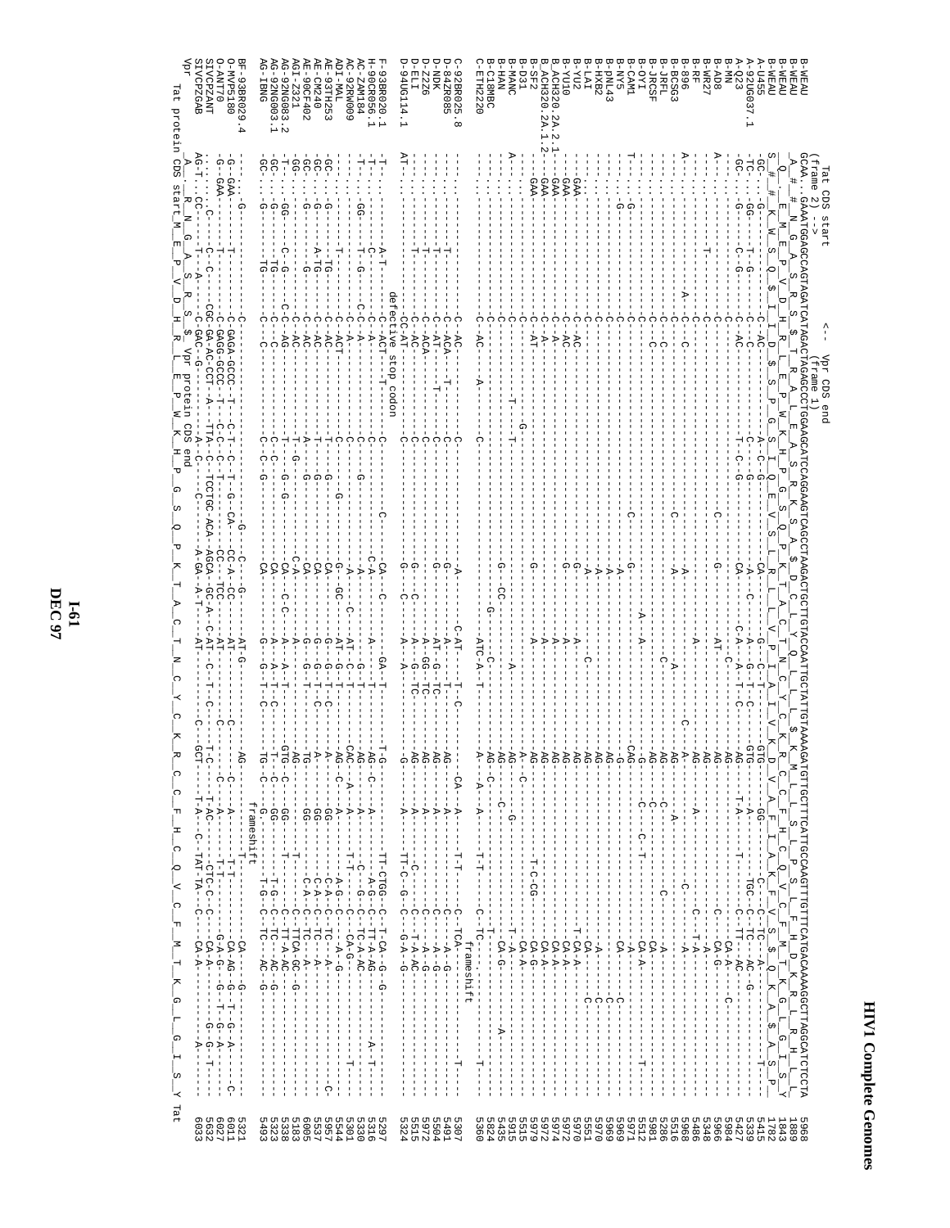| F-93BR029.4<br>G-92NG083.2<br>G-92NG003.1<br>E-90CF402<br>E-93TH253<br><b>MVP5180</b><br>C-92RM009<br>2-ZAM184<br><sup>--</sup> 93ВR020.<br>I-90СR056.<br>$-940G114.$<br>-WEAU<br>$S = C18MBC$<br>$S = ETH2220$<br>$Z\Omega X$ –<br>-pNL43<br>-JRCSF<br>-9200037<br>$-13455$<br>-84ZR085<br>$-D31$<br>$-MR27$<br>」<br>互<br>$-0.23$<br><b>ANT70</b><br>-CAM1<br>$-896$<br>-SF2<br>HXB2<br><b>JRFL</b><br>WEAU<br>ELL-<br>3222<br><b>MANC</b><br>S <sub>KN</sub> -<br>BCSG3<br><b>NDK</b><br>NVH-<br>.<br>ਬ<br>80F<br>92BR025.8<br><b>NEAU</b><br>LAI<br>MEAU<br>-TBNG<br>$I - Z 321$<br>IAM-I<br>ACH320<br><b>IXO</b><br>$0$ T $\Omega$<br><b>ACH32</b><br>-CM240<br>AT<br><b>ROAA</b><br>ėc-<br>နှ<br>Ġ<br>GC-<br>ec-<br>႙<br>Ģ<br>ec-<br>h<br>아<br>ec-<br>ω<br>부<br>amer <sub>1</sub><br>$-6AA$ -<br>$-6AA$ -<br><b>GAA-</b><br><b>GAA</b><br><b>GAA</b><br><b>GAA</b><br><b>GAA</b><br>GAAATGGAGCCAGTAGATGATAGACTAGAGCCCTGGAAGCATCCAGGAAGTCAGCCTAAGACTGCTTGTACCAATTGCTATTGCTATTGTAAA<br>ဂ္<br>ဂ္<br>ဂု<br>ဂု<br>ဂ္<br>සි<br>ဂ္<br>ဂု<br>ဂ္<br>සි<br>Þ.<br>ე<br>-- Q<br>A-TG<br>۲<br>ا<br>∩<br>ု<br>႕<br>å<br>ă<br>ω<br>ω<br>efective<br>ု<br>$-7T - 2T$<br>-GAGA-GCCC<br>$--AC$ -<br>$-ACT-$<br>$-4-$<br>-GAGG-GCC<br>$--AC$<br>$-AC$ .<br>$-AC-$<br>$-AC$ .<br>$-AC$ .<br>$-AC$ .<br>--RCT-<br>$-4-7-$<br>- AC<br>-ACA<br>$-LT-$<br>$-AC$<br>$-40$<br>$ACA-$<br>ΑT.<br>$\overline{A}$<br>$\sum_{i=1}^{n}$<br>ŔĊ<br>Ъ<br>ŔĊ<br>∩<br>G<br>Stop<br>ewezi<br>codon<br>€<br>Ω<br>Ω<br>Ω<br>ଜ<br>S<br>ᡃᢏ<br>$CC-A.$<br>C – A<br>-ca<br>CA-<br>B<br>B<br>ႁ<br>CA-<br>ႁ<br>Ģ<br>CA-<br>β<br>Ω<br>Ω<br>ဂု<br>÷A.<br>♪<br>♭<br>ģ<br>-95-<br>HCC<br>Ģ<br>Ω<br>ု<br>◠<br>ローロ<br>$-4-$<br>$-L$<br>ATC-A--T<br>$\overline{r}$<br>Ŋ<br>$\mathbb{F}$<br>⊄<br>$\mathbb{F}$<br>$AT -$<br>ଢ଼<br>⊅<br>Φ<br>Ģ<br>ဂ္<br>٣<br>$-99-$<br>$-50 -$<br>∩<br>خ<br>ဂု<br>ጋ<br>ଢ଼<br>$-215$<br>$-962$<br>ב<br>נפי<br>-<br>$-9Q -$<br>FG-<br>$-4-$<br>$\overline{P}$<br>$AG--$<br>RC---<br>$-9G-$<br>$-5G-1$<br>$-56-$<br>$AG-$<br>$-52$<br>-DG-<br>$AG-$<br>$AG--$<br>$AG-$<br>$-56-$<br>$-56-$<br>$-9Q -$<br>$-56-$<br>$-AG--$<br>AG-<br>$AG-$<br>$-9G -$<br>န်<br>$-56$<br>AG-<br>$-4-$<br>$-56-$<br>$-56-$<br>$-9Q-$<br>$AG--$<br>$AG--$<br>-- 61<br>LG-<br>$AG-$<br>$-52-$<br>÷<br>∶<br>ှ<br>1<br>ъ<br>$A$ – – – –<br>$\frac{1}{\Omega}$<br>$AG-$<br>₩<br>φ<br>p<br>z<br>$\overline{1}$<br>-1<br>$\mathbf{I}$<br>т<br>$\mathsf I$<br>$\mathbb{I}$<br>$\mathbf{I}$<br>$\mathbb{I}$<br>$\mathbb{I}$<br>้ด<br>$\mathbf I$<br>$\mathsf I$<br>$\mathbf{I}$<br>I<br>⊲<br>Ω<br>Ω<br>C<br>G<br>C<br>J<br>$C -$<br>$-A---$<br>$\begin{array}{c} \rule{0pt}{2.5ex} \rule{0pt}{2.5ex} \rule{0pt}{2.5ex} \rule{0pt}{2.5ex} \rule{0pt}{2.5ex} \rule{0pt}{2.5ex} \rule{0pt}{2.5ex} \rule{0pt}{2.5ex} \rule{0pt}{2.5ex} \rule{0pt}{2.5ex} \rule{0pt}{2.5ex} \rule{0pt}{2.5ex} \rule{0pt}{2.5ex} \rule{0pt}{2.5ex} \rule{0pt}{2.5ex} \rule{0pt}{2.5ex} \rule{0pt}{2.5ex} \rule{0pt}{2.5ex} \rule{0pt}{2.5ex} \rule{0$<br>$\Gamma$<br>$CA-$<br>$-A---$<br>Ω<br>C--<br>$\begin{array}{c} \rule{0pt}{2.5ex} \rule{0pt}{2.5ex} \rule{0pt}{2.5ex} \rule{0pt}{2.5ex} \rule{0pt}{2.5ex} \rule{0pt}{2.5ex} \rule{0pt}{2.5ex} \rule{0pt}{2.5ex} \rule{0pt}{2.5ex} \rule{0pt}{2.5ex} \rule{0pt}{2.5ex} \rule{0pt}{2.5ex} \rule{0pt}{2.5ex} \rule{0pt}{2.5ex} \rule{0pt}{2.5ex} \rule{0pt}{2.5ex} \rule{0pt}{2.5ex} \rule{0pt}{2.5ex} \rule{0pt}{2.5ex} \rule{0$<br>J<br>J.<br>J<br>$\frac{1}{1}$<br>$\mathsf I$<br>t<br>I<br>J.<br>$\frac{1}{4}$<br>$\mathbf{I}$<br>J.<br>$\mathbf{I}$<br>ł.<br>I<br>л<br>J.<br>J.<br>$\blacksquare$<br>л<br>$\mathbf{I}$<br>$\overline{1}$<br>п<br>J.<br>$\blacksquare$<br>J.<br>I<br>1<br>$\mathbf{I}$<br>$\mathbf{I}$<br>$\mathbf{I}$<br>$\mathbf{I}$<br>п<br>л<br>'n<br>$\mathbf{I}$<br>$\blacksquare$<br>$\mathbf{I}$<br>J.<br>$\blacksquare$<br>1<br>т<br>л.<br>-1<br>$\mathbf{I}$<br>$\mathbf{I}$<br>т<br>$\mathbf{I}$<br>$\mathbf{I}$<br>л.<br>I<br>л<br>$\overline{1}$<br>л<br>т<br>$\overline{1}$<br>л<br>$\overline{1}$<br>$\mathbf{I}$<br>1<br>л<br>ш<br>ł<br>$\mathbb{I}$<br>$\overline{1}$<br>$\mathbf I$<br>Ъ<br>Ť<br>I.<br>Ŧ<br>$\frac{1}{1}$<br>J.<br>J.<br>$T - A - T$<br>J.<br>$-99 -$<br>ł<br>Q<br>H<br>$\mathbf{I}$<br>$\mathbf{I}$<br>$-50-$<br>$\overline{1}$<br>$\mathbf{I}$<br>$\overline{1}$<br>$\blacksquare$<br>$\overline{1}$<br>$\mathbf{I}$<br>Ω<br>Ω<br>Ω<br>J.<br>$\overline{1}$<br>п<br>л<br>rameshift<br>$-99-$<br>$\overline{A}$<br>$\overline{Y}$<br>ة.<br>أ<br>-99<br>$-99-$<br>$\sum_{i=1}^{n}$<br>q<br>$-55$<br>$\overline{r}$<br>$A -$<br>$\overline{A}$<br>$A -$<br>A-<br>$\overline{A}$<br>⋗<br>$A -$<br>$A -$<br>$\overline{A}$<br>$\frac{1}{1}$<br>J.<br>$\frac{1}{1}$<br>$\frac{1}{1}$<br>$\frac{1}{1}$<br>$\frac{1}{1}$<br>$\frac{1}{1}$<br>т<br>$\mathbf{I}$<br>ு<br>Α-<br>$\mathbf{I}$<br>п<br>л<br>$\mathbf{I}$<br>л<br>$\blacksquare$<br>H.<br>$\mathbf{I}$<br>ဂူ<br>$\sum_{i=1}^{n}$<br>'n<br>'n.<br>$\mathbf I$<br>J.<br>$\mathbf{I}$<br>I<br>I<br>I,<br>$\begin{array}{c} \end{array}$<br>$\begin{array}{c} \end{array}$<br>ţ<br>$\overline{\phantom{a}}$<br>Ω<br>$\mathbf I$<br>$\overline{1}$<br>E<br>$\blacksquare$<br>$\mathbf{I}$<br>$\blacksquare$<br>I<br>J.<br>$\mathbf{I}$<br>L.<br>J.<br>$\mathbf{I}$<br>$\mathbf{I}$<br>$\blacksquare$<br>I<br>п<br>J.<br>J.<br>$\blacksquare$<br>J<br>J.<br>J.<br>$\mathbf{I}$<br>ł<br>J.<br>$\mathbf{I}$<br>п<br>$\mathbf{I}$<br>ı<br>J.<br>J.<br>-1<br>л<br>-1<br>л.<br>л<br>$\mathbf{I}$<br>л<br>H.<br>т.<br>т.<br>$\blacksquare$<br>л<br>л<br>$\mathbf{I}$<br>л<br>ဂု<br> <br>л<br>п<br>п<br>$\mathbf{I}$<br>л<br>$\frac{1}{1}$<br>n<br>$-1$ $-1$ $-1$<br>$\blacksquare$<br>J.<br>J.<br>$\mathbf{I}$<br>부<br>$\mathbf{I}$<br>$\overline{\phantom{a}}$<br>$\mathbf{I}$<br>$-11-$<br>$\blacksquare$<br>I<br>J.<br>$\mathbf{I}$<br>$\overline{\phantom{a}}$<br>J<br>J.<br>л<br>I<br>J.<br>$\overline{\phantom{a}}$<br>J.<br>п<br>$\mathbf{I}$<br>л<br>$\mathbf{I}$<br>$-1-1-1-$<br>÷,<br>부<br>コーロー<br>DD-CLCG<br>$\blacksquare$<br>J.<br>コーコ<br>$\mathbf{I}$<br>J.<br>부<br>л<br>л<br>$\mathbf{I}$<br>$\frac{1}{1}$<br>п.<br>$\overline{1}$<br>- 1<br>$\mathbf{I}$<br>л.<br>$\mathbf{I}$<br>л<br>1<br>п<br>$\mathbf{I}$<br>$\mathbf{I}$<br>л<br>$\overline{1}$<br>т<br>п<br>$\overline{1}$<br>п<br>л<br>I<br>$\mathbf{I}$<br>$\mathbb{I}$<br>ึ<br>$\mathsf I$<br>$\mathsf I$<br>$\mathbf{I}$<br>$\mathsf I$<br>$\mathbb{I}$<br>$\mathbb I$<br>T-C-CG--<br>$\mathbf I$<br>$\mathbf I$<br>$\mathsf I$<br>п<br>J.<br>т.<br>I<br>J<br>$\mathbf{I}$<br>I,<br>$\mathbf{I}$<br>$\mathbf{I}$<br>$\mathbf{I}$<br>$\mathbf{I}$<br>$\mathbb{I}$<br>$\mathbf{I}$<br>J<br>$\frac{1}{4}$<br>$C$ — — $C$<br>$\,$ I<br>Ω<br>$\mathsf I$<br>$\mathsf I$<br>J<br>$\mathsf I$<br>I<br>I,<br>I<br>J<br>ю<br>I<br>I<br>J<br>$\blacksquare$<br>J.<br>$\mathsf I$<br>$\blacksquare$<br>J.<br>$\mathbf{I}$<br>$\blacksquare$<br>- 11<br>$\mathbf{I}$<br>$\overline{1}$<br>$\mathbf{I}$<br>$\mathbf{I}$<br>$\mathbf{I}$<br>J,<br>J.<br>$\blacksquare$<br>Ţ<br>$\blacksquare$<br>J,<br>J.<br>$\blacksquare$<br>$\frac{1}{1}$<br>I<br>$\mathbf{I}$<br>I<br>J.<br>л<br>$\mathbf{I}$<br>Ė<br>$\frac{1}{2}$<br>$\overline{Y}$<br>CΟ<br>$-4-7-$<br>부<br>$\mathbf{I}$<br>$C - A - -$<br>$\mathbf{I}$<br>$\mathbf{I}$<br>$\mathbf{I}$<br>J.<br>J.<br>م<br>!<br>т<br>$\mathbf{I}$<br>۹Ï.<br>ł.<br>$\mathbf{I}$<br>п<br>$\mathbf{I}$<br>H.<br>$\overline{1}$<br>л<br>$\mathbf{I}$<br>л<br>л<br>п<br>$-501$<br>$\mathbb{I}$<br>L<br>$\overline{\phantom{a}}$<br>C<br>⊲<br>Ω<br>Ω<br>ω<br>ω<br>Ω<br>C--<br>F<br>$\overline{1}$<br>J.<br>L.<br>$A -$<br>$\mathbf{I}$<br>Ω<br>$\blacksquare$<br>- 1<br>$\overline{1}$<br>L.<br>$\mathbf{I}$<br>$\overline{1}$<br>п<br>$\blacksquare$<br>$\overline{1}$<br>J.<br>п<br>L.<br>$\mathbf{I}$<br>$\blacksquare$<br>t<br>$\mathbf{I}$<br>J.<br>-1<br>л<br>$\blacksquare$<br>ŧ<br>$\frac{1}{1}$<br>Ť<br>ŧ<br>$\frac{1}{1}$<br>J.<br>J.<br>$\frac{1}{1}$<br>J.<br>$\mathbf{I}$<br>J.<br>$\blacksquare$<br>л.<br>$\overline{1}$<br>1<br>л<br>л.<br>$\mathbf{I}$<br>-1<br>ŧ<br>$\mathbf{I}$<br>-1<br>$\mathbf{I}$<br>л.<br>-1<br>л.<br>$\mathbf{I}$<br>л<br>л<br>$\mathbf{I}$<br>$\mathbf{I}$<br>J.<br>т<br>$\mathbf{I}$<br>H.<br>$\mathbf{I}$<br>$\overline{1}$<br>$\overline{1}$<br>$\overline{1}$<br>$\mathsf I$<br>$\mathbf I$<br>$\mathbf{I}$<br>$\mathbf{I}$<br>$\overline{1}$<br>$\mathbf{I}$<br>$\overline{1}$<br>Ï<br>Ï<br>$\mathbf{I}$<br>റ<br>J.<br>$\mathbf{I}$<br>Q<br>C<br>Ω<br>ΩO<br>Ω<br>Ω<br>$\mathsf I$<br>$\Gamma$<br>⊲<br>∩<br>Ω<br>Q<br>∩<br>Q<br>Q<br>Ω<br>Ω<br>∩<br>Ω<br>Ω<br>Ω<br>∩<br>Ω<br>Ω<br>C--TC---<br>T<br>피<br>$\mathbf{I}$<br>J.<br>ł<br>ŧ<br>t<br>$\frac{1}{1}$<br>ŧ<br>ŧ<br>$\frac{1}{1}$<br>ł<br>ţ<br>ŧ<br>ŧ<br>$\frac{1}{1}$<br>ł.<br>ł.<br>$\frac{1}{1}$<br>$\frac{1}{1}$<br>ł<br>ŧ<br>$-1C$ -<br>$\frac{1}{1}$<br>J.<br>л<br>$\mathbf{I}$<br>л<br>$\blacksquare$<br>ł<br>I<br>Ţ<br>$\frac{1}{1}$<br>$\frac{1}{1}$<br>H.<br>٣ŋ<br>л<br>$-5C$<br>$\begin{array}{l} \displaystyle T\,T\!-\!A\!-\!A\!-\!C\!-\! \end{array}$<br>$TC$ --<br>Ė<br>$-5C -$<br>TC-A-AC<br>$T - CA - -$<br>$\mathbf{I}$<br>TCA-<br>Ţ<br>$T - CA - A -$<br>TT---AC-<br>$TC---A--$<br>m<br>7C--<br>TTCA-GC<br>J<br>$T T - A - A G$<br>J.<br>$\frac{1}{1}$<br>$\begin{array}{c} \hline \end{array}$<br>$- - \mathbb{C} \mathbb{A} - \mathbb{A} - -$<br>$ C-A-G$<br>$G - A - G - -$<br>부<br>$-CA - A - -$<br>$-CA-G-$<br>$-CA-R--$<br>$-CA - A -$<br>보<br>$-CA-AG-$<br>$\mathbf{I}$<br>f,<br>$CA-G--$<br>$\mathbb{G}-\mathbb{A}$<br>$\frac{1}{1}$<br>$\frac{1}{1}$<br>ŧ<br>$-CA-G-$<br>$\blacksquare$<br>$-CA$ -<br>$\overline{1}$<br>п<br>$-CA$ -<br>Ť<br>$-CA$ -<br>$\overline{\phantom{a}}$<br>ł<br>Ť<br>$-CA - A - -$<br>н<br>Ť<br>Σ<br>$CA -$<br>ł,<br>H<br>$\overline{\phantom{a}}$<br>$CA - A -$<br>$\overline{\phantom{a}}$<br>л<br>$A$ – $-$<br>$A - AC$<br>$A - BC$<br>$-4-$<br>$-\mathbf{v}$<br>$-4$<br>zame:<br>$\frac{1}{2}$<br>А<br>$-4-$<br>А<br>⊅<br>$\overline{A}$<br>$-4-$<br>$\mathbf I$<br>٠m<br>$\overline{\phantom{a}}$<br>$-40$<br>$-\Delta -$<br>$-\Delta -$<br>$-\Delta -$<br>$\mathsf I$<br>$\frac{1}{4}$<br>T<br>١,<br>Ï<br>∀<br>н<br>$\blacksquare$<br>т<br>-1<br>Ω<br>Ω<br>ှု<br>Ω<br>Ю<br>Ω<br>$\mathbf I$<br>$\blacksquare$<br>$\mathbf{I}$<br>т<br>$\blacksquare$<br>ı<br>$\mathsf I$<br>J.<br>Ŧ<br>$\mathsf I$<br>I<br>j<br>$\mathbf I$<br>Ť.<br>J.<br>$\begin{array}{c} \hline \end{array}$<br>J.<br>Ť,<br>I<br>$\mathsf I$<br>I<br>$\mathbf I$<br>$\begin{array}{c} \end{array}$<br>I<br>$\mathbf{I}$<br>$\blacksquare$<br>$\mathbf{I}$<br>J.<br>$\overline{1}$<br>J.<br>J.<br>$\mathbf{I}$<br>$\mathbf{I}$<br>$\blacksquare$<br>L.<br>$\overline{1}$<br>I<br>$\overline{1}$<br>$\mathbf{I}$<br>$\mathbf{I}$<br>J.<br>$\mathbf{I}$<br>$\mathbf{I}$<br>$\blacksquare$<br>$\mathbf{I}$<br>$\overline{1}$<br>J.<br>п<br>$\blacksquare$<br>л<br>$\begin{array}{c} \hline \end{array}$<br>п<br>$\mathbf{I}$<br>J.<br>J.<br>л<br>$\blacksquare$<br>$\blacksquare$<br>$\mathbf{I}$ | Eat<br>CDS<br>start<br>Jpr CDS<br>end<br>GATGTTGCTTTCATTGCCAAGTTTGTTTCATGACAAAAGGCTTAGGCATCTCCTA<br>$-AC = -G -$<br>ins<br>$\blacksquare$<br>ဂူ<br>န် နဲ<br>$\mathbf{I}$<br>$\mathbf{I}$<br>ဂု<br><b>ဂ</b><br>   <br>   <br>ဂု<br>J.<br>$\mathbf{I}$<br>J.<br>$\mathbf{I}$<br>$\frac{1}{L}$<br>п.<br>$\mathbf{I}$<br>л<br>$\mathbf{I}$<br>л.<br>т<br>$\mathbf{I}$<br>ı<br>$\mathbf{I}$<br>л.<br>-1<br>т.<br>$\overline{1}$<br>л<br>т<br>$\mathbf{I}$<br>ı<br>$\blacksquare$<br>J.<br>п<br>л<br>л<br>ËË<br>$\mathbf{I}$<br>$\mathbf{I}$<br>₩<br>$\mathbf I$<br>I<br>$\overline{\phantom{a}}$<br>J.<br>$\mathbf{I}$<br>J.<br>$\blacksquare$<br>т<br>1 | $-C--TAT-TA$<br>$\mathbf{I}$<br>J.<br>$-CLCC-C---$<br>Ţ<br>$\mathbf{I}$<br>$\mathbb T$<br>Ω<br>C<br>$\frac{1}{1}$<br>ŧ<br>$\mathbf{I}$<br>$\blacksquare$<br>$-CA - A -$<br>$CA-A$<br>$\begin{array}{c} \hline \end{array}$<br>$\mathbf{I}$<br>$\mathbf{I}$<br>л<br>$\mathbf{I}$<br>ш<br>ш<br>$\blacksquare$<br>л.<br>J.<br>J.<br>$\Gamma$<br>$\mathbf{I}$ | 10H-1<br>$-5 - 7$<br>$\mathbf{I}$<br>$-1 - 2C - 4C -$<br>휴<br>$\overline{A}$<br>$\mathbf I$<br>л.<br>$\mathsf I$ | - AT - | -AGCA<br>$-99-$ | end<br>$\Gamma$<br>∩<br>rccrgc-<br>ACA | CGC-GA-AC-CCT<br>protein<br>SQ <sub>S</sub> | AG-T<br>Ċ | IVCPZANT<br>IVCPZGAB |
|--------------------------------------------------------------------------------------------------------------------------------------------------------------------------------------------------------------------------------------------------------------------------------------------------------------------------------------------------------------------------------------------------------------------------------------------------------------------------------------------------------------------------------------------------------------------------------------------------------------------------------------------------------------------------------------------------------------------------------------------------------------------------------------------------------------------------------------------------------------------------------------------------------------------------------------------------------------------------------------------------------------------------------------------------------------------------------------------------------------------------------------------------------------------------------------------------------------------------------------------------------------------------------------------------------------------------------------------------------------------------------------------------------------------------------------------------------------------------------------------------------------------------------------------------------------------------------------------------------------------------------------------------------------------------------------------------------------------------------------------------------------------------------------------------------------------------------------------------------------------------------------------------------------------------------------------------------------------------------------------------------------------------------------------------------------------------------------------------------------------------------------------------------------------------------------------------------------------------------------------------------------------------------------------------------------------------------------------------------------------------------------------------------------------------------------------------------------------------------------------------------------------------------------------------------------------------------------------------------------------------------------------------------------------------------------------------------------------------------------------------------------------------------------------------------------------------------------------------------------------------------------------------------------------------------------------------------------------------------------------------------------------------------------------------------------------------------------------------------------------------------------------------------------------------------------------------------------------------------------------------------------------------------------------------------------------------------------------------------------------------------------------------------------------------------------------------------------------------------------------------------------------------------------------------------------------------------------------------------------------------------------------------------------------------------------------------------------------------------------------------------------------------------------------------------------------------------------------------------------------------------------------------------------------------------------------------------------------------------------------------------------------------------------------------------------------------------------------------------------------------------------------------------------------------------------------------------------------------------------------------------------------------------------------------------------------------------------------------------------------------------------------------------------------------------------------------------------------------------------------------------------------------------------------------------------------------------------------------------------------------------------------------------------------------------------------------------------------------------------------------------------------------------------------------------------------------------------------------------------------------------------------------------------------------------------------------------------------------------------------------------------------------------------------------------------------------------------------------------------------------------------------------------------------------------------------------------------------------------------------------------------------------------------------------------------------------------------------------------------------------------------------------------------------------------------------------------------------------------------------------------------------------------------------------------------------------------------------------------------------------------------------------------------------------------------------------------------------------------------------------------------------------------------------------------------------------------------------------------------------------------------------------------------------------------------------------------------------------------------------------------------------------------------------------------------------------------------------------------------------------------------------------------------------------------------------------------------------------------------------------------------------------------------------------------------------------------------------------------------------------------------------------------------------------------------------------------------------------------------------------------------------------------------------------------------------------------------------------------------------------------------------------------------------------------------------------------------------------------------------------------------------------------------------------------------------------------------------------------------------------------------------------------------------------------------------------------------------------------------------------------------------------------------------------------------------------------------------------------------------------------------------------------------------------------------------------------------------------------------------------------------------------------------------------------------------------------------------------------------------------------------------------------------------------------------------------------------------------------------------------------------------------------------------------------------------------------------------------------------------------------------------------------------------------------------------------------------------------------------------------------------------------------------------------------------------------------------------------------------------------------------------------------------------------------------------------------------------------------------------------------------------------------------------------------------------------------------------------------------------------------------------------------------------------------------------------------------------------------------------------------------------------------------------------------------------------------------------------------------------------------------------------------------------------------------------------------------------------------------------------------------------------------------------------------------------------------------------------------------------------------------------------------------------------------------------------------------------------------------------------------------------------------------------------------------------------------------------------------------------------------------------------------------------------------------------------------------------------------------------------------------------------------------------------------------------------------------------------------------------------------------------------------------------------------------------------------------------------------------------------------------------------------------------------------------------------------------------------------------------------------------------------------------------------------------------------------------------------------------------------------------------------------------------------------------------------------------------------------------------------------------------------------------------------------------------------------------------------------------------------------------------------------------------------------------------------------------------------------------------------------------------------------------------------------------------------------------------------------------------------------------------------------------------------------------------------------------------------------------------------------------------------------------------------------------------------------------------------------------------------------------------------------------------------------------------------------------------------------------------------------------------------------------------------------------------------------------------------------------------------------------------------------------------------------------------------------------------------------------------------------------------------------------------------------------------------------------------------------------------------------------------------------------------------------------------------------------------------------------------------------------------------------------------------------------------------------------------------------------------------------|-----------------------------------------------------------------------------------------------------------------------------------------------------------------------------------------------------------------------------------------------------------------------------------------------------------------------------------------------------------------------------------------------------------------------------------------------------------------------------------------------------------------------------------------------------------------------------------------------------------------------------------------------------|-----------------------------------------------------------------------------------------------------------------------------------------------------------------------------------------------------------------------------------------------------------------------------------------------------------------------------------------------------------|------------------------------------------------------------------------------------------------------------------|--------|-----------------|----------------------------------------|---------------------------------------------|-----------|----------------------|
|                                                                                                                                                                                                                                                                                                                                                                                                                                                                                                                                                                                                                                                                                                                                                                                                                                                                                                                                                                                                                                                                                                                                                                                                                                                                                                                                                                                                                                                                                                                                                                                                                                                                                                                                                                                                                                                                                                                                                                                                                                                                                                                                                                                                                                                                                                                                                                                                                                                                                                                                                                                                                                                                                                                                                                                                                                                                                                                                                                                                                                                                                                                                                                                                                                                                                                                                                                                                                                                                                                                                                                                                                                                                                                                                                                                                                                                                                                                                                                                                                                                                                                                                                                                                                                                                                                                                                                                                                                                                                                                                                                                                                                                                                                                                                                                                                                                                                                                                                                                                                                                                                                                                                                                                                                                                                                                                                                                                                                                                                                                                                                                                                                                                                                                                                                                                                                                                                                                                                                                                                                                                                                                                                                                                                                                                                                                                                                                                                                                                                                                                                                                                                                                                                                                                                                                                                                                                                                                                                                                                                                                                                                                                                                                                                                                                                                                                                                                                                                                                                                                                                                                                                                                                                                                                                                                                                                                                                                                                                                                                                                                                                                                                                                                                                                                                                                                                                                                                                                                                                                                                                                                                                                                                                                                                                                                                                                                                                                                                                                                                                                                                                                                                                                                                                                                                                                                                                                                                                                                                                                                                                                                                                                                                                                                                                                                                                                                                                                                                                                                                                                                                                                                                                                                                                                                                                                                                                                                                                                                                                                                                                                                                                                                                                                                                                                                                                                                                                                                                                                                                        |                                                                                                                                                                                                                                                                                                                                                                                                                                                                                                                                                                                                                                                     |                                                                                                                                                                                                                                                                                                                                                           |                                                                                                                  |        |                 |                                        |                                             |           |                      |
|                                                                                                                                                                                                                                                                                                                                                                                                                                                                                                                                                                                                                                                                                                                                                                                                                                                                                                                                                                                                                                                                                                                                                                                                                                                                                                                                                                                                                                                                                                                                                                                                                                                                                                                                                                                                                                                                                                                                                                                                                                                                                                                                                                                                                                                                                                                                                                                                                                                                                                                                                                                                                                                                                                                                                                                                                                                                                                                                                                                                                                                                                                                                                                                                                                                                                                                                                                                                                                                                                                                                                                                                                                                                                                                                                                                                                                                                                                                                                                                                                                                                                                                                                                                                                                                                                                                                                                                                                                                                                                                                                                                                                                                                                                                                                                                                                                                                                                                                                                                                                                                                                                                                                                                                                                                                                                                                                                                                                                                                                                                                                                                                                                                                                                                                                                                                                                                                                                                                                                                                                                                                                                                                                                                                                                                                                                                                                                                                                                                                                                                                                                                                                                                                                                                                                                                                                                                                                                                                                                                                                                                                                                                                                                                                                                                                                                                                                                                                                                                                                                                                                                                                                                                                                                                                                                                                                                                                                                                                                                                                                                                                                                                                                                                                                                                                                                                                                                                                                                                                                                                                                                                                                                                                                                                                                                                                                                                                                                                                                                                                                                                                                                                                                                                                                                                                                                                                                                                                                                                                                                                                                                                                                                                                                                                                                                                                                                                                                                                                                                                                                                                                                                                                                                                                                                                                                                                                                                                                                                                                                                                                                                                                                                                                                                                                                                                                                                                                                                                                                                                                        |                                                                                                                                                                                                                                                                                                                                                                                                                                                                                                                                                                                                                                                     |                                                                                                                                                                                                                                                                                                                                                           |                                                                                                                  |        |                 |                                        |                                             |           |                      |
|                                                                                                                                                                                                                                                                                                                                                                                                                                                                                                                                                                                                                                                                                                                                                                                                                                                                                                                                                                                                                                                                                                                                                                                                                                                                                                                                                                                                                                                                                                                                                                                                                                                                                                                                                                                                                                                                                                                                                                                                                                                                                                                                                                                                                                                                                                                                                                                                                                                                                                                                                                                                                                                                                                                                                                                                                                                                                                                                                                                                                                                                                                                                                                                                                                                                                                                                                                                                                                                                                                                                                                                                                                                                                                                                                                                                                                                                                                                                                                                                                                                                                                                                                                                                                                                                                                                                                                                                                                                                                                                                                                                                                                                                                                                                                                                                                                                                                                                                                                                                                                                                                                                                                                                                                                                                                                                                                                                                                                                                                                                                                                                                                                                                                                                                                                                                                                                                                                                                                                                                                                                                                                                                                                                                                                                                                                                                                                                                                                                                                                                                                                                                                                                                                                                                                                                                                                                                                                                                                                                                                                                                                                                                                                                                                                                                                                                                                                                                                                                                                                                                                                                                                                                                                                                                                                                                                                                                                                                                                                                                                                                                                                                                                                                                                                                                                                                                                                                                                                                                                                                                                                                                                                                                                                                                                                                                                                                                                                                                                                                                                                                                                                                                                                                                                                                                                                                                                                                                                                                                                                                                                                                                                                                                                                                                                                                                                                                                                                                                                                                                                                                                                                                                                                                                                                                                                                                                                                                                                                                                                                                                                                                                                                                                                                                                                                                                                                                                                                                                                                                                        |                                                                                                                                                                                                                                                                                                                                                                                                                                                                                                                                                                                                                                                     |                                                                                                                                                                                                                                                                                                                                                           |                                                                                                                  |        |                 |                                        |                                             |           |                      |
|                                                                                                                                                                                                                                                                                                                                                                                                                                                                                                                                                                                                                                                                                                                                                                                                                                                                                                                                                                                                                                                                                                                                                                                                                                                                                                                                                                                                                                                                                                                                                                                                                                                                                                                                                                                                                                                                                                                                                                                                                                                                                                                                                                                                                                                                                                                                                                                                                                                                                                                                                                                                                                                                                                                                                                                                                                                                                                                                                                                                                                                                                                                                                                                                                                                                                                                                                                                                                                                                                                                                                                                                                                                                                                                                                                                                                                                                                                                                                                                                                                                                                                                                                                                                                                                                                                                                                                                                                                                                                                                                                                                                                                                                                                                                                                                                                                                                                                                                                                                                                                                                                                                                                                                                                                                                                                                                                                                                                                                                                                                                                                                                                                                                                                                                                                                                                                                                                                                                                                                                                                                                                                                                                                                                                                                                                                                                                                                                                                                                                                                                                                                                                                                                                                                                                                                                                                                                                                                                                                                                                                                                                                                                                                                                                                                                                                                                                                                                                                                                                                                                                                                                                                                                                                                                                                                                                                                                                                                                                                                                                                                                                                                                                                                                                                                                                                                                                                                                                                                                                                                                                                                                                                                                                                                                                                                                                                                                                                                                                                                                                                                                                                                                                                                                                                                                                                                                                                                                                                                                                                                                                                                                                                                                                                                                                                                                                                                                                                                                                                                                                                                                                                                                                                                                                                                                                                                                                                                                                                                                                                                                                                                                                                                                                                                                                                                                                                                                                                                                                                                                        |                                                                                                                                                                                                                                                                                                                                                                                                                                                                                                                                                                                                                                                     |                                                                                                                                                                                                                                                                                                                                                           |                                                                                                                  |        |                 |                                        |                                             |           |                      |
|                                                                                                                                                                                                                                                                                                                                                                                                                                                                                                                                                                                                                                                                                                                                                                                                                                                                                                                                                                                                                                                                                                                                                                                                                                                                                                                                                                                                                                                                                                                                                                                                                                                                                                                                                                                                                                                                                                                                                                                                                                                                                                                                                                                                                                                                                                                                                                                                                                                                                                                                                                                                                                                                                                                                                                                                                                                                                                                                                                                                                                                                                                                                                                                                                                                                                                                                                                                                                                                                                                                                                                                                                                                                                                                                                                                                                                                                                                                                                                                                                                                                                                                                                                                                                                                                                                                                                                                                                                                                                                                                                                                                                                                                                                                                                                                                                                                                                                                                                                                                                                                                                                                                                                                                                                                                                                                                                                                                                                                                                                                                                                                                                                                                                                                                                                                                                                                                                                                                                                                                                                                                                                                                                                                                                                                                                                                                                                                                                                                                                                                                                                                                                                                                                                                                                                                                                                                                                                                                                                                                                                                                                                                                                                                                                                                                                                                                                                                                                                                                                                                                                                                                                                                                                                                                                                                                                                                                                                                                                                                                                                                                                                                                                                                                                                                                                                                                                                                                                                                                                                                                                                                                                                                                                                                                                                                                                                                                                                                                                                                                                                                                                                                                                                                                                                                                                                                                                                                                                                                                                                                                                                                                                                                                                                                                                                                                                                                                                                                                                                                                                                                                                                                                                                                                                                                                                                                                                                                                                                                                                                                                                                                                                                                                                                                                                                                                                                                                                                                                                                                                        |                                                                                                                                                                                                                                                                                                                                                                                                                                                                                                                                                                                                                                                     |                                                                                                                                                                                                                                                                                                                                                           |                                                                                                                  |        |                 |                                        |                                             |           |                      |
|                                                                                                                                                                                                                                                                                                                                                                                                                                                                                                                                                                                                                                                                                                                                                                                                                                                                                                                                                                                                                                                                                                                                                                                                                                                                                                                                                                                                                                                                                                                                                                                                                                                                                                                                                                                                                                                                                                                                                                                                                                                                                                                                                                                                                                                                                                                                                                                                                                                                                                                                                                                                                                                                                                                                                                                                                                                                                                                                                                                                                                                                                                                                                                                                                                                                                                                                                                                                                                                                                                                                                                                                                                                                                                                                                                                                                                                                                                                                                                                                                                                                                                                                                                                                                                                                                                                                                                                                                                                                                                                                                                                                                                                                                                                                                                                                                                                                                                                                                                                                                                                                                                                                                                                                                                                                                                                                                                                                                                                                                                                                                                                                                                                                                                                                                                                                                                                                                                                                                                                                                                                                                                                                                                                                                                                                                                                                                                                                                                                                                                                                                                                                                                                                                                                                                                                                                                                                                                                                                                                                                                                                                                                                                                                                                                                                                                                                                                                                                                                                                                                                                                                                                                                                                                                                                                                                                                                                                                                                                                                                                                                                                                                                                                                                                                                                                                                                                                                                                                                                                                                                                                                                                                                                                                                                                                                                                                                                                                                                                                                                                                                                                                                                                                                                                                                                                                                                                                                                                                                                                                                                                                                                                                                                                                                                                                                                                                                                                                                                                                                                                                                                                                                                                                                                                                                                                                                                                                                                                                                                                                                                                                                                                                                                                                                                                                                                                                                                                                                                                                                                        |                                                                                                                                                                                                                                                                                                                                                                                                                                                                                                                                                                                                                                                     |                                                                                                                                                                                                                                                                                                                                                           |                                                                                                                  |        |                 |                                        |                                             |           |                      |
|                                                                                                                                                                                                                                                                                                                                                                                                                                                                                                                                                                                                                                                                                                                                                                                                                                                                                                                                                                                                                                                                                                                                                                                                                                                                                                                                                                                                                                                                                                                                                                                                                                                                                                                                                                                                                                                                                                                                                                                                                                                                                                                                                                                                                                                                                                                                                                                                                                                                                                                                                                                                                                                                                                                                                                                                                                                                                                                                                                                                                                                                                                                                                                                                                                                                                                                                                                                                                                                                                                                                                                                                                                                                                                                                                                                                                                                                                                                                                                                                                                                                                                                                                                                                                                                                                                                                                                                                                                                                                                                                                                                                                                                                                                                                                                                                                                                                                                                                                                                                                                                                                                                                                                                                                                                                                                                                                                                                                                                                                                                                                                                                                                                                                                                                                                                                                                                                                                                                                                                                                                                                                                                                                                                                                                                                                                                                                                                                                                                                                                                                                                                                                                                                                                                                                                                                                                                                                                                                                                                                                                                                                                                                                                                                                                                                                                                                                                                                                                                                                                                                                                                                                                                                                                                                                                                                                                                                                                                                                                                                                                                                                                                                                                                                                                                                                                                                                                                                                                                                                                                                                                                                                                                                                                                                                                                                                                                                                                                                                                                                                                                                                                                                                                                                                                                                                                                                                                                                                                                                                                                                                                                                                                                                                                                                                                                                                                                                                                                                                                                                                                                                                                                                                                                                                                                                                                                                                                                                                                                                                                                                                                                                                                                                                                                                                                                                                                                                                                                                                                                                        |                                                                                                                                                                                                                                                                                                                                                                                                                                                                                                                                                                                                                                                     |                                                                                                                                                                                                                                                                                                                                                           |                                                                                                                  |        |                 |                                        |                                             |           |                      |
|                                                                                                                                                                                                                                                                                                                                                                                                                                                                                                                                                                                                                                                                                                                                                                                                                                                                                                                                                                                                                                                                                                                                                                                                                                                                                                                                                                                                                                                                                                                                                                                                                                                                                                                                                                                                                                                                                                                                                                                                                                                                                                                                                                                                                                                                                                                                                                                                                                                                                                                                                                                                                                                                                                                                                                                                                                                                                                                                                                                                                                                                                                                                                                                                                                                                                                                                                                                                                                                                                                                                                                                                                                                                                                                                                                                                                                                                                                                                                                                                                                                                                                                                                                                                                                                                                                                                                                                                                                                                                                                                                                                                                                                                                                                                                                                                                                                                                                                                                                                                                                                                                                                                                                                                                                                                                                                                                                                                                                                                                                                                                                                                                                                                                                                                                                                                                                                                                                                                                                                                                                                                                                                                                                                                                                                                                                                                                                                                                                                                                                                                                                                                                                                                                                                                                                                                                                                                                                                                                                                                                                                                                                                                                                                                                                                                                                                                                                                                                                                                                                                                                                                                                                                                                                                                                                                                                                                                                                                                                                                                                                                                                                                                                                                                                                                                                                                                                                                                                                                                                                                                                                                                                                                                                                                                                                                                                                                                                                                                                                                                                                                                                                                                                                                                                                                                                                                                                                                                                                                                                                                                                                                                                                                                                                                                                                                                                                                                                                                                                                                                                                                                                                                                                                                                                                                                                                                                                                                                                                                                                                                                                                                                                                                                                                                                                                                                                                                                                                                                                                                                        |                                                                                                                                                                                                                                                                                                                                                                                                                                                                                                                                                                                                                                                     |                                                                                                                                                                                                                                                                                                                                                           |                                                                                                                  |        |                 |                                        |                                             |           |                      |
|                                                                                                                                                                                                                                                                                                                                                                                                                                                                                                                                                                                                                                                                                                                                                                                                                                                                                                                                                                                                                                                                                                                                                                                                                                                                                                                                                                                                                                                                                                                                                                                                                                                                                                                                                                                                                                                                                                                                                                                                                                                                                                                                                                                                                                                                                                                                                                                                                                                                                                                                                                                                                                                                                                                                                                                                                                                                                                                                                                                                                                                                                                                                                                                                                                                                                                                                                                                                                                                                                                                                                                                                                                                                                                                                                                                                                                                                                                                                                                                                                                                                                                                                                                                                                                                                                                                                                                                                                                                                                                                                                                                                                                                                                                                                                                                                                                                                                                                                                                                                                                                                                                                                                                                                                                                                                                                                                                                                                                                                                                                                                                                                                                                                                                                                                                                                                                                                                                                                                                                                                                                                                                                                                                                                                                                                                                                                                                                                                                                                                                                                                                                                                                                                                                                                                                                                                                                                                                                                                                                                                                                                                                                                                                                                                                                                                                                                                                                                                                                                                                                                                                                                                                                                                                                                                                                                                                                                                                                                                                                                                                                                                                                                                                                                                                                                                                                                                                                                                                                                                                                                                                                                                                                                                                                                                                                                                                                                                                                                                                                                                                                                                                                                                                                                                                                                                                                                                                                                                                                                                                                                                                                                                                                                                                                                                                                                                                                                                                                                                                                                                                                                                                                                                                                                                                                                                                                                                                                                                                                                                                                                                                                                                                                                                                                                                                                                                                                                                                                                                                                                        |                                                                                                                                                                                                                                                                                                                                                                                                                                                                                                                                                                                                                                                     |                                                                                                                                                                                                                                                                                                                                                           |                                                                                                                  |        |                 |                                        |                                             |           |                      |
|                                                                                                                                                                                                                                                                                                                                                                                                                                                                                                                                                                                                                                                                                                                                                                                                                                                                                                                                                                                                                                                                                                                                                                                                                                                                                                                                                                                                                                                                                                                                                                                                                                                                                                                                                                                                                                                                                                                                                                                                                                                                                                                                                                                                                                                                                                                                                                                                                                                                                                                                                                                                                                                                                                                                                                                                                                                                                                                                                                                                                                                                                                                                                                                                                                                                                                                                                                                                                                                                                                                                                                                                                                                                                                                                                                                                                                                                                                                                                                                                                                                                                                                                                                                                                                                                                                                                                                                                                                                                                                                                                                                                                                                                                                                                                                                                                                                                                                                                                                                                                                                                                                                                                                                                                                                                                                                                                                                                                                                                                                                                                                                                                                                                                                                                                                                                                                                                                                                                                                                                                                                                                                                                                                                                                                                                                                                                                                                                                                                                                                                                                                                                                                                                                                                                                                                                                                                                                                                                                                                                                                                                                                                                                                                                                                                                                                                                                                                                                                                                                                                                                                                                                                                                                                                                                                                                                                                                                                                                                                                                                                                                                                                                                                                                                                                                                                                                                                                                                                                                                                                                                                                                                                                                                                                                                                                                                                                                                                                                                                                                                                                                                                                                                                                                                                                                                                                                                                                                                                                                                                                                                                                                                                                                                                                                                                                                                                                                                                                                                                                                                                                                                                                                                                                                                                                                                                                                                                                                                                                                                                                                                                                                                                                                                                                                                                                                                                                                                                                                                                                                        |                                                                                                                                                                                                                                                                                                                                                                                                                                                                                                                                                                                                                                                     |                                                                                                                                                                                                                                                                                                                                                           |                                                                                                                  |        |                 |                                        |                                             |           |                      |
|                                                                                                                                                                                                                                                                                                                                                                                                                                                                                                                                                                                                                                                                                                                                                                                                                                                                                                                                                                                                                                                                                                                                                                                                                                                                                                                                                                                                                                                                                                                                                                                                                                                                                                                                                                                                                                                                                                                                                                                                                                                                                                                                                                                                                                                                                                                                                                                                                                                                                                                                                                                                                                                                                                                                                                                                                                                                                                                                                                                                                                                                                                                                                                                                                                                                                                                                                                                                                                                                                                                                                                                                                                                                                                                                                                                                                                                                                                                                                                                                                                                                                                                                                                                                                                                                                                                                                                                                                                                                                                                                                                                                                                                                                                                                                                                                                                                                                                                                                                                                                                                                                                                                                                                                                                                                                                                                                                                                                                                                                                                                                                                                                                                                                                                                                                                                                                                                                                                                                                                                                                                                                                                                                                                                                                                                                                                                                                                                                                                                                                                                                                                                                                                                                                                                                                                                                                                                                                                                                                                                                                                                                                                                                                                                                                                                                                                                                                                                                                                                                                                                                                                                                                                                                                                                                                                                                                                                                                                                                                                                                                                                                                                                                                                                                                                                                                                                                                                                                                                                                                                                                                                                                                                                                                                                                                                                                                                                                                                                                                                                                                                                                                                                                                                                                                                                                                                                                                                                                                                                                                                                                                                                                                                                                                                                                                                                                                                                                                                                                                                                                                                                                                                                                                                                                                                                                                                                                                                                                                                                                                                                                                                                                                                                                                                                                                                                                                                                                                                                                                                                        |                                                                                                                                                                                                                                                                                                                                                                                                                                                                                                                                                                                                                                                     |                                                                                                                                                                                                                                                                                                                                                           |                                                                                                                  |        |                 |                                        |                                             |           |                      |
|                                                                                                                                                                                                                                                                                                                                                                                                                                                                                                                                                                                                                                                                                                                                                                                                                                                                                                                                                                                                                                                                                                                                                                                                                                                                                                                                                                                                                                                                                                                                                                                                                                                                                                                                                                                                                                                                                                                                                                                                                                                                                                                                                                                                                                                                                                                                                                                                                                                                                                                                                                                                                                                                                                                                                                                                                                                                                                                                                                                                                                                                                                                                                                                                                                                                                                                                                                                                                                                                                                                                                                                                                                                                                                                                                                                                                                                                                                                                                                                                                                                                                                                                                                                                                                                                                                                                                                                                                                                                                                                                                                                                                                                                                                                                                                                                                                                                                                                                                                                                                                                                                                                                                                                                                                                                                                                                                                                                                                                                                                                                                                                                                                                                                                                                                                                                                                                                                                                                                                                                                                                                                                                                                                                                                                                                                                                                                                                                                                                                                                                                                                                                                                                                                                                                                                                                                                                                                                                                                                                                                                                                                                                                                                                                                                                                                                                                                                                                                                                                                                                                                                                                                                                                                                                                                                                                                                                                                                                                                                                                                                                                                                                                                                                                                                                                                                                                                                                                                                                                                                                                                                                                                                                                                                                                                                                                                                                                                                                                                                                                                                                                                                                                                                                                                                                                                                                                                                                                                                                                                                                                                                                                                                                                                                                                                                                                                                                                                                                                                                                                                                                                                                                                                                                                                                                                                                                                                                                                                                                                                                                                                                                                                                                                                                                                                                                                                                                                                                                                                                                                        |                                                                                                                                                                                                                                                                                                                                                                                                                                                                                                                                                                                                                                                     |                                                                                                                                                                                                                                                                                                                                                           |                                                                                                                  |        |                 |                                        |                                             |           |                      |
|                                                                                                                                                                                                                                                                                                                                                                                                                                                                                                                                                                                                                                                                                                                                                                                                                                                                                                                                                                                                                                                                                                                                                                                                                                                                                                                                                                                                                                                                                                                                                                                                                                                                                                                                                                                                                                                                                                                                                                                                                                                                                                                                                                                                                                                                                                                                                                                                                                                                                                                                                                                                                                                                                                                                                                                                                                                                                                                                                                                                                                                                                                                                                                                                                                                                                                                                                                                                                                                                                                                                                                                                                                                                                                                                                                                                                                                                                                                                                                                                                                                                                                                                                                                                                                                                                                                                                                                                                                                                                                                                                                                                                                                                                                                                                                                                                                                                                                                                                                                                                                                                                                                                                                                                                                                                                                                                                                                                                                                                                                                                                                                                                                                                                                                                                                                                                                                                                                                                                                                                                                                                                                                                                                                                                                                                                                                                                                                                                                                                                                                                                                                                                                                                                                                                                                                                                                                                                                                                                                                                                                                                                                                                                                                                                                                                                                                                                                                                                                                                                                                                                                                                                                                                                                                                                                                                                                                                                                                                                                                                                                                                                                                                                                                                                                                                                                                                                                                                                                                                                                                                                                                                                                                                                                                                                                                                                                                                                                                                                                                                                                                                                                                                                                                                                                                                                                                                                                                                                                                                                                                                                                                                                                                                                                                                                                                                                                                                                                                                                                                                                                                                                                                                                                                                                                                                                                                                                                                                                                                                                                                                                                                                                                                                                                                                                                                                                                                                                                                                                                                                        |                                                                                                                                                                                                                                                                                                                                                                                                                                                                                                                                                                                                                                                     |                                                                                                                                                                                                                                                                                                                                                           |                                                                                                                  |        |                 |                                        |                                             |           |                      |
|                                                                                                                                                                                                                                                                                                                                                                                                                                                                                                                                                                                                                                                                                                                                                                                                                                                                                                                                                                                                                                                                                                                                                                                                                                                                                                                                                                                                                                                                                                                                                                                                                                                                                                                                                                                                                                                                                                                                                                                                                                                                                                                                                                                                                                                                                                                                                                                                                                                                                                                                                                                                                                                                                                                                                                                                                                                                                                                                                                                                                                                                                                                                                                                                                                                                                                                                                                                                                                                                                                                                                                                                                                                                                                                                                                                                                                                                                                                                                                                                                                                                                                                                                                                                                                                                                                                                                                                                                                                                                                                                                                                                                                                                                                                                                                                                                                                                                                                                                                                                                                                                                                                                                                                                                                                                                                                                                                                                                                                                                                                                                                                                                                                                                                                                                                                                                                                                                                                                                                                                                                                                                                                                                                                                                                                                                                                                                                                                                                                                                                                                                                                                                                                                                                                                                                                                                                                                                                                                                                                                                                                                                                                                                                                                                                                                                                                                                                                                                                                                                                                                                                                                                                                                                                                                                                                                                                                                                                                                                                                                                                                                                                                                                                                                                                                                                                                                                                                                                                                                                                                                                                                                                                                                                                                                                                                                                                                                                                                                                                                                                                                                                                                                                                                                                                                                                                                                                                                                                                                                                                                                                                                                                                                                                                                                                                                                                                                                                                                                                                                                                                                                                                                                                                                                                                                                                                                                                                                                                                                                                                                                                                                                                                                                                                                                                                                                                                                                                                                                                                                                        |                                                                                                                                                                                                                                                                                                                                                                                                                                                                                                                                                                                                                                                     |                                                                                                                                                                                                                                                                                                                                                           |                                                                                                                  |        |                 |                                        |                                             |           |                      |
|                                                                                                                                                                                                                                                                                                                                                                                                                                                                                                                                                                                                                                                                                                                                                                                                                                                                                                                                                                                                                                                                                                                                                                                                                                                                                                                                                                                                                                                                                                                                                                                                                                                                                                                                                                                                                                                                                                                                                                                                                                                                                                                                                                                                                                                                                                                                                                                                                                                                                                                                                                                                                                                                                                                                                                                                                                                                                                                                                                                                                                                                                                                                                                                                                                                                                                                                                                                                                                                                                                                                                                                                                                                                                                                                                                                                                                                                                                                                                                                                                                                                                                                                                                                                                                                                                                                                                                                                                                                                                                                                                                                                                                                                                                                                                                                                                                                                                                                                                                                                                                                                                                                                                                                                                                                                                                                                                                                                                                                                                                                                                                                                                                                                                                                                                                                                                                                                                                                                                                                                                                                                                                                                                                                                                                                                                                                                                                                                                                                                                                                                                                                                                                                                                                                                                                                                                                                                                                                                                                                                                                                                                                                                                                                                                                                                                                                                                                                                                                                                                                                                                                                                                                                                                                                                                                                                                                                                                                                                                                                                                                                                                                                                                                                                                                                                                                                                                                                                                                                                                                                                                                                                                                                                                                                                                                                                                                                                                                                                                                                                                                                                                                                                                                                                                                                                                                                                                                                                                                                                                                                                                                                                                                                                                                                                                                                                                                                                                                                                                                                                                                                                                                                                                                                                                                                                                                                                                                                                                                                                                                                                                                                                                                                                                                                                                                                                                                                                                                                                                                                                        |                                                                                                                                                                                                                                                                                                                                                                                                                                                                                                                                                                                                                                                     |                                                                                                                                                                                                                                                                                                                                                           |                                                                                                                  |        |                 |                                        |                                             |           |                      |
|                                                                                                                                                                                                                                                                                                                                                                                                                                                                                                                                                                                                                                                                                                                                                                                                                                                                                                                                                                                                                                                                                                                                                                                                                                                                                                                                                                                                                                                                                                                                                                                                                                                                                                                                                                                                                                                                                                                                                                                                                                                                                                                                                                                                                                                                                                                                                                                                                                                                                                                                                                                                                                                                                                                                                                                                                                                                                                                                                                                                                                                                                                                                                                                                                                                                                                                                                                                                                                                                                                                                                                                                                                                                                                                                                                                                                                                                                                                                                                                                                                                                                                                                                                                                                                                                                                                                                                                                                                                                                                                                                                                                                                                                                                                                                                                                                                                                                                                                                                                                                                                                                                                                                                                                                                                                                                                                                                                                                                                                                                                                                                                                                                                                                                                                                                                                                                                                                                                                                                                                                                                                                                                                                                                                                                                                                                                                                                                                                                                                                                                                                                                                                                                                                                                                                                                                                                                                                                                                                                                                                                                                                                                                                                                                                                                                                                                                                                                                                                                                                                                                                                                                                                                                                                                                                                                                                                                                                                                                                                                                                                                                                                                                                                                                                                                                                                                                                                                                                                                                                                                                                                                                                                                                                                                                                                                                                                                                                                                                                                                                                                                                                                                                                                                                                                                                                                                                                                                                                                                                                                                                                                                                                                                                                                                                                                                                                                                                                                                                                                                                                                                                                                                                                                                                                                                                                                                                                                                                                                                                                                                                                                                                                                                                                                                                                                                                                                                                                                                                                                                                        |                                                                                                                                                                                                                                                                                                                                                                                                                                                                                                                                                                                                                                                     |                                                                                                                                                                                                                                                                                                                                                           |                                                                                                                  |        |                 |                                        |                                             |           |                      |
|                                                                                                                                                                                                                                                                                                                                                                                                                                                                                                                                                                                                                                                                                                                                                                                                                                                                                                                                                                                                                                                                                                                                                                                                                                                                                                                                                                                                                                                                                                                                                                                                                                                                                                                                                                                                                                                                                                                                                                                                                                                                                                                                                                                                                                                                                                                                                                                                                                                                                                                                                                                                                                                                                                                                                                                                                                                                                                                                                                                                                                                                                                                                                                                                                                                                                                                                                                                                                                                                                                                                                                                                                                                                                                                                                                                                                                                                                                                                                                                                                                                                                                                                                                                                                                                                                                                                                                                                                                                                                                                                                                                                                                                                                                                                                                                                                                                                                                                                                                                                                                                                                                                                                                                                                                                                                                                                                                                                                                                                                                                                                                                                                                                                                                                                                                                                                                                                                                                                                                                                                                                                                                                                                                                                                                                                                                                                                                                                                                                                                                                                                                                                                                                                                                                                                                                                                                                                                                                                                                                                                                                                                                                                                                                                                                                                                                                                                                                                                                                                                                                                                                                                                                                                                                                                                                                                                                                                                                                                                                                                                                                                                                                                                                                                                                                                                                                                                                                                                                                                                                                                                                                                                                                                                                                                                                                                                                                                                                                                                                                                                                                                                                                                                                                                                                                                                                                                                                                                                                                                                                                                                                                                                                                                                                                                                                                                                                                                                                                                                                                                                                                                                                                                                                                                                                                                                                                                                                                                                                                                                                                                                                                                                                                                                                                                                                                                                                                                                                                                                                                                        |                                                                                                                                                                                                                                                                                                                                                                                                                                                                                                                                                                                                                                                     |                                                                                                                                                                                                                                                                                                                                                           |                                                                                                                  |        |                 |                                        |                                             |           |                      |
|                                                                                                                                                                                                                                                                                                                                                                                                                                                                                                                                                                                                                                                                                                                                                                                                                                                                                                                                                                                                                                                                                                                                                                                                                                                                                                                                                                                                                                                                                                                                                                                                                                                                                                                                                                                                                                                                                                                                                                                                                                                                                                                                                                                                                                                                                                                                                                                                                                                                                                                                                                                                                                                                                                                                                                                                                                                                                                                                                                                                                                                                                                                                                                                                                                                                                                                                                                                                                                                                                                                                                                                                                                                                                                                                                                                                                                                                                                                                                                                                                                                                                                                                                                                                                                                                                                                                                                                                                                                                                                                                                                                                                                                                                                                                                                                                                                                                                                                                                                                                                                                                                                                                                                                                                                                                                                                                                                                                                                                                                                                                                                                                                                                                                                                                                                                                                                                                                                                                                                                                                                                                                                                                                                                                                                                                                                                                                                                                                                                                                                                                                                                                                                                                                                                                                                                                                                                                                                                                                                                                                                                                                                                                                                                                                                                                                                                                                                                                                                                                                                                                                                                                                                                                                                                                                                                                                                                                                                                                                                                                                                                                                                                                                                                                                                                                                                                                                                                                                                                                                                                                                                                                                                                                                                                                                                                                                                                                                                                                                                                                                                                                                                                                                                                                                                                                                                                                                                                                                                                                                                                                                                                                                                                                                                                                                                                                                                                                                                                                                                                                                                                                                                                                                                                                                                                                                                                                                                                                                                                                                                                                                                                                                                                                                                                                                                                                                                                                                                                                                                                                        |                                                                                                                                                                                                                                                                                                                                                                                                                                                                                                                                                                                                                                                     |                                                                                                                                                                                                                                                                                                                                                           |                                                                                                                  |        |                 |                                        |                                             |           |                      |
|                                                                                                                                                                                                                                                                                                                                                                                                                                                                                                                                                                                                                                                                                                                                                                                                                                                                                                                                                                                                                                                                                                                                                                                                                                                                                                                                                                                                                                                                                                                                                                                                                                                                                                                                                                                                                                                                                                                                                                                                                                                                                                                                                                                                                                                                                                                                                                                                                                                                                                                                                                                                                                                                                                                                                                                                                                                                                                                                                                                                                                                                                                                                                                                                                                                                                                                                                                                                                                                                                                                                                                                                                                                                                                                                                                                                                                                                                                                                                                                                                                                                                                                                                                                                                                                                                                                                                                                                                                                                                                                                                                                                                                                                                                                                                                                                                                                                                                                                                                                                                                                                                                                                                                                                                                                                                                                                                                                                                                                                                                                                                                                                                                                                                                                                                                                                                                                                                                                                                                                                                                                                                                                                                                                                                                                                                                                                                                                                                                                                                                                                                                                                                                                                                                                                                                                                                                                                                                                                                                                                                                                                                                                                                                                                                                                                                                                                                                                                                                                                                                                                                                                                                                                                                                                                                                                                                                                                                                                                                                                                                                                                                                                                                                                                                                                                                                                                                                                                                                                                                                                                                                                                                                                                                                                                                                                                                                                                                                                                                                                                                                                                                                                                                                                                                                                                                                                                                                                                                                                                                                                                                                                                                                                                                                                                                                                                                                                                                                                                                                                                                                                                                                                                                                                                                                                                                                                                                                                                                                                                                                                                                                                                                                                                                                                                                                                                                                                                                                                                                                                                        |                                                                                                                                                                                                                                                                                                                                                                                                                                                                                                                                                                                                                                                     |                                                                                                                                                                                                                                                                                                                                                           |                                                                                                                  |        |                 |                                        |                                             |           |                      |
|                                                                                                                                                                                                                                                                                                                                                                                                                                                                                                                                                                                                                                                                                                                                                                                                                                                                                                                                                                                                                                                                                                                                                                                                                                                                                                                                                                                                                                                                                                                                                                                                                                                                                                                                                                                                                                                                                                                                                                                                                                                                                                                                                                                                                                                                                                                                                                                                                                                                                                                                                                                                                                                                                                                                                                                                                                                                                                                                                                                                                                                                                                                                                                                                                                                                                                                                                                                                                                                                                                                                                                                                                                                                                                                                                                                                                                                                                                                                                                                                                                                                                                                                                                                                                                                                                                                                                                                                                                                                                                                                                                                                                                                                                                                                                                                                                                                                                                                                                                                                                                                                                                                                                                                                                                                                                                                                                                                                                                                                                                                                                                                                                                                                                                                                                                                                                                                                                                                                                                                                                                                                                                                                                                                                                                                                                                                                                                                                                                                                                                                                                                                                                                                                                                                                                                                                                                                                                                                                                                                                                                                                                                                                                                                                                                                                                                                                                                                                                                                                                                                                                                                                                                                                                                                                                                                                                                                                                                                                                                                                                                                                                                                                                                                                                                                                                                                                                                                                                                                                                                                                                                                                                                                                                                                                                                                                                                                                                                                                                                                                                                                                                                                                                                                                                                                                                                                                                                                                                                                                                                                                                                                                                                                                                                                                                                                                                                                                                                                                                                                                                                                                                                                                                                                                                                                                                                                                                                                                                                                                                                                                                                                                                                                                                                                                                                                                                                                                                                                                                                                                        |                                                                                                                                                                                                                                                                                                                                                                                                                                                                                                                                                                                                                                                     |                                                                                                                                                                                                                                                                                                                                                           |                                                                                                                  |        |                 |                                        |                                             |           |                      |
|                                                                                                                                                                                                                                                                                                                                                                                                                                                                                                                                                                                                                                                                                                                                                                                                                                                                                                                                                                                                                                                                                                                                                                                                                                                                                                                                                                                                                                                                                                                                                                                                                                                                                                                                                                                                                                                                                                                                                                                                                                                                                                                                                                                                                                                                                                                                                                                                                                                                                                                                                                                                                                                                                                                                                                                                                                                                                                                                                                                                                                                                                                                                                                                                                                                                                                                                                                                                                                                                                                                                                                                                                                                                                                                                                                                                                                                                                                                                                                                                                                                                                                                                                                                                                                                                                                                                                                                                                                                                                                                                                                                                                                                                                                                                                                                                                                                                                                                                                                                                                                                                                                                                                                                                                                                                                                                                                                                                                                                                                                                                                                                                                                                                                                                                                                                                                                                                                                                                                                                                                                                                                                                                                                                                                                                                                                                                                                                                                                                                                                                                                                                                                                                                                                                                                                                                                                                                                                                                                                                                                                                                                                                                                                                                                                                                                                                                                                                                                                                                                                                                                                                                                                                                                                                                                                                                                                                                                                                                                                                                                                                                                                                                                                                                                                                                                                                                                                                                                                                                                                                                                                                                                                                                                                                                                                                                                                                                                                                                                                                                                                                                                                                                                                                                                                                                                                                                                                                                                                                                                                                                                                                                                                                                                                                                                                                                                                                                                                                                                                                                                                                                                                                                                                                                                                                                                                                                                                                                                                                                                                                                                                                                                                                                                                                                                                                                                                                                                                                                                                                                        |                                                                                                                                                                                                                                                                                                                                                                                                                                                                                                                                                                                                                                                     |                                                                                                                                                                                                                                                                                                                                                           |                                                                                                                  |        |                 |                                        |                                             |           |                      |
|                                                                                                                                                                                                                                                                                                                                                                                                                                                                                                                                                                                                                                                                                                                                                                                                                                                                                                                                                                                                                                                                                                                                                                                                                                                                                                                                                                                                                                                                                                                                                                                                                                                                                                                                                                                                                                                                                                                                                                                                                                                                                                                                                                                                                                                                                                                                                                                                                                                                                                                                                                                                                                                                                                                                                                                                                                                                                                                                                                                                                                                                                                                                                                                                                                                                                                                                                                                                                                                                                                                                                                                                                                                                                                                                                                                                                                                                                                                                                                                                                                                                                                                                                                                                                                                                                                                                                                                                                                                                                                                                                                                                                                                                                                                                                                                                                                                                                                                                                                                                                                                                                                                                                                                                                                                                                                                                                                                                                                                                                                                                                                                                                                                                                                                                                                                                                                                                                                                                                                                                                                                                                                                                                                                                                                                                                                                                                                                                                                                                                                                                                                                                                                                                                                                                                                                                                                                                                                                                                                                                                                                                                                                                                                                                                                                                                                                                                                                                                                                                                                                                                                                                                                                                                                                                                                                                                                                                                                                                                                                                                                                                                                                                                                                                                                                                                                                                                                                                                                                                                                                                                                                                                                                                                                                                                                                                                                                                                                                                                                                                                                                                                                                                                                                                                                                                                                                                                                                                                                                                                                                                                                                                                                                                                                                                                                                                                                                                                                                                                                                                                                                                                                                                                                                                                                                                                                                                                                                                                                                                                                                                                                                                                                                                                                                                                                                                                                                                                                                                                                                                        |                                                                                                                                                                                                                                                                                                                                                                                                                                                                                                                                                                                                                                                     |                                                                                                                                                                                                                                                                                                                                                           |                                                                                                                  |        |                 |                                        |                                             |           |                      |
|                                                                                                                                                                                                                                                                                                                                                                                                                                                                                                                                                                                                                                                                                                                                                                                                                                                                                                                                                                                                                                                                                                                                                                                                                                                                                                                                                                                                                                                                                                                                                                                                                                                                                                                                                                                                                                                                                                                                                                                                                                                                                                                                                                                                                                                                                                                                                                                                                                                                                                                                                                                                                                                                                                                                                                                                                                                                                                                                                                                                                                                                                                                                                                                                                                                                                                                                                                                                                                                                                                                                                                                                                                                                                                                                                                                                                                                                                                                                                                                                                                                                                                                                                                                                                                                                                                                                                                                                                                                                                                                                                                                                                                                                                                                                                                                                                                                                                                                                                                                                                                                                                                                                                                                                                                                                                                                                                                                                                                                                                                                                                                                                                                                                                                                                                                                                                                                                                                                                                                                                                                                                                                                                                                                                                                                                                                                                                                                                                                                                                                                                                                                                                                                                                                                                                                                                                                                                                                                                                                                                                                                                                                                                                                                                                                                                                                                                                                                                                                                                                                                                                                                                                                                                                                                                                                                                                                                                                                                                                                                                                                                                                                                                                                                                                                                                                                                                                                                                                                                                                                                                                                                                                                                                                                                                                                                                                                                                                                                                                                                                                                                                                                                                                                                                                                                                                                                                                                                                                                                                                                                                                                                                                                                                                                                                                                                                                                                                                                                                                                                                                                                                                                                                                                                                                                                                                                                                                                                                                                                                                                                                                                                                                                                                                                                                                                                                                                                                                                                                                                                                        |                                                                                                                                                                                                                                                                                                                                                                                                                                                                                                                                                                                                                                                     |                                                                                                                                                                                                                                                                                                                                                           |                                                                                                                  |        |                 |                                        |                                             |           |                      |
|                                                                                                                                                                                                                                                                                                                                                                                                                                                                                                                                                                                                                                                                                                                                                                                                                                                                                                                                                                                                                                                                                                                                                                                                                                                                                                                                                                                                                                                                                                                                                                                                                                                                                                                                                                                                                                                                                                                                                                                                                                                                                                                                                                                                                                                                                                                                                                                                                                                                                                                                                                                                                                                                                                                                                                                                                                                                                                                                                                                                                                                                                                                                                                                                                                                                                                                                                                                                                                                                                                                                                                                                                                                                                                                                                                                                                                                                                                                                                                                                                                                                                                                                                                                                                                                                                                                                                                                                                                                                                                                                                                                                                                                                                                                                                                                                                                                                                                                                                                                                                                                                                                                                                                                                                                                                                                                                                                                                                                                                                                                                                                                                                                                                                                                                                                                                                                                                                                                                                                                                                                                                                                                                                                                                                                                                                                                                                                                                                                                                                                                                                                                                                                                                                                                                                                                                                                                                                                                                                                                                                                                                                                                                                                                                                                                                                                                                                                                                                                                                                                                                                                                                                                                                                                                                                                                                                                                                                                                                                                                                                                                                                                                                                                                                                                                                                                                                                                                                                                                                                                                                                                                                                                                                                                                                                                                                                                                                                                                                                                                                                                                                                                                                                                                                                                                                                                                                                                                                                                                                                                                                                                                                                                                                                                                                                                                                                                                                                                                                                                                                                                                                                                                                                                                                                                                                                                                                                                                                                                                                                                                                                                                                                                                                                                                                                                                                                                                                                                                                                                                                        |                                                                                                                                                                                                                                                                                                                                                                                                                                                                                                                                                                                                                                                     |                                                                                                                                                                                                                                                                                                                                                           |                                                                                                                  |        |                 |                                        |                                             |           |                      |
|                                                                                                                                                                                                                                                                                                                                                                                                                                                                                                                                                                                                                                                                                                                                                                                                                                                                                                                                                                                                                                                                                                                                                                                                                                                                                                                                                                                                                                                                                                                                                                                                                                                                                                                                                                                                                                                                                                                                                                                                                                                                                                                                                                                                                                                                                                                                                                                                                                                                                                                                                                                                                                                                                                                                                                                                                                                                                                                                                                                                                                                                                                                                                                                                                                                                                                                                                                                                                                                                                                                                                                                                                                                                                                                                                                                                                                                                                                                                                                                                                                                                                                                                                                                                                                                                                                                                                                                                                                                                                                                                                                                                                                                                                                                                                                                                                                                                                                                                                                                                                                                                                                                                                                                                                                                                                                                                                                                                                                                                                                                                                                                                                                                                                                                                                                                                                                                                                                                                                                                                                                                                                                                                                                                                                                                                                                                                                                                                                                                                                                                                                                                                                                                                                                                                                                                                                                                                                                                                                                                                                                                                                                                                                                                                                                                                                                                                                                                                                                                                                                                                                                                                                                                                                                                                                                                                                                                                                                                                                                                                                                                                                                                                                                                                                                                                                                                                                                                                                                                                                                                                                                                                                                                                                                                                                                                                                                                                                                                                                                                                                                                                                                                                                                                                                                                                                                                                                                                                                                                                                                                                                                                                                                                                                                                                                                                                                                                                                                                                                                                                                                                                                                                                                                                                                                                                                                                                                                                                                                                                                                                                                                                                                                                                                                                                                                                                                                                                                                                                                                                                        |                                                                                                                                                                                                                                                                                                                                                                                                                                                                                                                                                                                                                                                     |                                                                                                                                                                                                                                                                                                                                                           |                                                                                                                  |        |                 |                                        |                                             |           |                      |
|                                                                                                                                                                                                                                                                                                                                                                                                                                                                                                                                                                                                                                                                                                                                                                                                                                                                                                                                                                                                                                                                                                                                                                                                                                                                                                                                                                                                                                                                                                                                                                                                                                                                                                                                                                                                                                                                                                                                                                                                                                                                                                                                                                                                                                                                                                                                                                                                                                                                                                                                                                                                                                                                                                                                                                                                                                                                                                                                                                                                                                                                                                                                                                                                                                                                                                                                                                                                                                                                                                                                                                                                                                                                                                                                                                                                                                                                                                                                                                                                                                                                                                                                                                                                                                                                                                                                                                                                                                                                                                                                                                                                                                                                                                                                                                                                                                                                                                                                                                                                                                                                                                                                                                                                                                                                                                                                                                                                                                                                                                                                                                                                                                                                                                                                                                                                                                                                                                                                                                                                                                                                                                                                                                                                                                                                                                                                                                                                                                                                                                                                                                                                                                                                                                                                                                                                                                                                                                                                                                                                                                                                                                                                                                                                                                                                                                                                                                                                                                                                                                                                                                                                                                                                                                                                                                                                                                                                                                                                                                                                                                                                                                                                                                                                                                                                                                                                                                                                                                                                                                                                                                                                                                                                                                                                                                                                                                                                                                                                                                                                                                                                                                                                                                                                                                                                                                                                                                                                                                                                                                                                                                                                                                                                                                                                                                                                                                                                                                                                                                                                                                                                                                                                                                                                                                                                                                                                                                                                                                                                                                                                                                                                                                                                                                                                                                                                                                                                                                                                                                                                        |                                                                                                                                                                                                                                                                                                                                                                                                                                                                                                                                                                                                                                                     |                                                                                                                                                                                                                                                                                                                                                           |                                                                                                                  |        |                 |                                        |                                             |           |                      |
|                                                                                                                                                                                                                                                                                                                                                                                                                                                                                                                                                                                                                                                                                                                                                                                                                                                                                                                                                                                                                                                                                                                                                                                                                                                                                                                                                                                                                                                                                                                                                                                                                                                                                                                                                                                                                                                                                                                                                                                                                                                                                                                                                                                                                                                                                                                                                                                                                                                                                                                                                                                                                                                                                                                                                                                                                                                                                                                                                                                                                                                                                                                                                                                                                                                                                                                                                                                                                                                                                                                                                                                                                                                                                                                                                                                                                                                                                                                                                                                                                                                                                                                                                                                                                                                                                                                                                                                                                                                                                                                                                                                                                                                                                                                                                                                                                                                                                                                                                                                                                                                                                                                                                                                                                                                                                                                                                                                                                                                                                                                                                                                                                                                                                                                                                                                                                                                                                                                                                                                                                                                                                                                                                                                                                                                                                                                                                                                                                                                                                                                                                                                                                                                                                                                                                                                                                                                                                                                                                                                                                                                                                                                                                                                                                                                                                                                                                                                                                                                                                                                                                                                                                                                                                                                                                                                                                                                                                                                                                                                                                                                                                                                                                                                                                                                                                                                                                                                                                                                                                                                                                                                                                                                                                                                                                                                                                                                                                                                                                                                                                                                                                                                                                                                                                                                                                                                                                                                                                                                                                                                                                                                                                                                                                                                                                                                                                                                                                                                                                                                                                                                                                                                                                                                                                                                                                                                                                                                                                                                                                                                                                                                                                                                                                                                                                                                                                                                                                                                                                                                                        |                                                                                                                                                                                                                                                                                                                                                                                                                                                                                                                                                                                                                                                     |                                                                                                                                                                                                                                                                                                                                                           |                                                                                                                  |        |                 |                                        |                                             |           |                      |
|                                                                                                                                                                                                                                                                                                                                                                                                                                                                                                                                                                                                                                                                                                                                                                                                                                                                                                                                                                                                                                                                                                                                                                                                                                                                                                                                                                                                                                                                                                                                                                                                                                                                                                                                                                                                                                                                                                                                                                                                                                                                                                                                                                                                                                                                                                                                                                                                                                                                                                                                                                                                                                                                                                                                                                                                                                                                                                                                                                                                                                                                                                                                                                                                                                                                                                                                                                                                                                                                                                                                                                                                                                                                                                                                                                                                                                                                                                                                                                                                                                                                                                                                                                                                                                                                                                                                                                                                                                                                                                                                                                                                                                                                                                                                                                                                                                                                                                                                                                                                                                                                                                                                                                                                                                                                                                                                                                                                                                                                                                                                                                                                                                                                                                                                                                                                                                                                                                                                                                                                                                                                                                                                                                                                                                                                                                                                                                                                                                                                                                                                                                                                                                                                                                                                                                                                                                                                                                                                                                                                                                                                                                                                                                                                                                                                                                                                                                                                                                                                                                                                                                                                                                                                                                                                                                                                                                                                                                                                                                                                                                                                                                                                                                                                                                                                                                                                                                                                                                                                                                                                                                                                                                                                                                                                                                                                                                                                                                                                                                                                                                                                                                                                                                                                                                                                                                                                                                                                                                                                                                                                                                                                                                                                                                                                                                                                                                                                                                                                                                                                                                                                                                                                                                                                                                                                                                                                                                                                                                                                                                                                                                                                                                                                                                                                                                                                                                                                                                                                                                                                        |                                                                                                                                                                                                                                                                                                                                                                                                                                                                                                                                                                                                                                                     |                                                                                                                                                                                                                                                                                                                                                           |                                                                                                                  |        |                 |                                        |                                             |           |                      |
|                                                                                                                                                                                                                                                                                                                                                                                                                                                                                                                                                                                                                                                                                                                                                                                                                                                                                                                                                                                                                                                                                                                                                                                                                                                                                                                                                                                                                                                                                                                                                                                                                                                                                                                                                                                                                                                                                                                                                                                                                                                                                                                                                                                                                                                                                                                                                                                                                                                                                                                                                                                                                                                                                                                                                                                                                                                                                                                                                                                                                                                                                                                                                                                                                                                                                                                                                                                                                                                                                                                                                                                                                                                                                                                                                                                                                                                                                                                                                                                                                                                                                                                                                                                                                                                                                                                                                                                                                                                                                                                                                                                                                                                                                                                                                                                                                                                                                                                                                                                                                                                                                                                                                                                                                                                                                                                                                                                                                                                                                                                                                                                                                                                                                                                                                                                                                                                                                                                                                                                                                                                                                                                                                                                                                                                                                                                                                                                                                                                                                                                                                                                                                                                                                                                                                                                                                                                                                                                                                                                                                                                                                                                                                                                                                                                                                                                                                                                                                                                                                                                                                                                                                                                                                                                                                                                                                                                                                                                                                                                                                                                                                                                                                                                                                                                                                                                                                                                                                                                                                                                                                                                                                                                                                                                                                                                                                                                                                                                                                                                                                                                                                                                                                                                                                                                                                                                                                                                                                                                                                                                                                                                                                                                                                                                                                                                                                                                                                                                                                                                                                                                                                                                                                                                                                                                                                                                                                                                                                                                                                                                                                                                                                                                                                                                                                                                                                                                                                                                                                                                                        |                                                                                                                                                                                                                                                                                                                                                                                                                                                                                                                                                                                                                                                     |                                                                                                                                                                                                                                                                                                                                                           |                                                                                                                  |        |                 |                                        |                                             |           |                      |
|                                                                                                                                                                                                                                                                                                                                                                                                                                                                                                                                                                                                                                                                                                                                                                                                                                                                                                                                                                                                                                                                                                                                                                                                                                                                                                                                                                                                                                                                                                                                                                                                                                                                                                                                                                                                                                                                                                                                                                                                                                                                                                                                                                                                                                                                                                                                                                                                                                                                                                                                                                                                                                                                                                                                                                                                                                                                                                                                                                                                                                                                                                                                                                                                                                                                                                                                                                                                                                                                                                                                                                                                                                                                                                                                                                                                                                                                                                                                                                                                                                                                                                                                                                                                                                                                                                                                                                                                                                                                                                                                                                                                                                                                                                                                                                                                                                                                                                                                                                                                                                                                                                                                                                                                                                                                                                                                                                                                                                                                                                                                                                                                                                                                                                                                                                                                                                                                                                                                                                                                                                                                                                                                                                                                                                                                                                                                                                                                                                                                                                                                                                                                                                                                                                                                                                                                                                                                                                                                                                                                                                                                                                                                                                                                                                                                                                                                                                                                                                                                                                                                                                                                                                                                                                                                                                                                                                                                                                                                                                                                                                                                                                                                                                                                                                                                                                                                                                                                                                                                                                                                                                                                                                                                                                                                                                                                                                                                                                                                                                                                                                                                                                                                                                                                                                                                                                                                                                                                                                                                                                                                                                                                                                                                                                                                                                                                                                                                                                                                                                                                                                                                                                                                                                                                                                                                                                                                                                                                                                                                                                                                                                                                                                                                                                                                                                                                                                                                                                                                                                                                        |                                                                                                                                                                                                                                                                                                                                                                                                                                                                                                                                                                                                                                                     |                                                                                                                                                                                                                                                                                                                                                           |                                                                                                                  |        |                 |                                        |                                             |           |                      |
|                                                                                                                                                                                                                                                                                                                                                                                                                                                                                                                                                                                                                                                                                                                                                                                                                                                                                                                                                                                                                                                                                                                                                                                                                                                                                                                                                                                                                                                                                                                                                                                                                                                                                                                                                                                                                                                                                                                                                                                                                                                                                                                                                                                                                                                                                                                                                                                                                                                                                                                                                                                                                                                                                                                                                                                                                                                                                                                                                                                                                                                                                                                                                                                                                                                                                                                                                                                                                                                                                                                                                                                                                                                                                                                                                                                                                                                                                                                                                                                                                                                                                                                                                                                                                                                                                                                                                                                                                                                                                                                                                                                                                                                                                                                                                                                                                                                                                                                                                                                                                                                                                                                                                                                                                                                                                                                                                                                                                                                                                                                                                                                                                                                                                                                                                                                                                                                                                                                                                                                                                                                                                                                                                                                                                                                                                                                                                                                                                                                                                                                                                                                                                                                                                                                                                                                                                                                                                                                                                                                                                                                                                                                                                                                                                                                                                                                                                                                                                                                                                                                                                                                                                                                                                                                                                                                                                                                                                                                                                                                                                                                                                                                                                                                                                                                                                                                                                                                                                                                                                                                                                                                                                                                                                                                                                                                                                                                                                                                                                                                                                                                                                                                                                                                                                                                                                                                                                                                                                                                                                                                                                                                                                                                                                                                                                                                                                                                                                                                                                                                                                                                                                                                                                                                                                                                                                                                                                                                                                                                                                                                                                                                                                                                                                                                                                                                                                                                                                                                                                                                                        |                                                                                                                                                                                                                                                                                                                                                                                                                                                                                                                                                                                                                                                     |                                                                                                                                                                                                                                                                                                                                                           |                                                                                                                  |        |                 |                                        |                                             |           |                      |
|                                                                                                                                                                                                                                                                                                                                                                                                                                                                                                                                                                                                                                                                                                                                                                                                                                                                                                                                                                                                                                                                                                                                                                                                                                                                                                                                                                                                                                                                                                                                                                                                                                                                                                                                                                                                                                                                                                                                                                                                                                                                                                                                                                                                                                                                                                                                                                                                                                                                                                                                                                                                                                                                                                                                                                                                                                                                                                                                                                                                                                                                                                                                                                                                                                                                                                                                                                                                                                                                                                                                                                                                                                                                                                                                                                                                                                                                                                                                                                                                                                                                                                                                                                                                                                                                                                                                                                                                                                                                                                                                                                                                                                                                                                                                                                                                                                                                                                                                                                                                                                                                                                                                                                                                                                                                                                                                                                                                                                                                                                                                                                                                                                                                                                                                                                                                                                                                                                                                                                                                                                                                                                                                                                                                                                                                                                                                                                                                                                                                                                                                                                                                                                                                                                                                                                                                                                                                                                                                                                                                                                                                                                                                                                                                                                                                                                                                                                                                                                                                                                                                                                                                                                                                                                                                                                                                                                                                                                                                                                                                                                                                                                                                                                                                                                                                                                                                                                                                                                                                                                                                                                                                                                                                                                                                                                                                                                                                                                                                                                                                                                                                                                                                                                                                                                                                                                                                                                                                                                                                                                                                                                                                                                                                                                                                                                                                                                                                                                                                                                                                                                                                                                                                                                                                                                                                                                                                                                                                                                                                                                                                                                                                                                                                                                                                                                                                                                                                                                                                                                                                        |                                                                                                                                                                                                                                                                                                                                                                                                                                                                                                                                                                                                                                                     |                                                                                                                                                                                                                                                                                                                                                           |                                                                                                                  |        |                 |                                        |                                             |           |                      |
|                                                                                                                                                                                                                                                                                                                                                                                                                                                                                                                                                                                                                                                                                                                                                                                                                                                                                                                                                                                                                                                                                                                                                                                                                                                                                                                                                                                                                                                                                                                                                                                                                                                                                                                                                                                                                                                                                                                                                                                                                                                                                                                                                                                                                                                                                                                                                                                                                                                                                                                                                                                                                                                                                                                                                                                                                                                                                                                                                                                                                                                                                                                                                                                                                                                                                                                                                                                                                                                                                                                                                                                                                                                                                                                                                                                                                                                                                                                                                                                                                                                                                                                                                                                                                                                                                                                                                                                                                                                                                                                                                                                                                                                                                                                                                                                                                                                                                                                                                                                                                                                                                                                                                                                                                                                                                                                                                                                                                                                                                                                                                                                                                                                                                                                                                                                                                                                                                                                                                                                                                                                                                                                                                                                                                                                                                                                                                                                                                                                                                                                                                                                                                                                                                                                                                                                                                                                                                                                                                                                                                                                                                                                                                                                                                                                                                                                                                                                                                                                                                                                                                                                                                                                                                                                                                                                                                                                                                                                                                                                                                                                                                                                                                                                                                                                                                                                                                                                                                                                                                                                                                                                                                                                                                                                                                                                                                                                                                                                                                                                                                                                                                                                                                                                                                                                                                                                                                                                                                                                                                                                                                                                                                                                                                                                                                                                                                                                                                                                                                                                                                                                                                                                                                                                                                                                                                                                                                                                                                                                                                                                                                                                                                                                                                                                                                                                                                                                                                                                                                                                                        |                                                                                                                                                                                                                                                                                                                                                                                                                                                                                                                                                                                                                                                     |                                                                                                                                                                                                                                                                                                                                                           |                                                                                                                  |        |                 |                                        |                                             |           |                      |
|                                                                                                                                                                                                                                                                                                                                                                                                                                                                                                                                                                                                                                                                                                                                                                                                                                                                                                                                                                                                                                                                                                                                                                                                                                                                                                                                                                                                                                                                                                                                                                                                                                                                                                                                                                                                                                                                                                                                                                                                                                                                                                                                                                                                                                                                                                                                                                                                                                                                                                                                                                                                                                                                                                                                                                                                                                                                                                                                                                                                                                                                                                                                                                                                                                                                                                                                                                                                                                                                                                                                                                                                                                                                                                                                                                                                                                                                                                                                                                                                                                                                                                                                                                                                                                                                                                                                                                                                                                                                                                                                                                                                                                                                                                                                                                                                                                                                                                                                                                                                                                                                                                                                                                                                                                                                                                                                                                                                                                                                                                                                                                                                                                                                                                                                                                                                                                                                                                                                                                                                                                                                                                                                                                                                                                                                                                                                                                                                                                                                                                                                                                                                                                                                                                                                                                                                                                                                                                                                                                                                                                                                                                                                                                                                                                                                                                                                                                                                                                                                                                                                                                                                                                                                                                                                                                                                                                                                                                                                                                                                                                                                                                                                                                                                                                                                                                                                                                                                                                                                                                                                                                                                                                                                                                                                                                                                                                                                                                                                                                                                                                                                                                                                                                                                                                                                                                                                                                                                                                                                                                                                                                                                                                                                                                                                                                                                                                                                                                                                                                                                                                                                                                                                                                                                                                                                                                                                                                                                                                                                                                                                                                                                                                                                                                                                                                                                                                                                                                                                                                                                        |                                                                                                                                                                                                                                                                                                                                                                                                                                                                                                                                                                                                                                                     |                                                                                                                                                                                                                                                                                                                                                           |                                                                                                                  |        |                 |                                        |                                             |           |                      |
|                                                                                                                                                                                                                                                                                                                                                                                                                                                                                                                                                                                                                                                                                                                                                                                                                                                                                                                                                                                                                                                                                                                                                                                                                                                                                                                                                                                                                                                                                                                                                                                                                                                                                                                                                                                                                                                                                                                                                                                                                                                                                                                                                                                                                                                                                                                                                                                                                                                                                                                                                                                                                                                                                                                                                                                                                                                                                                                                                                                                                                                                                                                                                                                                                                                                                                                                                                                                                                                                                                                                                                                                                                                                                                                                                                                                                                                                                                                                                                                                                                                                                                                                                                                                                                                                                                                                                                                                                                                                                                                                                                                                                                                                                                                                                                                                                                                                                                                                                                                                                                                                                                                                                                                                                                                                                                                                                                                                                                                                                                                                                                                                                                                                                                                                                                                                                                                                                                                                                                                                                                                                                                                                                                                                                                                                                                                                                                                                                                                                                                                                                                                                                                                                                                                                                                                                                                                                                                                                                                                                                                                                                                                                                                                                                                                                                                                                                                                                                                                                                                                                                                                                                                                                                                                                                                                                                                                                                                                                                                                                                                                                                                                                                                                                                                                                                                                                                                                                                                                                                                                                                                                                                                                                                                                                                                                                                                                                                                                                                                                                                                                                                                                                                                                                                                                                                                                                                                                                                                                                                                                                                                                                                                                                                                                                                                                                                                                                                                                                                                                                                                                                                                                                                                                                                                                                                                                                                                                                                                                                                                                                                                                                                                                                                                                                                                                                                                                                                                                                                                                                        |                                                                                                                                                                                                                                                                                                                                                                                                                                                                                                                                                                                                                                                     |                                                                                                                                                                                                                                                                                                                                                           |                                                                                                                  |        |                 |                                        |                                             |           |                      |
|                                                                                                                                                                                                                                                                                                                                                                                                                                                                                                                                                                                                                                                                                                                                                                                                                                                                                                                                                                                                                                                                                                                                                                                                                                                                                                                                                                                                                                                                                                                                                                                                                                                                                                                                                                                                                                                                                                                                                                                                                                                                                                                                                                                                                                                                                                                                                                                                                                                                                                                                                                                                                                                                                                                                                                                                                                                                                                                                                                                                                                                                                                                                                                                                                                                                                                                                                                                                                                                                                                                                                                                                                                                                                                                                                                                                                                                                                                                                                                                                                                                                                                                                                                                                                                                                                                                                                                                                                                                                                                                                                                                                                                                                                                                                                                                                                                                                                                                                                                                                                                                                                                                                                                                                                                                                                                                                                                                                                                                                                                                                                                                                                                                                                                                                                                                                                                                                                                                                                                                                                                                                                                                                                                                                                                                                                                                                                                                                                                                                                                                                                                                                                                                                                                                                                                                                                                                                                                                                                                                                                                                                                                                                                                                                                                                                                                                                                                                                                                                                                                                                                                                                                                                                                                                                                                                                                                                                                                                                                                                                                                                                                                                                                                                                                                                                                                                                                                                                                                                                                                                                                                                                                                                                                                                                                                                                                                                                                                                                                                                                                                                                                                                                                                                                                                                                                                                                                                                                                                                                                                                                                                                                                                                                                                                                                                                                                                                                                                                                                                                                                                                                                                                                                                                                                                                                                                                                                                                                                                                                                                                                                                                                                                                                                                                                                                                                                                                                                                                                                                                                        |                                                                                                                                                                                                                                                                                                                                                                                                                                                                                                                                                                                                                                                     |                                                                                                                                                                                                                                                                                                                                                           |                                                                                                                  |        |                 |                                        |                                             |           |                      |
|                                                                                                                                                                                                                                                                                                                                                                                                                                                                                                                                                                                                                                                                                                                                                                                                                                                                                                                                                                                                                                                                                                                                                                                                                                                                                                                                                                                                                                                                                                                                                                                                                                                                                                                                                                                                                                                                                                                                                                                                                                                                                                                                                                                                                                                                                                                                                                                                                                                                                                                                                                                                                                                                                                                                                                                                                                                                                                                                                                                                                                                                                                                                                                                                                                                                                                                                                                                                                                                                                                                                                                                                                                                                                                                                                                                                                                                                                                                                                                                                                                                                                                                                                                                                                                                                                                                                                                                                                                                                                                                                                                                                                                                                                                                                                                                                                                                                                                                                                                                                                                                                                                                                                                                                                                                                                                                                                                                                                                                                                                                                                                                                                                                                                                                                                                                                                                                                                                                                                                                                                                                                                                                                                                                                                                                                                                                                                                                                                                                                                                                                                                                                                                                                                                                                                                                                                                                                                                                                                                                                                                                                                                                                                                                                                                                                                                                                                                                                                                                                                                                                                                                                                                                                                                                                                                                                                                                                                                                                                                                                                                                                                                                                                                                                                                                                                                                                                                                                                                                                                                                                                                                                                                                                                                                                                                                                                                                                                                                                                                                                                                                                                                                                                                                                                                                                                                                                                                                                                                                                                                                                                                                                                                                                                                                                                                                                                                                                                                                                                                                                                                                                                                                                                                                                                                                                                                                                                                                                                                                                                                                                                                                                                                                                                                                                                                                                                                                                                                                                                                                                        |                                                                                                                                                                                                                                                                                                                                                                                                                                                                                                                                                                                                                                                     |                                                                                                                                                                                                                                                                                                                                                           |                                                                                                                  |        |                 |                                        |                                             |           |                      |
|                                                                                                                                                                                                                                                                                                                                                                                                                                                                                                                                                                                                                                                                                                                                                                                                                                                                                                                                                                                                                                                                                                                                                                                                                                                                                                                                                                                                                                                                                                                                                                                                                                                                                                                                                                                                                                                                                                                                                                                                                                                                                                                                                                                                                                                                                                                                                                                                                                                                                                                                                                                                                                                                                                                                                                                                                                                                                                                                                                                                                                                                                                                                                                                                                                                                                                                                                                                                                                                                                                                                                                                                                                                                                                                                                                                                                                                                                                                                                                                                                                                                                                                                                                                                                                                                                                                                                                                                                                                                                                                                                                                                                                                                                                                                                                                                                                                                                                                                                                                                                                                                                                                                                                                                                                                                                                                                                                                                                                                                                                                                                                                                                                                                                                                                                                                                                                                                                                                                                                                                                                                                                                                                                                                                                                                                                                                                                                                                                                                                                                                                                                                                                                                                                                                                                                                                                                                                                                                                                                                                                                                                                                                                                                                                                                                                                                                                                                                                                                                                                                                                                                                                                                                                                                                                                                                                                                                                                                                                                                                                                                                                                                                                                                                                                                                                                                                                                                                                                                                                                                                                                                                                                                                                                                                                                                                                                                                                                                                                                                                                                                                                                                                                                                                                                                                                                                                                                                                                                                                                                                                                                                                                                                                                                                                                                                                                                                                                                                                                                                                                                                                                                                                                                                                                                                                                                                                                                                                                                                                                                                                                                                                                                                                                                                                                                                                                                                                                                                                                                                                                        |                                                                                                                                                                                                                                                                                                                                                                                                                                                                                                                                                                                                                                                     |                                                                                                                                                                                                                                                                                                                                                           |                                                                                                                  |        |                 |                                        |                                             |           |                      |
|                                                                                                                                                                                                                                                                                                                                                                                                                                                                                                                                                                                                                                                                                                                                                                                                                                                                                                                                                                                                                                                                                                                                                                                                                                                                                                                                                                                                                                                                                                                                                                                                                                                                                                                                                                                                                                                                                                                                                                                                                                                                                                                                                                                                                                                                                                                                                                                                                                                                                                                                                                                                                                                                                                                                                                                                                                                                                                                                                                                                                                                                                                                                                                                                                                                                                                                                                                                                                                                                                                                                                                                                                                                                                                                                                                                                                                                                                                                                                                                                                                                                                                                                                                                                                                                                                                                                                                                                                                                                                                                                                                                                                                                                                                                                                                                                                                                                                                                                                                                                                                                                                                                                                                                                                                                                                                                                                                                                                                                                                                                                                                                                                                                                                                                                                                                                                                                                                                                                                                                                                                                                                                                                                                                                                                                                                                                                                                                                                                                                                                                                                                                                                                                                                                                                                                                                                                                                                                                                                                                                                                                                                                                                                                                                                                                                                                                                                                                                                                                                                                                                                                                                                                                                                                                                                                                                                                                                                                                                                                                                                                                                                                                                                                                                                                                                                                                                                                                                                                                                                                                                                                                                                                                                                                                                                                                                                                                                                                                                                                                                                                                                                                                                                                                                                                                                                                                                                                                                                                                                                                                                                                                                                                                                                                                                                                                                                                                                                                                                                                                                                                                                                                                                                                                                                                                                                                                                                                                                                                                                                                                                                                                                                                                                                                                                                                                                                                                                                                                                                                                                        |                                                                                                                                                                                                                                                                                                                                                                                                                                                                                                                                                                                                                                                     |                                                                                                                                                                                                                                                                                                                                                           |                                                                                                                  |        |                 |                                        |                                             |           |                      |
|                                                                                                                                                                                                                                                                                                                                                                                                                                                                                                                                                                                                                                                                                                                                                                                                                                                                                                                                                                                                                                                                                                                                                                                                                                                                                                                                                                                                                                                                                                                                                                                                                                                                                                                                                                                                                                                                                                                                                                                                                                                                                                                                                                                                                                                                                                                                                                                                                                                                                                                                                                                                                                                                                                                                                                                                                                                                                                                                                                                                                                                                                                                                                                                                                                                                                                                                                                                                                                                                                                                                                                                                                                                                                                                                                                                                                                                                                                                                                                                                                                                                                                                                                                                                                                                                                                                                                                                                                                                                                                                                                                                                                                                                                                                                                                                                                                                                                                                                                                                                                                                                                                                                                                                                                                                                                                                                                                                                                                                                                                                                                                                                                                                                                                                                                                                                                                                                                                                                                                                                                                                                                                                                                                                                                                                                                                                                                                                                                                                                                                                                                                                                                                                                                                                                                                                                                                                                                                                                                                                                                                                                                                                                                                                                                                                                                                                                                                                                                                                                                                                                                                                                                                                                                                                                                                                                                                                                                                                                                                                                                                                                                                                                                                                                                                                                                                                                                                                                                                                                                                                                                                                                                                                                                                                                                                                                                                                                                                                                                                                                                                                                                                                                                                                                                                                                                                                                                                                                                                                                                                                                                                                                                                                                                                                                                                                                                                                                                                                                                                                                                                                                                                                                                                                                                                                                                                                                                                                                                                                                                                                                                                                                                                                                                                                                                                                                                                                                                                                                                                                                        |                                                                                                                                                                                                                                                                                                                                                                                                                                                                                                                                                                                                                                                     |                                                                                                                                                                                                                                                                                                                                                           |                                                                                                                  |        |                 |                                        |                                             |           |                      |
|                                                                                                                                                                                                                                                                                                                                                                                                                                                                                                                                                                                                                                                                                                                                                                                                                                                                                                                                                                                                                                                                                                                                                                                                                                                                                                                                                                                                                                                                                                                                                                                                                                                                                                                                                                                                                                                                                                                                                                                                                                                                                                                                                                                                                                                                                                                                                                                                                                                                                                                                                                                                                                                                                                                                                                                                                                                                                                                                                                                                                                                                                                                                                                                                                                                                                                                                                                                                                                                                                                                                                                                                                                                                                                                                                                                                                                                                                                                                                                                                                                                                                                                                                                                                                                                                                                                                                                                                                                                                                                                                                                                                                                                                                                                                                                                                                                                                                                                                                                                                                                                                                                                                                                                                                                                                                                                                                                                                                                                                                                                                                                                                                                                                                                                                                                                                                                                                                                                                                                                                                                                                                                                                                                                                                                                                                                                                                                                                                                                                                                                                                                                                                                                                                                                                                                                                                                                                                                                                                                                                                                                                                                                                                                                                                                                                                                                                                                                                                                                                                                                                                                                                                                                                                                                                                                                                                                                                                                                                                                                                                                                                                                                                                                                                                                                                                                                                                                                                                                                                                                                                                                                                                                                                                                                                                                                                                                                                                                                                                                                                                                                                                                                                                                                                                                                                                                                                                                                                                                                                                                                                                                                                                                                                                                                                                                                                                                                                                                                                                                                                                                                                                                                                                                                                                                                                                                                                                                                                                                                                                                                                                                                                                                                                                                                                                                                                                                                                                                                                                                                                        |                                                                                                                                                                                                                                                                                                                                                                                                                                                                                                                                                                                                                                                     |                                                                                                                                                                                                                                                                                                                                                           |                                                                                                                  |        |                 |                                        |                                             |           |                      |
|                                                                                                                                                                                                                                                                                                                                                                                                                                                                                                                                                                                                                                                                                                                                                                                                                                                                                                                                                                                                                                                                                                                                                                                                                                                                                                                                                                                                                                                                                                                                                                                                                                                                                                                                                                                                                                                                                                                                                                                                                                                                                                                                                                                                                                                                                                                                                                                                                                                                                                                                                                                                                                                                                                                                                                                                                                                                                                                                                                                                                                                                                                                                                                                                                                                                                                                                                                                                                                                                                                                                                                                                                                                                                                                                                                                                                                                                                                                                                                                                                                                                                                                                                                                                                                                                                                                                                                                                                                                                                                                                                                                                                                                                                                                                                                                                                                                                                                                                                                                                                                                                                                                                                                                                                                                                                                                                                                                                                                                                                                                                                                                                                                                                                                                                                                                                                                                                                                                                                                                                                                                                                                                                                                                                                                                                                                                                                                                                                                                                                                                                                                                                                                                                                                                                                                                                                                                                                                                                                                                                                                                                                                                                                                                                                                                                                                                                                                                                                                                                                                                                                                                                                                                                                                                                                                                                                                                                                                                                                                                                                                                                                                                                                                                                                                                                                                                                                                                                                                                                                                                                                                                                                                                                                                                                                                                                                                                                                                                                                                                                                                                                                                                                                                                                                                                                                                                                                                                                                                                                                                                                                                                                                                                                                                                                                                                                                                                                                                                                                                                                                                                                                                                                                                                                                                                                                                                                                                                                                                                                                                                                                                                                                                                                                                                                                                                                                                                                                                                                                                                                        |                                                                                                                                                                                                                                                                                                                                                                                                                                                                                                                                                                                                                                                     |                                                                                                                                                                                                                                                                                                                                                           |                                                                                                                  |        |                 |                                        |                                             |           |                      |
|                                                                                                                                                                                                                                                                                                                                                                                                                                                                                                                                                                                                                                                                                                                                                                                                                                                                                                                                                                                                                                                                                                                                                                                                                                                                                                                                                                                                                                                                                                                                                                                                                                                                                                                                                                                                                                                                                                                                                                                                                                                                                                                                                                                                                                                                                                                                                                                                                                                                                                                                                                                                                                                                                                                                                                                                                                                                                                                                                                                                                                                                                                                                                                                                                                                                                                                                                                                                                                                                                                                                                                                                                                                                                                                                                                                                                                                                                                                                                                                                                                                                                                                                                                                                                                                                                                                                                                                                                                                                                                                                                                                                                                                                                                                                                                                                                                                                                                                                                                                                                                                                                                                                                                                                                                                                                                                                                                                                                                                                                                                                                                                                                                                                                                                                                                                                                                                                                                                                                                                                                                                                                                                                                                                                                                                                                                                                                                                                                                                                                                                                                                                                                                                                                                                                                                                                                                                                                                                                                                                                                                                                                                                                                                                                                                                                                                                                                                                                                                                                                                                                                                                                                                                                                                                                                                                                                                                                                                                                                                                                                                                                                                                                                                                                                                                                                                                                                                                                                                                                                                                                                                                                                                                                                                                                                                                                                                                                                                                                                                                                                                                                                                                                                                                                                                                                                                                                                                                                                                                                                                                                                                                                                                                                                                                                                                                                                                                                                                                                                                                                                                                                                                                                                                                                                                                                                                                                                                                                                                                                                                                                                                                                                                                                                                                                                                                                                                                                                                                                                                                                        |                                                                                                                                                                                                                                                                                                                                                                                                                                                                                                                                                                                                                                                     |                                                                                                                                                                                                                                                                                                                                                           |                                                                                                                  |        |                 |                                        |                                             |           |                      |
|                                                                                                                                                                                                                                                                                                                                                                                                                                                                                                                                                                                                                                                                                                                                                                                                                                                                                                                                                                                                                                                                                                                                                                                                                                                                                                                                                                                                                                                                                                                                                                                                                                                                                                                                                                                                                                                                                                                                                                                                                                                                                                                                                                                                                                                                                                                                                                                                                                                                                                                                                                                                                                                                                                                                                                                                                                                                                                                                                                                                                                                                                                                                                                                                                                                                                                                                                                                                                                                                                                                                                                                                                                                                                                                                                                                                                                                                                                                                                                                                                                                                                                                                                                                                                                                                                                                                                                                                                                                                                                                                                                                                                                                                                                                                                                                                                                                                                                                                                                                                                                                                                                                                                                                                                                                                                                                                                                                                                                                                                                                                                                                                                                                                                                                                                                                                                                                                                                                                                                                                                                                                                                                                                                                                                                                                                                                                                                                                                                                                                                                                                                                                                                                                                                                                                                                                                                                                                                                                                                                                                                                                                                                                                                                                                                                                                                                                                                                                                                                                                                                                                                                                                                                                                                                                                                                                                                                                                                                                                                                                                                                                                                                                                                                                                                                                                                                                                                                                                                                                                                                                                                                                                                                                                                                                                                                                                                                                                                                                                                                                                                                                                                                                                                                                                                                                                                                                                                                                                                                                                                                                                                                                                                                                                                                                                                                                                                                                                                                                                                                                                                                                                                                                                                                                                                                                                                                                                                                                                                                                                                                                                                                                                                                                                                                                                                                                                                                                                                                                                                                                        |                                                                                                                                                                                                                                                                                                                                                                                                                                                                                                                                                                                                                                                     |                                                                                                                                                                                                                                                                                                                                                           |                                                                                                                  |        |                 |                                        |                                             |           |                      |
|                                                                                                                                                                                                                                                                                                                                                                                                                                                                                                                                                                                                                                                                                                                                                                                                                                                                                                                                                                                                                                                                                                                                                                                                                                                                                                                                                                                                                                                                                                                                                                                                                                                                                                                                                                                                                                                                                                                                                                                                                                                                                                                                                                                                                                                                                                                                                                                                                                                                                                                                                                                                                                                                                                                                                                                                                                                                                                                                                                                                                                                                                                                                                                                                                                                                                                                                                                                                                                                                                                                                                                                                                                                                                                                                                                                                                                                                                                                                                                                                                                                                                                                                                                                                                                                                                                                                                                                                                                                                                                                                                                                                                                                                                                                                                                                                                                                                                                                                                                                                                                                                                                                                                                                                                                                                                                                                                                                                                                                                                                                                                                                                                                                                                                                                                                                                                                                                                                                                                                                                                                                                                                                                                                                                                                                                                                                                                                                                                                                                                                                                                                                                                                                                                                                                                                                                                                                                                                                                                                                                                                                                                                                                                                                                                                                                                                                                                                                                                                                                                                                                                                                                                                                                                                                                                                                                                                                                                                                                                                                                                                                                                                                                                                                                                                                                                                                                                                                                                                                                                                                                                                                                                                                                                                                                                                                                                                                                                                                                                                                                                                                                                                                                                                                                                                                                                                                                                                                                                                                                                                                                                                                                                                                                                                                                                                                                                                                                                                                                                                                                                                                                                                                                                                                                                                                                                                                                                                                                                                                                                                                                                                                                                                                                                                                                                                                                                                                                                                                                                                                                        |                                                                                                                                                                                                                                                                                                                                                                                                                                                                                                                                                                                                                                                     |                                                                                                                                                                                                                                                                                                                                                           |                                                                                                                  |        |                 |                                        |                                             |           |                      |
|                                                                                                                                                                                                                                                                                                                                                                                                                                                                                                                                                                                                                                                                                                                                                                                                                                                                                                                                                                                                                                                                                                                                                                                                                                                                                                                                                                                                                                                                                                                                                                                                                                                                                                                                                                                                                                                                                                                                                                                                                                                                                                                                                                                                                                                                                                                                                                                                                                                                                                                                                                                                                                                                                                                                                                                                                                                                                                                                                                                                                                                                                                                                                                                                                                                                                                                                                                                                                                                                                                                                                                                                                                                                                                                                                                                                                                                                                                                                                                                                                                                                                                                                                                                                                                                                                                                                                                                                                                                                                                                                                                                                                                                                                                                                                                                                                                                                                                                                                                                                                                                                                                                                                                                                                                                                                                                                                                                                                                                                                                                                                                                                                                                                                                                                                                                                                                                                                                                                                                                                                                                                                                                                                                                                                                                                                                                                                                                                                                                                                                                                                                                                                                                                                                                                                                                                                                                                                                                                                                                                                                                                                                                                                                                                                                                                                                                                                                                                                                                                                                                                                                                                                                                                                                                                                                                                                                                                                                                                                                                                                                                                                                                                                                                                                                                                                                                                                                                                                                                                                                                                                                                                                                                                                                                                                                                                                                                                                                                                                                                                                                                                                                                                                                                                                                                                                                                                                                                                                                                                                                                                                                                                                                                                                                                                                                                                                                                                                                                                                                                                                                                                                                                                                                                                                                                                                                                                                                                                                                                                                                                                                                                                                                                                                                                                                                                                                                                                                                                                                                                                        |                                                                                                                                                                                                                                                                                                                                                                                                                                                                                                                                                                                                                                                     |                                                                                                                                                                                                                                                                                                                                                           |                                                                                                                  |        |                 |                                        |                                             |           |                      |
|                                                                                                                                                                                                                                                                                                                                                                                                                                                                                                                                                                                                                                                                                                                                                                                                                                                                                                                                                                                                                                                                                                                                                                                                                                                                                                                                                                                                                                                                                                                                                                                                                                                                                                                                                                                                                                                                                                                                                                                                                                                                                                                                                                                                                                                                                                                                                                                                                                                                                                                                                                                                                                                                                                                                                                                                                                                                                                                                                                                                                                                                                                                                                                                                                                                                                                                                                                                                                                                                                                                                                                                                                                                                                                                                                                                                                                                                                                                                                                                                                                                                                                                                                                                                                                                                                                                                                                                                                                                                                                                                                                                                                                                                                                                                                                                                                                                                                                                                                                                                                                                                                                                                                                                                                                                                                                                                                                                                                                                                                                                                                                                                                                                                                                                                                                                                                                                                                                                                                                                                                                                                                                                                                                                                                                                                                                                                                                                                                                                                                                                                                                                                                                                                                                                                                                                                                                                                                                                                                                                                                                                                                                                                                                                                                                                                                                                                                                                                                                                                                                                                                                                                                                                                                                                                                                                                                                                                                                                                                                                                                                                                                                                                                                                                                                                                                                                                                                                                                                                                                                                                                                                                                                                                                                                                                                                                                                                                                                                                                                                                                                                                                                                                                                                                                                                                                                                                                                                                                                                                                                                                                                                                                                                                                                                                                                                                                                                                                                                                                                                                                                                                                                                                                                                                                                                                                                                                                                                                                                                                                                                                                                                                                                                                                                                                                                                                                                                                                                                                                                                                        |                                                                                                                                                                                                                                                                                                                                                                                                                                                                                                                                                                                                                                                     |                                                                                                                                                                                                                                                                                                                                                           |                                                                                                                  |        |                 |                                        |                                             |           |                      |
|                                                                                                                                                                                                                                                                                                                                                                                                                                                                                                                                                                                                                                                                                                                                                                                                                                                                                                                                                                                                                                                                                                                                                                                                                                                                                                                                                                                                                                                                                                                                                                                                                                                                                                                                                                                                                                                                                                                                                                                                                                                                                                                                                                                                                                                                                                                                                                                                                                                                                                                                                                                                                                                                                                                                                                                                                                                                                                                                                                                                                                                                                                                                                                                                                                                                                                                                                                                                                                                                                                                                                                                                                                                                                                                                                                                                                                                                                                                                                                                                                                                                                                                                                                                                                                                                                                                                                                                                                                                                                                                                                                                                                                                                                                                                                                                                                                                                                                                                                                                                                                                                                                                                                                                                                                                                                                                                                                                                                                                                                                                                                                                                                                                                                                                                                                                                                                                                                                                                                                                                                                                                                                                                                                                                                                                                                                                                                                                                                                                                                                                                                                                                                                                                                                                                                                                                                                                                                                                                                                                                                                                                                                                                                                                                                                                                                                                                                                                                                                                                                                                                                                                                                                                                                                                                                                                                                                                                                                                                                                                                                                                                                                                                                                                                                                                                                                                                                                                                                                                                                                                                                                                                                                                                                                                                                                                                                                                                                                                                                                                                                                                                                                                                                                                                                                                                                                                                                                                                                                                                                                                                                                                                                                                                                                                                                                                                                                                                                                                                                                                                                                                                                                                                                                                                                                                                                                                                                                                                                                                                                                                                                                                                                                                                                                                                                                                                                                                                                                                                                                                                        |                                                                                                                                                                                                                                                                                                                                                                                                                                                                                                                                                                                                                                                     |                                                                                                                                                                                                                                                                                                                                                           |                                                                                                                  |        |                 |                                        |                                             |           |                      |
|                                                                                                                                                                                                                                                                                                                                                                                                                                                                                                                                                                                                                                                                                                                                                                                                                                                                                                                                                                                                                                                                                                                                                                                                                                                                                                                                                                                                                                                                                                                                                                                                                                                                                                                                                                                                                                                                                                                                                                                                                                                                                                                                                                                                                                                                                                                                                                                                                                                                                                                                                                                                                                                                                                                                                                                                                                                                                                                                                                                                                                                                                                                                                                                                                                                                                                                                                                                                                                                                                                                                                                                                                                                                                                                                                                                                                                                                                                                                                                                                                                                                                                                                                                                                                                                                                                                                                                                                                                                                                                                                                                                                                                                                                                                                                                                                                                                                                                                                                                                                                                                                                                                                                                                                                                                                                                                                                                                                                                                                                                                                                                                                                                                                                                                                                                                                                                                                                                                                                                                                                                                                                                                                                                                                                                                                                                                                                                                                                                                                                                                                                                                                                                                                                                                                                                                                                                                                                                                                                                                                                                                                                                                                                                                                                                                                                                                                                                                                                                                                                                                                                                                                                                                                                                                                                                                                                                                                                                                                                                                                                                                                                                                                                                                                                                                                                                                                                                                                                                                                                                                                                                                                                                                                                                                                                                                                                                                                                                                                                                                                                                                                                                                                                                                                                                                                                                                                                                                                                                                                                                                                                                                                                                                                                                                                                                                                                                                                                                                                                                                                                                                                                                                                                                                                                                                                                                                                                                                                                                                                                                                                                                                                                                                                                                                                                                                                                                                                                                                                                                                                        |                                                                                                                                                                                                                                                                                                                                                                                                                                                                                                                                                                                                                                                     |                                                                                                                                                                                                                                                                                                                                                           |                                                                                                                  |        |                 |                                        |                                             |           |                      |
|                                                                                                                                                                                                                                                                                                                                                                                                                                                                                                                                                                                                                                                                                                                                                                                                                                                                                                                                                                                                                                                                                                                                                                                                                                                                                                                                                                                                                                                                                                                                                                                                                                                                                                                                                                                                                                                                                                                                                                                                                                                                                                                                                                                                                                                                                                                                                                                                                                                                                                                                                                                                                                                                                                                                                                                                                                                                                                                                                                                                                                                                                                                                                                                                                                                                                                                                                                                                                                                                                                                                                                                                                                                                                                                                                                                                                                                                                                                                                                                                                                                                                                                                                                                                                                                                                                                                                                                                                                                                                                                                                                                                                                                                                                                                                                                                                                                                                                                                                                                                                                                                                                                                                                                                                                                                                                                                                                                                                                                                                                                                                                                                                                                                                                                                                                                                                                                                                                                                                                                                                                                                                                                                                                                                                                                                                                                                                                                                                                                                                                                                                                                                                                                                                                                                                                                                                                                                                                                                                                                                                                                                                                                                                                                                                                                                                                                                                                                                                                                                                                                                                                                                                                                                                                                                                                                                                                                                                                                                                                                                                                                                                                                                                                                                                                                                                                                                                                                                                                                                                                                                                                                                                                                                                                                                                                                                                                                                                                                                                                                                                                                                                                                                                                                                                                                                                                                                                                                                                                                                                                                                                                                                                                                                                                                                                                                                                                                                                                                                                                                                                                                                                                                                                                                                                                                                                                                                                                                                                                                                                                                                                                                                                                                                                                                                                                                                                                                                                                                                                                                                        |                                                                                                                                                                                                                                                                                                                                                                                                                                                                                                                                                                                                                                                     |                                                                                                                                                                                                                                                                                                                                                           |                                                                                                                  |        |                 |                                        |                                             |           |                      |
|                                                                                                                                                                                                                                                                                                                                                                                                                                                                                                                                                                                                                                                                                                                                                                                                                                                                                                                                                                                                                                                                                                                                                                                                                                                                                                                                                                                                                                                                                                                                                                                                                                                                                                                                                                                                                                                                                                                                                                                                                                                                                                                                                                                                                                                                                                                                                                                                                                                                                                                                                                                                                                                                                                                                                                                                                                                                                                                                                                                                                                                                                                                                                                                                                                                                                                                                                                                                                                                                                                                                                                                                                                                                                                                                                                                                                                                                                                                                                                                                                                                                                                                                                                                                                                                                                                                                                                                                                                                                                                                                                                                                                                                                                                                                                                                                                                                                                                                                                                                                                                                                                                                                                                                                                                                                                                                                                                                                                                                                                                                                                                                                                                                                                                                                                                                                                                                                                                                                                                                                                                                                                                                                                                                                                                                                                                                                                                                                                                                                                                                                                                                                                                                                                                                                                                                                                                                                                                                                                                                                                                                                                                                                                                                                                                                                                                                                                                                                                                                                                                                                                                                                                                                                                                                                                                                                                                                                                                                                                                                                                                                                                                                                                                                                                                                                                                                                                                                                                                                                                                                                                                                                                                                                                                                                                                                                                                                                                                                                                                                                                                                                                                                                                                                                                                                                                                                                                                                                                                                                                                                                                                                                                                                                                                                                                                                                                                                                                                                                                                                                                                                                                                                                                                                                                                                                                                                                                                                                                                                                                                                                                                                                                                                                                                                                                                                                                                                                                                                                                                                                        |                                                                                                                                                                                                                                                                                                                                                                                                                                                                                                                                                                                                                                                     |                                                                                                                                                                                                                                                                                                                                                           |                                                                                                                  |        |                 |                                        |                                             |           |                      |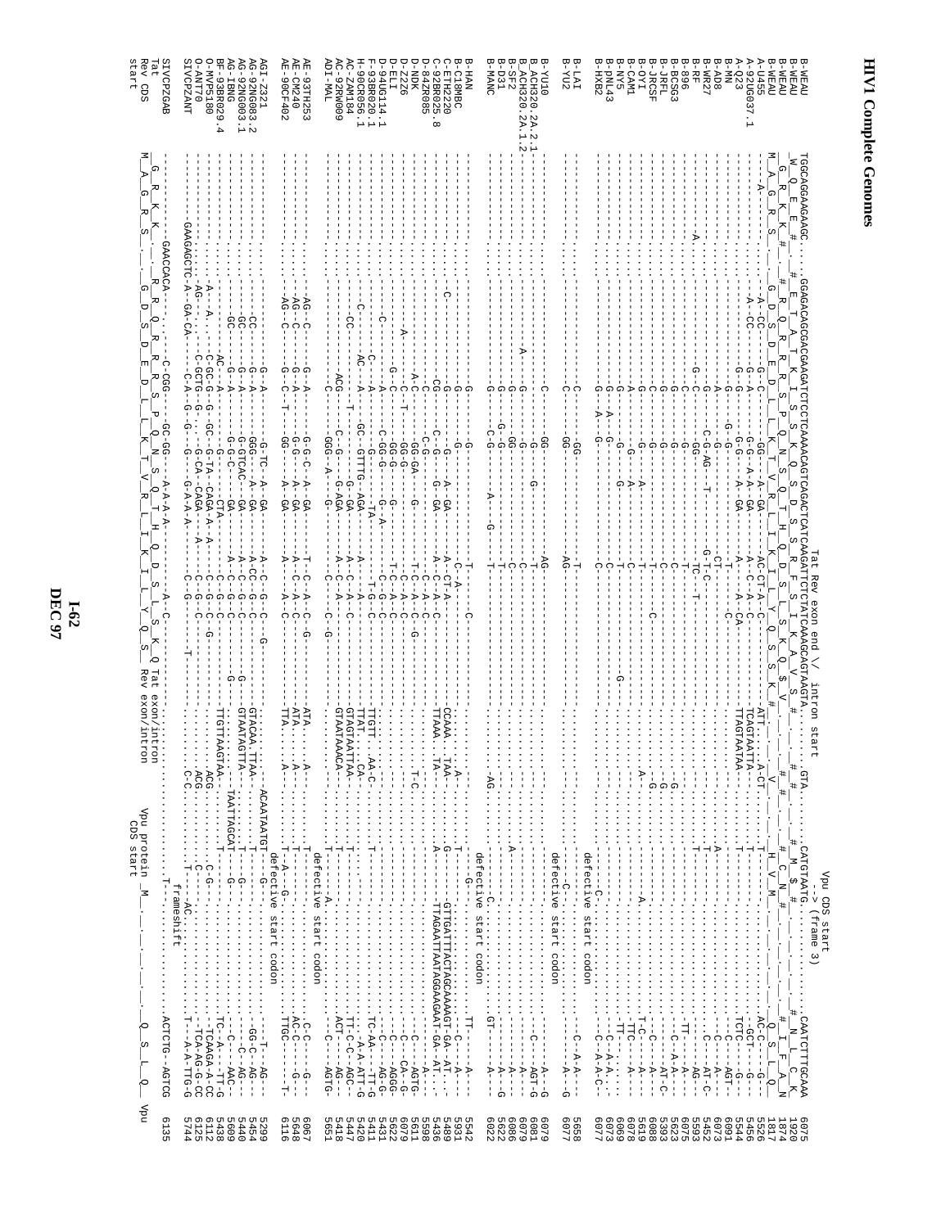#### **L-62**<br>DEC 97

|                                                                                                                                                                                                                                                                                                                                 | $\cdot$ . c-c. .                                                                                                                                                                                |                                                                                                                                     |                                                                                                                                                    |                                                                          |                                                                            |
|---------------------------------------------------------------------------------------------------------------------------------------------------------------------------------------------------------------------------------------------------------------------------------------------------------------------------------|-------------------------------------------------------------------------------------------------------------------------------------------------------------------------------------------------|-------------------------------------------------------------------------------------------------------------------------------------|----------------------------------------------------------------------------------------------------------------------------------------------------|--------------------------------------------------------------------------|----------------------------------------------------------------------------|
| \$P\$P++ 1<br>acg----<br>$\begin{array}{c} \cdot \cdot \cdot \cdot \\ \cdot \cdot \cdot \\ \cdot \end{array}$<br>$T--G---$<br>$\overline{\phantom{a}}$                                                                                                                                                                          | Ģ<br>Φ<br><b>LTA----</b>                                                                                                                                                                        | ⋗<br>⊅<br>∩<br>G.<br>⋒<br>ଜ<br>ଜ<br>G.                                                                                              | ဂု<br>$-50-1$<br>G-GICAC-<br>-0-0-0-<br>-999<br>$G-TA-$<br>ω<br>G-CA-<br>ω<br>$G - A - A -$<br>-CAGA-<br>CAGA-A-<br>$-6A-$<br>-GA<br>$-64-$<br>CTA | C-GCTG<br>C-GC-G<br>AC-<br>ဂှ<br>Ö<br>ဂ္<br>C-A<br>ъ<br>⊅<br>⋗<br>ω<br>ω | <b>GAAGA</b><br>$C - A -$<br>$-\nabla -$<br>$-56-$<br>Ò.<br>ĠĊ.<br>G.<br>Ω |
| . . H--A---Q-.<br>$\frac{1}{2}$<br>۲L<br>-<br>defective start codon                                                                                                                                                                                                                                                             | ATA<br>TTA.<br>ATA<br>$\ldots$ ----.<br>$A---$<br>$\mathbb{A}^{--}$                                                                                                                             | ဂု<br>C<br>∩<br>∩<br>∩<br>$\dot{\Omega}$<br>Ω                                                                                       | န-<br>G-G<br>-0-0-0-<br>-G-TC--A--GA<br>$-A--GA$<br>÷,<br>٢<br>-GA<br><b>GA</b>                                                                    | ဂု<br>Φ<br>ω<br>ဂှ<br>ъ<br>∩<br>⊅<br>⋗                                   | $AG-$<br>AG.<br>AG-<br>Ω<br>Ω<br>Ω                                         |
| $\vdots$<br>년<br>H<br> <br>H----------------------------<br>부<br>defective start codon                                                                                                                                                                                                                                          | GTAATA<br>GTAGTAZ<br><b>LTATI</b><br>$2C-A$ -----<br><b>TAA------</b><br>$AA-C-$<br>$CA-$                                                                                                       | ∩<br>∩<br>J<br>⋒<br>O<br>( )<br>ω                                                                                                   | $-6C--TTT-0--A\\6A--$<br>c--g--<br>GGG.<br>⊅<br>$-6-AGA-$<br>ဂှ<br>ငှ<br>$-GA$<br>FA.                                                              | $AC-$<br>$ACG--$<br>⊅<br>∩<br>÷                                          | Ģ                                                                          |
| $\vdots$                                                                                                                                                                                                                                                                                                                        | <b>LLSLI</b><br>$\cdots$ $\cdots$ $\cdots$<br>$\frac{1}{2}$<br>$\begin{array}{c} 1 \\ 1 \\ 2 \end{array}$                                                                                       | けい<br>부<br>G<br>C--<br>부<br>$\frac{1}{1}$<br>ъ<br>⊅<br>⊅<br>ኴ<br>Ω<br>∩<br>∩<br>∩<br>С<br>O<br>Ģ                                    | C-GG-G-<br>c-ġ<br>-99-9-<br>-45-95-<br>-89-6-<br>Ω<br>ှု<br>$\frac{1}{1}$<br>စှ                                                                    | ဂှ<br>$A-C$<br>∩<br>С<br>∩                                               |                                                                            |
| $\vdots$                                                                                                                                                                                                                                                                                                                        | CCAAA<br>AAATT<br>$TA---$<br>$TAA--$<br>$\mathbf{A}--$                                                                                                                                          | Ġ<br>∩<br>CT-<br>⊅                                                                                                                  | ဂှ<br>Ω<br>ω<br>Ω<br>-G--GA<br>$A--GA$                                                                                                             | CG<br>ଋ<br>Ω<br>G.                                                       |                                                                            |
|                                                                                                                                                                                                                                                                                                                                 | $\frac{1}{2}$ , $\frac{1}{2}$ , $\frac{1}{2}$ , $\frac{1}{2}$ , $\frac{1}{2}$ , $\frac{1}{2}$ , $\frac{1}{2}$ , $\frac{1}{2}$ , $\frac{1}{2}$ , $\frac{1}{2}$<br>$\frac{1}{2}$<br>$-AG.$ .<br>I | <b>RG</b><br>н<br>н<br>∩<br>∩                                                                                                       | $\frac{0}{1}$<br>Ω<br>Ω<br>8<br>8<br>Ġ<br>Φ<br>Φ<br>Ģ                                                                                              | ⋒<br>⋒                                                                   |                                                                            |
|                                                                                                                                                                                                                                                                                                                                 |                                                                                                                                                                                                 | RG<br>н<br>∩<br>∩                                                                                                                   | ÷<br>⊢<br>$\mathbb{F}$<br>ဂု<br>န<br>ႁ<br>င္ပ်                                                                                                     | ∩<br>n<br>Ω<br>ଢ଼                                                        |                                                                            |
|                                                                                                                                                                                                                                                                                                                                 | Ģ<br>$\begin{array}{c} \n\cdot & \cdot \\ \cdot & \cdot \\ \cdot & \cdot\n\end{array}$<br>$A - -$ .<br>$\frac{1}{1}$<br>$\cdots$ <sup>--0</sup>                                                 | O                                                                                                                                   | Ω<br>ω<br>Ω<br>Ω<br>ω<br>ဂု<br>$\overline{r}$<br>₻                                                                                                 | ଢ଼<br>⊅<br>G.<br>∩<br>⋒                                                  |                                                                            |
| $\frac{1}{2}$ $\frac{1}{2}$ $\frac{1}{2}$ $\frac{1}{2}$ $\frac{1}{2}$ $\frac{1}{2}$ $\frac{1}{2}$ $\frac{1}{2}$ $\frac{1}{2}$ $\frac{1}{2}$ $\frac{1}{2}$ $\frac{1}{2}$ $\frac{1}{2}$ $\frac{1}{2}$ $\frac{1}{2}$ $\frac{1}{2}$ $\frac{1}{2}$ $\frac{1}{2}$ $\frac{1}{2}$ $\frac{1}{2}$ $\frac{1}{2}$ $\frac{1}{2}$<br>$\vdots$ | $A_{A}$ - - - $A$<br>$\begin{array}{c} 1 \\ 1 \\ 1 \end{array}$<br>$\frac{1}{2}$                                                                                                                | ဂု<br>ה<br>ב<br>ā<br>CA                                                                                                             | C-G-AG-<br>$\frac{1}{\Omega}$<br>$6 - 6$<br>ត់<br>ငှ<br>Ω<br>ġ<br>AD.                                                                              | ဂု<br>ω<br>Ω<br>∩<br>∩<br>Ω<br>⊅<br>⋒<br>⋒                               |                                                                            |
|                                                                                                                                                                                                                                                                                                                                 | intron<br>ATT.<br>TCAGTAA<br>star<br><b>LIA-------</b><br>$A - CT \ldots$ .<br>#<br>.GTA.<br>Ŧ,<br>$\prec$<br>$\pm$<br>$\pm$                                                                    | 3GAGACAGGAGAAGATGTCTCTAAAACAGTCAGACTCATAAAGATTCTATATGAAGATGAAAGAGATAAGTA<br>CΩ<br>С<br>Tat<br>Rev<br>먹<br>CT-<br>Ω<br>ု<br>C<br>end | д<br>C<br>O<br>ဂု<br>ဂု<br>G.<br>O<br>$A-$<br>īω.<br>CΟ<br>Ò<br>ľη                                                                                 | Ģ<br>ଢ଼<br>⊅<br>n<br>CΩ<br>m                                             | POCAGAAGAAGAAGC<br>O<br>ø<br>ø<br>Ŝ<br>Ω<br>С                              |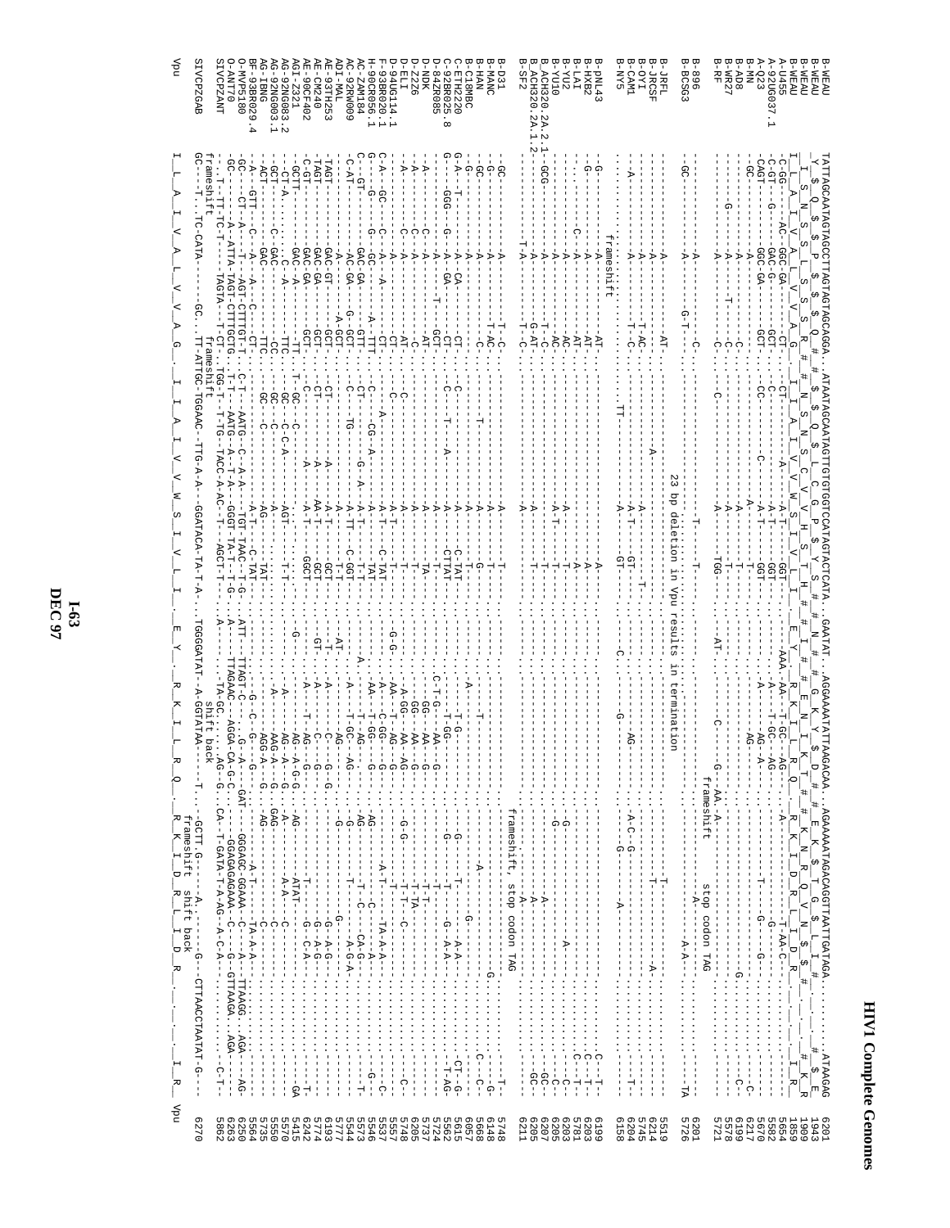| $-92NC003.1$<br>$-92NG083.2$<br>--GT-<br>リーマロー<br>- 15-<br>-<br>LAGT-<br>cameshi<br>LAGT-<br>Ģ<br>-TTS<br>Φ<br>පි<br>ccg<br>-- 128<br>$CT-RA$ .<br>G<br>$\frac{1}{\Omega}$<br>-111<br>GGG<br>റ<br>Ω<br>∩<br>Ω<br>ramesh<br>GGC<br>3AC-GA<br><b>TD-DAD</b><br>n<br>D∀<br>Ġ<br>Þ<br>Þ<br>AC-GA-<br>ה<br>י<br>$\frac{1}{1}$<br>LGA<br>ł<br>စှ<br>ġ<br>റ<br>AGT-CTTTGCTG<br>FILL-P<br>G-AT<br>1--C<br>$L - AC$<br>7-<br>-- C<br>$-1$<br>$T - AC$<br>GCT<br>GCT-<br>GCT<br>GCT<br>GCT<br>GCT<br>GTT<br>-cr<br>GCT-<br>Ż<br>LÄ.<br>Ř<br>AT.<br>AT.<br>RT<br>$\frac{1}{\Omega}$<br>ှ<br>Ĥ<br>ု<br>မို<br>မို<br>ëc-<br>م،<br><b>AATG-</b><br>r-TG.<br>င္ပင္<br>ု<br>റ<br>ု<br>FACC-<br>đq<br>A – T –<br>$-1 - 1$<br>A-T<br>$A-T$<br>0001-17-1-10<br>AGT-<br>アーコー<br>$A-T$<br>A-i<br>۳<br>-1-<br>$1 - 151$<br>ō<br>AAC-<br>g<br>ここばエー<br>- 95T<br>ု<br>CTRAT<br>GGCT<br>Ġcr<br>Ġ<br>G<br>TAT-<br>분<br>TAT<br>TA-<br>581<br>1<br>G-G-<br>- 21 –<br><b>AGAAC-</b><br>$AA$ - - -<br>T--AG-<br>nation<br>-96-<br>-99-1<br>-<br>95<br>AGA-<br>₽<br>$-\frac{1}{2}$<br>$\frac{1}{1}$<br>π<br>$AG = -G$ .<br>$A-G-C$ --<br>$-A---$<br>- A---G-A-----<br>-A---GGAG----<br>-A---GGAG----<br>$-1$<br>$\cdots \oplus - \oplus \cdots$<br>$AG--$<br>$-\frac{1}{2}$<br>$-56-$<br>$\frac{1}{1}$<br>$A$ – – –<br>$-56-$<br>$- - -5V$<br>$-\frac{1}{2}$<br>$A-G-G$ -AG---<br>$\frac{1}{1}$<br>Þξ<br>$\frac{1}{1}$<br>$\frac{1}{1}$<br>$\frac{1}{1}$<br>$\frac{1}{1}$<br>$\begin{bmatrix} 1 & 1 & 1 \\ 1 & 1 & 1 \\ 1 & 1 & 1 \\ 1 & 1 & 1 \end{bmatrix}$<br>$\overline{1}$<br>$\begin{array}{c} \frac{1}{2} \\ \frac{1}{2} \end{array}$<br>$\mathbf{I}$<br>frameshift<br>$\mathbf I$<br>$\mathsf I$<br>Ö<br>$\frac{1}{2}$<br>$\frac{1}{2}$<br>$-AA$ . $-A$ ----<br>$\frac{1}{2}$<br>Ť<br>$\frac{1}{2}$<br>J<br>$\vdots$<br>$\ldots -AG^{--}$<br>$\vdots$<br>$\vdots$<br>$\vdots$<br>$\vdots$<br>$-150$<br>$\vdots$<br>$\vdots$<br>$\vdots$<br>$\bullet$<br>$\cdot$<br>$\mathbf{I}$<br>$CA-$<br>$-5G -$<br>$-2-C$ -<br>$\mathbf I$<br>$\begin{array}{c} \hline \end{array}$<br>$\mathsf I$<br>Ţ<br>$\frac{1}{1}$<br>Ţ<br>$\begin{array}{c} \end{array}$<br>$\,$ I<br>$\mathbf{I}$<br>$\overline{1}$<br>J.<br>$\frac{1}{1}$<br>frameshift<br>$-6 -$<br>$\mathbf{I}$<br>$\overline{A}$<br>$\frac{1}{1}$<br>$\frac{1}{4}$<br>$\blacksquare$<br>$\overline{\phantom{a}}$<br>ㅈ<br>1<br>$\blacksquare$<br>H.<br>Ť<br>$\frac{1}{1}$<br>$\frac{1}{1}$<br>$\mathbf{I}$<br>п<br>$\mathbf{I}$<br>ှ်<br>၂<br>$\mathbb{I}$<br><u>ဂ်</u><br>ဂု<br>$\mathbf{I}$<br>$\overline{1}$<br>$\frac{1}{2}$<br>- -GGAGC-GGAAA--C<br>---GGAGAGAGAAA--C<br>$\frac{1}{1}$<br>$\frac{1}{1}$<br>$\mathbf{T}-\mathbf{G}\mathbf{A}\mathbf{T}\mathbf{A}-\mathbf{T}-\mathbf{A}-\mathbf{A}\mathbf{G}--\mathbf{A}-\mathbf{C}-$<br>ဂု<br>$\frac{1}{1}$<br>J.<br>$\blacksquare$<br>J.<br>J.<br>ł<br>т<br>$\begin{array}{c} \end{array}$<br>Ω<br>Ω<br>$-1 - 2 - 1 - 1 - 1 - 1$<br>J.<br>J<br>J.<br>$\overline{\phantom{a}}$<br>I<br>$\mathbf I$<br>J.<br>J.<br>I<br>$\mathbf{I}$<br>Ť<br>Ť.<br>$\blacksquare$<br>I,<br>$\mathbf{I}$<br>л<br>1<br>1<br>л<br>1<br>ı<br>$A-T------$<br>I.<br>$-4$<br>-----------------<br>$\mathbb{I}$<br>J.<br>I.<br>$\mathbf{I}$<br>I.<br>J<br>$\mathbf{I}$<br>-1<br>J.<br>1<br>ţ<br>$\begin{array}{c} \end{array}$<br>$\,$ I<br>$\frac{1}{1}$<br>$-1$ $-1$ $-1$ $-1$ $-1$<br>$-1 - 1 -$<br>$\mathbf I$<br>,<br>Ţ<br>$\begin{array}{c} \hline \end{array}$<br>Ţ<br>U<br>$-1 - 1 - 1 - 1 - 1 - 1 = 0$<br>$-1 - 1 - 1 - 1$<br>$\mathbf{A} - \mathbf{A} - - - - \mathbf{C} - -$<br>ローーーー<br>۲Ì<br>F<br>$-1$<br>$\frac{1}{1}$<br>ł<br>$\frac{1}{4}$<br>$ATAT-$<br>ł<br>ł<br>$\frac{1}{1}$<br>ł<br>í<br>부<br>л<br>stop codon TAG<br>do <sub>1</sub> s<br>$\mathbf{I}$<br>J.<br>J<br>I<br>$\overline{\phantom{a}}$<br>J<br>$\mathsf I$<br>$-4-$<br>$\frac{1}{2}$<br>$\overline{\phantom{a}}$<br>₩<br>$\frac{1}{1}$<br>$-\Delta$ -<br>$\overline{1}$<br>$A - -$<br>$A -$<br>J.<br>J.<br>J.<br>$\mathbf{I}$<br>J.<br>л<br>$\mathbf{I}$<br>п<br>$\sum_{i=1}^{n}$<br>J.<br>I.<br>$\frac{1}{1}$<br>J.<br>$\mathbf{I}$<br>J,<br>п<br>$\mathbf{I}$<br>1<br>$\mathbf{I}$<br>$\mathbf{I}$<br>л<br>H<br>$\overline{1}$<br>$\mathbf{I}$<br>$\mathbb I$<br>$\mathsf I$<br>$\mathbb{I}$<br>$\overline{1}$<br>$\overline{\phantom{a}}$<br>$\mathbb I$<br>$\overline{1}$<br>$\mathbf I$<br>т<br>ь<br>codon TAG<br>$-\Gamma A - A - A -$<br>$\frac{1}{1}$<br>$\frac{1}{2}$<br>$\frac{1}{1}$<br>$\frac{1}{2}$<br>$- \textbf{C} - -\textbf{A} - \textbf{C} - -$<br>ဂု<br>$-\Gamma A - A - A -$<br>ł,<br>$\begin{array}{c} \rule{0pt}{2.5ex} \rule{0pt}{2.5ex} \rule{0pt}{2.5ex} \rule{0pt}{2.5ex} \rule{0pt}{2.5ex} \rule{0pt}{2.5ex} \rule{0pt}{2.5ex} \rule{0pt}{2.5ex} \rule{0pt}{2.5ex} \rule{0pt}{2.5ex} \rule{0pt}{2.5ex} \rule{0pt}{2.5ex} \rule{0pt}{2.5ex} \rule{0pt}{2.5ex} \rule{0pt}{2.5ex} \rule{0pt}{2.5ex} \rule{0pt}{2.5ex} \rule{0pt}{2.5ex} \rule{0pt}{2.5ex} \rule{0$<br>$\frac{1}{1}$<br>ဂု<br>ဂု<br>$\frac{1}{1}$<br>$\frac{1}{1}$<br>J.<br>$\mathbf{I}$<br>$\frac{1}{1}$<br>1<br>1<br>л<br>ı<br>ı<br>п<br>1<br>п<br>۲,<br>$\mathbb{I}$<br>$\mathbf{I}$<br>$\mathsf I$<br>I<br>$\mathsf I$<br>$\mathbb{I}$<br>J.<br>$\mathbf I$<br>$\mathbf I$<br>$-{\bf A}-{\bf B}-{\bf A}-$<br>1<br>-1<br>$\mathbf I$<br>I<br>$\mathbf{I}$<br>I<br>$\frac{1}{1}$<br>$AA-C-$<br>J<br>t<br>I<br>t<br>$\frac{1}{1}$<br>$-A-G--$<br>$A - A - -$<br>$A -$<br>$A - A - -$<br>$\frac{1}{1}$<br>I<br>I<br>$\mathbf{I}$<br>J.<br>$C - A - -$<br>$\mathbf{I}$<br>t<br>I<br>$\overline{\phantom{a}}$<br>J.<br>A-<br>J.<br>J.<br>J.<br>J<br>J<br>J<br>I<br>J.<br>$\blacksquare$<br>$\mathbf{I}$<br>J.<br>$\blacksquare$<br>Þ<br>J.<br>J.<br>$\frac{1}{1}$<br>п<br>J<br>л<br>$\overline{1}$<br>т<br>1<br>J<br>л<br>ı<br>1<br>$\blacksquare$<br>т<br>1<br>л.<br>$\overline{Y}$<br>နှ<br>$-4$<br>ဂှ<br>$\overline{1}$<br>$\frac{1}{1}$<br>နဲ<br>$\overline{A}$<br>$\frac{1}{1}$<br>$\frac{1}{2}$<br>$\frac{1}{1}$<br>$\mathbf{I}$<br>J<br>$-4-$<br>$\frac{1}{1}$<br>ı<br>$\frac{1}{1}$<br>J.<br>п<br>J.<br>$\mathbf{I}$<br>$\overline{\phantom{a}}$<br>J.<br>J.<br>J.<br>J.<br>ヵ<br>$\mathbf{I}$<br>$\mathbf{I}$<br>$\blacksquare$<br>$\mathbf{I}$<br>$\mathbf{I}$<br>-1<br>л<br>1<br>$\overline{1}$<br>п<br>л<br>л<br>1<br>л<br>$\mathbf{I}$<br>1<br>л<br>-1<br>$\blacksquare$<br>$\mathsf I$<br>GTTAAGAAGA--<br>$\overline{1}$<br>$\mathbf{I}$<br>$\mathbf I$<br>$\,$ I<br>$\mathbf{I}$<br>ं<br>:<br>:<br>$\overline{1}$<br>I<br>$\mathbf I$<br>ିତ୍ର<br>:<br>$\mathbb I$<br>$\,$ I<br>-TTAAGGAGA-<br>$\mathbb I$<br>$\mathsf I$<br>$\overline{\phantom{a}}$<br>f,<br>$\overline{\phantom{a}}$<br>J,<br>J.<br>J,<br>$\mathbf{I}$<br>$\mathbf{I}$<br>J<br>$\mathbf{I}$<br>$\mathbf{I}$<br>1<br>п<br>J.<br>ı<br>$\vdots$<br>.<br>.<br>$\ddots$<br>$\vdots$<br>$\vdots$<br>$\vdots$<br>$\vdots$<br>$\vdots$<br>$\vdots$<br>$\vdots$<br>$\vdots$<br>$\vdots$<br>$\vdots$<br>.<br>$\frac{1}{2}$<br>$\vdots$<br>$\vdots$<br>$\vdots$<br>$\vdots$<br>$\vdots$<br>$\vdots$<br>$\vdots$<br>$\vdots$<br>$\vdots$<br>$\vdots$<br>$\vdots$<br>$\ddot{\phantom{0}}$<br>$\vdots$<br>$\vdots$<br>$\vdots$<br>$\begin{array}{c} \bullet & \bullet & \bullet \\ \bullet & \bullet & \bullet \\ \bullet & \bullet & \bullet \end{array}$<br>$\vdots$<br>$\vdots$<br>$\vdots$<br>$\vdots$<br>$\frac{1}{2}$<br>$\frac{1}{4}$<br>$\cdot \cdot$ c – .<br>Ï<br>Ï<br>$\overline{1}$<br>$\begin{array}{c} \hline \end{array}$<br>$\overline{1}$<br>$\overline{1}$<br>I<br>$\overline{\phantom{a}}$<br>J.<br>ı<br>$\overline{1}$<br>$\overline{\phantom{a}}$<br>Ţ<br>$\mathbf I$<br>J,<br>J.<br>$\frac{1}{\Delta}$<br>J<br>ı<br>ı<br>J,<br>J,<br>J<br>$\frac{1}{1}$<br>$\frac{1}{\Omega}$<br>I<br>J<br>J<br>$\frac{1}{1}$<br>I<br>$\overline{1}$<br>ł<br>$\frac{1}{1}$<br>$\frac{1}{1}$<br>ł<br>$\overline{1}$<br>ł<br>ł<br>$\blacksquare$<br>I<br>I<br>$\frac{1}{1}$<br>$\frac{1}{\Omega}$<br>ł<br>↷<br>ಸ<br>J.<br>-1<br>J.<br>J.<br>J.<br>$\overline{\phantom{a}}$<br>I<br>$\mathbb{I}$ | $-1 - 1 - 1 - 1$<br>$C = -C =$<br>CT--G<br>$\frac{1}{2}$<br>$-90-$<br>$C-T$<br>i<br>H<br>휴<br>闩<br>G<br>н<br>G | н<br>$\pm$<br>±<br>k<br>z<br>Þξ<br>0,<br>₹<br>z<br>'n<br>ŀω<br>$\pm$ |                  | $\blacksquare$           | <b>LGGGGATAT</b><br>н<br>$\blacksquare$<br>frameshift<br>GCTT.G-<br>shift<br>A.<br>back<br>$\blacksquare$<br>ဂု<br>$\blacksquare$<br>$\mathsf I$<br>CTTAACCTAATAT-G--<br>$\mathsf I$ | GATACA | BGAAC |  |  |
|-------------------------------------------------------------------------------------------------------------------------------------------------------------------------------------------------------------------------------------------------------------------------------------------------------------------------------------------------------------------------------------------------------------------------------------------------------------------------------------------------------------------------------------------------------------------------------------------------------------------------------------------------------------------------------------------------------------------------------------------------------------------------------------------------------------------------------------------------------------------------------------------------------------------------------------------------------------------------------------------------------------------------------------------------------------------------------------------------------------------------------------------------------------------------------------------------------------------------------------------------------------------------------------------------------------------------------------------------------------------------------------------------------------------------------------------------------------------------------------------------------------------------------------------------------------------------------------------------------------------------------------------------------------------------------------------------------------------------------------------------------------------------------------------------------------------------------------------------------------------------------------------------------------------------------------------------------------------------------------------------------------------------------------------------------------------------------------------------------------------------------------------------------------------------------------------------------------------------------------------------------------------------------------------------------------------------------------------------------------------------------------------------------------------------------------------------------------------------------------------------------------------------------------------------------------------------------------------------------------------------------------------------------------------------------------------------------------------------------------------------------------------------------------------------------------------------------------------------------------------------------------------------------------------------------------------------------------------------------------------------------------------------------------------------------------------------------------------------------------------------------------------------------------------------------------------------------------------------------------------------------------------------------------------------------------------------------------------------------------------------------------------------------------------------------------------------------------------------------------------------------------------------------------------------------------------------------------------------------------------------------------------------------------------------------------------------------------------------------------------------------------------------------------------------------------------------------------------------------------------------------------------------------------------------------------------------------------------------------------------------------------------------------------------------------------------------------------------------------------------------------------------------------------------------------------------------------------------------------------------------------------------------------------------------------------------------------------------------------------------------------------------------------------------------------------------------------------------------------------------------------------------------------------------------------------------------------------------------------------------------------------------------------------------------------------------------------------------------------------------------------------------------------------------------------------------------------------------------------------------------------------------------------------------------------------------------------------------------------------------------------------------------------------------------------------------------------------------------------------------------------------------------------------------------------------------------------------------------------------------------------------------------------------------------------------------------------------------------------------------------------------------------------------------------------------------------------------------------------------------------------------------------------------------------------------------------------------------------------------------------------------------------------------------------------------------------------------------------------------------------------------------------------------------------------------------------------------------------------------------------------------------------------------------------------------------------------------------------------------------------------------------------------------------------------------------------------------------------------------------------------------------------------------------------------------------------------------------------------------------------------------------------------------------------------------------------------------------------------------------------------------------------------------------------------------------------------------------------------------------------------------------------------------------------------------------------------------------------------------------------------------------------------------------------------------------------------------------------------------------------------------------------------------------------------------------------------------------------------------------------------------------------------------------------------------------------------------------------------------------------------------------------------------------------------------------------------------------------------------------------------------------------------------------------------------------------------------------------------------------------------------------------------------------------------------------------------------------------------------------------------------------------------------------------------------------------------------------------------------------------------------------------------------------------------------------------------------------------------------------------------------------------------------------------------------------------------------------------------------------------------------------------------------------------------------------------------------------------------------------------------------------------------------------------------------------------------------------------------------------------|----------------------------------------------------------------------------------------------------------------|----------------------------------------------------------------------|------------------|--------------------------|--------------------------------------------------------------------------------------------------------------------------------------------------------------------------------------|--------|-------|--|--|
|                                                                                                                                                                                                                                                                                                                                                                                                                                                                                                                                                                                                                                                                                                                                                                                                                                                                                                                                                                                                                                                                                                                                                                                                                                                                                                                                                                                                                                                                                                                                                                                                                                                                                                                                                                                                                                                                                                                                                                                                                                                                                                                                                                                                                                                                                                                                                                                                                                                                                                                                                                                                                                                                                                                                                                                                                                                                                                                                                                                                                                                                                                                                                                                                                                                                                                                                                                                                                                                                                                                                                                                                                                                                                                                                                                                                                                                                                                                                                                                                                                                                                                                                                                                                                                                                                                                                                                                                                                                                                                                                                                                                                                                                                                                                                                                                                                                                                                                                                                                                                                                                                                                                                                                                                                                                                                                                                                                                                                                                                                                                                                                                                                                                                                                                                                                                                                                                                                                                                                                                                                                                                                                                                                                                                                                                                                                                                                                                                                                                                                                                                                                                                                                                                                                                                                                                                                                                                                                                                                                                                                                                                                                                                                                                                                                                                                                                                                                                                                                                                                                                                                                                                                                                                                                                                                                                                                                                                                                                                                                                 | $-1 - 2G$<br>$-35 -$                                                                                           |                                                                      |                  |                          |                                                                                                                                                                                      |        |       |  |  |
|                                                                                                                                                                                                                                                                                                                                                                                                                                                                                                                                                                                                                                                                                                                                                                                                                                                                                                                                                                                                                                                                                                                                                                                                                                                                                                                                                                                                                                                                                                                                                                                                                                                                                                                                                                                                                                                                                                                                                                                                                                                                                                                                                                                                                                                                                                                                                                                                                                                                                                                                                                                                                                                                                                                                                                                                                                                                                                                                                                                                                                                                                                                                                                                                                                                                                                                                                                                                                                                                                                                                                                                                                                                                                                                                                                                                                                                                                                                                                                                                                                                                                                                                                                                                                                                                                                                                                                                                                                                                                                                                                                                                                                                                                                                                                                                                                                                                                                                                                                                                                                                                                                                                                                                                                                                                                                                                                                                                                                                                                                                                                                                                                                                                                                                                                                                                                                                                                                                                                                                                                                                                                                                                                                                                                                                                                                                                                                                                                                                                                                                                                                                                                                                                                                                                                                                                                                                                                                                                                                                                                                                                                                                                                                                                                                                                                                                                                                                                                                                                                                                                                                                                                                                                                                                                                                                                                                                                                                                                                                                                 | i<br>H<br>$-9G-$                                                                                               |                                                                      |                  | $\mathbf{I}$             |                                                                                                                                                                                      |        |       |  |  |
|                                                                                                                                                                                                                                                                                                                                                                                                                                                                                                                                                                                                                                                                                                                                                                                                                                                                                                                                                                                                                                                                                                                                                                                                                                                                                                                                                                                                                                                                                                                                                                                                                                                                                                                                                                                                                                                                                                                                                                                                                                                                                                                                                                                                                                                                                                                                                                                                                                                                                                                                                                                                                                                                                                                                                                                                                                                                                                                                                                                                                                                                                                                                                                                                                                                                                                                                                                                                                                                                                                                                                                                                                                                                                                                                                                                                                                                                                                                                                                                                                                                                                                                                                                                                                                                                                                                                                                                                                                                                                                                                                                                                                                                                                                                                                                                                                                                                                                                                                                                                                                                                                                                                                                                                                                                                                                                                                                                                                                                                                                                                                                                                                                                                                                                                                                                                                                                                                                                                                                                                                                                                                                                                                                                                                                                                                                                                                                                                                                                                                                                                                                                                                                                                                                                                                                                                                                                                                                                                                                                                                                                                                                                                                                                                                                                                                                                                                                                                                                                                                                                                                                                                                                                                                                                                                                                                                                                                                                                                                                                                 | $-1 - 1$<br><b>AD--</b><br>ΑT                                                                                  | ੱਸ                                                                   |                  |                          |                                                                                                                                                                                      |        |       |  |  |
|                                                                                                                                                                                                                                                                                                                                                                                                                                                                                                                                                                                                                                                                                                                                                                                                                                                                                                                                                                                                                                                                                                                                                                                                                                                                                                                                                                                                                                                                                                                                                                                                                                                                                                                                                                                                                                                                                                                                                                                                                                                                                                                                                                                                                                                                                                                                                                                                                                                                                                                                                                                                                                                                                                                                                                                                                                                                                                                                                                                                                                                                                                                                                                                                                                                                                                                                                                                                                                                                                                                                                                                                                                                                                                                                                                                                                                                                                                                                                                                                                                                                                                                                                                                                                                                                                                                                                                                                                                                                                                                                                                                                                                                                                                                                                                                                                                                                                                                                                                                                                                                                                                                                                                                                                                                                                                                                                                                                                                                                                                                                                                                                                                                                                                                                                                                                                                                                                                                                                                                                                                                                                                                                                                                                                                                                                                                                                                                                                                                                                                                                                                                                                                                                                                                                                                                                                                                                                                                                                                                                                                                                                                                                                                                                                                                                                                                                                                                                                                                                                                                                                                                                                                                                                                                                                                                                                                                                                                                                                                                                 |                                                                                                                |                                                                      |                  |                          |                                                                                                                                                                                      |        |       |  |  |
|                                                                                                                                                                                                                                                                                                                                                                                                                                                                                                                                                                                                                                                                                                                                                                                                                                                                                                                                                                                                                                                                                                                                                                                                                                                                                                                                                                                                                                                                                                                                                                                                                                                                                                                                                                                                                                                                                                                                                                                                                                                                                                                                                                                                                                                                                                                                                                                                                                                                                                                                                                                                                                                                                                                                                                                                                                                                                                                                                                                                                                                                                                                                                                                                                                                                                                                                                                                                                                                                                                                                                                                                                                                                                                                                                                                                                                                                                                                                                                                                                                                                                                                                                                                                                                                                                                                                                                                                                                                                                                                                                                                                                                                                                                                                                                                                                                                                                                                                                                                                                                                                                                                                                                                                                                                                                                                                                                                                                                                                                                                                                                                                                                                                                                                                                                                                                                                                                                                                                                                                                                                                                                                                                                                                                                                                                                                                                                                                                                                                                                                                                                                                                                                                                                                                                                                                                                                                                                                                                                                                                                                                                                                                                                                                                                                                                                                                                                                                                                                                                                                                                                                                                                                                                                                                                                                                                                                                                                                                                                                                 |                                                                                                                |                                                                      |                  |                          |                                                                                                                                                                                      |        |       |  |  |
|                                                                                                                                                                                                                                                                                                                                                                                                                                                                                                                                                                                                                                                                                                                                                                                                                                                                                                                                                                                                                                                                                                                                                                                                                                                                                                                                                                                                                                                                                                                                                                                                                                                                                                                                                                                                                                                                                                                                                                                                                                                                                                                                                                                                                                                                                                                                                                                                                                                                                                                                                                                                                                                                                                                                                                                                                                                                                                                                                                                                                                                                                                                                                                                                                                                                                                                                                                                                                                                                                                                                                                                                                                                                                                                                                                                                                                                                                                                                                                                                                                                                                                                                                                                                                                                                                                                                                                                                                                                                                                                                                                                                                                                                                                                                                                                                                                                                                                                                                                                                                                                                                                                                                                                                                                                                                                                                                                                                                                                                                                                                                                                                                                                                                                                                                                                                                                                                                                                                                                                                                                                                                                                                                                                                                                                                                                                                                                                                                                                                                                                                                                                                                                                                                                                                                                                                                                                                                                                                                                                                                                                                                                                                                                                                                                                                                                                                                                                                                                                                                                                                                                                                                                                                                                                                                                                                                                                                                                                                                                                                 |                                                                                                                |                                                                      |                  |                          |                                                                                                                                                                                      |        |       |  |  |
|                                                                                                                                                                                                                                                                                                                                                                                                                                                                                                                                                                                                                                                                                                                                                                                                                                                                                                                                                                                                                                                                                                                                                                                                                                                                                                                                                                                                                                                                                                                                                                                                                                                                                                                                                                                                                                                                                                                                                                                                                                                                                                                                                                                                                                                                                                                                                                                                                                                                                                                                                                                                                                                                                                                                                                                                                                                                                                                                                                                                                                                                                                                                                                                                                                                                                                                                                                                                                                                                                                                                                                                                                                                                                                                                                                                                                                                                                                                                                                                                                                                                                                                                                                                                                                                                                                                                                                                                                                                                                                                                                                                                                                                                                                                                                                                                                                                                                                                                                                                                                                                                                                                                                                                                                                                                                                                                                                                                                                                                                                                                                                                                                                                                                                                                                                                                                                                                                                                                                                                                                                                                                                                                                                                                                                                                                                                                                                                                                                                                                                                                                                                                                                                                                                                                                                                                                                                                                                                                                                                                                                                                                                                                                                                                                                                                                                                                                                                                                                                                                                                                                                                                                                                                                                                                                                                                                                                                                                                                                                                                 |                                                                                                                |                                                                      |                  | л                        |                                                                                                                                                                                      |        |       |  |  |
|                                                                                                                                                                                                                                                                                                                                                                                                                                                                                                                                                                                                                                                                                                                                                                                                                                                                                                                                                                                                                                                                                                                                                                                                                                                                                                                                                                                                                                                                                                                                                                                                                                                                                                                                                                                                                                                                                                                                                                                                                                                                                                                                                                                                                                                                                                                                                                                                                                                                                                                                                                                                                                                                                                                                                                                                                                                                                                                                                                                                                                                                                                                                                                                                                                                                                                                                                                                                                                                                                                                                                                                                                                                                                                                                                                                                                                                                                                                                                                                                                                                                                                                                                                                                                                                                                                                                                                                                                                                                                                                                                                                                                                                                                                                                                                                                                                                                                                                                                                                                                                                                                                                                                                                                                                                                                                                                                                                                                                                                                                                                                                                                                                                                                                                                                                                                                                                                                                                                                                                                                                                                                                                                                                                                                                                                                                                                                                                                                                                                                                                                                                                                                                                                                                                                                                                                                                                                                                                                                                                                                                                                                                                                                                                                                                                                                                                                                                                                                                                                                                                                                                                                                                                                                                                                                                                                                                                                                                                                                                                                 |                                                                                                                |                                                                      |                  | $\overline{\phantom{a}}$ |                                                                                                                                                                                      |        |       |  |  |
|                                                                                                                                                                                                                                                                                                                                                                                                                                                                                                                                                                                                                                                                                                                                                                                                                                                                                                                                                                                                                                                                                                                                                                                                                                                                                                                                                                                                                                                                                                                                                                                                                                                                                                                                                                                                                                                                                                                                                                                                                                                                                                                                                                                                                                                                                                                                                                                                                                                                                                                                                                                                                                                                                                                                                                                                                                                                                                                                                                                                                                                                                                                                                                                                                                                                                                                                                                                                                                                                                                                                                                                                                                                                                                                                                                                                                                                                                                                                                                                                                                                                                                                                                                                                                                                                                                                                                                                                                                                                                                                                                                                                                                                                                                                                                                                                                                                                                                                                                                                                                                                                                                                                                                                                                                                                                                                                                                                                                                                                                                                                                                                                                                                                                                                                                                                                                                                                                                                                                                                                                                                                                                                                                                                                                                                                                                                                                                                                                                                                                                                                                                                                                                                                                                                                                                                                                                                                                                                                                                                                                                                                                                                                                                                                                                                                                                                                                                                                                                                                                                                                                                                                                                                                                                                                                                                                                                                                                                                                                                                                 |                                                                                                                |                                                                      |                  |                          |                                                                                                                                                                                      |        |       |  |  |
|                                                                                                                                                                                                                                                                                                                                                                                                                                                                                                                                                                                                                                                                                                                                                                                                                                                                                                                                                                                                                                                                                                                                                                                                                                                                                                                                                                                                                                                                                                                                                                                                                                                                                                                                                                                                                                                                                                                                                                                                                                                                                                                                                                                                                                                                                                                                                                                                                                                                                                                                                                                                                                                                                                                                                                                                                                                                                                                                                                                                                                                                                                                                                                                                                                                                                                                                                                                                                                                                                                                                                                                                                                                                                                                                                                                                                                                                                                                                                                                                                                                                                                                                                                                                                                                                                                                                                                                                                                                                                                                                                                                                                                                                                                                                                                                                                                                                                                                                                                                                                                                                                                                                                                                                                                                                                                                                                                                                                                                                                                                                                                                                                                                                                                                                                                                                                                                                                                                                                                                                                                                                                                                                                                                                                                                                                                                                                                                                                                                                                                                                                                                                                                                                                                                                                                                                                                                                                                                                                                                                                                                                                                                                                                                                                                                                                                                                                                                                                                                                                                                                                                                                                                                                                                                                                                                                                                                                                                                                                                                                 |                                                                                                                |                                                                      |                  |                          |                                                                                                                                                                                      |        |       |  |  |
|                                                                                                                                                                                                                                                                                                                                                                                                                                                                                                                                                                                                                                                                                                                                                                                                                                                                                                                                                                                                                                                                                                                                                                                                                                                                                                                                                                                                                                                                                                                                                                                                                                                                                                                                                                                                                                                                                                                                                                                                                                                                                                                                                                                                                                                                                                                                                                                                                                                                                                                                                                                                                                                                                                                                                                                                                                                                                                                                                                                                                                                                                                                                                                                                                                                                                                                                                                                                                                                                                                                                                                                                                                                                                                                                                                                                                                                                                                                                                                                                                                                                                                                                                                                                                                                                                                                                                                                                                                                                                                                                                                                                                                                                                                                                                                                                                                                                                                                                                                                                                                                                                                                                                                                                                                                                                                                                                                                                                                                                                                                                                                                                                                                                                                                                                                                                                                                                                                                                                                                                                                                                                                                                                                                                                                                                                                                                                                                                                                                                                                                                                                                                                                                                                                                                                                                                                                                                                                                                                                                                                                                                                                                                                                                                                                                                                                                                                                                                                                                                                                                                                                                                                                                                                                                                                                                                                                                                                                                                                                                                 |                                                                                                                |                                                                      |                  |                          |                                                                                                                                                                                      |        |       |  |  |
|                                                                                                                                                                                                                                                                                                                                                                                                                                                                                                                                                                                                                                                                                                                                                                                                                                                                                                                                                                                                                                                                                                                                                                                                                                                                                                                                                                                                                                                                                                                                                                                                                                                                                                                                                                                                                                                                                                                                                                                                                                                                                                                                                                                                                                                                                                                                                                                                                                                                                                                                                                                                                                                                                                                                                                                                                                                                                                                                                                                                                                                                                                                                                                                                                                                                                                                                                                                                                                                                                                                                                                                                                                                                                                                                                                                                                                                                                                                                                                                                                                                                                                                                                                                                                                                                                                                                                                                                                                                                                                                                                                                                                                                                                                                                                                                                                                                                                                                                                                                                                                                                                                                                                                                                                                                                                                                                                                                                                                                                                                                                                                                                                                                                                                                                                                                                                                                                                                                                                                                                                                                                                                                                                                                                                                                                                                                                                                                                                                                                                                                                                                                                                                                                                                                                                                                                                                                                                                                                                                                                                                                                                                                                                                                                                                                                                                                                                                                                                                                                                                                                                                                                                                                                                                                                                                                                                                                                                                                                                                                                 |                                                                                                                |                                                                      |                  |                          |                                                                                                                                                                                      |        |       |  |  |
|                                                                                                                                                                                                                                                                                                                                                                                                                                                                                                                                                                                                                                                                                                                                                                                                                                                                                                                                                                                                                                                                                                                                                                                                                                                                                                                                                                                                                                                                                                                                                                                                                                                                                                                                                                                                                                                                                                                                                                                                                                                                                                                                                                                                                                                                                                                                                                                                                                                                                                                                                                                                                                                                                                                                                                                                                                                                                                                                                                                                                                                                                                                                                                                                                                                                                                                                                                                                                                                                                                                                                                                                                                                                                                                                                                                                                                                                                                                                                                                                                                                                                                                                                                                                                                                                                                                                                                                                                                                                                                                                                                                                                                                                                                                                                                                                                                                                                                                                                                                                                                                                                                                                                                                                                                                                                                                                                                                                                                                                                                                                                                                                                                                                                                                                                                                                                                                                                                                                                                                                                                                                                                                                                                                                                                                                                                                                                                                                                                                                                                                                                                                                                                                                                                                                                                                                                                                                                                                                                                                                                                                                                                                                                                                                                                                                                                                                                                                                                                                                                                                                                                                                                                                                                                                                                                                                                                                                                                                                                                                                 |                                                                                                                |                                                                      |                  |                          |                                                                                                                                                                                      |        |       |  |  |
|                                                                                                                                                                                                                                                                                                                                                                                                                                                                                                                                                                                                                                                                                                                                                                                                                                                                                                                                                                                                                                                                                                                                                                                                                                                                                                                                                                                                                                                                                                                                                                                                                                                                                                                                                                                                                                                                                                                                                                                                                                                                                                                                                                                                                                                                                                                                                                                                                                                                                                                                                                                                                                                                                                                                                                                                                                                                                                                                                                                                                                                                                                                                                                                                                                                                                                                                                                                                                                                                                                                                                                                                                                                                                                                                                                                                                                                                                                                                                                                                                                                                                                                                                                                                                                                                                                                                                                                                                                                                                                                                                                                                                                                                                                                                                                                                                                                                                                                                                                                                                                                                                                                                                                                                                                                                                                                                                                                                                                                                                                                                                                                                                                                                                                                                                                                                                                                                                                                                                                                                                                                                                                                                                                                                                                                                                                                                                                                                                                                                                                                                                                                                                                                                                                                                                                                                                                                                                                                                                                                                                                                                                                                                                                                                                                                                                                                                                                                                                                                                                                                                                                                                                                                                                                                                                                                                                                                                                                                                                                                                 |                                                                                                                |                                                                      |                  |                          |                                                                                                                                                                                      |        |       |  |  |
|                                                                                                                                                                                                                                                                                                                                                                                                                                                                                                                                                                                                                                                                                                                                                                                                                                                                                                                                                                                                                                                                                                                                                                                                                                                                                                                                                                                                                                                                                                                                                                                                                                                                                                                                                                                                                                                                                                                                                                                                                                                                                                                                                                                                                                                                                                                                                                                                                                                                                                                                                                                                                                                                                                                                                                                                                                                                                                                                                                                                                                                                                                                                                                                                                                                                                                                                                                                                                                                                                                                                                                                                                                                                                                                                                                                                                                                                                                                                                                                                                                                                                                                                                                                                                                                                                                                                                                                                                                                                                                                                                                                                                                                                                                                                                                                                                                                                                                                                                                                                                                                                                                                                                                                                                                                                                                                                                                                                                                                                                                                                                                                                                                                                                                                                                                                                                                                                                                                                                                                                                                                                                                                                                                                                                                                                                                                                                                                                                                                                                                                                                                                                                                                                                                                                                                                                                                                                                                                                                                                                                                                                                                                                                                                                                                                                                                                                                                                                                                                                                                                                                                                                                                                                                                                                                                                                                                                                                                                                                                                                 |                                                                                                                |                                                                      |                  |                          |                                                                                                                                                                                      |        |       |  |  |
|                                                                                                                                                                                                                                                                                                                                                                                                                                                                                                                                                                                                                                                                                                                                                                                                                                                                                                                                                                                                                                                                                                                                                                                                                                                                                                                                                                                                                                                                                                                                                                                                                                                                                                                                                                                                                                                                                                                                                                                                                                                                                                                                                                                                                                                                                                                                                                                                                                                                                                                                                                                                                                                                                                                                                                                                                                                                                                                                                                                                                                                                                                                                                                                                                                                                                                                                                                                                                                                                                                                                                                                                                                                                                                                                                                                                                                                                                                                                                                                                                                                                                                                                                                                                                                                                                                                                                                                                                                                                                                                                                                                                                                                                                                                                                                                                                                                                                                                                                                                                                                                                                                                                                                                                                                                                                                                                                                                                                                                                                                                                                                                                                                                                                                                                                                                                                                                                                                                                                                                                                                                                                                                                                                                                                                                                                                                                                                                                                                                                                                                                                                                                                                                                                                                                                                                                                                                                                                                                                                                                                                                                                                                                                                                                                                                                                                                                                                                                                                                                                                                                                                                                                                                                                                                                                                                                                                                                                                                                                                                                 |                                                                                                                |                                                                      |                  |                          |                                                                                                                                                                                      |        |       |  |  |
|                                                                                                                                                                                                                                                                                                                                                                                                                                                                                                                                                                                                                                                                                                                                                                                                                                                                                                                                                                                                                                                                                                                                                                                                                                                                                                                                                                                                                                                                                                                                                                                                                                                                                                                                                                                                                                                                                                                                                                                                                                                                                                                                                                                                                                                                                                                                                                                                                                                                                                                                                                                                                                                                                                                                                                                                                                                                                                                                                                                                                                                                                                                                                                                                                                                                                                                                                                                                                                                                                                                                                                                                                                                                                                                                                                                                                                                                                                                                                                                                                                                                                                                                                                                                                                                                                                                                                                                                                                                                                                                                                                                                                                                                                                                                                                                                                                                                                                                                                                                                                                                                                                                                                                                                                                                                                                                                                                                                                                                                                                                                                                                                                                                                                                                                                                                                                                                                                                                                                                                                                                                                                                                                                                                                                                                                                                                                                                                                                                                                                                                                                                                                                                                                                                                                                                                                                                                                                                                                                                                                                                                                                                                                                                                                                                                                                                                                                                                                                                                                                                                                                                                                                                                                                                                                                                                                                                                                                                                                                                                                 |                                                                                                                |                                                                      |                  |                          |                                                                                                                                                                                      |        |       |  |  |
|                                                                                                                                                                                                                                                                                                                                                                                                                                                                                                                                                                                                                                                                                                                                                                                                                                                                                                                                                                                                                                                                                                                                                                                                                                                                                                                                                                                                                                                                                                                                                                                                                                                                                                                                                                                                                                                                                                                                                                                                                                                                                                                                                                                                                                                                                                                                                                                                                                                                                                                                                                                                                                                                                                                                                                                                                                                                                                                                                                                                                                                                                                                                                                                                                                                                                                                                                                                                                                                                                                                                                                                                                                                                                                                                                                                                                                                                                                                                                                                                                                                                                                                                                                                                                                                                                                                                                                                                                                                                                                                                                                                                                                                                                                                                                                                                                                                                                                                                                                                                                                                                                                                                                                                                                                                                                                                                                                                                                                                                                                                                                                                                                                                                                                                                                                                                                                                                                                                                                                                                                                                                                                                                                                                                                                                                                                                                                                                                                                                                                                                                                                                                                                                                                                                                                                                                                                                                                                                                                                                                                                                                                                                                                                                                                                                                                                                                                                                                                                                                                                                                                                                                                                                                                                                                                                                                                                                                                                                                                                                                 |                                                                                                                |                                                                      |                  |                          |                                                                                                                                                                                      |        |       |  |  |
|                                                                                                                                                                                                                                                                                                                                                                                                                                                                                                                                                                                                                                                                                                                                                                                                                                                                                                                                                                                                                                                                                                                                                                                                                                                                                                                                                                                                                                                                                                                                                                                                                                                                                                                                                                                                                                                                                                                                                                                                                                                                                                                                                                                                                                                                                                                                                                                                                                                                                                                                                                                                                                                                                                                                                                                                                                                                                                                                                                                                                                                                                                                                                                                                                                                                                                                                                                                                                                                                                                                                                                                                                                                                                                                                                                                                                                                                                                                                                                                                                                                                                                                                                                                                                                                                                                                                                                                                                                                                                                                                                                                                                                                                                                                                                                                                                                                                                                                                                                                                                                                                                                                                                                                                                                                                                                                                                                                                                                                                                                                                                                                                                                                                                                                                                                                                                                                                                                                                                                                                                                                                                                                                                                                                                                                                                                                                                                                                                                                                                                                                                                                                                                                                                                                                                                                                                                                                                                                                                                                                                                                                                                                                                                                                                                                                                                                                                                                                                                                                                                                                                                                                                                                                                                                                                                                                                                                                                                                                                                                                 |                                                                                                                |                                                                      |                  |                          |                                                                                                                                                                                      |        |       |  |  |
|                                                                                                                                                                                                                                                                                                                                                                                                                                                                                                                                                                                                                                                                                                                                                                                                                                                                                                                                                                                                                                                                                                                                                                                                                                                                                                                                                                                                                                                                                                                                                                                                                                                                                                                                                                                                                                                                                                                                                                                                                                                                                                                                                                                                                                                                                                                                                                                                                                                                                                                                                                                                                                                                                                                                                                                                                                                                                                                                                                                                                                                                                                                                                                                                                                                                                                                                                                                                                                                                                                                                                                                                                                                                                                                                                                                                                                                                                                                                                                                                                                                                                                                                                                                                                                                                                                                                                                                                                                                                                                                                                                                                                                                                                                                                                                                                                                                                                                                                                                                                                                                                                                                                                                                                                                                                                                                                                                                                                                                                                                                                                                                                                                                                                                                                                                                                                                                                                                                                                                                                                                                                                                                                                                                                                                                                                                                                                                                                                                                                                                                                                                                                                                                                                                                                                                                                                                                                                                                                                                                                                                                                                                                                                                                                                                                                                                                                                                                                                                                                                                                                                                                                                                                                                                                                                                                                                                                                                                                                                                                                 |                                                                                                                |                                                                      |                  |                          |                                                                                                                                                                                      |        |       |  |  |
|                                                                                                                                                                                                                                                                                                                                                                                                                                                                                                                                                                                                                                                                                                                                                                                                                                                                                                                                                                                                                                                                                                                                                                                                                                                                                                                                                                                                                                                                                                                                                                                                                                                                                                                                                                                                                                                                                                                                                                                                                                                                                                                                                                                                                                                                                                                                                                                                                                                                                                                                                                                                                                                                                                                                                                                                                                                                                                                                                                                                                                                                                                                                                                                                                                                                                                                                                                                                                                                                                                                                                                                                                                                                                                                                                                                                                                                                                                                                                                                                                                                                                                                                                                                                                                                                                                                                                                                                                                                                                                                                                                                                                                                                                                                                                                                                                                                                                                                                                                                                                                                                                                                                                                                                                                                                                                                                                                                                                                                                                                                                                                                                                                                                                                                                                                                                                                                                                                                                                                                                                                                                                                                                                                                                                                                                                                                                                                                                                                                                                                                                                                                                                                                                                                                                                                                                                                                                                                                                                                                                                                                                                                                                                                                                                                                                                                                                                                                                                                                                                                                                                                                                                                                                                                                                                                                                                                                                                                                                                                                                 |                                                                                                                |                                                                      |                  | J.                       |                                                                                                                                                                                      |        |       |  |  |
|                                                                                                                                                                                                                                                                                                                                                                                                                                                                                                                                                                                                                                                                                                                                                                                                                                                                                                                                                                                                                                                                                                                                                                                                                                                                                                                                                                                                                                                                                                                                                                                                                                                                                                                                                                                                                                                                                                                                                                                                                                                                                                                                                                                                                                                                                                                                                                                                                                                                                                                                                                                                                                                                                                                                                                                                                                                                                                                                                                                                                                                                                                                                                                                                                                                                                                                                                                                                                                                                                                                                                                                                                                                                                                                                                                                                                                                                                                                                                                                                                                                                                                                                                                                                                                                                                                                                                                                                                                                                                                                                                                                                                                                                                                                                                                                                                                                                                                                                                                                                                                                                                                                                                                                                                                                                                                                                                                                                                                                                                                                                                                                                                                                                                                                                                                                                                                                                                                                                                                                                                                                                                                                                                                                                                                                                                                                                                                                                                                                                                                                                                                                                                                                                                                                                                                                                                                                                                                                                                                                                                                                                                                                                                                                                                                                                                                                                                                                                                                                                                                                                                                                                                                                                                                                                                                                                                                                                                                                                                                                                 |                                                                                                                |                                                                      |                  |                          |                                                                                                                                                                                      |        |       |  |  |
|                                                                                                                                                                                                                                                                                                                                                                                                                                                                                                                                                                                                                                                                                                                                                                                                                                                                                                                                                                                                                                                                                                                                                                                                                                                                                                                                                                                                                                                                                                                                                                                                                                                                                                                                                                                                                                                                                                                                                                                                                                                                                                                                                                                                                                                                                                                                                                                                                                                                                                                                                                                                                                                                                                                                                                                                                                                                                                                                                                                                                                                                                                                                                                                                                                                                                                                                                                                                                                                                                                                                                                                                                                                                                                                                                                                                                                                                                                                                                                                                                                                                                                                                                                                                                                                                                                                                                                                                                                                                                                                                                                                                                                                                                                                                                                                                                                                                                                                                                                                                                                                                                                                                                                                                                                                                                                                                                                                                                                                                                                                                                                                                                                                                                                                                                                                                                                                                                                                                                                                                                                                                                                                                                                                                                                                                                                                                                                                                                                                                                                                                                                                                                                                                                                                                                                                                                                                                                                                                                                                                                                                                                                                                                                                                                                                                                                                                                                                                                                                                                                                                                                                                                                                                                                                                                                                                                                                                                                                                                                                                 |                                                                                                                |                                                                      |                  |                          |                                                                                                                                                                                      |        |       |  |  |
|                                                                                                                                                                                                                                                                                                                                                                                                                                                                                                                                                                                                                                                                                                                                                                                                                                                                                                                                                                                                                                                                                                                                                                                                                                                                                                                                                                                                                                                                                                                                                                                                                                                                                                                                                                                                                                                                                                                                                                                                                                                                                                                                                                                                                                                                                                                                                                                                                                                                                                                                                                                                                                                                                                                                                                                                                                                                                                                                                                                                                                                                                                                                                                                                                                                                                                                                                                                                                                                                                                                                                                                                                                                                                                                                                                                                                                                                                                                                                                                                                                                                                                                                                                                                                                                                                                                                                                                                                                                                                                                                                                                                                                                                                                                                                                                                                                                                                                                                                                                                                                                                                                                                                                                                                                                                                                                                                                                                                                                                                                                                                                                                                                                                                                                                                                                                                                                                                                                                                                                                                                                                                                                                                                                                                                                                                                                                                                                                                                                                                                                                                                                                                                                                                                                                                                                                                                                                                                                                                                                                                                                                                                                                                                                                                                                                                                                                                                                                                                                                                                                                                                                                                                                                                                                                                                                                                                                                                                                                                                                                 |                                                                                                                |                                                                      |                  |                          |                                                                                                                                                                                      |        |       |  |  |
|                                                                                                                                                                                                                                                                                                                                                                                                                                                                                                                                                                                                                                                                                                                                                                                                                                                                                                                                                                                                                                                                                                                                                                                                                                                                                                                                                                                                                                                                                                                                                                                                                                                                                                                                                                                                                                                                                                                                                                                                                                                                                                                                                                                                                                                                                                                                                                                                                                                                                                                                                                                                                                                                                                                                                                                                                                                                                                                                                                                                                                                                                                                                                                                                                                                                                                                                                                                                                                                                                                                                                                                                                                                                                                                                                                                                                                                                                                                                                                                                                                                                                                                                                                                                                                                                                                                                                                                                                                                                                                                                                                                                                                                                                                                                                                                                                                                                                                                                                                                                                                                                                                                                                                                                                                                                                                                                                                                                                                                                                                                                                                                                                                                                                                                                                                                                                                                                                                                                                                                                                                                                                                                                                                                                                                                                                                                                                                                                                                                                                                                                                                                                                                                                                                                                                                                                                                                                                                                                                                                                                                                                                                                                                                                                                                                                                                                                                                                                                                                                                                                                                                                                                                                                                                                                                                                                                                                                                                                                                                                                 |                                                                                                                |                                                                      |                  |                          |                                                                                                                                                                                      |        |       |  |  |
|                                                                                                                                                                                                                                                                                                                                                                                                                                                                                                                                                                                                                                                                                                                                                                                                                                                                                                                                                                                                                                                                                                                                                                                                                                                                                                                                                                                                                                                                                                                                                                                                                                                                                                                                                                                                                                                                                                                                                                                                                                                                                                                                                                                                                                                                                                                                                                                                                                                                                                                                                                                                                                                                                                                                                                                                                                                                                                                                                                                                                                                                                                                                                                                                                                                                                                                                                                                                                                                                                                                                                                                                                                                                                                                                                                                                                                                                                                                                                                                                                                                                                                                                                                                                                                                                                                                                                                                                                                                                                                                                                                                                                                                                                                                                                                                                                                                                                                                                                                                                                                                                                                                                                                                                                                                                                                                                                                                                                                                                                                                                                                                                                                                                                                                                                                                                                                                                                                                                                                                                                                                                                                                                                                                                                                                                                                                                                                                                                                                                                                                                                                                                                                                                                                                                                                                                                                                                                                                                                                                                                                                                                                                                                                                                                                                                                                                                                                                                                                                                                                                                                                                                                                                                                                                                                                                                                                                                                                                                                                                                 |                                                                                                                |                                                                      |                  | $\blacksquare$           |                                                                                                                                                                                      |        |       |  |  |
|                                                                                                                                                                                                                                                                                                                                                                                                                                                                                                                                                                                                                                                                                                                                                                                                                                                                                                                                                                                                                                                                                                                                                                                                                                                                                                                                                                                                                                                                                                                                                                                                                                                                                                                                                                                                                                                                                                                                                                                                                                                                                                                                                                                                                                                                                                                                                                                                                                                                                                                                                                                                                                                                                                                                                                                                                                                                                                                                                                                                                                                                                                                                                                                                                                                                                                                                                                                                                                                                                                                                                                                                                                                                                                                                                                                                                                                                                                                                                                                                                                                                                                                                                                                                                                                                                                                                                                                                                                                                                                                                                                                                                                                                                                                                                                                                                                                                                                                                                                                                                                                                                                                                                                                                                                                                                                                                                                                                                                                                                                                                                                                                                                                                                                                                                                                                                                                                                                                                                                                                                                                                                                                                                                                                                                                                                                                                                                                                                                                                                                                                                                                                                                                                                                                                                                                                                                                                                                                                                                                                                                                                                                                                                                                                                                                                                                                                                                                                                                                                                                                                                                                                                                                                                                                                                                                                                                                                                                                                                                                                 |                                                                                                                |                                                                      |                  |                          |                                                                                                                                                                                      |        |       |  |  |
|                                                                                                                                                                                                                                                                                                                                                                                                                                                                                                                                                                                                                                                                                                                                                                                                                                                                                                                                                                                                                                                                                                                                                                                                                                                                                                                                                                                                                                                                                                                                                                                                                                                                                                                                                                                                                                                                                                                                                                                                                                                                                                                                                                                                                                                                                                                                                                                                                                                                                                                                                                                                                                                                                                                                                                                                                                                                                                                                                                                                                                                                                                                                                                                                                                                                                                                                                                                                                                                                                                                                                                                                                                                                                                                                                                                                                                                                                                                                                                                                                                                                                                                                                                                                                                                                                                                                                                                                                                                                                                                                                                                                                                                                                                                                                                                                                                                                                                                                                                                                                                                                                                                                                                                                                                                                                                                                                                                                                                                                                                                                                                                                                                                                                                                                                                                                                                                                                                                                                                                                                                                                                                                                                                                                                                                                                                                                                                                                                                                                                                                                                                                                                                                                                                                                                                                                                                                                                                                                                                                                                                                                                                                                                                                                                                                                                                                                                                                                                                                                                                                                                                                                                                                                                                                                                                                                                                                                                                                                                                                                 |                                                                                                                |                                                                      |                  |                          |                                                                                                                                                                                      |        |       |  |  |
|                                                                                                                                                                                                                                                                                                                                                                                                                                                                                                                                                                                                                                                                                                                                                                                                                                                                                                                                                                                                                                                                                                                                                                                                                                                                                                                                                                                                                                                                                                                                                                                                                                                                                                                                                                                                                                                                                                                                                                                                                                                                                                                                                                                                                                                                                                                                                                                                                                                                                                                                                                                                                                                                                                                                                                                                                                                                                                                                                                                                                                                                                                                                                                                                                                                                                                                                                                                                                                                                                                                                                                                                                                                                                                                                                                                                                                                                                                                                                                                                                                                                                                                                                                                                                                                                                                                                                                                                                                                                                                                                                                                                                                                                                                                                                                                                                                                                                                                                                                                                                                                                                                                                                                                                                                                                                                                                                                                                                                                                                                                                                                                                                                                                                                                                                                                                                                                                                                                                                                                                                                                                                                                                                                                                                                                                                                                                                                                                                                                                                                                                                                                                                                                                                                                                                                                                                                                                                                                                                                                                                                                                                                                                                                                                                                                                                                                                                                                                                                                                                                                                                                                                                                                                                                                                                                                                                                                                                                                                                                                                 |                                                                                                                |                                                                      |                  |                          |                                                                                                                                                                                      |        |       |  |  |
|                                                                                                                                                                                                                                                                                                                                                                                                                                                                                                                                                                                                                                                                                                                                                                                                                                                                                                                                                                                                                                                                                                                                                                                                                                                                                                                                                                                                                                                                                                                                                                                                                                                                                                                                                                                                                                                                                                                                                                                                                                                                                                                                                                                                                                                                                                                                                                                                                                                                                                                                                                                                                                                                                                                                                                                                                                                                                                                                                                                                                                                                                                                                                                                                                                                                                                                                                                                                                                                                                                                                                                                                                                                                                                                                                                                                                                                                                                                                                                                                                                                                                                                                                                                                                                                                                                                                                                                                                                                                                                                                                                                                                                                                                                                                                                                                                                                                                                                                                                                                                                                                                                                                                                                                                                                                                                                                                                                                                                                                                                                                                                                                                                                                                                                                                                                                                                                                                                                                                                                                                                                                                                                                                                                                                                                                                                                                                                                                                                                                                                                                                                                                                                                                                                                                                                                                                                                                                                                                                                                                                                                                                                                                                                                                                                                                                                                                                                                                                                                                                                                                                                                                                                                                                                                                                                                                                                                                                                                                                                                                 |                                                                                                                |                                                                      |                  |                          |                                                                                                                                                                                      |        |       |  |  |
|                                                                                                                                                                                                                                                                                                                                                                                                                                                                                                                                                                                                                                                                                                                                                                                                                                                                                                                                                                                                                                                                                                                                                                                                                                                                                                                                                                                                                                                                                                                                                                                                                                                                                                                                                                                                                                                                                                                                                                                                                                                                                                                                                                                                                                                                                                                                                                                                                                                                                                                                                                                                                                                                                                                                                                                                                                                                                                                                                                                                                                                                                                                                                                                                                                                                                                                                                                                                                                                                                                                                                                                                                                                                                                                                                                                                                                                                                                                                                                                                                                                                                                                                                                                                                                                                                                                                                                                                                                                                                                                                                                                                                                                                                                                                                                                                                                                                                                                                                                                                                                                                                                                                                                                                                                                                                                                                                                                                                                                                                                                                                                                                                                                                                                                                                                                                                                                                                                                                                                                                                                                                                                                                                                                                                                                                                                                                                                                                                                                                                                                                                                                                                                                                                                                                                                                                                                                                                                                                                                                                                                                                                                                                                                                                                                                                                                                                                                                                                                                                                                                                                                                                                                                                                                                                                                                                                                                                                                                                                                                                 |                                                                                                                |                                                                      |                  |                          |                                                                                                                                                                                      |        |       |  |  |
|                                                                                                                                                                                                                                                                                                                                                                                                                                                                                                                                                                                                                                                                                                                                                                                                                                                                                                                                                                                                                                                                                                                                                                                                                                                                                                                                                                                                                                                                                                                                                                                                                                                                                                                                                                                                                                                                                                                                                                                                                                                                                                                                                                                                                                                                                                                                                                                                                                                                                                                                                                                                                                                                                                                                                                                                                                                                                                                                                                                                                                                                                                                                                                                                                                                                                                                                                                                                                                                                                                                                                                                                                                                                                                                                                                                                                                                                                                                                                                                                                                                                                                                                                                                                                                                                                                                                                                                                                                                                                                                                                                                                                                                                                                                                                                                                                                                                                                                                                                                                                                                                                                                                                                                                                                                                                                                                                                                                                                                                                                                                                                                                                                                                                                                                                                                                                                                                                                                                                                                                                                                                                                                                                                                                                                                                                                                                                                                                                                                                                                                                                                                                                                                                                                                                                                                                                                                                                                                                                                                                                                                                                                                                                                                                                                                                                                                                                                                                                                                                                                                                                                                                                                                                                                                                                                                                                                                                                                                                                                                                 |                                                                                                                |                                                                      |                  |                          |                                                                                                                                                                                      |        |       |  |  |
|                                                                                                                                                                                                                                                                                                                                                                                                                                                                                                                                                                                                                                                                                                                                                                                                                                                                                                                                                                                                                                                                                                                                                                                                                                                                                                                                                                                                                                                                                                                                                                                                                                                                                                                                                                                                                                                                                                                                                                                                                                                                                                                                                                                                                                                                                                                                                                                                                                                                                                                                                                                                                                                                                                                                                                                                                                                                                                                                                                                                                                                                                                                                                                                                                                                                                                                                                                                                                                                                                                                                                                                                                                                                                                                                                                                                                                                                                                                                                                                                                                                                                                                                                                                                                                                                                                                                                                                                                                                                                                                                                                                                                                                                                                                                                                                                                                                                                                                                                                                                                                                                                                                                                                                                                                                                                                                                                                                                                                                                                                                                                                                                                                                                                                                                                                                                                                                                                                                                                                                                                                                                                                                                                                                                                                                                                                                                                                                                                                                                                                                                                                                                                                                                                                                                                                                                                                                                                                                                                                                                                                                                                                                                                                                                                                                                                                                                                                                                                                                                                                                                                                                                                                                                                                                                                                                                                                                                                                                                                                                                 |                                                                                                                |                                                                      |                  |                          |                                                                                                                                                                                      |        |       |  |  |
|                                                                                                                                                                                                                                                                                                                                                                                                                                                                                                                                                                                                                                                                                                                                                                                                                                                                                                                                                                                                                                                                                                                                                                                                                                                                                                                                                                                                                                                                                                                                                                                                                                                                                                                                                                                                                                                                                                                                                                                                                                                                                                                                                                                                                                                                                                                                                                                                                                                                                                                                                                                                                                                                                                                                                                                                                                                                                                                                                                                                                                                                                                                                                                                                                                                                                                                                                                                                                                                                                                                                                                                                                                                                                                                                                                                                                                                                                                                                                                                                                                                                                                                                                                                                                                                                                                                                                                                                                                                                                                                                                                                                                                                                                                                                                                                                                                                                                                                                                                                                                                                                                                                                                                                                                                                                                                                                                                                                                                                                                                                                                                                                                                                                                                                                                                                                                                                                                                                                                                                                                                                                                                                                                                                                                                                                                                                                                                                                                                                                                                                                                                                                                                                                                                                                                                                                                                                                                                                                                                                                                                                                                                                                                                                                                                                                                                                                                                                                                                                                                                                                                                                                                                                                                                                                                                                                                                                                                                                                                                                                 |                                                                                                                |                                                                      |                  |                          |                                                                                                                                                                                      |        |       |  |  |
|                                                                                                                                                                                                                                                                                                                                                                                                                                                                                                                                                                                                                                                                                                                                                                                                                                                                                                                                                                                                                                                                                                                                                                                                                                                                                                                                                                                                                                                                                                                                                                                                                                                                                                                                                                                                                                                                                                                                                                                                                                                                                                                                                                                                                                                                                                                                                                                                                                                                                                                                                                                                                                                                                                                                                                                                                                                                                                                                                                                                                                                                                                                                                                                                                                                                                                                                                                                                                                                                                                                                                                                                                                                                                                                                                                                                                                                                                                                                                                                                                                                                                                                                                                                                                                                                                                                                                                                                                                                                                                                                                                                                                                                                                                                                                                                                                                                                                                                                                                                                                                                                                                                                                                                                                                                                                                                                                                                                                                                                                                                                                                                                                                                                                                                                                                                                                                                                                                                                                                                                                                                                                                                                                                                                                                                                                                                                                                                                                                                                                                                                                                                                                                                                                                                                                                                                                                                                                                                                                                                                                                                                                                                                                                                                                                                                                                                                                                                                                                                                                                                                                                                                                                                                                                                                                                                                                                                                                                                                                                                                 |                                                                                                                |                                                                      |                  |                          |                                                                                                                                                                                      |        |       |  |  |
|                                                                                                                                                                                                                                                                                                                                                                                                                                                                                                                                                                                                                                                                                                                                                                                                                                                                                                                                                                                                                                                                                                                                                                                                                                                                                                                                                                                                                                                                                                                                                                                                                                                                                                                                                                                                                                                                                                                                                                                                                                                                                                                                                                                                                                                                                                                                                                                                                                                                                                                                                                                                                                                                                                                                                                                                                                                                                                                                                                                                                                                                                                                                                                                                                                                                                                                                                                                                                                                                                                                                                                                                                                                                                                                                                                                                                                                                                                                                                                                                                                                                                                                                                                                                                                                                                                                                                                                                                                                                                                                                                                                                                                                                                                                                                                                                                                                                                                                                                                                                                                                                                                                                                                                                                                                                                                                                                                                                                                                                                                                                                                                                                                                                                                                                                                                                                                                                                                                                                                                                                                                                                                                                                                                                                                                                                                                                                                                                                                                                                                                                                                                                                                                                                                                                                                                                                                                                                                                                                                                                                                                                                                                                                                                                                                                                                                                                                                                                                                                                                                                                                                                                                                                                                                                                                                                                                                                                                                                                                                                                 |                                                                                                                |                                                                      |                  |                          |                                                                                                                                                                                      |        |       |  |  |
|                                                                                                                                                                                                                                                                                                                                                                                                                                                                                                                                                                                                                                                                                                                                                                                                                                                                                                                                                                                                                                                                                                                                                                                                                                                                                                                                                                                                                                                                                                                                                                                                                                                                                                                                                                                                                                                                                                                                                                                                                                                                                                                                                                                                                                                                                                                                                                                                                                                                                                                                                                                                                                                                                                                                                                                                                                                                                                                                                                                                                                                                                                                                                                                                                                                                                                                                                                                                                                                                                                                                                                                                                                                                                                                                                                                                                                                                                                                                                                                                                                                                                                                                                                                                                                                                                                                                                                                                                                                                                                                                                                                                                                                                                                                                                                                                                                                                                                                                                                                                                                                                                                                                                                                                                                                                                                                                                                                                                                                                                                                                                                                                                                                                                                                                                                                                                                                                                                                                                                                                                                                                                                                                                                                                                                                                                                                                                                                                                                                                                                                                                                                                                                                                                                                                                                                                                                                                                                                                                                                                                                                                                                                                                                                                                                                                                                                                                                                                                                                                                                                                                                                                                                                                                                                                                                                                                                                                                                                                                                                                 |                                                                                                                |                                                                      |                  |                          |                                                                                                                                                                                      |        |       |  |  |
|                                                                                                                                                                                                                                                                                                                                                                                                                                                                                                                                                                                                                                                                                                                                                                                                                                                                                                                                                                                                                                                                                                                                                                                                                                                                                                                                                                                                                                                                                                                                                                                                                                                                                                                                                                                                                                                                                                                                                                                                                                                                                                                                                                                                                                                                                                                                                                                                                                                                                                                                                                                                                                                                                                                                                                                                                                                                                                                                                                                                                                                                                                                                                                                                                                                                                                                                                                                                                                                                                                                                                                                                                                                                                                                                                                                                                                                                                                                                                                                                                                                                                                                                                                                                                                                                                                                                                                                                                                                                                                                                                                                                                                                                                                                                                                                                                                                                                                                                                                                                                                                                                                                                                                                                                                                                                                                                                                                                                                                                                                                                                                                                                                                                                                                                                                                                                                                                                                                                                                                                                                                                                                                                                                                                                                                                                                                                                                                                                                                                                                                                                                                                                                                                                                                                                                                                                                                                                                                                                                                                                                                                                                                                                                                                                                                                                                                                                                                                                                                                                                                                                                                                                                                                                                                                                                                                                                                                                                                                                                                                 |                                                                                                                |                                                                      |                  |                          |                                                                                                                                                                                      |        |       |  |  |
|                                                                                                                                                                                                                                                                                                                                                                                                                                                                                                                                                                                                                                                                                                                                                                                                                                                                                                                                                                                                                                                                                                                                                                                                                                                                                                                                                                                                                                                                                                                                                                                                                                                                                                                                                                                                                                                                                                                                                                                                                                                                                                                                                                                                                                                                                                                                                                                                                                                                                                                                                                                                                                                                                                                                                                                                                                                                                                                                                                                                                                                                                                                                                                                                                                                                                                                                                                                                                                                                                                                                                                                                                                                                                                                                                                                                                                                                                                                                                                                                                                                                                                                                                                                                                                                                                                                                                                                                                                                                                                                                                                                                                                                                                                                                                                                                                                                                                                                                                                                                                                                                                                                                                                                                                                                                                                                                                                                                                                                                                                                                                                                                                                                                                                                                                                                                                                                                                                                                                                                                                                                                                                                                                                                                                                                                                                                                                                                                                                                                                                                                                                                                                                                                                                                                                                                                                                                                                                                                                                                                                                                                                                                                                                                                                                                                                                                                                                                                                                                                                                                                                                                                                                                                                                                                                                                                                                                                                                                                                                                                 |                                                                                                                |                                                                      |                  |                          |                                                                                                                                                                                      |        |       |  |  |
|                                                                                                                                                                                                                                                                                                                                                                                                                                                                                                                                                                                                                                                                                                                                                                                                                                                                                                                                                                                                                                                                                                                                                                                                                                                                                                                                                                                                                                                                                                                                                                                                                                                                                                                                                                                                                                                                                                                                                                                                                                                                                                                                                                                                                                                                                                                                                                                                                                                                                                                                                                                                                                                                                                                                                                                                                                                                                                                                                                                                                                                                                                                                                                                                                                                                                                                                                                                                                                                                                                                                                                                                                                                                                                                                                                                                                                                                                                                                                                                                                                                                                                                                                                                                                                                                                                                                                                                                                                                                                                                                                                                                                                                                                                                                                                                                                                                                                                                                                                                                                                                                                                                                                                                                                                                                                                                                                                                                                                                                                                                                                                                                                                                                                                                                                                                                                                                                                                                                                                                                                                                                                                                                                                                                                                                                                                                                                                                                                                                                                                                                                                                                                                                                                                                                                                                                                                                                                                                                                                                                                                                                                                                                                                                                                                                                                                                                                                                                                                                                                                                                                                                                                                                                                                                                                                                                                                                                                                                                                                                                 |                                                                                                                |                                                                      |                  |                          |                                                                                                                                                                                      |        |       |  |  |
|                                                                                                                                                                                                                                                                                                                                                                                                                                                                                                                                                                                                                                                                                                                                                                                                                                                                                                                                                                                                                                                                                                                                                                                                                                                                                                                                                                                                                                                                                                                                                                                                                                                                                                                                                                                                                                                                                                                                                                                                                                                                                                                                                                                                                                                                                                                                                                                                                                                                                                                                                                                                                                                                                                                                                                                                                                                                                                                                                                                                                                                                                                                                                                                                                                                                                                                                                                                                                                                                                                                                                                                                                                                                                                                                                                                                                                                                                                                                                                                                                                                                                                                                                                                                                                                                                                                                                                                                                                                                                                                                                                                                                                                                                                                                                                                                                                                                                                                                                                                                                                                                                                                                                                                                                                                                                                                                                                                                                                                                                                                                                                                                                                                                                                                                                                                                                                                                                                                                                                                                                                                                                                                                                                                                                                                                                                                                                                                                                                                                                                                                                                                                                                                                                                                                                                                                                                                                                                                                                                                                                                                                                                                                                                                                                                                                                                                                                                                                                                                                                                                                                                                                                                                                                                                                                                                                                                                                                                                                                                                                 |                                                                                                                |                                                                      |                  |                          |                                                                                                                                                                                      |        |       |  |  |
|                                                                                                                                                                                                                                                                                                                                                                                                                                                                                                                                                                                                                                                                                                                                                                                                                                                                                                                                                                                                                                                                                                                                                                                                                                                                                                                                                                                                                                                                                                                                                                                                                                                                                                                                                                                                                                                                                                                                                                                                                                                                                                                                                                                                                                                                                                                                                                                                                                                                                                                                                                                                                                                                                                                                                                                                                                                                                                                                                                                                                                                                                                                                                                                                                                                                                                                                                                                                                                                                                                                                                                                                                                                                                                                                                                                                                                                                                                                                                                                                                                                                                                                                                                                                                                                                                                                                                                                                                                                                                                                                                                                                                                                                                                                                                                                                                                                                                                                                                                                                                                                                                                                                                                                                                                                                                                                                                                                                                                                                                                                                                                                                                                                                                                                                                                                                                                                                                                                                                                                                                                                                                                                                                                                                                                                                                                                                                                                                                                                                                                                                                                                                                                                                                                                                                                                                                                                                                                                                                                                                                                                                                                                                                                                                                                                                                                                                                                                                                                                                                                                                                                                                                                                                                                                                                                                                                                                                                                                                                                                                 |                                                                                                                |                                                                      |                  |                          |                                                                                                                                                                                      |        |       |  |  |
|                                                                                                                                                                                                                                                                                                                                                                                                                                                                                                                                                                                                                                                                                                                                                                                                                                                                                                                                                                                                                                                                                                                                                                                                                                                                                                                                                                                                                                                                                                                                                                                                                                                                                                                                                                                                                                                                                                                                                                                                                                                                                                                                                                                                                                                                                                                                                                                                                                                                                                                                                                                                                                                                                                                                                                                                                                                                                                                                                                                                                                                                                                                                                                                                                                                                                                                                                                                                                                                                                                                                                                                                                                                                                                                                                                                                                                                                                                                                                                                                                                                                                                                                                                                                                                                                                                                                                                                                                                                                                                                                                                                                                                                                                                                                                                                                                                                                                                                                                                                                                                                                                                                                                                                                                                                                                                                                                                                                                                                                                                                                                                                                                                                                                                                                                                                                                                                                                                                                                                                                                                                                                                                                                                                                                                                                                                                                                                                                                                                                                                                                                                                                                                                                                                                                                                                                                                                                                                                                                                                                                                                                                                                                                                                                                                                                                                                                                                                                                                                                                                                                                                                                                                                                                                                                                                                                                                                                                                                                                                                                 |                                                                                                                |                                                                      |                  |                          |                                                                                                                                                                                      |        |       |  |  |
|                                                                                                                                                                                                                                                                                                                                                                                                                                                                                                                                                                                                                                                                                                                                                                                                                                                                                                                                                                                                                                                                                                                                                                                                                                                                                                                                                                                                                                                                                                                                                                                                                                                                                                                                                                                                                                                                                                                                                                                                                                                                                                                                                                                                                                                                                                                                                                                                                                                                                                                                                                                                                                                                                                                                                                                                                                                                                                                                                                                                                                                                                                                                                                                                                                                                                                                                                                                                                                                                                                                                                                                                                                                                                                                                                                                                                                                                                                                                                                                                                                                                                                                                                                                                                                                                                                                                                                                                                                                                                                                                                                                                                                                                                                                                                                                                                                                                                                                                                                                                                                                                                                                                                                                                                                                                                                                                                                                                                                                                                                                                                                                                                                                                                                                                                                                                                                                                                                                                                                                                                                                                                                                                                                                                                                                                                                                                                                                                                                                                                                                                                                                                                                                                                                                                                                                                                                                                                                                                                                                                                                                                                                                                                                                                                                                                                                                                                                                                                                                                                                                                                                                                                                                                                                                                                                                                                                                                                                                                                                                                 |                                                                                                                |                                                                      |                  |                          |                                                                                                                                                                                      |        |       |  |  |
|                                                                                                                                                                                                                                                                                                                                                                                                                                                                                                                                                                                                                                                                                                                                                                                                                                                                                                                                                                                                                                                                                                                                                                                                                                                                                                                                                                                                                                                                                                                                                                                                                                                                                                                                                                                                                                                                                                                                                                                                                                                                                                                                                                                                                                                                                                                                                                                                                                                                                                                                                                                                                                                                                                                                                                                                                                                                                                                                                                                                                                                                                                                                                                                                                                                                                                                                                                                                                                                                                                                                                                                                                                                                                                                                                                                                                                                                                                                                                                                                                                                                                                                                                                                                                                                                                                                                                                                                                                                                                                                                                                                                                                                                                                                                                                                                                                                                                                                                                                                                                                                                                                                                                                                                                                                                                                                                                                                                                                                                                                                                                                                                                                                                                                                                                                                                                                                                                                                                                                                                                                                                                                                                                                                                                                                                                                                                                                                                                                                                                                                                                                                                                                                                                                                                                                                                                                                                                                                                                                                                                                                                                                                                                                                                                                                                                                                                                                                                                                                                                                                                                                                                                                                                                                                                                                                                                                                                                                                                                                                                 |                                                                                                                |                                                                      |                  |                          |                                                                                                                                                                                      |        |       |  |  |
|                                                                                                                                                                                                                                                                                                                                                                                                                                                                                                                                                                                                                                                                                                                                                                                                                                                                                                                                                                                                                                                                                                                                                                                                                                                                                                                                                                                                                                                                                                                                                                                                                                                                                                                                                                                                                                                                                                                                                                                                                                                                                                                                                                                                                                                                                                                                                                                                                                                                                                                                                                                                                                                                                                                                                                                                                                                                                                                                                                                                                                                                                                                                                                                                                                                                                                                                                                                                                                                                                                                                                                                                                                                                                                                                                                                                                                                                                                                                                                                                                                                                                                                                                                                                                                                                                                                                                                                                                                                                                                                                                                                                                                                                                                                                                                                                                                                                                                                                                                                                                                                                                                                                                                                                                                                                                                                                                                                                                                                                                                                                                                                                                                                                                                                                                                                                                                                                                                                                                                                                                                                                                                                                                                                                                                                                                                                                                                                                                                                                                                                                                                                                                                                                                                                                                                                                                                                                                                                                                                                                                                                                                                                                                                                                                                                                                                                                                                                                                                                                                                                                                                                                                                                                                                                                                                                                                                                                                                                                                                                                 |                                                                                                                |                                                                      |                  |                          |                                                                                                                                                                                      |        |       |  |  |
|                                                                                                                                                                                                                                                                                                                                                                                                                                                                                                                                                                                                                                                                                                                                                                                                                                                                                                                                                                                                                                                                                                                                                                                                                                                                                                                                                                                                                                                                                                                                                                                                                                                                                                                                                                                                                                                                                                                                                                                                                                                                                                                                                                                                                                                                                                                                                                                                                                                                                                                                                                                                                                                                                                                                                                                                                                                                                                                                                                                                                                                                                                                                                                                                                                                                                                                                                                                                                                                                                                                                                                                                                                                                                                                                                                                                                                                                                                                                                                                                                                                                                                                                                                                                                                                                                                                                                                                                                                                                                                                                                                                                                                                                                                                                                                                                                                                                                                                                                                                                                                                                                                                                                                                                                                                                                                                                                                                                                                                                                                                                                                                                                                                                                                                                                                                                                                                                                                                                                                                                                                                                                                                                                                                                                                                                                                                                                                                                                                                                                                                                                                                                                                                                                                                                                                                                                                                                                                                                                                                                                                                                                                                                                                                                                                                                                                                                                                                                                                                                                                                                                                                                                                                                                                                                                                                                                                                                                                                                                                                                 |                                                                                                                |                                                                      |                  |                          |                                                                                                                                                                                      |        |       |  |  |
|                                                                                                                                                                                                                                                                                                                                                                                                                                                                                                                                                                                                                                                                                                                                                                                                                                                                                                                                                                                                                                                                                                                                                                                                                                                                                                                                                                                                                                                                                                                                                                                                                                                                                                                                                                                                                                                                                                                                                                                                                                                                                                                                                                                                                                                                                                                                                                                                                                                                                                                                                                                                                                                                                                                                                                                                                                                                                                                                                                                                                                                                                                                                                                                                                                                                                                                                                                                                                                                                                                                                                                                                                                                                                                                                                                                                                                                                                                                                                                                                                                                                                                                                                                                                                                                                                                                                                                                                                                                                                                                                                                                                                                                                                                                                                                                                                                                                                                                                                                                                                                                                                                                                                                                                                                                                                                                                                                                                                                                                                                                                                                                                                                                                                                                                                                                                                                                                                                                                                                                                                                                                                                                                                                                                                                                                                                                                                                                                                                                                                                                                                                                                                                                                                                                                                                                                                                                                                                                                                                                                                                                                                                                                                                                                                                                                                                                                                                                                                                                                                                                                                                                                                                                                                                                                                                                                                                                                                                                                                                                                 |                                                                                                                |                                                                      |                  |                          |                                                                                                                                                                                      |        |       |  |  |
|                                                                                                                                                                                                                                                                                                                                                                                                                                                                                                                                                                                                                                                                                                                                                                                                                                                                                                                                                                                                                                                                                                                                                                                                                                                                                                                                                                                                                                                                                                                                                                                                                                                                                                                                                                                                                                                                                                                                                                                                                                                                                                                                                                                                                                                                                                                                                                                                                                                                                                                                                                                                                                                                                                                                                                                                                                                                                                                                                                                                                                                                                                                                                                                                                                                                                                                                                                                                                                                                                                                                                                                                                                                                                                                                                                                                                                                                                                                                                                                                                                                                                                                                                                                                                                                                                                                                                                                                                                                                                                                                                                                                                                                                                                                                                                                                                                                                                                                                                                                                                                                                                                                                                                                                                                                                                                                                                                                                                                                                                                                                                                                                                                                                                                                                                                                                                                                                                                                                                                                                                                                                                                                                                                                                                                                                                                                                                                                                                                                                                                                                                                                                                                                                                                                                                                                                                                                                                                                                                                                                                                                                                                                                                                                                                                                                                                                                                                                                                                                                                                                                                                                                                                                                                                                                                                                                                                                                                                                                                                                                 |                                                                                                                |                                                                      |                  |                          |                                                                                                                                                                                      |        |       |  |  |
|                                                                                                                                                                                                                                                                                                                                                                                                                                                                                                                                                                                                                                                                                                                                                                                                                                                                                                                                                                                                                                                                                                                                                                                                                                                                                                                                                                                                                                                                                                                                                                                                                                                                                                                                                                                                                                                                                                                                                                                                                                                                                                                                                                                                                                                                                                                                                                                                                                                                                                                                                                                                                                                                                                                                                                                                                                                                                                                                                                                                                                                                                                                                                                                                                                                                                                                                                                                                                                                                                                                                                                                                                                                                                                                                                                                                                                                                                                                                                                                                                                                                                                                                                                                                                                                                                                                                                                                                                                                                                                                                                                                                                                                                                                                                                                                                                                                                                                                                                                                                                                                                                                                                                                                                                                                                                                                                                                                                                                                                                                                                                                                                                                                                                                                                                                                                                                                                                                                                                                                                                                                                                                                                                                                                                                                                                                                                                                                                                                                                                                                                                                                                                                                                                                                                                                                                                                                                                                                                                                                                                                                                                                                                                                                                                                                                                                                                                                                                                                                                                                                                                                                                                                                                                                                                                                                                                                                                                                                                                                                                 |                                                                                                                |                                                                      |                  |                          |                                                                                                                                                                                      |        |       |  |  |
|                                                                                                                                                                                                                                                                                                                                                                                                                                                                                                                                                                                                                                                                                                                                                                                                                                                                                                                                                                                                                                                                                                                                                                                                                                                                                                                                                                                                                                                                                                                                                                                                                                                                                                                                                                                                                                                                                                                                                                                                                                                                                                                                                                                                                                                                                                                                                                                                                                                                                                                                                                                                                                                                                                                                                                                                                                                                                                                                                                                                                                                                                                                                                                                                                                                                                                                                                                                                                                                                                                                                                                                                                                                                                                                                                                                                                                                                                                                                                                                                                                                                                                                                                                                                                                                                                                                                                                                                                                                                                                                                                                                                                                                                                                                                                                                                                                                                                                                                                                                                                                                                                                                                                                                                                                                                                                                                                                                                                                                                                                                                                                                                                                                                                                                                                                                                                                                                                                                                                                                                                                                                                                                                                                                                                                                                                                                                                                                                                                                                                                                                                                                                                                                                                                                                                                                                                                                                                                                                                                                                                                                                                                                                                                                                                                                                                                                                                                                                                                                                                                                                                                                                                                                                                                                                                                                                                                                                                                                                                                                                 |                                                                                                                |                                                                      |                  |                          |                                                                                                                                                                                      |        |       |  |  |
|                                                                                                                                                                                                                                                                                                                                                                                                                                                                                                                                                                                                                                                                                                                                                                                                                                                                                                                                                                                                                                                                                                                                                                                                                                                                                                                                                                                                                                                                                                                                                                                                                                                                                                                                                                                                                                                                                                                                                                                                                                                                                                                                                                                                                                                                                                                                                                                                                                                                                                                                                                                                                                                                                                                                                                                                                                                                                                                                                                                                                                                                                                                                                                                                                                                                                                                                                                                                                                                                                                                                                                                                                                                                                                                                                                                                                                                                                                                                                                                                                                                                                                                                                                                                                                                                                                                                                                                                                                                                                                                                                                                                                                                                                                                                                                                                                                                                                                                                                                                                                                                                                                                                                                                                                                                                                                                                                                                                                                                                                                                                                                                                                                                                                                                                                                                                                                                                                                                                                                                                                                                                                                                                                                                                                                                                                                                                                                                                                                                                                                                                                                                                                                                                                                                                                                                                                                                                                                                                                                                                                                                                                                                                                                                                                                                                                                                                                                                                                                                                                                                                                                                                                                                                                                                                                                                                                                                                                                                                                                                                 |                                                                                                                |                                                                      |                  |                          |                                                                                                                                                                                      |        |       |  |  |
| Έ<br>$\pm$<br>#<br>Ħ<br>'nΩ<br>່ດ<br>٣<br>$\pm$<br>∽<br>Ħ                                                                                                                                                                                                                                                                                                                                                                                                                                                                                                                                                                                                                                                                                                                                                                                                                                                                                                                                                                                                                                                                                                                                                                                                                                                                                                                                                                                                                                                                                                                                                                                                                                                                                                                                                                                                                                                                                                                                                                                                                                                                                                                                                                                                                                                                                                                                                                                                                                                                                                                                                                                                                                                                                                                                                                                                                                                                                                                                                                                                                                                                                                                                                                                                                                                                                                                                                                                                                                                                                                                                                                                                                                                                                                                                                                                                                                                                                                                                                                                                                                                                                                                                                                                                                                                                                                                                                                                                                                                                                                                                                                                                                                                                                                                                                                                                                                                                                                                                                                                                                                                                                                                                                                                                                                                                                                                                                                                                                                                                                                                                                                                                                                                                                                                                                                                                                                                                                                                                                                                                                                                                                                                                                                                                                                                                                                                                                                                                                                                                                                                                                                                                                                                                                                                                                                                                                                                                                                                                                                                                                                                                                                                                                                                                                                                                                                                                                                                                                                                                                                                                                                                                                                                                                                                                                                                                                                                                                                                                       |                                                                                                                |                                                                      | pelelen<br>CACAA |                          |                                                                                                                                                                                      |        |       |  |  |

**L63**<br>DEC 97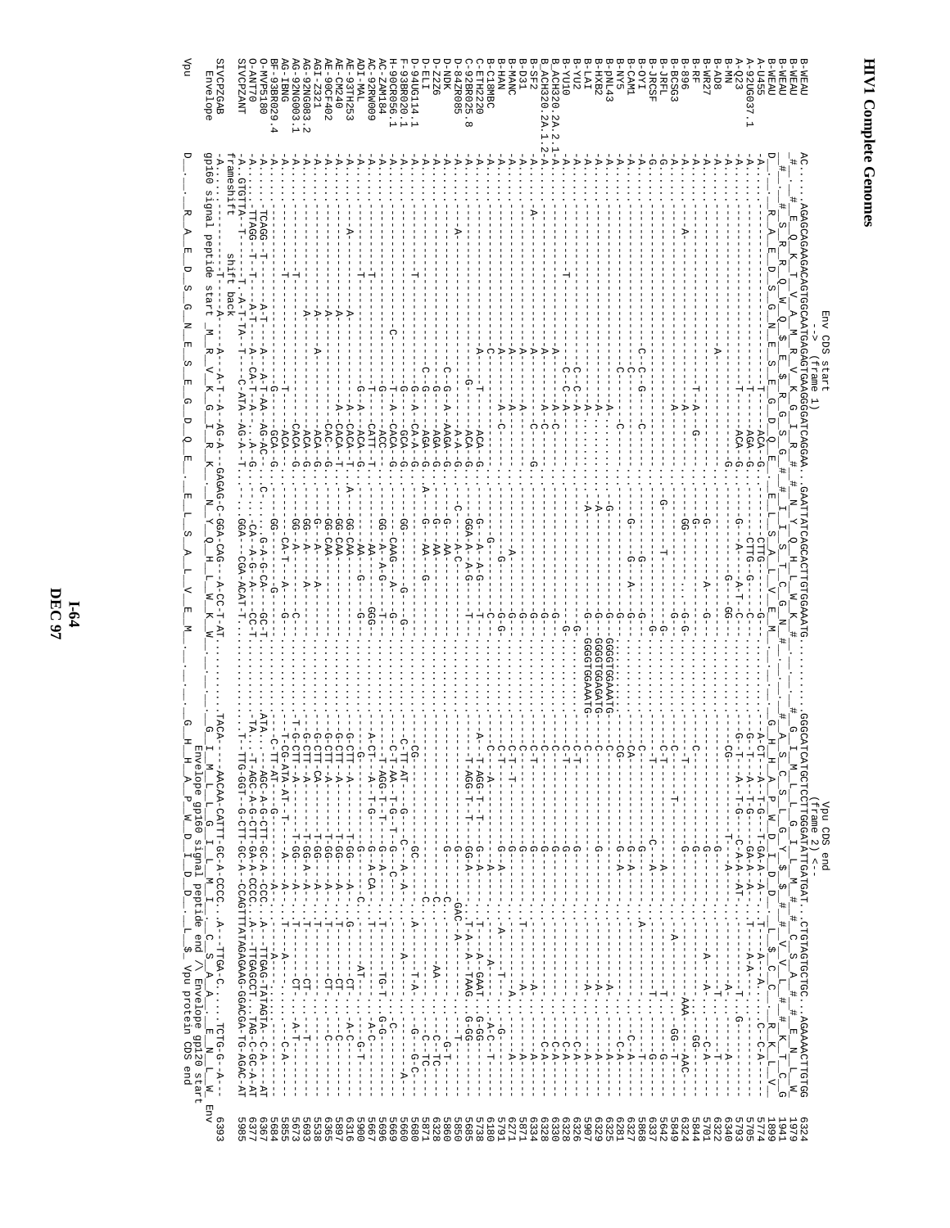| SIVCPZGAB<br>Envelope                                                                                                               | IVCPZANT<br>F-93BR029<br><b>MVP5180</b><br><b>ANT70</b><br>4                                                                                                                                                                                                                                                                                                                                                                                                                                                                                | <b>G-IBNG</b><br>$-92NC003.1$                                                                                                                                                                                                                                                                               | $G - 92NGO 83.2$<br><b>Z321</b>                                                                                                                                                                                                                                                                                                                                                                                                                                                                                                            | E-90CF402                                                | $E - 93TH1253$<br>$-CM240$                                                                                                                                                                                                           | 2-92RW009<br>IAM-I                                                           | <b>2AM184</b>                                                                                                   | 90CR056.<br>3BR020.                                                                                                                                                                                                                   | 4UG114.                                         | Ë                                                                                 | NDK<br>3226                                                                                                                                                                                           | 4ZR085                                                                                                     | 2BR025                                                 | C18MBC<br>TH2220                                                                         | HAN                                                                                                           | MANC                                                                                                                            | <b>D31</b>                     | SF2                                                             | ACH320<br>ACH320                                                                                                                                                                                                                                                                                                                                                                                                                           | 0TDX                                                                                                                                                                                                                                                                                                                                                                                                                                       | ZnX                                                                                    | IAI                                  | <b>PNL43</b><br>EXB <sub>2</sub>   | SXN-                                                                                                   | CAM1                                                                                                                                                                                                                                                                                                                                                                                                                     | <b>JRCSF</b><br>IXO                                                            | <b>JRFL</b>                                                                                                         | <b>BCSG3</b>                                                                                                                             | .<br>ਬ<br>968                                                                          | $-MR27$                                                                            | ż<br>806                                                                                                                            | $-023$                                                                     | $-920G037$<br>U455                                                                                | -WEAU                                 | <b>NEAU</b>                                        | WEAU<br><b>NEAU</b>                                                          |               |                  |
|-------------------------------------------------------------------------------------------------------------------------------------|---------------------------------------------------------------------------------------------------------------------------------------------------------------------------------------------------------------------------------------------------------------------------------------------------------------------------------------------------------------------------------------------------------------------------------------------------------------------------------------------------------------------------------------------|-------------------------------------------------------------------------------------------------------------------------------------------------------------------------------------------------------------------------------------------------------------------------------------------------------------|--------------------------------------------------------------------------------------------------------------------------------------------------------------------------------------------------------------------------------------------------------------------------------------------------------------------------------------------------------------------------------------------------------------------------------------------------------------------------------------------------------------------------------------------|----------------------------------------------------------|--------------------------------------------------------------------------------------------------------------------------------------------------------------------------------------------------------------------------------------|------------------------------------------------------------------------------|-----------------------------------------------------------------------------------------------------------------|---------------------------------------------------------------------------------------------------------------------------------------------------------------------------------------------------------------------------------------|-------------------------------------------------|-----------------------------------------------------------------------------------|-------------------------------------------------------------------------------------------------------------------------------------------------------------------------------------------------------|------------------------------------------------------------------------------------------------------------|--------------------------------------------------------|------------------------------------------------------------------------------------------|---------------------------------------------------------------------------------------------------------------|---------------------------------------------------------------------------------------------------------------------------------|--------------------------------|-----------------------------------------------------------------|--------------------------------------------------------------------------------------------------------------------------------------------------------------------------------------------------------------------------------------------------------------------------------------------------------------------------------------------------------------------------------------------------------------------------------------------|--------------------------------------------------------------------------------------------------------------------------------------------------------------------------------------------------------------------------------------------------------------------------------------------------------------------------------------------------------------------------------------------------------------------------------------------|----------------------------------------------------------------------------------------|--------------------------------------|------------------------------------|--------------------------------------------------------------------------------------------------------|--------------------------------------------------------------------------------------------------------------------------------------------------------------------------------------------------------------------------------------------------------------------------------------------------------------------------------------------------------------------------------------------------------------------------|--------------------------------------------------------------------------------|---------------------------------------------------------------------------------------------------------------------|------------------------------------------------------------------------------------------------------------------------------------------|----------------------------------------------------------------------------------------|------------------------------------------------------------------------------------|-------------------------------------------------------------------------------------------------------------------------------------|----------------------------------------------------------------------------|---------------------------------------------------------------------------------------------------|---------------------------------------|----------------------------------------------------|------------------------------------------------------------------------------|---------------|------------------|
| d91d5<br>cameshi<br><b>Lene1</b><br>peptide<br>start<br>back<br>$- - A$                                                             | GTGTTA--T-<br>TCAGG<br><b>TTAGG</b><br>shift                                                                                                                                                                                                                                                                                                                                                                                                                                                                                                |                                                                                                                                                                                                                                                                                                             |                                                                                                                                                                                                                                                                                                                                                                                                                                                                                                                                            |                                                          |                                                                                                                                                                                                                                      |                                                                              |                                                                                                                 |                                                                                                                                                                                                                                       |                                                 |                                                                                   |                                                                                                                                                                                                       |                                                                                                            |                                                        |                                                                                          |                                                                                                               |                                                                                                                                 |                                |                                                                 |                                                                                                                                                                                                                                                                                                                                                                                                                                            |                                                                                                                                                                                                                                                                                                                                                                                                                                            |                                                                                        |                                      |                                    |                                                                                                        |                                                                                                                                                                                                                                                                                                                                                                                                                          |                                                                                |                                                                                                                     |                                                                                                                                          |                                                                                        |                                                                                    |                                                                                                                                     |                                                                            |                                                                                                   |                                       |                                                    |                                                                              |               |                  |
| ⋜<br>⊅<br>$A -$<br>囨<br>$\overline{r}$<br>੮<br>$AG - A -$<br>GAGAG-C-GGA-CAG-<br>Ξ                                                  | $A-TA-T$<br>$\overline{A}$<br>$A-T-$<br>⊅<br>$C - ATRA -$<br>$T-RA--AG-AC--$<br>$AG-A-$<br>$GCA$ --<br>$G2A -$<br>န<br>$-6-1-9-1-2-1$<br>$A - A -$                                                                                                                                                                                                                                                                                                                                                                                          | BCA--<br>$ACA--$<br>\$<br>$-1 - 4 - 1 -$<br>$\overline{\mathbf{A}}$                                                                                                                                                                                                                                         | ₻<br>$ACA -$<br>$ACA -$<br>$A - DD$<br>ဂု<br>$-4-$                                                                                                                                                                                                                                                                                                                                                                                                                                                                                         | $\overline{A}$<br>CAC--<br>GG-CAA                        | $-V -$<br>CACA--<br>CACA--<br>GG-CAA<br>GG-CAA                                                                                                                                                                                       | CATT---<br>$-ACA--$<br>$W -$<br>R                                            | $-ACC-$<br>-D-A--A---                                                                                           | CACA-<br>-GCA-<br>G,<br>CAAG---                                                                                                                                                                                                       |                                                 | ଋ<br>$AGA-$<br>ဂှ<br>$-444-$                                                      | ς<br>!<br><u>ှ</u><br>AAGA--<br>$AGA -$<br>ဂု<br>$-MA-$<br>₽                                                                                                                                          | $-A-C$                                                                                                     | $ACA -$<br>$G - A - A - A - G$                         | $ACA--$<br>$-4--$<br>ဂု<br>$\mathbb{F}_{-}$                                              | ⋗<br>ငှ                                                                                                       | ⊅                                                                                                                               | ъ                              | ⊅                                                               | ₻                                                                                                                                                                                                                                                                                                                                                                                                                                          |                                                                                                                                                                                                                                                                                                                                                                                                                                            |                                                                                        |                                      | ω                                  |                                                                                                        | ဂု<br>ဂှ                                                                                                                                                                                                                                                                                                                                                                                                                 | C                                                                              |                                                                                                                     | සි                                                                                                                                       | $\frac{1}{2}$<br>Ω<br>ဂု                                                               | ଢ଼                                                                                 |                                                                                                                                     | $ACA -$                                                                    | $AGA--$<br>$ACA -$<br>္<br>Ω<br>CTTG-                                                             |                                       | 団                                                  | REAGCAGAAGACACHORGCAATGAGAGAGAGGGGGGGATCAGGA<br>STARTATCACCACTTCCDACCAAAC    | <i>Erame</i>  | Env CDS<br>start |
| -A-CC-T-AT<br>ε                                                                                                                     | -CGA-ACAT-T<br>$-99-$<br>$-CC-$                                                                                                                                                                                                                                                                                                                                                                                                                                                                                                             | $\mathbb{A}$<br>$\frac{1}{2}$                                                                                                                                                                                                                                                                               |                                                                                                                                                                                                                                                                                                                                                                                                                                                                                                                                            |                                                          |                                                                                                                                                                                                                                      | G<br>-999-<br>Ģ                                                              |                                                                                                                 | A-<br>Ģ.<br>စှ                                                                                                                                                                                                                        |                                                 | Ω                                                                                 |                                                                                                                                                                                                       |                                                                                                            |                                                        |                                                                                          | یہ<br>9-                                                                                                      | ဂု                                                                                                                              | ဂု                             | Ģ                                                               | Ω                                                                                                                                                                                                                                                                                                                                                                                                                                          | ှု                                                                                                                                                                                                                                                                                                                                                                                                                                         |                                                                                        |                                      | AATG                               |                                                                                                        |                                                                                                                                                                                                                                                                                                                                                                                                                          | ဂု                                                                             |                                                                                                                     | ဂု<br><u>ក្នុ</u>                                                                                                                        |                                                                                        | ω                                                                                  | ဂု<br>Ġ.                                                                                                                            | A-T--C-                                                                    | Ω<br>Ö                                                                                            |                                       |                                                    |                                                                              |               |                  |
| <b>TACA-</b><br>nvelope gpl60 signal peptide<br>F<br>z<br>-AACAA-CATTI-GC-A-CCCC<br>፞ቝ<br>F<br>ď<br> <br>⊦≍<br>ω<br>þ<br>'n<br>⊢    | ATA.<br>TTG-GGT--G-CTT-GC-A<br>--0----------<br>$-AGC-R-G-CTT-GC-R-CCC$<br>I.<br>т<br>$\mathbf{I}$<br>-1<br>$\mathbb{I}$                                                                                                                                                                                                                                                                                                                                                                                                                    | ဂ္<br>Q - A H A + A H + - + -<br>$-TT$ – A – – T<br>J.<br>1<br>J.<br>$-90-1$<br>$--A--$                                                                                                                                                                                                                     | <u>၁-</u> ၁<br><u>ဂ</u><br>-- A -- A --<br>$TT - CA - - -$<br>$\overline{1}$<br>I<br>I<br>$\mathbf{I}$<br>I,<br>J<br>ł<br>$\overline{1}$<br>$T - GG - A - -$<br>$-00-1$                                                                                                                                                                                                                                                                                                                                                                    | a-c<br>$-LL$ – $R$ – – $L$<br>--99---                    | G-C<br>$G-CTT--A---A---B$<br>$-LI - LI - LI - LI$<br>I<br>$\frac{1}{1}$<br>$\frac{1}{1}$<br>ţ<br>$\overline{1}$<br>$-00-1$<br>$-00-1$                                                                                                | A-CT---A--T-G-----<br><u>ဂ</u><br>$\Gamma$<br><u>ဂ</u><br>၂                  | - 1- 200- 1- - 1- -<br>$\mathbf{I}$<br>$\Gamma$                                                                 | ဂု<br>-- PH- AT-<br><b>コーママ--コーロ--コ--</b><br>$-6 -$<br>ı<br>$\frac{1}{\Omega}$<br><u>ဂ</u><br>T<br>-1                                                                                                                                 | <u>က်</u><br>၂<br>ငှ                            |                                                                                   | ł<br>$\begin{array}{c} 1 \\ 1 \\ 1 \end{array}$<br>$-1$<br>$\overline{\phantom{a}}$                                                                                                                   | ω<br>ŧ                                                                                                     | H-200-H--H-<br>ţ<br>$GG - A - -$                       | T-AGG-T--T---<br>$-1$ $-1$<br>$\overline{1}$<br>$\mathbf{I}$<br>1<br>ဂု<br>$\frac{1}{1}$ | $\mathbf I$<br>۲<br> <br>ţ<br>$\frac{1}{1}$<br>$\mathbf{I}$<br>J,<br>л<br>J.<br>ţ<br>J.<br>л<br><u>ဂ</u><br>၂ | $\overline{\phantom{a}}$<br>J.<br>1<br>J.<br>1<br>ဂု                                                                            | I<br>п<br>ł<br>$-1$            | $\overline{\phantom{a}}$<br>۲<br>ا<br>ဂု                        | $\mathbf{I}$<br>I<br>л<br>J.<br>J,<br>ω<br><u>ဂ</u><br>$\frac{1}{1}$                                                                                                                                                                                                                                                                                                                                                                       | $\begin{array}{c} \hline \end{array}$<br>۲<br>ا<br>$\mathbf{I}$<br>$\mathbf{I}$<br>$\overline{1}$<br>ω<br>$\frac{1}{1}$                                                                                                                                                                                                                                                                                                                    | L<br>۲Ì<br>л<br>п<br>Ω<br>ŧ                                                            |                                      | Ω<br>$\frac{1}{1}$<br>H.           | <u>င</u> ှ – –<br>Ω<br>ŧ                                                                               | $A---$<br>Ť<br><u>ဂ</u>                                                                                                                                                                                                                                                                                                                                                                                                  | -<br>T<br>$\overline{\phantom{a}}$<br>G<br>ω<br>$\frac{1}{1}$<br>$\frac{1}{1}$ | トーー<br>I<br>$\frac{1}{1}$<br>I<br>$\frac{1}{1}$                                                                     | $\mathbb{I}$<br>۲L<br>1<br>I<br>J<br>ー<br>- T<br>-<br>$\frac{1}{1}$<br>t<br>$\blacksquare$<br><u>ဂ</u><br>$\mathbf{I}$<br>$\mathbf{I}$   | $\frac{1}{1}$<br>J<br>ဂု                                                               | J,<br>$-1$                                                                         | ပု<br>$\frac{1}{1}$<br>$\blacksquare$<br>부<br>ဂု<br>$\overline{\phantom{a}}$<br>$\frac{1}{1}$                                       | ד<br> <br>$A$ --<br>$-9 - 1$<br>I                                          | á<br>第十一<br>$-1$<br>$A - T - G - -$<br>$A--T--G---T$<br>J.<br>1<br>$T-GA-$                        | F,<br>⊅<br>. ত<br>≍<br>P,<br>$\vdash$ | m<br>Q<br>ŗω.<br>t<br>۳<br>ົດ<br>К                 | CATGCTCCTTGGGATATTGATGAT<br>Σ<br>F<br>'ဂ<br>Έ                                | $(f_1) < 2$ < | Vpu CDS<br>end   |
| þ<br>z<br>eptide end // Envelope gpl20 start<br>_D____L_\$_ Vpu protein CDS end<br>$\cdots$ A--<br>∩<br>-TTGA-CTCTG-G--A-<br>C<br>ъ | T-AGC-A-G-CTT-GA-A-CCCCA---TTGAGCCTTAG-C-GC-A-AT<br>I<br>--CCAGTTTATAGAGAAG-GGACGA-TG-AGAC-AT<br>$\frac{1}{1}$<br>$A -$<br>$\vdots$<br>$\mathtt{A}\hspace{-0.04cm}=\hspace{-0.04cm}-\mathtt{T}\mathtt{T}\mathtt{G}\mathtt{A}\mathtt{G}\hspace{-0.04cm}-\mathtt{T}\mathtt{A}\mathtt{T}\mathtt{A}\mathtt{G}\mathtt{T}\mathtt{A}\mathtt{J}-\mathtt{C}\hspace{-0.04cm}-\mathtt{A}\hspace{-0.04cm}-\mathtt{A}\mathtt{T}\mathtt{T}$<br>$\mathsf I$<br>$\frac{1}{1}$<br>$A - -$<br>$\frac{1}{2}$ : $\frac{1}{2}$ : $\frac{1}{2}$ : $\frac{1}{2}$ : | J<br>$\frac{1}{1}$<br>$A -$<br>$A -$<br>Í<br>$\ddot{}}$<br>トーー<br>J<br>$\overline{\phantom{a}}$<br>$-4$<br>$\frac{1}{1}$<br>$\frac{1}{2}$ , $\frac{1}{2}$ , $\frac{1}{2}$ , $\frac{1}{2}$ , $\frac{1}{2}$ , $\frac{1}{2}$ , $\frac{1}{2}$ , $\frac{1}{2}$ , $\frac{1}{2}$ , $\frac{1}{2}$<br>CT------------ | ł<br>$A -$<br>$A -$<br>Ť<br>Í<br>$-1$<br>۲<br> <br>I.<br>$\overline{1}$<br>$\begin{array}{c} \rule{0pt}{2.5ex} \rule{0pt}{2.5ex} \rule{0pt}{2.5ex} \rule{0pt}{2.5ex} \rule{0pt}{2.5ex} \rule{0pt}{2.5ex} \rule{0pt}{2.5ex} \rule{0pt}{2.5ex} \rule{0pt}{2.5ex} \rule{0pt}{2.5ex} \rule{0pt}{2.5ex} \rule{0pt}{2.5ex} \rule{0pt}{2.5ex} \rule{0pt}{2.5ex} \rule{0pt}{2.5ex} \rule{0pt}{2.5ex} \rule{0pt}{2.5ex} \rule{0pt}{2.5ex} \rule{0pt}{2.5ex} \rule{0$<br>$\cdots$ -13-<br>$\begin{array}{c} 1 \\ 1 \\ 2 \end{array}$<br>$\cdot$<br>I | $\frac{1}{1}$<br>$A -$<br>$\vdots$<br>보<br>$\cdots$ -dp- | $- -A - -$<br>$\frac{1}{1}$<br>$A--$<br>$\begin{array}{c} \cdot \cdot \cdot \\ \cdot \cdot \cdot \\ \cdot \cdot \end{array}$<br>$-1$<br>ì<br>$-$ -cr- $-$<br>$\begin{array}{c} \hline \end{array}$<br>$\frac{1}{2}$<br>$\mathfrak l$ | $A - CA - \ldots$<br>J<br>$-c$<br>ì<br>$-1$ $-1$<br>$\overline{\phantom{a}}$ | $A$ – –<br>$\frac{1}{4}$<br>$\mathbf{I}$<br>$\vdots$<br>۲<br>ا<br>$\overline{\phantom{a}}$<br>$-TG-T$ . $-G-G-$ | $-{\bf A}--{\bf A}-$<br>$\frac{1}{2}$<br>$\frac{1}{1}$<br>$\mathbf{I}$<br>$\vdots$<br>$\frac{1}{2}$<br>$\mathsf I$<br>$\mathbf{I}$<br>$-4-$<br>п<br>$\frac{1}{1}$<br>$\frac{1}{1}$<br>$-1$ $-1$ $-1$ $-1$<br>$\frac{1}{2}$<br>$\cdot$ | $\blacksquare$<br>$\vdots$<br>$A -$<br>$-L-A-1$ | $\frac{1}{2}$<br>$\ddot{\phantom{0}}$<br>$\mathbf{I}$<br>$AA---$<br>$\frac{1}{4}$ | $\frac{1}{1}$<br>$\frac{1}{\Omega}$<br>$-1$ - $-1$ - $-1$ - $-1$ - $-1$<br>$\frac{1}{4}$<br>$\begin{array}{c} 1 \\ 1 \\ 1 \end{array}$<br>$\frac{1}{1}$<br>$\begin{array}{c} 1 \\ 1 \\ 1 \end{array}$ | $\frac{1}{1}$<br>$\blacksquare$<br>$GAC--A--$<br>$\frac{1}{1}$<br>$\frac{1}{1}$<br>$\mathsf I$<br>$\vdots$ | J<br>J.<br>:<br>$T - A - - A - T A A G.$ $G - G G - -$ | $A -$<br>$A$ --<br>-- T----A-CAAT.G-GG---<br>$\overline{1}$<br>$\frac{1}{4}$             | $A--$<br>J                                                                                                    | $\overline{1}$<br>J<br>H<br>$\ddot{\ddot{\cdot}}$<br>$\frac{1}{1}$<br>$\begin{array}{c} \end{array}$<br>$\frac{1}{1}$<br>$---A$ | ł<br>キャン・ロート キャート<br>$---A---$ | $\vdots$<br>$\vdots$<br>I<br>$-$ - $-$ A - $\ldots$<br>$\vdots$ | J<br>I<br>$\frac{1}{2}$ $\frac{1}{2}$ $\frac{1}{2}$ $\frac{1}{2}$ $\frac{1}{2}$ $\frac{1}{2}$ $\frac{1}{2}$ $\frac{1}{2}$ $\frac{1}{2}$ $\frac{1}{2}$ $\frac{1}{2}$ $\frac{1}{2}$ $\frac{1}{2}$ $\frac{1}{2}$ $\frac{1}{2}$ $\frac{1}{2}$ $\frac{1}{2}$ $\frac{1}{2}$ $\frac{1}{2}$ $\frac{1}{2}$ $\frac{1}{2}$ $\frac{1}{2}$<br>$\frac{1}{1}$<br>$\begin{array}{c}\n1 \\ 1 \\ 1 \\ 2\n\end{array}$<br>I<br>$\begin{array}{c} \end{array}$ | $\begin{array}{c} \n\cdot & \cdot \\ \cdot & \cdot \\ \cdot & \cdot\n\end{array}$<br>$\overline{1}$<br>$\frac{1}{2}$ $\frac{1}{2}$ $\frac{1}{2}$ $\frac{1}{2}$ $\frac{1}{2}$ $\frac{1}{2}$ $\frac{1}{2}$ $\frac{1}{2}$ $\frac{1}{2}$ $\frac{1}{2}$ $\frac{1}{2}$ $\frac{1}{2}$ $\frac{1}{2}$ $\frac{1}{2}$ $\frac{1}{2}$ $\frac{1}{2}$ $\frac{1}{2}$ $\frac{1}{2}$ $\frac{1}{2}$ $\frac{1}{2}$ $\frac{1}{2}$ $\frac{1}{2}$<br>$\mathbf{I}$ | ţ<br>$\begin{array}{c} 1 \\ 1 \\ 2 \\ 3 \end{array}$<br>J.<br>п<br>$\frac{1}{2}$<br>I. | $-2 - \ldots$<br>$A - \ldots$        | $-1$ - $A$ - $\ldots$ - $-1$<br>J. | $A$ – –<br>$\begin{array}{c} \frac{1}{2} \\ \frac{1}{2} \end{array}$<br>$\frac{1}{1}$<br>$\frac{1}{2}$ | $A - -$<br>$\frac{1}{1}$<br>$\frac{1}{2}$<br>i<br>i<br>$\frac{1}{2}$ $\frac{1}{2}$ $\frac{1}{2}$ $\frac{1}{2}$ $\frac{1}{2}$ $\frac{1}{2}$ $\frac{1}{2}$ $\frac{1}{2}$ $\frac{1}{2}$ $\frac{1}{2}$ $\frac{1}{2}$ $\frac{1}{2}$ $\frac{1}{2}$ $\frac{1}{2}$ $\frac{1}{2}$ $\frac{1}{2}$ $\frac{1}{2}$ $\frac{1}{2}$ $\frac{1}{2}$ $\frac{1}{2}$ $\frac{1}{2}$ $\frac{1}{2}$<br>$\begin{array}{c} 1 \\ 1 \\ 2 \end{array}$ | $-4-$<br>$\vdots$<br>$A - -$<br>$\mathbf{I}$<br>ŧ<br>È.                        | $A - -$<br>$\begin{array}{c} 1 \\ 1 \\ 2 \end{array}$<br>$\frac{1}{1}$<br>$\frac{1}{2}$<br>$\overline{\phantom{a}}$ | ł<br>Í<br>$\vdots$<br>$\vdots$<br>$- -Y - -$<br>I<br>J.<br>ł<br>л<br>$\mathbf{I}$<br>Ţ<br>$-14AB - -$<br>$\overline{1}$<br>$\frac{1}{2}$ | I<br>J.<br>$\vdots$<br>$\mathbf{I}$<br>J<br>$\overline{\phantom{a}}$<br>J.<br>$\vdots$ | I<br>I<br>$\begin{array}{c} 1 \\ 1 \\ 2 \\ 3 \\ 4 \end{array}$<br>--A--<br>$--A--$ | $A -$<br>$\blacksquare$<br>$\vdots$<br>$\vdots$<br>I.<br>$\frac{1}{1}$<br>$-$ A-<br>$\frac{1}{2}$<br>$\overline{1}$<br>$\mathbf{I}$ | $-C - A - A - A - A T - \ldots$<br>J.<br>ł<br>л<br>$-1 - 1$ . $-1 - 1 - 1$ | $A--$<br>$A--$<br>$-1$<br>J,<br>J<br>A-A-----<br>$A---$<br>$\mathbb{A}\cdot\ldots\cdot\mathbb{A}$ | þ<br>Έ<br>F<br>٠m<br>'റ<br>'n<br>₩    | į∿<br>٠m<br>#<br>#<br>$\prec$<br>$\prec$<br>#<br># | z<br>$\pm$<br>$\ddot{\cdot}$<br>CTGTAGTGCTGCAGAAAACTTGTGGGG<br>'n<br>ŗΩ<br>ъ |               |                  |
| 国<br>z<br>H<br>¦≍<br>$\mathbf{I}$<br>-1<br>Env<br>6393                                                                              | $\frac{1}{2}$<br>$\overline{\phantom{a}}$<br>$\mathbf{I}$<br>ł<br>I<br>п<br>$\overline{\phantom{a}}$<br>п                                                                                                                                                                                                                                                                                                                                                                                                                                   | $C - A - -$<br>I<br>л<br>л                                                                                                                                                                                                                                                                                  | $\frac{1}{1}$<br>I<br>J<br>I<br>I                                                                                                                                                                                                                                                                                                                                                                                                                                                                                                          | $-1$<br>J                                                | $- - - - - -$<br>$A-C---$<br>I                                                                                                                                                                                                       | $\frac{1}{1}$<br>-- H<br>-- H<br>- I<br>Î<br>ı                               | $\overline{1}$<br>$\overline{1}$<br>$\mathbf{I}$                                                                | J.<br>$\mathbf{I}$<br>-1<br>-1<br>$-4$<br>J.                                                                                                                                                                                          | $-9 - - - - - - - -$                            | C--TC-                                                                            | $\frac{1}{1}$<br>$-1 - 5 - 1 - 1$<br>c--rc-                                                                                                                                                           | $-1 -$<br>I                                                                                                | I                                                      | $\overline{1}$<br>ı                                                                      | J.                                                                                                            | I.<br>$- -A - -$                                                                                                                | $\frac{1}{1}$<br>$-4-$<br>J,   | $-4-$                                                           | $\frac{1}{1}$<br>$C - A -$<br>$C-A$ -<br>I                                                                                                                                                                                                                                                                                                                                                                                                 | $\frac{1}{1}$<br>$C - A -$                                                                                                                                                                                                                                                                                                                                                                                                                 | п<br>$C - A -$                                                                         | $\mathsf I$<br>$-V -$<br>$-\Delta$ - | $-4-$                              | $C-A$ -                                                                                                | $- - \mathbf{C} - - \mathbf{A} - -$                                                                                                                                                                                                                                                                                                                                                                                      | $\frac{1}{1}$<br>$\frac{1}{1}$                                                 | Ţ.<br>I.<br>$-\frac{1}{2}$                                                                                          | $-99 - 1 - 1 - 1$<br>$-AAAC-$                                                                                                            | --88--<br>I                                                                            | $\frac{1}{1}$<br>$C - A -$<br>I<br>ı                                               | $\frac{1}{1}$<br>J<br>$\overline{1}$<br>$\frac{1}{2}$<br>$\overline{1}$                                                             | $\mathbf{I}$<br>J.<br>I.<br>ł                                              | C--<br>ု<br>ъ<br>Ī<br>л<br>J.                                                                     |                                       | Ł<br>Q<br>ଇ                                        | Ħ<br>z<br>F<br>ź,<br>G<br>3244                                               |               |                  |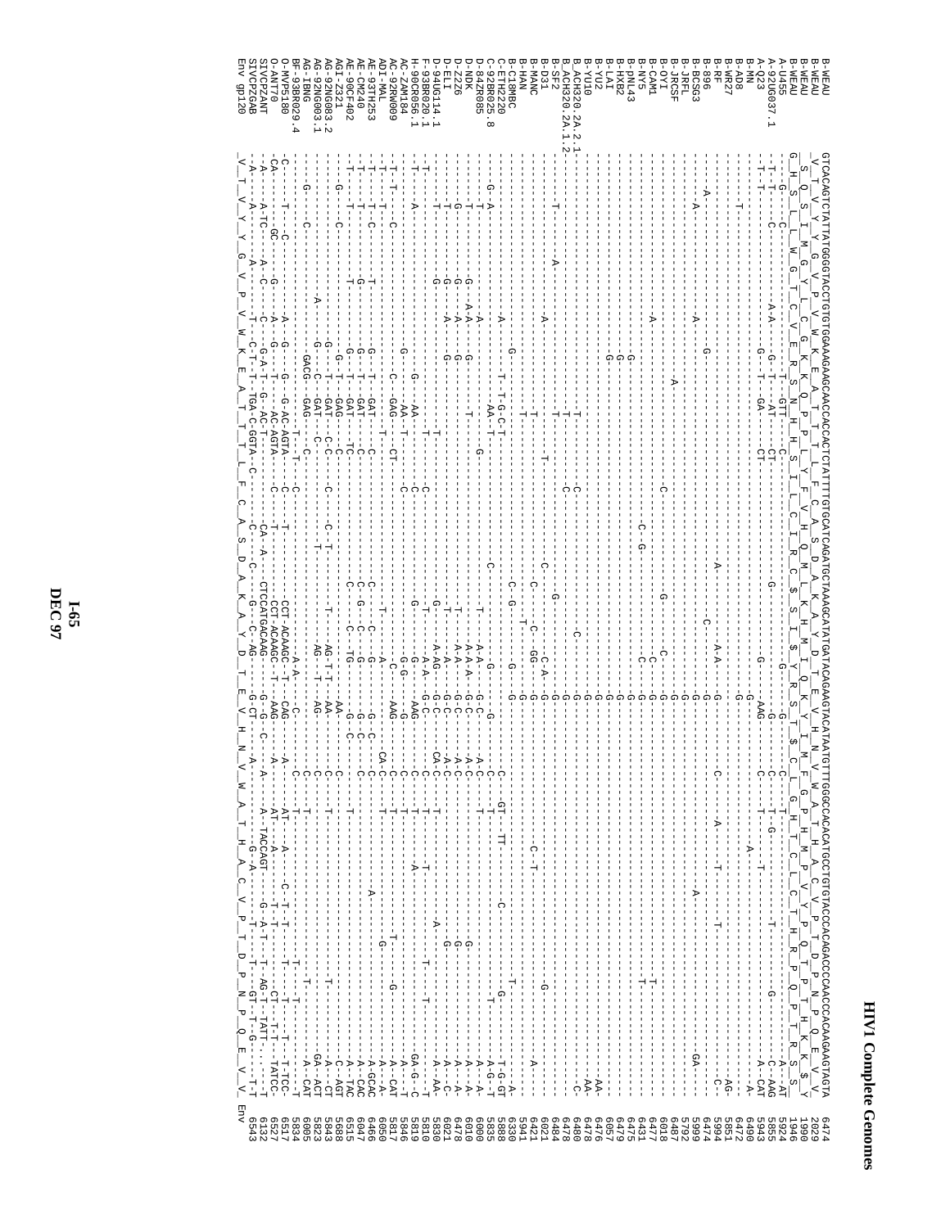| $\frac{1}{1}$<br>I<br>$\frac{1}{1}$<br>I.<br>$\mathsf I$<br>$\overline{1}$<br>$\mathbf{I}$<br>I<br>J<br>$\overline{\phantom{a}}$<br>I<br>I<br>I<br>ı<br>È<br>J.<br>۲<br>ا<br>$\frac{1}{1}$<br>л<br>$\mathbf{I}$<br>$\frac{1}{1}$<br>$\frac{1}{1}$<br>л<br>л<br>$\frac{1}{2}$<br>$\mathbf{I}$<br>Ť<br>$\mathbf{I}$<br>$-11 - 11 - 1$<br>I<br>十日<br>п<br>$\mathbf{I}$<br>ı<br>J.<br>$\overline{1}$<br>J<br>J.<br>л<br>$\mathbf{I}$<br>ı<br>I<br>I<br>ı<br>ı<br>$-A--CATT$<br>$-\mathbf{A}--\mathbf{T}$<br>GA--ACT<br>J.<br>$C-A-C--C$<br>C--AGT<br>$A - CAC$<br>$A - A A -$<br>TATCC<br>T-TCC<br>$A--CAT$<br>$A---CT$<br>$A--TRC$<br>A-GCAC<br>$A---A-$<br>ъ<br>$A---A-$<br>$-1 - 1$<br>$\frac{1}{1}$<br>I<br>ı<br>ŧ | $\begin{array}{c} \end{array}$<br>$\mathbf I$<br>Ĥ<br>I<br>⋗<br>T<br>I.<br>J.<br>$\blacksquare$<br>I<br>ı<br>л<br>C<br>-- 1- 1- 1-<br>Ţ<br>⊅<br>I.<br>ł<br>J.<br>ı<br>$\overline{1}$<br>ך<br>--<br>۲<br>ا<br>I<br>$-4-$<br>۲<br>ا<br>I<br>I<br>J.<br>۲<br>ا<br>J.<br>J.<br>J.<br>л<br>ı<br>ဂု<br>$\Omega$<br>ဂု<br>т<br>т<br>ı<br>ဂု<br>I.<br>I, | т<br>I<br>I<br>J.<br>J.<br>I<br>$-17$<br>부<br>$AT - -$<br>H<br>부<br>부<br>л<br>부<br>л<br>н<br>н<br>부<br>부<br>부<br>$\mathbf{I}$<br>$\overline{1}$<br>$\mathbf{I}$<br>$--A--$<br>$- -A - -$<br>п<br>ı | $-4$<br>$\frac{1}{2}$<br>$\overline{\phantom{a}}$<br>т<br>f,<br>↷<br>↷<br>I<br>ı.                                                                                                                                                                                                                                                                                                                     | $-A-A-$<br>-AAG<br>CAG | CT-ACAAGC--<br>CT-ACAAGC- |     | AGTA                     | ဂု<br>ଢ଼           |             |
|--------------------------------------------------------------------------------------------------------------------------------------------------------------------------------------------------------------------------------------------------------------------------------------------------------------------------------------------------------------------------------------------------------------------------------------------------------------------------------------------------------------------------------------------------------------------------------------------------------------------------------------------------------------------------------------------------------------------|--------------------------------------------------------------------------------------------------------------------------------------------------------------------------------------------------------------------------------------------------------------------------------------------------------------------------------------------------|----------------------------------------------------------------------------------------------------------------------------------------------------------------------------------------------------|-------------------------------------------------------------------------------------------------------------------------------------------------------------------------------------------------------------------------------------------------------------------------------------------------------------------------------------------------------------------------------------------------------|------------------------|---------------------------|-----|--------------------------|--------------------|-------------|
|                                                                                                                                                                                                                                                                                                                                                                                                                                                                                                                                                                                                                                                                                                                    |                                                                                                                                                                                                                                                                                                                                                  |                                                                                                                                                                                                    |                                                                                                                                                                                                                                                                                                                                                                                                       |                        |                           |     |                          |                    |             |
|                                                                                                                                                                                                                                                                                                                                                                                                                                                                                                                                                                                                                                                                                                                    |                                                                                                                                                                                                                                                                                                                                                  |                                                                                                                                                                                                    |                                                                                                                                                                                                                                                                                                                                                                                                       |                        |                           |     | 3-AC-AGTA-               |                    |             |
|                                                                                                                                                                                                                                                                                                                                                                                                                                                                                                                                                                                                                                                                                                                    |                                                                                                                                                                                                                                                                                                                                                  |                                                                                                                                                                                                    |                                                                                                                                                                                                                                                                                                                                                                                                       |                        |                           |     | ローーロー                    |                    |             |
|                                                                                                                                                                                                                                                                                                                                                                                                                                                                                                                                                                                                                                                                                                                    |                                                                                                                                                                                                                                                                                                                                                  |                                                                                                                                                                                                    |                                                                                                                                                                                                                                                                                                                                                                                                       |                        |                           |     | -GAG                     | -GACG              |             |
|                                                                                                                                                                                                                                                                                                                                                                                                                                                                                                                                                                                                                                                                                                                    |                                                                                                                                                                                                                                                                                                                                                  |                                                                                                                                                                                                    | ↷<br>I                                                                                                                                                                                                                                                                                                                                                                                                | AG-                    | $AG--$                    |     | -GAT--<br>$\overline{C}$ | ဂု                 |             |
|                                                                                                                                                                                                                                                                                                                                                                                                                                                                                                                                                                                                                                                                                                                    |                                                                                                                                                                                                                                                                                                                                                  |                                                                                                                                                                                                    | $\mathbf{I}$<br>↷<br>$\begin{array}{c} \rule{0pt}{2.5ex} \rule{0pt}{2.5ex} \rule{0pt}{2.5ex} \rule{0pt}{2.5ex} \rule{0pt}{2.5ex} \rule{0pt}{2.5ex} \rule{0pt}{2.5ex} \rule{0pt}{2.5ex} \rule{0pt}{2.5ex} \rule{0pt}{2.5ex} \rule{0pt}{2.5ex} \rule{0pt}{2.5ex} \rule{0pt}{2.5ex} \rule{0pt}{2.5ex} \rule{0pt}{2.5ex} \rule{0pt}{2.5ex} \rule{0pt}{2.5ex} \rule{0pt}{2.5ex} \rule{0pt}{2.5ex} \rule{0$ | $AA-$                  | AG-T-T-                   |     | -GAT-<br>$\frac{1}{2}$   |                    |             |
|                                                                                                                                                                                                                                                                                                                                                                                                                                                                                                                                                                                                                                                                                                                    |                                                                                                                                                                                                                                                                                                                                                  |                                                                                                                                                                                                    | ↷                                                                                                                                                                                                                                                                                                                                                                                                     |                        |                           |     | -GAG-<br>Ω               | $\frac{1}{1}$      |             |
|                                                                                                                                                                                                                                                                                                                                                                                                                                                                                                                                                                                                                                                                                                                    |                                                                                                                                                                                                                                                                                                                                                  |                                                                                                                                                                                                    |                                                                                                                                                                                                                                                                                                                                                                                                       |                        | -10-                      |     | -GAT-<br>Ę               | ဂု                 |             |
|                                                                                                                                                                                                                                                                                                                                                                                                                                                                                                                                                                                                                                                                                                                    |                                                                                                                                                                                                                                                                                                                                                  |                                                                                                                                                                                                    | $\overline{1}$<br>C                                                                                                                                                                                                                                                                                                                                                                                   | $-1$                   | Q<br>ဂု<br>ပြု            |     | GAT.<br>ή                | ω<br>ဂု            |             |
|                                                                                                                                                                                                                                                                                                                                                                                                                                                                                                                                                                                                                                                                                                                    |                                                                                                                                                                                                                                                                                                                                                  |                                                                                                                                                                                                    | ł<br>C<br>I                                                                                                                                                                                                                                                                                                                                                                                           | ဂု                     | ပုံ                       |     | $-0.71$<br>∩             | ဂု                 |             |
|                                                                                                                                                                                                                                                                                                                                                                                                                                                                                                                                                                                                                                                                                                                    |                                                                                                                                                                                                                                                                                                                                                  |                                                                                                                                                                                                    | $\mathbb{Y}$<br>Q<br>$\overline{\phantom{a}}$                                                                                                                                                                                                                                                                                                                                                         |                        |                           |     |                          |                    |             |
|                                                                                                                                                                                                                                                                                                                                                                                                                                                                                                                                                                                                                                                                                                                    |                                                                                                                                                                                                                                                                                                                                                  |                                                                                                                                                                                                    | ł<br>C<br>I                                                                                                                                                                                                                                                                                                                                                                                           | AAG-                   |                           |     | -cag--                   |                    | Ī<br>부<br>ု |
|                                                                                                                                                                                                                                                                                                                                                                                                                                                                                                                                                                                                                                                                                                                    |                                                                                                                                                                                                                                                                                                                                                  |                                                                                                                                                                                                    | ł<br>G                                                                                                                                                                                                                                                                                                                                                                                                | ပြ                     | $\frac{1}{9}$             |     | $-AA -$                  | ဂု                 |             |
|                                                                                                                                                                                                                                                                                                                                                                                                                                                                                                                                                                                                                                                                                                                    |                                                                                                                                                                                                                                                                                                                                                  |                                                                                                                                                                                                    | $\mathbf{I}$<br>∩                                                                                                                                                                                                                                                                                                                                                                                     | <b>AAG</b>             | Ģ<br>ဂု                   | ( ) |                          |                    |             |
|                                                                                                                                                                                                                                                                                                                                                                                                                                                                                                                                                                                                                                                                                                                    |                                                                                                                                                                                                                                                                                                                                                  |                                                                                                                                                                                                    | 1<br>↷<br>I                                                                                                                                                                                                                                                                                                                                                                                           | ם-0-<br>-              | $A - A$                   |     |                          |                    |             |
|                                                                                                                                                                                                                                                                                                                                                                                                                                                                                                                                                                                                                                                                                                                    |                                                                                                                                                                                                                                                                                                                                                  |                                                                                                                                                                                                    | iA-C<br>$\mathsf I$                                                                                                                                                                                                                                                                                                                                                                                   | $O - O -$              | ငှ<br>$A - AG -$          |     |                          |                    |             |
|                                                                                                                                                                                                                                                                                                                                                                                                                                                                                                                                                                                                                                                                                                                    |                                                                                                                                                                                                                                                                                                                                                  |                                                                                                                                                                                                    | $\lambda$ -A<br>I                                                                                                                                                                                                                                                                                                                                                                                     | o-o                    | $-V -$                    |     |                          | ଋ<br>ଋ             |             |
|                                                                                                                                                                                                                                                                                                                                                                                                                                                                                                                                                                                                                                                                                                                    |                                                                                                                                                                                                                                                                                                                                                  |                                                                                                                                                                                                    | $A-C$<br>$\begin{array}{c} \end{array}$                                                                                                                                                                                                                                                                                                                                                               | <u>ဂ</u>               | $-4 - A - -$              |     |                          | Ω<br>ଢ଼            |             |
| $-{\bf A}--{\bf A}-$                                                                                                                                                                                                                                                                                                                                                                                                                                                                                                                                                                                                                                                                                               |                                                                                                                                                                                                                                                                                                                                                  |                                                                                                                                                                                                    | $A-C$<br>I                                                                                                                                                                                                                                                                                                                                                                                            | a-c                    | $A - A - A$               |     |                          | Ω<br>$A - A$<br>Ω  |             |
| J.<br>$A---A-$                                                                                                                                                                                                                                                                                                                                                                                                                                                                                                                                                                                                                                                                                                     |                                                                                                                                                                                                                                                                                                                                                  | 부<br>I                                                                                                                                                                                             | $A-C$<br>I                                                                                                                                                                                                                                                                                                                                                                                            | ဂ<br>ဂ                 | $A - A -$                 |     |                          | ⊅                  |             |
| J<br>ਜ਼ੈ<br>$A-G--T$                                                                                                                                                                                                                                                                                                                                                                                                                                                                                                                                                                                                                                                                                               |                                                                                                                                                                                                                                                                                                                                                  | н<br>$\overline{\phantom{a}}$                                                                                                                                                                      | $\overline{\phantom{a}}$<br>↷                                                                                                                                                                                                                                                                                                                                                                         |                        |                           |     |                          |                    |             |
| $-1 - 5 - -$<br>L-G-CL                                                                                                                                                                                                                                                                                                                                                                                                                                                                                                                                                                                                                                                                                             |                                                                                                                                                                                                                                                                                                                                                  | J<br>I<br>요<br>- -<br>-<br>中<br>J.<br>I                                                                                                                                                            | ∩<br>J                                                                                                                                                                                                                                                                                                                                                                                                |                        |                           |     | ローローロー                   | ⊅                  |             |
| ۲<br>ا<br>J.<br>1<br>J.<br>- A-                                                                                                                                                                                                                                                                                                                                                                                                                                                                                                                                                                                                                                                                                    |                                                                                                                                                                                                                                                                                                                                                  | J.                                                                                                                                                                                                 |                                                                                                                                                                                                                                                                                                                                                                                                       |                        |                           |     |                          |                    |             |
| Ţ<br>$\mathbf{I}$<br>$\mathbf I$<br>Ţ<br>ł                                                                                                                                                                                                                                                                                                                                                                                                                                                                                                                                                                                                                                                                         |                                                                                                                                                                                                                                                                                                                                                  | J.<br>л<br>J,                                                                                                                                                                                      |                                                                                                                                                                                                                                                                                                                                                                                                       |                        |                           |     |                          |                    |             |
| I<br>п<br>ı<br>$A - -$                                                                                                                                                                                                                                                                                                                                                                                                                                                                                                                                                                                                                                                                                             | 부<br>п                                                                                                                                                                                                                                                                                                                                           | Ω<br>$\frac{1}{1}$                                                                                                                                                                                 |                                                                                                                                                                                                                                                                                                                                                                                                       |                        | ရာ                        |     |                          |                    |             |
| ဂု<br>$\mathbf{I}$<br>$\mathbf{I}$                                                                                                                                                                                                                                                                                                                                                                                                                                                                                                                                                                                                                                                                                 |                                                                                                                                                                                                                                                                                                                                                  |                                                                                                                                                                                                    |                                                                                                                                                                                                                                                                                                                                                                                                       | Ω                      | C-A.                      |     |                          |                    |             |
| I<br>J<br>I                                                                                                                                                                                                                                                                                                                                                                                                                                                                                                                                                                                                                                                                                                        |                                                                                                                                                                                                                                                                                                                                                  |                                                                                                                                                                                                    |                                                                                                                                                                                                                                                                                                                                                                                                       | Ω                      |                           |     |                          |                    |             |
| $\overline{1}$<br>J                                                                                                                                                                                                                                                                                                                                                                                                                                                                                                                                                                                                                                                                                                |                                                                                                                                                                                                                                                                                                                                                  |                                                                                                                                                                                                    |                                                                                                                                                                                                                                                                                                                                                                                                       |                        |                           |     |                          |                    |             |
| I<br>ţ                                                                                                                                                                                                                                                                                                                                                                                                                                                                                                                                                                                                                                                                                                             |                                                                                                                                                                                                                                                                                                                                                  |                                                                                                                                                                                                    |                                                                                                                                                                                                                                                                                                                                                                                                       |                        |                           |     |                          |                    |             |
| $-AA-$                                                                                                                                                                                                                                                                                                                                                                                                                                                                                                                                                                                                                                                                                                             |                                                                                                                                                                                                                                                                                                                                                  |                                                                                                                                                                                                    |                                                                                                                                                                                                                                                                                                                                                                                                       |                        |                           |     |                          |                    |             |
| I<br>FAA-                                                                                                                                                                                                                                                                                                                                                                                                                                                                                                                                                                                                                                                                                                          |                                                                                                                                                                                                                                                                                                                                                  |                                                                                                                                                                                                    |                                                                                                                                                                                                                                                                                                                                                                                                       |                        |                           |     |                          |                    |             |
| ı<br>I                                                                                                                                                                                                                                                                                                                                                                                                                                                                                                                                                                                                                                                                                                             |                                                                                                                                                                                                                                                                                                                                                  |                                                                                                                                                                                                    |                                                                                                                                                                                                                                                                                                                                                                                                       |                        |                           |     |                          | Ω                  |             |
|                                                                                                                                                                                                                                                                                                                                                                                                                                                                                                                                                                                                                                                                                                                    |                                                                                                                                                                                                                                                                                                                                                  |                                                                                                                                                                                                    |                                                                                                                                                                                                                                                                                                                                                                                                       |                        |                           |     |                          | Ω                  |             |
| л                                                                                                                                                                                                                                                                                                                                                                                                                                                                                                                                                                                                                                                                                                                  |                                                                                                                                                                                                                                                                                                                                                  |                                                                                                                                                                                                    |                                                                                                                                                                                                                                                                                                                                                                                                       |                        |                           |     |                          | Ģ                  |             |
|                                                                                                                                                                                                                                                                                                                                                                                                                                                                                                                                                                                                                                                                                                                    |                                                                                                                                                                                                                                                                                                                                                  |                                                                                                                                                                                                    |                                                                                                                                                                                                                                                                                                                                                                                                       |                        |                           |     |                          |                    |             |
| 쿠<br>I<br>п                                                                                                                                                                                                                                                                                                                                                                                                                                                                                                                                                                                                                                                                                                        |                                                                                                                                                                                                                                                                                                                                                  |                                                                                                                                                                                                    |                                                                                                                                                                                                                                                                                                                                                                                                       |                        |                           |     |                          |                    |             |
| 년                                                                                                                                                                                                                                                                                                                                                                                                                                                                                                                                                                                                                                                                                                                  |                                                                                                                                                                                                                                                                                                                                                  |                                                                                                                                                                                                    |                                                                                                                                                                                                                                                                                                                                                                                                       |                        |                           |     |                          | ን                  |             |
| ı<br>ı                                                                                                                                                                                                                                                                                                                                                                                                                                                                                                                                                                                                                                                                                                             |                                                                                                                                                                                                                                                                                                                                                  |                                                                                                                                                                                                    |                                                                                                                                                                                                                                                                                                                                                                                                       | Ω                      |                           |     |                          |                    |             |
|                                                                                                                                                                                                                                                                                                                                                                                                                                                                                                                                                                                                                                                                                                                    |                                                                                                                                                                                                                                                                                                                                                  |                                                                                                                                                                                                    |                                                                                                                                                                                                                                                                                                                                                                                                       | ⋒                      |                           |     |                          |                    |             |
| J<br>ţ<br>I<br>ı                                                                                                                                                                                                                                                                                                                                                                                                                                                                                                                                                                                                                                                                                                   | ı<br>ı                                                                                                                                                                                                                                                                                                                                           |                                                                                                                                                                                                    |                                                                                                                                                                                                                                                                                                                                                                                                       |                        |                           |     |                          |                    |             |
| $-5A -$                                                                                                                                                                                                                                                                                                                                                                                                                                                                                                                                                                                                                                                                                                            | $A -$                                                                                                                                                                                                                                                                                                                                            |                                                                                                                                                                                                    |                                                                                                                                                                                                                                                                                                                                                                                                       |                        |                           |     |                          |                    |             |
| ı<br>I,<br>I<br>I<br>л                                                                                                                                                                                                                                                                                                                                                                                                                                                                                                                                                                                                                                                                                             | I<br>л                                                                                                                                                                                                                                                                                                                                           | ı                                                                                                                                                                                                  | л<br>J,<br>I                                                                                                                                                                                                                                                                                                                                                                                          |                        |                           |     |                          |                    |             |
| J<br>ן<br>ק                                                                                                                                                                                                                                                                                                                                                                                                                                                                                                                                                                                                                                                                                                        | 闩<br>T<br>ı<br>ı<br>ï                                                                                                                                                                                                                                                                                                                            | ⊅<br>I.<br>I<br>ı<br>п                                                                                                                                                                             | т<br>G<br>$\sf I$<br>J.                                                                                                                                                                                                                                                                                                                                                                               |                        | $A - A -$                 |     |                          |                    |             |
| J<br>$-AC$                                                                                                                                                                                                                                                                                                                                                                                                                                                                                                                                                                                                                                                                                                         |                                                                                                                                                                                                                                                                                                                                                  |                                                                                                                                                                                                    |                                                                                                                                                                                                                                                                                                                                                                                                       |                        |                           |     |                          |                    |             |
| I<br>ļ                                                                                                                                                                                                                                                                                                                                                                                                                                                                                                                                                                                                                                                                                                             |                                                                                                                                                                                                                                                                                                                                                  | л<br>ı                                                                                                                                                                                             |                                                                                                                                                                                                                                                                                                                                                                                                       |                        |                           |     |                          |                    |             |
| 1<br>J                                                                                                                                                                                                                                                                                                                                                                                                                                                                                                                                                                                                                                                                                                             |                                                                                                                                                                                                                                                                                                                                                  | ₽<br>т                                                                                                                                                                                             |                                                                                                                                                                                                                                                                                                                                                                                                       |                        |                           |     |                          |                    |             |
| I<br>л<br>A--CAT                                                                                                                                                                                                                                                                                                                                                                                                                                                                                                                                                                                                                                                                                                   | I<br>ı<br>ı<br>ı<br>ı<br>ł<br>I                                                                                                                                                                                                                                                                                                                  | $\frac{1}{1}$<br>۲<br>ا<br>I<br>I,<br>ı<br>п<br>ı                                                                                                                                                  | л<br>$C -$                                                                                                                                                                                                                                                                                                                                                                                            | AAG-                   |                           |     |                          |                    |             |
| ှု                                                                                                                                                                                                                                                                                                                                                                                                                                                                                                                                                                                                                                                                                                                 | н                                                                                                                                                                                                                                                                                                                                                |                                                                                                                                                                                                    |                                                                                                                                                                                                                                                                                                                                                                                                       |                        |                           |     |                          |                    |             |
| I<br>т<br>ı<br>I<br>I<br>J.<br>т<br>I.<br>$C$ --AAG                                                                                                                                                                                                                                                                                                                                                                                                                                                                                                                                                                                                                                                                | I<br>J.<br>J.<br>1<br>I<br>$\frac{1}{1}$<br>1<br>ı                                                                                                                                                                                                                                                                                               | $\frac{1}{1}$<br>İ<br>$\Gamma$<br>J.<br>п<br>т                                                                                                                                                     | т<br>$\frac{1}{2}$                                                                                                                                                                                                                                                                                                                                                                                    |                        |                           |     | $-2T-$<br>Ġ-             | $A - A$<br>ရှ<br>부 | 넌<br>ု      |
| $A---AT$                                                                                                                                                                                                                                                                                                                                                                                                                                                                                                                                                                                                                                                                                                           |                                                                                                                                                                                                                                                                                                                                                  | $\mathbf{I}$<br>ı<br>$\mathbf{I}$<br>부<br>$\mathbf{I}$                                                                                                                                             | $\overline{\phantom{a}}$<br>$\frac{1}{2}$                                                                                                                                                                                                                                                                                                                                                             |                        |                           |     | ٩IJ                      |                    |             |
| ᡃᠣ<br>Ю<br>ᠸ<br>н<br>₩<br>īω<br>'n,                                                                                                                                                                                                                                                                                                                                                                                                                                                                                                                                                                                                                                                                                | ⊢<br>Q<br>F<br>Ξ<br>₩                                                                                                                                                                                                                                                                                                                            | ່ດ<br>Ξ<br>E<br>Q                                                                                                                                                                                  | ∩                                                                                                                                                                                                                                                                                                                                                                                                     |                        |                           |     |                          |                    |             |
| H<br>٣<br>H<br>Ξ<br>į∿                                                                                                                                                                                                                                                                                                                                                                                                                                                                                                                                                                                                                                                                                             | ᡃᠣ<br>⊲<br>ᡃ<br>ю                                                                                                                                                                                                                                                                                                                                | <u>ຸດ</u><br>ᡃᠣ<br>н<br>z                                                                                                                                                                          | 먹                                                                                                                                                                                                                                                                                                                                                                                                     |                        |                           |     |                          |                    |             |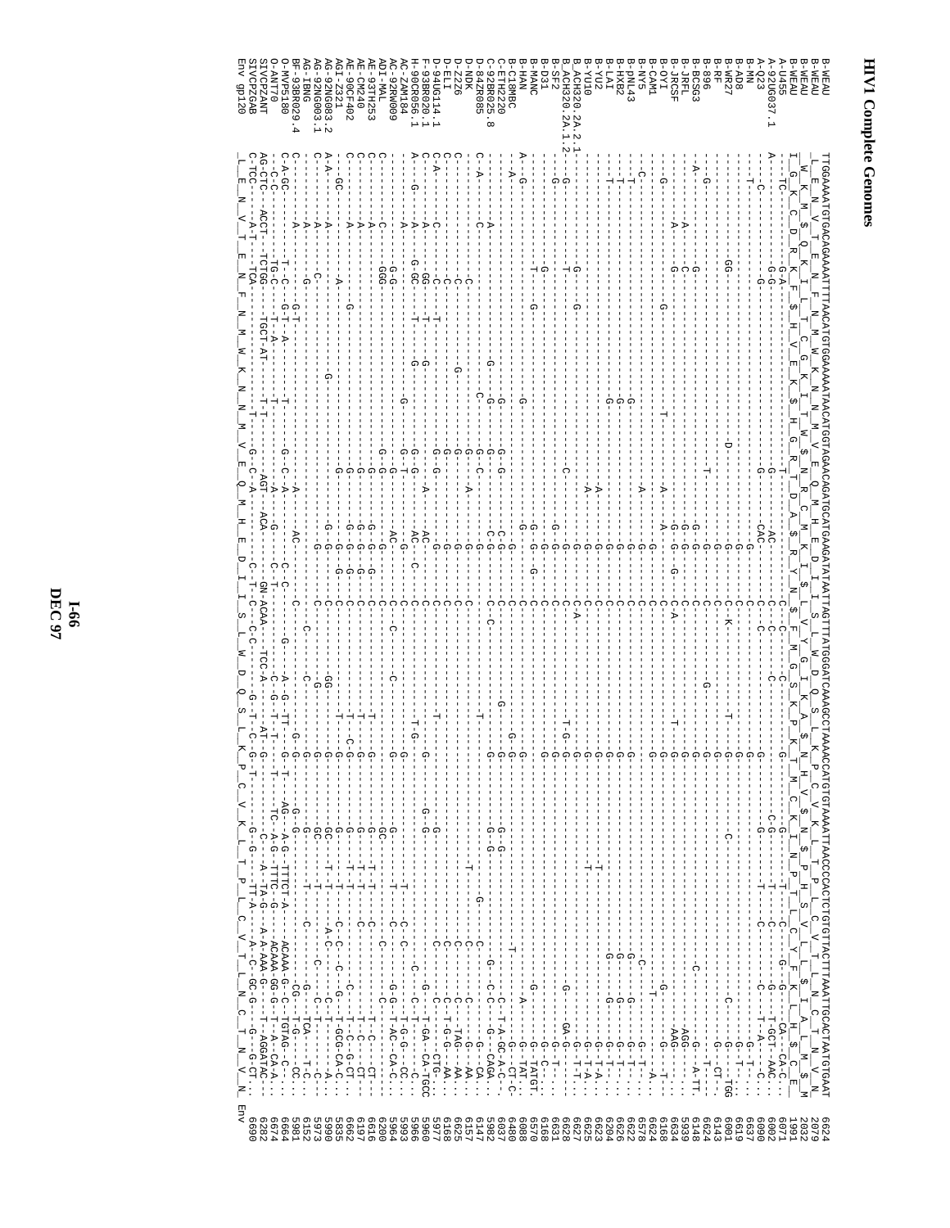| ត់<br>ģ<br>ე<br>მ-მ<br>ე –<br>ი<br>∩<br>ទី<br>ດ<br>Ω<br>Ω<br>å<br>ဂ္ဂ်<br>ဂ္ဂ်<br>နှ<br>$\frac{1}{\mathbf{Q}}$<br>⋒<br>ດ<br>Ω<br>Ω<br>C-G<br>Ω<br>ငှ<br>ດ່<br><u>ፌ</u><br>Ω<br>$\frac{1}{2}$<br>မှု<br>ဂှ<br>ဂု<br>ဂှ<br>ω<br>Φ<br>ဂှ<br><u>ဂုံ</u><br>ဂှ<br>နဲ<br><u>ဂုံ</u><br>ှ<br> <br>မှ်<br>၂<br>ဂှ<br>Ģ<br>Ω<br>ω<br>ဂှ<br>ω<br>Ģ<br>ဂှ<br>ω<br>$\frac{1}{2}$<br>Ģ<br>ω<br>ω<br>ω<br>Ģ<br>Φ<br>Φ<br>ω<br>Ω<br>Φ<br>$\Gamma$<br>ł<br>$\frac{1}{1}$<br>ł<br>ł<br>ł<br>ł<br>÷<br>ł<br>ł<br>ł<br>ł<br>÷<br>$\blacksquare$<br>J.<br>$\overline{\phantom{a}}$<br>1<br>$\frac{0}{1}$<br>J.<br>ဂု<br>၂<br>J.<br>$\frac{1}{1}$<br>т<br>п<br>H.<br>-1<br>$\blacksquare$<br>J,<br>$\frac{1}{1}$<br>1<br>ł<br>$\frac{1}{1}$<br>ţ<br>п<br>$\overline{1}$<br>I<br>$\mathbf{I}$<br>т<br>ဂှ<br>ဂု<br> <br>$-29$<br>$-50-$<br>Ω<br>⋒<br>Ω<br>Ω<br>Ω<br>Ω<br>Ω<br>$\frac{0}{1}$<br>Ω<br>Ω<br>Ω<br>Ω<br>Ţ<br>ŧ<br>$\frac{1}{1}$<br>$\frac{1}{1}$<br>ł<br>ု<br>$\frac{1}{1}$<br>$\overline{1}$<br>$\frac{1}{1}$<br>ł<br>ု<br>ł<br>ł<br>$\frac{1}{1}$<br>$\begin{array}{c} \end{array}$<br>Ω<br>Ω<br>$\begin{bmatrix} 1 \\ 1 \\ 1 \\ 1 \end{bmatrix}$<br>Ţ<br>I.<br>$\mathbf{I}$<br>ł<br>$\frac{1}{1}$<br>J.<br>I.<br>$\frac{1}{1}$<br>J<br>I<br>$\mathbf{I}$<br>J<br>п<br>ţ<br>п<br>I<br>$\overline{1}$<br>$\frac{1}{1}$<br>$-1 - 1 - 1 - 1$<br>$\frac{1}{1}$<br>$\frac{1}{1}$<br>i.<br>I.<br>$\mathbf{I}$<br>п<br>$\mathbf{I}$<br>J,<br>J.<br>$\mathbf{I}$<br>J.<br>п<br>1<br>т<br>$\mathbb{I}$<br>$-1 - -1$<br>I<br>- コーーーーーーーー<br>$\mathbf{I}$<br>I.<br>$\mathbb{I}$<br>$\mathbb I$<br>I.<br>$\overline{\phantom{a}}$<br>$\mathbf I$<br>$\mathsf I$<br>$-1 - 1 -$<br>$-L--L$<br>$\overline{\phantom{a}}$<br>I,<br>コーコーー<br>$\mathbf{I}$<br>$\overline{\phantom{a}}$<br>$\frac{1}{2}$<br>$-1$ + $-1$ + $-1$ + $-1$<br>i<br>T<br>$\frac{1}{1}$<br>$\frac{1}{1}$<br>$\overline{\phantom{a}}$<br>$\begin{array}{c} \rule{0.2cm}{0.15mm} \rule{0.2cm}{0.15mm} \rule{0.2cm}{0.15mm} \rule{0.2cm}{0.15mm} \rule{0.2cm}{0.15mm} \rule{0.2cm}{0.15mm} \rule{0.2cm}{0.15mm} \rule{0.2cm}{0.15mm} \rule{0.2cm}{0.15mm} \rule{0.2cm}{0.15mm} \rule{0.2cm}{0.15mm} \rule{0.2cm}{0.15mm} \rule{0.2cm}{0.15mm} \rule{0.2cm}{0.15mm} \rule{0.2cm}{0.15mm} \rule{$<br>I<br>I<br>$\frac{1}{1}$<br>$\frac{1}{4}$<br>$\overline{1}$<br>$\mathbf{I}$<br>п<br>I<br>I<br>부<br>î<br>$\overline{1}$<br>۲<br>ا<br>$\sf I$<br>$\mathbf{I}$<br>$\begin{array}{c} \rule{0.2cm}{0.15mm} \rule{0.2cm}{0.15mm} \rule{0.2cm}{0.15mm} \rule{0.2cm}{0.15mm} \rule{0.2cm}{0.15mm} \rule{0.2cm}{0.15mm} \rule{0.2cm}{0.15mm} \rule{0.2cm}{0.15mm} \rule{0.2cm}{0.15mm} \rule{0.2cm}{0.15mm} \rule{0.2cm}{0.15mm} \rule{0.2cm}{0.15mm} \rule{0.2cm}{0.15mm} \rule{0.2cm}{0.15mm} \rule{0.2cm}{0.15mm} \rule{$<br>I<br>I<br>I<br>$\mathbf{I}$<br>ဂု<br>I<br>T.<br>$\mathbf{I}$<br>$\blacksquare$<br>T.<br>I<br>ı<br>I,<br>$\frac{1}{1}$<br>J.<br>$\mathsf I$<br>$\mathbf{I}$<br>$\frac{1}{1}$<br>I.<br>J.<br>$\mathbf{I}$<br>т<br>$\mathbf{I}$<br>т<br>I<br>т.<br>1<br>$\mathbb{I}$<br>$\mathsf I$<br>I<br>$\mathsf I$<br>$\overline{1}$<br>$\overline{\phantom{a}}$<br>$-1 - 1 - 1$<br>$\frac{1}{1}$<br>$\frac{1}{2}$<br>$\frac{1}{1}$<br>$-5 - 5 -$<br>^ ^<br>   <br>   <br>$C -$<br>$\frac{1}{1}$<br>ု<br>п<br>$\mathbf{I}$<br>-1<br>J,<br>$\overline{\phantom{a}}$<br>$A - C - - - - - -$<br>$\mathsf I$<br>$\mathbb I$<br>$\mathbf{I}$<br>$\mathsf I$<br>$\mathsf I$<br>I,<br>$\mathfrak{t}$<br>$\mathsf I$<br>$\mathsf I$<br>$\overline{\phantom{a}}$<br>I<br>$\frac{1}{1}$<br>$\frac{1}{2}$<br>$\mathsf I$<br>$\frac{1}{1}$<br>$\frac{1}{1}$<br>$\frac{1}{1}$<br>$\frac{1}{2}$<br>$\frac{1}{1}$<br>J.<br>$\blacksquare$<br>J.<br>Ω<br>Ţ<br>$\blacksquare$<br>J.<br>$\Gamma$<br>$\Gamma$<br>$C - - - -$<br>$C - - - -$<br>Ω<br>$\begin{array}{c} \hline \end{array}$<br>$\frac{1}{1}$<br>I<br>J.<br>----C----G----F-GCG-CA-C.<br>$\frac{1}{1}$<br>$-6 -$<br>4<br>-<br>J<br>I.<br>$\mathbf{I}$<br>$\mathbf{I}$<br>ŧ<br>$\begin{array}{c} 1 \\ 1 \\ 1 \end{array}$<br>$\overline{1}$<br>ှ<br> -<br>မှာ<br>၂<br>ဂှ<br>$\mathbb{I}$<br>ł<br>$\frac{1}{1}$<br>$\frac{1}{1}$<br>$\mathbf{I}$<br>$-1$<br>I.<br>$\blacksquare$<br>Í<br>$\frac{1}{1}$<br>$\blacksquare$<br>J.<br>Ģ<br>$\overline{\phantom{a}}$<br>Í<br>$\frac{1}{2}$<br>I.<br>$\mathbf{I}$<br>п<br>I.<br>$\blacksquare$<br>$\mathbf{I}$<br>ı<br>т<br>$\mathbf{I}$<br>$\mathsf I$<br>$\frac{1}{1}$<br>I.<br>I.<br>$\overline{\phantom{a}}$<br>$\mathsf I$<br>$\mathsf I$<br>$\mathbf I$<br>I,<br>J.<br>ı<br>$-6 -$<br>$\begin{array}{c} \rule{0pt}{2.5ex} \rule{0pt}{2.5ex} \rule{0pt}{2.5ex} \rule{0pt}{2.5ex} \rule{0pt}{2.5ex} \rule{0pt}{2.5ex} \rule{0pt}{2.5ex} \rule{0pt}{2.5ex} \rule{0pt}{2.5ex} \rule{0pt}{2.5ex} \rule{0pt}{2.5ex} \rule{0pt}{2.5ex} \rule{0pt}{2.5ex} \rule{0pt}{2.5ex} \rule{0pt}{2.5ex} \rule{0pt}{2.5ex} \rule{0pt}{2.5ex} \rule{0pt}{2.5ex} \rule{0pt}{2.5ex} \rule{0$<br>I,<br>I<br>$\mathbb I$<br>$-1 - C -$<br>İ<br>$\Gamma$<br>Ţ<br>$\frac{1}{\Omega}$<br>$C-C$ -<br>I,<br>$C -$<br>$\overline{\phantom{a}}$<br>$\frac{1}{1}$<br>Ţ<br>$-1 - 2 - 1 - 1 -$<br>$-2 - 7 - 7 - 8 - 9 - 1 - 1$<br>$-1$<br>$\mathbf{I}$<br>--C--F-A-GC-A-C--<br>--9--<br>ဂု<br>$\blacksquare$<br>J.<br>$\overline{C}$<br>Ţ<br>ţ<br>$\frac{1}{\Omega}$<br>$-1 - 5 - 1$<br>I<br>ဂု<br>$\overline{1}$<br>I<br>I<br>J<br>م-<br>-<br>ဂု<br>$\frac{1}{1}$<br>$\frac{1}{1}$<br>$\blacksquare$<br>J.<br>J<br>I.<br>I<br>$\blacksquare$<br>$\mathbf{I}$<br>$\mathbf{I}$<br>т<br>Q<br>Ω<br>Ω<br>$\overline{1}$<br>G<br>$---TCA---$<br>Ţ<br>$-1 - 1 - 0 - 0 - 0 - 0$<br>$\frac{1}{1}$<br>J.<br>$\mathsf I$<br>$-T - G - G - - CC$ .<br>$\frac{1}{1}$<br>$\frac{1}{1}$<br>I<br>$\overline{1}$<br>Ť<br>J<br>I.<br>$\mathsf I$<br>I<br>$-1 - 2 - - - - - - -$<br>$-T-GCT - AAC$ .<br>$-1$<br>$\frac{1}{1}$<br>J<br>$\mathbf{I}$<br>$\blacksquare$<br>т<br>--GA-G<br>т<br>$\overline{1}$<br>I<br>т<br>$\frac{1}{1}$<br>T-C----CT-<br>I.<br>$\overline{1}$<br>Ï<br>T-AC--CA-C.<br>T-GA--CA-TGCC<br>$\mathbf I$<br>$\mathbf{I}$<br>$\mathbb{I}$<br>$\blacksquare$<br>$---TAG---AA$<br>$-G---CAGA$<br>$------CTC-$<br>I<br>I<br>I<br>$---G---AA$<br>AAG.<br>$\blacksquare$<br>$\blacksquare$<br>$\frac{1}{1}$<br>$\mathbf{I}$<br>J.<br>J.<br>$\blacksquare$<br>J.<br>Ţ<br>$\mathbf{I}$<br>$\blacksquare$<br>J.<br>$\blacksquare$<br>$-554$<br>$\mathbf{I}$<br>J.<br>$\overline{1}$<br>J<br>ı<br>$\mathbf{I}$<br>п<br>$\mathbf{I}$<br>$\mathbf{I}$<br>$\frac{1}{1}$<br>$-9$ - $-1$ - $-1$<br>$\overline{1}$<br>$\mathbf{I}$<br>л<br>1<br>$\overline{1}$<br>л<br>Ω<br>Ω<br>Ω<br>Ω<br>Ω<br>Ω<br>Ω<br>Ω<br>Ω<br>Ω<br>Ω<br>Ω<br>Ω<br>ଋ<br>Ω<br>Ω<br>Ţ<br>Ŧ<br>$-1-C$ .<br>$\overline{\phantom{a}}$<br>$\blacksquare$<br>÷<br>$-TTAT$ .<br>--TATGT<br>$\frac{1}{1}$<br>ŧ<br>$\frac{1}{1}$<br>Ť<br>$-T - A$ .<br>$\frac{1}{1}$<br>Ť<br>Ť<br>Ť<br>$\frac{1}{1}$<br>ļ<br>ţ<br>ţ<br>$\frac{1}{1}$<br>----A.<br>$-1 - C T - -$<br>$\frac{1}{1}$<br>$\mathbf{I}$<br>$C - -$<br>÷<br>∶<br>$\overline{1}$<br>$T - A$ .<br>÷<br>∶<br>$\frac{1}{2}$<br>$\frac{1}{2}$<br>$\mathsf I$<br>$\begin{array}{c} \n\hline\n\vdots \\ \hline\n\end{array}$<br>$-4.$ | $-1 - 1 - 0$<br>$\frac{1}{1}$<br>I<br>J.<br>$-LC--$<br>$AG - - -$<br>$D - K$<br>$A-G$<br>$-1 = 2 + 1 = 0 - 0 = 0 - 0 = 0$<br>$\mathsf I$<br>1<br>I.<br>$-RCAAA-GG-G--T--A--CA- A \ . \ .$ | $\mathbf{I}$ |  | -A-GC<br>†<br>5 |
|--------------------------------------------------------------------------------------------------------------------------------------------------------------------------------------------------------------------------------------------------------------------------------------------------------------------------------------------------------------------------------------------------------------------------------------------------------------------------------------------------------------------------------------------------------------------------------------------------------------------------------------------------------------------------------------------------------------------------------------------------------------------------------------------------------------------------------------------------------------------------------------------------------------------------------------------------------------------------------------------------------------------------------------------------------------------------------------------------------------------------------------------------------------------------------------------------------------------------------------------------------------------------------------------------------------------------------------------------------------------------------------------------------------------------------------------------------------------------------------------------------------------------------------------------------------------------------------------------------------------------------------------------------------------------------------------------------------------------------------------------------------------------------------------------------------------------------------------------------------------------------------------------------------------------------------------------------------------------------------------------------------------------------------------------------------------------------------------------------------------------------------------------------------------------------------------------------------------------------------------------------------------------------------------------------------------------------------------------------------------------------------------------------------------------------------------------------------------------------------------------------------------------------------------------------------------------------------------------------------------------------------------------------------------------------------------------------------------------------------------------------------------------------------------------------------------------------------------------------------------------------------------------------------------------------------------------------------------------------------------------------------------------------------------------------------------------------------------------------------------------------------------------------------------------------------------------------------------------------------------------------------------------------------------------------------------------------------------------------------------------------------------------------------------------------------------------------------------------------------------------------------------------------------------------------------------------------------------------------------------------------------------------------------------------------------------------------------------------------------------------------------------------------------------------------------------------------------------------------------------------------------------------------------------------------------------------------------------------------------------------------------------------------------------------------------------------------------------------------------------------------------------------------------------------------------------------------------------------------------------------------------------------------------------------------------------------------------------------------------------------------------------------------------------------------------------------------------------------------------------------------------------------------------------------------------------------------------------------------------------------------------------------------------------------------------------------------------------------------------------------------------------------------------------------------------------------------------------------------------------------------------------------------------------------------------------------------------------------------------------------------------------------------------------------------------------------------------------------------------------------------------------------------------------------------------------------------------------------------------------------------------------------------------------------------------------------------------------------------------------------------------------------------------------------------------------------------------------------------------------------------------------------------------------------------------------------------------------------------------------------------------------------------------------------------------------------------------------------------------------------------------------------------------------------------------------------------------------------------------------------------------------------------------------------------------------------------------------------------------------------------------------------------------------------------------------------------------------------------------------------------------------------------------------------------------------------------------------------------------------------------------------------------------------------------------------------------------------------------------------------------------------------------------------------------------------------------------------------------------------------------------------------------------------------------------------------------------------------------------------------------------------------------------------------------------------------------------------------------------------------------------------------------------------------------------------------------------------------------------------------------------------------------------------------------------------------------------------------------------------------------------------------------------------------------------------------------------------------------------------------------------------------|-------------------------------------------------------------------------------------------------------------------------------------------------------------------------------------------|--------------|--|-----------------|
|                                                                                                                                                                                                                                                                                                                                                                                                                                                                                                                                                                                                                                                                                                                                                                                                                                                                                                                                                                                                                                                                                                                                                                                                                                                                                                                                                                                                                                                                                                                                                                                                                                                                                                                                                                                                                                                                                                                                                                                                                                                                                                                                                                                                                                                                                                                                                                                                                                                                                                                                                                                                                                                                                                                                                                                                                                                                                                                                                                                                                                                                                                                                                                                                                                                                                                                                                                                                                                                                                                                                                                                                                                                                                                                                                                                                                                                                                                                                                                                                                                                                                                                                                                                                                                                                                                                                                                                                                                                                                                                                                                                                                                                                                                                                                                                                                                                                                                                                                                                                                                                                                                                                                                                                                                                                                                                                                                                                                                                                                                                                                                                                                                                                                                                                                                                                                                                                                                                                                                                                                                                                                                                                                                                                                                                                                                                                                                                                                                                                                                                                                                                                                                                                                                                                                                                                                                                                                                                                                                                                                                                                                                                                                  |                                                                                                                                                                                           |              |  |                 |
|                                                                                                                                                                                                                                                                                                                                                                                                                                                                                                                                                                                                                                                                                                                                                                                                                                                                                                                                                                                                                                                                                                                                                                                                                                                                                                                                                                                                                                                                                                                                                                                                                                                                                                                                                                                                                                                                                                                                                                                                                                                                                                                                                                                                                                                                                                                                                                                                                                                                                                                                                                                                                                                                                                                                                                                                                                                                                                                                                                                                                                                                                                                                                                                                                                                                                                                                                                                                                                                                                                                                                                                                                                                                                                                                                                                                                                                                                                                                                                                                                                                                                                                                                                                                                                                                                                                                                                                                                                                                                                                                                                                                                                                                                                                                                                                                                                                                                                                                                                                                                                                                                                                                                                                                                                                                                                                                                                                                                                                                                                                                                                                                                                                                                                                                                                                                                                                                                                                                                                                                                                                                                                                                                                                                                                                                                                                                                                                                                                                                                                                                                                                                                                                                                                                                                                                                                                                                                                                                                                                                                                                                                                                                                  |                                                                                                                                                                                           |              |  |                 |
|                                                                                                                                                                                                                                                                                                                                                                                                                                                                                                                                                                                                                                                                                                                                                                                                                                                                                                                                                                                                                                                                                                                                                                                                                                                                                                                                                                                                                                                                                                                                                                                                                                                                                                                                                                                                                                                                                                                                                                                                                                                                                                                                                                                                                                                                                                                                                                                                                                                                                                                                                                                                                                                                                                                                                                                                                                                                                                                                                                                                                                                                                                                                                                                                                                                                                                                                                                                                                                                                                                                                                                                                                                                                                                                                                                                                                                                                                                                                                                                                                                                                                                                                                                                                                                                                                                                                                                                                                                                                                                                                                                                                                                                                                                                                                                                                                                                                                                                                                                                                                                                                                                                                                                                                                                                                                                                                                                                                                                                                                                                                                                                                                                                                                                                                                                                                                                                                                                                                                                                                                                                                                                                                                                                                                                                                                                                                                                                                                                                                                                                                                                                                                                                                                                                                                                                                                                                                                                                                                                                                                                                                                                                                                  |                                                                                                                                                                                           |              |  |                 |
|                                                                                                                                                                                                                                                                                                                                                                                                                                                                                                                                                                                                                                                                                                                                                                                                                                                                                                                                                                                                                                                                                                                                                                                                                                                                                                                                                                                                                                                                                                                                                                                                                                                                                                                                                                                                                                                                                                                                                                                                                                                                                                                                                                                                                                                                                                                                                                                                                                                                                                                                                                                                                                                                                                                                                                                                                                                                                                                                                                                                                                                                                                                                                                                                                                                                                                                                                                                                                                                                                                                                                                                                                                                                                                                                                                                                                                                                                                                                                                                                                                                                                                                                                                                                                                                                                                                                                                                                                                                                                                                                                                                                                                                                                                                                                                                                                                                                                                                                                                                                                                                                                                                                                                                                                                                                                                                                                                                                                                                                                                                                                                                                                                                                                                                                                                                                                                                                                                                                                                                                                                                                                                                                                                                                                                                                                                                                                                                                                                                                                                                                                                                                                                                                                                                                                                                                                                                                                                                                                                                                                                                                                                                                                  |                                                                                                                                                                                           |              |  |                 |
|                                                                                                                                                                                                                                                                                                                                                                                                                                                                                                                                                                                                                                                                                                                                                                                                                                                                                                                                                                                                                                                                                                                                                                                                                                                                                                                                                                                                                                                                                                                                                                                                                                                                                                                                                                                                                                                                                                                                                                                                                                                                                                                                                                                                                                                                                                                                                                                                                                                                                                                                                                                                                                                                                                                                                                                                                                                                                                                                                                                                                                                                                                                                                                                                                                                                                                                                                                                                                                                                                                                                                                                                                                                                                                                                                                                                                                                                                                                                                                                                                                                                                                                                                                                                                                                                                                                                                                                                                                                                                                                                                                                                                                                                                                                                                                                                                                                                                                                                                                                                                                                                                                                                                                                                                                                                                                                                                                                                                                                                                                                                                                                                                                                                                                                                                                                                                                                                                                                                                                                                                                                                                                                                                                                                                                                                                                                                                                                                                                                                                                                                                                                                                                                                                                                                                                                                                                                                                                                                                                                                                                                                                                                                                  |                                                                                                                                                                                           |              |  |                 |
|                                                                                                                                                                                                                                                                                                                                                                                                                                                                                                                                                                                                                                                                                                                                                                                                                                                                                                                                                                                                                                                                                                                                                                                                                                                                                                                                                                                                                                                                                                                                                                                                                                                                                                                                                                                                                                                                                                                                                                                                                                                                                                                                                                                                                                                                                                                                                                                                                                                                                                                                                                                                                                                                                                                                                                                                                                                                                                                                                                                                                                                                                                                                                                                                                                                                                                                                                                                                                                                                                                                                                                                                                                                                                                                                                                                                                                                                                                                                                                                                                                                                                                                                                                                                                                                                                                                                                                                                                                                                                                                                                                                                                                                                                                                                                                                                                                                                                                                                                                                                                                                                                                                                                                                                                                                                                                                                                                                                                                                                                                                                                                                                                                                                                                                                                                                                                                                                                                                                                                                                                                                                                                                                                                                                                                                                                                                                                                                                                                                                                                                                                                                                                                                                                                                                                                                                                                                                                                                                                                                                                                                                                                                                                  |                                                                                                                                                                                           |              |  |                 |
|                                                                                                                                                                                                                                                                                                                                                                                                                                                                                                                                                                                                                                                                                                                                                                                                                                                                                                                                                                                                                                                                                                                                                                                                                                                                                                                                                                                                                                                                                                                                                                                                                                                                                                                                                                                                                                                                                                                                                                                                                                                                                                                                                                                                                                                                                                                                                                                                                                                                                                                                                                                                                                                                                                                                                                                                                                                                                                                                                                                                                                                                                                                                                                                                                                                                                                                                                                                                                                                                                                                                                                                                                                                                                                                                                                                                                                                                                                                                                                                                                                                                                                                                                                                                                                                                                                                                                                                                                                                                                                                                                                                                                                                                                                                                                                                                                                                                                                                                                                                                                                                                                                                                                                                                                                                                                                                                                                                                                                                                                                                                                                                                                                                                                                                                                                                                                                                                                                                                                                                                                                                                                                                                                                                                                                                                                                                                                                                                                                                                                                                                                                                                                                                                                                                                                                                                                                                                                                                                                                                                                                                                                                                                                  |                                                                                                                                                                                           |              |  |                 |
|                                                                                                                                                                                                                                                                                                                                                                                                                                                                                                                                                                                                                                                                                                                                                                                                                                                                                                                                                                                                                                                                                                                                                                                                                                                                                                                                                                                                                                                                                                                                                                                                                                                                                                                                                                                                                                                                                                                                                                                                                                                                                                                                                                                                                                                                                                                                                                                                                                                                                                                                                                                                                                                                                                                                                                                                                                                                                                                                                                                                                                                                                                                                                                                                                                                                                                                                                                                                                                                                                                                                                                                                                                                                                                                                                                                                                                                                                                                                                                                                                                                                                                                                                                                                                                                                                                                                                                                                                                                                                                                                                                                                                                                                                                                                                                                                                                                                                                                                                                                                                                                                                                                                                                                                                                                                                                                                                                                                                                                                                                                                                                                                                                                                                                                                                                                                                                                                                                                                                                                                                                                                                                                                                                                                                                                                                                                                                                                                                                                                                                                                                                                                                                                                                                                                                                                                                                                                                                                                                                                                                                                                                                                                                  |                                                                                                                                                                                           |              |  |                 |
|                                                                                                                                                                                                                                                                                                                                                                                                                                                                                                                                                                                                                                                                                                                                                                                                                                                                                                                                                                                                                                                                                                                                                                                                                                                                                                                                                                                                                                                                                                                                                                                                                                                                                                                                                                                                                                                                                                                                                                                                                                                                                                                                                                                                                                                                                                                                                                                                                                                                                                                                                                                                                                                                                                                                                                                                                                                                                                                                                                                                                                                                                                                                                                                                                                                                                                                                                                                                                                                                                                                                                                                                                                                                                                                                                                                                                                                                                                                                                                                                                                                                                                                                                                                                                                                                                                                                                                                                                                                                                                                                                                                                                                                                                                                                                                                                                                                                                                                                                                                                                                                                                                                                                                                                                                                                                                                                                                                                                                                                                                                                                                                                                                                                                                                                                                                                                                                                                                                                                                                                                                                                                                                                                                                                                                                                                                                                                                                                                                                                                                                                                                                                                                                                                                                                                                                                                                                                                                                                                                                                                                                                                                                                                  |                                                                                                                                                                                           |              |  |                 |
|                                                                                                                                                                                                                                                                                                                                                                                                                                                                                                                                                                                                                                                                                                                                                                                                                                                                                                                                                                                                                                                                                                                                                                                                                                                                                                                                                                                                                                                                                                                                                                                                                                                                                                                                                                                                                                                                                                                                                                                                                                                                                                                                                                                                                                                                                                                                                                                                                                                                                                                                                                                                                                                                                                                                                                                                                                                                                                                                                                                                                                                                                                                                                                                                                                                                                                                                                                                                                                                                                                                                                                                                                                                                                                                                                                                                                                                                                                                                                                                                                                                                                                                                                                                                                                                                                                                                                                                                                                                                                                                                                                                                                                                                                                                                                                                                                                                                                                                                                                                                                                                                                                                                                                                                                                                                                                                                                                                                                                                                                                                                                                                                                                                                                                                                                                                                                                                                                                                                                                                                                                                                                                                                                                                                                                                                                                                                                                                                                                                                                                                                                                                                                                                                                                                                                                                                                                                                                                                                                                                                                                                                                                                                                  |                                                                                                                                                                                           |              |  |                 |
|                                                                                                                                                                                                                                                                                                                                                                                                                                                                                                                                                                                                                                                                                                                                                                                                                                                                                                                                                                                                                                                                                                                                                                                                                                                                                                                                                                                                                                                                                                                                                                                                                                                                                                                                                                                                                                                                                                                                                                                                                                                                                                                                                                                                                                                                                                                                                                                                                                                                                                                                                                                                                                                                                                                                                                                                                                                                                                                                                                                                                                                                                                                                                                                                                                                                                                                                                                                                                                                                                                                                                                                                                                                                                                                                                                                                                                                                                                                                                                                                                                                                                                                                                                                                                                                                                                                                                                                                                                                                                                                                                                                                                                                                                                                                                                                                                                                                                                                                                                                                                                                                                                                                                                                                                                                                                                                                                                                                                                                                                                                                                                                                                                                                                                                                                                                                                                                                                                                                                                                                                                                                                                                                                                                                                                                                                                                                                                                                                                                                                                                                                                                                                                                                                                                                                                                                                                                                                                                                                                                                                                                                                                                                                  |                                                                                                                                                                                           |              |  |                 |
|                                                                                                                                                                                                                                                                                                                                                                                                                                                                                                                                                                                                                                                                                                                                                                                                                                                                                                                                                                                                                                                                                                                                                                                                                                                                                                                                                                                                                                                                                                                                                                                                                                                                                                                                                                                                                                                                                                                                                                                                                                                                                                                                                                                                                                                                                                                                                                                                                                                                                                                                                                                                                                                                                                                                                                                                                                                                                                                                                                                                                                                                                                                                                                                                                                                                                                                                                                                                                                                                                                                                                                                                                                                                                                                                                                                                                                                                                                                                                                                                                                                                                                                                                                                                                                                                                                                                                                                                                                                                                                                                                                                                                                                                                                                                                                                                                                                                                                                                                                                                                                                                                                                                                                                                                                                                                                                                                                                                                                                                                                                                                                                                                                                                                                                                                                                                                                                                                                                                                                                                                                                                                                                                                                                                                                                                                                                                                                                                                                                                                                                                                                                                                                                                                                                                                                                                                                                                                                                                                                                                                                                                                                                                                  |                                                                                                                                                                                           |              |  |                 |
|                                                                                                                                                                                                                                                                                                                                                                                                                                                                                                                                                                                                                                                                                                                                                                                                                                                                                                                                                                                                                                                                                                                                                                                                                                                                                                                                                                                                                                                                                                                                                                                                                                                                                                                                                                                                                                                                                                                                                                                                                                                                                                                                                                                                                                                                                                                                                                                                                                                                                                                                                                                                                                                                                                                                                                                                                                                                                                                                                                                                                                                                                                                                                                                                                                                                                                                                                                                                                                                                                                                                                                                                                                                                                                                                                                                                                                                                                                                                                                                                                                                                                                                                                                                                                                                                                                                                                                                                                                                                                                                                                                                                                                                                                                                                                                                                                                                                                                                                                                                                                                                                                                                                                                                                                                                                                                                                                                                                                                                                                                                                                                                                                                                                                                                                                                                                                                                                                                                                                                                                                                                                                                                                                                                                                                                                                                                                                                                                                                                                                                                                                                                                                                                                                                                                                                                                                                                                                                                                                                                                                                                                                                                                                  |                                                                                                                                                                                           |              |  |                 |
|                                                                                                                                                                                                                                                                                                                                                                                                                                                                                                                                                                                                                                                                                                                                                                                                                                                                                                                                                                                                                                                                                                                                                                                                                                                                                                                                                                                                                                                                                                                                                                                                                                                                                                                                                                                                                                                                                                                                                                                                                                                                                                                                                                                                                                                                                                                                                                                                                                                                                                                                                                                                                                                                                                                                                                                                                                                                                                                                                                                                                                                                                                                                                                                                                                                                                                                                                                                                                                                                                                                                                                                                                                                                                                                                                                                                                                                                                                                                                                                                                                                                                                                                                                                                                                                                                                                                                                                                                                                                                                                                                                                                                                                                                                                                                                                                                                                                                                                                                                                                                                                                                                                                                                                                                                                                                                                                                                                                                                                                                                                                                                                                                                                                                                                                                                                                                                                                                                                                                                                                                                                                                                                                                                                                                                                                                                                                                                                                                                                                                                                                                                                                                                                                                                                                                                                                                                                                                                                                                                                                                                                                                                                                                  |                                                                                                                                                                                           |              |  |                 |
|                                                                                                                                                                                                                                                                                                                                                                                                                                                                                                                                                                                                                                                                                                                                                                                                                                                                                                                                                                                                                                                                                                                                                                                                                                                                                                                                                                                                                                                                                                                                                                                                                                                                                                                                                                                                                                                                                                                                                                                                                                                                                                                                                                                                                                                                                                                                                                                                                                                                                                                                                                                                                                                                                                                                                                                                                                                                                                                                                                                                                                                                                                                                                                                                                                                                                                                                                                                                                                                                                                                                                                                                                                                                                                                                                                                                                                                                                                                                                                                                                                                                                                                                                                                                                                                                                                                                                                                                                                                                                                                                                                                                                                                                                                                                                                                                                                                                                                                                                                                                                                                                                                                                                                                                                                                                                                                                                                                                                                                                                                                                                                                                                                                                                                                                                                                                                                                                                                                                                                                                                                                                                                                                                                                                                                                                                                                                                                                                                                                                                                                                                                                                                                                                                                                                                                                                                                                                                                                                                                                                                                                                                                                                                  |                                                                                                                                                                                           |              |  |                 |
|                                                                                                                                                                                                                                                                                                                                                                                                                                                                                                                                                                                                                                                                                                                                                                                                                                                                                                                                                                                                                                                                                                                                                                                                                                                                                                                                                                                                                                                                                                                                                                                                                                                                                                                                                                                                                                                                                                                                                                                                                                                                                                                                                                                                                                                                                                                                                                                                                                                                                                                                                                                                                                                                                                                                                                                                                                                                                                                                                                                                                                                                                                                                                                                                                                                                                                                                                                                                                                                                                                                                                                                                                                                                                                                                                                                                                                                                                                                                                                                                                                                                                                                                                                                                                                                                                                                                                                                                                                                                                                                                                                                                                                                                                                                                                                                                                                                                                                                                                                                                                                                                                                                                                                                                                                                                                                                                                                                                                                                                                                                                                                                                                                                                                                                                                                                                                                                                                                                                                                                                                                                                                                                                                                                                                                                                                                                                                                                                                                                                                                                                                                                                                                                                                                                                                                                                                                                                                                                                                                                                                                                                                                                                                  |                                                                                                                                                                                           |              |  |                 |
|                                                                                                                                                                                                                                                                                                                                                                                                                                                                                                                                                                                                                                                                                                                                                                                                                                                                                                                                                                                                                                                                                                                                                                                                                                                                                                                                                                                                                                                                                                                                                                                                                                                                                                                                                                                                                                                                                                                                                                                                                                                                                                                                                                                                                                                                                                                                                                                                                                                                                                                                                                                                                                                                                                                                                                                                                                                                                                                                                                                                                                                                                                                                                                                                                                                                                                                                                                                                                                                                                                                                                                                                                                                                                                                                                                                                                                                                                                                                                                                                                                                                                                                                                                                                                                                                                                                                                                                                                                                                                                                                                                                                                                                                                                                                                                                                                                                                                                                                                                                                                                                                                                                                                                                                                                                                                                                                                                                                                                                                                                                                                                                                                                                                                                                                                                                                                                                                                                                                                                                                                                                                                                                                                                                                                                                                                                                                                                                                                                                                                                                                                                                                                                                                                                                                                                                                                                                                                                                                                                                                                                                                                                                                                  |                                                                                                                                                                                           |              |  |                 |
|                                                                                                                                                                                                                                                                                                                                                                                                                                                                                                                                                                                                                                                                                                                                                                                                                                                                                                                                                                                                                                                                                                                                                                                                                                                                                                                                                                                                                                                                                                                                                                                                                                                                                                                                                                                                                                                                                                                                                                                                                                                                                                                                                                                                                                                                                                                                                                                                                                                                                                                                                                                                                                                                                                                                                                                                                                                                                                                                                                                                                                                                                                                                                                                                                                                                                                                                                                                                                                                                                                                                                                                                                                                                                                                                                                                                                                                                                                                                                                                                                                                                                                                                                                                                                                                                                                                                                                                                                                                                                                                                                                                                                                                                                                                                                                                                                                                                                                                                                                                                                                                                                                                                                                                                                                                                                                                                                                                                                                                                                                                                                                                                                                                                                                                                                                                                                                                                                                                                                                                                                                                                                                                                                                                                                                                                                                                                                                                                                                                                                                                                                                                                                                                                                                                                                                                                                                                                                                                                                                                                                                                                                                                                                  |                                                                                                                                                                                           |              |  |                 |
|                                                                                                                                                                                                                                                                                                                                                                                                                                                                                                                                                                                                                                                                                                                                                                                                                                                                                                                                                                                                                                                                                                                                                                                                                                                                                                                                                                                                                                                                                                                                                                                                                                                                                                                                                                                                                                                                                                                                                                                                                                                                                                                                                                                                                                                                                                                                                                                                                                                                                                                                                                                                                                                                                                                                                                                                                                                                                                                                                                                                                                                                                                                                                                                                                                                                                                                                                                                                                                                                                                                                                                                                                                                                                                                                                                                                                                                                                                                                                                                                                                                                                                                                                                                                                                                                                                                                                                                                                                                                                                                                                                                                                                                                                                                                                                                                                                                                                                                                                                                                                                                                                                                                                                                                                                                                                                                                                                                                                                                                                                                                                                                                                                                                                                                                                                                                                                                                                                                                                                                                                                                                                                                                                                                                                                                                                                                                                                                                                                                                                                                                                                                                                                                                                                                                                                                                                                                                                                                                                                                                                                                                                                                                                  |                                                                                                                                                                                           |              |  |                 |
|                                                                                                                                                                                                                                                                                                                                                                                                                                                                                                                                                                                                                                                                                                                                                                                                                                                                                                                                                                                                                                                                                                                                                                                                                                                                                                                                                                                                                                                                                                                                                                                                                                                                                                                                                                                                                                                                                                                                                                                                                                                                                                                                                                                                                                                                                                                                                                                                                                                                                                                                                                                                                                                                                                                                                                                                                                                                                                                                                                                                                                                                                                                                                                                                                                                                                                                                                                                                                                                                                                                                                                                                                                                                                                                                                                                                                                                                                                                                                                                                                                                                                                                                                                                                                                                                                                                                                                                                                                                                                                                                                                                                                                                                                                                                                                                                                                                                                                                                                                                                                                                                                                                                                                                                                                                                                                                                                                                                                                                                                                                                                                                                                                                                                                                                                                                                                                                                                                                                                                                                                                                                                                                                                                                                                                                                                                                                                                                                                                                                                                                                                                                                                                                                                                                                                                                                                                                                                                                                                                                                                                                                                                                                                  |                                                                                                                                                                                           |              |  |                 |
|                                                                                                                                                                                                                                                                                                                                                                                                                                                                                                                                                                                                                                                                                                                                                                                                                                                                                                                                                                                                                                                                                                                                                                                                                                                                                                                                                                                                                                                                                                                                                                                                                                                                                                                                                                                                                                                                                                                                                                                                                                                                                                                                                                                                                                                                                                                                                                                                                                                                                                                                                                                                                                                                                                                                                                                                                                                                                                                                                                                                                                                                                                                                                                                                                                                                                                                                                                                                                                                                                                                                                                                                                                                                                                                                                                                                                                                                                                                                                                                                                                                                                                                                                                                                                                                                                                                                                                                                                                                                                                                                                                                                                                                                                                                                                                                                                                                                                                                                                                                                                                                                                                                                                                                                                                                                                                                                                                                                                                                                                                                                                                                                                                                                                                                                                                                                                                                                                                                                                                                                                                                                                                                                                                                                                                                                                                                                                                                                                                                                                                                                                                                                                                                                                                                                                                                                                                                                                                                                                                                                                                                                                                                                                  |                                                                                                                                                                                           |              |  |                 |
|                                                                                                                                                                                                                                                                                                                                                                                                                                                                                                                                                                                                                                                                                                                                                                                                                                                                                                                                                                                                                                                                                                                                                                                                                                                                                                                                                                                                                                                                                                                                                                                                                                                                                                                                                                                                                                                                                                                                                                                                                                                                                                                                                                                                                                                                                                                                                                                                                                                                                                                                                                                                                                                                                                                                                                                                                                                                                                                                                                                                                                                                                                                                                                                                                                                                                                                                                                                                                                                                                                                                                                                                                                                                                                                                                                                                                                                                                                                                                                                                                                                                                                                                                                                                                                                                                                                                                                                                                                                                                                                                                                                                                                                                                                                                                                                                                                                                                                                                                                                                                                                                                                                                                                                                                                                                                                                                                                                                                                                                                                                                                                                                                                                                                                                                                                                                                                                                                                                                                                                                                                                                                                                                                                                                                                                                                                                                                                                                                                                                                                                                                                                                                                                                                                                                                                                                                                                                                                                                                                                                                                                                                                                                                  |                                                                                                                                                                                           |              |  |                 |
|                                                                                                                                                                                                                                                                                                                                                                                                                                                                                                                                                                                                                                                                                                                                                                                                                                                                                                                                                                                                                                                                                                                                                                                                                                                                                                                                                                                                                                                                                                                                                                                                                                                                                                                                                                                                                                                                                                                                                                                                                                                                                                                                                                                                                                                                                                                                                                                                                                                                                                                                                                                                                                                                                                                                                                                                                                                                                                                                                                                                                                                                                                                                                                                                                                                                                                                                                                                                                                                                                                                                                                                                                                                                                                                                                                                                                                                                                                                                                                                                                                                                                                                                                                                                                                                                                                                                                                                                                                                                                                                                                                                                                                                                                                                                                                                                                                                                                                                                                                                                                                                                                                                                                                                                                                                                                                                                                                                                                                                                                                                                                                                                                                                                                                                                                                                                                                                                                                                                                                                                                                                                                                                                                                                                                                                                                                                                                                                                                                                                                                                                                                                                                                                                                                                                                                                                                                                                                                                                                                                                                                                                                                                                                  |                                                                                                                                                                                           |              |  |                 |
|                                                                                                                                                                                                                                                                                                                                                                                                                                                                                                                                                                                                                                                                                                                                                                                                                                                                                                                                                                                                                                                                                                                                                                                                                                                                                                                                                                                                                                                                                                                                                                                                                                                                                                                                                                                                                                                                                                                                                                                                                                                                                                                                                                                                                                                                                                                                                                                                                                                                                                                                                                                                                                                                                                                                                                                                                                                                                                                                                                                                                                                                                                                                                                                                                                                                                                                                                                                                                                                                                                                                                                                                                                                                                                                                                                                                                                                                                                                                                                                                                                                                                                                                                                                                                                                                                                                                                                                                                                                                                                                                                                                                                                                                                                                                                                                                                                                                                                                                                                                                                                                                                                                                                                                                                                                                                                                                                                                                                                                                                                                                                                                                                                                                                                                                                                                                                                                                                                                                                                                                                                                                                                                                                                                                                                                                                                                                                                                                                                                                                                                                                                                                                                                                                                                                                                                                                                                                                                                                                                                                                                                                                                                                                  |                                                                                                                                                                                           |              |  |                 |
|                                                                                                                                                                                                                                                                                                                                                                                                                                                                                                                                                                                                                                                                                                                                                                                                                                                                                                                                                                                                                                                                                                                                                                                                                                                                                                                                                                                                                                                                                                                                                                                                                                                                                                                                                                                                                                                                                                                                                                                                                                                                                                                                                                                                                                                                                                                                                                                                                                                                                                                                                                                                                                                                                                                                                                                                                                                                                                                                                                                                                                                                                                                                                                                                                                                                                                                                                                                                                                                                                                                                                                                                                                                                                                                                                                                                                                                                                                                                                                                                                                                                                                                                                                                                                                                                                                                                                                                                                                                                                                                                                                                                                                                                                                                                                                                                                                                                                                                                                                                                                                                                                                                                                                                                                                                                                                                                                                                                                                                                                                                                                                                                                                                                                                                                                                                                                                                                                                                                                                                                                                                                                                                                                                                                                                                                                                                                                                                                                                                                                                                                                                                                                                                                                                                                                                                                                                                                                                                                                                                                                                                                                                                                                  |                                                                                                                                                                                           |              |  |                 |
|                                                                                                                                                                                                                                                                                                                                                                                                                                                                                                                                                                                                                                                                                                                                                                                                                                                                                                                                                                                                                                                                                                                                                                                                                                                                                                                                                                                                                                                                                                                                                                                                                                                                                                                                                                                                                                                                                                                                                                                                                                                                                                                                                                                                                                                                                                                                                                                                                                                                                                                                                                                                                                                                                                                                                                                                                                                                                                                                                                                                                                                                                                                                                                                                                                                                                                                                                                                                                                                                                                                                                                                                                                                                                                                                                                                                                                                                                                                                                                                                                                                                                                                                                                                                                                                                                                                                                                                                                                                                                                                                                                                                                                                                                                                                                                                                                                                                                                                                                                                                                                                                                                                                                                                                                                                                                                                                                                                                                                                                                                                                                                                                                                                                                                                                                                                                                                                                                                                                                                                                                                                                                                                                                                                                                                                                                                                                                                                                                                                                                                                                                                                                                                                                                                                                                                                                                                                                                                                                                                                                                                                                                                                                                  |                                                                                                                                                                                           |              |  |                 |
|                                                                                                                                                                                                                                                                                                                                                                                                                                                                                                                                                                                                                                                                                                                                                                                                                                                                                                                                                                                                                                                                                                                                                                                                                                                                                                                                                                                                                                                                                                                                                                                                                                                                                                                                                                                                                                                                                                                                                                                                                                                                                                                                                                                                                                                                                                                                                                                                                                                                                                                                                                                                                                                                                                                                                                                                                                                                                                                                                                                                                                                                                                                                                                                                                                                                                                                                                                                                                                                                                                                                                                                                                                                                                                                                                                                                                                                                                                                                                                                                                                                                                                                                                                                                                                                                                                                                                                                                                                                                                                                                                                                                                                                                                                                                                                                                                                                                                                                                                                                                                                                                                                                                                                                                                                                                                                                                                                                                                                                                                                                                                                                                                                                                                                                                                                                                                                                                                                                                                                                                                                                                                                                                                                                                                                                                                                                                                                                                                                                                                                                                                                                                                                                                                                                                                                                                                                                                                                                                                                                                                                                                                                                                                  |                                                                                                                                                                                           |              |  |                 |
|                                                                                                                                                                                                                                                                                                                                                                                                                                                                                                                                                                                                                                                                                                                                                                                                                                                                                                                                                                                                                                                                                                                                                                                                                                                                                                                                                                                                                                                                                                                                                                                                                                                                                                                                                                                                                                                                                                                                                                                                                                                                                                                                                                                                                                                                                                                                                                                                                                                                                                                                                                                                                                                                                                                                                                                                                                                                                                                                                                                                                                                                                                                                                                                                                                                                                                                                                                                                                                                                                                                                                                                                                                                                                                                                                                                                                                                                                                                                                                                                                                                                                                                                                                                                                                                                                                                                                                                                                                                                                                                                                                                                                                                                                                                                                                                                                                                                                                                                                                                                                                                                                                                                                                                                                                                                                                                                                                                                                                                                                                                                                                                                                                                                                                                                                                                                                                                                                                                                                                                                                                                                                                                                                                                                                                                                                                                                                                                                                                                                                                                                                                                                                                                                                                                                                                                                                                                                                                                                                                                                                                                                                                                                                  |                                                                                                                                                                                           |              |  |                 |
|                                                                                                                                                                                                                                                                                                                                                                                                                                                                                                                                                                                                                                                                                                                                                                                                                                                                                                                                                                                                                                                                                                                                                                                                                                                                                                                                                                                                                                                                                                                                                                                                                                                                                                                                                                                                                                                                                                                                                                                                                                                                                                                                                                                                                                                                                                                                                                                                                                                                                                                                                                                                                                                                                                                                                                                                                                                                                                                                                                                                                                                                                                                                                                                                                                                                                                                                                                                                                                                                                                                                                                                                                                                                                                                                                                                                                                                                                                                                                                                                                                                                                                                                                                                                                                                                                                                                                                                                                                                                                                                                                                                                                                                                                                                                                                                                                                                                                                                                                                                                                                                                                                                                                                                                                                                                                                                                                                                                                                                                                                                                                                                                                                                                                                                                                                                                                                                                                                                                                                                                                                                                                                                                                                                                                                                                                                                                                                                                                                                                                                                                                                                                                                                                                                                                                                                                                                                                                                                                                                                                                                                                                                                                                  |                                                                                                                                                                                           |              |  |                 |
|                                                                                                                                                                                                                                                                                                                                                                                                                                                                                                                                                                                                                                                                                                                                                                                                                                                                                                                                                                                                                                                                                                                                                                                                                                                                                                                                                                                                                                                                                                                                                                                                                                                                                                                                                                                                                                                                                                                                                                                                                                                                                                                                                                                                                                                                                                                                                                                                                                                                                                                                                                                                                                                                                                                                                                                                                                                                                                                                                                                                                                                                                                                                                                                                                                                                                                                                                                                                                                                                                                                                                                                                                                                                                                                                                                                                                                                                                                                                                                                                                                                                                                                                                                                                                                                                                                                                                                                                                                                                                                                                                                                                                                                                                                                                                                                                                                                                                                                                                                                                                                                                                                                                                                                                                                                                                                                                                                                                                                                                                                                                                                                                                                                                                                                                                                                                                                                                                                                                                                                                                                                                                                                                                                                                                                                                                                                                                                                                                                                                                                                                                                                                                                                                                                                                                                                                                                                                                                                                                                                                                                                                                                                                                  |                                                                                                                                                                                           |              |  |                 |
|                                                                                                                                                                                                                                                                                                                                                                                                                                                                                                                                                                                                                                                                                                                                                                                                                                                                                                                                                                                                                                                                                                                                                                                                                                                                                                                                                                                                                                                                                                                                                                                                                                                                                                                                                                                                                                                                                                                                                                                                                                                                                                                                                                                                                                                                                                                                                                                                                                                                                                                                                                                                                                                                                                                                                                                                                                                                                                                                                                                                                                                                                                                                                                                                                                                                                                                                                                                                                                                                                                                                                                                                                                                                                                                                                                                                                                                                                                                                                                                                                                                                                                                                                                                                                                                                                                                                                                                                                                                                                                                                                                                                                                                                                                                                                                                                                                                                                                                                                                                                                                                                                                                                                                                                                                                                                                                                                                                                                                                                                                                                                                                                                                                                                                                                                                                                                                                                                                                                                                                                                                                                                                                                                                                                                                                                                                                                                                                                                                                                                                                                                                                                                                                                                                                                                                                                                                                                                                                                                                                                                                                                                                                                                  |                                                                                                                                                                                           |              |  |                 |
|                                                                                                                                                                                                                                                                                                                                                                                                                                                                                                                                                                                                                                                                                                                                                                                                                                                                                                                                                                                                                                                                                                                                                                                                                                                                                                                                                                                                                                                                                                                                                                                                                                                                                                                                                                                                                                                                                                                                                                                                                                                                                                                                                                                                                                                                                                                                                                                                                                                                                                                                                                                                                                                                                                                                                                                                                                                                                                                                                                                                                                                                                                                                                                                                                                                                                                                                                                                                                                                                                                                                                                                                                                                                                                                                                                                                                                                                                                                                                                                                                                                                                                                                                                                                                                                                                                                                                                                                                                                                                                                                                                                                                                                                                                                                                                                                                                                                                                                                                                                                                                                                                                                                                                                                                                                                                                                                                                                                                                                                                                                                                                                                                                                                                                                                                                                                                                                                                                                                                                                                                                                                                                                                                                                                                                                                                                                                                                                                                                                                                                                                                                                                                                                                                                                                                                                                                                                                                                                                                                                                                                                                                                                                                  |                                                                                                                                                                                           |              |  |                 |
|                                                                                                                                                                                                                                                                                                                                                                                                                                                                                                                                                                                                                                                                                                                                                                                                                                                                                                                                                                                                                                                                                                                                                                                                                                                                                                                                                                                                                                                                                                                                                                                                                                                                                                                                                                                                                                                                                                                                                                                                                                                                                                                                                                                                                                                                                                                                                                                                                                                                                                                                                                                                                                                                                                                                                                                                                                                                                                                                                                                                                                                                                                                                                                                                                                                                                                                                                                                                                                                                                                                                                                                                                                                                                                                                                                                                                                                                                                                                                                                                                                                                                                                                                                                                                                                                                                                                                                                                                                                                                                                                                                                                                                                                                                                                                                                                                                                                                                                                                                                                                                                                                                                                                                                                                                                                                                                                                                                                                                                                                                                                                                                                                                                                                                                                                                                                                                                                                                                                                                                                                                                                                                                                                                                                                                                                                                                                                                                                                                                                                                                                                                                                                                                                                                                                                                                                                                                                                                                                                                                                                                                                                                                                                  |                                                                                                                                                                                           |              |  |                 |
|                                                                                                                                                                                                                                                                                                                                                                                                                                                                                                                                                                                                                                                                                                                                                                                                                                                                                                                                                                                                                                                                                                                                                                                                                                                                                                                                                                                                                                                                                                                                                                                                                                                                                                                                                                                                                                                                                                                                                                                                                                                                                                                                                                                                                                                                                                                                                                                                                                                                                                                                                                                                                                                                                                                                                                                                                                                                                                                                                                                                                                                                                                                                                                                                                                                                                                                                                                                                                                                                                                                                                                                                                                                                                                                                                                                                                                                                                                                                                                                                                                                                                                                                                                                                                                                                                                                                                                                                                                                                                                                                                                                                                                                                                                                                                                                                                                                                                                                                                                                                                                                                                                                                                                                                                                                                                                                                                                                                                                                                                                                                                                                                                                                                                                                                                                                                                                                                                                                                                                                                                                                                                                                                                                                                                                                                                                                                                                                                                                                                                                                                                                                                                                                                                                                                                                                                                                                                                                                                                                                                                                                                                                                                                  |                                                                                                                                                                                           |              |  |                 |
|                                                                                                                                                                                                                                                                                                                                                                                                                                                                                                                                                                                                                                                                                                                                                                                                                                                                                                                                                                                                                                                                                                                                                                                                                                                                                                                                                                                                                                                                                                                                                                                                                                                                                                                                                                                                                                                                                                                                                                                                                                                                                                                                                                                                                                                                                                                                                                                                                                                                                                                                                                                                                                                                                                                                                                                                                                                                                                                                                                                                                                                                                                                                                                                                                                                                                                                                                                                                                                                                                                                                                                                                                                                                                                                                                                                                                                                                                                                                                                                                                                                                                                                                                                                                                                                                                                                                                                                                                                                                                                                                                                                                                                                                                                                                                                                                                                                                                                                                                                                                                                                                                                                                                                                                                                                                                                                                                                                                                                                                                                                                                                                                                                                                                                                                                                                                                                                                                                                                                                                                                                                                                                                                                                                                                                                                                                                                                                                                                                                                                                                                                                                                                                                                                                                                                                                                                                                                                                                                                                                                                                                                                                                                                  |                                                                                                                                                                                           |              |  |                 |
|                                                                                                                                                                                                                                                                                                                                                                                                                                                                                                                                                                                                                                                                                                                                                                                                                                                                                                                                                                                                                                                                                                                                                                                                                                                                                                                                                                                                                                                                                                                                                                                                                                                                                                                                                                                                                                                                                                                                                                                                                                                                                                                                                                                                                                                                                                                                                                                                                                                                                                                                                                                                                                                                                                                                                                                                                                                                                                                                                                                                                                                                                                                                                                                                                                                                                                                                                                                                                                                                                                                                                                                                                                                                                                                                                                                                                                                                                                                                                                                                                                                                                                                                                                                                                                                                                                                                                                                                                                                                                                                                                                                                                                                                                                                                                                                                                                                                                                                                                                                                                                                                                                                                                                                                                                                                                                                                                                                                                                                                                                                                                                                                                                                                                                                                                                                                                                                                                                                                                                                                                                                                                                                                                                                                                                                                                                                                                                                                                                                                                                                                                                                                                                                                                                                                                                                                                                                                                                                                                                                                                                                                                                                                                  |                                                                                                                                                                                           |              |  |                 |
|                                                                                                                                                                                                                                                                                                                                                                                                                                                                                                                                                                                                                                                                                                                                                                                                                                                                                                                                                                                                                                                                                                                                                                                                                                                                                                                                                                                                                                                                                                                                                                                                                                                                                                                                                                                                                                                                                                                                                                                                                                                                                                                                                                                                                                                                                                                                                                                                                                                                                                                                                                                                                                                                                                                                                                                                                                                                                                                                                                                                                                                                                                                                                                                                                                                                                                                                                                                                                                                                                                                                                                                                                                                                                                                                                                                                                                                                                                                                                                                                                                                                                                                                                                                                                                                                                                                                                                                                                                                                                                                                                                                                                                                                                                                                                                                                                                                                                                                                                                                                                                                                                                                                                                                                                                                                                                                                                                                                                                                                                                                                                                                                                                                                                                                                                                                                                                                                                                                                                                                                                                                                                                                                                                                                                                                                                                                                                                                                                                                                                                                                                                                                                                                                                                                                                                                                                                                                                                                                                                                                                                                                                                                                                  |                                                                                                                                                                                           |              |  |                 |
|                                                                                                                                                                                                                                                                                                                                                                                                                                                                                                                                                                                                                                                                                                                                                                                                                                                                                                                                                                                                                                                                                                                                                                                                                                                                                                                                                                                                                                                                                                                                                                                                                                                                                                                                                                                                                                                                                                                                                                                                                                                                                                                                                                                                                                                                                                                                                                                                                                                                                                                                                                                                                                                                                                                                                                                                                                                                                                                                                                                                                                                                                                                                                                                                                                                                                                                                                                                                                                                                                                                                                                                                                                                                                                                                                                                                                                                                                                                                                                                                                                                                                                                                                                                                                                                                                                                                                                                                                                                                                                                                                                                                                                                                                                                                                                                                                                                                                                                                                                                                                                                                                                                                                                                                                                                                                                                                                                                                                                                                                                                                                                                                                                                                                                                                                                                                                                                                                                                                                                                                                                                                                                                                                                                                                                                                                                                                                                                                                                                                                                                                                                                                                                                                                                                                                                                                                                                                                                                                                                                                                                                                                                                                                  |                                                                                                                                                                                           |              |  |                 |
|                                                                                                                                                                                                                                                                                                                                                                                                                                                                                                                                                                                                                                                                                                                                                                                                                                                                                                                                                                                                                                                                                                                                                                                                                                                                                                                                                                                                                                                                                                                                                                                                                                                                                                                                                                                                                                                                                                                                                                                                                                                                                                                                                                                                                                                                                                                                                                                                                                                                                                                                                                                                                                                                                                                                                                                                                                                                                                                                                                                                                                                                                                                                                                                                                                                                                                                                                                                                                                                                                                                                                                                                                                                                                                                                                                                                                                                                                                                                                                                                                                                                                                                                                                                                                                                                                                                                                                                                                                                                                                                                                                                                                                                                                                                                                                                                                                                                                                                                                                                                                                                                                                                                                                                                                                                                                                                                                                                                                                                                                                                                                                                                                                                                                                                                                                                                                                                                                                                                                                                                                                                                                                                                                                                                                                                                                                                                                                                                                                                                                                                                                                                                                                                                                                                                                                                                                                                                                                                                                                                                                                                                                                                                                  |                                                                                                                                                                                           |              |  |                 |
|                                                                                                                                                                                                                                                                                                                                                                                                                                                                                                                                                                                                                                                                                                                                                                                                                                                                                                                                                                                                                                                                                                                                                                                                                                                                                                                                                                                                                                                                                                                                                                                                                                                                                                                                                                                                                                                                                                                                                                                                                                                                                                                                                                                                                                                                                                                                                                                                                                                                                                                                                                                                                                                                                                                                                                                                                                                                                                                                                                                                                                                                                                                                                                                                                                                                                                                                                                                                                                                                                                                                                                                                                                                                                                                                                                                                                                                                                                                                                                                                                                                                                                                                                                                                                                                                                                                                                                                                                                                                                                                                                                                                                                                                                                                                                                                                                                                                                                                                                                                                                                                                                                                                                                                                                                                                                                                                                                                                                                                                                                                                                                                                                                                                                                                                                                                                                                                                                                                                                                                                                                                                                                                                                                                                                                                                                                                                                                                                                                                                                                                                                                                                                                                                                                                                                                                                                                                                                                                                                                                                                                                                                                                                                  |                                                                                                                                                                                           |              |  |                 |
| $\mathbf{I}$<br>т<br>ı<br>T<br>$\mathbf{I}$<br>$\mathbf{I}$<br>т<br>$\mathsf I$<br>ı<br>$\mathbf{I}$                                                                                                                                                                                                                                                                                                                                                                                                                                                                                                                                                                                                                                                                                                                                                                                                                                                                                                                                                                                                                                                                                                                                                                                                                                                                                                                                                                                                                                                                                                                                                                                                                                                                                                                                                                                                                                                                                                                                                                                                                                                                                                                                                                                                                                                                                                                                                                                                                                                                                                                                                                                                                                                                                                                                                                                                                                                                                                                                                                                                                                                                                                                                                                                                                                                                                                                                                                                                                                                                                                                                                                                                                                                                                                                                                                                                                                                                                                                                                                                                                                                                                                                                                                                                                                                                                                                                                                                                                                                                                                                                                                                                                                                                                                                                                                                                                                                                                                                                                                                                                                                                                                                                                                                                                                                                                                                                                                                                                                                                                                                                                                                                                                                                                                                                                                                                                                                                                                                                                                                                                                                                                                                                                                                                                                                                                                                                                                                                                                                                                                                                                                                                                                                                                                                                                                                                                                                                                                                                                                                                                                             | ဂု<br>ଜ<br>부<br>C<br>$-1$<br>$\Gamma$<br>$-CA---CA-C.$                                                                                                                                    |              |  | đ               |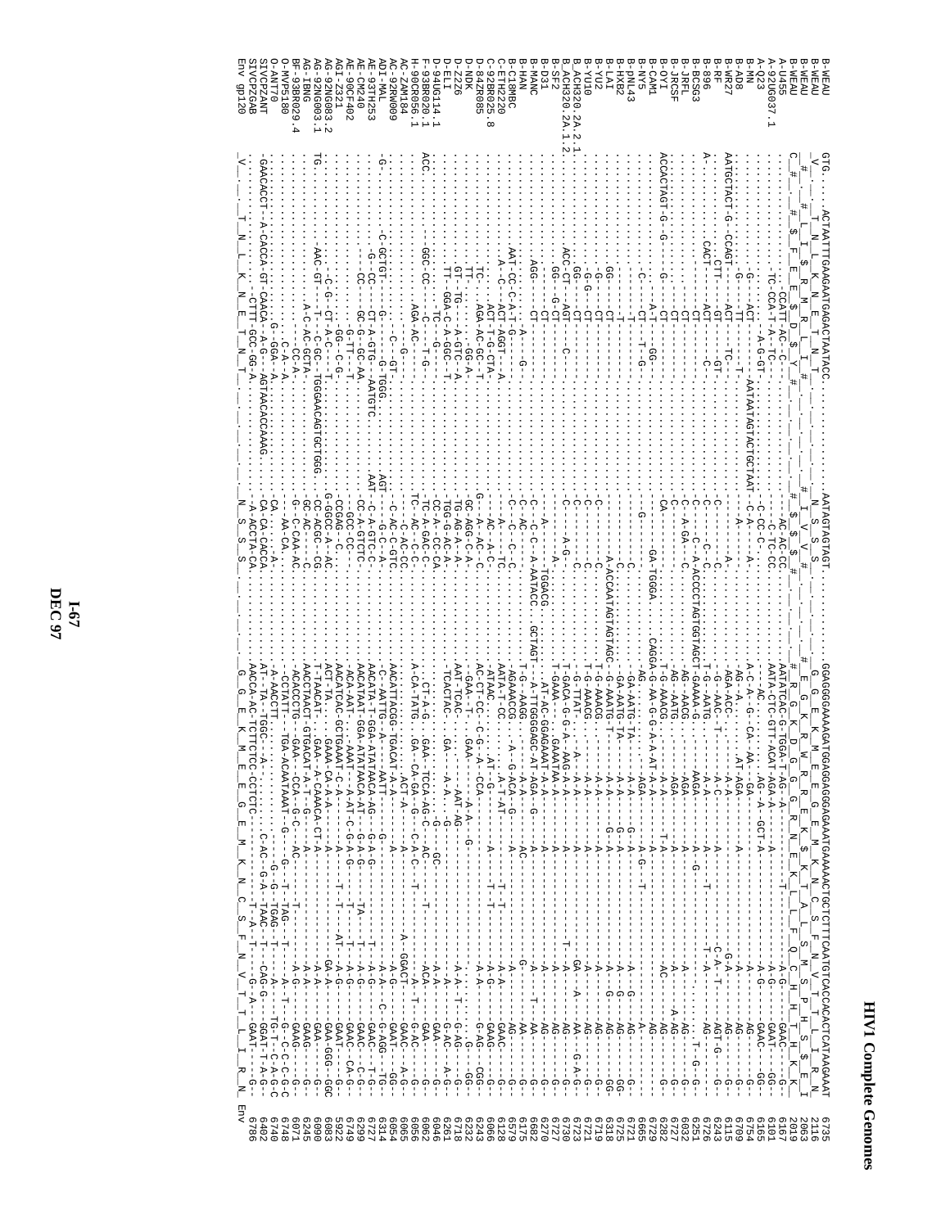| י<br>י             | J<br>Ę |  |  |
|--------------------|--------|--|--|
| I                  |        |  |  |
| (Contractor)       |        |  |  |
|                    |        |  |  |
|                    |        |  |  |
| ני הווחחות היו היו |        |  |  |
|                    |        |  |  |
|                    |        |  |  |
|                    |        |  |  |
|                    |        |  |  |

| Env                  | $T^{-}T^{-}$<br>Þ<br><sup>k</sup>                                                              | 'n<br>þ<br>⊲<br> <br> -<br> -                                                                                 | Ħ<br>b.<br>'ဂ<br>g.<br>z<br>7<br>I<br>z<br>'n<br>ŗω,                                                                                                                                                                                                                                                                                            |                      |                                    | 02130             |
|----------------------|------------------------------------------------------------------------------------------------|---------------------------------------------------------------------------------------------------------------|-------------------------------------------------------------------------------------------------------------------------------------------------------------------------------------------------------------------------------------------------------------------------------------------------------------------------------------------------|----------------------|------------------------------------|-------------------|
| 678                  |                                                                                                | - T - - A - - T - - - - - - - A - - A - - - GAAT - - - - - - - - - - - - -                                    | rcTTC<br>rcc-ccrcrc-                                                                                                                                                                                                                                                                                                                            |                      | 300-00-                            | <b>IVCPZGAB</b>   |
| 640                  |                                                                                                |                                                                                                               |                                                                                                                                                                                                                                                                                                                                                 |                      |                                    | VCPZANT           |
| 6740                 | -- 1G-1--C-A-G-C                                                                               |                                                                                                               | A-AACCTT<br>$\frac{1}{2}$ $\frac{1}{2}$ $\frac{1}{2}$ $\frac{1}{2}$ $\frac{1}{2}$ $\frac{1}{2}$ $\frac{1}{2}$ $\frac{1}{2}$ $\frac{1}{2}$ $\frac{1}{2}$ $\frac{1}{2}$ $\frac{1}{2}$ $\frac{1}{2}$ $\frac{1}{2}$ $\frac{1}{2}$ $\frac{1}{2}$ $\frac{1}{2}$ $\frac{1}{2}$ $\frac{1}{2}$ $\frac{1}{2}$ $\frac{1}{2}$ $\frac{1}{2}$<br>$\mathbf{I}$ |                      | 3GA--A                             | <b>ANT70</b>      |
| 6748                 |                                                                                                |                                                                                                               | CCTATT-<br>-TGA                                                                                                                                                                                                                                                                                                                                 | トアムー CA              |                                    | <b>MVP5180</b>    |
| 607                  | $-GAPG---$<br>$\frac{1}{1}$                                                                    | $- - - - - - -$                                                                                               | A---CCA--G-C---AC---<br>$-1$ $-1$                                                                                                                                                                                                                                                                                                               |                      |                                    | $F - 93BRO29$     |
| 624                  | $-9 - - - - - - 9459$                                                                          | $-1 - 2 - 4 - - -$                                                                                            | WCCTAACT-GTGA<br>$\frac{1}{1}$<br>I                                                                                                                                                                                                                                                                                                             |                      |                                    | <b>TBNG</b>       |
| 0609                 | $GAP------G---$                                                                                | i<br>I<br>$- -A -A - -$                                                                                       | -TAACAT-<br>$A--A-CAAACA-CT-A--$<br>I.<br>$\frac{1}{1}$<br>$\frac{1}{1}$                                                                                                                                                                                                                                                                        | -CC-ACGC--CG         | -c-ec--reec                        | G-92NG003         |
|                      | CAA-GGG--GGC                                                                                   | $A - A$<br>Ť                                                                                                  | $\mathbf{A}\mathbf{A}-\mathbf{C}\mathbf{A}-\mathbf{A}-\mathbf{A}-----\mathbf{A}--$<br>$\mathbf{I}$<br>$\mathbf{I}$                                                                                                                                                                                                                              | $-GGCC - A - -$      | $A-C$ -                            | $-92NG083$        |
| 592<br>608           | GAAT------G-                                                                                   | $-1 - 2 - 6 - - - - - - -$                                                                                    | $ACATCAC-GCTGAAAT-C-AC--$<br>$-1$ $-1$ $-1$ $-1$<br>$-11 - 11 - 1$                                                                                                                                                                                                                                                                              | CGAG--C              | GG--C-G-                           | $1 - 2321$        |
|                      | GAAC--CA-G--                                                                                   |                                                                                                               | ACA-AAT·                                                                                                                                                                                                                                                                                                                                        | -acc-cc-             | -0-11--1-                          | E-90CF402         |
| 6299                 | CAAC---C-G--                                                                                   |                                                                                                               | RCATAA-TSGA-1                                                                                                                                                                                                                                                                                                                                   | CC-A-GTCTC:          | 3C-G--05-AA.                       | E-CM240           |
| 572                  | GAAC----T-G-                                                                                   | $-1 - 2 - 6 - 1$<br>$\frac{1}{1}$                                                                             | TATAACA-AG---G-A-G--<br>$\frac{1}{1}$<br>$\frac{1}{1}$                                                                                                                                                                                                                                                                                          | A-GTC-C              | "-A-GTG---AATG"                    | E-93TH253         |
| E <sub>31</sub>      | $G - B + - -1G - -$                                                                            | $\begin{array}{c} \hline \end{array}$<br>$\begin{array}{c} 1 \\ 1 \\ 1 \end{array}$<br>$---A - A - - -$<br>C- | AATTG--A-<br>$\frac{1}{1}$<br>$\frac{1}{1}$<br>$\begin{array}{c} 1 \\ 1 \\ 1 \end{array}$<br>$\mathbf{I}$                                                                                                                                                                                                                                       | $G - C - A$          |                                    | LAN-10            |
| 509                  | $-99 - -127 - - - -$                                                                           | $\frac{1}{1}$<br>$-A-G---$                                                                                    | ACATTACGG-TGA<br>CAT-A-A-A--------<br>J.<br>$\mathbb{I}$<br>ţ                                                                                                                                                                                                                                                                                   | C-AC-C-GTC           |                                    | 2-92RM009         |
| 909                  | GAAC---A-G-                                                                                    | A--GGACT----<br>I                                                                                             | $\ldots$ ACT-A--<br>-1<br>$\mathsf I$<br>$\mathsf I$<br>п<br>$\mathbf{I}$                                                                                                                                                                                                                                                                       | C-AC-C(              |                                    | <b>48 LMAZ-</b>   |
| 609                  | $G-AC-$<br>$-1 - -1$                                                                           | $-1 - \Delta - -1 - -$                                                                                        | -CA-TATG                                                                                                                                                                                                                                                                                                                                        | PC--AC--C-C          | $-5GA-AC-$                         | 90CR056.          |
| 909                  | $GAA$ -<br>$\frac{1}{4}$<br>$\frac{1}{\Omega}$                                                 | $-ACA---$                                                                                                     | $C_T - A - C$<br>A--TCCA-AG-C---AC---<br>$-1 - 1 - 1$                                                                                                                                                                                                                                                                                           | FC-A-GAC-C           | - - - - - - - - - - -              | 93BR020.          |
| 604                  | $-6AA-$<br>$-1 - 6 -$                                                                          | -- A-- A--                                                                                                    | $\overline{\phantom{a}}$                                                                                                                                                                                                                                                                                                                        | 5C-A--CC-CA          |                                    | 94UG114.          |
| 979                  | $G - AC - - -A - G -$                                                                          | --A---                                                                                                        | <b>LCACTAC</b><br>$- - \mathbf{A} - \mathbf{A} \cdot \ldots - \mathbf{G} - - -$<br>ţ<br>ţ<br>I.                                                                                                                                                                                                                                                 | $-6 - 5 - 2 - 8 - 8$ | 3GA-C-A-GGC--T                     |                   |
|                      |                                                                                                |                                                                                                               |                                                                                                                                                                                                                                                                                                                                                 |                      |                                    |                   |
| 623                  | $G - 2G - - - - - -G -$                                                                        | -- アーマーユー<br>$\vdots$                                                                                         | AT-TCAC<br>--- AAT-AG---<br>$\mathbf{I}$<br>т<br>I.<br>ł<br>I<br>I<br>I.                                                                                                                                                                                                                                                                        | $A - A - A - A - D$  | A-CTC--A                           | 2226              |
|                      | $-50---90--$                                                                                   |                                                                                                               | $-0.74 - T$<br>アーーーーーープープーーーローー<br>J<br>$\frac{1}{1}$<br>$\begin{array}{c} \begin{array}{c} \text{1} \\ \text{2} \\ \text{3} \\ \text{4} \end{array} \end{array}$                                                                                                                                                                               | C-AGG-C-A            | $-55 - 7 -$                        | <b>NDK</b>        |
| 624                  | G-AG---CGG-                                                                                    | $-A-A--$                                                                                                      | 20-12-21<br>$A--CCA--$<br>$\frac{1}{1}$<br>$\mathsf I$                                                                                                                                                                                                                                                                                          |                      |                                    | 84ZR085           |
| 909                  | CAAG-------G-                                                                                  | $- - - - - - -$                                                                                               | <b>Education</b><br>$\mathbf{I}$<br>$\frac{1}{1}$<br>$-7$                                                                                                                                                                                                                                                                                       |                      | F-G-CTA-                           | 92BR025<br>.<br>∞ |
| 657<br>612           | $-GAPC---$<br>$\frac{1}{\Omega}$                                                               | $       -$                                                                                                    | ATA-T-CC<br>$-1 - 2 - 7 - 7 - 7$<br>$\frac{1}{1}$<br>$-1$                                                                                                                                                                                                                                                                                       |                      | $ACT-1-1-CT--A$                    | ETH2220           |
|                      | $-9G -$<br>$\begin{array}{c} \end{array}$<br>$\frac{1}{1}$<br>$\frac{1}{6}$                    | I<br>$---A---$<br>$\begin{array}{c} 1 \\ 1 \\ 1 \end{array}$<br>$\frac{1}{1}$                                 | RAAACCG<br>--G-ACA--G-----<br>$\mathbf{A}----$<br>$\begin{array}{c} \n 1 \\  1 \\  1\n \end{array}$                                                                                                                                                                                                                                             |                      |                                    | C18MBC            |
| ET <sub>3</sub>      | $---AA---$<br>I<br>$\frac{1}{1}$<br>ဂု                                                         | $-1$ -0<br>$\frac{1}{1}$                                                                                      | --9-4--<br>I<br>ł<br>I.<br>$---AC---$<br>ţ<br>J                                                                                                                                                                                                                                                                                                 |                      |                                    | NAH               |
|                      | --1-1-12<br>$\begin{array}{c} \end{array}$<br>I.<br>J<br>$\frac{1}{\Omega}$                    | $---A---$                                                                                                     | -A-TTGGGGAGC<br>$-AT-AGA---G$<br>Ţ<br>J.<br>ı<br>$-4-$<br>I.                                                                                                                                                                                                                                                                                    |                      |                                    | <b>NANY</b>       |
| 6727<br>6270<br>6682 | $- - 9G - -$<br>$\mathbf{I}$<br>$-1$<br>-----0-                                                | $---A---$<br>I                                                                                                | AT-AC-GGAGA<br>$AAT - A - A - -$<br>$\sum_{i=1}^{n}$<br>$\frac{1}{1}$                                                                                                                                                                                                                                                                           |                      |                                    | $-131$            |
|                      | $- - \Delta G - -$<br>$-1 - 1 - 0 - 0 - 0$                                                     | $---A---$                                                                                                     | ${\bf AATA} {\bf A-B} \hspace{-0.08cm} - \hspace{-0.08cm} {\bf A-B}$<br>J.<br>ł<br>$\overline{r}$<br>Ì                                                                                                                                                                                                                                          |                      |                                    | <b>SF2</b>        |
| 673                  | $-9G -$<br>$\overline{1}$                                                                      | - - コーーマー<br>$\blacksquare$<br>$\frac{1}{1}$                                                                  | $-GACA-G-G-A.$<br>$AA-G-AA-AA$<br>$\blacksquare$<br>$\sum_{i=1}^{n}$<br>$\overline{\phantom{a}}$                                                                                                                                                                                                                                                |                      | -AGT                               | ACH320            |
| 572                  | $- - G A - - - A - - - A A - - - G - A - G - -$                                                | $\frac{1}{1}$                                                                                                 | -TATH-E<br>$\mathbf{A}--\mathbf{A}-\mathbf{A}--\mathbf{A}--$<br>J.<br>J.<br>$-4$<br>$\mathbb{I}$<br>$\mathbb{I}$                                                                                                                                                                                                                                |                      |                                    | <b>ACH320</b>     |
|                      |                                                                                                |                                                                                                               |                                                                                                                                                                                                                                                                                                                                                 |                      |                                    |                   |
| 572                  | $-56-$<br>$\begin{array}{c} \end{array}$                                                       | I<br>J.<br>$A - -$<br>$\frac{1}{2}$<br>$\frac{1}{1}$                                                          | <b>AAACG</b><br>$-2-1$<br>$\mathbb{A}$<br>$\mathbf{I}$                                                                                                                                                                                                                                                                                          |                      |                                    | <b>OTILK</b>      |
| E <sub>19</sub>      | $-9C - -$<br>$-1 - -1$                                                                         | J<br>$A -$<br>$\frac{1}{1}$                                                                                   | $-1 - A$<br>$\frac{1}{4}$<br>$\frac{1}{2}$<br>$\overline{1}$                                                                                                                                                                                                                                                                                    |                      |                                    | ZQX.              |
|                      | Ţ<br>$-90 - - -$                                                                               | $--\mathbf{A}--\mathbf{G}---\mathbf{A}\mathbf{G}--$                                                           | 3-AAATG<br>$- -A - A$<br>$G - A -$<br>J.<br>$\mathbb{I}$                                                                                                                                                                                                                                                                                        |                      |                                    | $TVT-$            |
| 672<br>831           | $- - 5G - -$<br>$\mathbf{I}$<br>$\overline{\phantom{a}}$<br>$\overline{\phantom{a}}$<br>$-00-$ | $A--G--$                                                                                                      | PAATG.<br>$- -A - A$<br>$\Gamma$<br>$\overline{A}$<br>$\overline{1}$<br>J<br>$\mathbf{I}$                                                                                                                                                                                                                                                       |                      |                                    | $-HXB2$           |
| 572                  | I<br>$\frac{1}{4}$<br>$\frac{1}{\Omega}$                                                       | $---A---G---A---A---A$                                                                                        | $- - - - - - -$<br>ှ<br>$-4$<br>I.<br>$\frac{1}{1}$                                                                                                                                                                                                                                                                                             |                      |                                    | <b>PNL43</b>      |
| 999                  | $- - - - - - - -$<br>$\frac{1}{1}$<br>т<br>$\mathbf{I}$<br>$\frac{1}{1}$                       | I<br>I                                                                                                        | $--\Delta GA--$<br>L<br>т<br>$\frac{1}{1}$<br>$A-G----T------$                                                                                                                                                                                                                                                                                  |                      |                                    | $SAN-$            |
| 572                  | $-56-$<br>$\mathbf{I}$<br>$\mathbf{I}$<br>$\mathsf I$<br>$\mathsf I$                           | $\frac{1}{4}$<br>$\frac{1}{1}$                                                                                | 3-AA-G-G-A-<br>$AT - A - A - P - T$<br>$\mathbf{I}$<br>$\frac{1}{1}$<br>$A - -$<br>$\frac{1}{1}$<br>$\mathbf{I}$                                                                                                                                                                                                                                |                      |                                    | -CAM1             |
| 829                  | $- - 5G - -$<br>$\frac{1}{1}$<br>ဂု                                                            | ---AC--                                                                                                       | --A-A--<br>부<br>А                                                                                                                                                                                                                                                                                                                               |                      |                                    | IXO.              |
| 672'                 | $A - AG - - - - - - -$<br>ဂု                                                                   | $----1$<br>$\frac{1}{1}$                                                                                      | -AATG<br>$-100A -$<br>$\mathbf{I}$<br>$\frac{1}{1}$<br>$\overline{A}$<br>$\mathbf{I}$<br>I<br>$\mathbf{I}$<br>$\begin{array}{c} 1 \\ 1 \\ 1 \end{array}$                                                                                                                                                                                        |                      |                                    | -JRCSF            |
|                      | $AG-------G-$                                                                                  | $------------$                                                                                                | <b>AG--AACG</b><br>$-AGA-$<br>п<br>$A -$<br>$\mathsf I$                                                                                                                                                                                                                                                                                         |                      |                                    | <b>JRFL</b>       |
| 625<br>603           |                                                                                                | $\begin{bmatrix} 1 & 1 & 1 \\ 1 & 1 & 1 \\ 1 & 1 & 1 \\ 1 & 1 & 1 \end{bmatrix}$                              | -GAAAA-G<br>$-AAGA---$<br>J.<br>$A--G---$                                                                                                                                                                                                                                                                                                       |                      |                                    | -BCSG3            |
| 572                  | $---AG------$<br>ţ<br>л<br>$\mathbb{I}$                                                        | ŧ<br>$T - A - -$<br>ł                                                                                         | -G--AATG<br>$- -A - A - -$<br>J.<br>A---------                                                                                                                                                                                                                                                                                                  |                      |                                    | $-896$            |
| 524                  | $--\mathbf{AGT-G}--$<br>$\frac{1}{1}$                                                          |                                                                                                               | $\begin{array}{c} \end{array}$<br>J                                                                                                                                                                                                                                                                                                             |                      |                                    |                   |
|                      |                                                                                                | ローマー エーエー                                                                                                     | -9--AAC-<br>--A-C--                                                                                                                                                                                                                                                                                                                             |                      |                                    | .<br>ਬ            |
| ET <sub>9</sub>      | $AG--$<br>$\mathbf{I}$<br>J<br>$\frac{1}{\Omega}$                                              | $-6 - A - -$<br>$\blacksquare$                                                                                | AGA-ACC<br>--A-A--                                                                                                                                                                                                                                                                                                                              |                      |                                    | $-MR27$           |
| 6049                 | $- - 5G - -$<br>$-1 - 0 - 0 - 0$                                                               | --4--<br>ł                                                                                                    | $AT-AGA--$<br>ł<br>$A---$<br>$\frac{1}{1}$                                                                                                                                                                                                                                                                                                      |                      |                                    | BCDB              |
| 575                  | $AG--$<br>I<br>$-1 - 0 -$                                                                      | $-4-7-$<br>J.<br>$\frac{1}{1}$                                                                                | $-4-7$<br>$AA--AA--$                                                                                                                                                                                                                                                                                                                            |                      |                                    | 」<br>以            |
| 919                  | J.<br>GAAC-----GG-                                                                             | j<br>$A-G---$<br>ţ                                                                                            | $-AC$<br>. AG--A--GCT-A---<br>ţ                                                                                                                                                                                                                                                                                                                 | --ac-c-              | $-7 - G - G1 -$                    | -023              |
| 019                  | GAAT----GG-                                                                                    | $\mathbf{I}$<br>$A-G---$<br>$\frac{1}{1}$                                                                     | ATA-CTC-GTT-<br>CAT-AGA-A------<br>$-4$<br>-1<br>$\mathbf{I}$<br>$\mathbf{I}$                                                                                                                                                                                                                                                                   | C-TC-CC              | --ccA-'<br>$-2-1$ - $T$ - $-1$     | -9205037          |
| 9T9                  | <b>GAAC----</b><br>$\frac{1}{1}$                                                               | $A-G---$                                                                                                      | <b>ATATCAC-G-</b><br>$A - T - A - A - A - A$<br>$\frac{1}{1}$<br>$\mathbf{I}$                                                                                                                                                                                                                                                                   | AC-AC-CC.            |                                    | 5455              |
| <b>Z01</b>           | דן<br> <br>፞ヸ<br>Þ<br>'                                                                        | 먹<br>ю<br>Q<br>F<br>Έ                                                                                         | ဂ<br><u>ຸດ</u><br>'ဂ<br>'ਸਾ<br>z<br>দ<br>F<br>j.                                                                                                                                                                                                                                                                                                |                      |                                    | WEAU-             |
| 206                  | Ξ<br>ا<br>ما<br>ļω<br>ø                                                                        | $\frac{1}{2}$<br>z<br>ا<br>ما<br>o                                                                            | æ<br>저<br>ø<br>×<br>ω<br>3<br>ን                                                                                                                                                                                                                                                                                                                 |                      |                                    | <b>NEAU</b>       |
| E73<br>211           | F<br>'지<br>k                                                                                   | 'n<br>z<br>₹                                                                                                  | 'ဂ<br>'n<br>z<br>z<br>م¦<br>ŗω                                                                                                                                                                                                                                                                                                                  |                      |                                    | WEAU-             |
|                      |                                                                                                |                                                                                                               | RARRAARANGA<br>GGAGOAGAGAAAATGAAAAACTGCTCTTTCAATGTCAACAACTCACTAAATAAGAAAT                                                                                                                                                                                                                                                                       |                      | הספר האבר האפרו האפר האפר הראשות ה | WEAU              |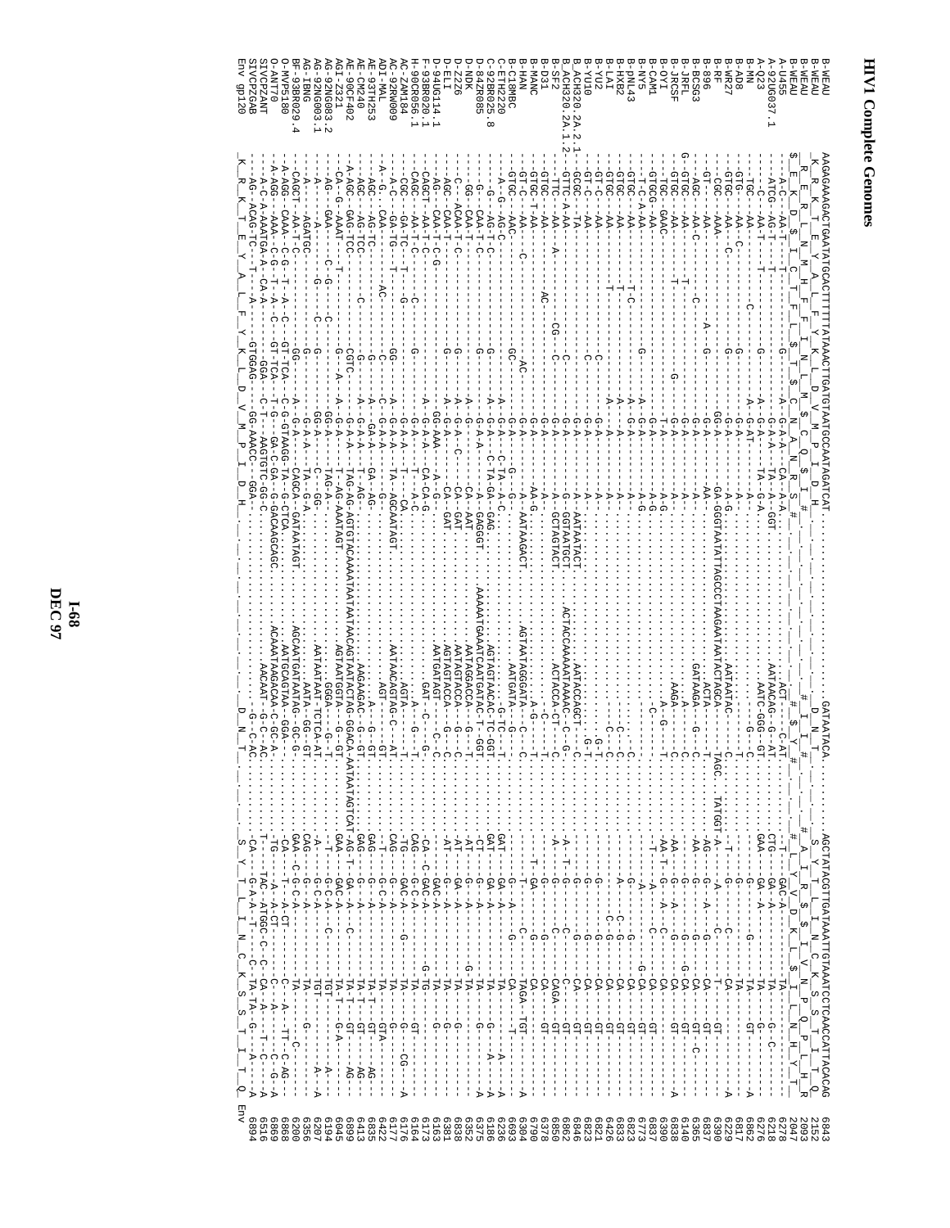| Env                                                       | ∩<br>ŗω<br>ŗω<br>H<br>H<br>jo<br>$\forall$                                                       | $-CA$ -<br>ŗΩ<br>⊣<br>F<br>z                                                                                          | ä                                                                             |                              | AG-                        | VCPZGAB<br>d2130           |
|-----------------------------------------------------------|--------------------------------------------------------------------------------------------------|-----------------------------------------------------------------------------------------------------------------------|-------------------------------------------------------------------------------|------------------------------|----------------------------|----------------------------|
|                                                           | $-1$ - $-1$ - $-1$ - $-1$<br>J.<br>Ď                                                             | ר<br> <br> <br>$TAC - ATGGC - C - -C - -R -$                                                                          | ಼<br>∶                                                                        |                              |                            | TAASSZANT                  |
|                                                           | C---A-<br>I<br>H<br>$\overline{1}$<br>$\frac{1}{1}$<br>$C = -G = -A$                             | $-101 -$<br>$--A--$<br>$A-CT-$<br>I<br>ı<br>I                                                                         |                                                                               | GT-TCA<br>GACAACAACAS        | <b>A-AGG</b>               | <b>DLLINE</b>              |
|                                                           | $\mathbf I$<br>$-C---A-$<br>$-LA--$<br>J.<br>1<br>$T T - C - A G - -$<br>$\frac{1}{1}$           | $-CA -$<br>$GAP$ --<br>C-G-C-<br>J<br>中上<br>$A - CT - - -$<br>А<br>$\mathbf{I}$                                       |                                                                               | GT-TCA<br>C-0--41-094479-0-0 | $-900-$<br>C-G             | MVP5180                    |
|                                                           | Ω<br>т.                                                                                          |                                                                                                                       | Ĕ.                                                                            |                              |                            | $F - 93 B R 029$           |
|                                                           | - TA --<br>ш<br>$-1$<br>t<br>J.<br>J,<br>J.<br>I<br>л<br>$\mathbf I$<br>I<br>л<br>כל             | $-0.02$<br>$-4-$<br>$\frac{1}{1}$<br>Ť<br>$\sum_{i=1}^{n}$<br>Ţ<br>I<br>J.                                            | <b>AATA-</b><br>۳.                                                            |                              |                            |                            |
|                                                           | $-101-$<br>TGT--<br>$\mathbf{I}$<br>$\overline{1}$<br>$A--$<br>⋗<br>$\mathbf{I}$<br>$\mathbf{I}$ | $\frac{1}{1}$<br>$-9-9-7$<br>$G-C-A$<br>ł<br>$\frac{1}{1}$<br>Ω                                                       | ATAATAAT-'<br>TCTCA-<br>۳.                                                    |                              |                            | $3 - 92N5003$<br>-92NG083  |
|                                                           | $-LJ - LI -$<br>I.<br>I<br>Ţ<br>J.<br>J.                                                         | $-6A-A-$<br>$-GAC - A$<br>I<br>I<br>I,                                                                                | <b>AGTAATGGTA-</b><br>百<br>・・・・・                                              | 5 - A<br>--AG-AAATAG         | -<br>-<br>H<br>$-2AA$      | $CZ - Z32I$                |
|                                                           | -17-A-T-<br>$\overline{\phantom{a}}$<br>$-10$<br>$G - A - -$<br>1<br>Î.<br>I<br>AG-<br>I         | AATAATAGTCAT-AG-T-<br>$-6A - -A -$<br>$\frac{1}{1}$<br>c-                                                             | <b>AATACTAG-GGAC</b>                                                          | GTC                          | A-AGC-                     | E-90CF402                  |
|                                                           | -174-1-<br>$\mathbf I$<br>$-15-$<br>$\overline{1}$<br>$\overline{1}$<br>$\overline{1}$<br>$-5G-$ | $-GRG-$<br>$\frac{1}{1}$<br>$\frac{1}{1}$<br>$\overline{r}$                                                           | $\vdots$                                                                      |                              |                            | -CM240                     |
|                                                           | $-L-A-T-$<br>I.<br>$-4.5-$<br>I<br>$-BG-$                                                        | <b>GAG</b><br>ł<br>$-6 - - -$<br>ъ<br>I                                                                               | 百二二                                                                           | $-\Delta - \Delta -$         | AGC<br>$-BC-TC-$           | $-93T H253$                |
|                                                           | $-LA -$<br>--A-D<br>$\begin{array}{c} \hline \end{array}$                                        | $\frac{1}{1}$<br>$G-C-A$                                                                                              | AGT-<br>肖<br>:<br>$\vdots$                                                    | $A - A - A$                  | $-CAA--$                   | TVM-1                      |
|                                                           | $-LA$ -<br>Ω<br>ŧ<br>л<br>I<br>$\frac{1}{2}$<br>J.<br>л                                          | <b>CAG</b><br>J.<br>$G - -A -$<br>л                                                                                   | POTAG-<br>H<br>:                                                              |                              | $-5P$ -TGP-                | -92RW009                   |
|                                                           | $-LA-$<br>ω<br>ŧ<br>I<br>J<br>CG---<br>j<br>ь                                                    | $-LG-$<br>-GAC-A<br>I<br>ဂု                                                                                           |                                                                               |                              | Q<br>GA-TC-                | 2 AMI 84                   |
|                                                           | $-LA-$<br>GT-<br>$\mathbf{I}$<br>ı<br>I                                                          | CAG-<br>G-C-A<br>т                                                                                                    | $\vdots$                                                                      |                              | CAGC                       | 90CR056                    |
|                                                           | $G - T G -$                                                                                      | $-CA$ -<br>G<br>-GAC-A                                                                                                |                                                                               |                              | CAG<br><b>AA-T-C-</b>      | 3BR02                      |
|                                                           | $-LA-$<br>$\overline{1}$                                                                         | $\frac{1}{1}$<br>$\mathbf{I}$<br>$\blacksquare$                                                                       |                                                                               | $-AAA-$                      | ロアプーユークーロ                  | 4DG11                      |
|                                                           | $-LA-$<br>Ω                                                                                      | $-2T-$<br>$-CAAC-AA$<br>$-9 - -7$                                                                                     | ATGATAGT-<br>റ<br>0<br>$\vdots$                                               | -GAT                         |                            |                            |
|                                                           | $-LA-$<br>ı<br>Ω<br>Ω<br>ı<br>т.                                                                 | $-LH$<br>$-45$<br>÷<br>⊢<br>L                                                                                         | <b>GTAGTACCA</b><br><b>AGTACCA</b>                                            |                              | $CAA-T$                    | 9ZZZ                       |
|                                                           |                                                                                                  | $\frac{1}{1}$                                                                                                         |                                                                               | LAA                          | ZAA-1                      |                            |
|                                                           | $G-THA-$                                                                                         | $-LT-$<br>$\overline{Y}$                                                                                              |                                                                               |                              |                            | NDK                        |
|                                                           | $-LA-$<br>ω<br>т<br>п<br>I<br>J.<br>ъ                                                            | $-12-$<br>$\frac{1}{1}$<br>А<br>ï                                                                                     | TCAATGATAC-'                                                                  | <b>BBBBEE</b>                | 7AA-T                      | 34ZR085                    |
|                                                           | $-LA-$<br>⋒<br>$\mathbf{I}$<br>$\frac{1}{1}$<br>$-4-$<br>$\frac{1}{1}$<br>⋗                      | CAT-<br>$GA -$<br>$\overline{r}$                                                                                      |                                                                               |                              | $AG-$                      | 2BR025                     |
|                                                           | $-LA-$<br>I<br>л<br>I<br>$- - - - -$<br>$\mathbf{I}$<br>А                                        | <b>GAT--</b><br>$-6A -$<br>$\sum_{i=1}^{n}$<br>I<br>J<br>I<br>J,                                                      |                                                                               |                              | $AG-C$                     | <b>STHZ220</b>             |
|                                                           | $-CA$ -<br>Ľ,<br>Ŧ<br>$\frac{1}{1}$<br>I<br>I<br>П                                               | I<br>п<br>$\frac{1}{1}$<br>$\overline{A}$<br>$\overline{1}$<br>$\frac{1}{1}$                                          |                                                                               |                              |                            | <b>CIRBC</b>               |
|                                                           | $-TAGA-$<br>$\mathsf I$<br>TGT--<br>$\mathsf I$<br>$\mathbf{I}$<br>J.<br>т<br>л<br>⊅             | п<br>۲<br> <br>J.<br>Ω<br>ł                                                                                           |                                                                               |                              | -- AA                      |                            |
|                                                           | $-CA$<br>I.<br>т                                                                                 | $-L--GP$<br>J.<br>$\overline{\phantom{a}}$<br>ω<br>$\frac{1}{1}$                                                      | $\Delta - G$                                                                  |                              | FOOTE<br>1-AA              | <b>MANC</b>                |
|                                                           | $-CA$<br>$-61$<br>$\overline{1}$                                                                 | I<br>$-\frac{1}{2}$<br>$\overline{1}$<br>$\frac{1}{2}$                                                                | $\vdots$<br>$\vdots$                                                          |                              | vv-                        | Lεα                        |
|                                                           | $-CACA$<br>I<br>$\frac{1}{2}$<br>J.<br>J.<br>л                                                   | $-5$<br>$-9 - -$<br>I,<br>$\frac{1}{1}$<br>ن<br>ڊ                                                                     | EACCA-CI<br>0<br>$\vdots$                                                     | GCTAGTAC                     | - 44-                      | 2F2                        |
|                                                           | $\frac{1}{1}$<br>$\Omega_{\rm L}$<br>ť                                                           | $-{\bf A}--{\bf T}--{\bf G}--$<br>$\blacksquare$<br>$\mathbf{I}$<br>$\mathbf{I}$<br>Q<br>$\mathbf{I}$<br>$\mathbf{I}$ |                                                                               | <b>SGTAATGC</b>              | $A - AA$                   | <b>ACH32</b>               |
|                                                           | $-CA -$<br>GI<br>Ï                                                                               | I<br>Ï<br>$\frac{1}{1}$<br>л<br>I<br>J.<br>I<br>$\frac{1}{1}$                                                         | 0<br>$\vdots$                                                                 |                              |                            | <b>CEE32</b>               |
|                                                           | $-CA$ -<br>$\Omega$<br>J.<br>п                                                                   | $\frac{1}{1}$<br>$\mathsf I$<br>$\frac{1}{1}$<br>Ω<br>ŧ                                                               |                                                                               |                              | uA-                        | $0$ T $\Omega$             |
|                                                           | $-CA -$<br>促<br>ť                                                                                | ှ<br>т<br>ı<br>ı<br>$\mathbf I$<br>ω<br>ł                                                                             |                                                                               |                              | -AA.                       | ZOX                        |
|                                                           | $-CA -$<br>-IĐ                                                                                   | п<br>л<br>$\frac{1}{2}$<br>c---<br>$-1$                                                                               | O                                                                             |                              | COLE<br>- AA.              | LAI                        |
|                                                           | $-CA -$<br>促<br>$\overline{1}$                                                                   | $A$ --<br>$\frac{1}{1}$<br>C--1<br>ω<br>ł                                                                             | ∩                                                                             |                              | - AA                       | HXB2                       |
|                                                           | $-CA -$<br>GT-                                                                                   | ှ<br>т<br>I,<br>$\mathbb I$<br>п<br>I,<br>Ţ<br>Ω<br>ł                                                                 | C                                                                             |                              | $-AA$ -                    | <b>PNL43</b>               |
|                                                           | $G-CA-$<br>GJ.<br>I                                                                              | $-5$<br>I<br>I<br>I<br>I<br>L                                                                                         |                                                                               |                              | $C - A - A$                | <b>SAN</b>                 |
|                                                           | $-CA -$<br>$\mathbf I$<br>$\Omega$<br>$\overline{1}$                                             | ۲<br>ا<br>J<br>$\frac{1}{2}$<br>$\overline{1}$<br>ţ<br>G<br>$\frac{1}{1}$                                             |                                                                               |                              | 2G--AA                     | <b>CAM</b>                 |
|                                                           | $-6A-$<br>$\overline{\phantom{a}}$<br>п                                                          | $-AA-TT-$<br>ဂု<br>$\overline{\phantom{a}}$<br>$\overline{A}$<br>$\frac{1}{\Omega}$<br>$\mathbf{I}$                   |                                                                               |                              | -GAAC                      | IXO                        |
|                                                           | I<br>$-CA -$<br>т<br>요<br>--<br>т                                                                | $-AA$<br>$\mathbf{I}$<br>$-5$<br>$\sum_{i=1}^{n}$                                                                     | ċ.                                                                            |                              | -44-                       | <b>JRCSF</b>               |
|                                                           | ł<br>$G-CA-$<br>H.<br>I.<br>$-1$<br>ł                                                            | $\frac{1}{1}$<br>J.<br>$C_1 -$<br>п<br>I.<br>I<br>ł<br>$\mathbf{I}$<br>$\Gamma$                                       | ة<br>:                                                                        |                              | GEGC<br>$-XA -$            | <b>JRFL</b>                |
|                                                           | $-CA -$<br>ය<br>-<br>J<br>ု                                                                      | $-AA$ -<br>$\overline{\phantom{a}}$<br>ဂု<br>$\mathbf{I}$<br>ω<br>$\frac{1}{1}$                                       | <b>ADAATAR</b><br>G                                                           |                              | AGO<br>-AA-C               | <b>BCSG3</b>               |
|                                                           | I,<br>$-CA -$<br>I,<br>$-10$<br>I                                                                | $-9G -$<br>İ<br>ဂု<br> <br> <br>$A---G---$                                                                            | ACTA<br>$\begin{array}{c} \frac{1}{2} \\ \frac{1}{2} \end{array}$<br>$\vdots$ |                              |                            |                            |
|                                                           | Ť                                                                                                | TATGGT-A--<br>J.<br>$-9 -$<br>$\frac{1}{1}$<br>G                                                                      | TAGC                                                                          |                              |                            | 968                        |
|                                                           | G<br>Г                                                                                           | L<br>I                                                                                                                | CTAGCA<br>$\ddot{\cdot}$                                                      |                              |                            | RH<br>F                    |
| $\sigma$                                                  | $-CA-$<br>ъ                                                                                      | $\frac{1}{1}$<br>$\Gamma$                                                                                             | ATAATAC<br>∩<br>$\vdots$<br>$\vdots$                                          |                              | GTG(<br>AA.                | MR27                       |
|                                                           | $-LA-$<br>I<br>ı<br>⋗                                                                            | I<br>J,<br>Ï<br>$\frac{1}{1}$<br>I<br>I<br>I<br>ı<br>I                                                                | Н                                                                             |                              |                            | 800                        |
|                                                           | $-LA-$<br>т<br>L<br>$-10$<br>1<br>I.<br>I<br>J.                                                  | ł<br>I.<br>ဂု<br>I.<br>$\mathsf I$<br>I<br>ω<br>ł                                                                     | م.<br>:<br>$\vdots$                                                           |                              |                            | Ż                          |
|                                                           | $-TM$ -<br>Ω<br>ł<br>л                                                                           | $-45$<br>$-52 -$<br>$\frac{1}{2}$                                                                                     | <b>AATC-GGG</b><br>Н<br>$\vdots$                                              |                              | $-L-HH-$                   | 223                        |
|                                                           | $TA -$<br>п<br>J<br>--0---<br>I                                                                  | $CTC -$<br>$-6A - -$<br>А<br>T                                                                                        | LAACAG-<br>F<br>:<br>$\vdots$                                                 |                              | ATCG--AG-T                 | 920503                     |
|                                                           | <b>TA--</b><br>$\vdash$<br>Þ<br>$\mathbf{I}$<br>$\mathbf{I}$<br>$\mathbf{I}$                     | $-1 -$<br>$A - 2AE$<br>Ţ<br>Ë                                                                                         | ۳.                                                                            |                              | $AA -$                     | <b>U455</b>                |
| <b>OOOOOO</b> NN<br>84<br>846<br>846464646469<br>86604696 | Đ,<br>z<br>Έ                                                                                     | כל<br>Þ<br>⊲<br>੮                                                                                                     | #                                                                             |                              |                            | <b>NEAU</b><br><b>NEAU</b> |
|                                                           | ⋞<br>z<br>ᡃ<br>O<br>ᡃᠣ<br>H<br>'ಸ                                                                | ω,<br>UΣ                                                                                                              |                                                                               |                              |                            |                            |
| Nη                                                        | Q<br>ŗΩ<br>ŗΩ<br>Η<br>H<br>Ö                                                                     | w<br>∢<br>E<br>z                                                                                                      |                                                                               |                              |                            | WEAU                       |
|                                                           | AGCTATACGTTGATAAATTGTAAATCCTCAACCATTACACAG                                                       |                                                                                                                       |                                                                               | TTGATGTAATGCCAATAGATCAT      | AGAGAAAGACTGAATATGCACTTTTT | WEAU                       |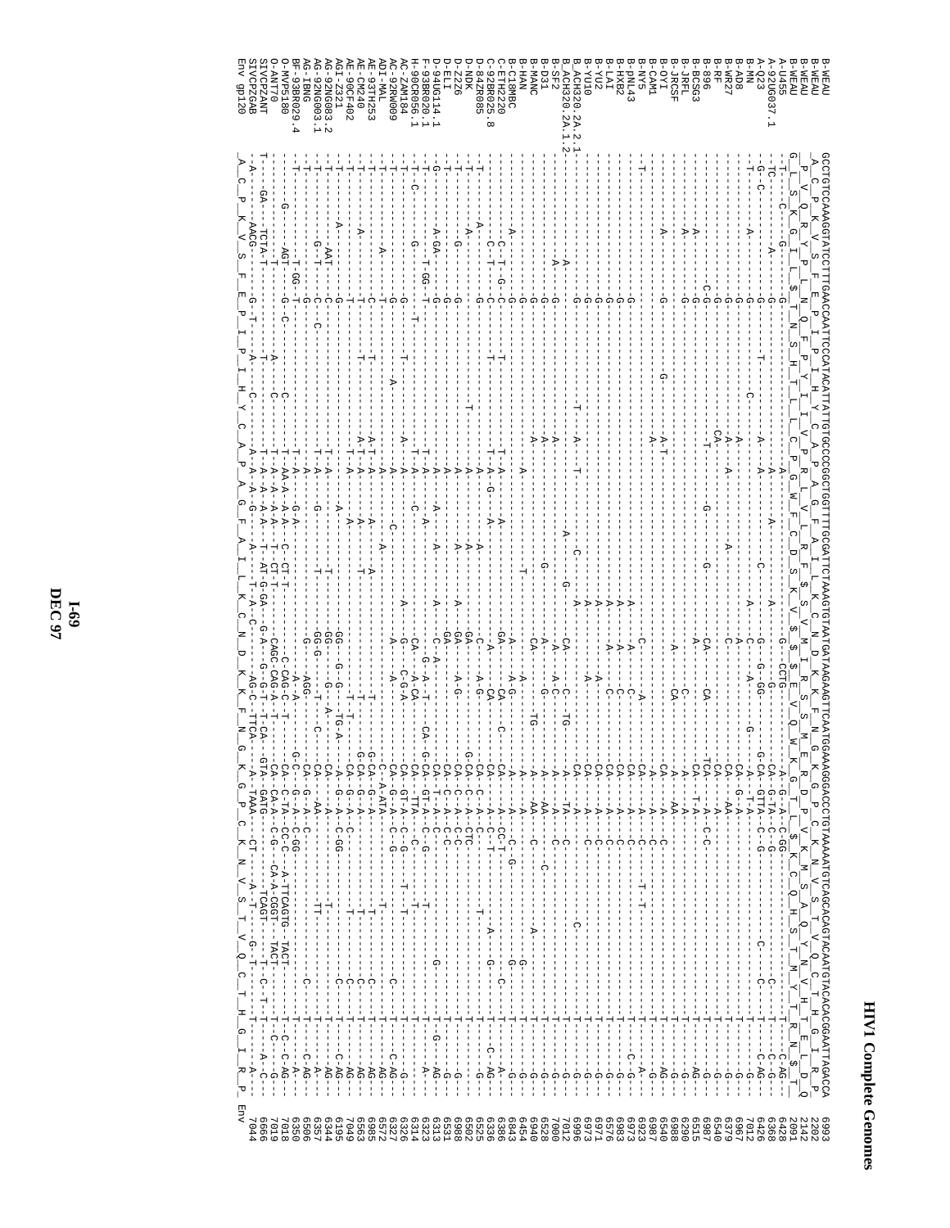| <b>Env</b>                                                 | 'ဂ<br>∀∣<br>ہے<br>ا                                                                         | ⊲<br>jО<br>'n<br>Η<br>Έ                                                     | z<br>ั่≺<br>م'<br>م<br>Η                                                                                     | 'n                                                                            | 'ဂ<br>'ত                                                     |              |                   |              |                 |       |        |              |    | 02130                        |
|------------------------------------------------------------|---------------------------------------------------------------------------------------------|-----------------------------------------------------------------------------|--------------------------------------------------------------------------------------------------------------|-------------------------------------------------------------------------------|--------------------------------------------------------------|--------------|-------------------|--------------|-----------------|-------|--------|--------------|----|------------------------------|
|                                                            | $\overline{\phantom{a}}$<br>j<br>$\frac{1}{1}$<br>$A - -$                                   | $\overline{\phantom{a}}$<br>$\blacksquare$<br>부                             |                                                                                                              |                                                                               | $-{\bf A}--{\bf A}{\bf A}{\bf A}{\bf A}--$                   |              |                   |              |                 |       |        |              |    | <b>IVCPZGAB</b>              |
|                                                            |                                                                                             |                                                                             | $\begin{array}{c} 1 \\ 1 \\ 1 \\ 1 \end{array}$                                                              | $\frac{1}{1}$                                                                 | $-GITA-GGATG---$                                             |              | ှု                | AT-<br>-45-9 |                 |       |        | <b>FCTA-</b> | 9Đ | IVCPZANT                     |
| 6 7 7 9 9 9<br>2 9 0 0 0 0<br>2 0 0 0 0 0<br>2 0 0 0 0 0 0 | $-1 - 1 - 0 - 1$                                                                            | $\frac{1}{1}$                                                               | $-CA-CA-B--C-G---CA-A-CGGT---TRCT--$                                                                         |                                                                               |                                                              |              | <b>ZAGC-CAG-A</b> |              | $A-A$           |       | ٩<br>Q |              |    | $-ANT70$                     |
|                                                            |                                                                                             |                                                                             | --CA--C-TA--CC-C---A-TTCAGTG--TACT---                                                                        |                                                                               |                                                              | C-DAG-C      |                   |              | AA-A<br>A – A – |       |        | $-1.57$      |    | <b>MVP5180</b>               |
|                                                            | $-1 - 1 - 1$<br>I.<br>$-----------$                                                         | $\frac{1}{1}$<br>J.<br>1<br>т                                               | $\mathsf I$<br>$\frac{1}{1}$<br>$\begin{bmatrix} 1 \\ 1 \\ 1 \end{bmatrix}$<br>$\frac{1}{1}$<br>$\mathbf{I}$ | $C - G G - -$                                                                 | $G - C - - -G - -A - -$                                      |              |                   |              | ဂု              |       |        | 1-GG         |    | F-93BR029<br>4               |
| 9059                                                       | $\mathbf{I}$<br>$-SC-AG-$                                                                   | $\mathbf{I}$<br>$\mathbf{I}$<br>$\frac{1}{2}$<br>$\mathbf{I}$<br>$-1 - 1 -$ | $\mathbf{I}$<br>$\mathbf{I}$<br>$\blacksquare$<br>$\mathbf{I}$<br>$\mathbf{I}$                               | C-<br>I.                                                                      | $- -\mathbf{C} \mathbf{A} - - \mathbf{G} - - \mathbf{A} - -$ | <b>AGG</b>   |                   |              |                 |       |        |              |    | G-IBNG                       |
|                                                            | п<br>I<br>--9--                                                                             | п<br>I.<br>I<br>I<br>п<br>$-1 -$                                            | п<br>т<br>I,<br>$\frac{1}{1}$<br>自<br>--<br>I.                                                               | $\frac{1}{1}$<br>I                                                            | $-CA$ -<br>--дд--                                            |              | ရာ                |              | ω               |       | ά      | ဂု           |    | G-92NG003.1                  |
| 6195<br>6344                                               | キャー<br>$-5G-$                                                                               |                                                                             | $\overline{\phantom{a}}$<br>Ĥ<br>$\mathsf I$                                                                 |                                                                               | $CA$ - $-$<br>$---A---$                                      |              |                   |              |                 |       |        |              |    | $-92MC083.2$                 |
|                                                            | $- -C - AC - -$                                                                             | J,<br>C<br>$\frac{1}{1}$                                                    | I<br>$\frac{1}{1}$<br>л                                                                                      | c-gg--                                                                        | $--\mathbf{A}--\mathbf{G}--\mathbf{A}--$                     |              | ရှ<br>ငှ          |              |                 |       |        |              |    | GI-Z321                      |
| 7049                                                       | $\frac{1}{1}$<br>$-5G-$                                                                     | 1<br>Ω                                                                      | $\frac{1}{1}$                                                                                                | $\Gamma$                                                                      | $-CA - C - C - C - C - C - C$                                |              |                   |              | ۴               |       |        |              |    | E-90CF402                    |
| <b>6563</b>                                                | $-5G-$                                                                                      | Ω<br>$\overline{\phantom{a}}$<br>부                                          | $-1$ – $-1$                                                                                                  |                                                                               | $G - CA - -G - -A - -$                                       |              |                   |              | ۲               | å     |        |              |    | E-CM240                      |
| 869<br>UΠ                                                  | J.<br>ţ<br>$--pG--$                                                                         | ł<br>$\Gamma$<br>$-1 -$                                                     | J.<br>$\frac{1}{1}$<br>$\mathbf I$                                                                           | $\frac{1}{1}$                                                                 | $-G - G - G - F - A - -$                                     |              |                   |              |                 | アーコーー |        |              |    | E-93TH253                    |
|                                                            | $\frac{1}{1}$<br>$--pG-$                                                                    |                                                                             | 부                                                                                                            | $\mathbf{I}$                                                                  | $- \Delta - \Delta - \Delta T \Delta - - -$                  |              |                   |              |                 |       |        |              |    | <b>LAN-Id</b>                |
| 6327<br>6572                                               | $-1$ $-1$ $-1$ $-1$ $-1$<br>$- -C - AC - -$                                                 | J.<br>c---                                                                  | <u>ဂ</u><br>I<br>$\frac{1}{1}$<br>ı                                                                          | $C$ --1                                                                       | $-CA--G--A--$                                                |              |                   |              |                 |       |        |              |    | 2-92RM009                    |
|                                                            | $\frac{1}{1}$<br>I.<br>်                                                                    |                                                                             | ローーロー                                                                                                        | C<br>-<br> <br>ဂ္                                                             | $-{\cal C}{\cal A}--{\cal G}{\cal T}-{\cal A}--$             | $-9-7$       |                   |              |                 |       |        |              |    | 1-ZAM184                     |
|                                                            | $\mathbf{I}$<br>I<br>т<br>$\mathbf{I}$<br>$\overline{\phantom{a}}$                          | $-1 - 1 -$                                                                  | $\frac{1}{1}$<br>۲I<br>F                                                                                     | $-1 - 1$                                                                      | $- - C A - - - T T A - -$                                    | -A-CA        |                   |              | Ω               |       |        |              |    | $-93BRO20.1$                 |
| 63223<br>6314<br>6326                                      | I<br>$--A--$                                                                                |                                                                             | $\frac{1}{1}$<br>부                                                                                           | $C = -G = -$                                                                  | $G - CA - GT - A - -$                                        | $-4-$        |                   |              |                 |       |        | -99-T        |    |                              |
| 6313                                                       | --1--0--------                                                                              | နဲ<br>၂                                                                     | $\overline{1}$<br>J                                                                                          | C--<br>$\mathbf{I}$                                                           | $- -\Delta A - -\Gamma - -A - -$                             |              |                   |              |                 |       |        |              |    | 94UGI14.                     |
| 653.                                                       |                                                                                             |                                                                             | л<br>I<br>л                                                                                                  | $C-C$ -                                                                       | $-CA--C--A--$                                                |              |                   |              |                 |       |        |              |    |                              |
| 8869                                                       | ーーー<br>1<br>J<br>1<br>ဂှ                                                                    |                                                                             |                                                                                                              | $C - C - -$                                                                   | --CA--<br>$C - -A - -$                                       | ۴            | GA-               |              |                 |       |        |              |    | 9ZZZ                         |
|                                                            | I<br>л<br>ì<br>I                                                                            |                                                                             | ì                                                                                                            | CTC---                                                                        | G-CA--C--A--                                                 |              | $GA -$            |              |                 |       |        |              |    | <b>NDK</b>                   |
|                                                            | $\frac{1}{1}$<br>$\begin{array}{c} \hline \end{array}$<br>ှု                                |                                                                             | $\frac{1}{1}$                                                                                                | ن<br>ا<br>$\frac{1}{1}$                                                       | $-CA$ -<br>$C = -A = -7$                                     | $A-G$        | ု                 |              |                 |       |        |              |    | 84ZR085                      |
|                                                            | $\frac{1}{1}$<br>--C---AG-                                                                  | $-1$<br>$\frac{1}{1}$<br><u>ဂု</u>                                          |                                                                                                              | --A--                                                                         | $-CA-$                                                       | СA           | ৳                 |              | ငှ<br>٣         | エーマーユ |        |              |    | 2BR025<br>$\frac{1}{\infty}$ |
|                                                            | п<br>$- - - -$                                                                              | I,<br>J.<br>ţ<br>C--<br>$\frac{1}{1}$                                       |                                                                                                              | --A--<br>$-1 - 1 - 0$                                                         | $-CA -$                                                      | CA           | -A-               |              | ₩               |       |        | Ω            |    | ETH2220                      |
| 6843<br>6386                                               | I<br>$\frac{1}{1}$<br>Ģ                                                                     | I<br>I<br>$-1 - 1 - 1$                                                      | ¦                                                                                                            | $A -$<br>$-1 - 1 - 1 - 1 - 1$                                                 | $-\Delta$ -                                                  | $A-G$        | $\mathbb{F}$      |              |                 |       |        |              |    | C18MBC                       |
| 645                                                        | $-1$ $-1$<br>п<br>Î<br>I,<br>İ<br>Φ                                                         | I<br>I<br>$-6 - -$<br>ı                                                     | $\frac{1}{1}$<br>I.<br>I                                                                                     | --9--<br>I                                                                    | $-V -$                                                       |              |                   |              |                 |       |        |              |    | <b>NAH</b>                   |
| 0769                                                       | I<br>J<br>$\begin{array}{c} \end{array}$<br>റ                                               | J.<br>$\frac{1}{1}$                                                         | J.<br>-- 7--                                                                                                 | $\frac{1}{\Omega}$<br>Ŧ                                                       | $-V -$<br>-AA-                                               |              | B                 |              |                 |       |        |              |    | -MANC                        |
| 6528                                                       | $\begin{array}{c} \hline \end{array}$<br>$\overline{\phantom{a}}$                           |                                                                             | $\begin{array}{c} 1 \\ 1 \\ 1 \end{array}$<br>$\mathbf{I}$                                                   | I                                                                             | $-V -$                                                       |              |                   |              |                 |       |        |              |    |                              |
| 7000                                                       | ļ<br>į<br>ဂု                                                                                | $\frac{1}{1}$                                                               | î<br>$\mathbf{I}$<br>C<br>ł                                                                                  | J.<br>Ï                                                                       | $-V -$<br>$-AA$<br>$-Y -$                                    | $\mathbb{A}$ | $\forall$ -       |              |                 |       |        |              |    | $-D31$<br>-SF2               |
|                                                            | $-1$ $-1$ $-1$ $-1$<br>$\overline{\phantom{a}}$<br>$\blacksquare$<br>$\mathbf{I}$<br>Φ<br>Φ | - 1<br>- 1<br>- 1                                                           | $\blacksquare$                                                                                               | $-1 - C -$<br>ά                                                               | $-V -$<br>-7A-                                               | Q            |                   |              |                 |       |        |              |    | <b>ACH320</b>                |
| 7012<br>9669                                               | $\begin{array}{c} \n 1 \\  1 \\  1 \\  1\n \end{array}$<br>ဂု                               |                                                                             | $-1 - 1 - 1$                                                                                                 | --9--<br>ł                                                                    | $-5A-$                                                       |              |                   | ۲            |                 |       |        |              |    | <b>ACH320</b>                |
|                                                            |                                                                                             |                                                                             |                                                                                                              |                                                                               |                                                              |              |                   |              |                 |       |        |              |    |                              |
| 697<br>لد)                                                 | п<br>$\frac{1}{1}$<br>İ<br>ω                                                                | $-1 - 1 - 1$                                                                |                                                                                                              | $\overline{A}$<br>$\begin{array}{c} \end{array}$<br>ή<br>$\frac{1}{1}$        | $-5A-$                                                       |              |                   | ⋗            |                 |       |        |              |    | OTOX-                        |
| EL69                                                       | $\mathbf I$<br>Φ                                                                            | $\mathbf{I}$                                                                |                                                                                                              | $\mathbb{F}$<br>$\mathbf{I}$<br>Q<br>ł                                        | CA-                                                          |              |                   | ٣            |                 |       |        |              |    | $Z\Omega X$ -                |
|                                                            | п<br>I<br>т<br>İ<br>Φ                                                                       | $\frac{1}{1}$                                                               |                                                                                                              | Þ<br>$\frac{1}{\Omega}$<br>ł                                                  | $-CA -$                                                      |              |                   | ۲            |                 |       |        |              |    | $T \nabla T -$               |
| 8883                                                       | $-1 - 1 -$<br>$\mathbf{I}$<br>I<br>J<br>$-1$                                                |                                                                             |                                                                                                              | $\overline{A}$<br>$\begin{array}{c} \hline \end{array}$<br>$\frac{1}{\Omega}$ | $-CA-$                                                       |              |                   | ۲            |                 |       |        |              |    | -HXB2                        |
| 6973                                                       | $-1 - 1 - 1 -$<br>İ<br>$C - C$                                                              |                                                                             |                                                                                                              | $\overline{A}$<br>$\frac{1}{1}$<br>Ò                                          | $-6A-$                                                       |              |                   |              |                 |       |        |              |    | PNL43                        |
|                                                            | $\begin{array}{c} \end{array}$<br>$-4-4$                                                    |                                                                             | ۲<br>ا<br>۲<br>ا                                                                                             | $-\Delta -$<br>$\frac{1}{\Omega}$<br>$\frac{1}{1}$                            | $-CA$ -                                                      |              |                   |              |                 |       |        |              |    | $S XN =$                     |
| 4869                                                       | $\frac{1}{1}$<br>I<br>$\overline{1}$<br>ပြ                                                  |                                                                             |                                                                                                              | $-V -$<br>$\frac{1}{\Omega}$                                                  | $-4-$                                                        |              |                   |              |                 |       |        |              |    | -CAM1                        |
|                                                            | ې<br>۱<br>ŔĠ                                                                                |                                                                             |                                                                                                              | A-<br>$\mathbf{I}$<br>Ò                                                       | $-5A-$                                                       |              |                   |              |                 | Ŀ     |        |              |    | TXO-                         |
| 07888                                                      | ن<br>ا<br>J<br>$\begin{array}{c} \hline \end{array}$<br>Ģ                                   | $\frac{1}{1}$                                                               |                                                                                                              | $\overline{1}$                                                                | $-V -$<br>-44-                                               |              |                   |              |                 |       |        |              |    | -JRCSF                       |
|                                                            | နှ                                                                                          | $\frac{1}{1}$                                                               |                                                                                                              |                                                                               | $-V -$<br>$-4-$                                              |              |                   |              |                 |       |        | ⊄ّ           |    | -JRFL                        |
|                                                            | I<br>-DG-                                                                                   | 부                                                                           |                                                                                                              |                                                                               | $-CA---T-A--$                                                |              |                   |              |                 |       |        |              |    | -BCSG3                       |
| 6887<br>6515<br>6390                                       | $\frac{1}{1}$<br>п<br>ł<br>Φ                                                                |                                                                             |                                                                                                              | c-c                                                                           | $-TCA--$<br>$---A---$                                        |              |                   |              |                 |       |        |              |    | $-896$                       |
|                                                            | п<br>ı<br>$\begin{array}{c} \end{array}$<br>ω                                               | -- 4-1                                                                      |                                                                                                              | I                                                                             | $-CA$ -<br>$---A---$                                         |              |                   |              |                 | S     |        |              |    | –<br>보도                      |
| 6379<br>6540                                               | ۲I<br>F<br>$\overline{1}$<br>$\overline{1}$<br>ဂှ                                           | $\mathbf I$                                                                 |                                                                                                              |                                                                               | $-CA$ -<br>$-4A- -$                                          |              |                   |              |                 |       |        |              |    | $-MR27$                      |
|                                                            | л<br>J.<br>л<br>$\frac{1}{\Omega}$                                                          | - - - - - -                                                                 |                                                                                                              | ł                                                                             | $-CA--G---A--$                                               |              |                   |              |                 |       |        |              |    | $-4D8$                       |
| 7012                                                       | ن<br>ا<br>ı<br>I<br>п<br>$\frac{1}{\Omega}$                                                 | I.                                                                          |                                                                                                              | J                                                                             | -- A---------                                                |              |                   |              |                 |       |        |              |    | 」<br>互                       |
| 6426                                                       |                                                                                             | $\frac{1}{1}$<br>$- -C - -$                                                 |                                                                                                              |                                                                               | --0--0777-0-0-0-                                             | -9--95       |                   |              |                 | Ъ     |        |              |    | $-023$                       |
|                                                            |                                                                                             | J<br>$\frac{1}{\Omega}$<br>п                                                |                                                                                                              |                                                                               | $-CA--G-TA--C--G--$                                          | ω            |                   |              |                 | ⋗     |        |              |    |                              |
|                                                            | İ                                                                                           |                                                                             |                                                                                                              |                                                                               |                                                              |              |                   |              |                 |       |        |              |    | $-920G032$                   |
|                                                            | ن<br>ا<br>$C - RG - -$                                                                      |                                                                             |                                                                                                              | $C-GE-$                                                                       | $- -A - -G - -A - -$                                         |              | ငှ<br>-ccre.      |              |                 |       |        |              |    | -U455                        |
|                                                            | ₩<br>z<br>٠m,<br>н                                                                          |                                                                             | ∩<br>Ö<br>Ξ<br>Ω                                                                                             | Þ<br>٠U.                                                                      | ົດ<br>Ή                                                      |              |                   |              |                 | ⋒     |        |              |    | -WEAU                        |
|                                                            | 'n<br>F<br>Ġ,<br>Ю                                                                          | ≺<br>z<br>⊲<br>Ξ<br>$\overline{a}$                                          | Ξ<br>ŗΩ.<br>ኌ<br>Ö                                                                                           | ᡃᠣ<br>⋞                                                                       | ੌਤ<br>İΩ.                                                    | 'n           |                   |              |                 |       |        |              |    | -WEAU                        |
|                                                            | 'ဂ<br>₩<br>יט                                                                               | ₫<br>Ю<br>Q<br>$\overline{\phantom{a}}$<br>Ξ                                | z<br>₫<br>ŗω,                                                                                                | റ                                                                             | ω<br>ᡃ                                                       |              |                   |              |                 |       |        |              |    | -WEAU                        |
|                                                            |                                                                                             | AAAGGAOCTGTAAAAATGOAGGAOAGTAAATGTACAOGGAATTAGAATAA                          |                                                                                                              |                                                                               |                                                              |              |                   |              |                 |       |        |              |    | WEAU                         |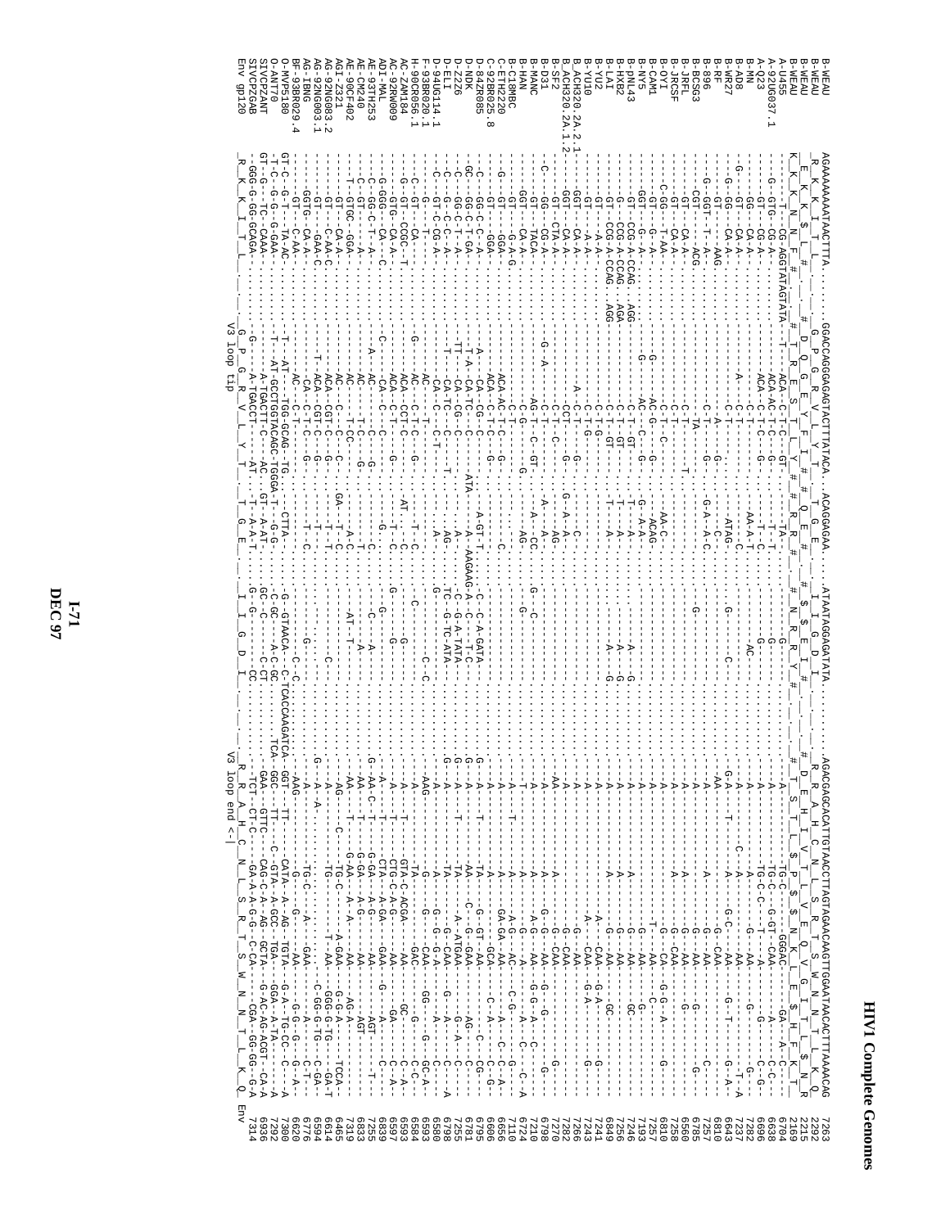|                                                                    |                                                                                                                                                                      |                                                                                                           | v3 loop end <-                                                                             |                  |                                                                         |                              |                    |                                 |
|--------------------------------------------------------------------|----------------------------------------------------------------------------------------------------------------------------------------------------------------------|-----------------------------------------------------------------------------------------------------------|--------------------------------------------------------------------------------------------|------------------|-------------------------------------------------------------------------|------------------------------|--------------------|---------------------------------|
| Env                                                                | z<br>z<br>Ļ<br>F<br>r<br>jo                                                                                                                                          | z<br>F<br>ŗΩ<br>₩<br>μ<br>ŗω.<br>N.                                                                       | ¦≂<br>₩<br>Þ<br>$\Xi$<br>Q                                                                 |                  |                                                                         |                              |                    | dz rd5                          |
| 731                                                                | --ccA--cc-cc--c--A                                                                                                                                                   | $---GA-A-G-G-G--C-A----$                                                                                  | -- LCL--<br>$CL - C - -$                                                                   |                  |                                                                         | GG-G-CG-CAGA                 |                    |                                 |
|                                                                    | -G-AC-AG-ACGT--CA-A                                                                                                                                                  | --CAG-C-A--AG--GCTA--                                                                                     | $-GAA--GTTC--$                                                                             | GC--C-           | TGACTT-C-<br>-<br>--15<br>--                                            | CAAA-                        |                    | LWAZAOVI<br>VCPZGAB             |
| 72936<br>69364<br>73914                                            |                                                                                                                                                                      | C--GTA--A-GCC--TGA----GGA--A-TA----A                                                                      | $A--TT--TT--T$<br>$\frac{1}{4}$                                                            | $-9 - 9 - 7$     | AT-GCCTGGTACAGC-TGGGA-T-<br>ှ<br>ဝှ-                                    | $-G-AA-$                     | P-C--G-G           | <b>ANT70</b>                    |
|                                                                    | Ţ<br>$C---A$                                                                                                                                                         | $-CATA- -A- -AC- -TGTA- -\\$                                                                              | P--GGH---HH--<br>ł                                                                         |                  | CG-GCAG--TG                                                             | $-TA-AC$                     |                    | MVP5180                         |
| 6620<br>7300                                                       | --A--TG-CC--                                                                                                                                                         | $-$ --0 $-$<br>$-44-$                                                                                     | -- 2AG-----<br>I<br>I                                                                      |                  | CTTA-                                                                   | $C - A A -$                  | 4<br>-1-9          | $\frac{4}{7} - 93$ BR029        |
|                                                                    | $C - T - -$                                                                                                                                                          | -5G-C<br>$\begin{array}{c} 1 \\ 1 \\ 1 \\ 1 \end{array}$<br>$-\frac{1}{2}$<br>$-0.7A -$                   | $- - \Delta - - -$<br>$\frac{1}{1}$                                                        |                  | CA--C-T-C----G--                                                        | $CA-A-$                      | GGTG.              | -IBNG                           |
|                                                                    |                                                                                                                                                                      |                                                                                                           |                                                                                            |                  |                                                                         |                              |                    |                                 |
|                                                                    | --69-9-1-0--0-02--                                                                                                                                                   | $\overline{\phantom{a}}$<br>$\overline{\phantom{a}}$<br>$\frac{1}{1}$<br>$\frac{1}{1}$<br>I,              | $\overline{\phantom{a}}$<br>$\blacksquare$<br>$\overline{1}$<br>$\frac{1}{1}$              |                  | ACA--CGT-C                                                              | --GAA-C                      |                    | $3 - 92NGOO3.1$<br>$-92MC083.2$ |
|                                                                    | $-9L - 0 - 5 - 0$<br>$-6B-T$                                                                                                                                         | --DG--<br>$-L-AA-$                                                                                        | $---++--$                                                                                  |                  | ACA--CGT-C---                                                           | -C-AA-C                      | ن<br>ج             |                                 |
|                                                                    | $- - \alpha - \alpha - \beta - - - -$<br>$---TCCA-$                                                                                                                  | ţ<br>$A-GAA$ -                                                                                            | $---PGC---$<br>ţ<br>ţ<br>م<br>۱                                                            |                  | $AC-$                                                                   | $-CA- A-$                    | -<br>무             | GI-Z321                         |
|                                                                    | $- - 2G - A - - -$<br>ı<br>г<br>$\mathbf{I}$<br>I<br>I                                                                                                               | G-AA---A--A--<br>$-44A -$                                                                                 | $\frac{1}{1}$<br>$AA-----$<br>÷<br> <br>$\frac{1}{4}$                                      |                  | AC-<br>--<br>--<br>--<br>--<br>A-C                                      | --GTGC--GGA-                 |                    | E-90CF402                       |
|                                                                    | $\begin{array}{c} 1 \\ 1 \\ 1 \end{array}$<br>$- -$ AGT $-$<br>$\mathbf{I}$<br>$\mathbf{I}$<br>$\mathbf I$<br>$\mathbf{I}$<br>т                                      | $G - GA - -$<br>$-4-9-6-$<br>$\overline{1}$<br>$-44 -$                                                    | $AA$ - $-$<br>$-1$<br>$\mathbf{I}$                                                         |                  | --0--                                                                   |                              |                    | I-CM240                         |
|                                                                    | Ţ<br>$---A G T --$<br>$\frac{1}{4}$<br>÷                                                                                                                             | $-G-GA---A-G---$<br>$-44-$                                                                                | $G - A A - C - T - T - -$                                                                  | $-4-$            | -AC-                                                                    | --88-0-1-1-                  |                    | E-93TH253                       |
|                                                                    | $G---A---$<br>$\frac{1}{2}$<br>$\overline{\phantom{a}}$<br>Q<br>$\begin{array}{c} 1 \\ 1 \\ 1 \end{array}$                                                           | $- C T A - - - A - G A - -$<br>$- - G A A - - -$                                                          | A----------                                                                                |                  | $-CA---C---$                                                            | -GGG---CA---C                |                    |                                 |
|                                                                    | I<br>$---GA---$<br>$\frac{1}{4}$<br>$C - A -$                                                                                                                        | $-CTG-C-R-G--$<br>I.<br>$-44-$<br>I.                                                                      | $-1$<br>$-1$<br>$-1$<br>$-1$                                                               |                  | $ACA$ --<br>いし<br>T                                                     | $GTCS--CA-R-$                |                    | -92RM009                        |
|                                                                    | I<br>I.<br>$C\!-\!{\bf A}\!-\!$                                                                                                                                      | $-CTA-C-ACGA--$<br>$-AA$                                                                                  | $-7$ -A<br>--T                                                                             |                  | ACA--CCT-C                                                              | --an--ccccc---               |                    | <b>18 LMAZ-1</b>                |
|                                                                    | $\blacksquare$<br>C-C--                                                                                                                                              | $-LA$ -<br>$\mathbf{I}$<br>$-940-$                                                                        | $- -A - -$<br>$\overline{\phantom{a}}$<br>$\blacksquare$                                   |                  | AC-<br>-0-1-0                                                           | --QH---QP---                 |                    | -90CR056.                       |
|                                                                    | $- - 50 - -$<br>$-1 - 5 - 1$<br>$G - A -$                                                                                                                            | $-6 -$<br>$\frac{1}{1}$<br>မှ်<br>၂<br>$\overline{\phantom{a}}$<br>$-CAA-$                                | $-AAG$<br>ł<br>J<br>I.                                                                     |                  |                                                                         |                              |                    | 3BR020.                         |
|                                                                    | $-----A------$<br>$\begin{array}{c} 1 \\ 1 \\ 1 \end{array}$<br>$\frac{1}{2}$                                                                                        | $- -A - -$<br>$\frac{1}{1}$<br>$G - -G - -G - A -$                                                        | $- -A - -$                                                                                 |                  | -1-0-1-                                                                 |                              |                    | 94UG114.                        |
|                                                                    | $-1 - 2 - 1 - 2 - 1 - 1$<br>$C = - -$<br>כל                                                                                                                          | --TA<br>I,<br>п<br>$---C = -C A A -$                                                                      | $G---A$<br>Ţ<br>I<br>п                                                                     | G-TC-ATA-        |                                                                         | -4--0-0--9-                  |                    |                                 |
|                                                                    |                                                                                                                                                                      | ł                                                                                                         |                                                                                            | FC---            | -CA-TC---C<br>$AG-$                                                     |                              |                    |                                 |
|                                                                    | T<br>т.<br>$---G---A-----$<br>Q<br>Ī                                                                                                                                 | $-LA---$<br>Ť<br>A--ATGAA-                                                                                | $G---A$<br>í,<br>$\mathbf{I}$<br>f,                                                        | Ω<br>$-$ A-TATA- |                                                                         | -99-0-1<br>$-4-$             |                    | 3226                            |
| 678.                                                               | $---PG---$<br>$\frac{1}{2}$                                                                                                                                          | $-AA$ -<br>$C$ ---G--GAA-                                                                                 | $G---A$<br>J.                                                                              | A-D.<br>$-1 - C$ | --A--CA-TC---C--                                                        | -99-6-1<br>$L-GA-$           |                    |                                 |
|                                                                    | $\overline{\phantom{a}}$                                                                                                                                             | -- TA<br>$\frac{1}{1}$<br>$\sf I$<br>$-5 - -15 - -89 - -$                                                 | $G---A$<br>Ì<br>ţ                                                                          | Ģ<br>--C-A-GATA  | A-GT-1                                                                  | -GG-C-C--A-                  |                    | 34ZR085                         |
|                                                                    | $- - - - - - - - - - -$<br>$-1 - C - -C -$                                                                                                                           | $- - \Delta - -$<br>$\mathbb{I}$<br>$\begin{array}{c} 1 \\ 1 \\ 1 \end{array}$<br>$-CCY-$<br>$\mathbb{I}$ | J                                                                                          |                  | ---0---                                                                 | $-0.04 -$                    | $\frac{1}{\infty}$ | <b>2BR025</b>                   |
| 7 2 7 7 7 7 7<br>2 7 7 7 7 8 0 9<br>7 7 7 7 9 9 9<br>7 9 7 9 7 9 7 | $- - - - - - - - - - - - -$<br>$C=-\mathbf{A}-$                                                                                                                      | $---A---$<br>I<br>$-GA-GA--AA-$                                                                           | I                                                                                          |                  | ICA-AC-'                                                                | -4999-                       | ں<br>ڊ             | <b>JTH2220</b>                  |
|                                                                    | $\frac{1}{1}$<br>$-1$<br>I                                                                                                                                           | $-$ – $\mathbb{A}$<br>Ŧ<br>J<br>$A-G--A C--$                                                              | Þ<br>---------                                                                             |                  |                                                                         | --G-A-C                      |                    | C18MBC                          |
|                                                                    | ъ                                                                                                                                                                    | $---A---$<br>Ť<br>$--\mathbb{G}---\mathbb{A}---$                                                          | f<br>$\frac{1}{1}$                                                                         |                  | $-56-$                                                                  | $CA - A -$                   |                    | HAN                             |
|                                                                    | $G - G - -A - - -C$<br>Ŧ<br>$\mathsf I$<br>$\frac{1}{1}$                                                                                                             | $--A--$<br>$- - \Delta - G - - - \Delta \Delta - - -$                                                     | $\forall$<br>j.<br>$\overline{1}$                                                          |                  |                                                                         | TACA-                        | ្អុ                | <b>MANC</b>                     |
|                                                                    |                                                                                                                                                                      |                                                                                                           |                                                                                            |                  |                                                                         |                              |                    |                                 |
| 72282<br>72270<br>6798                                             | $-1 - -9 - -9 - -9$<br>$-$ --0 $-$                                                                                                                                   | Þ<br>$\frac{1}{1}$<br>$- - - - - - - - - - - - - - - - - - - - - - - - -$                                 | $\mathbf{F}-\mathbf{A}$<br>j<br>$\begin{array}{c} 1 \\ 1 \\ 1 \end{array}$                 |                  | $-4-$                                                                   | $-50-$                       |                    | -D31                            |
|                                                                    | I.<br>ţ<br>ţ<br>$\frac{1}{1}$<br>$\frac{1}{4}$<br>$\frac{1}{2}$                                                                                                      |                                                                                                           | AA.<br>ţ<br>ţ                                                                              |                  | ך<br>ו<br>$-4G-$                                                        | $CTA - A -$                  |                    | SF2                             |
|                                                                    | $\frac{1}{1}$<br>$\blacksquare$<br>Ť<br>$\blacksquare$<br>$\blacksquare$<br>$\blacksquare$<br>$\mathbf{I}$                                                           | $-6 - - C A A -$                                                                                          | $\forall$ –<br>$\blacksquare$<br>$\blacksquare$                                            |                  |                                                                         | $-CA-A$                      |                    | ACH32                           |
|                                                                    | Í<br>$\frac{1}{1}$<br>$\frac{1}{1}$                                                                                                                                  | ţ<br>$-1 - 1 - 0 - 0 - 0$<br>I                                                                            | $\mathbb{A}^{-}$<br>$\frac{1}{1}$<br>$\frac{1}{1}$                                         |                  | -- 1<br>-- 1                                                            |                              |                    | <b>ACH320</b>                   |
| 7243                                                               | $G - A - - -$<br>$\frac{1}{2}$<br>I.<br>$\frac{1}{1}$<br>$\frac{1}{2}$                                                                                               | $---A---$<br>$-CAA-$<br>$\mathsf I$                                                                       | I.<br>$\mathsf I$                                                                          |                  | -- 0-                                                                   |                              |                    | 0TDX                            |
|                                                                    | $\mathsf I$<br>$G - A - - -$<br>$\mathsf I$<br>$\mathsf I$<br>$\blacksquare$<br>$\frac{1}{4}$<br>$\frac{1}{2}$                                                       | $-4-$<br>$-CAA-$<br>$\overline{1}$                                                                        | $\mathbf{I}$<br>$\mathbf{I}$                                                               |                  | --9<br>--                                                               |                              |                    | $Z\Omega X$ -                   |
|                                                                    | $---GC---$<br>Ť<br>$\frac{1}{4}$<br>I                                                                                                                                | $\frac{1}{1}$<br>$-6 - - -24 -$                                                                           | ъ<br>$\frac{1}{1}$<br>п<br>ł                                                               |                  |                                                                         | -GT--CCG-A-CCAC              |                    | -LAI                            |
|                                                                    | $\begin{bmatrix} 1 & 1 & 1 \\ 1 & 1 & 1 \\ 1 & 1 & 1 \\ 1 & 1 & 1 \end{bmatrix}$<br>$\overline{\phantom{a}}$<br>$\overline{\phantom{a}}$<br>$\overline{\phantom{a}}$ | $\frac{1}{1}$<br>$-4-$<br>$\begin{bmatrix} 1 \\ 1 \\ 1 \end{bmatrix}$<br>$\frac{1}{1}$<br>$G---A$ A-      | Ť.<br>$\overline{1}$                                                                       |                  |                                                                         | CCG-A-CCAC                   |                    | EXB <sub>2</sub>                |
|                                                                    | I<br>$---QC---$<br>J.<br>п<br>т<br>I,<br>I                                                                                                                           | ł<br>I,<br>$\frac{1}{1}$<br>$\frac{1}{4}$<br>Ω<br>$---AA-$                                                | i<br>J.<br>I,                                                                              | ÷,               |                                                                         | CG-A-CCAG                    |                    | PNL43                           |
|                                                                    | I<br>I<br>I<br>$\frac{1}{1}$                                                                                                                                         | I<br>$\frac{1}{1}$<br>Ω<br>$-44 - -1$                                                                     | А                                                                                          |                  | $G - -A - A -$                                                          |                              |                    | $G X N -$                       |
|                                                                    | $-1 - C -$                                                                                                                                                           | $-Wd-$                                                                                                    |                                                                                            |                  | -ACAG                                                                   |                              |                    | CAM1                            |
|                                                                    | $G-G--A---$<br>I.<br>Ţ<br>$\mathbf{I}$<br>ဂူ<br>I.                                                                                                                   | Ω<br>Ţ<br>$-59-$<br>$\mathbf{I}$                                                                          | J.<br>J.                                                                                   |                  | AA-C-                                                                   | $T - AAA -$                  | ្អ<br>ទី           | IXO.                            |
|                                                                    | $\blacksquare$<br>$\mathbf{I}$<br>I<br>$\frac{1}{1}$<br>$\overline{1}$<br>ţ                                                                                          | Ъ<br>Ï<br>$\blacksquare$<br>Ω<br>$-CAA-$                                                                  | А                                                                                          |                  |                                                                         | $-CA - A -$                  | -91<br>-           | JRCSF                           |
|                                                                    | I<br>ţ<br>$\frac{1}{2}$<br>$\frac{1}{1}$<br>$\frac{1}{1}$<br>$\frac{1}{1}$                                                                                           | $A$ – –<br>ł<br>$G - -R - -$                                                                              | А                                                                                          |                  |                                                                         | $- A - A -$                  | $-1.5 -$           | <b>JRFL</b>                     |
|                                                                    | $\begin{bmatrix} 1 \\ 1 \\ 1 \end{bmatrix}$<br>$\frac{1}{2}$<br>I<br>I<br>I<br>$-6 -$                                                                                | $\frac{1}{2}$<br>$-44 - -129 -$<br>L                                                                      | $- - A$<br>$\frac{1}{1}$                                                                   |                  | $-44-$                                                                  | -- ACG                       | CGT-               | BCSG3                           |
|                                                                    | ţ<br>$\mathbf{I}$<br>J.<br>I<br>$\frac{1}{1}$<br>Í<br>$\mathbf{I}$<br>ך<br>--                                                                                        | ъ<br>ł<br>I<br>J,<br>$\frac{1}{1}$<br>$-44 - -144 - -144$                                                 | $\frac{1}{\mathbf{A}} = -$<br>Ï                                                            |                  | リーヌーーヌーロ                                                                | エーマーー                        | ---GGT---          | -896                            |
|                                                                    | $\mathbf{I}$<br>$\frac{1}{1}$<br>$\mathsf I$<br>$\begin{array}{c} 1 \\ 1 \end{array}$                                                                                | $\frac{1}{1}$<br>$-6A-1$                                                                                  | $-M2$<br>$\frac{1}{1}$                                                                     |                  |                                                                         | -- AAG                       |                    |                                 |
|                                                                    |                                                                                                                                                                      |                                                                                                           |                                                                                            |                  |                                                                         |                              |                    | .<br>ਬ                          |
|                                                                    | $\frac{1}{1}$<br>$G - A -$<br>ъ                                                                                                                                      | $----------$<br>$C = - -A = -$<br>I<br>$---AA---$                                                         | $-9-7$<br>$-1$ $-1$ $-1$ $-1$ $-1$<br>$\begin{array}{c} 1 \\ 1 \\ 1 \end{array}$<br>۲<br>ا |                  | -ATAG-                                                                  | CA-A--                       | .<br>န             | $-MR27$                         |
|                                                                    | I<br>ţ<br>$\frac{1}{1}$<br>$\frac{1}{1}$<br>- - - - - - - - -                                                                                                        | $-1$ $-1$ $-1$ $-1$ $-1$ $-1$                                                                             |                                                                                            |                  | $- - - - -$                                                             | $- A - A -$                  | $-1.5-$            | $-4D8$                          |
|                                                                    | L<br><u>ဂု</u><br> <br>$\frac{1}{2}$<br>$\frac{1}{1}$                                                                                                                | --10-0-0-1-1-1-1-1-1-1-1-1-1-1-<br>$A$ --<br>$--\mathcal{Q}--\mathcal{P}A--$                              | j<br>P<br>$\frac{1}{2}$                                                                    |                  | $A$ A-A-A                                                               |                              |                    |                                 |
|                                                                    | $\begin{array}{c} 1 \\ 1 \\ 1 \end{array}$<br>- 1<br>- 1<br>- 1<br>- 1<br>C--G-<br>$C-C$ -0                                                                          | ---IG-C---G-GI--CAA--                                                                                     | $-1$ $-1$<br>$- - A$ .                                                                     |                  | ACA-AC-T-C--<br>$ACA$ --<br>Ľ<br>$- - - - -$<br>ဂု<br>- 1<br>- 1<br>- 1 | G--GTG--CG-A--<br>$CB - A -$ |                    | $-0.33$                         |
|                                                                    | $\mathsf I$<br>$-6A- -A-$<br>$C = -1$                                                                                                                                | TG-C--------GGGAC--                                                                                       | $A - -$                                                                                    |                  |                                                                         |                              |                    | $-920G031$                      |
|                                                                    | ø<br>$\mathsf I$<br>٠U)<br>F<br>F                                                                                                                                    | ٠m<br>IJ<br>٠m<br>¦∽<br>z<br>ķ<br>Ļ                                                                       | .<br>ما<br>Η                                                                               |                  |                                                                         | CG-AGGTA                     |                    | WEAU-<br>GS50                   |
|                                                                    | ¦ဂ<br>A<br>'nΩ<br>z<br>ヵ                                                                                                                                             | ų<br>Η<br>$\prec$<br>ø<br>o,<br>$\overline{\phantom{0}}$                                                  | ō,<br>ø<br>Ξ<br>$\prec$                                                                    |                  |                                                                         |                              |                    | -WEAU                           |
|                                                                    | z<br>z<br>F<br>ö                                                                                                                                                     | z<br>מ'<br>₩<br>H<br>מ,<br>מ<br>่≍                                                                        |                                                                                            |                  |                                                                         |                              |                    | -WEAU                           |
|                                                                    | -3                                                                                                                                                                   | AGACGAGCACATTGTAACCTTAGTAGAACAAGTTGGAATAACACTTTAAAACA                                                     |                                                                                            | ATATASADOOATAATA | AUATAT TEORI DAGAGIA<br>たいどうどう                                          | ATTITURA TAATI AACTTI        |                    | MEAU                            |
|                                                                    |                                                                                                                                                                      |                                                                                                           |                                                                                            |                  |                                                                         |                              |                    |                                 |

 $\frac{1.71}{\text{DEC } 97}$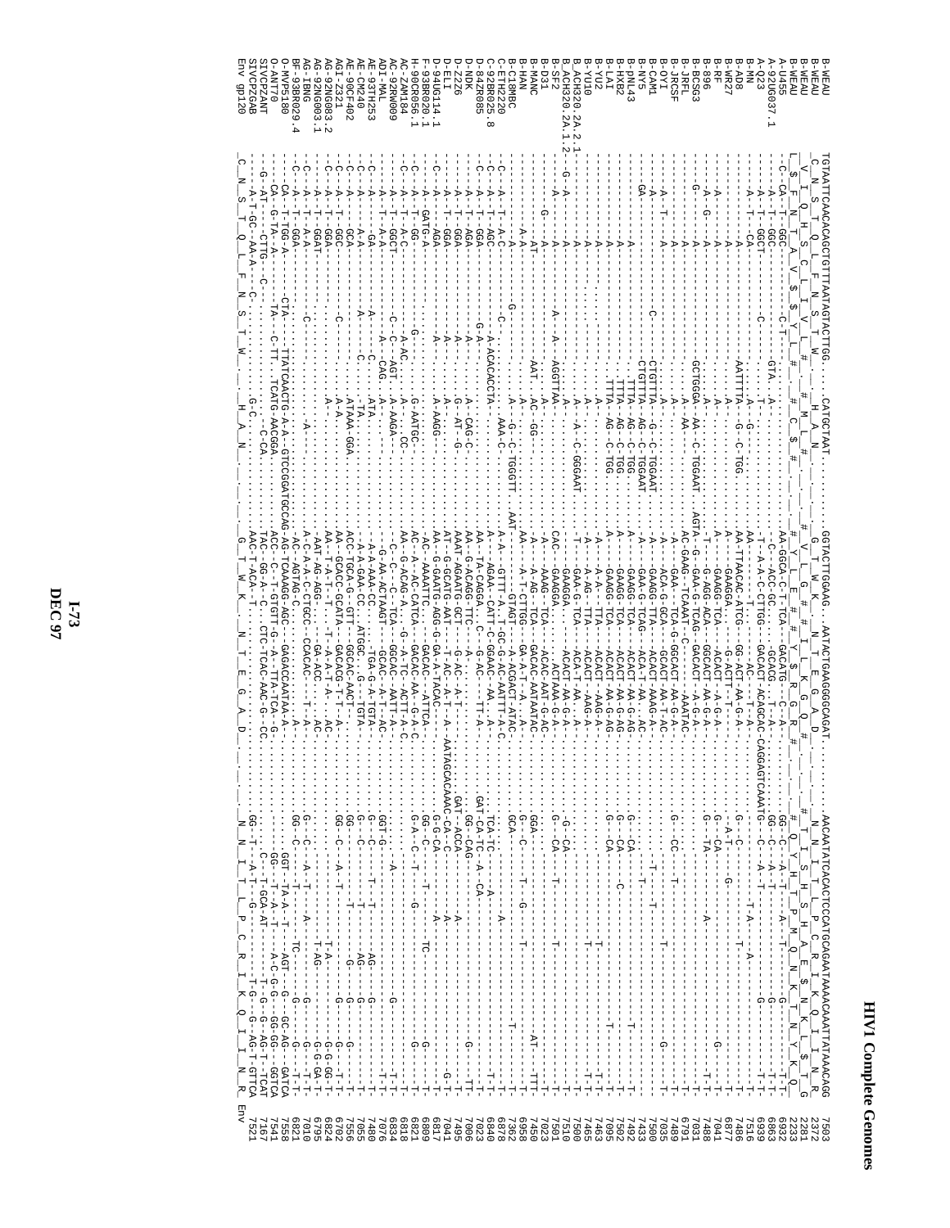# -WEAU<br>-WEAU<br>-WEAU  $\frac{1}{2}$ ה האופיע המוסיף האופיע האופיע המוסיף האופיע המוסיף האופיע המוסיף המוסיף האופיע האופיע האופיע האופיע האופיע האו<br>סוג האמשטים האופיע המוסיק האופיע הסופט הסופט הקומינה של האופיע המוסיק השומש האופיע המוסיף השומש האופיע האופיע<br>

SIVCPZGAB<br>Env gp120 **TVCPZANT** 

**Env**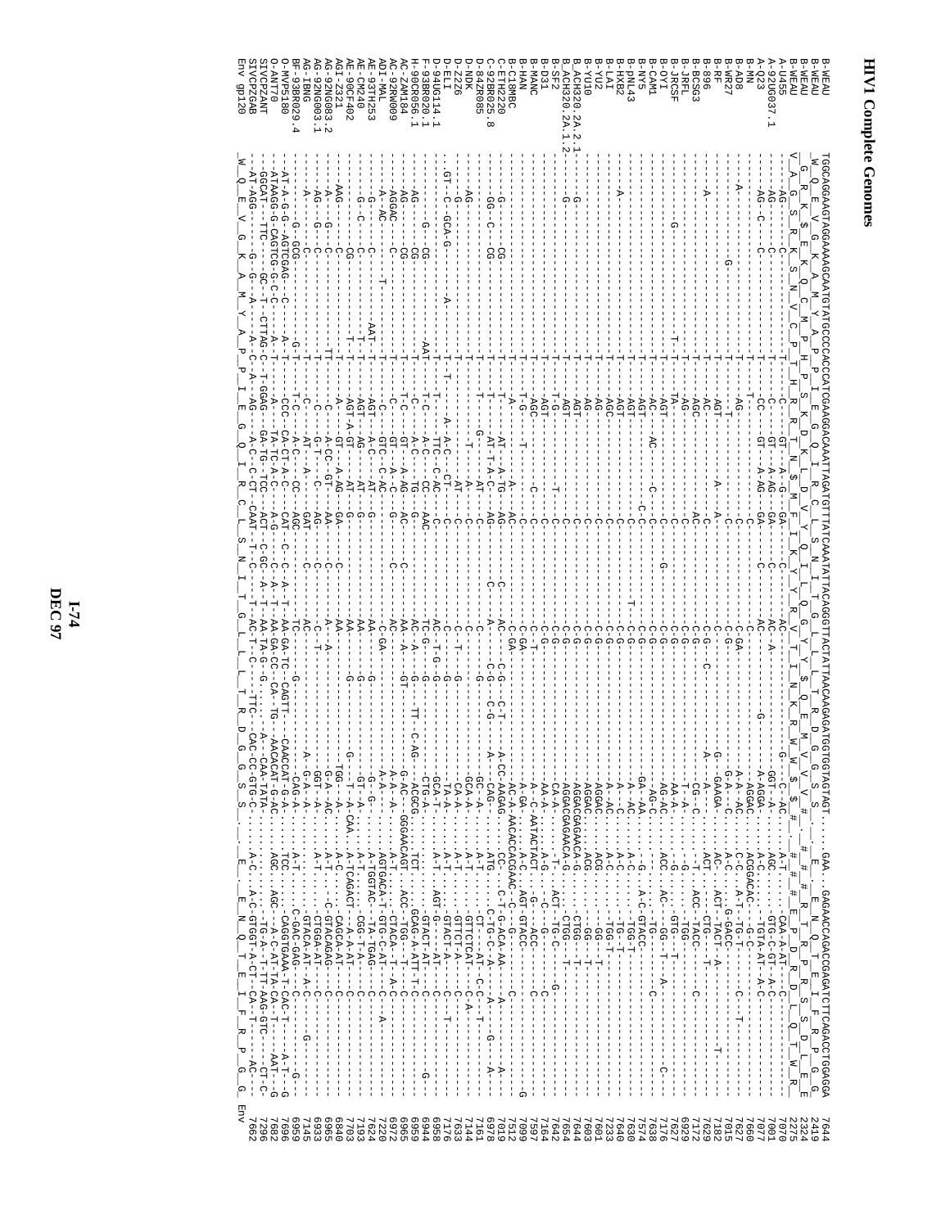| RGC<br>LOV.<br>ikg−<br>RGC<br>AGT<br>PA<br>AGT<br>AGC<br>AGT<br>AGT<br>GT.<br>$A - CT - A -$<br>--C-AC<br>--C-AC<br>$- - -N$<br>-A--C<br>$-A-AC$<br>-A-AG<br>$LV -$<br>LV-<br>င်င<br>AGC<br>-GA.<br>ှ<br>$--TGG---A--$<br>G----T--A-CAAA-TCAGACT---A-A-AT----<br>A----CAG-- ATG C-TG-C--A---<br>$-1 - 24 - 1$ $A - 1 - 1 - 1 - 1 - 1$<br>$-6 - A - A C \ldots$<br>--GGT--A-<br>---A-AGGA-<br>$-1 - 9 - 9 - 9 - 9 - 1$<br>$---GCA-A---$<br>--AC-A-AACACCACGAAC--C---C----<br>$-T$ - $T$ - $A$ - $\ldots$<br>$\mathbb{A} - \mathbb{B} - \mathbb{B}$<br>$A-T$ - CGG-T-A-----<br>$\mathbf{A}\mathbf{C}^{--}\qquad \mathbf{A}\mathbf{C}\mathbf{T}^{--}\mathbf{T}\mathbf{A}\mathbf{C}\mathbf{T}^{--}\mathbf{A}^{--}\mathbf{A}^{--}$<br>$\frac{1}{2}$<br>C-GTACAGAG----<br>$C$ --------<br>$C--------$<br>$-1$ $-1$ $-1$ $-1$ $-1$ $-1$ | AG.<br>AGTCGAG- |
|----------------------------------------------------------------------------------------------------------------------------------------------------------------------------------------------------------------------------------------------------------------------------------------------------------------------------------------------------------------------------------------------------------------------------------------------------------------------------------------------------------------------------------------------------------------------------------------------------------------------------------------------------------------------------------------------------------------------------------------------------------------------------------------------------------------------------------|-----------------|
|                                                                                                                                                                                                                                                                                                                                                                                                                                                                                                                                                                                                                                                                                                                                                                                                                                  |                 |
| $\begin{minipage}[t]{0.75\textwidth} \begin{equation} \begin{array}{r} \textbf{0.1} & \textbf{0.2} & \textbf{0.3} & \textbf{0.3} & \textbf{0.4} & \textbf{0.4} & \textbf{0.4} & \textbf{0.4} & \textbf{0.4} & \textbf{0.4} & \textbf{0.4} & \textbf{0.4} & \textbf{0.4} & \textbf{0.4} & \textbf{0.4} & \textbf{0.4} & \textbf{0.4} & \textbf{0.4} & \textbf{0.4} & \textbf{0.4} & \textbf{0.4} & \$<br>$-RA-RA A-G--C---G---C---C------$<br>A-TGGTAC---TA-TGAG---------<br>$A-T \ldots \ldots \ldots \vdots \text{GTrCCA-1}--C-A--------------}$<br>$C------------$<br>C-----------<br>$C---A---A---$<br>C----------                                                                                                                                                                                                            |                 |
|                                                                                                                                                                                                                                                                                                                                                                                                                                                                                                                                                                                                                                                                                                                                                                                                                                  |                 |
|                                                                                                                                                                                                                                                                                                                                                                                                                                                                                                                                                                                                                                                                                                                                                                                                                                  |                 |
|                                                                                                                                                                                                                                                                                                                                                                                                                                                                                                                                                                                                                                                                                                                                                                                                                                  | AAG.            |
|                                                                                                                                                                                                                                                                                                                                                                                                                                                                                                                                                                                                                                                                                                                                                                                                                                  |                 |
|                                                                                                                                                                                                                                                                                                                                                                                                                                                                                                                                                                                                                                                                                                                                                                                                                                  | ω               |
|                                                                                                                                                                                                                                                                                                                                                                                                                                                                                                                                                                                                                                                                                                                                                                                                                                  |                 |
|                                                                                                                                                                                                                                                                                                                                                                                                                                                                                                                                                                                                                                                                                                                                                                                                                                  | $A - -AC$       |
|                                                                                                                                                                                                                                                                                                                                                                                                                                                                                                                                                                                                                                                                                                                                                                                                                                  | <b>AGGAC</b>    |
|                                                                                                                                                                                                                                                                                                                                                                                                                                                                                                                                                                                                                                                                                                                                                                                                                                  |                 |
|                                                                                                                                                                                                                                                                                                                                                                                                                                                                                                                                                                                                                                                                                                                                                                                                                                  |                 |
|                                                                                                                                                                                                                                                                                                                                                                                                                                                                                                                                                                                                                                                                                                                                                                                                                                  | ဂှ              |
|                                                                                                                                                                                                                                                                                                                                                                                                                                                                                                                                                                                                                                                                                                                                                                                                                                  |                 |
|                                                                                                                                                                                                                                                                                                                                                                                                                                                                                                                                                                                                                                                                                                                                                                                                                                  | --GCA-G         |
|                                                                                                                                                                                                                                                                                                                                                                                                                                                                                                                                                                                                                                                                                                                                                                                                                                  |                 |
|                                                                                                                                                                                                                                                                                                                                                                                                                                                                                                                                                                                                                                                                                                                                                                                                                                  | AG              |
|                                                                                                                                                                                                                                                                                                                                                                                                                                                                                                                                                                                                                                                                                                                                                                                                                                  |                 |
|                                                                                                                                                                                                                                                                                                                                                                                                                                                                                                                                                                                                                                                                                                                                                                                                                                  | සි              |
|                                                                                                                                                                                                                                                                                                                                                                                                                                                                                                                                                                                                                                                                                                                                                                                                                                  |                 |
|                                                                                                                                                                                                                                                                                                                                                                                                                                                                                                                                                                                                                                                                                                                                                                                                                                  |                 |
|                                                                                                                                                                                                                                                                                                                                                                                                                                                                                                                                                                                                                                                                                                                                                                                                                                  |                 |
|                                                                                                                                                                                                                                                                                                                                                                                                                                                                                                                                                                                                                                                                                                                                                                                                                                  |                 |
|                                                                                                                                                                                                                                                                                                                                                                                                                                                                                                                                                                                                                                                                                                                                                                                                                                  |                 |
|                                                                                                                                                                                                                                                                                                                                                                                                                                                                                                                                                                                                                                                                                                                                                                                                                                  |                 |
|                                                                                                                                                                                                                                                                                                                                                                                                                                                                                                                                                                                                                                                                                                                                                                                                                                  |                 |
|                                                                                                                                                                                                                                                                                                                                                                                                                                                                                                                                                                                                                                                                                                                                                                                                                                  |                 |
|                                                                                                                                                                                                                                                                                                                                                                                                                                                                                                                                                                                                                                                                                                                                                                                                                                  |                 |
|                                                                                                                                                                                                                                                                                                                                                                                                                                                                                                                                                                                                                                                                                                                                                                                                                                  |                 |
|                                                                                                                                                                                                                                                                                                                                                                                                                                                                                                                                                                                                                                                                                                                                                                                                                                  |                 |
|                                                                                                                                                                                                                                                                                                                                                                                                                                                                                                                                                                                                                                                                                                                                                                                                                                  |                 |
|                                                                                                                                                                                                                                                                                                                                                                                                                                                                                                                                                                                                                                                                                                                                                                                                                                  |                 |
|                                                                                                                                                                                                                                                                                                                                                                                                                                                                                                                                                                                                                                                                                                                                                                                                                                  |                 |
|                                                                                                                                                                                                                                                                                                                                                                                                                                                                                                                                                                                                                                                                                                                                                                                                                                  |                 |
|                                                                                                                                                                                                                                                                                                                                                                                                                                                                                                                                                                                                                                                                                                                                                                                                                                  |                 |
|                                                                                                                                                                                                                                                                                                                                                                                                                                                                                                                                                                                                                                                                                                                                                                                                                                  |                 |
|                                                                                                                                                                                                                                                                                                                                                                                                                                                                                                                                                                                                                                                                                                                                                                                                                                  |                 |
|                                                                                                                                                                                                                                                                                                                                                                                                                                                                                                                                                                                                                                                                                                                                                                                                                                  |                 |
|                                                                                                                                                                                                                                                                                                                                                                                                                                                                                                                                                                                                                                                                                                                                                                                                                                  |                 |
|                                                                                                                                                                                                                                                                                                                                                                                                                                                                                                                                                                                                                                                                                                                                                                                                                                  |                 |
|                                                                                                                                                                                                                                                                                                                                                                                                                                                                                                                                                                                                                                                                                                                                                                                                                                  |                 |
|                                                                                                                                                                                                                                                                                                                                                                                                                                                                                                                                                                                                                                                                                                                                                                                                                                  |                 |
|                                                                                                                                                                                                                                                                                                                                                                                                                                                                                                                                                                                                                                                                                                                                                                                                                                  |                 |
|                                                                                                                                                                                                                                                                                                                                                                                                                                                                                                                                                                                                                                                                                                                                                                                                                                  |                 |
|                                                                                                                                                                                                                                                                                                                                                                                                                                                                                                                                                                                                                                                                                                                                                                                                                                  | $AG --$         |
|                                                                                                                                                                                                                                                                                                                                                                                                                                                                                                                                                                                                                                                                                                                                                                                                                                  |                 |
| G-----C--AC.<br>$\texttt{A-T} \cdot \ldots \cdot \cdot \texttt{CAA - A - AT--}$<br>$\frac{1}{1}$<br>þ,<br>Q<br>$\blacksquare$<br>$\mathbf{I}$                                                                                                                                                                                                                                                                                                                                                                                                                                                                                                                                                                                                                                                                                    |                 |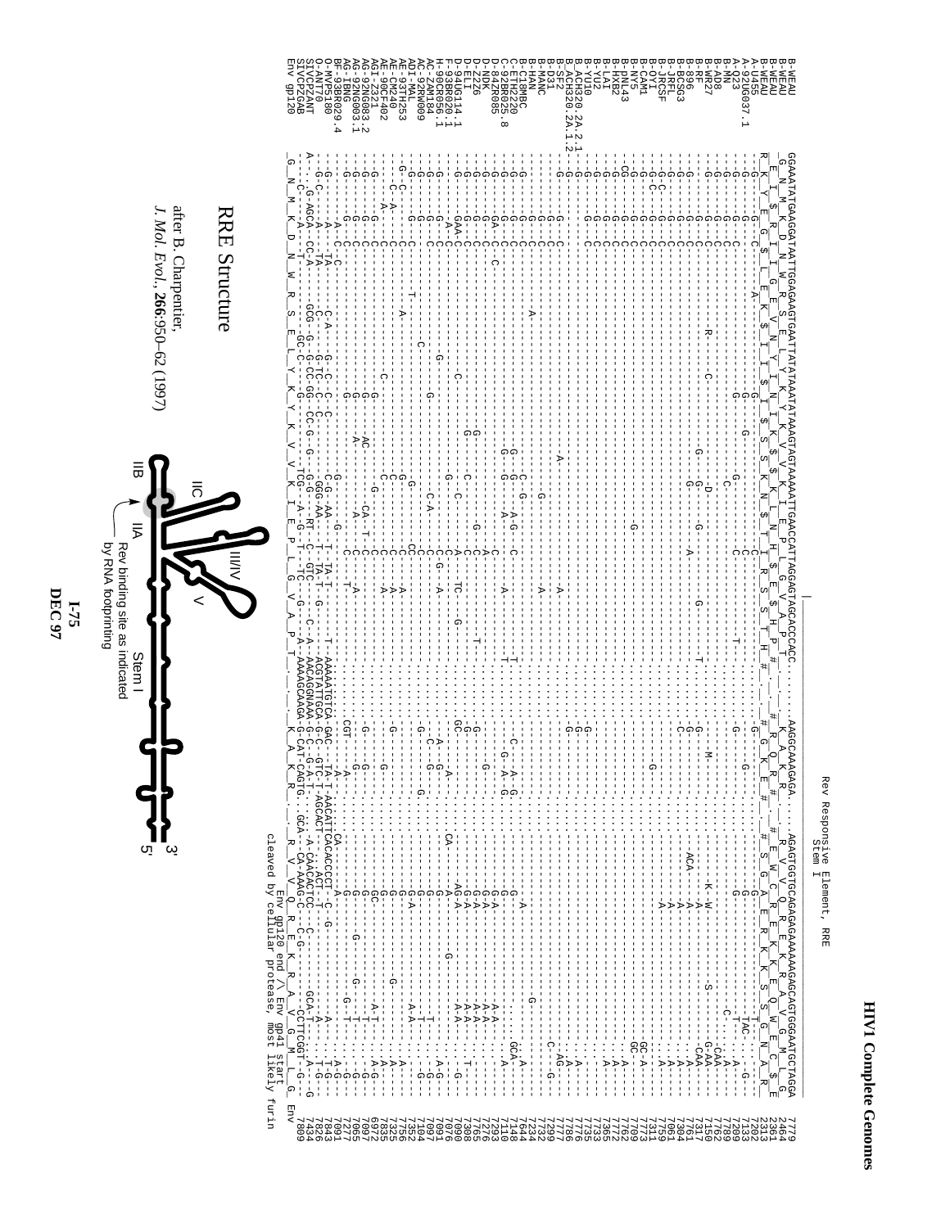

DEC 97  $51-12$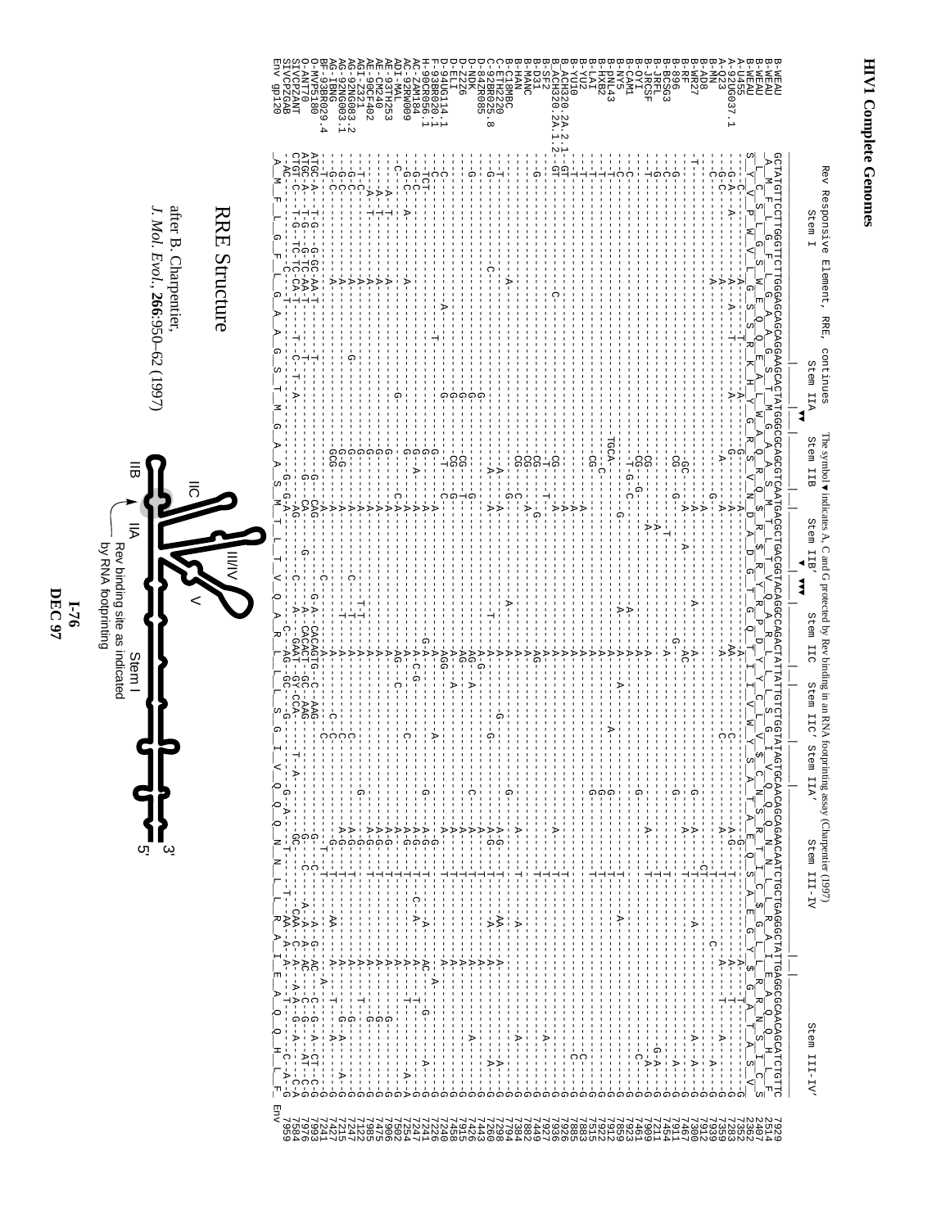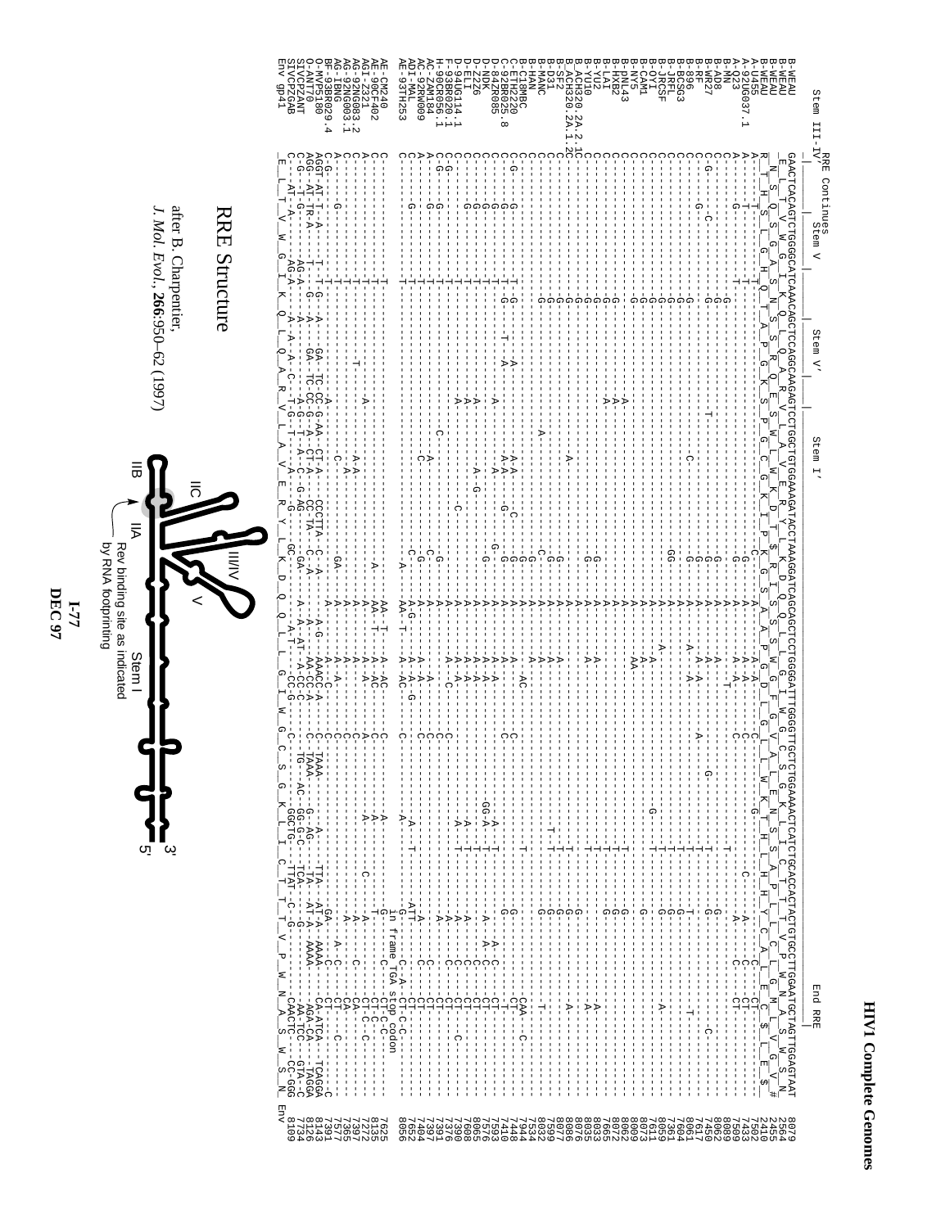

 ${\small \begin{array}{cccccccccccc} \mathbf{0} & \mathbf{1} & \mathbf{0} & \mathbf{1} & \mathbf{0} & \mathbf{0} & \mathbf{0} & \mathbf{0} & \mathbf{0} & \mathbf{0} & \mathbf{0} & \mathbf{0} & \mathbf{0} & \mathbf{0} & \mathbf{0} & \mathbf{0} & \mathbf{0} & \mathbf{0} & \mathbf{0} & \mathbf{0} & \mathbf{0} & \mathbf{0} & \mathbf{0} & \mathbf{0} & \mathbf{0} & \mathbf{0} & \mathbf{0} & \mathbf{0} & \mathbf{0} & \mathbf{0}$ 

 $\sum_{i=1}^{n}$ 

Ħ

Stem  $IIT - IVI$ ,<br>Stem  $IIT - IY$ ,

 $\begin{bmatrix} 1 & 1 \\ 1 & 1 \\ 1 & 1 \end{bmatrix}$ 

ငှ



ي آن

**RRE Structure** 

<u>ဂ်</u><br>|-

ממילים<br>קיון ויון<br>מ¢ון ויון

 $\begin{bmatrix} 1 \\ 1 \\ 1 \end{bmatrix}$ 

<u>ត់តតត</u>់

ن ن

Ħ

 $\frac{N-N-1-1}{N}$ 

ю

'∼

k

F

r<br>I

þ

¦o

|<br>വ

้⊳่

¦റ

ا<br>|<br>|Ω

¦<

l<br>,

Env

 $\begin{array}{c} 1 \\ 1 \\ 1 \end{array}$ 'n

 $\begin{split} \frac{1}{\gamma-1}&=-\frac{1}{2(1-\gamma)}\frac{1}{\gamma-1}+\frac{1}{2(1-\gamma)}\frac{1}{\gamma-1}\\ &=-\frac{1}{2(1-\gamma)}\frac{1}{\gamma-1}-\frac{1}{2(1-\gamma)}\frac{1}{\gamma-1}\\ &=-\frac{1}{2(1-\gamma)}\frac{1}{\gamma-1}-\frac{1}{2(1-\gamma)}\frac{1}{\gamma-1}\\ &=-\frac{1}{2(1-\gamma)}\frac{1}{\gamma-1}-\frac{1}{2(1-\gamma)}\frac{1}{\gamma-1}\\ &=-\frac{1}{2(1-\gamma)}\frac{1}{\gamma-1}-\frac{1}{2($ 

 $\begin{array}{l} \displaystyle T-\mathrm{A}--\mathrm{A} \mathrm{A} \mathrm{A} \mathrm{A}-\\ \displaystyle T-\mathrm{A}--\mathrm{A} \mathrm{A} \mathrm{A} \mathrm{A}\\ \end{array}$ 

 $-A$ --------

 $\begin{split} & \frac{-\alpha}{2}G_{N-1}^2-\alpha_1S_{N-1}^2-\alpha_2S_{N-1}^2-\alpha_1S_{N-1}^2-\alpha_2S_{N-1}^2-\alpha_1S_{N-1}^2-\alpha_1S_{N-1}^2-\alpha_1S_{N-1}^2-\alpha_1S_{N-1}^2-\alpha_1S_{N-1}^2-\alpha_1S_{N-1}^2-\alpha_1S_{N-1}^2-\alpha_1S_{N-1}^2-\alpha_1S_{N-1}^2-\alpha_1S_{N-1}^2-\alpha_1S_{N-1}^2-\alpha_1S_{N-1}^2-\alpha_1S_{$ 

 $\begin{array}{r} -1 & -1 & -1 & -1 & -1 \\ -2 & -1 & -1 & -1 & -1 \\ -3 & -1 & -1 & -1 & -1 \\ -2 & -1 & -1 & -1 & -1 \\ -3 & -1 & -2 & -1 & -1 \\ -4 & -1 & -1 & -1 & -1 \\ -6 & -1 & -1 & -1 & -1 \\ -7 & -1 & -1 & -1 & -1 \\ -8 & -1 & -1 & -1 & -1 \\ -8 & -1 & -1 & -1 & -1 \\ -1 & -1 & -1 & -1 & -1 \\ -1 & -1 & -1 & -1 & -1 \\ -1 & -1 & -1 & -1 & -1 \\ -1 & -1 & -1 & -1 & -1 \\ -1 &$ 

 $\begin{bmatrix} \mathbf{A}\mathbf{G}-\mathbf{A}-\mathbf{A}\\ \mathbf{A}\mathbf{G}-\mathbf{A}-\mathbf{A} \end{bmatrix}$ 

after B. Charpentier, J. Mol. Evol., 266:950-62 (1997)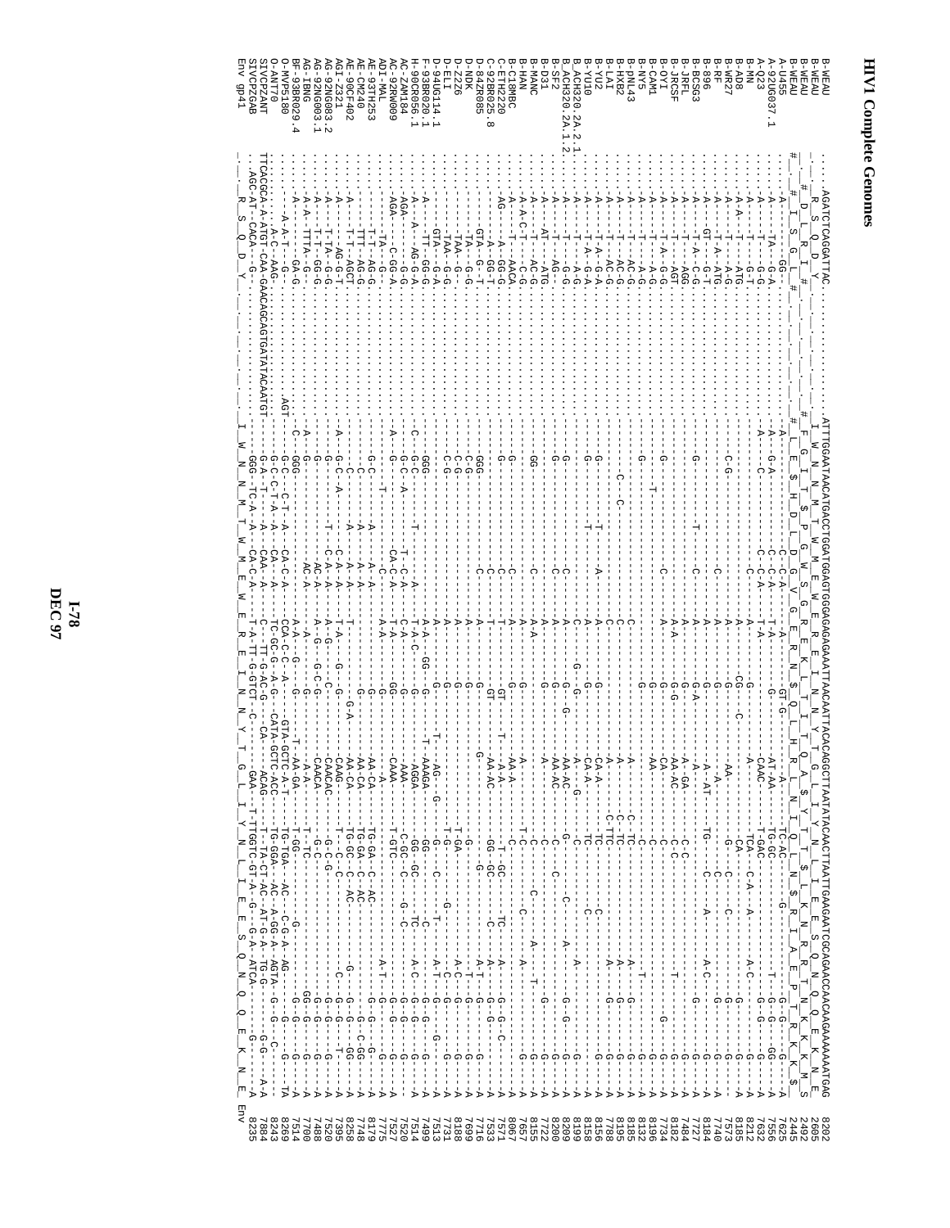| $-TC - GGA - - -AC - -A - GG - A --AGTA - -G - -G - - -C - -$<br>$-$ -0--0--<br>$-1$ $-1$ $-1$ $-1$ $-1$ $-1$<br>$---DC---$<br>$\frac{1}{1}$<br>$\frac{1}{2}$<br>$\begin{array}{c} 1 \\ 1 \\ 1 \end{array}$<br>$-1$<br>$\begin{array}{c} 1 \\ 1 \\ 1 \end{array}$<br>ł<br>$-1 - 1$<br>п<br>$\begin{array}{c} 1 \\ 1 \\ 1 \end{array}$<br>J.<br>I<br>п<br>$\frac{1}{1}$<br>$A---$<br>$\frac{1}{1}$<br>$- -p - -C - -C - -$<br>$- -Y - -$<br>$-1$<br>$-1$<br>$-1$<br>$-1$<br>$-1$<br>$-1$<br>- - マーコー<br>$- - - - - - - - - - -$<br>$\begin{array}{c} \n\cdot & \cdot \\ \n\cdot & \cdot \\ \n\cdot & \cdot \n\end{array}$<br>$\frac{1}{1}$<br>$- - - - - - - - - - -$<br>ł<br>$-1 - 0 - 1$<br>$A-C$<br>$\frac{1}{1}$<br>$A-T--G---$<br>ļ<br>Ť<br>$\sf I$<br>$\mathsf I$<br>$\frac{1}{1}$<br>$\frac{1}{4}$<br>I<br>$\mathbf{I}$<br>$\mathbf{I}$<br>$\overline{\phantom{a}}$<br>$- - - - - - - - - - -$<br>$\frac{1}{1}$<br>$\frac{1}{1}$<br>$\frac{1}{1}$<br>1<br>-1<br>$\frac{1}{1}$<br>п<br>$- - \square - \square - \square -$<br>$\mathsf I$<br>$\begin{array}{c} 1 \\ 1 \\ 1 \end{array}$<br>$-\frac{1}{2}$<br>$-6 - 0$<br>$\frac{1}{1}$<br>$\frac{1}{\sqrt{2}}$<br>$C = -C = -1$<br>$\frac{1}{2}$<br>$\frac{1}{\sqrt{2}}$<br>$G - G - G - C -$<br>$\frac{0}{1}$<br>$\Gamma$<br>$-9 - 0 - -9 -$<br>ţ<br>$-1$<br>----------<br><u>ဂ</u><br>ဂု<br>$\Gamma$<br>ဂု<br>L<br>$-6 -$<br>$\mathbf{I}$<br>$\begin{bmatrix} 1 \\ 1 \\ 1 \end{bmatrix}$<br>J<br>ţ<br>$\frac{1}{1}$<br>ţ<br>$\begin{array}{c} 1 \\ 1 \\ 1 \end{array}$<br>ţ<br>$-$ - $ \theta$ - $-$<br>ł<br>$-99 -$<br>$-1 - 0 - 1$<br>$\frac{1}{1}$<br>$\frac{1}{1}$<br>-1<br>ω<br><u>ဂ</u><br>ဂှ<br>$\frac{1}{2}$<br>$\frac{1}{\sqrt{2}}$<br>$\frac{1}{\sqrt{2}}$<br>ဂု<br>Ω<br>Ω<br>Ω<br>$\frac{1}{1}$<br>ם<br>--<br>-<br>ဂှ<br>Ţ.<br>ł<br>$\frac{1}{1}$<br>I<br>J,<br>$\mathbf{I}$<br>$\mathbf{I}$<br>$\mathbf{I}$<br>ţ<br>$\mathbf{I}$<br>п<br>--rA<br>$- - \mathrm{A}$<br>$\mathbf{F}-\mathbf{A}$<br>$- - A$<br>$A - -A$<br>$\overline{\mathbb{A}}$<br>$- - \mathbf{A}$<br>$- - \mathbb{A}$<br>$A - -A$<br>$- - A$<br>$- - \mathbf{A}$<br>$- - A$<br>$- -A$<br>$-$ – $\mathrm{A}$ | $-1 - 1 - GA - -$<br>$-1 - C - - - -$<br>-TG-TGA---AC---C-G-A--AG----<br>$-1$ -GHC $-1$<br>---0------0--<br>-TG-GA--C--AC--<br>$\frac{1}{1}$<br>TG-GC--C--AC---<br>$-0.00 - 0.00 - -$<br>TG-GA--C--AC----<br>ユーーーローーローーー<br>$-6 -$<br>$-1$<br>H - - HC - - - - - - - -<br>--99--<br>--99--99--<br>c-ac--c--<br>I<br>$\frac{1}{1}$<br>$\frac{1}{1}$<br>$\begin{array}{c} 1 \\ 1 \\ 1 \end{array}$<br>$\begin{array}{c} 1 \\ 1 \\ 1 \end{array}$<br>I<br>I<br>----------<br>$\frac{1}{1}$<br>I<br>$\frac{1}{1}$<br>J<br>$\begin{array}{c} 1 \\ 1 \\ 1 \end{array}$<br>J. | ဂှ<br>CTC-ACC--<br>CTC-A-T<br>$-AA-GA-$<br>-CAACA-<br>-CAACAC<br>$-CMAC$<br>$-AA-CA-$<br>$-AA-CA-$<br>$-AA-CA-$<br>$-CAAA - -$<br>$-{\bf A}{\bf A}{\bf A}{\bf A}{\bf G}{\bf A}$ -<br>$- - 2G - - - G - -$<br><u>ဂ</u><br> -<br> -<br>$- - -$ A $-$ A $-$<br>$-{\bf A}{\bf A}-{\bf A}-$<br>$-1 - 2 - 4 -$<br>$-ACGA---$<br>$-{\bf A}{\bf A}{\bf A} -$<br>$\frac{1}{1}$<br>$AA-AC--$<br>$\frac{1}{1}$<br>---7--<br>$\frac{1}{1}$<br>I<br>ł<br>ł<br>I<br>$\sf I$<br>J<br>т<br>J, | CCA-C-C--<br>A--G--<br>$A - A -$<br>$L - A - C$<br>-- פ- פ- - פ- - <del>א</del><br>$A - A -$<br>$-V -$<br>$-9 - 0$<br>$\frac{1}{1}$ | B-0-5-4-4-A<br>$C-T--A$<br>CA-C-A<br>$A - A - A$<br>$-24C - A$<br>$-2AC-A$ | <u>ဂ</u>   | アーダーユーーロー<br>TTTA--G--<br>7-7--GG-G<br><b>D-DA--G-G</b> | <b>ANT70</b><br>MVP5180<br>93BR029<br><b>TBNG</b> |
|-------------------------------------------------------------------------------------------------------------------------------------------------------------------------------------------------------------------------------------------------------------------------------------------------------------------------------------------------------------------------------------------------------------------------------------------------------------------------------------------------------------------------------------------------------------------------------------------------------------------------------------------------------------------------------------------------------------------------------------------------------------------------------------------------------------------------------------------------------------------------------------------------------------------------------------------------------------------------------------------------------------------------------------------------------------------------------------------------------------------------------------------------------------------------------------------------------------------------------------------------------------------------------------------------------------------------------------------------------------------------------------------------------------------------------------------------------------------------------------------------------------------------------------------------------------------------------------------------------------------------------------------------------------------------------------------------------------------------------------------------------------------------------------------------------------------------------------------------------------------------------------------------------------------------------------------------------------------------------------------------------------------------------------------------------------------------------------------------------------------------------------------------|------------------------------------------------------------------------------------------------------------------------------------------------------------------------------------------------------------------------------------------------------------------------------------------------------------------------------------------------------------------------------------------------------------------------------------------------------------------------------------------------------------------------------------------------------------------------|-------------------------------------------------------------------------------------------------------------------------------------------------------------------------------------------------------------------------------------------------------------------------------------------------------------------------------------------------------------------------------------------------------------------------------------------------------------------------------|-------------------------------------------------------------------------------------------------------------------------------------|----------------------------------------------------------------------------|------------|---------------------------------------------------------|---------------------------------------------------|
|                                                                                                                                                                                                                                                                                                                                                                                                                                                                                                                                                                                                                                                                                                                                                                                                                                                                                                                                                                                                                                                                                                                                                                                                                                                                                                                                                                                                                                                                                                                                                                                                                                                                                                                                                                                                                                                                                                                                                                                                                                                                                                                                                 |                                                                                                                                                                                                                                                                                                                                                                                                                                                                                                                                                                        |                                                                                                                                                                                                                                                                                                                                                                                                                                                                               |                                                                                                                                     |                                                                            |            |                                                         |                                                   |
|                                                                                                                                                                                                                                                                                                                                                                                                                                                                                                                                                                                                                                                                                                                                                                                                                                                                                                                                                                                                                                                                                                                                                                                                                                                                                                                                                                                                                                                                                                                                                                                                                                                                                                                                                                                                                                                                                                                                                                                                                                                                                                                                                 |                                                                                                                                                                                                                                                                                                                                                                                                                                                                                                                                                                        |                                                                                                                                                                                                                                                                                                                                                                                                                                                                               |                                                                                                                                     |                                                                            |            |                                                         |                                                   |
|                                                                                                                                                                                                                                                                                                                                                                                                                                                                                                                                                                                                                                                                                                                                                                                                                                                                                                                                                                                                                                                                                                                                                                                                                                                                                                                                                                                                                                                                                                                                                                                                                                                                                                                                                                                                                                                                                                                                                                                                                                                                                                                                                 |                                                                                                                                                                                                                                                                                                                                                                                                                                                                                                                                                                        |                                                                                                                                                                                                                                                                                                                                                                                                                                                                               |                                                                                                                                     |                                                                            |            |                                                         |                                                   |
|                                                                                                                                                                                                                                                                                                                                                                                                                                                                                                                                                                                                                                                                                                                                                                                                                                                                                                                                                                                                                                                                                                                                                                                                                                                                                                                                                                                                                                                                                                                                                                                                                                                                                                                                                                                                                                                                                                                                                                                                                                                                                                                                                 |                                                                                                                                                                                                                                                                                                                                                                                                                                                                                                                                                                        |                                                                                                                                                                                                                                                                                                                                                                                                                                                                               |                                                                                                                                     |                                                                            |            |                                                         | $-92NGO03.$                                       |
|                                                                                                                                                                                                                                                                                                                                                                                                                                                                                                                                                                                                                                                                                                                                                                                                                                                                                                                                                                                                                                                                                                                                                                                                                                                                                                                                                                                                                                                                                                                                                                                                                                                                                                                                                                                                                                                                                                                                                                                                                                                                                                                                                 |                                                                                                                                                                                                                                                                                                                                                                                                                                                                                                                                                                        |                                                                                                                                                                                                                                                                                                                                                                                                                                                                               |                                                                                                                                     |                                                                            |            |                                                         | $-92NC083.2$                                      |
|                                                                                                                                                                                                                                                                                                                                                                                                                                                                                                                                                                                                                                                                                                                                                                                                                                                                                                                                                                                                                                                                                                                                                                                                                                                                                                                                                                                                                                                                                                                                                                                                                                                                                                                                                                                                                                                                                                                                                                                                                                                                                                                                                 |                                                                                                                                                                                                                                                                                                                                                                                                                                                                                                                                                                        |                                                                                                                                                                                                                                                                                                                                                                                                                                                                               |                                                                                                                                     |                                                                            | G-C--A     | $-50 - 50 - 1$                                          | $1 - Z 321$                                       |
|                                                                                                                                                                                                                                                                                                                                                                                                                                                                                                                                                                                                                                                                                                                                                                                                                                                                                                                                                                                                                                                                                                                                                                                                                                                                                                                                                                                                                                                                                                                                                                                                                                                                                                                                                                                                                                                                                                                                                                                                                                                                                                                                                 |                                                                                                                                                                                                                                                                                                                                                                                                                                                                                                                                                                        |                                                                                                                                                                                                                                                                                                                                                                                                                                                                               |                                                                                                                                     | $A - A -$                                                                  |            | L-1-+7GCJ                                               | $-90$ CF402                                       |
|                                                                                                                                                                                                                                                                                                                                                                                                                                                                                                                                                                                                                                                                                                                                                                                                                                                                                                                                                                                                                                                                                                                                                                                                                                                                                                                                                                                                                                                                                                                                                                                                                                                                                                                                                                                                                                                                                                                                                                                                                                                                                                                                                 |                                                                                                                                                                                                                                                                                                                                                                                                                                                                                                                                                                        |                                                                                                                                                                                                                                                                                                                                                                                                                                                                               |                                                                                                                                     |                                                                            |            |                                                         | -CM240                                            |
|                                                                                                                                                                                                                                                                                                                                                                                                                                                                                                                                                                                                                                                                                                                                                                                                                                                                                                                                                                                                                                                                                                                                                                                                                                                                                                                                                                                                                                                                                                                                                                                                                                                                                                                                                                                                                                                                                                                                                                                                                                                                                                                                                 |                                                                                                                                                                                                                                                                                                                                                                                                                                                                                                                                                                        |                                                                                                                                                                                                                                                                                                                                                                                                                                                                               |                                                                                                                                     | $-A--A$                                                                    | -- C----   | -1-1-40-0                                               | $-93TH253$                                        |
|                                                                                                                                                                                                                                                                                                                                                                                                                                                                                                                                                                                                                                                                                                                                                                                                                                                                                                                                                                                                                                                                                                                                                                                                                                                                                                                                                                                                                                                                                                                                                                                                                                                                                                                                                                                                                                                                                                                                                                                                                                                                                                                                                 |                                                                                                                                                                                                                                                                                                                                                                                                                                                                                                                                                                        |                                                                                                                                                                                                                                                                                                                                                                                                                                                                               |                                                                                                                                     | ף<br>ו                                                                     |            |                                                         | $I$ v $M$ – $I$                                   |
|                                                                                                                                                                                                                                                                                                                                                                                                                                                                                                                                                                                                                                                                                                                                                                                                                                                                                                                                                                                                                                                                                                                                                                                                                                                                                                                                                                                                                                                                                                                                                                                                                                                                                                                                                                                                                                                                                                                                                                                                                                                                                                                                                 |                                                                                                                                                                                                                                                                                                                                                                                                                                                                                                                                                                        |                                                                                                                                                                                                                                                                                                                                                                                                                                                                               |                                                                                                                                     | $A-C-A$                                                                    | Ģ          | -99-2                                                   | -92RM009                                          |
|                                                                                                                                                                                                                                                                                                                                                                                                                                                                                                                                                                                                                                                                                                                                                                                                                                                                                                                                                                                                                                                                                                                                                                                                                                                                                                                                                                                                                                                                                                                                                                                                                                                                                                                                                                                                                                                                                                                                                                                                                                                                                                                                                 |                                                                                                                                                                                                                                                                                                                                                                                                                                                                                                                                                                        |                                                                                                                                                                                                                                                                                                                                                                                                                                                                               |                                                                                                                                     | C-A                                                                        | 3-C--A     |                                                         | <b>18 IMAZ</b>                                    |
|                                                                                                                                                                                                                                                                                                                                                                                                                                                                                                                                                                                                                                                                                                                                                                                                                                                                                                                                                                                                                                                                                                                                                                                                                                                                                                                                                                                                                                                                                                                                                                                                                                                                                                                                                                                                                                                                                                                                                                                                                                                                                                                                                 |                                                                                                                                                                                                                                                                                                                                                                                                                                                                                                                                                                        |                                                                                                                                                                                                                                                                                                                                                                                                                                                                               |                                                                                                                                     | $\mathbf{F}^-$                                                             |            | $A--AC-G-$                                              | <b>OCRO56.</b>                                    |
|                                                                                                                                                                                                                                                                                                                                                                                                                                                                                                                                                                                                                                                                                                                                                                                                                                                                                                                                                                                                                                                                                                                                                                                                                                                                                                                                                                                                                                                                                                                                                                                                                                                                                                                                                                                                                                                                                                                                                                                                                                                                                                                                                 |                                                                                                                                                                                                                                                                                                                                                                                                                                                                                                                                                                        |                                                                                                                                                                                                                                                                                                                                                                                                                                                                               |                                                                                                                                     |                                                                            |            | --99---50---                                            |                                                   |
|                                                                                                                                                                                                                                                                                                                                                                                                                                                                                                                                                                                                                                                                                                                                                                                                                                                                                                                                                                                                                                                                                                                                                                                                                                                                                                                                                                                                                                                                                                                                                                                                                                                                                                                                                                                                                                                                                                                                                                                                                                                                                                                                                 |                                                                                                                                                                                                                                                                                                                                                                                                                                                                                                                                                                        |                                                                                                                                                                                                                                                                                                                                                                                                                                                                               |                                                                                                                                     |                                                                            |            | 3TA---G-                                                | 40G114.                                           |
|                                                                                                                                                                                                                                                                                                                                                                                                                                                                                                                                                                                                                                                                                                                                                                                                                                                                                                                                                                                                                                                                                                                                                                                                                                                                                                                                                                                                                                                                                                                                                                                                                                                                                                                                                                                                                                                                                                                                                                                                                                                                                                                                                 |                                                                                                                                                                                                                                                                                                                                                                                                                                                                                                                                                                        |                                                                                                                                                                                                                                                                                                                                                                                                                                                                               |                                                                                                                                     |                                                                            | ဂ္         | TAA--G-1                                                |                                                   |
|                                                                                                                                                                                                                                                                                                                                                                                                                                                                                                                                                                                                                                                                                                                                                                                                                                                                                                                                                                                                                                                                                                                                                                                                                                                                                                                                                                                                                                                                                                                                                                                                                                                                                                                                                                                                                                                                                                                                                                                                                                                                                                                                                 |                                                                                                                                                                                                                                                                                                                                                                                                                                                                                                                                                                        |                                                                                                                                                                                                                                                                                                                                                                                                                                                                               |                                                                                                                                     |                                                                            |            |                                                         | 972                                               |
|                                                                                                                                                                                                                                                                                                                                                                                                                                                                                                                                                                                                                                                                                                                                                                                                                                                                                                                                                                                                                                                                                                                                                                                                                                                                                                                                                                                                                                                                                                                                                                                                                                                                                                                                                                                                                                                                                                                                                                                                                                                                                                                                                 |                                                                                                                                                                                                                                                                                                                                                                                                                                                                                                                                                                        |                                                                                                                                                                                                                                                                                                                                                                                                                                                                               |                                                                                                                                     |                                                                            | ငှ<br>၁    |                                                         |                                                   |
|                                                                                                                                                                                                                                                                                                                                                                                                                                                                                                                                                                                                                                                                                                                                                                                                                                                                                                                                                                                                                                                                                                                                                                                                                                                                                                                                                                                                                                                                                                                                                                                                                                                                                                                                                                                                                                                                                                                                                                                                                                                                                                                                                 |                                                                                                                                                                                                                                                                                                                                                                                                                                                                                                                                                                        |                                                                                                                                                                                                                                                                                                                                                                                                                                                                               |                                                                                                                                     |                                                                            | <b>GGG</b> | <b>HATA-</b>                                            | 92BR025<br>84ZR085                                |
|                                                                                                                                                                                                                                                                                                                                                                                                                                                                                                                                                                                                                                                                                                                                                                                                                                                                                                                                                                                                                                                                                                                                                                                                                                                                                                                                                                                                                                                                                                                                                                                                                                                                                                                                                                                                                                                                                                                                                                                                                                                                                                                                                 |                                                                                                                                                                                                                                                                                                                                                                                                                                                                                                                                                                        |                                                                                                                                                                                                                                                                                                                                                                                                                                                                               |                                                                                                                                     |                                                                            |            |                                                         | $\frac{1}{\infty}$                                |
|                                                                                                                                                                                                                                                                                                                                                                                                                                                                                                                                                                                                                                                                                                                                                                                                                                                                                                                                                                                                                                                                                                                                                                                                                                                                                                                                                                                                                                                                                                                                                                                                                                                                                                                                                                                                                                                                                                                                                                                                                                                                                                                                                 |                                                                                                                                                                                                                                                                                                                                                                                                                                                                                                                                                                        |                                                                                                                                                                                                                                                                                                                                                                                                                                                                               |                                                                                                                                     |                                                                            |            |                                                         | <b>TH2220</b>                                     |
|                                                                                                                                                                                                                                                                                                                                                                                                                                                                                                                                                                                                                                                                                                                                                                                                                                                                                                                                                                                                                                                                                                                                                                                                                                                                                                                                                                                                                                                                                                                                                                                                                                                                                                                                                                                                                                                                                                                                                                                                                                                                                                                                                 |                                                                                                                                                                                                                                                                                                                                                                                                                                                                                                                                                                        |                                                                                                                                                                                                                                                                                                                                                                                                                                                                               |                                                                                                                                     |                                                                            |            |                                                         | 13 MBC                                            |
|                                                                                                                                                                                                                                                                                                                                                                                                                                                                                                                                                                                                                                                                                                                                                                                                                                                                                                                                                                                                                                                                                                                                                                                                                                                                                                                                                                                                                                                                                                                                                                                                                                                                                                                                                                                                                                                                                                                                                                                                                                                                                                                                                 |                                                                                                                                                                                                                                                                                                                                                                                                                                                                                                                                                                        | $-7 - - - - -$                                                                                                                                                                                                                                                                                                                                                                                                                                                                |                                                                                                                                     |                                                                            |            |                                                         | Ř                                                 |
| $\mathbf{I}$<br>$\mathbf{I}$<br>$\mathbb{I}$<br>$\overline{1}$<br>$\frac{1}{1}$<br>$\mathbf{I}$<br>$\mathbf{I}$<br>$\mathbf{I}$<br>$\mathsf I$<br>ţ<br>ω<br>Ť                                                                                                                                                                                                                                                                                                                                                                                                                                                                                                                                                                                                                                                                                                                                                                                                                                                                                                                                                                                                                                                                                                                                                                                                                                                                                                                                                                                                                                                                                                                                                                                                                                                                                                                                                                                                                                                                                                                                                                                   | $-1 - C - 1$<br>Ω<br>$-1$ - $-1$ - $-1$                                                                                                                                                                                                                                                                                                                                                                                                                                                                                                                                | $A$ --<br>ł<br>I<br>$\mathbf{I}$<br>$\mathbf{I}$                                                                                                                                                                                                                                                                                                                                                                                                                              |                                                                                                                                     |                                                                            |            | -ATG                                                    | <b>MANC</b>                                       |
| I<br>$\frac{1}{1}$<br>$\begin{array}{c} 1 \\ 1 \\ 1 \end{array}$<br>I.<br>$- - \mathbb{A}$                                                                                                                                                                                                                                                                                                                                                                                                                                                                                                                                                                                                                                                                                                                                                                                                                                                                                                                                                                                                                                                                                                                                                                                                                                                                                                                                                                                                                                                                                                                                                                                                                                                                                                                                                                                                                                                                                                                                                                                                                                                      | $-1$ - $-1$<br>$\begin{array}{c} \hline \end{array}$<br>$-1$ - $-1$ - $-1$                                                                                                                                                                                                                                                                                                                                                                                                                                                                                             | $AA - AC - - - -$                                                                                                                                                                                                                                                                                                                                                                                                                                                             |                                                                                                                                     |                                                                            |            |                                                         |                                                   |
| $\frac{1}{1}$<br>$A---$<br>$\begin{array}{c} 1 \\ 1 \\ 1 \end{array}$<br>$- - A$                                                                                                                                                                                                                                                                                                                                                                                                                                                                                                                                                                                                                                                                                                                                                                                                                                                                                                                                                                                                                                                                                                                                                                                                                                                                                                                                                                                                                                                                                                                                                                                                                                                                                                                                                                                                                                                                                                                                                                                                                                                                | $\frac{1}{1}$<br>Ω<br>$-1$ - $-1$                                                                                                                                                                                                                                                                                                                                                                                                                                                                                                                                      | $AA-AC---$                                                                                                                                                                                                                                                                                                                                                                                                                                                                    |                                                                                                                                     |                                                                            |            |                                                         | 2H2                                               |
| I<br>$\frac{1}{1}$<br>Ţ<br>$\frac{1}{1}$<br>Ţ<br>J.<br>$\mathbf I$<br>ţ<br>Ω<br>ł                                                                                                                                                                                                                                                                                                                                                                                                                                                                                                                                                                                                                                                                                                                                                                                                                                                                                                                                                                                                                                                                                                                                                                                                                                                                                                                                                                                                                                                                                                                                                                                                                                                                                                                                                                                                                                                                                                                                                                                                                                                               | $-1$ - $-1$<br>$\frac{1}{1}$<br>$\frac{1}{4}$                                                                                                                                                                                                                                                                                                                                                                                                                                                                                                                          | A-----G--                                                                                                                                                                                                                                                                                                                                                                                                                                                                     |                                                                                                                                     |                                                                            |            |                                                         | <b>CH32</b>                                       |
| $\frac{1}{1}$<br>$\frac{1}{1}$<br>J.<br>ı<br>$\frac{1}{1}$<br>$\frac{1}{1}$<br>$\overline{\phantom{a}}$<br>$\frac{1}{1}$<br>$- -A$                                                                                                                                                                                                                                                                                                                                                                                                                                                                                                                                                                                                                                                                                                                                                                                                                                                                                                                                                                                                                                                                                                                                                                                                                                                                                                                                                                                                                                                                                                                                                                                                                                                                                                                                                                                                                                                                                                                                                                                                              | $-LC$ $-1$<br>$\overline{\phantom{a}}$<br>$-1 - 1 - 1$                                                                                                                                                                                                                                                                                                                                                                                                                                                                                                                 | $-CA - A - -$<br>$\begin{array}{c} 1 \\ 1 \\ 1 \end{array}$                                                                                                                                                                                                                                                                                                                                                                                                                   |                                                                                                                                     |                                                                            |            |                                                         | C<br>LUI                                          |
| ł<br>Ω                                                                                                                                                                                                                                                                                                                                                                                                                                                                                                                                                                                                                                                                                                                                                                                                                                                                                                                                                                                                                                                                                                                                                                                                                                                                                                                                                                                                                                                                                                                                                                                                                                                                                                                                                                                                                                                                                                                                                                                                                                                                                                                                          | $---2C---$                                                                                                                                                                                                                                                                                                                                                                                                                                                                                                                                                             | $-CA - A - -$                                                                                                                                                                                                                                                                                                                                                                                                                                                                 |                                                                                                                                     |                                                                            |            |                                                         | Znx                                               |
| $\frac{1}{1}$<br>I<br>п<br>I,<br>$- - - - - - - - - - - - - - - - - -$<br>$D = - - -$<br>ţ<br>$A - -A$                                                                                                                                                                                                                                                                                                                                                                                                                                                                                                                                                                                                                                                                                                                                                                                                                                                                                                                                                                                                                                                                                                                                                                                                                                                                                                                                                                                                                                                                                                                                                                                                                                                                                                                                                                                                                                                                                                                                                                                                                                          | ì<br>$C-TTC----$<br>Ĭ.                                                                                                                                                                                                                                                                                                                                                                                                                                                                                                                                                 | $-7 - - - - -$                                                                                                                                                                                                                                                                                                                                                                                                                                                                |                                                                                                                                     |                                                                            |            | PC-0                                                    | IAI                                               |
| $\mathbf{I}$<br>$-4-$<br>$\overline{1}$<br>J<br>$-6-$<br>$\mathbf{I}$<br>$-1 - 0 - 1$<br>$- - A$                                                                                                                                                                                                                                                                                                                                                                                                                                                                                                                                                                                                                                                                                                                                                                                                                                                                                                                                                                                                                                                                                                                                                                                                                                                                                                                                                                                                                                                                                                                                                                                                                                                                                                                                                                                                                                                                                                                                                                                                                                                | $C = -TCC = -$<br>$\begin{array}{c} \rule{0pt}{2.5ex} \rule{0pt}{2.5ex} \rule{0pt}{2.5ex} \rule{0pt}{2.5ex} \rule{0pt}{2.5ex} \rule{0pt}{2.5ex} \rule{0pt}{2.5ex} \rule{0pt}{2.5ex} \rule{0pt}{2.5ex} \rule{0pt}{2.5ex} \rule{0pt}{2.5ex} \rule{0pt}{2.5ex} \rule{0pt}{2.5ex} \rule{0pt}{2.5ex} \rule{0pt}{2.5ex} \rule{0pt}{2.5ex} \rule{0pt}{2.5ex} \rule{0pt}{2.5ex} \rule{0pt}{2.5ex} \rule{0$<br>$\mathbf{I}$                                                                                                                                                     | $-4-$                                                                                                                                                                                                                                                                                                                                                                                                                                                                         |                                                                                                                                     |                                                                            |            |                                                         | <b>HXB2</b>                                       |
| $\frac{1}{9}$<br>Ť                                                                                                                                                                                                                                                                                                                                                                                                                                                                                                                                                                                                                                                                                                                                                                                                                                                                                                                                                                                                                                                                                                                                                                                                                                                                                                                                                                                                                                                                                                                                                                                                                                                                                                                                                                                                                                                                                                                                                                                                                                                                                                                              | $C = -TCC = -$<br>J.<br>J.                                                                                                                                                                                                                                                                                                                                                                                                                                                                                                                                             | $A---$                                                                                                                                                                                                                                                                                                                                                                                                                                                                        |                                                                                                                                     |                                                                            |            |                                                         | <b>PNL43</b>                                      |
| $\frac{1}{1}$<br>けー<br>J<br>$\overline{\phantom{a}}$<br>$\frac{1}{1}$<br>ω<br>$\frac{1}{1}$<br>$- -A$                                                                                                                                                                                                                                                                                                                                                                                                                                                                                                                                                                                                                                                                                                                                                                                                                                                                                                                                                                                                                                                                                                                                                                                                                                                                                                                                                                                                                                                                                                                                                                                                                                                                                                                                                                                                                                                                                                                                                                                                                                           | I                                                                                                                                                                                                                                                                                                                                                                                                                                                                                                                                                                      | $\overline{\phantom{a}}$<br>I<br>ı                                                                                                                                                                                                                                                                                                                                                                                                                                            |                                                                                                                                     |                                                                            |            |                                                         | <b>SXN</b>                                        |
| $\begin{array}{c} 1 \\ 1 \\ 1 \end{array}$<br>$\begin{array}{c} 1 \\ 1 \\ 1 \end{array}$<br>$\begin{array}{c} 1 \\ 1 \\ 1 \end{array}$<br>Ω<br>Ì,<br>$- - A$                                                                                                                                                                                                                                                                                                                                                                                                                                                                                                                                                                                                                                                                                                                                                                                                                                                                                                                                                                                                                                                                                                                                                                                                                                                                                                                                                                                                                                                                                                                                                                                                                                                                                                                                                                                                                                                                                                                                                                                    | $\begin{array}{c} 1 \\ 1 \\ 1 \end{array}$<br>$C -$                                                                                                                                                                                                                                                                                                                                                                                                                                                                                                                    | - PA-----                                                                                                                                                                                                                                                                                                                                                                                                                                                                     |                                                                                                                                     |                                                                            |            | $-4-6$                                                  | CAM1                                              |
| $-1$ $-1$ $-1$ $-1$ $-1$<br>$-6 - - - -$<br>Ω                                                                                                                                                                                                                                                                                                                                                                                                                                                                                                                                                                                                                                                                                                                                                                                                                                                                                                                                                                                                                                                                                                                                                                                                                                                                                                                                                                                                                                                                                                                                                                                                                                                                                                                                                                                                                                                                                                                                                                                                                                                                                                   | Ω<br>$\frac{1}{1}$                                                                                                                                                                                                                                                                                                                                                                                                                                                                                                                                                     | CA----                                                                                                                                                                                                                                                                                                                                                                                                                                                                        |                                                                                                                                     |                                                                            |            | $-5 - 0 - 0$                                            | IXO                                               |
| $\frac{1}{1}$<br>$V - -$                                                                                                                                                                                                                                                                                                                                                                                                                                                                                                                                                                                                                                                                                                                                                                                                                                                                                                                                                                                                                                                                                                                                                                                                                                                                                                                                                                                                                                                                                                                                                                                                                                                                                                                                                                                                                                                                                                                                                                                                                                                                                                                        | C-C<br>Ţ                                                                                                                                                                                                                                                                                                                                                                                                                                                                                                                                                               | $-AA-AC--$                                                                                                                                                                                                                                                                                                                                                                                                                                                                    | <u>់</u><br>ប់                                                                                                                      |                                                                            |            | -AGT                                                    | <b>JRCSF</b>                                      |
| $\begin{bmatrix} 1 \\ 1 \\ 1 \\ 1 \\ 1 \end{bmatrix}$<br>I<br>ţ<br>ł<br>$A - -A$                                                                                                                                                                                                                                                                                                                                                                                                                                                                                                                                                                                                                                                                                                                                                                                                                                                                                                                                                                                                                                                                                                                                                                                                                                                                                                                                                                                                                                                                                                                                                                                                                                                                                                                                                                                                                                                                                                                                                                                                                                                                | c-c---                                                                                                                                                                                                                                                                                                                                                                                                                                                                                                                                                                 | $-A--GA-$<br>$\frac{1}{1}$                                                                                                                                                                                                                                                                                                                                                                                                                                                    |                                                                                                                                     |                                                                            |            | -AGG                                                    | THET                                              |
| $\mathsf I$<br>J.<br>т<br>ດ<br>ĩ<br>J.<br>Ω<br>Ţ<br>$\mathbf{I}$<br>$\frac{1}{1}$                                                                                                                                                                                                                                                                                                                                                                                                                                                                                                                                                                                                                                                                                                                                                                                                                                                                                                                                                                                                                                                                                                                                                                                                                                                                                                                                                                                                                                                                                                                                                                                                                                                                                                                                                                                                                                                                                                                                                                                                                                                               |                                                                                                                                                                                                                                                                                                                                                                                                                                                                                                                                                                        | $-4$                                                                                                                                                                                                                                                                                                                                                                                                                                                                          |                                                                                                                                     |                                                                            |            | $-1 - 0 - 0$                                            | <b>BCSG3</b>                                      |
| $A -$<br>$-1 - 2 - 1$<br>ł<br>$-1$                                                                                                                                                                                                                                                                                                                                                                                                                                                                                                                                                                                                                                                                                                                                                                                                                                                                                                                                                                                                                                                                                                                                                                                                                                                                                                                                                                                                                                                                                                                                                                                                                                                                                                                                                                                                                                                                                                                                                                                                                                                                                                              | $-10-$<br>$-$ --C $-$                                                                                                                                                                                                                                                                                                                                                                                                                                                                                                                                                  | $-1$ $-1$ $-1$ $-1$ $-1$                                                                                                                                                                                                                                                                                                                                                                                                                                                      |                                                                                                                                     |                                                                            |            | $L - D -$                                               | 968                                               |
| $\frac{1}{1}$<br>$\Gamma$                                                                                                                                                                                                                                                                                                                                                                                                                                                                                                                                                                                                                                                                                                                                                                                                                                                                                                                                                                                                                                                                                                                                                                                                                                                                                                                                                                                                                                                                                                                                                                                                                                                                                                                                                                                                                                                                                                                                                                                                                                                                                                                       | $\begin{array}{c} 1 \\ 1 \\ 1 \end{array}$<br>$-5 -$                                                                                                                                                                                                                                                                                                                                                                                                                                                                                                                   | $- -A - -$                                                                                                                                                                                                                                                                                                                                                                                                                                                                    |                                                                                                                                     |                                                                            |            | $T - A - ATC$                                           | ーマロ                                               |
| $C -$<br>$\frac{1}{1}$<br>$\frac{1}{1}$<br>$\begin{array}{c} 1 \\ 1 \\ 1 \end{array}$<br>$\frac{1}{1}$<br>$\mathbf{I}$<br>Ω<br>$\frac{1}{1}$<br>$\frac{1}{1}$                                                                                                                                                                                                                                                                                                                                                                                                                                                                                                                                                                                                                                                                                                                                                                                                                                                                                                                                                                                                                                                                                                                                                                                                                                                                                                                                                                                                                                                                                                                                                                                                                                                                                                                                                                                                                                                                                                                                                                                   | $\begin{array}{c} \rule{0pt}{2.5ex} \rule{0pt}{2.5ex} \rule{0pt}{2.5ex} \rule{0pt}{2.5ex} \rule{0pt}{2.5ex} \rule{0pt}{2.5ex} \rule{0pt}{2.5ex} \rule{0pt}{2.5ex} \rule{0pt}{2.5ex} \rule{0pt}{2.5ex} \rule{0pt}{2.5ex} \rule{0pt}{2.5ex} \rule{0pt}{2.5ex} \rule{0pt}{2.5ex} \rule{0pt}{2.5ex} \rule{0pt}{2.5ex} \rule{0pt}{2.5ex} \rule{0pt}{2.5ex} \rule{0pt}{2.5ex} \rule{0$                                                                                                                                                                                       | $\overline{1}$<br><b>AA--</b>                                                                                                                                                                                                                                                                                                                                                                                                                                                 |                                                                                                                                     |                                                                            |            | $-4-9$                                                  | $-MR27$                                           |
| $\frac{1}{1}$<br>I<br>$\frac{1}{1}$<br>ဂု<br>I<br>ţ<br>ţ<br>ł                                                                                                                                                                                                                                                                                                                                                                                                                                                                                                                                                                                                                                                                                                                                                                                                                                                                                                                                                                                                                                                                                                                                                                                                                                                                                                                                                                                                                                                                                                                                                                                                                                                                                                                                                                                                                                                                                                                                                                                                                                                                                   | --CA--<br>J<br>л<br>I<br>п<br>п                                                                                                                                                                                                                                                                                                                                                                                                                                                                                                                                        | $\begin{array}{c} 1 \\ 1 \\ 1 \end{array}$<br>п                                                                                                                                                                                                                                                                                                                                                                                                                               |                                                                                                                                     |                                                                            |            | -ATG                                                    | 806                                               |
| $-4-C$<br>$\frac{1}{1}$<br>Ω                                                                                                                                                                                                                                                                                                                                                                                                                                                                                                                                                                                                                                                                                                                                                                                                                                                                                                                                                                                                                                                                                                                                                                                                                                                                                                                                                                                                                                                                                                                                                                                                                                                                                                                                                                                                                                                                                                                                                                                                                                                                                                                    | -TCA-----A----                                                                                                                                                                                                                                                                                                                                                                                                                                                                                                                                                         | $-4-1$                                                                                                                                                                                                                                                                                                                                                                                                                                                                        |                                                                                                                                     |                                                                            |            | ن<br>د                                                  | Ż                                                 |
| п<br>I,<br>ł                                                                                                                                                                                                                                                                                                                                                                                                                                                                                                                                                                                                                                                                                                                                                                                                                                                                                                                                                                                                                                                                                                                                                                                                                                                                                                                                                                                                                                                                                                                                                                                                                                                                                                                                                                                                                                                                                                                                                                                                                                                                                                                                    | <b>コーロAローーーーーーーーーーーーーー</b>                                                                                                                                                                                                                                                                                                                                                                                                                                                                                                                                             | $-CAAC--$<br>Ţ<br>J.                                                                                                                                                                                                                                                                                                                                                                                                                                                          | -A-1                                                                                                                                | C – A                                                                      |            | $-9 - 0$                                                |                                                   |
| J.<br>J<br>$-1$ --0--0----<br>$-90-$<br>$\frac{1}{1}$                                                                                                                                                                                                                                                                                                                                                                                                                                                                                                                                                                                                                                                                                                                                                                                                                                                                                                                                                                                                                                                                                                                                                                                                                                                                                                                                                                                                                                                                                                                                                                                                                                                                                                                                                                                                                                                                                                                                                                                                                                                                                           | $TC-C-C$<br>$\frac{1}{1}$<br>I<br>J<br>I<br>$\begin{array}{c} \end{array}$                                                                                                                                                                                                                                                                                                                                                                                                                                                                                             | $AT-AA$ -<br>$\overline{\phantom{a}}$<br>п                                                                                                                                                                                                                                                                                                                                                                                                                                    | $T - A - T$                                                                                                                         | ر<br>- א                                                                   | $A - D -$  |                                                         | 920003                                            |
| $-9 - -9 - -$<br>ଜ                                                                                                                                                                                                                                                                                                                                                                                                                                                                                                                                                                                                                                                                                                                                                                                                                                                                                                                                                                                                                                                                                                                                                                                                                                                                                                                                                                                                                                                                                                                                                                                                                                                                                                                                                                                                                                                                                                                                                                                                                                                                                                                              | TC-AC<br>G.                                                                                                                                                                                                                                                                                                                                                                                                                                                                                                                                                            | $- - A - -$                                                                                                                                                                                                                                                                                                                                                                                                                                                                   |                                                                                                                                     | C-A.                                                                       |            |                                                         | <b>U455</b>                                       |
| Ħ<br>ᡃ<br>发<br>٠m                                                                                                                                                                                                                                                                                                                                                                                                                                                                                                                                                                                                                                                                                                                                                                                                                                                                                                                                                                                                                                                                                                                                                                                                                                                                                                                                                                                                                                                                                                                                                                                                                                                                                                                                                                                                                                                                                                                                                                                                                                                                                                                               | О<br>ь<br>z<br>'n<br>켜                                                                                                                                                                                                                                                                                                                                                                                                                                                                                                                                                 | z                                                                                                                                                                                                                                                                                                                                                                                                                                                                             |                                                                                                                                     |                                                                            |            |                                                         | WEAU                                              |
| g<br>ᆽ<br>ᆽ<br>j<br>Z<br>×<br>z                                                                                                                                                                                                                                                                                                                                                                                                                                                                                                                                                                                                                                                                                                                                                                                                                                                                                                                                                                                                                                                                                                                                                                                                                                                                                                                                                                                                                                                                                                                                                                                                                                                                                                                                                                                                                                                                                                                                                                                                                                                                                                                 | j<br>٠m                                                                                                                                                                                                                                                                                                                                                                                                                                                                                                                                                                | ٠m                                                                                                                                                                                                                                                                                                                                                                                                                                                                            |                                                                                                                                     |                                                                            |            |                                                         | WEAU                                              |
| ø<br>ŗω<br>þ<br>z<br>ю<br>ю<br>ø<br>×<br>g                                                                                                                                                                                                                                                                                                                                                                                                                                                                                                                                                                                                                                                                                                                                                                                                                                                                                                                                                                                                                                                                                                                                                                                                                                                                                                                                                                                                                                                                                                                                                                                                                                                                                                                                                                                                                                                                                                                                                                                                                                                                                                      | H<br>ø                                                                                                                                                                                                                                                                                                                                                                                                                                                                                                                                                                 | Ω                                                                                                                                                                                                                                                                                                                                                                                                                                                                             |                                                                                                                                     |                                                                            |            |                                                         | WEAU                                              |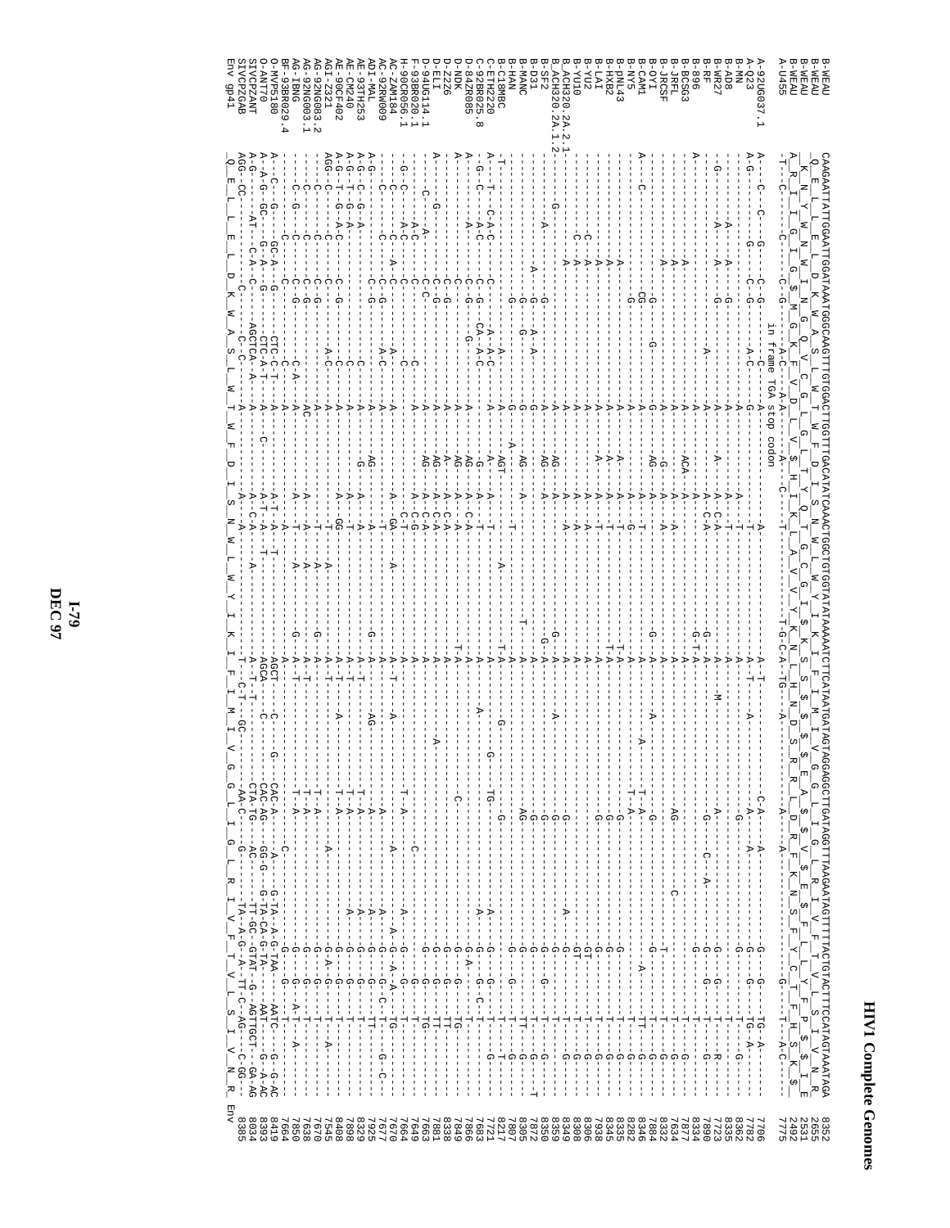| VILE                                                                                                                                                                                                                                | ကြ<br>୍ର<br>þ<br>'റ<br>I<br>┝<br>₩<br>$\sum_{\mathbf{H}}$<br>þ<br>$\frac{1}{\sqrt{1-\lambda^{-}}}$<br>$S-L-V-K-R$                                                                                                                                                                                               |   |       |                     |                                                                                                 |                    |
|-------------------------------------------------------------------------------------------------------------------------------------------------------------------------------------------------------------------------------------|-----------------------------------------------------------------------------------------------------------------------------------------------------------------------------------------------------------------------------------------------------------------------------------------------------------------|---|-------|---------------------|-------------------------------------------------------------------------------------------------|--------------------|
|                                                                                                                                                                                                                                     | $AA-C--$<br>I<br><u>ဂ</u><br>$\mathbf{I}$<br>I<br>- 14 - A - G - - A - - A - - A G - - - A - - - C - G G - -<br>$\mathsf I$                                                                                                                                                                                     |   |       |                     |                                                                                                 | <b>CPZGAB</b>      |
|                                                                                                                                                                                                                                     | CTA-TG--<br>$- - BC - -$<br>ł<br>--TT-GC--GTAT--G--AGTTGCT--GA-AG                                                                                                                                                                                                                                               |   |       |                     |                                                                                                 | CPZZADT            |
|                                                                                                                                                                                                                                     | I<br>J,<br>$-CAC-AG---$<br>$-0-00-0$                                                                                                                                                                                                                                                                            |   |       | CTC-A-T             |                                                                                                 | <b>ANT70</b>       |
|                                                                                                                                                                                                                                     | ဂု<br>п<br>$\mathsf I$<br>$CAC - A - -$<br>$\overline{\phantom{a}}$<br>$---+----$<br>J<br>$- - G - T A - - A - G - T A A - -$<br>$- - - \mathbf{A} \mathbf{A} \mathbf{T} \mathbf{C} - - - - \mathbf{G} - \mathbf{A} \mathbf{C}$                                                                                 |   |       | ידט–ט-ד             | RC-A                                                                                            | <b>MVP51</b>       |
|                                                                                                                                                                                                                                     | п<br>J.<br>т<br>ł<br>$\frac{1}{2}$<br>$\mathsf I$<br>$\mathbf{I}$<br>-----<br>------<br>0---------<br>J.<br>ļ<br>I,<br>î                                                                                                                                                                                        |   |       |                     |                                                                                                 | $-93BRO29$         |
|                                                                                                                                                                                                                                     | $- \mathbf{T} - \mathbf{A}$<br>$\mathbf{I}$<br>I<br>J.<br>ı<br>I<br>п<br>т<br>$\dot{\hat{\mathsf{r}}}$<br>$\frac{1}{2}$<br>$G---A--T---A---D$<br>I<br>I<br>$\mathsf I$<br>т                                                                                                                                     | ⊅ |       | $C - A -$           |                                                                                                 |                    |
|                                                                                                                                                                                                                                     | È.<br>Þ<br>$\mathbf{I}$<br>$\blacksquare$<br>$\frac{1}{2}$<br>$\mathbf{I}$<br>$\mathbf I$<br>$\frac{1}{\sqrt{2}}$<br>$\frac{1}{1}$<br>$\overline{1}$<br>$\mathbf{I}$<br>J<br>$\mathbf{I}$                                                                                                                       |   |       |                     |                                                                                                 | $-92NC003.1$       |
|                                                                                                                                                                                                                                     | t<br>1<br>⋗<br>J.<br>f,<br>J.<br>J<br>J.<br>J.<br>$\Omega$<br>į<br>Ω<br>ł<br>ţ<br>$\frac{1}{1}$<br>$\frac{1}{1}$                                                                                                                                                                                                |   |       |                     |                                                                                                 | SNG083             |
|                                                                                                                                                                                                                                     | $\mathbf{I}$<br>$\frac{1}{1}$<br>$\blacksquare$<br>$\mathbf{I}$<br>т<br>$\mathbf{I}$<br>$A -$<br>$\mathbf{I}$<br>$\overline{1}$<br>$-4 - 4 - 0$<br>ଋ<br>Ť<br>$-1$ – $-1$<br>$\ddot{\vec{r}}$<br>$\mathbf{I}$<br>т                                                                                               |   |       | A-C                 | $-555$                                                                                          |                    |
| ר האופנה המוקדש האופנה המוקדש האופנה האופנה האופנה האופנה המוקדש האופנה המוקדש האופנה המוקדש האופנה האופנה האו<br>כשטעה אופנה היא האמשת אם האופנה שהשוקם כי קורות השוקש השוקש השוקש השוקש האופנה השוקש האופנה השוקש השוקש השוקש<br> | $-L--Y$<br>Ï<br>I<br>$-1$<br>$\mathbb{I}$<br>$\mathbb{I}$<br>$\frac{1}{\sqrt{2}}$<br>$\frac{1}{1}$<br>п<br>I,<br>п<br>ı                                                                                                                                                                                         |   |       |                     | ှု<br>G--A-C<br>Ω                                                                               | $-90$ CF402        |
|                                                                                                                                                                                                                                     | ۲<br>ا<br>Þ<br>$\mathbf{I}$<br>$A - -$<br>$\Gamma$<br>$\mathsf I$<br>$\mathsf I$<br>$\frac{1}{2}$<br>$\mathbf{I}$<br>$\frac{1}{1}$<br>J.                                                                                                                                                                        |   |       | ∩                   | ှု                                                                                              |                    |
|                                                                                                                                                                                                                                     | ۲<br>ا<br>$\lambda$ -<br>$\frac{1}{1}$<br>$-4$<br>$\blacksquare$<br>ဂ္<br>ŧ<br>į<br><u>ှ</u><br>$\frac{1}{1}$<br>$\blacksquare$<br>$\blacksquare$<br>$\mathbf{I}$<br>J<br>$\overline{1}$                                                                                                                        |   |       | ∩                   | ှု<br>- A-                                                                                      | -93TH253           |
|                                                                                                                                                                                                                                     | $---A-$<br>f,<br>п<br>п<br>$\frac{1}{1}$<br>$-4-$<br>f,<br>I,<br>п<br>$-1$<br>į<br>$\frac{1}{\sqrt{2}}$<br>$-111 -$<br>п<br>I<br>ţ<br>I.<br>I<br>п                                                                                                                                                              |   |       |                     |                                                                                                 |                    |
|                                                                                                                                                                                                                                     | $\mathbf{I}$<br>$\frac{1}{1}$<br>⋗<br>$\mathbf{I}$<br>$-4-$<br>I<br>$\blacksquare$<br>$\Gamma$<br>$\frac{1}{2}$<br>$\frac{1}{2}$<br>Q<br>$-1 - 1 -$<br>$\mathbf{I}$<br>j<br>$\Omega$<br>Ω                                                                                                                       |   |       |                     |                                                                                                 | -92RN009           |
|                                                                                                                                                                                                                                     | ı<br>I<br>л<br>J.<br>л<br>ł<br>$A -$<br>J,<br>$\mathbb I$<br>ł<br>$-4$<br>ှ<br>$\mathbf{A}--\mathbf{A}--$<br>$-100 -$<br>I<br>I<br>J.<br>Î<br>J<br>л                                                                                                                                                            |   | ġ     |                     |                                                                                                 | 2 AM1 84           |
|                                                                                                                                                                                                                                     | J<br>t<br>J<br>$A - -$<br>$\overline{1}$<br>I<br>J.<br>ı<br>$-1$<br>$\overline{1}$<br>$\frac{1}{1}$<br>į<br>ဂှ<br>$\frac{1}{1}$<br>J.<br>1<br>J.<br>1<br>$\overline{\phantom{a}}$<br>I<br>I                                                                                                                     |   |       |                     | A-C                                                                                             | <b>OCRO56</b>      |
|                                                                                                                                                                                                                                     | $\frac{1}{1}$<br>Ω<br>$\frac{1}{1}$<br>$\overline{1}$<br>$\overline{\phantom{a}}$<br>$\blacksquare$<br>$\blacksquare$<br>$\mathbf I$<br>$\frac{1}{2}$<br>$\mathbf{I}$<br>$-1 -$                                                                                                                                 |   |       |                     |                                                                                                 |                    |
|                                                                                                                                                                                                                                     | I<br>п<br>ı<br>ı<br>п<br>$\frac{1}{1}$<br>$\mathsf I$<br>$\frac{1}{1}$<br>I<br>$-16$<br>T<br>I.<br>J.                                                                                                                                                                                                           |   |       |                     |                                                                                                 |                    |
|                                                                                                                                                                                                                                     | ဂု<br>$\mathbf{I}$<br>$\mathbb{I}$<br>$\frac{1}{\sqrt{2}}$<br>$-14$<br>$\blacksquare$<br>$\mathbf{I}$<br>$\blacksquare$                                                                                                                                                                                         |   | 2 – P |                     |                                                                                                 |                    |
|                                                                                                                                                                                                                                     | İ<br>л<br>$\frac{1}{1}$<br>$\mathbb I$<br>$\mathbb I$<br>ဂှ<br>$\mathbf I$<br>$-11 - -$<br>J.<br>$\blacksquare$                                                                                                                                                                                                 |   |       |                     |                                                                                                 |                    |
|                                                                                                                                                                                                                                     |                                                                                                                                                                                                                                                                                                                 |   |       |                     |                                                                                                 | 3226               |
|                                                                                                                                                                                                                                     | J.<br>1<br>ı<br>$-1$<br>п<br>I<br>$\frac{1}{1}$<br>1<br>$-5 -$<br>$\frac{1}{1}$<br>$\frac{1}{2}$<br>$-1G - 1$<br>$\overline{\phantom{a}}$<br>J<br>1                                                                                                                                                             |   |       |                     |                                                                                                 | XOK                |
|                                                                                                                                                                                                                                     | I<br>$\begin{array}{c} 1 \\ 1 \\ 1 \end{array}$<br>п<br>т<br>Ĭ.<br>ı<br>п<br>I.<br>т<br>I,<br>$G - A = -$<br>$\frac{1}{1}$<br>$\frac{1}{1}$<br>п<br>п<br>п<br>ı                                                                                                                                                 |   | RG    |                     | Ω                                                                                               | 34ZR085            |
|                                                                                                                                                                                                                                     | $\frac{1}{1}$<br>$-4$<br>$\Gamma$<br>-1<br>$\mathsf I$<br>ဂှ<br>G<br>$\frac{1}{1}$                                                                                                                                                                                                                              |   |       |                     | ଇ                                                                                               | 2BR025<br>$\infty$ |
|                                                                                                                                                                                                                                     | ှ<br> <br>$\begin{array}{c} \hline \end{array}$<br>- - 51<br>$\overline{\phantom{a}}$<br>$\overline{1}$<br>$\blacksquare$<br>$\frac{1}{1}$<br>$-4-$<br>$\blacksquare$<br>Φ<br>$\frac{1}{1}$<br>$\mathbf{I}$<br>$\overline{1}$<br>$\Gamma$<br>$\overline{1}$<br>$\frac{1}{1}$<br>$\blacksquare$<br>$\frac{1}{2}$ |   |       |                     |                                                                                                 | CZZZZRZ            |
|                                                                                                                                                                                                                                     | I<br>I<br>л<br>$\mathbf I$<br>J.<br>Ť<br>J.<br>л<br>л<br>л<br>H.<br>J.<br>л<br>J.<br>I,<br>J.<br>I<br>J.<br>$\frac{1}{4}$<br>J.<br>$\frac{1}{4}$<br>I                                                                                                                                                           |   | AGT   |                     |                                                                                                 | 18MBC              |
|                                                                                                                                                                                                                                     | $\mathbf{I}$<br>-1<br>ω<br>ŧ<br>т<br>ω<br>ţ<br>$-1 - 1 -$<br>1<br>ţ<br>ဂှ                                                                                                                                                                                                                                       |   |       |                     |                                                                                                 |                    |
|                                                                                                                                                                                                                                     | $---AC - -$<br>ł<br>ı<br>л<br>J<br>$\frac{1}{2}$<br>J.<br>Ï<br>I<br>I<br>I<br>$-1 - 1 - 1 - 0 - 0 - 1$<br>I                                                                                                                                                                                                     |   | $AG-$ |                     |                                                                                                 | MANC               |
|                                                                                                                                                                                                                                     |                                                                                                                                                                                                                                                                                                                 |   |       |                     |                                                                                                 |                    |
|                                                                                                                                                                                                                                     | 1<br>$\mathbf{I}$<br>ဂု<br>J.<br>$\frac{1}{1}$<br>I.<br>I<br>J.<br>1<br>$-1 - 1 -$<br>J.<br>$\frac{1}{\Omega}$                                                                                                                                                                                                  |   |       |                     |                                                                                                 | Lεα                |
|                                                                                                                                                                                                                                     | $\overline{1}$<br>ဂု<br>$\mathbf{I}$<br>$\dot{\Omega}$<br>÷<br>$\overline{1}$<br>$\mathbf I$<br>Ω<br>$\frac{1}{1}$<br>$-1 -$<br>$\mathbf{I}$<br>$\overline{\phantom{a}}$<br>Φ                                                                                                                                   |   |       |                     |                                                                                                 |                    |
|                                                                                                                                                                                                                                     | I<br>$\frac{1}{1}$<br>ဂု<br>f,<br>I,<br>ı<br>л<br>I,<br>п<br>$\frac{1}{1}$<br>I,<br>I.<br>I<br>I<br>ı<br>Ï<br>$-1 - 1 - 1$<br>L<br>I<br>J.<br>л                                                                                                                                                                 |   | PA    |                     |                                                                                                 | ACH32              |
|                                                                                                                                                                                                                                     | $\begin{array}{c} \hline \end{array}$<br>$\mathbf{I}$<br>$\overline{\phantom{a}}$<br>ဂု<br>$\blacksquare$<br>I<br>$\mathbf{I}$<br>$-4-$<br>$\frac{1}{\Omega}$<br>$\mathbf{I}$<br>$\mathbf{I}$<br>$\overline{1}$<br>$\overline{1}$<br>$\mathbf{I}$<br>$\frac{1}{2}$<br>$\overline{1}$<br>$\mathbf{I}$<br>ဂူ      |   |       |                     |                                                                                                 | ACH32              |
|                                                                                                                                                                                                                                     | J.<br>л<br>л<br>J.<br>л<br>$-1.5 -$<br>$\mathbf I$<br>$-1$ + $-1$ + $-1$<br>J.<br>J.<br>ှု                                                                                                                                                                                                                      |   |       |                     |                                                                                                 | DTOX               |
|                                                                                                                                                                                                                                     | J<br>ı<br>J.<br>J.<br>1<br>1<br>$-1.5 -$<br>ı<br>$\overline{\phantom{a}}$<br>J.<br>1<br>$\frac{1}{1}$<br>J.<br>$\frac{1}{1}$                                                                                                                                                                                    |   | ゼ     |                     |                                                                                                 | ZnX                |
|                                                                                                                                                                                                                                     | I<br>$\mathbf{I}$<br>$\blacksquare$<br>ဂု<br>I.<br>$\frac{1}{1}$<br>т<br>$-5-$<br>$\mathbf{I}$<br>$\mathbf{I}$<br>$\mathbf{I}$<br>п<br>$-1 - 1 -$<br>$\mathbf{I}$<br>$\frac{1}{1}$                                                                                                                              |   |       |                     |                                                                                                 | LAI                |
|                                                                                                                                                                                                                                     | t<br>J.<br>$\mathbf{I}$<br>ဂု<br>J.<br>J.<br>ဂ္<br>ł<br>H.<br>I.<br>$\frac{1}{1}$<br>т<br>$\mathbf{I}$<br>Ω                                                                                                                                                                                                     |   |       |                     |                                                                                                 | $-RTXB2$           |
|                                                                                                                                                                                                                                     | $\overline{1}$<br>$\blacksquare$<br>$\overline{\phantom{a}}$<br>ငှ<br>J<br>Ω<br>$\overline{1}$<br>$\blacksquare$<br>$\frac{1}{1}$<br>$\frac{1}{\Omega}$                                                                                                                                                         |   |       |                     |                                                                                                 | <b>PNL43</b>       |
|                                                                                                                                                                                                                                     | J.<br>-1-4-4-<br>ł<br>J.<br>л<br>J.<br>J.<br>л<br>J.<br>J.<br>î.<br>$\mathbf I$<br>I<br>л<br>$-1$ $-1$ $-1$ $-1$<br>$\frac{1}{\Omega}$<br>I                                                                                                                                                                     |   | ⋒     |                     |                                                                                                 | SXN-               |
|                                                                                                                                                                                                                                     | I.<br>トーー<br>$A -$<br>$\mathbf{I}$<br>⊅<br>Ī<br>I<br>I.<br>$-11 -$<br>I.<br>$\mathbf{I}$<br>Ω                                                                                                                                                                                                                   |   |       |                     |                                                                                                 | -CAM1              |
|                                                                                                                                                                                                                                     | I<br>ì<br>$\begin{array}{c} \hline \end{array}$<br>ဂု<br>$\mathbf{I}$<br>$\overline{1}$<br>ှ<br>$\mathbf{I}$<br>$\mathbf{I}$<br>I<br>$\frac{1}{1}$<br>I<br>$\frac{1}{\Omega}$                                                                                                                                   |   | RG    |                     |                                                                                                 | <b>IXO</b>         |
|                                                                                                                                                                                                                                     | п<br>ı<br>I.<br>т<br>п<br>ı<br>ı<br>Н<br>Ľ<br>J.<br>1<br>J.<br>J.<br>п<br>니<br>구<br>J.<br>т<br>I.<br>ဂု                                                                                                                                                                                                         |   | ω     |                     |                                                                                                 | <b>JRCSF</b>       |
|                                                                                                                                                                                                                                     | $AG-$<br>$\overline{1}$<br>$\frac{1}{1}$<br>Q<br>$\frac{1}{1}$<br>$\blacksquare$<br>$\overline{\phantom{a}}$<br>$\frac{1}{1}$<br>$\overline{\phantom{a}}$<br>$\overline{\phantom{a}}$<br>Ω                                                                                                                      |   |       |                     |                                                                                                 | THET               |
|                                                                                                                                                                                                                                     | I<br>т<br>t<br>т<br>Ï<br>I<br>п<br>I<br>I<br>п<br>J.<br>л<br>J.<br>л<br>I<br>л<br>I                                                                                                                                                                                                                             |   | ACA   |                     |                                                                                                 | <b>BCSG3</b>       |
|                                                                                                                                                                                                                                     | L<br>т<br>I.<br>т<br>I.<br>ω<br>т<br>L.<br>т<br>$\frac{1}{1}$<br>I.<br>т<br>L<br>т.                                                                                                                                                                                                                             |   |       |                     |                                                                                                 | -896               |
|                                                                                                                                                                                                                                     | J.<br>$\begin{array}{c} \end{array}$<br>ပုံ<br>J.<br>$\mathbb I$<br>$\mathbf{I}$<br>$\mathbf{I}$<br>م-<br>-<br>J.<br>$\mathbb{A}$<br>$\mathsf I$<br>J.<br>$\mathbf{I}$<br>Ω<br>÷<br>п<br>$\mathbb I$<br>Ω<br>J.<br>J.<br>$-1$ + $-1$ + $-1$<br>J.<br>J.<br>ပုံ                                                  |   |       |                     |                                                                                                 |                    |
|                                                                                                                                                                                                                                     | --A--<br>J<br>I<br>ı<br>$\overline{\phantom{a}}$<br>I<br>ı<br>$\blacksquare$<br>ဂ္<br>$\frac{1}{1}$<br>1<br>$\overline{\phantom{a}}$<br>Ω<br>I<br>J<br>J.<br>÷<br>∶<br>ı<br>j<br>₩<br>'n,                                                                                                                       |   |       |                     |                                                                                                 | $-MR27$            |
|                                                                                                                                                                                                                                     | $\mathbf{I}$<br>$\mathbf{I}$<br>$\mathbf{I}$<br>$\mathbf{I}$<br>Ť<br>$\mathbf{I}$<br>$\mathbf{I}$<br>$\mathbf{I}$<br>$\mathbf{I}$<br>$\mathbf{I}$<br>$-\frac{1}{1}$<br>$\mathbf{I}$<br>$\mathbf{I}$<br>$\mathbf{I}$                                                                                             |   |       |                     |                                                                                                 | $50R -$            |
|                                                                                                                                                                                                                                     | т<br>$\frac{1}{\Omega}$<br>$\mathbf{I}$<br>L.<br>п<br>J.<br>Ω<br>U,<br>$\mathbf{I}$<br>H.<br>п<br>п<br>$\frac{1}{1}$<br>J.<br>Ţ<br>$\mathbf{I}$<br>Ω                                                                                                                                                            |   |       |                     |                                                                                                 |                    |
|                                                                                                                                                                                                                                     | $- -A - -$<br>I<br>$\frac{1}{1}$<br>Þ<br>T<br>J<br>ł<br>1<br>$\begin{array}{c} \hline \end{array}$<br>J.<br>$\mathbf{I}$<br>$TG--A$<br>J                                                                                                                                                                        |   |       |                     |                                                                                                 |                    |
|                                                                                                                                                                                                                                     | J.<br>$C - A - -$<br>Ĵ<br>$\overline{Y}$<br>л<br>ω<br>ှ<br>$\mathbf{I}$<br>$\mathbf I$<br>Ω<br>Ω<br>Ţ<br>J.<br>$TC - A -$<br>J.                                                                                                                                                                                 |   |       |                     | ∩                                                                                               | 623                |
|                                                                                                                                                                                                                                     |                                                                                                                                                                                                                                                                                                                 |   |       | rame<br><b>Stop</b> |                                                                                                 | 920G0              |
|                                                                                                                                                                                                                                     | $A - -$<br>$\frac{1}{1}$<br>$\overline{Y}$<br>1<br>ဂု<br>--1----------                                                                                                                                                                                                                                          |   |       |                     |                                                                                                 | $-0.455$           |
|                                                                                                                                                                                                                                     | ᆽ<br>'ਸਹ<br>⊢<br>ō<br>겨<br>먹<br>z<br>'n<br>먹<br>к<br>'n,<br>Η<br>'n,<br>Ξ<br>ŗω.<br>×<br>'n,                                                                                                                                                                                                                    |   |       |                     |                                                                                                 | -WEAU              |
|                                                                                                                                                                                                                                     | ٠m<br>Þ<br>ъ<br>۰V,<br>٠m<br>$\prec$<br>٠m<br>Ħ<br>.<br>پ<br>F<br>$\overline{\phantom{a}}$<br>F<br>К<br>피<br>ᡃ<br>įω<br>įω<br>'n                                                                                                                                                                                |   |       |                     |                                                                                                 | <b>NEAU</b>        |
|                                                                                                                                                                                                                                     | ຸດ<br>ຸດ<br>F<br>ຸດ<br>F<br>₩<br>Ή<br>$\prec$<br>먹<br>H<br>$\prec$<br>Η<br>ŗω<br>$\prec$<br>z<br>¦7J                                                                                                                                                                                                            |   |       |                     |                                                                                                 |                    |
| 8 2 4 5 6 7<br>9 6 6 7 4 7<br>9 7 8 9 7 7<br>9 7 8 9 9 9 9                                                                                                                                                                          | ROAGAG TIGATAG TITARGA ALAG TITATI TAGA TAGA ATAGA ALAGA TAGA TAGA                                                                                                                                                                                                                                              |   |       |                     | AAQAATTATAGAATTIGGATAATGGGAAGTTTGTGGACTTTGGTTTGAGTAAGAATAGAAGTGGTGGTGTATATAAAAATCTTCATAATGATAGA | -WEAU<br>-WEAU     |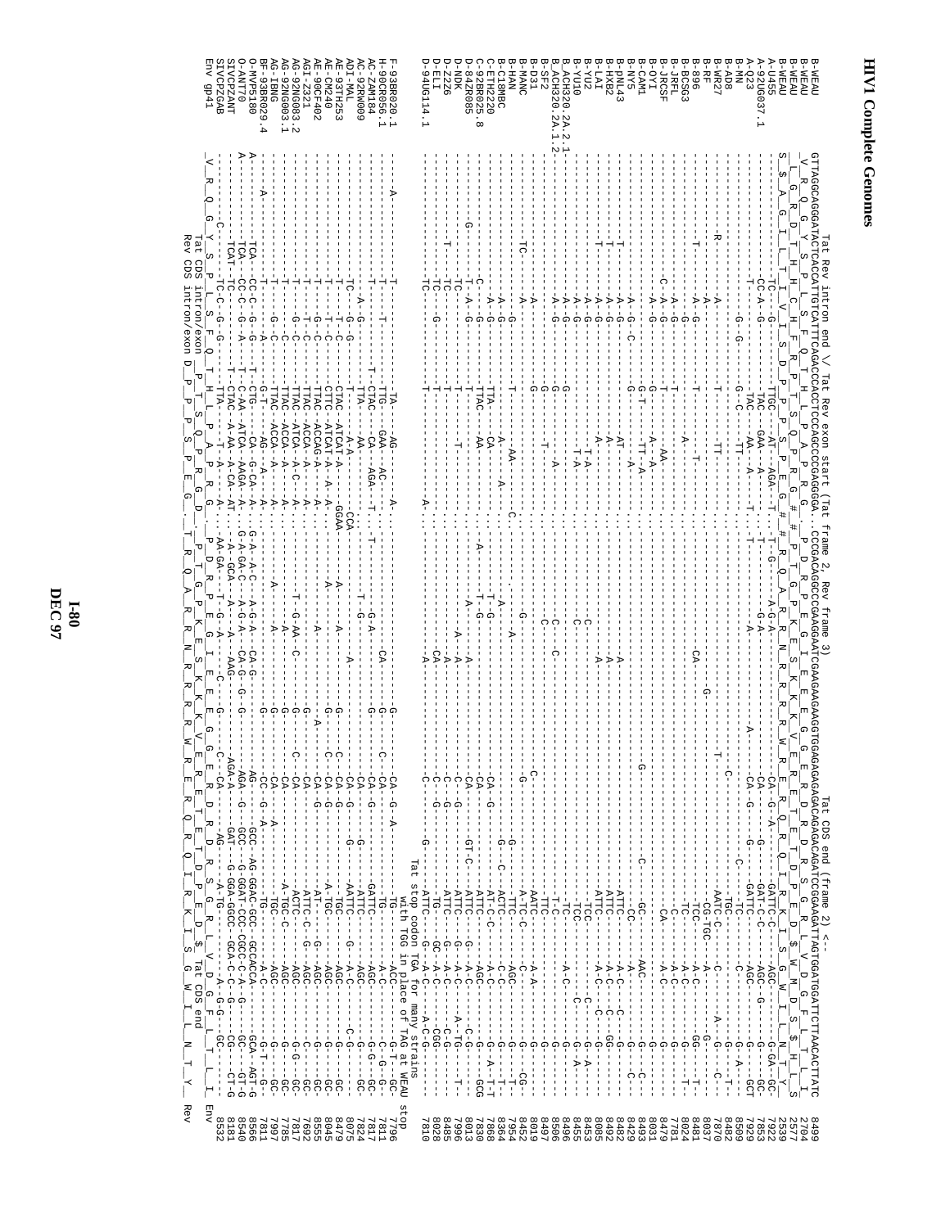| TCAT<br>TCA<br>FCA<br>ე<br>-<br>ი<br>cc-<br>ă<br>20-A<br>ā<br>РС-<br>G<br>Ω<br>⋒<br>ດ<br>⋒<br>G.<br>C<br>G<br>∩<br>( )<br>CTAC<br>CTG.<br>CTAC--<br>ଢ଼<br>ଋ<br>CTAC<br>CTTC<br>LTAC<br>FTAC<br><b>FTAC-</b><br><b>CIAC</b><br><b>TTAC</b><br><b>TTA-</b><br>LIG.<br>CP.L.<br>TAC<br>TAC-<br>ATCAT-A-<br>ACCA<br>ATCA--<br>ACCAG-A-<br>A – Az<br>$ACCA-$<br>$ATCAT - A -$<br>ATCA<br>ACCA<br>$-CA-$<br><b>GAA-</b><br>GAA-<br>AA-<br>CA-<br>$AA-$<br>$A - A$<br>CA-<br>$A - -$<br>$A - -$<br>$A$ --<br>AT-<br>$A---A$<br>$F_T - F_T$<br>白<br>녀<br>-1-A-<br>AA-<br>$-4-$<br>÷<br>F<br>۱<br>آ<br>G-CA--<br>A-C<br>AAGA--<br>$-\Delta$ -<br>AGA-<br>$A -$<br>AGA-<br>₹<br><b>AADE</b><br>3-A-GA-C<br>$-A- A-C$<br>A--GCA<br>-- G<br>__<br>ს<br>$A-G-A$<br>$\mathbb{F}$<br>$A-G-A$<br>トローア<br>-AA-<br>ω<br>ဂု<br>9 - A<br>G-A<br>∩<br>∩<br>∩<br>⊅<br>⊅<br>$-CA -$<br>$-5A-G$<br>n<br>n<br>Ω<br>CA.<br><b>AAG</b><br>A-<br>⊅<br>∀−<br>G<br>Ω<br>ດ<br>42<br>$-4-$<br>$C$ ---CA---<br>ך<br>--<br>ך<br>--<br>ှ<br> <br> <br>$AGA - A - -$<br>¤,<br>$---\mathbf{C}\mathbf{A}--$<br>$- - 2GA - -G - -$<br>ţ<br>$\frac{1}{1}$<br>ł<br>$\frac{1}{1}$<br>$\frac{1}{1}$<br>$-1$ $-1$ $-1$ $-1$ $-1$ $-1$ $-1$<br>$\frac{1}{1}$<br>ŧ<br>J.<br>ł<br>ł<br>ł<br>$\mathbf{I}$<br>л<br>J.<br>$- - C A - - - - - -$<br>$- - C A - - G - - A - -$<br>$AG-----$<br>$\mathbf I$<br>ن<br>ا<br>$\mathbf{I}$<br>$\mathsf I$<br>$C -$<br>$C = -G - -A - -1$<br>$CA$ --<br>$\mathbb{C}\mathbb{A}^{--}$<br>$CA - G -$<br>$CA - G - -$<br>$CA - G - -$<br>$CA - G - -$<br>$CA$ ---<br>$CA - G - -$<br>$CA$ ---<br>$CA - -$<br>$CA - G - -$<br>G-----<br>$\begin{array}{c} 1 \\ 1 \\ 1 \end{array}$<br>CA--G---------<br>Þ<br>$CA - -C$<br>Ω<br>Ω<br>$C = -G = -$<br>$C = -1$<br>CA-----<br>$\frac{1}{1}$<br>$\frac{1}{1}$<br>$\frac{1}{1}$<br>$\frac{1}{1}$<br>Ŧ<br>ı<br>$\frac{1}{1}$<br>$\mathbf{I}$<br>$\mathbf{I}$<br>$\mathbf{I}$<br>ਸ਼<br>$\frac{1}{\sqrt{2}}$<br>j<br>ω<br>J.<br>$\frac{1}{1}$<br>$\frac{1}{1}$<br>$\frac{1}{1}$<br>$\mathbf{I}$<br>j<br>I.<br>$\overline{1}$<br>1<br>L<br>0,<br>$\overline{1}$<br>$\mathbf I$<br>$\mathbf{I}$<br>$\mathbf{I}$<br>$\mathbf I$<br>$\mathsf I$<br>$-GAT---$<br>$-900-$<br>$\mathsf I$<br>$A -$<br>$\frac{1}{1}$<br>$\mathsf I$<br>$\mathbf I$<br>Ţ<br>$A - -$<br>$\overline{1}$<br>Ţ<br>GCC--AG-GGAC-GCC--GCCACCA--<br>$\frac{1}{1}$<br>$\blacksquare$<br>$\mathbf I$<br>I.<br>$-\frac{1}{2}$<br>$- - - - - - -$<br>$\overline{\phantom{a}}$<br>$\overline{\phantom{a}}$<br>J.<br>$\mathbf{I}$<br>$\overline{\phantom{a}}$<br>ı<br>I<br>$- - - - - - -$<br>¦≂<br>J.<br>-GT-C----ATTC--<br>$-1$<br>$\begin{bmatrix} 1 \\ 1 \\ 1 \\ 1 \end{bmatrix}$<br><u>ဂု</u><br> <br>$-1$<br>Ţ<br>$\mathbf{I}$<br>$\mathbf{I}$<br>I.<br>$\frac{1}{1}$<br>$\mathbf{I}$<br>$\mathbf{I}$<br>J.<br>Ţ<br>$\overline{\phantom{a}}$<br>$\frac{1}{1}$<br>$\mathbf{I}$<br>$-1$<br>J,<br>ا<br>م<br>$\mathbf{I}$<br>$\mathbf{I}$<br>1<br>$\frac{1}{1}$<br>$\frac{1}{1}$<br>т<br>$\mathbf{I}$<br>H.<br>$\frac{1}{1}$<br>$\frac{1}{1}$<br>$\mathsf I$<br>$\mathbb{I}$<br>$\mathsf I$<br>Tat stop codon TGA for many strains<br>G-GGA-GGCC--GCA-C-C--G--<br>G-GGAT-CCC-CGCC-C-A--G--<br>$\frac{1}{1}$<br>$\frac{1}{1}$<br>$\mathsf I$<br>$\mathsf I$<br>Ţ<br>$\frac{1}{1}$<br>$\frac{1}{1}$<br>$\sf I$<br>۲<br>Ĵ<br>J.<br>$\mathbf{I}$<br>J.<br>--AATTC--<br>$\overline{\phantom{a}}$<br>$\begin{array}{c} \hline \end{array}$<br>$\mathbf{I}$<br>$- - - - - - - - - - -$<br>J,<br>I<br>$--\mathbf{F} \mathbf{T}----$<br>J.<br>$-GATTC---$<br>$--\Delta{\tt ITTC}--$<br>$-2LTC--$<br>$-2L - C - C$<br>$-2L-L-C-C$<br>J.<br>$-CAT-C-C---$<br>-GATTC-C--<br>п<br>--ATTC-C--G---AGC<br>$-2LLL -$<br>$- P T T T C -$<br>$-2TTC--$<br>A-TGC-C<br>$-ACTC--$<br>$A-TGC--$<br>$---LGC---$<br>$-1 - 2G - - - -$<br>-ATTC--<br>$-1 - 1 - 1 - 1 - 1$<br>--rec--<br>$- - 2G - - -$<br>$-$ -TTC $-$<br>$-10-$<br>$-1 - 1 - 1 - 1$<br>¦7J<br>AATC--<br><b>ATTC---</b><br><b>ATTC---</b><br>AATC-C--<br>$-LTC--$<br>$-$ -rc $-$<br>--ree-<br>$-LCG-$<br>$- - -$ CC-<br>---90---<br>ł<br>-- 1991-<br>witu<br>$-LC$ -<br>.<br>ה<br> <br>$TCC---$<br>CG-TGC----<br>$\mathsf I$<br>k<br>$\mathbf I$<br>$CA-$<br>ł<br>h TGG in place of TAG a<br>ł<br>jн<br>$\mathsf I$<br>-------AGC--<br>$- -G - - RGC - -$<br>$\begin{array}{c} \hline \end{array}$<br>Ţ<br>$- - - - - - - - - - - -$<br>$\begin{array}{c} \rule{0.2cm}{0.15mm} \rule{0.2cm}{0.15mm} \rule{0.2cm}{0.15mm} \rule{0.2cm}{0.15mm} \rule{0.2cm}{0.15mm} \rule{0.2cm}{0.15mm} \rule{0.2cm}{0.15mm} \rule{0.2cm}{0.15mm} \rule{0.2cm}{0.15mm} \rule{0.2cm}{0.15mm} \rule{0.2cm}{0.15mm} \rule{0.2cm}{0.15mm} \rule{0.2cm}{0.15mm} \rule{0.2cm}{0.15mm} \rule{0.2cm}{0.15mm} \rule{$<br>$- - - - - - - - - - - -$<br>$- - 9 - 0$<br>$- -G - - -R - C - - - -$<br>$--\mathbf{G}--\mathbf{A}-\mathbf{C}$<br>$- - - - - - - - - - - -$<br>$\begin{array}{c} \end{array}$<br>Ţ<br>I<br>$\frac{1}{1}$<br>Ţ<br>Ţ<br>Ţ<br>$\mathsf I$<br>$\mathsf I$<br>$\mathsf I$<br>I<br>I<br>$\frac{1}{1}$<br>$\frac{1}{1}$<br>J.<br>$\frac{1}{1}$<br>J.<br>J.<br>J.<br>Ţ<br>ŧ<br>л<br>J.<br>$\mathbf{I}$<br>$\mathbf{I}$<br>$\frac{1}{4}$<br>$\frac{1}{1}$<br>$\overline{\phantom{a}}$<br>J.<br>$\mathbf{I}$<br>$\frac{1}{1}$<br>т<br>$\mathbf{I}$<br>п<br>-1<br>$\mathbf{I}$<br>ı<br>ا<br>∾<br>$\mathsf I$<br>$-$ - $-$ A - C - - -<br>j<br>$---AGC---$<br>$- - 369C - -$<br>$- - \text{AGC} - -$<br>$\frac{1}{1}$<br>$- - 2GC - -G - - - - -$<br>$-AGG -$<br>$-200C$<br>ł<br>$---AGC---$<br>$-$ - $    -$<br>ł<br>J<br>$-$ - $-$ - $-$<br>$- - A - -$<br>$-AAC--$<br>$- -A - C$<br>$-1 - C - 1$<br>$-1$ - $-1$<br>$- - 2GC - - - - - -$<br>$-1$ - $-1$<br>$\overline{1}$<br>$ACC---$<br>$A-C$<br>ຸດ<br>$AGC--$<br>$A - C - - - - - -$<br>$AGC--$<br>$\frac{1}{2}$<br>$\mathbf{A}-\mathbf{A}-$<br>$\Delta$ -A<br>Ħ<br>$A-C--$<br>$A-C$<br>$\Delta$ -C.<br>$-4-$<br>$AGC--$<br>$\mathbb{I}$<br>$\mathsf I$<br>J.<br>$\mathbf{I}$<br>$\blacksquare$<br>$\blacksquare$<br>่∡ี<br>$\frac{1}{1}$<br>$\frac{1}{1}$<br>$\frac{1}{1}$<br>$\frac{1}{1}$<br>J.<br>$\frac{1}{1}$<br>$\frac{1}{1}$<br>J.<br>$\frac{1}{1}$<br>ţ<br>1<br>$\blacksquare$<br>H.<br>$-c$ --<br>ŧ<br>т<br>$\mathbf{I}$<br>I.<br>$\frac{1}{1}$<br>$\overline{1}$<br>$\mathbf{I}$<br>J.<br>$\blacksquare$<br>$\frac{1}{1}$<br>$\frac{1}{1}$<br>ł<br>$\mathbf{I}$<br>$\frac{1}{1}$<br>$\frac{1}{1}$<br>п<br>Ω<br>$\overline{\phantom{a}}$<br>$\frac{1}{1}$<br>$-1 - 1 - 0 - 0 - 0 - 0 - 0$<br>'n<br>$-1 - 0 - 1$<br>İ<br>$\mathbf{I}$<br>J.<br>$\blacksquare$<br>$- - \Delta - - \text{TCG} - -$<br>$\overline{\phantom{a}}$<br>J.<br>-------<br>т<br>-1<br>т<br>т<br>ı<br>$-A-C-G--$<br>$\mathbb{I}$<br>$-\Delta - - -$<br>I<br>$\mathbf I$<br>$\mathbf I$<br>$\mathsf I$<br>$\mathbb{I}$<br>$\begin{array}{c} \rule{0.2cm}{0.15mm} \rule{0.2cm}{0.15mm} \rule{0.2cm}{0.15mm} \rule{0.2cm}{0.15mm} \rule{0.2cm}{0.15mm} \rule{0.2cm}{0.15mm} \rule{0.2cm}{0.15mm} \rule{0.2cm}{0.15mm} \rule{0.2cm}{0.15mm} \rule{0.2cm}{0.15mm} \rule{0.2cm}{0.15mm} \rule{0.2cm}{0.15mm} \rule{0.2cm}{0.15mm} \rule{0.2cm}{0.15mm} \rule{0.2cm}{0.15mm} \rule{$<br>ţ<br>$-0.000 -$<br>$\frac{1}{L}$<br>Ţ<br>F<br>$\frac{1}{1}$<br>--20--<br>$\mathbf{I}$<br>$\overline{\phantom{a}}$<br>$\mathsf I$<br>$\frac{1}{1}$<br>$\blacksquare$<br>$\mathbf{I}$<br>$\mathbf{I}$<br>$\blacksquare$<br>--99--<br>J.<br>J.<br>$-5 - 5 -$<br>$\mathbb{I}$<br>$\mathbf{I}$<br>- 1<br>- 11<br>$\frac{1}{4}$<br>$\mathbf{I}$<br>$\mathbf{I}$<br>C-G--<br>$-6 -$<br>$-6 -$<br>$\frac{1}{1}$<br>$\mathbf{I}$<br>$\mathbf{I}$<br>$-6 - -$<br>$\blacksquare$<br>$\overline{\phantom{a}}$<br>$\mathbf{I}$<br>$\mathbf{I}$<br>$\overline{1}$<br>п<br>-1<br>$\overline{1}$<br>$\frac{1}{1}$<br>$\mathbf{I}$<br>$\mathbf{I}$<br>$\mathbf{I}$<br>п<br>ı<br>-- 50<br>$-\frac{1}{2}$<br>$GCA--AGT-GG$<br>Þ<br>- ନ<br>-<br>က်<br>၊<br>$\frac{1}{2}$<br>ှ<br>Ω<br>ဂု<br>Ω<br>$-9 - 0 -$<br>Ω<br>ن<br>  -<br>  -<br>$\frac{1}{\sqrt{2}}$<br>-9-1-0-1-0-0-1<br>$C = -G = -G = -$<br>Ω<br>ດ<br>Ω<br>ດ<br>ω<br>$\frac{1}{\sqrt{2}}$<br>$\frac{1}{\sqrt{2}}$<br>$\frac{1}{2}$<br>ω<br>Ω<br>ω<br>ဂု<br>Ω<br>$C -$<br>$\Gamma$<br><u>ဂ</u><br>G-GA--GC-<br>Ω<br>$\frac{1}{4}$<br>ŧ<br>$\frac{1}{4}$<br>ŧ<br>$\frac{1}{1}$<br>ŧ<br>-1<br>÷<br>÷<br>$\frac{1}{1}$<br>ŧ<br>$\mathbf{I}$<br>ŧ<br>L WEAU<br>--GT-G<br>$-1.5 - 1$<br>$-99 - - -$<br>$\frac{1}{1}$<br>$\mathsf I$<br>$A - I$<br>$A - -$<br>$\overline{A}$<br>$\frac{1}{1}$<br>$\begin{array}{c} \rule{0pt}{2.5ex} \rule{0pt}{2.5ex} \rule{0pt}{2.5ex} \rule{0pt}{2.5ex} \rule{0pt}{2.5ex} \rule{0pt}{2.5ex} \rule{0pt}{2.5ex} \rule{0pt}{2.5ex} \rule{0pt}{2.5ex} \rule{0pt}{2.5ex} \rule{0pt}{2.5ex} \rule{0pt}{2.5ex} \rule{0pt}{2.5ex} \rule{0pt}{2.5ex} \rule{0pt}{2.5ex} \rule{0pt}{2.5ex} \rule{0pt}{2.5ex} \rule{0pt}{2.5ex} \rule{0pt}{2.5ex} \rule{0$<br>$A -$<br>$-99 - - -$<br>--cc-<br>$\frac{1}{2}$<br>$\frac{1}{2}$<br>$\frac{1}{1}$<br>$-5 -$<br>$\blacksquare$<br>$\frac{1}{1}$<br>$\frac{1}{1}$<br>--GCG<br>ا<br>ال<br>$\frac{1}{4}$<br>$\mathsf I$<br>$\frac{1}{2}$<br>$\frac{1}{1}$<br>--GCT<br>I<br>$-90-$<br>$\frac{1}{1}$<br>$-90-$<br>$\frac{1}{1}$<br>$\frac{1}{1}$<br>I<br>J<br>J<br>ーー<br>$-35-$<br>$-50 -$<br>$-35 -$<br>$-50 -$<br>J.<br>$\mathbf{I}$<br>$\overline{1}$<br>$\mathbf{I}$<br>Ġ<br>$\,$ I<br>占一日<br>н<br>년<br>$\mathbb I$<br>Ē<br>$\mathbf{I}$<br>Ţ<br>J.<br>J.<br>$\mathbf{I}$<br>ŢΟ | E<br>ļ.<br>!<br>∞<br>¦¤<br>'n<br>'n<br>Η<br>¦¤<br>þg<br>'n,<br>ط<br>₩<br>þ<br>ŗω.<br>'പ<br>ົດ<br>'n<br>゚゚゙゚゙゙゙゙゙゙゚゙゚゙゙゙゙゙゙゚゚゚゙<br>ď<br>$\int_{\mathcal{D}}$<br>Ή<br>$\prec$<br>$\overline{\phantom{a}}$<br>U<br>$\mathbb{k}$<br>ļ.<br>ົດ<br>'n<br>ا<br>∾.<br>Ή<br>Έ<br>Έ<br>Н<br>מ' |  |
|--------------------------------------------------------------------------------------------------------------------------------------------------------------------------------------------------------------------------------------------------------------------------------------------------------------------------------------------------------------------------------------------------------------------------------------------------------------------------------------------------------------------------------------------------------------------------------------------------------------------------------------------------------------------------------------------------------------------------------------------------------------------------------------------------------------------------------------------------------------------------------------------------------------------------------------------------------------------------------------------------------------------------------------------------------------------------------------------------------------------------------------------------------------------------------------------------------------------------------------------------------------------------------------------------------------------------------------------------------------------------------------------------------------------------------------------------------------------------------------------------------------------------------------------------------------------------------------------------------------------------------------------------------------------------------------------------------------------------------------------------------------------------------------------------------------------------------------------------------------------------------------------------------------------------------------------------------------------------------------------------------------------------------------------------------------------------------------------------------------------------------------------------------------------------------------------------------------------------------------------------------------------------------------------------------------------------------------------------------------------------------------------------------------------------------------------------------------------------------------------------------------------------------------------------------------------------------------------------------------------------------------------------------------------------------------------------------------------------------------------------------------------------------------------------------------------------------------------------------------------------------------------------------------------------------------------------------------------------------------------------------------------------------------------------------------------------------------------------------------------------------------------------------------------------------------------------------------------------------------------------------------------------------------------------------------------------------------------------------------------------------------------------------------------------------------------------------------------------------------------------------------------------------------------------------------------------------------------------------------------------------------------------------------------------------------------------------------------------------------------------------------------------------------------------------------------------------------------------------------------------------------------------------------------------------------------------------------------------------------------------------------------------------------------------------------------------------------------------------------------------------------------------------------------------------------------------------------------------------------------------------------------------------------------------------------------------------------------------------------------------------------------------------------------------------------------------------------------------------------------------------------------------------------------------------------------------------------------------------------------------------------------------------------------------------------------------------------------------------------------------------------------------------------------------------------------------------------------------------------------------------------------------------------------------------------------------------------------------------------------------------------------------------------------------------------------------------------------------------------------------------------------------------------------------------------------------------------------------------------------------------------------------------------------------------------------------------------------------------------------------------------------------------------------------------------------------------------------------------------------------------------------------------------------------------------------------------------------------------------------------------------------------------------------------------------------------------------------------------------------------------------------------------------------------------------------------------------------------------------------------------------------------------------------------------------------------------------------------------------------------------------------------------------------------------------------------------------------------------------------------------------------------------------------------------------------------------------------------------------------------------------------------------------------------------------------------------------------------------------------------------------------------------------------------------------------------------------------------------------------------------------------------------------------------------------------------------------------------------------------------------------------------------------------------------------------------------------------------------------------------------------------------------------------------------------------------------------------------------------------------------------------------------------------------------------------------------------------------------------------------------------------------------------------------------------------------------------------------------------------------------------------------------------------------------------------------------------------------------------------------------------------------------------------------------------------------------------------------------------------------------------------------------------------------------------------------------------------------------------------------------------------------------------------------------------------------------------------------------------------------------------------------------------------------------------------------------------------------------------------------------------------------------------------------------------------------------------------------------------------------------------------------------------------------------------------------------------------------------------------------------------------------------------------------------------------------------------------------------------------------------------------------------------------------------------------------------------------------------------------------------------------------------------------------------------------------------------------------------------------------------------------------------------------------------------------------------------------------------------------------------------------------------------------------------------------------------------------------------------------------------------------------------------------------------------------------------------------------------------------------------------------------------------------------------------------------------------------------------------------------------------------------------------------------------------------------------------------------------------------------------------------------------------------------------------------------------------------------------------------------------------------------------------------------------------------------------------------------------------------------------------------------------------------------------------------------------------------------------------------------------------------------------------------|-------------------------------------------------------------------------------------------------------------------------------------------------------------------------------------------------------------------------------------------------------------------------------------|--|
|                                                                                                                                                                                                                                                                                                                                                                                                                                                                                                                                                                                                                                                                                                                                                                                                                                                                                                                                                                                                                                                                                                                                                                                                                                                                                                                                                                                                                                                                                                                                                                                                                                                                                                                                                                                                                                                                                                                                                                                                                                                                                                                                                                                                                                                                                                                                                                                                                                                                                                                                                                                                                                                                                                                                                                                                                                                                                                                                                                                                                                                                                                                                                                                                                                                                                                                                                                                                                                                                                                                                                                                                                                                                                                                                                                                                                                                                                                                                                                                                                                                                                                                                                                                                                                                                                                                                                                                                                                                                                                                                                                                                                                                                                                                                                                                                                                                                                                                                                                                                                                                                                                                                                                                                                                                                                                                                                                                                                                                                                                                                                                                                                                                                                                                                                                                                                                                                                                                                                                                                                                                                                                                                                                                                                                                                                                                                                                                                                                                                                                                                                                                                                                                                                                                                                                                                                                                                                                                                                                                                                                                                                                                                                                                                                                                                                                                                                                                                                                                                                                                                                                                                                                                                                                                                                                                                                                                                                                                                                                                                                                                                                                                                                                                                                                                                                                                                                                                                                                                                                                                                                                                                                                                                                                                                                                                                                                                                                                                                                                                                                                                                                                                                                                                                                                                                                                                                                                                                                    |                                                                                                                                                                                                                                                                                     |  |
|                                                                                                                                                                                                                                                                                                                                                                                                                                                                                                                                                                                                                                                                                                                                                                                                                                                                                                                                                                                                                                                                                                                                                                                                                                                                                                                                                                                                                                                                                                                                                                                                                                                                                                                                                                                                                                                                                                                                                                                                                                                                                                                                                                                                                                                                                                                                                                                                                                                                                                                                                                                                                                                                                                                                                                                                                                                                                                                                                                                                                                                                                                                                                                                                                                                                                                                                                                                                                                                                                                                                                                                                                                                                                                                                                                                                                                                                                                                                                                                                                                                                                                                                                                                                                                                                                                                                                                                                                                                                                                                                                                                                                                                                                                                                                                                                                                                                                                                                                                                                                                                                                                                                                                                                                                                                                                                                                                                                                                                                                                                                                                                                                                                                                                                                                                                                                                                                                                                                                                                                                                                                                                                                                                                                                                                                                                                                                                                                                                                                                                                                                                                                                                                                                                                                                                                                                                                                                                                                                                                                                                                                                                                                                                                                                                                                                                                                                                                                                                                                                                                                                                                                                                                                                                                                                                                                                                                                                                                                                                                                                                                                                                                                                                                                                                                                                                                                                                                                                                                                                                                                                                                                                                                                                                                                                                                                                                                                                                                                                                                                                                                                                                                                                                                                                                                                                                                                                                                                                    |                                                                                                                                                                                                                                                                                     |  |
|                                                                                                                                                                                                                                                                                                                                                                                                                                                                                                                                                                                                                                                                                                                                                                                                                                                                                                                                                                                                                                                                                                                                                                                                                                                                                                                                                                                                                                                                                                                                                                                                                                                                                                                                                                                                                                                                                                                                                                                                                                                                                                                                                                                                                                                                                                                                                                                                                                                                                                                                                                                                                                                                                                                                                                                                                                                                                                                                                                                                                                                                                                                                                                                                                                                                                                                                                                                                                                                                                                                                                                                                                                                                                                                                                                                                                                                                                                                                                                                                                                                                                                                                                                                                                                                                                                                                                                                                                                                                                                                                                                                                                                                                                                                                                                                                                                                                                                                                                                                                                                                                                                                                                                                                                                                                                                                                                                                                                                                                                                                                                                                                                                                                                                                                                                                                                                                                                                                                                                                                                                                                                                                                                                                                                                                                                                                                                                                                                                                                                                                                                                                                                                                                                                                                                                                                                                                                                                                                                                                                                                                                                                                                                                                                                                                                                                                                                                                                                                                                                                                                                                                                                                                                                                                                                                                                                                                                                                                                                                                                                                                                                                                                                                                                                                                                                                                                                                                                                                                                                                                                                                                                                                                                                                                                                                                                                                                                                                                                                                                                                                                                                                                                                                                                                                                                                                                                                                                                                    |                                                                                                                                                                                                                                                                                     |  |
|                                                                                                                                                                                                                                                                                                                                                                                                                                                                                                                                                                                                                                                                                                                                                                                                                                                                                                                                                                                                                                                                                                                                                                                                                                                                                                                                                                                                                                                                                                                                                                                                                                                                                                                                                                                                                                                                                                                                                                                                                                                                                                                                                                                                                                                                                                                                                                                                                                                                                                                                                                                                                                                                                                                                                                                                                                                                                                                                                                                                                                                                                                                                                                                                                                                                                                                                                                                                                                                                                                                                                                                                                                                                                                                                                                                                                                                                                                                                                                                                                                                                                                                                                                                                                                                                                                                                                                                                                                                                                                                                                                                                                                                                                                                                                                                                                                                                                                                                                                                                                                                                                                                                                                                                                                                                                                                                                                                                                                                                                                                                                                                                                                                                                                                                                                                                                                                                                                                                                                                                                                                                                                                                                                                                                                                                                                                                                                                                                                                                                                                                                                                                                                                                                                                                                                                                                                                                                                                                                                                                                                                                                                                                                                                                                                                                                                                                                                                                                                                                                                                                                                                                                                                                                                                                                                                                                                                                                                                                                                                                                                                                                                                                                                                                                                                                                                                                                                                                                                                                                                                                                                                                                                                                                                                                                                                                                                                                                                                                                                                                                                                                                                                                                                                                                                                                                                                                                                                                                    |                                                                                                                                                                                                                                                                                     |  |
|                                                                                                                                                                                                                                                                                                                                                                                                                                                                                                                                                                                                                                                                                                                                                                                                                                                                                                                                                                                                                                                                                                                                                                                                                                                                                                                                                                                                                                                                                                                                                                                                                                                                                                                                                                                                                                                                                                                                                                                                                                                                                                                                                                                                                                                                                                                                                                                                                                                                                                                                                                                                                                                                                                                                                                                                                                                                                                                                                                                                                                                                                                                                                                                                                                                                                                                                                                                                                                                                                                                                                                                                                                                                                                                                                                                                                                                                                                                                                                                                                                                                                                                                                                                                                                                                                                                                                                                                                                                                                                                                                                                                                                                                                                                                                                                                                                                                                                                                                                                                                                                                                                                                                                                                                                                                                                                                                                                                                                                                                                                                                                                                                                                                                                                                                                                                                                                                                                                                                                                                                                                                                                                                                                                                                                                                                                                                                                                                                                                                                                                                                                                                                                                                                                                                                                                                                                                                                                                                                                                                                                                                                                                                                                                                                                                                                                                                                                                                                                                                                                                                                                                                                                                                                                                                                                                                                                                                                                                                                                                                                                                                                                                                                                                                                                                                                                                                                                                                                                                                                                                                                                                                                                                                                                                                                                                                                                                                                                                                                                                                                                                                                                                                                                                                                                                                                                                                                                                                                    |                                                                                                                                                                                                                                                                                     |  |
|                                                                                                                                                                                                                                                                                                                                                                                                                                                                                                                                                                                                                                                                                                                                                                                                                                                                                                                                                                                                                                                                                                                                                                                                                                                                                                                                                                                                                                                                                                                                                                                                                                                                                                                                                                                                                                                                                                                                                                                                                                                                                                                                                                                                                                                                                                                                                                                                                                                                                                                                                                                                                                                                                                                                                                                                                                                                                                                                                                                                                                                                                                                                                                                                                                                                                                                                                                                                                                                                                                                                                                                                                                                                                                                                                                                                                                                                                                                                                                                                                                                                                                                                                                                                                                                                                                                                                                                                                                                                                                                                                                                                                                                                                                                                                                                                                                                                                                                                                                                                                                                                                                                                                                                                                                                                                                                                                                                                                                                                                                                                                                                                                                                                                                                                                                                                                                                                                                                                                                                                                                                                                                                                                                                                                                                                                                                                                                                                                                                                                                                                                                                                                                                                                                                                                                                                                                                                                                                                                                                                                                                                                                                                                                                                                                                                                                                                                                                                                                                                                                                                                                                                                                                                                                                                                                                                                                                                                                                                                                                                                                                                                                                                                                                                                                                                                                                                                                                                                                                                                                                                                                                                                                                                                                                                                                                                                                                                                                                                                                                                                                                                                                                                                                                                                                                                                                                                                                                                                    |                                                                                                                                                                                                                                                                                     |  |
|                                                                                                                                                                                                                                                                                                                                                                                                                                                                                                                                                                                                                                                                                                                                                                                                                                                                                                                                                                                                                                                                                                                                                                                                                                                                                                                                                                                                                                                                                                                                                                                                                                                                                                                                                                                                                                                                                                                                                                                                                                                                                                                                                                                                                                                                                                                                                                                                                                                                                                                                                                                                                                                                                                                                                                                                                                                                                                                                                                                                                                                                                                                                                                                                                                                                                                                                                                                                                                                                                                                                                                                                                                                                                                                                                                                                                                                                                                                                                                                                                                                                                                                                                                                                                                                                                                                                                                                                                                                                                                                                                                                                                                                                                                                                                                                                                                                                                                                                                                                                                                                                                                                                                                                                                                                                                                                                                                                                                                                                                                                                                                                                                                                                                                                                                                                                                                                                                                                                                                                                                                                                                                                                                                                                                                                                                                                                                                                                                                                                                                                                                                                                                                                                                                                                                                                                                                                                                                                                                                                                                                                                                                                                                                                                                                                                                                                                                                                                                                                                                                                                                                                                                                                                                                                                                                                                                                                                                                                                                                                                                                                                                                                                                                                                                                                                                                                                                                                                                                                                                                                                                                                                                                                                                                                                                                                                                                                                                                                                                                                                                                                                                                                                                                                                                                                                                                                                                                                                                    |                                                                                                                                                                                                                                                                                     |  |
|                                                                                                                                                                                                                                                                                                                                                                                                                                                                                                                                                                                                                                                                                                                                                                                                                                                                                                                                                                                                                                                                                                                                                                                                                                                                                                                                                                                                                                                                                                                                                                                                                                                                                                                                                                                                                                                                                                                                                                                                                                                                                                                                                                                                                                                                                                                                                                                                                                                                                                                                                                                                                                                                                                                                                                                                                                                                                                                                                                                                                                                                                                                                                                                                                                                                                                                                                                                                                                                                                                                                                                                                                                                                                                                                                                                                                                                                                                                                                                                                                                                                                                                                                                                                                                                                                                                                                                                                                                                                                                                                                                                                                                                                                                                                                                                                                                                                                                                                                                                                                                                                                                                                                                                                                                                                                                                                                                                                                                                                                                                                                                                                                                                                                                                                                                                                                                                                                                                                                                                                                                                                                                                                                                                                                                                                                                                                                                                                                                                                                                                                                                                                                                                                                                                                                                                                                                                                                                                                                                                                                                                                                                                                                                                                                                                                                                                                                                                                                                                                                                                                                                                                                                                                                                                                                                                                                                                                                                                                                                                                                                                                                                                                                                                                                                                                                                                                                                                                                                                                                                                                                                                                                                                                                                                                                                                                                                                                                                                                                                                                                                                                                                                                                                                                                                                                                                                                                                                                                    |                                                                                                                                                                                                                                                                                     |  |
|                                                                                                                                                                                                                                                                                                                                                                                                                                                                                                                                                                                                                                                                                                                                                                                                                                                                                                                                                                                                                                                                                                                                                                                                                                                                                                                                                                                                                                                                                                                                                                                                                                                                                                                                                                                                                                                                                                                                                                                                                                                                                                                                                                                                                                                                                                                                                                                                                                                                                                                                                                                                                                                                                                                                                                                                                                                                                                                                                                                                                                                                                                                                                                                                                                                                                                                                                                                                                                                                                                                                                                                                                                                                                                                                                                                                                                                                                                                                                                                                                                                                                                                                                                                                                                                                                                                                                                                                                                                                                                                                                                                                                                                                                                                                                                                                                                                                                                                                                                                                                                                                                                                                                                                                                                                                                                                                                                                                                                                                                                                                                                                                                                                                                                                                                                                                                                                                                                                                                                                                                                                                                                                                                                                                                                                                                                                                                                                                                                                                                                                                                                                                                                                                                                                                                                                                                                                                                                                                                                                                                                                                                                                                                                                                                                                                                                                                                                                                                                                                                                                                                                                                                                                                                                                                                                                                                                                                                                                                                                                                                                                                                                                                                                                                                                                                                                                                                                                                                                                                                                                                                                                                                                                                                                                                                                                                                                                                                                                                                                                                                                                                                                                                                                                                                                                                                                                                                                                                                    |                                                                                                                                                                                                                                                                                     |  |
|                                                                                                                                                                                                                                                                                                                                                                                                                                                                                                                                                                                                                                                                                                                                                                                                                                                                                                                                                                                                                                                                                                                                                                                                                                                                                                                                                                                                                                                                                                                                                                                                                                                                                                                                                                                                                                                                                                                                                                                                                                                                                                                                                                                                                                                                                                                                                                                                                                                                                                                                                                                                                                                                                                                                                                                                                                                                                                                                                                                                                                                                                                                                                                                                                                                                                                                                                                                                                                                                                                                                                                                                                                                                                                                                                                                                                                                                                                                                                                                                                                                                                                                                                                                                                                                                                                                                                                                                                                                                                                                                                                                                                                                                                                                                                                                                                                                                                                                                                                                                                                                                                                                                                                                                                                                                                                                                                                                                                                                                                                                                                                                                                                                                                                                                                                                                                                                                                                                                                                                                                                                                                                                                                                                                                                                                                                                                                                                                                                                                                                                                                                                                                                                                                                                                                                                                                                                                                                                                                                                                                                                                                                                                                                                                                                                                                                                                                                                                                                                                                                                                                                                                                                                                                                                                                                                                                                                                                                                                                                                                                                                                                                                                                                                                                                                                                                                                                                                                                                                                                                                                                                                                                                                                                                                                                                                                                                                                                                                                                                                                                                                                                                                                                                                                                                                                                                                                                                                                                    |                                                                                                                                                                                                                                                                                     |  |
|                                                                                                                                                                                                                                                                                                                                                                                                                                                                                                                                                                                                                                                                                                                                                                                                                                                                                                                                                                                                                                                                                                                                                                                                                                                                                                                                                                                                                                                                                                                                                                                                                                                                                                                                                                                                                                                                                                                                                                                                                                                                                                                                                                                                                                                                                                                                                                                                                                                                                                                                                                                                                                                                                                                                                                                                                                                                                                                                                                                                                                                                                                                                                                                                                                                                                                                                                                                                                                                                                                                                                                                                                                                                                                                                                                                                                                                                                                                                                                                                                                                                                                                                                                                                                                                                                                                                                                                                                                                                                                                                                                                                                                                                                                                                                                                                                                                                                                                                                                                                                                                                                                                                                                                                                                                                                                                                                                                                                                                                                                                                                                                                                                                                                                                                                                                                                                                                                                                                                                                                                                                                                                                                                                                                                                                                                                                                                                                                                                                                                                                                                                                                                                                                                                                                                                                                                                                                                                                                                                                                                                                                                                                                                                                                                                                                                                                                                                                                                                                                                                                                                                                                                                                                                                                                                                                                                                                                                                                                                                                                                                                                                                                                                                                                                                                                                                                                                                                                                                                                                                                                                                                                                                                                                                                                                                                                                                                                                                                                                                                                                                                                                                                                                                                                                                                                                                                                                                                                                    |                                                                                                                                                                                                                                                                                     |  |
|                                                                                                                                                                                                                                                                                                                                                                                                                                                                                                                                                                                                                                                                                                                                                                                                                                                                                                                                                                                                                                                                                                                                                                                                                                                                                                                                                                                                                                                                                                                                                                                                                                                                                                                                                                                                                                                                                                                                                                                                                                                                                                                                                                                                                                                                                                                                                                                                                                                                                                                                                                                                                                                                                                                                                                                                                                                                                                                                                                                                                                                                                                                                                                                                                                                                                                                                                                                                                                                                                                                                                                                                                                                                                                                                                                                                                                                                                                                                                                                                                                                                                                                                                                                                                                                                                                                                                                                                                                                                                                                                                                                                                                                                                                                                                                                                                                                                                                                                                                                                                                                                                                                                                                                                                                                                                                                                                                                                                                                                                                                                                                                                                                                                                                                                                                                                                                                                                                                                                                                                                                                                                                                                                                                                                                                                                                                                                                                                                                                                                                                                                                                                                                                                                                                                                                                                                                                                                                                                                                                                                                                                                                                                                                                                                                                                                                                                                                                                                                                                                                                                                                                                                                                                                                                                                                                                                                                                                                                                                                                                                                                                                                                                                                                                                                                                                                                                                                                                                                                                                                                                                                                                                                                                                                                                                                                                                                                                                                                                                                                                                                                                                                                                                                                                                                                                                                                                                                                                                    |                                                                                                                                                                                                                                                                                     |  |
|                                                                                                                                                                                                                                                                                                                                                                                                                                                                                                                                                                                                                                                                                                                                                                                                                                                                                                                                                                                                                                                                                                                                                                                                                                                                                                                                                                                                                                                                                                                                                                                                                                                                                                                                                                                                                                                                                                                                                                                                                                                                                                                                                                                                                                                                                                                                                                                                                                                                                                                                                                                                                                                                                                                                                                                                                                                                                                                                                                                                                                                                                                                                                                                                                                                                                                                                                                                                                                                                                                                                                                                                                                                                                                                                                                                                                                                                                                                                                                                                                                                                                                                                                                                                                                                                                                                                                                                                                                                                                                                                                                                                                                                                                                                                                                                                                                                                                                                                                                                                                                                                                                                                                                                                                                                                                                                                                                                                                                                                                                                                                                                                                                                                                                                                                                                                                                                                                                                                                                                                                                                                                                                                                                                                                                                                                                                                                                                                                                                                                                                                                                                                                                                                                                                                                                                                                                                                                                                                                                                                                                                                                                                                                                                                                                                                                                                                                                                                                                                                                                                                                                                                                                                                                                                                                                                                                                                                                                                                                                                                                                                                                                                                                                                                                                                                                                                                                                                                                                                                                                                                                                                                                                                                                                                                                                                                                                                                                                                                                                                                                                                                                                                                                                                                                                                                                                                                                                                                                    |                                                                                                                                                                                                                                                                                     |  |
|                                                                                                                                                                                                                                                                                                                                                                                                                                                                                                                                                                                                                                                                                                                                                                                                                                                                                                                                                                                                                                                                                                                                                                                                                                                                                                                                                                                                                                                                                                                                                                                                                                                                                                                                                                                                                                                                                                                                                                                                                                                                                                                                                                                                                                                                                                                                                                                                                                                                                                                                                                                                                                                                                                                                                                                                                                                                                                                                                                                                                                                                                                                                                                                                                                                                                                                                                                                                                                                                                                                                                                                                                                                                                                                                                                                                                                                                                                                                                                                                                                                                                                                                                                                                                                                                                                                                                                                                                                                                                                                                                                                                                                                                                                                                                                                                                                                                                                                                                                                                                                                                                                                                                                                                                                                                                                                                                                                                                                                                                                                                                                                                                                                                                                                                                                                                                                                                                                                                                                                                                                                                                                                                                                                                                                                                                                                                                                                                                                                                                                                                                                                                                                                                                                                                                                                                                                                                                                                                                                                                                                                                                                                                                                                                                                                                                                                                                                                                                                                                                                                                                                                                                                                                                                                                                                                                                                                                                                                                                                                                                                                                                                                                                                                                                                                                                                                                                                                                                                                                                                                                                                                                                                                                                                                                                                                                                                                                                                                                                                                                                                                                                                                                                                                                                                                                                                                                                                                                                    |                                                                                                                                                                                                                                                                                     |  |
|                                                                                                                                                                                                                                                                                                                                                                                                                                                                                                                                                                                                                                                                                                                                                                                                                                                                                                                                                                                                                                                                                                                                                                                                                                                                                                                                                                                                                                                                                                                                                                                                                                                                                                                                                                                                                                                                                                                                                                                                                                                                                                                                                                                                                                                                                                                                                                                                                                                                                                                                                                                                                                                                                                                                                                                                                                                                                                                                                                                                                                                                                                                                                                                                                                                                                                                                                                                                                                                                                                                                                                                                                                                                                                                                                                                                                                                                                                                                                                                                                                                                                                                                                                                                                                                                                                                                                                                                                                                                                                                                                                                                                                                                                                                                                                                                                                                                                                                                                                                                                                                                                                                                                                                                                                                                                                                                                                                                                                                                                                                                                                                                                                                                                                                                                                                                                                                                                                                                                                                                                                                                                                                                                                                                                                                                                                                                                                                                                                                                                                                                                                                                                                                                                                                                                                                                                                                                                                                                                                                                                                                                                                                                                                                                                                                                                                                                                                                                                                                                                                                                                                                                                                                                                                                                                                                                                                                                                                                                                                                                                                                                                                                                                                                                                                                                                                                                                                                                                                                                                                                                                                                                                                                                                                                                                                                                                                                                                                                                                                                                                                                                                                                                                                                                                                                                                                                                                                                                                    |                                                                                                                                                                                                                                                                                     |  |
|                                                                                                                                                                                                                                                                                                                                                                                                                                                                                                                                                                                                                                                                                                                                                                                                                                                                                                                                                                                                                                                                                                                                                                                                                                                                                                                                                                                                                                                                                                                                                                                                                                                                                                                                                                                                                                                                                                                                                                                                                                                                                                                                                                                                                                                                                                                                                                                                                                                                                                                                                                                                                                                                                                                                                                                                                                                                                                                                                                                                                                                                                                                                                                                                                                                                                                                                                                                                                                                                                                                                                                                                                                                                                                                                                                                                                                                                                                                                                                                                                                                                                                                                                                                                                                                                                                                                                                                                                                                                                                                                                                                                                                                                                                                                                                                                                                                                                                                                                                                                                                                                                                                                                                                                                                                                                                                                                                                                                                                                                                                                                                                                                                                                                                                                                                                                                                                                                                                                                                                                                                                                                                                                                                                                                                                                                                                                                                                                                                                                                                                                                                                                                                                                                                                                                                                                                                                                                                                                                                                                                                                                                                                                                                                                                                                                                                                                                                                                                                                                                                                                                                                                                                                                                                                                                                                                                                                                                                                                                                                                                                                                                                                                                                                                                                                                                                                                                                                                                                                                                                                                                                                                                                                                                                                                                                                                                                                                                                                                                                                                                                                                                                                                                                                                                                                                                                                                                                                                                    |                                                                                                                                                                                                                                                                                     |  |
|                                                                                                                                                                                                                                                                                                                                                                                                                                                                                                                                                                                                                                                                                                                                                                                                                                                                                                                                                                                                                                                                                                                                                                                                                                                                                                                                                                                                                                                                                                                                                                                                                                                                                                                                                                                                                                                                                                                                                                                                                                                                                                                                                                                                                                                                                                                                                                                                                                                                                                                                                                                                                                                                                                                                                                                                                                                                                                                                                                                                                                                                                                                                                                                                                                                                                                                                                                                                                                                                                                                                                                                                                                                                                                                                                                                                                                                                                                                                                                                                                                                                                                                                                                                                                                                                                                                                                                                                                                                                                                                                                                                                                                                                                                                                                                                                                                                                                                                                                                                                                                                                                                                                                                                                                                                                                                                                                                                                                                                                                                                                                                                                                                                                                                                                                                                                                                                                                                                                                                                                                                                                                                                                                                                                                                                                                                                                                                                                                                                                                                                                                                                                                                                                                                                                                                                                                                                                                                                                                                                                                                                                                                                                                                                                                                                                                                                                                                                                                                                                                                                                                                                                                                                                                                                                                                                                                                                                                                                                                                                                                                                                                                                                                                                                                                                                                                                                                                                                                                                                                                                                                                                                                                                                                                                                                                                                                                                                                                                                                                                                                                                                                                                                                                                                                                                                                                                                                                                                                    |                                                                                                                                                                                                                                                                                     |  |
|                                                                                                                                                                                                                                                                                                                                                                                                                                                                                                                                                                                                                                                                                                                                                                                                                                                                                                                                                                                                                                                                                                                                                                                                                                                                                                                                                                                                                                                                                                                                                                                                                                                                                                                                                                                                                                                                                                                                                                                                                                                                                                                                                                                                                                                                                                                                                                                                                                                                                                                                                                                                                                                                                                                                                                                                                                                                                                                                                                                                                                                                                                                                                                                                                                                                                                                                                                                                                                                                                                                                                                                                                                                                                                                                                                                                                                                                                                                                                                                                                                                                                                                                                                                                                                                                                                                                                                                                                                                                                                                                                                                                                                                                                                                                                                                                                                                                                                                                                                                                                                                                                                                                                                                                                                                                                                                                                                                                                                                                                                                                                                                                                                                                                                                                                                                                                                                                                                                                                                                                                                                                                                                                                                                                                                                                                                                                                                                                                                                                                                                                                                                                                                                                                                                                                                                                                                                                                                                                                                                                                                                                                                                                                                                                                                                                                                                                                                                                                                                                                                                                                                                                                                                                                                                                                                                                                                                                                                                                                                                                                                                                                                                                                                                                                                                                                                                                                                                                                                                                                                                                                                                                                                                                                                                                                                                                                                                                                                                                                                                                                                                                                                                                                                                                                                                                                                                                                                                                                    |                                                                                                                                                                                                                                                                                     |  |
|                                                                                                                                                                                                                                                                                                                                                                                                                                                                                                                                                                                                                                                                                                                                                                                                                                                                                                                                                                                                                                                                                                                                                                                                                                                                                                                                                                                                                                                                                                                                                                                                                                                                                                                                                                                                                                                                                                                                                                                                                                                                                                                                                                                                                                                                                                                                                                                                                                                                                                                                                                                                                                                                                                                                                                                                                                                                                                                                                                                                                                                                                                                                                                                                                                                                                                                                                                                                                                                                                                                                                                                                                                                                                                                                                                                                                                                                                                                                                                                                                                                                                                                                                                                                                                                                                                                                                                                                                                                                                                                                                                                                                                                                                                                                                                                                                                                                                                                                                                                                                                                                                                                                                                                                                                                                                                                                                                                                                                                                                                                                                                                                                                                                                                                                                                                                                                                                                                                                                                                                                                                                                                                                                                                                                                                                                                                                                                                                                                                                                                                                                                                                                                                                                                                                                                                                                                                                                                                                                                                                                                                                                                                                                                                                                                                                                                                                                                                                                                                                                                                                                                                                                                                                                                                                                                                                                                                                                                                                                                                                                                                                                                                                                                                                                                                                                                                                                                                                                                                                                                                                                                                                                                                                                                                                                                                                                                                                                                                                                                                                                                                                                                                                                                                                                                                                                                                                                                                                                    |                                                                                                                                                                                                                                                                                     |  |
|                                                                                                                                                                                                                                                                                                                                                                                                                                                                                                                                                                                                                                                                                                                                                                                                                                                                                                                                                                                                                                                                                                                                                                                                                                                                                                                                                                                                                                                                                                                                                                                                                                                                                                                                                                                                                                                                                                                                                                                                                                                                                                                                                                                                                                                                                                                                                                                                                                                                                                                                                                                                                                                                                                                                                                                                                                                                                                                                                                                                                                                                                                                                                                                                                                                                                                                                                                                                                                                                                                                                                                                                                                                                                                                                                                                                                                                                                                                                                                                                                                                                                                                                                                                                                                                                                                                                                                                                                                                                                                                                                                                                                                                                                                                                                                                                                                                                                                                                                                                                                                                                                                                                                                                                                                                                                                                                                                                                                                                                                                                                                                                                                                                                                                                                                                                                                                                                                                                                                                                                                                                                                                                                                                                                                                                                                                                                                                                                                                                                                                                                                                                                                                                                                                                                                                                                                                                                                                                                                                                                                                                                                                                                                                                                                                                                                                                                                                                                                                                                                                                                                                                                                                                                                                                                                                                                                                                                                                                                                                                                                                                                                                                                                                                                                                                                                                                                                                                                                                                                                                                                                                                                                                                                                                                                                                                                                                                                                                                                                                                                                                                                                                                                                                                                                                                                                                                                                                                                                    |                                                                                                                                                                                                                                                                                     |  |
|                                                                                                                                                                                                                                                                                                                                                                                                                                                                                                                                                                                                                                                                                                                                                                                                                                                                                                                                                                                                                                                                                                                                                                                                                                                                                                                                                                                                                                                                                                                                                                                                                                                                                                                                                                                                                                                                                                                                                                                                                                                                                                                                                                                                                                                                                                                                                                                                                                                                                                                                                                                                                                                                                                                                                                                                                                                                                                                                                                                                                                                                                                                                                                                                                                                                                                                                                                                                                                                                                                                                                                                                                                                                                                                                                                                                                                                                                                                                                                                                                                                                                                                                                                                                                                                                                                                                                                                                                                                                                                                                                                                                                                                                                                                                                                                                                                                                                                                                                                                                                                                                                                                                                                                                                                                                                                                                                                                                                                                                                                                                                                                                                                                                                                                                                                                                                                                                                                                                                                                                                                                                                                                                                                                                                                                                                                                                                                                                                                                                                                                                                                                                                                                                                                                                                                                                                                                                                                                                                                                                                                                                                                                                                                                                                                                                                                                                                                                                                                                                                                                                                                                                                                                                                                                                                                                                                                                                                                                                                                                                                                                                                                                                                                                                                                                                                                                                                                                                                                                                                                                                                                                                                                                                                                                                                                                                                                                                                                                                                                                                                                                                                                                                                                                                                                                                                                                                                                                                                    |                                                                                                                                                                                                                                                                                     |  |
|                                                                                                                                                                                                                                                                                                                                                                                                                                                                                                                                                                                                                                                                                                                                                                                                                                                                                                                                                                                                                                                                                                                                                                                                                                                                                                                                                                                                                                                                                                                                                                                                                                                                                                                                                                                                                                                                                                                                                                                                                                                                                                                                                                                                                                                                                                                                                                                                                                                                                                                                                                                                                                                                                                                                                                                                                                                                                                                                                                                                                                                                                                                                                                                                                                                                                                                                                                                                                                                                                                                                                                                                                                                                                                                                                                                                                                                                                                                                                                                                                                                                                                                                                                                                                                                                                                                                                                                                                                                                                                                                                                                                                                                                                                                                                                                                                                                                                                                                                                                                                                                                                                                                                                                                                                                                                                                                                                                                                                                                                                                                                                                                                                                                                                                                                                                                                                                                                                                                                                                                                                                                                                                                                                                                                                                                                                                                                                                                                                                                                                                                                                                                                                                                                                                                                                                                                                                                                                                                                                                                                                                                                                                                                                                                                                                                                                                                                                                                                                                                                                                                                                                                                                                                                                                                                                                                                                                                                                                                                                                                                                                                                                                                                                                                                                                                                                                                                                                                                                                                                                                                                                                                                                                                                                                                                                                                                                                                                                                                                                                                                                                                                                                                                                                                                                                                                                                                                                                                                    |                                                                                                                                                                                                                                                                                     |  |
|                                                                                                                                                                                                                                                                                                                                                                                                                                                                                                                                                                                                                                                                                                                                                                                                                                                                                                                                                                                                                                                                                                                                                                                                                                                                                                                                                                                                                                                                                                                                                                                                                                                                                                                                                                                                                                                                                                                                                                                                                                                                                                                                                                                                                                                                                                                                                                                                                                                                                                                                                                                                                                                                                                                                                                                                                                                                                                                                                                                                                                                                                                                                                                                                                                                                                                                                                                                                                                                                                                                                                                                                                                                                                                                                                                                                                                                                                                                                                                                                                                                                                                                                                                                                                                                                                                                                                                                                                                                                                                                                                                                                                                                                                                                                                                                                                                                                                                                                                                                                                                                                                                                                                                                                                                                                                                                                                                                                                                                                                                                                                                                                                                                                                                                                                                                                                                                                                                                                                                                                                                                                                                                                                                                                                                                                                                                                                                                                                                                                                                                                                                                                                                                                                                                                                                                                                                                                                                                                                                                                                                                                                                                                                                                                                                                                                                                                                                                                                                                                                                                                                                                                                                                                                                                                                                                                                                                                                                                                                                                                                                                                                                                                                                                                                                                                                                                                                                                                                                                                                                                                                                                                                                                                                                                                                                                                                                                                                                                                                                                                                                                                                                                                                                                                                                                                                                                                                                                                                    |                                                                                                                                                                                                                                                                                     |  |
|                                                                                                                                                                                                                                                                                                                                                                                                                                                                                                                                                                                                                                                                                                                                                                                                                                                                                                                                                                                                                                                                                                                                                                                                                                                                                                                                                                                                                                                                                                                                                                                                                                                                                                                                                                                                                                                                                                                                                                                                                                                                                                                                                                                                                                                                                                                                                                                                                                                                                                                                                                                                                                                                                                                                                                                                                                                                                                                                                                                                                                                                                                                                                                                                                                                                                                                                                                                                                                                                                                                                                                                                                                                                                                                                                                                                                                                                                                                                                                                                                                                                                                                                                                                                                                                                                                                                                                                                                                                                                                                                                                                                                                                                                                                                                                                                                                                                                                                                                                                                                                                                                                                                                                                                                                                                                                                                                                                                                                                                                                                                                                                                                                                                                                                                                                                                                                                                                                                                                                                                                                                                                                                                                                                                                                                                                                                                                                                                                                                                                                                                                                                                                                                                                                                                                                                                                                                                                                                                                                                                                                                                                                                                                                                                                                                                                                                                                                                                                                                                                                                                                                                                                                                                                                                                                                                                                                                                                                                                                                                                                                                                                                                                                                                                                                                                                                                                                                                                                                                                                                                                                                                                                                                                                                                                                                                                                                                                                                                                                                                                                                                                                                                                                                                                                                                                                                                                                                                                                    |                                                                                                                                                                                                                                                                                     |  |
|                                                                                                                                                                                                                                                                                                                                                                                                                                                                                                                                                                                                                                                                                                                                                                                                                                                                                                                                                                                                                                                                                                                                                                                                                                                                                                                                                                                                                                                                                                                                                                                                                                                                                                                                                                                                                                                                                                                                                                                                                                                                                                                                                                                                                                                                                                                                                                                                                                                                                                                                                                                                                                                                                                                                                                                                                                                                                                                                                                                                                                                                                                                                                                                                                                                                                                                                                                                                                                                                                                                                                                                                                                                                                                                                                                                                                                                                                                                                                                                                                                                                                                                                                                                                                                                                                                                                                                                                                                                                                                                                                                                                                                                                                                                                                                                                                                                                                                                                                                                                                                                                                                                                                                                                                                                                                                                                                                                                                                                                                                                                                                                                                                                                                                                                                                                                                                                                                                                                                                                                                                                                                                                                                                                                                                                                                                                                                                                                                                                                                                                                                                                                                                                                                                                                                                                                                                                                                                                                                                                                                                                                                                                                                                                                                                                                                                                                                                                                                                                                                                                                                                                                                                                                                                                                                                                                                                                                                                                                                                                                                                                                                                                                                                                                                                                                                                                                                                                                                                                                                                                                                                                                                                                                                                                                                                                                                                                                                                                                                                                                                                                                                                                                                                                                                                                                                                                                                                                                                    |                                                                                                                                                                                                                                                                                     |  |
|                                                                                                                                                                                                                                                                                                                                                                                                                                                                                                                                                                                                                                                                                                                                                                                                                                                                                                                                                                                                                                                                                                                                                                                                                                                                                                                                                                                                                                                                                                                                                                                                                                                                                                                                                                                                                                                                                                                                                                                                                                                                                                                                                                                                                                                                                                                                                                                                                                                                                                                                                                                                                                                                                                                                                                                                                                                                                                                                                                                                                                                                                                                                                                                                                                                                                                                                                                                                                                                                                                                                                                                                                                                                                                                                                                                                                                                                                                                                                                                                                                                                                                                                                                                                                                                                                                                                                                                                                                                                                                                                                                                                                                                                                                                                                                                                                                                                                                                                                                                                                                                                                                                                                                                                                                                                                                                                                                                                                                                                                                                                                                                                                                                                                                                                                                                                                                                                                                                                                                                                                                                                                                                                                                                                                                                                                                                                                                                                                                                                                                                                                                                                                                                                                                                                                                                                                                                                                                                                                                                                                                                                                                                                                                                                                                                                                                                                                                                                                                                                                                                                                                                                                                                                                                                                                                                                                                                                                                                                                                                                                                                                                                                                                                                                                                                                                                                                                                                                                                                                                                                                                                                                                                                                                                                                                                                                                                                                                                                                                                                                                                                                                                                                                                                                                                                                                                                                                                                                                    |                                                                                                                                                                                                                                                                                     |  |
|                                                                                                                                                                                                                                                                                                                                                                                                                                                                                                                                                                                                                                                                                                                                                                                                                                                                                                                                                                                                                                                                                                                                                                                                                                                                                                                                                                                                                                                                                                                                                                                                                                                                                                                                                                                                                                                                                                                                                                                                                                                                                                                                                                                                                                                                                                                                                                                                                                                                                                                                                                                                                                                                                                                                                                                                                                                                                                                                                                                                                                                                                                                                                                                                                                                                                                                                                                                                                                                                                                                                                                                                                                                                                                                                                                                                                                                                                                                                                                                                                                                                                                                                                                                                                                                                                                                                                                                                                                                                                                                                                                                                                                                                                                                                                                                                                                                                                                                                                                                                                                                                                                                                                                                                                                                                                                                                                                                                                                                                                                                                                                                                                                                                                                                                                                                                                                                                                                                                                                                                                                                                                                                                                                                                                                                                                                                                                                                                                                                                                                                                                                                                                                                                                                                                                                                                                                                                                                                                                                                                                                                                                                                                                                                                                                                                                                                                                                                                                                                                                                                                                                                                                                                                                                                                                                                                                                                                                                                                                                                                                                                                                                                                                                                                                                                                                                                                                                                                                                                                                                                                                                                                                                                                                                                                                                                                                                                                                                                                                                                                                                                                                                                                                                                                                                                                                                                                                                                                                    |                                                                                                                                                                                                                                                                                     |  |
|                                                                                                                                                                                                                                                                                                                                                                                                                                                                                                                                                                                                                                                                                                                                                                                                                                                                                                                                                                                                                                                                                                                                                                                                                                                                                                                                                                                                                                                                                                                                                                                                                                                                                                                                                                                                                                                                                                                                                                                                                                                                                                                                                                                                                                                                                                                                                                                                                                                                                                                                                                                                                                                                                                                                                                                                                                                                                                                                                                                                                                                                                                                                                                                                                                                                                                                                                                                                                                                                                                                                                                                                                                                                                                                                                                                                                                                                                                                                                                                                                                                                                                                                                                                                                                                                                                                                                                                                                                                                                                                                                                                                                                                                                                                                                                                                                                                                                                                                                                                                                                                                                                                                                                                                                                                                                                                                                                                                                                                                                                                                                                                                                                                                                                                                                                                                                                                                                                                                                                                                                                                                                                                                                                                                                                                                                                                                                                                                                                                                                                                                                                                                                                                                                                                                                                                                                                                                                                                                                                                                                                                                                                                                                                                                                                                                                                                                                                                                                                                                                                                                                                                                                                                                                                                                                                                                                                                                                                                                                                                                                                                                                                                                                                                                                                                                                                                                                                                                                                                                                                                                                                                                                                                                                                                                                                                                                                                                                                                                                                                                                                                                                                                                                                                                                                                                                                                                                                                                                    |                                                                                                                                                                                                                                                                                     |  |
|                                                                                                                                                                                                                                                                                                                                                                                                                                                                                                                                                                                                                                                                                                                                                                                                                                                                                                                                                                                                                                                                                                                                                                                                                                                                                                                                                                                                                                                                                                                                                                                                                                                                                                                                                                                                                                                                                                                                                                                                                                                                                                                                                                                                                                                                                                                                                                                                                                                                                                                                                                                                                                                                                                                                                                                                                                                                                                                                                                                                                                                                                                                                                                                                                                                                                                                                                                                                                                                                                                                                                                                                                                                                                                                                                                                                                                                                                                                                                                                                                                                                                                                                                                                                                                                                                                                                                                                                                                                                                                                                                                                                                                                                                                                                                                                                                                                                                                                                                                                                                                                                                                                                                                                                                                                                                                                                                                                                                                                                                                                                                                                                                                                                                                                                                                                                                                                                                                                                                                                                                                                                                                                                                                                                                                                                                                                                                                                                                                                                                                                                                                                                                                                                                                                                                                                                                                                                                                                                                                                                                                                                                                                                                                                                                                                                                                                                                                                                                                                                                                                                                                                                                                                                                                                                                                                                                                                                                                                                                                                                                                                                                                                                                                                                                                                                                                                                                                                                                                                                                                                                                                                                                                                                                                                                                                                                                                                                                                                                                                                                                                                                                                                                                                                                                                                                                                                                                                                                                    |                                                                                                                                                                                                                                                                                     |  |
|                                                                                                                                                                                                                                                                                                                                                                                                                                                                                                                                                                                                                                                                                                                                                                                                                                                                                                                                                                                                                                                                                                                                                                                                                                                                                                                                                                                                                                                                                                                                                                                                                                                                                                                                                                                                                                                                                                                                                                                                                                                                                                                                                                                                                                                                                                                                                                                                                                                                                                                                                                                                                                                                                                                                                                                                                                                                                                                                                                                                                                                                                                                                                                                                                                                                                                                                                                                                                                                                                                                                                                                                                                                                                                                                                                                                                                                                                                                                                                                                                                                                                                                                                                                                                                                                                                                                                                                                                                                                                                                                                                                                                                                                                                                                                                                                                                                                                                                                                                                                                                                                                                                                                                                                                                                                                                                                                                                                                                                                                                                                                                                                                                                                                                                                                                                                                                                                                                                                                                                                                                                                                                                                                                                                                                                                                                                                                                                                                                                                                                                                                                                                                                                                                                                                                                                                                                                                                                                                                                                                                                                                                                                                                                                                                                                                                                                                                                                                                                                                                                                                                                                                                                                                                                                                                                                                                                                                                                                                                                                                                                                                                                                                                                                                                                                                                                                                                                                                                                                                                                                                                                                                                                                                                                                                                                                                                                                                                                                                                                                                                                                                                                                                                                                                                                                                                                                                                                                                                    |                                                                                                                                                                                                                                                                                     |  |
|                                                                                                                                                                                                                                                                                                                                                                                                                                                                                                                                                                                                                                                                                                                                                                                                                                                                                                                                                                                                                                                                                                                                                                                                                                                                                                                                                                                                                                                                                                                                                                                                                                                                                                                                                                                                                                                                                                                                                                                                                                                                                                                                                                                                                                                                                                                                                                                                                                                                                                                                                                                                                                                                                                                                                                                                                                                                                                                                                                                                                                                                                                                                                                                                                                                                                                                                                                                                                                                                                                                                                                                                                                                                                                                                                                                                                                                                                                                                                                                                                                                                                                                                                                                                                                                                                                                                                                                                                                                                                                                                                                                                                                                                                                                                                                                                                                                                                                                                                                                                                                                                                                                                                                                                                                                                                                                                                                                                                                                                                                                                                                                                                                                                                                                                                                                                                                                                                                                                                                                                                                                                                                                                                                                                                                                                                                                                                                                                                                                                                                                                                                                                                                                                                                                                                                                                                                                                                                                                                                                                                                                                                                                                                                                                                                                                                                                                                                                                                                                                                                                                                                                                                                                                                                                                                                                                                                                                                                                                                                                                                                                                                                                                                                                                                                                                                                                                                                                                                                                                                                                                                                                                                                                                                                                                                                                                                                                                                                                                                                                                                                                                                                                                                                                                                                                                                                                                                                                                                    |                                                                                                                                                                                                                                                                                     |  |
|                                                                                                                                                                                                                                                                                                                                                                                                                                                                                                                                                                                                                                                                                                                                                                                                                                                                                                                                                                                                                                                                                                                                                                                                                                                                                                                                                                                                                                                                                                                                                                                                                                                                                                                                                                                                                                                                                                                                                                                                                                                                                                                                                                                                                                                                                                                                                                                                                                                                                                                                                                                                                                                                                                                                                                                                                                                                                                                                                                                                                                                                                                                                                                                                                                                                                                                                                                                                                                                                                                                                                                                                                                                                                                                                                                                                                                                                                                                                                                                                                                                                                                                                                                                                                                                                                                                                                                                                                                                                                                                                                                                                                                                                                                                                                                                                                                                                                                                                                                                                                                                                                                                                                                                                                                                                                                                                                                                                                                                                                                                                                                                                                                                                                                                                                                                                                                                                                                                                                                                                                                                                                                                                                                                                                                                                                                                                                                                                                                                                                                                                                                                                                                                                                                                                                                                                                                                                                                                                                                                                                                                                                                                                                                                                                                                                                                                                                                                                                                                                                                                                                                                                                                                                                                                                                                                                                                                                                                                                                                                                                                                                                                                                                                                                                                                                                                                                                                                                                                                                                                                                                                                                                                                                                                                                                                                                                                                                                                                                                                                                                                                                                                                                                                                                                                                                                                                                                                                                                    |                                                                                                                                                                                                                                                                                     |  |
|                                                                                                                                                                                                                                                                                                                                                                                                                                                                                                                                                                                                                                                                                                                                                                                                                                                                                                                                                                                                                                                                                                                                                                                                                                                                                                                                                                                                                                                                                                                                                                                                                                                                                                                                                                                                                                                                                                                                                                                                                                                                                                                                                                                                                                                                                                                                                                                                                                                                                                                                                                                                                                                                                                                                                                                                                                                                                                                                                                                                                                                                                                                                                                                                                                                                                                                                                                                                                                                                                                                                                                                                                                                                                                                                                                                                                                                                                                                                                                                                                                                                                                                                                                                                                                                                                                                                                                                                                                                                                                                                                                                                                                                                                                                                                                                                                                                                                                                                                                                                                                                                                                                                                                                                                                                                                                                                                                                                                                                                                                                                                                                                                                                                                                                                                                                                                                                                                                                                                                                                                                                                                                                                                                                                                                                                                                                                                                                                                                                                                                                                                                                                                                                                                                                                                                                                                                                                                                                                                                                                                                                                                                                                                                                                                                                                                                                                                                                                                                                                                                                                                                                                                                                                                                                                                                                                                                                                                                                                                                                                                                                                                                                                                                                                                                                                                                                                                                                                                                                                                                                                                                                                                                                                                                                                                                                                                                                                                                                                                                                                                                                                                                                                                                                                                                                                                                                                                                                                                    |                                                                                                                                                                                                                                                                                     |  |
|                                                                                                                                                                                                                                                                                                                                                                                                                                                                                                                                                                                                                                                                                                                                                                                                                                                                                                                                                                                                                                                                                                                                                                                                                                                                                                                                                                                                                                                                                                                                                                                                                                                                                                                                                                                                                                                                                                                                                                                                                                                                                                                                                                                                                                                                                                                                                                                                                                                                                                                                                                                                                                                                                                                                                                                                                                                                                                                                                                                                                                                                                                                                                                                                                                                                                                                                                                                                                                                                                                                                                                                                                                                                                                                                                                                                                                                                                                                                                                                                                                                                                                                                                                                                                                                                                                                                                                                                                                                                                                                                                                                                                                                                                                                                                                                                                                                                                                                                                                                                                                                                                                                                                                                                                                                                                                                                                                                                                                                                                                                                                                                                                                                                                                                                                                                                                                                                                                                                                                                                                                                                                                                                                                                                                                                                                                                                                                                                                                                                                                                                                                                                                                                                                                                                                                                                                                                                                                                                                                                                                                                                                                                                                                                                                                                                                                                                                                                                                                                                                                                                                                                                                                                                                                                                                                                                                                                                                                                                                                                                                                                                                                                                                                                                                                                                                                                                                                                                                                                                                                                                                                                                                                                                                                                                                                                                                                                                                                                                                                                                                                                                                                                                                                                                                                                                                                                                                                                                                    |                                                                                                                                                                                                                                                                                     |  |
|                                                                                                                                                                                                                                                                                                                                                                                                                                                                                                                                                                                                                                                                                                                                                                                                                                                                                                                                                                                                                                                                                                                                                                                                                                                                                                                                                                                                                                                                                                                                                                                                                                                                                                                                                                                                                                                                                                                                                                                                                                                                                                                                                                                                                                                                                                                                                                                                                                                                                                                                                                                                                                                                                                                                                                                                                                                                                                                                                                                                                                                                                                                                                                                                                                                                                                                                                                                                                                                                                                                                                                                                                                                                                                                                                                                                                                                                                                                                                                                                                                                                                                                                                                                                                                                                                                                                                                                                                                                                                                                                                                                                                                                                                                                                                                                                                                                                                                                                                                                                                                                                                                                                                                                                                                                                                                                                                                                                                                                                                                                                                                                                                                                                                                                                                                                                                                                                                                                                                                                                                                                                                                                                                                                                                                                                                                                                                                                                                                                                                                                                                                                                                                                                                                                                                                                                                                                                                                                                                                                                                                                                                                                                                                                                                                                                                                                                                                                                                                                                                                                                                                                                                                                                                                                                                                                                                                                                                                                                                                                                                                                                                                                                                                                                                                                                                                                                                                                                                                                                                                                                                                                                                                                                                                                                                                                                                                                                                                                                                                                                                                                                                                                                                                                                                                                                                                                                                                                                                    |                                                                                                                                                                                                                                                                                     |  |
|                                                                                                                                                                                                                                                                                                                                                                                                                                                                                                                                                                                                                                                                                                                                                                                                                                                                                                                                                                                                                                                                                                                                                                                                                                                                                                                                                                                                                                                                                                                                                                                                                                                                                                                                                                                                                                                                                                                                                                                                                                                                                                                                                                                                                                                                                                                                                                                                                                                                                                                                                                                                                                                                                                                                                                                                                                                                                                                                                                                                                                                                                                                                                                                                                                                                                                                                                                                                                                                                                                                                                                                                                                                                                                                                                                                                                                                                                                                                                                                                                                                                                                                                                                                                                                                                                                                                                                                                                                                                                                                                                                                                                                                                                                                                                                                                                                                                                                                                                                                                                                                                                                                                                                                                                                                                                                                                                                                                                                                                                                                                                                                                                                                                                                                                                                                                                                                                                                                                                                                                                                                                                                                                                                                                                                                                                                                                                                                                                                                                                                                                                                                                                                                                                                                                                                                                                                                                                                                                                                                                                                                                                                                                                                                                                                                                                                                                                                                                                                                                                                                                                                                                                                                                                                                                                                                                                                                                                                                                                                                                                                                                                                                                                                                                                                                                                                                                                                                                                                                                                                                                                                                                                                                                                                                                                                                                                                                                                                                                                                                                                                                                                                                                                                                                                                                                                                                                                                                                                    |                                                                                                                                                                                                                                                                                     |  |
|                                                                                                                                                                                                                                                                                                                                                                                                                                                                                                                                                                                                                                                                                                                                                                                                                                                                                                                                                                                                                                                                                                                                                                                                                                                                                                                                                                                                                                                                                                                                                                                                                                                                                                                                                                                                                                                                                                                                                                                                                                                                                                                                                                                                                                                                                                                                                                                                                                                                                                                                                                                                                                                                                                                                                                                                                                                                                                                                                                                                                                                                                                                                                                                                                                                                                                                                                                                                                                                                                                                                                                                                                                                                                                                                                                                                                                                                                                                                                                                                                                                                                                                                                                                                                                                                                                                                                                                                                                                                                                                                                                                                                                                                                                                                                                                                                                                                                                                                                                                                                                                                                                                                                                                                                                                                                                                                                                                                                                                                                                                                                                                                                                                                                                                                                                                                                                                                                                                                                                                                                                                                                                                                                                                                                                                                                                                                                                                                                                                                                                                                                                                                                                                                                                                                                                                                                                                                                                                                                                                                                                                                                                                                                                                                                                                                                                                                                                                                                                                                                                                                                                                                                                                                                                                                                                                                                                                                                                                                                                                                                                                                                                                                                                                                                                                                                                                                                                                                                                                                                                                                                                                                                                                                                                                                                                                                                                                                                                                                                                                                                                                                                                                                                                                                                                                                                                                                                                                                                    |                                                                                                                                                                                                                                                                                     |  |
|                                                                                                                                                                                                                                                                                                                                                                                                                                                                                                                                                                                                                                                                                                                                                                                                                                                                                                                                                                                                                                                                                                                                                                                                                                                                                                                                                                                                                                                                                                                                                                                                                                                                                                                                                                                                                                                                                                                                                                                                                                                                                                                                                                                                                                                                                                                                                                                                                                                                                                                                                                                                                                                                                                                                                                                                                                                                                                                                                                                                                                                                                                                                                                                                                                                                                                                                                                                                                                                                                                                                                                                                                                                                                                                                                                                                                                                                                                                                                                                                                                                                                                                                                                                                                                                                                                                                                                                                                                                                                                                                                                                                                                                                                                                                                                                                                                                                                                                                                                                                                                                                                                                                                                                                                                                                                                                                                                                                                                                                                                                                                                                                                                                                                                                                                                                                                                                                                                                                                                                                                                                                                                                                                                                                                                                                                                                                                                                                                                                                                                                                                                                                                                                                                                                                                                                                                                                                                                                                                                                                                                                                                                                                                                                                                                                                                                                                                                                                                                                                                                                                                                                                                                                                                                                                                                                                                                                                                                                                                                                                                                                                                                                                                                                                                                                                                                                                                                                                                                                                                                                                                                                                                                                                                                                                                                                                                                                                                                                                                                                                                                                                                                                                                                                                                                                                                                                                                                                                                    |                                                                                                                                                                                                                                                                                     |  |
|                                                                                                                                                                                                                                                                                                                                                                                                                                                                                                                                                                                                                                                                                                                                                                                                                                                                                                                                                                                                                                                                                                                                                                                                                                                                                                                                                                                                                                                                                                                                                                                                                                                                                                                                                                                                                                                                                                                                                                                                                                                                                                                                                                                                                                                                                                                                                                                                                                                                                                                                                                                                                                                                                                                                                                                                                                                                                                                                                                                                                                                                                                                                                                                                                                                                                                                                                                                                                                                                                                                                                                                                                                                                                                                                                                                                                                                                                                                                                                                                                                                                                                                                                                                                                                                                                                                                                                                                                                                                                                                                                                                                                                                                                                                                                                                                                                                                                                                                                                                                                                                                                                                                                                                                                                                                                                                                                                                                                                                                                                                                                                                                                                                                                                                                                                                                                                                                                                                                                                                                                                                                                                                                                                                                                                                                                                                                                                                                                                                                                                                                                                                                                                                                                                                                                                                                                                                                                                                                                                                                                                                                                                                                                                                                                                                                                                                                                                                                                                                                                                                                                                                                                                                                                                                                                                                                                                                                                                                                                                                                                                                                                                                                                                                                                                                                                                                                                                                                                                                                                                                                                                                                                                                                                                                                                                                                                                                                                                                                                                                                                                                                                                                                                                                                                                                                                                                                                                                                                    |                                                                                                                                                                                                                                                                                     |  |
|                                                                                                                                                                                                                                                                                                                                                                                                                                                                                                                                                                                                                                                                                                                                                                                                                                                                                                                                                                                                                                                                                                                                                                                                                                                                                                                                                                                                                                                                                                                                                                                                                                                                                                                                                                                                                                                                                                                                                                                                                                                                                                                                                                                                                                                                                                                                                                                                                                                                                                                                                                                                                                                                                                                                                                                                                                                                                                                                                                                                                                                                                                                                                                                                                                                                                                                                                                                                                                                                                                                                                                                                                                                                                                                                                                                                                                                                                                                                                                                                                                                                                                                                                                                                                                                                                                                                                                                                                                                                                                                                                                                                                                                                                                                                                                                                                                                                                                                                                                                                                                                                                                                                                                                                                                                                                                                                                                                                                                                                                                                                                                                                                                                                                                                                                                                                                                                                                                                                                                                                                                                                                                                                                                                                                                                                                                                                                                                                                                                                                                                                                                                                                                                                                                                                                                                                                                                                                                                                                                                                                                                                                                                                                                                                                                                                                                                                                                                                                                                                                                                                                                                                                                                                                                                                                                                                                                                                                                                                                                                                                                                                                                                                                                                                                                                                                                                                                                                                                                                                                                                                                                                                                                                                                                                                                                                                                                                                                                                                                                                                                                                                                                                                                                                                                                                                                                                                                                                                                    |                                                                                                                                                                                                                                                                                     |  |
|                                                                                                                                                                                                                                                                                                                                                                                                                                                                                                                                                                                                                                                                                                                                                                                                                                                                                                                                                                                                                                                                                                                                                                                                                                                                                                                                                                                                                                                                                                                                                                                                                                                                                                                                                                                                                                                                                                                                                                                                                                                                                                                                                                                                                                                                                                                                                                                                                                                                                                                                                                                                                                                                                                                                                                                                                                                                                                                                                                                                                                                                                                                                                                                                                                                                                                                                                                                                                                                                                                                                                                                                                                                                                                                                                                                                                                                                                                                                                                                                                                                                                                                                                                                                                                                                                                                                                                                                                                                                                                                                                                                                                                                                                                                                                                                                                                                                                                                                                                                                                                                                                                                                                                                                                                                                                                                                                                                                                                                                                                                                                                                                                                                                                                                                                                                                                                                                                                                                                                                                                                                                                                                                                                                                                                                                                                                                                                                                                                                                                                                                                                                                                                                                                                                                                                                                                                                                                                                                                                                                                                                                                                                                                                                                                                                                                                                                                                                                                                                                                                                                                                                                                                                                                                                                                                                                                                                                                                                                                                                                                                                                                                                                                                                                                                                                                                                                                                                                                                                                                                                                                                                                                                                                                                                                                                                                                                                                                                                                                                                                                                                                                                                                                                                                                                                                                                                                                                                                                    |                                                                                                                                                                                                                                                                                     |  |
|                                                                                                                                                                                                                                                                                                                                                                                                                                                                                                                                                                                                                                                                                                                                                                                                                                                                                                                                                                                                                                                                                                                                                                                                                                                                                                                                                                                                                                                                                                                                                                                                                                                                                                                                                                                                                                                                                                                                                                                                                                                                                                                                                                                                                                                                                                                                                                                                                                                                                                                                                                                                                                                                                                                                                                                                                                                                                                                                                                                                                                                                                                                                                                                                                                                                                                                                                                                                                                                                                                                                                                                                                                                                                                                                                                                                                                                                                                                                                                                                                                                                                                                                                                                                                                                                                                                                                                                                                                                                                                                                                                                                                                                                                                                                                                                                                                                                                                                                                                                                                                                                                                                                                                                                                                                                                                                                                                                                                                                                                                                                                                                                                                                                                                                                                                                                                                                                                                                                                                                                                                                                                                                                                                                                                                                                                                                                                                                                                                                                                                                                                                                                                                                                                                                                                                                                                                                                                                                                                                                                                                                                                                                                                                                                                                                                                                                                                                                                                                                                                                                                                                                                                                                                                                                                                                                                                                                                                                                                                                                                                                                                                                                                                                                                                                                                                                                                                                                                                                                                                                                                                                                                                                                                                                                                                                                                                                                                                                                                                                                                                                                                                                                                                                                                                                                                                                                                                                                                                    |                                                                                                                                                                                                                                                                                     |  |
|                                                                                                                                                                                                                                                                                                                                                                                                                                                                                                                                                                                                                                                                                                                                                                                                                                                                                                                                                                                                                                                                                                                                                                                                                                                                                                                                                                                                                                                                                                                                                                                                                                                                                                                                                                                                                                                                                                                                                                                                                                                                                                                                                                                                                                                                                                                                                                                                                                                                                                                                                                                                                                                                                                                                                                                                                                                                                                                                                                                                                                                                                                                                                                                                                                                                                                                                                                                                                                                                                                                                                                                                                                                                                                                                                                                                                                                                                                                                                                                                                                                                                                                                                                                                                                                                                                                                                                                                                                                                                                                                                                                                                                                                                                                                                                                                                                                                                                                                                                                                                                                                                                                                                                                                                                                                                                                                                                                                                                                                                                                                                                                                                                                                                                                                                                                                                                                                                                                                                                                                                                                                                                                                                                                                                                                                                                                                                                                                                                                                                                                                                                                                                                                                                                                                                                                                                                                                                                                                                                                                                                                                                                                                                                                                                                                                                                                                                                                                                                                                                                                                                                                                                                                                                                                                                                                                                                                                                                                                                                                                                                                                                                                                                                                                                                                                                                                                                                                                                                                                                                                                                                                                                                                                                                                                                                                                                                                                                                                                                                                                                                                                                                                                                                                                                                                                                                                                                                                                                    |                                                                                                                                                                                                                                                                                     |  |
|                                                                                                                                                                                                                                                                                                                                                                                                                                                                                                                                                                                                                                                                                                                                                                                                                                                                                                                                                                                                                                                                                                                                                                                                                                                                                                                                                                                                                                                                                                                                                                                                                                                                                                                                                                                                                                                                                                                                                                                                                                                                                                                                                                                                                                                                                                                                                                                                                                                                                                                                                                                                                                                                                                                                                                                                                                                                                                                                                                                                                                                                                                                                                                                                                                                                                                                                                                                                                                                                                                                                                                                                                                                                                                                                                                                                                                                                                                                                                                                                                                                                                                                                                                                                                                                                                                                                                                                                                                                                                                                                                                                                                                                                                                                                                                                                                                                                                                                                                                                                                                                                                                                                                                                                                                                                                                                                                                                                                                                                                                                                                                                                                                                                                                                                                                                                                                                                                                                                                                                                                                                                                                                                                                                                                                                                                                                                                                                                                                                                                                                                                                                                                                                                                                                                                                                                                                                                                                                                                                                                                                                                                                                                                                                                                                                                                                                                                                                                                                                                                                                                                                                                                                                                                                                                                                                                                                                                                                                                                                                                                                                                                                                                                                                                                                                                                                                                                                                                                                                                                                                                                                                                                                                                                                                                                                                                                                                                                                                                                                                                                                                                                                                                                                                                                                                                                                                                                                                                                    |                                                                                                                                                                                                                                                                                     |  |
|                                                                                                                                                                                                                                                                                                                                                                                                                                                                                                                                                                                                                                                                                                                                                                                                                                                                                                                                                                                                                                                                                                                                                                                                                                                                                                                                                                                                                                                                                                                                                                                                                                                                                                                                                                                                                                                                                                                                                                                                                                                                                                                                                                                                                                                                                                                                                                                                                                                                                                                                                                                                                                                                                                                                                                                                                                                                                                                                                                                                                                                                                                                                                                                                                                                                                                                                                                                                                                                                                                                                                                                                                                                                                                                                                                                                                                                                                                                                                                                                                                                                                                                                                                                                                                                                                                                                                                                                                                                                                                                                                                                                                                                                                                                                                                                                                                                                                                                                                                                                                                                                                                                                                                                                                                                                                                                                                                                                                                                                                                                                                                                                                                                                                                                                                                                                                                                                                                                                                                                                                                                                                                                                                                                                                                                                                                                                                                                                                                                                                                                                                                                                                                                                                                                                                                                                                                                                                                                                                                                                                                                                                                                                                                                                                                                                                                                                                                                                                                                                                                                                                                                                                                                                                                                                                                                                                                                                                                                                                                                                                                                                                                                                                                                                                                                                                                                                                                                                                                                                                                                                                                                                                                                                                                                                                                                                                                                                                                                                                                                                                                                                                                                                                                                                                                                                                                                                                                                                                    |                                                                                                                                                                                                                                                                                     |  |
|                                                                                                                                                                                                                                                                                                                                                                                                                                                                                                                                                                                                                                                                                                                                                                                                                                                                                                                                                                                                                                                                                                                                                                                                                                                                                                                                                                                                                                                                                                                                                                                                                                                                                                                                                                                                                                                                                                                                                                                                                                                                                                                                                                                                                                                                                                                                                                                                                                                                                                                                                                                                                                                                                                                                                                                                                                                                                                                                                                                                                                                                                                                                                                                                                                                                                                                                                                                                                                                                                                                                                                                                                                                                                                                                                                                                                                                                                                                                                                                                                                                                                                                                                                                                                                                                                                                                                                                                                                                                                                                                                                                                                                                                                                                                                                                                                                                                                                                                                                                                                                                                                                                                                                                                                                                                                                                                                                                                                                                                                                                                                                                                                                                                                                                                                                                                                                                                                                                                                                                                                                                                                                                                                                                                                                                                                                                                                                                                                                                                                                                                                                                                                                                                                                                                                                                                                                                                                                                                                                                                                                                                                                                                                                                                                                                                                                                                                                                                                                                                                                                                                                                                                                                                                                                                                                                                                                                                                                                                                                                                                                                                                                                                                                                                                                                                                                                                                                                                                                                                                                                                                                                                                                                                                                                                                                                                                                                                                                                                                                                                                                                                                                                                                                                                                                                                                                                                                                                                                    |                                                                                                                                                                                                                                                                                     |  |
|                                                                                                                                                                                                                                                                                                                                                                                                                                                                                                                                                                                                                                                                                                                                                                                                                                                                                                                                                                                                                                                                                                                                                                                                                                                                                                                                                                                                                                                                                                                                                                                                                                                                                                                                                                                                                                                                                                                                                                                                                                                                                                                                                                                                                                                                                                                                                                                                                                                                                                                                                                                                                                                                                                                                                                                                                                                                                                                                                                                                                                                                                                                                                                                                                                                                                                                                                                                                                                                                                                                                                                                                                                                                                                                                                                                                                                                                                                                                                                                                                                                                                                                                                                                                                                                                                                                                                                                                                                                                                                                                                                                                                                                                                                                                                                                                                                                                                                                                                                                                                                                                                                                                                                                                                                                                                                                                                                                                                                                                                                                                                                                                                                                                                                                                                                                                                                                                                                                                                                                                                                                                                                                                                                                                                                                                                                                                                                                                                                                                                                                                                                                                                                                                                                                                                                                                                                                                                                                                                                                                                                                                                                                                                                                                                                                                                                                                                                                                                                                                                                                                                                                                                                                                                                                                                                                                                                                                                                                                                                                                                                                                                                                                                                                                                                                                                                                                                                                                                                                                                                                                                                                                                                                                                                                                                                                                                                                                                                                                                                                                                                                                                                                                                                                                                                                                                                                                                                                                                    |                                                                                                                                                                                                                                                                                     |  |
|                                                                                                                                                                                                                                                                                                                                                                                                                                                                                                                                                                                                                                                                                                                                                                                                                                                                                                                                                                                                                                                                                                                                                                                                                                                                                                                                                                                                                                                                                                                                                                                                                                                                                                                                                                                                                                                                                                                                                                                                                                                                                                                                                                                                                                                                                                                                                                                                                                                                                                                                                                                                                                                                                                                                                                                                                                                                                                                                                                                                                                                                                                                                                                                                                                                                                                                                                                                                                                                                                                                                                                                                                                                                                                                                                                                                                                                                                                                                                                                                                                                                                                                                                                                                                                                                                                                                                                                                                                                                                                                                                                                                                                                                                                                                                                                                                                                                                                                                                                                                                                                                                                                                                                                                                                                                                                                                                                                                                                                                                                                                                                                                                                                                                                                                                                                                                                                                                                                                                                                                                                                                                                                                                                                                                                                                                                                                                                                                                                                                                                                                                                                                                                                                                                                                                                                                                                                                                                                                                                                                                                                                                                                                                                                                                                                                                                                                                                                                                                                                                                                                                                                                                                                                                                                                                                                                                                                                                                                                                                                                                                                                                                                                                                                                                                                                                                                                                                                                                                                                                                                                                                                                                                                                                                                                                                                                                                                                                                                                                                                                                                                                                                                                                                                                                                                                                                                                                                                                                    |                                                                                                                                                                                                                                                                                     |  |
|                                                                                                                                                                                                                                                                                                                                                                                                                                                                                                                                                                                                                                                                                                                                                                                                                                                                                                                                                                                                                                                                                                                                                                                                                                                                                                                                                                                                                                                                                                                                                                                                                                                                                                                                                                                                                                                                                                                                                                                                                                                                                                                                                                                                                                                                                                                                                                                                                                                                                                                                                                                                                                                                                                                                                                                                                                                                                                                                                                                                                                                                                                                                                                                                                                                                                                                                                                                                                                                                                                                                                                                                                                                                                                                                                                                                                                                                                                                                                                                                                                                                                                                                                                                                                                                                                                                                                                                                                                                                                                                                                                                                                                                                                                                                                                                                                                                                                                                                                                                                                                                                                                                                                                                                                                                                                                                                                                                                                                                                                                                                                                                                                                                                                                                                                                                                                                                                                                                                                                                                                                                                                                                                                                                                                                                                                                                                                                                                                                                                                                                                                                                                                                                                                                                                                                                                                                                                                                                                                                                                                                                                                                                                                                                                                                                                                                                                                                                                                                                                                                                                                                                                                                                                                                                                                                                                                                                                                                                                                                                                                                                                                                                                                                                                                                                                                                                                                                                                                                                                                                                                                                                                                                                                                                                                                                                                                                                                                                                                                                                                                                                                                                                                                                                                                                                                                                                                                                                                                    |                                                                                                                                                                                                                                                                                     |  |
|                                                                                                                                                                                                                                                                                                                                                                                                                                                                                                                                                                                                                                                                                                                                                                                                                                                                                                                                                                                                                                                                                                                                                                                                                                                                                                                                                                                                                                                                                                                                                                                                                                                                                                                                                                                                                                                                                                                                                                                                                                                                                                                                                                                                                                                                                                                                                                                                                                                                                                                                                                                                                                                                                                                                                                                                                                                                                                                                                                                                                                                                                                                                                                                                                                                                                                                                                                                                                                                                                                                                                                                                                                                                                                                                                                                                                                                                                                                                                                                                                                                                                                                                                                                                                                                                                                                                                                                                                                                                                                                                                                                                                                                                                                                                                                                                                                                                                                                                                                                                                                                                                                                                                                                                                                                                                                                                                                                                                                                                                                                                                                                                                                                                                                                                                                                                                                                                                                                                                                                                                                                                                                                                                                                                                                                                                                                                                                                                                                                                                                                                                                                                                                                                                                                                                                                                                                                                                                                                                                                                                                                                                                                                                                                                                                                                                                                                                                                                                                                                                                                                                                                                                                                                                                                                                                                                                                                                                                                                                                                                                                                                                                                                                                                                                                                                                                                                                                                                                                                                                                                                                                                                                                                                                                                                                                                                                                                                                                                                                                                                                                                                                                                                                                                                                                                                                                                                                                                                                    |                                                                                                                                                                                                                                                                                     |  |
|                                                                                                                                                                                                                                                                                                                                                                                                                                                                                                                                                                                                                                                                                                                                                                                                                                                                                                                                                                                                                                                                                                                                                                                                                                                                                                                                                                                                                                                                                                                                                                                                                                                                                                                                                                                                                                                                                                                                                                                                                                                                                                                                                                                                                                                                                                                                                                                                                                                                                                                                                                                                                                                                                                                                                                                                                                                                                                                                                                                                                                                                                                                                                                                                                                                                                                                                                                                                                                                                                                                                                                                                                                                                                                                                                                                                                                                                                                                                                                                                                                                                                                                                                                                                                                                                                                                                                                                                                                                                                                                                                                                                                                                                                                                                                                                                                                                                                                                                                                                                                                                                                                                                                                                                                                                                                                                                                                                                                                                                                                                                                                                                                                                                                                                                                                                                                                                                                                                                                                                                                                                                                                                                                                                                                                                                                                                                                                                                                                                                                                                                                                                                                                                                                                                                                                                                                                                                                                                                                                                                                                                                                                                                                                                                                                                                                                                                                                                                                                                                                                                                                                                                                                                                                                                                                                                                                                                                                                                                                                                                                                                                                                                                                                                                                                                                                                                                                                                                                                                                                                                                                                                                                                                                                                                                                                                                                                                                                                                                                                                                                                                                                                                                                                                                                                                                                                                                                                                                                    |                                                                                                                                                                                                                                                                                     |  |
|                                                                                                                                                                                                                                                                                                                                                                                                                                                                                                                                                                                                                                                                                                                                                                                                                                                                                                                                                                                                                                                                                                                                                                                                                                                                                                                                                                                                                                                                                                                                                                                                                                                                                                                                                                                                                                                                                                                                                                                                                                                                                                                                                                                                                                                                                                                                                                                                                                                                                                                                                                                                                                                                                                                                                                                                                                                                                                                                                                                                                                                                                                                                                                                                                                                                                                                                                                                                                                                                                                                                                                                                                                                                                                                                                                                                                                                                                                                                                                                                                                                                                                                                                                                                                                                                                                                                                                                                                                                                                                                                                                                                                                                                                                                                                                                                                                                                                                                                                                                                                                                                                                                                                                                                                                                                                                                                                                                                                                                                                                                                                                                                                                                                                                                                                                                                                                                                                                                                                                                                                                                                                                                                                                                                                                                                                                                                                                                                                                                                                                                                                                                                                                                                                                                                                                                                                                                                                                                                                                                                                                                                                                                                                                                                                                                                                                                                                                                                                                                                                                                                                                                                                                                                                                                                                                                                                                                                                                                                                                                                                                                                                                                                                                                                                                                                                                                                                                                                                                                                                                                                                                                                                                                                                                                                                                                                                                                                                                                                                                                                                                                                                                                                                                                                                                                                                                                                                                                                                    |                                                                                                                                                                                                                                                                                     |  |
|                                                                                                                                                                                                                                                                                                                                                                                                                                                                                                                                                                                                                                                                                                                                                                                                                                                                                                                                                                                                                                                                                                                                                                                                                                                                                                                                                                                                                                                                                                                                                                                                                                                                                                                                                                                                                                                                                                                                                                                                                                                                                                                                                                                                                                                                                                                                                                                                                                                                                                                                                                                                                                                                                                                                                                                                                                                                                                                                                                                                                                                                                                                                                                                                                                                                                                                                                                                                                                                                                                                                                                                                                                                                                                                                                                                                                                                                                                                                                                                                                                                                                                                                                                                                                                                                                                                                                                                                                                                                                                                                                                                                                                                                                                                                                                                                                                                                                                                                                                                                                                                                                                                                                                                                                                                                                                                                                                                                                                                                                                                                                                                                                                                                                                                                                                                                                                                                                                                                                                                                                                                                                                                                                                                                                                                                                                                                                                                                                                                                                                                                                                                                                                                                                                                                                                                                                                                                                                                                                                                                                                                                                                                                                                                                                                                                                                                                                                                                                                                                                                                                                                                                                                                                                                                                                                                                                                                                                                                                                                                                                                                                                                                                                                                                                                                                                                                                                                                                                                                                                                                                                                                                                                                                                                                                                                                                                                                                                                                                                                                                                                                                                                                                                                                                                                                                                                                                                                                                                    |                                                                                                                                                                                                                                                                                     |  |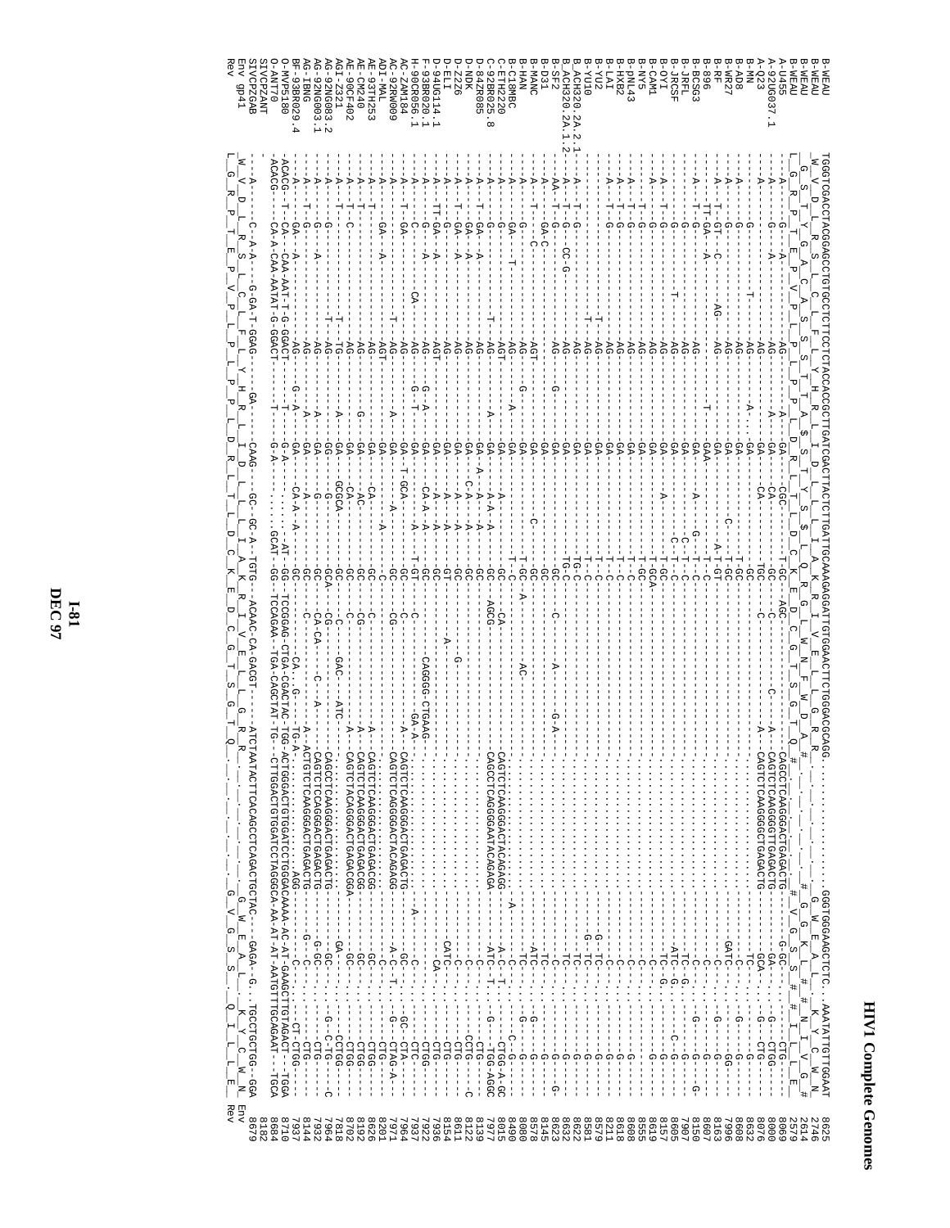#### $\begin{smallmatrix} \texttt{B} & \texttt{B} & \texttt{B} & \texttt{B} & \texttt{B} & \texttt{B} & \texttt{B} & \texttt{B} & \texttt{B} & \texttt{B} & \texttt{B} & \texttt{B} & \texttt{B} & \texttt{B} & \texttt{B} & \texttt{B} & \texttt{B} & \texttt{B} & \texttt{B} & \texttt{B} & \texttt{B} & \texttt{B} & \texttt{B} & \texttt{B} & \texttt{B} & \texttt{B} & \texttt{B} & \texttt{B} & \texttt{B} & \texttt{B} & \texttt{$  $\frac{1}{n}$  $\begin{array}{l} -n - \mathbb{A} - n \\ -N \\ \hline L \rightarrow 0 \\ \hline L \rightarrow 0 \\ \hline \end{array}$  $\bigcup_{i=K}^n$ ╎┙│<br>│ ¦ਥ  $\vert$ < $\vert$  $\frac{-G-GA-T-GGAG------GA-----\frac{1}{2}T_{-T}-\frac{Y}{T_{-T}}$  $\int_a$ F ।<br>ज ┞ ¦a F Ļ ۱,  $\begin{array}{c} \mathbb{L} \mathbb{C} \mathbb{A} \mathbb{A} \mathbb{C}^{--} \rightarrow \ \mathbb{L} \ \mathbb{L} \ \mathbb{L} \ \mathbb{L} \end{array}$ Ļ  $-90-$ F þ ¦a  $\left.\begin{matrix} \mathcal{L} \\ \mathcal{L} \end{matrix}\right|$ |<br>면 능 ļ, -ACAAC-CA-GACGT--- $\overline{\Omega}$  $\begin{bmatrix} 1 \\ 1 \\ 0 \end{bmatrix}$  $\begin{bmatrix} 1 \\ 1 \\ 1 \\ 1 \end{bmatrix}$ .<br>co Ļ ပြ ပြ Ŀ -ATCTAATACTTCACAGCCTCAGACTGCTAC---<br>-ATCTAATACTTCACAGCCTCAGACTGCTAC---¦о Ļ  $\mathbf{I}$  $\begin{bmatrix} 1 \\ 1 \\ 1 \\ 1 \end{bmatrix}$  $\begin{array}{c} \cdot & \cdot \\ \cdot & \cdot \\ \cdot & \cdot \\ \cdot & \cdot \end{array}$  $\overline{\phantom{a}}$ |<br>വ ¦ਥ  $\frac{1}{\mathbb{E}}\frac{A}{\mathbb{E}}\frac{1}{\mathbb{E}}\frac{1}{\mathbb{E}}\frac{1}{\mathbb{E}}\frac{1}{\mathbb{E}}\frac{1}{\mathbb{E}}\frac{1}{\mathbb{E}}\frac{1}{\mathbb{E}}\frac{1}{\mathbb{E}}\frac{1}{\mathbb{E}}\frac{1}{\mathbb{E}}\frac{1}{\mathbb{E}}\frac{1}{\mathbb{E}}\frac{1}{\mathbb{E}}\frac{1}{\mathbb{E}}\frac{1}{\mathbb{E}}\frac{1}{\mathbb{E}}\frac{1}{\mathbb{E}}\frac{1}{\mathbb{E}}$ ا<br>∾. ים.<br>י  $\frac{1}{|q|}$  $\frac{K}{2}$ -GGA 비 ⊭"ן - Env<br>Rev שמאי הוא המספר המספר המספר הוא המספר המספר המספר המספר המספר המספר המספר המספר המספר המספר המספר המספר המספר ה<br>משה הרומים המספרים הספרים היה הרומים המספר הרומים המספרים המספר המספר המספרים המספרים המספרים המספרים המספרים<br>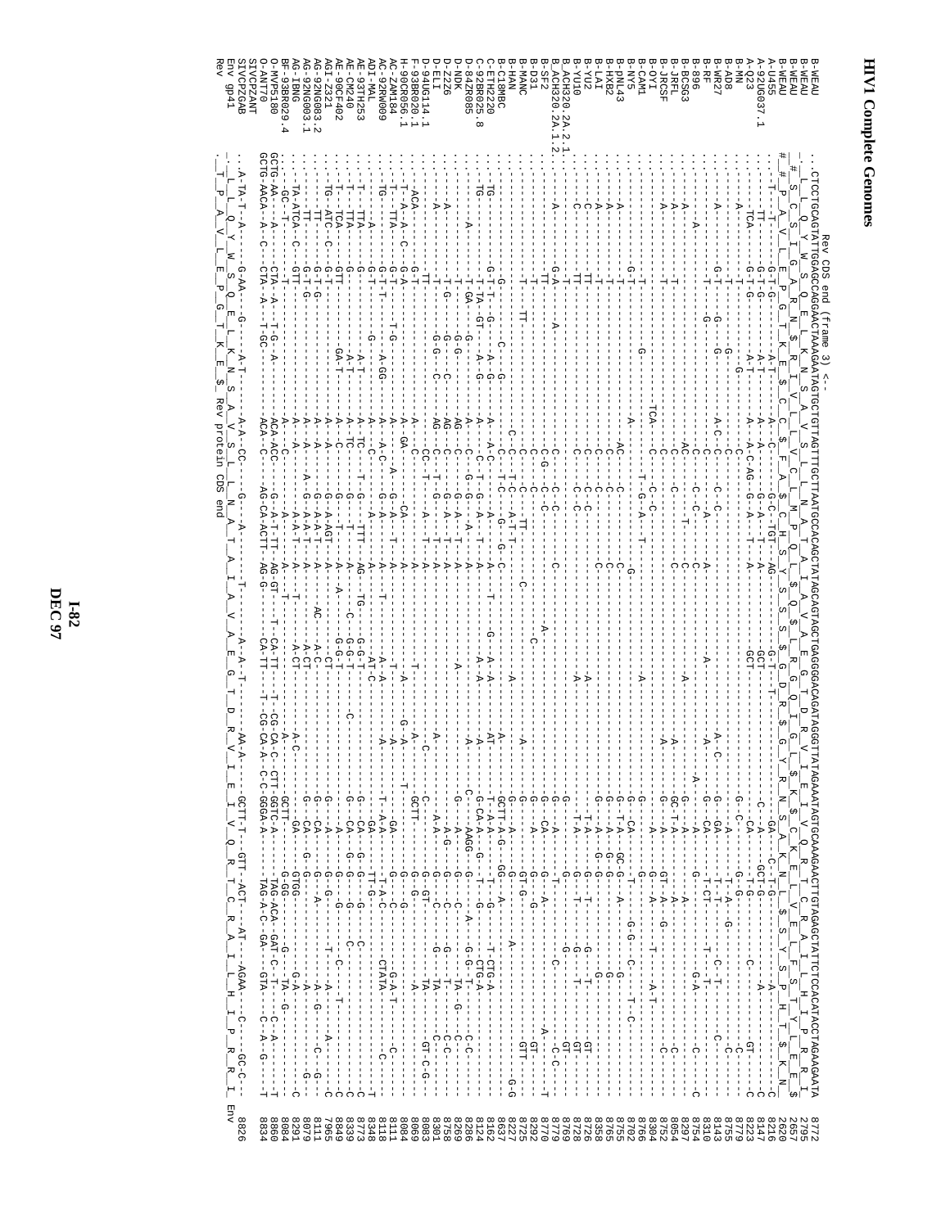| <b>TA-ATCA</b><br>ACA-<br>-ATC<br>٦<br>-TCA<br>TTA.<br>TCA.<br>-9-1<br>ب<br>م<br>ب<br>ٻ<br>$A -$<br>$L - N - V$<br>$L - A - P$<br>RG<br>$-A-C$<br>ዋ–<br>ዋ–<br>ተ<br>-1-9-1-<br>$-71-$ C<br>ن<br>ا<br>TATAGAATAG GAAAGAAGA TUTTAGA GURTI TUTTO GAAA AGA GAAGAATA<br>C--CTT-GGTC-A<br>$\frac{1}{1}$<br>√∿<br>I<br>$\mathbf{I}$<br>$A------$<br>₩<br>I<br>$\overline{\phantom{a}}$<br>I,<br>$\mathbf I$<br>د<br>با<br>$\mathbf{I}$<br>E<br>$--GCTT--$<br>$---G---CA---$<br>I<br>$-0.5 - 1 - -$<br>$-C---AAGG---G---$<br>$- - \text{GCTT} - \text{A} - \text{G} - - - \text{GG} - - - - \text{A} -$<br>$-9 - -$<br>$-6 -$<br>Í<br>$- -G - -C - -$<br>$-1 - 0 - 1$<br>$-9C - T - A$<br>$-$ -C- $-$ -- $-$ A- $-$<br>$- - - - - - - - - - -$<br>$---G---GA---$<br>$-1 - A - A - - - -$<br>$\overline{\phantom{a}}$<br>Ţ<br>$-G - - C A - - -G - -$<br>Ţ<br>Ţ<br>t<br>$\frac{1}{1}$<br>-G-CA-A----G----T---G----<br>$\frac{1}{1}$<br>$\mathbf{I}$<br>J.<br>J.<br>ŧ<br>$T - A - A - A -$<br>ဂု<br>$G--CA---$<br>$Q -$<br>z<br><u>ဂ</u><br>$G--CA---G-$<br>J.<br>ף<br>------<br>$\blacksquare$<br>ဂု<br>$\Gamma$<br>$-9$<br><u>ရ</u><br> <br> <br>---0---<br>-1<br>ŧ<br>-----GA--<br>ł<br>ŧ<br>$\mathbf{I}$<br>$\overline{1}$<br>$\frac{1}{1}$<br>į<br>$\begin{array}{c} \end{array}$<br>ن<br>-<br>1<br>J.<br>Ţ<br>$\mathsf I$<br>$-CA$ --<br>Ţ<br>T<br>$\mathbf{I}$<br>٩D.<br>$-\Delta-\Delta--$<br>ŗω.<br>$-4-7-7$<br>$-6A -$<br>$--A--$<br>$\mathbf{I}$<br>J<br>J.<br>$-CA -$<br>$- - - - -$<br>$\frac{1}{1}$<br>$T - A - -$<br>$- -A - -$<br>$T - A - T$<br>ļ.<br>J<br>J<br>ł<br>J<br>$\overline{1}$<br>ļ.<br>J.<br>$\mathbf{I}$<br>$\frac{1}{\mathcal{V}}$<br>$-59 -$<br>$\prec$<br>$-4$<br>$-4$<br>$A -$<br>$\overline{\phantom{a}}$<br>$A-G---G---$<br>$A-----$<br>$A -$<br>$\begin{array}{c} \end{array}$<br>$A--G--$<br>ъ<br>$A - -$<br>$A$ – –<br>P<br>$\frac{1}{1}$<br>⊅<br>ł<br>ł<br>$\frac{1}{1}$<br>Í<br>Ţ<br>$\frac{1}{1}$<br>$\frac{1}{1}$<br>I<br>ю<br>$\frac{1}{2}$<br>$\begin{array}{c} \end{array}$<br>I<br>$\begin{bmatrix} 1 \\ 1 \\ 1 \end{bmatrix}$<br>$\frac{1}{1}$<br>ţ<br>$\frac{1}{1}$<br>$\frac{1}{1}$<br>$\frac{1}{1}$<br>$\mathbf{I}$<br>I<br>$\frac{1}{1}$<br>I<br>$\begin{array}{c} \hline \end{array}$<br>$-GC-G---A---$<br>$\begin{array}{c} \end{array}$<br>I.<br>J.<br>$\frac{1}{1}$<br>$\mathbf{I}$<br>$-9 - -9 - 9$<br>$-5 - 1 - -5 -$<br>ı<br>J.<br>$\mathbf{I}$<br>$\mathbf{I}$<br>$\frac{1}{1}$<br>$- - - - - - - - - - -$<br>J,<br>$\frac{1}{1}$<br>$\blacksquare$<br>Í<br>$\mathbf{I}$<br>I.<br>$\blacksquare$<br>J.<br>$\mathbf{I}$<br>J.<br>Ţ<br>I<br>J.<br>$\mathbf{I}$<br>I<br>$\mathbf{I}$<br>$\mathbf{I}$<br>$-1 - 2 - 6 - - -$<br>₩<br>J.<br>$\overline{\phantom{a}}$<br>J.<br>$\frac{1}{1}$<br>$-6 - -$<br>$\mathbf{I}$<br>$\frac{1}{1}$<br>$\frac{1}{1}$<br>$\frac{1}{2}$<br>J.<br>J<br>I<br>$\blacksquare$<br>-1<br>$\overline{1}$<br>$\mathbf{I}$<br>$\frac{1}{1}$<br>$\mathbf{I}$<br>$\mathbf{I}$<br>$-1 - 9 - 9 - 1$<br>$\mathbb{I}$<br>$\mathsf I$<br>Ħ<br>$\mathsf I$<br>$\overline{\phantom{a}}$<br>$\frac{1}{1}$<br>GCT-G---<br>J<br>$-D - A - C -$<br>$-TRAG-ACA--GAT-C------$<br>$G-GG------$<br>--paa--<br>$\frac{1}{2}$<br>$G - -A - -$<br>Ω<br>ဂှ<br>$\frac{1}{2}$<br>$G$ ----- $C$ -<br>Ω<br>$G - -G - - -$<br>$\frac{1}{2}$<br>ဂှ<br>$\Gamma$<br>$GL-G---$<br>$G---G-$<br>$G - -A - -$<br>J,<br>$\frac{1}{2}$<br>ن<br>--<br>ဂှ<br>ဂှ<br><u>်</u><br>--<br>GT--A---G-----<br>G-------<br>$-1$ - $-1$ - $-1$<br>z<br>$\Gamma$<br>H<br><b>ローーーーー</b><br>$---A---$<br>$\frac{1}{1}$<br>ŧ<br>$\Gamma$<br>$\begin{array}{c} \cdot & \cdot & \cdot \\ \circ & \circ & \circ \\ \cdot & \cdot & \cdot \\ \cdot & \cdot & \cdot \end{array}$<br>$\frac{1}{2}$<br>$- -C - -$<br>$\begin{array}{c} \n \cdot & \cdot & \cdot \\ \n \cdot & \cdot & \cdot \\ \n \cdot & \cdot & \cdot \end{array}$<br>$\frac{1}{1}$<br>$\begin{array}{c} \rule{0.2cm}{0.15mm} \rule{0.2cm}{0.15mm} \rule{0.2cm}{0.15mm} \rule{0.2cm}{0.15mm} \rule{0.2cm}{0.15mm} \rule{0.2cm}{0.15mm} \rule{0.2cm}{0.15mm} \rule{0.2cm}{0.15mm} \rule{0.2cm}{0.15mm} \rule{0.2cm}{0.15mm} \rule{0.2cm}{0.15mm} \rule{0.2cm}{0.15mm} \rule{0.2cm}{0.15mm} \rule{0.2cm}{0.15mm} \rule{0.2cm}{0.15mm} \rule{$<br>キーー<br>$\frac{1}{2}$<br>ţ<br>$\overline{\phantom{a}}$<br>$-4-$<br>F<br>n<br>$\frac{1}{\Omega}$<br>$\begin{array}{c} 1 \\ 1 \\ 1 \end{array}$<br>$A - -$<br>Ť<br>$\overline{\phantom{a}}$<br>$\frac{1}{1}$<br>I.<br>₫<br>$\overline{1}$<br>1<br>$\mathbf{I}$<br>$\mathsf I$<br>I.<br>$\mathsf I$<br>$\mathsf I$<br>$\mathbf{I}$<br>$\mathsf I$<br>I.<br>wν<br>I<br>$\mathbf{I}$<br>I<br>$\begin{array}{c} \rule{0.2cm}{0.15mm} \rule{0.2cm}{0.15mm} \rule{0.2cm}{0.15mm} \rule{0.2cm}{0.15mm} \rule{0.2cm}{0.15mm} \rule{0.2cm}{0.15mm} \rule{0.2cm}{0.15mm} \rule{0.2cm}{0.15mm} \rule{0.2cm}{0.15mm} \rule{0.2cm}{0.15mm} \rule{0.2cm}{0.15mm} \rule{0.2cm}{0.15mm} \rule{0.2cm}{0.15mm} \rule{0.2cm}{0.15mm} \rule{0.2cm}{0.15mm} \rule{$<br>I<br>I<br>ţ<br>I<br>$\frac{1}{1}$<br>$\frac{1}{1}$<br>$\frac{1}{1}$<br>$\begin{array}{c} 1 \\ 1 \\ 1 \end{array}$<br>$\sf I$<br>$\frac{1}{4}$<br>$\begin{array}{c} \end{array}$<br>$\frac{1}{1}$<br>$\frac{1}{1}$<br>$-1 - 1 - 0 - 0$<br>I<br>$\begin{array}{c} \end{array}$<br>Ţ<br>₩<br>'n,<br>I,<br>J.<br>п<br>I.<br>Í<br>T<br>I.<br>$\mathbf{I}$<br>J.<br>$\frac{1}{1}$<br>$\overline{\phantom{a}}$<br>H.<br>$\overline{1}$<br>L<br>т<br>$\overline{1}$<br>$\mathbf{I}$<br>$\mathbf{I}$<br>т<br>L<br>т<br>$\frac{1}{1}$<br>л<br>л<br>f.<br>I.<br>$\mathbf{I}$<br>$\mathsf I$<br>Ĭ.<br>I.<br>$\mathsf I$<br>$\mathsf I$<br>$\mathbb{I}$<br>f,<br>I.<br>$\mathsf I$<br>'ທ<br>I<br>$\mathbf{I}$<br>$\mathbf I$<br>I.<br>I<br>$\sf I$<br>$\frac{1}{2}$<br>Ţ<br>I<br>$\begin{array}{c} \end{array}$<br>J<br>J<br>$-6 - -$<br>$\mathsf I$<br>$\begin{bmatrix} 1 \\ 1 \\ 1 \\ 1 \end{bmatrix}$<br>Ť<br>ъ<br>$\begin{array}{c} \hline \end{array}$<br>I<br>J.<br>$\frac{1}{1}$<br>$A---$<br>$\mathbf{I}$<br>$\frac{1}{1}$<br>$\overline{\phantom{a}}$<br>$-$ - $-$ - $-$ - - -<br>$\Gamma$<br>J.<br>$\blacksquare$<br>J.<br>$-6$<br>I.<br>$\mathbf{I}$<br>$\blacksquare$<br>п<br>$\begin{bmatrix} 1 \\ 1 \\ 1 \\ 1 \end{bmatrix}$<br>ţ<br>$\blacksquare$<br>$\frac{1}{1}$<br>$\mathbf{I}$<br>$\begin{bmatrix} 1 \\ 1 \\ 1 \\ 1 \end{bmatrix}$<br>Ţ<br>$\frac{1}{1}$<br>$\mathbf{I}$<br>J.<br>$\begin{bmatrix} 1 \\ 1 \\ 1 \\ 1 \end{bmatrix}$<br>$\frac{1}{1}$<br>$\mathbf{I}$<br>$\mathbf{I}$<br>$\frac{1}{1}$<br>$\mathsf I$<br>$-1$ $-1$ $-1$ $-1$ $-1$<br>$\mathbf{\overline{K}}$<br>J.<br>$\mathbf{I}$<br>1<br>$---CTC-A--$<br>$T - CTC - A - -$<br>$\blacksquare$<br>$\blacksquare$<br>$\mathbf{I}$<br>$\mathbf{I}$<br>$-5$<br>$\mathbf{I}$<br>-1<br>т<br>$\frac{1}{1}$<br>т<br>т.<br>$\mathbb{I}$<br>I.<br>Ť<br>I.<br>$\overline{1}$<br>$\mathbb{I}$<br>$\mathbf{I}$<br>I<br>$\mathbf{I}$<br>$\mathsf I$<br>T<br>$\mathbf{I}$<br>J<br>1<br>$----------$<br>Ţ<br>IJ<br>$\mathbf{I}$<br>ł<br>I<br>$\frac{1}{1}$<br>п<br>CTATA--<br>Ť<br>J.<br>I.<br>$\frac{1}{1}$<br>$\blacksquare$<br>$\overline{1}$<br>$\frac{1}{1}$<br>$\mathbf{I}$<br>Ť<br>$\frac{1}{1}$<br>Ť.<br>'co<br>J.<br>$\mathbf{I}$<br>$\mathbf{I}$<br>I.<br>$--\Gamma A--$<br>$\frac{1}{1}$<br>$\mathbf{I}$<br>$\frac{1}{1}$<br>t<br>$\mathbf{I}$<br>I<br>$\mathbf{I}$<br>J.<br>л<br>т<br>1<br>$\mathbf{I}$<br>т<br>$\mathbf{I}$<br>1<br>$-1 - 2 - -6 - -$<br>j<br>$\mathbf{I}$<br>$\mathsf I$<br>$- - -1 - 1 - - -$<br>$\mathsf I$<br>$\mathsf I$<br>$\overline{1}$<br>$\mathsf I$<br>$- - - - 9$<br>$C = -1$<br>$\mathsf I$<br>$-1 - 2 - 1 - - -$<br>$\begin{array}{c} 1 \\ 1 \\ 1 \\ 1 \end{array}$<br>$G-A$ --<br>$\mathsf I$<br>$G - A - -$<br>$---A---$<br>$\mathbf I$<br>$\mathbb I$<br>ဂု<br>$\mathsf I$<br>$\mathsf I$<br>$\mathbb I$<br>$\frac{1}{1}$<br>t<br>ı<br>Ţ<br>$TA$ --<br><b>TA--</b><br>I<br>$\mathsf I$<br>$\begin{array}{c} \end{array}$<br>$\frac{1}{1}$<br>ţ<br>$\overline{1}$<br>けー<br>$\begin{array}{c} \end{array}$<br>$\begin{array}{c} \end{array}$<br>$\begin{array}{c} 1 \\ 1 \\ 1 \end{array}$<br>$\mathbf I$<br>J<br>$\begin{array}{c} \end{array}$<br>ŗω.<br>J<br>'д<br>$-1 - 1 -$<br>$\frac{1}{1}$<br>$\frac{1}{1}$<br>$\frac{1}{1}$<br>I<br>$\mathbf{I}$<br>$A$ – –<br>J<br>J<br>$\mathbf{I}$<br>J.<br>I<br>J,<br>I<br>$\blacksquare$<br>$\frac{1}{1}$<br>ı<br>$A$ – –<br>$A$ --<br>Ξ<br>$\mathbf{I}$<br>п<br>$\blacksquare$<br>J,<br>$\overline{\phantom{a}}$<br>т<br>-1<br>т<br>л<br>т<br>$\mathbf{I}$<br>$\mathbf{I}$<br>⊣<br>$\mathbf{I}$<br>I<br>$- - \mathbf{C} - - \mathbf{A} - - -$<br>$\overline{\phantom{a}}$<br>$\frac{1}{1}$<br>$\frac{1}{1}$<br>$\mathbf{I}$<br>$\mathbf{I}$<br>$\overline{1}$<br>J.<br>t<br>$\mathbf{I}$<br>J.<br>$\mathbf{I}$<br>T<br>I<br>$\Gamma$<br>J.<br>I<br>J.<br>J.<br>$\overline{1}$<br>ł<br>J<br>J.<br>$\mathbf{I}$<br>ı<br>$\mathbf{I}$<br>$\mathbf{I}$<br>$\mathbf{I}$<br>I<br>$\overline{\phantom{a}}$<br>Ť<br>I<br>E<br>$\overline{1}$<br>I.<br>$\frac{1}{1}$<br>$\overline{1}$<br>$\frac{1}{1}$<br>$\frac{1}{1}$<br>I<br>$\mathbf{I}$<br>$\blacksquare$<br>J.<br>$\frac{1}{1}$<br>$\mathbf{I}$<br>J,<br>$\mathbf{I}$<br>-1<br>т<br>$\blacksquare$<br>$\mathbf{I}$<br>т.<br>т<br>ł<br>1<br>ì<br>$\mathbf{I}$<br>$\mathbf{I}$<br>-1<br>$\mathbf{I}$<br>I.<br>$\mathsf I$<br>$\overline{1}$<br>$\mathsf I$<br>$\overline{1}$<br>$\mathbf{I}$<br>$\mathbf{I}$<br>I.<br>$\mathsf I$<br>f,<br>$\overline{1}$<br>$\overline{1}$<br>$\mathbf I$<br>$\mathbf{I}$<br>$\mathbf{I}$<br>I.<br>ţ<br>$- - - - - - - - - - - -$<br>$-1$ $-1$ $-1$ $-1$ $-1$<br>I<br>$- - C - C - -$<br>$-c$ -<br>$\sf I$<br>$\overline{1}$<br>ţ<br>I<br>$\frac{1}{1}$<br>I<br>Η<br>$- - - - - -$<br>--0-0-<br>t<br>ᡃ<br>$-4-1-1$<br>$-1$ - $-1$ - $-1$<br>$- - - - - -$<br>$--LD--$<br>$\mathsf I$<br>$\frac{1}{1}$<br>$\frac{1}{2}$<br>$\blacksquare$<br>I<br>Ţ<br>$\overline{\phantom{a}}$<br>t<br>J.<br>J.<br>L<br>$\mathbf{I}$<br>$\frac{1}{1}$<br>$\mathbf{I}$<br>$-1.61 -$<br>$A$ - $-$<br>$\mathbf{I}$<br>$-1 - 12 - 1$<br>$\overline{1}$<br>J.<br>$\mathbf{I}$<br>$\mathbf{I}$<br>I<br>$\mathbf{I}$<br>İ<br>$\blacksquare$<br>J<br>$\overline{\phantom{a}}$<br>$\mathbf{I}$<br>$\mathbf{I}$<br>$\mathbf{I}$<br>$-1 - 1$<br>$-CD$ -<br>J.<br>J.<br>ţ<br>$-4.5-$<br>п<br>л<br>$\mathbf{I}$<br>п<br>$\mathbf{I}$<br>т<br>$\mathbf{I}$<br>-1<br>$\mathbf{I}$<br>т<br>$\mathbf{I}$<br>J<br>$\mathbf{I}$<br>$\mathbf{I}$<br>л<br>$\begin{array}{c} \end{array}$<br>I<br>$- -C - -$<br>$O-ID$<br>İ<br>j<br>$\mathsf I$<br>Ţ<br>Ť<br>.<br>د<br>ਸ਼<br>Ţ<br>$\mathbf I$<br>I<br>$\mathsf I$<br>J.<br>J<br>$\mathbb I$<br>C--<br>$\Gamma$ -<br>J.<br>$\overline{\phantom{a}}$<br>I<br>$\mathbf{I}$<br>$\frac{1}{1}$<br>$\mathbf{I}$<br>$\blacksquare$<br>$\mathbf{I}$<br>I.<br>$\overline{1}$<br>ה<br>-<br>$C -$<br>J.<br>Ω<br>b<br>J.<br>$\mathbf{I}$<br>I.<br>$\mathbf{I}$<br>J.<br>$\mathbf{I}$<br>$\blacksquare$<br>J.<br>J.<br>п<br>1<br>1<br>г<br>$\mathbf{I}$<br>т<br>т<br>л<br>1<br>$\frac{1}{1}$<br>л<br>$\mathsf I$<br>İ<br>$\mathbf{I}$<br>I.<br>I.<br>I<br>$\mathsf I$<br>I<br>$\mathsf I$<br>$\mathsf I$<br>I<br>1<br>$\mathbf I$<br>×<br>$\mathbf{I}$<br>I.<br>$\mathbf{I}$<br>I<br>ı<br>J<br>ı<br>$\begin{array}{c} \end{array}$<br>I<br>$\mathsf I$<br>I<br>$\mathbf{I}$<br>$\frac{1}{\Omega}$<br>$\begin{array}{c} \hline \end{array}$<br>I<br>I<br>ı<br>I<br>I<br>I<br>Í<br>I<br>I<br>I<br>ł<br>₩<br>I<br>ø<br>$\frac{1}{1}$<br>$\frac{1}{1}$<br>$\overline{\phantom{a}}$<br>$-1$<br>$\frac{1}{1}$<br>$\frac{1}{1}$<br>I<br>ł<br>I<br>ı<br>I<br>п<br>$\mathbf{I}$<br>L<br>$\overline{1}$<br>J.<br>I<br>J<br>J.<br>п<br>i<br>z<br>Ω<br>J.<br>-1<br>ı<br>J,<br>J.<br>å<br>I<br>$\begin{array}{c} \hline \end{array}$<br>$\mathsf I$<br>$\mathbf{I}$<br>I,<br>Ţ<br>$\overline{1}$<br>I<br>т.<br>Ω<br>$\overline{\phantom{a}}$<br>L.<br>Q<br>Ω<br>Ω<br>Ω<br>⋒<br>н<br>റ<br>Q<br>Ω<br>Ω<br>-Μ<br>$\blacksquare$<br>л<br>8<br>8 8 8 9 1 1 1 4 8<br>8 8 9 9 1 1 1 4 8<br>8 9 1 1 1 1 2 9 1 | ł<br>н | -TAG-A-C--GA----GTA--<br>$\frac{1}{4}$<br>C<br>Ŧ<br>$A - G - G -$ | $\mathbf{I}$<br>H.<br>ı | A--C-C-GGGA-A<br>ł,<br>J. |  | G-CA-ACTT-- |  | CPZZANT<br><b>DZT70</b> |
|----------------------------------------------------------------------------------------------------------------------------------------------------------------------------------------------------------------------------------------------------------------------------------------------------------------------------------------------------------------------------------------------------------------------------------------------------------------------------------------------------------------------------------------------------------------------------------------------------------------------------------------------------------------------------------------------------------------------------------------------------------------------------------------------------------------------------------------------------------------------------------------------------------------------------------------------------------------------------------------------------------------------------------------------------------------------------------------------------------------------------------------------------------------------------------------------------------------------------------------------------------------------------------------------------------------------------------------------------------------------------------------------------------------------------------------------------------------------------------------------------------------------------------------------------------------------------------------------------------------------------------------------------------------------------------------------------------------------------------------------------------------------------------------------------------------------------------------------------------------------------------------------------------------------------------------------------------------------------------------------------------------------------------------------------------------------------------------------------------------------------------------------------------------------------------------------------------------------------------------------------------------------------------------------------------------------------------------------------------------------------------------------------------------------------------------------------------------------------------------------------------------------------------------------------------------------------------------------------------------------------------------------------------------------------------------------------------------------------------------------------------------------------------------------------------------------------------------------------------------------------------------------------------------------------------------------------------------------------------------------------------------------------------------------------------------------------------------------------------------------------------------------------------------------------------------------------------------------------------------------------------------------------------------------------------------------------------------------------------------------------------------------------------------------------------------------------------------------------------------------------------------------------------------------------------------------------------------------------------------------------------------------------------------------------------------------------------------------------------------------------------------------------------------------------------------------------------------------------------------------------------------------------------------------------------------------------------------------------------------------------------------------------------------------------------------------------------------------------------------------------------------------------------------------------------------------------------------------------------------------------------------------------------------------------------------------------------------------------------------------------------------------------------------------------------------------------------------------------------------------------------------------------------------------------------------------------------------------------------------------------------------------------------------------------------------------------------------------------------------------------------------------------------------------------------------------------------------------------------------------------------------------------------------------------------------------------------------------------------------------------------------------------------------------------------------------------------------------------------------------------------------------------------------------------------------------------------------------------------------------------------------------------------------------------------------------------------------------------------------------------------------------------------------------------------------------------------------------------------------------------------------------------------------------------------------------------------------------------------------------------------------------------------------------------------------------------------------------------------------------------------------------------------------------------------------------------------------------------------------------------------------------------------------------------------------------------------------------------------------------------------------------------------------------------------------------------------------------------------------------------------------------------------------------------------------------------------------------------------------------------------------------------------------------------------------------------------------------------------------------------------------------------------------------------------------------------------------------------------------------------------------------------------------------------------------------------------------------------------------------------------------------------------------------------------------------------------------------------------------------------------------------------------------------------------------------------------------------------------------------------------------------------------------------------------------------------------------------------------------------------------------------------------------------------------------------------------------------------------------------------------------------------------------------------------------------------------------------------------------------------------------------------------------------------------------------------------------------------------------------------------------------------------------------------------------------------------------------------------------------------------------------------------------------------------------------------------------------------------------------------------------------------------------------------------------------------------------------------------------------------------------------------------------------------------------------------------------------------------------------------------------------------------------------------------------------------------------------------------------------------------------------------------------------------------------------------------------------------------------------------------------------------------------------------------------------------------------------------------------------------------------------------------------------------------------------------------------------------------------------------------------------------------------------------------------------------------------------------------------------------------------------------------------------------------------------------------------------------------------------------------------------------------------------------------------------------------------------------------------------------------------------------------------------------------------------------------------------------------------------------------------------------------------------------------------------------------------------------------------------------------------------------------------------------------------------------------------------------------------------------------------------------------------------------------------------------------------------------------------------------------------------------------------------------------------------------------------------------------------------------------------------------------------------------------------------------------------------------------------------------------------------------------------------------------------------------------------------------------------------------------------------------------------------------------------------------------------------------------------------------------------------------------------------------------------------------------------------------------------------------------------------------------------------------------------------------------------------------------------------------------------------------------------------------------------------------------------------------------------------------------------------------------------------------------------------------------------------------------------------------------------------------------------------------------------------------------------------------------------------------------------------------------------------------------------------------------------------------------------------------------------------------------------------------------------------------------------------------------------------------------------------------------------------------------------------------------------------------------------------------------------------------------------------------------------------------------------------------------------------------------------------------------------------------------------------------------------------------------------------------------------------------------------------------------------------------------------------------------------------------------------------------------------------------------------------------------------------------------------------------------------------------------------------------------------------------------------------------------------------------------------------------------------------------------------------------------------------------------------------------------------------------------------------------------------------------------------------------------------------------------------------------------------------------------------------------------------------------------------------------------------------------------------------------------------------------------------------------------------------------------------------------------------------------------------------------------------------------------------------|--------|-------------------------------------------------------------------|-------------------------|---------------------------|--|-------------|--|-------------------------|
|                                                                                                                                                                                                                                                                                                                                                                                                                                                                                                                                                                                                                                                                                                                                                                                                                                                                                                                                                                                                                                                                                                                                                                                                                                                                                                                                                                                                                                                                                                                                                                                                                                                                                                                                                                                                                                                                                                                                                                                                                                                                                                                                                                                                                                                                                                                                                                                                                                                                                                                                                                                                                                                                                                                                                                                                                                                                                                                                                                                                                                                                                                                                                                                                                                                                                                                                                                                                                                                                                                                                                                                                                                                                                                                                                                                                                                                                                                                                                                                                                                                                                                                                                                                                                                                                                                                                                                                                                                                                                                                                                                                                                                                                                                                                                                                                                                                                                                                                                                                                                                                                                                                                                                                                                                                                                                                                                                                                                                                                                                                                                                                                                                                                                                                                                                                                                                                                                                                                                                                                                                                                                                                                                                                                                                                                                                                                                                                                                                                                                                                                                                                                                                                                                                                                                                                                                                                                                                                                                                                                                                                                                                                                                                                                                                                                                                                                                                                                                                                                                                                                                                                                                                                                                                                                                                                                                                                                                                                                                                                                                                                                                                                                                                                                                                                                                                                                                                                                                                                                                                                                                                                                                                                                                                                                                                                                                                                                                                                                                                                                                                                                                                                                                                                                                                                                                                                                                                                                                                                                                                                                                                                                                                                                                                                                                                                                                                                                                                                                                                                                                                                                                                                                                                                                                                                                                                                                                                                                                                                                                                                                                                                                                                                                                                                                                                                                                                                                                                                                                                                                                                                                                                                                                                                                                                                                                                                                                                                                                                                                                                                                                                                                                                                                                                                                                                                                                                                                                                                                                                                              |        |                                                                   |                         |                           |  |             |  | <b>NP5180</b>           |
|                                                                                                                                                                                                                                                                                                                                                                                                                                                                                                                                                                                                                                                                                                                                                                                                                                                                                                                                                                                                                                                                                                                                                                                                                                                                                                                                                                                                                                                                                                                                                                                                                                                                                                                                                                                                                                                                                                                                                                                                                                                                                                                                                                                                                                                                                                                                                                                                                                                                                                                                                                                                                                                                                                                                                                                                                                                                                                                                                                                                                                                                                                                                                                                                                                                                                                                                                                                                                                                                                                                                                                                                                                                                                                                                                                                                                                                                                                                                                                                                                                                                                                                                                                                                                                                                                                                                                                                                                                                                                                                                                                                                                                                                                                                                                                                                                                                                                                                                                                                                                                                                                                                                                                                                                                                                                                                                                                                                                                                                                                                                                                                                                                                                                                                                                                                                                                                                                                                                                                                                                                                                                                                                                                                                                                                                                                                                                                                                                                                                                                                                                                                                                                                                                                                                                                                                                                                                                                                                                                                                                                                                                                                                                                                                                                                                                                                                                                                                                                                                                                                                                                                                                                                                                                                                                                                                                                                                                                                                                                                                                                                                                                                                                                                                                                                                                                                                                                                                                                                                                                                                                                                                                                                                                                                                                                                                                                                                                                                                                                                                                                                                                                                                                                                                                                                                                                                                                                                                                                                                                                                                                                                                                                                                                                                                                                                                                                                                                                                                                                                                                                                                                                                                                                                                                                                                                                                                                                                                                                                                                                                                                                                                                                                                                                                                                                                                                                                                                                                                                                                                                                                                                                                                                                                                                                                                                                                                                                                                                                                                                                                                                                                                                                                                                                                                                                                                                                                                                                                                                                                              |        |                                                                   |                         |                           |  |             |  | 3BR029                  |
|                                                                                                                                                                                                                                                                                                                                                                                                                                                                                                                                                                                                                                                                                                                                                                                                                                                                                                                                                                                                                                                                                                                                                                                                                                                                                                                                                                                                                                                                                                                                                                                                                                                                                                                                                                                                                                                                                                                                                                                                                                                                                                                                                                                                                                                                                                                                                                                                                                                                                                                                                                                                                                                                                                                                                                                                                                                                                                                                                                                                                                                                                                                                                                                                                                                                                                                                                                                                                                                                                                                                                                                                                                                                                                                                                                                                                                                                                                                                                                                                                                                                                                                                                                                                                                                                                                                                                                                                                                                                                                                                                                                                                                                                                                                                                                                                                                                                                                                                                                                                                                                                                                                                                                                                                                                                                                                                                                                                                                                                                                                                                                                                                                                                                                                                                                                                                                                                                                                                                                                                                                                                                                                                                                                                                                                                                                                                                                                                                                                                                                                                                                                                                                                                                                                                                                                                                                                                                                                                                                                                                                                                                                                                                                                                                                                                                                                                                                                                                                                                                                                                                                                                                                                                                                                                                                                                                                                                                                                                                                                                                                                                                                                                                                                                                                                                                                                                                                                                                                                                                                                                                                                                                                                                                                                                                                                                                                                                                                                                                                                                                                                                                                                                                                                                                                                                                                                                                                                                                                                                                                                                                                                                                                                                                                                                                                                                                                                                                                                                                                                                                                                                                                                                                                                                                                                                                                                                                                                                                                                                                                                                                                                                                                                                                                                                                                                                                                                                                                                                                                                                                                                                                                                                                                                                                                                                                                                                                                                                                                                                                                                                                                                                                                                                                                                                                                                                                                                                                                                                                                                              |        |                                                                   |                         |                           |  |             |  |                         |
|                                                                                                                                                                                                                                                                                                                                                                                                                                                                                                                                                                                                                                                                                                                                                                                                                                                                                                                                                                                                                                                                                                                                                                                                                                                                                                                                                                                                                                                                                                                                                                                                                                                                                                                                                                                                                                                                                                                                                                                                                                                                                                                                                                                                                                                                                                                                                                                                                                                                                                                                                                                                                                                                                                                                                                                                                                                                                                                                                                                                                                                                                                                                                                                                                                                                                                                                                                                                                                                                                                                                                                                                                                                                                                                                                                                                                                                                                                                                                                                                                                                                                                                                                                                                                                                                                                                                                                                                                                                                                                                                                                                                                                                                                                                                                                                                                                                                                                                                                                                                                                                                                                                                                                                                                                                                                                                                                                                                                                                                                                                                                                                                                                                                                                                                                                                                                                                                                                                                                                                                                                                                                                                                                                                                                                                                                                                                                                                                                                                                                                                                                                                                                                                                                                                                                                                                                                                                                                                                                                                                                                                                                                                                                                                                                                                                                                                                                                                                                                                                                                                                                                                                                                                                                                                                                                                                                                                                                                                                                                                                                                                                                                                                                                                                                                                                                                                                                                                                                                                                                                                                                                                                                                                                                                                                                                                                                                                                                                                                                                                                                                                                                                                                                                                                                                                                                                                                                                                                                                                                                                                                                                                                                                                                                                                                                                                                                                                                                                                                                                                                                                                                                                                                                                                                                                                                                                                                                                                                                                                                                                                                                                                                                                                                                                                                                                                                                                                                                                                                                                                                                                                                                                                                                                                                                                                                                                                                                                                                                                                                                                                                                                                                                                                                                                                                                                                                                                                                                                                                                                                              |        |                                                                   |                         |                           |  |             |  | 92NG003                 |
|                                                                                                                                                                                                                                                                                                                                                                                                                                                                                                                                                                                                                                                                                                                                                                                                                                                                                                                                                                                                                                                                                                                                                                                                                                                                                                                                                                                                                                                                                                                                                                                                                                                                                                                                                                                                                                                                                                                                                                                                                                                                                                                                                                                                                                                                                                                                                                                                                                                                                                                                                                                                                                                                                                                                                                                                                                                                                                                                                                                                                                                                                                                                                                                                                                                                                                                                                                                                                                                                                                                                                                                                                                                                                                                                                                                                                                                                                                                                                                                                                                                                                                                                                                                                                                                                                                                                                                                                                                                                                                                                                                                                                                                                                                                                                                                                                                                                                                                                                                                                                                                                                                                                                                                                                                                                                                                                                                                                                                                                                                                                                                                                                                                                                                                                                                                                                                                                                                                                                                                                                                                                                                                                                                                                                                                                                                                                                                                                                                                                                                                                                                                                                                                                                                                                                                                                                                                                                                                                                                                                                                                                                                                                                                                                                                                                                                                                                                                                                                                                                                                                                                                                                                                                                                                                                                                                                                                                                                                                                                                                                                                                                                                                                                                                                                                                                                                                                                                                                                                                                                                                                                                                                                                                                                                                                                                                                                                                                                                                                                                                                                                                                                                                                                                                                                                                                                                                                                                                                                                                                                                                                                                                                                                                                                                                                                                                                                                                                                                                                                                                                                                                                                                                                                                                                                                                                                                                                                                                                                                                                                                                                                                                                                                                                                                                                                                                                                                                                                                                                                                                                                                                                                                                                                                                                                                                                                                                                                                                                                                                                                                                                                                                                                                                                                                                                                                                                                                                                                                                                                                              |        |                                                                   |                         |                           |  |             |  | ZNG083.                 |
|                                                                                                                                                                                                                                                                                                                                                                                                                                                                                                                                                                                                                                                                                                                                                                                                                                                                                                                                                                                                                                                                                                                                                                                                                                                                                                                                                                                                                                                                                                                                                                                                                                                                                                                                                                                                                                                                                                                                                                                                                                                                                                                                                                                                                                                                                                                                                                                                                                                                                                                                                                                                                                                                                                                                                                                                                                                                                                                                                                                                                                                                                                                                                                                                                                                                                                                                                                                                                                                                                                                                                                                                                                                                                                                                                                                                                                                                                                                                                                                                                                                                                                                                                                                                                                                                                                                                                                                                                                                                                                                                                                                                                                                                                                                                                                                                                                                                                                                                                                                                                                                                                                                                                                                                                                                                                                                                                                                                                                                                                                                                                                                                                                                                                                                                                                                                                                                                                                                                                                                                                                                                                                                                                                                                                                                                                                                                                                                                                                                                                                                                                                                                                                                                                                                                                                                                                                                                                                                                                                                                                                                                                                                                                                                                                                                                                                                                                                                                                                                                                                                                                                                                                                                                                                                                                                                                                                                                                                                                                                                                                                                                                                                                                                                                                                                                                                                                                                                                                                                                                                                                                                                                                                                                                                                                                                                                                                                                                                                                                                                                                                                                                                                                                                                                                                                                                                                                                                                                                                                                                                                                                                                                                                                                                                                                                                                                                                                                                                                                                                                                                                                                                                                                                                                                                                                                                                                                                                                                                                                                                                                                                                                                                                                                                                                                                                                                                                                                                                                                                                                                                                                                                                                                                                                                                                                                                                                                                                                                                                                                                                                                                                                                                                                                                                                                                                                                                                                                                                                                                                                              |        |                                                                   |                         |                           |  |             |  |                         |
|                                                                                                                                                                                                                                                                                                                                                                                                                                                                                                                                                                                                                                                                                                                                                                                                                                                                                                                                                                                                                                                                                                                                                                                                                                                                                                                                                                                                                                                                                                                                                                                                                                                                                                                                                                                                                                                                                                                                                                                                                                                                                                                                                                                                                                                                                                                                                                                                                                                                                                                                                                                                                                                                                                                                                                                                                                                                                                                                                                                                                                                                                                                                                                                                                                                                                                                                                                                                                                                                                                                                                                                                                                                                                                                                                                                                                                                                                                                                                                                                                                                                                                                                                                                                                                                                                                                                                                                                                                                                                                                                                                                                                                                                                                                                                                                                                                                                                                                                                                                                                                                                                                                                                                                                                                                                                                                                                                                                                                                                                                                                                                                                                                                                                                                                                                                                                                                                                                                                                                                                                                                                                                                                                                                                                                                                                                                                                                                                                                                                                                                                                                                                                                                                                                                                                                                                                                                                                                                                                                                                                                                                                                                                                                                                                                                                                                                                                                                                                                                                                                                                                                                                                                                                                                                                                                                                                                                                                                                                                                                                                                                                                                                                                                                                                                                                                                                                                                                                                                                                                                                                                                                                                                                                                                                                                                                                                                                                                                                                                                                                                                                                                                                                                                                                                                                                                                                                                                                                                                                                                                                                                                                                                                                                                                                                                                                                                                                                                                                                                                                                                                                                                                                                                                                                                                                                                                                                                                                                                                                                                                                                                                                                                                                                                                                                                                                                                                                                                                                                                                                                                                                                                                                                                                                                                                                                                                                                                                                                                                                                                                                                                                                                                                                                                                                                                                                                                                                                                                                                                                                              |        |                                                                   |                         |                           |  |             |  | $-90$ CF402             |
|                                                                                                                                                                                                                                                                                                                                                                                                                                                                                                                                                                                                                                                                                                                                                                                                                                                                                                                                                                                                                                                                                                                                                                                                                                                                                                                                                                                                                                                                                                                                                                                                                                                                                                                                                                                                                                                                                                                                                                                                                                                                                                                                                                                                                                                                                                                                                                                                                                                                                                                                                                                                                                                                                                                                                                                                                                                                                                                                                                                                                                                                                                                                                                                                                                                                                                                                                                                                                                                                                                                                                                                                                                                                                                                                                                                                                                                                                                                                                                                                                                                                                                                                                                                                                                                                                                                                                                                                                                                                                                                                                                                                                                                                                                                                                                                                                                                                                                                                                                                                                                                                                                                                                                                                                                                                                                                                                                                                                                                                                                                                                                                                                                                                                                                                                                                                                                                                                                                                                                                                                                                                                                                                                                                                                                                                                                                                                                                                                                                                                                                                                                                                                                                                                                                                                                                                                                                                                                                                                                                                                                                                                                                                                                                                                                                                                                                                                                                                                                                                                                                                                                                                                                                                                                                                                                                                                                                                                                                                                                                                                                                                                                                                                                                                                                                                                                                                                                                                                                                                                                                                                                                                                                                                                                                                                                                                                                                                                                                                                                                                                                                                                                                                                                                                                                                                                                                                                                                                                                                                                                                                                                                                                                                                                                                                                                                                                                                                                                                                                                                                                                                                                                                                                                                                                                                                                                                                                                                                                                                                                                                                                                                                                                                                                                                                                                                                                                                                                                                                                                                                                                                                                                                                                                                                                                                                                                                                                                                                                                                                                                                                                                                                                                                                                                                                                                                                                                                                                                                                                                                              |        |                                                                   |                         |                           |  |             |  | -CM240                  |
|                                                                                                                                                                                                                                                                                                                                                                                                                                                                                                                                                                                                                                                                                                                                                                                                                                                                                                                                                                                                                                                                                                                                                                                                                                                                                                                                                                                                                                                                                                                                                                                                                                                                                                                                                                                                                                                                                                                                                                                                                                                                                                                                                                                                                                                                                                                                                                                                                                                                                                                                                                                                                                                                                                                                                                                                                                                                                                                                                                                                                                                                                                                                                                                                                                                                                                                                                                                                                                                                                                                                                                                                                                                                                                                                                                                                                                                                                                                                                                                                                                                                                                                                                                                                                                                                                                                                                                                                                                                                                                                                                                                                                                                                                                                                                                                                                                                                                                                                                                                                                                                                                                                                                                                                                                                                                                                                                                                                                                                                                                                                                                                                                                                                                                                                                                                                                                                                                                                                                                                                                                                                                                                                                                                                                                                                                                                                                                                                                                                                                                                                                                                                                                                                                                                                                                                                                                                                                                                                                                                                                                                                                                                                                                                                                                                                                                                                                                                                                                                                                                                                                                                                                                                                                                                                                                                                                                                                                                                                                                                                                                                                                                                                                                                                                                                                                                                                                                                                                                                                                                                                                                                                                                                                                                                                                                                                                                                                                                                                                                                                                                                                                                                                                                                                                                                                                                                                                                                                                                                                                                                                                                                                                                                                                                                                                                                                                                                                                                                                                                                                                                                                                                                                                                                                                                                                                                                                                                                                                                                                                                                                                                                                                                                                                                                                                                                                                                                                                                                                                                                                                                                                                                                                                                                                                                                                                                                                                                                                                                                                                                                                                                                                                                                                                                                                                                                                                                                                                                                                                                                              |        |                                                                   |                         |                           |  |             |  | $-93$ TH253             |
|                                                                                                                                                                                                                                                                                                                                                                                                                                                                                                                                                                                                                                                                                                                                                                                                                                                                                                                                                                                                                                                                                                                                                                                                                                                                                                                                                                                                                                                                                                                                                                                                                                                                                                                                                                                                                                                                                                                                                                                                                                                                                                                                                                                                                                                                                                                                                                                                                                                                                                                                                                                                                                                                                                                                                                                                                                                                                                                                                                                                                                                                                                                                                                                                                                                                                                                                                                                                                                                                                                                                                                                                                                                                                                                                                                                                                                                                                                                                                                                                                                                                                                                                                                                                                                                                                                                                                                                                                                                                                                                                                                                                                                                                                                                                                                                                                                                                                                                                                                                                                                                                                                                                                                                                                                                                                                                                                                                                                                                                                                                                                                                                                                                                                                                                                                                                                                                                                                                                                                                                                                                                                                                                                                                                                                                                                                                                                                                                                                                                                                                                                                                                                                                                                                                                                                                                                                                                                                                                                                                                                                                                                                                                                                                                                                                                                                                                                                                                                                                                                                                                                                                                                                                                                                                                                                                                                                                                                                                                                                                                                                                                                                                                                                                                                                                                                                                                                                                                                                                                                                                                                                                                                                                                                                                                                                                                                                                                                                                                                                                                                                                                                                                                                                                                                                                                                                                                                                                                                                                                                                                                                                                                                                                                                                                                                                                                                                                                                                                                                                                                                                                                                                                                                                                                                                                                                                                                                                                                                                                                                                                                                                                                                                                                                                                                                                                                                                                                                                                                                                                                                                                                                                                                                                                                                                                                                                                                                                                                                                                                                                                                                                                                                                                                                                                                                                                                                                                                                                                                                                                              |        |                                                                   |                         |                           |  |             |  | -<br>Trim               |
|                                                                                                                                                                                                                                                                                                                                                                                                                                                                                                                                                                                                                                                                                                                                                                                                                                                                                                                                                                                                                                                                                                                                                                                                                                                                                                                                                                                                                                                                                                                                                                                                                                                                                                                                                                                                                                                                                                                                                                                                                                                                                                                                                                                                                                                                                                                                                                                                                                                                                                                                                                                                                                                                                                                                                                                                                                                                                                                                                                                                                                                                                                                                                                                                                                                                                                                                                                                                                                                                                                                                                                                                                                                                                                                                                                                                                                                                                                                                                                                                                                                                                                                                                                                                                                                                                                                                                                                                                                                                                                                                                                                                                                                                                                                                                                                                                                                                                                                                                                                                                                                                                                                                                                                                                                                                                                                                                                                                                                                                                                                                                                                                                                                                                                                                                                                                                                                                                                                                                                                                                                                                                                                                                                                                                                                                                                                                                                                                                                                                                                                                                                                                                                                                                                                                                                                                                                                                                                                                                                                                                                                                                                                                                                                                                                                                                                                                                                                                                                                                                                                                                                                                                                                                                                                                                                                                                                                                                                                                                                                                                                                                                                                                                                                                                                                                                                                                                                                                                                                                                                                                                                                                                                                                                                                                                                                                                                                                                                                                                                                                                                                                                                                                                                                                                                                                                                                                                                                                                                                                                                                                                                                                                                                                                                                                                                                                                                                                                                                                                                                                                                                                                                                                                                                                                                                                                                                                                                                                                                                                                                                                                                                                                                                                                                                                                                                                                                                                                                                                                                                                                                                                                                                                                                                                                                                                                                                                                                                                                                                                                                                                                                                                                                                                                                                                                                                                                                                                                                                                                                                              |        |                                                                   |                         |                           |  |             |  | -92RM009                |
|                                                                                                                                                                                                                                                                                                                                                                                                                                                                                                                                                                                                                                                                                                                                                                                                                                                                                                                                                                                                                                                                                                                                                                                                                                                                                                                                                                                                                                                                                                                                                                                                                                                                                                                                                                                                                                                                                                                                                                                                                                                                                                                                                                                                                                                                                                                                                                                                                                                                                                                                                                                                                                                                                                                                                                                                                                                                                                                                                                                                                                                                                                                                                                                                                                                                                                                                                                                                                                                                                                                                                                                                                                                                                                                                                                                                                                                                                                                                                                                                                                                                                                                                                                                                                                                                                                                                                                                                                                                                                                                                                                                                                                                                                                                                                                                                                                                                                                                                                                                                                                                                                                                                                                                                                                                                                                                                                                                                                                                                                                                                                                                                                                                                                                                                                                                                                                                                                                                                                                                                                                                                                                                                                                                                                                                                                                                                                                                                                                                                                                                                                                                                                                                                                                                                                                                                                                                                                                                                                                                                                                                                                                                                                                                                                                                                                                                                                                                                                                                                                                                                                                                                                                                                                                                                                                                                                                                                                                                                                                                                                                                                                                                                                                                                                                                                                                                                                                                                                                                                                                                                                                                                                                                                                                                                                                                                                                                                                                                                                                                                                                                                                                                                                                                                                                                                                                                                                                                                                                                                                                                                                                                                                                                                                                                                                                                                                                                                                                                                                                                                                                                                                                                                                                                                                                                                                                                                                                                                                                                                                                                                                                                                                                                                                                                                                                                                                                                                                                                                                                                                                                                                                                                                                                                                                                                                                                                                                                                                                                                                                                                                                                                                                                                                                                                                                                                                                                                                                                                                                                                              |        |                                                                   |                         |                           |  |             |  | S LMA <sub>2</sub>      |
|                                                                                                                                                                                                                                                                                                                                                                                                                                                                                                                                                                                                                                                                                                                                                                                                                                                                                                                                                                                                                                                                                                                                                                                                                                                                                                                                                                                                                                                                                                                                                                                                                                                                                                                                                                                                                                                                                                                                                                                                                                                                                                                                                                                                                                                                                                                                                                                                                                                                                                                                                                                                                                                                                                                                                                                                                                                                                                                                                                                                                                                                                                                                                                                                                                                                                                                                                                                                                                                                                                                                                                                                                                                                                                                                                                                                                                                                                                                                                                                                                                                                                                                                                                                                                                                                                                                                                                                                                                                                                                                                                                                                                                                                                                                                                                                                                                                                                                                                                                                                                                                                                                                                                                                                                                                                                                                                                                                                                                                                                                                                                                                                                                                                                                                                                                                                                                                                                                                                                                                                                                                                                                                                                                                                                                                                                                                                                                                                                                                                                                                                                                                                                                                                                                                                                                                                                                                                                                                                                                                                                                                                                                                                                                                                                                                                                                                                                                                                                                                                                                                                                                                                                                                                                                                                                                                                                                                                                                                                                                                                                                                                                                                                                                                                                                                                                                                                                                                                                                                                                                                                                                                                                                                                                                                                                                                                                                                                                                                                                                                                                                                                                                                                                                                                                                                                                                                                                                                                                                                                                                                                                                                                                                                                                                                                                                                                                                                                                                                                                                                                                                                                                                                                                                                                                                                                                                                                                                                                                                                                                                                                                                                                                                                                                                                                                                                                                                                                                                                                                                                                                                                                                                                                                                                                                                                                                                                                                                                                                                                                                                                                                                                                                                                                                                                                                                                                                                                                                                                                                                                              |        |                                                                   |                         |                           |  |             |  | <b>OCRO56</b>           |
|                                                                                                                                                                                                                                                                                                                                                                                                                                                                                                                                                                                                                                                                                                                                                                                                                                                                                                                                                                                                                                                                                                                                                                                                                                                                                                                                                                                                                                                                                                                                                                                                                                                                                                                                                                                                                                                                                                                                                                                                                                                                                                                                                                                                                                                                                                                                                                                                                                                                                                                                                                                                                                                                                                                                                                                                                                                                                                                                                                                                                                                                                                                                                                                                                                                                                                                                                                                                                                                                                                                                                                                                                                                                                                                                                                                                                                                                                                                                                                                                                                                                                                                                                                                                                                                                                                                                                                                                                                                                                                                                                                                                                                                                                                                                                                                                                                                                                                                                                                                                                                                                                                                                                                                                                                                                                                                                                                                                                                                                                                                                                                                                                                                                                                                                                                                                                                                                                                                                                                                                                                                                                                                                                                                                                                                                                                                                                                                                                                                                                                                                                                                                                                                                                                                                                                                                                                                                                                                                                                                                                                                                                                                                                                                                                                                                                                                                                                                                                                                                                                                                                                                                                                                                                                                                                                                                                                                                                                                                                                                                                                                                                                                                                                                                                                                                                                                                                                                                                                                                                                                                                                                                                                                                                                                                                                                                                                                                                                                                                                                                                                                                                                                                                                                                                                                                                                                                                                                                                                                                                                                                                                                                                                                                                                                                                                                                                                                                                                                                                                                                                                                                                                                                                                                                                                                                                                                                                                                                                                                                                                                                                                                                                                                                                                                                                                                                                                                                                                                                                                                                                                                                                                                                                                                                                                                                                                                                                                                                                                                                                                                                                                                                                                                                                                                                                                                                                                                                                                                                                                                              |        |                                                                   |                         |                           |  |             |  |                         |
|                                                                                                                                                                                                                                                                                                                                                                                                                                                                                                                                                                                                                                                                                                                                                                                                                                                                                                                                                                                                                                                                                                                                                                                                                                                                                                                                                                                                                                                                                                                                                                                                                                                                                                                                                                                                                                                                                                                                                                                                                                                                                                                                                                                                                                                                                                                                                                                                                                                                                                                                                                                                                                                                                                                                                                                                                                                                                                                                                                                                                                                                                                                                                                                                                                                                                                                                                                                                                                                                                                                                                                                                                                                                                                                                                                                                                                                                                                                                                                                                                                                                                                                                                                                                                                                                                                                                                                                                                                                                                                                                                                                                                                                                                                                                                                                                                                                                                                                                                                                                                                                                                                                                                                                                                                                                                                                                                                                                                                                                                                                                                                                                                                                                                                                                                                                                                                                                                                                                                                                                                                                                                                                                                                                                                                                                                                                                                                                                                                                                                                                                                                                                                                                                                                                                                                                                                                                                                                                                                                                                                                                                                                                                                                                                                                                                                                                                                                                                                                                                                                                                                                                                                                                                                                                                                                                                                                                                                                                                                                                                                                                                                                                                                                                                                                                                                                                                                                                                                                                                                                                                                                                                                                                                                                                                                                                                                                                                                                                                                                                                                                                                                                                                                                                                                                                                                                                                                                                                                                                                                                                                                                                                                                                                                                                                                                                                                                                                                                                                                                                                                                                                                                                                                                                                                                                                                                                                                                                                                                                                                                                                                                                                                                                                                                                                                                                                                                                                                                                                                                                                                                                                                                                                                                                                                                                                                                                                                                                                                                                                                                                                                                                                                                                                                                                                                                                                                                                                                                                                                                                              |        |                                                                   |                         |                           |  |             |  |                         |
|                                                                                                                                                                                                                                                                                                                                                                                                                                                                                                                                                                                                                                                                                                                                                                                                                                                                                                                                                                                                                                                                                                                                                                                                                                                                                                                                                                                                                                                                                                                                                                                                                                                                                                                                                                                                                                                                                                                                                                                                                                                                                                                                                                                                                                                                                                                                                                                                                                                                                                                                                                                                                                                                                                                                                                                                                                                                                                                                                                                                                                                                                                                                                                                                                                                                                                                                                                                                                                                                                                                                                                                                                                                                                                                                                                                                                                                                                                                                                                                                                                                                                                                                                                                                                                                                                                                                                                                                                                                                                                                                                                                                                                                                                                                                                                                                                                                                                                                                                                                                                                                                                                                                                                                                                                                                                                                                                                                                                                                                                                                                                                                                                                                                                                                                                                                                                                                                                                                                                                                                                                                                                                                                                                                                                                                                                                                                                                                                                                                                                                                                                                                                                                                                                                                                                                                                                                                                                                                                                                                                                                                                                                                                                                                                                                                                                                                                                                                                                                                                                                                                                                                                                                                                                                                                                                                                                                                                                                                                                                                                                                                                                                                                                                                                                                                                                                                                                                                                                                                                                                                                                                                                                                                                                                                                                                                                                                                                                                                                                                                                                                                                                                                                                                                                                                                                                                                                                                                                                                                                                                                                                                                                                                                                                                                                                                                                                                                                                                                                                                                                                                                                                                                                                                                                                                                                                                                                                                                                                                                                                                                                                                                                                                                                                                                                                                                                                                                                                                                                                                                                                                                                                                                                                                                                                                                                                                                                                                                                                                                                                                                                                                                                                                                                                                                                                                                                                                                                                                                                                                                              |        |                                                                   |                         |                           |  |             |  |                         |
|                                                                                                                                                                                                                                                                                                                                                                                                                                                                                                                                                                                                                                                                                                                                                                                                                                                                                                                                                                                                                                                                                                                                                                                                                                                                                                                                                                                                                                                                                                                                                                                                                                                                                                                                                                                                                                                                                                                                                                                                                                                                                                                                                                                                                                                                                                                                                                                                                                                                                                                                                                                                                                                                                                                                                                                                                                                                                                                                                                                                                                                                                                                                                                                                                                                                                                                                                                                                                                                                                                                                                                                                                                                                                                                                                                                                                                                                                                                                                                                                                                                                                                                                                                                                                                                                                                                                                                                                                                                                                                                                                                                                                                                                                                                                                                                                                                                                                                                                                                                                                                                                                                                                                                                                                                                                                                                                                                                                                                                                                                                                                                                                                                                                                                                                                                                                                                                                                                                                                                                                                                                                                                                                                                                                                                                                                                                                                                                                                                                                                                                                                                                                                                                                                                                                                                                                                                                                                                                                                                                                                                                                                                                                                                                                                                                                                                                                                                                                                                                                                                                                                                                                                                                                                                                                                                                                                                                                                                                                                                                                                                                                                                                                                                                                                                                                                                                                                                                                                                                                                                                                                                                                                                                                                                                                                                                                                                                                                                                                                                                                                                                                                                                                                                                                                                                                                                                                                                                                                                                                                                                                                                                                                                                                                                                                                                                                                                                                                                                                                                                                                                                                                                                                                                                                                                                                                                                                                                                                                                                                                                                                                                                                                                                                                                                                                                                                                                                                                                                                                                                                                                                                                                                                                                                                                                                                                                                                                                                                                                                                                                                                                                                                                                                                                                                                                                                                                                                                                                                                                                                              |        |                                                                   |                         |                           |  |             |  |                         |
|                                                                                                                                                                                                                                                                                                                                                                                                                                                                                                                                                                                                                                                                                                                                                                                                                                                                                                                                                                                                                                                                                                                                                                                                                                                                                                                                                                                                                                                                                                                                                                                                                                                                                                                                                                                                                                                                                                                                                                                                                                                                                                                                                                                                                                                                                                                                                                                                                                                                                                                                                                                                                                                                                                                                                                                                                                                                                                                                                                                                                                                                                                                                                                                                                                                                                                                                                                                                                                                                                                                                                                                                                                                                                                                                                                                                                                                                                                                                                                                                                                                                                                                                                                                                                                                                                                                                                                                                                                                                                                                                                                                                                                                                                                                                                                                                                                                                                                                                                                                                                                                                                                                                                                                                                                                                                                                                                                                                                                                                                                                                                                                                                                                                                                                                                                                                                                                                                                                                                                                                                                                                                                                                                                                                                                                                                                                                                                                                                                                                                                                                                                                                                                                                                                                                                                                                                                                                                                                                                                                                                                                                                                                                                                                                                                                                                                                                                                                                                                                                                                                                                                                                                                                                                                                                                                                                                                                                                                                                                                                                                                                                                                                                                                                                                                                                                                                                                                                                                                                                                                                                                                                                                                                                                                                                                                                                                                                                                                                                                                                                                                                                                                                                                                                                                                                                                                                                                                                                                                                                                                                                                                                                                                                                                                                                                                                                                                                                                                                                                                                                                                                                                                                                                                                                                                                                                                                                                                                                                                                                                                                                                                                                                                                                                                                                                                                                                                                                                                                                                                                                                                                                                                                                                                                                                                                                                                                                                                                                                                                                                                                                                                                                                                                                                                                                                                                                                                                                                                                                                                                              |        |                                                                   |                         |                           |  |             |  |                         |
|                                                                                                                                                                                                                                                                                                                                                                                                                                                                                                                                                                                                                                                                                                                                                                                                                                                                                                                                                                                                                                                                                                                                                                                                                                                                                                                                                                                                                                                                                                                                                                                                                                                                                                                                                                                                                                                                                                                                                                                                                                                                                                                                                                                                                                                                                                                                                                                                                                                                                                                                                                                                                                                                                                                                                                                                                                                                                                                                                                                                                                                                                                                                                                                                                                                                                                                                                                                                                                                                                                                                                                                                                                                                                                                                                                                                                                                                                                                                                                                                                                                                                                                                                                                                                                                                                                                                                                                                                                                                                                                                                                                                                                                                                                                                                                                                                                                                                                                                                                                                                                                                                                                                                                                                                                                                                                                                                                                                                                                                                                                                                                                                                                                                                                                                                                                                                                                                                                                                                                                                                                                                                                                                                                                                                                                                                                                                                                                                                                                                                                                                                                                                                                                                                                                                                                                                                                                                                                                                                                                                                                                                                                                                                                                                                                                                                                                                                                                                                                                                                                                                                                                                                                                                                                                                                                                                                                                                                                                                                                                                                                                                                                                                                                                                                                                                                                                                                                                                                                                                                                                                                                                                                                                                                                                                                                                                                                                                                                                                                                                                                                                                                                                                                                                                                                                                                                                                                                                                                                                                                                                                                                                                                                                                                                                                                                                                                                                                                                                                                                                                                                                                                                                                                                                                                                                                                                                                                                                                                                                                                                                                                                                                                                                                                                                                                                                                                                                                                                                                                                                                                                                                                                                                                                                                                                                                                                                                                                                                                                                                                                                                                                                                                                                                                                                                                                                                                                                                                                                                                                                              |        |                                                                   |                         |                           |  |             |  | 4ZR085                  |
|                                                                                                                                                                                                                                                                                                                                                                                                                                                                                                                                                                                                                                                                                                                                                                                                                                                                                                                                                                                                                                                                                                                                                                                                                                                                                                                                                                                                                                                                                                                                                                                                                                                                                                                                                                                                                                                                                                                                                                                                                                                                                                                                                                                                                                                                                                                                                                                                                                                                                                                                                                                                                                                                                                                                                                                                                                                                                                                                                                                                                                                                                                                                                                                                                                                                                                                                                                                                                                                                                                                                                                                                                                                                                                                                                                                                                                                                                                                                                                                                                                                                                                                                                                                                                                                                                                                                                                                                                                                                                                                                                                                                                                                                                                                                                                                                                                                                                                                                                                                                                                                                                                                                                                                                                                                                                                                                                                                                                                                                                                                                                                                                                                                                                                                                                                                                                                                                                                                                                                                                                                                                                                                                                                                                                                                                                                                                                                                                                                                                                                                                                                                                                                                                                                                                                                                                                                                                                                                                                                                                                                                                                                                                                                                                                                                                                                                                                                                                                                                                                                                                                                                                                                                                                                                                                                                                                                                                                                                                                                                                                                                                                                                                                                                                                                                                                                                                                                                                                                                                                                                                                                                                                                                                                                                                                                                                                                                                                                                                                                                                                                                                                                                                                                                                                                                                                                                                                                                                                                                                                                                                                                                                                                                                                                                                                                                                                                                                                                                                                                                                                                                                                                                                                                                                                                                                                                                                                                                                                                                                                                                                                                                                                                                                                                                                                                                                                                                                                                                                                                                                                                                                                                                                                                                                                                                                                                                                                                                                                                                                                                                                                                                                                                                                                                                                                                                                                                                                                                                                                                                              |        |                                                                   |                         |                           |  |             |  | <b>2BR025</b>           |
|                                                                                                                                                                                                                                                                                                                                                                                                                                                                                                                                                                                                                                                                                                                                                                                                                                                                                                                                                                                                                                                                                                                                                                                                                                                                                                                                                                                                                                                                                                                                                                                                                                                                                                                                                                                                                                                                                                                                                                                                                                                                                                                                                                                                                                                                                                                                                                                                                                                                                                                                                                                                                                                                                                                                                                                                                                                                                                                                                                                                                                                                                                                                                                                                                                                                                                                                                                                                                                                                                                                                                                                                                                                                                                                                                                                                                                                                                                                                                                                                                                                                                                                                                                                                                                                                                                                                                                                                                                                                                                                                                                                                                                                                                                                                                                                                                                                                                                                                                                                                                                                                                                                                                                                                                                                                                                                                                                                                                                                                                                                                                                                                                                                                                                                                                                                                                                                                                                                                                                                                                                                                                                                                                                                                                                                                                                                                                                                                                                                                                                                                                                                                                                                                                                                                                                                                                                                                                                                                                                                                                                                                                                                                                                                                                                                                                                                                                                                                                                                                                                                                                                                                                                                                                                                                                                                                                                                                                                                                                                                                                                                                                                                                                                                                                                                                                                                                                                                                                                                                                                                                                                                                                                                                                                                                                                                                                                                                                                                                                                                                                                                                                                                                                                                                                                                                                                                                                                                                                                                                                                                                                                                                                                                                                                                                                                                                                                                                                                                                                                                                                                                                                                                                                                                                                                                                                                                                                                                                                                                                                                                                                                                                                                                                                                                                                                                                                                                                                                                                                                                                                                                                                                                                                                                                                                                                                                                                                                                                                                                                                                                                                                                                                                                                                                                                                                                                                                                                                                                                                                                              |        |                                                                   |                         |                           |  |             |  | <b>TH2220</b>           |
|                                                                                                                                                                                                                                                                                                                                                                                                                                                                                                                                                                                                                                                                                                                                                                                                                                                                                                                                                                                                                                                                                                                                                                                                                                                                                                                                                                                                                                                                                                                                                                                                                                                                                                                                                                                                                                                                                                                                                                                                                                                                                                                                                                                                                                                                                                                                                                                                                                                                                                                                                                                                                                                                                                                                                                                                                                                                                                                                                                                                                                                                                                                                                                                                                                                                                                                                                                                                                                                                                                                                                                                                                                                                                                                                                                                                                                                                                                                                                                                                                                                                                                                                                                                                                                                                                                                                                                                                                                                                                                                                                                                                                                                                                                                                                                                                                                                                                                                                                                                                                                                                                                                                                                                                                                                                                                                                                                                                                                                                                                                                                                                                                                                                                                                                                                                                                                                                                                                                                                                                                                                                                                                                                                                                                                                                                                                                                                                                                                                                                                                                                                                                                                                                                                                                                                                                                                                                                                                                                                                                                                                                                                                                                                                                                                                                                                                                                                                                                                                                                                                                                                                                                                                                                                                                                                                                                                                                                                                                                                                                                                                                                                                                                                                                                                                                                                                                                                                                                                                                                                                                                                                                                                                                                                                                                                                                                                                                                                                                                                                                                                                                                                                                                                                                                                                                                                                                                                                                                                                                                                                                                                                                                                                                                                                                                                                                                                                                                                                                                                                                                                                                                                                                                                                                                                                                                                                                                                                                                                                                                                                                                                                                                                                                                                                                                                                                                                                                                                                                                                                                                                                                                                                                                                                                                                                                                                                                                                                                                                                                                                                                                                                                                                                                                                                                                                                                                                                                                                                                                                                              |        |                                                                   |                         |                           |  |             |  | C18MBC                  |
|                                                                                                                                                                                                                                                                                                                                                                                                                                                                                                                                                                                                                                                                                                                                                                                                                                                                                                                                                                                                                                                                                                                                                                                                                                                                                                                                                                                                                                                                                                                                                                                                                                                                                                                                                                                                                                                                                                                                                                                                                                                                                                                                                                                                                                                                                                                                                                                                                                                                                                                                                                                                                                                                                                                                                                                                                                                                                                                                                                                                                                                                                                                                                                                                                                                                                                                                                                                                                                                                                                                                                                                                                                                                                                                                                                                                                                                                                                                                                                                                                                                                                                                                                                                                                                                                                                                                                                                                                                                                                                                                                                                                                                                                                                                                                                                                                                                                                                                                                                                                                                                                                                                                                                                                                                                                                                                                                                                                                                                                                                                                                                                                                                                                                                                                                                                                                                                                                                                                                                                                                                                                                                                                                                                                                                                                                                                                                                                                                                                                                                                                                                                                                                                                                                                                                                                                                                                                                                                                                                                                                                                                                                                                                                                                                                                                                                                                                                                                                                                                                                                                                                                                                                                                                                                                                                                                                                                                                                                                                                                                                                                                                                                                                                                                                                                                                                                                                                                                                                                                                                                                                                                                                                                                                                                                                                                                                                                                                                                                                                                                                                                                                                                                                                                                                                                                                                                                                                                                                                                                                                                                                                                                                                                                                                                                                                                                                                                                                                                                                                                                                                                                                                                                                                                                                                                                                                                                                                                                                                                                                                                                                                                                                                                                                                                                                                                                                                                                                                                                                                                                                                                                                                                                                                                                                                                                                                                                                                                                                                                                                                                                                                                                                                                                                                                                                                                                                                                                                                                                                                                              |        |                                                                   |                         |                           |  |             |  | E                       |
|                                                                                                                                                                                                                                                                                                                                                                                                                                                                                                                                                                                                                                                                                                                                                                                                                                                                                                                                                                                                                                                                                                                                                                                                                                                                                                                                                                                                                                                                                                                                                                                                                                                                                                                                                                                                                                                                                                                                                                                                                                                                                                                                                                                                                                                                                                                                                                                                                                                                                                                                                                                                                                                                                                                                                                                                                                                                                                                                                                                                                                                                                                                                                                                                                                                                                                                                                                                                                                                                                                                                                                                                                                                                                                                                                                                                                                                                                                                                                                                                                                                                                                                                                                                                                                                                                                                                                                                                                                                                                                                                                                                                                                                                                                                                                                                                                                                                                                                                                                                                                                                                                                                                                                                                                                                                                                                                                                                                                                                                                                                                                                                                                                                                                                                                                                                                                                                                                                                                                                                                                                                                                                                                                                                                                                                                                                                                                                                                                                                                                                                                                                                                                                                                                                                                                                                                                                                                                                                                                                                                                                                                                                                                                                                                                                                                                                                                                                                                                                                                                                                                                                                                                                                                                                                                                                                                                                                                                                                                                                                                                                                                                                                                                                                                                                                                                                                                                                                                                                                                                                                                                                                                                                                                                                                                                                                                                                                                                                                                                                                                                                                                                                                                                                                                                                                                                                                                                                                                                                                                                                                                                                                                                                                                                                                                                                                                                                                                                                                                                                                                                                                                                                                                                                                                                                                                                                                                                                                                                                                                                                                                                                                                                                                                                                                                                                                                                                                                                                                                                                                                                                                                                                                                                                                                                                                                                                                                                                                                                                                                                                                                                                                                                                                                                                                                                                                                                                                                                                                                                                                              |        |                                                                   |                         |                           |  |             |  | MANC                    |
|                                                                                                                                                                                                                                                                                                                                                                                                                                                                                                                                                                                                                                                                                                                                                                                                                                                                                                                                                                                                                                                                                                                                                                                                                                                                                                                                                                                                                                                                                                                                                                                                                                                                                                                                                                                                                                                                                                                                                                                                                                                                                                                                                                                                                                                                                                                                                                                                                                                                                                                                                                                                                                                                                                                                                                                                                                                                                                                                                                                                                                                                                                                                                                                                                                                                                                                                                                                                                                                                                                                                                                                                                                                                                                                                                                                                                                                                                                                                                                                                                                                                                                                                                                                                                                                                                                                                                                                                                                                                                                                                                                                                                                                                                                                                                                                                                                                                                                                                                                                                                                                                                                                                                                                                                                                                                                                                                                                                                                                                                                                                                                                                                                                                                                                                                                                                                                                                                                                                                                                                                                                                                                                                                                                                                                                                                                                                                                                                                                                                                                                                                                                                                                                                                                                                                                                                                                                                                                                                                                                                                                                                                                                                                                                                                                                                                                                                                                                                                                                                                                                                                                                                                                                                                                                                                                                                                                                                                                                                                                                                                                                                                                                                                                                                                                                                                                                                                                                                                                                                                                                                                                                                                                                                                                                                                                                                                                                                                                                                                                                                                                                                                                                                                                                                                                                                                                                                                                                                                                                                                                                                                                                                                                                                                                                                                                                                                                                                                                                                                                                                                                                                                                                                                                                                                                                                                                                                                                                                                                                                                                                                                                                                                                                                                                                                                                                                                                                                                                                                                                                                                                                                                                                                                                                                                                                                                                                                                                                                                                                                                                                                                                                                                                                                                                                                                                                                                                                                                                                                                                                              |        |                                                                   |                         |                           |  |             |  | Lεα                     |
|                                                                                                                                                                                                                                                                                                                                                                                                                                                                                                                                                                                                                                                                                                                                                                                                                                                                                                                                                                                                                                                                                                                                                                                                                                                                                                                                                                                                                                                                                                                                                                                                                                                                                                                                                                                                                                                                                                                                                                                                                                                                                                                                                                                                                                                                                                                                                                                                                                                                                                                                                                                                                                                                                                                                                                                                                                                                                                                                                                                                                                                                                                                                                                                                                                                                                                                                                                                                                                                                                                                                                                                                                                                                                                                                                                                                                                                                                                                                                                                                                                                                                                                                                                                                                                                                                                                                                                                                                                                                                                                                                                                                                                                                                                                                                                                                                                                                                                                                                                                                                                                                                                                                                                                                                                                                                                                                                                                                                                                                                                                                                                                                                                                                                                                                                                                                                                                                                                                                                                                                                                                                                                                                                                                                                                                                                                                                                                                                                                                                                                                                                                                                                                                                                                                                                                                                                                                                                                                                                                                                                                                                                                                                                                                                                                                                                                                                                                                                                                                                                                                                                                                                                                                                                                                                                                                                                                                                                                                                                                                                                                                                                                                                                                                                                                                                                                                                                                                                                                                                                                                                                                                                                                                                                                                                                                                                                                                                                                                                                                                                                                                                                                                                                                                                                                                                                                                                                                                                                                                                                                                                                                                                                                                                                                                                                                                                                                                                                                                                                                                                                                                                                                                                                                                                                                                                                                                                                                                                                                                                                                                                                                                                                                                                                                                                                                                                                                                                                                                                                                                                                                                                                                                                                                                                                                                                                                                                                                                                                                                                                                                                                                                                                                                                                                                                                                                                                                                                                                                                                                                              |        |                                                                   |                         |                           |  |             |  | <b>SF2</b>              |
|                                                                                                                                                                                                                                                                                                                                                                                                                                                                                                                                                                                                                                                                                                                                                                                                                                                                                                                                                                                                                                                                                                                                                                                                                                                                                                                                                                                                                                                                                                                                                                                                                                                                                                                                                                                                                                                                                                                                                                                                                                                                                                                                                                                                                                                                                                                                                                                                                                                                                                                                                                                                                                                                                                                                                                                                                                                                                                                                                                                                                                                                                                                                                                                                                                                                                                                                                                                                                                                                                                                                                                                                                                                                                                                                                                                                                                                                                                                                                                                                                                                                                                                                                                                                                                                                                                                                                                                                                                                                                                                                                                                                                                                                                                                                                                                                                                                                                                                                                                                                                                                                                                                                                                                                                                                                                                                                                                                                                                                                                                                                                                                                                                                                                                                                                                                                                                                                                                                                                                                                                                                                                                                                                                                                                                                                                                                                                                                                                                                                                                                                                                                                                                                                                                                                                                                                                                                                                                                                                                                                                                                                                                                                                                                                                                                                                                                                                                                                                                                                                                                                                                                                                                                                                                                                                                                                                                                                                                                                                                                                                                                                                                                                                                                                                                                                                                                                                                                                                                                                                                                                                                                                                                                                                                                                                                                                                                                                                                                                                                                                                                                                                                                                                                                                                                                                                                                                                                                                                                                                                                                                                                                                                                                                                                                                                                                                                                                                                                                                                                                                                                                                                                                                                                                                                                                                                                                                                                                                                                                                                                                                                                                                                                                                                                                                                                                                                                                                                                                                                                                                                                                                                                                                                                                                                                                                                                                                                                                                                                                                                                                                                                                                                                                                                                                                                                                                                                                                                                                                                                                              |        |                                                                   |                         |                           |  |             |  | ACH32                   |
|                                                                                                                                                                                                                                                                                                                                                                                                                                                                                                                                                                                                                                                                                                                                                                                                                                                                                                                                                                                                                                                                                                                                                                                                                                                                                                                                                                                                                                                                                                                                                                                                                                                                                                                                                                                                                                                                                                                                                                                                                                                                                                                                                                                                                                                                                                                                                                                                                                                                                                                                                                                                                                                                                                                                                                                                                                                                                                                                                                                                                                                                                                                                                                                                                                                                                                                                                                                                                                                                                                                                                                                                                                                                                                                                                                                                                                                                                                                                                                                                                                                                                                                                                                                                                                                                                                                                                                                                                                                                                                                                                                                                                                                                                                                                                                                                                                                                                                                                                                                                                                                                                                                                                                                                                                                                                                                                                                                                                                                                                                                                                                                                                                                                                                                                                                                                                                                                                                                                                                                                                                                                                                                                                                                                                                                                                                                                                                                                                                                                                                                                                                                                                                                                                                                                                                                                                                                                                                                                                                                                                                                                                                                                                                                                                                                                                                                                                                                                                                                                                                                                                                                                                                                                                                                                                                                                                                                                                                                                                                                                                                                                                                                                                                                                                                                                                                                                                                                                                                                                                                                                                                                                                                                                                                                                                                                                                                                                                                                                                                                                                                                                                                                                                                                                                                                                                                                                                                                                                                                                                                                                                                                                                                                                                                                                                                                                                                                                                                                                                                                                                                                                                                                                                                                                                                                                                                                                                                                                                                                                                                                                                                                                                                                                                                                                                                                                                                                                                                                                                                                                                                                                                                                                                                                                                                                                                                                                                                                                                                                                                                                                                                                                                                                                                                                                                                                                                                                                                                                                                                                              |        |                                                                   |                         |                           |  |             |  | ACH32                   |
|                                                                                                                                                                                                                                                                                                                                                                                                                                                                                                                                                                                                                                                                                                                                                                                                                                                                                                                                                                                                                                                                                                                                                                                                                                                                                                                                                                                                                                                                                                                                                                                                                                                                                                                                                                                                                                                                                                                                                                                                                                                                                                                                                                                                                                                                                                                                                                                                                                                                                                                                                                                                                                                                                                                                                                                                                                                                                                                                                                                                                                                                                                                                                                                                                                                                                                                                                                                                                                                                                                                                                                                                                                                                                                                                                                                                                                                                                                                                                                                                                                                                                                                                                                                                                                                                                                                                                                                                                                                                                                                                                                                                                                                                                                                                                                                                                                                                                                                                                                                                                                                                                                                                                                                                                                                                                                                                                                                                                                                                                                                                                                                                                                                                                                                                                                                                                                                                                                                                                                                                                                                                                                                                                                                                                                                                                                                                                                                                                                                                                                                                                                                                                                                                                                                                                                                                                                                                                                                                                                                                                                                                                                                                                                                                                                                                                                                                                                                                                                                                                                                                                                                                                                                                                                                                                                                                                                                                                                                                                                                                                                                                                                                                                                                                                                                                                                                                                                                                                                                                                                                                                                                                                                                                                                                                                                                                                                                                                                                                                                                                                                                                                                                                                                                                                                                                                                                                                                                                                                                                                                                                                                                                                                                                                                                                                                                                                                                                                                                                                                                                                                                                                                                                                                                                                                                                                                                                                                                                                                                                                                                                                                                                                                                                                                                                                                                                                                                                                                                                                                                                                                                                                                                                                                                                                                                                                                                                                                                                                                                                                                                                                                                                                                                                                                                                                                                                                                                                                                                                                                                              |        |                                                                   |                         |                           |  |             |  | 0 T Q                   |
|                                                                                                                                                                                                                                                                                                                                                                                                                                                                                                                                                                                                                                                                                                                                                                                                                                                                                                                                                                                                                                                                                                                                                                                                                                                                                                                                                                                                                                                                                                                                                                                                                                                                                                                                                                                                                                                                                                                                                                                                                                                                                                                                                                                                                                                                                                                                                                                                                                                                                                                                                                                                                                                                                                                                                                                                                                                                                                                                                                                                                                                                                                                                                                                                                                                                                                                                                                                                                                                                                                                                                                                                                                                                                                                                                                                                                                                                                                                                                                                                                                                                                                                                                                                                                                                                                                                                                                                                                                                                                                                                                                                                                                                                                                                                                                                                                                                                                                                                                                                                                                                                                                                                                                                                                                                                                                                                                                                                                                                                                                                                                                                                                                                                                                                                                                                                                                                                                                                                                                                                                                                                                                                                                                                                                                                                                                                                                                                                                                                                                                                                                                                                                                                                                                                                                                                                                                                                                                                                                                                                                                                                                                                                                                                                                                                                                                                                                                                                                                                                                                                                                                                                                                                                                                                                                                                                                                                                                                                                                                                                                                                                                                                                                                                                                                                                                                                                                                                                                                                                                                                                                                                                                                                                                                                                                                                                                                                                                                                                                                                                                                                                                                                                                                                                                                                                                                                                                                                                                                                                                                                                                                                                                                                                                                                                                                                                                                                                                                                                                                                                                                                                                                                                                                                                                                                                                                                                                                                                                                                                                                                                                                                                                                                                                                                                                                                                                                                                                                                                                                                                                                                                                                                                                                                                                                                                                                                                                                                                                                                                                                                                                                                                                                                                                                                                                                                                                                                                                                                                                                                              |        |                                                                   |                         |                           |  |             |  | Znx                     |
|                                                                                                                                                                                                                                                                                                                                                                                                                                                                                                                                                                                                                                                                                                                                                                                                                                                                                                                                                                                                                                                                                                                                                                                                                                                                                                                                                                                                                                                                                                                                                                                                                                                                                                                                                                                                                                                                                                                                                                                                                                                                                                                                                                                                                                                                                                                                                                                                                                                                                                                                                                                                                                                                                                                                                                                                                                                                                                                                                                                                                                                                                                                                                                                                                                                                                                                                                                                                                                                                                                                                                                                                                                                                                                                                                                                                                                                                                                                                                                                                                                                                                                                                                                                                                                                                                                                                                                                                                                                                                                                                                                                                                                                                                                                                                                                                                                                                                                                                                                                                                                                                                                                                                                                                                                                                                                                                                                                                                                                                                                                                                                                                                                                                                                                                                                                                                                                                                                                                                                                                                                                                                                                                                                                                                                                                                                                                                                                                                                                                                                                                                                                                                                                                                                                                                                                                                                                                                                                                                                                                                                                                                                                                                                                                                                                                                                                                                                                                                                                                                                                                                                                                                                                                                                                                                                                                                                                                                                                                                                                                                                                                                                                                                                                                                                                                                                                                                                                                                                                                                                                                                                                                                                                                                                                                                                                                                                                                                                                                                                                                                                                                                                                                                                                                                                                                                                                                                                                                                                                                                                                                                                                                                                                                                                                                                                                                                                                                                                                                                                                                                                                                                                                                                                                                                                                                                                                                                                                                                                                                                                                                                                                                                                                                                                                                                                                                                                                                                                                                                                                                                                                                                                                                                                                                                                                                                                                                                                                                                                                                                                                                                                                                                                                                                                                                                                                                                                                                                                                                                                                              |        |                                                                   |                         |                           |  |             |  | LAI                     |
|                                                                                                                                                                                                                                                                                                                                                                                                                                                                                                                                                                                                                                                                                                                                                                                                                                                                                                                                                                                                                                                                                                                                                                                                                                                                                                                                                                                                                                                                                                                                                                                                                                                                                                                                                                                                                                                                                                                                                                                                                                                                                                                                                                                                                                                                                                                                                                                                                                                                                                                                                                                                                                                                                                                                                                                                                                                                                                                                                                                                                                                                                                                                                                                                                                                                                                                                                                                                                                                                                                                                                                                                                                                                                                                                                                                                                                                                                                                                                                                                                                                                                                                                                                                                                                                                                                                                                                                                                                                                                                                                                                                                                                                                                                                                                                                                                                                                                                                                                                                                                                                                                                                                                                                                                                                                                                                                                                                                                                                                                                                                                                                                                                                                                                                                                                                                                                                                                                                                                                                                                                                                                                                                                                                                                                                                                                                                                                                                                                                                                                                                                                                                                                                                                                                                                                                                                                                                                                                                                                                                                                                                                                                                                                                                                                                                                                                                                                                                                                                                                                                                                                                                                                                                                                                                                                                                                                                                                                                                                                                                                                                                                                                                                                                                                                                                                                                                                                                                                                                                                                                                                                                                                                                                                                                                                                                                                                                                                                                                                                                                                                                                                                                                                                                                                                                                                                                                                                                                                                                                                                                                                                                                                                                                                                                                                                                                                                                                                                                                                                                                                                                                                                                                                                                                                                                                                                                                                                                                                                                                                                                                                                                                                                                                                                                                                                                                                                                                                                                                                                                                                                                                                                                                                                                                                                                                                                                                                                                                                                                                                                                                                                                                                                                                                                                                                                                                                                                                                                                                                                                              |        |                                                                   |                         |                           |  |             |  | HXB2                    |
|                                                                                                                                                                                                                                                                                                                                                                                                                                                                                                                                                                                                                                                                                                                                                                                                                                                                                                                                                                                                                                                                                                                                                                                                                                                                                                                                                                                                                                                                                                                                                                                                                                                                                                                                                                                                                                                                                                                                                                                                                                                                                                                                                                                                                                                                                                                                                                                                                                                                                                                                                                                                                                                                                                                                                                                                                                                                                                                                                                                                                                                                                                                                                                                                                                                                                                                                                                                                                                                                                                                                                                                                                                                                                                                                                                                                                                                                                                                                                                                                                                                                                                                                                                                                                                                                                                                                                                                                                                                                                                                                                                                                                                                                                                                                                                                                                                                                                                                                                                                                                                                                                                                                                                                                                                                                                                                                                                                                                                                                                                                                                                                                                                                                                                                                                                                                                                                                                                                                                                                                                                                                                                                                                                                                                                                                                                                                                                                                                                                                                                                                                                                                                                                                                                                                                                                                                                                                                                                                                                                                                                                                                                                                                                                                                                                                                                                                                                                                                                                                                                                                                                                                                                                                                                                                                                                                                                                                                                                                                                                                                                                                                                                                                                                                                                                                                                                                                                                                                                                                                                                                                                                                                                                                                                                                                                                                                                                                                                                                                                                                                                                                                                                                                                                                                                                                                                                                                                                                                                                                                                                                                                                                                                                                                                                                                                                                                                                                                                                                                                                                                                                                                                                                                                                                                                                                                                                                                                                                                                                                                                                                                                                                                                                                                                                                                                                                                                                                                                                                                                                                                                                                                                                                                                                                                                                                                                                                                                                                                                                                                                                                                                                                                                                                                                                                                                                                                                                                                                                                                                                              |        |                                                                   |                         |                           |  |             |  | <b>PNL43</b>            |
|                                                                                                                                                                                                                                                                                                                                                                                                                                                                                                                                                                                                                                                                                                                                                                                                                                                                                                                                                                                                                                                                                                                                                                                                                                                                                                                                                                                                                                                                                                                                                                                                                                                                                                                                                                                                                                                                                                                                                                                                                                                                                                                                                                                                                                                                                                                                                                                                                                                                                                                                                                                                                                                                                                                                                                                                                                                                                                                                                                                                                                                                                                                                                                                                                                                                                                                                                                                                                                                                                                                                                                                                                                                                                                                                                                                                                                                                                                                                                                                                                                                                                                                                                                                                                                                                                                                                                                                                                                                                                                                                                                                                                                                                                                                                                                                                                                                                                                                                                                                                                                                                                                                                                                                                                                                                                                                                                                                                                                                                                                                                                                                                                                                                                                                                                                                                                                                                                                                                                                                                                                                                                                                                                                                                                                                                                                                                                                                                                                                                                                                                                                                                                                                                                                                                                                                                                                                                                                                                                                                                                                                                                                                                                                                                                                                                                                                                                                                                                                                                                                                                                                                                                                                                                                                                                                                                                                                                                                                                                                                                                                                                                                                                                                                                                                                                                                                                                                                                                                                                                                                                                                                                                                                                                                                                                                                                                                                                                                                                                                                                                                                                                                                                                                                                                                                                                                                                                                                                                                                                                                                                                                                                                                                                                                                                                                                                                                                                                                                                                                                                                                                                                                                                                                                                                                                                                                                                                                                                                                                                                                                                                                                                                                                                                                                                                                                                                                                                                                                                                                                                                                                                                                                                                                                                                                                                                                                                                                                                                                                                                                                                                                                                                                                                                                                                                                                                                                                                                                                                                                                              |        |                                                                   |                         |                           |  |             |  | SXN-                    |
|                                                                                                                                                                                                                                                                                                                                                                                                                                                                                                                                                                                                                                                                                                                                                                                                                                                                                                                                                                                                                                                                                                                                                                                                                                                                                                                                                                                                                                                                                                                                                                                                                                                                                                                                                                                                                                                                                                                                                                                                                                                                                                                                                                                                                                                                                                                                                                                                                                                                                                                                                                                                                                                                                                                                                                                                                                                                                                                                                                                                                                                                                                                                                                                                                                                                                                                                                                                                                                                                                                                                                                                                                                                                                                                                                                                                                                                                                                                                                                                                                                                                                                                                                                                                                                                                                                                                                                                                                                                                                                                                                                                                                                                                                                                                                                                                                                                                                                                                                                                                                                                                                                                                                                                                                                                                                                                                                                                                                                                                                                                                                                                                                                                                                                                                                                                                                                                                                                                                                                                                                                                                                                                                                                                                                                                                                                                                                                                                                                                                                                                                                                                                                                                                                                                                                                                                                                                                                                                                                                                                                                                                                                                                                                                                                                                                                                                                                                                                                                                                                                                                                                                                                                                                                                                                                                                                                                                                                                                                                                                                                                                                                                                                                                                                                                                                                                                                                                                                                                                                                                                                                                                                                                                                                                                                                                                                                                                                                                                                                                                                                                                                                                                                                                                                                                                                                                                                                                                                                                                                                                                                                                                                                                                                                                                                                                                                                                                                                                                                                                                                                                                                                                                                                                                                                                                                                                                                                                                                                                                                                                                                                                                                                                                                                                                                                                                                                                                                                                                                                                                                                                                                                                                                                                                                                                                                                                                                                                                                                                                                                                                                                                                                                                                                                                                                                                                                                                                                                                                                                                                              |        |                                                                   |                         |                           |  |             |  | CAM1                    |
|                                                                                                                                                                                                                                                                                                                                                                                                                                                                                                                                                                                                                                                                                                                                                                                                                                                                                                                                                                                                                                                                                                                                                                                                                                                                                                                                                                                                                                                                                                                                                                                                                                                                                                                                                                                                                                                                                                                                                                                                                                                                                                                                                                                                                                                                                                                                                                                                                                                                                                                                                                                                                                                                                                                                                                                                                                                                                                                                                                                                                                                                                                                                                                                                                                                                                                                                                                                                                                                                                                                                                                                                                                                                                                                                                                                                                                                                                                                                                                                                                                                                                                                                                                                                                                                                                                                                                                                                                                                                                                                                                                                                                                                                                                                                                                                                                                                                                                                                                                                                                                                                                                                                                                                                                                                                                                                                                                                                                                                                                                                                                                                                                                                                                                                                                                                                                                                                                                                                                                                                                                                                                                                                                                                                                                                                                                                                                                                                                                                                                                                                                                                                                                                                                                                                                                                                                                                                                                                                                                                                                                                                                                                                                                                                                                                                                                                                                                                                                                                                                                                                                                                                                                                                                                                                                                                                                                                                                                                                                                                                                                                                                                                                                                                                                                                                                                                                                                                                                                                                                                                                                                                                                                                                                                                                                                                                                                                                                                                                                                                                                                                                                                                                                                                                                                                                                                                                                                                                                                                                                                                                                                                                                                                                                                                                                                                                                                                                                                                                                                                                                                                                                                                                                                                                                                                                                                                                                                                                                                                                                                                                                                                                                                                                                                                                                                                                                                                                                                                                                                                                                                                                                                                                                                                                                                                                                                                                                                                                                                                                                                                                                                                                                                                                                                                                                                                                                                                                                                                                                                                              |        |                                                                   |                         |                           |  |             |  | <b>IXO</b>              |
|                                                                                                                                                                                                                                                                                                                                                                                                                                                                                                                                                                                                                                                                                                                                                                                                                                                                                                                                                                                                                                                                                                                                                                                                                                                                                                                                                                                                                                                                                                                                                                                                                                                                                                                                                                                                                                                                                                                                                                                                                                                                                                                                                                                                                                                                                                                                                                                                                                                                                                                                                                                                                                                                                                                                                                                                                                                                                                                                                                                                                                                                                                                                                                                                                                                                                                                                                                                                                                                                                                                                                                                                                                                                                                                                                                                                                                                                                                                                                                                                                                                                                                                                                                                                                                                                                                                                                                                                                                                                                                                                                                                                                                                                                                                                                                                                                                                                                                                                                                                                                                                                                                                                                                                                                                                                                                                                                                                                                                                                                                                                                                                                                                                                                                                                                                                                                                                                                                                                                                                                                                                                                                                                                                                                                                                                                                                                                                                                                                                                                                                                                                                                                                                                                                                                                                                                                                                                                                                                                                                                                                                                                                                                                                                                                                                                                                                                                                                                                                                                                                                                                                                                                                                                                                                                                                                                                                                                                                                                                                                                                                                                                                                                                                                                                                                                                                                                                                                                                                                                                                                                                                                                                                                                                                                                                                                                                                                                                                                                                                                                                                                                                                                                                                                                                                                                                                                                                                                                                                                                                                                                                                                                                                                                                                                                                                                                                                                                                                                                                                                                                                                                                                                                                                                                                                                                                                                                                                                                                                                                                                                                                                                                                                                                                                                                                                                                                                                                                                                                                                                                                                                                                                                                                                                                                                                                                                                                                                                                                                                                                                                                                                                                                                                                                                                                                                                                                                                                                                                                                                                              |        |                                                                   |                         |                           |  |             |  | <b>JRCSF</b>            |
|                                                                                                                                                                                                                                                                                                                                                                                                                                                                                                                                                                                                                                                                                                                                                                                                                                                                                                                                                                                                                                                                                                                                                                                                                                                                                                                                                                                                                                                                                                                                                                                                                                                                                                                                                                                                                                                                                                                                                                                                                                                                                                                                                                                                                                                                                                                                                                                                                                                                                                                                                                                                                                                                                                                                                                                                                                                                                                                                                                                                                                                                                                                                                                                                                                                                                                                                                                                                                                                                                                                                                                                                                                                                                                                                                                                                                                                                                                                                                                                                                                                                                                                                                                                                                                                                                                                                                                                                                                                                                                                                                                                                                                                                                                                                                                                                                                                                                                                                                                                                                                                                                                                                                                                                                                                                                                                                                                                                                                                                                                                                                                                                                                                                                                                                                                                                                                                                                                                                                                                                                                                                                                                                                                                                                                                                                                                                                                                                                                                                                                                                                                                                                                                                                                                                                                                                                                                                                                                                                                                                                                                                                                                                                                                                                                                                                                                                                                                                                                                                                                                                                                                                                                                                                                                                                                                                                                                                                                                                                                                                                                                                                                                                                                                                                                                                                                                                                                                                                                                                                                                                                                                                                                                                                                                                                                                                                                                                                                                                                                                                                                                                                                                                                                                                                                                                                                                                                                                                                                                                                                                                                                                                                                                                                                                                                                                                                                                                                                                                                                                                                                                                                                                                                                                                                                                                                                                                                                                                                                                                                                                                                                                                                                                                                                                                                                                                                                                                                                                                                                                                                                                                                                                                                                                                                                                                                                                                                                                                                                                                                                                                                                                                                                                                                                                                                                                                                                                                                                                                                                                              |        |                                                                   |                         |                           |  |             |  | <b>JRFL</b>             |
|                                                                                                                                                                                                                                                                                                                                                                                                                                                                                                                                                                                                                                                                                                                                                                                                                                                                                                                                                                                                                                                                                                                                                                                                                                                                                                                                                                                                                                                                                                                                                                                                                                                                                                                                                                                                                                                                                                                                                                                                                                                                                                                                                                                                                                                                                                                                                                                                                                                                                                                                                                                                                                                                                                                                                                                                                                                                                                                                                                                                                                                                                                                                                                                                                                                                                                                                                                                                                                                                                                                                                                                                                                                                                                                                                                                                                                                                                                                                                                                                                                                                                                                                                                                                                                                                                                                                                                                                                                                                                                                                                                                                                                                                                                                                                                                                                                                                                                                                                                                                                                                                                                                                                                                                                                                                                                                                                                                                                                                                                                                                                                                                                                                                                                                                                                                                                                                                                                                                                                                                                                                                                                                                                                                                                                                                                                                                                                                                                                                                                                                                                                                                                                                                                                                                                                                                                                                                                                                                                                                                                                                                                                                                                                                                                                                                                                                                                                                                                                                                                                                                                                                                                                                                                                                                                                                                                                                                                                                                                                                                                                                                                                                                                                                                                                                                                                                                                                                                                                                                                                                                                                                                                                                                                                                                                                                                                                                                                                                                                                                                                                                                                                                                                                                                                                                                                                                                                                                                                                                                                                                                                                                                                                                                                                                                                                                                                                                                                                                                                                                                                                                                                                                                                                                                                                                                                                                                                                                                                                                                                                                                                                                                                                                                                                                                                                                                                                                                                                                                                                                                                                                                                                                                                                                                                                                                                                                                                                                                                                                                                                                                                                                                                                                                                                                                                                                                                                                                                                                                                                                              |        |                                                                   |                         |                           |  |             |  | <b>BCSC3</b>            |
|                                                                                                                                                                                                                                                                                                                                                                                                                                                                                                                                                                                                                                                                                                                                                                                                                                                                                                                                                                                                                                                                                                                                                                                                                                                                                                                                                                                                                                                                                                                                                                                                                                                                                                                                                                                                                                                                                                                                                                                                                                                                                                                                                                                                                                                                                                                                                                                                                                                                                                                                                                                                                                                                                                                                                                                                                                                                                                                                                                                                                                                                                                                                                                                                                                                                                                                                                                                                                                                                                                                                                                                                                                                                                                                                                                                                                                                                                                                                                                                                                                                                                                                                                                                                                                                                                                                                                                                                                                                                                                                                                                                                                                                                                                                                                                                                                                                                                                                                                                                                                                                                                                                                                                                                                                                                                                                                                                                                                                                                                                                                                                                                                                                                                                                                                                                                                                                                                                                                                                                                                                                                                                                                                                                                                                                                                                                                                                                                                                                                                                                                                                                                                                                                                                                                                                                                                                                                                                                                                                                                                                                                                                                                                                                                                                                                                                                                                                                                                                                                                                                                                                                                                                                                                                                                                                                                                                                                                                                                                                                                                                                                                                                                                                                                                                                                                                                                                                                                                                                                                                                                                                                                                                                                                                                                                                                                                                                                                                                                                                                                                                                                                                                                                                                                                                                                                                                                                                                                                                                                                                                                                                                                                                                                                                                                                                                                                                                                                                                                                                                                                                                                                                                                                                                                                                                                                                                                                                                                                                                                                                                                                                                                                                                                                                                                                                                                                                                                                                                                                                                                                                                                                                                                                                                                                                                                                                                                                                                                                                                                                                                                                                                                                                                                                                                                                                                                                                                                                                                                                                                              |        |                                                                   |                         |                           |  |             |  | 968                     |
|                                                                                                                                                                                                                                                                                                                                                                                                                                                                                                                                                                                                                                                                                                                                                                                                                                                                                                                                                                                                                                                                                                                                                                                                                                                                                                                                                                                                                                                                                                                                                                                                                                                                                                                                                                                                                                                                                                                                                                                                                                                                                                                                                                                                                                                                                                                                                                                                                                                                                                                                                                                                                                                                                                                                                                                                                                                                                                                                                                                                                                                                                                                                                                                                                                                                                                                                                                                                                                                                                                                                                                                                                                                                                                                                                                                                                                                                                                                                                                                                                                                                                                                                                                                                                                                                                                                                                                                                                                                                                                                                                                                                                                                                                                                                                                                                                                                                                                                                                                                                                                                                                                                                                                                                                                                                                                                                                                                                                                                                                                                                                                                                                                                                                                                                                                                                                                                                                                                                                                                                                                                                                                                                                                                                                                                                                                                                                                                                                                                                                                                                                                                                                                                                                                                                                                                                                                                                                                                                                                                                                                                                                                                                                                                                                                                                                                                                                                                                                                                                                                                                                                                                                                                                                                                                                                                                                                                                                                                                                                                                                                                                                                                                                                                                                                                                                                                                                                                                                                                                                                                                                                                                                                                                                                                                                                                                                                                                                                                                                                                                                                                                                                                                                                                                                                                                                                                                                                                                                                                                                                                                                                                                                                                                                                                                                                                                                                                                                                                                                                                                                                                                                                                                                                                                                                                                                                                                                                                                                                                                                                                                                                                                                                                                                                                                                                                                                                                                                                                                                                                                                                                                                                                                                                                                                                                                                                                                                                                                                                                                                                                                                                                                                                                                                                                                                                                                                                                                                                                                                                                              |        |                                                                   |                         |                           |  |             |  | 접                       |
|                                                                                                                                                                                                                                                                                                                                                                                                                                                                                                                                                                                                                                                                                                                                                                                                                                                                                                                                                                                                                                                                                                                                                                                                                                                                                                                                                                                                                                                                                                                                                                                                                                                                                                                                                                                                                                                                                                                                                                                                                                                                                                                                                                                                                                                                                                                                                                                                                                                                                                                                                                                                                                                                                                                                                                                                                                                                                                                                                                                                                                                                                                                                                                                                                                                                                                                                                                                                                                                                                                                                                                                                                                                                                                                                                                                                                                                                                                                                                                                                                                                                                                                                                                                                                                                                                                                                                                                                                                                                                                                                                                                                                                                                                                                                                                                                                                                                                                                                                                                                                                                                                                                                                                                                                                                                                                                                                                                                                                                                                                                                                                                                                                                                                                                                                                                                                                                                                                                                                                                                                                                                                                                                                                                                                                                                                                                                                                                                                                                                                                                                                                                                                                                                                                                                                                                                                                                                                                                                                                                                                                                                                                                                                                                                                                                                                                                                                                                                                                                                                                                                                                                                                                                                                                                                                                                                                                                                                                                                                                                                                                                                                                                                                                                                                                                                                                                                                                                                                                                                                                                                                                                                                                                                                                                                                                                                                                                                                                                                                                                                                                                                                                                                                                                                                                                                                                                                                                                                                                                                                                                                                                                                                                                                                                                                                                                                                                                                                                                                                                                                                                                                                                                                                                                                                                                                                                                                                                                                                                                                                                                                                                                                                                                                                                                                                                                                                                                                                                                                                                                                                                                                                                                                                                                                                                                                                                                                                                                                                                                                                                                                                                                                                                                                                                                                                                                                                                                                                                                                                                                              |        |                                                                   |                         |                           |  |             |  | $-MR27$                 |
|                                                                                                                                                                                                                                                                                                                                                                                                                                                                                                                                                                                                                                                                                                                                                                                                                                                                                                                                                                                                                                                                                                                                                                                                                                                                                                                                                                                                                                                                                                                                                                                                                                                                                                                                                                                                                                                                                                                                                                                                                                                                                                                                                                                                                                                                                                                                                                                                                                                                                                                                                                                                                                                                                                                                                                                                                                                                                                                                                                                                                                                                                                                                                                                                                                                                                                                                                                                                                                                                                                                                                                                                                                                                                                                                                                                                                                                                                                                                                                                                                                                                                                                                                                                                                                                                                                                                                                                                                                                                                                                                                                                                                                                                                                                                                                                                                                                                                                                                                                                                                                                                                                                                                                                                                                                                                                                                                                                                                                                                                                                                                                                                                                                                                                                                                                                                                                                                                                                                                                                                                                                                                                                                                                                                                                                                                                                                                                                                                                                                                                                                                                                                                                                                                                                                                                                                                                                                                                                                                                                                                                                                                                                                                                                                                                                                                                                                                                                                                                                                                                                                                                                                                                                                                                                                                                                                                                                                                                                                                                                                                                                                                                                                                                                                                                                                                                                                                                                                                                                                                                                                                                                                                                                                                                                                                                                                                                                                                                                                                                                                                                                                                                                                                                                                                                                                                                                                                                                                                                                                                                                                                                                                                                                                                                                                                                                                                                                                                                                                                                                                                                                                                                                                                                                                                                                                                                                                                                                                                                                                                                                                                                                                                                                                                                                                                                                                                                                                                                                                                                                                                                                                                                                                                                                                                                                                                                                                                                                                                                                                                                                                                                                                                                                                                                                                                                                                                                                                                                                                                                                              |        |                                                                   |                         |                           |  |             |  | ,<br>又<br>AD8           |
|                                                                                                                                                                                                                                                                                                                                                                                                                                                                                                                                                                                                                                                                                                                                                                                                                                                                                                                                                                                                                                                                                                                                                                                                                                                                                                                                                                                                                                                                                                                                                                                                                                                                                                                                                                                                                                                                                                                                                                                                                                                                                                                                                                                                                                                                                                                                                                                                                                                                                                                                                                                                                                                                                                                                                                                                                                                                                                                                                                                                                                                                                                                                                                                                                                                                                                                                                                                                                                                                                                                                                                                                                                                                                                                                                                                                                                                                                                                                                                                                                                                                                                                                                                                                                                                                                                                                                                                                                                                                                                                                                                                                                                                                                                                                                                                                                                                                                                                                                                                                                                                                                                                                                                                                                                                                                                                                                                                                                                                                                                                                                                                                                                                                                                                                                                                                                                                                                                                                                                                                                                                                                                                                                                                                                                                                                                                                                                                                                                                                                                                                                                                                                                                                                                                                                                                                                                                                                                                                                                                                                                                                                                                                                                                                                                                                                                                                                                                                                                                                                                                                                                                                                                                                                                                                                                                                                                                                                                                                                                                                                                                                                                                                                                                                                                                                                                                                                                                                                                                                                                                                                                                                                                                                                                                                                                                                                                                                                                                                                                                                                                                                                                                                                                                                                                                                                                                                                                                                                                                                                                                                                                                                                                                                                                                                                                                                                                                                                                                                                                                                                                                                                                                                                                                                                                                                                                                                                                                                                                                                                                                                                                                                                                                                                                                                                                                                                                                                                                                                                                                                                                                                                                                                                                                                                                                                                                                                                                                                                                                                                                                                                                                                                                                                                                                                                                                                                                                                                                                                                                                              |        |                                                                   |                         |                           |  |             |  | С23                     |
|                                                                                                                                                                                                                                                                                                                                                                                                                                                                                                                                                                                                                                                                                                                                                                                                                                                                                                                                                                                                                                                                                                                                                                                                                                                                                                                                                                                                                                                                                                                                                                                                                                                                                                                                                                                                                                                                                                                                                                                                                                                                                                                                                                                                                                                                                                                                                                                                                                                                                                                                                                                                                                                                                                                                                                                                                                                                                                                                                                                                                                                                                                                                                                                                                                                                                                                                                                                                                                                                                                                                                                                                                                                                                                                                                                                                                                                                                                                                                                                                                                                                                                                                                                                                                                                                                                                                                                                                                                                                                                                                                                                                                                                                                                                                                                                                                                                                                                                                                                                                                                                                                                                                                                                                                                                                                                                                                                                                                                                                                                                                                                                                                                                                                                                                                                                                                                                                                                                                                                                                                                                                                                                                                                                                                                                                                                                                                                                                                                                                                                                                                                                                                                                                                                                                                                                                                                                                                                                                                                                                                                                                                                                                                                                                                                                                                                                                                                                                                                                                                                                                                                                                                                                                                                                                                                                                                                                                                                                                                                                                                                                                                                                                                                                                                                                                                                                                                                                                                                                                                                                                                                                                                                                                                                                                                                                                                                                                                                                                                                                                                                                                                                                                                                                                                                                                                                                                                                                                                                                                                                                                                                                                                                                                                                                                                                                                                                                                                                                                                                                                                                                                                                                                                                                                                                                                                                                                                                                                                                                                                                                                                                                                                                                                                                                                                                                                                                                                                                                                                                                                                                                                                                                                                                                                                                                                                                                                                                                                                                                                                                                                                                                                                                                                                                                                                                                                                                                                                                                                                                                              |        |                                                                   |                         |                           |  |             |  | 920003                  |
|                                                                                                                                                                                                                                                                                                                                                                                                                                                                                                                                                                                                                                                                                                                                                                                                                                                                                                                                                                                                                                                                                                                                                                                                                                                                                                                                                                                                                                                                                                                                                                                                                                                                                                                                                                                                                                                                                                                                                                                                                                                                                                                                                                                                                                                                                                                                                                                                                                                                                                                                                                                                                                                                                                                                                                                                                                                                                                                                                                                                                                                                                                                                                                                                                                                                                                                                                                                                                                                                                                                                                                                                                                                                                                                                                                                                                                                                                                                                                                                                                                                                                                                                                                                                                                                                                                                                                                                                                                                                                                                                                                                                                                                                                                                                                                                                                                                                                                                                                                                                                                                                                                                                                                                                                                                                                                                                                                                                                                                                                                                                                                                                                                                                                                                                                                                                                                                                                                                                                                                                                                                                                                                                                                                                                                                                                                                                                                                                                                                                                                                                                                                                                                                                                                                                                                                                                                                                                                                                                                                                                                                                                                                                                                                                                                                                                                                                                                                                                                                                                                                                                                                                                                                                                                                                                                                                                                                                                                                                                                                                                                                                                                                                                                                                                                                                                                                                                                                                                                                                                                                                                                                                                                                                                                                                                                                                                                                                                                                                                                                                                                                                                                                                                                                                                                                                                                                                                                                                                                                                                                                                                                                                                                                                                                                                                                                                                                                                                                                                                                                                                                                                                                                                                                                                                                                                                                                                                                                                                                                                                                                                                                                                                                                                                                                                                                                                                                                                                                                                                                                                                                                                                                                                                                                                                                                                                                                                                                                                                                                                                                                                                                                                                                                                                                                                                                                                                                                                                                                                                                                              |        |                                                                   |                         |                           |  |             |  | U455                    |
|                                                                                                                                                                                                                                                                                                                                                                                                                                                                                                                                                                                                                                                                                                                                                                                                                                                                                                                                                                                                                                                                                                                                                                                                                                                                                                                                                                                                                                                                                                                                                                                                                                                                                                                                                                                                                                                                                                                                                                                                                                                                                                                                                                                                                                                                                                                                                                                                                                                                                                                                                                                                                                                                                                                                                                                                                                                                                                                                                                                                                                                                                                                                                                                                                                                                                                                                                                                                                                                                                                                                                                                                                                                                                                                                                                                                                                                                                                                                                                                                                                                                                                                                                                                                                                                                                                                                                                                                                                                                                                                                                                                                                                                                                                                                                                                                                                                                                                                                                                                                                                                                                                                                                                                                                                                                                                                                                                                                                                                                                                                                                                                                                                                                                                                                                                                                                                                                                                                                                                                                                                                                                                                                                                                                                                                                                                                                                                                                                                                                                                                                                                                                                                                                                                                                                                                                                                                                                                                                                                                                                                                                                                                                                                                                                                                                                                                                                                                                                                                                                                                                                                                                                                                                                                                                                                                                                                                                                                                                                                                                                                                                                                                                                                                                                                                                                                                                                                                                                                                                                                                                                                                                                                                                                                                                                                                                                                                                                                                                                                                                                                                                                                                                                                                                                                                                                                                                                                                                                                                                                                                                                                                                                                                                                                                                                                                                                                                                                                                                                                                                                                                                                                                                                                                                                                                                                                                                                                                                                                                                                                                                                                                                                                                                                                                                                                                                                                                                                                                                                                                                                                                                                                                                                                                                                                                                                                                                                                                                                                                                                                                                                                                                                                                                                                                                                                                                                                                                                                                                                                                              |        |                                                                   |                         |                           |  |             |  | <b>NEAU</b>             |
|                                                                                                                                                                                                                                                                                                                                                                                                                                                                                                                                                                                                                                                                                                                                                                                                                                                                                                                                                                                                                                                                                                                                                                                                                                                                                                                                                                                                                                                                                                                                                                                                                                                                                                                                                                                                                                                                                                                                                                                                                                                                                                                                                                                                                                                                                                                                                                                                                                                                                                                                                                                                                                                                                                                                                                                                                                                                                                                                                                                                                                                                                                                                                                                                                                                                                                                                                                                                                                                                                                                                                                                                                                                                                                                                                                                                                                                                                                                                                                                                                                                                                                                                                                                                                                                                                                                                                                                                                                                                                                                                                                                                                                                                                                                                                                                                                                                                                                                                                                                                                                                                                                                                                                                                                                                                                                                                                                                                                                                                                                                                                                                                                                                                                                                                                                                                                                                                                                                                                                                                                                                                                                                                                                                                                                                                                                                                                                                                                                                                                                                                                                                                                                                                                                                                                                                                                                                                                                                                                                                                                                                                                                                                                                                                                                                                                                                                                                                                                                                                                                                                                                                                                                                                                                                                                                                                                                                                                                                                                                                                                                                                                                                                                                                                                                                                                                                                                                                                                                                                                                                                                                                                                                                                                                                                                                                                                                                                                                                                                                                                                                                                                                                                                                                                                                                                                                                                                                                                                                                                                                                                                                                                                                                                                                                                                                                                                                                                                                                                                                                                                                                                                                                                                                                                                                                                                                                                                                                                                                                                                                                                                                                                                                                                                                                                                                                                                                                                                                                                                                                                                                                                                                                                                                                                                                                                                                                                                                                                                                                                                                                                                                                                                                                                                                                                                                                                                                                                                                                                                                                              |        |                                                                   |                         |                           |  |             |  | NEAU                    |
|                                                                                                                                                                                                                                                                                                                                                                                                                                                                                                                                                                                                                                                                                                                                                                                                                                                                                                                                                                                                                                                                                                                                                                                                                                                                                                                                                                                                                                                                                                                                                                                                                                                                                                                                                                                                                                                                                                                                                                                                                                                                                                                                                                                                                                                                                                                                                                                                                                                                                                                                                                                                                                                                                                                                                                                                                                                                                                                                                                                                                                                                                                                                                                                                                                                                                                                                                                                                                                                                                                                                                                                                                                                                                                                                                                                                                                                                                                                                                                                                                                                                                                                                                                                                                                                                                                                                                                                                                                                                                                                                                                                                                                                                                                                                                                                                                                                                                                                                                                                                                                                                                                                                                                                                                                                                                                                                                                                                                                                                                                                                                                                                                                                                                                                                                                                                                                                                                                                                                                                                                                                                                                                                                                                                                                                                                                                                                                                                                                                                                                                                                                                                                                                                                                                                                                                                                                                                                                                                                                                                                                                                                                                                                                                                                                                                                                                                                                                                                                                                                                                                                                                                                                                                                                                                                                                                                                                                                                                                                                                                                                                                                                                                                                                                                                                                                                                                                                                                                                                                                                                                                                                                                                                                                                                                                                                                                                                                                                                                                                                                                                                                                                                                                                                                                                                                                                                                                                                                                                                                                                                                                                                                                                                                                                                                                                                                                                                                                                                                                                                                                                                                                                                                                                                                                                                                                                                                                                                                                                                                                                                                                                                                                                                                                                                                                                                                                                                                                                                                                                                                                                                                                                                                                                                                                                                                                                                                                                                                                                                                                                                                                                                                                                                                                                                                                                                                                                                                                                                                                                                              |        |                                                                   |                         |                           |  |             |  | WEAU                    |
|                                                                                                                                                                                                                                                                                                                                                                                                                                                                                                                                                                                                                                                                                                                                                                                                                                                                                                                                                                                                                                                                                                                                                                                                                                                                                                                                                                                                                                                                                                                                                                                                                                                                                                                                                                                                                                                                                                                                                                                                                                                                                                                                                                                                                                                                                                                                                                                                                                                                                                                                                                                                                                                                                                                                                                                                                                                                                                                                                                                                                                                                                                                                                                                                                                                                                                                                                                                                                                                                                                                                                                                                                                                                                                                                                                                                                                                                                                                                                                                                                                                                                                                                                                                                                                                                                                                                                                                                                                                                                                                                                                                                                                                                                                                                                                                                                                                                                                                                                                                                                                                                                                                                                                                                                                                                                                                                                                                                                                                                                                                                                                                                                                                                                                                                                                                                                                                                                                                                                                                                                                                                                                                                                                                                                                                                                                                                                                                                                                                                                                                                                                                                                                                                                                                                                                                                                                                                                                                                                                                                                                                                                                                                                                                                                                                                                                                                                                                                                                                                                                                                                                                                                                                                                                                                                                                                                                                                                                                                                                                                                                                                                                                                                                                                                                                                                                                                                                                                                                                                                                                                                                                                                                                                                                                                                                                                                                                                                                                                                                                                                                                                                                                                                                                                                                                                                                                                                                                                                                                                                                                                                                                                                                                                                                                                                                                                                                                                                                                                                                                                                                                                                                                                                                                                                                                                                                                                                                                                                                                                                                                                                                                                                                                                                                                                                                                                                                                                                                                                                                                                                                                                                                                                                                                                                                                                                                                                                                                                                                                                                                                                                                                                                                                                                                                                                                                                                                                                                                                                                                                              |        |                                                                   |                         |                           |  |             |  | MEAU                    |
|                                                                                                                                                                                                                                                                                                                                                                                                                                                                                                                                                                                                                                                                                                                                                                                                                                                                                                                                                                                                                                                                                                                                                                                                                                                                                                                                                                                                                                                                                                                                                                                                                                                                                                                                                                                                                                                                                                                                                                                                                                                                                                                                                                                                                                                                                                                                                                                                                                                                                                                                                                                                                                                                                                                                                                                                                                                                                                                                                                                                                                                                                                                                                                                                                                                                                                                                                                                                                                                                                                                                                                                                                                                                                                                                                                                                                                                                                                                                                                                                                                                                                                                                                                                                                                                                                                                                                                                                                                                                                                                                                                                                                                                                                                                                                                                                                                                                                                                                                                                                                                                                                                                                                                                                                                                                                                                                                                                                                                                                                                                                                                                                                                                                                                                                                                                                                                                                                                                                                                                                                                                                                                                                                                                                                                                                                                                                                                                                                                                                                                                                                                                                                                                                                                                                                                                                                                                                                                                                                                                                                                                                                                                                                                                                                                                                                                                                                                                                                                                                                                                                                                                                                                                                                                                                                                                                                                                                                                                                                                                                                                                                                                                                                                                                                                                                                                                                                                                                                                                                                                                                                                                                                                                                                                                                                                                                                                                                                                                                                                                                                                                                                                                                                                                                                                                                                                                                                                                                                                                                                                                                                                                                                                                                                                                                                                                                                                                                                                                                                                                                                                                                                                                                                                                                                                                                                                                                                                                                                                                                                                                                                                                                                                                                                                                                                                                                                                                                                                                                                                                                                                                                                                                                                                                                                                                                                                                                                                                                                                                                                                                                                                                                                                                                                                                                                                                                                                                                                                                                                                                              |        |                                                                   |                         |                           |  |             |  |                         |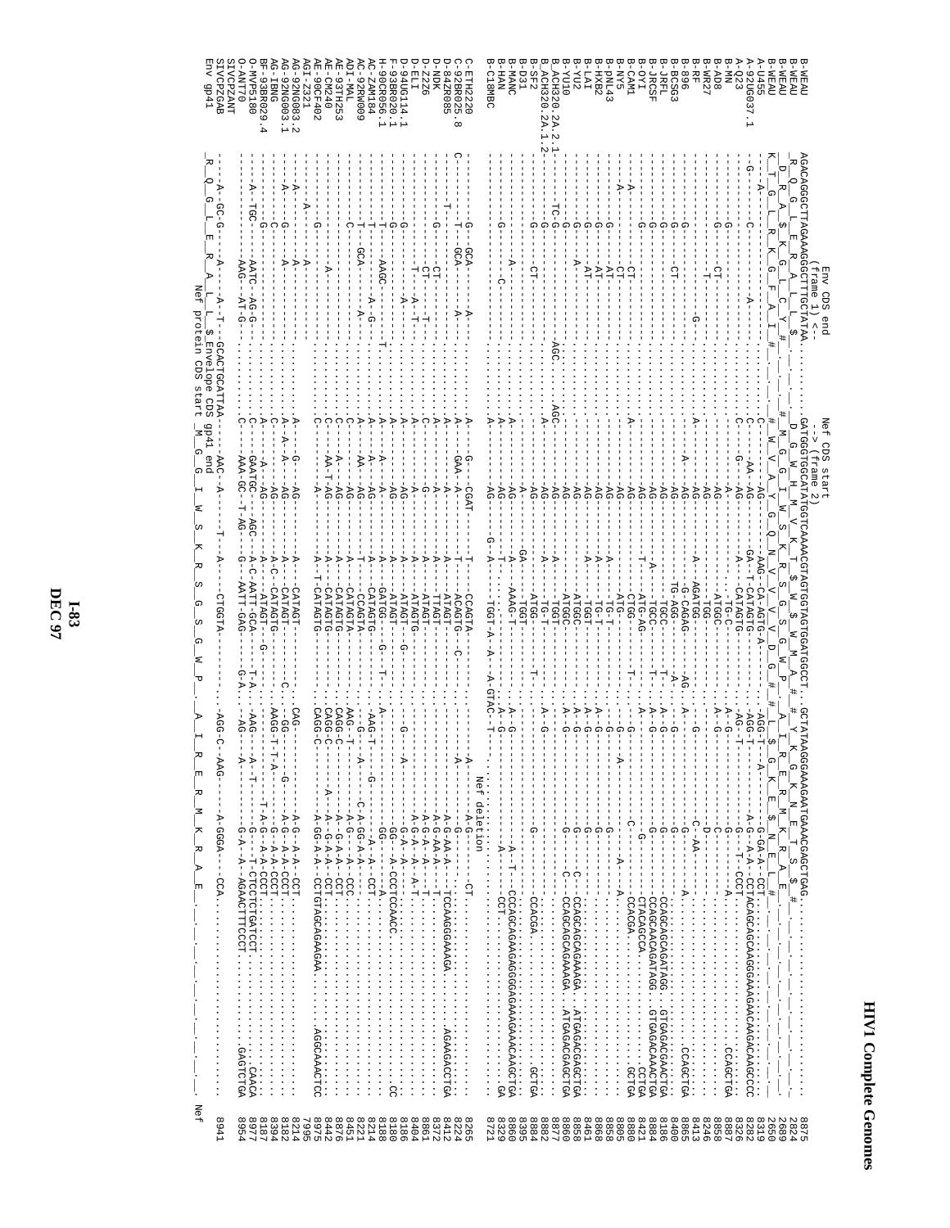| 8977<br>8954                                                                                                  |                                                                                                                                                                                                                                                                                                                     |                     |            | ATT-GCA<br>ATAGT-                            |             |     |                 |                              |
|---------------------------------------------------------------------------------------------------------------|---------------------------------------------------------------------------------------------------------------------------------------------------------------------------------------------------------------------------------------------------------------------------------------------------------------------|---------------------|------------|----------------------------------------------|-------------|-----|-----------------|------------------------------|
|                                                                                                               |                                                                                                                                                                                                                                                                                                                     | <u>ရ</u><br>        | AAGG-      | CATAGTG                                      |             |     |                 |                              |
|                                                                                                               |                                                                                                                                                                                                                                                                                                                     |                     | க்         | CATAGT                                       | $-AC$       |     |                 |                              |
|                                                                                                               |                                                                                                                                                                                                                                                                                                                     |                     | CAG-       | CATAGT-                                      |             |     |                 |                              |
|                                                                                                               |                                                                                                                                                                                                                                                                                                                     |                     |            |                                              |             |     |                 |                              |
| . AGGCAAACTCC                                                                                                 | -G-A-A--CCT<br>GG-A-A---CCTGTAGCAGAAGAA                                                                                                                                                                                                                                                                             |                     | CAGG       | CATAGTG                                      |             |     |                 |                              |
| $\frac{1}{2}$ , $\frac{1}{2}$ , $\frac{1}{2}$ , $\frac{1}{2}$ , $\frac{1}{2}$ , $\frac{1}{2}$ , $\frac{1}{2}$ |                                                                                                                                                                                                                                                                                                                     |                     | CAGG.      | CATAGTG                                      | $AA-$       |     |                 |                              |
|                                                                                                               |                                                                                                                                                                                                                                                                                                                     |                     | CAGG-      | CATAGTG                                      | $-AG$       |     |                 |                              |
|                                                                                                               |                                                                                                                                                                                                                                                                                                                     |                     | AAG-       | CATAGTA                                      | $-40$       |     |                 |                              |
|                                                                                                               | $-GG - A - A - -$<br>. The interaction of the contract of the contract of the contract of the contract of $\mathcal{L}_\mathcal{A}$                                                                                                                                                                                 |                     |            | CCAGTA                                       | AA<br>$-AC$ |     |                 |                              |
|                                                                                                               |                                                                                                                                                                                                                                                                                                                     |                     | -2446-     | CATAGTG                                      | $-AC$ .     |     | ှု              |                              |
|                                                                                                               | $\frac{1}{4}$<br>$\overline{1}$                                                                                                                                                                                                                                                                                     | $-55$               |            | ATGG-                                        |             |     | AAGC            |                              |
|                                                                                                               |                                                                                                                                                                                                                                                                                                                     |                     |            | <b>ATAGT</b>                                 | $-AC$ .     |     |                 |                              |
|                                                                                                               | $G - A = -A - -$<br>$\frac{1}{1}$                                                                                                                                                                                                                                                                                   |                     |            | ATAGT-                                       | $-AC$ .     |     |                 |                              |
|                                                                                                               | $-G - A = - A - -$                                                                                                                                                                                                                                                                                                  |                     |            | <b>ATAGTG</b>                                | ⊅           |     |                 |                              |
|                                                                                                               | $G - A - - A - -$<br>. The figure is a constant of the contract of the constant of the contract of the contract of $\mathcal{L}_\text{c}$                                                                                                                                                                           |                     |            | ATAGT-                                       |             |     |                 |                              |
| .                                                                                                             | $- - A A - A - - -$                                                                                                                                                                                                                                                                                                 |                     |            | <b>TRAGT</b>                                 |             |     |                 |                              |
|                                                                                                               | $G - A A - A - -$<br>$-$ -TCCAAGGAAAGA                                                                                                                                                                                                                                                                              |                     |            | <b>ATAGT-</b>                                |             |     |                 |                              |
| 828<br>28                                                                                                     | $G$ ------<br>************************************                                                                                                                                                                                                                                                                  |                     |            | <b>ACAGTG</b>                                |             |     |                 |                              |
|                                                                                                               | Ţ<br>$\frac{1}{1}$<br>I                                                                                                                                                                                                                                                                                             | $-1$<br>rion        |            | CCAGTA                                       | CGAT        |     | GCA-            |                              |
| $\ddot{\phantom{0}}$<br>$\vdots$                                                                              | $\frac{1}{2}$ $\frac{1}{2}$ $\frac{1}{2}$ $\frac{1}{2}$ $\frac{1}{2}$ $\frac{1}{2}$ $\frac{1}{2}$ $\frac{1}{2}$ $\frac{1}{2}$ $\frac{1}{2}$ $\frac{1}{2}$ $\frac{1}{2}$ $\frac{1}{2}$ $\frac{1}{2}$ $\frac{1}{2}$ $\frac{1}{2}$ $\frac{1}{2}$ $\frac{1}{2}$ $\frac{1}{2}$ $\frac{1}{2}$ $\frac{1}{2}$ $\frac{1}{2}$ |                     |            | LGGT-                                        |             |     |                 |                              |
|                                                                                                               | -- 7-----<br>ţ                                                                                                                                                                                                                                                                                                      |                     |            |                                              |             |     |                 |                              |
|                                                                                                               | A--T--CCCAGCAGAAGGGGGAAAAGAAACAAGCTGA                                                                                                                                                                                                                                                                               | $\frac{1}{1}$       |            | <b>AAAG-T</b>                                |             |     |                 |                              |
|                                                                                                               | л<br>I<br>I<br>I<br>$\frac{1}{4}$<br>I<br>J,<br>$\mathbb I$                                                                                                                                                                                                                                                         |                     |            | LOOL-                                        |             |     |                 |                              |
|                                                                                                               | I<br>$\begin{bmatrix} 1 \\ 1 \\ 1 \end{bmatrix}$                                                                                                                                                                                                                                                                    | <u>ဂ</u>            |            | ATGG-                                        |             |     |                 |                              |
|                                                                                                               | $\mathbf{I}$<br>$\frac{1}{1}$<br>$\frac{1}{1}$                                                                                                                                                                                                                                                                      |                     |            | 님<br>- 다                                     |             |     |                 |                              |
|                                                                                                               | I<br>I<br>j<br>コココ かんかんかん かんかんかん かんかんかん かんかんかん かんかんかん                                                                                                                                                                                                                                                               | I                   |            | -reer                                        | -4G         |     |                 |                              |
|                                                                                                               | ---C---CCAGCAGCAGAAAGAATGAGACGAGCTGA                                                                                                                                                                                                                                                                                | $\frac{1}{2}$       |            | ATGGC                                        | ŘG          |     |                 |                              |
|                                                                                                               |                                                                                                                                                                                                                                                                                                                     |                     |            | ATGGC                                        |             |     |                 |                              |
|                                                                                                               |                                                                                                                                                                                                                                                                                                                     |                     |            | TGGT-                                        | PG.         |     | –<br>⊾¤         |                              |
|                                                                                                               | $\overline{\phantom{a}}$<br>コココ かんかんかん かんかんかん かんかんかん かんかんかん かんかん                                                                                                                                                                                                                                                    | ဂှ                  |            | L-5L                                         |             |     | $-2T$           |                              |
|                                                                                                               | $- - - - - - - - - -$<br>ココリナ かんかんかん かんかんかん かんかんかん かんかんかん かんかんかん                                                                                                                                                                                                                                                    |                     |            | $-L - 5L -$                                  |             |     | $-LM-$          |                              |
|                                                                                                               | $- -Y - -$                                                                                                                                                                                                                                                                                                          | $\frac{1}{1}$       |            | $-518$                                       | PA          |     | $-$ C.L $\cdot$ |                              |
|                                                                                                               | $\frac{1}{1}$<br>$\mathbb{I}$                                                                                                                                                                                                                                                                                       |                     |            | 1091-                                        |             |     |                 |                              |
|                                                                                                               | $\sf I$<br>ŧ                                                                                                                                                                                                                                                                                                        |                     |            | <b>ATG-AG</b>                                |             |     |                 |                              |
|                                                                                                               | $\frac{1}{2}$<br>$\mathbb{I}$<br>--CCAGCAACAGATAGGGTGAGACAAACTGA                                                                                                                                                                                                                                                    | <u>ဂ</u>            |            | TGCC                                         | RG          |     |                 |                              |
|                                                                                                               | $-1$<br>I<br>$\frac{1}{1}$<br>---CCAGCAGCAGATAGGGTGAGACGAACTGA                                                                                                                                                                                                                                                      |                     |            | recc                                         |             |     |                 |                              |
|                                                                                                               |                                                                                                                                                                                                                                                                                                                     |                     |            | <b>LG-AGG-</b>                               |             |     |                 |                              |
|                                                                                                               | $\mathsf I$<br>I<br>$\frac{1}{1}$                                                                                                                                                                                                                                                                                   | ဂှ                  |            | G-CAGAG                                      |             |     |                 |                              |
|                                                                                                               | $-AA-----$<br>$\frac{1}{1}$                                                                                                                                                                                                                                                                                         | I.                  |            | <b>AGATGG-</b>                               |             |     |                 |                              |
|                                                                                                               | コココ かんかんかん かんかんかん かんかんかん かんかんかん かんかん                                                                                                                                                                                                                                                                                |                     |            | -rec-                                        |             |     |                 |                              |
|                                                                                                               | Ï<br>$\overline{1}$<br>I<br>$\frac{1}{1}$<br>コココ かんかんかん かんかんかん かんかんかん かんかんかん かんかんかん                                                                                                                                                                                                                                 | C<br>$\mathbf{I}$   |            | <b>ATGGC</b>                                 |             |     |                 |                              |
|                                                                                                               | J<br>J                                                                                                                                                                                                                                                                                                              | $\frac{1}{1}$       |            | $-51$                                        |             |     |                 |                              |
|                                                                                                               |                                                                                                                                                                                                                                                                                                                     |                     |            | CATAGTG                                      |             |     |                 |                              |
|                                                                                                               |                                                                                                                                                                                                                                                                                                                     |                     | $-900 - 1$ | <b>ATAGTG</b>                                |             |     |                 |                              |
|                                                                                                               |                                                                                                                                                                                                                                                                                                                     |                     | $-L-2DV$   | A-AGTG-A                                     |             |     |                 |                              |
| ł                                                                                                             | F<br>F<br>₩<br>$\frac{1}{1}$<br>!<br>i<br>ł<br>¦.                                                                                                                                                                                                                                                                   | z                   |            |                                              |             |     |                 |                              |
|                                                                                                               | ₩<br>ø<br>ļ.<br>۱.                                                                                                                                                                                                                                                                                                  |                     |            |                                              |             |     |                 |                              |
|                                                                                                               | H<br>ŗΩ<br>٠m                                                                                                                                                                                                                                                                                                       |                     |            |                                              |             |     |                 |                              |
|                                                                                                               |                                                                                                                                                                                                                                                                                                                     | GCTATAAGGGAAAGAATG. |            | RATGGGTGGCATATGGTCAAAACGTAGTGGTAGGTGGATGGCCT |             |     |                 | RACAGOOCTTAGAAGGOOTTTOOTATAA |
|                                                                                                               |                                                                                                                                                                                                                                                                                                                     |                     |            |                                              |             |     | Erame           |                              |
|                                                                                                               |                                                                                                                                                                                                                                                                                                                     |                     |            |                                              | SŒ<br>start | Ner | Env CDS<br>eno  |                              |
|                                                                                                               |                                                                                                                                                                                                                                                                                                                     |                     |            |                                              |             |     |                 |                              |

 $\begin{tabular}{cccccccc} B & B & B & B & B & B & B & B \\ \hline 1 & 1 & 1 & 1 & 1 & 1 & 1 \\ 1 & 1 & 1 & 1 & 1 & 1 & 1 \\ 1 & 1 & 1 & 1 & 1 & 1 & 1 \\ 1 & 1 & 1 & 1 & 1 & 1 & 1 \\ 1 & 1 & 1 & 1 & 1 & 1 & 1 \\ 1 & 1 & 1 & 1 & 1 & 1 & 1 \\ 1 & 1 & 1 & 1 & 1 & 1 & 1 \\ 1 & 1 & 1 & 1 & 1 & 1 & 1 \\ 1 & 1 & 1 & 1 & 1 & 1 & 1 \\ 1 &$ 

 $\frac{1}{2}$ 

. . . . . . . . . . . . . . . . .

Nef 1668

 $\begin{smallmatrix} 0 & 0 & 0 & 0 & 0 & 0 \\ -1 & 0 & 0 & 0 & 0 & 0 & 0 \\ -1 & 0 & 0 & 0 & 0 & 0 & 0 \\ 0 & 0 & 0 & 0 & 0 & 0 & 0 \\ 0 & 0 & 0 & 0 & 0 & 0 & 0 \\ 0 & 0 & 0 & 0 & 0 & 0 & 0 \\ 0 & 0 & 0 & 0 & 0 & 0 & 0 \\ 0 & 0 & 0 & 0 & 0 & 0 & 0 \\ 0 & 0 & 0 & 0 & 0 & 0 & 0 \\ 0 & 0 & 0 & 0 & 0 & 0 & 0 \\ 0 & 0 &$ 

 $\cdot$  4  $\frac{1}{2}$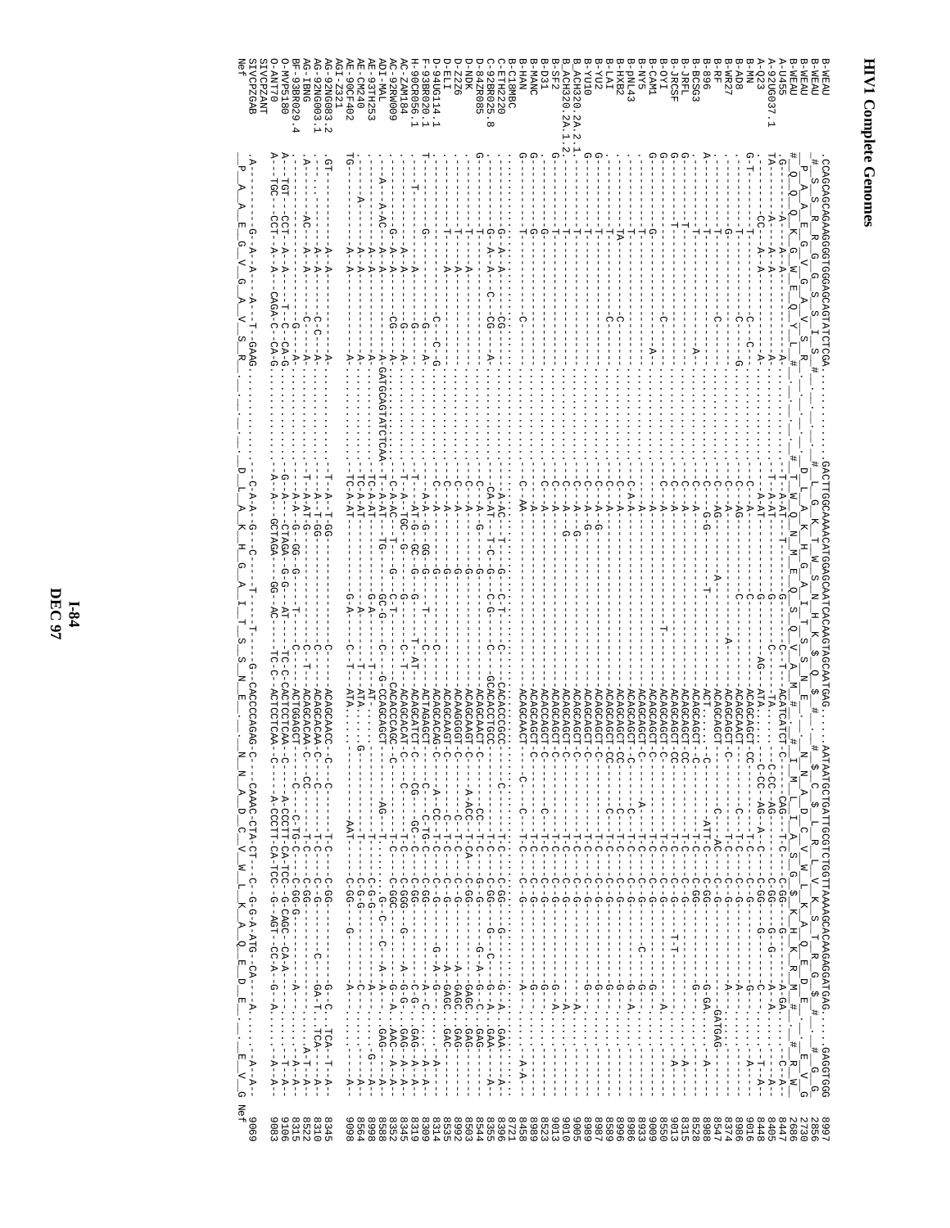| <b>VCPZANT</b><br>GA5245                                                                                                                  | 0LLMV<br>MVP5180<br>$-92NGD03$<br>93BR029<br>80CM26<br><b>LBNG</b>                                                                                                                                                                                                                                                                                                                                                                                                                                                                 | $-90$ CF402<br>-93TH253<br>$-2321$<br>$T$ $V$ $N -$<br>92RW009<br><b>OFZMC</b>                                                                                                                                                                                                                                                                                                                                             | HOGI <sub>1</sub><br><b>OCRO56</b><br>3BR020.<br><b>2AM184</b>                                                                                                                                                                                                                                                                                                                              | XOK<br>3226<br>4ZR085<br><b>2BR025</b>                                                                                                                                                                                                                                                                                                                                                                                                                  | <b>MANC</b><br>C18MBC<br><b>TH2220</b><br>Ę                                                                                                                                                                                                                                             | <b>DS1</b><br>2F2<br>ACH320<br>Z <sub>n</sub><br>ACH32<br>$0$ T $\Omega$                                                                                                                                                                                                                                                                                                                                                                                                                                                                                                                                                                                                                                                                                                                                                                                                                                                                                                                                                                                                                                                                                                                                       | S <sub>K</sub> N-<br>CAM1<br>IAI.<br><b>JRCSF</b><br>968<br>HXB2<br>PNL43<br>LÃO<br>THET<br><b>BCSG3</b><br>접                                                                                                                                                                                                                                                                                                                                                                                                                                                                                                                                                                                                                                                                                                                                                                                                                                                                                                                                                                                                                                                                                                                                                                                                                                                                                                                                                                                                                                                                                                                                                                                                                                                                                                                                                                                                                                                                                                                                                                                                   | $-MR27$<br><b>AD8</b><br>920503<br>ă<br>5455<br>023<br>WEAU<br>WEAU<br><b>NEAU</b><br>WEAU                                                                                                                                                                                                                                                                                                                                                                                                                                                                                                                                                                                                                                                                                                                                                                                                                                                                                                                                                                                                                             |
|-------------------------------------------------------------------------------------------------------------------------------------------|------------------------------------------------------------------------------------------------------------------------------------------------------------------------------------------------------------------------------------------------------------------------------------------------------------------------------------------------------------------------------------------------------------------------------------------------------------------------------------------------------------------------------------|----------------------------------------------------------------------------------------------------------------------------------------------------------------------------------------------------------------------------------------------------------------------------------------------------------------------------------------------------------------------------------------------------------------------------|---------------------------------------------------------------------------------------------------------------------------------------------------------------------------------------------------------------------------------------------------------------------------------------------------------------------------------------------------------------------------------------------|---------------------------------------------------------------------------------------------------------------------------------------------------------------------------------------------------------------------------------------------------------------------------------------------------------------------------------------------------------------------------------------------------------------------------------------------------------|-----------------------------------------------------------------------------------------------------------------------------------------------------------------------------------------------------------------------------------------------------------------------------------------|----------------------------------------------------------------------------------------------------------------------------------------------------------------------------------------------------------------------------------------------------------------------------------------------------------------------------------------------------------------------------------------------------------------------------------------------------------------------------------------------------------------------------------------------------------------------------------------------------------------------------------------------------------------------------------------------------------------------------------------------------------------------------------------------------------------------------------------------------------------------------------------------------------------------------------------------------------------------------------------------------------------------------------------------------------------------------------------------------------------------------------------------------------------------------------------------------------------|-----------------------------------------------------------------------------------------------------------------------------------------------------------------------------------------------------------------------------------------------------------------------------------------------------------------------------------------------------------------------------------------------------------------------------------------------------------------------------------------------------------------------------------------------------------------------------------------------------------------------------------------------------------------------------------------------------------------------------------------------------------------------------------------------------------------------------------------------------------------------------------------------------------------------------------------------------------------------------------------------------------------------------------------------------------------------------------------------------------------------------------------------------------------------------------------------------------------------------------------------------------------------------------------------------------------------------------------------------------------------------------------------------------------------------------------------------------------------------------------------------------------------------------------------------------------------------------------------------------------------------------------------------------------------------------------------------------------------------------------------------------------------------------------------------------------------------------------------------------------------------------------------------------------------------------------------------------------------------------------------------------------------------------------------------------------------------------------------------------------|------------------------------------------------------------------------------------------------------------------------------------------------------------------------------------------------------------------------------------------------------------------------------------------------------------------------------------------------------------------------------------------------------------------------------------------------------------------------------------------------------------------------------------------------------------------------------------------------------------------------------------------------------------------------------------------------------------------------------------------------------------------------------------------------------------------------------------------------------------------------------------------------------------------------------------------------------------------------------------------------------------------------------------------------------------------------------------------------------------------------|
|                                                                                                                                           | ccr                                                                                                                                                                                                                                                                                                                                                                                                                                                                                                                                |                                                                                                                                                                                                                                                                                                                                                                                                                            |                                                                                                                                                                                                                                                                                                                                                                                             |                                                                                                                                                                                                                                                                                                                                                                                                                                                         |                                                                                                                                                                                                                                                                                         |                                                                                                                                                                                                                                                                                                                                                                                                                                                                                                                                                                                                                                                                                                                                                                                                                                                                                                                                                                                                                                                                                                                                                                                                                |                                                                                                                                                                                                                                                                                                                                                                                                                                                                                                                                                                                                                                                                                                                                                                                                                                                                                                                                                                                                                                                                                                                                                                                                                                                                                                                                                                                                                                                                                                                                                                                                                                                                                                                                                                                                                                                                                                                                                                                                                                                                                                                 |                                                                                                                                                                                                                                                                                                                                                                                                                                                                                                                                                                                                                                                                                                                                                                                                                                                                                                                                                                                                                                                                                                                        |
|                                                                                                                                           | CA-9<br>CA-G                                                                                                                                                                                                                                                                                                                                                                                                                                                                                                                       |                                                                                                                                                                                                                                                                                                                                                                                                                            |                                                                                                                                                                                                                                                                                                                                                                                             |                                                                                                                                                                                                                                                                                                                                                                                                                                                         |                                                                                                                                                                                                                                                                                         |                                                                                                                                                                                                                                                                                                                                                                                                                                                                                                                                                                                                                                                                                                                                                                                                                                                                                                                                                                                                                                                                                                                                                                                                                |                                                                                                                                                                                                                                                                                                                                                                                                                                                                                                                                                                                                                                                                                                                                                                                                                                                                                                                                                                                                                                                                                                                                                                                                                                                                                                                                                                                                                                                                                                                                                                                                                                                                                                                                                                                                                                                                                                                                                                                                                                                                                                                 |                                                                                                                                                                                                                                                                                                                                                                                                                                                                                                                                                                                                                                                                                                                                                                                                                                                                                                                                                                                                                                                                                                                        |
|                                                                                                                                           | REARA                                                                                                                                                                                                                                                                                                                                                                                                                                                                                                                              | $LC - A - AT$                                                                                                                                                                                                                                                                                                                                                                                                              | nec                                                                                                                                                                                                                                                                                                                                                                                         |                                                                                                                                                                                                                                                                                                                                                                                                                                                         |                                                                                                                                                                                                                                                                                         |                                                                                                                                                                                                                                                                                                                                                                                                                                                                                                                                                                                                                                                                                                                                                                                                                                                                                                                                                                                                                                                                                                                                                                                                                |                                                                                                                                                                                                                                                                                                                                                                                                                                                                                                                                                                                                                                                                                                                                                                                                                                                                                                                                                                                                                                                                                                                                                                                                                                                                                                                                                                                                                                                                                                                                                                                                                                                                                                                                                                                                                                                                                                                                                                                                                                                                                                                 | A-AT<br>LY-P<br>$-AC$ .                                                                                                                                                                                                                                                                                                                                                                                                                                                                                                                                                                                                                                                                                                                                                                                                                                                                                                                                                                                                                                                                                                |
|                                                                                                                                           |                                                                                                                                                                                                                                                                                                                                                                                                                                                                                                                                    | 6-A<br>င်<br>ပ<br>Ľ                                                                                                                                                                                                                                                                                                                                                                                                        |                                                                                                                                                                                                                                                                                                                                                                                             |                                                                                                                                                                                                                                                                                                                                                                                                                                                         |                                                                                                                                                                                                                                                                                         |                                                                                                                                                                                                                                                                                                                                                                                                                                                                                                                                                                                                                                                                                                                                                                                                                                                                                                                                                                                                                                                                                                                                                                                                                |                                                                                                                                                                                                                                                                                                                                                                                                                                                                                                                                                                                                                                                                                                                                                                                                                                                                                                                                                                                                                                                                                                                                                                                                                                                                                                                                                                                                                                                                                                                                                                                                                                                                                                                                                                                                                                                                                                                                                                                                                                                                                                                 |                                                                                                                                                                                                                                                                                                                                                                                                                                                                                                                                                                                                                                                                                                                                                                                                                                                                                                                                                                                                                                                                                                                        |
| CACCCAGAG<br>Þ<br>$C -$<br>z<br>$\mathbf{I}$<br>Ω<br>Þ<br>AAAC-CTA-CT-<br>Έ                                                               | ACTCCTCA<br>ACTCCTCAA<br><b>ACAGCACAA</b><br>GAGC.<br>$-2$<br>c---cc----<br>ှ<br>-1<br>$\mathsf I$<br>Ţ<br>$\overline{\phantom{a}}$                                                                                                                                                                                                                                                                                                                                                                                                | ţ<br>C-------<br>Ţ<br>J.<br>$\overline{\phantom{a}}$<br>$\blacksquare$<br>ı<br>л<br>ł<br>$\mathbf{I}$<br>$\mathbb{I}$<br>$\mathbb{I}$<br>$\mathsf I$<br>$\frac{1}{1}$<br>$\frac{1}{4}$<br>$\frac{1}{1}$<br>$\mathsf I$<br>Ţ<br>$\begin{array}{c} 1 \\ 1 \\ 1 \end{array}$<br>$\mathbf{I}$                                                                                                                                  | C-----CG--<br>c-----c----<br>Ţ.<br>Ω<br>$\frac{1}{2}$<br>$\frac{1}{2}$<br>L<br>$\blacksquare$<br>$\mathbf{I}$<br>ļ.<br>$C$ ----<br>$A=-CC--T-C$<br>$\begin{array}{c} \end{array}$<br>$-0 - 0 - 0$<br>ŧ                                                                                                                                                                                      | $C$ -----<br>C----------<br>$\Gamma$<br>C--<br>$\frac{1}{1}$<br>$\frac{1}{1}$<br>J.<br>$\frac{1}{1}$<br>J.<br>$\frac{1}{1}$<br>$A-ACCC--$<br>$\frac{1}{1}$<br>$\frac{1}{1}$<br>cc---<br>$\mathsf I$<br>Ω<br>$\blacksquare$<br>ŧ<br>$\frac{1}{1}$                                                                                                                                                                                                        | c--<br>.<br>$\frac{1}{1}$<br>$\mathbb I$<br>$\sf I$<br>$\frac{1}{1}$<br>I.<br>$-1$<br>$\frac{1}{2}$<br>I<br>I<br>$\frac{1}{1}$<br>I<br>C<br>$\mathbf{I}$<br>$\frac{1}{4}$<br>$\mathbf{I}$<br>$\mathbf{I}$<br>т<br>$\mathsf I$<br>$\mathsf I$                                            | $C$ --<br>C-----<br>$C -$<br>C-----<br>C----<br>$C$ --<br>$\begin{array}{c} 1 \\ 1 \\ 1 \end{array}$<br>I<br>$\frac{1}{1}$<br>$\mathbf{I}$<br>ţ<br>$\frac{1}{1}$<br>$\frac{1}{1}$<br>G<br>I<br>$\frac{1}{1}$<br>$\frac{1}{1}$<br>$\frac{1}{1}$<br>$\mathbf{I}$<br>$\frac{1}{1}$<br>$\mathsf I$                                                                                                                                                                                                                                                                                                                                                                                                                                                                                                                                                                                                                                                                                                                                                                                                                                                                                                                 | RCAGCAGC<br>$-1 - 1 - 1$<br>.<br>ה<br>$-1$ - $-1$<br>$CC---1$<br>$CC---1$<br>ن<br>ا<br>ن<br>--<br>$\frac{1}{2}$<br>$CC---1$<br>J<br>$\frac{1}{1}$<br>$\frac{1}{1}$<br>$\begin{array}{c} 1 \\ 1 \\ 1 \end{array}$<br>$\blacksquare$<br>J.<br>$\blacksquare$<br>$\frac{1}{1}$<br>т<br>$\mathsf I$<br>$\frac{1}{1}$<br>$\mathsf I$<br>$\frac{1}{1}$<br>Ţ<br>--- 7----<br>$\frac{1}{2}$<br>$\frac{1}{1}$<br>$\overline{1}$<br>$\frac{1}{1}$<br>ł<br>C<br>$\frac{1}{2}$<br>$\frac{1}{2}$<br>$\frac{1}{2}$<br>$\begin{bmatrix} 1 \\ 1 \\ 1 \end{bmatrix}$<br>$\begin{array}{c} 1 \\ 1 \\ 1 \end{array}$<br>Ĭ<br>J.<br>$\frac{1}{1}$<br>$\frac{1}{1}$<br>$\overline{1}$                                                                                                                                                                                                                                                                                                                                                                                                                                                                                                                                                                                                                                                                                                                                                                                                                                                                                                                                                                                                                                                                                                                                                                                                                                                                                                                                                                                                                                                | <b>ACATC</b><br>g<br>$- -C - C - 2C - 3C - 7$<br>$C -$<br>c<br>-<br>-<br>$- -C - CC - -AC - - -$<br>ļ<br>.<br>{\<br>g<br>$\mathbf{I}$<br>Ξ<br>$\frac{1}{1}$<br>$\frac{1}{1}$<br>$\frac{1}{1}$<br>Ω<br>I<br>$\sf I$<br>Þ<br>Þ<br>$\frac{1}{4}$<br>$\frac{1}{1}$<br>$\frac{1}{1}$<br>ω<br>İΩ.<br>$\mathsf I$<br>ن<br>-- - -<br>$\frac{1}{1}$<br>$\frac{1}{1}$<br>F<br>'n                                                                                                                                                                                                                                                                                                                                                                                                                                                                                                                                                                                                                                                                                                                                                 |
| 'n<br>$\prec$<br>≤<br>т<br>ς<br>!<br>F<br>$G - G - A - A T G - - C A -$<br>×<br>Þ<br>Ö                                                    | A-CCCTT-CA-TCC--G--<br>$-1$ - $-1$ - $-1$ - $-1$<br>$0 - 1 - - - -$<br>$\frac{1}{1}$<br>$\begin{bmatrix} 1 \\ 1 \\ 1 \end{bmatrix}$<br>$\frac{1}{1}$<br>$C - GG - G - - - -$<br>$C - GG - -$<br>--99--2<br>AGT--CC-A--<br>$\frac{1}{1}$<br>j<br>$\overline{1}$<br>$\mathbf I$<br>$\begin{array}{c} \end{array}$<br>$\mathsf I$<br>$\frac{1}{1}$<br>$\frac{1}{1}$<br>$\overline{1}$<br>$\overline{\phantom{a}}$                                                                                                                     | $-1 - 1 - 1$<br>$-1$ $-1$ $-1$ $-1$<br><b>AAT--</b><br>÷<br>C<br>$\mathbf I$<br>$\frac{1}{1}$<br>ı<br>I.<br>$\mathbf{I}$<br>J.<br>$\mathsf I$<br>J.<br>1<br>$\mathbb{I}$<br>$\mathsf I$<br>$C-G-G---$<br>C-GG--<br>$C - G - G - -$<br>C-GGC-----<br>$-6 - -$<br>ł<br>I.<br>I,<br>ţ<br>I<br>ı<br>J.<br>ł<br>$\mathbf{I}$<br>т                                                                                               | $C - T G - C$<br>÷<br>C<br>$\begin{bmatrix} 1 \\ 1 \\ 1 \end{bmatrix}$<br>$\begin{array}{c} 1 \\ 1 \\ 1 \end{array}$<br>$\frac{1}{1}$<br>$\frac{1}{1}$<br>$C - G G G - - - G - - - - - A - -$<br>$C - G G - - - - - - - - -$<br>C-GG--<br>ن<br>-- ن<br>$\frac{1}{1}$<br>1<br>Ţ.<br>T<br>$\overline{\phantom{a}}$<br>$\mathsf I$<br>$\mathsf I$<br>$\sf I$<br>$\frac{1}{1}$<br>$\frac{1}{1}$ | $C = -T - C$<br>$\frac{1}{2}$<br>$-1 - 1 - 1$<br>$T - CA - -$<br>부<br>C<br>$\frac{1}{1}$<br>$\begin{bmatrix} 1 \\ 1 \\ 1 \end{bmatrix}$<br>$\frac{1}{1}$<br>$\mathsf I$<br>C--1<br>ن<br>ب<br>c-gg.<br>ن<br>-- م<br>C-GG-----G----C---<br>Ω<br>Ω<br>Ť<br>$\frac{1}{1}$<br>f<br>$\frac{1}{1}$<br>$\frac{1}{1}$<br>$\frac{1}{1}$<br>I.<br>$\frac{1}{1}$<br>$\frac{1}{1}$<br>I.<br>$\mathsf I$<br>$\mathsf I$<br>$\mathsf I$<br>ţ<br>$\sf I$<br>I<br>J<br>ţ | $\vdots$<br>Ĥ<br>부<br>Η<br>Ο<br>C<br>C<br>I.<br>$\vdots$<br>$\begin{array}{c} 1 \\ 1 \\ 1 \end{array}$<br>Ï<br>$\frac{1}{1}$<br>$\mathsf I$<br>$C - GG - -$<br>$\vdots$<br>Q<br>$C -$<br>Ï<br>.<br>Ω<br>Ω<br>Ŧ<br>$-1$ – $-9$<br>$\frac{1}{1}$<br>$\mathsf I$<br>$\mathsf I$<br>I.<br>т | $- - 1 - 0$<br>÷<br>5<br>부<br>부<br>부<br>H<br>C<br>C<br>O<br>G<br>$\begin{array}{c} \hline \end{array}$<br>$\begin{array}{c} 1 \\ 1 \\ 1 \end{array}$<br>$\begin{bmatrix} 1 \\ 1 \\ 1 \end{bmatrix}$<br>$\begin{bmatrix} 1 \\ 1 \\ 1 \end{bmatrix}$<br>ţ<br>$\frac{1}{1}$<br>$\blacksquare$<br>$\frac{1}{1}$<br>ن<br>ا<br>Q<br>$C -$<br>ن<br>- - ن<br>Ċ-i<br>$C -$<br>Ţ<br>Ω<br>Ω<br>Ω<br>Ω<br>Ω<br>Ť<br>ł<br>ł.<br>f<br>$\frac{1}{1}$<br>$\frac{1}{1}$<br>$\frac{1}{1}$<br>$\begin{array}{c} 1 \\ 1 \\ 1 \end{array}$<br>$\frac{1}{1}$<br>$\frac{1}{1}$<br>$\begin{array}{c} 1 \\ 1 \\ 1 \end{array}$<br>$\frac{1}{1}$<br>$\mathbb{I}$<br>I.<br>$\mathbf{I}$<br>$\mathbf I$<br>I<br>$\,$ I<br>$\frac{1}{1}$<br>$\frac{1}{4}$<br>J<br>$\frac{1}{1}$<br>Ţ<br>$\overline{\phantom{a}}$<br>$\mathbf{I}$<br>$\overline{\phantom{a}}$                                                                                                                                                                                                                                                                                                                                                                                | $-ATTT-C$<br>C----AC----<br>÷−<br>C<br>÷<br>C<br>H<br>C<br>$\frac{1}{2}$<br>7-7<br>부<br>けい<br>부<br>けい<br>C<br>Q<br>$\begin{array}{c} 1 \\ 1 \\ 1 \end{array}$<br>$\frac{1}{1}$<br>$\begin{bmatrix} 1 \\ 1 \\ 1 \end{bmatrix}$<br>$\frac{1}{1}$<br>$\begin{array}{c} 1 \\ 1 \\ 1 \end{array}$<br>$\begin{array}{c} \n\cdot & \cdot \\ \n\cdot & \cdot \\ \n\cdot & \cdot \n\end{array}$<br>$\frac{1}{1}$<br>$\sf I$<br>$\frac{1}{1}$<br>$\begin{bmatrix} 1 \\ 1 \\ 1 \end{bmatrix}$<br>ţ<br>$\frac{1}{2}$<br>$\frac{1}{2}$<br>$C -$<br>ن<br>ا<br>Ċ-<br>C--<br>ن<br>ا<br>$\frac{1}{2}$<br>C-GG.<br>$C - GG - -$<br>م<br>-<br>Ω<br>Ω<br>Ω<br>Ω<br>Ω<br>Ω<br>ှ<br> <br>Ω<br>Ω<br>ł,<br>Ť<br>Ť<br>$\frac{1}{1}$<br>$\frac{1}{1}$<br>Ĩ<br>$\frac{1}{1}$<br>$\frac{1}{1}$<br>$\frac{1}{1}$<br>$\frac{1}{1}$<br>$\frac{1}{1}$<br>$\frac{1}{1}$<br>$\frac{1}{1}$<br>$\begin{array}{c} 1 \\ 1 \\ 1 \end{array}$<br>$\frac{1}{1}$<br>$\mathsf I$<br>ţ<br>1<br>$\overline{1}$<br>$\overline{1}$<br>$\mathbf{I}$<br>$\mathbf I$<br>J.<br>J.<br>$\mathbb{I}$<br>$\mathbb{I}$<br>$\mathsf I$<br>$\mathsf I$<br>$\mathsf I$<br>$\mathbb T$<br>$\mathbb{I}$<br>$\mathbb T$<br>$\mathsf I$<br>$\mathsf I$<br>$\mathsf I$<br>$\frac{1}{1}$<br>J.<br>$\mathbf{I}$<br>$\mathsf I$<br>$\frac{1}{2}$<br>$\frac{1}{1}$<br>$\begin{array}{c} \end{array}$<br>$\mathsf I$<br>$\frac{1}{1}$<br>$\frac{1}{1}$<br>$\mathbf{I}$<br>Ţ<br>T<br>I.<br>$\mathbf{I}$                                                                                                                                                                                                                                                                                                                                                                                                                                                                                                                                                                                                                                                                               | ATAATGCTGATTGCGTCTGGTTAAAAGCACAAGAGGATGAG<br>$A$ -<br>Ъ<br>$\frac{1}{2}$<br>÷<br>C<br>1-C<br>$\frac{1}{1}$<br>부<br>₩<br>$\frac{1}{4}$<br>C<br>$\mathsf I$<br>C<br>'n<br>$\begin{bmatrix} 1 \\ 1 \\ 1 \end{bmatrix}$<br>$\begin{array}{c} 1 \\ 1 \\ 1 \end{array}$<br>$\frac{1}{1}$<br>$\begin{array}{c} \end{array}$<br>$\begin{array}{c} 1 \\ 1 \\ 1 \end{array}$<br>t<br>H<br>J.<br>$\frac{1}{1}$<br>į<br>≋<br>ູ່ດ<br>◁<br>C--<br>$C - G G - -$<br>$C - GG - -$<br>c-ag---<br>$C -$<br>c--<br>F<br>'n<br>×<br>Ω<br>Ω<br>Ω<br>স<br>$\frac{1}{1}$<br>ł<br>$\frac{1}{1}$<br>CΩ<br>I.<br>$-1 - 5 - 1$<br>$- - - - - - - - -$<br>Ъ<br>$\mathbf{I}$<br>п<br>J.<br>$\mathbf{I}$<br>Ξ<br>п<br>$C = -1$<br>п<br>H<br>I.<br>I.<br>Ö<br>I<br>$\mathsf I$<br>k<br>$\frac{1}{1}$<br>I<br>$\frac{1}{1}$<br>₩<br>I.                                                                                                                                                                                                                                                                                                                 |
| Ħ<br>Έ<br>$\mathbf{I}$<br>চ্য<br>$\cdot \cdot \cdot$<br>$\vdots$<br>$\,$ I<br>Þ<br>$\blacksquare$<br>$\mathbf{A}=-\mathbf{A}-$<br>$\prec$ | $- - - - - - - - -$<br>$\mathsf I$<br>$\mathbf{I}$<br>$\overline{1}$<br>$\blacksquare$<br>$\mathbf{I}$<br>$\mathbf{I}$<br>$\overline{1}$<br>Ω<br>I.<br>ъ<br>$GA-T$ . . $TCA---A-$<br>Ω<br>Ţ<br>ł<br>ł<br>ł<br>$\frac{1}{1}$<br>А<br>$\begin{array}{c}\n1 \\ 1 \\ 1 \\ 1\n\end{array}$<br>$\frac{1}{2}$ : $\frac{1}{2}$ : $\frac{1}{2}$ : $\frac{1}{2}$ : $\frac{1}{2}$<br>G<br>$\vdots$<br>$\bullet$<br>$\bullet$<br>$TCA -$<br>$\frac{1}{1}$<br>$\mathsf I$<br>$A - -A -$<br>$-\mathbf{A}-\mathbf{A}$<br>$A - A -$<br>н<br>$-44-$ | J.<br>$\frac{1}{1}$<br>J.<br>$A$ – –<br>Ţ<br>ł<br>ı<br>ł<br>ъ<br>Ω<br>$A$ --<br>$A -$<br>$\frac{1}{2}$<br>Ţ<br>ł<br>$\mathsf I$<br>$-$ GAG<br>AAAC<br>J.<br>J.<br>$\frac{1}{2}$<br>$\ddot{p}_1 \cdots \ddot{p}_n$<br>Ţ<br>T<br>Ţ<br>Ţ<br>$\mathbf{A}=-\mathbf{A}-$<br>$\mathbf{I}$<br>$\mathbf{I}$<br>ţ<br>$\frac{1}{1}$<br>$\overline{\phantom{a}}$<br>$\mathsf I$<br>$-V -$<br>$\overline{r}$<br>$\overline{Y}$<br>$A -$ | $-G--A--$<br>$\overline{\phantom{a}}$<br>T<br>$\frac{1}{1}$<br>$\frac{1}{1}$<br>$G-G-$ . CAG--A--A-<br>$C-G-$ GAG--A--A--<br>$A$ --<br>$\Gamma$<br>$\mathbb{C} \cdot \cdot \cdot \cdot \cdot$<br>$\frac{1}{2}$<br>$\frac{1}{1}$<br>$\frac{1}{1}$<br>$\overline{A}$ – $\overline{A}$<br>$\sum_{i=1}^{n}$<br>A-                                                                               | $- - - - - - - - - -$<br>$---\Delta--$<br>$-\Delta$<br>Ţ<br>J.<br>$\mathbf I$<br>GAGCGAC<br>GAGC<br>CAGC<br>$\frac{1}{2}$<br>ဂု<br>$A$ GAA-----<br>$\ldots$ GAG<br>$\ldots$ GAG<br>$\ldots$ GAG--<br>Ţ<br>Ì,<br>Ï<br>J.<br>J,<br>J<br>л<br>ı<br>I<br>$\overline{\phantom{a}}$<br>I<br>f,<br>$\mathbb{F}$<br>J<br>1<br>$\overline{1}$<br>I<br>п                                                                                                          | I<br>J.<br>$\frac{1}{1}$<br>$\mathbf{I}$<br>$\frac{1}{1}$<br>$\mathbf{I}$<br>$\mathsf I$<br><u>ဂ</u><br>.<br>$A--$<br>ဂှ<br>$A. GAA----A-$<br>$\frac{1}{1}$<br>$\sf I$<br>I.<br>A-<br>т<br>$\mathsf I$<br>$A - -$<br>п<br>$\cdot$                                                       | $\frac{1}{4}$<br>$\blacksquare$<br>J.<br>$\overline{1}$<br>$\mathbf{I}$<br>$\blacksquare$<br>İ<br>$\mathbf{I}$<br>$\blacksquare$<br>$\overline{\phantom{a}}$<br>$\overline{1}$<br>$\mathbb{I}$<br>$\mathsf I$<br>$\mathbf{I}$<br>Ω<br>Ω<br>ଋ<br>Ω<br>Ţ<br>$\frac{1}{1}$<br>$  \overline{A}$<br>$-\mathbf{A}\cdot\cdot\cdot\cdot\cdot$<br>ŧ<br>Ŧ<br>$A \cdot \cdot \cdot \cdot \cdot$<br>$\begin{bmatrix} 1 & 1 & 1 \\ 1 & 1 & 1 \\ 1 & 1 & 1 \\ 1 & 1 & 1 \\ 1 & 1 & 1 \\ 1 & 1 & 1 \\ 1 & 1 & 1 \\ 1 & 1 & 1 \\ 1 & 1 & 1 \\ 1 & 1 & 1 \\ 1 & 1 & 1 \\ 1 & 1 & 1 \\ 1 & 1 & 1 \\ 1 & 1 & 1 \\ 1 & 1 & 1 & 1 \\ 1 & 1 & 1 & 1 \\ 1 & 1 & 1 & 1 \\ 1 & 1 & 1 & 1 \\ 1 & 1 & 1 & 1 \\ 1 & 1 & 1 & 1 & 1 \\ 1 & 1 & 1 & 1 & $<br>$\begin{array}{c}\n1 \\ 1 \\ 1 \\ 1\n\end{array}$<br>$\begin{bmatrix} 1 & 1 & 1 \\ 1 & 1 & 1 \\ 1 & 1 & 1 \\ 1 & 1 & 1 \\ 1 & 1 & 1 \\ 1 & 1 & 1 \\ 1 & 1 & 1 \\ 1 & 1 & 1 \\ 1 & 1 & 1 \\ 1 & 1 & 1 \\ 1 & 1 & 1 \\ 1 & 1 & 1 \\ 1 & 1 & 1 \\ 1 & 1 & 1 \\ 1 & 1 & 1 & 1 \\ 1 & 1 & 1 & 1 \\ 1 & 1 & 1 & 1 \\ 1 & 1 & 1 & 1 \\ 1 & 1 & 1 & 1 & 1 \\ 1 & 1 & 1 & 1 & 1 \\ 1 & 1 & 1 & $<br>$\frac{1}{2}$<br>$\frac{1}{4}$<br>J<br>1<br>J<br>$\overline{1}$<br>$\mathbf{I}$<br>I. | $\begin{array}{c} \begin{array}{c} \begin{array}{c} \begin{array}{c} \begin{array}{c} \end{array} \\ \end{array} \\ \begin{array}{c} \end{array} \\ \begin{array}{c} \end{array} \\ \end{array} \end{array} \end{array}$<br>$C - - - - -$<br>$\frac{1}{1}$<br>$\frac{1}{1}$<br>$\frac{1}{1}$<br>$\frac{1}{1}$<br>$\frac{1}{1}$<br>$\blacksquare$<br>J.<br>$\mathbf{I}$<br>J.<br>$\mathbf{I}$<br>$\blacksquare$<br>$\mathbf{I}$<br>H.<br>п<br>$\mathbf{I}$<br>ဂှ<br>$\frac{1}{2}$<br>ဂှ<br>Ω<br>ଋ<br>⋒<br>t<br>$G-GA$ -- $A$ --<br>Ť<br>$\frac{1}{1}$<br>$\overline{1}$<br>ł.<br>ł<br>$\frac{1}{1}$<br>$\frac{1}{1}$<br>$A\ldots\ldots$<br>$\begin{array}{c} 1 \\ 1 \\ 2 \\ 3 \\ 4 \end{array}$<br>$\begin{bmatrix} 1 & 1 & 1 \\ 1 & 1 & 1 \\ 1 & 1 & 1 \\ 1 & 1 & 1 \\ 1 & 1 & 1 \\ 1 & 1 & 1 \\ 1 & 1 & 1 \\ 1 & 1 & 1 \\ 1 & 1 & 1 \\ 1 & 1 & 1 \\ 1 & 1 & 1 \\ 1 & 1 & 1 \\ 1 & 1 & 1 \\ 1 & 1 & 1 \\ 1 & 1 & 1 & 1 \\ 1 & 1 & 1 & 1 \\ 1 & 1 & 1 & 1 \\ 1 & 1 & 1 & 1 \\ 1 & 1 & 1 & 1 \\ 1 & 1 & 1 & 1 & 1 \\ 1 & 1 & 1 & 1 & $<br>$A\ldots\ldots$<br>$\begin{bmatrix} 1 & 1 & 1 \\ 1 & 1 & 1 \\ 1 & 1 & 1 \\ 1 & 1 & 1 \\ 1 & 1 & 1 \\ 1 & 1 & 1 \\ 1 & 1 & 1 \\ 1 & 1 & 1 \\ 1 & 1 & 1 \\ 1 & 1 & 1 \\ 1 & 1 & 1 \\ 1 & 1 & 1 \\ 1 & 1 & 1 \\ 1 & 1 & 1 \\ 1 & 1 & 1 & 1 \\ 1 & 1 & 1 & 1 \\ 1 & 1 & 1 & 1 \\ 1 & 1 & 1 & 1 \\ 1 & 1 & 1 & 1 \\ 1 & 1 & 1 & 1 & 1 \\ 1 & 1 & 1 & 1 & $<br>$\begin{array}{c} \n\cdot & \cdot & \cdot \\ \cdot & \cdot & \cdot \\ \cdot & \cdot & \cdot\n\end{array}$<br>$-GATGAG - -$<br>$\frac{1}{2}$ : $\frac{1}{2}$ : $\frac{1}{2}$ : $\frac{1}{2}$ : $\frac{1}{2}$<br>$\frac{1}{2}$ : $\frac{1}{2}$ : $\frac{1}{2}$ : $\frac{1}{2}$ : $\frac{1}{2}$ : $\frac{1}{2}$<br>$\mathbf{I}$<br>$\mathsf I$<br>$\sf I$<br>$\frac{1}{1}$<br>$\frac{1}{1}$<br>$\frac{1}{1}$<br>$\begin{array}{c} 1 \\ 1 \\ 1 \end{array}$<br>$\frac{1}{1}$<br>$\begin{array}{c} \end{array}$<br>t<br>$\mathbf{A}$ – $\mathbf{A}$<br>$\overline{r}$<br>J.<br>T<br>$\overline{\phantom{a}}$<br>I.<br>п<br>$\overline{1}$<br>$\mathsf I$<br>I<br>I<br>$\overline{1}$<br>I<br>I<br>$\mathbf{I}$<br>л | ø<br>$\begin{array}{c} \rule{0.2cm}{0.15mm} \rule{0.2cm}{0.15mm} \rule{0.2cm}{0.15mm} \rule{0.2cm}{0.15mm} \rule{0.2cm}{0.15mm} \rule{0.2cm}{0.15mm} \rule{0.2cm}{0.15mm} \rule{0.2cm}{0.15mm} \rule{0.2cm}{0.15mm} \rule{0.2cm}{0.15mm} \rule{0.2cm}{0.15mm} \rule{0.2cm}{0.15mm} \rule{0.2cm}{0.15mm} \rule{0.2cm}{0.15mm} \rule{0.2cm}{0.15mm} \rule{$<br>'지<br>$\frac{1}{1}$<br>$\frac{1}{1}$<br>$\overline{1}$<br>J.<br>$\mathbf{I}$<br>$\overline{\phantom{a}}$<br>$\Omega$<br>İ<br>$\frac{1}{1}$<br>$\mathbf{I}$<br>J,<br>$\overline{1}$<br>Έ<br>Ξ<br>$A -$<br>$A$ --<br>$A--A$<br>Q<br>$A-GA$<br>ļω<br>Ŧ<br>'n<br>₩<br>$\mathbf{I}$<br>$\frac{1}{2}$<br>$\begin{array}{c} \n 1 \\  \vdots \\  1\n \end{array}$<br>#<br>$\frac{1}{2}$<br>CAGGTGGTGGT<br>',<br>₩<br>$\,$ I<br>$-{\bf A}-{\bf T}=-{\bf A}$<br>$-1$ - $-1$<br>$\begin{array}{c} \end{array}$<br>#<br>$\begin{array}{c} \hline \end{array}$<br>$\mathbf{I}$<br>Ħ<br>$\overline{\phantom{a}}$<br>ξĀ<br>$A--$<br>J.<br>$C - -A -$<br>1<br>$\Omega$<br>$\overline{1}$<br>$\mathsf I$<br>k<br>I,<br>ุ่≾<br>$\mathbf{I}$<br>т<br>т<br>່ດ<br>I.<br>l<br>ဂ |
| ഁ<br>Nef<br>6906                                                                                                                          | I,                                                                                                                                                                                                                                                                                                                                                                                                                                                                                                                                 | 606<br>908<br>8236<br>8888<br>8888<br>40                                                                                                                                                                                                                                                                                                                                                                                   | 8309<br>8319<br>8345                                                                                                                                                                                                                                                                                                                                                                        |                                                                                                                                                                                                                                                                                                                                                                                                                                                         |                                                                                                                                                                                                                                                                                         |                                                                                                                                                                                                                                                                                                                                                                                                                                                                                                                                                                                                                                                                                                                                                                                                                                                                                                                                                                                                                                                                                                                                                                                                                | 8888888<br>8999099<br>89888<br>9006<br>09509<br>0009<br>8988<br>8528<br>88215                                                                                                                                                                                                                                                                                                                                                                                                                                                                                                                                                                                                                                                                                                                                                                                                                                                                                                                                                                                                                                                                                                                                                                                                                                                                                                                                                                                                                                                                                                                                                                                                                                                                                                                                                                                                                                                                                                                                                                                                                                   | $\mathbf{I}$<br>582<br>585<br>$\circ$ $\sim$                                                                                                                                                                                                                                                                                                                                                                                                                                                                                                                                                                                                                                                                                                                                                                                                                                                                                                                                                                                                                                                                           |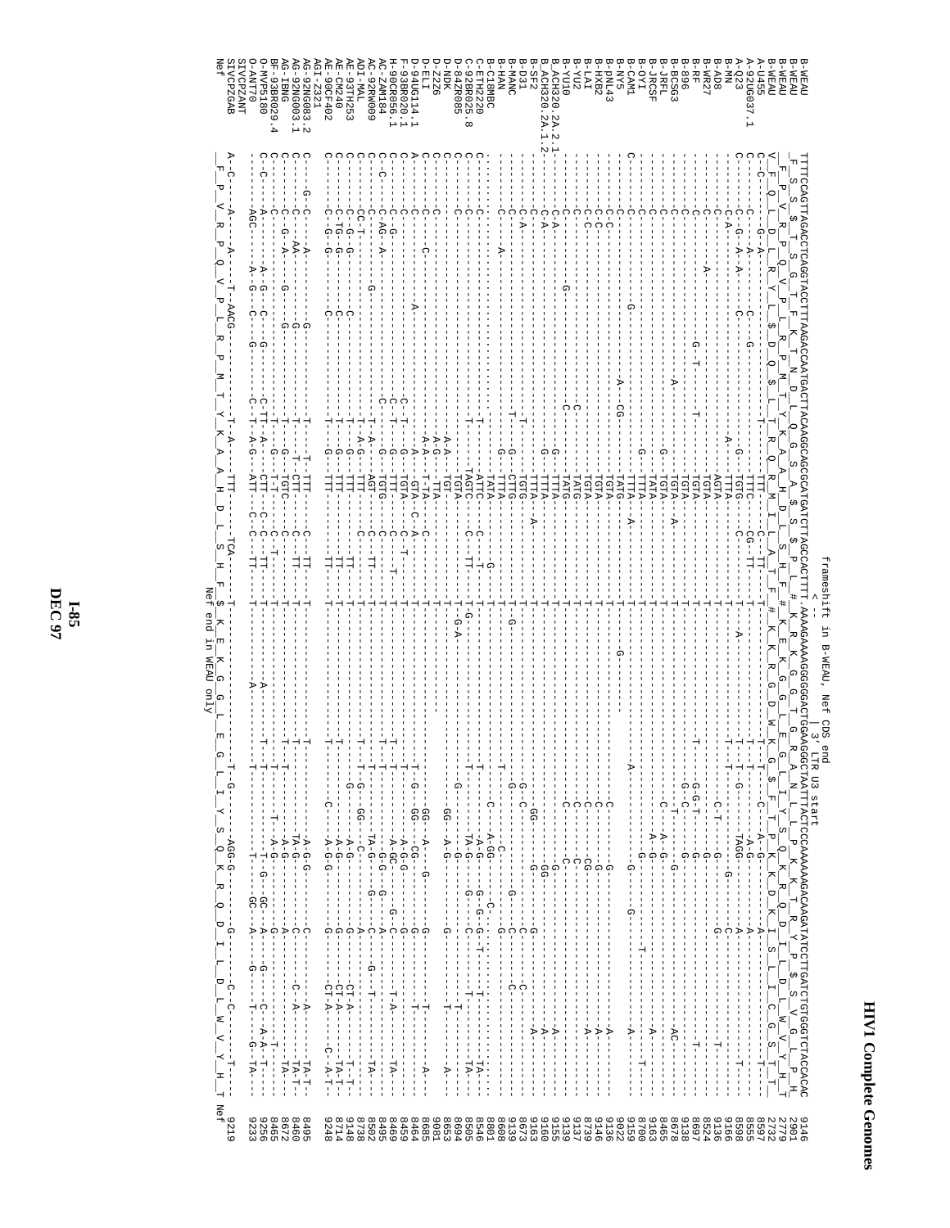| Nef                                                                                                                                                                                                                              | Ή<br>Ρ.<br>⊨<br>ั่ร<br>k,<br>k<br>Ξ<br>А                                                                                                                                                                                                                                                                                                                    | 'ᆽ<br>ю,<br>'n                                                                                | $\mathbf{\kappa}$<br>מס'<br>ю,<br>'z                                        | <u>'ဂ</u><br>F                                                                                                                                                                                                                                                                                                                                              |            |        |                          |                                                                                                   |                            |                           |
|----------------------------------------------------------------------------------------------------------------------------------------------------------------------------------------------------------------------------------|-------------------------------------------------------------------------------------------------------------------------------------------------------------------------------------------------------------------------------------------------------------------------------------------------------------------------------------------------------------|-----------------------------------------------------------------------------------------------|-----------------------------------------------------------------------------|-------------------------------------------------------------------------------------------------------------------------------------------------------------------------------------------------------------------------------------------------------------------------------------------------------------------------------------------------------------|------------|--------|--------------------------|---------------------------------------------------------------------------------------------------|----------------------------|---------------------------|
| 9219                                                                                                                                                                                                                             | Ω<br>Ω<br>н                                                                                                                                                                                                                                                                                                                                                 | ω                                                                                             | $-93C - C$                                                                  | Ĥ<br>$\overline{1}$<br>ଜ                                                                                                                                                                                                                                                                                                                                    |            |        |                          | AACG                                                                                              |                            | IVCPZGAB<br>IVCPZANT      |
|                                                                                                                                                                                                                                  | Ω<br>$\frac{1}{1}$<br>н<br>$\mathbf{I}$<br>$\overline{\phantom{a}}$<br>နဲ<br>ΡA                                                                                                                                                                                                                                                                             | $\mathbf{I}$<br>င်<br>- -<br>ъ                                                                | н<br>$\mathbf{I}$<br>$\blacksquare$                                         | н                                                                                                                                                                                                                                                                                                                                                           |            | ∩      | $A-G$<br>ATT             | ဂု<br>∩<br>ଢ଼                                                                                     | AGC                        | $0 - RNT70$               |
| 9253<br>က က                                                                                                                                                                                                                      | J.<br>ł<br>$\Gamma$<br>ŧ<br>G<br>Ţ<br>л<br>$\mathbb{Y}_{-}$<br>$-4-$<br>부<br>т<br>$\mathbb{I}$                                                                                                                                                                                                                                                              | ဂှ<br>$\mathbb{I}$<br>$- - -$<br>$\sum_{i=1}^{n}$<br>$\mathbf I$                              | л<br>I.<br>$-1$                                                             | L<br>ŧ<br>п                                                                                                                                                                                                                                                                                                                                                 |            | Ω      | 1-11-<br>CTT-            | ⊅<br>ဂှ<br>G<br>⋒                                                                                 |                            | 08155180                  |
|                                                                                                                                                                                                                                  | т<br>⊣<br>т<br>т                                                                                                                                                                                                                                                                                                                                            | J.<br>ω<br>J.                                                                                 | $-A-G$<br>$\frac{1}{1}$                                                     | å<br>T                                                                                                                                                                                                                                                                                                                                                      |            |        | ۲<br>ڊ                   |                                                                                                   | ∩                          | $F - 93BRO29$<br>≏        |
|                                                                                                                                                                                                                                  | л<br>J.<br>J.<br>л<br>л<br>ţ<br>$\mathbf{I}$<br>$TA$ --<br>f,                                                                                                                                                                                                                                                                                               | л<br>$\mathbf{I}$<br>п<br>ł<br>А<br>T<br>f,                                                   | л<br>$-4-9$<br>ł                                                            | Ţ<br>J.                                                                                                                                                                                                                                                                                                                                                     |            | ∩      | -TGTC                    | Ģ<br>ႁ                                                                                            | ∩<br>ω                     | -TBNG                     |
|                                                                                                                                                                                                                                  | 1<br>$\overline{1}$<br>Ω<br>$\frac{1}{1}$<br>I<br>ъ<br>⊅<br>I<br>I<br>п<br>$\mathbf{I}$<br>J.<br>$\overline{1}$<br>$TA-T-$<br>$-LA-T-$                                                                                                                                                                                                                      | $\mathbf{I}$<br>$\overline{1}$<br>п<br>$\mathbf{I}$<br>J,<br>$\mathbf{I}$<br>↷<br>∩<br>ı      | $-TT - G$<br>$A-G-G--$<br>I<br>п                                            |                                                                                                                                                                                                                                                                                                                                                             |            | ∩<br>녑 | CTT-<br>- LLL            | ဂ္<br>ငှ                                                                                          | ဂု<br>∩<br>R<br>⊅          | G-92NG003<br>.<br>H       |
|                                                                                                                                                                                                                                  | $\mathbf{I}$                                                                                                                                                                                                                                                                                                                                                | J.                                                                                            |                                                                             |                                                                                                                                                                                                                                                                                                                                                             |            |        | ד<br>ו                   |                                                                                                   |                            | GI-Z321<br>G-92NG083.2    |
| 924<br>40                                                                                                                                                                                                                        | CT-<br>ъ<br>$\mathbf{I}$<br>$C--A--T--$                                                                                                                                                                                                                                                                                                                     | ⋒                                                                                             | ↷<br>ı<br>$-9 - 0 - 0 -$                                                    |                                                                                                                                                                                                                                                                                                                                                             |            | 녑      | ດ<br>녑                   | ∩                                                                                                 | ω                          | $-90CFA02$                |
| 914<br>871                                                                                                                                                                                                                       | п<br>т<br>ł<br>CT-A<br>Ţ<br>п<br>т<br>т<br>$-L - L - L -$                                                                                                                                                                                                                                                                                                   | I.<br>п<br>л<br>т<br>L<br>J,<br>ω<br>I                                                        | I<br>L<br>$-X-G--$                                                          |                                                                                                                                                                                                                                                                                                                                                             |            | ÷      | ⋒<br>ЦL<br>Ц             | ∩                                                                                                 | C−TG<br>$\frac{1}{\Omega}$ | $E-CMZ40$                 |
| ${}^{\infty}$                                                                                                                                                                                                                    | п<br>п<br>1<br>$\mathsf I$<br>$CT-A$ .<br>Ţ.<br>$\overline{\phantom{a}}$<br>J.<br>ロートー                                                                                                                                                                                                                                                                      | I<br>п<br>1<br>$\overline{\phantom{a}}$<br>ဂု                                                 | I<br>$\overline{\phantom{a}}$<br>I<br>J<br>$-A-G--$                         | 1<br>ဂှ                                                                                                                                                                                                                                                                                                                                                     |            | 녀      | G.<br>녑                  |                                                                                                   | Ω                          | E-93TH253                 |
| 873<br>${}^{\circ}$                                                                                                                                                                                                              | $\blacksquare$<br>$\overline{1}$<br>$\overline{\phantom{a}}$                                                                                                                                                                                                                                                                                                | $\mathbf{I}$<br>$\blacksquare$<br>⋗<br>$\mathbf{I}$                                           | Î<br>-99<br>$\overline{1}$<br>$\frac{1}{1}$<br>$\Omega$<br>$\mathbf{I}$     | н<br>$\frac{1}{1}$<br>ဂု                                                                                                                                                                                                                                                                                                                                    |            |        | $\overline{A}$<br>⋒<br>量 |                                                                                                   | CC-T.                      | I-MAL                     |
|                                                                                                                                                                                                                                  | T.<br>т<br><u>ှ</u><br>÷<br>$\mathbb I$<br>т<br>т<br>$TA$ --                                                                                                                                                                                                                                                                                                | I.<br>ţ<br><u>ဂုံ</u><br>п<br>İ<br>∩<br>U,<br>$\mathbb I$                                     | $TA-G--$                                                                    | ۲<br>۲<br>п                                                                                                                                                                                                                                                                                                                                                 |            |        | $-LOY$                   |                                                                                                   | Ï                          | -92RW009                  |
|                                                                                                                                                                                                                                  | $\overline{\phantom{a}}$<br>$\frac{1}{1}$                                                                                                                                                                                                                                                                                                                   | $\frac{1}{4}$<br>⋗<br>$\mathbf{I}$                                                            | $\overline{1}$<br>$\frac{1}{1}$                                             | $\frac{1}{1}$<br>$\overline{1}$                                                                                                                                                                                                                                                                                                                             |            |        | റ<br><b>TGTG</b>         |                                                                                                   | -- AG---                   | <b>181MAZ-</b>            |
|                                                                                                                                                                                                                                  | л<br>I<br>분<br>ъ<br>ł<br>$TA = -$                                                                                                                                                                                                                                                                                                                           | J<br>Í<br>$-6 - -$<br>↷<br>I,<br>Ï                                                            | J,<br>$-B-GC--$                                                             | ÷<br>†                                                                                                                                                                                                                                                                                                                                                      |            |        | I<br>⋒<br>- LLL          |                                                                                                   | $\frac{1}{\Omega}$         | 90CR056.1                 |
|                                                                                                                                                                                                                                  | ł<br>L<br>т<br>т                                                                                                                                                                                                                                                                                                                                            | $\frac{1}{1}$<br>T<br>$\mathbf{I}$<br>$\frac{1}{2}$<br>۾.<br>J.                               | $-B-G-G--$                                                                  | $\frac{1}{1}$<br>$\mathsf I$                                                                                                                                                                                                                                                                                                                                |            |        | ⋒<br>TGTA                |                                                                                                   |                            | 93BR020.                  |
|                                                                                                                                                                                                                                  | $\frac{1}{1}$<br>н<br>$\overline{\phantom{a}}$<br>$\overline{1}$<br>$\overline{1}$<br>$\blacksquare$                                                                                                                                                                                                                                                        | $\mathbf I$<br>$\blacksquare$<br>$\blacksquare$<br>$\mathbf{I}$<br>$\frac{1}{1}$<br>Ω         | <u>ဂ</u><br>င <b>ှ</b><br>--<br>$-50-$<br>$\frac{1}{1}$                     | н<br>$\frac{1}{1}$                                                                                                                                                                                                                                                                                                                                          |            | ∩      | $-GLM -$                 |                                                                                                   |                            | 94UC114.                  |
|                                                                                                                                                                                                                                  | J.<br>$-5$                                                                                                                                                                                                                                                                                                                                                  | ဂု<br>$\overline{\phantom{a}}$<br>ഩ                                                           | eg-<br>$-{\bf A}--$<br>J<br>$\mathbf{I}$                                    |                                                                                                                                                                                                                                                                                                                                                             |            |        | $A - A$<br><b>I-TA</b>   |                                                                                                   |                            | EL E                      |
|                                                                                                                                                                                                                                  |                                                                                                                                                                                                                                                                                                                                                             |                                                                                               |                                                                             |                                                                                                                                                                                                                                                                                                                                                             |            |        | $A-G$<br>-TTA            |                                                                                                   |                            | 9ZZZ-                     |
|                                                                                                                                                                                                                                  | л<br>ł,<br>부<br>J.<br>$-4$                                                                                                                                                                                                                                                                                                                                  | I.<br>J.<br>т<br>$\mathbf{I}$<br>I.<br>л<br>Ω<br>U,<br>$\mathbf I$                            | ł<br>$GG---A-G$<br>ł                                                        | п<br>J.                                                                                                                                                                                                                                                                                                                                                     |            |        | A-ı<br>TGT-              |                                                                                                   |                            | -NDK                      |
|                                                                                                                                                                                                                                  | $\frac{1}{1}$<br>н<br>т                                                                                                                                                                                                                                                                                                                                     |                                                                                               | ţ<br>Ω                                                                      | т<br>ဂူ                                                                                                                                                                                                                                                                                                                                                     | ဂု         |        | TGTA                     |                                                                                                   |                            | 84ZR085                   |
|                                                                                                                                                                                                                                  | п<br>부<br>п<br>л<br><b>TA--</b>                                                                                                                                                                                                                                                                                                                             | H.<br>H.<br><u>ဂ</u><br>H.<br>J.<br>J.<br>Ω<br>ı<br>I.                                        | л<br>л<br>$-LA-G$<br>Ť                                                      | ۲Ì<br>т                                                                                                                                                                                                                                                                                                                                                     |            | ∩      | PTPA:                    |                                                                                                   |                            | 92BR025<br>$\infty$       |
|                                                                                                                                                                                                                                  | .<br>۲<br>ا<br>부<br>$\frac{1}{2}$ $\frac{1}{2}$ $\frac{1}{2}$ $\frac{1}{2}$ $\frac{1}{2}$ $\frac{1}{2}$ $\frac{1}{2}$ $\frac{1}{2}$ $\frac{1}{2}$ $\frac{1}{2}$ $\frac{1}{2}$ $\frac{1}{2}$ $\frac{1}{2}$ $\frac{1}{2}$ $\frac{1}{2}$ $\frac{1}{2}$ $\frac{1}{2}$ $\frac{1}{2}$ $\frac{1}{2}$ $\frac{1}{2}$ $\frac{1}{2}$ $\frac{1}{2}$<br>J<br><b>TA--</b> | $G - G - T$<br>$\overline{C}$                                                                 | $-4-9$<br>$\frac{1}{1}$                                                     | けー<br>I                                                                                                                                                                                                                                                                                                                                                     |            | Ļ<br>T | <b>ATTC</b>              |                                                                                                   |                            | ETH2220                   |
|                                                                                                                                                                                                                                  |                                                                                                                                                                                                                                                                                                                                                             | $\mathbf{I}$<br>$\begin{array}{c} -1 \\ -1 \\ -1 \end{array}$                                 | $\mathbf{I}$<br>C<br>$\frac{1}{1}$<br>$A-GG--$                              | J<br>$\overline{1}$                                                                                                                                                                                                                                                                                                                                         |            | ⋒      | <b>TATA</b>              |                                                                                                   |                            | -C18MBC                   |
|                                                                                                                                                                                                                                  | ł<br>L<br>I.<br>т                                                                                                                                                                                                                                                                                                                                           | I.<br>L.<br>п<br>$\mathbb I$<br>I<br>J.<br>ı<br>į<br>$-1$                                     | $\frac{1}{1}$<br>I<br>J.<br>ł<br>C<br>Ĭ                                     | ۲<br>ا<br>$\mathbf{I}$                                                                                                                                                                                                                                                                                                                                      |            |        | ATTT                     |                                                                                                   |                            | NAH.                      |
|                                                                                                                                                                                                                                  | Ω<br>I<br>ł<br>J.                                                                                                                                                                                                                                                                                                                                           | ı<br>п<br>п<br>L<br>f,<br><u>ဂ</u><br>t<br>J.<br>-1<br>İ<br>-1<br>$\mathbf{I}$<br>G<br>↷<br>1 | $-5 - 0$<br>л<br>Ţ<br>J.<br>$\mathbf I$<br>J.<br>J.<br>п<br>л               | п<br>နဲ<br>၂                                                                                                                                                                                                                                                                                                                                                |            |        | CTTG<br>TGTG             |                                                                                                   |                            | $-D31$<br>-MANC           |
|                                                                                                                                                                                                                                  | ı<br>∩                                                                                                                                                                                                                                                                                                                                                      | ł                                                                                             |                                                                             |                                                                                                                                                                                                                                                                                                                                                             |            |        |                          |                                                                                                   | ( )                        | $-5F2$                    |
|                                                                                                                                                                                                                                  | A                                                                                                                                                                                                                                                                                                                                                           | ဂု<br>ı<br>$\overline{\phantom{a}}$<br>I<br>1<br>ı<br>J<br>ဂု                                 | $\frac{1}{1}$<br>-99<br>$\overline{1}$<br>$\overline{\phantom{a}}$          |                                                                                                                                                                                                                                                                                                                                                             |            |        | ⋒<br>TTTA-               |                                                                                                   |                            |                           |
|                                                                                                                                                                                                                                  | $\mathbb{Y}$                                                                                                                                                                                                                                                                                                                                                | $-00 -$                                                                                       |                                                                             |                                                                                                                                                                                                                                                                                                                                                             |            |        | TTTA-                    |                                                                                                   | C – A                      | ACH320                    |
|                                                                                                                                                                                                                                  | $\overline{Y}$                                                                                                                                                                                                                                                                                                                                              | $-6 - -$                                                                                      |                                                                             |                                                                                                                                                                                                                                                                                                                                                             |            |        | ATTT                     |                                                                                                   |                            | ACH320                    |
|                                                                                                                                                                                                                                  |                                                                                                                                                                                                                                                                                                                                                             | $\mathbf{I}$                                                                                  | ↷<br>ı<br>$\mathbf{I}$<br>Ω<br>$\frac{1}{1}$                                |                                                                                                                                                                                                                                                                                                                                                             |            |        | TATG                     |                                                                                                   |                            | $0T\Omega X -$            |
|                                                                                                                                                                                                                                  |                                                                                                                                                                                                                                                                                                                                                             | л                                                                                             | C<br>J<br>I<br>$\mathbf I$<br>Ω<br>Ť                                        |                                                                                                                                                                                                                                                                                                                                                             |            |        | TATG                     |                                                                                                   |                            | $Z\Omega X$ <sup>-1</sup> |
|                                                                                                                                                                                                                                  | $\overline{r}$                                                                                                                                                                                                                                                                                                                                              | ဂု<br>т                                                                                       | റ<br>I<br>J.<br>Ō                                                           |                                                                                                                                                                                                                                                                                                                                                             |            |        | TGTA                     |                                                                                                   | 0<br>$\mathbf{I}$<br>G     | $\texttt{IV}-\texttt{IV}$ |
|                                                                                                                                                                                                                                  | $\frac{1}{2}$                                                                                                                                                                                                                                                                                                                                               | ł                                                                                             | Q<br>$\mathbf{I}$<br>Φ                                                      |                                                                                                                                                                                                                                                                                                                                                             |            |        | TGTA                     |                                                                                                   | c-c                        | $-REXH -$                 |
|                                                                                                                                                                                                                                  | A-                                                                                                                                                                                                                                                                                                                                                          | Ŧ                                                                                             | Ω<br>ഹ                                                                      |                                                                                                                                                                                                                                                                                                                                                             |            |        | TGTA                     |                                                                                                   | ∩<br>t                     | -pNL43                    |
|                                                                                                                                                                                                                                  |                                                                                                                                                                                                                                                                                                                                                             |                                                                                               |                                                                             |                                                                                                                                                                                                                                                                                                                                                             |            |        | යි<br><b>TATG</b>        |                                                                                                   |                            | $S-XN-$                   |
|                                                                                                                                                                                                                                  | ۲I<br>İ<br>J.<br>J.<br>٢<br>I,<br>J.<br>J.<br>J.<br>부<br>I.<br>п                                                                                                                                                                                                                                                                                            | <u>ဂ</u><br>л<br>J.<br><u>ဂ</u><br>т                                                          | л<br>л<br>л<br>$\mathbf I$<br>Ω<br>J.                                       | ÷<br>!                                                                                                                                                                                                                                                                                                                                                      |            |        | TTTA-<br><b>TTTA-</b>    |                                                                                                   |                            | -CAM1<br>$LKO-$           |
|                                                                                                                                                                                                                                  | ř<br>$\mathbf{I}$                                                                                                                                                                                                                                                                                                                                           |                                                                                               | $A - -$<br>Ω<br>$\mathsf I$                                                 |                                                                                                                                                                                                                                                                                                                                                             |            |        | <b>TATA-</b>             |                                                                                                   |                            | -JRCSF                    |
|                                                                                                                                                                                                                                  | п<br>I<br>п<br>1                                                                                                                                                                                                                                                                                                                                            |                                                                                               | ó<br>Ï<br>$\frac{1}{1}$<br>$A - -$<br>ဂု                                    |                                                                                                                                                                                                                                                                                                                                                             |            |        | TGTA                     |                                                                                                   |                            | -JRFL                     |
|                                                                                                                                                                                                                                  | $AC -$<br>I                                                                                                                                                                                                                                                                                                                                                 |                                                                                               | 부<br>$\frac{1}{2}$                                                          |                                                                                                                                                                                                                                                                                                                                                             |            | r<br>P | TGTA-                    |                                                                                                   |                            | -BCSG3                    |
|                                                                                                                                                                                                                                  | п<br>л                                                                                                                                                                                                                                                                                                                                                      |                                                                                               | $C = -C = -$<br>H.<br>$\frac{1}{2}$                                         |                                                                                                                                                                                                                                                                                                                                                             |            |        | TGTA-                    |                                                                                                   |                            | $968 -$                   |
|                                                                                                                                                                                                                                  | ⊣<br>I.<br>т                                                                                                                                                                                                                                                                                                                                                |                                                                                               | -1-9-1-<br>I.<br>1<br>1<br>$\mathsf I$<br>Ω<br>$\frac{1}{1}$                |                                                                                                                                                                                                                                                                                                                                                             |            |        | TGTA                     |                                                                                                   | O                          | 님<br>먹                    |
|                                                                                                                                                                                                                                  | J,<br>I<br>л<br>I                                                                                                                                                                                                                                                                                                                                           |                                                                                               | J<br>J.<br>п<br>ţ<br>Ω<br>ł                                                 |                                                                                                                                                                                                                                                                                                                                                             |            |        | TGTA-                    |                                                                                                   | ∩                          | $3 - WR$<br>$27$          |
|                                                                                                                                                                                                                                  | п<br>보<br>I<br>ì                                                                                                                                                                                                                                                                                                                                            | ဂု                                                                                            | $-1 - 1 - 1$<br>I<br>$\mathsf I$<br>Ω<br>I                                  |                                                                                                                                                                                                                                                                                                                                                             |            |        | <b>AGTA-</b>             |                                                                                                   |                            | $8 - \text{AD}8$          |
| מאפשים שמשפט שמשפט שמשפט שמשפט של האורח של האורח שמשפט שמשפט של האורח של האורח של האורח של האורח של האורח של ה<br>השמש השמש האורח של האורח השמש האורח של האורח של האורח של האורח של האורח של האורח של האורח של האורח של האורח של | J.<br>$\begin{array}{c} \hline \end{array}$<br>I<br>$\frac{1}{1}$                                                                                                                                                                                                                                                                                           | နဲ<br>$\mathbf{I}$<br>$\frac{1}{2}$<br>$\Gamma$                                               | ł<br>$\mathbf{I}$<br>$\mathbf{I}$<br>$\mathbf{I}$<br>1<br>$\mathbf{I}$<br>Ť | けート<br>$\begin{array}{c} \rule{0.2cm}{0.15mm} \rule{0.2cm}{0.15mm} \rule{0.2cm}{0.15mm} \rule{0.2cm}{0.15mm} \rule{0.2cm}{0.15mm} \rule{0.2cm}{0.15mm} \rule{0.2cm}{0.15mm} \rule{0.2cm}{0.15mm} \rule{0.2cm}{0.15mm} \rule{0.2cm}{0.15mm} \rule{0.2cm}{0.15mm} \rule{0.2cm}{0.15mm} \rule{0.2cm}{0.15mm} \rule{0.2cm}{0.15mm} \rule{0.2cm}{0.15mm} \rule{$ |            |        | TTTA-                    |                                                                                                   | ( )<br>T                   | $BM-B$                    |
|                                                                                                                                                                                                                                  | ţ<br>Ą<br>부<br>л                                                                                                                                                                                                                                                                                                                                            | $\mathbf{I}$<br>л<br>J.<br>$- -A - -$                                                         | $\blacksquare$<br>л<br>-TAGG<br>Ť                                           |                                                                                                                                                                                                                                                                                                                                                             |            | ∩      | ω<br><b>TGTG</b>         | ⊅<br>∩                                                                                            | ှ<br>$-Q$ - $-Q$ -         | $-223$                    |
|                                                                                                                                                                                                                                  | ı<br>т                                                                                                                                                                                                                                                                                                                                                      | J.<br>л<br>J.<br>$\mathbf{I}$<br>$A -$                                                        | т<br>$-4-$ G<br>I<br>I.                                                     | ۲<br>ا<br>J.                                                                                                                                                                                                                                                                                                                                                |            | င္ပင္  | TTTC                     | ଇ                                                                                                 | ע                          | $-920G031$                |
|                                                                                                                                                                                                                                  | 부<br>J.                                                                                                                                                                                                                                                                                                                                                     | J.<br>$\mathbb{A}$                                                                            | J.<br>Ω<br>Ţ<br>J.<br>--A--<br>Ω                                            | J.<br>I<br>J.                                                                                                                                                                                                                                                                                                                                               |            | ု      | TTT-                     |                                                                                                   | ဂု<br>ဂု<br>⊅              | $-0.4555$                 |
|                                                                                                                                                                                                                                  | m<br>∩<br>Ω<br>ī۵<br>Η<br>Η                                                                                                                                                                                                                                                                                                                                 | ੮                                                                                             | 먹<br>ᡃᠣ                                                                     | Ω.<br>∙                                                                                                                                                                                                                                                                                                                                                     |            |        |                          |                                                                                                   | 可                          | -WEAU                     |
|                                                                                                                                                                                                                                  | ੮                                                                                                                                                                                                                                                                                                                                                           | ᠽ<br>Ö<br>đ                                                                                   | īω.<br>ю                                                                    | ດ                                                                                                                                                                                                                                                                                                                                                           | IJ         | m      |                          | ₫                                                                                                 | ᡃᠣ                         | <b>NEAU</b>               |
| 9146<br>2017<br>2779                                                                                                                                                                                                             | д<br>m<br>Δ<br>Ξ                                                                                                                                                                                                                                                                                                                                            | ヵ                                                                                             | Ë<br>ᡃ                                                                      | ⋒<br>⋒<br>₩                                                                                                                                                                                                                                                                                                                                                 |            |        |                          |                                                                                                   | w<br>C<br>CΩ               | -WEAU                     |
|                                                                                                                                                                                                                                  | CGGCTAATTTACTCCAAAAAAGACAAAATATCCTTGATCTGTGGGTCTACCAAC                                                                                                                                                                                                                                                                                                      |                                                                                               |                                                                             |                                                                                                                                                                                                                                                                                                                                                             |            |        |                          | TTTCCAGTTAGACCTCAGGTACCTTTAAGACCAATGACTTACAAGGCAGCGTATGATCTTAGCCACTTTT. AAAAGAAAAGGGGGGGGGACTGGAA |                            | $NEM =$                   |
|                                                                                                                                                                                                                                  |                                                                                                                                                                                                                                                                                                                                                             |                                                                                               |                                                                             | LTR U3 start                                                                                                                                                                                                                                                                                                                                                |            |        |                          |                                                                                                   |                            |                           |
|                                                                                                                                                                                                                                  |                                                                                                                                                                                                                                                                                                                                                             |                                                                                               |                                                                             | in B-WEAU,<br>Nef<br>CDS<br>end                                                                                                                                                                                                                                                                                                                             | frameshift |        |                          |                                                                                                   |                            |                           |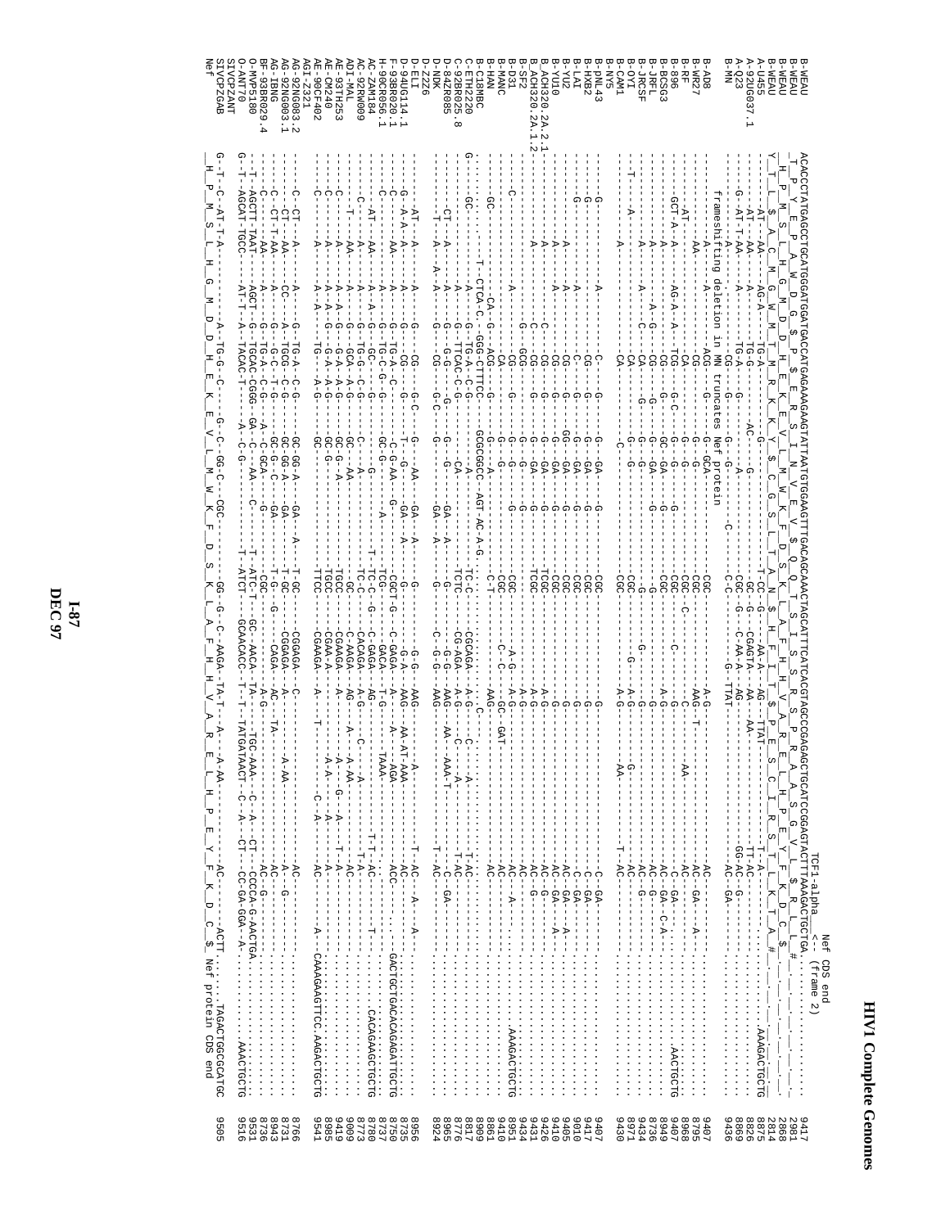| <b>LVCPZGAB</b>                                                           | G-92NG083.<br><b>TACPZANT</b><br>$-AMTT70$<br>F-93BR029.4<br>$3 - 92NGOO3.1$<br>MVP5180<br>$-1BMO$<br>$\mathbb N$                                                                                                                                            | $E-CM240$<br>12321<br>E-90CF402<br>DI-MAL<br>$-90$ CR056.<br>$-93B$ R020.<br>-92RW009<br>9405114.<br>-93TH253<br>E<br><b>P8TMVZ</b>                                                                                                                                                                                                                                                                                                                                                                                                                                                                                                                                                                                                                                                                                                                                                                                                                 | C18MBC<br>84ZR085<br><b>NDK</b><br>ETH2220<br>3226<br>2BR025<br>$\infty$                                                                                               | $-D31$<br><b>MANC</b><br>SF2<br>HAN                                                                                                                                                                                                                                                                                                                                                                                                                                                                                                  | $SAM =$<br>$Z\Omega X$ -<br>-pNL43<br>-HXB2<br>OTOX-<br>$-LA1$<br>ACH320<br>ACH32                                                            | -CAM1<br>IXO-<br>-JRFL<br>$-ADB$<br>-JRCSE<br>$-MR27$<br>$-896$<br>.<br>먹<br>BCSG3                                                                                                                                                                                                                                                                                                                                                                                                                                              | $-223$<br>$-920037$<br>$-0.455$<br>-WEAU<br>-WEAU<br>-WEAU<br>ż<br>-WEAU                                                                                                                                                                                                                                                                                                                                                           |
|---------------------------------------------------------------------------|--------------------------------------------------------------------------------------------------------------------------------------------------------------------------------------------------------------------------------------------------------------|-----------------------------------------------------------------------------------------------------------------------------------------------------------------------------------------------------------------------------------------------------------------------------------------------------------------------------------------------------------------------------------------------------------------------------------------------------------------------------------------------------------------------------------------------------------------------------------------------------------------------------------------------------------------------------------------------------------------------------------------------------------------------------------------------------------------------------------------------------------------------------------------------------------------------------------------------------|------------------------------------------------------------------------------------------------------------------------------------------------------------------------|--------------------------------------------------------------------------------------------------------------------------------------------------------------------------------------------------------------------------------------------------------------------------------------------------------------------------------------------------------------------------------------------------------------------------------------------------------------------------------------------------------------------------------------|----------------------------------------------------------------------------------------------------------------------------------------------|---------------------------------------------------------------------------------------------------------------------------------------------------------------------------------------------------------------------------------------------------------------------------------------------------------------------------------------------------------------------------------------------------------------------------------------------------------------------------------------------------------------------------------|------------------------------------------------------------------------------------------------------------------------------------------------------------------------------------------------------------------------------------------------------------------------------------------------------------------------------------------------------------------------------------------------------------------------------------|
|                                                                           | AGCAT-TGCC<br><b>AGCTT-TAAT</b><br>$-1 - 1 - 1 - 2$<br>WV-<br>$W -$                                                                                                                                                                                          | $-4-$<br>₿<br>∀−                                                                                                                                                                                                                                                                                                                                                                                                                                                                                                                                                                                                                                                                                                                                                                                                                                                                                                                                    | ٢                                                                                                                                                                      |                                                                                                                                                                                                                                                                                                                                                                                                                                                                                                                                      | ດ<br>$\mathbb{F}$                                                                                                                            | Erameshifting<br>В                                                                                                                                                                                                                                                                                                                                                                                                                                                                                                              | CACCOTATGAGCCTGCATGGAIGGATGACCATGAGAAAGAAGTATTAATGTGGAAGTTTGACAAACTAAACTATTGATTCATCATGTAGGCCCGA<br>- セピーユーロピー                                                                                                                                                                                                                                                                                                                      |
|                                                                           | セーエー<br>AGC'                                                                                                                                                                                                                                                 | -9<br>-9<br><u>ក្នុ</u><br><b>RG-A</b>                                                                                                                                                                                                                                                                                                                                                                                                                                                                                                                                                                                                                                                                                                                                                                                                                                                                                                              |                                                                                                                                                                        | cog                                                                                                                                                                                                                                                                                                                                                                                                                                                                                                                                  |                                                                                                                                              | deleti<br>un<br>Mu                                                                                                                                                                                                                                                                                                                                                                                                                                                                                                              |                                                                                                                                                                                                                                                                                                                                                                                                                                    |
|                                                                           | LACAC-T-<br>$-5 - 5 - 5$<br>$-4 - 5$<br>GCAC<br>$-505$<br>∟<br>م<br><u>ှ</u>                                                                                                                                                                                 | $GCA -$<br>$A-G$<br>ု<br>ດ                                                                                                                                                                                                                                                                                                                                                                                                                                                                                                                                                                                                                                                                                                                                                                                                                                                                                                                          | GGG-CTTTC<br>LG-A-                                                                                                                                                     | ACG-<br>a<br>G<br>-CA-<br>c                                                                                                                                                                                                                                                                                                                                                                                                                                                                                                          | -ca<br>င်င<br>S<br>Ō                                                                                                                         | ACG<br>-cg<br>nca<br>truncates<br>ω                                                                                                                                                                                                                                                                                                                                                                                                                                                                                             | <b>LG-A-</b><br>ဂ္ဂ်<br>Ω                                                                                                                                                                                                                                                                                                                                                                                                          |
|                                                                           | GC-GG-A<br>$-99-$<br>$-GCA-$<br>-- 0<br>-- 0<br>$-5A-$<br>Ģ                                                                                                                                                                                                  | 8<br>$-9-RA$<br>ဂှ<br>-- AA<br>P<br>CA-                                                                                                                                                                                                                                                                                                                                                                                                                                                                                                                                                                                                                                                                                                                                                                                                                                                                                                             | သဘာသာ<br>CA-<br>-VĐ                                                                                                                                                    | ဂှ<br>ှု<br>ှု                                                                                                                                                                                                                                                                                                                                                                                                                                                                                                                       | -GA<br>-GA<br>ė<br>ģ,<br>È<br>ഹ<br>ഹ                                                                                                         | Nef prote<br>$-GCA-$<br>ငှ<br>-GA<br>စှ<br>ဝှ<br>ω<br>P                                                                                                                                                                                                                                                                                                                                                                                                                                                                         | ှု                                                                                                                                                                                                                                                                                                                                                                                                                                 |
|                                                                           | ATC-<br>ရှ                                                                                                                                                                                                                                                   | đ<br>COLT-G                                                                                                                                                                                                                                                                                                                                                                                                                                                                                                                                                                                                                                                                                                                                                                                                                                                                                                                                         |                                                                                                                                                                        | ន្ច្<br>္မ                                                                                                                                                                                                                                                                                                                                                                                                                                                                                                                           | rcgc<br>cg<br>င္မ<br>ဒ္<br>cec                                                                                                               | cec<br>္က<br>SS                                                                                                                                                                                                                                                                                                                                                                                                                                                                                                                 | ု                                                                                                                                                                                                                                                                                                                                                                                                                                  |
|                                                                           | CAACACC<br><b>CGAGA-</b><br>CAGA<br>ADAA                                                                                                                                                                                                                     | ⋒<br>C-AAGA<br>CCAAGA<br>CACAGA<br><b>AA-A</b><br>-GAGA<br>ADAAE<br>GACA<br>GAGA                                                                                                                                                                                                                                                                                                                                                                                                                                                                                                                                                                                                                                                                                                                                                                                                                                                                    |                                                                                                                                                                        |                                                                                                                                                                                                                                                                                                                                                                                                                                                                                                                                      |                                                                                                                                              |                                                                                                                                                                                                                                                                                                                                                                                                                                                                                                                                 |                                                                                                                                                                                                                                                                                                                                                                                                                                    |
| $\overline{\phantom{a}}$<br>F.<br>$-A-AA-$<br>۲<br>Ξ                      | TATGATAACT--<br>$- \Delta - \Delta \Delta - -$<br>$\frac{1}{1}$<br>J.<br>л<br>I.                                                                                                                                                                             | <b>AT-AAA--</b><br>$-1AAA$<br>- - A - AA - - - -<br>$---ACA---$<br>$- - A - -$<br>$\begin{array}{c} 1 \\ 1 \\ 1 \\ 1 \end{array}$<br>$---A--$<br>$\mathbf I$<br>$\frac{1}{1}$<br>J.<br>$\overline{\phantom{a}}$                                                                                                                                                                                                                                                                                                                                                                                                                                                                                                                                                                                                                                                                                                                                     | $-7A$ A $-1$<br>$- -A - -$<br>ł<br>$\overline{A}$<br>J.                                                                                                                | ଦୁ<br>$\mathsf I$<br>$\mathsf I$                                                                                                                                                                                                                                                                                                                                                                                                                                                                                                     |                                                                                                                                              | ⋒<br>⋒<br>$-6 - -$<br>$-AA$ –<br>- 24-<br>$\frac{1}{1}$<br>$\frac{1}{1}$<br>$\mathbf{I}$<br>$\overline{\phantom{a}}$<br>п<br>л                                                                                                                                                                                                                                                                                                                                                                                                  | 'ਸਾ<br>Ħ<br>$\frac{1}{1}$<br>'co<br>Ъ<br>I,<br>H<br>I<br>∩<br>ъ<br>J<br>I<br>$\overline{\phantom{a}}$<br>Ξ<br>I<br>п                                                                                                                                                                                                                                                                                                               |
| יט<br>ø<br>к<br>F<br>$AC-$<br>k<br>Ō                                      | J.<br>ł<br>$\frac{1}{1}$<br>ì<br>H<br>J.<br>I<br>I.<br>л<br>ļ<br>I<br>$--\Delta---G---$<br>I<br>--AC----<br>$- - \text{AC} - -$<br>$- - 2C - - G - -$<br>ì                                                                                                   | $A---C---A---P-----A--\\$<br>$C - -A - -C$<br>$\begin{array}{c} \hline \end{array}$<br>I<br>J<br>$\frac{1}{1}$<br>$\frac{1}{1}$<br>$\frac{1}{1}$<br>ı<br>1<br>$-1 - 1 - -1 - -1$<br>$- - - - - - 2C - -$<br>$\frac{1}{1}$<br>I<br>I<br>$---ACC---$<br>-----AC---<br>$\frac{1}{1}$<br>$\frac{1}{1}$<br>-- 1- 1- 1-<br>$-1 - 2C - - -$<br>$\frac{1}{1}$<br>$\begin{array}{c} \n\cdot & \cdot \\ \cdot & \cdot \\ \cdot & \cdot\n\end{array}$<br>J<br>$\frac{1}{1}$<br>AC-<br>$A$ --<br>C-----<br>$\begin{array}{c} \hline \end{array}$<br>$\overline{1}$<br>J.<br>I<br>$\frac{1}{1}$<br>I<br>$\overline{1}$<br>J<br>$\frac{1}{2}$<br>$\mathbf{I}$<br>$\frac{1}{1}$<br>$\overline{\phantom{a}}$<br>J<br>H.<br>J<br>$\mathbb{I}$<br>$\mathsf I$<br>$\mathbf{I}$<br>$\overline{1}$<br>$\overline{\phantom{a}}$                                                                                                                                           | $\frac{1}{1}$<br>J.<br>$\mathbf{I}$<br>$-1$ -2C $-$<br>$-1 - 2C - -$<br>ţ<br>$T - RC - -$<br>$\overline{\phantom{a}}$<br>$\frac{1}{1}$<br>Ţ<br>J.<br>ł<br>$\mathbf{I}$ | $\begin{array}{c} \rule{0pt}{2ex} \rule{0pt}{2ex} \rule{0pt}{2ex} \rule{0pt}{2ex} \rule{0pt}{2ex} \rule{0pt}{2ex} \rule{0pt}{2ex} \rule{0pt}{2ex} \rule{0pt}{2ex} \rule{0pt}{2ex} \rule{0pt}{2ex} \rule{0pt}{2ex} \rule{0pt}{2ex} \rule{0pt}{2ex} \rule{0pt}{2ex} \rule{0pt}{2ex} \rule{0pt}{2ex} \rule{0pt}{2ex} \rule{0pt}{2ex} \rule{0pt}{2ex} \rule{0pt}{2ex} \rule{0pt}{2ex} \rule{0pt}{2ex} \rule{0pt}{$<br>t<br>$- - 2C - - -$<br>$- - \text{AC} - -$<br>$- - 2C - - - - -$<br>$\frac{1}{1}$<br>$\frac{1}{1}$<br>$\mathbf{I}$ | $- - 2C - -G - -$<br>- - AC- - GA - - - A - - -<br>$- - 2C - -G - -$<br>$-AC--GA-$<br>$\mathfrak l$<br>$-C--GA-$<br>$C$ --GA-<br>Ω<br>$-6A-$ | п<br>J.<br>--T--AC<br>$\mathbf{I}$<br>$---PGC---$<br>$---AC$<br>$- - 2C - -G - -$<br>--AC--GA--C-A--<br>--3C-----<br>--AC--GA----A---<br>--AC--<br>İ<br>$-6 -$<br>J.<br>J.<br>л<br>$\mathbf{I}$                                                                                                                                                                                                                                                                                                                                 | ุโท<br>יס<br>₩<br>ຸດ<br>'n<br>I<br>ŗω.<br>$- -GG - PC - -G - -$<br>$-11 - 2C -$<br>$\overline{\mathcal{K}}$<br>$\overline{\phantom{a}}$<br>Η<br>$-AC--CA-$<br>į.<br>IJ<br>$\overline{\phantom{a}}$<br>₩<br>-1<br>Ō                                                                                                                                                                                                                 |
| ۲Q.<br>ACTTTAGACTGGCGCATGC<br>$\frac{1}{\sqrt{2}}$<br>Nef protein CDS end | :GC-AAA---C--A---CI---CCCCA-G-AACTGA<br>$C--A--CT--CC-GA-GGA--A--\ldots \; . \; . \; . \; . \; . \; . \; . \; . \; . \; . \; . \; .$<br>$\frac{1}{1}$<br>$\frac{1}{1}$<br>ì<br>$\begin{array}{c} 1 \\ 1 \\ 1 \\ 1 \end{array}$<br>コーリー・・・・・・・・・・・・・・・・・・・・・・ | $\begin{array}{c} \begin{array}{c} \text{1} \\ \text{2} \\ \text{3} \\ \text{4} \end{array} \end{array}$<br>- - - - - GACTGCTGACAGAGATTGCTG<br>$---A---$<br>$\frac{1}{1}$<br>$\frac{1}{1}$<br>$\frac{1}{1}$<br>$\overline{1}$<br>$\mathsf I$<br>$A---$<br>$\begin{array}{c} 1 \\ 1 \\ 1 \end{array}$<br>$\frac{1}{1}$<br>$\begin{array}{c} \end{array}$<br>$\frac{1}{1}$<br>$\frac{1}{1}$<br>$\overline{\phantom{a}}$<br>ı<br>$\label{eq:2.1} \begin{aligned} \mathbf{1} \cdot \mathbf{1} \cdot \mathbf{1} \cdot \mathbf{1} \cdot \mathbf{1} \cdot \mathbf{1} \cdot \mathbf{1} \cdot \mathbf{1} \cdot \mathbf{1} \cdot \mathbf{1} \cdot \mathbf{1} \cdot \mathbf{1} \cdot \mathbf{1} \cdot \mathbf{1} \cdot \mathbf{1} \cdot \mathbf{1} \cdot \mathbf{1} \cdot \mathbf{1} \cdot \mathbf{1} \cdot \mathbf{1} \cdot \mathbf{1} \cdot \mathbf{1} \cdot \mathbf{1} \cdot \mathbf{1} \cdot \mathbf{1} \cdot \mathbf{1}$<br>$\overline{\phantom{a}}$<br>. | $\mathbf{I}$<br>J.<br>$\mathbb I$                                                                                                                                      | J,<br>I<br>ţ<br>$\begin{bmatrix} 1 \\ 1 \\ 1 \end{bmatrix}$<br>Í<br>I<br>.<br>.                                                                                                                                                                                                                                                                                                                                                                                                                                                      | $\frac{1}{1}$<br>$-1$ $-1$<br>$\frac{1}{1}$<br>$\mathbf{I}$<br>I<br>$\frac{1}{1}$<br>I<br>$\frac{1}{1}$<br>$\mathbf{I}$<br><br>.<br>         | л<br>ı<br>I<br>$\mathbb I$<br>$\frac{1}{1}$<br>$\frac{1}{1}$<br>$\begin{array}{c} 1 \\ 1 \\ 1 \end{array}$<br>$\begin{aligned} \frac{1}{2} \frac{1}{2} \frac{1}{2} \frac{1}{2} \frac{1}{2} \frac{1}{2} \frac{1}{2} \frac{1}{2} \frac{1}{2} \frac{1}{2} \frac{1}{2} \frac{1}{2} \frac{1}{2} \frac{1}{2} \frac{1}{2} \frac{1}{2} \frac{1}{2} \frac{1}{2} \frac{1}{2} \frac{1}{2} \frac{1}{2} \frac{1}{2} \frac{1}{2} \frac{1}{2} \frac{1}{2} \frac{1}{2} \frac{1}{2} \frac{1}{2} \frac{1}{2} \frac{1}{2} \frac{1}{$<br>.<br>.<br> | E<br>$\frac{1}{1}$<br>þ<br>J<br>л<br>'n<br>$\mathbf{I}$<br>Ï<br>$\begin{array}{c} 1 \\ 1 \\ 1 \end{array}$<br>Ъ<br>$\ldots \ldots \ldots \ldots$<br>į.<br>$\overline{\phantom{a}}$<br>łΩ.<br>$\overline{\phantom{a}}$<br>$\mathbf{I}$<br>♯<br>$\frac{1}{2}$ , $\frac{1}{2}$ , $\frac{1}{2}$ , $\frac{1}{2}$ , $\frac{1}{2}$ , $\frac{1}{2}$ , $\frac{1}{2}$ , $\frac{1}{2}$ , $\frac{1}{2}$ , $\frac{1}{2}$<br><br>$\pm$<br>ł<br>ŀ |
|                                                                           | <b>AAACTGCTG</b><br>$\frac{1}{2}$ : $\frac{1}{2}$ : $\frac{1}{2}$ : $\frac{1}{2}$                                                                                                                                                                            | $\vdots$                                                                                                                                                                                                                                                                                                                                                                                                                                                                                                                                                                                                                                                                                                                                                                                                                                                                                                                                            |                                                                                                                                                                        | $\frac{1}{2}$ , $\frac{1}{2}$ , $\frac{1}{2}$ , $\frac{1}{2}$ , $\frac{1}{2}$ , $\frac{1}{2}$ , $\frac{1}{2}$<br><b>AAAGACTGCTG</b><br>$\vdots$                                                                                                                                                                                                                                                                                                                                                                                      |                                                                                                                                              | .<br>$\frac{1}{2}$ $\frac{1}{2}$ $\frac{1}{2}$ $\frac{1}{2}$ $\frac{1}{2}$ $\frac{1}{2}$ $\frac{1}{2}$ $\frac{1}{2}$ $\frac{1}{2}$ $\frac{1}{2}$ $\frac{1}{2}$ $\frac{1}{2}$ $\frac{1}{2}$ $\frac{1}{2}$ $\frac{1}{2}$ $\frac{1}{2}$ $\frac{1}{2}$ $\frac{1}{2}$ $\frac{1}{2}$ $\frac{1}{2}$ $\frac{1}{2}$ $\frac{1}{2}$<br>$\vdots$                                                                                                                                                                                            | .<br>.                                                                                                                                                                                                                                                                                                                                                                                                                             |
| 3056                                                                      | 91391<br>1831<br>876766<br>879436<br>8736                                                                                                                                                                                                                    | 8985<br>9541<br>9419<br>6006<br>8773                                                                                                                                                                                                                                                                                                                                                                                                                                                                                                                                                                                                                                                                                                                                                                                                                                                                                                                | 8965<br>8924<br>88681<br>898176<br>8776                                                                                                                                | 9410<br>9434<br>9951                                                                                                                                                                                                                                                                                                                                                                                                                                                                                                                 | 9431<br>9426<br>9410<br>9405<br>9010<br>9417<br>9407                                                                                         | 9434<br>8736<br>9407<br>8968<br>9430<br>94057                                                                                                                                                                                                                                                                                                                                                                                                                                                                                   | 88699<br>288<br>288<br>275<br>5417<br>2981<br>2868                                                                                                                                                                                                                                                                                                                                                                                 |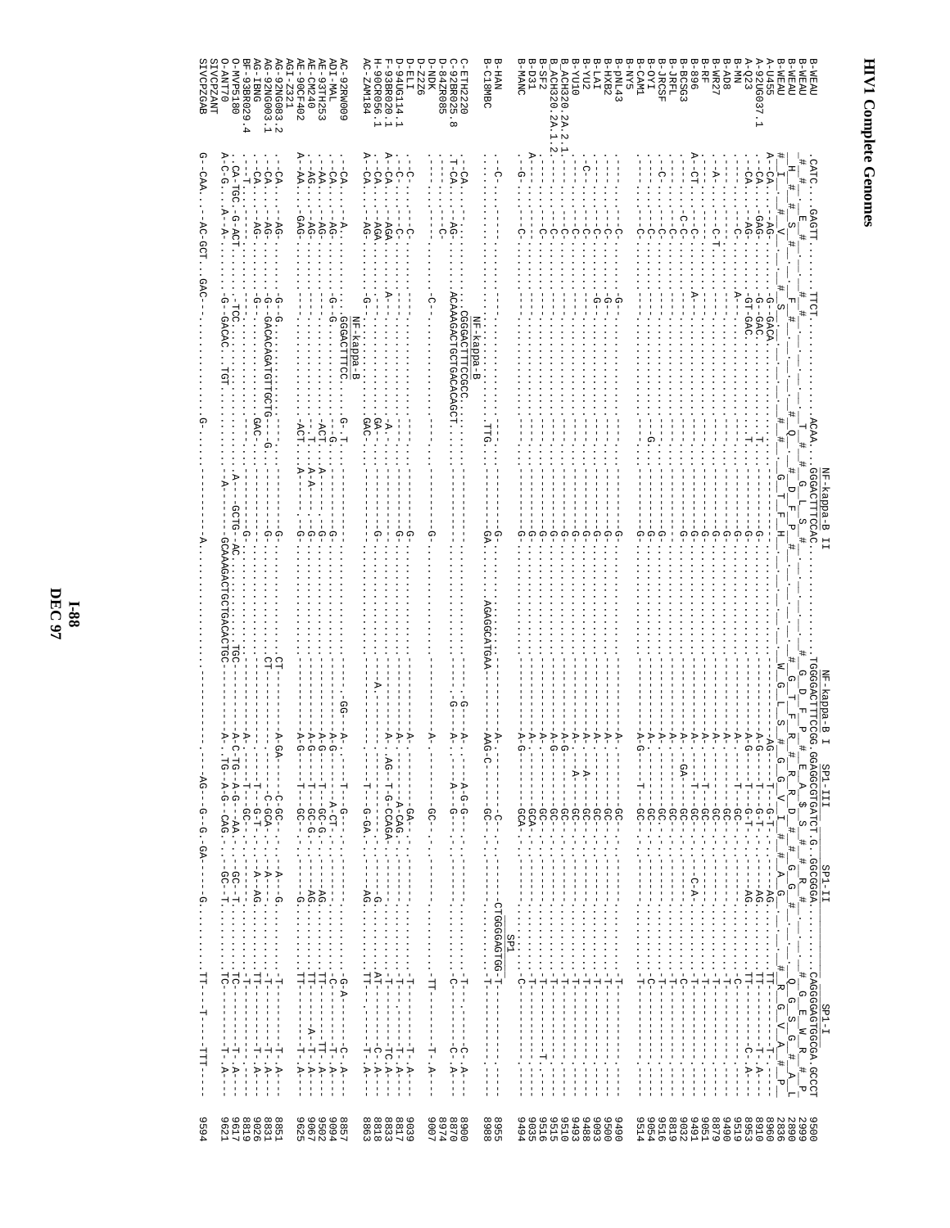| IVCPZGAB<br>IVCPZANT                                        | $0 - \text{NML} - 0$<br>BF-93BR029.4<br>-MVP5180                                                                                                                                                                                                                                                                           | <b>SHIPNG</b><br>16-92NG083.2<br>16-92NG003.1                                                                                                                                                                                | E-90CF402<br>LZ22-I5<br>E-CM240                                                                                                                                         | SE211253<br>TVM-ICN                                                                                                         | <b>AC-92RM009</b>                                             | LC-ZAM184<br>$-90$ CR056.1                                                                                                  | $-93BRO20.$<br>$-940G114.$<br>$FTT=$                                                                                                                                                                                | $-2226$<br>-NDK<br>$-84ZRO85$               | $-92BRO25.$<br><b>ETH2220</b><br>$\infty$                                                                                                                                                                         | <b>B-C18MBC</b>                | B-HAN                                                                             | -MANC                                                                                        | $-D31$                                                                                                                                                                                                                                                                                                                                                                                                                                                                                                   | $S - SFA$                                                                                                                                                                                                                                                                                                                                                    | <b>ACH32</b><br><b>ACH320</b>                                                                                                                                                                                                                                                                                                       | $0$ T $\Omega$                                                                                                                                                                                                                                                                                                                           | $Z\Omega X =$                                                                              | -HXB2<br>TVT-                                                                                                                                                        | $S XN-1$<br>-pNL43 | -CAM1                              | -JRCSF<br>LXO-                                                                   | -JRFL                                                                        | -BCSG3                                                                                                                          | $-$ RF<br>$-896$                                                                                                                                                                                                                                                                                                                                                                                                                   | $-MR27$                                                                                                                                                                                    | $-ADB$<br>」<br>豆                                                                                                                                                                 | $-023$                                                    | $-0.455$<br>-920G037                                                                                                                                                       | -WEAU<br>-WEAU                                                                        | UAEAU-                       | NERAD                                       |
|-------------------------------------------------------------|----------------------------------------------------------------------------------------------------------------------------------------------------------------------------------------------------------------------------------------------------------------------------------------------------------------------------|------------------------------------------------------------------------------------------------------------------------------------------------------------------------------------------------------------------------------|-------------------------------------------------------------------------------------------------------------------------------------------------------------------------|-----------------------------------------------------------------------------------------------------------------------------|---------------------------------------------------------------|-----------------------------------------------------------------------------------------------------------------------------|---------------------------------------------------------------------------------------------------------------------------------------------------------------------------------------------------------------------|---------------------------------------------|-------------------------------------------------------------------------------------------------------------------------------------------------------------------------------------------------------------------|--------------------------------|-----------------------------------------------------------------------------------|----------------------------------------------------------------------------------------------|----------------------------------------------------------------------------------------------------------------------------------------------------------------------------------------------------------------------------------------------------------------------------------------------------------------------------------------------------------------------------------------------------------------------------------------------------------------------------------------------------------|--------------------------------------------------------------------------------------------------------------------------------------------------------------------------------------------------------------------------------------------------------------------------------------------------------------------------------------------------------------|-------------------------------------------------------------------------------------------------------------------------------------------------------------------------------------------------------------------------------------------------------------------------------------------------------------------------------------|------------------------------------------------------------------------------------------------------------------------------------------------------------------------------------------------------------------------------------------------------------------------------------------------------------------------------------------|--------------------------------------------------------------------------------------------|----------------------------------------------------------------------------------------------------------------------------------------------------------------------|--------------------|------------------------------------|----------------------------------------------------------------------------------|------------------------------------------------------------------------------|---------------------------------------------------------------------------------------------------------------------------------|------------------------------------------------------------------------------------------------------------------------------------------------------------------------------------------------------------------------------------------------------------------------------------------------------------------------------------------------------------------------------------------------------------------------------------|--------------------------------------------------------------------------------------------------------------------------------------------------------------------------------------------|----------------------------------------------------------------------------------------------------------------------------------------------------------------------------------|-----------------------------------------------------------|----------------------------------------------------------------------------------------------------------------------------------------------------------------------------|---------------------------------------------------------------------------------------|------------------------------|---------------------------------------------|
|                                                             | $-5 - 6$<br>CA-TGC<br>G-ACT<br>i<br>T                                                                                                                                                                                                                                                                                      | -CA.<br>-CA<br>-CA<br>$-9G-$<br>$-5G-$<br>$-56-$                                                                                                                                                                             | $A - \Delta A$<br>$-AA$<br>-GAG-<br>AG.                                                                                                                                 | $-CA$<br>--AA<br>$-9G-$<br>$A$ G-                                                                                           | -CA<br>$\vdots$                                               | --CA<br>--CA<br>AGA.<br>AG-                                                                                                 | $-CA.$<br>$\frac{1}{2}$<br>ှ<br>AGA<br>$\frac{1}{2}$<br>ှ                                                                                                                                                           |                                             | T-СA.<br>-CA.<br>$AG-$<br>$\frac{1}{\Omega}$                                                                                                                                                                      |                                |                                                                                   |                                                                                              |                                                                                                                                                                                                                                                                                                                                                                                                                                                                                                          |                                                                                                                                                                                                                                                                                                                                                              |                                                                                                                                                                                                                                                                                                                                     |                                                                                                                                                                                                                                                                                                                                          |                                                                                            |                                                                                                                                                                      |                    |                                    | ှ                                                                                |                                                                              | c-c                                                                                                                             | $-1$                                                                                                                                                                                                                                                                                                                                                                                                                               | $-4$<br>ု                                                                                                                                                                                  | á                                                                                                                                                                                | -CA.<br>$-56-$                                            | $-CA$ .<br>-CA<br>-DV3<br>$-56-$                                                                                                                                           |                                                                                       |                              | CATC<br><b>GAGTT</b>                        |
|                                                             | ъсс                                                                                                                                                                                                                                                                                                                        | -G--GACACAGATGT<br>ှု<br>$-9 - -9$<br>i.<br>G                                                                                                                                                                                |                                                                                                                                                                         |                                                                                                                             | GGGACTTTCC<br>NF-kappa-B                                      |                                                                                                                             |                                                                                                                                                                                                                     |                                             | CAAAGACTGCTGACAC<br>CGGACTTTCCGC                                                                                                                                                                                  | F-kappa-B                      |                                                                                   |                                                                                              |                                                                                                                                                                                                                                                                                                                                                                                                                                                                                                          |                                                                                                                                                                                                                                                                                                                                                              |                                                                                                                                                                                                                                                                                                                                     |                                                                                                                                                                                                                                                                                                                                          |                                                                                            |                                                                                                                                                                      |                    |                                    |                                                                                  |                                                                              |                                                                                                                                 |                                                                                                                                                                                                                                                                                                                                                                                                                                    |                                                                                                                                                                                            |                                                                                                                                                                                  | -GT-GAC                                                   | -G--GACA<br>G--GAC.                                                                                                                                                        | w                                                                                     |                              | LJ CL                                       |
|                                                             |                                                                                                                                                                                                                                                                                                                            | GAC-<br>Ω                                                                                                                                                                                                                    | -ACT                                                                                                                                                                    | $-ACT$<br>ن<br>م                                                                                                            | G-.T                                                          | -VĐ<br>GAC                                                                                                                  |                                                                                                                                                                                                                     |                                             |                                                                                                                                                                                                                   |                                |                                                                                   |                                                                                              |                                                                                                                                                                                                                                                                                                                                                                                                                                                                                                          |                                                                                                                                                                                                                                                                                                                                                              |                                                                                                                                                                                                                                                                                                                                     |                                                                                                                                                                                                                                                                                                                                          |                                                                                            |                                                                                                                                                                      |                    |                                    |                                                                                  |                                                                              |                                                                                                                                 |                                                                                                                                                                                                                                                                                                                                                                                                                                    |                                                                                                                                                                                            |                                                                                                                                                                                  |                                                           |                                                                                                                                                                            |                                                                                       | Ω                            | ACAA<br>GGGACTTTCCAC<br>NF-kappa-B          |
|                                                             | 3CTG--<br>GCAAAG<br>TGACACTGC                                                                                                                                                                                                                                                                                              | ဂှ<br>ငှ                                                                                                                                                                                                                     | ⋒                                                                                                                                                                       | ଋ                                                                                                                           |                                                               |                                                                                                                             | ⋒                                                                                                                                                                                                                   |                                             |                                                                                                                                                                                                                   |                                |                                                                                   |                                                                                              |                                                                                                                                                                                                                                                                                                                                                                                                                                                                                                          | ⋒                                                                                                                                                                                                                                                                                                                                                            | Ω<br>ଇ                                                                                                                                                                                                                                                                                                                              |                                                                                                                                                                                                                                                                                                                                          |                                                                                            |                                                                                                                                                                      |                    |                                    |                                                                                  |                                                                              |                                                                                                                                 |                                                                                                                                                                                                                                                                                                                                                                                                                                    |                                                                                                                                                                                            |                                                                                                                                                                                  |                                                           |                                                                                                                                                                            | ℸ                                                                                     | U)                           | Ë                                           |
|                                                             | EGC                                                                                                                                                                                                                                                                                                                        | .<br>អ្ន<br>CT-                                                                                                                                                                                                              |                                                                                                                                                                         |                                                                                                                             | န                                                             |                                                                                                                             |                                                                                                                                                                                                                     |                                             |                                                                                                                                                                                                                   |                                |                                                                                   |                                                                                              |                                                                                                                                                                                                                                                                                                                                                                                                                                                                                                          |                                                                                                                                                                                                                                                                                                                                                              |                                                                                                                                                                                                                                                                                                                                     |                                                                                                                                                                                                                                                                                                                                          |                                                                                            |                                                                                                                                                                      |                    |                                    |                                                                                  |                                                                              |                                                                                                                                 |                                                                                                                                                                                                                                                                                                                                                                                                                                    |                                                                                                                                                                                            |                                                                                                                                                                                  |                                                           |                                                                                                                                                                            | n,                                                                                    | ŋ<br>J                       | GGGACTTTCCGG<br>NF-kappa-B                  |
|                                                             | $\Delta$<br>∀-ı<br>م<br>$-10 - 1$<br>J.<br>TG--A-G--CAG.-<br>$\frac{1}{1}$<br>J.<br>$-1 - 1 - 0 - 0 - 1 - 1 - 1 - 0$                                                                                                                                                                                                       | iA−<br>$-1$                                                                                                                                                                                                                  | $\overline{A}$<br>$\overline{\phantom{a}}$<br>$\mathbf I$<br>H<br> <br>Ĥ,<br>$-90-$                                                                                     | $\mathbf I$<br>$\mathbf I$<br>$-1 - -1 - 0 - 0 - 0$<br>$\frac{1}{2}$                                                        | ۲<br>ا<br>$\frac{1}{1}$                                       | J.<br>$\blacksquare$<br>$\mathbf I$<br>$\mathbf I$<br>$\mathbf I$<br>$\mathbf{I}$<br>$\mathbf{I}$                           | .AG--T-G-CCAGA-<br>т<br>$\mathbf{I}$<br>-1                                                                                                                                                                          | င္ပဲ                                        | т<br>I.<br>$\overline{1}$<br>$-A---G-$<br>$A-G-G-G-$                                                                                                                                                              | I<br>$\frac{1}{1}$<br>I.<br>J. | ₿<br>$-5 - 1$<br>п<br>П<br>п<br>ġ<br>$\blacksquare$<br>C                          | I                                                                                            | п<br>л                                                                                                                                                                                                                                                                                                                                                                                                                                                                                                   | J.<br>т<br>$-90 -$                                                                                                                                                                                                                                                                                                                                           | $\frac{1}{1}$<br>$\frac{1}{1}$<br>$\mathbf{I}$<br>$\mathbf I$<br>$\overline{\phantom{a}}$<br>$\sf I$<br>$\overline{\phantom{a}}$<br>I.<br>$\overline{\phantom{a}}$<br>т<br>$-90-$                                                                                                                                                   | $\frac{1}{1}$<br>$-4-$<br>$\overline{1}$<br>$\overline{5}$                                                                                                                                                                                                                                                                               | $- -A - -$<br>J.<br>$\mathbf I$<br>$\frac{1}{2}$                                           | -1<br>$\mathbf{I}$<br>$\mathsf I$<br>$\mathbf{I}$<br>$\mathbf{I}$<br>$\mathbf{I}$<br>-1<br>$\mathbf{I}$<br>$\mathbf{I}$<br>6C                                        | 8                  | ì<br>$\mathbf I$<br>- 1 - 1 -<br>ဌ | ı<br>I<br>ı<br>I<br>I<br>$\overline{\phantom{a}}$<br>J<br>1<br>л<br>$-90 -$<br>Ġ | ł<br>J<br>$-90 -$                                                            | $-GA----GC--$                                                                                                                   | $-1 - 1 - 0 - 0 - 0 - 0$                                                                                                                                                                                                                                                                                                                                                                                                           | J.<br>$\mathbb I$<br>$\,$ I<br>$- - - - - - - - - - - -$                                                                                                                                   | $\mathbf{I}$<br>÷<br>                                                                                                                                                            | J,<br>л<br>$-1$ - $-1$ - $-1$ - $-1$ - $-1$ - $-1$ - $-1$ | RG<br>-1<br>ı<br>$-1 - 1 - -$                                                                                                                                              | Ω<br>'ਸ਼<br>ຸດ<br>.<br>'ਸ਼<br>$\prec$<br>Έ                                            | ø<br>Þ<br>'nΩ                | $\vdash$<br>GGAGGCGTGATCT.G<br>SP1-III      |
| AG---G--G.-GA-<br>$\frac{1}{1}$<br>$\,$ I<br>$\mathbb{G}$ . | $A-G--A\overline{A} \ldots --$<br>$\bullet$<br>$\mathsf I$<br>$\mathsf I$<br>$\sf I$<br>$\begin{array}{c} \hline \end{array}$<br>$L = -20$<br>8<br>$\frac{1}{1}$<br>Ŧ<br>$\begin{array}{c} \end{array}$<br>Ţ<br>È.<br>$\mathbf{I}$<br>$\frac{1}{2}$<br>$\begin{array}{c} \vdots \\ \vdots \\ \vdots \\ \vdots \end{array}$ | $\mathsf I$<br>$\overline{\phantom{a}}$<br>$\vdots$<br>$\vdots$<br>J<br>$- - \Delta - -$<br>$\mathbf I$<br>$\overline{\phantom{a}}$<br>$A--$<br>$A=-G$<br>AG. $\ldots$ .<br>$\frac{1}{1}$<br>$\frac{1}{2}$<br>$\ddot{\cdot}$ | $-9 - 0 - -$<br>Ŷ,<br>$\vdots$<br>1<br>$\mathsf I$<br>$\mathbf{I}$<br>$\frac{1}{1}$<br>Ť.<br>$\sf I$<br>$\overline{\phantom{a}}$<br>$-AC$<br>$-C$                       | $A-CT-$<br>$\mathbb I$<br>$\mathbf I$<br>л<br>$-AG \ldots \ldots$<br>Ť.<br>$\mathbf I$<br>Ť<br>$\vdots$                     | $\frac{1}{1}$<br>$\ddot{\cdot}$<br>$\vdots$<br>J.<br>$\vdots$ | $\frac{1}{4}$<br>$\vdots$<br>$\mathbb{I}$<br>$\mathbf I$<br>J.<br>$\frac{1}{2}$<br>$AG.$ .<br>$\vdots$                      | $-A-CAG. -$ .<br>$GA---$<br>$\mathbb{I}$<br>$\mathsf I$<br>I,<br>T.<br>ı<br>J.<br>I.<br>п<br>п<br>$\vdots$<br>$\vdots$                                                                                              | Ţ<br>$\ddot{\phantom{0}}$                   | $\mathsf I$<br>$\mathbf{I}$<br>$\blacksquare$<br>$\bullet$<br>$\mathsf I$<br>$\mathbf I$<br>٠<br>$\cdot$<br>$\blacksquare$<br>$\vdots$                                                                            | T<br>I.<br>٠<br>л              | Ť<br>$\bullet$<br>$\,$ I<br>$\ddot{\cdot}$<br>I<br>$\mathbf{I}$<br>CTGGGGAGTGG-T- | $GCA-$<br>$\mathsf I$<br>$\overline{\phantom{a}}$<br>$\vdots$<br>$\ddot{\phantom{0}}$<br>SP1 | $GCA-$<br>J.<br>$\vdots$<br>I<br>J.                                                                                                                                                                                                                                                                                                                                                                                                                                                                      | $\bullet$<br>$\mathsf I$<br>:<br>$\overline{1}$<br>$\frac{1}{2}$ : $\frac{1}{2}$ : $\frac{1}{2}$ : $\frac{1}{2}$ : $\frac{1}{2}$ : $\frac{1}{2}$ : $\frac{1}{2}$ : $\frac{1}{2}$ : $\frac{1}{2}$ : $\frac{1}{2}$ : $\frac{1}{2}$ : $\frac{1}{2}$ : $\frac{1}{2}$ : $\frac{1}{2}$ : $\frac{1}{2}$ : $\frac{1}{2}$ : $\frac{1}{2}$ : $\frac{1}{2}$ : $\frac{1$ | $-90 - - - - -$<br>ĺ<br>$\overline{1}$                                                                                                                                                                                                                                                                                              | Ţ<br>$\cdot$<br>Ť<br>$\frac{1}{2}$ $\frac{1}{2}$ $\frac{1}{2}$ $\frac{1}{2}$ $\frac{1}{2}$ $\frac{1}{2}$ $\frac{1}{2}$ $\frac{1}{2}$ $\frac{1}{2}$ $\frac{1}{2}$ $\frac{1}{2}$ $\frac{1}{2}$ $\frac{1}{2}$ $\frac{1}{2}$ $\frac{1}{2}$ $\frac{1}{2}$ $\frac{1}{2}$ $\frac{1}{2}$ $\frac{1}{2}$ $\frac{1}{2}$ $\frac{1}{2}$ $\frac{1}{2}$ | Ŧ<br>$\mathbb I$<br>$\ddot{\cdot}$                                                         | $- - 39$<br>Ť<br>$\frac{1}{4}$<br>$\mathsf I$                                                                                                                        | - 1                | Ŧ<br>$\mathbf I$                   | Ť<br>$\begin{array}{c} \end{array}$<br>Ť<br>$\ddot{\cdot}$<br>I                  | Ŷ<br>$\vdots$<br>ı<br>$\begin{array}{c} \end{array}$<br>ココ・・・・・・・・・・・・ 山田 エー | ÷<br>f<br>$\ddot{\cdot}$<br>Ť<br>- Q-A-・・・・・・・・・・・ - TT--<br>$\begin{array}{c} 1 \\ 1 \\ 1 \end{array}$<br>$\vdots$<br>$\vdots$ | $\frac{1}{2}$<br>I.<br>ł<br>$\begin{array}{c} \rule{0.2cm}{0.15mm} \rule{0.2cm}{0.15mm} \rule{0.2cm}{0.15mm} \rule{0.2cm}{0.15mm} \rule{0.2cm}{0.15mm} \rule{0.2cm}{0.15mm} \rule{0.2cm}{0.15mm} \rule{0.2cm}{0.15mm} \rule{0.2cm}{0.15mm} \rule{0.2cm}{0.15mm} \rule{0.2cm}{0.15mm} \rule{0.2cm}{0.15mm} \rule{0.2cm}{0.15mm} \rule{0.2cm}{0.15mm} \rule{0.2cm}{0.15mm} \rule{$<br>$\mathsf I$<br>$\overline{1}$<br>$\frac{1}{2}$ | $\frac{1}{1}$<br>$\vdots$                                                                                                                                                                  | $-90 - - - - -$<br>$-1 - -1 -$<br>I.<br>$\begin{array}{c}\n1 \\ 1 \\ 2 \\ 3\n\end{array}$<br>$\blacksquare$<br>$\begin{array}{c} 1 \\ 1 \\ 2 \end{array}$                        | $\mathbf{I}$<br>$-AB$                                     | $G-T-$<br>G-T-:<br>$\mathbf I$<br>$\vdots$<br>$\mathsf I$<br>I<br>$\mathbf I$<br>$---AG$<br>I<br>I<br>$-AG \ldots \ldots$                                                  | #<br>₩<br>റ<br>₩,<br>ှိဌာ<br>ຸດ<br>.<br>≒<br>$\vdots$                                 | ِ (c<br>#<br>#<br>₩<br>$\pm$ | ţ.<br>GGGGGA<br>$5P1 - IT$                  |
| 녀<br>부<br>LLL-                                              | $\vdots$<br>$\frac{1}{2}$<br>.<br>TC<br>FC.<br>т<br>ł<br>п<br>л<br>J.<br>$\frac{1}{1}$<br>J.<br>Ĥ<br>$\mathbf{I}$<br>$\mathbf I$<br>.<br>ح<br>$\cdot$<br>⋗<br>J.<br>ł                                                                                                                                                      | $\ddot{\phantom{0}}$<br>$\cdot$<br>$\vdots$<br>$\frac{1}{1}$<br>.<br>니그<br>-<br>$\frac{1}{2}$<br>$- \mathrm{T} - \ldots \mathrm{A}$<br>$\frac{1}{1}$<br>ъ<br>⋗<br>ł<br>$\frac{1}{1}$<br>ł                                    | $-1.777 - 1.777$<br>$\cdot$<br>Ę<br>L<br>$\blacksquare$<br>$\blacksquare$<br>$\blacksquare$<br>$A$ --<br>부<br>H.<br>$\ddot{\phantom{a}}$<br>Þ<br>Þ<br>ł<br>$\mathbf{I}$ | $\frac{1}{2}$<br>$-111 -$<br>Ω<br>$\frac{1}{1}$<br>$\blacksquare$<br>л<br>л<br>$-LL-$<br>$\frac{1}{1}$<br>$A$ --<br>$A$ – – | $-G-A-$<br>$\cdot$<br>f,<br>$-C-$ . A.<br>ł                   | $-1.74$<br>$-11$<br>$\mathbf{I}$<br>$\blacksquare$<br>$\blacksquare$<br>$-C \therefore$ A.<br>۲.<br>ъ<br>ł<br>$\frac{1}{1}$ | $\vdots$<br>计数据<br>$\begin{array}{c} \vdots \\ \vdots \\ \vdots \\ \vdots \\ \vdots \end{array}$<br>Ĭ<br>T.<br>$\mathbf{I}$<br>т<br>٠<br>1<br>$-LC$ .<br>$-T T A-$<br>Ė.<br>⋗<br>ъ<br>ł<br>$\overline{\phantom{a}}$ | LL-<br>$\frac{1}{1}$<br>Ė<br>$\dot{v}$<br>1 | $\vdots$<br>$\frac{1}{2}$<br>$\frac{1}{1}$<br>G<br>ŧ<br>$\mathbf I$<br>J.<br>$\blacksquare$<br>1<br>$\overline{1}$<br>L<br>J.<br>$\overline{1}$<br>1<br>$-C-RA$<br>$\overline{1}$<br>$\Omega$ .<br>$\overline{A}$ | I<br>л<br>I<br>f,<br>т         | п<br>п<br>п<br>П<br>$\overline{1}$<br>п                                           | $\frac{1}{2}$<br>$\cdot$<br>$\mathbf I$<br>G<br>$\mathbf{I}$<br>$\,$ I                       | $\frac{1}{2} \left( \frac{1}{2} \left( \frac{1}{2} \right) + \frac{1}{2} \left( \frac{1}{2} \right) + \frac{1}{2} \left( \frac{1}{2} \right) + \frac{1}{2} \left( \frac{1}{2} \right) + \frac{1}{2} \left( \frac{1}{2} \right) + \frac{1}{2} \left( \frac{1}{2} \right) + \frac{1}{2} \left( \frac{1}{2} \right) + \frac{1}{2} \left( \frac{1}{2} \right) + \frac{1}{2} \left( \frac{1}{2} \right) + \frac{1}{2} \left( \frac{1}{2} \right) +$<br>J.<br>л<br>I<br>J.<br>$\mathbb I$<br>$\cdot$<br>Ï<br>л | I<br>J.<br>п<br>ŧ<br>н<br>$\vdots$<br>$\overline{1}$                                                                                                                                                                                                                                                                                                         | $\frac{1}{2}$ , $\frac{1}{2}$ , $\frac{1}{2}$ , $\frac{1}{2}$ , $\frac{1}{2}$ , $\frac{1}{2}$ , $\frac{1}{2}$ , $\frac{1}{2}$ , $\frac{1}{2}$ , $\frac{1}{2}$ , $\frac{1}{2}$ , $\frac{1}{2}$<br>$\overline{1}$<br>$\overline{1}$<br>$\blacksquare$<br>$\overline{1}$<br>$\frac{1}{1}$<br>I<br>I.<br>$\overline{1}$<br>$\mathbf{I}$ |                                                                                                                                                                                                                                                                                                                                          | $\begin{array}{c} \cdot \cdot \cdot \\ \cdot \cdot \cdot \\ \cdot \cdot \end{array}$<br>J. | $\begin{array}{c} \ddots \\ \hline \end{array}$<br>$\mathbf{I}$<br>$\mathbf{I}$<br>$\mathbf{I}$<br>$\mathbf{I}$<br>$\mathbf I$<br>$\mathbf{I}$<br>-1<br>$\mathbf{I}$ | н<br>1             | トーーー<br>I<br>$\mathbf I$           | $\cdot$<br>$\frac{1}{2}$<br>Ω<br>$\frac{1}{1}$<br>$\overline{1}$<br>I            | I<br>J<br>$\overline{\phantom{a}}$<br>Ŷ                                      | $\frac{1}{2}$<br>Ω<br>$\frac{1}{1}$<br>$\frac{1}{1}$<br>J.<br>$\frac{1}{1}$<br>J.                                               | $\cdots \cdots \cdots$<br>$\blacksquare$<br>$\cdot$<br>$\mathbf I$                                                                                                                                                                                                                                                                                                                                                                 | $\begin{array}{c} \vdots \\ \hline \\ \hline \\ \hline \end{array}$<br>$\mathbf{I}$<br>$\mathbf{I}$<br>$\frac{1}{1}$<br>$\bullet$<br>$\cdot$<br>$\begin{array}{c} 1 \\ 1 \\ 1 \end{array}$ | $\frac{1}{2}$ .<br>$\begin{array}{c} \cdot \cdot \cdot \\ \cdot \cdot \cdot \\ \cdot \cdot \end{array}$<br>Ţ<br>-1<br>$\mathsf I$<br>$\mathbf{I}$<br>$\cdot$<br>$\mathsf I$<br>т | $-1.77-1$<br>J.<br>J.<br>Ï<br>$-C-$ . A $ -$              | $\cdot$<br>$\vdots$<br>$\vdots$<br>$-11-$<br>녀<br>-<br>$\blacksquare$<br>$\blacksquare$<br>ı<br>$\blacksquare$<br>$\mathbf{I}_1$<br>I,<br>÷.<br>Ė.<br>$A -$<br>J<br>L<br>I | ♯<br>Ю<br>ÞΚ<br>'ဂ<br>ຸດ<br>.<br>מ'<br>י<br>$\prec$<br>'ဂ<br>⊅<br>$\ddot{}$<br>₩<br>٣ | #<br>ຸດ<br>ø<br>Z<br>₩       | $\vdots$<br>CAGGGAGTGCCGA. GCCCT<br>$I-IdS$ |
| $\overline{1}$<br>G<br>594                                  | J.<br>O<br>$\circ$<br>EZ3                                                                                                                                                                                                                                                                                                  | I<br>$\mathbf{I}$<br>886688<br>880688<br>98055                                                                                                                                                                               | п<br>90675                                                                                                                                                              | л<br>$\blacksquare$<br>2056<br>58857                                                                                        |                                                               |                                                                                                                             | J.<br>$\blacksquare$<br>9 8 8 8 8 8<br>0 8 8 8 8 8<br>0 8 9 9 9<br>0 9 9 9 9                                                                                                                                        |                                             | I.<br>$\overline{\phantom{a}}$<br>00000<br>9888<br>9779<br>9947                                                                                                                                                   | J.                             | п<br>8968<br>598                                                                  |                                                                                              | 9516<br>9935<br>9494                                                                                                                                                                                                                                                                                                                                                                                                                                                                                     |                                                                                                                                                                                                                                                                                                                                                              | $\blacksquare$<br>9 9 9 9 9 9 9 9<br>4 5 9 9 4 9 5 5 9<br>9 0 9 3 8 9 5 5                                                                                                                                                                                                                                                           |                                                                                                                                                                                                                                                                                                                                          |                                                                                            |                                                                                                                                                                      |                    | 9054<br>9514                       | 9T <sub>S</sub>                                                                  | 881<br>951<br>O                                                              |                                                                                                                                 |                                                                                                                                                                                                                                                                                                                                                                                                                                    |                                                                                                                                                                                            |                                                                                                                                                                                  | J.                                                        | $\overline{1}$<br>I                                                                                                                                                        | ٣                                                                                     | ᡃ                            |                                             |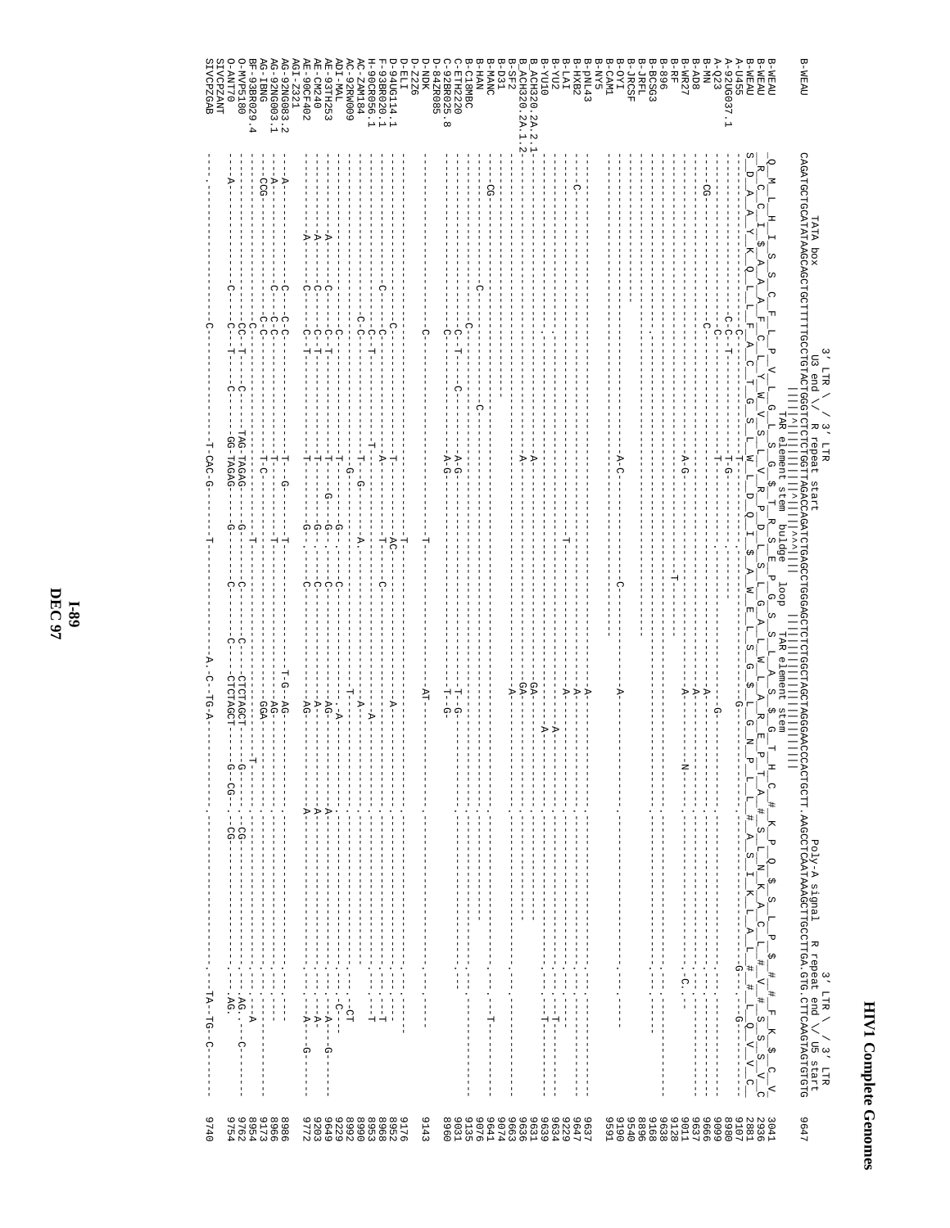| VCPZGAB                                                                              | $G-92NG0083.2$<br>$G-92NG003.1$<br>-MVP5180<br>F-93BR029.4<br>$-AML$<br>31-Z321<br>LNAZAOVI<br><b>TBNG</b>                                                                                                                                                                                                                                                                                                                                                                                                                                                                                                                                                                                                                                                                                                                                                                                                                                                                                                                                                                                                                                                                                                                                                                                                                                                                                                                                                                                                                                                                                                                            | E-90CF402<br>E-93TH253<br>DI-MAL<br>C-92RN009<br>C-ZAM184<br>E-CM240<br><sup>r-93BR020.1</sup><br>1-90CR056.1<br>94UG114.1<br>ITE.<br>9ZZZ-                                                                                                                                                                                                                                                                                                                                                                                                                                                                                                                                                                                                                                                                                                                                                                                                                                                                                                                                                                                                                                                                                                                                                                                                                                                                                                                                                                                                                                                              | <b>B-WEAU</b><br>B-WEAU<br><b>B-WEAU</b><br>$A - Q$ 23<br>B-MN<br>$-920G037$<br>$-0.4555$<br>$s - WR$<br>27<br>$-2D8$<br>-WEAU<br>-pNL43<br>$SAN=$<br>$-$ RF<br>$-D31$<br>$Z\Omega X$ -<br>-HXB2<br>$LXO-$<br>-JRCSF<br>-JRFL<br>$-896$<br>LA1-<br>-CAM1<br>-BCSG3<br>-C18MBC<br>NVH-<br>-MANC<br>$-84ZRO85$<br><b>NDK</b><br>-ETH2220<br>-92BR025.<br>SF2<br>ACH320<br>0TDJ<br>ACH320<br>$\infty$                                                                                                                                                                                                                                                                                                                                                                                                                                                                                                                                                                                                                                                                                                                                                                                                                                                                                                                                                                                                                                                                                                                                                                                                                                                                                                                                                                                                                                                                                                                                                                                                                                                                                                                                                                                                                                                                                                                                                                                                                                                                                                                            |                                                                                                                                                                                                                               |
|--------------------------------------------------------------------------------------|---------------------------------------------------------------------------------------------------------------------------------------------------------------------------------------------------------------------------------------------------------------------------------------------------------------------------------------------------------------------------------------------------------------------------------------------------------------------------------------------------------------------------------------------------------------------------------------------------------------------------------------------------------------------------------------------------------------------------------------------------------------------------------------------------------------------------------------------------------------------------------------------------------------------------------------------------------------------------------------------------------------------------------------------------------------------------------------------------------------------------------------------------------------------------------------------------------------------------------------------------------------------------------------------------------------------------------------------------------------------------------------------------------------------------------------------------------------------------------------------------------------------------------------------------------------------------------------------------------------------------------------|----------------------------------------------------------------------------------------------------------------------------------------------------------------------------------------------------------------------------------------------------------------------------------------------------------------------------------------------------------------------------------------------------------------------------------------------------------------------------------------------------------------------------------------------------------------------------------------------------------------------------------------------------------------------------------------------------------------------------------------------------------------------------------------------------------------------------------------------------------------------------------------------------------------------------------------------------------------------------------------------------------------------------------------------------------------------------------------------------------------------------------------------------------------------------------------------------------------------------------------------------------------------------------------------------------------------------------------------------------------------------------------------------------------------------------------------------------------------------------------------------------------------------------------------------------------------------------------------------------|-------------------------------------------------------------------------------------------------------------------------------------------------------------------------------------------------------------------------------------------------------------------------------------------------------------------------------------------------------------------------------------------------------------------------------------------------------------------------------------------------------------------------------------------------------------------------------------------------------------------------------------------------------------------------------------------------------------------------------------------------------------------------------------------------------------------------------------------------------------------------------------------------------------------------------------------------------------------------------------------------------------------------------------------------------------------------------------------------------------------------------------------------------------------------------------------------------------------------------------------------------------------------------------------------------------------------------------------------------------------------------------------------------------------------------------------------------------------------------------------------------------------------------------------------------------------------------------------------------------------------------------------------------------------------------------------------------------------------------------------------------------------------------------------------------------------------------------------------------------------------------------------------------------------------------------------------------------------------------------------------------------------------------------------------------------------------------------------------------------------------------------------------------------------------------------------------------------------------------------------------------------------------------------------------------------------------------------------------------------------------------------------------------------------------------------------------------------------------------------------------------------------------------|-------------------------------------------------------------------------------------------------------------------------------------------------------------------------------------------------------------------------------|
|                                                                                      | --A--<br>-cccc-<br>$-\nabla -$                                                                                                                                                                                                                                                                                                                                                                                                                                                                                                                                                                                                                                                                                                                                                                                                                                                                                                                                                                                                                                                                                                                                                                                                                                                                                                                                                                                                                                                                                                                                                                                                        | ⊅                                                                                                                                                                                                                                                                                                                                                                                                                                                                                                                                                                                                                                                                                                                                                                                                                                                                                                                                                                                                                                                                                                                                                                                                                                                                                                                                                                                                                                                                                                                                                                                                        | $-50-$<br>S                                                                                                                                                                                                                                                                                                                                                                                                                                                                                                                                                                                                                                                                                                                                                                                                                                                                                                                                                                                                                                                                                                                                                                                                                                                                                                                                                                                                                                                                                                                                                                                                                                                                                                                                                                                                                                                                                                                                                                                                                                                                                                                                                                                                                                                                                                                                                                                                                                                                                                                   | TATA box                                                                                                                                                                                                                      |
|                                                                                      | ∩<br>С<br>$-C-C$<br>-2-5-<br>C-C<br>ု<br>cc-<br>ဂု<br>Η                                                                                                                                                                                                                                                                                                                                                                                                                                                                                                                                                                                                                                                                                                                                                                                                                                                                                                                                                                                                                                                                                                                                                                                                                                                                                                                                                                                                                                                                                                                                                                               | Ö<br>Ω<br>Ö<br>c-c<br>$\frac{1}{2}$<br>∩<br>$\mathop{\mathsf{O}}_1$<br>Ω<br>Ō<br>C<br>С<br>÷T-<br>H                                                                                                                                                                                                                                                                                                                                                                                                                                                                                                                                                                                                                                                                                                                                                                                                                                                                                                                                                                                                                                                                                                                                                                                                                                                                                                                                                                                                                                                                                                      | CAGATGCTGCATATAAGCAGCTGCTTTTTGCCTGTACTGGGTCTCTCTGGTT<br>w<br>m<br>∍<br>피<br>$C - C - -$<br>ှ<br>$\mathop{\mathsf{O}}_1$<br>ှ<br>С<br>ှ<br>부<br>∪                                                                                                                                                                                                                                                                                                                                                                                                                                                                                                                                                                                                                                                                                                                                                                                                                                                                                                                                                                                                                                                                                                                                                                                                                                                                                                                                                                                                                                                                                                                                                                                                                                                                                                                                                                                                                                                                                                                                                                                                                                                                                                                                                                                                                                                                                                                                                                              | 3' LTR<br>$\Xi$<br>puə                                                                                                                                                                                                        |
| T-CAC-G                                                                              | LAG-TAGAG-<br>GG-TAGAG<br>$-1 - C -$<br>$\frac{1}{1}$<br>부<br>$\frac{1}{1}$                                                                                                                                                                                                                                                                                                                                                                                                                                                                                                                                                                                                                                                                                                                                                                                                                                                                                                                                                                                                                                                                                                                                                                                                                                                                                                                                                                                                                                                                                                                                                           | ÷<br>보<br>けー<br>년<br>Ω<br>ဂ္<br>ω                                                                                                                                                                                                                                                                                                                                                                                                                                                                                                                                                                                                                                                                                                                                                                                                                                                                                                                                                                                                                                                                                                                                                                                                                                                                                                                                                                                                                                                                                                                                                                        | ଋ<br>ò<br>$\overline{\phantom{a}}$<br>LAR<br>m<br>rement<br>۲<br>-<br>$A-G$<br>$A-G$<br>⊅<br>$A-G$<br>$-9 - 1$<br>≲<br>stem<br>$\rightarrow$                                                                                                                                                                                                                                                                                                                                                                                                                                                                                                                                                                                                                                                                                                                                                                                                                                                                                                                                                                                                                                                                                                                                                                                                                                                                                                                                                                                                                                                                                                                                                                                                                                                                                                                                                                                                                                                                                                                                                                                                                                                                                                                                                                                                                                                                                                                                                                                  | $\ddot{\xi}$<br>₩<br>repeat start<br>LTR                                                                                                                                                                                      |
|                                                                                      | ω<br>Ģ                                                                                                                                                                                                                                                                                                                                                                                                                                                                                                                                                                                                                                                                                                                                                                                                                                                                                                                                                                                                                                                                                                                                                                                                                                                                                                                                                                                                                                                                                                                                                                                                                                | ပှါ<br>ဂှ<br>Ω<br>ဂု<br>٦.<br>부<br>RC<br>년<br>ó<br>C                                                                                                                                                                                                                                                                                                                                                                                                                                                                                                                                                                                                                                                                                                                                                                                                                                                                                                                                                                                                                                                                                                                                                                                                                                                                                                                                                                                                                                                                                                                                                     | ldge<br>doot<br>ດ<br>囯                                                                                                                                                                                                                                                                                                                                                                                                                                                                                                                                                                                                                                                                                                                                                                                                                                                                                                                                                                                                                                                                                                                                                                                                                                                                                                                                                                                                                                                                                                                                                                                                                                                                                                                                                                                                                                                                                                                                                                                                                                                                                                                                                                                                                                                                                                                                                                                                                                                                                                        |                                                                                                                                                                                                                               |
| Α.<br>TG-A                                                                           | Ω<br>$T-G--AC-$<br>CTCTAGCT<br>CTCTAGCT<br>$-0.5A-$<br>$-56-$                                                                                                                                                                                                                                                                                                                                                                                                                                                                                                                                                                                                                                                                                                                                                                                                                                                                                                                                                                                                                                                                                                                                                                                                                                                                                                                                                                                                                                                                                                                                                                         | -PG-<br>$AG-$<br>A-<br>٣<br>$\mathbb I$<br>⊅                                                                                                                                                                                                                                                                                                                                                                                                                                                                                                                                                                                                                                                                                                                                                                                                                                                                                                                                                                                                                                                                                                                                                                                                                                                                                                                                                                                                                                                                                                                                                             | RGACCAGATCTGAGCCTGGGAGCTCTCTGGCTAGCTAGGGAAC<br>œ<br>ς.<br>ement<br>ġ<br>çy<br>AT-<br>⊅<br>ъ<br>⊅<br>⊅<br>ゼ<br>ъ<br>ローローロー<br>ဂု<br>ω<br>ဂှ<br>stem<br>Ω<br>÷<br>⊢<br>Ω<br>z                                                                                                                                                                                                                                                                                                                                                                                                                                                                                                                                                                                                                                                                                                                                                                                                                                                                                                                                                                                                                                                                                                                                                                                                                                                                                                                                                                                                                                                                                                                                                                                                                                                                                                                                                                                                                                                                                                                                                                                                                                                                                                                                                                                                                                                                                                                                                   |                                                                                                                                                                                                                               |
|                                                                                      | ÷<br>$\frac{1}{\Omega}$<br>$\frac{1}{1}$<br>т<br>$\mathbb{I}$<br>I,<br>$\mathsf I$<br>$\begin{array}{c} \rule{0.2cm}{0.15mm} \rule{0.2cm}{0.15mm} \rule{0.2cm}{0.15mm} \rule{0.2cm}{0.15mm} \rule{0.2cm}{0.15mm} \rule{0.2cm}{0.15mm} \rule{0.2cm}{0.15mm} \rule{0.2cm}{0.15mm} \rule{0.2cm}{0.15mm} \rule{0.2cm}{0.15mm} \rule{0.2cm}{0.15mm} \rule{0.2cm}{0.15mm} \rule{0.2cm}{0.15mm} \rule{0.2cm}{0.15mm} \rule{0.2cm}{0.15mm} \rule{$<br>$\overline{\phantom{a}}$<br>I,<br>J.<br>-- 60-<br>$\begin{array}{c} \begin{array}{c} \begin{array}{c} \begin{array}{c} \end{array} \\ \begin{array}{c} \end{array} \\ \begin{array}{c} \end{array} \end{array} \end{array}$<br>$\mathbf{I}$<br>п<br>$\overline{\phantom{a}}$<br>$\mathbf{I}$<br>т<br>H.<br>п<br>$\overline{1}$<br>$\mathbb{I}$<br>$\overline{1}$<br>f,<br>I<br>ŧ<br>Ĵ.<br>$\cdot$ <sup>1</sup><br>$\bullet$<br>$\mathbf I$<br>$\,$ I<br>$\mathbf{I}$<br>$\mathbb{I}$<br>$\overline{1}$<br>$\mathbf{I}$<br>$\,$ I<br>$\mathsf I$<br>I<br>$\overline{\phantom{a}}$<br>CG---<br>င္ပြင္<br>$\mathbf{I}$<br>J.<br>$\overline{\phantom{a}}$<br>л<br>$\overline{\phantom{a}}$<br>$\mathbf{I}$<br>H.<br>$\mathbf{I}$<br>$\mathbf{I}$<br>J.<br>$\overline{\phantom{a}}$<br>л<br>$\mathbf{I}$<br>п<br>$\mathbf{I}$<br>H.<br>п<br>л<br>$\begin{array}{c} \hline \end{array}$<br>I.<br>$\mathsf I$<br>т<br>$\overline{\phantom{a}}$<br>J.<br>I<br>J.<br>J.<br>$\frac{1}{1}$<br>$\mathbf{I}$<br>I.<br>ı.<br>I<br>$\overline{\phantom{a}}$<br>$\overline{\phantom{a}}$<br>J.<br>$\overline{\phantom{a}}$<br>п<br>п<br>$\mathbf{I}$<br>H.<br>H<br>л<br>$\overline{1}$<br>I.<br>J.<br>I | ш<br>$\overline{\phantom{a}}$<br>J.<br>л<br>л<br>л<br>$\overline{1}$<br>$\mathbb{I}$<br>$\mathbb I$<br>$\mathbf I$<br>I.<br>$\overline{\phantom{a}}$<br>$\overline{1}$<br>$\mathbb I$<br>$\mathbf I$<br>$\,$ I<br>I<br>ţ<br>$\begin{array}{c} \hline \end{array}$<br>Ţ<br>$\mathbf{I}$<br>$\blacksquare$<br>$\blacksquare$<br>$\mathbf{I}$<br>I<br>$\overline{1}$<br>t<br>$\overline{\phantom{a}}$<br>J.<br>$\frac{1}{1}$<br>$\frac{1}{4}$<br>$\frac{1}{1}$<br>J.<br>$\mathbf{I}$<br>п<br>$\overline{1}$<br>1<br>$\overline{1}$<br>$\overline{\phantom{a}}$<br>$\mathbf{I}$<br>$-4 -$<br>$\mathbf I$<br>$\frac{1}{1}$<br>$\overline{1}$<br>$\mathbf{I}$<br>I<br>$\overline{\phantom{a}}$<br>Ť,<br>$\cdot$ <sup>1</sup><br>Ť,<br>$\sum_{i=1}^{n}$<br>$\overline{A}$<br>$\cdot$<br>$\cdot$<br>$\bullet$<br>$\mathbf I$<br>I<br>$\mathbf I$<br>I<br>$\mathbf I$<br>ţ<br>J.<br>$\overline{\phantom{a}}$<br>J.<br>J.<br>п<br>$\mathbf{I}$<br>л<br>$\mathbf{I}$<br>т<br>п<br>л<br>$\mathbf{I}$<br>I<br>$\mathbf{I}$<br>$\overline{1}$<br>$\mathbf{I}$<br>J<br>J<br>$\frac{1}{1}$<br>$\mathbf{I}$<br>J.<br>$\mathbf{I}$<br>J.<br>$\overline{\phantom{a}}$<br>п<br>п<br>$\overline{1}$<br>1<br>$\overline{1}$<br>л<br>$\mathbf{I}$<br>$\overline{1}$<br>$\mathbf I$<br>$\mathbb I$<br>$\mathbf I$<br>J<br>Ţ<br>ł<br>ł<br>ł<br>$\overline{\phantom{a}}$<br>1<br>Ţ<br>t<br>$\mathbf{I}$<br>I<br>$\overline{1}$<br>J,<br>$\overline{\phantom{a}}$<br>J.<br>$\overline{1}$<br>J.<br>$\mathbf{I}$<br>J.<br>п<br>J,<br>$\overline{1}$<br>л<br>$\mathbf{I}$<br>$\mathbf{I}$<br>I<br>I<br>$\overline{1}$<br>$\mathbf{I}$ | п<br>J.<br>υ<br>$\frac{1}{4}$<br>$\frac{1}{1}$<br>д<br>J<br>J<br>ʻ¤<br>J.<br>л<br>1<br>л<br>-1<br>л<br>л<br>$\mathsf I$<br>H<br>I<br>$\overline{\phantom{a}}$<br>$\mathbf I$<br>$\mathbf I$<br>$\mathbb I$<br>I,<br>$\mathbf{I}$<br>$\mathbf{I}$<br>$\mathbf{I}$<br>ı<br>I<br>$\begin{array}{c} \end{array}$<br>$\mathbb I$<br>$\mathsf I$<br>$\mathsf I$<br>I<br>$\begin{array}{c} \end{array}$<br>$\mathbf I$<br>$\overline{\phantom{a}}$<br>I<br>$\mathbf{I}$<br>٣<br>Q<br>J.<br>J.<br>$\overline{1}$<br>л<br>$\mathbf{I}$<br>ı<br>I,<br>J.<br>J.<br>J.<br>J.<br>I<br>п<br>$\mathbf{I}$<br>$\mathbf{I}$<br>п<br>п<br>ъ<br>$\blacksquare$<br>$\mathbf{I}$<br>J.<br>п<br>л<br>1<br>$\overline{1}$<br>$\mathbf{I}$<br>л<br>$\mathbf{I}$<br>$\mathbf{I}$<br>л<br>1<br>л<br>п<br>ш<br>$\mathbb I$<br>$\overline{1}$<br>I<br>I<br>I<br>$\mathbf I$<br>J.<br>J<br>I<br>I<br>J,<br>÷,<br>÷,<br>$\mathsf I$<br>$\frac{1}{2}$<br>J,<br>$\blacksquare$<br>$\blacksquare$<br>J.<br>J<br>J<br>J<br>⋕<br>ı<br>$\mathbf{I}$<br>$\bullet$<br>$\cdot$<br>$\cdot$<br>۰<br>$\cdot$<br>$\pm$<br>$\bullet$<br>$\cdot$<br>$\mathbf I$<br>$\overline{1}$<br>$\mathbb{I}$<br>$\mathbf{I}$<br>$\overline{1}$<br>$\mathbf{I}$<br>$\overline{\phantom{a}}$<br>I<br>$\overline{1}$<br>$\mathbf{I}$<br>I<br>$\pm$<br>I<br>J<br>I<br>I<br>I<br>J.<br>$\mathbf{I}$<br>I<br>J<br>J.<br>ω<br>п<br>$\mathbf{I}$<br>$\mathbf{I}$<br>п<br>л<br>п<br>п<br>J,<br>ı<br>1<br>$\mathbf{I}$<br>ı<br>л<br>1<br>ı<br>I<br>Ή.<br>J.<br>$\mathbf{I}$<br>t<br>J<br>I<br>1<br>$\blacksquare$<br>$\mathbf{I}$<br>$\mathbf{I}$<br>1<br>ı<br>п<br>c۵<br>J,<br>л<br>1<br>$\blacksquare$<br>-1<br>$\mathbf{I}$<br>л<br>I<br>т<br>1<br>л<br>×.<br>I<br>I,<br>Ю<br>$\mathbf{I}$<br>л<br>п<br>ı<br>Ш<br>ш<br>ţ<br>J<br>z<br>$\mathbf{I}$<br>I<br>Í<br>п<br>-1<br>п<br>ı<br>'n<br>т<br>Ш<br>ı<br>$\mathsf I$<br>I<br>ţ<br>J<br>J.<br>J.<br>ı<br>t<br>J.<br>п<br>ı<br>$\mathbf{I}$<br>-1<br>$\mathbf{I}$<br>$\mathbf{I}$<br>л<br>п<br>п<br>īω<br>ı<br>1<br>$\overline{1}$<br>п<br>-1<br>т<br>J.<br>J,<br>$\mathbf{I}$<br>т<br>1<br>л<br>H<br>$\mathbf{I}$<br>$\mathsf I$<br>$\overline{1}$<br>I.<br>I<br>I<br>$\overline{\phantom{a}}$<br>п<br>1<br>п<br>л                                                                                                                                                                                                                                                                                                                           |                                                                                                                                                                                                                               |
| ł<br>$\mathbb I$<br>J.<br>- TA - - TG - -<br>م-<br>-<br>I<br>t<br>ł<br>$\frac{1}{4}$ | ł<br>$\frac{1}{1}$<br>J.<br>$\mathbf{I}$<br>$\frac{1}{1}$<br>$\overline{\phantom{a}}$<br>$\mathbf{I}$<br>t<br>J.<br>п<br>I<br>т<br>п<br>$\begin{array}{c} \hline \end{array}$<br>$\mathbf{I}$<br>J.<br>J.<br>1<br>J.<br>I<br>ļ.<br>$\mathbf{I}$<br>J<br>J.<br>J,<br>$\cdot$<br>$\cdot$<br>$\mathbf I$<br>$\mathbf{I}$<br>$\,$ I<br>$\overline{1}$<br>$\overline{\phantom{a}}$<br>$\mathbf I$<br>$\overline{1}$<br>$\overline{\phantom{a}}$<br>$\mathbf{I}$<br>J.<br>J.<br>л<br>$\overline{1}$<br>H<br>$\mathbf{I}$<br>л<br>П<br>п<br>.BG<br>$\frac{1}{2}$<br>Ŷ<br>$\frac{1}{1}$<br>$BG$ .<br>$\frac{1}{1}$<br>$\mathbf{I}$<br>J.<br>$\mathbb{I}$<br>f,<br>ъ<br>T<br>$\mathbf{I}$<br>$\mathbf{I}$<br>1<br>റ<br>т<br>л<br>л<br>л<br>-1<br>л                                                                                                                                                                                                                                                                                                                                                                                                                                                                                                                                                                                                                                                                                                                                                                                                                                                                                             | $\frac{1}{1}$<br>ł<br>ł<br>п<br>J.<br>$\overline{\phantom{a}}$<br>t<br>I<br>$\overline{1}$<br>J<br>$\overline{1}$<br>J.<br>л<br>$\mathbf{I}$<br>л<br>п<br>п<br>$\mathbb I$<br>$\mathbb I$<br>J.<br>J.<br>$\overline{1}$<br>ı<br>J<br>$\overline{1}$<br>ţ<br>$\frac{1}{1}$<br>$\overline{1}$<br>J<br>ļ.<br>÷.<br>$\cdot$ <sup>i</sup><br>$\cdot$<br>$\cdot$ <sup>i</sup><br>$\mathbf{I}$<br>$\overline{1}$<br>$\ddot{\phantom{0}}$<br>$\mathbb{I}$<br>$\,$ I<br>$\mathsf I$<br>$\mathbf{I}$<br>$\mathsf I$<br>$\begin{array}{c} \hline \end{array}$<br>Ţ<br>$\,$ I<br>$\overline{1}$<br>$\mathbb I$<br>$\mathbf{I}$<br>I<br>J.<br>$\overline{1}$<br>J.<br>$\mathbf{I}$<br><b>I</b><br>$\overline{1}$<br>л<br>J.<br>л<br>$\mathbf{I}$<br>л<br>į<br>$-C--$<br>$-12 - 1$<br>İ<br>$-4 - 7 - 7$<br>$\frac{1}{1}$<br>$\mathsf I$<br>$\frac{1}{1}$<br>$\blacksquare$<br>$\mathbb{I}$<br>$\mathbf{I}$<br>$\sum_{i=1}^{n}$<br>$A -$<br>н<br>н<br>J.<br>л<br>$\blacksquare$<br>$\overline{1}$<br>Ġ<br>ဂှ<br>ı.<br>$\blacksquare$<br>$\blacksquare$<br>$\overline{1}$                                                                                                                                                                                                                                                                                                                                                                                                                                                                                                                                                | Ţ<br>I<br>$\mathbf{I}$<br>J<br>ì<br>J.<br>$\overline{\phantom{a}}$<br>J.<br>$\mathbf{I}$<br>$\mathbf{I}$<br>I<br>I<br>$\frac{1}{1}$<br>$\mathbf{I}$<br>ı<br>п<br>I<br>∩<br>п<br>J.<br>I<br>ъ<br>$\mathbf{I}$<br>J<br>۳<br>J.<br>$\mathbf{I}$<br>J.<br>$\blacksquare$<br>J<br>$\mathbf{I}$<br>$\mathbf{I}$<br>J.<br>I<br>ı<br>$\blacksquare$<br>п<br>п<br>J.<br>п<br>ı<br>$\mathbf{I}$<br>$\mathbf{I}$<br>л<br>1<br>л<br>$\mathbb I$<br>I<br>J.<br>⊢<br>п<br>п<br>т<br>т<br>ı<br>I<br>L<br>Ĵ.<br>ţ<br>įΩ<br>$\mathbf{I}$<br>J,<br>$\mathbf{I}$<br>J.<br>#<br>п<br>1<br>п<br>$\blacksquare$<br>т<br>J.<br>$\blacksquare$<br>$\mathbf{I}$<br>-1<br>H<br>J,<br>H<br>$\cdot$<br>$\cdot$<br>$\cdot$<br>ဂူ<br>í<br>₩<br>$\mathbb{I}$<br>$\mathsf I$<br>$\overline{1}$<br>$\overline{\phantom{a}}$<br>$\mathbf I$<br>$\overline{1}$<br>$\,$ I<br>$\overline{\phantom{a}}$<br>$\overline{1}$<br>$\mathbf{I}$<br>$\sf I$<br>ţ<br>$\overline{1}$<br>₩<br>J<br>Ţ<br>J.<br>$\overline{\phantom{a}}$<br>$\blacksquare$<br>$\mathbf{I}$<br>$\blacksquare$<br>J.<br>J.<br>$\blacksquare$<br>∩<br>I.<br>I,<br>J.<br>$\mathbf{I}$<br>п<br>п<br>п<br>≒<br>$-1$ $-1$ $-1$ $-1$ $-1$ $-1$ $-1$<br>$\vdots$<br>1<br>п<br>п<br>$\mathbf{I}$<br>$\mathbf{I}$<br>J,<br>П<br>$\blacksquare$<br>$\overline{1}$<br>ı<br>J,<br>П<br>л.<br>п<br>ш<br>$\frac{1}{1}$<br>₩<br>$\mathsf{I}$<br>$\begin{array}{c} \end{array}$<br>$\mathbf{I}$<br>$\,$ I<br>$\mathbb{L}$<br>J.<br>л<br>$\blacksquare$<br>$\blacksquare$<br>J.<br>$\blacksquare$<br>J.<br>J<br>I<br>F<br>J,<br>J.<br>л<br>$\overline{1}$<br>$\mathbf{I}$<br>п<br>п<br>$\mathbf{I}$<br>л<br>л<br>п<br>л.<br>I<br>٦ŋ<br>$\mathbb{I}$<br>$\overline{\phantom{a}}$<br>I<br>п<br>т<br>1<br>л<br>부<br>부<br>J<br>ω<br>īω<br>Ö<br>$\mathbf{I}$<br>J<br>$\mathbf{I}$<br>I<br>I.<br>л<br>п<br>$\mathbf{I}$<br>$\mathbf{I}$<br>л<br>$\mathbf{I}$<br>1<br>л<br>л<br>'nΩ<br>I<br>$\prec$<br>$\overline{1}$<br>$\mathbf{I}$<br>J.<br>J.<br>J.<br>I<br>л<br>л<br>п<br>п<br>'n<br>$\overline{1}$<br>$\mathbf{I}$<br>ı<br>л<br>п<br>п<br>л<br>ш<br>w<br>I,<br>т<br>I<br>J<br>$\mathbf{I}$<br>ı<br>H<br>⊲<br>J<br>$\mathbf{I}$<br>I<br>J<br>I<br>Q<br>$\mathbf{I}$<br>J.<br>I<br>J.<br>J.<br>t<br>I<br>л<br>$\mathbf{I}$<br>п<br>₹<br>$\mathbf{I}$<br>л<br>л<br>п<br>1<br>Í<br>п<br>-11<br>'n<br>$\mathbf{I}$<br>I<br>I<br>$\overline{\phantom{a}}$<br>⊲<br>$\mathbf{I}$<br>$\mathbf{I}$<br>J.<br>J.<br>J.<br>J.<br>J.<br>ı<br>$\blacksquare$<br>п<br>л<br>°∩  <br>$\mathbf{I}$<br>-1<br>л<br>п<br>т<br>т<br>п<br>ш | Propositional and the second of the V ( ) and the Start of Start ( ) and Start ( ) are second in the Start of Start ( ) and Start ( ) are second in the Start ( ) in the Start ( ) is a start ( ) in the Start ( ) is a start |
| 9740                                                                                 |                                                                                                                                                                                                                                                                                                                                                                                                                                                                                                                                                                                                                                                                                                                                                                                                                                                                                                                                                                                                                                                                                                                                                                                                                                                                                                                                                                                                                                                                                                                                                                                                                                       |                                                                                                                                                                                                                                                                                                                                                                                                                                                                                                                                                                                                                                                                                                                                                                                                                                                                                                                                                                                                                                                                                                                                                                                                                                                                                                                                                                                                                                                                                                                                                                                                          | 9143<br>9647                                                                                                                                                                                                                                                                                                                                                                                                                                                                                                                                                                                                                                                                                                                                                                                                                                                                                                                                                                                                                                                                                                                                                                                                                                                                                                                                                                                                                                                                                                                                                                                                                                                                                                                                                                                                                                                                                                                                                                                                                                                                                                                                                                                                                                                                                                                                                                                                                                                                                                                  |                                                                                                                                                                                                                               |